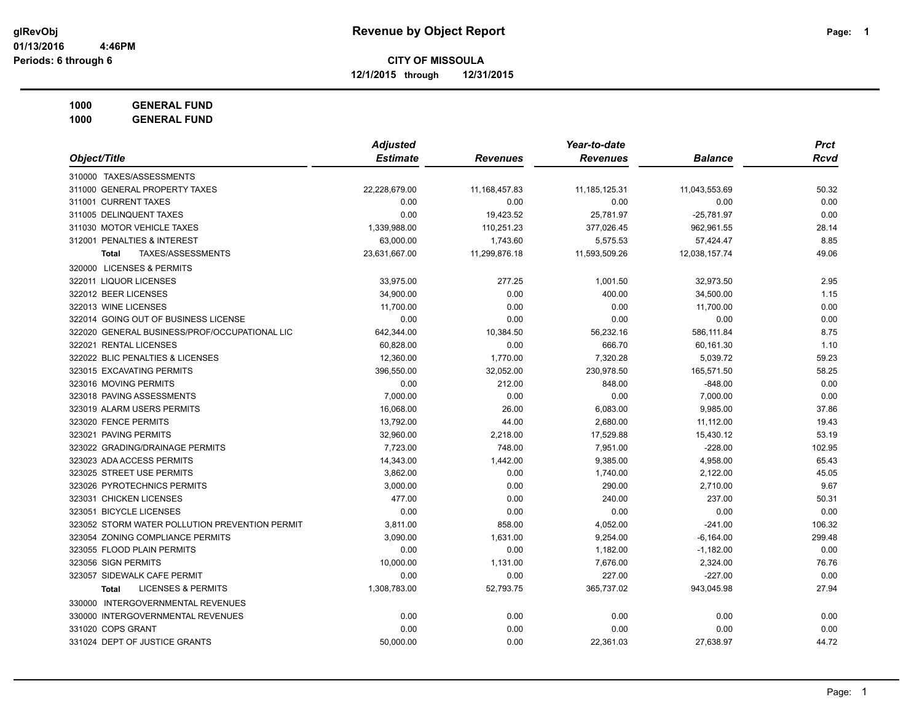**12/1/2015 through 12/31/2015**

**1000 GENERAL FUND**

|                                                | <b>Adjusted</b> |                 | Year-to-date     |                | <b>Prct</b> |
|------------------------------------------------|-----------------|-----------------|------------------|----------------|-------------|
| Object/Title                                   | <b>Estimate</b> | <b>Revenues</b> | <b>Revenues</b>  | <b>Balance</b> | <b>Rcvd</b> |
| 310000 TAXES/ASSESSMENTS                       |                 |                 |                  |                |             |
| 311000 GENERAL PROPERTY TAXES                  | 22,228,679.00   | 11, 168, 457.83 | 11, 185, 125. 31 | 11,043,553.69  | 50.32       |
| 311001 CURRENT TAXES                           | 0.00            | 0.00            | 0.00             | 0.00           | 0.00        |
| 311005 DELINQUENT TAXES                        | 0.00            | 19,423.52       | 25,781.97        | $-25,781.97$   | 0.00        |
| 311030 MOTOR VEHICLE TAXES                     | 1,339,988.00    | 110,251.23      | 377,026.45       | 962,961.55     | 28.14       |
| 312001 PENALTIES & INTEREST                    | 63,000.00       | 1,743.60        | 5,575.53         | 57,424.47      | 8.85        |
| TAXES/ASSESSMENTS<br><b>Total</b>              | 23,631,667.00   | 11,299,876.18   | 11,593,509.26    | 12,038,157.74  | 49.06       |
| 320000 LICENSES & PERMITS                      |                 |                 |                  |                |             |
| 322011 LIQUOR LICENSES                         | 33,975.00       | 277.25          | 1,001.50         | 32,973.50      | 2.95        |
| 322012 BEER LICENSES                           | 34,900.00       | 0.00            | 400.00           | 34,500.00      | 1.15        |
| 322013 WINE LICENSES                           | 11,700.00       | 0.00            | 0.00             | 11,700.00      | 0.00        |
| 322014 GOING OUT OF BUSINESS LICENSE           | 0.00            | 0.00            | 0.00             | 0.00           | 0.00        |
| 322020 GENERAL BUSINESS/PROF/OCCUPATIONAL LIC  | 642,344.00      | 10,384.50       | 56,232.16        | 586,111.84     | 8.75        |
| 322021 RENTAL LICENSES                         | 60,828.00       | 0.00            | 666.70           | 60,161.30      | 1.10        |
| 322022 BLIC PENALTIES & LICENSES               | 12,360.00       | 1,770.00        | 7,320.28         | 5,039.72       | 59.23       |
| 323015 EXCAVATING PERMITS                      | 396,550.00      | 32,052.00       | 230,978.50       | 165,571.50     | 58.25       |
| 323016 MOVING PERMITS                          | 0.00            | 212.00          | 848.00           | $-848.00$      | 0.00        |
| 323018 PAVING ASSESSMENTS                      | 7,000.00        | 0.00            | 0.00             | 7,000.00       | 0.00        |
| 323019 ALARM USERS PERMITS                     | 16,068.00       | 26.00           | 6,083.00         | 9,985.00       | 37.86       |
| 323020 FENCE PERMITS                           | 13,792.00       | 44.00           | 2,680.00         | 11,112.00      | 19.43       |
| 323021 PAVING PERMITS                          | 32,960.00       | 2,218.00        | 17,529.88        | 15,430.12      | 53.19       |
| 323022 GRADING/DRAINAGE PERMITS                | 7,723.00        | 748.00          | 7,951.00         | $-228.00$      | 102.95      |
| 323023 ADA ACCESS PERMITS                      | 14,343.00       | 1,442.00        | 9,385.00         | 4,958.00       | 65.43       |
| 323025 STREET USE PERMITS                      | 3,862.00        | 0.00            | 1,740.00         | 2,122.00       | 45.05       |
| 323026 PYROTECHNICS PERMITS                    | 3,000.00        | 0.00            | 290.00           | 2,710.00       | 9.67        |
| 323031 CHICKEN LICENSES                        | 477.00          | 0.00            | 240.00           | 237.00         | 50.31       |
| 323051 BICYCLE LICENSES                        | 0.00            | 0.00            | 0.00             | 0.00           | 0.00        |
| 323052 STORM WATER POLLUTION PREVENTION PERMIT | 3,811.00        | 858.00          | 4,052.00         | $-241.00$      | 106.32      |
| 323054 ZONING COMPLIANCE PERMITS               | 3,090.00        | 1,631.00        | 9,254.00         | $-6,164.00$    | 299.48      |
| 323055 FLOOD PLAIN PERMITS                     | 0.00            | 0.00            | 1,182.00         | $-1,182.00$    | 0.00        |
| 323056 SIGN PERMITS                            | 10,000.00       | 1,131.00        | 7,676.00         | 2,324.00       | 76.76       |
| 323057 SIDEWALK CAFE PERMIT                    | 0.00            | 0.00            | 227.00           | $-227.00$      | 0.00        |
| <b>LICENSES &amp; PERMITS</b><br><b>Total</b>  | 1,308,783.00    | 52,793.75       | 365,737.02       | 943,045.98     | 27.94       |
| 330000 INTERGOVERNMENTAL REVENUES              |                 |                 |                  |                |             |
| 330000 INTERGOVERNMENTAL REVENUES              | 0.00            | 0.00            | 0.00             | 0.00           | 0.00        |
| 331020 COPS GRANT                              | 0.00            | 0.00            | 0.00             | 0.00           | 0.00        |
| 331024 DEPT OF JUSTICE GRANTS                  | 50,000.00       | 0.00            | 22,361.03        | 27,638.97      | 44.72       |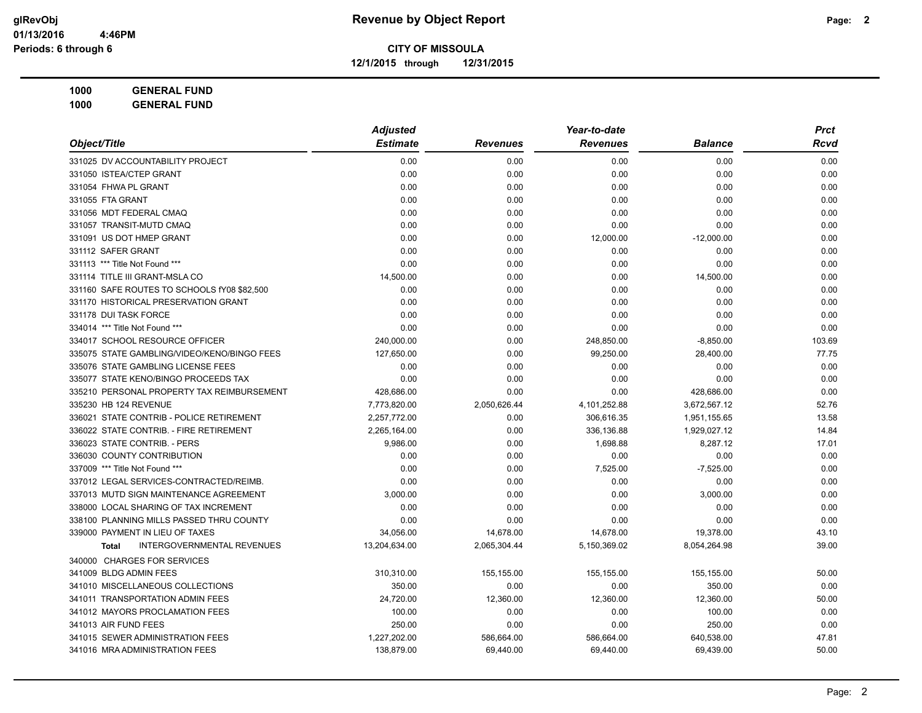**12/1/2015 through 12/31/2015**

|                                                   | Year-to-date<br><b>Adjusted</b> |                 |                 | <b>Prct</b>    |        |  |
|---------------------------------------------------|---------------------------------|-----------------|-----------------|----------------|--------|--|
| Object/Title                                      | <b>Estimate</b>                 | <b>Revenues</b> | <b>Revenues</b> | <b>Balance</b> | Rcvd   |  |
| 331025 DV ACCOUNTABILITY PROJECT                  | 0.00                            | 0.00            | 0.00            | 0.00           | 0.00   |  |
| 331050 ISTEA/CTEP GRANT                           | 0.00                            | 0.00            | 0.00            | 0.00           | 0.00   |  |
| 331054 FHWA PL GRANT                              | 0.00                            | 0.00            | 0.00            | 0.00           | 0.00   |  |
| 331055 FTA GRANT                                  | 0.00                            | 0.00            | 0.00            | 0.00           | 0.00   |  |
| 331056 MDT FEDERAL CMAQ                           | 0.00                            | 0.00            | 0.00            | 0.00           | 0.00   |  |
| 331057 TRANSIT-MUTD CMAQ                          | 0.00                            | 0.00            | 0.00            | 0.00           | 0.00   |  |
| 331091 US DOT HMEP GRANT                          | 0.00                            | 0.00            | 12,000.00       | $-12,000.00$   | 0.00   |  |
| 331112 SAFER GRANT                                | 0.00                            | 0.00            | 0.00            | 0.00           | 0.00   |  |
| 331113 *** Title Not Found ***                    | 0.00                            | 0.00            | 0.00            | 0.00           | 0.00   |  |
| 331114 TITLE III GRANT-MSLA CO                    | 14,500.00                       | 0.00            | 0.00            | 14,500.00      | 0.00   |  |
| 331160 SAFE ROUTES TO SCHOOLS fY08 \$82,500       | 0.00                            | 0.00            | 0.00            | 0.00           | 0.00   |  |
| 331170 HISTORICAL PRESERVATION GRANT              | 0.00                            | 0.00            | 0.00            | 0.00           | 0.00   |  |
| 331178 DUI TASK FORCE                             | 0.00                            | 0.00            | 0.00            | 0.00           | 0.00   |  |
| 334014 *** Title Not Found ***                    | 0.00                            | 0.00            | 0.00            | 0.00           | 0.00   |  |
| 334017 SCHOOL RESOURCE OFFICER                    | 240,000.00                      | 0.00            | 248,850.00      | $-8,850.00$    | 103.69 |  |
| 335075 STATE GAMBLING/VIDEO/KENO/BINGO FEES       | 127,650.00                      | 0.00            | 99,250.00       | 28,400.00      | 77.75  |  |
| 335076 STATE GAMBLING LICENSE FEES                | 0.00                            | 0.00            | 0.00            | 0.00           | 0.00   |  |
| 335077 STATE KENO/BINGO PROCEEDS TAX              | 0.00                            | 0.00            | 0.00            | 0.00           | 0.00   |  |
| 335210 PERSONAL PROPERTY TAX REIMBURSEMENT        | 428,686.00                      | 0.00            | 0.00            | 428,686.00     | 0.00   |  |
| 335230 HB 124 REVENUE                             | 7,773,820.00                    | 2,050,626.44    | 4,101,252.88    | 3,672,567.12   | 52.76  |  |
| 336021 STATE CONTRIB - POLICE RETIREMENT          | 2,257,772.00                    | 0.00            | 306,616.35      | 1,951,155.65   | 13.58  |  |
| 336022 STATE CONTRIB. - FIRE RETIREMENT           | 2,265,164.00                    | 0.00            | 336,136.88      | 1,929,027.12   | 14.84  |  |
| 336023 STATE CONTRIB. - PERS                      | 9.986.00                        | 0.00            | 1,698.88        | 8,287.12       | 17.01  |  |
| 336030 COUNTY CONTRIBUTION                        | 0.00                            | 0.00            | 0.00            | 0.00           | 0.00   |  |
| 337009 *** Title Not Found ***                    | 0.00                            | 0.00            | 7,525.00        | $-7,525.00$    | 0.00   |  |
| 337012 LEGAL SERVICES-CONTRACTED/REIMB.           | 0.00                            | 0.00            | 0.00            | 0.00           | 0.00   |  |
| 337013 MUTD SIGN MAINTENANCE AGREEMENT            | 3,000.00                        | 0.00            | 0.00            | 3,000.00       | 0.00   |  |
| 338000 LOCAL SHARING OF TAX INCREMENT             | 0.00                            | 0.00            | 0.00            | 0.00           | 0.00   |  |
| 338100 PLANNING MILLS PASSED THRU COUNTY          | 0.00                            | 0.00            | 0.00            | 0.00           | 0.00   |  |
| 339000 PAYMENT IN LIEU OF TAXES                   | 34,056.00                       | 14,678.00       | 14,678.00       | 19,378.00      | 43.10  |  |
| <b>INTERGOVERNMENTAL REVENUES</b><br><b>Total</b> | 13,204,634.00                   | 2,065,304.44    | 5,150,369.02    | 8,054,264.98   | 39.00  |  |
| 340000 CHARGES FOR SERVICES                       |                                 |                 |                 |                |        |  |
| 341009 BLDG ADMIN FEES                            | 310,310.00                      | 155,155.00      | 155,155.00      | 155,155.00     | 50.00  |  |
| 341010 MISCELLANEOUS COLLECTIONS                  | 350.00                          | 0.00            | 0.00            | 350.00         | 0.00   |  |
| 341011 TRANSPORTATION ADMIN FEES                  | 24,720.00                       | 12,360.00       | 12,360.00       | 12,360.00      | 50.00  |  |
| 341012 MAYORS PROCLAMATION FEES                   | 100.00                          | 0.00            | 0.00            | 100.00         | 0.00   |  |
| 341013 AIR FUND FEES                              | 250.00                          | 0.00            | 0.00            | 250.00         | 0.00   |  |
| 341015 SEWER ADMINISTRATION FEES                  | 1,227,202.00                    | 586,664.00      | 586,664.00      | 640,538.00     | 47.81  |  |
| 341016 MRA ADMINISTRATION FEES                    | 138,879.00                      | 69,440.00       | 69,440.00       | 69,439.00      | 50.00  |  |
|                                                   |                                 |                 |                 |                |        |  |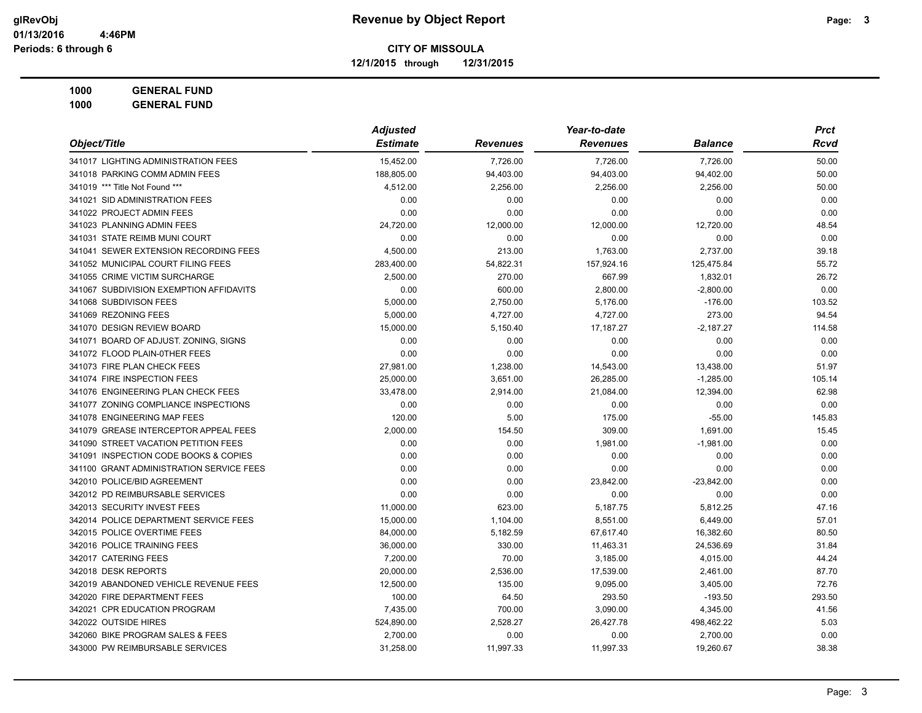**12/1/2015 through 12/31/2015**

|                                          | <b>Adjusted</b> |                 | Year-to-date    |                | <b>Prct</b> |
|------------------------------------------|-----------------|-----------------|-----------------|----------------|-------------|
| Object/Title                             | <b>Estimate</b> | <b>Revenues</b> | <b>Revenues</b> | <b>Balance</b> | <b>Rcvd</b> |
| 341017 LIGHTING ADMINISTRATION FEES      | 15,452.00       | 7,726.00        | 7,726.00        | 7,726.00       | 50.00       |
| 341018 PARKING COMM ADMIN FEES           | 188,805.00      | 94,403.00       | 94,403.00       | 94,402.00      | 50.00       |
| 341019 *** Title Not Found ***           | 4,512.00        | 2,256.00        | 2,256.00        | 2,256.00       | 50.00       |
| 341021 SID ADMINISTRATION FEES           | 0.00            | 0.00            | 0.00            | 0.00           | 0.00        |
| 341022 PROJECT ADMIN FEES                | 0.00            | 0.00            | 0.00            | 0.00           | 0.00        |
| 341023 PLANNING ADMIN FEES               | 24,720.00       | 12,000.00       | 12,000.00       | 12,720.00      | 48.54       |
| 341031 STATE REIMB MUNI COURT            | 0.00            | 0.00            | 0.00            | 0.00           | 0.00        |
| 341041 SEWER EXTENSION RECORDING FEES    | 4,500.00        | 213.00          | 1,763.00        | 2,737.00       | 39.18       |
| 341052 MUNICIPAL COURT FILING FEES       | 283,400.00      | 54,822.31       | 157,924.16      | 125,475.84     | 55.72       |
| 341055 CRIME VICTIM SURCHARGE            | 2,500.00        | 270.00          | 667.99          | 1,832.01       | 26.72       |
| 341067 SUBDIVISION EXEMPTION AFFIDAVITS  | 0.00            | 600.00          | 2,800.00        | $-2,800.00$    | 0.00        |
| 341068 SUBDIVISON FEES                   | 5,000.00        | 2,750.00        | 5,176.00        | $-176.00$      | 103.52      |
| 341069 REZONING FEES                     | 5,000.00        | 4,727.00        | 4,727.00        | 273.00         | 94.54       |
| 341070 DESIGN REVIEW BOARD               | 15,000.00       | 5,150.40        | 17,187.27       | $-2,187.27$    | 114.58      |
| 341071 BOARD OF ADJUST. ZONING, SIGNS    | 0.00            | 0.00            | 0.00            | 0.00           | 0.00        |
| 341072 FLOOD PLAIN-0THER FEES            | 0.00            | 0.00            | 0.00            | 0.00           | 0.00        |
| 341073 FIRE PLAN CHECK FEES              | 27,981.00       | 1,238.00        | 14,543.00       | 13,438.00      | 51.97       |
| 341074 FIRE INSPECTION FEES              | 25,000.00       | 3,651.00        | 26,285.00       | $-1,285.00$    | 105.14      |
| 341076 ENGINEERING PLAN CHECK FEES       | 33,478.00       | 2,914.00        | 21,084.00       | 12,394.00      | 62.98       |
| 341077 ZONING COMPLIANCE INSPECTIONS     | 0.00            | 0.00            | 0.00            | 0.00           | 0.00        |
| 341078 ENGINEERING MAP FEES              | 120.00          | 5.00            | 175.00          | $-55.00$       | 145.83      |
| 341079 GREASE INTERCEPTOR APPEAL FEES    | 2,000.00        | 154.50          | 309.00          | 1,691.00       | 15.45       |
| 341090 STREET VACATION PETITION FEES     | 0.00            | 0.00            | 1,981.00        | $-1,981.00$    | 0.00        |
| 341091 INSPECTION CODE BOOKS & COPIES    | 0.00            | 0.00            | 0.00            | 0.00           | 0.00        |
| 341100 GRANT ADMINISTRATION SERVICE FEES | 0.00            | 0.00            | 0.00            | 0.00           | 0.00        |
| 342010 POLICE/BID AGREEMENT              | 0.00            | 0.00            | 23,842.00       | $-23,842.00$   | 0.00        |
| 342012 PD REIMBURSABLE SERVICES          | 0.00            | 0.00            | 0.00            | 0.00           | 0.00        |
| 342013 SECURITY INVEST FEES              | 11,000.00       | 623.00          | 5,187.75        | 5,812.25       | 47.16       |
| 342014 POLICE DEPARTMENT SERVICE FEES    | 15,000.00       | 1,104.00        | 8,551.00        | 6,449.00       | 57.01       |
| 342015 POLICE OVERTIME FEES              | 84,000.00       | 5,182.59        | 67,617.40       | 16,382.60      | 80.50       |
| 342016 POLICE TRAINING FEES              | 36,000.00       | 330.00          | 11,463.31       | 24,536.69      | 31.84       |
| 342017 CATERING FEES                     | 7,200.00        | 70.00           | 3,185.00        | 4,015.00       | 44.24       |
| 342018 DESK REPORTS                      | 20,000.00       | 2,536.00        | 17,539.00       | 2,461.00       | 87.70       |
| 342019 ABANDONED VEHICLE REVENUE FEES    | 12,500.00       | 135.00          | 9,095.00        | 3,405.00       | 72.76       |
| 342020 FIRE DEPARTMENT FEES              | 100.00          | 64.50           | 293.50          | $-193.50$      | 293.50      |
| 342021 CPR EDUCATION PROGRAM             | 7,435.00        | 700.00          | 3,090.00        | 4,345.00       | 41.56       |
| 342022 OUTSIDE HIRES                     | 524,890.00      | 2,528.27        | 26,427.78       | 498,462.22     | 5.03        |
| 342060 BIKE PROGRAM SALES & FEES         | 2,700.00        | 0.00            | 0.00            | 2,700.00       | 0.00        |
| 343000 PW REIMBURSABLE SERVICES          | 31,258.00       | 11,997.33       | 11,997.33       | 19,260.67      | 38.38       |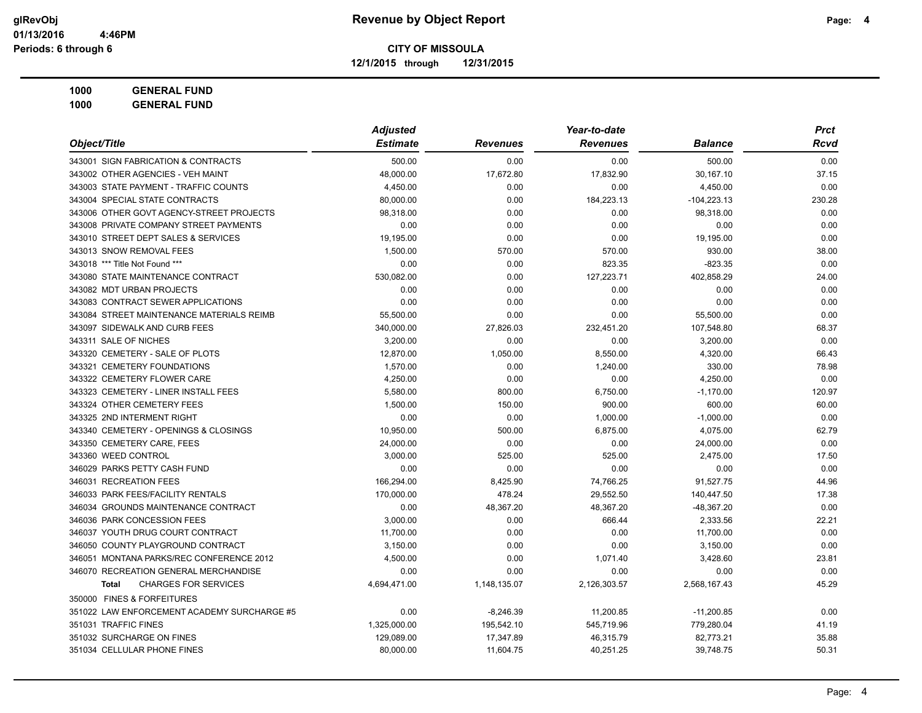**12/1/2015 through 12/31/2015**

|                                             | <b>Adjusted</b> |                 |                 | <b>Prct</b>    |             |
|---------------------------------------------|-----------------|-----------------|-----------------|----------------|-------------|
| Object/Title                                | <b>Estimate</b> | <b>Revenues</b> | <b>Revenues</b> | <b>Balance</b> | <b>Rcvd</b> |
| 343001 SIGN FABRICATION & CONTRACTS         | 500.00          | 0.00            | 0.00            | 500.00         | 0.00        |
| 343002 OTHER AGENCIES - VEH MAINT           | 48,000.00       | 17,672.80       | 17,832.90       | 30,167.10      | 37.15       |
| 343003 STATE PAYMENT - TRAFFIC COUNTS       | 4,450.00        | 0.00            | 0.00            | 4,450.00       | 0.00        |
| 343004 SPECIAL STATE CONTRACTS              | 80,000.00       | 0.00            | 184,223.13      | $-104,223.13$  | 230.28      |
| 343006 OTHER GOVT AGENCY-STREET PROJECTS    | 98,318.00       | 0.00            | 0.00            | 98,318.00      | 0.00        |
| 343008 PRIVATE COMPANY STREET PAYMENTS      | 0.00            | 0.00            | 0.00            | 0.00           | 0.00        |
| 343010 STREET DEPT SALES & SERVICES         | 19,195.00       | 0.00            | 0.00            | 19,195.00      | 0.00        |
| 343013 SNOW REMOVAL FEES                    | 1,500.00        | 570.00          | 570.00          | 930.00         | 38.00       |
| 343018 *** Title Not Found ***              | 0.00            | 0.00            | 823.35          | $-823.35$      | 0.00        |
| 343080 STATE MAINTENANCE CONTRACT           | 530,082.00      | 0.00            | 127,223.71      | 402,858.29     | 24.00       |
| 343082 MDT URBAN PROJECTS                   | 0.00            | 0.00            | 0.00            | 0.00           | 0.00        |
| 343083 CONTRACT SEWER APPLICATIONS          | 0.00            | 0.00            | 0.00            | 0.00           | 0.00        |
| 343084 STREET MAINTENANCE MATERIALS REIMB   | 55,500.00       | 0.00            | 0.00            | 55,500.00      | 0.00        |
| 343097 SIDEWALK AND CURB FEES               | 340,000.00      | 27,826.03       | 232,451.20      | 107,548.80     | 68.37       |
| 343311 SALE OF NICHES                       | 3,200.00        | 0.00            | 0.00            | 3,200.00       | 0.00        |
| 343320 CEMETERY - SALE OF PLOTS             | 12,870.00       | 1,050.00        | 8,550.00        | 4,320.00       | 66.43       |
| 343321 CEMETERY FOUNDATIONS                 | 1,570.00        | 0.00            | 1,240.00        | 330.00         | 78.98       |
| 343322 CEMETERY FLOWER CARE                 | 4.250.00        | 0.00            | 0.00            | 4,250.00       | 0.00        |
| 343323 CEMETERY - LINER INSTALL FEES        | 5,580.00        | 800.00          | 6,750.00        | $-1,170.00$    | 120.97      |
| 343324 OTHER CEMETERY FEES                  | 1,500.00        | 150.00          | 900.00          | 600.00         | 60.00       |
| 343325 2ND INTERMENT RIGHT                  | 0.00            | 0.00            | 1,000.00        | $-1,000.00$    | 0.00        |
| 343340 CEMETERY - OPENINGS & CLOSINGS       | 10,950.00       | 500.00          | 6,875.00        | 4,075.00       | 62.79       |
| 343350 CEMETERY CARE, FEES                  | 24,000.00       | 0.00            | 0.00            | 24,000.00      | 0.00        |
| 343360 WEED CONTROL                         | 3,000.00        | 525.00          | 525.00          | 2,475.00       | 17.50       |
| 346029 PARKS PETTY CASH FUND                | 0.00            | 0.00            | 0.00            | 0.00           | 0.00        |
| 346031 RECREATION FEES                      | 166,294.00      | 8,425.90        | 74,766.25       | 91,527.75      | 44.96       |
| 346033 PARK FEES/FACILITY RENTALS           | 170,000.00      | 478.24          | 29,552.50       | 140,447.50     | 17.38       |
| 346034 GROUNDS MAINTENANCE CONTRACT         | 0.00            | 48,367.20       | 48,367.20       | -48,367.20     | 0.00        |
| 346036 PARK CONCESSION FEES                 | 3,000.00        | 0.00            | 666.44          | 2,333.56       | 22.21       |
| 346037 YOUTH DRUG COURT CONTRACT            | 11,700.00       | 0.00            | 0.00            | 11,700.00      | 0.00        |
| 346050 COUNTY PLAYGROUND CONTRACT           | 3,150.00        | 0.00            | 0.00            | 3,150.00       | 0.00        |
| 346051 MONTANA PARKS/REC CONFERENCE 2012    | 4,500.00        | 0.00            | 1,071.40        | 3,428.60       | 23.81       |
| 346070 RECREATION GENERAL MERCHANDISE       | 0.00            | 0.00            | 0.00            | 0.00           | 0.00        |
| <b>CHARGES FOR SERVICES</b><br><b>Total</b> | 4,694,471.00    | 1,148,135.07    | 2,126,303.57    | 2,568,167.43   | 45.29       |
| 350000 FINES & FORFEITURES                  |                 |                 |                 |                |             |
| 351022 LAW ENFORCEMENT ACADEMY SURCHARGE #5 | 0.00            | $-8,246.39$     | 11,200.85       | $-11,200.85$   | 0.00        |
| 351031 TRAFFIC FINES                        | 1,325,000.00    | 195,542.10      | 545,719.96      | 779,280.04     | 41.19       |
| 351032 SURCHARGE ON FINES                   | 129,089.00      | 17,347.89       | 46,315.79       | 82,773.21      | 35.88       |
| 351034 CELLULAR PHONE FINES                 | 80,000.00       | 11,604.75       | 40,251.25       | 39,748.75      | 50.31       |
|                                             |                 |                 |                 |                |             |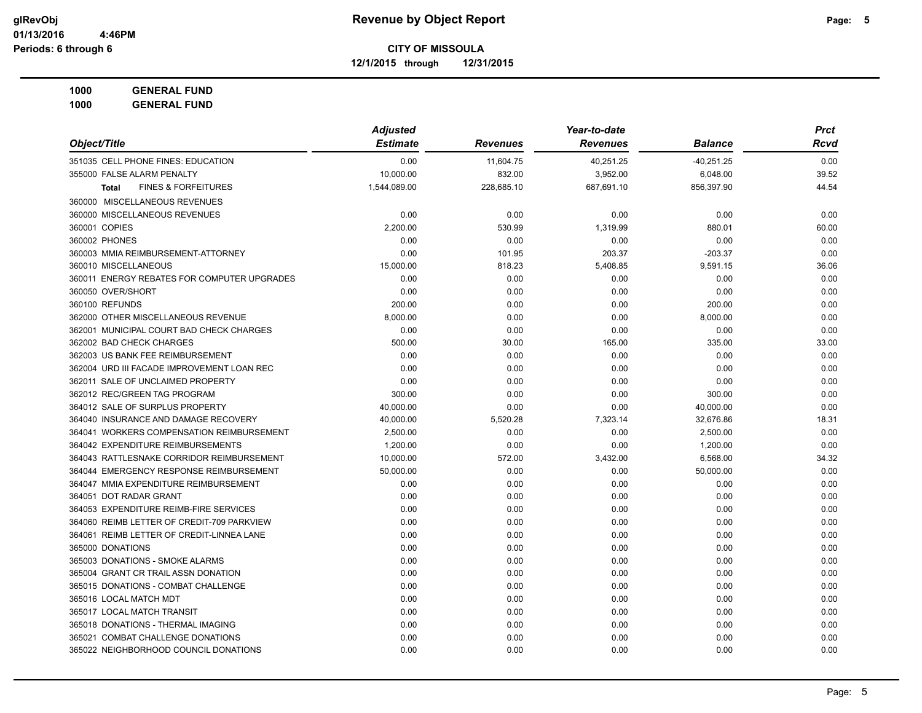**12/1/2015 through 12/31/2015**

**1000 GENERAL FUND**

| <b>GENERAL FUND</b><br>1000                    |                 |                 |                 |                |             |
|------------------------------------------------|-----------------|-----------------|-----------------|----------------|-------------|
|                                                | <b>Adjusted</b> |                 | Year-to-date    |                | <b>Prct</b> |
| Object/Title                                   | <b>Estimate</b> | <b>Revenues</b> | <b>Revenues</b> | <b>Balance</b> | Rcvd        |
| 351035 CELL PHONE FINES: EDUCATION             | 0.00            | 11,604.75       | 40,251.25       | $-40,251.25$   | 0.00        |
| 355000 FALSE ALARM PENALTY                     | 10,000.00       | 832.00          | 3,952.00        | 6,048.00       | 39.52       |
| <b>FINES &amp; FORFEITURES</b><br><b>Total</b> | 1,544,089.00    | 228,685.10      | 687,691.10      | 856,397.90     | 44.54       |
| 360000 MISCELLANEOUS REVENUES                  |                 |                 |                 |                |             |
| 360000 MISCELLANEOUS REVENUES                  | 0.00            | 0.00            | 0.00            | 0.00           | 0.00        |
| 360001 COPIES                                  | 2,200.00        | 530.99          | 1,319.99        | 880.01         | 60.00       |
| 360002 PHONES                                  | 0.00            | 0.00            | 0.00            | 0.00           | 0.00        |
| 360003 MMIA REIMBURSEMENT-ATTORNEY             | 0.00            | 101.95          | 203.37          | $-203.37$      | 0.00        |
| 360010 MISCELLANEOUS                           | 15,000.00       | 818.23          | 5,408.85        | 9,591.15       | 36.06       |
| 360011 ENERGY REBATES FOR COMPUTER UPGRADES    | 0.00            | 0.00            | 0.00            | 0.00           | 0.00        |
| 360050 OVER/SHORT                              | 0.00            | 0.00            | 0.00            | 0.00           | 0.00        |
| 360100 REFUNDS                                 | 200.00          | 0.00            | 0.00            | 200.00         | 0.00        |
| 362000 OTHER MISCELLANEOUS REVENUE             | 8,000.00        | 0.00            | 0.00            | 8,000.00       | 0.00        |
| 362001 MUNICIPAL COURT BAD CHECK CHARGES       | 0.00            | 0.00            | 0.00            | 0.00           | 0.00        |
| 362002 BAD CHECK CHARGES                       | 500.00          | 30.00           | 165.00          | 335.00         | 33.00       |
| 362003 US BANK FEE REIMBURSEMENT               | 0.00            | 0.00            | 0.00            | 0.00           | 0.00        |
| 362004 URD III FACADE IMPROVEMENT LOAN REC     | 0.00            | 0.00            | 0.00            | 0.00           | 0.00        |
| 362011 SALE OF UNCLAIMED PROPERTY              | 0.00            | 0.00            | 0.00            | 0.00           | 0.00        |
| 362012 REC/GREEN TAG PROGRAM                   | 300.00          | 0.00            | 0.00            | 300.00         | 0.00        |
| 364012 SALE OF SURPLUS PROPERTY                | 40,000.00       | 0.00            | 0.00            | 40,000.00      | 0.00        |
| 364040 INSURANCE AND DAMAGE RECOVERY           | 40,000.00       | 5,520.28        | 7,323.14        | 32,676.86      | 18.31       |
| 364041 WORKERS COMPENSATION REIMBURSEMENT      | 2,500.00        | 0.00            | 0.00            | 2,500.00       | 0.00        |
| 364042 EXPENDITURE REIMBURSEMENTS              | 1,200.00        | 0.00            | 0.00            | 1,200.00       | 0.00        |
| 364043 RATTLESNAKE CORRIDOR REIMBURSEMENT      | 10,000.00       | 572.00          | 3,432.00        | 6,568.00       | 34.32       |
| 364044 EMERGENCY RESPONSE REIMBURSEMENT        | 50,000.00       | 0.00            | 0.00            | 50,000.00      | 0.00        |
| 364047 MMIA EXPENDITURE REIMBURSEMENT          | 0.00            | 0.00            | 0.00            | 0.00           | 0.00        |
| 364051 DOT RADAR GRANT                         | 0.00            | 0.00            | 0.00            | 0.00           | 0.00        |
| 364053 EXPENDITURE REIMB-FIRE SERVICES         | 0.00            | 0.00            | 0.00            | 0.00           | 0.00        |
| 364060 REIMB LETTER OF CREDIT-709 PARKVIEW     | 0.00            | 0.00            | 0.00            | 0.00           | 0.00        |
| 364061 REIMB LETTER OF CREDIT-LINNEA LANE      | 0.00            | 0.00            | 0.00            | 0.00           | 0.00        |
| 365000 DONATIONS                               | 0.00            | 0.00            | 0.00            | 0.00           | 0.00        |
| 365003 DONATIONS - SMOKE ALARMS                | 0.00            | 0.00            | 0.00            | 0.00           | 0.00        |
| 365004 GRANT CR TRAIL ASSN DONATION            | 0.00            | 0.00            | 0.00            | 0.00           | 0.00        |
| 365015 DONATIONS - COMBAT CHALLENGE            | 0.00            | 0.00            | 0.00            | 0.00           | 0.00        |

365016 LOCAL MATCH MDT 0.00 0.00 0.00 0.00 0.00 365017 LOCAL MATCH TRANSIT 0.00 0.00 0.00 0.00 0.00 365018 DONATIONS - THERMAL IMAGING 0.00 0.00 0.00 0.00 0.00 365021 COMBAT CHALLENGE DONATIONS 0.00 0.00 0.00 0.00 0.00 365022 NEIGHBORHOOD COUNCIL DONATIONS 0.00 0.00 0.00 0.00 0.00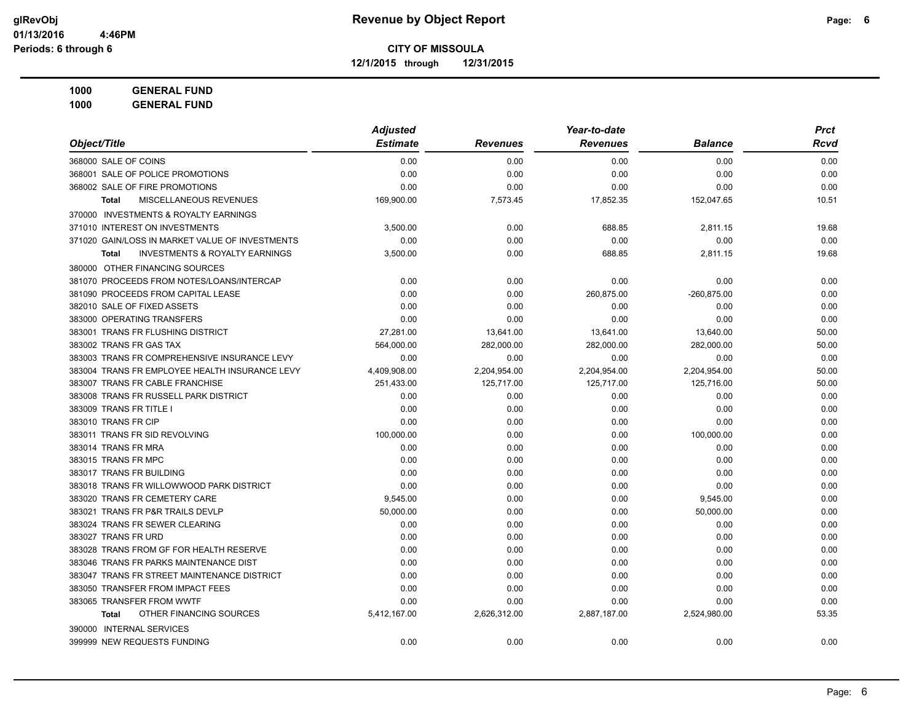**12/1/2015 through 12/31/2015**

|                                                    | <b>Adjusted</b> |              | Year-to-date    |                | <b>Prct</b> |
|----------------------------------------------------|-----------------|--------------|-----------------|----------------|-------------|
| Object/Title                                       | <b>Estimate</b> | Revenues     | <b>Revenues</b> | <b>Balance</b> | <b>Rcvd</b> |
| 368000 SALE OF COINS                               | 0.00            | 0.00         | 0.00            | 0.00           | 0.00        |
| 368001 SALE OF POLICE PROMOTIONS                   | 0.00            | 0.00         | 0.00            | 0.00           | 0.00        |
| 368002 SALE OF FIRE PROMOTIONS                     | 0.00            | 0.00         | 0.00            | 0.00           | 0.00        |
| <b>MISCELLANEOUS REVENUES</b><br><b>Total</b>      | 169,900.00      | 7,573.45     | 17,852.35       | 152,047.65     | 10.51       |
| 370000 INVESTMENTS & ROYALTY EARNINGS              |                 |              |                 |                |             |
| 371010 INTEREST ON INVESTMENTS                     | 3,500.00        | 0.00         | 688.85          | 2,811.15       | 19.68       |
| 371020 GAIN/LOSS IN MARKET VALUE OF INVESTMENTS    | 0.00            | 0.00         | 0.00            | 0.00           | 0.00        |
| <b>INVESTMENTS &amp; ROYALTY EARNINGS</b><br>Total | 3,500.00        | 0.00         | 688.85          | 2,811.15       | 19.68       |
| 380000 OTHER FINANCING SOURCES                     |                 |              |                 |                |             |
| 381070 PROCEEDS FROM NOTES/LOANS/INTERCAP          | 0.00            | 0.00         | 0.00            | 0.00           | 0.00        |
| 381090 PROCEEDS FROM CAPITAL LEASE                 | 0.00            | 0.00         | 260,875.00      | -260,875.00    | 0.00        |
| 382010 SALE OF FIXED ASSETS                        | 0.00            | 0.00         | 0.00            | 0.00           | 0.00        |
| 383000 OPERATING TRANSFERS                         | 0.00            | 0.00         | 0.00            | 0.00           | 0.00        |
| 383001 TRANS FR FLUSHING DISTRICT                  | 27,281.00       | 13,641.00    | 13,641.00       | 13,640.00      | 50.00       |
| 383002 TRANS FR GAS TAX                            | 564,000.00      | 282,000.00   | 282,000.00      | 282,000.00     | 50.00       |
| 383003 TRANS FR COMPREHENSIVE INSURANCE LEVY       | 0.00            | 0.00         | 0.00            | 0.00           | 0.00        |
| 383004 TRANS FR EMPLOYEE HEALTH INSURANCE LEVY     | 4,409,908.00    | 2,204,954.00 | 2,204,954.00    | 2,204,954.00   | 50.00       |
| 383007 TRANS FR CABLE FRANCHISE                    | 251,433.00      | 125,717.00   | 125,717.00      | 125,716.00     | 50.00       |
| 383008 TRANS FR RUSSELL PARK DISTRICT              | 0.00            | 0.00         | 0.00            | 0.00           | 0.00        |
| 383009 TRANS FR TITLE I                            | 0.00            | 0.00         | 0.00            | 0.00           | 0.00        |
| 383010 TRANS FR CIP                                | 0.00            | 0.00         | 0.00            | 0.00           | 0.00        |
| 383011 TRANS FR SID REVOLVING                      | 100,000.00      | 0.00         | 0.00            | 100,000.00     | 0.00        |
| 383014 TRANS FR MRA                                | 0.00            | 0.00         | 0.00            | 0.00           | 0.00        |
| 383015 TRANS FR MPC                                | 0.00            | 0.00         | 0.00            | 0.00           | 0.00        |
| 383017 TRANS FR BUILDING                           | 0.00            | 0.00         | 0.00            | 0.00           | 0.00        |
| 383018 TRANS FR WILLOWWOOD PARK DISTRICT           | 0.00            | 0.00         | 0.00            | 0.00           | 0.00        |
| 383020 TRANS FR CEMETERY CARE                      | 9,545.00        | 0.00         | 0.00            | 9,545.00       | 0.00        |
| 383021 TRANS FR P&R TRAILS DEVLP                   | 50,000.00       | 0.00         | 0.00            | 50,000.00      | 0.00        |
| 383024 TRANS FR SEWER CLEARING                     | 0.00            | 0.00         | 0.00            | 0.00           | 0.00        |
| 383027 TRANS FR URD                                | 0.00            | 0.00         | 0.00            | 0.00           | 0.00        |
| 383028 TRANS FROM GF FOR HEALTH RESERVE            | 0.00            | 0.00         | 0.00            | 0.00           | 0.00        |
| 383046 TRANS FR PARKS MAINTENANCE DIST             | 0.00            | 0.00         | 0.00            | 0.00           | 0.00        |
| 383047 TRANS FR STREET MAINTENANCE DISTRICT        | 0.00            | 0.00         | 0.00            | 0.00           | 0.00        |
| 383050 TRANSFER FROM IMPACT FEES                   | 0.00            | 0.00         | 0.00            | 0.00           | 0.00        |
| 383065 TRANSFER FROM WWTF                          | 0.00            | 0.00         | 0.00            | 0.00           | 0.00        |
| OTHER FINANCING SOURCES<br><b>Total</b>            | 5,412,167.00    | 2,626,312.00 | 2,887,187.00    | 2,524,980.00   | 53.35       |
| 390000 INTERNAL SERVICES                           |                 |              |                 |                |             |
| 399999 NEW REQUESTS FUNDING                        | 0.00            | 0.00         | 0.00            | 0.00           | 0.00        |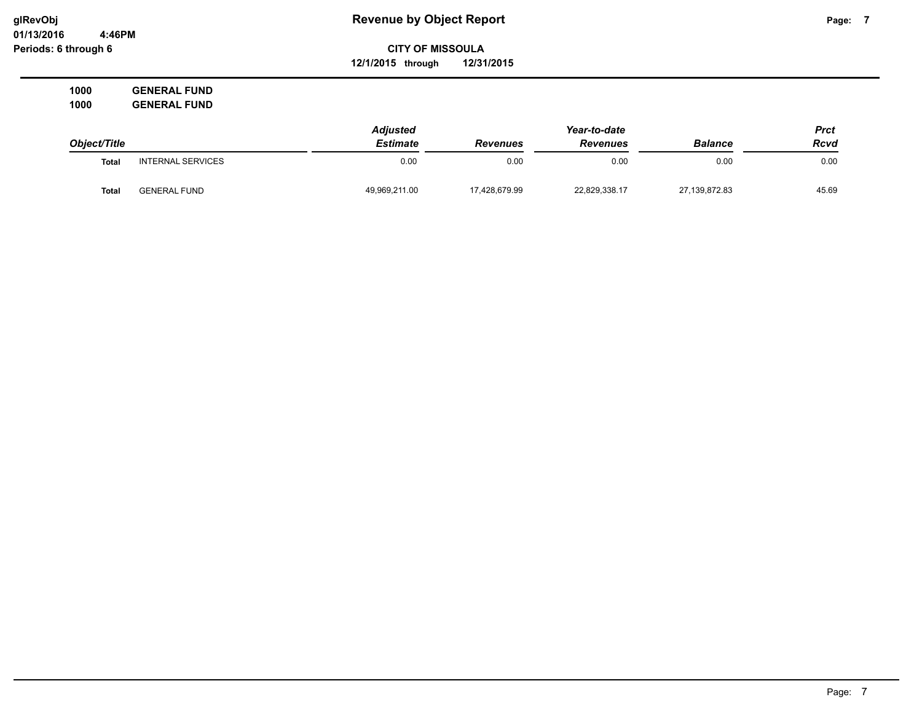# **CITY OF MISSOULA 12/1/2015 through 12/31/2015**

|              |                          | <b>Adjusted</b> |                 | Year-to-date    |                | Prct        |
|--------------|--------------------------|-----------------|-----------------|-----------------|----------------|-------------|
| Object/Title |                          | <b>Estimate</b> | <b>Revenues</b> | <b>Revenues</b> | <b>Balance</b> | <b>Rcvd</b> |
| <b>Total</b> | <b>INTERNAL SERVICES</b> | 0.00            | 0.00            | 0.00            | 0.00           | 0.00        |
| Total        | <b>GENERAL FUND</b>      | 49,969,211.00   | 17.428.679.99   | 22,829,338.17   | 27,139,872.83  | 45.69       |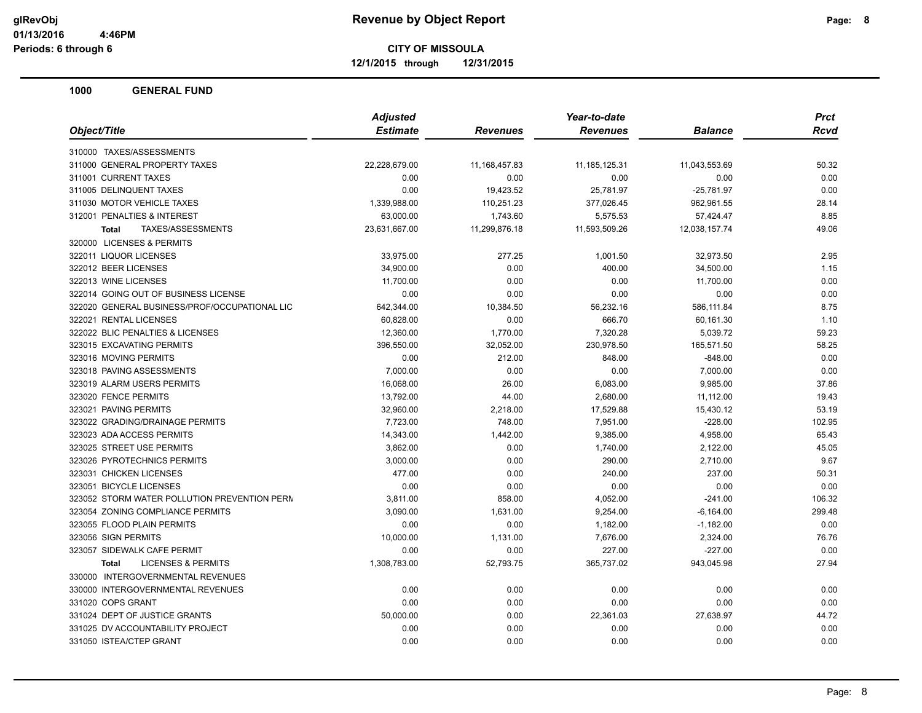**12/1/2015 through 12/31/2015**

|                                               | <b>Adjusted</b> |                 | Year-to-date     | <b>Prct</b>    |        |
|-----------------------------------------------|-----------------|-----------------|------------------|----------------|--------|
| Object/Title                                  | <b>Estimate</b> | <b>Revenues</b> | <b>Revenues</b>  | <b>Balance</b> | Rcvd   |
| 310000 TAXES/ASSESSMENTS                      |                 |                 |                  |                |        |
| 311000 GENERAL PROPERTY TAXES                 | 22,228,679.00   | 11, 168, 457.83 | 11, 185, 125. 31 | 11,043,553.69  | 50.32  |
| 311001 CURRENT TAXES                          | 0.00            | 0.00            | 0.00             | 0.00           | 0.00   |
| 311005 DELINQUENT TAXES                       | 0.00            | 19,423.52       | 25,781.97        | $-25,781.97$   | 0.00   |
| 311030 MOTOR VEHICLE TAXES                    | 1,339,988.00    | 110,251.23      | 377,026.45       | 962,961.55     | 28.14  |
| 312001 PENALTIES & INTEREST                   | 63,000.00       | 1,743.60        | 5,575.53         | 57,424.47      | 8.85   |
| TAXES/ASSESSMENTS<br><b>Total</b>             | 23,631,667.00   | 11,299,876.18   | 11,593,509.26    | 12,038,157.74  | 49.06  |
| 320000 LICENSES & PERMITS                     |                 |                 |                  |                |        |
| 322011 LIQUOR LICENSES                        | 33,975.00       | 277.25          | 1,001.50         | 32,973.50      | 2.95   |
| 322012 BEER LICENSES                          | 34,900.00       | 0.00            | 400.00           | 34,500.00      | 1.15   |
| 322013 WINE LICENSES                          | 11,700.00       | 0.00            | 0.00             | 11,700.00      | 0.00   |
| 322014 GOING OUT OF BUSINESS LICENSE          | 0.00            | 0.00            | 0.00             | 0.00           | 0.00   |
| 322020 GENERAL BUSINESS/PROF/OCCUPATIONAL LIC | 642,344.00      | 10,384.50       | 56,232.16        | 586,111.84     | 8.75   |
| 322021 RENTAL LICENSES                        | 60,828.00       | 0.00            | 666.70           | 60,161.30      | 1.10   |
| 322022 BLIC PENALTIES & LICENSES              | 12,360.00       | 1,770.00        | 7,320.28         | 5,039.72       | 59.23  |
| 323015 EXCAVATING PERMITS                     | 396,550.00      | 32,052.00       | 230,978.50       | 165,571.50     | 58.25  |
| 323016 MOVING PERMITS                         | 0.00            | 212.00          | 848.00           | $-848.00$      | 0.00   |
| 323018 PAVING ASSESSMENTS                     | 7,000.00        | 0.00            | 0.00             | 7,000.00       | 0.00   |
| 323019 ALARM USERS PERMITS                    | 16,068.00       | 26.00           | 6,083.00         | 9,985.00       | 37.86  |
| 323020 FENCE PERMITS                          | 13,792.00       | 44.00           | 2,680.00         | 11,112.00      | 19.43  |
| 323021 PAVING PERMITS                         | 32,960.00       | 2,218.00        | 17,529.88        | 15,430.12      | 53.19  |
| 323022 GRADING/DRAINAGE PERMITS               | 7,723.00        | 748.00          | 7,951.00         | $-228.00$      | 102.95 |
| 323023 ADA ACCESS PERMITS                     | 14,343.00       | 1,442.00        | 9,385.00         | 4,958.00       | 65.43  |
| 323025 STREET USE PERMITS                     | 3,862.00        | 0.00            | 1,740.00         | 2,122.00       | 45.05  |
| 323026 PYROTECHNICS PERMITS                   | 3,000.00        | 0.00            | 290.00           | 2,710.00       | 9.67   |
| 323031 CHICKEN LICENSES                       | 477.00          | 0.00            | 240.00           | 237.00         | 50.31  |
| 323051 BICYCLE LICENSES                       | 0.00            | 0.00            | 0.00             | 0.00           | 0.00   |
| 323052 STORM WATER POLLUTION PREVENTION PERM  | 3,811.00        | 858.00          | 4,052.00         | $-241.00$      | 106.32 |
| 323054 ZONING COMPLIANCE PERMITS              | 3,090.00        | 1,631.00        | 9,254.00         | $-6,164.00$    | 299.48 |
| 323055 FLOOD PLAIN PERMITS                    | 0.00            | 0.00            | 1,182.00         | $-1,182.00$    | 0.00   |
| 323056 SIGN PERMITS                           | 10,000.00       | 1,131.00        | 7,676.00         | 2,324.00       | 76.76  |
| 323057 SIDEWALK CAFE PERMIT                   | 0.00            | 0.00            | 227.00           | $-227.00$      | 0.00   |
| <b>LICENSES &amp; PERMITS</b><br><b>Total</b> | 1,308,783.00    | 52,793.75       | 365,737.02       | 943,045.98     | 27.94  |
| 330000 INTERGOVERNMENTAL REVENUES             |                 |                 |                  |                |        |
| 330000 INTERGOVERNMENTAL REVENUES             | 0.00            | 0.00            | 0.00             | 0.00           | 0.00   |
| 331020 COPS GRANT                             | 0.00            | 0.00            | 0.00             | 0.00           | 0.00   |
| 331024 DEPT OF JUSTICE GRANTS                 | 50,000.00       | 0.00            | 22,361.03        | 27,638.97      | 44.72  |
| 331025 DV ACCOUNTABILITY PROJECT              | 0.00            | 0.00            | 0.00             | 0.00           | 0.00   |
| 331050 ISTEA/CTEP GRANT                       | 0.00            | 0.00            | 0.00             | 0.00           | 0.00   |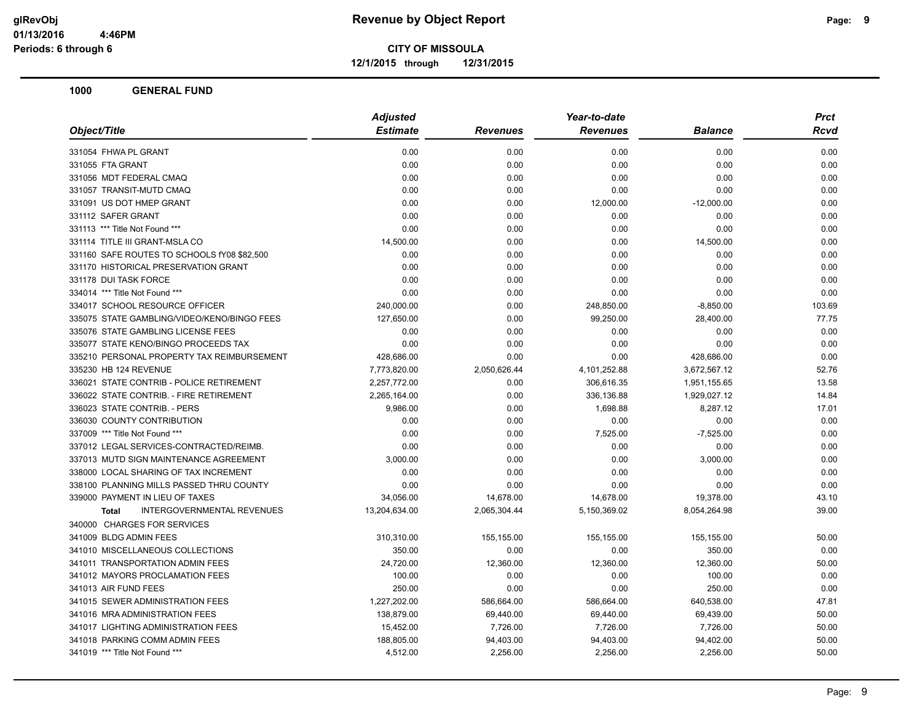**12/1/2015 through 12/31/2015**

| <b>Estimate</b><br><b>Revenues</b><br><b>Revenues</b><br><b>Balance</b><br>0.00<br>0.00<br>0.00<br>0.00<br>0.00<br>0.00<br>0.00<br>0.00<br>0.00<br>0.00<br>0.00<br>0.00<br>0.00<br>0.00<br>0.00<br>0.00<br>0.00<br>0.00<br>12,000.00<br>$-12,000.00$<br>0.00<br>0.00<br>0.00<br>0.00<br>0.00<br>0.00<br>0.00<br>0.00<br>14,500.00<br>0.00<br>0.00<br>14,500.00<br>0.00<br>0.00<br>0.00<br>0.00<br>0.00<br>0.00<br>0.00<br>0.00<br>0.00<br>0.00<br>0.00<br>0.00<br>0.00<br>0.00<br>0.00<br>0.00<br>240,000.00<br>0.00<br>248,850.00<br>$-8,850.00$<br>127,650.00<br>0.00<br>99,250.00<br>28,400.00<br>0.00<br>0.00<br>0.00<br>0.00<br>0.00<br>0.00<br>0.00<br>0.00<br>428,686.00<br>0.00<br>0.00<br>428,686.00<br>7,773,820.00<br>2,050,626.44<br>4,101,252.88<br>3,672,567.12<br>2,257,772.00<br>0.00<br>306,616.35<br>1,951,155.65<br>2,265,164.00<br>0.00<br>336,136.88<br>1,929,027.12<br>0.00<br>9,986.00<br>1,698.88<br>8,287.12<br>0.00<br>0.00<br>0.00<br>0.00<br>0.00<br>0.00<br>7,525.00<br>$-7,525.00$<br>0.00<br>0.00<br>0.00<br>0.00<br>3,000.00<br>0.00<br>0.00<br>3,000.00<br>0.00<br>0.00<br>0.00<br>0.00<br>0.00<br>0.00<br>0.00<br>0.00<br>34,056.00<br>14,678.00<br>14,678.00<br>19,378.00<br><b>INTERGOVERNMENTAL REVENUES</b><br>13,204,634.00<br>2,065,304.44<br>5,150,369.02<br>8,054,264.98<br><b>Total</b><br>310,310.00<br>155,155.00<br>155,155.00<br>155,155.00<br>350.00<br>0.00<br>0.00<br>350.00<br>24,720.00<br>12,360.00<br>12,360.00<br>12,360.00<br>0.00<br>0.00<br>100.00<br>100.00<br>250.00<br>0.00<br>0.00<br>250.00<br>1,227,202.00<br>586,664.00<br>586,664.00<br>640,538.00<br>138,879.00<br>69,440.00<br>69,440.00<br>69,439.00<br>15,452.00<br>7,726.00<br>7,726.00<br>7,726.00<br>188,805.00<br>94,403.00<br>94,403.00<br>94,402.00<br>4,512.00<br>2,256.00<br>2,256.00<br>2,256.00 | Object/Title                                | <b>Adjusted</b><br>Year-to-date |  |  | Prct |        |  |
|---------------------------------------------------------------------------------------------------------------------------------------------------------------------------------------------------------------------------------------------------------------------------------------------------------------------------------------------------------------------------------------------------------------------------------------------------------------------------------------------------------------------------------------------------------------------------------------------------------------------------------------------------------------------------------------------------------------------------------------------------------------------------------------------------------------------------------------------------------------------------------------------------------------------------------------------------------------------------------------------------------------------------------------------------------------------------------------------------------------------------------------------------------------------------------------------------------------------------------------------------------------------------------------------------------------------------------------------------------------------------------------------------------------------------------------------------------------------------------------------------------------------------------------------------------------------------------------------------------------------------------------------------------------------------------------------------------------------------------------------------------------------------------------------------------------------------------|---------------------------------------------|---------------------------------|--|--|------|--------|--|
|                                                                                                                                                                                                                                                                                                                                                                                                                                                                                                                                                                                                                                                                                                                                                                                                                                                                                                                                                                                                                                                                                                                                                                                                                                                                                                                                                                                                                                                                                                                                                                                                                                                                                                                                                                                                                                 |                                             |                                 |  |  |      | Rcvd   |  |
|                                                                                                                                                                                                                                                                                                                                                                                                                                                                                                                                                                                                                                                                                                                                                                                                                                                                                                                                                                                                                                                                                                                                                                                                                                                                                                                                                                                                                                                                                                                                                                                                                                                                                                                                                                                                                                 | 331054 FHWA PL GRANT                        |                                 |  |  |      | 0.00   |  |
|                                                                                                                                                                                                                                                                                                                                                                                                                                                                                                                                                                                                                                                                                                                                                                                                                                                                                                                                                                                                                                                                                                                                                                                                                                                                                                                                                                                                                                                                                                                                                                                                                                                                                                                                                                                                                                 | 331055 FTA GRANT                            |                                 |  |  |      | 0.00   |  |
|                                                                                                                                                                                                                                                                                                                                                                                                                                                                                                                                                                                                                                                                                                                                                                                                                                                                                                                                                                                                                                                                                                                                                                                                                                                                                                                                                                                                                                                                                                                                                                                                                                                                                                                                                                                                                                 | 331056 MDT FEDERAL CMAQ                     |                                 |  |  |      | 0.00   |  |
|                                                                                                                                                                                                                                                                                                                                                                                                                                                                                                                                                                                                                                                                                                                                                                                                                                                                                                                                                                                                                                                                                                                                                                                                                                                                                                                                                                                                                                                                                                                                                                                                                                                                                                                                                                                                                                 | 331057 TRANSIT-MUTD CMAQ                    |                                 |  |  |      | 0.00   |  |
|                                                                                                                                                                                                                                                                                                                                                                                                                                                                                                                                                                                                                                                                                                                                                                                                                                                                                                                                                                                                                                                                                                                                                                                                                                                                                                                                                                                                                                                                                                                                                                                                                                                                                                                                                                                                                                 | 331091 US DOT HMEP GRANT                    |                                 |  |  |      | 0.00   |  |
|                                                                                                                                                                                                                                                                                                                                                                                                                                                                                                                                                                                                                                                                                                                                                                                                                                                                                                                                                                                                                                                                                                                                                                                                                                                                                                                                                                                                                                                                                                                                                                                                                                                                                                                                                                                                                                 | 331112 SAFER GRANT                          |                                 |  |  |      | 0.00   |  |
|                                                                                                                                                                                                                                                                                                                                                                                                                                                                                                                                                                                                                                                                                                                                                                                                                                                                                                                                                                                                                                                                                                                                                                                                                                                                                                                                                                                                                                                                                                                                                                                                                                                                                                                                                                                                                                 | 331113 *** Title Not Found ***              |                                 |  |  |      | 0.00   |  |
|                                                                                                                                                                                                                                                                                                                                                                                                                                                                                                                                                                                                                                                                                                                                                                                                                                                                                                                                                                                                                                                                                                                                                                                                                                                                                                                                                                                                                                                                                                                                                                                                                                                                                                                                                                                                                                 | 331114 TITLE III GRANT-MSLA CO              |                                 |  |  |      | 0.00   |  |
|                                                                                                                                                                                                                                                                                                                                                                                                                                                                                                                                                                                                                                                                                                                                                                                                                                                                                                                                                                                                                                                                                                                                                                                                                                                                                                                                                                                                                                                                                                                                                                                                                                                                                                                                                                                                                                 | 331160 SAFE ROUTES TO SCHOOLS fY08 \$82,500 |                                 |  |  |      | 0.00   |  |
|                                                                                                                                                                                                                                                                                                                                                                                                                                                                                                                                                                                                                                                                                                                                                                                                                                                                                                                                                                                                                                                                                                                                                                                                                                                                                                                                                                                                                                                                                                                                                                                                                                                                                                                                                                                                                                 | 331170 HISTORICAL PRESERVATION GRANT        |                                 |  |  |      | 0.00   |  |
|                                                                                                                                                                                                                                                                                                                                                                                                                                                                                                                                                                                                                                                                                                                                                                                                                                                                                                                                                                                                                                                                                                                                                                                                                                                                                                                                                                                                                                                                                                                                                                                                                                                                                                                                                                                                                                 | 331178 DUI TASK FORCE                       |                                 |  |  |      | 0.00   |  |
|                                                                                                                                                                                                                                                                                                                                                                                                                                                                                                                                                                                                                                                                                                                                                                                                                                                                                                                                                                                                                                                                                                                                                                                                                                                                                                                                                                                                                                                                                                                                                                                                                                                                                                                                                                                                                                 | 334014 *** Title Not Found ***              |                                 |  |  |      | 0.00   |  |
|                                                                                                                                                                                                                                                                                                                                                                                                                                                                                                                                                                                                                                                                                                                                                                                                                                                                                                                                                                                                                                                                                                                                                                                                                                                                                                                                                                                                                                                                                                                                                                                                                                                                                                                                                                                                                                 | 334017 SCHOOL RESOURCE OFFICER              |                                 |  |  |      | 103.69 |  |
|                                                                                                                                                                                                                                                                                                                                                                                                                                                                                                                                                                                                                                                                                                                                                                                                                                                                                                                                                                                                                                                                                                                                                                                                                                                                                                                                                                                                                                                                                                                                                                                                                                                                                                                                                                                                                                 | 335075 STATE GAMBLING/VIDEO/KENO/BINGO FEES |                                 |  |  |      | 77.75  |  |
|                                                                                                                                                                                                                                                                                                                                                                                                                                                                                                                                                                                                                                                                                                                                                                                                                                                                                                                                                                                                                                                                                                                                                                                                                                                                                                                                                                                                                                                                                                                                                                                                                                                                                                                                                                                                                                 | 335076 STATE GAMBLING LICENSE FEES          |                                 |  |  |      | 0.00   |  |
|                                                                                                                                                                                                                                                                                                                                                                                                                                                                                                                                                                                                                                                                                                                                                                                                                                                                                                                                                                                                                                                                                                                                                                                                                                                                                                                                                                                                                                                                                                                                                                                                                                                                                                                                                                                                                                 | 335077 STATE KENO/BINGO PROCEEDS TAX        |                                 |  |  |      | 0.00   |  |
|                                                                                                                                                                                                                                                                                                                                                                                                                                                                                                                                                                                                                                                                                                                                                                                                                                                                                                                                                                                                                                                                                                                                                                                                                                                                                                                                                                                                                                                                                                                                                                                                                                                                                                                                                                                                                                 | 335210 PERSONAL PROPERTY TAX REIMBURSEMENT  |                                 |  |  |      | 0.00   |  |
|                                                                                                                                                                                                                                                                                                                                                                                                                                                                                                                                                                                                                                                                                                                                                                                                                                                                                                                                                                                                                                                                                                                                                                                                                                                                                                                                                                                                                                                                                                                                                                                                                                                                                                                                                                                                                                 | 335230 HB 124 REVENUE                       |                                 |  |  |      | 52.76  |  |
|                                                                                                                                                                                                                                                                                                                                                                                                                                                                                                                                                                                                                                                                                                                                                                                                                                                                                                                                                                                                                                                                                                                                                                                                                                                                                                                                                                                                                                                                                                                                                                                                                                                                                                                                                                                                                                 | 336021 STATE CONTRIB - POLICE RETIREMENT    |                                 |  |  |      | 13.58  |  |
|                                                                                                                                                                                                                                                                                                                                                                                                                                                                                                                                                                                                                                                                                                                                                                                                                                                                                                                                                                                                                                                                                                                                                                                                                                                                                                                                                                                                                                                                                                                                                                                                                                                                                                                                                                                                                                 | 336022 STATE CONTRIB. - FIRE RETIREMENT     |                                 |  |  |      | 14.84  |  |
|                                                                                                                                                                                                                                                                                                                                                                                                                                                                                                                                                                                                                                                                                                                                                                                                                                                                                                                                                                                                                                                                                                                                                                                                                                                                                                                                                                                                                                                                                                                                                                                                                                                                                                                                                                                                                                 | 336023 STATE CONTRIB. - PERS                |                                 |  |  |      | 17.01  |  |
|                                                                                                                                                                                                                                                                                                                                                                                                                                                                                                                                                                                                                                                                                                                                                                                                                                                                                                                                                                                                                                                                                                                                                                                                                                                                                                                                                                                                                                                                                                                                                                                                                                                                                                                                                                                                                                 | 336030 COUNTY CONTRIBUTION                  |                                 |  |  |      | 0.00   |  |
|                                                                                                                                                                                                                                                                                                                                                                                                                                                                                                                                                                                                                                                                                                                                                                                                                                                                                                                                                                                                                                                                                                                                                                                                                                                                                                                                                                                                                                                                                                                                                                                                                                                                                                                                                                                                                                 | 337009 *** Title Not Found ***              |                                 |  |  |      | 0.00   |  |
|                                                                                                                                                                                                                                                                                                                                                                                                                                                                                                                                                                                                                                                                                                                                                                                                                                                                                                                                                                                                                                                                                                                                                                                                                                                                                                                                                                                                                                                                                                                                                                                                                                                                                                                                                                                                                                 | 337012 LEGAL SERVICES-CONTRACTED/REIMB.     |                                 |  |  |      | 0.00   |  |
|                                                                                                                                                                                                                                                                                                                                                                                                                                                                                                                                                                                                                                                                                                                                                                                                                                                                                                                                                                                                                                                                                                                                                                                                                                                                                                                                                                                                                                                                                                                                                                                                                                                                                                                                                                                                                                 | 337013 MUTD SIGN MAINTENANCE AGREEMENT      |                                 |  |  |      | 0.00   |  |
|                                                                                                                                                                                                                                                                                                                                                                                                                                                                                                                                                                                                                                                                                                                                                                                                                                                                                                                                                                                                                                                                                                                                                                                                                                                                                                                                                                                                                                                                                                                                                                                                                                                                                                                                                                                                                                 | 338000 LOCAL SHARING OF TAX INCREMENT       |                                 |  |  |      | 0.00   |  |
|                                                                                                                                                                                                                                                                                                                                                                                                                                                                                                                                                                                                                                                                                                                                                                                                                                                                                                                                                                                                                                                                                                                                                                                                                                                                                                                                                                                                                                                                                                                                                                                                                                                                                                                                                                                                                                 | 338100 PLANNING MILLS PASSED THRU COUNTY    |                                 |  |  |      | 0.00   |  |
|                                                                                                                                                                                                                                                                                                                                                                                                                                                                                                                                                                                                                                                                                                                                                                                                                                                                                                                                                                                                                                                                                                                                                                                                                                                                                                                                                                                                                                                                                                                                                                                                                                                                                                                                                                                                                                 | 339000 PAYMENT IN LIEU OF TAXES             |                                 |  |  |      | 43.10  |  |
|                                                                                                                                                                                                                                                                                                                                                                                                                                                                                                                                                                                                                                                                                                                                                                                                                                                                                                                                                                                                                                                                                                                                                                                                                                                                                                                                                                                                                                                                                                                                                                                                                                                                                                                                                                                                                                 |                                             |                                 |  |  |      | 39.00  |  |
|                                                                                                                                                                                                                                                                                                                                                                                                                                                                                                                                                                                                                                                                                                                                                                                                                                                                                                                                                                                                                                                                                                                                                                                                                                                                                                                                                                                                                                                                                                                                                                                                                                                                                                                                                                                                                                 | 340000 CHARGES FOR SERVICES                 |                                 |  |  |      |        |  |
|                                                                                                                                                                                                                                                                                                                                                                                                                                                                                                                                                                                                                                                                                                                                                                                                                                                                                                                                                                                                                                                                                                                                                                                                                                                                                                                                                                                                                                                                                                                                                                                                                                                                                                                                                                                                                                 | 341009 BLDG ADMIN FEES                      |                                 |  |  |      | 50.00  |  |
|                                                                                                                                                                                                                                                                                                                                                                                                                                                                                                                                                                                                                                                                                                                                                                                                                                                                                                                                                                                                                                                                                                                                                                                                                                                                                                                                                                                                                                                                                                                                                                                                                                                                                                                                                                                                                                 | 341010 MISCELLANEOUS COLLECTIONS            |                                 |  |  |      | 0.00   |  |
|                                                                                                                                                                                                                                                                                                                                                                                                                                                                                                                                                                                                                                                                                                                                                                                                                                                                                                                                                                                                                                                                                                                                                                                                                                                                                                                                                                                                                                                                                                                                                                                                                                                                                                                                                                                                                                 | 341011 TRANSPORTATION ADMIN FEES            |                                 |  |  |      | 50.00  |  |
|                                                                                                                                                                                                                                                                                                                                                                                                                                                                                                                                                                                                                                                                                                                                                                                                                                                                                                                                                                                                                                                                                                                                                                                                                                                                                                                                                                                                                                                                                                                                                                                                                                                                                                                                                                                                                                 | 341012 MAYORS PROCLAMATION FEES             |                                 |  |  |      | 0.00   |  |
|                                                                                                                                                                                                                                                                                                                                                                                                                                                                                                                                                                                                                                                                                                                                                                                                                                                                                                                                                                                                                                                                                                                                                                                                                                                                                                                                                                                                                                                                                                                                                                                                                                                                                                                                                                                                                                 | 341013 AIR FUND FEES                        |                                 |  |  |      | 0.00   |  |
|                                                                                                                                                                                                                                                                                                                                                                                                                                                                                                                                                                                                                                                                                                                                                                                                                                                                                                                                                                                                                                                                                                                                                                                                                                                                                                                                                                                                                                                                                                                                                                                                                                                                                                                                                                                                                                 | 341015 SEWER ADMINISTRATION FEES            |                                 |  |  |      | 47.81  |  |
|                                                                                                                                                                                                                                                                                                                                                                                                                                                                                                                                                                                                                                                                                                                                                                                                                                                                                                                                                                                                                                                                                                                                                                                                                                                                                                                                                                                                                                                                                                                                                                                                                                                                                                                                                                                                                                 | 341016 MRA ADMINISTRATION FEES              |                                 |  |  |      | 50.00  |  |
|                                                                                                                                                                                                                                                                                                                                                                                                                                                                                                                                                                                                                                                                                                                                                                                                                                                                                                                                                                                                                                                                                                                                                                                                                                                                                                                                                                                                                                                                                                                                                                                                                                                                                                                                                                                                                                 | 341017 LIGHTING ADMINISTRATION FEES         |                                 |  |  |      | 50.00  |  |
|                                                                                                                                                                                                                                                                                                                                                                                                                                                                                                                                                                                                                                                                                                                                                                                                                                                                                                                                                                                                                                                                                                                                                                                                                                                                                                                                                                                                                                                                                                                                                                                                                                                                                                                                                                                                                                 | 341018 PARKING COMM ADMIN FEES              |                                 |  |  |      | 50.00  |  |
|                                                                                                                                                                                                                                                                                                                                                                                                                                                                                                                                                                                                                                                                                                                                                                                                                                                                                                                                                                                                                                                                                                                                                                                                                                                                                                                                                                                                                                                                                                                                                                                                                                                                                                                                                                                                                                 | 341019 *** Title Not Found ***              |                                 |  |  |      | 50.00  |  |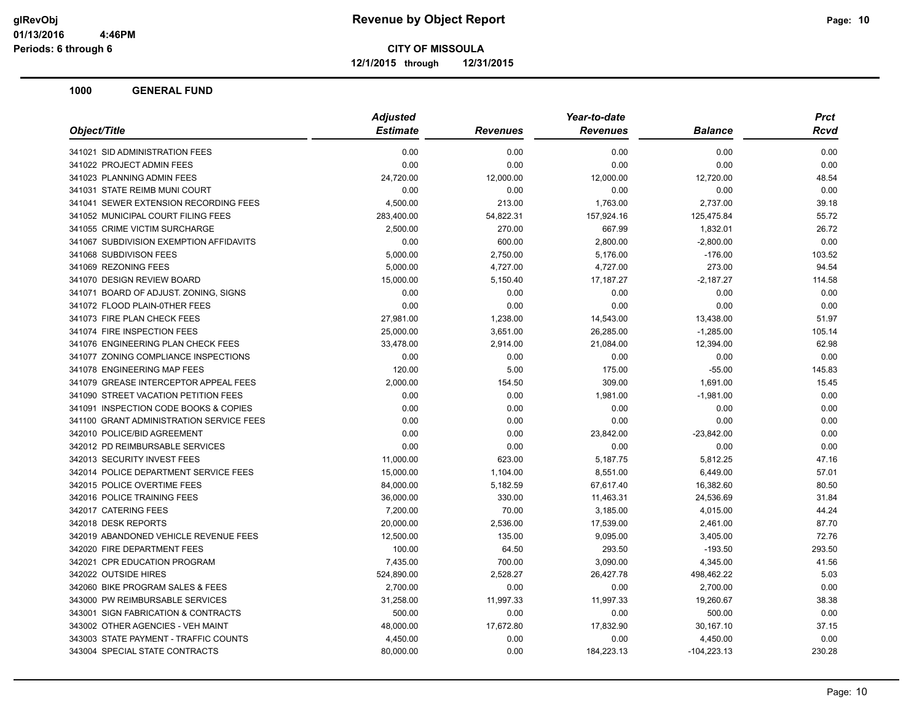**12/1/2015 through 12/31/2015**

|                                          | <b>Adjusted</b> |                 |                 | <b>Prct</b>    |             |
|------------------------------------------|-----------------|-----------------|-----------------|----------------|-------------|
| Object/Title                             | <b>Estimate</b> | <b>Revenues</b> | <b>Revenues</b> | <b>Balance</b> | <b>Rcvd</b> |
| 341021 SID ADMINISTRATION FEES           | 0.00            | 0.00            | 0.00            | 0.00           | 0.00        |
| 341022 PROJECT ADMIN FEES                | 0.00            | 0.00            | 0.00            | 0.00           | 0.00        |
| 341023 PLANNING ADMIN FEES               | 24,720.00       | 12,000.00       | 12,000.00       | 12,720.00      | 48.54       |
| 341031 STATE REIMB MUNI COURT            | 0.00            | 0.00            | 0.00            | 0.00           | 0.00        |
| 341041 SEWER EXTENSION RECORDING FEES    | 4,500.00        | 213.00          | 1,763.00        | 2,737.00       | 39.18       |
| 341052 MUNICIPAL COURT FILING FEES       | 283,400.00      | 54,822.31       | 157,924.16      | 125,475.84     | 55.72       |
| 341055 CRIME VICTIM SURCHARGE            | 2,500.00        | 270.00          | 667.99          | 1,832.01       | 26.72       |
| 341067 SUBDIVISION EXEMPTION AFFIDAVITS  | 0.00            | 600.00          | 2,800.00        | $-2,800.00$    | 0.00        |
| 341068 SUBDIVISON FEES                   | 5,000.00        | 2,750.00        | 5,176.00        | $-176.00$      | 103.52      |
| 341069 REZONING FEES                     | 5,000.00        | 4,727.00        | 4,727.00        | 273.00         | 94.54       |
| 341070 DESIGN REVIEW BOARD               | 15,000.00       | 5,150.40        | 17,187.27       | $-2,187.27$    | 114.58      |
| 341071 BOARD OF ADJUST. ZONING, SIGNS    | 0.00            | 0.00            | 0.00            | 0.00           | 0.00        |
| 341072 FLOOD PLAIN-0THER FEES            | 0.00            | 0.00            | 0.00            | 0.00           | 0.00        |
| 341073 FIRE PLAN CHECK FEES              | 27,981.00       | 1,238.00        | 14,543.00       | 13,438.00      | 51.97       |
| 341074 FIRE INSPECTION FEES              | 25,000.00       | 3,651.00        | 26,285.00       | $-1,285.00$    | 105.14      |
| 341076 ENGINEERING PLAN CHECK FEES       | 33,478.00       | 2,914.00        | 21,084.00       | 12,394.00      | 62.98       |
| 341077 ZONING COMPLIANCE INSPECTIONS     | 0.00            | 0.00            | 0.00            | 0.00           | 0.00        |
| 341078 ENGINEERING MAP FEES              | 120.00          | 5.00            | 175.00          | $-55.00$       | 145.83      |
| 341079 GREASE INTERCEPTOR APPEAL FEES    | 2,000.00        | 154.50          | 309.00          | 1,691.00       | 15.45       |
| 341090 STREET VACATION PETITION FEES     | 0.00            | 0.00            | 1,981.00        | $-1,981.00$    | 0.00        |
| 341091 INSPECTION CODE BOOKS & COPIES    | 0.00            | 0.00            | 0.00            | 0.00           | 0.00        |
| 341100 GRANT ADMINISTRATION SERVICE FEES | 0.00            | 0.00            | 0.00            | 0.00           | 0.00        |
| 342010 POLICE/BID AGREEMENT              | 0.00            | 0.00            | 23,842.00       | $-23,842.00$   | 0.00        |
| 342012 PD REIMBURSABLE SERVICES          | 0.00            | 0.00            | 0.00            | 0.00           | 0.00        |
| 342013 SECURITY INVEST FEES              | 11,000.00       | 623.00          | 5,187.75        | 5,812.25       | 47.16       |
| 342014 POLICE DEPARTMENT SERVICE FEES    | 15,000.00       | 1,104.00        | 8,551.00        | 6,449.00       | 57.01       |
| 342015 POLICE OVERTIME FEES              | 84,000.00       | 5,182.59        | 67,617.40       | 16,382.60      | 80.50       |
| 342016 POLICE TRAINING FEES              | 36,000.00       | 330.00          | 11,463.31       | 24,536.69      | 31.84       |
| 342017 CATERING FEES                     | 7,200.00        | 70.00           | 3,185.00        | 4,015.00       | 44.24       |
| 342018 DESK REPORTS                      | 20,000.00       | 2,536.00        | 17,539.00       | 2,461.00       | 87.70       |
| 342019 ABANDONED VEHICLE REVENUE FEES    | 12,500.00       | 135.00          | 9,095.00        | 3,405.00       | 72.76       |
| 342020 FIRE DEPARTMENT FEES              | 100.00          | 64.50           | 293.50          | $-193.50$      | 293.50      |
| 342021 CPR EDUCATION PROGRAM             | 7,435.00        | 700.00          | 3,090.00        | 4,345.00       | 41.56       |
| 342022 OUTSIDE HIRES                     | 524,890.00      | 2,528.27        | 26,427.78       | 498,462.22     | 5.03        |
| 342060 BIKE PROGRAM SALES & FEES         | 2,700.00        | 0.00            | 0.00            | 2,700.00       | 0.00        |
| 343000 PW REIMBURSABLE SERVICES          | 31,258.00       | 11,997.33       | 11,997.33       | 19,260.67      | 38.38       |
| 343001 SIGN FABRICATION & CONTRACTS      | 500.00          | 0.00            | 0.00            | 500.00         | 0.00        |
| 343002 OTHER AGENCIES - VEH MAINT        | 48,000.00       | 17,672.80       | 17,832.90       | 30,167.10      | 37.15       |
| 343003 STATE PAYMENT - TRAFFIC COUNTS    | 4,450.00        | 0.00            | 0.00            | 4,450.00       | 0.00        |
| 343004 SPECIAL STATE CONTRACTS           | 80,000.00       | 0.00            | 184,223.13      | $-104,223.13$  | 230.28      |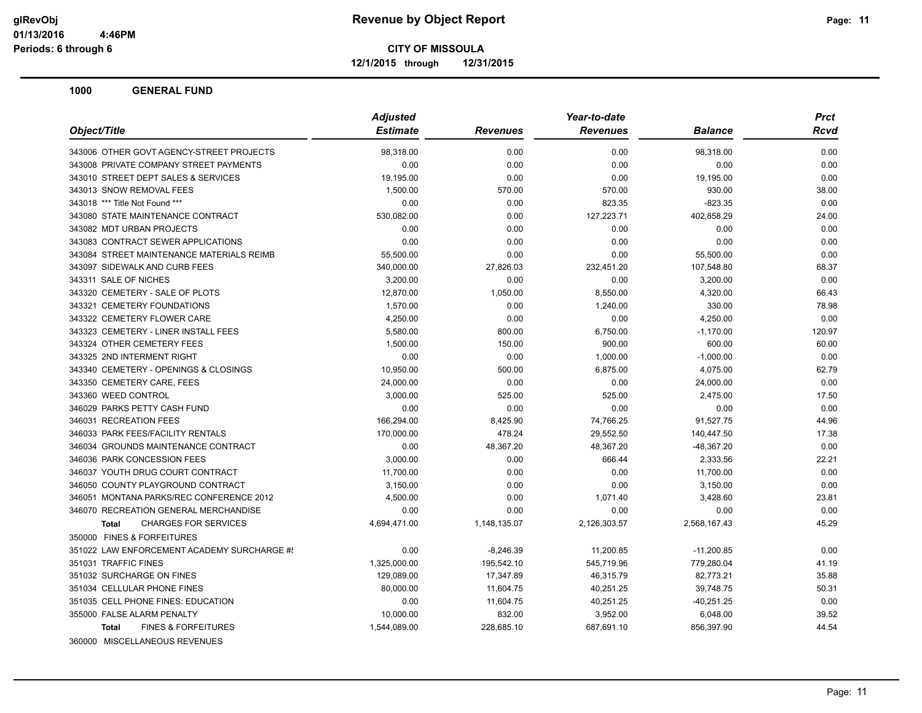**12/1/2015 through 12/31/2015**

| Object/Title<br><b>Estimate</b><br><b>Revenues</b><br><b>Balance</b><br><b>Revenues</b><br>343006 OTHER GOVT AGENCY-STREET PROJECTS<br>98,318.00<br>0.00<br>0.00<br>98,318.00<br>343008 PRIVATE COMPANY STREET PAYMENTS<br>0.00<br>0.00<br>0.00<br>0.00<br>343010 STREET DEPT SALES & SERVICES<br>0.00<br>0.00<br>19,195.00<br>19,195.00<br>343013 SNOW REMOVAL FEES<br>1,500.00<br>570.00<br>570.00<br>930.00<br>343018 *** Title Not Found ***<br>0.00<br>0.00<br>823.35<br>$-823.35$<br>127,223.71<br>343080 STATE MAINTENANCE CONTRACT<br>530,082.00<br>0.00<br>402,858.29<br>343082 MDT URBAN PROJECTS<br>0.00<br>0.00<br>0.00<br>0.00<br>343083 CONTRACT SEWER APPLICATIONS<br>0.00<br>0.00<br>0.00<br>0.00<br>343084 STREET MAINTENANCE MATERIALS REIMB<br>55,500.00<br>0.00<br>0.00<br>55,500.00<br>343097 SIDEWALK AND CURB FEES<br>340,000.00<br>27,826.03<br>232,451.20<br>107,548.80<br>343311 SALE OF NICHES<br>3,200.00<br>0.00<br>0.00<br>3,200.00<br>343320 CEMETERY - SALE OF PLOTS<br>12,870.00<br>1,050.00<br>8,550.00<br>4,320.00<br>343321 CEMETERY FOUNDATIONS<br>1,570.00<br>0.00<br>1,240.00<br>330.00<br>343322 CEMETERY FLOWER CARE<br>4,250.00<br>0.00<br>4,250.00<br>0.00<br>343323 CEMETERY - LINER INSTALL FEES<br>5,580.00<br>800.00<br>6,750.00<br>$-1,170.00$<br>343324 OTHER CEMETERY FEES<br>900.00<br>600.00<br>1,500.00<br>150.00<br>343325 2ND INTERMENT RIGHT<br>0.00<br>0.00<br>1,000.00<br>$-1,000.00$<br>343340 CEMETERY - OPENINGS & CLOSINGS<br>10,950.00<br>500.00<br>6,875.00<br>4,075.00<br>343350 CEMETERY CARE, FEES<br>24,000.00<br>0.00<br>0.00<br>24,000.00<br>343360 WEED CONTROL<br>3,000.00<br>525.00<br>525.00<br>2,475.00<br>346029 PARKS PETTY CASH FUND<br>0.00<br>0.00<br>0.00<br>0.00<br>346031 RECREATION FEES<br>166,294.00<br>8,425.90<br>74,766.25<br>91,527.75<br>346033 PARK FEES/FACILITY RENTALS<br>170,000.00<br>478.24<br>29,552.50<br>140,447.50<br>346034 GROUNDS MAINTENANCE CONTRACT<br>0.00<br>48,367.20<br>48,367.20<br>-48,367.20<br>346036 PARK CONCESSION FEES<br>3,000.00<br>0.00<br>666.44<br>2,333.56 |  |
|------------------------------------------------------------------------------------------------------------------------------------------------------------------------------------------------------------------------------------------------------------------------------------------------------------------------------------------------------------------------------------------------------------------------------------------------------------------------------------------------------------------------------------------------------------------------------------------------------------------------------------------------------------------------------------------------------------------------------------------------------------------------------------------------------------------------------------------------------------------------------------------------------------------------------------------------------------------------------------------------------------------------------------------------------------------------------------------------------------------------------------------------------------------------------------------------------------------------------------------------------------------------------------------------------------------------------------------------------------------------------------------------------------------------------------------------------------------------------------------------------------------------------------------------------------------------------------------------------------------------------------------------------------------------------------------------------------------------------------------------------------------------------------------------------------------------------------------------------------------------------------------------------------------------------------------------------------------------------------------------------------------------------------------------------------------------------------------|--|
|                                                                                                                                                                                                                                                                                                                                                                                                                                                                                                                                                                                                                                                                                                                                                                                                                                                                                                                                                                                                                                                                                                                                                                                                                                                                                                                                                                                                                                                                                                                                                                                                                                                                                                                                                                                                                                                                                                                                                                                                                                                                                          |  |
|                                                                                                                                                                                                                                                                                                                                                                                                                                                                                                                                                                                                                                                                                                                                                                                                                                                                                                                                                                                                                                                                                                                                                                                                                                                                                                                                                                                                                                                                                                                                                                                                                                                                                                                                                                                                                                                                                                                                                                                                                                                                                          |  |
|                                                                                                                                                                                                                                                                                                                                                                                                                                                                                                                                                                                                                                                                                                                                                                                                                                                                                                                                                                                                                                                                                                                                                                                                                                                                                                                                                                                                                                                                                                                                                                                                                                                                                                                                                                                                                                                                                                                                                                                                                                                                                          |  |
|                                                                                                                                                                                                                                                                                                                                                                                                                                                                                                                                                                                                                                                                                                                                                                                                                                                                                                                                                                                                                                                                                                                                                                                                                                                                                                                                                                                                                                                                                                                                                                                                                                                                                                                                                                                                                                                                                                                                                                                                                                                                                          |  |
|                                                                                                                                                                                                                                                                                                                                                                                                                                                                                                                                                                                                                                                                                                                                                                                                                                                                                                                                                                                                                                                                                                                                                                                                                                                                                                                                                                                                                                                                                                                                                                                                                                                                                                                                                                                                                                                                                                                                                                                                                                                                                          |  |
|                                                                                                                                                                                                                                                                                                                                                                                                                                                                                                                                                                                                                                                                                                                                                                                                                                                                                                                                                                                                                                                                                                                                                                                                                                                                                                                                                                                                                                                                                                                                                                                                                                                                                                                                                                                                                                                                                                                                                                                                                                                                                          |  |
|                                                                                                                                                                                                                                                                                                                                                                                                                                                                                                                                                                                                                                                                                                                                                                                                                                                                                                                                                                                                                                                                                                                                                                                                                                                                                                                                                                                                                                                                                                                                                                                                                                                                                                                                                                                                                                                                                                                                                                                                                                                                                          |  |
|                                                                                                                                                                                                                                                                                                                                                                                                                                                                                                                                                                                                                                                                                                                                                                                                                                                                                                                                                                                                                                                                                                                                                                                                                                                                                                                                                                                                                                                                                                                                                                                                                                                                                                                                                                                                                                                                                                                                                                                                                                                                                          |  |
|                                                                                                                                                                                                                                                                                                                                                                                                                                                                                                                                                                                                                                                                                                                                                                                                                                                                                                                                                                                                                                                                                                                                                                                                                                                                                                                                                                                                                                                                                                                                                                                                                                                                                                                                                                                                                                                                                                                                                                                                                                                                                          |  |
|                                                                                                                                                                                                                                                                                                                                                                                                                                                                                                                                                                                                                                                                                                                                                                                                                                                                                                                                                                                                                                                                                                                                                                                                                                                                                                                                                                                                                                                                                                                                                                                                                                                                                                                                                                                                                                                                                                                                                                                                                                                                                          |  |
|                                                                                                                                                                                                                                                                                                                                                                                                                                                                                                                                                                                                                                                                                                                                                                                                                                                                                                                                                                                                                                                                                                                                                                                                                                                                                                                                                                                                                                                                                                                                                                                                                                                                                                                                                                                                                                                                                                                                                                                                                                                                                          |  |
|                                                                                                                                                                                                                                                                                                                                                                                                                                                                                                                                                                                                                                                                                                                                                                                                                                                                                                                                                                                                                                                                                                                                                                                                                                                                                                                                                                                                                                                                                                                                                                                                                                                                                                                                                                                                                                                                                                                                                                                                                                                                                          |  |
|                                                                                                                                                                                                                                                                                                                                                                                                                                                                                                                                                                                                                                                                                                                                                                                                                                                                                                                                                                                                                                                                                                                                                                                                                                                                                                                                                                                                                                                                                                                                                                                                                                                                                                                                                                                                                                                                                                                                                                                                                                                                                          |  |
|                                                                                                                                                                                                                                                                                                                                                                                                                                                                                                                                                                                                                                                                                                                                                                                                                                                                                                                                                                                                                                                                                                                                                                                                                                                                                                                                                                                                                                                                                                                                                                                                                                                                                                                                                                                                                                                                                                                                                                                                                                                                                          |  |
|                                                                                                                                                                                                                                                                                                                                                                                                                                                                                                                                                                                                                                                                                                                                                                                                                                                                                                                                                                                                                                                                                                                                                                                                                                                                                                                                                                                                                                                                                                                                                                                                                                                                                                                                                                                                                                                                                                                                                                                                                                                                                          |  |
|                                                                                                                                                                                                                                                                                                                                                                                                                                                                                                                                                                                                                                                                                                                                                                                                                                                                                                                                                                                                                                                                                                                                                                                                                                                                                                                                                                                                                                                                                                                                                                                                                                                                                                                                                                                                                                                                                                                                                                                                                                                                                          |  |
|                                                                                                                                                                                                                                                                                                                                                                                                                                                                                                                                                                                                                                                                                                                                                                                                                                                                                                                                                                                                                                                                                                                                                                                                                                                                                                                                                                                                                                                                                                                                                                                                                                                                                                                                                                                                                                                                                                                                                                                                                                                                                          |  |
|                                                                                                                                                                                                                                                                                                                                                                                                                                                                                                                                                                                                                                                                                                                                                                                                                                                                                                                                                                                                                                                                                                                                                                                                                                                                                                                                                                                                                                                                                                                                                                                                                                                                                                                                                                                                                                                                                                                                                                                                                                                                                          |  |
|                                                                                                                                                                                                                                                                                                                                                                                                                                                                                                                                                                                                                                                                                                                                                                                                                                                                                                                                                                                                                                                                                                                                                                                                                                                                                                                                                                                                                                                                                                                                                                                                                                                                                                                                                                                                                                                                                                                                                                                                                                                                                          |  |
|                                                                                                                                                                                                                                                                                                                                                                                                                                                                                                                                                                                                                                                                                                                                                                                                                                                                                                                                                                                                                                                                                                                                                                                                                                                                                                                                                                                                                                                                                                                                                                                                                                                                                                                                                                                                                                                                                                                                                                                                                                                                                          |  |
|                                                                                                                                                                                                                                                                                                                                                                                                                                                                                                                                                                                                                                                                                                                                                                                                                                                                                                                                                                                                                                                                                                                                                                                                                                                                                                                                                                                                                                                                                                                                                                                                                                                                                                                                                                                                                                                                                                                                                                                                                                                                                          |  |
|                                                                                                                                                                                                                                                                                                                                                                                                                                                                                                                                                                                                                                                                                                                                                                                                                                                                                                                                                                                                                                                                                                                                                                                                                                                                                                                                                                                                                                                                                                                                                                                                                                                                                                                                                                                                                                                                                                                                                                                                                                                                                          |  |
|                                                                                                                                                                                                                                                                                                                                                                                                                                                                                                                                                                                                                                                                                                                                                                                                                                                                                                                                                                                                                                                                                                                                                                                                                                                                                                                                                                                                                                                                                                                                                                                                                                                                                                                                                                                                                                                                                                                                                                                                                                                                                          |  |
|                                                                                                                                                                                                                                                                                                                                                                                                                                                                                                                                                                                                                                                                                                                                                                                                                                                                                                                                                                                                                                                                                                                                                                                                                                                                                                                                                                                                                                                                                                                                                                                                                                                                                                                                                                                                                                                                                                                                                                                                                                                                                          |  |
|                                                                                                                                                                                                                                                                                                                                                                                                                                                                                                                                                                                                                                                                                                                                                                                                                                                                                                                                                                                                                                                                                                                                                                                                                                                                                                                                                                                                                                                                                                                                                                                                                                                                                                                                                                                                                                                                                                                                                                                                                                                                                          |  |
|                                                                                                                                                                                                                                                                                                                                                                                                                                                                                                                                                                                                                                                                                                                                                                                                                                                                                                                                                                                                                                                                                                                                                                                                                                                                                                                                                                                                                                                                                                                                                                                                                                                                                                                                                                                                                                                                                                                                                                                                                                                                                          |  |
| 346037 YOUTH DRUG COURT CONTRACT<br>11,700.00<br>0.00<br>11,700.00<br>0.00                                                                                                                                                                                                                                                                                                                                                                                                                                                                                                                                                                                                                                                                                                                                                                                                                                                                                                                                                                                                                                                                                                                                                                                                                                                                                                                                                                                                                                                                                                                                                                                                                                                                                                                                                                                                                                                                                                                                                                                                               |  |
| 346050 COUNTY PLAYGROUND CONTRACT<br>3,150.00<br>0.00<br>0.00<br>3,150.00                                                                                                                                                                                                                                                                                                                                                                                                                                                                                                                                                                                                                                                                                                                                                                                                                                                                                                                                                                                                                                                                                                                                                                                                                                                                                                                                                                                                                                                                                                                                                                                                                                                                                                                                                                                                                                                                                                                                                                                                                |  |
| 346051 MONTANA PARKS/REC CONFERENCE 2012<br>4,500.00<br>0.00<br>1,071.40<br>3,428.60                                                                                                                                                                                                                                                                                                                                                                                                                                                                                                                                                                                                                                                                                                                                                                                                                                                                                                                                                                                                                                                                                                                                                                                                                                                                                                                                                                                                                                                                                                                                                                                                                                                                                                                                                                                                                                                                                                                                                                                                     |  |
| 346070 RECREATION GENERAL MERCHANDISE<br>0.00<br>0.00<br>0.00<br>0.00                                                                                                                                                                                                                                                                                                                                                                                                                                                                                                                                                                                                                                                                                                                                                                                                                                                                                                                                                                                                                                                                                                                                                                                                                                                                                                                                                                                                                                                                                                                                                                                                                                                                                                                                                                                                                                                                                                                                                                                                                    |  |
| 4,694,471.00<br>2,568,167.43<br><b>CHARGES FOR SERVICES</b><br>1,148,135.07<br>2,126,303.57<br><b>Total</b>                                                                                                                                                                                                                                                                                                                                                                                                                                                                                                                                                                                                                                                                                                                                                                                                                                                                                                                                                                                                                                                                                                                                                                                                                                                                                                                                                                                                                                                                                                                                                                                                                                                                                                                                                                                                                                                                                                                                                                              |  |
| 350000 FINES & FORFEITURES                                                                                                                                                                                                                                                                                                                                                                                                                                                                                                                                                                                                                                                                                                                                                                                                                                                                                                                                                                                                                                                                                                                                                                                                                                                                                                                                                                                                                                                                                                                                                                                                                                                                                                                                                                                                                                                                                                                                                                                                                                                               |  |
| 351022 LAW ENFORCEMENT ACADEMY SURCHARGE #!<br>0.00<br>11,200.85<br>$-11,200.85$<br>$-8,246.39$                                                                                                                                                                                                                                                                                                                                                                                                                                                                                                                                                                                                                                                                                                                                                                                                                                                                                                                                                                                                                                                                                                                                                                                                                                                                                                                                                                                                                                                                                                                                                                                                                                                                                                                                                                                                                                                                                                                                                                                          |  |
| 351031 TRAFFIC FINES<br>1,325,000.00<br>195,542.10<br>779,280.04<br>545,719.96                                                                                                                                                                                                                                                                                                                                                                                                                                                                                                                                                                                                                                                                                                                                                                                                                                                                                                                                                                                                                                                                                                                                                                                                                                                                                                                                                                                                                                                                                                                                                                                                                                                                                                                                                                                                                                                                                                                                                                                                           |  |
| 351032 SURCHARGE ON FINES<br>82,773.21<br>129,089.00<br>17,347.89<br>46,315.79                                                                                                                                                                                                                                                                                                                                                                                                                                                                                                                                                                                                                                                                                                                                                                                                                                                                                                                                                                                                                                                                                                                                                                                                                                                                                                                                                                                                                                                                                                                                                                                                                                                                                                                                                                                                                                                                                                                                                                                                           |  |
| 351034 CELLULAR PHONE FINES<br>80,000.00<br>11,604.75<br>40,251.25<br>39,748.75                                                                                                                                                                                                                                                                                                                                                                                                                                                                                                                                                                                                                                                                                                                                                                                                                                                                                                                                                                                                                                                                                                                                                                                                                                                                                                                                                                                                                                                                                                                                                                                                                                                                                                                                                                                                                                                                                                                                                                                                          |  |
| 351035 CELL PHONE FINES: EDUCATION<br>0.00<br>11,604.75<br>40,251.25<br>$-40,251.25$                                                                                                                                                                                                                                                                                                                                                                                                                                                                                                                                                                                                                                                                                                                                                                                                                                                                                                                                                                                                                                                                                                                                                                                                                                                                                                                                                                                                                                                                                                                                                                                                                                                                                                                                                                                                                                                                                                                                                                                                     |  |
| 355000 FALSE ALARM PENALTY<br>10,000.00<br>832.00<br>3,952.00<br>6,048.00                                                                                                                                                                                                                                                                                                                                                                                                                                                                                                                                                                                                                                                                                                                                                                                                                                                                                                                                                                                                                                                                                                                                                                                                                                                                                                                                                                                                                                                                                                                                                                                                                                                                                                                                                                                                                                                                                                                                                                                                                |  |
| <b>FINES &amp; FORFEITURES</b><br>1,544,089.00<br>228,685.10<br>687,691.10<br>856,397.90<br>Total                                                                                                                                                                                                                                                                                                                                                                                                                                                                                                                                                                                                                                                                                                                                                                                                                                                                                                                                                                                                                                                                                                                                                                                                                                                                                                                                                                                                                                                                                                                                                                                                                                                                                                                                                                                                                                                                                                                                                                                        |  |
| 360000 MISCELLANEOUS REVENUES                                                                                                                                                                                                                                                                                                                                                                                                                                                                                                                                                                                                                                                                                                                                                                                                                                                                                                                                                                                                                                                                                                                                                                                                                                                                                                                                                                                                                                                                                                                                                                                                                                                                                                                                                                                                                                                                                                                                                                                                                                                            |  |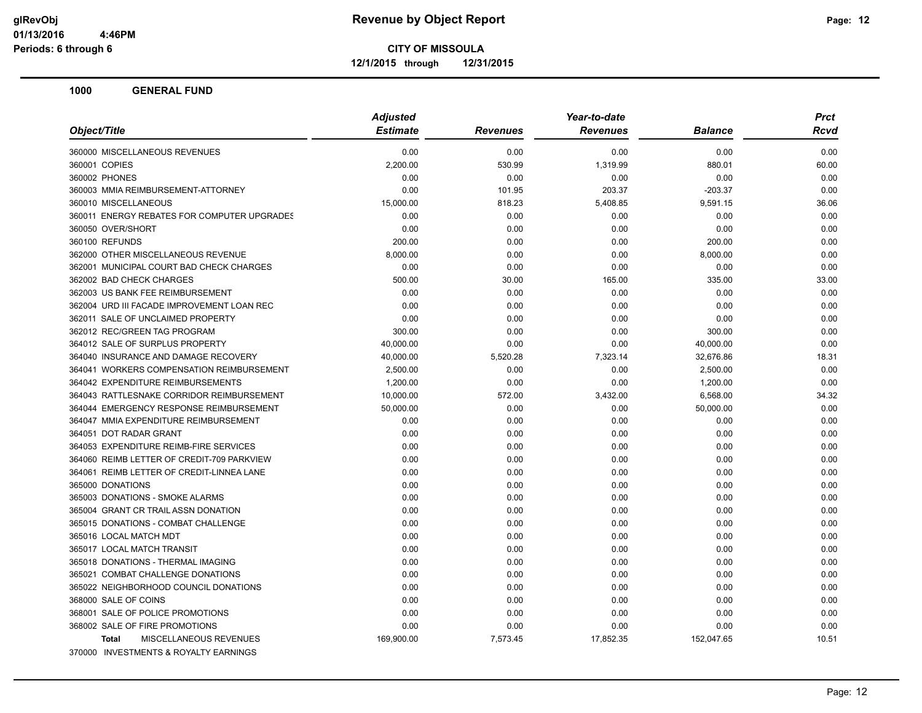**12/1/2015 through 12/31/2015**

|                                               | <b>Adjusted</b> |                 | Year-to-date    |                | <b>Prct</b> |
|-----------------------------------------------|-----------------|-----------------|-----------------|----------------|-------------|
| Object/Title                                  | <b>Estimate</b> | <b>Revenues</b> | <b>Revenues</b> | <b>Balance</b> | Rcvd        |
| 360000 MISCELLANEOUS REVENUES                 | 0.00            | 0.00            | 0.00            | 0.00           | 0.00        |
| 360001 COPIES                                 | 2,200.00        | 530.99          | 1,319.99        | 880.01         | 60.00       |
| 360002 PHONES                                 | 0.00            | 0.00            | 0.00            | 0.00           | 0.00        |
| 360003 MMIA REIMBURSEMENT-ATTORNEY            | 0.00            | 101.95          | 203.37          | $-203.37$      | 0.00        |
| 360010 MISCELLANEOUS                          | 15,000.00       | 818.23          | 5,408.85        | 9,591.15       | 36.06       |
| 360011 ENERGY REBATES FOR COMPUTER UPGRADES   | 0.00            | 0.00            | 0.00            | 0.00           | 0.00        |
| 360050 OVER/SHORT                             | 0.00            | 0.00            | 0.00            | 0.00           | 0.00        |
| 360100 REFUNDS                                | 200.00          | 0.00            | 0.00            | 200.00         | 0.00        |
| 362000 OTHER MISCELLANEOUS REVENUE            | 8,000.00        | 0.00            | 0.00            | 8,000.00       | 0.00        |
| 362001 MUNICIPAL COURT BAD CHECK CHARGES      | 0.00            | 0.00            | 0.00            | 0.00           | 0.00        |
| 362002 BAD CHECK CHARGES                      | 500.00          | 30.00           | 165.00          | 335.00         | 33.00       |
| 362003 US BANK FEE REIMBURSEMENT              | 0.00            | 0.00            | 0.00            | 0.00           | 0.00        |
| 362004 URD III FACADE IMPROVEMENT LOAN REC    | 0.00            | 0.00            | 0.00            | 0.00           | 0.00        |
| 362011 SALE OF UNCLAIMED PROPERTY             | 0.00            | 0.00            | 0.00            | 0.00           | 0.00        |
| 362012 REC/GREEN TAG PROGRAM                  | 300.00          | 0.00            | 0.00            | 300.00         | 0.00        |
| 364012 SALE OF SURPLUS PROPERTY               | 40,000.00       | 0.00            | 0.00            | 40,000.00      | 0.00        |
| 364040 INSURANCE AND DAMAGE RECOVERY          | 40,000.00       | 5,520.28        | 7,323.14        | 32,676.86      | 18.31       |
| 364041 WORKERS COMPENSATION REIMBURSEMENT     | 2.500.00        | 0.00            | 0.00            | 2,500.00       | 0.00        |
| 364042 EXPENDITURE REIMBURSEMENTS             | 1,200.00        | 0.00            | 0.00            | 1,200.00       | 0.00        |
| 364043 RATTLESNAKE CORRIDOR REIMBURSEMENT     | 10,000.00       | 572.00          | 3,432.00        | 6,568.00       | 34.32       |
| 364044 EMERGENCY RESPONSE REIMBURSEMENT       | 50,000.00       | 0.00            | 0.00            | 50,000.00      | 0.00        |
| 364047 MMIA EXPENDITURE REIMBURSEMENT         | 0.00            | 0.00            | 0.00            | 0.00           | 0.00        |
| 364051 DOT RADAR GRANT                        | 0.00            | 0.00            | 0.00            | 0.00           | 0.00        |
| 364053 EXPENDITURE REIMB-FIRE SERVICES        | 0.00            | 0.00            | 0.00            | 0.00           | 0.00        |
| 364060 REIMB LETTER OF CREDIT-709 PARKVIEW    | 0.00            | 0.00            | 0.00            | 0.00           | 0.00        |
| 364061 REIMB LETTER OF CREDIT-LINNEA LANE     | 0.00            | 0.00            | 0.00            | 0.00           | 0.00        |
| 365000 DONATIONS                              | 0.00            | 0.00            | 0.00            | 0.00           | 0.00        |
| 365003 DONATIONS - SMOKE ALARMS               | 0.00            | 0.00            | 0.00            | 0.00           | 0.00        |
| 365004 GRANT CR TRAIL ASSN DONATION           | 0.00            | 0.00            | 0.00            | 0.00           | 0.00        |
| 365015 DONATIONS - COMBAT CHALLENGE           | 0.00            | 0.00            | 0.00            | 0.00           | 0.00        |
| 365016 LOCAL MATCH MDT                        | 0.00            | 0.00            | 0.00            | 0.00           | 0.00        |
| 365017 LOCAL MATCH TRANSIT                    | 0.00            | 0.00            | 0.00            | 0.00           | 0.00        |
| 365018 DONATIONS - THERMAL IMAGING            | 0.00            | 0.00            | 0.00            | 0.00           | 0.00        |
| 365021 COMBAT CHALLENGE DONATIONS             | 0.00            | 0.00            | 0.00            | 0.00           | 0.00        |
| 365022 NEIGHBORHOOD COUNCIL DONATIONS         | 0.00            | 0.00            | 0.00            | 0.00           | 0.00        |
| 368000 SALE OF COINS                          | 0.00            | 0.00            | 0.00            | 0.00           | 0.00        |
| 368001 SALE OF POLICE PROMOTIONS              | 0.00            | 0.00            | 0.00            | 0.00           | 0.00        |
| 368002 SALE OF FIRE PROMOTIONS                | 0.00            | 0.00            | 0.00            | 0.00           | 0.00        |
| <b>MISCELLANEOUS REVENUES</b><br><b>Total</b> | 169,900.00      | 7,573.45        | 17,852.35       | 152,047.65     | 10.51       |
| 370000 INVESTMENTS & ROYALTY EARNINGS         |                 |                 |                 |                |             |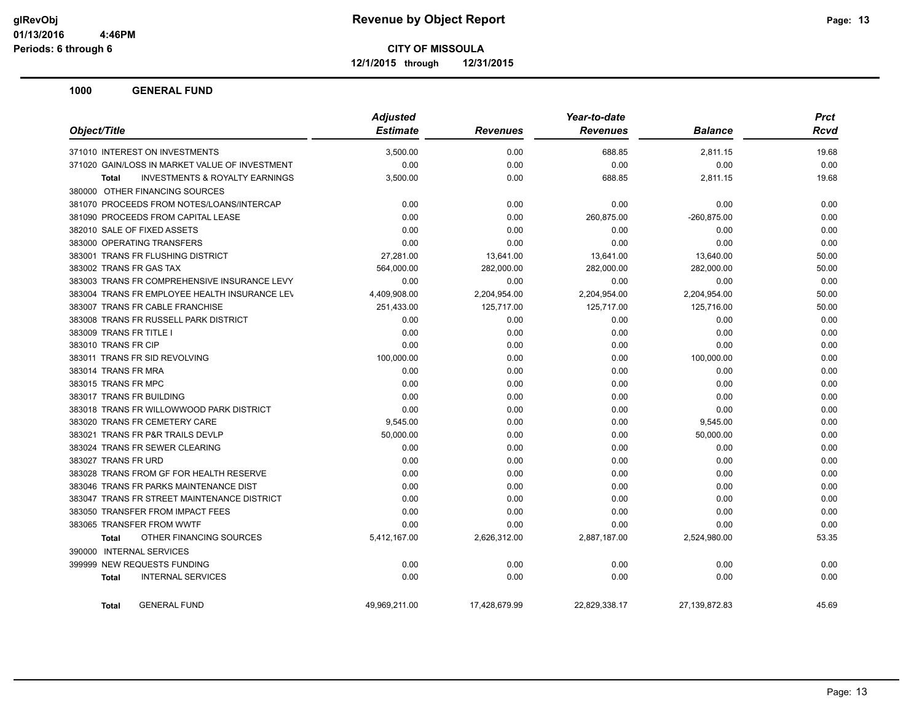**12/1/2015 through 12/31/2015**

| Object/Title                                              | <b>Adjusted</b> |                 |                 | <b>Prct</b>    |             |
|-----------------------------------------------------------|-----------------|-----------------|-----------------|----------------|-------------|
|                                                           | <b>Estimate</b> | <b>Revenues</b> | <b>Revenues</b> | <b>Balance</b> | <b>Rcvd</b> |
| 371010 INTEREST ON INVESTMENTS                            | 3,500.00        | 0.00            | 688.85          | 2.811.15       | 19.68       |
| 371020 GAIN/LOSS IN MARKET VALUE OF INVESTMENT            | 0.00            | 0.00            | 0.00            | 0.00           | 0.00        |
| <b>INVESTMENTS &amp; ROYALTY EARNINGS</b><br><b>Total</b> | 3,500.00        | 0.00            | 688.85          | 2,811.15       | 19.68       |
| 380000 OTHER FINANCING SOURCES                            |                 |                 |                 |                |             |
| 381070 PROCEEDS FROM NOTES/LOANS/INTERCAP                 | 0.00            | 0.00            | 0.00            | 0.00           | 0.00        |
| 381090 PROCEEDS FROM CAPITAL LEASE                        | 0.00            | 0.00            | 260,875.00      | $-260,875.00$  | 0.00        |
| 382010 SALE OF FIXED ASSETS                               | 0.00            | 0.00            | 0.00            | 0.00           | 0.00        |
| 383000 OPERATING TRANSFERS                                | 0.00            | 0.00            | 0.00            | 0.00           | 0.00        |
| 383001 TRANS FR FLUSHING DISTRICT                         | 27,281.00       | 13,641.00       | 13,641.00       | 13,640.00      | 50.00       |
| 383002 TRANS FR GAS TAX                                   | 564,000.00      | 282,000.00      | 282,000.00      | 282,000.00     | 50.00       |
| 383003 TRANS FR COMPREHENSIVE INSURANCE LEVY              | 0.00            | 0.00            | 0.00            | 0.00           | 0.00        |
| 383004 TRANS FR EMPLOYEE HEALTH INSURANCE LEV             | 4,409,908.00    | 2,204,954.00    | 2,204,954.00    | 2,204,954.00   | 50.00       |
| 383007 TRANS FR CABLE FRANCHISE                           | 251,433.00      | 125,717.00      | 125,717.00      | 125,716.00     | 50.00       |
| 383008 TRANS FR RUSSELL PARK DISTRICT                     | 0.00            | 0.00            | 0.00            | 0.00           | 0.00        |
| 383009 TRANS FR TITLE I                                   | 0.00            | 0.00            | 0.00            | 0.00           | 0.00        |
| 383010 TRANS FR CIP                                       | 0.00            | 0.00            | 0.00            | 0.00           | 0.00        |
| 383011 TRANS FR SID REVOLVING                             | 100,000.00      | 0.00            | 0.00            | 100,000.00     | 0.00        |
| 383014 TRANS FR MRA                                       | 0.00            | 0.00            | 0.00            | 0.00           | 0.00        |
| 383015 TRANS FR MPC                                       | 0.00            | 0.00            | 0.00            | 0.00           | 0.00        |
| 383017 TRANS FR BUILDING                                  | 0.00            | 0.00            | 0.00            | 0.00           | 0.00        |
| 383018 TRANS FR WILLOWWOOD PARK DISTRICT                  | 0.00            | 0.00            | 0.00            | 0.00           | 0.00        |
| 383020 TRANS FR CEMETERY CARE                             | 9,545.00        | 0.00            | 0.00            | 9,545.00       | 0.00        |
| 383021 TRANS FR P&R TRAILS DEVLP                          | 50,000.00       | 0.00            | 0.00            | 50,000.00      | 0.00        |
| 383024 TRANS FR SEWER CLEARING                            | 0.00            | 0.00            | 0.00            | 0.00           | 0.00        |
| 383027 TRANS FR URD                                       | 0.00            | 0.00            | 0.00            | 0.00           | 0.00        |
| 383028 TRANS FROM GF FOR HEALTH RESERVE                   | 0.00            | 0.00            | 0.00            | 0.00           | 0.00        |
| 383046 TRANS FR PARKS MAINTENANCE DIST                    | 0.00            | 0.00            | 0.00            | 0.00           | 0.00        |
| 383047 TRANS FR STREET MAINTENANCE DISTRICT               | 0.00            | 0.00            | 0.00            | 0.00           | 0.00        |
| 383050 TRANSFER FROM IMPACT FEES                          | 0.00            | 0.00            | 0.00            | 0.00           | 0.00        |
| 383065 TRANSFER FROM WWTF                                 | 0.00            | 0.00            | 0.00            | 0.00           | 0.00        |
| OTHER FINANCING SOURCES<br><b>Total</b>                   | 5,412,167.00    | 2,626,312.00    | 2,887,187.00    | 2,524,980.00   | 53.35       |
| 390000 INTERNAL SERVICES                                  |                 |                 |                 |                |             |
| 399999 NEW REQUESTS FUNDING                               | 0.00            | 0.00            | 0.00            | 0.00           | 0.00        |
| <b>INTERNAL SERVICES</b><br><b>Total</b>                  | 0.00            | 0.00            | 0.00            | 0.00           | 0.00        |
| <b>GENERAL FUND</b><br><b>Total</b>                       | 49,969,211.00   | 17,428,679.99   | 22,829,338.17   | 27,139,872.83  | 45.69       |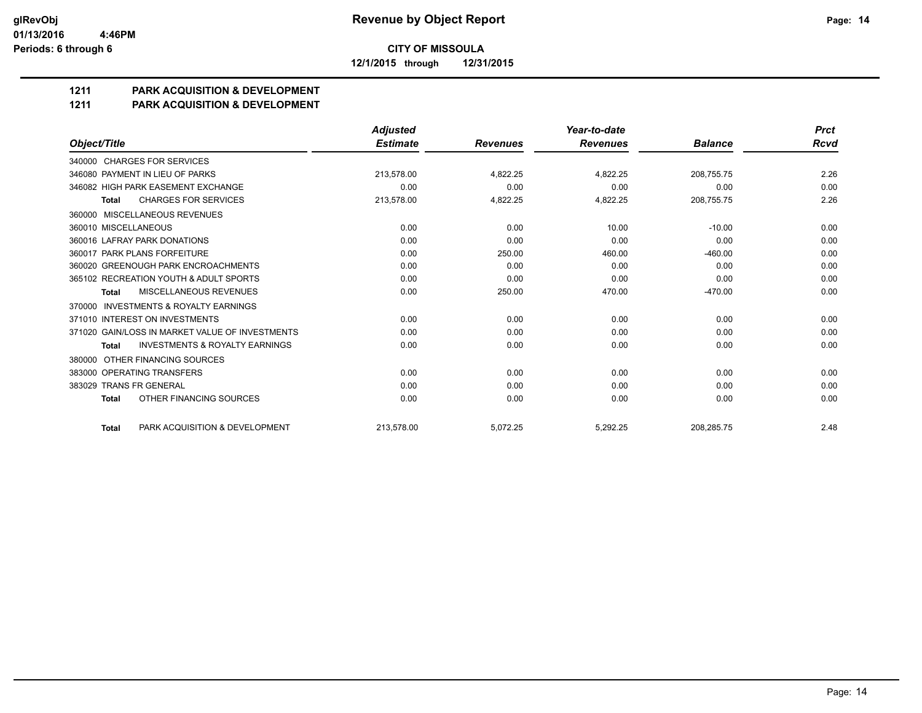**12/1/2015 through 12/31/2015**

# **1211 PARK ACQUISITION & DEVELOPMENT**

#### **1211 PARK ACQUISITION & DEVELOPMENT**

|                                                           | <b>Adjusted</b> |                 | Year-to-date    |                | <b>Prct</b> |
|-----------------------------------------------------------|-----------------|-----------------|-----------------|----------------|-------------|
| Object/Title                                              | <b>Estimate</b> | <b>Revenues</b> | <b>Revenues</b> | <b>Balance</b> | Rcvd        |
| 340000 CHARGES FOR SERVICES                               |                 |                 |                 |                |             |
| 346080 PAYMENT IN LIEU OF PARKS                           | 213.578.00      | 4.822.25        | 4,822.25        | 208.755.75     | 2.26        |
| 346082 HIGH PARK EASEMENT EXCHANGE                        | 0.00            | 0.00            | 0.00            | 0.00           | 0.00        |
| <b>CHARGES FOR SERVICES</b><br><b>Total</b>               | 213,578.00      | 4,822.25        | 4,822.25        | 208,755.75     | 2.26        |
| 360000 MISCELLANEOUS REVENUES                             |                 |                 |                 |                |             |
| 360010 MISCELLANEOUS                                      | 0.00            | 0.00            | 10.00           | $-10.00$       | 0.00        |
| 360016 LAFRAY PARK DONATIONS                              | 0.00            | 0.00            | 0.00            | 0.00           | 0.00        |
| 360017 PARK PLANS FORFEITURE                              | 0.00            | 250.00          | 460.00          | $-460.00$      | 0.00        |
| 360020 GREENOUGH PARK ENCROACHMENTS                       | 0.00            | 0.00            | 0.00            | 0.00           | 0.00        |
| 365102 RECREATION YOUTH & ADULT SPORTS                    | 0.00            | 0.00            | 0.00            | 0.00           | 0.00        |
| MISCELLANEOUS REVENUES<br>Total                           | 0.00            | 250.00          | 470.00          | $-470.00$      | 0.00        |
| <b>INVESTMENTS &amp; ROYALTY EARNINGS</b><br>370000       |                 |                 |                 |                |             |
| 371010 INTEREST ON INVESTMENTS                            | 0.00            | 0.00            | 0.00            | 0.00           | 0.00        |
| 371020 GAIN/LOSS IN MARKET VALUE OF INVESTMENTS           | 0.00            | 0.00            | 0.00            | 0.00           | 0.00        |
| <b>INVESTMENTS &amp; ROYALTY EARNINGS</b><br><b>Total</b> | 0.00            | 0.00            | 0.00            | 0.00           | 0.00        |
| OTHER FINANCING SOURCES<br>380000                         |                 |                 |                 |                |             |
| 383000 OPERATING TRANSFERS                                | 0.00            | 0.00            | 0.00            | 0.00           | 0.00        |
| 383029 TRANS FR GENERAL                                   | 0.00            | 0.00            | 0.00            | 0.00           | 0.00        |
| OTHER FINANCING SOURCES<br><b>Total</b>                   | 0.00            | 0.00            | 0.00            | 0.00           | 0.00        |
| PARK ACQUISITION & DEVELOPMENT<br><b>Total</b>            | 213.578.00      | 5.072.25        | 5.292.25        | 208.285.75     | 2.48        |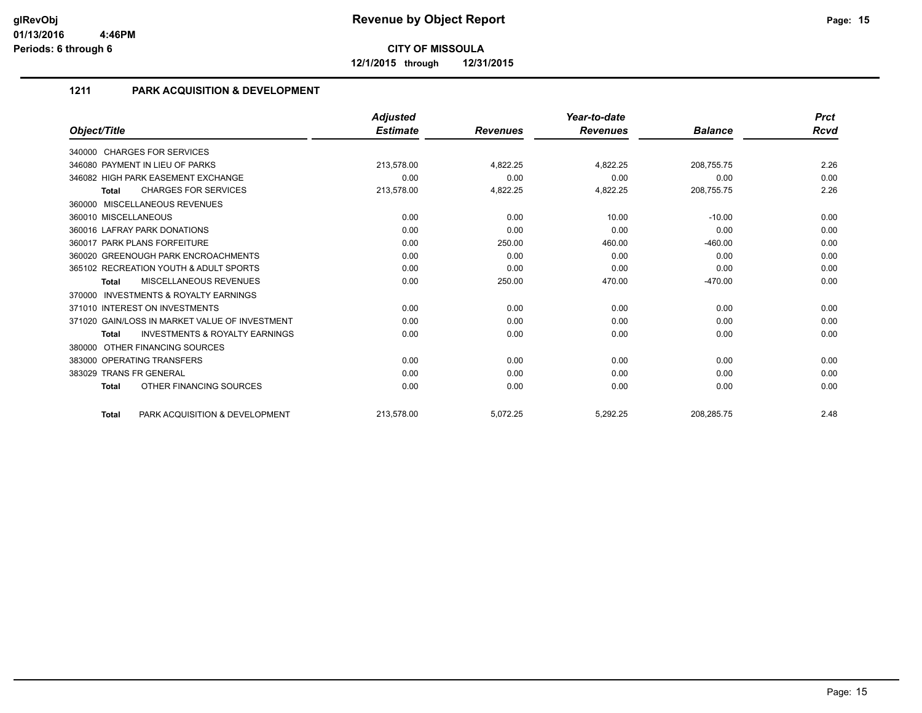**12/1/2015 through 12/31/2015**

# **1211 PARK ACQUISITION & DEVELOPMENT**

|                                                           | <b>Adjusted</b> |                 | Year-to-date    |                | <b>Prct</b> |
|-----------------------------------------------------------|-----------------|-----------------|-----------------|----------------|-------------|
| Object/Title                                              | <b>Estimate</b> | <b>Revenues</b> | <b>Revenues</b> | <b>Balance</b> | Rcvd        |
| 340000 CHARGES FOR SERVICES                               |                 |                 |                 |                |             |
| 346080 PAYMENT IN LIEU OF PARKS                           | 213,578.00      | 4,822.25        | 4,822.25        | 208,755.75     | 2.26        |
| 346082 HIGH PARK EASEMENT EXCHANGE                        | 0.00            | 0.00            | 0.00            | 0.00           | 0.00        |
| <b>CHARGES FOR SERVICES</b><br>Total                      | 213,578.00      | 4,822.25        | 4,822.25        | 208,755.75     | 2.26        |
| 360000 MISCELLANEOUS REVENUES                             |                 |                 |                 |                |             |
| 360010 MISCELLANEOUS                                      | 0.00            | 0.00            | 10.00           | $-10.00$       | 0.00        |
| 360016 LAFRAY PARK DONATIONS                              | 0.00            | 0.00            | 0.00            | 0.00           | 0.00        |
| 360017 PARK PLANS FORFEITURE                              | 0.00            | 250.00          | 460.00          | $-460.00$      | 0.00        |
| 360020 GREENOUGH PARK ENCROACHMENTS                       | 0.00            | 0.00            | 0.00            | 0.00           | 0.00        |
| 365102 RECREATION YOUTH & ADULT SPORTS                    | 0.00            | 0.00            | 0.00            | 0.00           | 0.00        |
| MISCELLANEOUS REVENUES<br>Total                           | 0.00            | 250.00          | 470.00          | $-470.00$      | 0.00        |
| INVESTMENTS & ROYALTY EARNINGS<br>370000                  |                 |                 |                 |                |             |
| 371010 INTEREST ON INVESTMENTS                            | 0.00            | 0.00            | 0.00            | 0.00           | 0.00        |
| 371020 GAIN/LOSS IN MARKET VALUE OF INVESTMENT            | 0.00            | 0.00            | 0.00            | 0.00           | 0.00        |
| <b>INVESTMENTS &amp; ROYALTY EARNINGS</b><br><b>Total</b> | 0.00            | 0.00            | 0.00            | 0.00           | 0.00        |
| 380000 OTHER FINANCING SOURCES                            |                 |                 |                 |                |             |
| 383000 OPERATING TRANSFERS                                | 0.00            | 0.00            | 0.00            | 0.00           | 0.00        |
| 383029 TRANS FR GENERAL                                   | 0.00            | 0.00            | 0.00            | 0.00           | 0.00        |
| OTHER FINANCING SOURCES<br><b>Total</b>                   | 0.00            | 0.00            | 0.00            | 0.00           | 0.00        |
| PARK ACQUISITION & DEVELOPMENT<br><b>Total</b>            | 213,578.00      | 5,072.25        | 5,292.25        | 208,285.75     | 2.48        |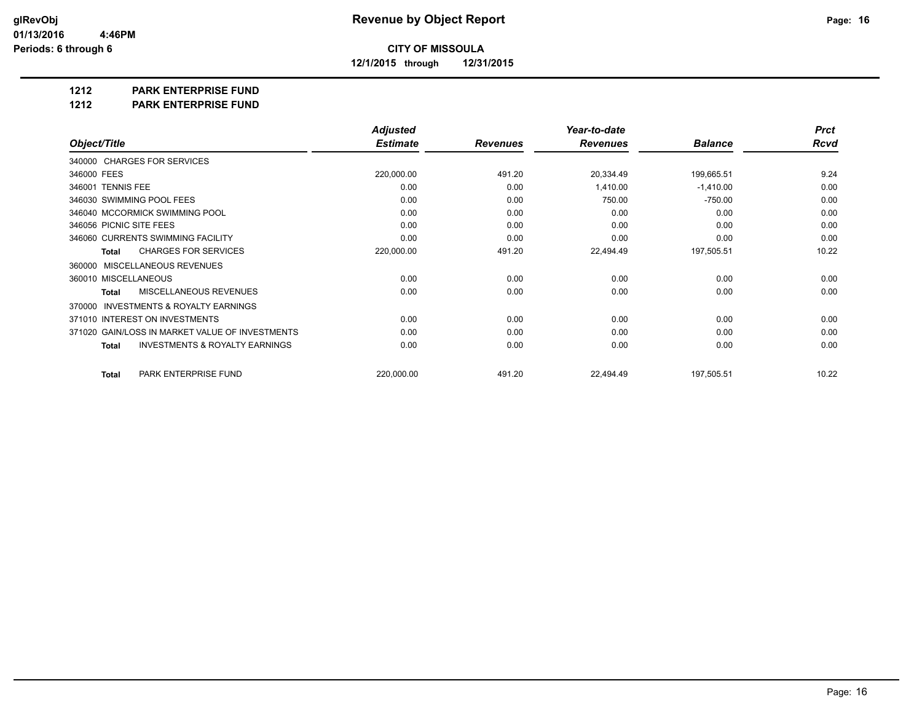**12/1/2015 through 12/31/2015**

# **1212 PARK ENTERPRISE FUND**

**1212 PARK ENTERPRISE FUND**

|                                                           | <b>Adjusted</b> |                 | Year-to-date    |                | <b>Prct</b> |
|-----------------------------------------------------------|-----------------|-----------------|-----------------|----------------|-------------|
| Object/Title                                              | <b>Estimate</b> | <b>Revenues</b> | <b>Revenues</b> | <b>Balance</b> | Rcvd        |
| 340000 CHARGES FOR SERVICES                               |                 |                 |                 |                |             |
| 346000 FEES                                               | 220,000.00      | 491.20          | 20,334.49       | 199,665.51     | 9.24        |
| 346001 TENNIS FEE                                         | 0.00            | 0.00            | 1,410.00        | $-1,410.00$    | 0.00        |
| 346030 SWIMMING POOL FEES                                 | 0.00            | 0.00            | 750.00          | $-750.00$      | 0.00        |
| 346040 MCCORMICK SWIMMING POOL                            | 0.00            | 0.00            | 0.00            | 0.00           | 0.00        |
| 346056 PICNIC SITE FEES                                   | 0.00            | 0.00            | 0.00            | 0.00           | 0.00        |
| 346060 CURRENTS SWIMMING FACILITY                         | 0.00            | 0.00            | 0.00            | 0.00           | 0.00        |
| <b>CHARGES FOR SERVICES</b><br><b>Total</b>               | 220,000.00      | 491.20          | 22,494.49       | 197,505.51     | 10.22       |
| MISCELLANEOUS REVENUES<br>360000                          |                 |                 |                 |                |             |
| 360010 MISCELLANEOUS                                      | 0.00            | 0.00            | 0.00            | 0.00           | 0.00        |
| <b>MISCELLANEOUS REVENUES</b><br><b>Total</b>             | 0.00            | 0.00            | 0.00            | 0.00           | 0.00        |
| <b>INVESTMENTS &amp; ROYALTY EARNINGS</b><br>370000       |                 |                 |                 |                |             |
| 371010 INTEREST ON INVESTMENTS                            | 0.00            | 0.00            | 0.00            | 0.00           | 0.00        |
| 371020 GAIN/LOSS IN MARKET VALUE OF INVESTMENTS           | 0.00            | 0.00            | 0.00            | 0.00           | 0.00        |
| <b>INVESTMENTS &amp; ROYALTY EARNINGS</b><br><b>Total</b> | 0.00            | 0.00            | 0.00            | 0.00           | 0.00        |
| PARK ENTERPRISE FUND<br><b>Total</b>                      | 220,000.00      | 491.20          | 22,494.49       | 197,505.51     | 10.22       |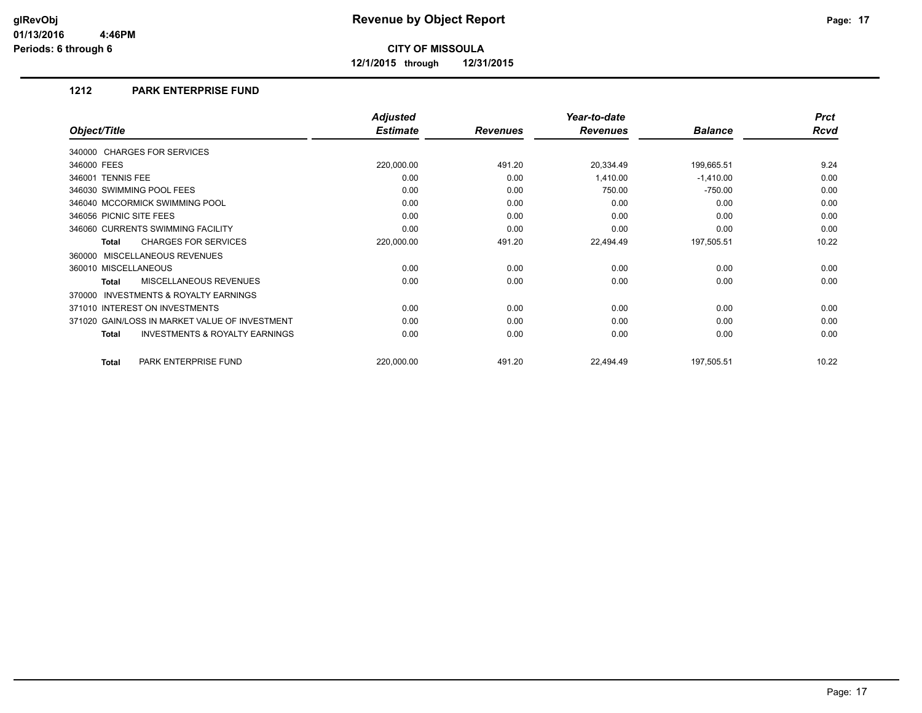**12/1/2015 through 12/31/2015**

## **1212 PARK ENTERPRISE FUND**

|                                                           | <b>Adjusted</b> |                 | Year-to-date    |                | <b>Prct</b> |
|-----------------------------------------------------------|-----------------|-----------------|-----------------|----------------|-------------|
| Object/Title                                              | <b>Estimate</b> | <b>Revenues</b> | <b>Revenues</b> | <b>Balance</b> | <b>Rcvd</b> |
| 340000 CHARGES FOR SERVICES                               |                 |                 |                 |                |             |
| 346000 FEES                                               | 220,000.00      | 491.20          | 20,334.49       | 199,665.51     | 9.24        |
| 346001 TENNIS FEE                                         | 0.00            | 0.00            | 1,410.00        | $-1,410.00$    | 0.00        |
| 346030 SWIMMING POOL FEES                                 | 0.00            | 0.00            | 750.00          | $-750.00$      | 0.00        |
| 346040 MCCORMICK SWIMMING POOL                            | 0.00            | 0.00            | 0.00            | 0.00           | 0.00        |
| 346056 PICNIC SITE FEES                                   | 0.00            | 0.00            | 0.00            | 0.00           | 0.00        |
| 346060 CURRENTS SWIMMING FACILITY                         | 0.00            | 0.00            | 0.00            | 0.00           | 0.00        |
| <b>CHARGES FOR SERVICES</b><br><b>Total</b>               | 220,000.00      | 491.20          | 22,494.49       | 197,505.51     | 10.22       |
| MISCELLANEOUS REVENUES<br>360000                          |                 |                 |                 |                |             |
| 360010 MISCELLANEOUS                                      | 0.00            | 0.00            | 0.00            | 0.00           | 0.00        |
| <b>MISCELLANEOUS REVENUES</b><br><b>Total</b>             | 0.00            | 0.00            | 0.00            | 0.00           | 0.00        |
| <b>INVESTMENTS &amp; ROYALTY EARNINGS</b><br>370000       |                 |                 |                 |                |             |
| 371010 INTEREST ON INVESTMENTS                            | 0.00            | 0.00            | 0.00            | 0.00           | 0.00        |
| 371020 GAIN/LOSS IN MARKET VALUE OF INVESTMENT            | 0.00            | 0.00            | 0.00            | 0.00           | 0.00        |
| <b>INVESTMENTS &amp; ROYALTY EARNINGS</b><br><b>Total</b> | 0.00            | 0.00            | 0.00            | 0.00           | 0.00        |
| PARK ENTERPRISE FUND<br><b>Total</b>                      | 220,000.00      | 491.20          | 22,494.49       | 197,505.51     | 10.22       |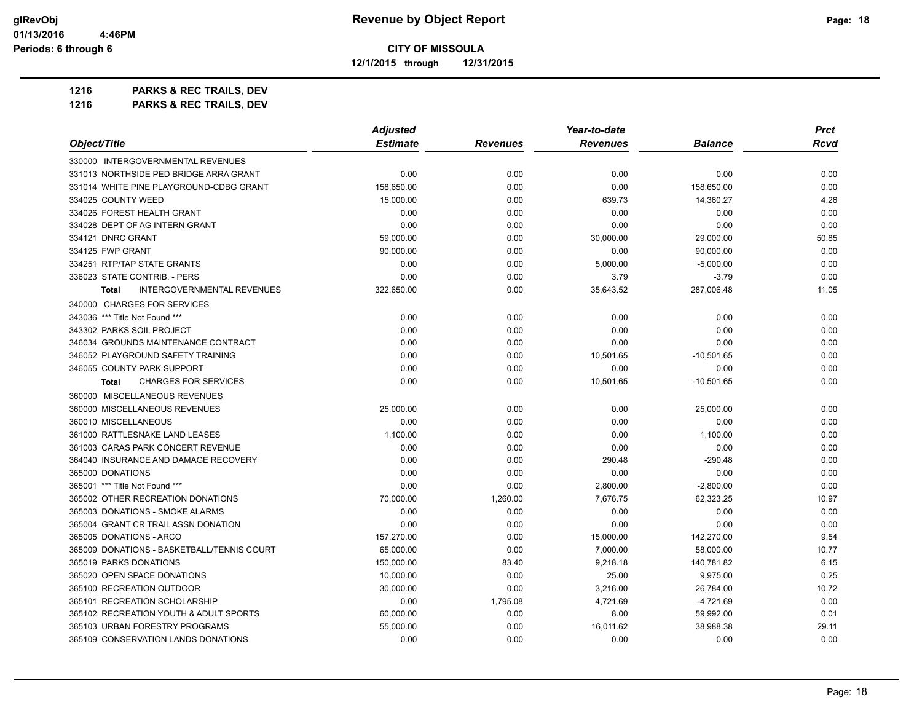**12/1/2015 through 12/31/2015**

**1216 PARKS & REC TRAILS, DEV 1216 PARKS & REC TRAILS, DEV**

|                                                   | <b>Adjusted</b> |                 | Year-to-date    |                | <b>Prct</b> |
|---------------------------------------------------|-----------------|-----------------|-----------------|----------------|-------------|
| Object/Title                                      | <b>Estimate</b> | <b>Revenues</b> | <b>Revenues</b> | <b>Balance</b> | Rcvd        |
| 330000 INTERGOVERNMENTAL REVENUES                 |                 |                 |                 |                |             |
| 331013 NORTHSIDE PED BRIDGE ARRA GRANT            | 0.00            | 0.00            | 0.00            | 0.00           | 0.00        |
| 331014 WHITE PINE PLAYGROUND-CDBG GRANT           | 158,650.00      | 0.00            | 0.00            | 158,650.00     | 0.00        |
| 334025 COUNTY WEED                                | 15,000.00       | 0.00            | 639.73          | 14,360.27      | 4.26        |
| 334026 FOREST HEALTH GRANT                        | 0.00            | 0.00            | 0.00            | 0.00           | 0.00        |
| 334028 DEPT OF AG INTERN GRANT                    | 0.00            | 0.00            | 0.00            | 0.00           | 0.00        |
| 334121 DNRC GRANT                                 | 59,000.00       | 0.00            | 30,000.00       | 29,000.00      | 50.85       |
| 334125 FWP GRANT                                  | 90,000.00       | 0.00            | 0.00            | 90,000.00      | 0.00        |
| 334251 RTP/TAP STATE GRANTS                       | 0.00            | 0.00            | 5,000.00        | $-5,000.00$    | 0.00        |
| 336023 STATE CONTRIB. - PERS                      | 0.00            | 0.00            | 3.79            | $-3.79$        | 0.00        |
| <b>INTERGOVERNMENTAL REVENUES</b><br><b>Total</b> | 322,650.00      | 0.00            | 35,643.52       | 287,006.48     | 11.05       |
| 340000 CHARGES FOR SERVICES                       |                 |                 |                 |                |             |
| 343036 *** Title Not Found ***                    | 0.00            | 0.00            | 0.00            | 0.00           | 0.00        |
| 343302 PARKS SOIL PROJECT                         | 0.00            | 0.00            | 0.00            | 0.00           | 0.00        |
| 346034 GROUNDS MAINTENANCE CONTRACT               | 0.00            | 0.00            | 0.00            | 0.00           | 0.00        |
| 346052 PLAYGROUND SAFETY TRAINING                 | 0.00            | 0.00            | 10,501.65       | $-10,501.65$   | 0.00        |
| 346055 COUNTY PARK SUPPORT                        | 0.00            | 0.00            | 0.00            | 0.00           | 0.00        |
| <b>CHARGES FOR SERVICES</b><br><b>Total</b>       | 0.00            | 0.00            | 10,501.65       | $-10,501.65$   | 0.00        |
| 360000 MISCELLANEOUS REVENUES                     |                 |                 |                 |                |             |
| 360000 MISCELLANEOUS REVENUES                     | 25,000.00       | 0.00            | 0.00            | 25,000.00      | 0.00        |
| 360010 MISCELLANEOUS                              | 0.00            | 0.00            | 0.00            | 0.00           | 0.00        |
| 361000 RATTLESNAKE LAND LEASES                    | 1,100.00        | 0.00            | 0.00            | 1,100.00       | 0.00        |
| 361003 CARAS PARK CONCERT REVENUE                 | 0.00            | 0.00            | 0.00            | 0.00           | 0.00        |
| 364040 INSURANCE AND DAMAGE RECOVERY              | 0.00            | 0.00            | 290.48          | $-290.48$      | 0.00        |
| 365000 DONATIONS                                  | 0.00            | 0.00            | 0.00            | 0.00           | 0.00        |
| 365001 *** Title Not Found ***                    | 0.00            | 0.00            | 2,800.00        | $-2,800.00$    | 0.00        |
| 365002 OTHER RECREATION DONATIONS                 | 70,000.00       | 1,260.00        | 7,676.75        | 62,323.25      | 10.97       |
| 365003 DONATIONS - SMOKE ALARMS                   | 0.00            | 0.00            | 0.00            | 0.00           | 0.00        |
| 365004 GRANT CR TRAIL ASSN DONATION               | 0.00            | 0.00            | 0.00            | 0.00           | 0.00        |
| 365005 DONATIONS - ARCO                           | 157,270.00      | 0.00            | 15,000.00       | 142,270.00     | 9.54        |
| 365009 DONATIONS - BASKETBALL/TENNIS COURT        | 65,000.00       | 0.00            | 7,000.00        | 58,000.00      | 10.77       |
| 365019 PARKS DONATIONS                            | 150,000.00      | 83.40           | 9,218.18        | 140,781.82     | 6.15        |
| 365020 OPEN SPACE DONATIONS                       | 10,000.00       | 0.00            | 25.00           | 9,975.00       | 0.25        |
| 365100 RECREATION OUTDOOR                         | 30,000.00       | 0.00            | 3,216.00        | 26,784.00      | 10.72       |
| 365101 RECREATION SCHOLARSHIP                     | 0.00            | 1,795.08        | 4,721.69        | $-4,721.69$    | 0.00        |
| 365102 RECREATION YOUTH & ADULT SPORTS            | 60,000.00       | 0.00            | 8.00            | 59,992.00      | 0.01        |
| 365103 URBAN FORESTRY PROGRAMS                    | 55,000.00       | 0.00            | 16,011.62       | 38,988.38      | 29.11       |
| 365109 CONSERVATION LANDS DONATIONS               | 0.00            | 0.00            | 0.00            | 0.00           | 0.00        |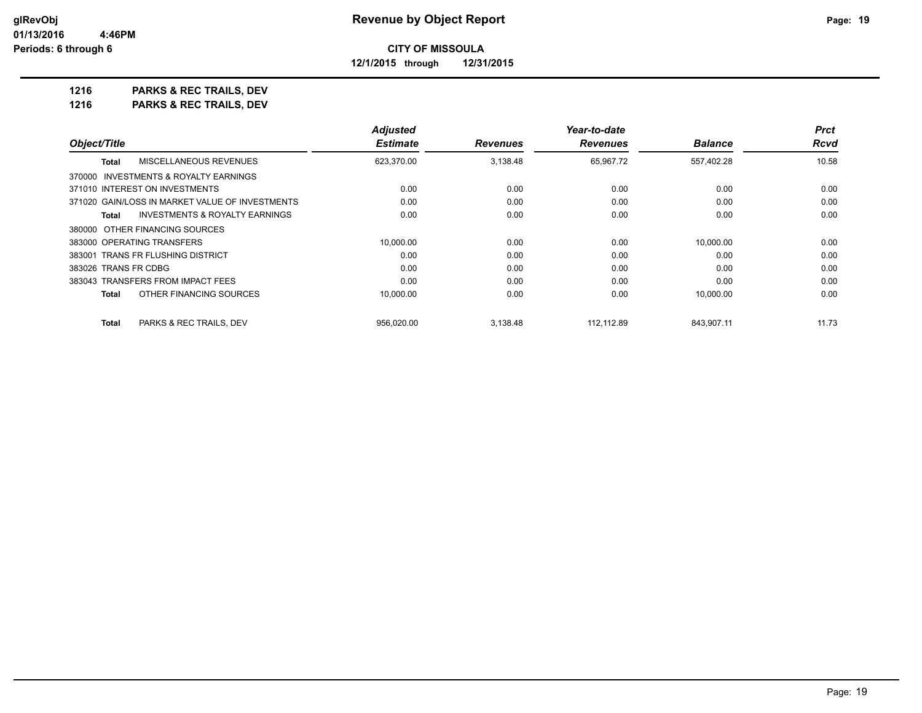**12/1/2015 through 12/31/2015**

**1216 PARKS & REC TRAILS, DEV 1216 PARKS & REC TRAILS, DEV**

|                                                 | <b>Adjusted</b> |                 | Year-to-date    |                | <b>Prct</b> |
|-------------------------------------------------|-----------------|-----------------|-----------------|----------------|-------------|
| Object/Title                                    | <b>Estimate</b> | <b>Revenues</b> | <b>Revenues</b> | <b>Balance</b> | <b>Rcvd</b> |
| MISCELLANEOUS REVENUES<br><b>Total</b>          | 623,370.00      | 3,138.48        | 65,967.72       | 557,402.28     | 10.58       |
| 370000 INVESTMENTS & ROYALTY EARNINGS           |                 |                 |                 |                |             |
| 371010 INTEREST ON INVESTMENTS                  | 0.00            | 0.00            | 0.00            | 0.00           | 0.00        |
| 371020 GAIN/LOSS IN MARKET VALUE OF INVESTMENTS | 0.00            | 0.00            | 0.00            | 0.00           | 0.00        |
| INVESTMENTS & ROYALTY EARNINGS<br>Total         | 0.00            | 0.00            | 0.00            | 0.00           | 0.00        |
| 380000 OTHER FINANCING SOURCES                  |                 |                 |                 |                |             |
| 383000 OPERATING TRANSFERS                      | 10.000.00       | 0.00            | 0.00            | 10,000.00      | 0.00        |
| 383001 TRANS FR FLUSHING DISTRICT               | 0.00            | 0.00            | 0.00            | 0.00           | 0.00        |
| 383026 TRANS FR CDBG                            | 0.00            | 0.00            | 0.00            | 0.00           | 0.00        |
| 383043 TRANSFERS FROM IMPACT FEES               | 0.00            | 0.00            | 0.00            | 0.00           | 0.00        |
| OTHER FINANCING SOURCES<br><b>Total</b>         | 10,000.00       | 0.00            | 0.00            | 10.000.00      | 0.00        |
| <b>Total</b><br>PARKS & REC TRAILS, DEV         | 956.020.00      | 3.138.48        | 112.112.89      | 843.907.11     | 11.73       |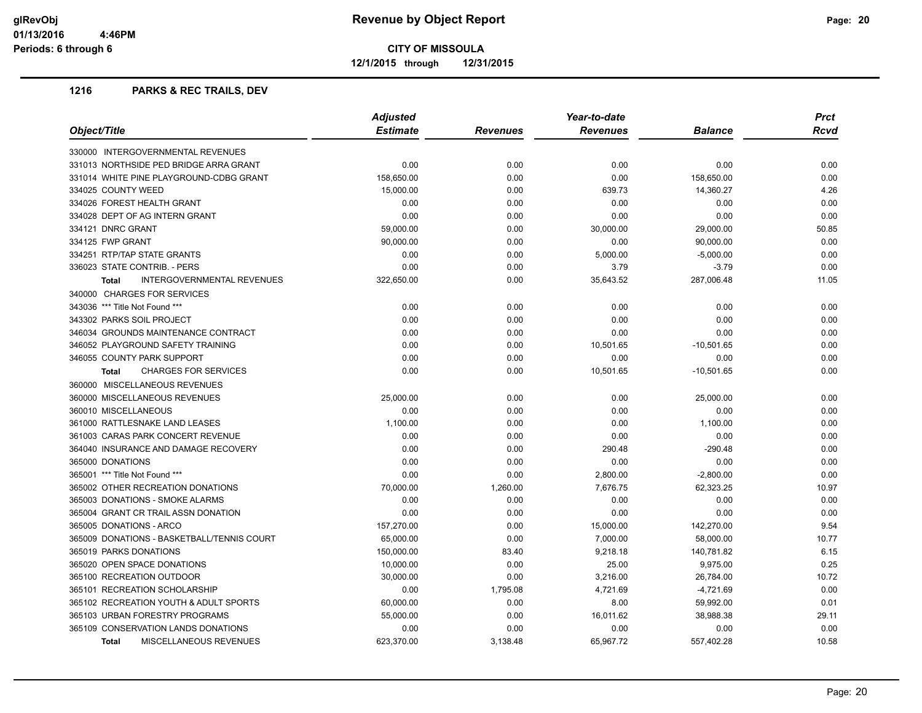**12/1/2015 through 12/31/2015**

## **1216 PARKS & REC TRAILS, DEV**

| Object/Title                                      | <b>Adjusted</b><br>Year-to-date |          |                 |                |       |
|---------------------------------------------------|---------------------------------|----------|-----------------|----------------|-------|
|                                                   | <b>Estimate</b>                 | Revenues | <b>Revenues</b> | <b>Balance</b> | Rcvd  |
| 330000 INTERGOVERNMENTAL REVENUES                 |                                 |          |                 |                |       |
| 331013 NORTHSIDE PED BRIDGE ARRA GRANT            | 0.00                            | 0.00     | 0.00            | 0.00           | 0.00  |
| 331014 WHITE PINE PLAYGROUND-CDBG GRANT           | 158,650.00                      | 0.00     | 0.00            | 158,650.00     | 0.00  |
| 334025 COUNTY WEED                                | 15,000.00                       | 0.00     | 639.73          | 14,360.27      | 4.26  |
| 334026 FOREST HEALTH GRANT                        | 0.00                            | 0.00     | 0.00            | 0.00           | 0.00  |
| 334028 DEPT OF AG INTERN GRANT                    | 0.00                            | 0.00     | 0.00            | 0.00           | 0.00  |
| 334121 DNRC GRANT                                 | 59,000.00                       | 0.00     | 30,000.00       | 29,000.00      | 50.85 |
| 334125 FWP GRANT                                  | 90,000.00                       | 0.00     | 0.00            | 90,000.00      | 0.00  |
| 334251 RTP/TAP STATE GRANTS                       | 0.00                            | 0.00     | 5,000.00        | $-5,000.00$    | 0.00  |
| 336023 STATE CONTRIB. - PERS                      | 0.00                            | 0.00     | 3.79            | $-3.79$        | 0.00  |
| <b>INTERGOVERNMENTAL REVENUES</b><br><b>Total</b> | 322,650.00                      | 0.00     | 35,643.52       | 287,006.48     | 11.05 |
| 340000 CHARGES FOR SERVICES                       |                                 |          |                 |                |       |
| 343036 *** Title Not Found ***                    | 0.00                            | 0.00     | 0.00            | 0.00           | 0.00  |
| 343302 PARKS SOIL PROJECT                         | 0.00                            | 0.00     | 0.00            | 0.00           | 0.00  |
| 346034 GROUNDS MAINTENANCE CONTRACT               | 0.00                            | 0.00     | 0.00            | 0.00           | 0.00  |
| 346052 PLAYGROUND SAFETY TRAINING                 | 0.00                            | 0.00     | 10,501.65       | $-10,501.65$   | 0.00  |
| 346055 COUNTY PARK SUPPORT                        | 0.00                            | 0.00     | 0.00            | 0.00           | 0.00  |
| <b>CHARGES FOR SERVICES</b><br>Total              | 0.00                            | 0.00     | 10,501.65       | $-10,501.65$   | 0.00  |
| 360000 MISCELLANEOUS REVENUES                     |                                 |          |                 |                |       |
| 360000 MISCELLANEOUS REVENUES                     | 25,000.00                       | 0.00     | 0.00            | 25,000.00      | 0.00  |
| 360010 MISCELLANEOUS                              | 0.00                            | 0.00     | 0.00            | 0.00           | 0.00  |
| 361000 RATTLESNAKE LAND LEASES                    | 1,100.00                        | 0.00     | 0.00            | 1,100.00       | 0.00  |
| 361003 CARAS PARK CONCERT REVENUE                 | 0.00                            | 0.00     | 0.00            | 0.00           | 0.00  |
| 364040 INSURANCE AND DAMAGE RECOVERY              | 0.00                            | 0.00     | 290.48          | $-290.48$      | 0.00  |
| 365000 DONATIONS                                  | 0.00                            | 0.00     | 0.00            | 0.00           | 0.00  |
| 365001 *** Title Not Found ***                    | 0.00                            | 0.00     | 2,800.00        | $-2,800.00$    | 0.00  |
| 365002 OTHER RECREATION DONATIONS                 | 70,000.00                       | 1,260.00 | 7,676.75        | 62,323.25      | 10.97 |
| 365003 DONATIONS - SMOKE ALARMS                   | 0.00                            | 0.00     | 0.00            | 0.00           | 0.00  |
| 365004 GRANT CR TRAIL ASSN DONATION               | 0.00                            | 0.00     | 0.00            | 0.00           | 0.00  |
| 365005 DONATIONS - ARCO                           | 157,270.00                      | 0.00     | 15,000.00       | 142,270.00     | 9.54  |
| 365009 DONATIONS - BASKETBALL/TENNIS COURT        | 65,000.00                       | 0.00     | 7,000.00        | 58,000.00      | 10.77 |
| 365019 PARKS DONATIONS                            | 150,000.00                      | 83.40    | 9,218.18        | 140,781.82     | 6.15  |
| 365020 OPEN SPACE DONATIONS                       | 10,000.00                       | 0.00     | 25.00           | 9,975.00       | 0.25  |
| 365100 RECREATION OUTDOOR                         | 30,000.00                       | 0.00     | 3,216.00        | 26,784.00      | 10.72 |
| 365101 RECREATION SCHOLARSHIP                     | 0.00                            | 1,795.08 | 4,721.69        | $-4,721.69$    | 0.00  |
| 365102 RECREATION YOUTH & ADULT SPORTS            | 60,000.00                       | 0.00     | 8.00            | 59,992.00      | 0.01  |
| 365103 URBAN FORESTRY PROGRAMS                    | 55,000.00                       | 0.00     | 16,011.62       | 38,988.38      | 29.11 |
| 365109 CONSERVATION LANDS DONATIONS               | 0.00                            | 0.00     | 0.00            | 0.00           | 0.00  |
| <b>MISCELLANEOUS REVENUES</b><br>Total            | 623.370.00                      | 3.138.48 | 65.967.72       | 557.402.28     | 10.58 |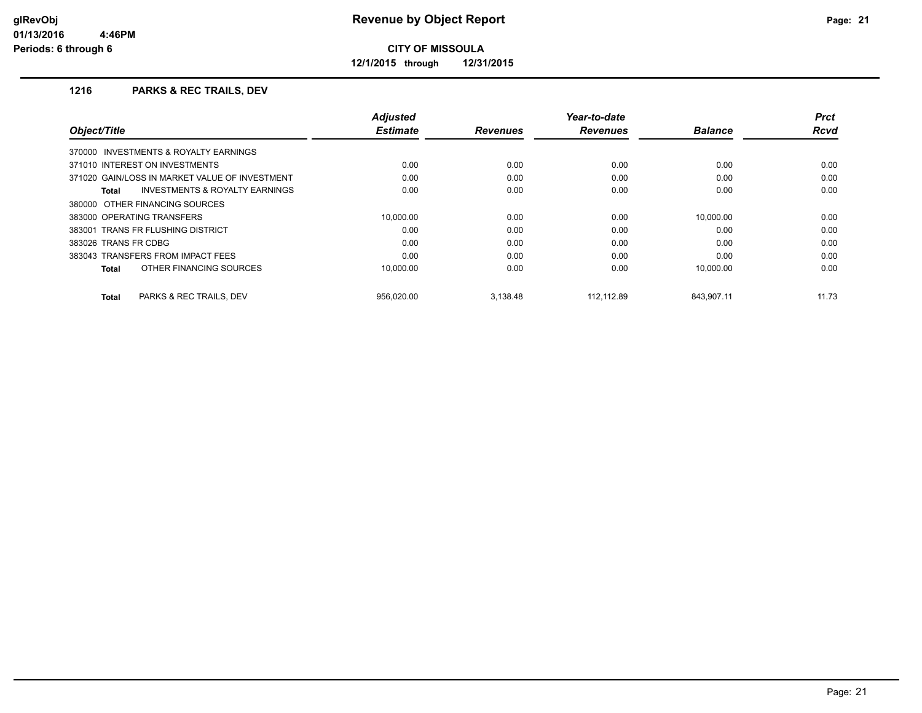**12/1/2015 through 12/31/2015**

# **1216 PARKS & REC TRAILS, DEV**

|                                                    | <b>Adjusted</b> |                 | Year-to-date    |                | Prct        |
|----------------------------------------------------|-----------------|-----------------|-----------------|----------------|-------------|
| Object/Title                                       | <b>Estimate</b> | <b>Revenues</b> | <b>Revenues</b> | <b>Balance</b> | <b>Rcvd</b> |
| 370000 INVESTMENTS & ROYALTY EARNINGS              |                 |                 |                 |                |             |
| 371010 INTEREST ON INVESTMENTS                     | 0.00            | 0.00            | 0.00            | 0.00           | 0.00        |
| 371020 GAIN/LOSS IN MARKET VALUE OF INVESTMENT     | 0.00            | 0.00            | 0.00            | 0.00           | 0.00        |
| <b>INVESTMENTS &amp; ROYALTY EARNINGS</b><br>Total | 0.00            | 0.00            | 0.00            | 0.00           | 0.00        |
| 380000 OTHER FINANCING SOURCES                     |                 |                 |                 |                |             |
| 383000 OPERATING TRANSFERS                         | 10.000.00       | 0.00            | 0.00            | 10.000.00      | 0.00        |
| 383001 TRANS FR FLUSHING DISTRICT                  | 0.00            | 0.00            | 0.00            | 0.00           | 0.00        |
| 383026 TRANS FR CDBG                               | 0.00            | 0.00            | 0.00            | 0.00           | 0.00        |
| 383043 TRANSFERS FROM IMPACT FEES                  | 0.00            | 0.00            | 0.00            | 0.00           | 0.00        |
| OTHER FINANCING SOURCES<br>Total                   | 10.000.00       | 0.00            | 0.00            | 10.000.00      | 0.00        |
| PARKS & REC TRAILS, DEV<br>Total                   | 956.020.00      | 3.138.48        | 112.112.89      | 843.907.11     | 11.73       |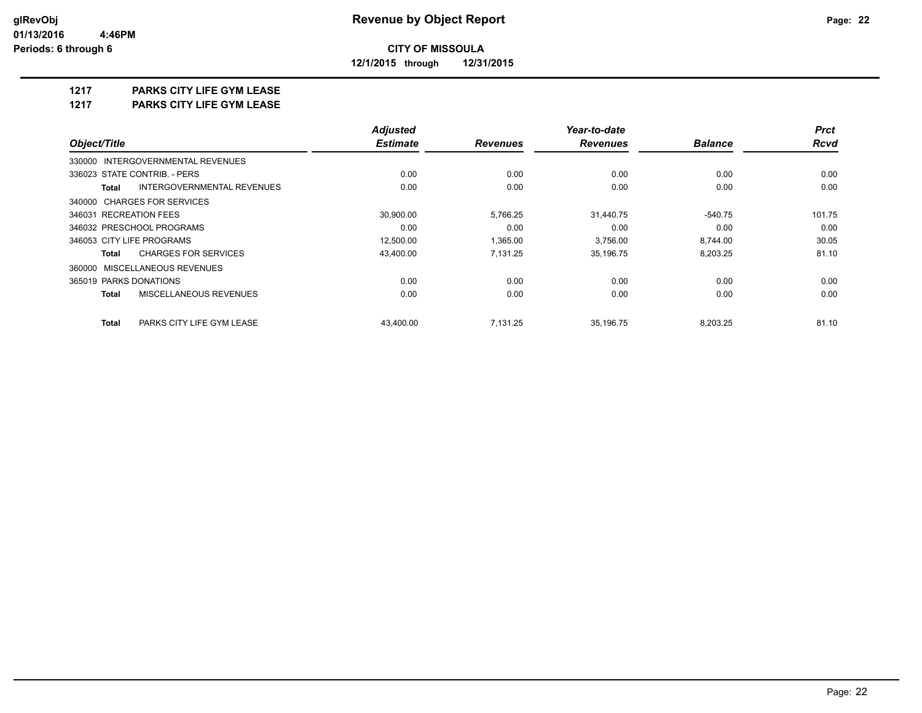**12/1/2015 through 12/31/2015**

# **1217 PARKS CITY LIFE GYM LEASE**

**1217 PARKS CITY LIFE GYM LEASE**

|                                           | <b>Adjusted</b> |                 | Year-to-date    |                |             |  |
|-------------------------------------------|-----------------|-----------------|-----------------|----------------|-------------|--|
| Object/Title                              | <b>Estimate</b> | <b>Revenues</b> | <b>Revenues</b> | <b>Balance</b> | <b>Rcvd</b> |  |
| 330000 INTERGOVERNMENTAL REVENUES         |                 |                 |                 |                |             |  |
| 336023 STATE CONTRIB. - PERS              | 0.00            | 0.00            | 0.00            | 0.00           | 0.00        |  |
| INTERGOVERNMENTAL REVENUES<br>Total       | 0.00            | 0.00            | 0.00            | 0.00           | 0.00        |  |
| 340000 CHARGES FOR SERVICES               |                 |                 |                 |                |             |  |
| 346031 RECREATION FEES                    | 30,900.00       | 5,766.25        | 31,440.75       | $-540.75$      | 101.75      |  |
| 346032 PRESCHOOL PROGRAMS                 | 0.00            | 0.00            | 0.00            | 0.00           | 0.00        |  |
| 346053 CITY LIFE PROGRAMS                 | 12,500.00       | 1,365.00        | 3,756.00        | 8,744.00       | 30.05       |  |
| <b>CHARGES FOR SERVICES</b><br>Total      | 43,400.00       | 7,131.25        | 35,196.75       | 8,203.25       | 81.10       |  |
| 360000 MISCELLANEOUS REVENUES             |                 |                 |                 |                |             |  |
| 365019 PARKS DONATIONS                    | 0.00            | 0.00            | 0.00            | 0.00           | 0.00        |  |
| MISCELLANEOUS REVENUES<br><b>Total</b>    | 0.00            | 0.00            | 0.00            | 0.00           | 0.00        |  |
| <b>Total</b><br>PARKS CITY LIFE GYM LEASE | 43.400.00       | 7.131.25        | 35,196.75       | 8,203.25       | 81.10       |  |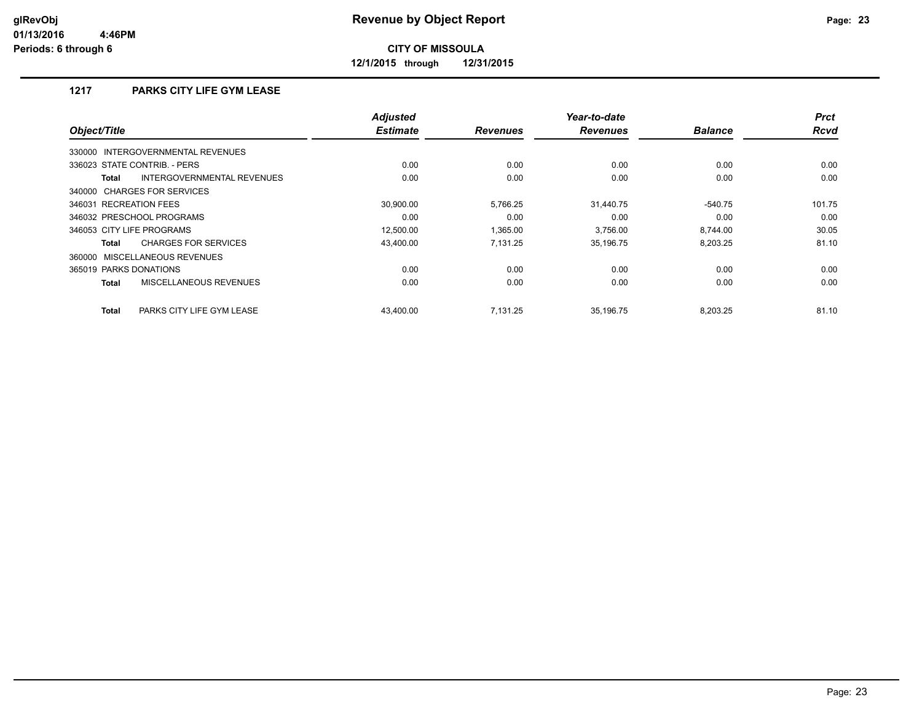**12/1/2015 through 12/31/2015**

# **1217 PARKS CITY LIFE GYM LEASE**

| Object/Title                                | <b>Adjusted</b><br><b>Estimate</b> | <b>Revenues</b> | Year-to-date<br><b>Revenues</b> | <b>Balance</b> | <b>Prct</b><br><b>Rcvd</b> |
|---------------------------------------------|------------------------------------|-----------------|---------------------------------|----------------|----------------------------|
| 330000 INTERGOVERNMENTAL REVENUES           |                                    |                 |                                 |                |                            |
| 336023 STATE CONTRIB. - PERS                | 0.00                               | 0.00            | 0.00                            | 0.00           | 0.00                       |
| INTERGOVERNMENTAL REVENUES<br><b>Total</b>  | 0.00                               | 0.00            | 0.00                            | 0.00           | 0.00                       |
| 340000 CHARGES FOR SERVICES                 |                                    |                 |                                 |                |                            |
| 346031 RECREATION FEES                      | 30,900.00                          | 5,766.25        | 31,440.75                       | $-540.75$      | 101.75                     |
| 346032 PRESCHOOL PROGRAMS                   | 0.00                               | 0.00            | 0.00                            | 0.00           | 0.00                       |
| 346053 CITY LIFE PROGRAMS                   | 12,500.00                          | 1,365.00        | 3.756.00                        | 8.744.00       | 30.05                      |
| <b>CHARGES FOR SERVICES</b><br><b>Total</b> | 43,400.00                          | 7.131.25        | 35,196.75                       | 8,203.25       | 81.10                      |
| 360000 MISCELLANEOUS REVENUES               |                                    |                 |                                 |                |                            |
| 365019 PARKS DONATIONS                      | 0.00                               | 0.00            | 0.00                            | 0.00           | 0.00                       |
| MISCELLANEOUS REVENUES<br><b>Total</b>      | 0.00                               | 0.00            | 0.00                            | 0.00           | 0.00                       |
| <b>Total</b><br>PARKS CITY LIFE GYM LEASE   | 43.400.00                          | 7.131.25        | 35,196.75                       | 8,203.25       | 81.10                      |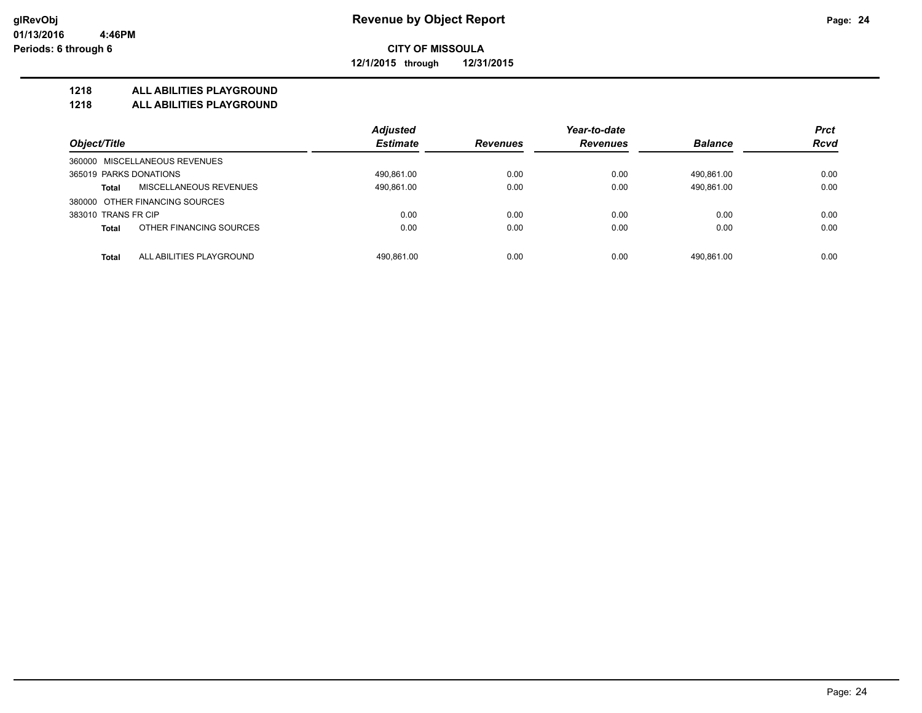**12/1/2015 through 12/31/2015**

## **1218 ALL ABILITIES PLAYGROUND**

**1218 ALL ABILITIES PLAYGROUND**

|                                          | <b>Adjusted</b> |                 | Year-to-date    | <b>Prct</b>    |             |
|------------------------------------------|-----------------|-----------------|-----------------|----------------|-------------|
| Object/Title                             | <b>Estimate</b> | <b>Revenues</b> | <b>Revenues</b> | <b>Balance</b> | <b>Rcvd</b> |
| 360000 MISCELLANEOUS REVENUES            |                 |                 |                 |                |             |
| 365019 PARKS DONATIONS                   | 490,861.00      | 0.00            | 0.00            | 490.861.00     | 0.00        |
| MISCELLANEOUS REVENUES<br><b>Total</b>   | 490,861.00      | 0.00            | 0.00            | 490,861.00     | 0.00        |
| 380000 OTHER FINANCING SOURCES           |                 |                 |                 |                |             |
| 383010 TRANS FR CIP                      | 0.00            | 0.00            | 0.00            | 0.00           | 0.00        |
| OTHER FINANCING SOURCES<br><b>Total</b>  | 0.00            | 0.00            | 0.00            | 0.00           | 0.00        |
| ALL ABILITIES PLAYGROUND<br><b>Total</b> | 490.861.00      | 0.00            | 0.00            | 490.861.00     | 0.00        |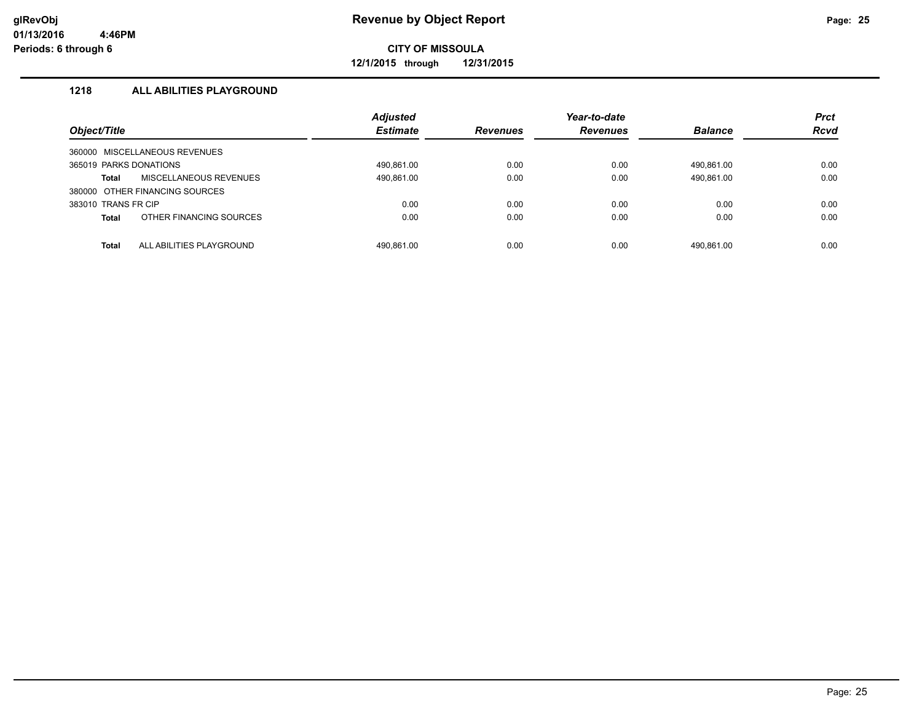**12/1/2015 through 12/31/2015**

# **1218 ALL ABILITIES PLAYGROUND**

| Object/Title                             | <b>Adjusted</b><br><b>Estimate</b> | <b>Revenues</b> | Year-to-date<br><b>Revenues</b> | <b>Balance</b> | <b>Prct</b><br><b>Rcvd</b> |
|------------------------------------------|------------------------------------|-----------------|---------------------------------|----------------|----------------------------|
| 360000 MISCELLANEOUS REVENUES            |                                    |                 |                                 |                |                            |
| 365019 PARKS DONATIONS                   | 490.861.00                         | 0.00            | 0.00                            | 490.861.00     | 0.00                       |
| <b>MISCELLANEOUS REVENUES</b><br>Total   | 490,861.00                         | 0.00            | 0.00                            | 490,861.00     | 0.00                       |
| 380000 OTHER FINANCING SOURCES           |                                    |                 |                                 |                |                            |
| 383010 TRANS FR CIP                      | 0.00                               | 0.00            | 0.00                            | 0.00           | 0.00                       |
| OTHER FINANCING SOURCES<br><b>Total</b>  | 0.00                               | 0.00            | 0.00                            | 0.00           | 0.00                       |
|                                          |                                    |                 |                                 |                |                            |
| ALL ABILITIES PLAYGROUND<br><b>Total</b> | 490.861.00                         | 0.00            | 0.00                            | 490.861.00     | 0.00                       |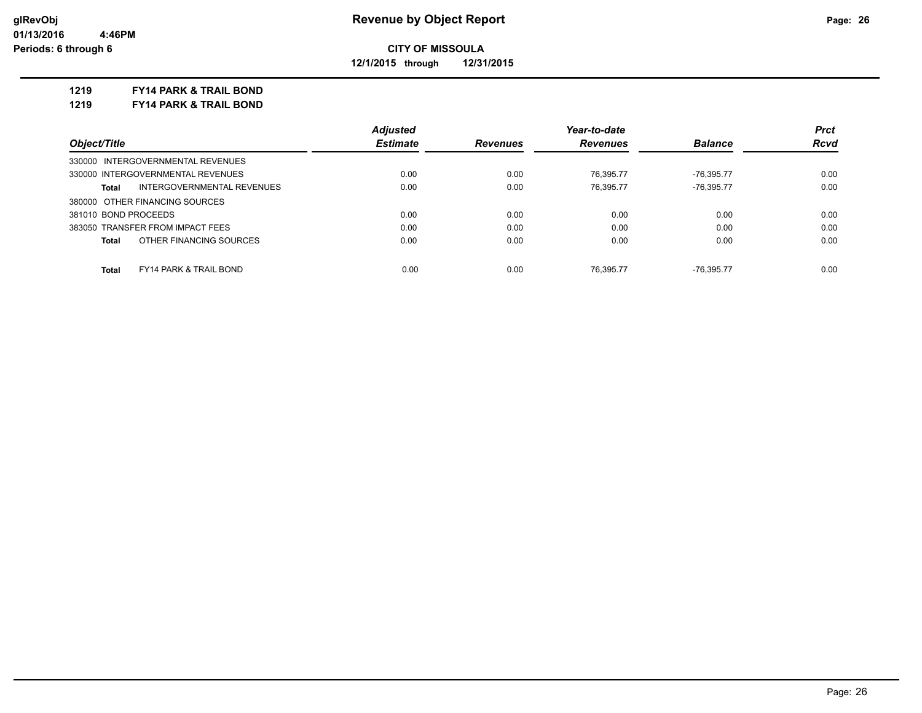**12/1/2015 through 12/31/2015**

### **1219 FY14 PARK & TRAIL BOND**

**1219 FY14 PARK & TRAIL BOND**

|                                                   | <b>Adjusted</b> |                 | Year-to-date    |                | <b>Prct</b> |
|---------------------------------------------------|-----------------|-----------------|-----------------|----------------|-------------|
| Object/Title                                      | <b>Estimate</b> | <b>Revenues</b> | <b>Revenues</b> | <b>Balance</b> | <b>Rcvd</b> |
| 330000 INTERGOVERNMENTAL REVENUES                 |                 |                 |                 |                |             |
| 330000 INTERGOVERNMENTAL REVENUES                 | 0.00            | 0.00            | 76.395.77       | $-76,395.77$   | 0.00        |
| INTERGOVERNMENTAL REVENUES<br>Total               | 0.00            | 0.00            | 76,395.77       | $-76,395.77$   | 0.00        |
| 380000 OTHER FINANCING SOURCES                    |                 |                 |                 |                |             |
| 381010 BOND PROCEEDS                              | 0.00            | 0.00            | 0.00            | 0.00           | 0.00        |
| 383050 TRANSFER FROM IMPACT FEES                  | 0.00            | 0.00            | 0.00            | 0.00           | 0.00        |
| OTHER FINANCING SOURCES<br>Total                  | 0.00            | 0.00            | 0.00            | 0.00           | 0.00        |
|                                                   |                 |                 |                 |                |             |
| <b>Total</b><br><b>FY14 PARK &amp; TRAIL BOND</b> | 0.00            | 0.00            | 76.395.77       | -76.395.77     | 0.00        |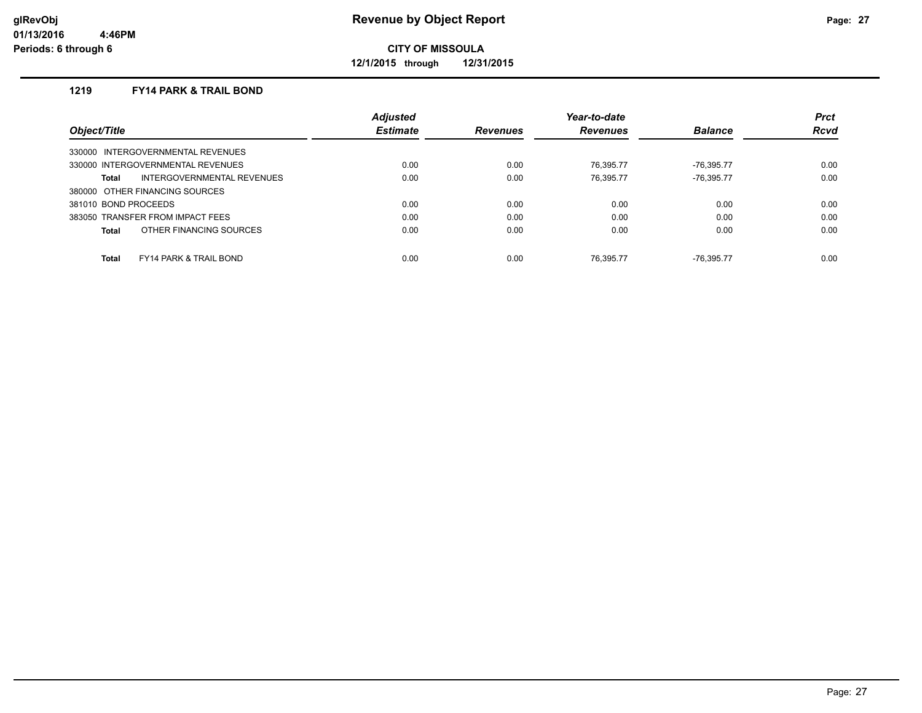**12/1/2015 through 12/31/2015**

# **1219 FY14 PARK & TRAIL BOND**

|                                            | <b>Adjusted</b> |                 | Year-to-date    |                | <b>Prct</b> |
|--------------------------------------------|-----------------|-----------------|-----------------|----------------|-------------|
| Object/Title                               | <b>Estimate</b> | <b>Revenues</b> | <b>Revenues</b> | <b>Balance</b> | <b>Rcvd</b> |
| 330000 INTERGOVERNMENTAL REVENUES          |                 |                 |                 |                |             |
| 330000 INTERGOVERNMENTAL REVENUES          | 0.00            | 0.00            | 76.395.77       | $-76.395.77$   | 0.00        |
| INTERGOVERNMENTAL REVENUES<br>Total        | 0.00            | 0.00            | 76.395.77       | $-76.395.77$   | 0.00        |
| 380000 OTHER FINANCING SOURCES             |                 |                 |                 |                |             |
| 381010 BOND PROCEEDS                       | 0.00            | 0.00            | 0.00            | 0.00           | 0.00        |
| 383050 TRANSFER FROM IMPACT FEES           | 0.00            | 0.00            | 0.00            | 0.00           | 0.00        |
| OTHER FINANCING SOURCES<br>Total           | 0.00            | 0.00            | 0.00            | 0.00           | 0.00        |
|                                            |                 |                 |                 |                |             |
| Total<br><b>FY14 PARK &amp; TRAIL BOND</b> | 0.00            | 0.00            | 76.395.77       | -76.395.77     | 0.00        |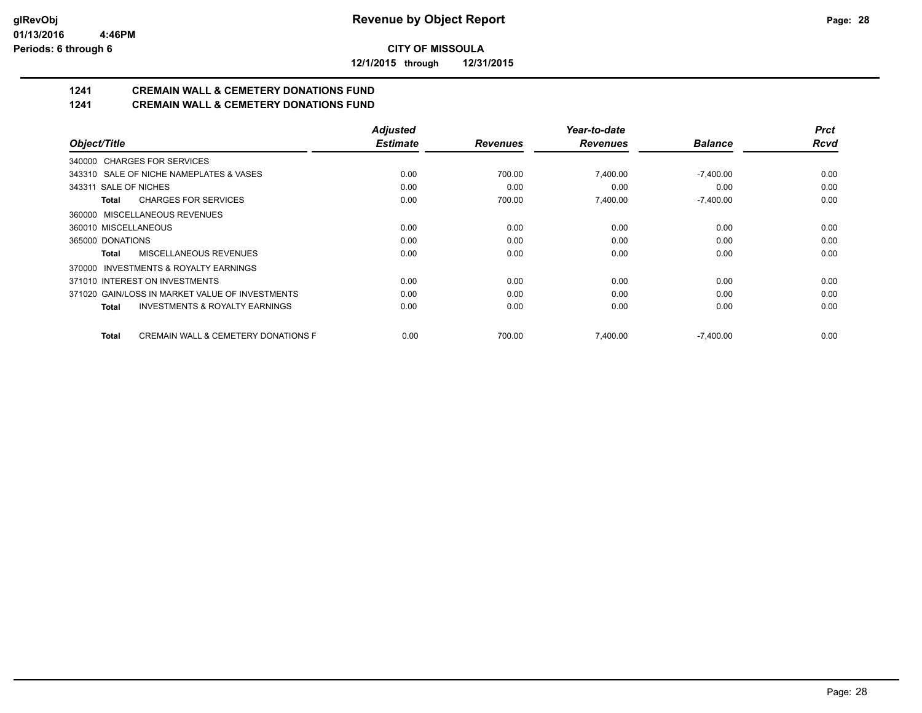**12/1/2015 through 12/31/2015**

# **1241 CREMAIN WALL & CEMETERY DONATIONS FUND**

**1241 CREMAIN WALL & CEMETERY DONATIONS FUND**

|                                                           | <b>Adjusted</b> |                 | Year-to-date    |                | <b>Prct</b> |
|-----------------------------------------------------------|-----------------|-----------------|-----------------|----------------|-------------|
| Object/Title                                              | <b>Estimate</b> | <b>Revenues</b> | <b>Revenues</b> | <b>Balance</b> | <b>Rcvd</b> |
| 340000 CHARGES FOR SERVICES                               |                 |                 |                 |                |             |
| 343310 SALE OF NICHE NAMEPLATES & VASES                   | 0.00            | 700.00          | 7,400.00        | $-7,400.00$    | 0.00        |
| 343311 SALE OF NICHES                                     | 0.00            | 0.00            | 0.00            | 0.00           | 0.00        |
| <b>CHARGES FOR SERVICES</b><br><b>Total</b>               | 0.00            | 700.00          | 7,400.00        | $-7,400.00$    | 0.00        |
| 360000 MISCELLANEOUS REVENUES                             |                 |                 |                 |                |             |
| 360010 MISCELLANEOUS                                      | 0.00            | 0.00            | 0.00            | 0.00           | 0.00        |
| 365000 DONATIONS                                          | 0.00            | 0.00            | 0.00            | 0.00           | 0.00        |
| MISCELLANEOUS REVENUES<br><b>Total</b>                    | 0.00            | 0.00            | 0.00            | 0.00           | 0.00        |
| 370000 INVESTMENTS & ROYALTY EARNINGS                     |                 |                 |                 |                |             |
| 371010 INTEREST ON INVESTMENTS                            | 0.00            | 0.00            | 0.00            | 0.00           | 0.00        |
| 371020 GAIN/LOSS IN MARKET VALUE OF INVESTMENTS           | 0.00            | 0.00            | 0.00            | 0.00           | 0.00        |
| <b>INVESTMENTS &amp; ROYALTY EARNINGS</b><br><b>Total</b> | 0.00            | 0.00            | 0.00            | 0.00           | 0.00        |
| <b>CREMAIN WALL &amp; CEMETERY DONATIONS F</b><br>Total   | 0.00            | 700.00          | 7,400.00        | $-7,400.00$    | 0.00        |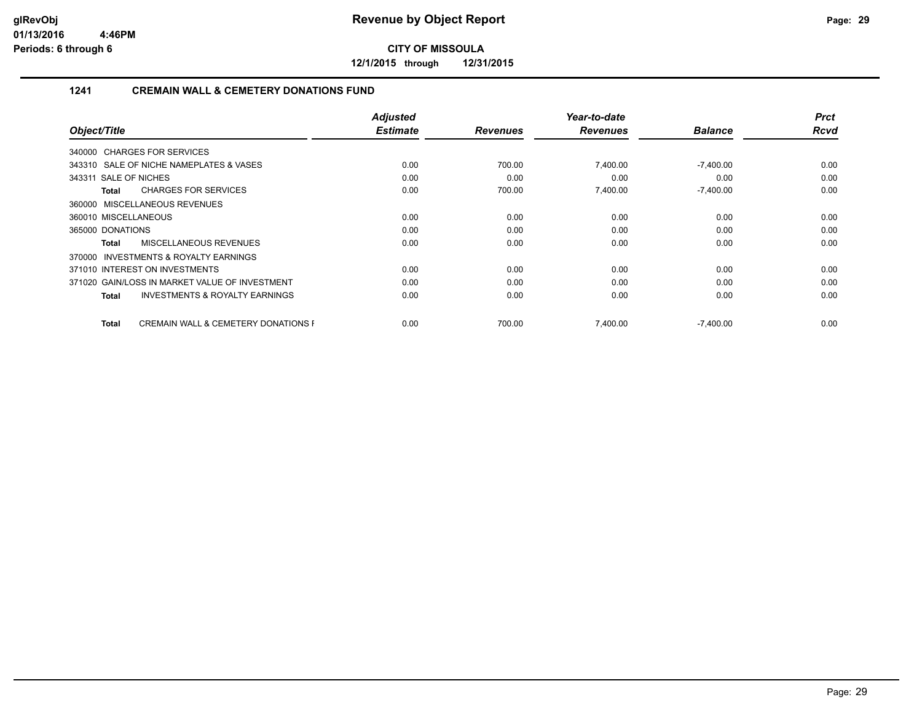**12/1/2015 through 12/31/2015**

# **1241 CREMAIN WALL & CEMETERY DONATIONS FUND**

|                                                           | <b>Adjusted</b> |                 | Year-to-date    |                | <b>Prct</b> |
|-----------------------------------------------------------|-----------------|-----------------|-----------------|----------------|-------------|
| Object/Title                                              | <b>Estimate</b> | <b>Revenues</b> | <b>Revenues</b> | <b>Balance</b> | <b>Rcvd</b> |
| 340000 CHARGES FOR SERVICES                               |                 |                 |                 |                |             |
| 343310 SALE OF NICHE NAMEPLATES & VASES                   | 0.00            | 700.00          | 7,400.00        | $-7,400.00$    | 0.00        |
| 343311 SALE OF NICHES                                     | 0.00            | 0.00            | 0.00            | 0.00           | 0.00        |
| <b>CHARGES FOR SERVICES</b><br>Total                      | 0.00            | 700.00          | 7,400.00        | $-7,400.00$    | 0.00        |
| 360000 MISCELLANEOUS REVENUES                             |                 |                 |                 |                |             |
| 360010 MISCELLANEOUS                                      | 0.00            | 0.00            | 0.00            | 0.00           | 0.00        |
| 365000 DONATIONS                                          | 0.00            | 0.00            | 0.00            | 0.00           | 0.00        |
| MISCELLANEOUS REVENUES<br>Total                           | 0.00            | 0.00            | 0.00            | 0.00           | 0.00        |
| INVESTMENTS & ROYALTY EARNINGS<br>370000                  |                 |                 |                 |                |             |
| 371010 INTEREST ON INVESTMENTS                            | 0.00            | 0.00            | 0.00            | 0.00           | 0.00        |
| 371020 GAIN/LOSS IN MARKET VALUE OF INVESTMENT            | 0.00            | 0.00            | 0.00            | 0.00           | 0.00        |
| <b>INVESTMENTS &amp; ROYALTY EARNINGS</b><br><b>Total</b> | 0.00            | 0.00            | 0.00            | 0.00           | 0.00        |
| <b>CREMAIN WALL &amp; CEMETERY DONATIONS F</b><br>Total   | 0.00            | 700.00          | 7,400.00        | $-7,400.00$    | 0.00        |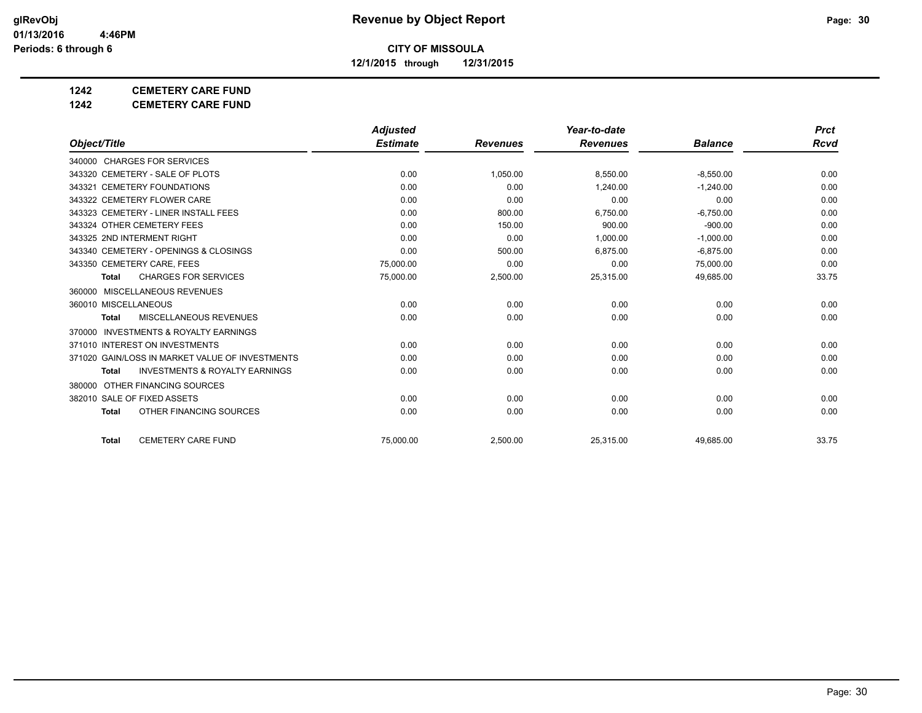**12/1/2015 through 12/31/2015**

# **1242 CEMETERY CARE FUND**

**1242 CEMETERY CARE FUND**

|                                                     | <b>Adjusted</b> |                 | Year-to-date    |                | <b>Prct</b> |
|-----------------------------------------------------|-----------------|-----------------|-----------------|----------------|-------------|
| Object/Title                                        | <b>Estimate</b> | <b>Revenues</b> | <b>Revenues</b> | <b>Balance</b> | Rcvd        |
| 340000 CHARGES FOR SERVICES                         |                 |                 |                 |                |             |
| 343320 CEMETERY - SALE OF PLOTS                     | 0.00            | 1,050.00        | 8,550.00        | $-8,550.00$    | 0.00        |
| 343321 CEMETERY FOUNDATIONS                         | 0.00            | 0.00            | 1.240.00        | $-1.240.00$    | 0.00        |
| 343322 CEMETERY FLOWER CARE                         | 0.00            | 0.00            | 0.00            | 0.00           | 0.00        |
| 343323 CEMETERY - LINER INSTALL FEES                | 0.00            | 800.00          | 6,750.00        | $-6,750.00$    | 0.00        |
| 343324 OTHER CEMETERY FEES                          | 0.00            | 150.00          | 900.00          | $-900.00$      | 0.00        |
| 343325 2ND INTERMENT RIGHT                          | 0.00            | 0.00            | 1.000.00        | $-1,000.00$    | 0.00        |
| 343340 CEMETERY - OPENINGS & CLOSINGS               | 0.00            | 500.00          | 6,875.00        | $-6,875.00$    | 0.00        |
| 343350 CEMETERY CARE, FEES                          | 75,000.00       | 0.00            | 0.00            | 75,000.00      | 0.00        |
| <b>CHARGES FOR SERVICES</b><br><b>Total</b>         | 75,000.00       | 2,500.00        | 25,315.00       | 49,685.00      | 33.75       |
| MISCELLANEOUS REVENUES<br>360000                    |                 |                 |                 |                |             |
| 360010 MISCELLANEOUS                                | 0.00            | 0.00            | 0.00            | 0.00           | 0.00        |
| MISCELLANEOUS REVENUES<br><b>Total</b>              | 0.00            | 0.00            | 0.00            | 0.00           | 0.00        |
| <b>INVESTMENTS &amp; ROYALTY EARNINGS</b><br>370000 |                 |                 |                 |                |             |
| 371010 INTEREST ON INVESTMENTS                      | 0.00            | 0.00            | 0.00            | 0.00           | 0.00        |
| 371020 GAIN/LOSS IN MARKET VALUE OF INVESTMENTS     | 0.00            | 0.00            | 0.00            | 0.00           | 0.00        |
| <b>INVESTMENTS &amp; ROYALTY EARNINGS</b><br>Total  | 0.00            | 0.00            | 0.00            | 0.00           | 0.00        |
| 380000 OTHER FINANCING SOURCES                      |                 |                 |                 |                |             |
| 382010 SALE OF FIXED ASSETS                         | 0.00            | 0.00            | 0.00            | 0.00           | 0.00        |
| OTHER FINANCING SOURCES<br><b>Total</b>             | 0.00            | 0.00            | 0.00            | 0.00           | 0.00        |
| <b>CEMETERY CARE FUND</b><br><b>Total</b>           | 75.000.00       | 2,500.00        | 25,315.00       | 49,685.00      | 33.75       |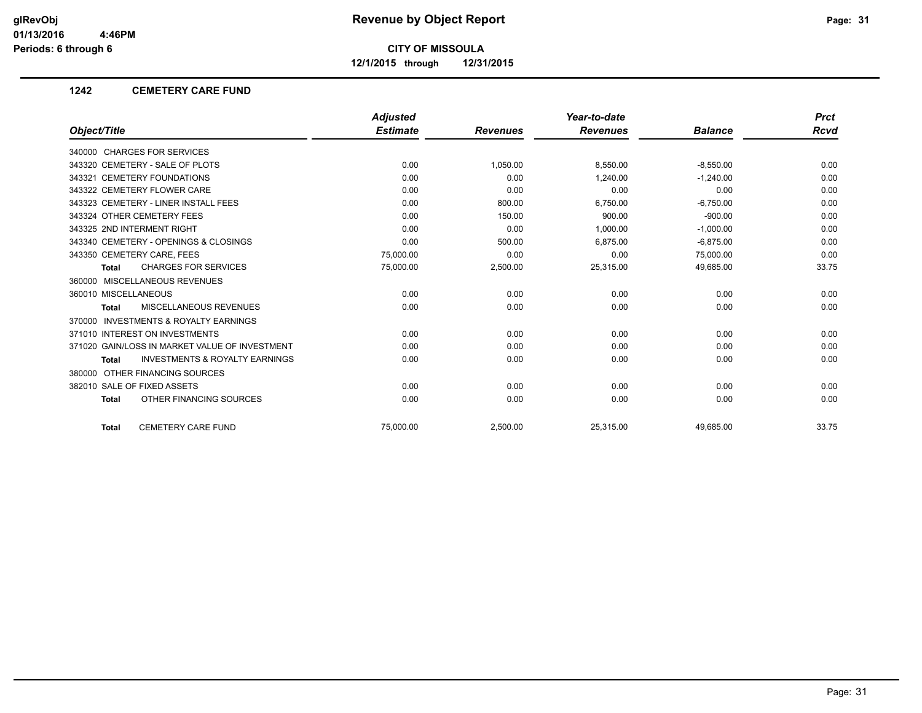**12/1/2015 through 12/31/2015**

### **1242 CEMETERY CARE FUND**

|                                                    | <b>Adjusted</b> |                 | Year-to-date    |                | <b>Prct</b> |
|----------------------------------------------------|-----------------|-----------------|-----------------|----------------|-------------|
| Object/Title                                       | <b>Estimate</b> | <b>Revenues</b> | <b>Revenues</b> | <b>Balance</b> | <b>Rcvd</b> |
| 340000 CHARGES FOR SERVICES                        |                 |                 |                 |                |             |
| 343320 CEMETERY - SALE OF PLOTS                    | 0.00            | 1,050.00        | 8,550.00        | $-8,550.00$    | 0.00        |
| 343321 CEMETERY FOUNDATIONS                        | 0.00            | 0.00            | 1,240.00        | $-1,240.00$    | 0.00        |
| 343322 CEMETERY FLOWER CARE                        | 0.00            | 0.00            | 0.00            | 0.00           | 0.00        |
| 343323 CEMETERY - LINER INSTALL FEES               | 0.00            | 800.00          | 6,750.00        | $-6,750.00$    | 0.00        |
| 343324 OTHER CEMETERY FEES                         | 0.00            | 150.00          | 900.00          | $-900.00$      | 0.00        |
| 343325 2ND INTERMENT RIGHT                         | 0.00            | 0.00            | 1,000.00        | $-1,000.00$    | 0.00        |
| 343340 CEMETERY - OPENINGS & CLOSINGS              | 0.00            | 500.00          | 6.875.00        | $-6.875.00$    | 0.00        |
| 343350 CEMETERY CARE, FEES                         | 75,000.00       | 0.00            | 0.00            | 75,000.00      | 0.00        |
| <b>CHARGES FOR SERVICES</b><br><b>Total</b>        | 75,000.00       | 2,500.00        | 25,315.00       | 49,685.00      | 33.75       |
| 360000 MISCELLANEOUS REVENUES                      |                 |                 |                 |                |             |
| 360010 MISCELLANEOUS                               | 0.00            | 0.00            | 0.00            | 0.00           | 0.00        |
| MISCELLANEOUS REVENUES<br>Total                    | 0.00            | 0.00            | 0.00            | 0.00           | 0.00        |
| INVESTMENTS & ROYALTY EARNINGS<br>370000           |                 |                 |                 |                |             |
| 371010 INTEREST ON INVESTMENTS                     | 0.00            | 0.00            | 0.00            | 0.00           | 0.00        |
| 371020 GAIN/LOSS IN MARKET VALUE OF INVESTMENT     | 0.00            | 0.00            | 0.00            | 0.00           | 0.00        |
| <b>INVESTMENTS &amp; ROYALTY EARNINGS</b><br>Total | 0.00            | 0.00            | 0.00            | 0.00           | 0.00        |
| 380000 OTHER FINANCING SOURCES                     |                 |                 |                 |                |             |
| 382010 SALE OF FIXED ASSETS                        | 0.00            | 0.00            | 0.00            | 0.00           | 0.00        |
| OTHER FINANCING SOURCES<br><b>Total</b>            | 0.00            | 0.00            | 0.00            | 0.00           | 0.00        |
| <b>CEMETERY CARE FUND</b><br>Total                 | 75.000.00       | 2,500.00        | 25,315.00       | 49.685.00      | 33.75       |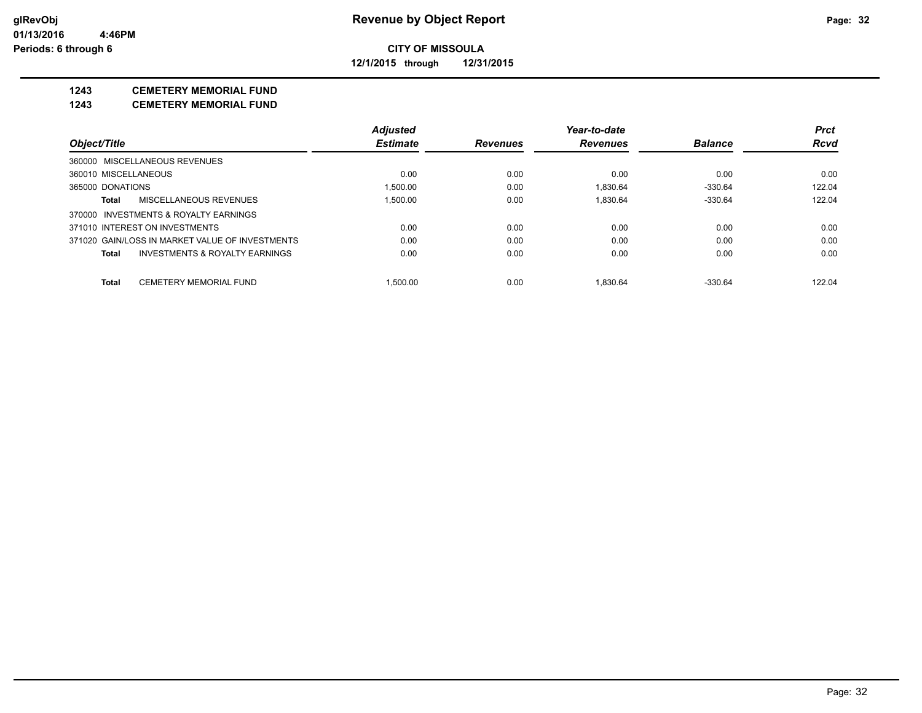**12/1/2015 through 12/31/2015**

# **1243 CEMETERY MEMORIAL FUND**

**1243 CEMETERY MEMORIAL FUND**

|                      |                                                 | <b>Adjusted</b> |                 | Year-to-date    |                | <b>Prct</b> |
|----------------------|-------------------------------------------------|-----------------|-----------------|-----------------|----------------|-------------|
| Object/Title         |                                                 | <b>Estimate</b> | <b>Revenues</b> | <b>Revenues</b> | <b>Balance</b> | <b>Rcvd</b> |
|                      | 360000 MISCELLANEOUS REVENUES                   |                 |                 |                 |                |             |
| 360010 MISCELLANEOUS |                                                 | 0.00            | 0.00            | 0.00            | 0.00           | 0.00        |
| 365000 DONATIONS     |                                                 | 1.500.00        | 0.00            | 1.830.64        | $-330.64$      | 122.04      |
| Total                | MISCELLANEOUS REVENUES                          | 1.500.00        | 0.00            | 1.830.64        | $-330.64$      | 122.04      |
|                      | 370000 INVESTMENTS & ROYALTY EARNINGS           |                 |                 |                 |                |             |
|                      | 371010 INTEREST ON INVESTMENTS                  | 0.00            | 0.00            | 0.00            | 0.00           | 0.00        |
|                      | 371020 GAIN/LOSS IN MARKET VALUE OF INVESTMENTS | 0.00            | 0.00            | 0.00            | 0.00           | 0.00        |
| Total                | INVESTMENTS & ROYALTY EARNINGS                  | 0.00            | 0.00            | 0.00            | 0.00           | 0.00        |
| Total                | <b>CEMETERY MEMORIAL FUND</b>                   | 1.500.00        | 0.00            | 1.830.64        | $-330.64$      | 122.04      |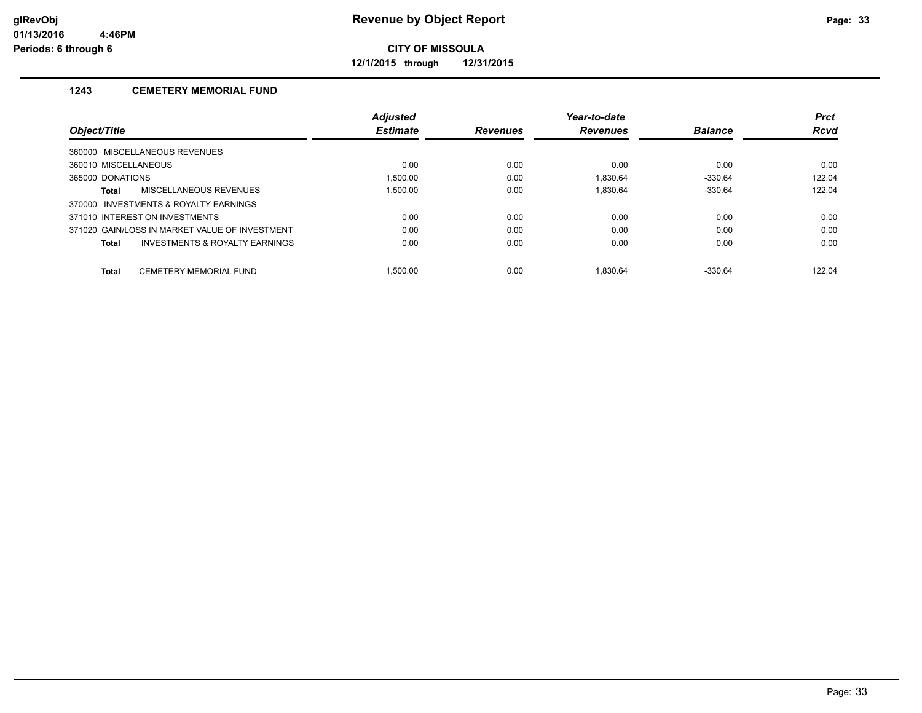**12/1/2015 through 12/31/2015**

# **1243 CEMETERY MEMORIAL FUND**

|                                                |                                | <b>Adjusted</b> |                 | Year-to-date    |                | <b>Prct</b> |
|------------------------------------------------|--------------------------------|-----------------|-----------------|-----------------|----------------|-------------|
| Object/Title                                   |                                | <b>Estimate</b> | <b>Revenues</b> | <b>Revenues</b> | <b>Balance</b> | <b>Rcvd</b> |
| 360000 MISCELLANEOUS REVENUES                  |                                |                 |                 |                 |                |             |
| 360010 MISCELLANEOUS                           |                                | 0.00            | 0.00            | 0.00            | 0.00           | 0.00        |
| 365000 DONATIONS                               |                                | 1.500.00        | 0.00            | 1.830.64        | $-330.64$      | 122.04      |
| MISCELLANEOUS REVENUES<br><b>Total</b>         |                                | 1.500.00        | 0.00            | 1.830.64        | $-330.64$      | 122.04      |
| 370000 INVESTMENTS & ROYALTY EARNINGS          |                                |                 |                 |                 |                |             |
| 371010 INTEREST ON INVESTMENTS                 |                                | 0.00            | 0.00            | 0.00            | 0.00           | 0.00        |
| 371020 GAIN/LOSS IN MARKET VALUE OF INVESTMENT |                                | 0.00            | 0.00            | 0.00            | 0.00           | 0.00        |
| <b>Total</b>                                   | INVESTMENTS & ROYALTY EARNINGS | 0.00            | 0.00            | 0.00            | 0.00           | 0.00        |
| CEMETERY MEMORIAL FUND<br><b>Total</b>         |                                | 1.500.00        | 0.00            | 1.830.64        | $-330.64$      | 122.04      |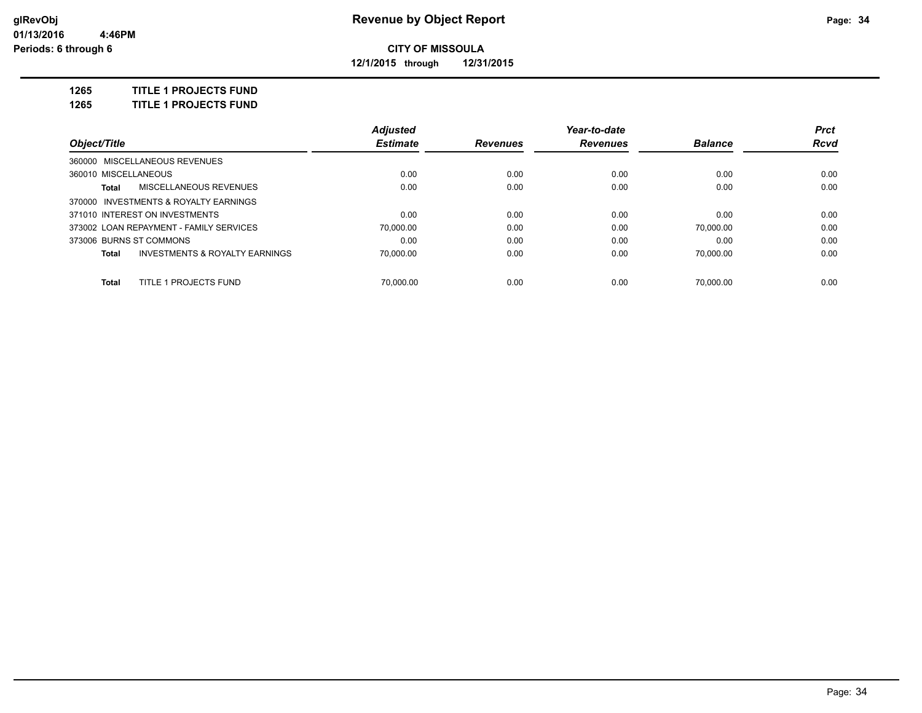**12/1/2015 through 12/31/2015**

**1265 TITLE 1 PROJECTS FUND**

**1265 TITLE 1 PROJECTS FUND**

|                                                    | <b>Adjusted</b> |                 | Year-to-date    |                | <b>Prct</b> |
|----------------------------------------------------|-----------------|-----------------|-----------------|----------------|-------------|
| Object/Title                                       | <b>Estimate</b> | <b>Revenues</b> | <b>Revenues</b> | <b>Balance</b> | <b>Rcvd</b> |
| 360000 MISCELLANEOUS REVENUES                      |                 |                 |                 |                |             |
| 360010 MISCELLANEOUS                               | 0.00            | 0.00            | 0.00            | 0.00           | 0.00        |
| MISCELLANEOUS REVENUES<br>Total                    | 0.00            | 0.00            | 0.00            | 0.00           | 0.00        |
| 370000 INVESTMENTS & ROYALTY EARNINGS              |                 |                 |                 |                |             |
| 371010 INTEREST ON INVESTMENTS                     | 0.00            | 0.00            | 0.00            | 0.00           | 0.00        |
| 373002 LOAN REPAYMENT - FAMILY SERVICES            | 70.000.00       | 0.00            | 0.00            | 70.000.00      | 0.00        |
| 373006 BURNS ST COMMONS                            | 0.00            | 0.00            | 0.00            | 0.00           | 0.00        |
| <b>INVESTMENTS &amp; ROYALTY EARNINGS</b><br>Total | 70.000.00       | 0.00            | 0.00            | 70.000.00      | 0.00        |
| <b>TITLE 1 PROJECTS FUND</b><br><b>Total</b>       | 70.000.00       | 0.00            | 0.00            | 70.000.00      | 0.00        |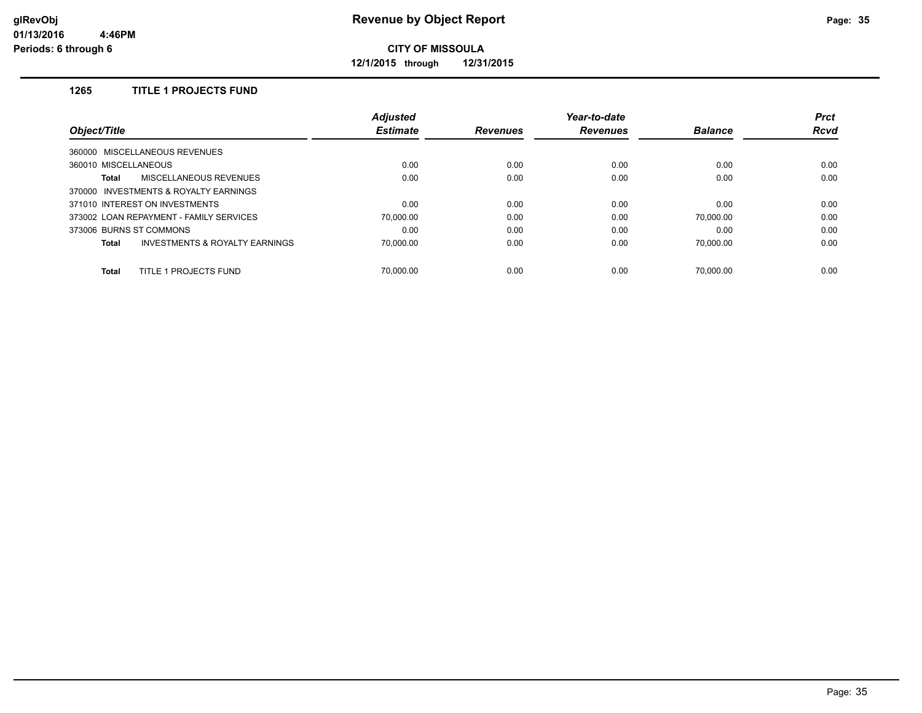**12/1/2015 through 12/31/2015**

# **1265 TITLE 1 PROJECTS FUND**

|                                                    | <b>Adjusted</b> |                 | Year-to-date    |                | <b>Prct</b> |
|----------------------------------------------------|-----------------|-----------------|-----------------|----------------|-------------|
| Object/Title                                       | <b>Estimate</b> | <b>Revenues</b> | <b>Revenues</b> | <b>Balance</b> | <b>Rcvd</b> |
| 360000 MISCELLANEOUS REVENUES                      |                 |                 |                 |                |             |
| 360010 MISCELLANEOUS                               | 0.00            | 0.00            | 0.00            | 0.00           | 0.00        |
| <b>MISCELLANEOUS REVENUES</b><br>Total             | 0.00            | 0.00            | 0.00            | 0.00           | 0.00        |
| 370000 INVESTMENTS & ROYALTY EARNINGS              |                 |                 |                 |                |             |
| 371010 INTEREST ON INVESTMENTS                     | 0.00            | 0.00            | 0.00            | 0.00           | 0.00        |
| 373002 LOAN REPAYMENT - FAMILY SERVICES            | 70.000.00       | 0.00            | 0.00            | 70.000.00      | 0.00        |
| 373006 BURNS ST COMMONS                            | 0.00            | 0.00            | 0.00            | 0.00           | 0.00        |
| <b>INVESTMENTS &amp; ROYALTY EARNINGS</b><br>Total | 70.000.00       | 0.00            | 0.00            | 70.000.00      | 0.00        |
| TITLE 1 PROJECTS FUND<br><b>Total</b>              | 70.000.00       | 0.00            | 0.00            | 70.000.00      | 0.00        |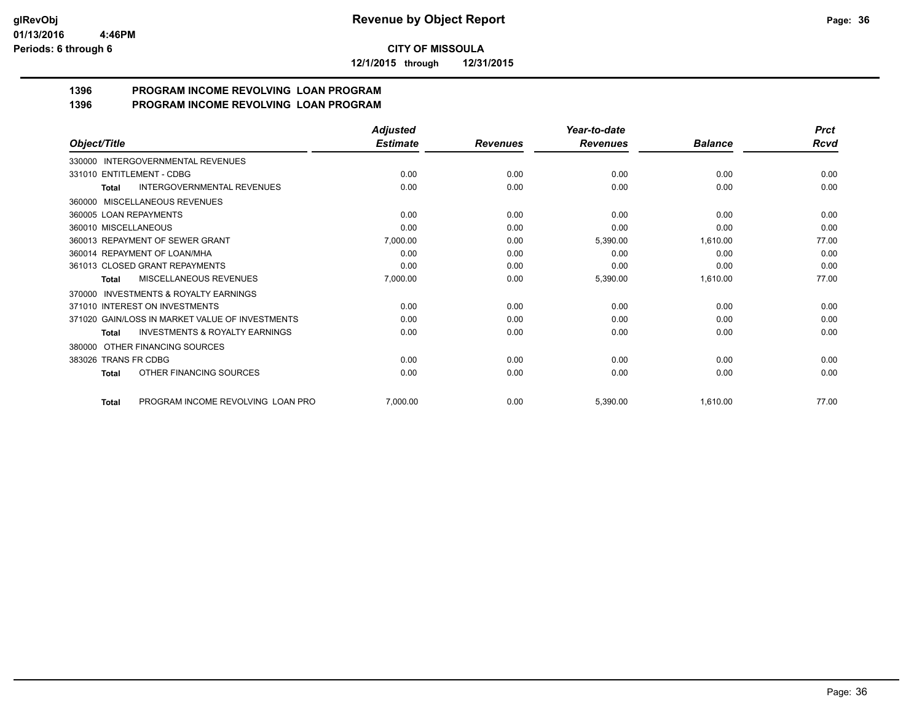**12/1/2015 through 12/31/2015**

#### **1396 PROGRAM INCOME REVOLVING LOAN PROGRAM 1396 PROGRAM INCOME REVOLVING LOAN PROGRAM**

|                                                    | <b>Adjusted</b> |                 | Year-to-date    |                | <b>Prct</b> |
|----------------------------------------------------|-----------------|-----------------|-----------------|----------------|-------------|
| Object/Title                                       | <b>Estimate</b> | <b>Revenues</b> | <b>Revenues</b> | <b>Balance</b> | <b>Rcvd</b> |
| INTERGOVERNMENTAL REVENUES<br>330000               |                 |                 |                 |                |             |
| 331010 ENTITLEMENT - CDBG                          | 0.00            | 0.00            | 0.00            | 0.00           | 0.00        |
| <b>INTERGOVERNMENTAL REVENUES</b><br>Total         | 0.00            | 0.00            | 0.00            | 0.00           | 0.00        |
| MISCELLANEOUS REVENUES<br>360000                   |                 |                 |                 |                |             |
| 360005 LOAN REPAYMENTS                             | 0.00            | 0.00            | 0.00            | 0.00           | 0.00        |
| 360010 MISCELLANEOUS                               | 0.00            | 0.00            | 0.00            | 0.00           | 0.00        |
| 360013 REPAYMENT OF SEWER GRANT                    | 7,000.00        | 0.00            | 5,390.00        | 1,610.00       | 77.00       |
| 360014 REPAYMENT OF LOAN/MHA                       | 0.00            | 0.00            | 0.00            | 0.00           | 0.00        |
| 361013 CLOSED GRANT REPAYMENTS                     | 0.00            | 0.00            | 0.00            | 0.00           | 0.00        |
| MISCELLANEOUS REVENUES<br>Total                    | 7,000.00        | 0.00            | 5,390.00        | 1,610.00       | 77.00       |
| INVESTMENTS & ROYALTY EARNINGS<br>370000           |                 |                 |                 |                |             |
| 371010 INTEREST ON INVESTMENTS                     | 0.00            | 0.00            | 0.00            | 0.00           | 0.00        |
| 371020 GAIN/LOSS IN MARKET VALUE OF INVESTMENTS    | 0.00            | 0.00            | 0.00            | 0.00           | 0.00        |
| <b>INVESTMENTS &amp; ROYALTY EARNINGS</b><br>Total | 0.00            | 0.00            | 0.00            | 0.00           | 0.00        |
| OTHER FINANCING SOURCES<br>380000                  |                 |                 |                 |                |             |
| <b>TRANS FR CDBG</b><br>383026                     | 0.00            | 0.00            | 0.00            | 0.00           | 0.00        |
| OTHER FINANCING SOURCES<br>Total                   | 0.00            | 0.00            | 0.00            | 0.00           | 0.00        |
| PROGRAM INCOME REVOLVING LOAN PRO<br><b>Total</b>  | 7.000.00        | 0.00            | 5,390.00        | 1.610.00       | 77.00       |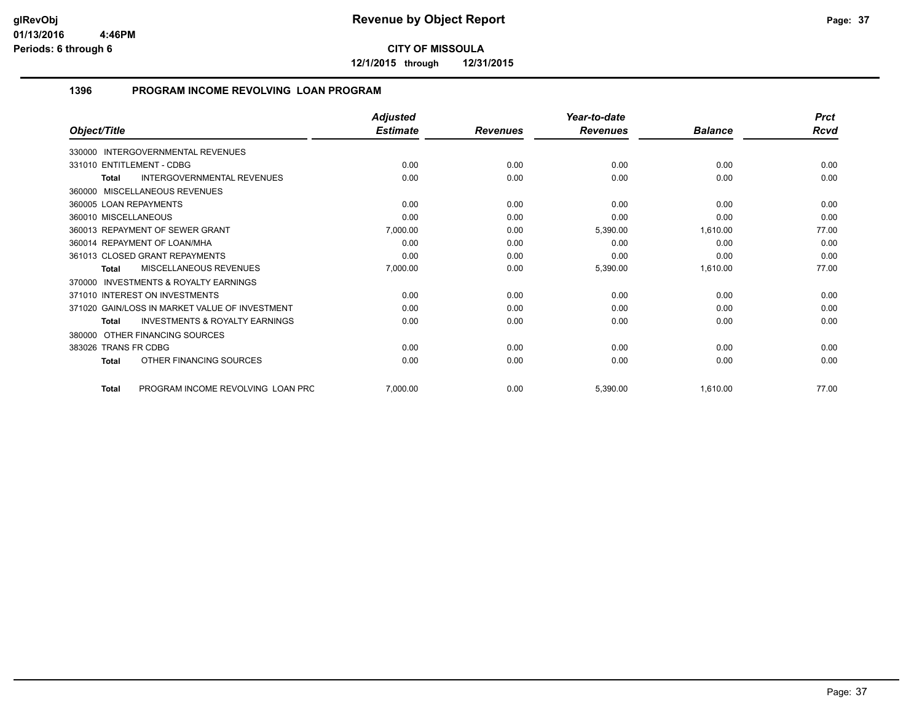**12/1/2015 through 12/31/2015**

## **1396 PROGRAM INCOME REVOLVING LOAN PROGRAM**

|                                                    | <b>Adjusted</b> |                 | Year-to-date    |                | <b>Prct</b> |
|----------------------------------------------------|-----------------|-----------------|-----------------|----------------|-------------|
| Object/Title                                       | <b>Estimate</b> | <b>Revenues</b> | <b>Revenues</b> | <b>Balance</b> | Rcvd        |
| 330000 INTERGOVERNMENTAL REVENUES                  |                 |                 |                 |                |             |
| 331010 ENTITLEMENT - CDBG                          | 0.00            | 0.00            | 0.00            | 0.00           | 0.00        |
| <b>INTERGOVERNMENTAL REVENUES</b><br>Total         | 0.00            | 0.00            | 0.00            | 0.00           | 0.00        |
| 360000 MISCELLANEOUS REVENUES                      |                 |                 |                 |                |             |
| 360005 LOAN REPAYMENTS                             | 0.00            | 0.00            | 0.00            | 0.00           | 0.00        |
| 360010 MISCELLANEOUS                               | 0.00            | 0.00            | 0.00            | 0.00           | 0.00        |
| 360013 REPAYMENT OF SEWER GRANT                    | 7,000.00        | 0.00            | 5,390.00        | 1,610.00       | 77.00       |
| 360014 REPAYMENT OF LOAN/MHA                       | 0.00            | 0.00            | 0.00            | 0.00           | 0.00        |
| 361013 CLOSED GRANT REPAYMENTS                     | 0.00            | 0.00            | 0.00            | 0.00           | 0.00        |
| MISCELLANEOUS REVENUES<br>Total                    | 7,000.00        | 0.00            | 5,390.00        | 1,610.00       | 77.00       |
| 370000 INVESTMENTS & ROYALTY EARNINGS              |                 |                 |                 |                |             |
| 371010 INTEREST ON INVESTMENTS                     | 0.00            | 0.00            | 0.00            | 0.00           | 0.00        |
| 371020 GAIN/LOSS IN MARKET VALUE OF INVESTMENT     | 0.00            | 0.00            | 0.00            | 0.00           | 0.00        |
| <b>INVESTMENTS &amp; ROYALTY EARNINGS</b><br>Total | 0.00            | 0.00            | 0.00            | 0.00           | 0.00        |
| 380000 OTHER FINANCING SOURCES                     |                 |                 |                 |                |             |
| 383026 TRANS FR CDBG                               | 0.00            | 0.00            | 0.00            | 0.00           | 0.00        |
| OTHER FINANCING SOURCES<br>Total                   | 0.00            | 0.00            | 0.00            | 0.00           | 0.00        |
| PROGRAM INCOME REVOLVING LOAN PRC<br><b>Total</b>  | 7,000.00        | 0.00            | 5,390.00        | 1,610.00       | 77.00       |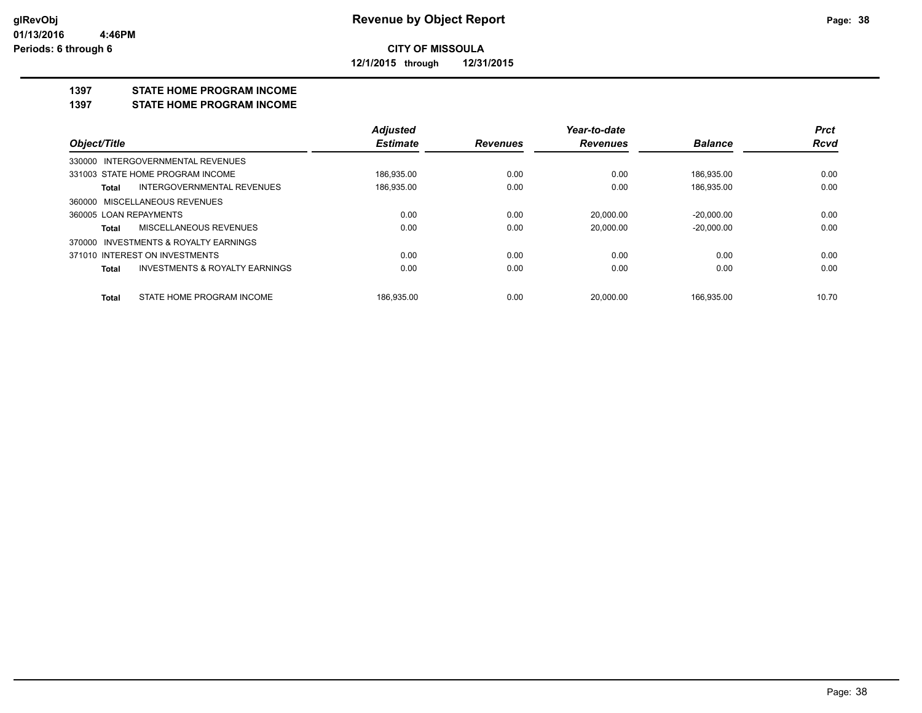## **CITY OF MISSOULA 12/1/2015 through 12/31/2015**

**1397 STATE HOME PROGRAM INCOME**

**1397 STATE HOME PROGRAM INCOME**

|                                                    | <b>Adjusted</b> |                 | Year-to-date    |                | <b>Prct</b> |
|----------------------------------------------------|-----------------|-----------------|-----------------|----------------|-------------|
| Object/Title                                       | <b>Estimate</b> | <b>Revenues</b> | <b>Revenues</b> | <b>Balance</b> | <b>Rcvd</b> |
| 330000 INTERGOVERNMENTAL REVENUES                  |                 |                 |                 |                |             |
| 331003 STATE HOME PROGRAM INCOME                   | 186,935.00      | 0.00            | 0.00            | 186,935.00     | 0.00        |
| <b>INTERGOVERNMENTAL REVENUES</b><br>Total         | 186,935.00      | 0.00            | 0.00            | 186,935.00     | 0.00        |
| 360000 MISCELLANEOUS REVENUES                      |                 |                 |                 |                |             |
| 360005 LOAN REPAYMENTS                             | 0.00            | 0.00            | 20.000.00       | $-20.000.00$   | 0.00        |
| MISCELLANEOUS REVENUES<br>Total                    | 0.00            | 0.00            | 20.000.00       | $-20.000.00$   | 0.00        |
| 370000 INVESTMENTS & ROYALTY EARNINGS              |                 |                 |                 |                |             |
| 371010 INTEREST ON INVESTMENTS                     | 0.00            | 0.00            | 0.00            | 0.00           | 0.00        |
| <b>INVESTMENTS &amp; ROYALTY EARNINGS</b><br>Total | 0.00            | 0.00            | 0.00            | 0.00           | 0.00        |
| STATE HOME PROGRAM INCOME<br>Total                 | 186.935.00      | 0.00            | 20.000.00       | 166.935.00     | 10.70       |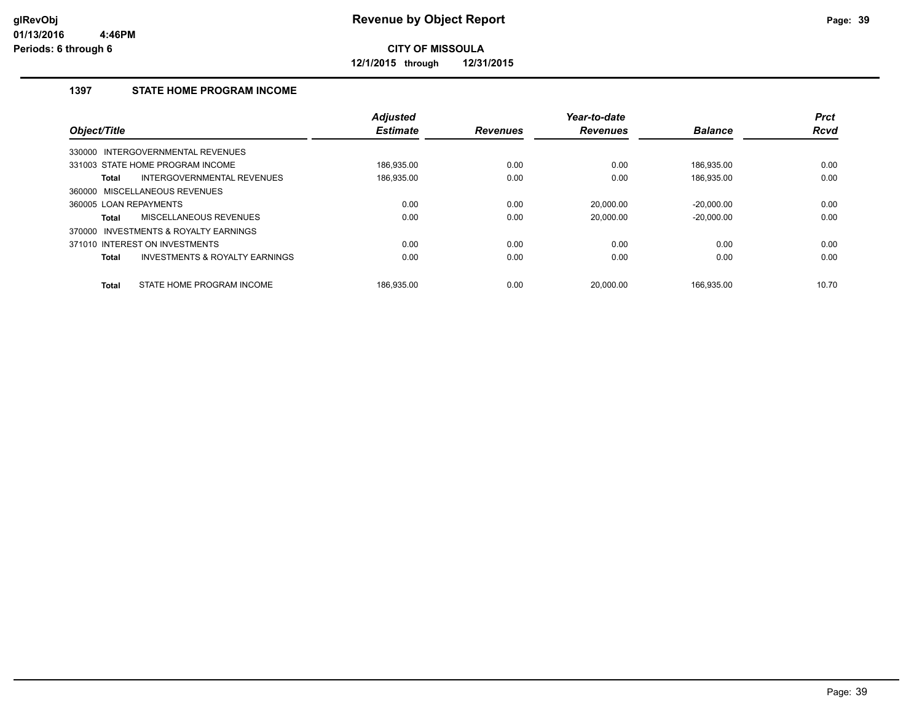**12/1/2015 through 12/31/2015**

## **1397 STATE HOME PROGRAM INCOME**

| Object/Title           |                                           | <b>Adjusted</b><br><b>Estimate</b> | <b>Revenues</b> | Year-to-date<br><b>Revenues</b> | <b>Balance</b> | <b>Prct</b><br><b>Rcvd</b> |
|------------------------|-------------------------------------------|------------------------------------|-----------------|---------------------------------|----------------|----------------------------|
|                        |                                           |                                    |                 |                                 |                |                            |
|                        | 330000 INTERGOVERNMENTAL REVENUES         |                                    |                 |                                 |                |                            |
|                        | 331003 STATE HOME PROGRAM INCOME          | 186.935.00                         | 0.00            | 0.00                            | 186.935.00     | 0.00                       |
| Total                  | INTERGOVERNMENTAL REVENUES                | 186,935.00                         | 0.00            | 0.00                            | 186,935.00     | 0.00                       |
| 360000                 | MISCELLANEOUS REVENUES                    |                                    |                 |                                 |                |                            |
| 360005 LOAN REPAYMENTS |                                           | 0.00                               | 0.00            | 20,000.00                       | $-20,000.00$   | 0.00                       |
| Total                  | MISCELLANEOUS REVENUES                    | 0.00                               | 0.00            | 20.000.00                       | $-20.000.00$   | 0.00                       |
| 370000                 | INVESTMENTS & ROYALTY EARNINGS            |                                    |                 |                                 |                |                            |
|                        | 371010 INTEREST ON INVESTMENTS            | 0.00                               | 0.00            | 0.00                            | 0.00           | 0.00                       |
| <b>Total</b>           | <b>INVESTMENTS &amp; ROYALTY EARNINGS</b> | 0.00                               | 0.00            | 0.00                            | 0.00           | 0.00                       |
| <b>Total</b>           | STATE HOME PROGRAM INCOME                 | 186.935.00                         | 0.00            | 20.000.00                       | 166.935.00     | 10.70                      |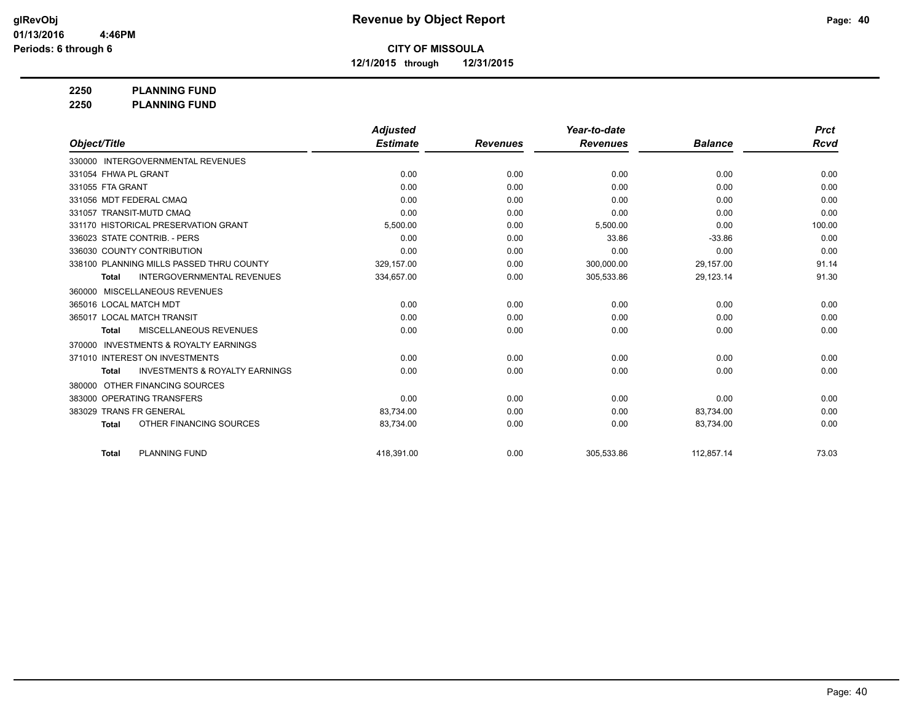**12/1/2015 through 12/31/2015**

**2250 PLANNING FUND**

**2250 PLANNING FUND**

|                                                           | <b>Adjusted</b> |                 | Year-to-date    |                | <b>Prct</b> |
|-----------------------------------------------------------|-----------------|-----------------|-----------------|----------------|-------------|
| Object/Title                                              | <b>Estimate</b> | <b>Revenues</b> | <b>Revenues</b> | <b>Balance</b> | <b>Rcvd</b> |
| 330000 INTERGOVERNMENTAL REVENUES                         |                 |                 |                 |                |             |
| 331054 FHWA PL GRANT                                      | 0.00            | 0.00            | 0.00            | 0.00           | 0.00        |
| 331055 FTA GRANT                                          | 0.00            | 0.00            | 0.00            | 0.00           | 0.00        |
| 331056 MDT FEDERAL CMAQ                                   | 0.00            | 0.00            | 0.00            | 0.00           | 0.00        |
| 331057 TRANSIT-MUTD CMAQ                                  | 0.00            | 0.00            | 0.00            | 0.00           | 0.00        |
| 331170 HISTORICAL PRESERVATION GRANT                      | 5,500.00        | 0.00            | 5,500.00        | 0.00           | 100.00      |
| 336023 STATE CONTRIB. - PERS                              | 0.00            | 0.00            | 33.86           | $-33.86$       | 0.00        |
| 336030 COUNTY CONTRIBUTION                                | 0.00            | 0.00            | 0.00            | 0.00           | 0.00        |
| 338100 PLANNING MILLS PASSED THRU COUNTY                  | 329,157.00      | 0.00            | 300,000.00      | 29,157.00      | 91.14       |
| <b>INTERGOVERNMENTAL REVENUES</b><br><b>Total</b>         | 334,657.00      | 0.00            | 305,533.86      | 29,123.14      | 91.30       |
| MISCELLANEOUS REVENUES<br>360000                          |                 |                 |                 |                |             |
| 365016 LOCAL MATCH MDT                                    | 0.00            | 0.00            | 0.00            | 0.00           | 0.00        |
| 365017 LOCAL MATCH TRANSIT                                | 0.00            | 0.00            | 0.00            | 0.00           | 0.00        |
| MISCELLANEOUS REVENUES<br><b>Total</b>                    | 0.00            | 0.00            | 0.00            | 0.00           | 0.00        |
| <b>INVESTMENTS &amp; ROYALTY EARNINGS</b><br>370000       |                 |                 |                 |                |             |
| 371010 INTEREST ON INVESTMENTS                            | 0.00            | 0.00            | 0.00            | 0.00           | 0.00        |
| <b>INVESTMENTS &amp; ROYALTY EARNINGS</b><br><b>Total</b> | 0.00            | 0.00            | 0.00            | 0.00           | 0.00        |
| OTHER FINANCING SOURCES<br>380000                         |                 |                 |                 |                |             |
| 383000 OPERATING TRANSFERS                                | 0.00            | 0.00            | 0.00            | 0.00           | 0.00        |
| 383029 TRANS FR GENERAL                                   | 83,734.00       | 0.00            | 0.00            | 83,734.00      | 0.00        |
| OTHER FINANCING SOURCES<br><b>Total</b>                   | 83,734.00       | 0.00            | 0.00            | 83,734.00      | 0.00        |
| <b>PLANNING FUND</b><br><b>Total</b>                      | 418.391.00      | 0.00            | 305.533.86      | 112.857.14     | 73.03       |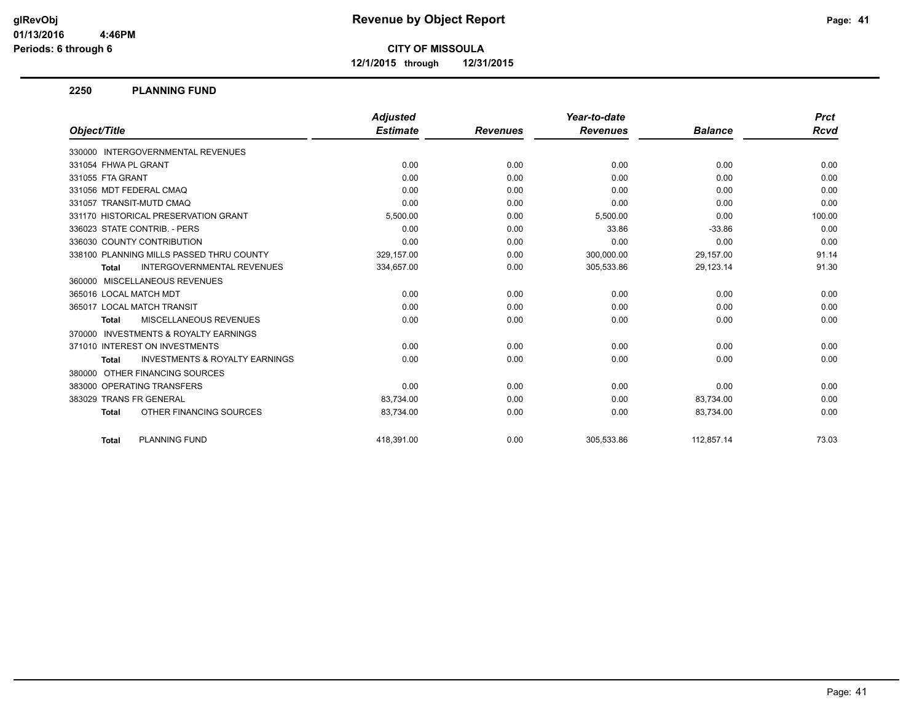**12/1/2015 through 12/31/2015**

### **2250 PLANNING FUND**

|                                                           | <b>Adjusted</b> |                 | Year-to-date    |                | <b>Prct</b> |
|-----------------------------------------------------------|-----------------|-----------------|-----------------|----------------|-------------|
| Object/Title                                              | <b>Estimate</b> | <b>Revenues</b> | <b>Revenues</b> | <b>Balance</b> | Rcvd        |
| 330000 INTERGOVERNMENTAL REVENUES                         |                 |                 |                 |                |             |
| 331054 FHWA PL GRANT                                      | 0.00            | 0.00            | 0.00            | 0.00           | 0.00        |
| 331055 FTA GRANT                                          | 0.00            | 0.00            | 0.00            | 0.00           | 0.00        |
| 331056 MDT FEDERAL CMAQ                                   | 0.00            | 0.00            | 0.00            | 0.00           | 0.00        |
| 331057 TRANSIT-MUTD CMAQ                                  | 0.00            | 0.00            | 0.00            | 0.00           | 0.00        |
| 331170 HISTORICAL PRESERVATION GRANT                      | 5,500.00        | 0.00            | 5,500.00        | 0.00           | 100.00      |
| 336023 STATE CONTRIB. - PERS                              | 0.00            | 0.00            | 33.86           | $-33.86$       | 0.00        |
| 336030 COUNTY CONTRIBUTION                                | 0.00            | 0.00            | 0.00            | 0.00           | 0.00        |
| 338100 PLANNING MILLS PASSED THRU COUNTY                  | 329,157.00      | 0.00            | 300,000.00      | 29,157.00      | 91.14       |
| <b>INTERGOVERNMENTAL REVENUES</b><br><b>Total</b>         | 334,657.00      | 0.00            | 305,533.86      | 29,123.14      | 91.30       |
| 360000 MISCELLANEOUS REVENUES                             |                 |                 |                 |                |             |
| 365016 LOCAL MATCH MDT                                    | 0.00            | 0.00            | 0.00            | 0.00           | 0.00        |
| 365017 LOCAL MATCH TRANSIT                                | 0.00            | 0.00            | 0.00            | 0.00           | 0.00        |
| MISCELLANEOUS REVENUES<br><b>Total</b>                    | 0.00            | 0.00            | 0.00            | 0.00           | 0.00        |
| 370000 INVESTMENTS & ROYALTY EARNINGS                     |                 |                 |                 |                |             |
| 371010 INTEREST ON INVESTMENTS                            | 0.00            | 0.00            | 0.00            | 0.00           | 0.00        |
| <b>INVESTMENTS &amp; ROYALTY EARNINGS</b><br><b>Total</b> | 0.00            | 0.00            | 0.00            | 0.00           | 0.00        |
| 380000 OTHER FINANCING SOURCES                            |                 |                 |                 |                |             |
| 383000 OPERATING TRANSFERS                                | 0.00            | 0.00            | 0.00            | 0.00           | 0.00        |
| 383029 TRANS FR GENERAL                                   | 83,734.00       | 0.00            | 0.00            | 83,734.00      | 0.00        |
| OTHER FINANCING SOURCES<br><b>Total</b>                   | 83,734.00       | 0.00            | 0.00            | 83,734.00      | 0.00        |
| <b>PLANNING FUND</b><br><b>Total</b>                      | 418.391.00      | 0.00            | 305.533.86      | 112.857.14     | 73.03       |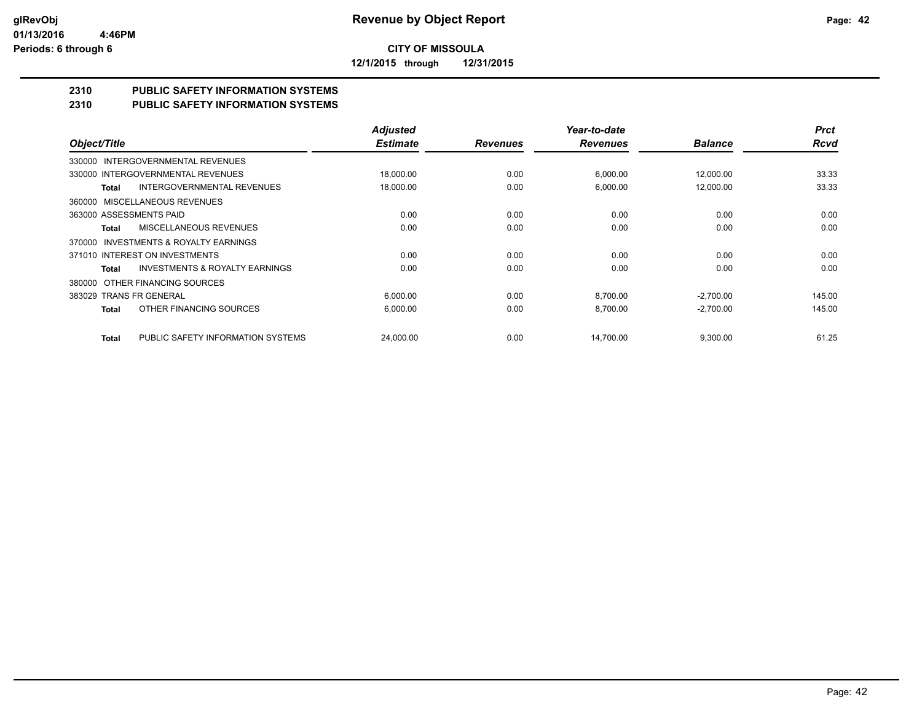**12/1/2015 through 12/31/2015**

# **2310 PUBLIC SAFETY INFORMATION SYSTEMS**

## **2310 PUBLIC SAFETY INFORMATION SYSTEMS**

|                                                    | <b>Adjusted</b> |                 | Year-to-date    |                | <b>Prct</b> |
|----------------------------------------------------|-----------------|-----------------|-----------------|----------------|-------------|
| Object/Title                                       | <b>Estimate</b> | <b>Revenues</b> | <b>Revenues</b> | <b>Balance</b> | <b>Rcvd</b> |
| INTERGOVERNMENTAL REVENUES<br>330000               |                 |                 |                 |                |             |
| 330000 INTERGOVERNMENTAL REVENUES                  | 18,000.00       | 0.00            | 6,000.00        | 12,000.00      | 33.33       |
| INTERGOVERNMENTAL REVENUES<br>Total                | 18,000.00       | 0.00            | 6,000.00        | 12,000.00      | 33.33       |
| MISCELLANEOUS REVENUES<br>360000                   |                 |                 |                 |                |             |
| 363000 ASSESSMENTS PAID                            | 0.00            | 0.00            | 0.00            | 0.00           | 0.00        |
| MISCELLANEOUS REVENUES<br>Total                    | 0.00            | 0.00            | 0.00            | 0.00           | 0.00        |
| INVESTMENTS & ROYALTY EARNINGS<br>370000           |                 |                 |                 |                |             |
| 371010 INTEREST ON INVESTMENTS                     | 0.00            | 0.00            | 0.00            | 0.00           | 0.00        |
| <b>INVESTMENTS &amp; ROYALTY EARNINGS</b><br>Total | 0.00            | 0.00            | 0.00            | 0.00           | 0.00        |
| OTHER FINANCING SOURCES<br>380000                  |                 |                 |                 |                |             |
| 383029 TRANS FR GENERAL                            | 6,000.00        | 0.00            | 8,700.00        | $-2,700.00$    | 145.00      |
| OTHER FINANCING SOURCES<br><b>Total</b>            | 6,000.00        | 0.00            | 8,700.00        | $-2,700.00$    | 145.00      |
|                                                    |                 |                 |                 |                |             |
| PUBLIC SAFETY INFORMATION SYSTEMS<br><b>Total</b>  | 24.000.00       | 0.00            | 14.700.00       | 9,300.00       | 61.25       |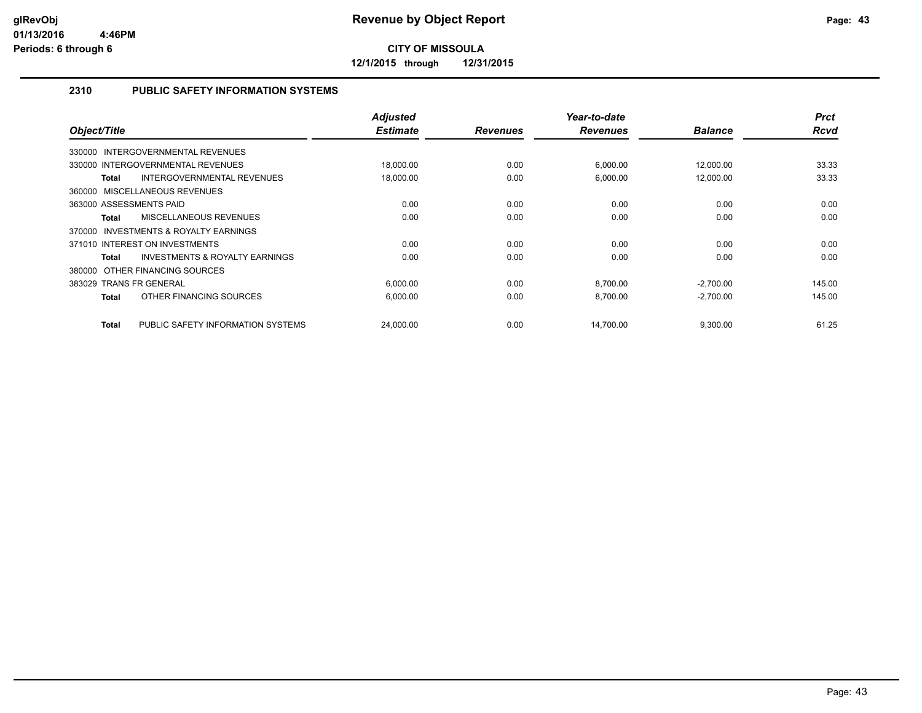**12/1/2015 through 12/31/2015**

## **2310 PUBLIC SAFETY INFORMATION SYSTEMS**

| <b>Prct</b><br><b>Rcvd</b> | <b>Balance</b> | Year-to-date<br><b>Revenues</b> | <b>Revenues</b> | <b>Adjusted</b><br><b>Estimate</b> |                                                    | Object/Title |
|----------------------------|----------------|---------------------------------|-----------------|------------------------------------|----------------------------------------------------|--------------|
|                            |                |                                 |                 |                                    |                                                    |              |
|                            |                |                                 |                 |                                    | 330000 INTERGOVERNMENTAL REVENUES                  |              |
| 33.33                      | 12,000.00      | 6,000.00                        | 0.00            | 18,000.00                          | 330000 INTERGOVERNMENTAL REVENUES                  |              |
| 33.33                      | 12,000.00      | 6,000.00                        | 0.00            | 18,000.00                          | INTERGOVERNMENTAL REVENUES<br>Total                |              |
|                            |                |                                 |                 |                                    | 360000 MISCELLANEOUS REVENUES                      |              |
| 0.00                       | 0.00           | 0.00                            | 0.00            | 0.00                               | 363000 ASSESSMENTS PAID                            |              |
| 0.00                       | 0.00           | 0.00                            | 0.00            | 0.00                               | MISCELLANEOUS REVENUES<br>Total                    |              |
|                            |                |                                 |                 |                                    | INVESTMENTS & ROYALTY EARNINGS                     | 370000       |
| 0.00                       | 0.00           | 0.00                            | 0.00            | 0.00                               | 371010 INTEREST ON INVESTMENTS                     |              |
| 0.00                       | 0.00           | 0.00                            | 0.00            | 0.00                               | <b>INVESTMENTS &amp; ROYALTY EARNINGS</b><br>Total |              |
|                            |                |                                 |                 |                                    | 380000 OTHER FINANCING SOURCES                     |              |
| 145.00                     | $-2,700.00$    | 8,700.00                        | 0.00            | 6,000.00                           | 383029 TRANS FR GENERAL                            |              |
| 145.00                     | $-2,700.00$    | 8,700.00                        | 0.00            | 6,000.00                           | OTHER FINANCING SOURCES<br>Total                   |              |
| 61.25                      |                |                                 |                 |                                    |                                                    |              |
|                            | 9,300.00       | 14,700.00                       | 0.00            | 24,000.00                          | PUBLIC SAFETY INFORMATION SYSTEMS<br>Total         |              |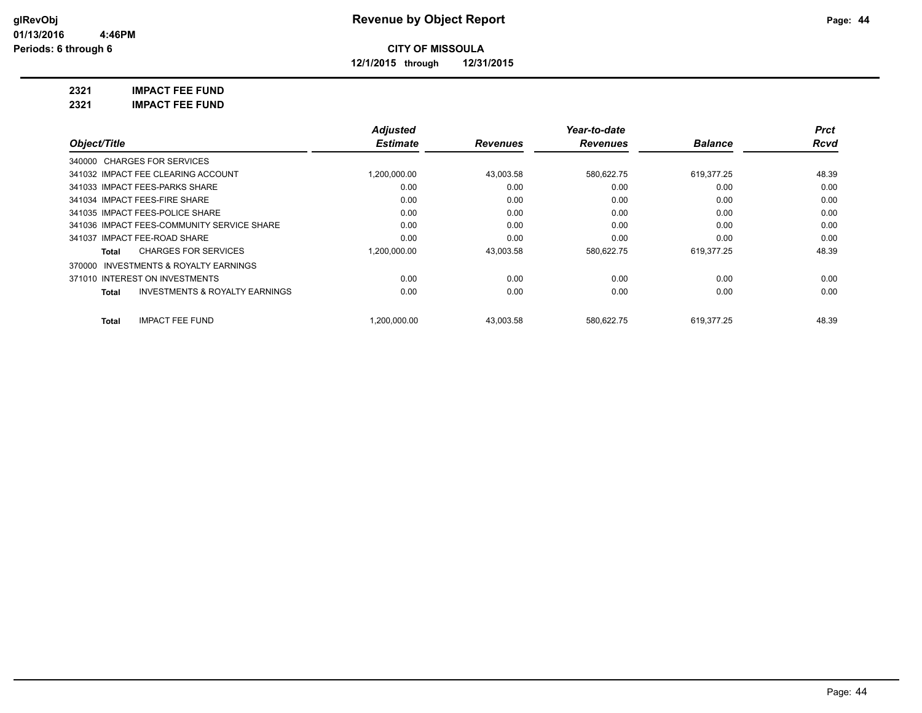**12/1/2015 through 12/31/2015**

**2321 IMPACT FEE FUND**

**2321 IMPACT FEE FUND**

|                                                           | <b>Adjusted</b> |                 | Year-to-date    |                | <b>Prct</b> |
|-----------------------------------------------------------|-----------------|-----------------|-----------------|----------------|-------------|
| Object/Title                                              | <b>Estimate</b> | <b>Revenues</b> | <b>Revenues</b> | <b>Balance</b> | Rcvd        |
| 340000 CHARGES FOR SERVICES                               |                 |                 |                 |                |             |
| 341032 IMPACT FEE CLEARING ACCOUNT                        | 1,200,000.00    | 43,003.58       | 580,622.75      | 619.377.25     | 48.39       |
| 341033 IMPACT FEES-PARKS SHARE                            | 0.00            | 0.00            | 0.00            | 0.00           | 0.00        |
| 341034 IMPACT FEES-FIRE SHARE                             | 0.00            | 0.00            | 0.00            | 0.00           | 0.00        |
| 341035 IMPACT FEES-POLICE SHARE                           | 0.00            | 0.00            | 0.00            | 0.00           | 0.00        |
| 341036 IMPACT FEES-COMMUNITY SERVICE SHARE                | 0.00            | 0.00            | 0.00            | 0.00           | 0.00        |
| 341037 IMPACT FEE-ROAD SHARE                              | 0.00            | 0.00            | 0.00            | 0.00           | 0.00        |
| <b>CHARGES FOR SERVICES</b><br>Total                      | 1,200,000.00    | 43,003.58       | 580,622.75      | 619,377.25     | 48.39       |
| INVESTMENTS & ROYALTY EARNINGS<br>370000                  |                 |                 |                 |                |             |
| 371010 INTEREST ON INVESTMENTS                            | 0.00            | 0.00            | 0.00            | 0.00           | 0.00        |
| <b>INVESTMENTS &amp; ROYALTY EARNINGS</b><br><b>Total</b> | 0.00            | 0.00            | 0.00            | 0.00           | 0.00        |
| <b>IMPACT FEE FUND</b><br><b>Total</b>                    | 1.200.000.00    | 43.003.58       | 580.622.75      | 619.377.25     | 48.39       |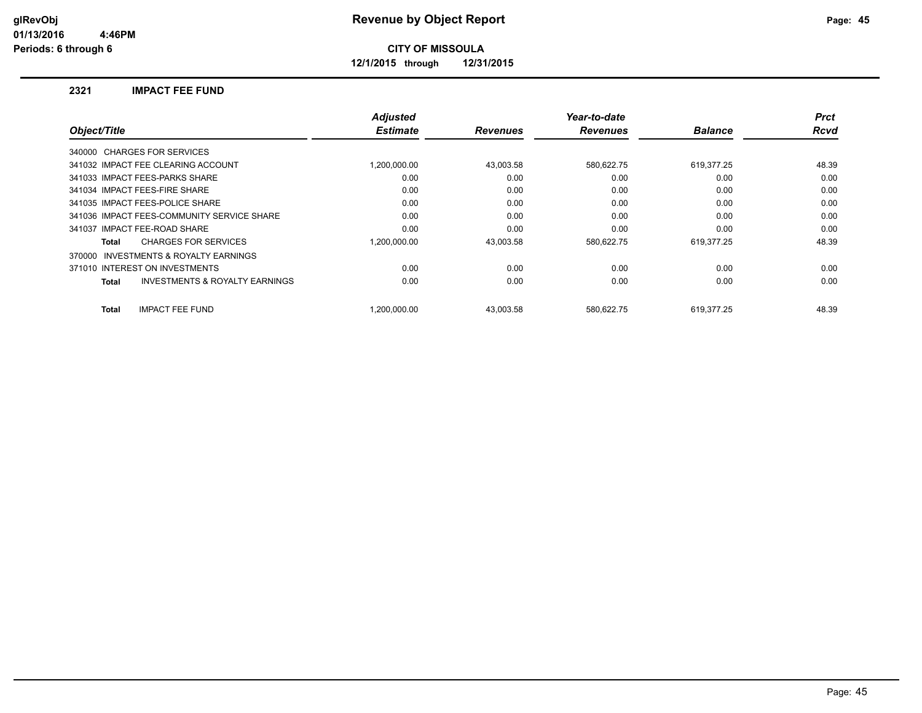**12/1/2015 through 12/31/2015**

### **2321 IMPACT FEE FUND**

| Object/Title                                        | <b>Adjusted</b><br><b>Estimate</b> | <b>Revenues</b> | Year-to-date<br><b>Revenues</b> | <b>Balance</b> | <b>Prct</b><br><b>Rcvd</b> |
|-----------------------------------------------------|------------------------------------|-----------------|---------------------------------|----------------|----------------------------|
|                                                     |                                    |                 |                                 |                |                            |
| 340000 CHARGES FOR SERVICES                         |                                    |                 |                                 |                |                            |
| 341032 IMPACT FEE CLEARING ACCOUNT                  | 1.200.000.00                       | 43.003.58       | 580,622.75                      | 619,377.25     | 48.39                      |
| 341033 IMPACT FEES-PARKS SHARE                      | 0.00                               | 0.00            | 0.00                            | 0.00           | 0.00                       |
| 341034 IMPACT FEES-FIRE SHARE                       | 0.00                               | 0.00            | 0.00                            | 0.00           | 0.00                       |
| 341035 IMPACT FEES-POLICE SHARE                     | 0.00                               | 0.00            | 0.00                            | 0.00           | 0.00                       |
| 341036 IMPACT FEES-COMMUNITY SERVICE SHARE          | 0.00                               | 0.00            | 0.00                            | 0.00           | 0.00                       |
| 341037 IMPACT FEE-ROAD SHARE                        | 0.00                               | 0.00            | 0.00                            | 0.00           | 0.00                       |
| <b>CHARGES FOR SERVICES</b><br>Total                | 1.200.000.00                       | 43.003.58       | 580,622.75                      | 619,377.25     | 48.39                      |
| <b>INVESTMENTS &amp; ROYALTY EARNINGS</b><br>370000 |                                    |                 |                                 |                |                            |
| 371010 INTEREST ON INVESTMENTS                      | 0.00                               | 0.00            | 0.00                            | 0.00           | 0.00                       |
| <b>INVESTMENTS &amp; ROYALTY EARNINGS</b><br>Total  | 0.00                               | 0.00            | 0.00                            | 0.00           | 0.00                       |
| <b>IMPACT FEE FUND</b><br><b>Total</b>              | 1.200.000.00                       | 43.003.58       | 580.622.75                      | 619.377.25     | 48.39                      |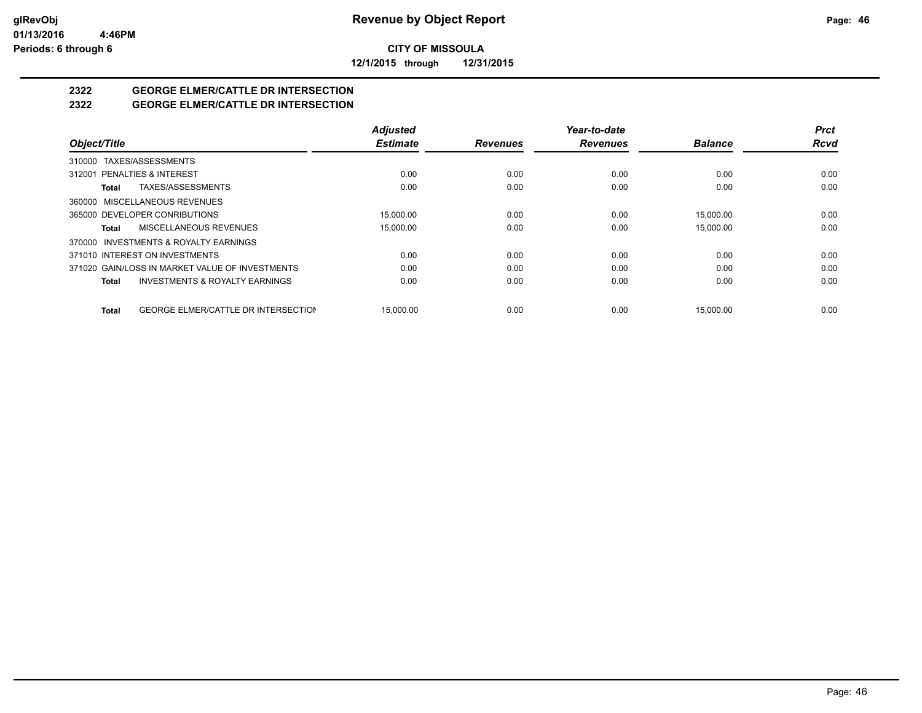**12/1/2015 through 12/31/2015**

# **2322 GEORGE ELMER/CATTLE DR INTERSECTION**

## **2322 GEORGE ELMER/CATTLE DR INTERSECTION**

|                                                            | <b>Adjusted</b> |                 | Year-to-date    |                | <b>Prct</b> |
|------------------------------------------------------------|-----------------|-----------------|-----------------|----------------|-------------|
| Object/Title                                               | <b>Estimate</b> | <b>Revenues</b> | <b>Revenues</b> | <b>Balance</b> | <b>Rcvd</b> |
| 310000 TAXES/ASSESSMENTS                                   |                 |                 |                 |                |             |
| 312001 PENALTIES & INTEREST                                | 0.00            | 0.00            | 0.00            | 0.00           | 0.00        |
| TAXES/ASSESSMENTS<br><b>Total</b>                          | 0.00            | 0.00            | 0.00            | 0.00           | 0.00        |
| 360000 MISCELLANEOUS REVENUES                              |                 |                 |                 |                |             |
| 365000 DEVELOPER CONRIBUTIONS                              | 15,000.00       | 0.00            | 0.00            | 15,000.00      | 0.00        |
| MISCELLANEOUS REVENUES<br><b>Total</b>                     | 15,000.00       | 0.00            | 0.00            | 15,000.00      | 0.00        |
| 370000 INVESTMENTS & ROYALTY EARNINGS                      |                 |                 |                 |                |             |
| 371010 INTEREST ON INVESTMENTS                             | 0.00            | 0.00            | 0.00            | 0.00           | 0.00        |
| 371020 GAIN/LOSS IN MARKET VALUE OF INVESTMENTS            | 0.00            | 0.00            | 0.00            | 0.00           | 0.00        |
| <b>INVESTMENTS &amp; ROYALTY EARNINGS</b><br><b>Total</b>  | 0.00            | 0.00            | 0.00            | 0.00           | 0.00        |
| <b>GEORGE ELMER/CATTLE DR INTERSECTION</b><br><b>Total</b> | 15.000.00       | 0.00            | 0.00            | 15.000.00      | 0.00        |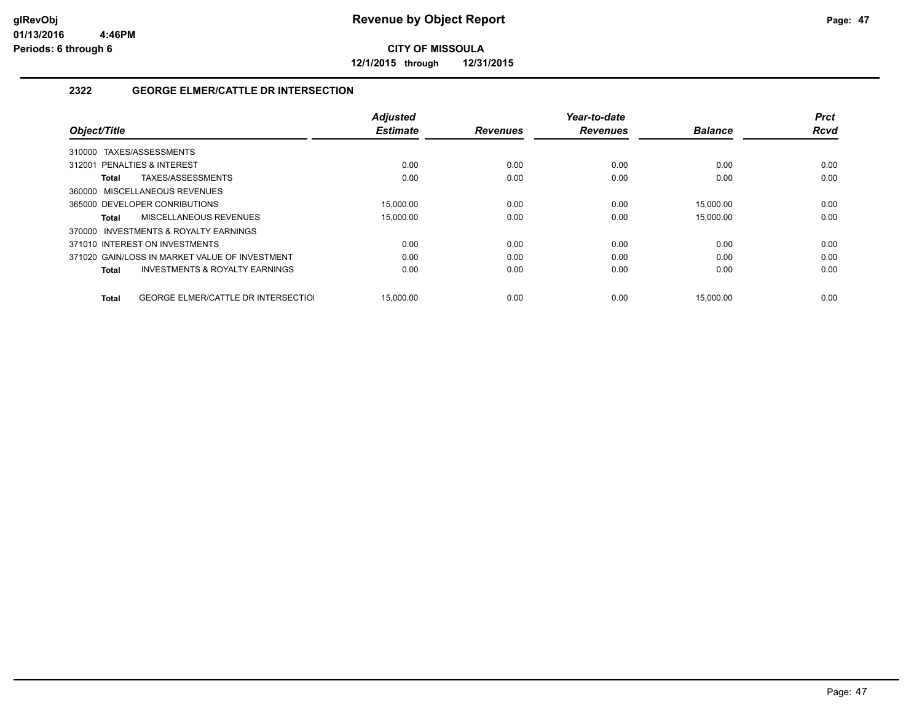**12/1/2015 through 12/31/2015**

## **2322 GEORGE ELMER/CATTLE DR INTERSECTION**

|                                                            | <b>Adjusted</b> |                 | Year-to-date    |                | <b>Prct</b> |
|------------------------------------------------------------|-----------------|-----------------|-----------------|----------------|-------------|
| Object/Title                                               | <b>Estimate</b> | <b>Revenues</b> | <b>Revenues</b> | <b>Balance</b> | <b>Rcvd</b> |
| TAXES/ASSESSMENTS<br>310000                                |                 |                 |                 |                |             |
| 312001 PENALTIES & INTEREST                                | 0.00            | 0.00            | 0.00            | 0.00           | 0.00        |
| TAXES/ASSESSMENTS<br>Total                                 | 0.00            | 0.00            | 0.00            | 0.00           | 0.00        |
| 360000 MISCELLANEOUS REVENUES                              |                 |                 |                 |                |             |
| 365000 DEVELOPER CONRIBUTIONS                              | 15.000.00       | 0.00            | 0.00            | 15,000.00      | 0.00        |
| MISCELLANEOUS REVENUES<br>Total                            | 15,000.00       | 0.00            | 0.00            | 15,000.00      | 0.00        |
| 370000 INVESTMENTS & ROYALTY EARNINGS                      |                 |                 |                 |                |             |
| 371010 INTEREST ON INVESTMENTS                             | 0.00            | 0.00            | 0.00            | 0.00           | 0.00        |
| 371020 GAIN/LOSS IN MARKET VALUE OF INVESTMENT             | 0.00            | 0.00            | 0.00            | 0.00           | 0.00        |
| <b>INVESTMENTS &amp; ROYALTY EARNINGS</b><br>Total         | 0.00            | 0.00            | 0.00            | 0.00           | 0.00        |
|                                                            |                 |                 |                 |                |             |
| <b>GEORGE ELMER/CATTLE DR INTERSECTIOL</b><br><b>Total</b> | 15,000.00       | 0.00            | 0.00            | 15.000.00      | 0.00        |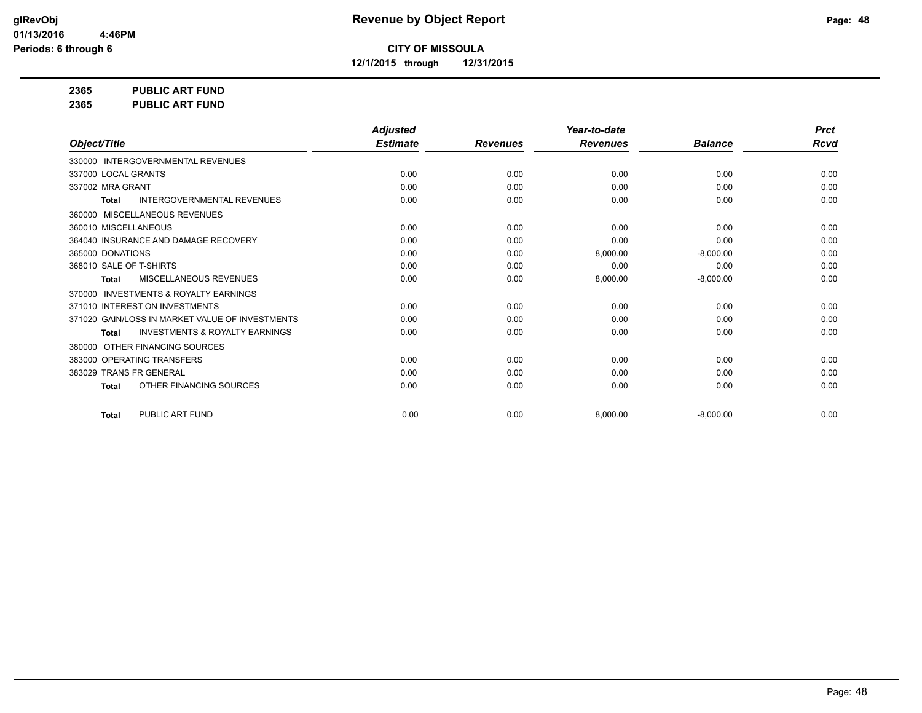**12/1/2015 through 12/31/2015**

**2365 PUBLIC ART FUND**

**2365 PUBLIC ART FUND**

|                                                           | <b>Adjusted</b> |                 | Year-to-date    |                | <b>Prct</b> |
|-----------------------------------------------------------|-----------------|-----------------|-----------------|----------------|-------------|
| Object/Title                                              | <b>Estimate</b> | <b>Revenues</b> | <b>Revenues</b> | <b>Balance</b> | <b>Rcvd</b> |
| 330000 INTERGOVERNMENTAL REVENUES                         |                 |                 |                 |                |             |
| 337000 LOCAL GRANTS                                       | 0.00            | 0.00            | 0.00            | 0.00           | 0.00        |
| 337002 MRA GRANT                                          | 0.00            | 0.00            | 0.00            | 0.00           | 0.00        |
| INTERGOVERNMENTAL REVENUES<br><b>Total</b>                | 0.00            | 0.00            | 0.00            | 0.00           | 0.00        |
| MISCELLANEOUS REVENUES<br>360000                          |                 |                 |                 |                |             |
| 360010 MISCELLANEOUS                                      | 0.00            | 0.00            | 0.00            | 0.00           | 0.00        |
| 364040 INSURANCE AND DAMAGE RECOVERY                      | 0.00            | 0.00            | 0.00            | 0.00           | 0.00        |
| 365000 DONATIONS                                          | 0.00            | 0.00            | 8,000.00        | $-8,000.00$    | 0.00        |
| 368010 SALE OF T-SHIRTS                                   | 0.00            | 0.00            | 0.00            | 0.00           | 0.00        |
| MISCELLANEOUS REVENUES<br><b>Total</b>                    | 0.00            | 0.00            | 8,000.00        | $-8,000.00$    | 0.00        |
| <b>INVESTMENTS &amp; ROYALTY EARNINGS</b><br>370000       |                 |                 |                 |                |             |
| 371010 INTEREST ON INVESTMENTS                            | 0.00            | 0.00            | 0.00            | 0.00           | 0.00        |
| 371020 GAIN/LOSS IN MARKET VALUE OF INVESTMENTS           | 0.00            | 0.00            | 0.00            | 0.00           | 0.00        |
| <b>INVESTMENTS &amp; ROYALTY EARNINGS</b><br><b>Total</b> | 0.00            | 0.00            | 0.00            | 0.00           | 0.00        |
| OTHER FINANCING SOURCES<br>380000                         |                 |                 |                 |                |             |
| 383000 OPERATING TRANSFERS                                | 0.00            | 0.00            | 0.00            | 0.00           | 0.00        |
| 383029 TRANS FR GENERAL                                   | 0.00            | 0.00            | 0.00            | 0.00           | 0.00        |
| OTHER FINANCING SOURCES<br><b>Total</b>                   | 0.00            | 0.00            | 0.00            | 0.00           | 0.00        |
| PUBLIC ART FUND<br><b>Total</b>                           | 0.00            | 0.00            | 8,000.00        | $-8,000.00$    | 0.00        |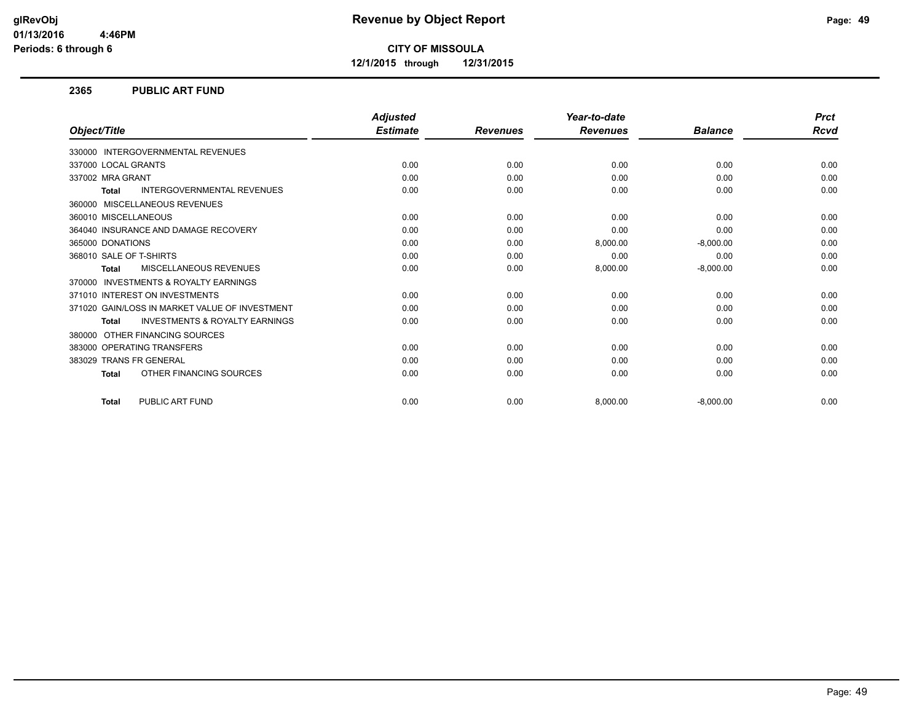**12/1/2015 through 12/31/2015**

### **2365 PUBLIC ART FUND**

|                                                           | <b>Adjusted</b> |                 | Year-to-date    |                | <b>Prct</b> |
|-----------------------------------------------------------|-----------------|-----------------|-----------------|----------------|-------------|
| Object/Title                                              | <b>Estimate</b> | <b>Revenues</b> | <b>Revenues</b> | <b>Balance</b> | <b>Rcvd</b> |
| 330000 INTERGOVERNMENTAL REVENUES                         |                 |                 |                 |                |             |
| 337000 LOCAL GRANTS                                       | 0.00            | 0.00            | 0.00            | 0.00           | 0.00        |
| 337002 MRA GRANT                                          | 0.00            | 0.00            | 0.00            | 0.00           | 0.00        |
| <b>INTERGOVERNMENTAL REVENUES</b><br><b>Total</b>         | 0.00            | 0.00            | 0.00            | 0.00           | 0.00        |
| 360000 MISCELLANEOUS REVENUES                             |                 |                 |                 |                |             |
| 360010 MISCELLANEOUS                                      | 0.00            | 0.00            | 0.00            | 0.00           | 0.00        |
| 364040 INSURANCE AND DAMAGE RECOVERY                      | 0.00            | 0.00            | 0.00            | 0.00           | 0.00        |
| 365000 DONATIONS                                          | 0.00            | 0.00            | 8,000.00        | $-8,000.00$    | 0.00        |
| 368010 SALE OF T-SHIRTS                                   | 0.00            | 0.00            | 0.00            | 0.00           | 0.00        |
| <b>MISCELLANEOUS REVENUES</b><br>Total                    | 0.00            | 0.00            | 8,000.00        | $-8,000.00$    | 0.00        |
| 370000 INVESTMENTS & ROYALTY EARNINGS                     |                 |                 |                 |                |             |
| 371010 INTEREST ON INVESTMENTS                            | 0.00            | 0.00            | 0.00            | 0.00           | 0.00        |
| 371020 GAIN/LOSS IN MARKET VALUE OF INVESTMENT            | 0.00            | 0.00            | 0.00            | 0.00           | 0.00        |
| <b>INVESTMENTS &amp; ROYALTY EARNINGS</b><br><b>Total</b> | 0.00            | 0.00            | 0.00            | 0.00           | 0.00        |
| OTHER FINANCING SOURCES<br>380000                         |                 |                 |                 |                |             |
| 383000 OPERATING TRANSFERS                                | 0.00            | 0.00            | 0.00            | 0.00           | 0.00        |
| 383029 TRANS FR GENERAL                                   | 0.00            | 0.00            | 0.00            | 0.00           | 0.00        |
| OTHER FINANCING SOURCES<br><b>Total</b>                   | 0.00            | 0.00            | 0.00            | 0.00           | 0.00        |
| PUBLIC ART FUND<br><b>Total</b>                           | 0.00            | 0.00            | 8,000.00        | $-8,000.00$    | 0.00        |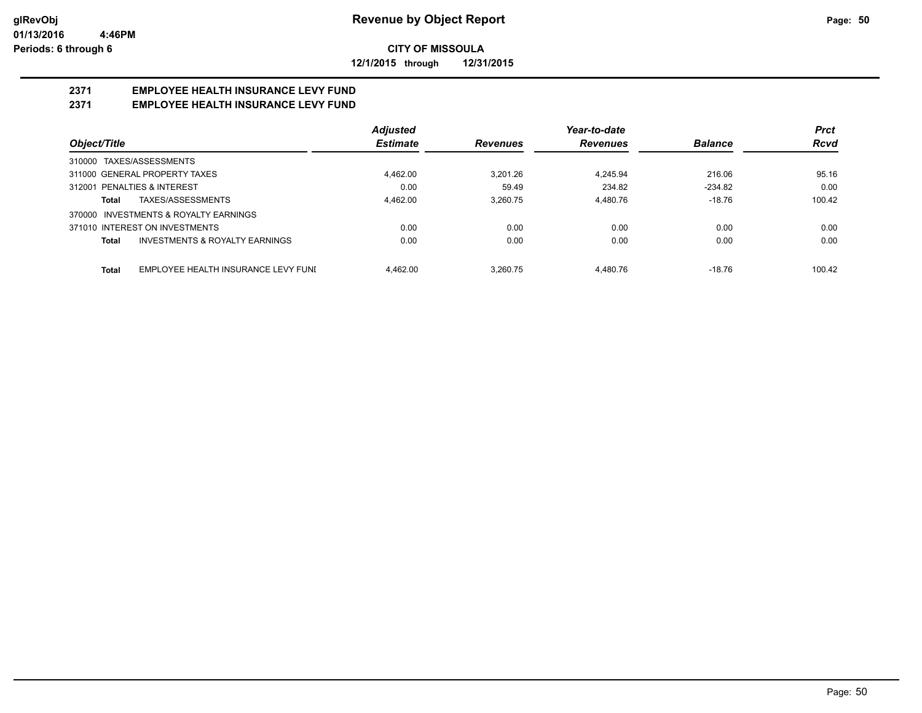**12/1/2015 through 12/31/2015**

## **2371 EMPLOYEE HEALTH INSURANCE LEVY FUND**

## **2371 EMPLOYEE HEALTH INSURANCE LEVY FUND**

|                                                           | <b>Adjusted</b> |                 | Year-to-date    |                | <b>Prct</b> |
|-----------------------------------------------------------|-----------------|-----------------|-----------------|----------------|-------------|
| Object/Title                                              | <b>Estimate</b> | <b>Revenues</b> | <b>Revenues</b> | <b>Balance</b> | <b>Rcvd</b> |
| 310000 TAXES/ASSESSMENTS                                  |                 |                 |                 |                |             |
| 311000 GENERAL PROPERTY TAXES                             | 4,462.00        | 3.201.26        | 4.245.94        | 216.06         | 95.16       |
| 312001 PENALTIES & INTEREST                               | 0.00            | 59.49           | 234.82          | $-234.82$      | 0.00        |
| TAXES/ASSESSMENTS<br><b>Total</b>                         | 4,462.00        | 3.260.75        | 4.480.76        | $-18.76$       | 100.42      |
| 370000 INVESTMENTS & ROYALTY EARNINGS                     |                 |                 |                 |                |             |
| 371010 INTEREST ON INVESTMENTS                            | 0.00            | 0.00            | 0.00            | 0.00           | 0.00        |
| <b>INVESTMENTS &amp; ROYALTY EARNINGS</b><br><b>Total</b> | 0.00            | 0.00            | 0.00            | 0.00           | 0.00        |
| EMPLOYEE HEALTH INSURANCE LEVY FUNI<br><b>Total</b>       | 4.462.00        | 3.260.75        | 4.480.76        | $-18.76$       | 100.42      |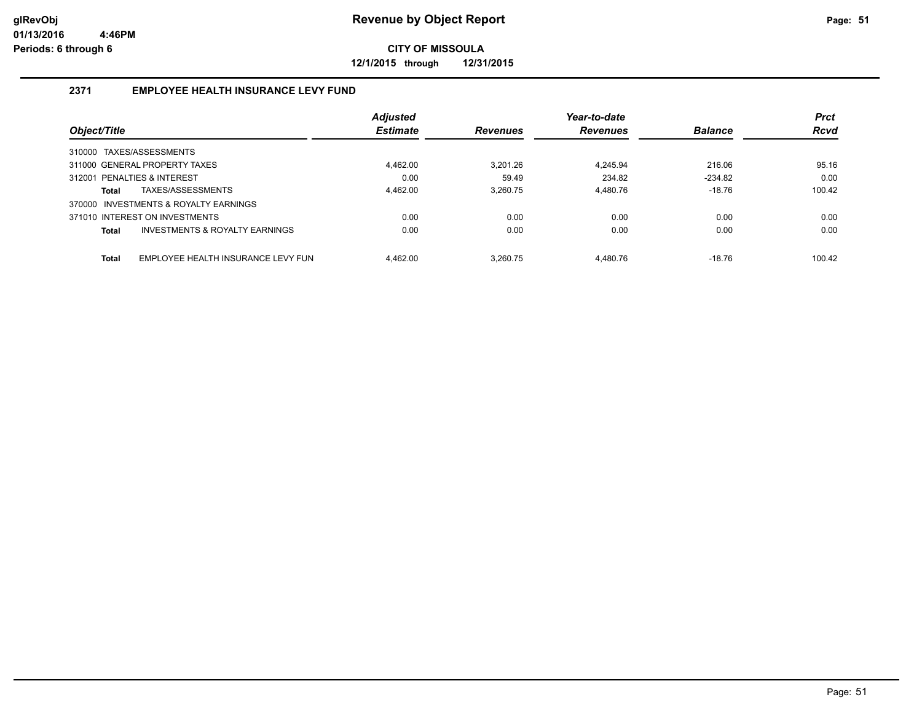**12/1/2015 through 12/31/2015**

## **2371 EMPLOYEE HEALTH INSURANCE LEVY FUND**

|                                                    | <b>Adjusted</b> |                 | Year-to-date    |                | <b>Prct</b> |
|----------------------------------------------------|-----------------|-----------------|-----------------|----------------|-------------|
| Object/Title                                       | <b>Estimate</b> | <b>Revenues</b> | <b>Revenues</b> | <b>Balance</b> | <b>Rcvd</b> |
| 310000 TAXES/ASSESSMENTS                           |                 |                 |                 |                |             |
| 311000 GENERAL PROPERTY TAXES                      | 4.462.00        | 3.201.26        | 4.245.94        | 216.06         | 95.16       |
| 312001 PENALTIES & INTEREST                        | 0.00            | 59.49           | 234.82          | $-234.82$      | 0.00        |
| TAXES/ASSESSMENTS<br>Total                         | 4.462.00        | 3.260.75        | 4.480.76        | $-18.76$       | 100.42      |
| 370000 INVESTMENTS & ROYALTY EARNINGS              |                 |                 |                 |                |             |
| 371010 INTEREST ON INVESTMENTS                     | 0.00            | 0.00            | 0.00            | 0.00           | 0.00        |
| INVESTMENTS & ROYALTY EARNINGS<br>Total            | 0.00            | 0.00            | 0.00            | 0.00           | 0.00        |
|                                                    |                 |                 |                 |                |             |
| <b>Total</b><br>EMPLOYEE HEALTH INSURANCE LEVY FUN | 4.462.00        | 3.260.75        | 4.480.76        | $-18.76$       | 100.42      |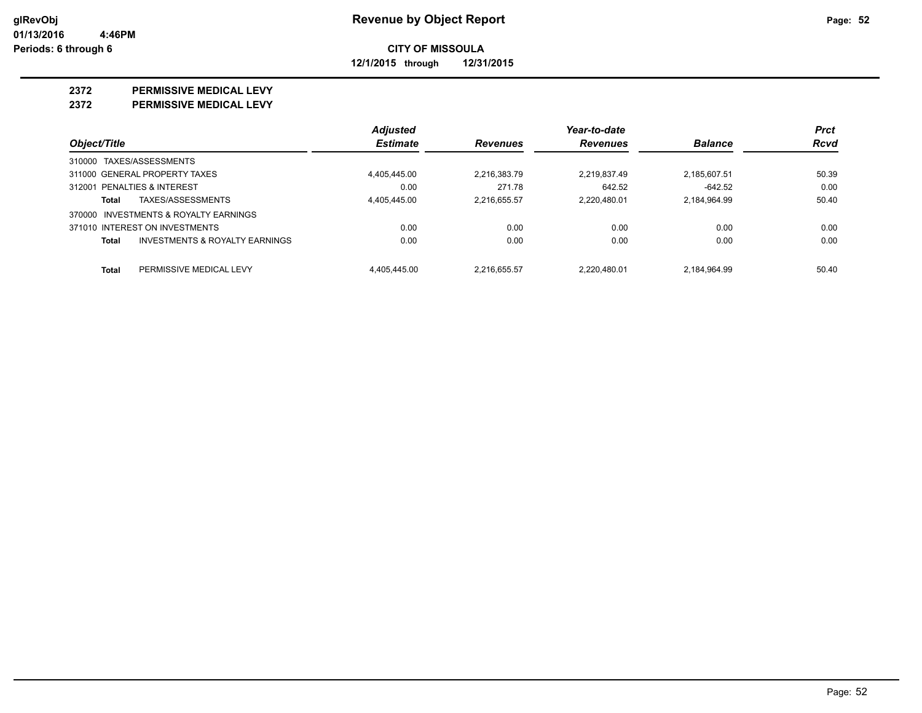**12/1/2015 through 12/31/2015**

### **2372 PERMISSIVE MEDICAL LEVY**

**2372 PERMISSIVE MEDICAL LEVY**

|                                                    | <b>Adjusted</b> |                 | Year-to-date    |                | <b>Prct</b> |
|----------------------------------------------------|-----------------|-----------------|-----------------|----------------|-------------|
| Object/Title                                       | <b>Estimate</b> | <b>Revenues</b> | <b>Revenues</b> | <b>Balance</b> | Rcvd        |
| 310000 TAXES/ASSESSMENTS                           |                 |                 |                 |                |             |
| 311000 GENERAL PROPERTY TAXES                      | 4.405.445.00    | 2.216.383.79    | 2.219.837.49    | 2,185,607.51   | 50.39       |
| 312001 PENALTIES & INTEREST                        | 0.00            | 271.78          | 642.52          | $-642.52$      | 0.00        |
| TAXES/ASSESSMENTS<br>Total                         | 4.405.445.00    | 2.216.655.57    | 2.220.480.01    | 2.184.964.99   | 50.40       |
| 370000 INVESTMENTS & ROYALTY EARNINGS              |                 |                 |                 |                |             |
| 371010 INTEREST ON INVESTMENTS                     | 0.00            | 0.00            | 0.00            | 0.00           | 0.00        |
| <b>INVESTMENTS &amp; ROYALTY EARNINGS</b><br>Total | 0.00            | 0.00            | 0.00            | 0.00           | 0.00        |
| Total<br>PERMISSIVE MEDICAL LEVY                   | 4.405.445.00    | 2.216.655.57    | 2.220.480.01    | 2.184.964.99   | 50.40       |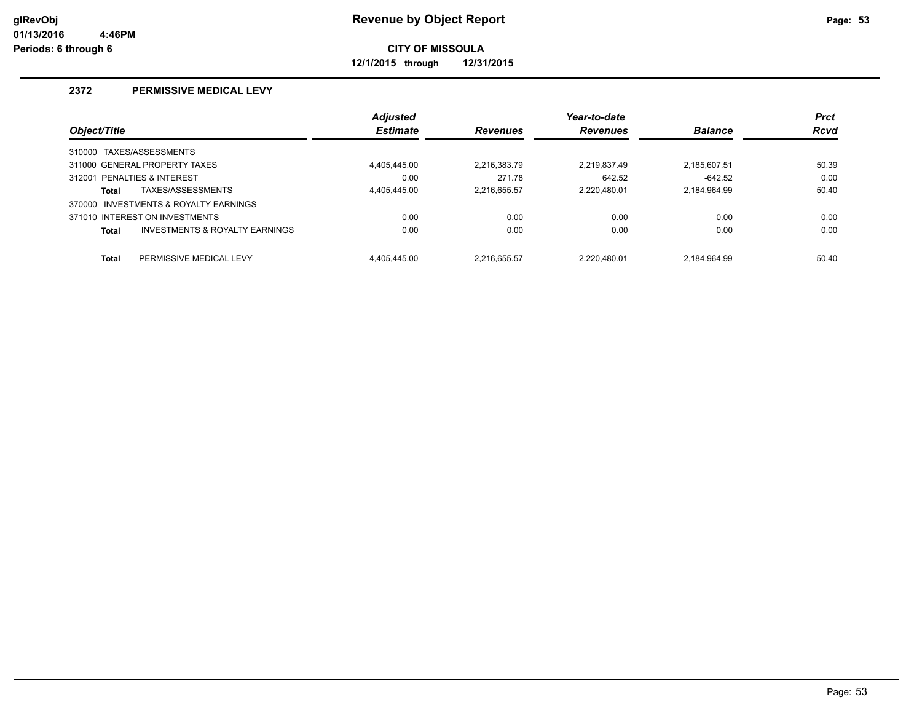**12/1/2015 through 12/31/2015**

## **2372 PERMISSIVE MEDICAL LEVY**

|              |                                       | <b>Adjusted</b> |                 | Year-to-date    |                | <b>Prct</b> |
|--------------|---------------------------------------|-----------------|-----------------|-----------------|----------------|-------------|
| Object/Title |                                       | <b>Estimate</b> | <b>Revenues</b> | <b>Revenues</b> | <b>Balance</b> | <b>Rcvd</b> |
|              | 310000 TAXES/ASSESSMENTS              |                 |                 |                 |                |             |
|              | 311000 GENERAL PROPERTY TAXES         | 4.405.445.00    | 2.216.383.79    | 2.219.837.49    | 2.185.607.51   | 50.39       |
|              | 312001 PENALTIES & INTEREST           | 0.00            | 271.78          | 642.52          | $-642.52$      | 0.00        |
| <b>Total</b> | TAXES/ASSESSMENTS                     | 4.405.445.00    | 2.216.655.57    | 2.220.480.01    | 2,184,964.99   | 50.40       |
|              | 370000 INVESTMENTS & ROYALTY EARNINGS |                 |                 |                 |                |             |
|              | 371010 INTEREST ON INVESTMENTS        | 0.00            | 0.00            | 0.00            | 0.00           | 0.00        |
| <b>Total</b> | INVESTMENTS & ROYALTY EARNINGS        | 0.00            | 0.00            | 0.00            | 0.00           | 0.00        |
| <b>Total</b> | PERMISSIVE MEDICAL LEVY               | 4.405.445.00    | 2.216.655.57    | 2.220.480.01    | 2.184.964.99   | 50.40       |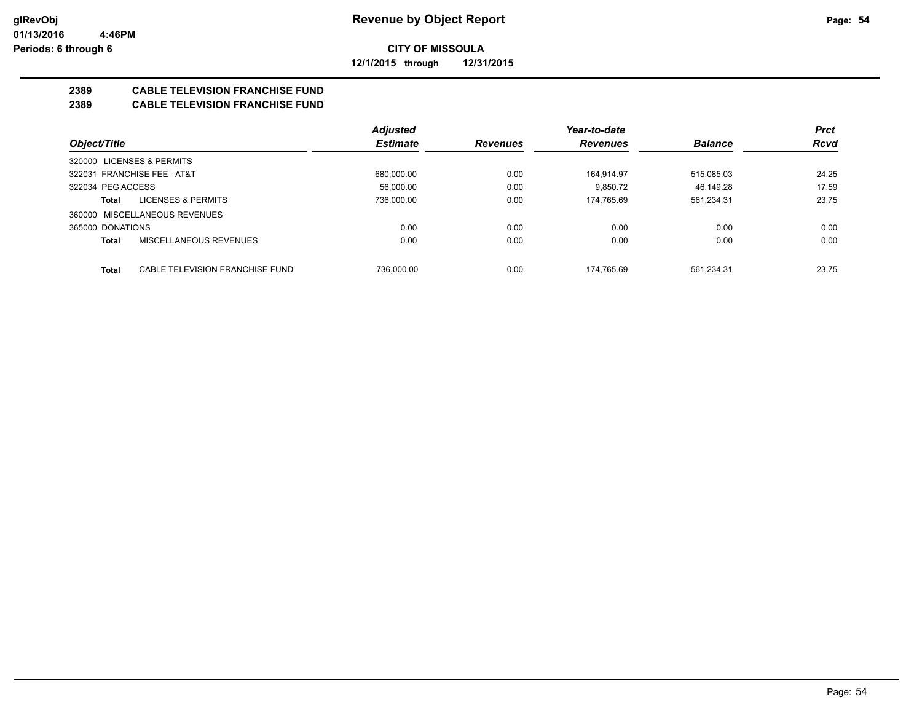**12/1/2015 through 12/31/2015**

## **2389 CABLE TELEVISION FRANCHISE FUND**

## **2389 CABLE TELEVISION FRANCHISE FUND**

|                                                 | <b>Adjusted</b> |                 | Year-to-date    |                | <b>Prct</b> |
|-------------------------------------------------|-----------------|-----------------|-----------------|----------------|-------------|
| Object/Title                                    | <b>Estimate</b> | <b>Revenues</b> | <b>Revenues</b> | <b>Balance</b> | <b>Rcvd</b> |
| <b>LICENSES &amp; PERMITS</b><br>320000         |                 |                 |                 |                |             |
| 322031 FRANCHISE FEE - AT&T                     | 680,000.00      | 0.00            | 164.914.97      | 515,085.03     | 24.25       |
| 322034 PEG ACCESS                               | 56.000.00       | 0.00            | 9.850.72        | 46.149.28      | 17.59       |
| LICENSES & PERMITS<br>Total                     | 736.000.00      | 0.00            | 174.765.69      | 561,234.31     | 23.75       |
| 360000 MISCELLANEOUS REVENUES                   |                 |                 |                 |                |             |
| 365000 DONATIONS                                | 0.00            | 0.00            | 0.00            | 0.00           | 0.00        |
| MISCELLANEOUS REVENUES<br><b>Total</b>          | 0.00            | 0.00            | 0.00            | 0.00           | 0.00        |
|                                                 |                 |                 |                 |                |             |
| CABLE TELEVISION FRANCHISE FUND<br><b>Total</b> | 736.000.00      | 0.00            | 174.765.69      | 561.234.31     | 23.75       |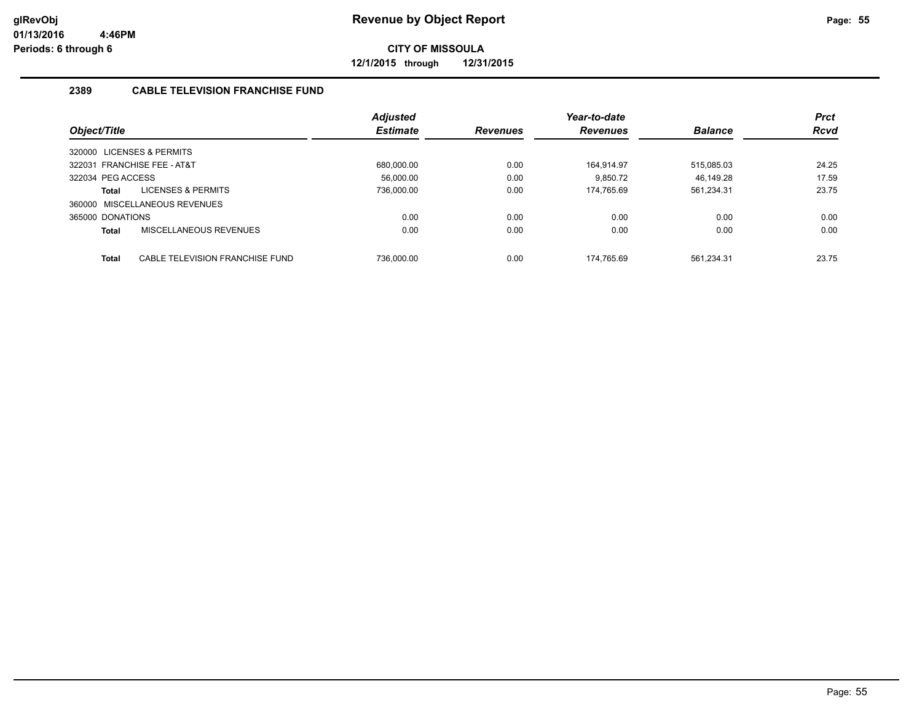**12/1/2015 through 12/31/2015**

## **2389 CABLE TELEVISION FRANCHISE FUND**

|                                                 | <b>Adjusted</b> |                 | Year-to-date    |                | <b>Prct</b> |
|-------------------------------------------------|-----------------|-----------------|-----------------|----------------|-------------|
| Object/Title                                    | <b>Estimate</b> | <b>Revenues</b> | <b>Revenues</b> | <b>Balance</b> | <b>Rcvd</b> |
| 320000 LICENSES & PERMITS                       |                 |                 |                 |                |             |
| 322031 FRANCHISE FEE - AT&T                     | 680.000.00      | 0.00            | 164.914.97      | 515.085.03     | 24.25       |
| 322034 PEG ACCESS                               | 56.000.00       | 0.00            | 9.850.72        | 46.149.28      | 17.59       |
| LICENSES & PERMITS<br>Total                     | 736.000.00      | 0.00            | 174.765.69      | 561,234.31     | 23.75       |
| 360000 MISCELLANEOUS REVENUES                   |                 |                 |                 |                |             |
| 365000 DONATIONS                                | 0.00            | 0.00            | 0.00            | 0.00           | 0.00        |
| MISCELLANEOUS REVENUES<br><b>Total</b>          | 0.00            | 0.00            | 0.00            | 0.00           | 0.00        |
|                                                 |                 |                 |                 |                |             |
| CABLE TELEVISION FRANCHISE FUND<br><b>Total</b> | 736.000.00      | 0.00            | 174.765.69      | 561.234.31     | 23.75       |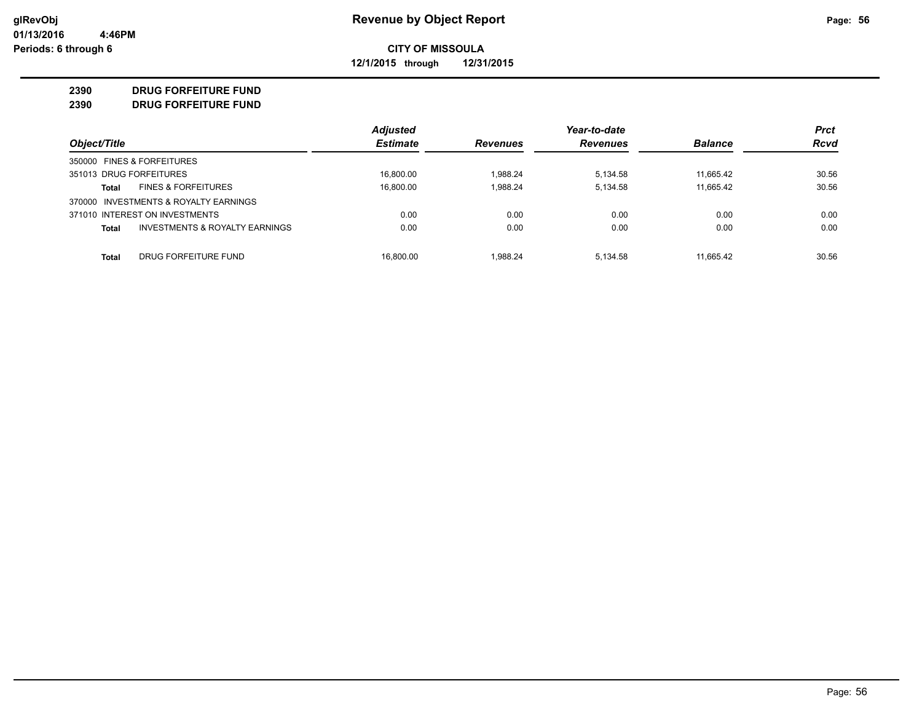**12/1/2015 through 12/31/2015**

### **2390 DRUG FORFEITURE FUND**

**2390 DRUG FORFEITURE FUND**

|                                                           | <b>Adjusted</b> |                 | Year-to-date    |                | <b>Prct</b> |
|-----------------------------------------------------------|-----------------|-----------------|-----------------|----------------|-------------|
| Object/Title                                              | <b>Estimate</b> | <b>Revenues</b> | <b>Revenues</b> | <b>Balance</b> | <b>Rcvd</b> |
| 350000 FINES & FORFEITURES                                |                 |                 |                 |                |             |
| 351013 DRUG FORFEITURES                                   | 16.800.00       | 1.988.24        | 5.134.58        | 11.665.42      | 30.56       |
| <b>FINES &amp; FORFEITURES</b><br>Total                   | 16,800.00       | 1.988.24        | 5,134.58        | 11,665.42      | 30.56       |
| 370000 INVESTMENTS & ROYALTY EARNINGS                     |                 |                 |                 |                |             |
| 371010 INTEREST ON INVESTMENTS                            | 0.00            | 0.00            | 0.00            | 0.00           | 0.00        |
| <b>INVESTMENTS &amp; ROYALTY EARNINGS</b><br><b>Total</b> | 0.00            | 0.00            | 0.00            | 0.00           | 0.00        |
| DRUG FORFEITURE FUND<br>Total                             | 16.800.00       | 1.988.24        | 5.134.58        | 11.665.42      | 30.56       |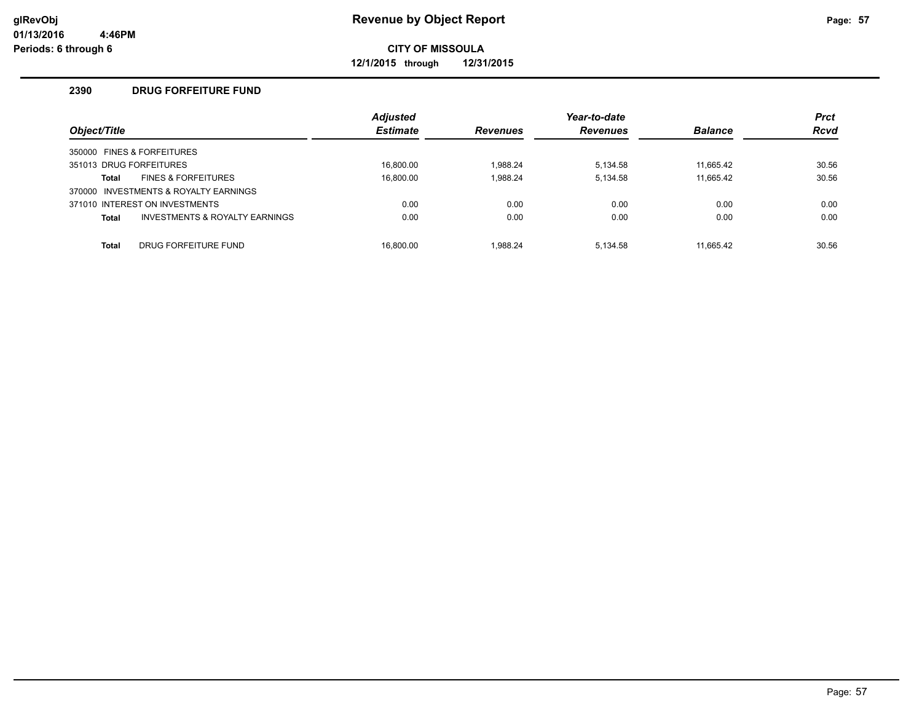**12/1/2015 through 12/31/2015**

## **2390 DRUG FORFEITURE FUND**

| Object/Title |                                           | <b>Adjusted</b><br><b>Estimate</b> | <b>Revenues</b> | Year-to-date<br><b>Revenues</b> | <b>Balance</b> | <b>Prct</b><br><b>Rcvd</b> |
|--------------|-------------------------------------------|------------------------------------|-----------------|---------------------------------|----------------|----------------------------|
|              | 350000 FINES & FORFEITURES                |                                    |                 |                                 |                |                            |
|              | 351013 DRUG FORFEITURES                   | 16.800.00                          | 1.988.24        | 5,134.58                        | 11.665.42      | 30.56                      |
| Total        | <b>FINES &amp; FORFEITURES</b>            | 16.800.00                          | 1.988.24        | 5,134.58                        | 11,665.42      | 30.56                      |
|              | 370000 INVESTMENTS & ROYALTY EARNINGS     |                                    |                 |                                 |                |                            |
|              | 371010 INTEREST ON INVESTMENTS            | 0.00                               | 0.00            | 0.00                            | 0.00           | 0.00                       |
| <b>Total</b> | <b>INVESTMENTS &amp; ROYALTY EARNINGS</b> | 0.00                               | 0.00            | 0.00                            | 0.00           | 0.00                       |
| <b>Total</b> | DRUG FORFEITURE FUND                      | 16.800.00                          | 1.988.24        | 5.134.58                        | 11.665.42      | 30.56                      |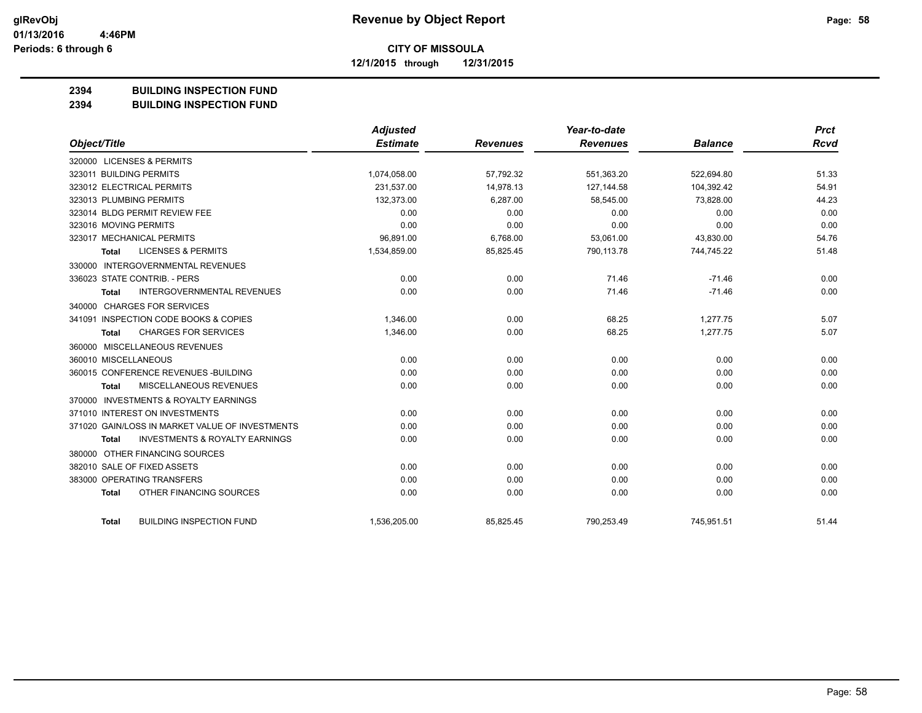**12/1/2015 through 12/31/2015**

### **2394 BUILDING INSPECTION FUND**

**2394 BUILDING INSPECTION FUND**

|                                                           | Adjusted        |                 | Year-to-date    |                | <b>Prct</b> |
|-----------------------------------------------------------|-----------------|-----------------|-----------------|----------------|-------------|
| Object/Title                                              | <b>Estimate</b> | <b>Revenues</b> | <b>Revenues</b> | <b>Balance</b> | Rcvd        |
| 320000 LICENSES & PERMITS                                 |                 |                 |                 |                |             |
| 323011 BUILDING PERMITS                                   | 1,074,058.00    | 57,792.32       | 551,363.20      | 522,694.80     | 51.33       |
| 323012 ELECTRICAL PERMITS                                 | 231,537.00      | 14,978.13       | 127,144.58      | 104,392.42     | 54.91       |
| 323013 PLUMBING PERMITS                                   | 132,373.00      | 6,287.00        | 58,545.00       | 73,828.00      | 44.23       |
| 323014 BLDG PERMIT REVIEW FEE                             | 0.00            | 0.00            | 0.00            | 0.00           | 0.00        |
| 323016 MOVING PERMITS                                     | 0.00            | 0.00            | 0.00            | 0.00           | 0.00        |
| 323017 MECHANICAL PERMITS                                 | 96,891.00       | 6,768.00        | 53,061.00       | 43,830.00      | 54.76       |
| <b>LICENSES &amp; PERMITS</b><br>Total                    | 1,534,859.00    | 85,825.45       | 790,113.78      | 744,745.22     | 51.48       |
| 330000 INTERGOVERNMENTAL REVENUES                         |                 |                 |                 |                |             |
| 336023 STATE CONTRIB. - PERS                              | 0.00            | 0.00            | 71.46           | $-71.46$       | 0.00        |
| <b>INTERGOVERNMENTAL REVENUES</b><br><b>Total</b>         | 0.00            | 0.00            | 71.46           | $-71.46$       | 0.00        |
| 340000 CHARGES FOR SERVICES                               |                 |                 |                 |                |             |
| 341091 INSPECTION CODE BOOKS & COPIES                     | 1,346.00        | 0.00            | 68.25           | 1,277.75       | 5.07        |
| <b>CHARGES FOR SERVICES</b><br>Total                      | 1,346.00        | 0.00            | 68.25           | 1,277.75       | 5.07        |
| 360000 MISCELLANEOUS REVENUES                             |                 |                 |                 |                |             |
| 360010 MISCELLANEOUS                                      | 0.00            | 0.00            | 0.00            | 0.00           | 0.00        |
| 360015 CONFERENCE REVENUES - BUILDING                     | 0.00            | 0.00            | 0.00            | 0.00           | 0.00        |
| MISCELLANEOUS REVENUES<br><b>Total</b>                    | 0.00            | 0.00            | 0.00            | 0.00           | 0.00        |
| 370000 INVESTMENTS & ROYALTY EARNINGS                     |                 |                 |                 |                |             |
| 371010 INTEREST ON INVESTMENTS                            | 0.00            | 0.00            | 0.00            | 0.00           | 0.00        |
| 371020 GAIN/LOSS IN MARKET VALUE OF INVESTMENTS           | 0.00            | 0.00            | 0.00            | 0.00           | 0.00        |
| <b>INVESTMENTS &amp; ROYALTY EARNINGS</b><br><b>Total</b> | 0.00            | 0.00            | 0.00            | 0.00           | 0.00        |
| 380000 OTHER FINANCING SOURCES                            |                 |                 |                 |                |             |
| 382010 SALE OF FIXED ASSETS                               | 0.00            | 0.00            | 0.00            | 0.00           | 0.00        |
| 383000 OPERATING TRANSFERS                                | 0.00            | 0.00            | 0.00            | 0.00           | 0.00        |
| OTHER FINANCING SOURCES<br><b>Total</b>                   | 0.00            | 0.00            | 0.00            | 0.00           | 0.00        |
| <b>BUILDING INSPECTION FUND</b><br><b>Total</b>           | 1,536,205.00    | 85,825.45       | 790,253.49      | 745,951.51     | 51.44       |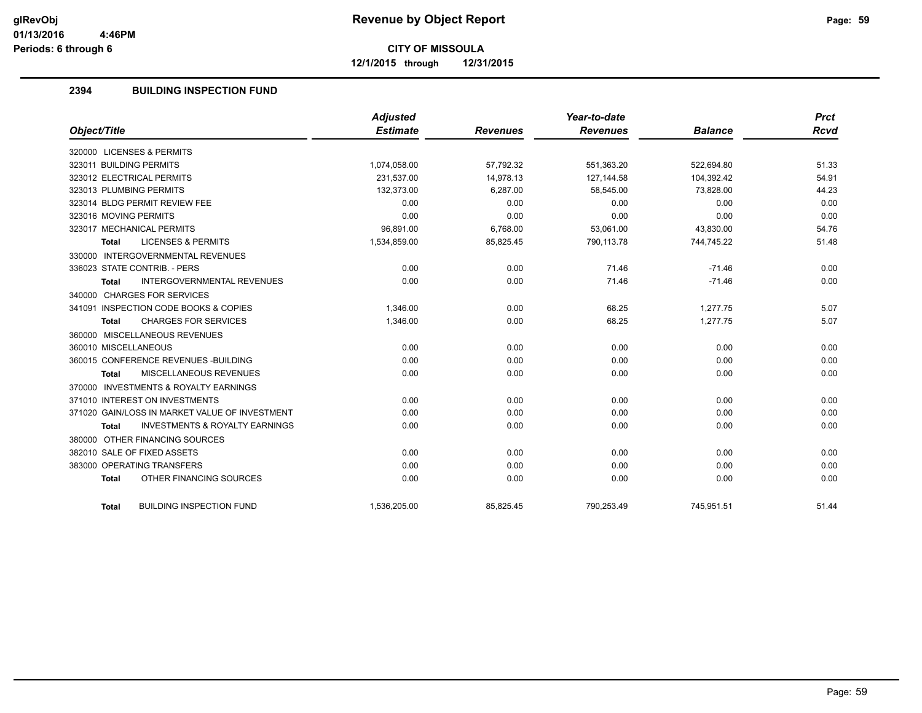**12/1/2015 through 12/31/2015**

## **2394 BUILDING INSPECTION FUND**

|                                                           | Adjusted        |                 | Year-to-date    |                | <b>Prct</b> |
|-----------------------------------------------------------|-----------------|-----------------|-----------------|----------------|-------------|
| Object/Title                                              | <b>Estimate</b> | <b>Revenues</b> | <b>Revenues</b> | <b>Balance</b> | Rcvd        |
| 320000 LICENSES & PERMITS                                 |                 |                 |                 |                |             |
| 323011 BUILDING PERMITS                                   | 1,074,058.00    | 57,792.32       | 551,363.20      | 522,694.80     | 51.33       |
| 323012 ELECTRICAL PERMITS                                 | 231.537.00      | 14.978.13       | 127.144.58      | 104.392.42     | 54.91       |
| 323013 PLUMBING PERMITS                                   | 132,373.00      | 6,287.00        | 58,545.00       | 73,828.00      | 44.23       |
| 323014 BLDG PERMIT REVIEW FEE                             | 0.00            | 0.00            | 0.00            | 0.00           | 0.00        |
| 323016 MOVING PERMITS                                     | 0.00            | 0.00            | 0.00            | 0.00           | 0.00        |
| 323017 MECHANICAL PERMITS                                 | 96,891.00       | 6,768.00        | 53,061.00       | 43,830.00      | 54.76       |
| <b>LICENSES &amp; PERMITS</b><br><b>Total</b>             | 1,534,859.00    | 85,825.45       | 790,113.78      | 744,745.22     | 51.48       |
| 330000 INTERGOVERNMENTAL REVENUES                         |                 |                 |                 |                |             |
| 336023 STATE CONTRIB. - PERS                              | 0.00            | 0.00            | 71.46           | $-71.46$       | 0.00        |
| <b>INTERGOVERNMENTAL REVENUES</b><br><b>Total</b>         | 0.00            | 0.00            | 71.46           | $-71.46$       | 0.00        |
| 340000 CHARGES FOR SERVICES                               |                 |                 |                 |                |             |
| 341091 INSPECTION CODE BOOKS & COPIES                     | 1,346.00        | 0.00            | 68.25           | 1,277.75       | 5.07        |
| <b>CHARGES FOR SERVICES</b><br><b>Total</b>               | 1,346.00        | 0.00            | 68.25           | 1,277.75       | 5.07        |
| 360000 MISCELLANEOUS REVENUES                             |                 |                 |                 |                |             |
| 360010 MISCELLANEOUS                                      | 0.00            | 0.00            | 0.00            | 0.00           | 0.00        |
| 360015 CONFERENCE REVENUES - BUILDING                     | 0.00            | 0.00            | 0.00            | 0.00           | 0.00        |
| MISCELLANEOUS REVENUES<br>Total                           | 0.00            | 0.00            | 0.00            | 0.00           | 0.00        |
| 370000 INVESTMENTS & ROYALTY EARNINGS                     |                 |                 |                 |                |             |
| 371010 INTEREST ON INVESTMENTS                            | 0.00            | 0.00            | 0.00            | 0.00           | 0.00        |
| 371020 GAIN/LOSS IN MARKET VALUE OF INVESTMENT            | 0.00            | 0.00            | 0.00            | 0.00           | 0.00        |
| <b>INVESTMENTS &amp; ROYALTY EARNINGS</b><br><b>Total</b> | 0.00            | 0.00            | 0.00            | 0.00           | 0.00        |
| 380000 OTHER FINANCING SOURCES                            |                 |                 |                 |                |             |
| 382010 SALE OF FIXED ASSETS                               | 0.00            | 0.00            | 0.00            | 0.00           | 0.00        |
| 383000 OPERATING TRANSFERS                                | 0.00            | 0.00            | 0.00            | 0.00           | 0.00        |
| OTHER FINANCING SOURCES<br><b>Total</b>                   | 0.00            | 0.00            | 0.00            | 0.00           | 0.00        |
|                                                           |                 |                 |                 |                |             |
| <b>BUILDING INSPECTION FUND</b><br>Total                  | 1,536,205.00    | 85,825.45       | 790,253.49      | 745,951.51     | 51.44       |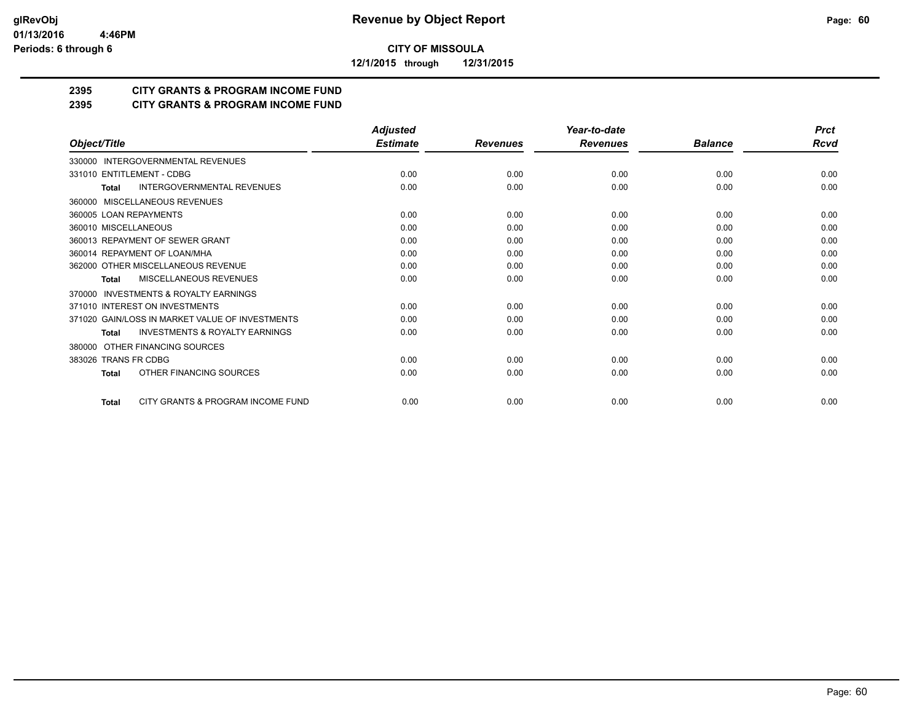**12/1/2015 through 12/31/2015**

## **2395 CITY GRANTS & PROGRAM INCOME FUND**

## **2395 CITY GRANTS & PROGRAM INCOME FUND**

|                                                           | <b>Adjusted</b> |                 | Year-to-date    |                | <b>Prct</b> |
|-----------------------------------------------------------|-----------------|-----------------|-----------------|----------------|-------------|
| Object/Title                                              | <b>Estimate</b> | <b>Revenues</b> | <b>Revenues</b> | <b>Balance</b> | Rcvd        |
| 330000 INTERGOVERNMENTAL REVENUES                         |                 |                 |                 |                |             |
| 331010 ENTITLEMENT - CDBG                                 | 0.00            | 0.00            | 0.00            | 0.00           | 0.00        |
| <b>INTERGOVERNMENTAL REVENUES</b><br><b>Total</b>         | 0.00            | 0.00            | 0.00            | 0.00           | 0.00        |
| 360000 MISCELLANEOUS REVENUES                             |                 |                 |                 |                |             |
| 360005 LOAN REPAYMENTS                                    | 0.00            | 0.00            | 0.00            | 0.00           | 0.00        |
| 360010 MISCELLANEOUS                                      | 0.00            | 0.00            | 0.00            | 0.00           | 0.00        |
| 360013 REPAYMENT OF SEWER GRANT                           | 0.00            | 0.00            | 0.00            | 0.00           | 0.00        |
| 360014 REPAYMENT OF LOAN/MHA                              | 0.00            | 0.00            | 0.00            | 0.00           | 0.00        |
| 362000 OTHER MISCELLANEOUS REVENUE                        | 0.00            | 0.00            | 0.00            | 0.00           | 0.00        |
| <b>MISCELLANEOUS REVENUES</b><br><b>Total</b>             | 0.00            | 0.00            | 0.00            | 0.00           | 0.00        |
| INVESTMENTS & ROYALTY EARNINGS<br>370000                  |                 |                 |                 |                |             |
| 371010 INTEREST ON INVESTMENTS                            | 0.00            | 0.00            | 0.00            | 0.00           | 0.00        |
| 371020 GAIN/LOSS IN MARKET VALUE OF INVESTMENTS           | 0.00            | 0.00            | 0.00            | 0.00           | 0.00        |
| <b>INVESTMENTS &amp; ROYALTY EARNINGS</b><br><b>Total</b> | 0.00            | 0.00            | 0.00            | 0.00           | 0.00        |
| OTHER FINANCING SOURCES<br>380000                         |                 |                 |                 |                |             |
| 383026 TRANS FR CDBG                                      | 0.00            | 0.00            | 0.00            | 0.00           | 0.00        |
| OTHER FINANCING SOURCES<br><b>Total</b>                   | 0.00            | 0.00            | 0.00            | 0.00           | 0.00        |
| CITY GRANTS & PROGRAM INCOME FUND<br><b>Total</b>         | 0.00            | 0.00            | 0.00            | 0.00           | 0.00        |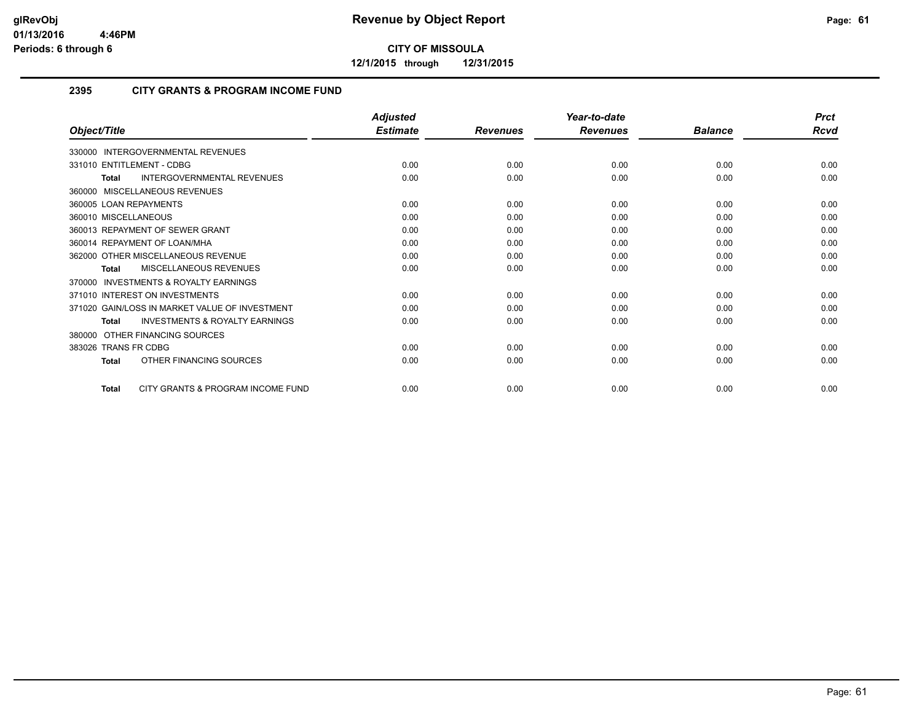**12/1/2015 through 12/31/2015**

## **2395 CITY GRANTS & PROGRAM INCOME FUND**

|                                                     | <b>Adjusted</b> |                 | Year-to-date    |                | <b>Prct</b> |
|-----------------------------------------------------|-----------------|-----------------|-----------------|----------------|-------------|
| Object/Title                                        | <b>Estimate</b> | <b>Revenues</b> | <b>Revenues</b> | <b>Balance</b> | Rcvd        |
| 330000 INTERGOVERNMENTAL REVENUES                   |                 |                 |                 |                |             |
| 331010 ENTITLEMENT - CDBG                           | 0.00            | 0.00            | 0.00            | 0.00           | 0.00        |
| INTERGOVERNMENTAL REVENUES<br><b>Total</b>          | 0.00            | 0.00            | 0.00            | 0.00           | 0.00        |
| 360000 MISCELLANEOUS REVENUES                       |                 |                 |                 |                |             |
| 360005 LOAN REPAYMENTS                              | 0.00            | 0.00            | 0.00            | 0.00           | 0.00        |
| 360010 MISCELLANEOUS                                | 0.00            | 0.00            | 0.00            | 0.00           | 0.00        |
| 360013 REPAYMENT OF SEWER GRANT                     | 0.00            | 0.00            | 0.00            | 0.00           | 0.00        |
| 360014 REPAYMENT OF LOAN/MHA                        | 0.00            | 0.00            | 0.00            | 0.00           | 0.00        |
| 362000 OTHER MISCELLANEOUS REVENUE                  | 0.00            | 0.00            | 0.00            | 0.00           | 0.00        |
| <b>MISCELLANEOUS REVENUES</b><br><b>Total</b>       | 0.00            | 0.00            | 0.00            | 0.00           | 0.00        |
| <b>INVESTMENTS &amp; ROYALTY EARNINGS</b><br>370000 |                 |                 |                 |                |             |
| 371010 INTEREST ON INVESTMENTS                      | 0.00            | 0.00            | 0.00            | 0.00           | 0.00        |
| 371020 GAIN/LOSS IN MARKET VALUE OF INVESTMENT      | 0.00            | 0.00            | 0.00            | 0.00           | 0.00        |
| <b>INVESTMENTS &amp; ROYALTY EARNINGS</b><br>Total  | 0.00            | 0.00            | 0.00            | 0.00           | 0.00        |
| 380000 OTHER FINANCING SOURCES                      |                 |                 |                 |                |             |
| 383026 TRANS FR CDBG                                | 0.00            | 0.00            | 0.00            | 0.00           | 0.00        |
| OTHER FINANCING SOURCES<br><b>Total</b>             | 0.00            | 0.00            | 0.00            | 0.00           | 0.00        |
| CITY GRANTS & PROGRAM INCOME FUND<br><b>Total</b>   | 0.00            | 0.00            | 0.00            | 0.00           | 0.00        |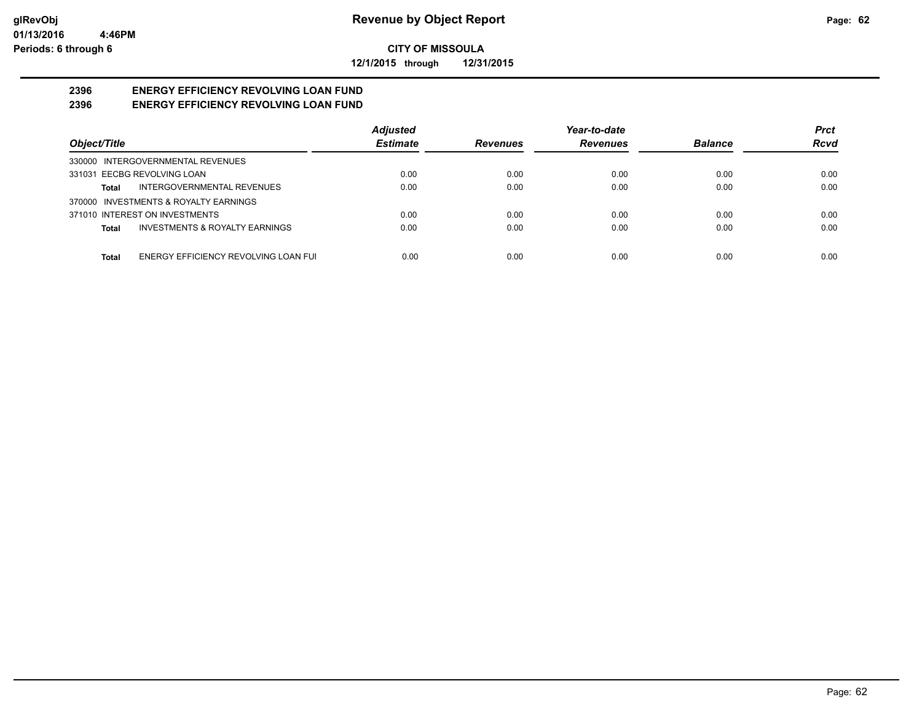**12/1/2015 through 12/31/2015**

#### **2396 ENERGY EFFICIENCY REVOLVING LOAN FUND 2396 ENERGY EFFICIENCY REVOLVING LOAN FUND**

|                                               | <b>Adjusted</b> |                 | Year-to-date    |                | <b>Prct</b> |
|-----------------------------------------------|-----------------|-----------------|-----------------|----------------|-------------|
| Object/Title                                  | <b>Estimate</b> | <b>Revenues</b> | <b>Revenues</b> | <b>Balance</b> | <b>Rcvd</b> |
| 330000 INTERGOVERNMENTAL REVENUES             |                 |                 |                 |                |             |
| 331031 EECBG REVOLVING LOAN                   | 0.00            | 0.00            | 0.00            | 0.00           | 0.00        |
| INTERGOVERNMENTAL REVENUES<br>Total           | 0.00            | 0.00            | 0.00            | 0.00           | 0.00        |
| 370000 INVESTMENTS & ROYALTY EARNINGS         |                 |                 |                 |                |             |
| 371010 INTEREST ON INVESTMENTS                | 0.00            | 0.00            | 0.00            | 0.00           | 0.00        |
| INVESTMENTS & ROYALTY EARNINGS<br>Total       | 0.00            | 0.00            | 0.00            | 0.00           | 0.00        |
|                                               |                 |                 |                 |                |             |
| ENERGY EFFICIENCY REVOLVING LOAN FUI<br>Total | 0.00            | 0.00            | 0.00            | 0.00           | 0.00        |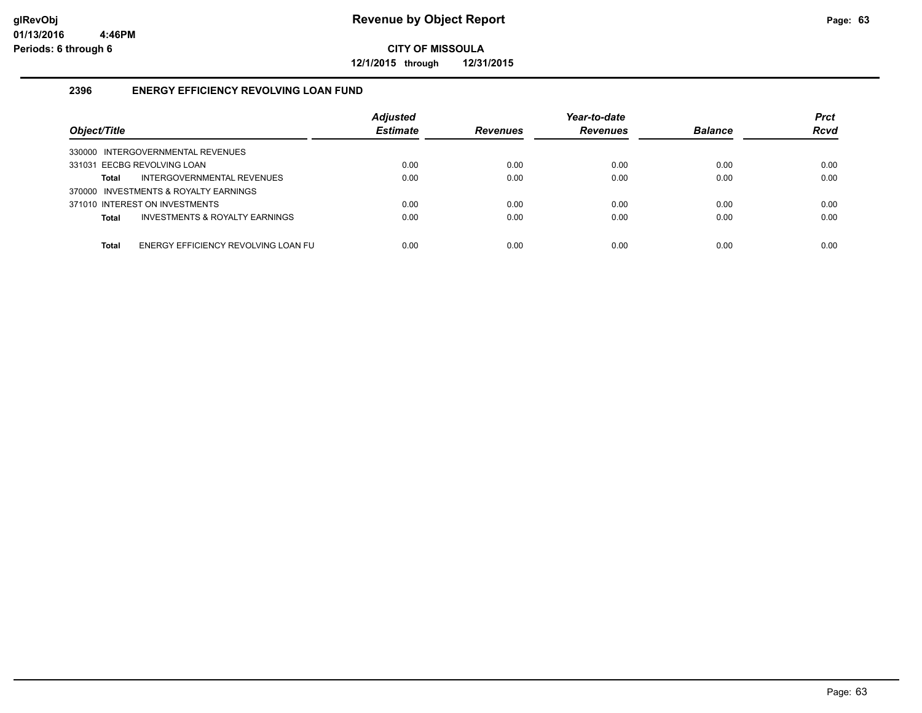**12/1/2015 through 12/31/2015**

## **2396 ENERGY EFFICIENCY REVOLVING LOAN FUND**

| Object/Title                                   | <b>Adjusted</b><br><b>Estimate</b> | <b>Revenues</b> | Year-to-date<br><b>Revenues</b> | <b>Balance</b> | <b>Prct</b><br><b>Rcvd</b> |
|------------------------------------------------|------------------------------------|-----------------|---------------------------------|----------------|----------------------------|
| 330000 INTERGOVERNMENTAL REVENUES              |                                    |                 |                                 |                |                            |
| 331031 EECBG REVOLVING LOAN                    | 0.00                               | 0.00            | 0.00                            | 0.00           | 0.00                       |
| INTERGOVERNMENTAL REVENUES<br>Total            | 0.00                               | 0.00            | 0.00                            | 0.00           | 0.00                       |
| 370000 INVESTMENTS & ROYALTY EARNINGS          |                                    |                 |                                 |                |                            |
| 371010 INTEREST ON INVESTMENTS                 | 0.00                               | 0.00            | 0.00                            | 0.00           | 0.00                       |
| INVESTMENTS & ROYALTY EARNINGS<br><b>Total</b> | 0.00                               | 0.00            | 0.00                            | 0.00           | 0.00                       |
|                                                |                                    |                 |                                 |                |                            |
| ENERGY EFFICIENCY REVOLVING LOAN FU<br>Total   | 0.00                               | 0.00            | 0.00                            | 0.00           | 0.00                       |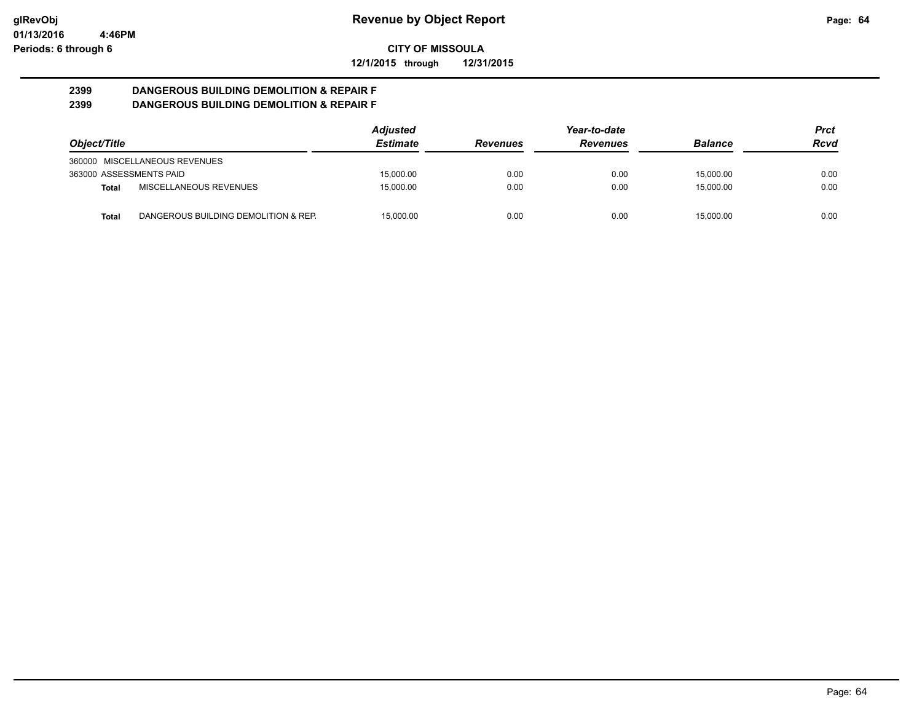**12/1/2015 through 12/31/2015**

#### **2399 DANGEROUS BUILDING DEMOLITION & REPAIR F 2399 DANGEROUS BUILDING DEMOLITION & REPAIR F**

|                         |                                      | <b>Adjusted</b> |                 | Year-to-date    |                | Prct |
|-------------------------|--------------------------------------|-----------------|-----------------|-----------------|----------------|------|
| Object/Title            |                                      | <b>Estimate</b> | <b>Revenues</b> | <b>Revenues</b> | <b>Balance</b> | Rcvd |
|                         | 360000 MISCELLANEOUS REVENUES        |                 |                 |                 |                |      |
| 363000 ASSESSMENTS PAID |                                      | 15.000.00       | 0.00            | 0.00            | 15.000.00      | 0.00 |
| Total                   | MISCELLANEOUS REVENUES               | 15.000.00       | 0.00            | 0.00            | 15.000.00      | 0.00 |
| Total                   | DANGEROUS BUILDING DEMOLITION & REP. | 15.000.00       | 0.00            | 0.00            | 15.000.00      | 0.00 |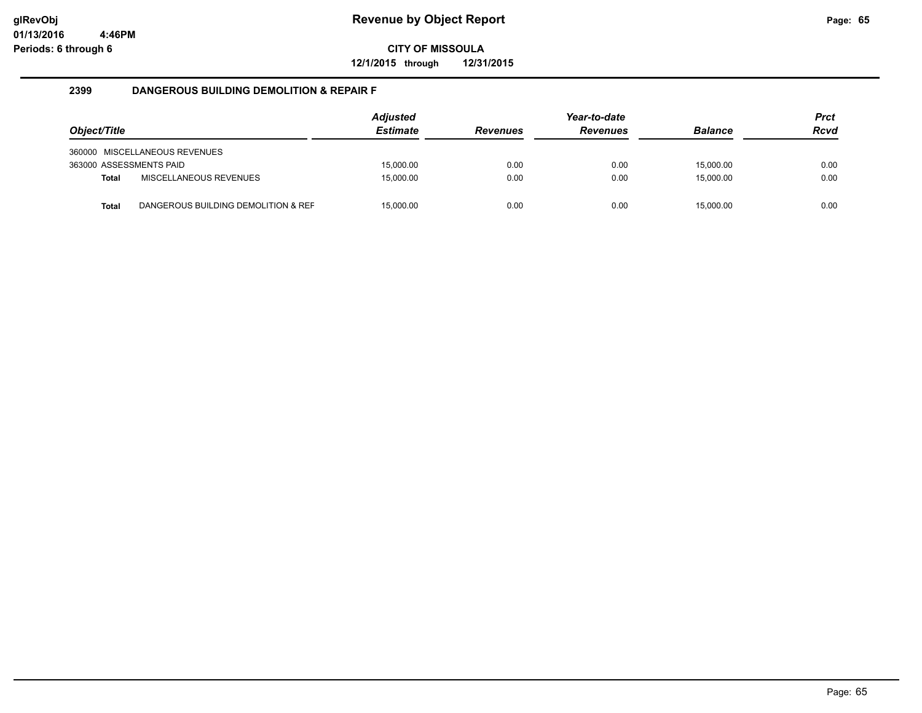**12/1/2015 through 12/31/2015**

## **2399 DANGEROUS BUILDING DEMOLITION & REPAIR F**

| Object/Title            |                                     | <b>Adjusted</b><br><b>Estimate</b> | <b>Revenues</b> | Year-to-date<br><b>Revenues</b> | <b>Balance</b> | <b>Prct</b><br><b>Rcvd</b> |
|-------------------------|-------------------------------------|------------------------------------|-----------------|---------------------------------|----------------|----------------------------|
|                         | 360000 MISCELLANEOUS REVENUES       |                                    |                 |                                 |                |                            |
| 363000 ASSESSMENTS PAID |                                     | 15.000.00                          | 0.00            | 0.00                            | 15.000.00      | 0.00                       |
| <b>Total</b>            | MISCELLANEOUS REVENUES              | 15.000.00                          | 0.00            | 0.00                            | 15.000.00      | 0.00                       |
| Total                   | DANGEROUS BUILDING DEMOLITION & REF | 15.000.00                          | 0.00            | 0.00                            | 15.000.00      | 0.00                       |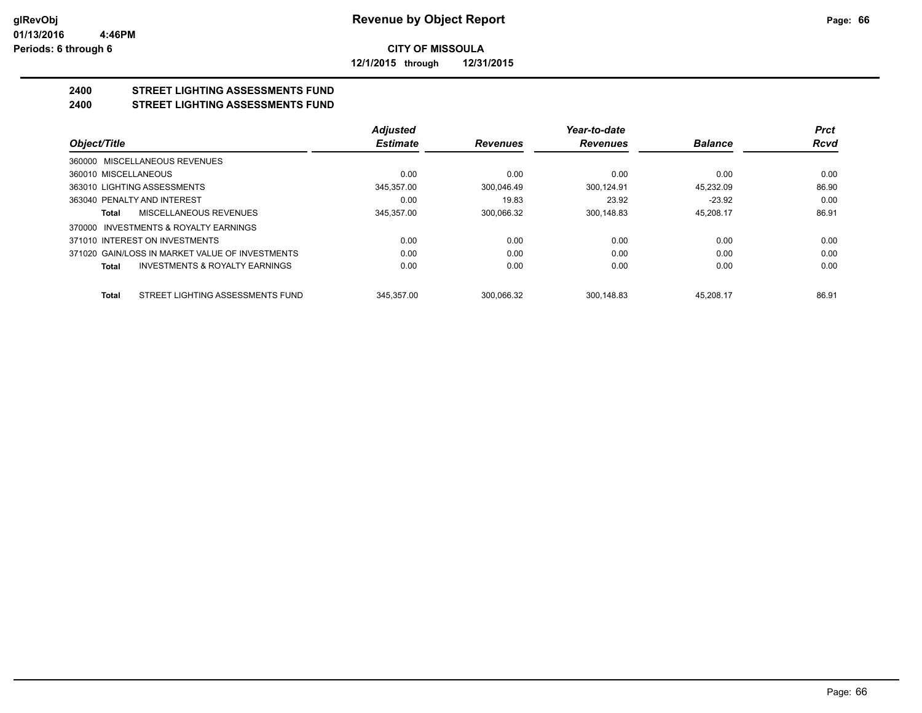**12/1/2015 through 12/31/2015**

#### **2400 STREET LIGHTING ASSESSMENTS FUND 2400 STREET LIGHTING ASSESSMENTS FUND**

|                                                 |                                           | <b>Adjusted</b> |                 | Year-to-date    |                | <b>Prct</b> |
|-------------------------------------------------|-------------------------------------------|-----------------|-----------------|-----------------|----------------|-------------|
| Object/Title                                    |                                           | <b>Estimate</b> | <b>Revenues</b> | <b>Revenues</b> | <b>Balance</b> | <b>Rcvd</b> |
| 360000 MISCELLANEOUS REVENUES                   |                                           |                 |                 |                 |                |             |
| 360010 MISCELLANEOUS                            |                                           | 0.00            | 0.00            | 0.00            | 0.00           | 0.00        |
| 363010 LIGHTING ASSESSMENTS                     |                                           | 345.357.00      | 300.046.49      | 300.124.91      | 45.232.09      | 86.90       |
| 363040 PENALTY AND INTEREST                     |                                           | 0.00            | 19.83           | 23.92           | $-23.92$       | 0.00        |
| Total                                           | MISCELLANEOUS REVENUES                    | 345.357.00      | 300.066.32      | 300.148.83      | 45.208.17      | 86.91       |
| 370000 INVESTMENTS & ROYALTY EARNINGS           |                                           |                 |                 |                 |                |             |
| 371010 INTEREST ON INVESTMENTS                  |                                           | 0.00            | 0.00            | 0.00            | 0.00           | 0.00        |
| 371020 GAIN/LOSS IN MARKET VALUE OF INVESTMENTS |                                           | 0.00            | 0.00            | 0.00            | 0.00           | 0.00        |
| <b>Total</b>                                    | <b>INVESTMENTS &amp; ROYALTY EARNINGS</b> | 0.00            | 0.00            | 0.00            | 0.00           | 0.00        |
| Total                                           | STREET LIGHTING ASSESSMENTS FUND          | 345.357.00      | 300.066.32      | 300.148.83      | 45.208.17      | 86.91       |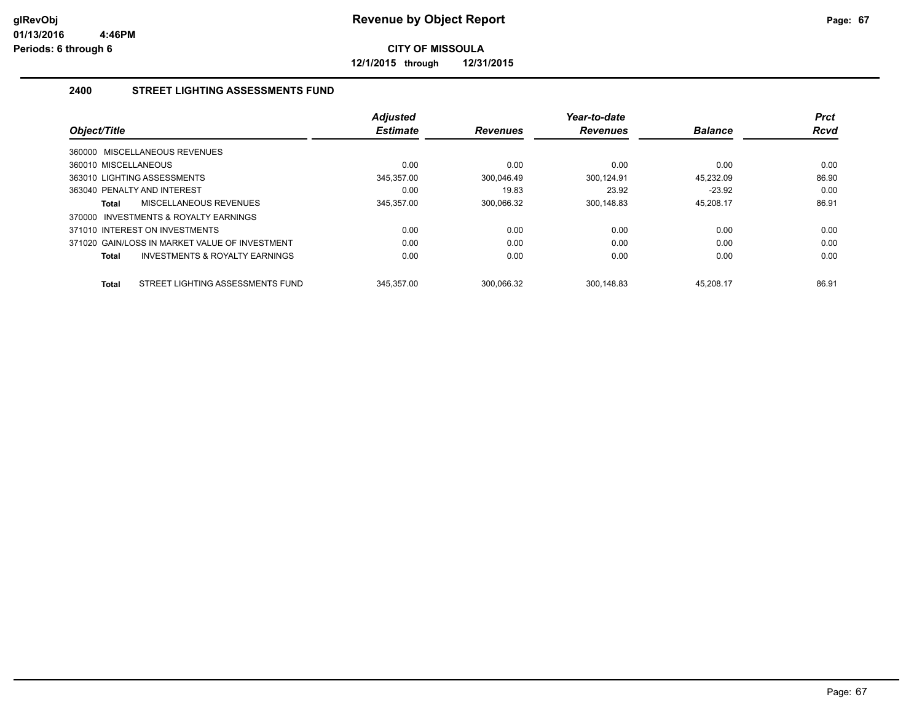**12/1/2015 through 12/31/2015**

## **2400 STREET LIGHTING ASSESSMENTS FUND**

| Object/Title                                       | <b>Adjusted</b><br><b>Estimate</b> | <b>Revenues</b> | Year-to-date<br><b>Revenues</b> | <b>Balance</b> | <b>Prct</b><br><b>Rcvd</b> |
|----------------------------------------------------|------------------------------------|-----------------|---------------------------------|----------------|----------------------------|
| 360000 MISCELLANEOUS REVENUES                      |                                    |                 |                                 |                |                            |
| 360010 MISCELLANEOUS                               | 0.00                               | 0.00            | 0.00                            | 0.00           | 0.00                       |
| 363010 LIGHTING ASSESSMENTS                        | 345.357.00                         | 300.046.49      | 300.124.91                      | 45.232.09      | 86.90                      |
| 363040 PENALTY AND INTEREST                        | 0.00                               | 19.83           | 23.92                           | $-23.92$       | 0.00                       |
| MISCELLANEOUS REVENUES<br>Total                    | 345,357.00                         | 300,066.32      | 300,148.83                      | 45,208.17      | 86.91                      |
| INVESTMENTS & ROYALTY EARNINGS<br>370000           |                                    |                 |                                 |                |                            |
| 371010 INTEREST ON INVESTMENTS                     | 0.00                               | 0.00            | 0.00                            | 0.00           | 0.00                       |
| 371020 GAIN/LOSS IN MARKET VALUE OF INVESTMENT     | 0.00                               | 0.00            | 0.00                            | 0.00           | 0.00                       |
| <b>INVESTMENTS &amp; ROYALTY EARNINGS</b><br>Total | 0.00                               | 0.00            | 0.00                            | 0.00           | 0.00                       |
| STREET LIGHTING ASSESSMENTS FUND<br>Total          | 345.357.00                         | 300.066.32      | 300.148.83                      | 45.208.17      | 86.91                      |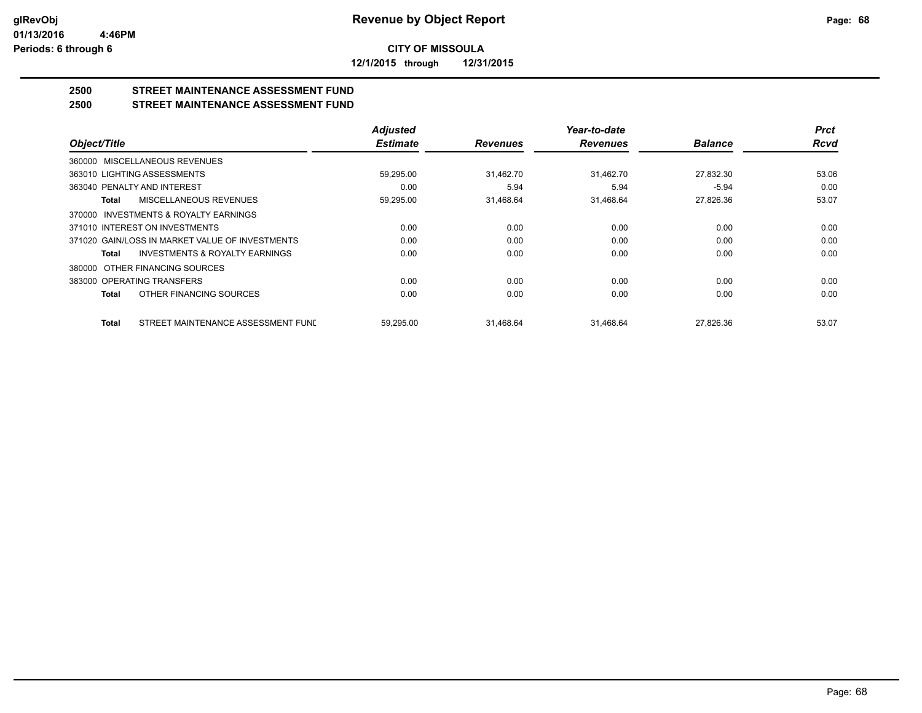**12/1/2015 through 12/31/2015**

## **2500 STREET MAINTENANCE ASSESSMENT FUND**

## **2500 STREET MAINTENANCE ASSESSMENT FUND**

|                                                           | <b>Adjusted</b> |                 | Year-to-date    |                | <b>Prct</b> |
|-----------------------------------------------------------|-----------------|-----------------|-----------------|----------------|-------------|
| Object/Title                                              | <b>Estimate</b> | <b>Revenues</b> | <b>Revenues</b> | <b>Balance</b> | <b>Rcvd</b> |
| 360000 MISCELLANEOUS REVENUES                             |                 |                 |                 |                |             |
| 363010 LIGHTING ASSESSMENTS                               | 59,295.00       | 31,462.70       | 31,462.70       | 27,832.30      | 53.06       |
| 363040 PENALTY AND INTEREST                               | 0.00            | 5.94            | 5.94            | $-5.94$        | 0.00        |
| MISCELLANEOUS REVENUES<br><b>Total</b>                    | 59,295.00       | 31,468.64       | 31,468.64       | 27,826.36      | 53.07       |
| 370000 INVESTMENTS & ROYALTY EARNINGS                     |                 |                 |                 |                |             |
| 371010 INTEREST ON INVESTMENTS                            | 0.00            | 0.00            | 0.00            | 0.00           | 0.00        |
| 371020 GAIN/LOSS IN MARKET VALUE OF INVESTMENTS           | 0.00            | 0.00            | 0.00            | 0.00           | 0.00        |
| <b>INVESTMENTS &amp; ROYALTY EARNINGS</b><br><b>Total</b> | 0.00            | 0.00            | 0.00            | 0.00           | 0.00        |
| OTHER FINANCING SOURCES<br>380000                         |                 |                 |                 |                |             |
| 383000 OPERATING TRANSFERS                                | 0.00            | 0.00            | 0.00            | 0.00           | 0.00        |
| OTHER FINANCING SOURCES<br><b>Total</b>                   | 0.00            | 0.00            | 0.00            | 0.00           | 0.00        |
| STREET MAINTENANCE ASSESSMENT FUNI<br><b>Total</b>        | 59.295.00       | 31.468.64       | 31.468.64       | 27.826.36      | 53.07       |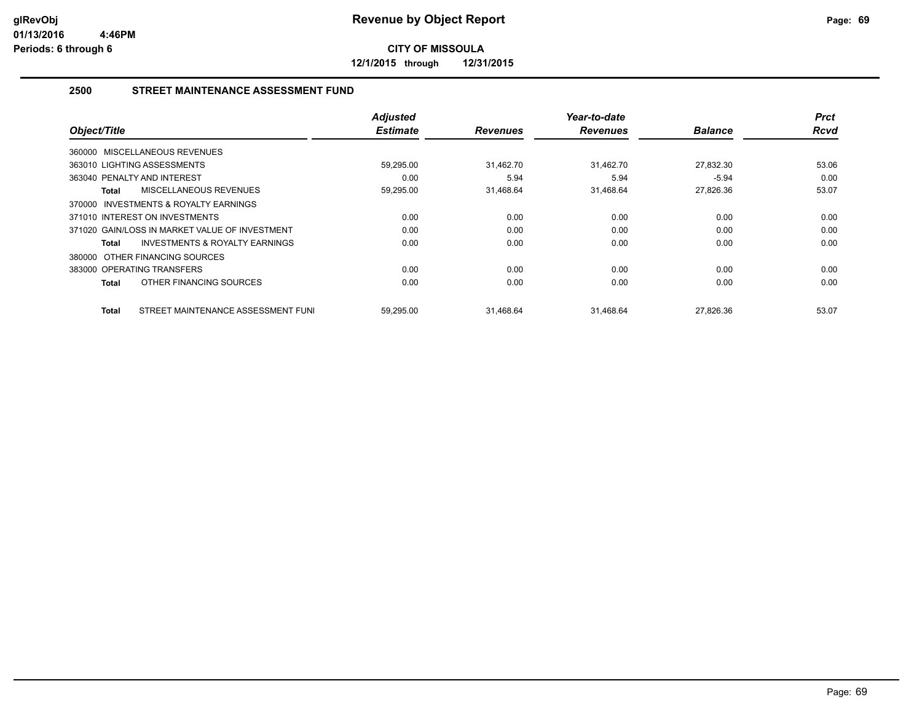**12/1/2015 through 12/31/2015**

## **2500 STREET MAINTENANCE ASSESSMENT FUND**

| Object/Title                                       | <b>Adjusted</b><br><b>Estimate</b> | <b>Revenues</b> | Year-to-date<br><b>Revenues</b> | <b>Balance</b> | <b>Prct</b><br>Rcvd |
|----------------------------------------------------|------------------------------------|-----------------|---------------------------------|----------------|---------------------|
|                                                    |                                    |                 |                                 |                |                     |
| 360000 MISCELLANEOUS REVENUES                      |                                    |                 |                                 |                |                     |
| 363010 LIGHTING ASSESSMENTS                        | 59,295.00                          | 31,462.70       | 31,462.70                       | 27,832.30      | 53.06               |
| 363040 PENALTY AND INTEREST                        | 0.00                               | 5.94            | 5.94                            | $-5.94$        | 0.00                |
| MISCELLANEOUS REVENUES<br>Total                    | 59,295.00                          | 31,468.64       | 31,468.64                       | 27,826.36      | 53.07               |
| 370000 INVESTMENTS & ROYALTY EARNINGS              |                                    |                 |                                 |                |                     |
| 371010 INTEREST ON INVESTMENTS                     | 0.00                               | 0.00            | 0.00                            | 0.00           | 0.00                |
| 371020 GAIN/LOSS IN MARKET VALUE OF INVESTMENT     | 0.00                               | 0.00            | 0.00                            | 0.00           | 0.00                |
| INVESTMENTS & ROYALTY EARNINGS<br><b>Total</b>     | 0.00                               | 0.00            | 0.00                            | 0.00           | 0.00                |
| 380000 OTHER FINANCING SOURCES                     |                                    |                 |                                 |                |                     |
| 383000 OPERATING TRANSFERS                         | 0.00                               | 0.00            | 0.00                            | 0.00           | 0.00                |
| OTHER FINANCING SOURCES<br><b>Total</b>            | 0.00                               | 0.00            | 0.00                            | 0.00           | 0.00                |
|                                                    |                                    |                 |                                 |                |                     |
| STREET MAINTENANCE ASSESSMENT FUNI<br><b>Total</b> | 59,295.00                          | 31,468.64       | 31,468.64                       | 27,826.36      | 53.07               |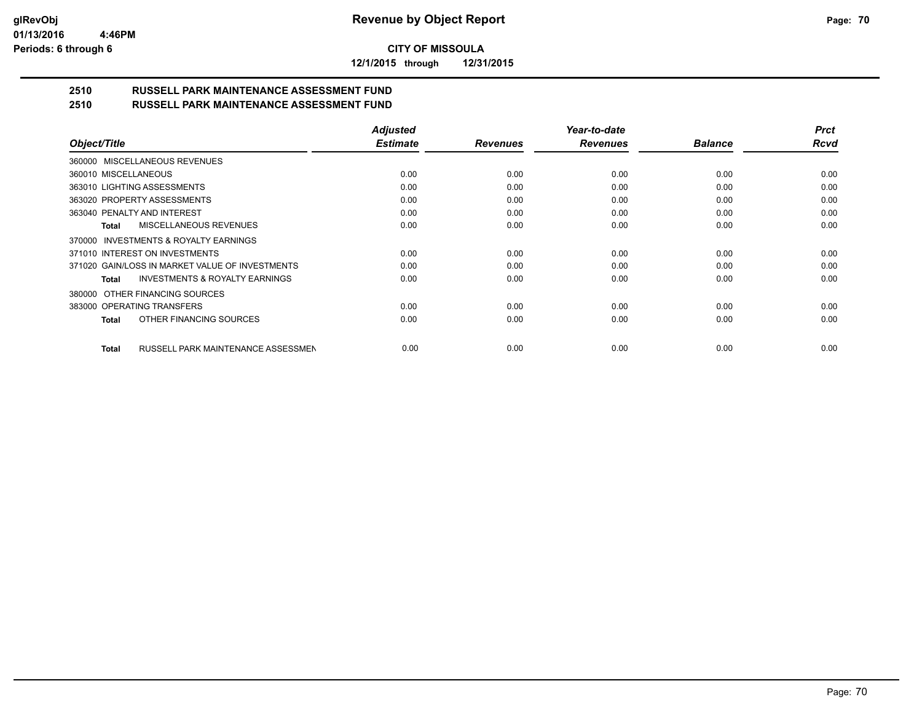**12/1/2015 through 12/31/2015**

#### **2510 RUSSELL PARK MAINTENANCE ASSESSMENT FUND 2510 RUSSELL PARK MAINTENANCE ASSESSMENT FUND**

|                                                    | <b>Adjusted</b> |                 | Year-to-date    |                | <b>Prct</b> |
|----------------------------------------------------|-----------------|-----------------|-----------------|----------------|-------------|
| Object/Title                                       | <b>Estimate</b> | <b>Revenues</b> | <b>Revenues</b> | <b>Balance</b> | <b>Rcvd</b> |
| 360000 MISCELLANEOUS REVENUES                      |                 |                 |                 |                |             |
| 360010 MISCELLANEOUS                               | 0.00            | 0.00            | 0.00            | 0.00           | 0.00        |
| 363010 LIGHTING ASSESSMENTS                        | 0.00            | 0.00            | 0.00            | 0.00           | 0.00        |
| 363020 PROPERTY ASSESSMENTS                        | 0.00            | 0.00            | 0.00            | 0.00           | 0.00        |
| 363040 PENALTY AND INTEREST                        | 0.00            | 0.00            | 0.00            | 0.00           | 0.00        |
| <b>MISCELLANEOUS REVENUES</b><br><b>Total</b>      | 0.00            | 0.00            | 0.00            | 0.00           | 0.00        |
| 370000 INVESTMENTS & ROYALTY EARNINGS              |                 |                 |                 |                |             |
| 371010 INTEREST ON INVESTMENTS                     | 0.00            | 0.00            | 0.00            | 0.00           | 0.00        |
| 371020 GAIN/LOSS IN MARKET VALUE OF INVESTMENTS    | 0.00            | 0.00            | 0.00            | 0.00           | 0.00        |
| <b>INVESTMENTS &amp; ROYALTY EARNINGS</b><br>Total | 0.00            | 0.00            | 0.00            | 0.00           | 0.00        |
| OTHER FINANCING SOURCES<br>380000                  |                 |                 |                 |                |             |
| 383000 OPERATING TRANSFERS                         | 0.00            | 0.00            | 0.00            | 0.00           | 0.00        |
| OTHER FINANCING SOURCES<br><b>Total</b>            | 0.00            | 0.00            | 0.00            | 0.00           | 0.00        |
| RUSSELL PARK MAINTENANCE ASSESSMEN<br><b>Total</b> | 0.00            | 0.00            | 0.00            | 0.00           | 0.00        |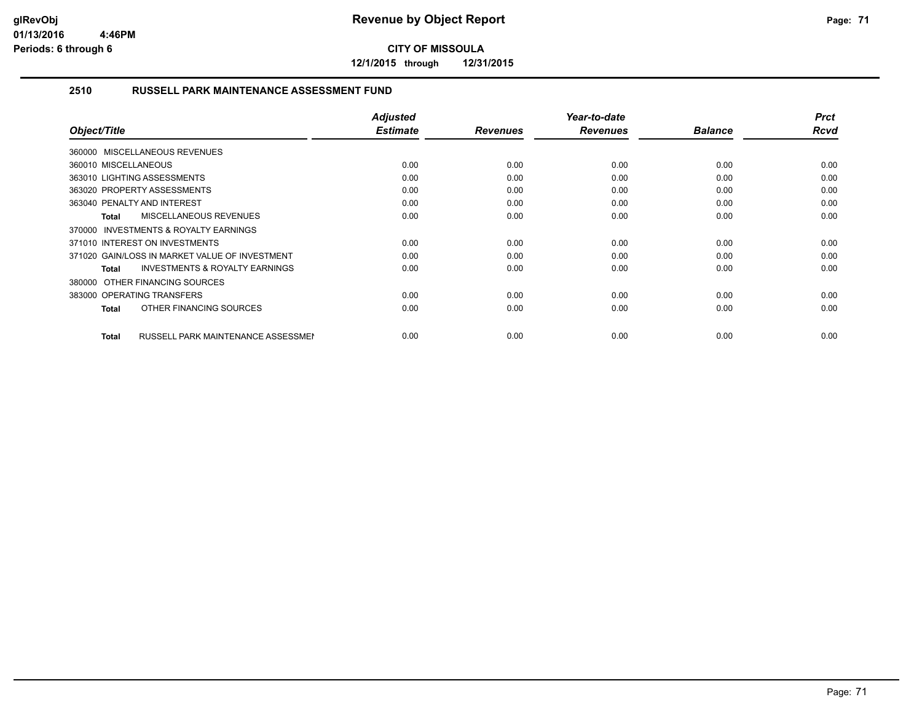**12/1/2015 through 12/31/2015**

## **2510 RUSSELL PARK MAINTENANCE ASSESSMENT FUND**

| Object/Title                                       | <b>Adjusted</b><br><b>Estimate</b> | <b>Revenues</b> | Year-to-date<br><b>Revenues</b> | <b>Balance</b> | <b>Prct</b><br><b>Rcvd</b> |
|----------------------------------------------------|------------------------------------|-----------------|---------------------------------|----------------|----------------------------|
| 360000 MISCELLANEOUS REVENUES                      |                                    |                 |                                 |                |                            |
| 360010 MISCELLANEOUS                               | 0.00                               | 0.00            | 0.00                            | 0.00           | 0.00                       |
| 363010 LIGHTING ASSESSMENTS                        | 0.00                               | 0.00            | 0.00                            | 0.00           | 0.00                       |
| 363020 PROPERTY ASSESSMENTS                        | 0.00                               | 0.00            | 0.00                            | 0.00           | 0.00                       |
| 363040 PENALTY AND INTEREST                        | 0.00                               | 0.00            | 0.00                            | 0.00           | 0.00                       |
| <b>MISCELLANEOUS REVENUES</b><br>Total             | 0.00                               | 0.00            | 0.00                            | 0.00           | 0.00                       |
| 370000 INVESTMENTS & ROYALTY EARNINGS              |                                    |                 |                                 |                |                            |
| 371010 INTEREST ON INVESTMENTS                     | 0.00                               | 0.00            | 0.00                            | 0.00           | 0.00                       |
| 371020 GAIN/LOSS IN MARKET VALUE OF INVESTMENT     | 0.00                               | 0.00            | 0.00                            | 0.00           | 0.00                       |
| <b>INVESTMENTS &amp; ROYALTY EARNINGS</b><br>Total | 0.00                               | 0.00            | 0.00                            | 0.00           | 0.00                       |
| 380000 OTHER FINANCING SOURCES                     |                                    |                 |                                 |                |                            |
| 383000 OPERATING TRANSFERS                         | 0.00                               | 0.00            | 0.00                            | 0.00           | 0.00                       |
| OTHER FINANCING SOURCES<br>Total                   | 0.00                               | 0.00            | 0.00                            | 0.00           | 0.00                       |
|                                                    |                                    |                 |                                 |                |                            |
| RUSSELL PARK MAINTENANCE ASSESSMEN<br><b>Total</b> | 0.00                               | 0.00            | 0.00                            | 0.00           | 0.00                       |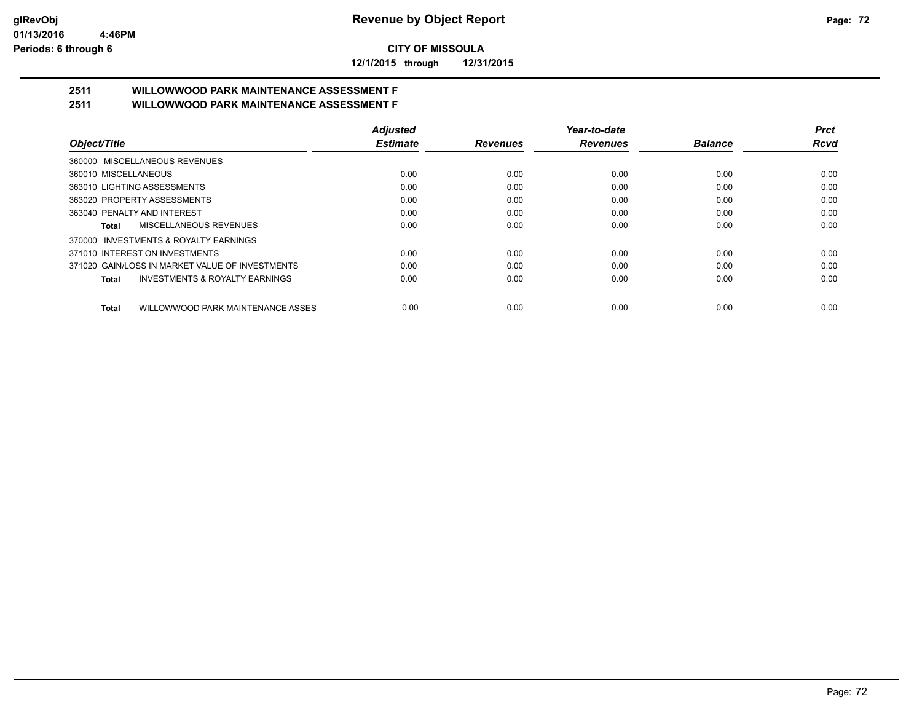**12/1/2015 through 12/31/2015**

# **2511 WILLOWWOOD PARK MAINTENANCE ASSESSMENT F**

**2511 WILLOWWOOD PARK MAINTENANCE ASSESSMENT F**

|                                                   | <b>Adjusted</b> |                 | Year-to-date    |                | Prct |
|---------------------------------------------------|-----------------|-----------------|-----------------|----------------|------|
| Object/Title                                      | <b>Estimate</b> | <b>Revenues</b> | <b>Revenues</b> | <b>Balance</b> | Rcvd |
| 360000 MISCELLANEOUS REVENUES                     |                 |                 |                 |                |      |
| 360010 MISCELLANEOUS                              | 0.00            | 0.00            | 0.00            | 0.00           | 0.00 |
| 363010 LIGHTING ASSESSMENTS                       | 0.00            | 0.00            | 0.00            | 0.00           | 0.00 |
| 363020 PROPERTY ASSESSMENTS                       | 0.00            | 0.00            | 0.00            | 0.00           | 0.00 |
| 363040 PENALTY AND INTEREST                       | 0.00            | 0.00            | 0.00            | 0.00           | 0.00 |
| MISCELLANEOUS REVENUES<br>Total                   | 0.00            | 0.00            | 0.00            | 0.00           | 0.00 |
| 370000 INVESTMENTS & ROYALTY EARNINGS             |                 |                 |                 |                |      |
| 371010 INTEREST ON INVESTMENTS                    | 0.00            | 0.00            | 0.00            | 0.00           | 0.00 |
| 371020 GAIN/LOSS IN MARKET VALUE OF INVESTMENTS   | 0.00            | 0.00            | 0.00            | 0.00           | 0.00 |
| INVESTMENTS & ROYALTY EARNINGS<br>Total           | 0.00            | 0.00            | 0.00            | 0.00           | 0.00 |
| WILLOWWOOD PARK MAINTENANCE ASSES<br><b>Total</b> | 0.00            | 0.00            | 0.00            | 0.00           | 0.00 |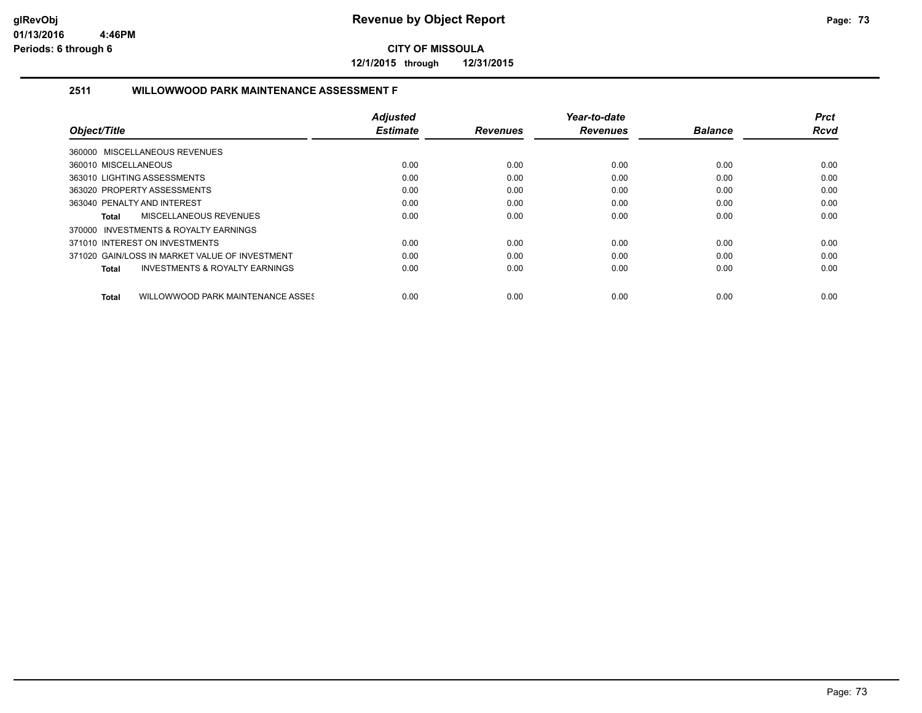**12/1/2015 through 12/31/2015**

### **2511 WILLOWWOOD PARK MAINTENANCE ASSESSMENT F**

|                                                    | <b>Adjusted</b> |                 | Year-to-date    |                | <b>Prct</b> |
|----------------------------------------------------|-----------------|-----------------|-----------------|----------------|-------------|
| Object/Title                                       | <b>Estimate</b> | <b>Revenues</b> | <b>Revenues</b> | <b>Balance</b> | <b>Rcvd</b> |
| 360000 MISCELLANEOUS REVENUES                      |                 |                 |                 |                |             |
| 360010 MISCELLANEOUS                               | 0.00            | 0.00            | 0.00            | 0.00           | 0.00        |
| 363010 LIGHTING ASSESSMENTS                        | 0.00            | 0.00            | 0.00            | 0.00           | 0.00        |
| 363020 PROPERTY ASSESSMENTS                        | 0.00            | 0.00            | 0.00            | 0.00           | 0.00        |
| 363040 PENALTY AND INTEREST                        | 0.00            | 0.00            | 0.00            | 0.00           | 0.00        |
| <b>MISCELLANEOUS REVENUES</b><br>Total             | 0.00            | 0.00            | 0.00            | 0.00           | 0.00        |
| 370000 INVESTMENTS & ROYALTY EARNINGS              |                 |                 |                 |                |             |
| 371010 INTEREST ON INVESTMENTS                     | 0.00            | 0.00            | 0.00            | 0.00           | 0.00        |
| 371020 GAIN/LOSS IN MARKET VALUE OF INVESTMENT     | 0.00            | 0.00            | 0.00            | 0.00           | 0.00        |
| <b>INVESTMENTS &amp; ROYALTY EARNINGS</b><br>Total | 0.00            | 0.00            | 0.00            | 0.00           | 0.00        |
| WILLOWWOOD PARK MAINTENANCE ASSES<br>Total         | 0.00            | 0.00            | 0.00            | 0.00           | 0.00        |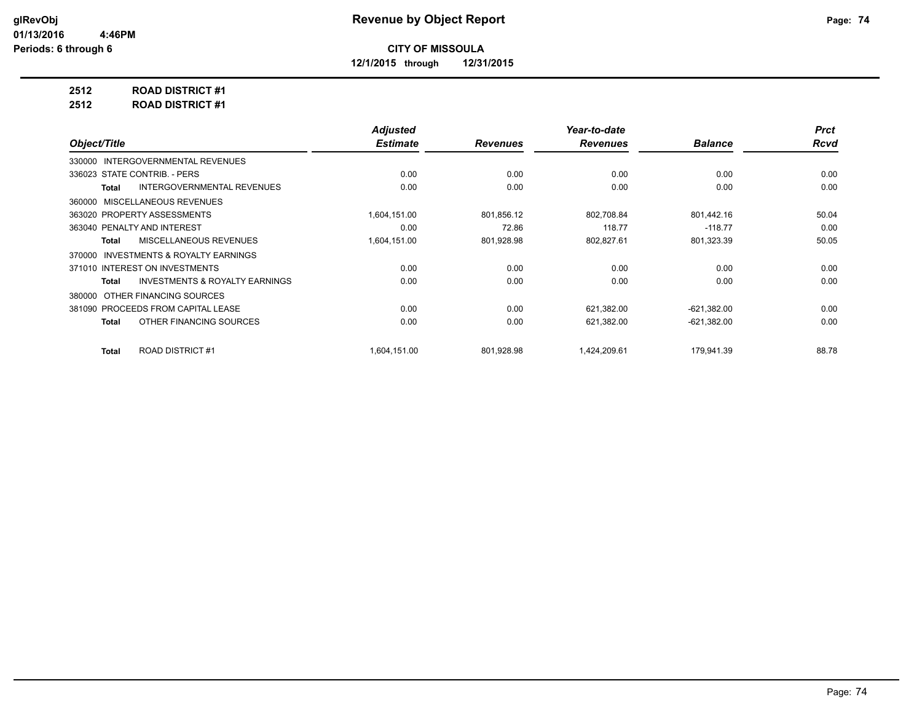**12/1/2015 through 12/31/2015**

## **2512 ROAD DISTRICT #1**

**2512 ROAD DISTRICT #1**

|                                                    | <b>Adjusted</b> |                 | Year-to-date    |                | <b>Prct</b> |
|----------------------------------------------------|-----------------|-----------------|-----------------|----------------|-------------|
| Object/Title                                       | <b>Estimate</b> | <b>Revenues</b> | <b>Revenues</b> | <b>Balance</b> | Rcvd        |
| 330000 INTERGOVERNMENTAL REVENUES                  |                 |                 |                 |                |             |
| 336023 STATE CONTRIB. - PERS                       | 0.00            | 0.00            | 0.00            | 0.00           | 0.00        |
| <b>INTERGOVERNMENTAL REVENUES</b><br>Total         | 0.00            | 0.00            | 0.00            | 0.00           | 0.00        |
| MISCELLANEOUS REVENUES<br>360000                   |                 |                 |                 |                |             |
| 363020 PROPERTY ASSESSMENTS                        | 1,604,151.00    | 801,856.12      | 802,708.84      | 801,442.16     | 50.04       |
| 363040 PENALTY AND INTEREST                        | 0.00            | 72.86           | 118.77          | $-118.77$      | 0.00        |
| <b>MISCELLANEOUS REVENUES</b><br>Total             | 1,604,151.00    | 801,928.98      | 802,827.61      | 801,323.39     | 50.05       |
| INVESTMENTS & ROYALTY EARNINGS<br>370000           |                 |                 |                 |                |             |
| 371010 INTEREST ON INVESTMENTS                     | 0.00            | 0.00            | 0.00            | 0.00           | 0.00        |
| <b>INVESTMENTS &amp; ROYALTY EARNINGS</b><br>Total | 0.00            | 0.00            | 0.00            | 0.00           | 0.00        |
| OTHER FINANCING SOURCES<br>380000                  |                 |                 |                 |                |             |
| 381090 PROCEEDS FROM CAPITAL LEASE                 | 0.00            | 0.00            | 621,382.00      | $-621,382.00$  | 0.00        |
| OTHER FINANCING SOURCES<br>Total                   | 0.00            | 0.00            | 621,382.00      | $-621,382.00$  | 0.00        |
| <b>ROAD DISTRICT #1</b><br><b>Total</b>            | 1,604,151.00    | 801,928.98      | 1,424,209.61    | 179,941.39     | 88.78       |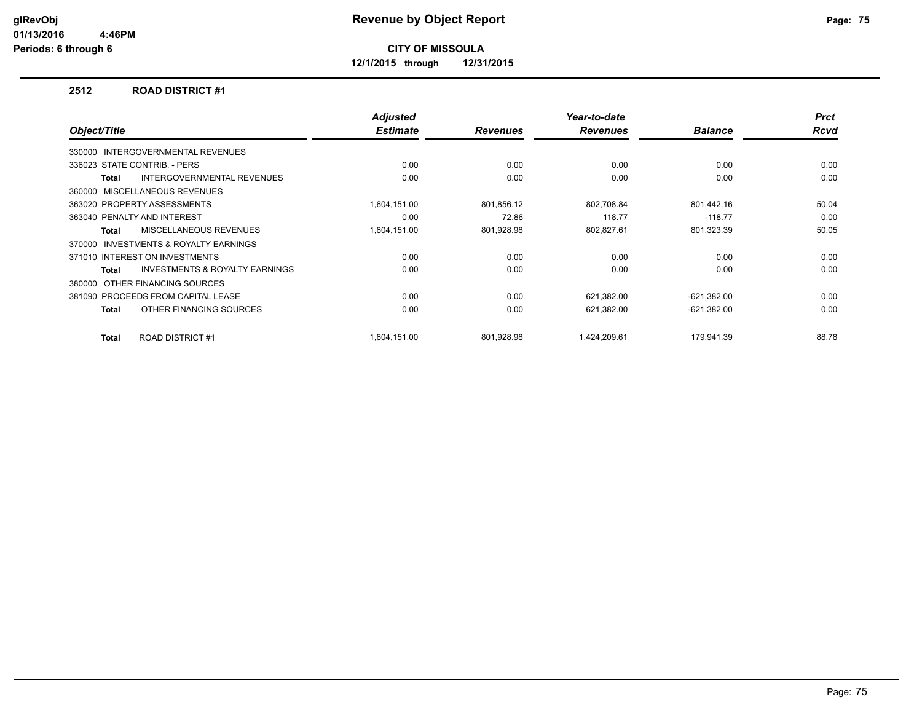**12/1/2015 through 12/31/2015**

#### **2512 ROAD DISTRICT #1**

| Object/Title                                        | <b>Adjusted</b><br><b>Estimate</b> | <b>Revenues</b> | Year-to-date<br><b>Revenues</b> | <b>Balance</b> | <b>Prct</b><br><b>Rcvd</b> |
|-----------------------------------------------------|------------------------------------|-----------------|---------------------------------|----------------|----------------------------|
|                                                     |                                    |                 |                                 |                |                            |
| INTERGOVERNMENTAL REVENUES<br>330000                |                                    |                 |                                 |                |                            |
| 336023 STATE CONTRIB. - PERS                        | 0.00                               | 0.00            | 0.00                            | 0.00           | 0.00                       |
| <b>INTERGOVERNMENTAL REVENUES</b><br><b>Total</b>   | 0.00                               | 0.00            | 0.00                            | 0.00           | 0.00                       |
| 360000 MISCELLANEOUS REVENUES                       |                                    |                 |                                 |                |                            |
| 363020 PROPERTY ASSESSMENTS                         | 1,604,151.00                       | 801,856.12      | 802,708.84                      | 801,442.16     | 50.04                      |
| 363040 PENALTY AND INTEREST                         | 0.00                               | 72.86           | 118.77                          | $-118.77$      | 0.00                       |
| MISCELLANEOUS REVENUES<br><b>Total</b>              | 1,604,151.00                       | 801,928.98      | 802,827.61                      | 801,323.39     | 50.05                      |
| <b>INVESTMENTS &amp; ROYALTY EARNINGS</b><br>370000 |                                    |                 |                                 |                |                            |
| 371010 INTEREST ON INVESTMENTS                      | 0.00                               | 0.00            | 0.00                            | 0.00           | 0.00                       |
| INVESTMENTS & ROYALTY EARNINGS<br><b>Total</b>      | 0.00                               | 0.00            | 0.00                            | 0.00           | 0.00                       |
| OTHER FINANCING SOURCES<br>380000                   |                                    |                 |                                 |                |                            |
| 381090 PROCEEDS FROM CAPITAL LEASE                  | 0.00                               | 0.00            | 621,382.00                      | $-621,382.00$  | 0.00                       |
| OTHER FINANCING SOURCES<br><b>Total</b>             | 0.00                               | 0.00            | 621,382.00                      | $-621,382.00$  | 0.00                       |
| <b>ROAD DISTRICT #1</b><br><b>Total</b>             | 1,604,151.00                       | 801.928.98      | 1,424,209.61                    | 179,941.39     | 88.78                      |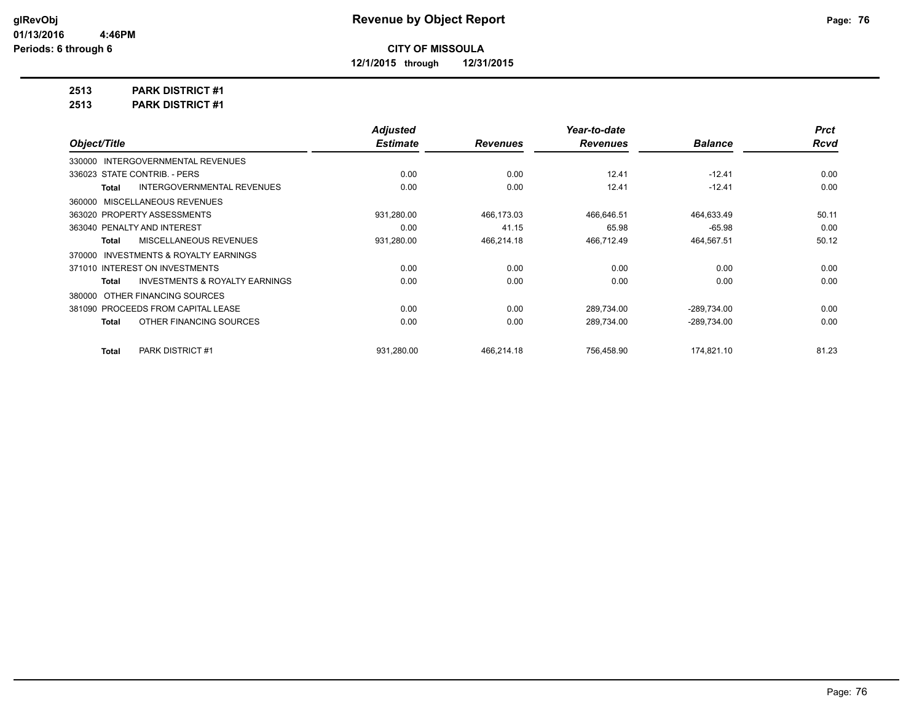**12/1/2015 through 12/31/2015**

**2513 PARK DISTRICT #1**

**2513 PARK DISTRICT #1**

|                                                           | <b>Adjusted</b> |                 | Year-to-date    |                | <b>Prct</b> |
|-----------------------------------------------------------|-----------------|-----------------|-----------------|----------------|-------------|
| Object/Title                                              | <b>Estimate</b> | <b>Revenues</b> | <b>Revenues</b> | <b>Balance</b> | <b>Rcvd</b> |
| 330000 INTERGOVERNMENTAL REVENUES                         |                 |                 |                 |                |             |
| 336023 STATE CONTRIB. - PERS                              | 0.00            | 0.00            | 12.41           | $-12.41$       | 0.00        |
| <b>INTERGOVERNMENTAL REVENUES</b><br>Total                | 0.00            | 0.00            | 12.41           | $-12.41$       | 0.00        |
| 360000 MISCELLANEOUS REVENUES                             |                 |                 |                 |                |             |
| 363020 PROPERTY ASSESSMENTS                               | 931,280.00      | 466,173.03      | 466,646.51      | 464,633.49     | 50.11       |
| 363040 PENALTY AND INTEREST                               | 0.00            | 41.15           | 65.98           | $-65.98$       | 0.00        |
| <b>MISCELLANEOUS REVENUES</b><br>Total                    | 931,280.00      | 466,214.18      | 466,712.49      | 464,567.51     | 50.12       |
| INVESTMENTS & ROYALTY EARNINGS<br>370000                  |                 |                 |                 |                |             |
| 371010 INTEREST ON INVESTMENTS                            | 0.00            | 0.00            | 0.00            | 0.00           | 0.00        |
| <b>INVESTMENTS &amp; ROYALTY EARNINGS</b><br><b>Total</b> | 0.00            | 0.00            | 0.00            | 0.00           | 0.00        |
| OTHER FINANCING SOURCES<br>380000                         |                 |                 |                 |                |             |
| 381090 PROCEEDS FROM CAPITAL LEASE                        | 0.00            | 0.00            | 289,734.00      | $-289,734.00$  | 0.00        |
| OTHER FINANCING SOURCES<br><b>Total</b>                   | 0.00            | 0.00            | 289,734.00      | $-289,734.00$  | 0.00        |
|                                                           |                 |                 |                 |                |             |
| <b>PARK DISTRICT #1</b><br><b>Total</b>                   | 931,280.00      | 466,214.18      | 756,458.90      | 174,821.10     | 81.23       |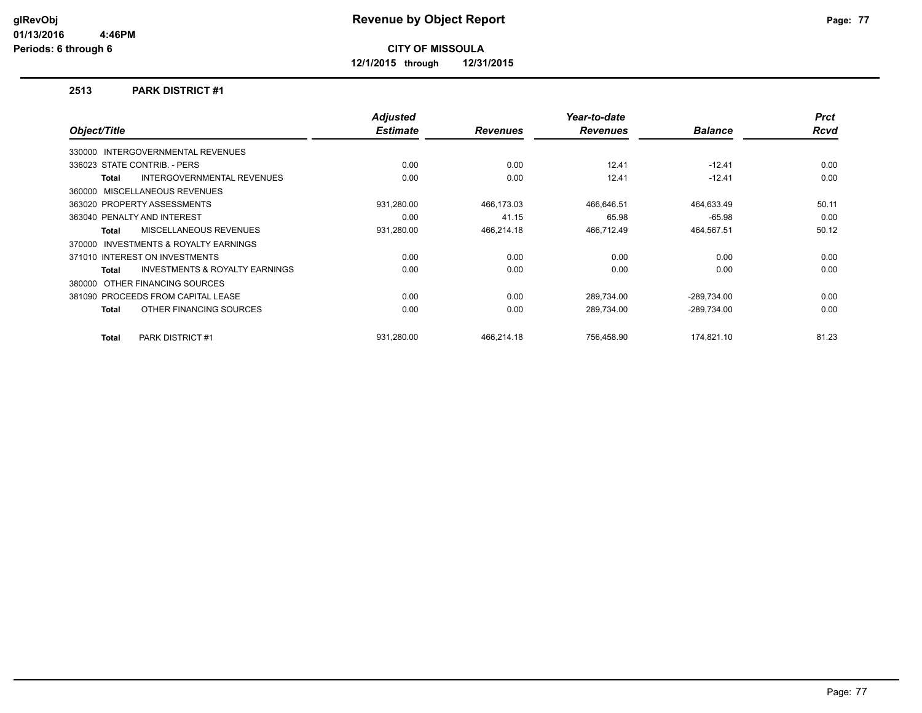**12/1/2015 through 12/31/2015**

#### **2513 PARK DISTRICT #1**

|                                    |                                           | <b>Adjusted</b><br><b>Estimate</b> |                 | Year-to-date    | <b>Balance</b> | <b>Prct</b><br><b>Rcvd</b> |
|------------------------------------|-------------------------------------------|------------------------------------|-----------------|-----------------|----------------|----------------------------|
| Object/Title                       |                                           |                                    | <b>Revenues</b> | <b>Revenues</b> |                |                            |
| 330000                             | <b>INTERGOVERNMENTAL REVENUES</b>         |                                    |                 |                 |                |                            |
| 336023 STATE CONTRIB. - PERS       |                                           | 0.00                               | 0.00            | 12.41           | $-12.41$       | 0.00                       |
| Total                              | <b>INTERGOVERNMENTAL REVENUES</b>         | 0.00                               | 0.00            | 12.41           | $-12.41$       | 0.00                       |
| MISCELLANEOUS REVENUES<br>360000   |                                           |                                    |                 |                 |                |                            |
| 363020 PROPERTY ASSESSMENTS        |                                           | 931,280.00                         | 466,173.03      | 466,646.51      | 464,633.49     | 50.11                      |
| 363040 PENALTY AND INTEREST        |                                           | 0.00                               | 41.15           | 65.98           | $-65.98$       | 0.00                       |
| <b>Total</b>                       | MISCELLANEOUS REVENUES                    | 931,280.00                         | 466,214.18      | 466,712.49      | 464,567.51     | 50.12                      |
| 370000                             | <b>INVESTMENTS &amp; ROYALTY EARNINGS</b> |                                    |                 |                 |                |                            |
| 371010 INTEREST ON INVESTMENTS     |                                           | 0.00                               | 0.00            | 0.00            | 0.00           | 0.00                       |
| Total                              | <b>INVESTMENTS &amp; ROYALTY EARNINGS</b> | 0.00                               | 0.00            | 0.00            | 0.00           | 0.00                       |
| OTHER FINANCING SOURCES<br>380000  |                                           |                                    |                 |                 |                |                            |
| 381090 PROCEEDS FROM CAPITAL LEASE |                                           | 0.00                               | 0.00            | 289,734.00      | $-289,734.00$  | 0.00                       |
| Total                              | OTHER FINANCING SOURCES                   | 0.00                               | 0.00            | 289.734.00      | -289.734.00    | 0.00                       |
| Total                              | <b>PARK DISTRICT #1</b>                   | 931.280.00                         | 466.214.18      | 756.458.90      | 174.821.10     | 81.23                      |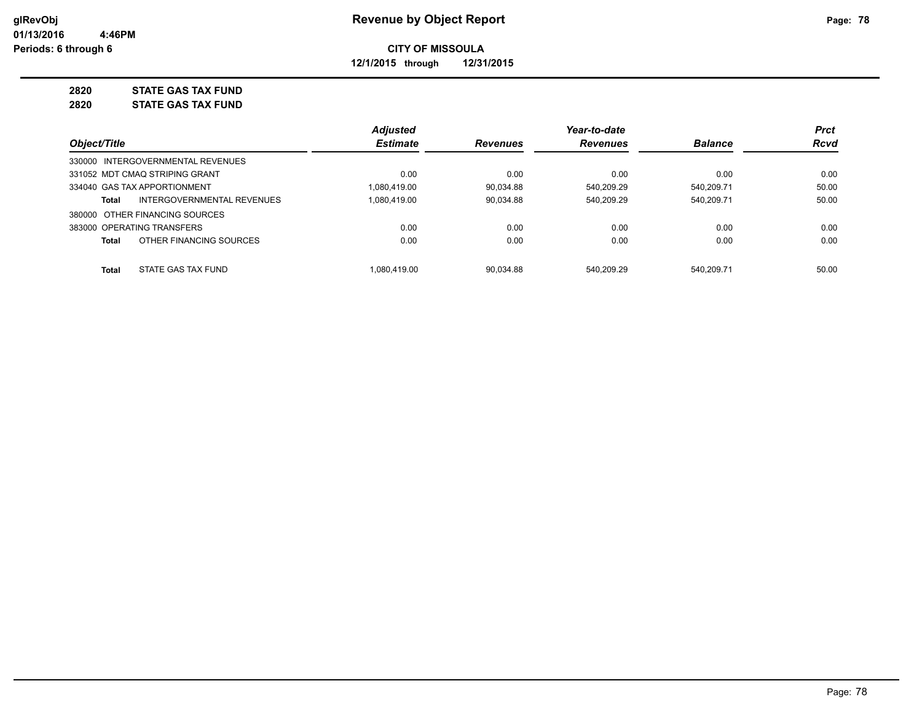**12/1/2015 through 12/31/2015**

## **2820 STATE GAS TAX FUND**

**2820 STATE GAS TAX FUND**

|                                                   | <b>Adjusted</b> |                 | Year-to-date    |                | <b>Prct</b> |
|---------------------------------------------------|-----------------|-----------------|-----------------|----------------|-------------|
| Object/Title                                      | <b>Estimate</b> | <b>Revenues</b> | <b>Revenues</b> | <b>Balance</b> | <b>Rcvd</b> |
| 330000 INTERGOVERNMENTAL REVENUES                 |                 |                 |                 |                |             |
| 331052 MDT CMAQ STRIPING GRANT                    | 0.00            | 0.00            | 0.00            | 0.00           | 0.00        |
| 334040 GAS TAX APPORTIONMENT                      | 1.080.419.00    | 90.034.88       | 540.209.29      | 540.209.71     | 50.00       |
| <b>INTERGOVERNMENTAL REVENUES</b><br><b>Total</b> | 1.080.419.00    | 90.034.88       | 540.209.29      | 540.209.71     | 50.00       |
| 380000 OTHER FINANCING SOURCES                    |                 |                 |                 |                |             |
| 383000 OPERATING TRANSFERS                        | 0.00            | 0.00            | 0.00            | 0.00           | 0.00        |
| OTHER FINANCING SOURCES<br><b>Total</b>           | 0.00            | 0.00            | 0.00            | 0.00           | 0.00        |
| STATE GAS TAX FUND<br><b>Total</b>                | 1.080.419.00    | 90.034.88       | 540.209.29      | 540.209.71     | 50.00       |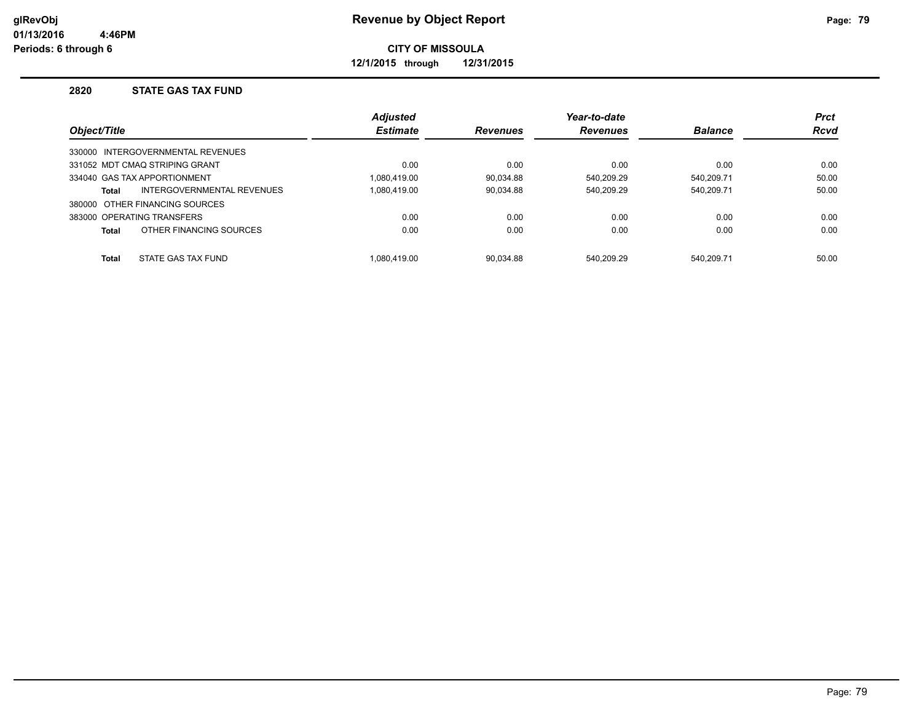**12/1/2015 through 12/31/2015**

### **2820 STATE GAS TAX FUND**

|              |                                   | <b>Adjusted</b> |                 | Year-to-date    |                | <b>Prct</b> |
|--------------|-----------------------------------|-----------------|-----------------|-----------------|----------------|-------------|
| Object/Title |                                   | <b>Estimate</b> | <b>Revenues</b> | <b>Revenues</b> | <b>Balance</b> | <b>Rcvd</b> |
|              | 330000 INTERGOVERNMENTAL REVENUES |                 |                 |                 |                |             |
|              | 331052 MDT CMAQ STRIPING GRANT    | 0.00            | 0.00            | 0.00            | 0.00           | 0.00        |
|              | 334040 GAS TAX APPORTIONMENT      | 1.080.419.00    | 90.034.88       | 540.209.29      | 540.209.71     | 50.00       |
| Total        | INTERGOVERNMENTAL REVENUES        | 1.080.419.00    | 90.034.88       | 540.209.29      | 540.209.71     | 50.00       |
|              | 380000 OTHER FINANCING SOURCES    |                 |                 |                 |                |             |
|              | 383000 OPERATING TRANSFERS        | 0.00            | 0.00            | 0.00            | 0.00           | 0.00        |
| Total        | OTHER FINANCING SOURCES           | 0.00            | 0.00            | 0.00            | 0.00           | 0.00        |
| <b>Total</b> | STATE GAS TAX FUND                | 1.080.419.00    | 90.034.88       | 540.209.29      | 540.209.71     | 50.00       |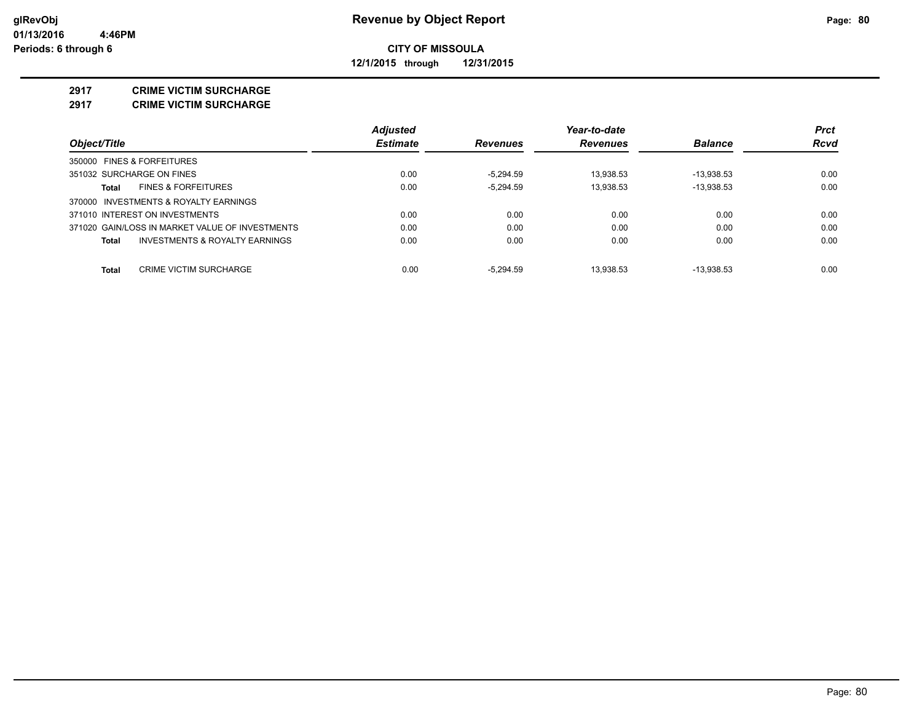**12/1/2015 through 12/31/2015**

#### **2917 CRIME VICTIM SURCHARGE**

**2917 CRIME VICTIM SURCHARGE**

|                                                 | <b>Adjusted</b> |                 | Year-to-date    |                | <b>Prct</b> |
|-------------------------------------------------|-----------------|-----------------|-----------------|----------------|-------------|
| Object/Title                                    | <b>Estimate</b> | <b>Revenues</b> | <b>Revenues</b> | <b>Balance</b> | Rcvd        |
| 350000 FINES & FORFEITURES                      |                 |                 |                 |                |             |
| 351032 SURCHARGE ON FINES                       | 0.00            | $-5.294.59$     | 13.938.53       | $-13.938.53$   | 0.00        |
| <b>FINES &amp; FORFEITURES</b><br>Total         | 0.00            | $-5.294.59$     | 13.938.53       | $-13.938.53$   | 0.00        |
| 370000 INVESTMENTS & ROYALTY EARNINGS           |                 |                 |                 |                |             |
| 371010 INTEREST ON INVESTMENTS                  | 0.00            | 0.00            | 0.00            | 0.00           | 0.00        |
| 371020 GAIN/LOSS IN MARKET VALUE OF INVESTMENTS | 0.00            | 0.00            | 0.00            | 0.00           | 0.00        |
| INVESTMENTS & ROYALTY EARNINGS<br>Total         | 0.00            | 0.00            | 0.00            | 0.00           | 0.00        |
| CRIME VICTIM SURCHARGE<br>Total                 | 0.00            | $-5.294.59$     | 13.938.53       | $-13.938.53$   | 0.00        |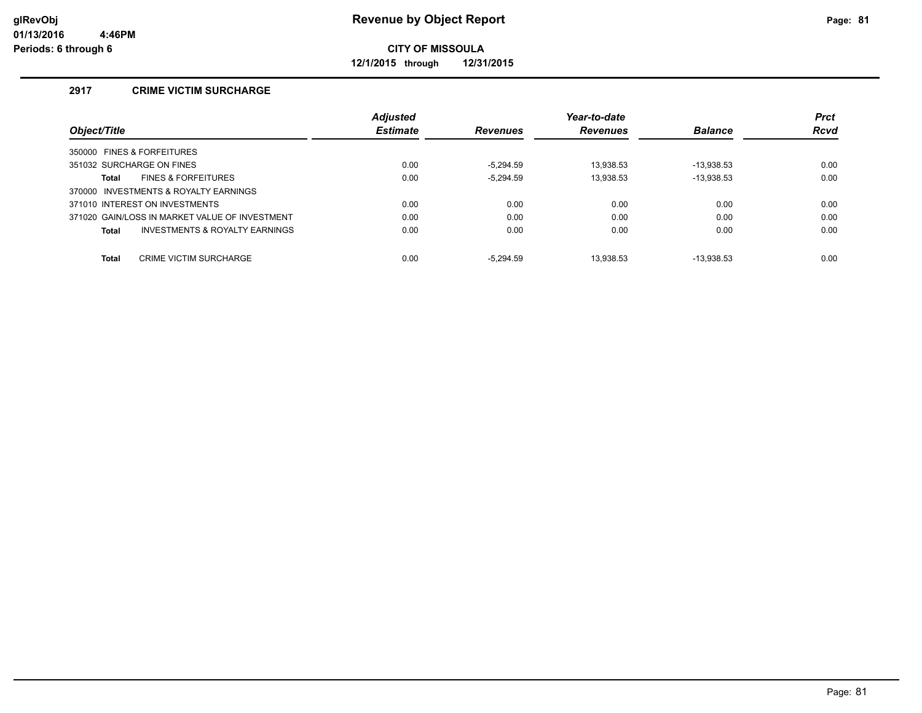**12/1/2015 through 12/31/2015**

## **2917 CRIME VICTIM SURCHARGE**

|                                                | <b>Adjusted</b> |                 | Year-to-date    |                | <b>Prct</b> |
|------------------------------------------------|-----------------|-----------------|-----------------|----------------|-------------|
| Object/Title                                   | <b>Estimate</b> | <b>Revenues</b> | <b>Revenues</b> | <b>Balance</b> | <b>Rcvd</b> |
| 350000 FINES & FORFEITURES                     |                 |                 |                 |                |             |
| 351032 SURCHARGE ON FINES                      | 0.00            | $-5.294.59$     | 13.938.53       | $-13.938.53$   | 0.00        |
| <b>FINES &amp; FORFEITURES</b><br>Total        | 0.00            | $-5,294.59$     | 13.938.53       | $-13,938.53$   | 0.00        |
| 370000 INVESTMENTS & ROYALTY EARNINGS          |                 |                 |                 |                |             |
| 371010 INTEREST ON INVESTMENTS                 | 0.00            | 0.00            | 0.00            | 0.00           | 0.00        |
| 371020 GAIN/LOSS IN MARKET VALUE OF INVESTMENT | 0.00            | 0.00            | 0.00            | 0.00           | 0.00        |
| INVESTMENTS & ROYALTY EARNINGS<br>Total        | 0.00            | 0.00            | 0.00            | 0.00           | 0.00        |
|                                                |                 |                 |                 |                |             |
| <b>Total</b><br><b>CRIME VICTIM SURCHARGE</b>  | 0.00            | $-5.294.59$     | 13.938.53       | $-13.938.53$   | 0.00        |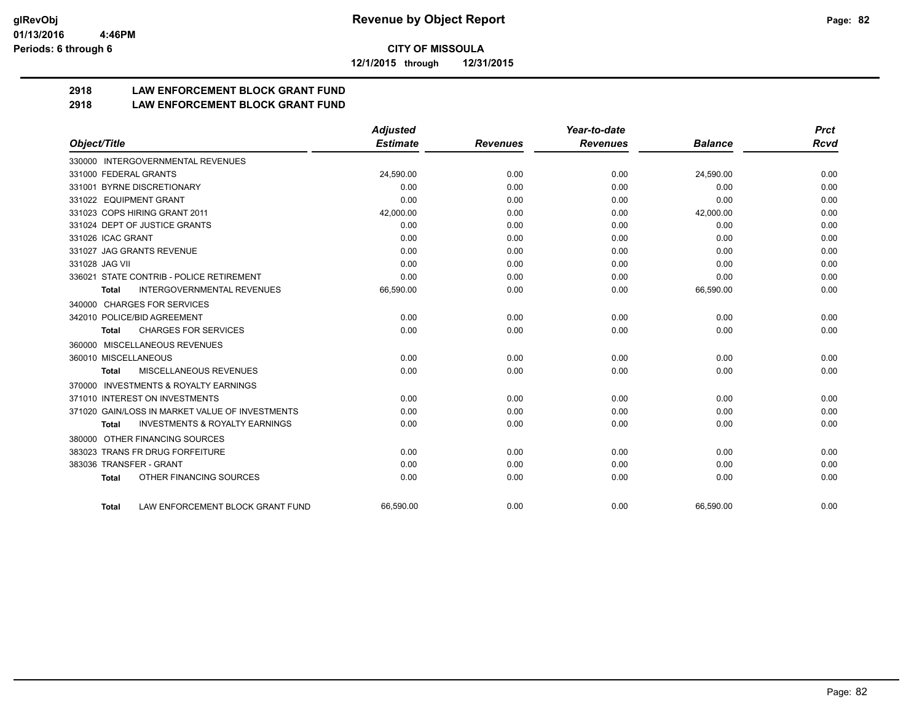**12/1/2015 through 12/31/2015**

# **2918 LAW ENFORCEMENT BLOCK GRANT FUND**

## **2918 LAW ENFORCEMENT BLOCK GRANT FUND**

|                                                           | <b>Adjusted</b> |                 | Year-to-date    |                | <b>Prct</b> |
|-----------------------------------------------------------|-----------------|-----------------|-----------------|----------------|-------------|
| Object/Title                                              | <b>Estimate</b> | <b>Revenues</b> | <b>Revenues</b> | <b>Balance</b> | <b>Rcvd</b> |
| 330000 INTERGOVERNMENTAL REVENUES                         |                 |                 |                 |                |             |
| 331000 FEDERAL GRANTS                                     | 24,590.00       | 0.00            | 0.00            | 24,590.00      | 0.00        |
| 331001 BYRNE DISCRETIONARY                                | 0.00            | 0.00            | 0.00            | 0.00           | 0.00        |
| 331022 EQUIPMENT GRANT                                    | 0.00            | 0.00            | 0.00            | 0.00           | 0.00        |
| 331023 COPS HIRING GRANT 2011                             | 42,000.00       | 0.00            | 0.00            | 42,000.00      | 0.00        |
| 331024 DEPT OF JUSTICE GRANTS                             | 0.00            | 0.00            | 0.00            | 0.00           | 0.00        |
| 331026 ICAC GRANT                                         | 0.00            | 0.00            | 0.00            | 0.00           | 0.00        |
| 331027 JAG GRANTS REVENUE                                 | 0.00            | 0.00            | 0.00            | 0.00           | 0.00        |
| 331028 JAG VII                                            | 0.00            | 0.00            | 0.00            | 0.00           | 0.00        |
| 336021 STATE CONTRIB - POLICE RETIREMENT                  | 0.00            | 0.00            | 0.00            | 0.00           | 0.00        |
| <b>INTERGOVERNMENTAL REVENUES</b><br>Total                | 66,590.00       | 0.00            | 0.00            | 66,590.00      | 0.00        |
| 340000 CHARGES FOR SERVICES                               |                 |                 |                 |                |             |
| 342010 POLICE/BID AGREEMENT                               | 0.00            | 0.00            | 0.00            | 0.00           | 0.00        |
| <b>CHARGES FOR SERVICES</b><br><b>Total</b>               | 0.00            | 0.00            | 0.00            | 0.00           | 0.00        |
| MISCELLANEOUS REVENUES<br>360000                          |                 |                 |                 |                |             |
| 360010 MISCELLANEOUS                                      | 0.00            | 0.00            | 0.00            | 0.00           | 0.00        |
| <b>MISCELLANEOUS REVENUES</b><br><b>Total</b>             | 0.00            | 0.00            | 0.00            | 0.00           | 0.00        |
| <b>INVESTMENTS &amp; ROYALTY EARNINGS</b><br>370000       |                 |                 |                 |                |             |
| 371010 INTEREST ON INVESTMENTS                            | 0.00            | 0.00            | 0.00            | 0.00           | 0.00        |
| 371020 GAIN/LOSS IN MARKET VALUE OF INVESTMENTS           | 0.00            | 0.00            | 0.00            | 0.00           | 0.00        |
| <b>INVESTMENTS &amp; ROYALTY EARNINGS</b><br><b>Total</b> | 0.00            | 0.00            | 0.00            | 0.00           | 0.00        |
| OTHER FINANCING SOURCES<br>380000                         |                 |                 |                 |                |             |
| 383023 TRANS FR DRUG FORFEITURE                           | 0.00            | 0.00            | 0.00            | 0.00           | 0.00        |
| 383036 TRANSFER - GRANT                                   | 0.00            | 0.00            | 0.00            | 0.00           | 0.00        |
| OTHER FINANCING SOURCES<br><b>Total</b>                   | 0.00            | 0.00            | 0.00            | 0.00           | 0.00        |
| LAW ENFORCEMENT BLOCK GRANT FUND<br><b>Total</b>          | 66.590.00       | 0.00            | 0.00            | 66,590.00      | 0.00        |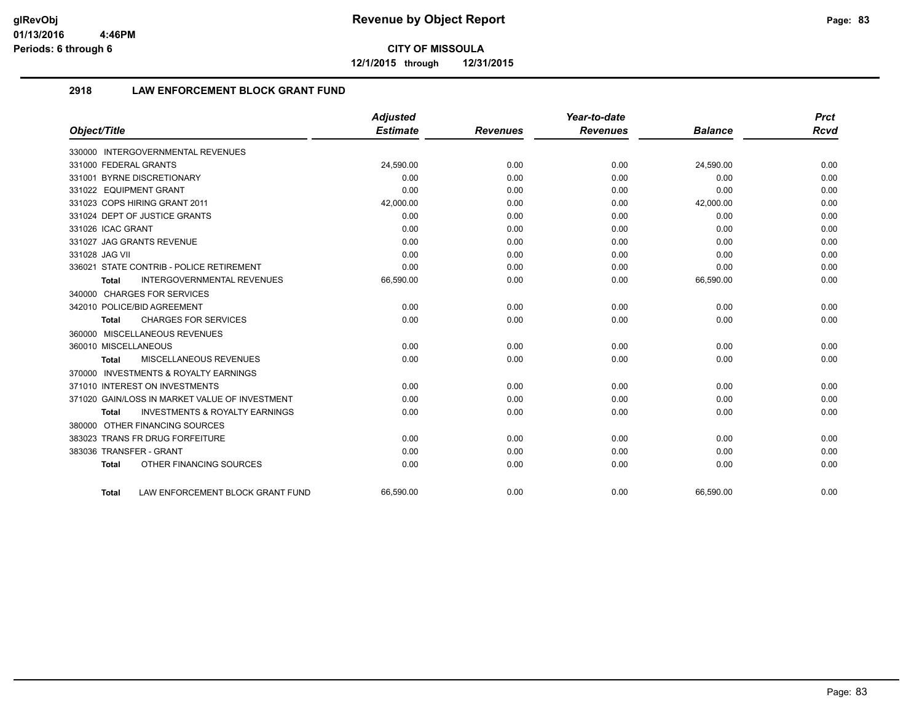**12/1/2015 through 12/31/2015**

## **2918 LAW ENFORCEMENT BLOCK GRANT FUND**

|                                                           | <b>Adjusted</b> |                 | Year-to-date    |                | <b>Prct</b> |
|-----------------------------------------------------------|-----------------|-----------------|-----------------|----------------|-------------|
| Object/Title                                              | <b>Estimate</b> | <b>Revenues</b> | <b>Revenues</b> | <b>Balance</b> | <b>Rcvd</b> |
| 330000 INTERGOVERNMENTAL REVENUES                         |                 |                 |                 |                |             |
| 331000 FEDERAL GRANTS                                     | 24,590.00       | 0.00            | 0.00            | 24,590.00      | 0.00        |
| 331001 BYRNE DISCRETIONARY                                | 0.00            | 0.00            | 0.00            | 0.00           | 0.00        |
| 331022 EQUIPMENT GRANT                                    | 0.00            | 0.00            | 0.00            | 0.00           | 0.00        |
| 331023 COPS HIRING GRANT 2011                             | 42,000.00       | 0.00            | 0.00            | 42,000.00      | 0.00        |
| 331024 DEPT OF JUSTICE GRANTS                             | 0.00            | 0.00            | 0.00            | 0.00           | 0.00        |
| 331026 ICAC GRANT                                         | 0.00            | 0.00            | 0.00            | 0.00           | 0.00        |
| 331027 JAG GRANTS REVENUE                                 | 0.00            | 0.00            | 0.00            | 0.00           | 0.00        |
| 331028 JAG VII                                            | 0.00            | 0.00            | 0.00            | 0.00           | 0.00        |
| 336021 STATE CONTRIB - POLICE RETIREMENT                  | 0.00            | 0.00            | 0.00            | 0.00           | 0.00        |
| <b>INTERGOVERNMENTAL REVENUES</b><br>Total                | 66,590.00       | 0.00            | 0.00            | 66,590.00      | 0.00        |
| 340000 CHARGES FOR SERVICES                               |                 |                 |                 |                |             |
| 342010 POLICE/BID AGREEMENT                               | 0.00            | 0.00            | 0.00            | 0.00           | 0.00        |
| <b>CHARGES FOR SERVICES</b><br><b>Total</b>               | 0.00            | 0.00            | 0.00            | 0.00           | 0.00        |
| 360000 MISCELLANEOUS REVENUES                             |                 |                 |                 |                |             |
| 360010 MISCELLANEOUS                                      | 0.00            | 0.00            | 0.00            | 0.00           | 0.00        |
| MISCELLANEOUS REVENUES<br><b>Total</b>                    | 0.00            | 0.00            | 0.00            | 0.00           | 0.00        |
| 370000 INVESTMENTS & ROYALTY EARNINGS                     |                 |                 |                 |                |             |
| 371010 INTEREST ON INVESTMENTS                            | 0.00            | 0.00            | 0.00            | 0.00           | 0.00        |
| 371020 GAIN/LOSS IN MARKET VALUE OF INVESTMENT            | 0.00            | 0.00            | 0.00            | 0.00           | 0.00        |
| <b>INVESTMENTS &amp; ROYALTY EARNINGS</b><br><b>Total</b> | 0.00            | 0.00            | 0.00            | 0.00           | 0.00        |
| 380000 OTHER FINANCING SOURCES                            |                 |                 |                 |                |             |
| 383023 TRANS FR DRUG FORFEITURE                           | 0.00            | 0.00            | 0.00            | 0.00           | 0.00        |
| 383036 TRANSFER - GRANT                                   | 0.00            | 0.00            | 0.00            | 0.00           | 0.00        |
| OTHER FINANCING SOURCES<br><b>Total</b>                   | 0.00            | 0.00            | 0.00            | 0.00           | 0.00        |
| LAW ENFORCEMENT BLOCK GRANT FUND<br>Total                 | 66.590.00       | 0.00            | 0.00            | 66.590.00      | 0.00        |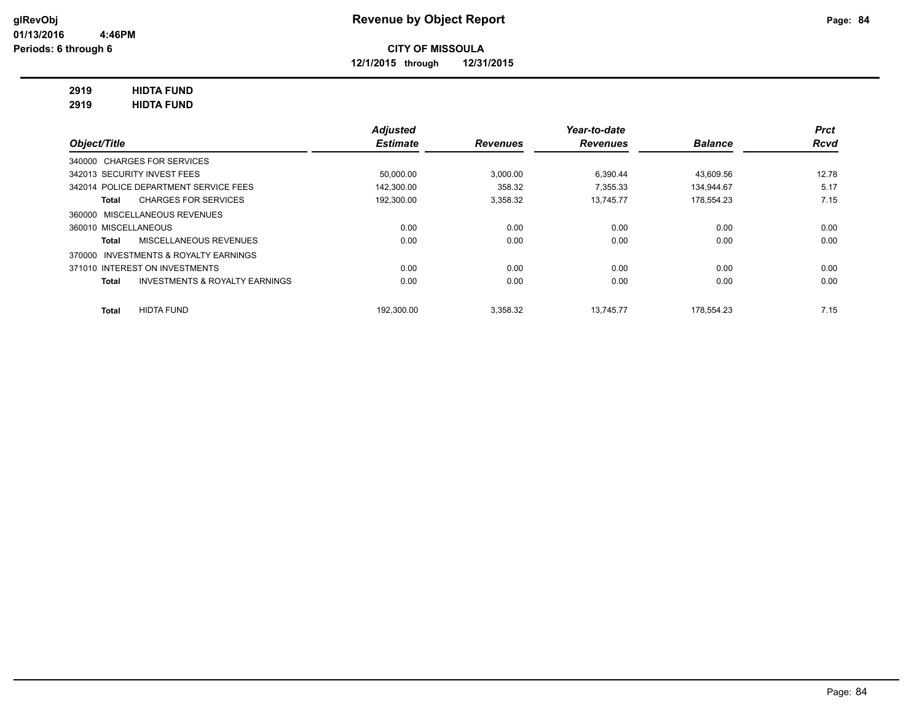**12/1/2015 through 12/31/2015**

## **2919 HIDTA FUND**

**2919 HIDTA FUND**

|                                                    | <b>Adjusted</b> |                 | Year-to-date    |                | <b>Prct</b> |
|----------------------------------------------------|-----------------|-----------------|-----------------|----------------|-------------|
| Object/Title                                       | <b>Estimate</b> | <b>Revenues</b> | <b>Revenues</b> | <b>Balance</b> | <b>Rcvd</b> |
| 340000 CHARGES FOR SERVICES                        |                 |                 |                 |                |             |
| 342013 SECURITY INVEST FEES                        | 50,000.00       | 3.000.00        | 6.390.44        | 43.609.56      | 12.78       |
| 342014 POLICE DEPARTMENT SERVICE FEES              | 142.300.00      | 358.32          | 7.355.33        | 134.944.67     | 5.17        |
| <b>CHARGES FOR SERVICES</b><br>Total               | 192,300.00      | 3,358.32        | 13.745.77       | 178.554.23     | 7.15        |
| <b>MISCELLANEOUS REVENUES</b><br>360000            |                 |                 |                 |                |             |
| 360010 MISCELLANEOUS                               | 0.00            | 0.00            | 0.00            | 0.00           | 0.00        |
| MISCELLANEOUS REVENUES<br>Total                    | 0.00            | 0.00            | 0.00            | 0.00           | 0.00        |
| INVESTMENTS & ROYALTY EARNINGS<br>370000           |                 |                 |                 |                |             |
| 371010 INTEREST ON INVESTMENTS                     | 0.00            | 0.00            | 0.00            | 0.00           | 0.00        |
| <b>INVESTMENTS &amp; ROYALTY EARNINGS</b><br>Total | 0.00            | 0.00            | 0.00            | 0.00           | 0.00        |
| <b>HIDTA FUND</b><br>Total                         | 192.300.00      | 3,358.32        | 13.745.77       | 178.554.23     | 7.15        |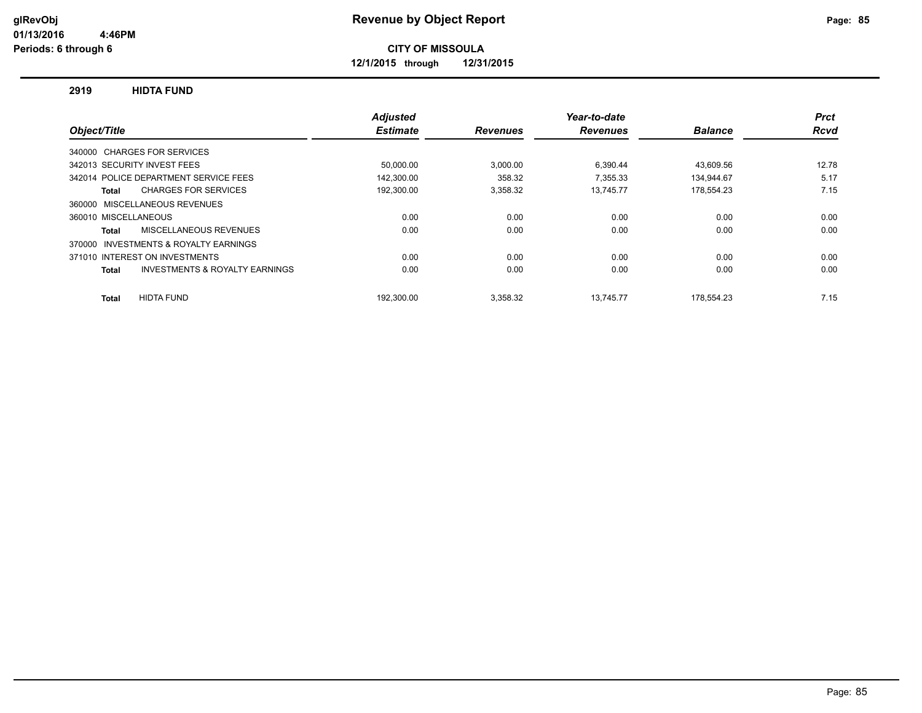**12/1/2015 through 12/31/2015**

#### **2919 HIDTA FUND**

|                                                           | <b>Adjusted</b> |                 | Year-to-date    |                | <b>Prct</b> |
|-----------------------------------------------------------|-----------------|-----------------|-----------------|----------------|-------------|
| Object/Title                                              | <b>Estimate</b> | <b>Revenues</b> | <b>Revenues</b> | <b>Balance</b> | <b>Rcvd</b> |
| 340000 CHARGES FOR SERVICES                               |                 |                 |                 |                |             |
| 342013 SECURITY INVEST FEES                               | 50,000.00       | 3,000.00        | 6,390.44        | 43,609.56      | 12.78       |
| 342014 POLICE DEPARTMENT SERVICE FEES                     | 142.300.00      | 358.32          | 7.355.33        | 134.944.67     | 5.17        |
| <b>CHARGES FOR SERVICES</b><br>Total                      | 192,300.00      | 3,358.32        | 13.745.77       | 178,554.23     | 7.15        |
| MISCELLANEOUS REVENUES<br>360000                          |                 |                 |                 |                |             |
| 360010 MISCELLANEOUS                                      | 0.00            | 0.00            | 0.00            | 0.00           | 0.00        |
| MISCELLANEOUS REVENUES<br>Total                           | 0.00            | 0.00            | 0.00            | 0.00           | 0.00        |
| INVESTMENTS & ROYALTY EARNINGS<br>370000                  |                 |                 |                 |                |             |
| 371010 INTEREST ON INVESTMENTS                            | 0.00            | 0.00            | 0.00            | 0.00           | 0.00        |
| <b>INVESTMENTS &amp; ROYALTY EARNINGS</b><br><b>Total</b> | 0.00            | 0.00            | 0.00            | 0.00           | 0.00        |
| <b>HIDTA FUND</b><br>Total                                | 192.300.00      | 3.358.32        | 13.745.77       | 178.554.23     | 7.15        |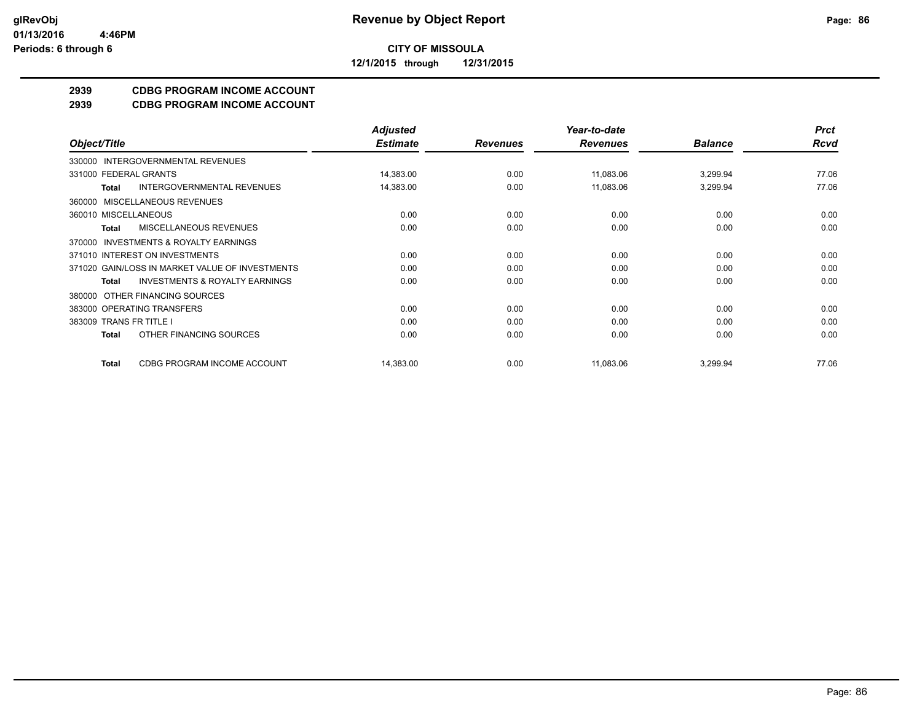**CITY OF MISSOULA 12/1/2015 through 12/31/2015**

## **2939 CDBG PROGRAM INCOME ACCOUNT**

**2939 CDBG PROGRAM INCOME ACCOUNT**

|                                                    | <b>Adjusted</b> |                 | Year-to-date    |                | <b>Prct</b> |
|----------------------------------------------------|-----------------|-----------------|-----------------|----------------|-------------|
| Object/Title                                       | <b>Estimate</b> | <b>Revenues</b> | <b>Revenues</b> | <b>Balance</b> | <b>Rcvd</b> |
| 330000 INTERGOVERNMENTAL REVENUES                  |                 |                 |                 |                |             |
| 331000 FEDERAL GRANTS                              | 14,383.00       | 0.00            | 11,083.06       | 3,299.94       | 77.06       |
| <b>INTERGOVERNMENTAL REVENUES</b><br>Total         | 14,383.00       | 0.00            | 11,083.06       | 3,299.94       | 77.06       |
| 360000 MISCELLANEOUS REVENUES                      |                 |                 |                 |                |             |
| 360010 MISCELLANEOUS                               | 0.00            | 0.00            | 0.00            | 0.00           | 0.00        |
| <b>MISCELLANEOUS REVENUES</b><br>Total             | 0.00            | 0.00            | 0.00            | 0.00           | 0.00        |
| 370000 INVESTMENTS & ROYALTY EARNINGS              |                 |                 |                 |                |             |
| 371010 INTEREST ON INVESTMENTS                     | 0.00            | 0.00            | 0.00            | 0.00           | 0.00        |
| 371020 GAIN/LOSS IN MARKET VALUE OF INVESTMENTS    | 0.00            | 0.00            | 0.00            | 0.00           | 0.00        |
| <b>INVESTMENTS &amp; ROYALTY EARNINGS</b><br>Total | 0.00            | 0.00            | 0.00            | 0.00           | 0.00        |
| 380000 OTHER FINANCING SOURCES                     |                 |                 |                 |                |             |
| 383000 OPERATING TRANSFERS                         | 0.00            | 0.00            | 0.00            | 0.00           | 0.00        |
| 383009 TRANS FR TITLE I                            | 0.00            | 0.00            | 0.00            | 0.00           | 0.00        |
| OTHER FINANCING SOURCES<br>Total                   | 0.00            | 0.00            | 0.00            | 0.00           | 0.00        |
| CDBG PROGRAM INCOME ACCOUNT<br><b>Total</b>        | 14,383.00       | 0.00            | 11,083.06       | 3,299.94       | 77.06       |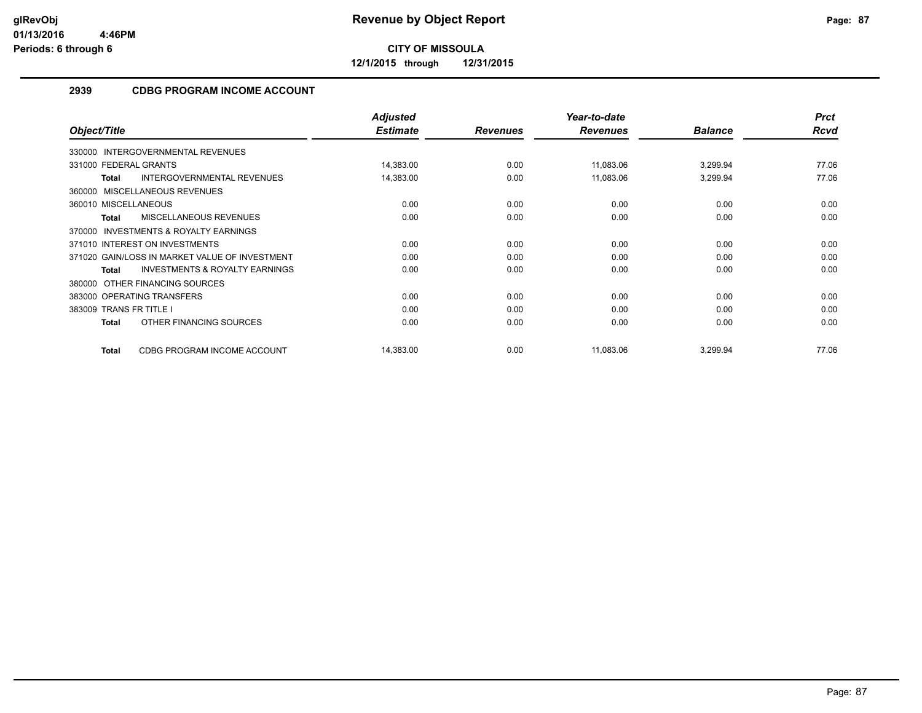**12/1/2015 through 12/31/2015**

## **2939 CDBG PROGRAM INCOME ACCOUNT**

|                                                           | <b>Adjusted</b> |                 | Year-to-date    |                | <b>Prct</b> |
|-----------------------------------------------------------|-----------------|-----------------|-----------------|----------------|-------------|
| Object/Title                                              | <b>Estimate</b> | <b>Revenues</b> | <b>Revenues</b> | <b>Balance</b> | Rcvd        |
| 330000 INTERGOVERNMENTAL REVENUES                         |                 |                 |                 |                |             |
| 331000 FEDERAL GRANTS                                     | 14,383.00       | 0.00            | 11,083.06       | 3,299.94       | 77.06       |
| <b>INTERGOVERNMENTAL REVENUES</b><br><b>Total</b>         | 14,383.00       | 0.00            | 11,083.06       | 3,299.94       | 77.06       |
| 360000 MISCELLANEOUS REVENUES                             |                 |                 |                 |                |             |
| 360010 MISCELLANEOUS                                      | 0.00            | 0.00            | 0.00            | 0.00           | 0.00        |
| <b>MISCELLANEOUS REVENUES</b><br>Total                    | 0.00            | 0.00            | 0.00            | 0.00           | 0.00        |
| <b>INVESTMENTS &amp; ROYALTY EARNINGS</b><br>370000       |                 |                 |                 |                |             |
| 371010 INTEREST ON INVESTMENTS                            | 0.00            | 0.00            | 0.00            | 0.00           | 0.00        |
| 371020 GAIN/LOSS IN MARKET VALUE OF INVESTMENT            | 0.00            | 0.00            | 0.00            | 0.00           | 0.00        |
| <b>INVESTMENTS &amp; ROYALTY EARNINGS</b><br><b>Total</b> | 0.00            | 0.00            | 0.00            | 0.00           | 0.00        |
| 380000 OTHER FINANCING SOURCES                            |                 |                 |                 |                |             |
| 383000 OPERATING TRANSFERS                                | 0.00            | 0.00            | 0.00            | 0.00           | 0.00        |
| 383009 TRANS FR TITLE I                                   | 0.00            | 0.00            | 0.00            | 0.00           | 0.00        |
| OTHER FINANCING SOURCES<br>Total                          | 0.00            | 0.00            | 0.00            | 0.00           | 0.00        |
| CDBG PROGRAM INCOME ACCOUNT<br><b>Total</b>               | 14,383.00       | 0.00            | 11,083.06       | 3,299.94       | 77.06       |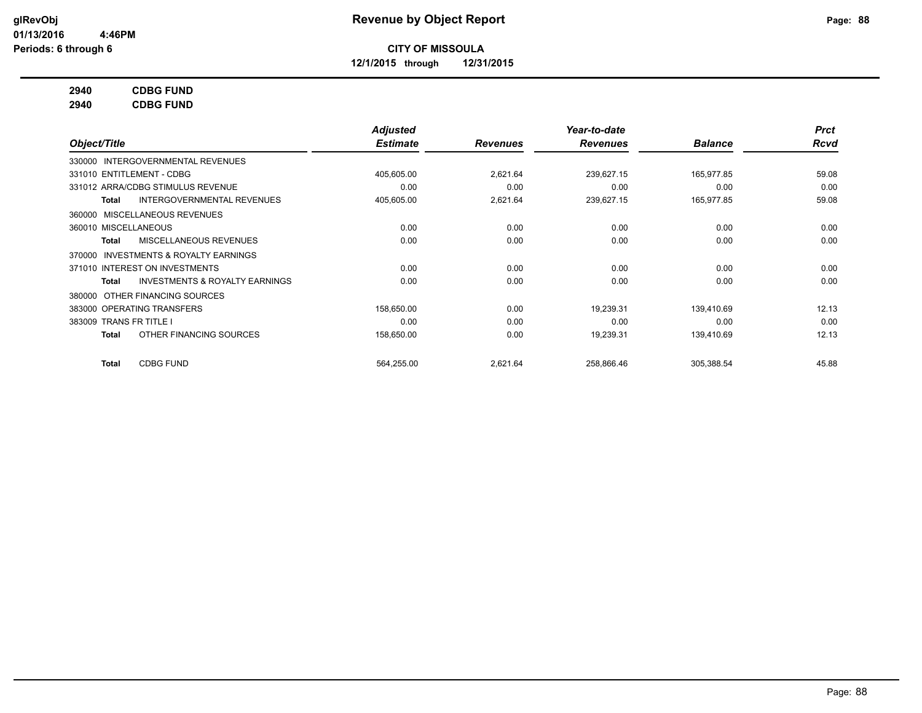**12/1/2015 through 12/31/2015**

## **2940 CDBG FUND**

**2940 CDBG FUND**

|                                                           | <b>Adjusted</b> |                 | Year-to-date    |                | <b>Prct</b> |
|-----------------------------------------------------------|-----------------|-----------------|-----------------|----------------|-------------|
| Object/Title                                              | <b>Estimate</b> | <b>Revenues</b> | <b>Revenues</b> | <b>Balance</b> | <b>Rcvd</b> |
| 330000 INTERGOVERNMENTAL REVENUES                         |                 |                 |                 |                |             |
| 331010 ENTITLEMENT - CDBG                                 | 405,605.00      | 2,621.64        | 239,627.15      | 165,977.85     | 59.08       |
| 331012 ARRA/CDBG STIMULUS REVENUE                         | 0.00            | 0.00            | 0.00            | 0.00           | 0.00        |
| <b>INTERGOVERNMENTAL REVENUES</b><br>Total                | 405,605.00      | 2,621.64        | 239,627.15      | 165,977.85     | 59.08       |
| MISCELLANEOUS REVENUES<br>360000                          |                 |                 |                 |                |             |
| 360010 MISCELLANEOUS                                      | 0.00            | 0.00            | 0.00            | 0.00           | 0.00        |
| MISCELLANEOUS REVENUES<br>Total                           | 0.00            | 0.00            | 0.00            | 0.00           | 0.00        |
| <b>INVESTMENTS &amp; ROYALTY EARNINGS</b><br>370000       |                 |                 |                 |                |             |
| 371010 INTEREST ON INVESTMENTS                            | 0.00            | 0.00            | 0.00            | 0.00           | 0.00        |
| <b>INVESTMENTS &amp; ROYALTY EARNINGS</b><br><b>Total</b> | 0.00            | 0.00            | 0.00            | 0.00           | 0.00        |
| OTHER FINANCING SOURCES<br>380000                         |                 |                 |                 |                |             |
| 383000 OPERATING TRANSFERS                                | 158,650.00      | 0.00            | 19,239.31       | 139.410.69     | 12.13       |
| 383009 TRANS FR TITLE I                                   | 0.00            | 0.00            | 0.00            | 0.00           | 0.00        |
| OTHER FINANCING SOURCES<br><b>Total</b>                   | 158,650.00      | 0.00            | 19,239.31       | 139,410.69     | 12.13       |
| <b>CDBG FUND</b><br><b>Total</b>                          | 564,255.00      | 2,621.64        | 258,866.46      | 305,388.54     | 45.88       |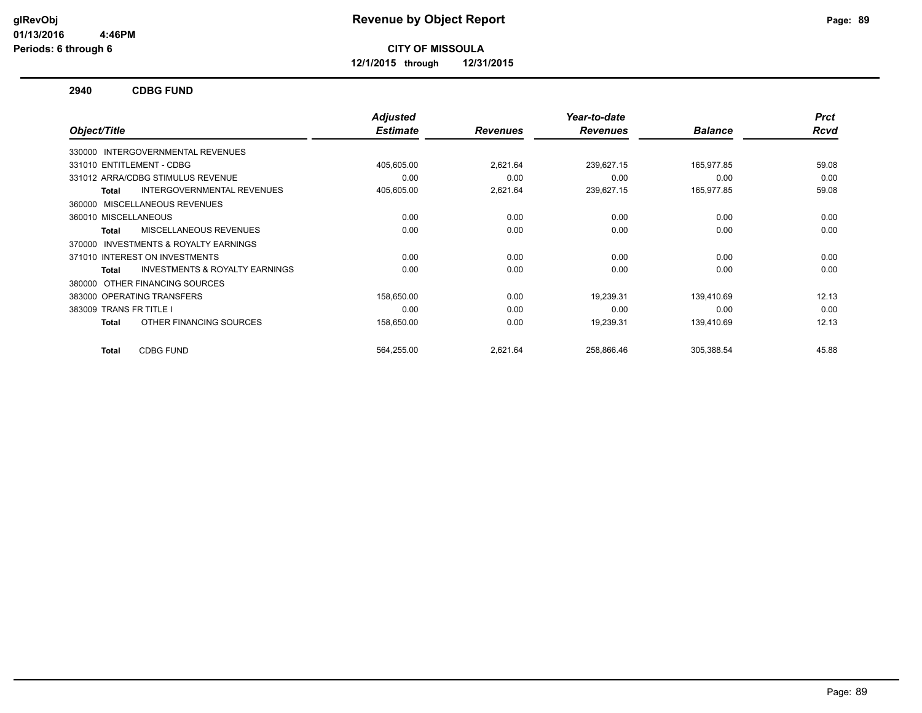**12/1/2015 through 12/31/2015**

#### **2940 CDBG FUND**

|                                                    | <b>Adjusted</b> |                 | Year-to-date    |                | <b>Prct</b> |
|----------------------------------------------------|-----------------|-----------------|-----------------|----------------|-------------|
| Object/Title                                       | <b>Estimate</b> | <b>Revenues</b> | <b>Revenues</b> | <b>Balance</b> | Rcvd        |
| 330000 INTERGOVERNMENTAL REVENUES                  |                 |                 |                 |                |             |
| 331010 ENTITLEMENT - CDBG                          | 405,605.00      | 2,621.64        | 239,627.15      | 165,977.85     | 59.08       |
| 331012 ARRA/CDBG STIMULUS REVENUE                  | 0.00            | 0.00            | 0.00            | 0.00           | 0.00        |
| <b>INTERGOVERNMENTAL REVENUES</b><br><b>Total</b>  | 405,605.00      | 2,621.64        | 239,627.15      | 165,977.85     | 59.08       |
| MISCELLANEOUS REVENUES<br>360000                   |                 |                 |                 |                |             |
| 360010 MISCELLANEOUS                               | 0.00            | 0.00            | 0.00            | 0.00           | 0.00        |
| MISCELLANEOUS REVENUES<br><b>Total</b>             | 0.00            | 0.00            | 0.00            | 0.00           | 0.00        |
| INVESTMENTS & ROYALTY EARNINGS<br>370000           |                 |                 |                 |                |             |
| 371010 INTEREST ON INVESTMENTS                     | 0.00            | 0.00            | 0.00            | 0.00           | 0.00        |
| <b>INVESTMENTS &amp; ROYALTY EARNINGS</b><br>Total | 0.00            | 0.00            | 0.00            | 0.00           | 0.00        |
| OTHER FINANCING SOURCES<br>380000                  |                 |                 |                 |                |             |
| 383000 OPERATING TRANSFERS                         | 158,650.00      | 0.00            | 19,239.31       | 139,410.69     | 12.13       |
| 383009 TRANS FR TITLE I                            | 0.00            | 0.00            | 0.00            | 0.00           | 0.00        |
| OTHER FINANCING SOURCES<br><b>Total</b>            | 158,650.00      | 0.00            | 19,239.31       | 139,410.69     | 12.13       |
| <b>CDBG FUND</b><br>Total                          | 564,255.00      | 2,621.64        | 258,866.46      | 305,388.54     | 45.88       |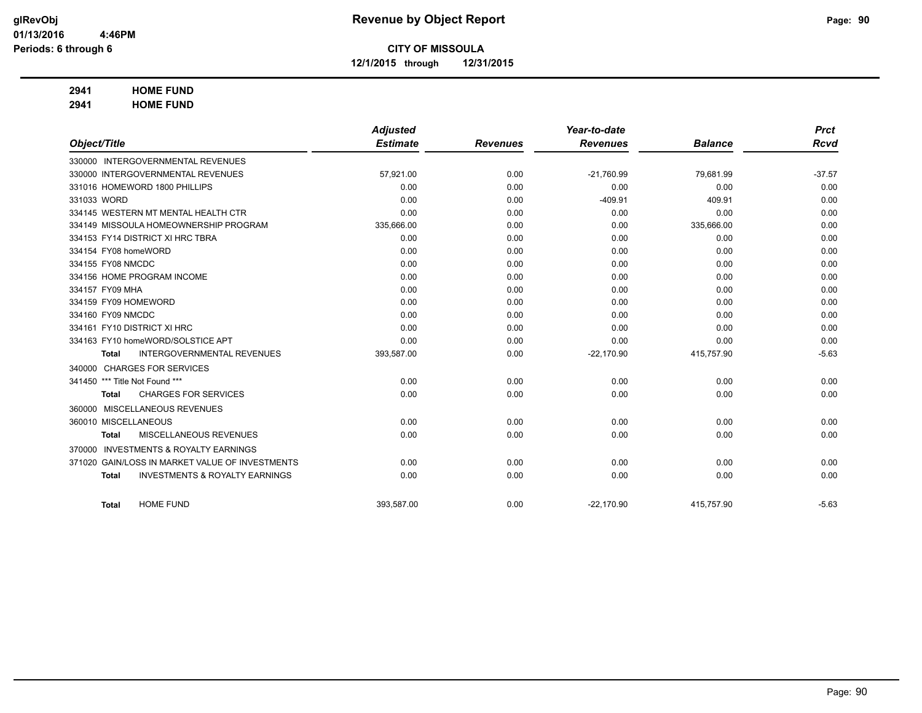**12/1/2015 through 12/31/2015**

## **2941 HOME FUND**

**2941 HOME FUND**

|                                |                                                 | <b>Adjusted</b> |                 | Year-to-date    |                | <b>Prct</b> |
|--------------------------------|-------------------------------------------------|-----------------|-----------------|-----------------|----------------|-------------|
| Object/Title                   |                                                 | <b>Estimate</b> | <b>Revenues</b> | <b>Revenues</b> | <b>Balance</b> | <b>Rcvd</b> |
|                                | 330000 INTERGOVERNMENTAL REVENUES               |                 |                 |                 |                |             |
|                                | 330000 INTERGOVERNMENTAL REVENUES               | 57,921.00       | 0.00            | $-21,760.99$    | 79,681.99      | $-37.57$    |
|                                | 331016 HOMEWORD 1800 PHILLIPS                   | 0.00            | 0.00            | 0.00            | 0.00           | 0.00        |
| 331033 WORD                    |                                                 | 0.00            | 0.00            | $-409.91$       | 409.91         | 0.00        |
|                                | 334145 WESTERN MT MENTAL HEALTH CTR             | 0.00            | 0.00            | 0.00            | 0.00           | 0.00        |
|                                | 334149 MISSOULA HOMEOWNERSHIP PROGRAM           | 335,666.00      | 0.00            | 0.00            | 335,666.00     | 0.00        |
|                                | 334153 FY14 DISTRICT XI HRC TBRA                | 0.00            | 0.00            | 0.00            | 0.00           | 0.00        |
| 334154 FY08 homeWORD           |                                                 | 0.00            | 0.00            | 0.00            | 0.00           | 0.00        |
| 334155 FY08 NMCDC              |                                                 | 0.00            | 0.00            | 0.00            | 0.00           | 0.00        |
|                                | 334156 HOME PROGRAM INCOME                      | 0.00            | 0.00            | 0.00            | 0.00           | 0.00        |
| 334157 FY09 MHA                |                                                 | 0.00            | 0.00            | 0.00            | 0.00           | 0.00        |
| 334159 FY09 HOMEWORD           |                                                 | 0.00            | 0.00            | 0.00            | 0.00           | 0.00        |
| 334160 FY09 NMCDC              |                                                 | 0.00            | 0.00            | 0.00            | 0.00           | 0.00        |
|                                | 334161 FY10 DISTRICT XI HRC                     | 0.00            | 0.00            | 0.00            | 0.00           | 0.00        |
|                                | 334163 FY10 homeWORD/SOLSTICE APT               | 0.00            | 0.00            | 0.00            | 0.00           | 0.00        |
| <b>Total</b>                   | <b>INTERGOVERNMENTAL REVENUES</b>               | 393,587.00      | 0.00            | $-22,170.90$    | 415,757.90     | $-5.63$     |
|                                | 340000 CHARGES FOR SERVICES                     |                 |                 |                 |                |             |
| 341450 *** Title Not Found *** |                                                 | 0.00            | 0.00            | 0.00            | 0.00           | 0.00        |
| <b>Total</b>                   | <b>CHARGES FOR SERVICES</b>                     | 0.00            | 0.00            | 0.00            | 0.00           | 0.00        |
|                                | 360000 MISCELLANEOUS REVENUES                   |                 |                 |                 |                |             |
| 360010 MISCELLANEOUS           |                                                 | 0.00            | 0.00            | 0.00            | 0.00           | 0.00        |
| <b>Total</b>                   | MISCELLANEOUS REVENUES                          | 0.00            | 0.00            | 0.00            | 0.00           | 0.00        |
| 370000                         | <b>INVESTMENTS &amp; ROYALTY EARNINGS</b>       |                 |                 |                 |                |             |
|                                | 371020 GAIN/LOSS IN MARKET VALUE OF INVESTMENTS | 0.00            | 0.00            | 0.00            | 0.00           | 0.00        |
| <b>Total</b>                   | <b>INVESTMENTS &amp; ROYALTY EARNINGS</b>       | 0.00            | 0.00            | 0.00            | 0.00           | 0.00        |
|                                |                                                 |                 |                 |                 |                |             |
| <b>Total</b>                   | <b>HOME FUND</b>                                | 393,587.00      | 0.00            | $-22,170.90$    | 415,757.90     | $-5.63$     |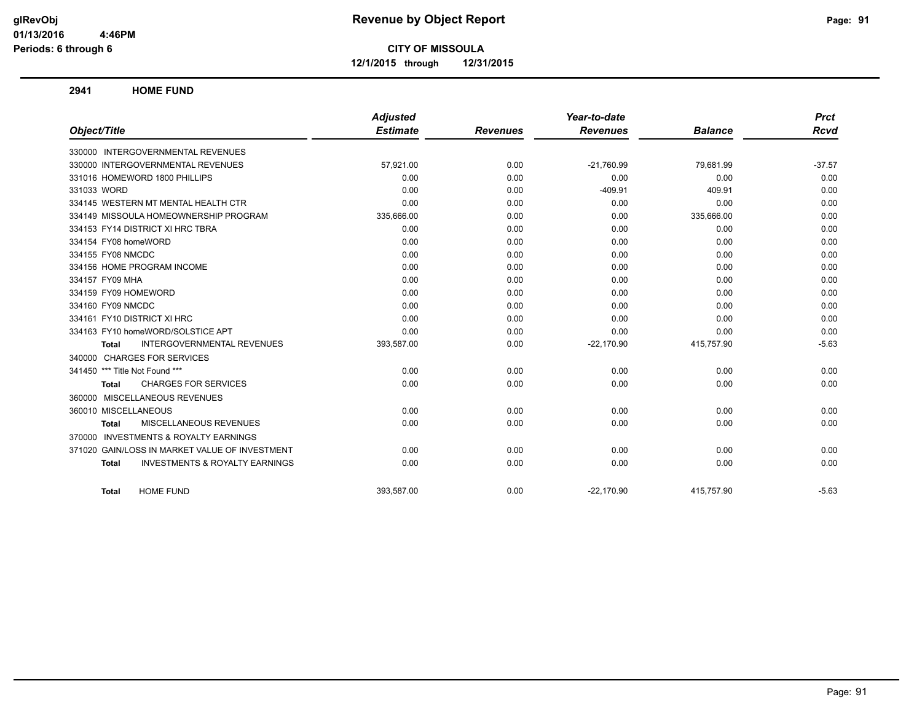**12/1/2015 through 12/31/2015**

#### **2941 HOME FUND**

|                                                           | <b>Adjusted</b> |                 | Year-to-date    |                | <b>Prct</b> |
|-----------------------------------------------------------|-----------------|-----------------|-----------------|----------------|-------------|
| Object/Title                                              | <b>Estimate</b> | <b>Revenues</b> | <b>Revenues</b> | <b>Balance</b> | <b>Rcvd</b> |
| 330000 INTERGOVERNMENTAL REVENUES                         |                 |                 |                 |                |             |
| 330000 INTERGOVERNMENTAL REVENUES                         | 57,921.00       | 0.00            | $-21,760.99$    | 79,681.99      | $-37.57$    |
| 331016 HOMEWORD 1800 PHILLIPS                             | 0.00            | 0.00            | 0.00            | 0.00           | 0.00        |
| 331033 WORD                                               | 0.00            | 0.00            | $-409.91$       | 409.91         | 0.00        |
| 334145 WESTERN MT MENTAL HEALTH CTR                       | 0.00            | 0.00            | 0.00            | 0.00           | 0.00        |
| 334149 MISSOULA HOMEOWNERSHIP PROGRAM                     | 335,666.00      | 0.00            | 0.00            | 335,666.00     | 0.00        |
| 334153 FY14 DISTRICT XI HRC TBRA                          | 0.00            | 0.00            | 0.00            | 0.00           | 0.00        |
| 334154 FY08 homeWORD                                      | 0.00            | 0.00            | 0.00            | 0.00           | 0.00        |
| 334155 FY08 NMCDC                                         | 0.00            | 0.00            | 0.00            | 0.00           | 0.00        |
| 334156 HOME PROGRAM INCOME                                | 0.00            | 0.00            | 0.00            | 0.00           | 0.00        |
| 334157 FY09 MHA                                           | 0.00            | 0.00            | 0.00            | 0.00           | 0.00        |
| 334159 FY09 HOMEWORD                                      | 0.00            | 0.00            | 0.00            | 0.00           | 0.00        |
| 334160 FY09 NMCDC                                         | 0.00            | 0.00            | 0.00            | 0.00           | 0.00        |
| 334161 FY10 DISTRICT XI HRC                               | 0.00            | 0.00            | 0.00            | 0.00           | 0.00        |
| 334163 FY10 homeWORD/SOLSTICE APT                         | 0.00            | 0.00            | 0.00            | 0.00           | 0.00        |
| <b>INTERGOVERNMENTAL REVENUES</b><br><b>Total</b>         | 393,587.00      | 0.00            | $-22,170.90$    | 415,757.90     | $-5.63$     |
| 340000 CHARGES FOR SERVICES                               |                 |                 |                 |                |             |
| 341450 *** Title Not Found ***                            | 0.00            | 0.00            | 0.00            | 0.00           | 0.00        |
| <b>CHARGES FOR SERVICES</b><br>Total                      | 0.00            | 0.00            | 0.00            | 0.00           | 0.00        |
| 360000 MISCELLANEOUS REVENUES                             |                 |                 |                 |                |             |
| 360010 MISCELLANEOUS                                      | 0.00            | 0.00            | 0.00            | 0.00           | 0.00        |
| MISCELLANEOUS REVENUES<br><b>Total</b>                    | 0.00            | 0.00            | 0.00            | 0.00           | 0.00        |
| 370000 INVESTMENTS & ROYALTY EARNINGS                     |                 |                 |                 |                |             |
| 371020 GAIN/LOSS IN MARKET VALUE OF INVESTMENT            | 0.00            | 0.00            | 0.00            | 0.00           | 0.00        |
| <b>INVESTMENTS &amp; ROYALTY EARNINGS</b><br><b>Total</b> | 0.00            | 0.00            | 0.00            | 0.00           | 0.00        |
| <b>HOME FUND</b><br><b>Total</b>                          | 393,587.00      | 0.00            | $-22,170.90$    | 415,757.90     | $-5.63$     |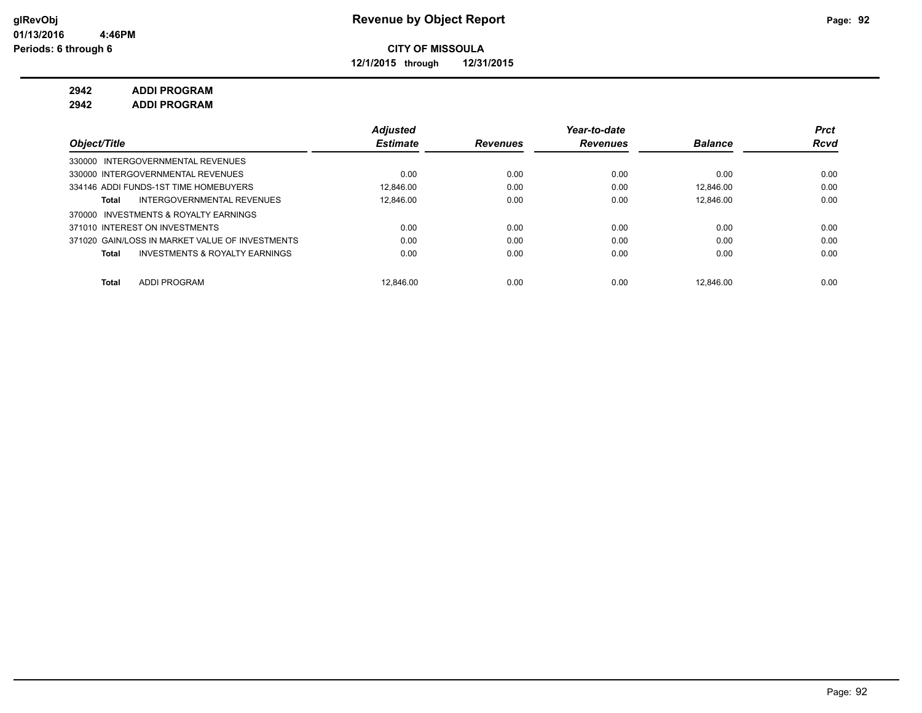**12/1/2015 through 12/31/2015**

## **2942 ADDI PROGRAM**

**2942 ADDI PROGRAM**

|                                                    | <b>Adjusted</b> |                 | Year-to-date    |                | Prct        |
|----------------------------------------------------|-----------------|-----------------|-----------------|----------------|-------------|
| Object/Title                                       | <b>Estimate</b> | <b>Revenues</b> | <b>Revenues</b> | <b>Balance</b> | <b>Rcvd</b> |
| 330000 INTERGOVERNMENTAL REVENUES                  |                 |                 |                 |                |             |
| 330000 INTERGOVERNMENTAL REVENUES                  | 0.00            | 0.00            | 0.00            | 0.00           | 0.00        |
| 334146 ADDI FUNDS-1ST TIME HOMEBUYERS              | 12.846.00       | 0.00            | 0.00            | 12.846.00      | 0.00        |
| INTERGOVERNMENTAL REVENUES<br>Total                | 12.846.00       | 0.00            | 0.00            | 12.846.00      | 0.00        |
| INVESTMENTS & ROYALTY EARNINGS<br>370000           |                 |                 |                 |                |             |
| 371010 INTEREST ON INVESTMENTS                     | 0.00            | 0.00            | 0.00            | 0.00           | 0.00        |
| 371020 GAIN/LOSS IN MARKET VALUE OF INVESTMENTS    | 0.00            | 0.00            | 0.00            | 0.00           | 0.00        |
| <b>INVESTMENTS &amp; ROYALTY EARNINGS</b><br>Total | 0.00            | 0.00            | 0.00            | 0.00           | 0.00        |
|                                                    |                 |                 |                 |                |             |
| <b>ADDI PROGRAM</b><br>Total                       | 12.846.00       | 0.00            | 0.00            | 12.846.00      | 0.00        |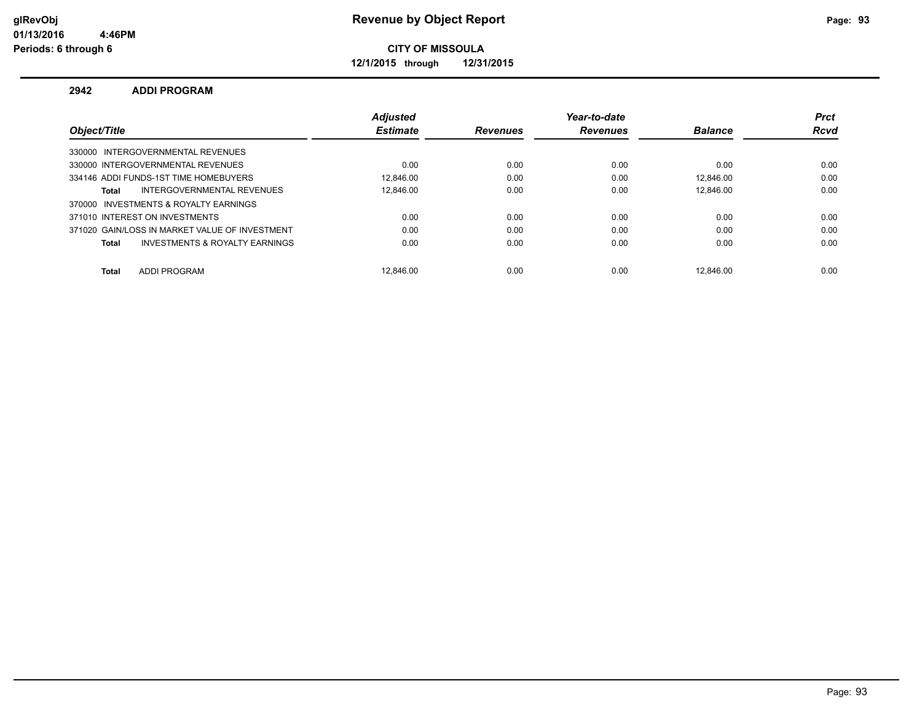**12/1/2015 through 12/31/2015**

#### **2942 ADDI PROGRAM**

|                                                | <b>Adjusted</b> |                 | Year-to-date    |                | <b>Prct</b> |
|------------------------------------------------|-----------------|-----------------|-----------------|----------------|-------------|
| Object/Title                                   | <b>Estimate</b> | <b>Revenues</b> | <b>Revenues</b> | <b>Balance</b> | <b>Rcvd</b> |
| 330000 INTERGOVERNMENTAL REVENUES              |                 |                 |                 |                |             |
| 330000 INTERGOVERNMENTAL REVENUES              | 0.00            | 0.00            | 0.00            | 0.00           | 0.00        |
| 334146 ADDI FUNDS-1ST TIME HOMEBUYERS          | 12.846.00       | 0.00            | 0.00            | 12.846.00      | 0.00        |
| INTERGOVERNMENTAL REVENUES<br>Total            | 12.846.00       | 0.00            | 0.00            | 12.846.00      | 0.00        |
| 370000 INVESTMENTS & ROYALTY EARNINGS          |                 |                 |                 |                |             |
| 371010 INTEREST ON INVESTMENTS                 | 0.00            | 0.00            | 0.00            | 0.00           | 0.00        |
| 371020 GAIN/LOSS IN MARKET VALUE OF INVESTMENT | 0.00            | 0.00            | 0.00            | 0.00           | 0.00        |
| INVESTMENTS & ROYALTY EARNINGS<br>Total        | 0.00            | 0.00            | 0.00            | 0.00           | 0.00        |
|                                                |                 |                 |                 |                |             |
| ADDI PROGRAM<br>Total                          | 12.846.00       | 0.00            | 0.00            | 12.846.00      | 0.00        |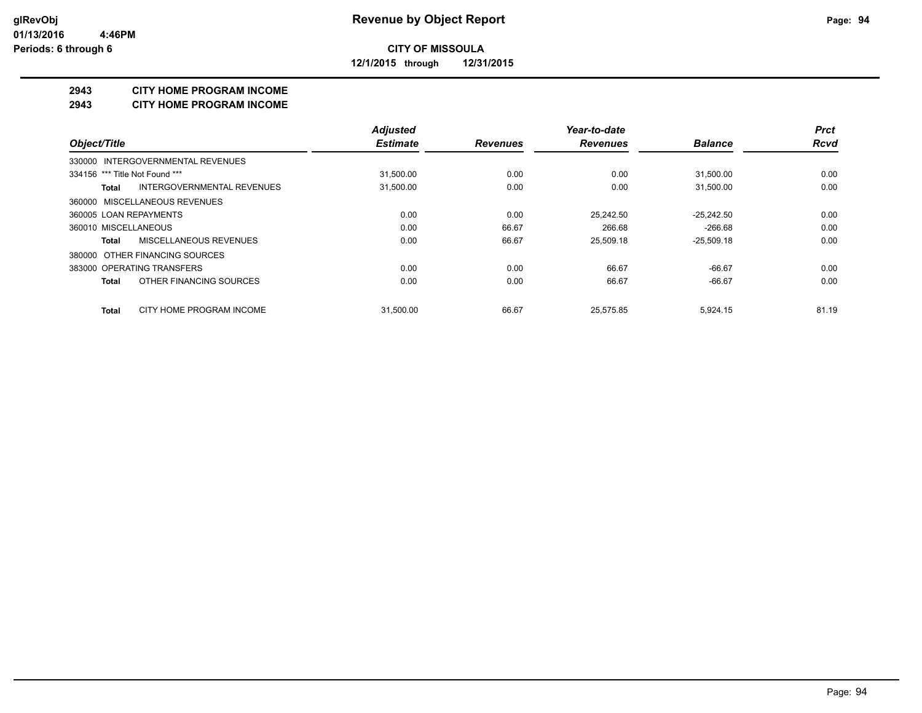**12/1/2015 through 12/31/2015**

#### **2943 CITY HOME PROGRAM INCOME**

#### **2943 CITY HOME PROGRAM INCOME**

|                                          | <b>Adjusted</b> |                 | Year-to-date    |                | <b>Prct</b> |
|------------------------------------------|-----------------|-----------------|-----------------|----------------|-------------|
| Object/Title                             | <b>Estimate</b> | <b>Revenues</b> | <b>Revenues</b> | <b>Balance</b> | <b>Rcvd</b> |
| 330000 INTERGOVERNMENTAL REVENUES        |                 |                 |                 |                |             |
| 334156 *** Title Not Found ***           | 31,500.00       | 0.00            | 0.00            | 31,500.00      | 0.00        |
| INTERGOVERNMENTAL REVENUES<br>Total      | 31,500.00       | 0.00            | 0.00            | 31,500.00      | 0.00        |
| 360000 MISCELLANEOUS REVENUES            |                 |                 |                 |                |             |
| 360005 LOAN REPAYMENTS                   | 0.00            | 0.00            | 25.242.50       | $-25.242.50$   | 0.00        |
| 360010 MISCELLANEOUS                     | 0.00            | 66.67           | 266.68          | $-266.68$      | 0.00        |
| MISCELLANEOUS REVENUES<br>Total          | 0.00            | 66.67           | 25.509.18       | $-25,509.18$   | 0.00        |
| 380000 OTHER FINANCING SOURCES           |                 |                 |                 |                |             |
| 383000 OPERATING TRANSFERS               | 0.00            | 0.00            | 66.67           | $-66.67$       | 0.00        |
| OTHER FINANCING SOURCES<br>Total         | 0.00            | 0.00            | 66.67           | $-66.67$       | 0.00        |
| CITY HOME PROGRAM INCOME<br><b>Total</b> | 31.500.00       | 66.67           | 25.575.85       | 5.924.15       | 81.19       |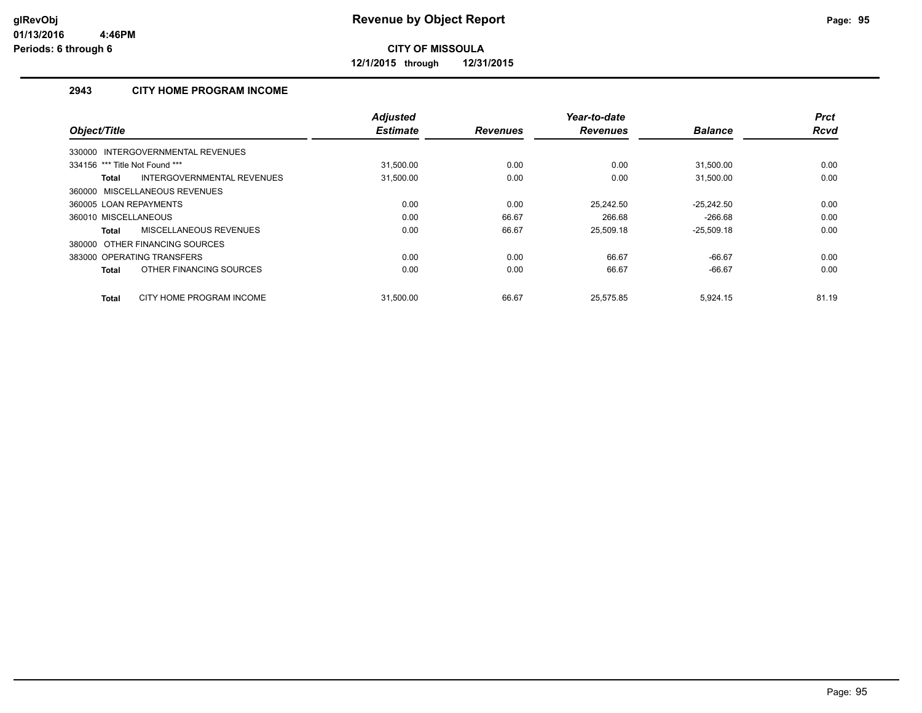**12/1/2015 through 12/31/2015**

## **2943 CITY HOME PROGRAM INCOME**

|                                            | <b>Adjusted</b> |                 | Year-to-date    |                | <b>Prct</b> |
|--------------------------------------------|-----------------|-----------------|-----------------|----------------|-------------|
| Object/Title                               | <b>Estimate</b> | <b>Revenues</b> | <b>Revenues</b> | <b>Balance</b> | <b>Rcvd</b> |
| 330000 INTERGOVERNMENTAL REVENUES          |                 |                 |                 |                |             |
| 334156 *** Title Not Found ***             | 31,500.00       | 0.00            | 0.00            | 31,500.00      | 0.00        |
| INTERGOVERNMENTAL REVENUES<br><b>Total</b> | 31,500.00       | 0.00            | 0.00            | 31,500.00      | 0.00        |
| 360000 MISCELLANEOUS REVENUES              |                 |                 |                 |                |             |
| 360005 LOAN REPAYMENTS                     | 0.00            | 0.00            | 25.242.50       | $-25,242.50$   | 0.00        |
| 360010 MISCELLANEOUS                       | 0.00            | 66.67           | 266.68          | $-266.68$      | 0.00        |
| MISCELLANEOUS REVENUES<br><b>Total</b>     | 0.00            | 66.67           | 25.509.18       | $-25,509.18$   | 0.00        |
| 380000 OTHER FINANCING SOURCES             |                 |                 |                 |                |             |
| 383000 OPERATING TRANSFERS                 | 0.00            | 0.00            | 66.67           | $-66.67$       | 0.00        |
| OTHER FINANCING SOURCES<br><b>Total</b>    | 0.00            | 0.00            | 66.67           | $-66.67$       | 0.00        |
| CITY HOME PROGRAM INCOME<br><b>Total</b>   | 31.500.00       | 66.67           | 25.575.85       | 5.924.15       | 81.19       |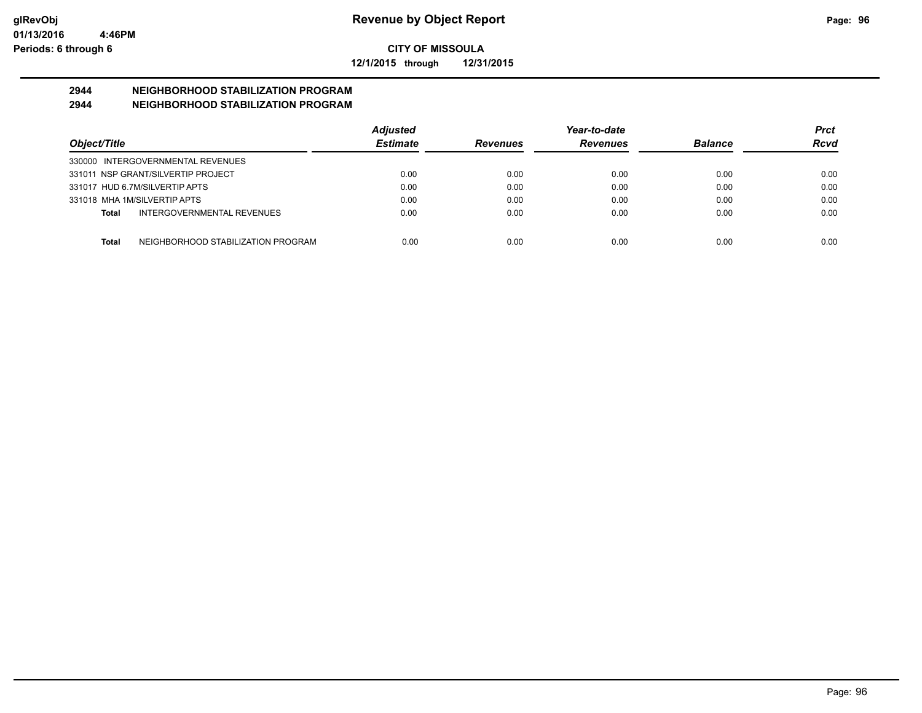**12/1/2015 through 12/31/2015**

# **2944 NEIGHBORHOOD STABILIZATION PROGRAM**

## **2944 NEIGHBORHOOD STABILIZATION PROGRAM**

|                                                    | <b>Adjusted</b> |                 | Year-to-date    |                | Prct |
|----------------------------------------------------|-----------------|-----------------|-----------------|----------------|------|
| Object/Title                                       | <b>Estimate</b> | <b>Revenues</b> | <b>Revenues</b> | <b>Balance</b> | Rcvd |
| 330000 INTERGOVERNMENTAL REVENUES                  |                 |                 |                 |                |      |
| 331011 NSP GRANT/SILVERTIP PROJECT                 | 0.00            | 0.00            | 0.00            | 0.00           | 0.00 |
| 331017 HUD 6.7M/SILVERTIP APTS                     | 0.00            | 0.00            | 0.00            | 0.00           | 0.00 |
| 331018 MHA 1M/SILVERTIP APTS                       | 0.00            | 0.00            | 0.00            | 0.00           | 0.00 |
| INTERGOVERNMENTAL REVENUES<br>Total                | 0.00            | 0.00            | 0.00            | 0.00           | 0.00 |
|                                                    |                 |                 |                 |                |      |
| NEIGHBORHOOD STABILIZATION PROGRAM<br><b>Total</b> | 0.00            | 0.00            | 0.00            | 0.00           | 0.00 |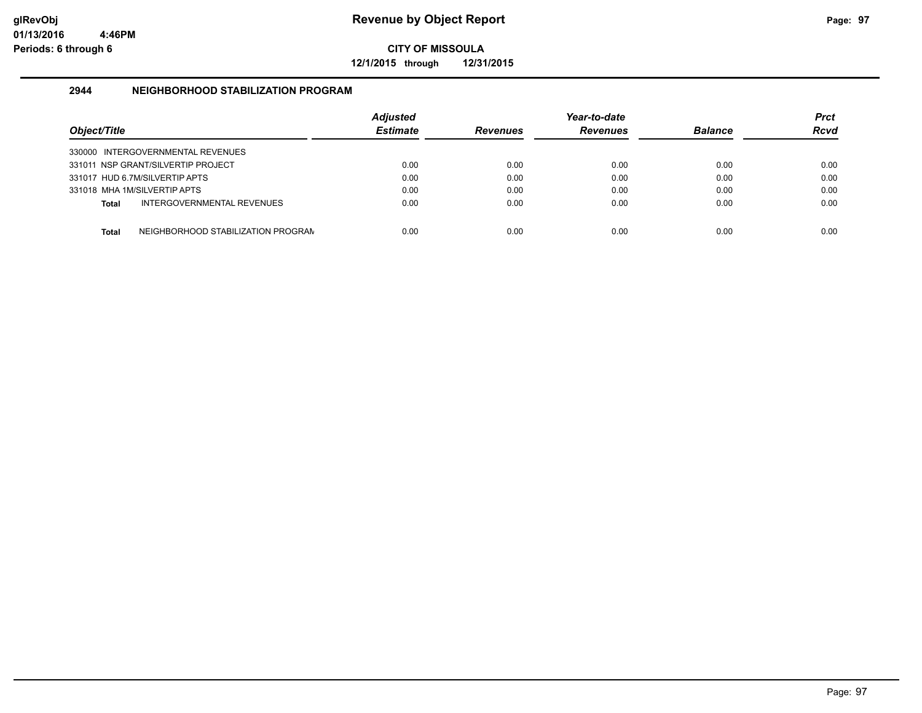**12/1/2015 through 12/31/2015**

#### **2944 NEIGHBORHOOD STABILIZATION PROGRAM**

| Object/Title |                                    | <b>Adjusted</b><br><b>Estimate</b> | <b>Revenues</b> | Year-to-date<br><b>Revenues</b> | <b>Balance</b> | Prct<br><b>Rcvd</b> |
|--------------|------------------------------------|------------------------------------|-----------------|---------------------------------|----------------|---------------------|
|              | 330000 INTERGOVERNMENTAL REVENUES  |                                    |                 |                                 |                |                     |
|              | 331011 NSP GRANT/SILVERTIP PROJECT | 0.00                               | 0.00            | 0.00                            | 0.00           | 0.00                |
|              | 331017 HUD 6.7M/SILVERTIP APTS     | 0.00                               | 0.00            | 0.00                            | 0.00           | 0.00                |
|              | 331018 MHA 1M/SILVERTIP APTS       | 0.00                               | 0.00            | 0.00                            | 0.00           | 0.00                |
| Total        | INTERGOVERNMENTAL REVENUES         | 0.00                               | 0.00            | 0.00                            | 0.00           | 0.00                |
| Total        | NEIGHBORHOOD STABILIZATION PROGRAN | 0.00                               | 0.00            | 0.00                            | 0.00           | 0.00                |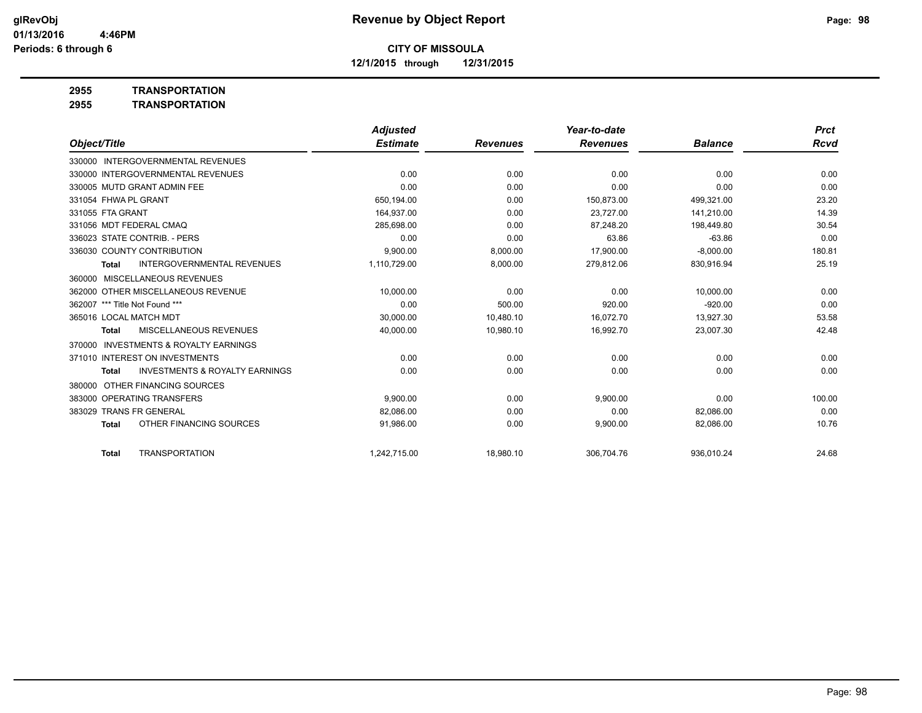**12/1/2015 through 12/31/2015**

**2955 TRANSPORTATION**

**2955 TRANSPORTATION**

|                                |                                           | <b>Adjusted</b> |                 | Year-to-date    |                | <b>Prct</b> |
|--------------------------------|-------------------------------------------|-----------------|-----------------|-----------------|----------------|-------------|
| Object/Title                   |                                           | <b>Estimate</b> | <b>Revenues</b> | <b>Revenues</b> | <b>Balance</b> | <b>Rcvd</b> |
|                                | 330000 INTERGOVERNMENTAL REVENUES         |                 |                 |                 |                |             |
|                                | 330000 INTERGOVERNMENTAL REVENUES         | 0.00            | 0.00            | 0.00            | 0.00           | 0.00        |
|                                | 330005 MUTD GRANT ADMIN FEE               | 0.00            | 0.00            | 0.00            | 0.00           | 0.00        |
| 331054 FHWA PL GRANT           |                                           | 650,194.00      | 0.00            | 150.873.00      | 499,321.00     | 23.20       |
| 331055 FTA GRANT               |                                           | 164,937.00      | 0.00            | 23,727.00       | 141,210.00     | 14.39       |
| 331056 MDT FEDERAL CMAO        |                                           | 285.698.00      | 0.00            | 87.248.20       | 198.449.80     | 30.54       |
|                                | 336023 STATE CONTRIB. - PERS              | 0.00            | 0.00            | 63.86           | $-63.86$       | 0.00        |
|                                | 336030 COUNTY CONTRIBUTION                | 9,900.00        | 8,000.00        | 17,900.00       | $-8,000.00$    | 180.81      |
| <b>Total</b>                   | <b>INTERGOVERNMENTAL REVENUES</b>         | 1,110,729.00    | 8,000.00        | 279,812.06      | 830,916.94     | 25.19       |
| 360000                         | <b>MISCELLANEOUS REVENUES</b>             |                 |                 |                 |                |             |
|                                | 362000 OTHER MISCELLANEOUS REVENUE        | 10.000.00       | 0.00            | 0.00            | 10,000.00      | 0.00        |
| 362007 *** Title Not Found *** |                                           | 0.00            | 500.00          | 920.00          | $-920.00$      | 0.00        |
| 365016 LOCAL MATCH MDT         |                                           | 30,000.00       | 10,480.10       | 16.072.70       | 13,927.30      | 53.58       |
| <b>Total</b>                   | <b>MISCELLANEOUS REVENUES</b>             | 40,000.00       | 10,980.10       | 16,992.70       | 23,007.30      | 42.48       |
| 370000                         | <b>INVESTMENTS &amp; ROYALTY EARNINGS</b> |                 |                 |                 |                |             |
|                                | 371010 INTEREST ON INVESTMENTS            | 0.00            | 0.00            | 0.00            | 0.00           | 0.00        |
| <b>Total</b>                   | <b>INVESTMENTS &amp; ROYALTY EARNINGS</b> | 0.00            | 0.00            | 0.00            | 0.00           | 0.00        |
| 380000                         | OTHER FINANCING SOURCES                   |                 |                 |                 |                |             |
|                                | 383000 OPERATING TRANSFERS                | 9.900.00        | 0.00            | 9,900.00        | 0.00           | 100.00      |
| 383029                         | <b>TRANS FR GENERAL</b>                   | 82,086.00       | 0.00            | 0.00            | 82,086.00      | 0.00        |
| <b>Total</b>                   | OTHER FINANCING SOURCES                   | 91,986.00       | 0.00            | 9,900.00        | 82,086.00      | 10.76       |
| <b>Total</b>                   | <b>TRANSPORTATION</b>                     | 1,242,715.00    | 18,980.10       | 306.704.76      | 936,010.24     | 24.68       |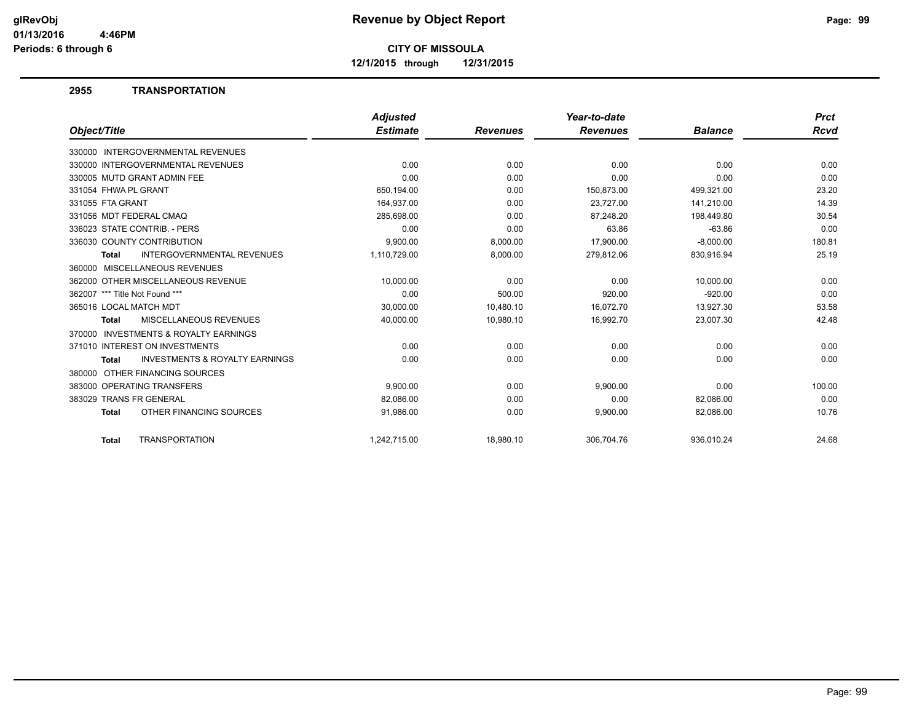**12/1/2015 through 12/31/2015**

#### **2955 TRANSPORTATION**

|                                                           | <b>Adjusted</b> |                 | Year-to-date    |                | <b>Prct</b> |
|-----------------------------------------------------------|-----------------|-----------------|-----------------|----------------|-------------|
| Object/Title                                              | <b>Estimate</b> | <b>Revenues</b> | <b>Revenues</b> | <b>Balance</b> | Rcvd        |
| 330000 INTERGOVERNMENTAL REVENUES                         |                 |                 |                 |                |             |
| 330000 INTERGOVERNMENTAL REVENUES                         | 0.00            | 0.00            | 0.00            | 0.00           | 0.00        |
| 330005 MUTD GRANT ADMIN FEE                               | 0.00            | 0.00            | 0.00            | 0.00           | 0.00        |
| 331054 FHWA PL GRANT                                      | 650,194.00      | 0.00            | 150.873.00      | 499,321.00     | 23.20       |
| 331055 FTA GRANT                                          | 164,937.00      | 0.00            | 23,727.00       | 141,210.00     | 14.39       |
| 331056 MDT FEDERAL CMAQ                                   | 285,698.00      | 0.00            | 87,248.20       | 198,449.80     | 30.54       |
| 336023 STATE CONTRIB. - PERS                              | 0.00            | 0.00            | 63.86           | $-63.86$       | 0.00        |
| 336030 COUNTY CONTRIBUTION                                | 9,900.00        | 8,000.00        | 17,900.00       | $-8,000.00$    | 180.81      |
| <b>INTERGOVERNMENTAL REVENUES</b><br><b>Total</b>         | 1,110,729.00    | 8,000.00        | 279,812.06      | 830,916.94     | 25.19       |
| 360000 MISCELLANEOUS REVENUES                             |                 |                 |                 |                |             |
| 362000 OTHER MISCELLANEOUS REVENUE                        | 10,000.00       | 0.00            | 0.00            | 10,000.00      | 0.00        |
| 362007 *** Title Not Found ***                            | 0.00            | 500.00          | 920.00          | $-920.00$      | 0.00        |
| 365016 LOCAL MATCH MDT                                    | 30,000.00       | 10,480.10       | 16,072.70       | 13,927.30      | 53.58       |
| <b>MISCELLANEOUS REVENUES</b><br><b>Total</b>             | 40,000.00       | 10,980.10       | 16,992.70       | 23,007.30      | 42.48       |
| <b>INVESTMENTS &amp; ROYALTY EARNINGS</b><br>370000       |                 |                 |                 |                |             |
| 371010 INTEREST ON INVESTMENTS                            | 0.00            | 0.00            | 0.00            | 0.00           | 0.00        |
| <b>INVESTMENTS &amp; ROYALTY EARNINGS</b><br><b>Total</b> | 0.00            | 0.00            | 0.00            | 0.00           | 0.00        |
| OTHER FINANCING SOURCES<br>380000                         |                 |                 |                 |                |             |
| 383000 OPERATING TRANSFERS                                | 9,900.00        | 0.00            | 9,900.00        | 0.00           | 100.00      |
| 383029 TRANS FR GENERAL                                   | 82,086.00       | 0.00            | 0.00            | 82.086.00      | 0.00        |
| OTHER FINANCING SOURCES<br><b>Total</b>                   | 91,986.00       | 0.00            | 9,900.00        | 82,086.00      | 10.76       |
| <b>TRANSPORTATION</b><br><b>Total</b>                     | 1.242.715.00    | 18.980.10       | 306.704.76      | 936.010.24     | 24.68       |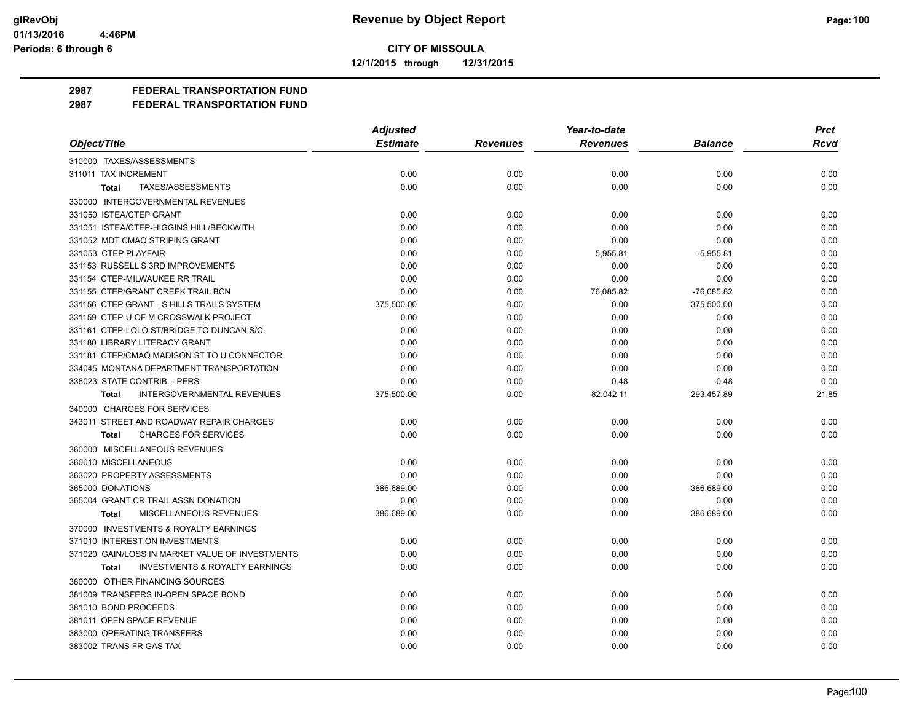**12/1/2015 through 12/31/2015**

## **2987 FEDERAL TRANSPORTATION FUND**

|                                                           | <b>Adjusted</b> |                 | Year-to-date    |                | <b>Prct</b> |
|-----------------------------------------------------------|-----------------|-----------------|-----------------|----------------|-------------|
| Object/Title                                              | <b>Estimate</b> | <b>Revenues</b> | <b>Revenues</b> | <b>Balance</b> | <b>Rcvd</b> |
| 310000 TAXES/ASSESSMENTS                                  |                 |                 |                 |                |             |
| 311011 TAX INCREMENT                                      | 0.00            | 0.00            | 0.00            | 0.00           | 0.00        |
| TAXES/ASSESSMENTS<br>Total                                | 0.00            | 0.00            | 0.00            | 0.00           | 0.00        |
| 330000 INTERGOVERNMENTAL REVENUES                         |                 |                 |                 |                |             |
| 331050 ISTEA/CTEP GRANT                                   | 0.00            | 0.00            | 0.00            | 0.00           | 0.00        |
| 331051 ISTEA/CTEP-HIGGINS HILL/BECKWITH                   | 0.00            | 0.00            | 0.00            | 0.00           | 0.00        |
| 331052 MDT CMAQ STRIPING GRANT                            | 0.00            | 0.00            | 0.00            | 0.00           | 0.00        |
| 331053 CTEP PLAYFAIR                                      | 0.00            | 0.00            | 5,955.81        | $-5,955.81$    | 0.00        |
| 331153 RUSSELL S 3RD IMPROVEMENTS                         | 0.00            | 0.00            | 0.00            | 0.00           | 0.00        |
| 331154 CTEP-MILWAUKEE RR TRAIL                            | 0.00            | 0.00            | 0.00            | 0.00           | 0.00        |
| 331155 CTEP/GRANT CREEK TRAIL BCN                         | 0.00            | 0.00            | 76,085.82       | $-76,085.82$   | 0.00        |
| 331156 CTEP GRANT - S HILLS TRAILS SYSTEM                 | 375,500.00      | 0.00            | 0.00            | 375,500.00     | 0.00        |
| 331159 CTEP-U OF M CROSSWALK PROJECT                      | 0.00            | 0.00            | 0.00            | 0.00           | 0.00        |
| 331161 CTEP-LOLO ST/BRIDGE TO DUNCAN S/C                  | 0.00            | 0.00            | 0.00            | 0.00           | 0.00        |
| 331180 LIBRARY LITERACY GRANT                             | 0.00            | 0.00            | 0.00            | 0.00           | 0.00        |
| 331181 CTEP/CMAQ MADISON ST TO U CONNECTOR                | 0.00            | 0.00            | 0.00            | 0.00           | 0.00        |
| 334045 MONTANA DEPARTMENT TRANSPORTATION                  | 0.00            | 0.00            | 0.00            | 0.00           | 0.00        |
| 336023 STATE CONTRIB. - PERS                              | 0.00            | 0.00            | 0.48            | $-0.48$        | 0.00        |
| <b>INTERGOVERNMENTAL REVENUES</b><br><b>Total</b>         | 375,500.00      | 0.00            | 82,042.11       | 293,457.89     | 21.85       |
| 340000 CHARGES FOR SERVICES                               |                 |                 |                 |                |             |
| 343011 STREET AND ROADWAY REPAIR CHARGES                  | 0.00            | 0.00            | 0.00            | 0.00           | 0.00        |
| <b>CHARGES FOR SERVICES</b><br><b>Total</b>               | 0.00            | 0.00            | 0.00            | 0.00           | 0.00        |
| 360000 MISCELLANEOUS REVENUES                             |                 |                 |                 |                |             |
| 360010 MISCELLANEOUS                                      | 0.00            | 0.00            | 0.00            | 0.00           | 0.00        |
| 363020 PROPERTY ASSESSMENTS                               | 0.00            | 0.00            | 0.00            | 0.00           | 0.00        |
| 365000 DONATIONS                                          | 386,689.00      | 0.00            | 0.00            | 386,689.00     | 0.00        |
| 365004 GRANT CR TRAIL ASSN DONATION                       | 0.00            | 0.00            | 0.00            | 0.00           | 0.00        |
| MISCELLANEOUS REVENUES<br>Total                           | 386,689.00      | 0.00            | 0.00            | 386,689.00     | 0.00        |
| 370000 INVESTMENTS & ROYALTY EARNINGS                     |                 |                 |                 |                |             |
| 371010 INTEREST ON INVESTMENTS                            | 0.00            | 0.00            | 0.00            | 0.00           | 0.00        |
| 371020 GAIN/LOSS IN MARKET VALUE OF INVESTMENTS           | 0.00            | 0.00            | 0.00            | 0.00           | 0.00        |
| <b>INVESTMENTS &amp; ROYALTY EARNINGS</b><br><b>Total</b> | 0.00            | 0.00            | 0.00            | 0.00           | 0.00        |
| 380000 OTHER FINANCING SOURCES                            |                 |                 |                 |                |             |
| 381009 TRANSFERS IN-OPEN SPACE BOND                       | 0.00            | 0.00            | 0.00            | 0.00           | 0.00        |
| 381010 BOND PROCEEDS                                      | 0.00            | 0.00            | 0.00            | 0.00           | 0.00        |
| 381011 OPEN SPACE REVENUE                                 | 0.00            | 0.00            | 0.00            | 0.00           | 0.00        |
| 383000 OPERATING TRANSFERS                                | 0.00            | 0.00            | 0.00            | 0.00           | 0.00        |
| 383002 TRANS FR GAS TAX                                   | 0.00            | 0.00            | 0.00            | 0.00           | 0.00        |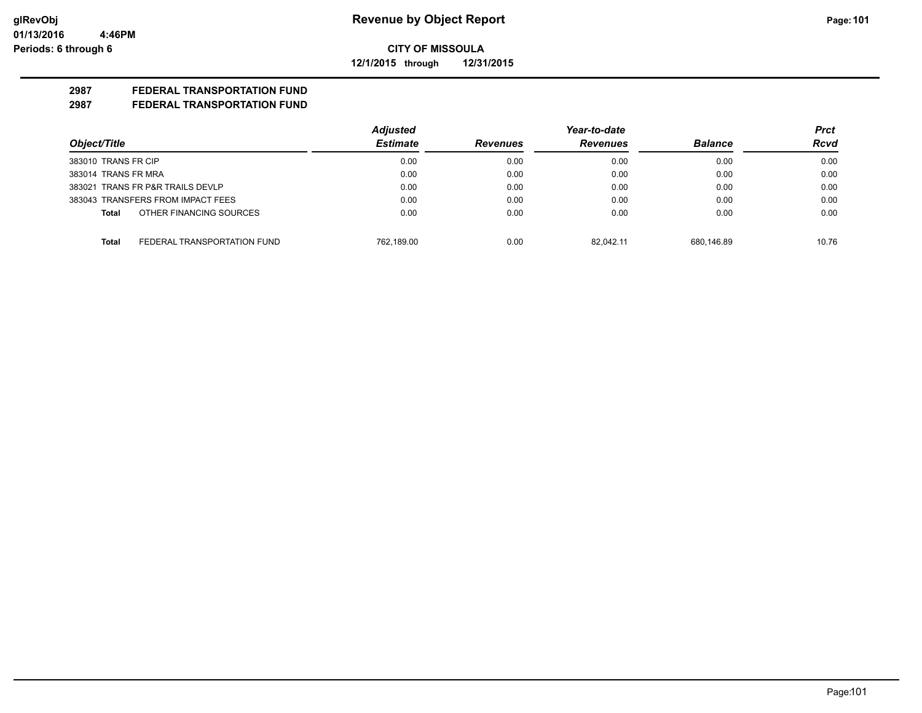**12/1/2015 through 12/31/2015**

## **2987 FEDERAL TRANSPORTATION FUND**

|                                      | <b>Adjusted</b> |                 | Year-to-date    |                | Prct        |
|--------------------------------------|-----------------|-----------------|-----------------|----------------|-------------|
| Object/Title                         | <b>Estimate</b> | <b>Revenues</b> | <b>Revenues</b> | <b>Balance</b> | <b>Rcvd</b> |
| 383010 TRANS FR CIP                  | 0.00            | 0.00            | 0.00            | 0.00           | 0.00        |
| 383014 TRANS FR MRA                  | 0.00            | 0.00            | 0.00            | 0.00           | 0.00        |
| 383021 TRANS FR P&R TRAILS DEVLP     | 0.00            | 0.00            | 0.00            | 0.00           | 0.00        |
| 383043 TRANSFERS FROM IMPACT FEES    | 0.00            | 0.00            | 0.00            | 0.00           | 0.00        |
| OTHER FINANCING SOURCES<br>Total     | 0.00            | 0.00            | 0.00            | 0.00           | 0.00        |
| FEDERAL TRANSPORTATION FUND<br>Total | 762.189.00      | 0.00            | 82.042.11       | 680.146.89     | 10.76       |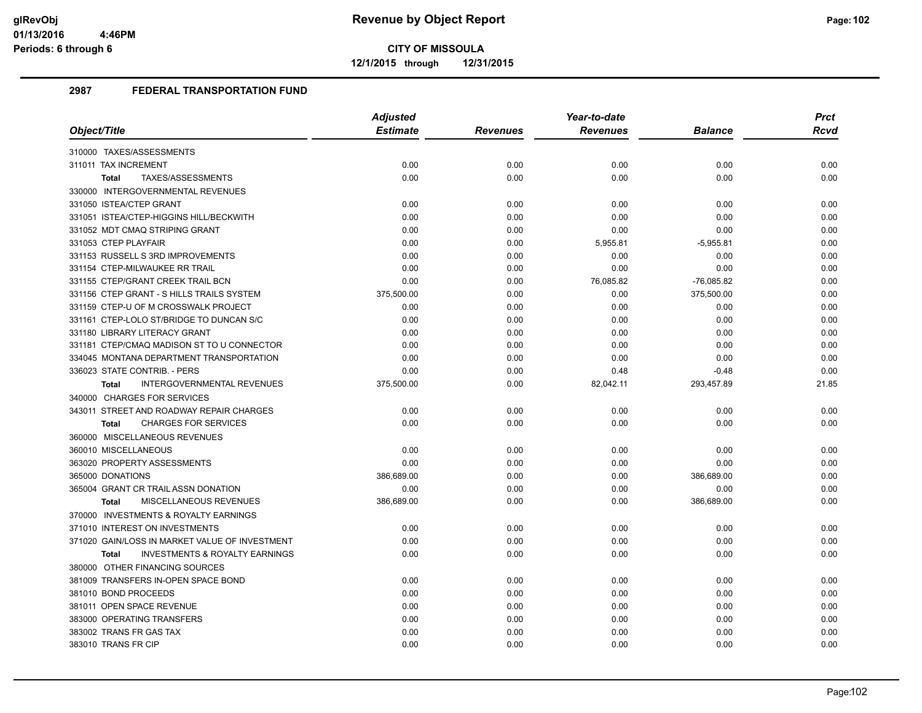**12/1/2015 through 12/31/2015**

|                                                           | <b>Adjusted</b> |                 | Year-to-date    |                | <b>Prct</b> |
|-----------------------------------------------------------|-----------------|-----------------|-----------------|----------------|-------------|
| Object/Title                                              | <b>Estimate</b> | <b>Revenues</b> | <b>Revenues</b> | <b>Balance</b> | <b>Rcvd</b> |
| 310000 TAXES/ASSESSMENTS                                  |                 |                 |                 |                |             |
| 311011 TAX INCREMENT                                      | 0.00            | 0.00            | 0.00            | 0.00           | 0.00        |
| TAXES/ASSESSMENTS<br><b>Total</b>                         | 0.00            | 0.00            | 0.00            | 0.00           | 0.00        |
| 330000 INTERGOVERNMENTAL REVENUES                         |                 |                 |                 |                |             |
| 331050 ISTEA/CTEP GRANT                                   | 0.00            | 0.00            | 0.00            | 0.00           | 0.00        |
| 331051 ISTEA/CTEP-HIGGINS HILL/BECKWITH                   | 0.00            | 0.00            | 0.00            | 0.00           | 0.00        |
| 331052 MDT CMAQ STRIPING GRANT                            | 0.00            | 0.00            | 0.00            | 0.00           | 0.00        |
| 331053 CTEP PLAYFAIR                                      | 0.00            | 0.00            | 5,955.81        | $-5,955.81$    | 0.00        |
| 331153 RUSSELL S 3RD IMPROVEMENTS                         | 0.00            | 0.00            | 0.00            | 0.00           | 0.00        |
| 331154 CTEP-MILWAUKEE RR TRAIL                            | 0.00            | 0.00            | 0.00            | 0.00           | 0.00        |
| 331155 CTEP/GRANT CREEK TRAIL BCN                         | 0.00            | 0.00            | 76,085.82       | $-76,085.82$   | 0.00        |
| 331156 CTEP GRANT - S HILLS TRAILS SYSTEM                 | 375,500.00      | 0.00            | 0.00            | 375,500.00     | 0.00        |
| 331159 CTEP-U OF M CROSSWALK PROJECT                      | 0.00            | 0.00            | 0.00            | 0.00           | 0.00        |
| 331161 CTEP-LOLO ST/BRIDGE TO DUNCAN S/C                  | 0.00            | 0.00            | 0.00            | 0.00           | 0.00        |
| 331180 LIBRARY LITERACY GRANT                             | 0.00            | 0.00            | 0.00            | 0.00           | 0.00        |
| 331181 CTEP/CMAQ MADISON ST TO U CONNECTOR                | 0.00            | 0.00            | 0.00            | 0.00           | 0.00        |
| 334045 MONTANA DEPARTMENT TRANSPORTATION                  | 0.00            | 0.00            | 0.00            | 0.00           | 0.00        |
| 336023 STATE CONTRIB. - PERS                              | 0.00            | 0.00            | 0.48            | $-0.48$        | 0.00        |
| <b>INTERGOVERNMENTAL REVENUES</b><br><b>Total</b>         | 375,500.00      | 0.00            | 82,042.11       | 293,457.89     | 21.85       |
| 340000 CHARGES FOR SERVICES                               |                 |                 |                 |                |             |
| 343011 STREET AND ROADWAY REPAIR CHARGES                  | 0.00            | 0.00            | 0.00            | 0.00           | 0.00        |
| <b>CHARGES FOR SERVICES</b><br><b>Total</b>               | 0.00            | 0.00            | 0.00            | 0.00           | 0.00        |
| 360000 MISCELLANEOUS REVENUES                             |                 |                 |                 |                |             |
| 360010 MISCELLANEOUS                                      | 0.00            | 0.00            | 0.00            | 0.00           | 0.00        |
| 363020 PROPERTY ASSESSMENTS                               | 0.00            | 0.00            | 0.00            | 0.00           | 0.00        |
| 365000 DONATIONS                                          | 386,689.00      | 0.00            | 0.00            | 386,689.00     | 0.00        |
| 365004 GRANT CR TRAIL ASSN DONATION                       | 0.00            | 0.00            | 0.00            | 0.00           | 0.00        |
| MISCELLANEOUS REVENUES<br><b>Total</b>                    | 386,689.00      | 0.00            | 0.00            | 386,689.00     | 0.00        |
| 370000 INVESTMENTS & ROYALTY EARNINGS                     |                 |                 |                 |                |             |
| 371010 INTEREST ON INVESTMENTS                            | 0.00            | 0.00            | 0.00            | 0.00           | 0.00        |
| 371020 GAIN/LOSS IN MARKET VALUE OF INVESTMENT            | 0.00            | 0.00            | 0.00            | 0.00           | 0.00        |
| <b>INVESTMENTS &amp; ROYALTY EARNINGS</b><br><b>Total</b> | 0.00            | 0.00            | 0.00            | 0.00           | 0.00        |
| 380000 OTHER FINANCING SOURCES                            |                 |                 |                 |                |             |
| 381009 TRANSFERS IN-OPEN SPACE BOND                       | 0.00            | 0.00            | 0.00            | 0.00           | 0.00        |
| 381010 BOND PROCEEDS                                      | 0.00            | 0.00            | 0.00            | 0.00           | 0.00        |
| 381011 OPEN SPACE REVENUE                                 | 0.00            | 0.00            | 0.00            | 0.00           | 0.00        |
| 383000 OPERATING TRANSFERS                                | 0.00            | 0.00            | 0.00            | 0.00           | 0.00        |
| 383002 TRANS FR GAS TAX                                   | 0.00            | 0.00            | 0.00            | 0.00           | 0.00        |
| 383010 TRANS FR CIP                                       | 0.00            | 0.00            | 0.00            | 0.00           | 0.00        |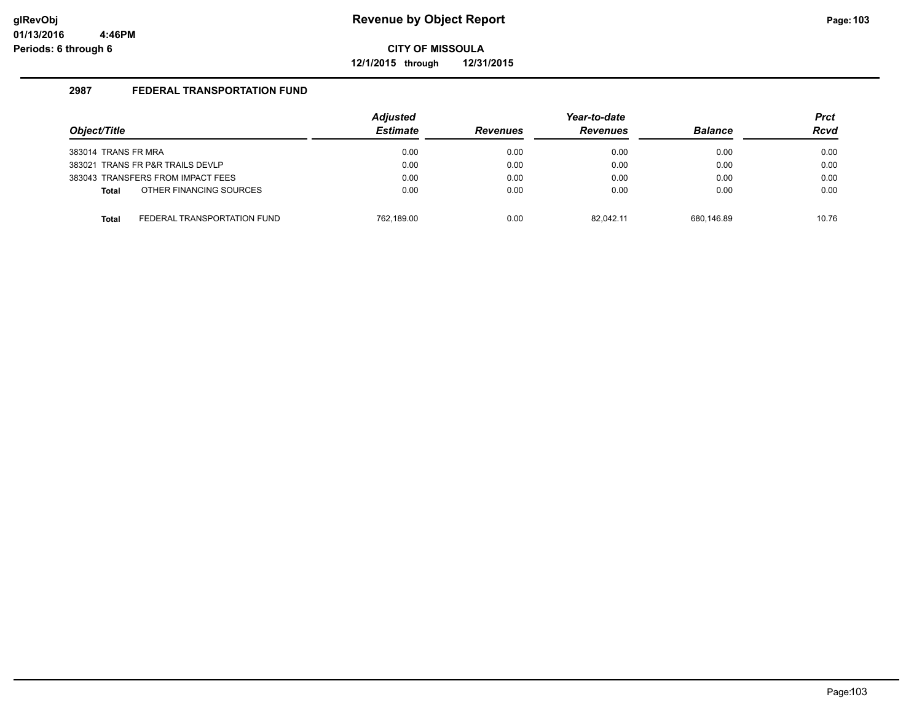**12/1/2015 through 12/31/2015**

| Object/Title                     |                                   | <b>Adjusted</b><br><b>Estimate</b> | <b>Revenues</b> | Year-to-date<br><b>Revenues</b> | <b>Balance</b> | <b>Prct</b><br><b>Rcvd</b> |
|----------------------------------|-----------------------------------|------------------------------------|-----------------|---------------------------------|----------------|----------------------------|
| 383014 TRANS FR MRA              |                                   | 0.00                               | 0.00            | 0.00                            | 0.00           | 0.00                       |
| 383021 TRANS FR P&R TRAILS DEVLP |                                   | 0.00                               | 0.00            | 0.00                            | 0.00           | 0.00                       |
|                                  | 383043 TRANSFERS FROM IMPACT FEES | 0.00                               | 0.00            | 0.00                            | 0.00           | 0.00                       |
| <b>Total</b>                     | OTHER FINANCING SOURCES           | 0.00                               | 0.00            | 0.00                            | 0.00           | 0.00                       |
| <b>Total</b>                     | FEDERAL TRANSPORTATION FUND       | 762.189.00                         | 0.00            | 82.042.11                       | 680.146.89     | 10.76                      |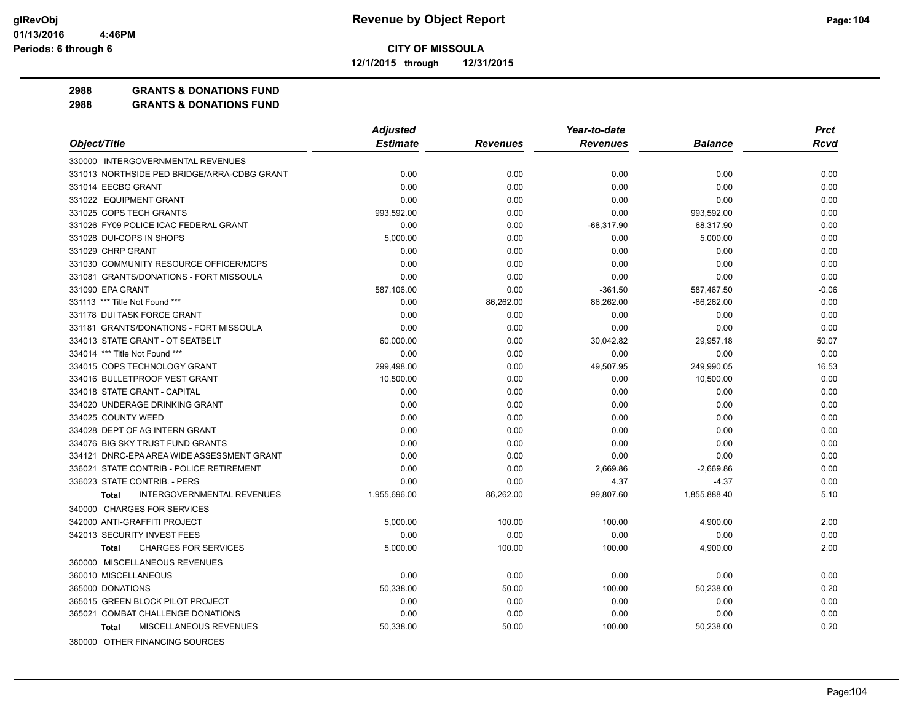**12/1/2015 through 12/31/2015**

#### **2988 GRANTS & DONATIONS FUND**

|                                                   | <b>Adjusted</b> |                 | Year-to-date    |                | <b>Prct</b> |
|---------------------------------------------------|-----------------|-----------------|-----------------|----------------|-------------|
| Object/Title                                      | <b>Estimate</b> | <b>Revenues</b> | <b>Revenues</b> | <b>Balance</b> | <b>Rcvd</b> |
| 330000 INTERGOVERNMENTAL REVENUES                 |                 |                 |                 |                |             |
| 331013 NORTHSIDE PED BRIDGE/ARRA-CDBG GRANT       | 0.00            | 0.00            | 0.00            | 0.00           | 0.00        |
| 331014 EECBG GRANT                                | 0.00            | 0.00            | 0.00            | 0.00           | 0.00        |
| 331022 EQUIPMENT GRANT                            | 0.00            | 0.00            | 0.00            | 0.00           | 0.00        |
| 331025 COPS TECH GRANTS                           | 993,592.00      | 0.00            | 0.00            | 993,592.00     | 0.00        |
| 331026 FY09 POLICE ICAC FEDERAL GRANT             | 0.00            | 0.00            | $-68.317.90$    | 68,317.90      | 0.00        |
| 331028 DUI-COPS IN SHOPS                          | 5,000.00        | 0.00            | 0.00            | 5,000.00       | 0.00        |
| 331029 CHRP GRANT                                 | 0.00            | 0.00            | 0.00            | 0.00           | 0.00        |
| 331030 COMMUNITY RESOURCE OFFICER/MCPS            | 0.00            | 0.00            | 0.00            | 0.00           | 0.00        |
| 331081 GRANTS/DONATIONS - FORT MISSOULA           | 0.00            | 0.00            | 0.00            | 0.00           | 0.00        |
| 331090 EPA GRANT                                  | 587,106.00      | 0.00            | $-361.50$       | 587,467.50     | $-0.06$     |
| 331113 *** Title Not Found ***                    | 0.00            | 86,262.00       | 86,262.00       | $-86,262.00$   | 0.00        |
| 331178 DUI TASK FORCE GRANT                       | 0.00            | 0.00            | 0.00            | 0.00           | 0.00        |
| 331181 GRANTS/DONATIONS - FORT MISSOULA           | 0.00            | 0.00            | 0.00            | 0.00           | 0.00        |
| 334013 STATE GRANT - OT SEATBELT                  | 60,000.00       | 0.00            | 30,042.82       | 29,957.18      | 50.07       |
| 334014 *** Title Not Found ***                    | 0.00            | 0.00            | 0.00            | 0.00           | 0.00        |
| 334015 COPS TECHNOLOGY GRANT                      | 299,498.00      | 0.00            | 49,507.95       | 249,990.05     | 16.53       |
| 334016 BULLETPROOF VEST GRANT                     | 10,500.00       | 0.00            | 0.00            | 10,500.00      | 0.00        |
| 334018 STATE GRANT - CAPITAL                      | 0.00            | 0.00            | 0.00            | 0.00           | 0.00        |
| 334020 UNDERAGE DRINKING GRANT                    | 0.00            | 0.00            | 0.00            | 0.00           | 0.00        |
| 334025 COUNTY WEED                                | 0.00            | 0.00            | 0.00            | 0.00           | 0.00        |
| 334028 DEPT OF AG INTERN GRANT                    | 0.00            | 0.00            | 0.00            | 0.00           | 0.00        |
| 334076 BIG SKY TRUST FUND GRANTS                  | 0.00            | 0.00            | 0.00            | 0.00           | 0.00        |
| 334121 DNRC-EPA AREA WIDE ASSESSMENT GRANT        | 0.00            | 0.00            | 0.00            | 0.00           | 0.00        |
| 336021 STATE CONTRIB - POLICE RETIREMENT          | 0.00            | 0.00            | 2,669.86        | $-2,669.86$    | 0.00        |
| 336023 STATE CONTRIB. - PERS                      | 0.00            | 0.00            | 4.37            | $-4.37$        | 0.00        |
| <b>INTERGOVERNMENTAL REVENUES</b><br><b>Total</b> | 1,955,696.00    | 86,262.00       | 99,807.60       | 1,855,888.40   | 5.10        |
| 340000 CHARGES FOR SERVICES                       |                 |                 |                 |                |             |
| 342000 ANTI-GRAFFITI PROJECT                      | 5,000.00        | 100.00          | 100.00          | 4,900.00       | 2.00        |
| 342013 SECURITY INVEST FEES                       | 0.00            | 0.00            | 0.00            | 0.00           | 0.00        |
| <b>CHARGES FOR SERVICES</b><br><b>Total</b>       | 5.000.00        | 100.00          | 100.00          | 4,900.00       | 2.00        |
| 360000 MISCELLANEOUS REVENUES                     |                 |                 |                 |                |             |
| 360010 MISCELLANEOUS                              | 0.00            | 0.00            | 0.00            | 0.00           | 0.00        |
| 365000 DONATIONS                                  | 50,338.00       | 50.00           | 100.00          | 50,238.00      | 0.20        |
| 365015 GREEN BLOCK PILOT PROJECT                  | 0.00            | 0.00            | 0.00            | 0.00           | 0.00        |
| 365021 COMBAT CHALLENGE DONATIONS                 | 0.00            | 0.00            | 0.00            | 0.00           | 0.00        |
| MISCELLANEOUS REVENUES<br><b>Total</b>            | 50,338.00       | 50.00           | 100.00          | 50,238.00      | 0.20        |
| 380000 OTHER FINANCING SOURCES                    |                 |                 |                 |                |             |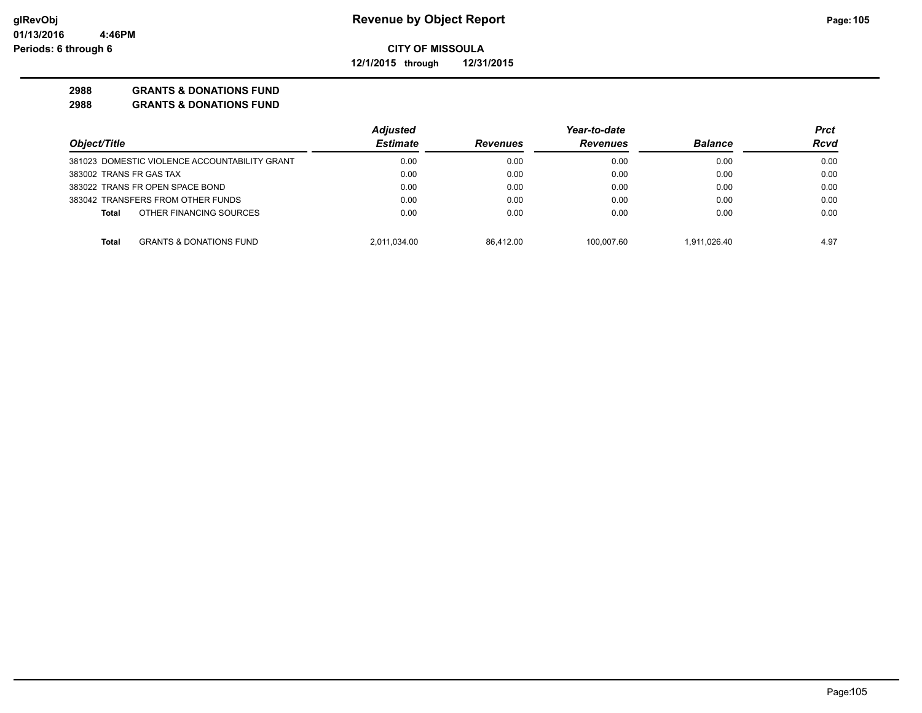**12/1/2015 through 12/31/2015**

### **2988 GRANTS & DONATIONS FUND**

|                                               | <b>Adjusted</b> |                 | Year-to-date    |                | Prct |
|-----------------------------------------------|-----------------|-----------------|-----------------|----------------|------|
| Object/Title                                  | <b>Estimate</b> | <b>Revenues</b> | <b>Revenues</b> | <b>Balance</b> | Rcvd |
| 381023 DOMESTIC VIOLENCE ACCOUNTABILITY GRANT | 0.00            | 0.00            | 0.00            | 0.00           | 0.00 |
| 383002 TRANS FR GAS TAX                       | 0.00            | 0.00            | 0.00            | 0.00           | 0.00 |
| 383022 TRANS FR OPEN SPACE BOND               | 0.00            | 0.00            | 0.00            | 0.00           | 0.00 |
| 383042 TRANSFERS FROM OTHER FUNDS             | 0.00            | 0.00            | 0.00            | 0.00           | 0.00 |
| OTHER FINANCING SOURCES<br><b>Total</b>       | 0.00            | 0.00            | 0.00            | 0.00           | 0.00 |
| <b>GRANTS &amp; DONATIONS FUND</b><br>Total   | 2.011.034.00    | 86.412.00       | 100.007.60      | 1.911.026.40   | 4.97 |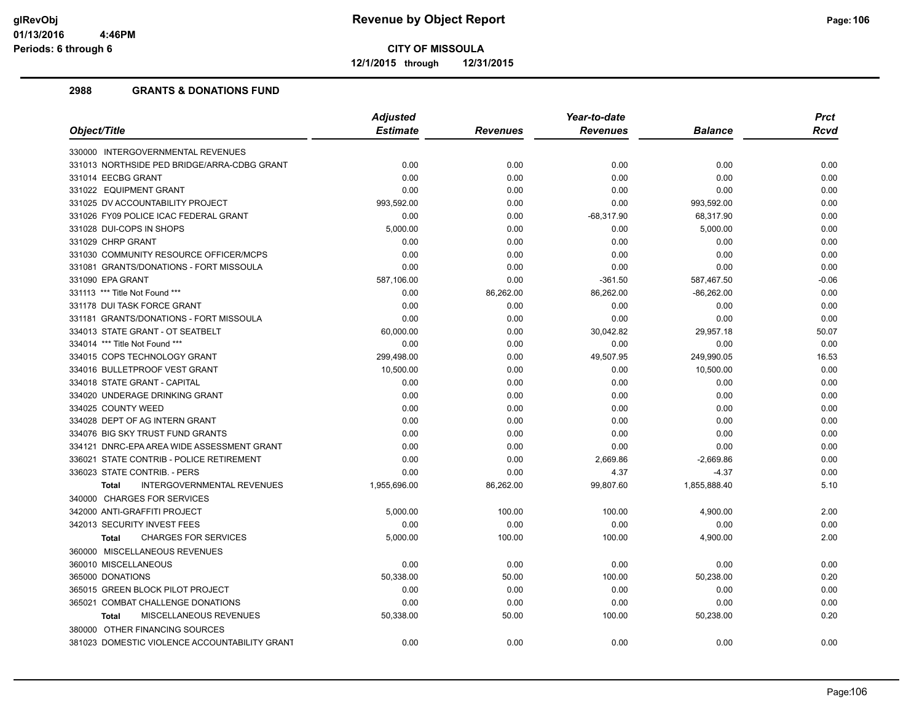**12/1/2015 through 12/31/2015**

|                                                   | <b>Adjusted</b> |                 | Year-to-date    |                | <b>Prct</b> |
|---------------------------------------------------|-----------------|-----------------|-----------------|----------------|-------------|
| Object/Title                                      | <b>Estimate</b> | <b>Revenues</b> | <b>Revenues</b> | <b>Balance</b> | <b>Rcvd</b> |
| 330000 INTERGOVERNMENTAL REVENUES                 |                 |                 |                 |                |             |
| 331013 NORTHSIDE PED BRIDGE/ARRA-CDBG GRANT       | 0.00            | 0.00            | 0.00            | 0.00           | 0.00        |
| 331014 EECBG GRANT                                | 0.00            | 0.00            | 0.00            | 0.00           | 0.00        |
| 331022 EQUIPMENT GRANT                            | 0.00            | 0.00            | 0.00            | 0.00           | 0.00        |
| 331025 DV ACCOUNTABILITY PROJECT                  | 993,592.00      | 0.00            | 0.00            | 993,592.00     | 0.00        |
| 331026 FY09 POLICE ICAC FEDERAL GRANT             | 0.00            | 0.00            | $-68,317.90$    | 68,317.90      | 0.00        |
| 331028 DUI-COPS IN SHOPS                          | 5,000.00        | 0.00            | 0.00            | 5,000.00       | 0.00        |
| 331029 CHRP GRANT                                 | 0.00            | 0.00            | 0.00            | 0.00           | 0.00        |
| 331030 COMMUNITY RESOURCE OFFICER/MCPS            | 0.00            | 0.00            | 0.00            | 0.00           | 0.00        |
| 331081 GRANTS/DONATIONS - FORT MISSOULA           | 0.00            | 0.00            | 0.00            | 0.00           | 0.00        |
| 331090 EPA GRANT                                  | 587,106.00      | 0.00            | $-361.50$       | 587,467.50     | $-0.06$     |
| 331113 *** Title Not Found ***                    | 0.00            | 86,262.00       | 86,262.00       | $-86,262.00$   | 0.00        |
| 331178 DUI TASK FORCE GRANT                       | 0.00            | 0.00            | 0.00            | 0.00           | 0.00        |
| 331181 GRANTS/DONATIONS - FORT MISSOULA           | 0.00            | 0.00            | 0.00            | 0.00           | 0.00        |
| 334013 STATE GRANT - OT SEATBELT                  | 60,000.00       | 0.00            | 30,042.82       | 29,957.18      | 50.07       |
| 334014 *** Title Not Found ***                    | 0.00            | 0.00            | 0.00            | 0.00           | 0.00        |
| 334015 COPS TECHNOLOGY GRANT                      | 299,498.00      | 0.00            | 49,507.95       | 249,990.05     | 16.53       |
| 334016 BULLETPROOF VEST GRANT                     | 10,500.00       | 0.00            | 0.00            | 10,500.00      | 0.00        |
| 334018 STATE GRANT - CAPITAL                      | 0.00            | 0.00            | 0.00            | 0.00           | 0.00        |
| 334020 UNDERAGE DRINKING GRANT                    | 0.00            | 0.00            | 0.00            | 0.00           | 0.00        |
| 334025 COUNTY WEED                                | 0.00            | 0.00            | 0.00            | 0.00           | 0.00        |
| 334028 DEPT OF AG INTERN GRANT                    | 0.00            | 0.00            | 0.00            | 0.00           | 0.00        |
| 334076 BIG SKY TRUST FUND GRANTS                  | 0.00            | 0.00            | 0.00            | 0.00           | 0.00        |
| 334121 DNRC-EPA AREA WIDE ASSESSMENT GRANT        | 0.00            | 0.00            | 0.00            | 0.00           | 0.00        |
| 336021 STATE CONTRIB - POLICE RETIREMENT          | 0.00            | 0.00            | 2,669.86        | $-2,669.86$    | 0.00        |
| 336023 STATE CONTRIB. - PERS                      | 0.00            | 0.00            | 4.37            | $-4.37$        | 0.00        |
| <b>INTERGOVERNMENTAL REVENUES</b><br><b>Total</b> | 1,955,696.00    | 86,262.00       | 99,807.60       | 1,855,888.40   | 5.10        |
| 340000 CHARGES FOR SERVICES                       |                 |                 |                 |                |             |
| 342000 ANTI-GRAFFITI PROJECT                      | 5,000.00        | 100.00          | 100.00          | 4,900.00       | 2.00        |
| 342013 SECURITY INVEST FEES                       | 0.00            | 0.00            | 0.00            | 0.00           | 0.00        |
| <b>CHARGES FOR SERVICES</b><br><b>Total</b>       | 5,000.00        | 100.00          | 100.00          | 4,900.00       | 2.00        |
| 360000 MISCELLANEOUS REVENUES                     |                 |                 |                 |                |             |
| 360010 MISCELLANEOUS                              | 0.00            | 0.00            | 0.00            | 0.00           | 0.00        |
| 365000 DONATIONS                                  | 50,338.00       | 50.00           | 100.00          | 50,238.00      | 0.20        |
| 365015 GREEN BLOCK PILOT PROJECT                  | 0.00            | 0.00            | 0.00            | 0.00           | 0.00        |
| 365021 COMBAT CHALLENGE DONATIONS                 | 0.00            | 0.00            | 0.00            | 0.00           | 0.00        |
| MISCELLANEOUS REVENUES<br><b>Total</b>            | 50,338.00       | 50.00           | 100.00          | 50,238.00      | 0.20        |
| 380000 OTHER FINANCING SOURCES                    |                 |                 |                 |                |             |
| 381023 DOMESTIC VIOLENCE ACCOUNTABILITY GRANT     | 0.00            | 0.00            | 0.00            | 0.00           | 0.00        |
|                                                   |                 |                 |                 |                |             |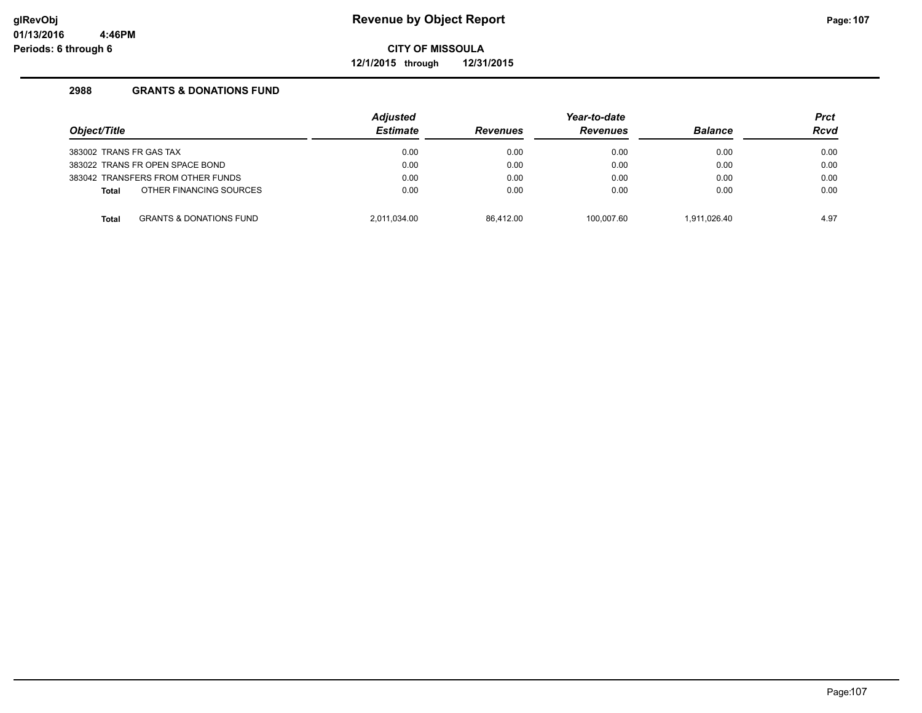**12/1/2015 through 12/31/2015**

| Object/Title            |                                    | <b>Adjusted</b><br><b>Estimate</b> | <b>Revenues</b> | Year-to-date<br><b>Revenues</b> | <b>Balance</b> | <b>Prct</b><br><b>Rcvd</b> |
|-------------------------|------------------------------------|------------------------------------|-----------------|---------------------------------|----------------|----------------------------|
| 383002 TRANS FR GAS TAX |                                    | 0.00                               | 0.00            | 0.00                            | 0.00           | 0.00                       |
|                         | 383022 TRANS FR OPEN SPACE BOND    | 0.00                               | 0.00            | 0.00                            | 0.00           | 0.00                       |
|                         | 383042 TRANSFERS FROM OTHER FUNDS  | 0.00                               | 0.00            | 0.00                            | 0.00           | 0.00                       |
| <b>Total</b>            | OTHER FINANCING SOURCES            | 0.00                               | 0.00            | 0.00                            | 0.00           | 0.00                       |
| <b>Total</b>            | <b>GRANTS &amp; DONATIONS FUND</b> | 2.011.034.00                       | 86.412.00       | 100.007.60                      | 1.911.026.40   | 4.97                       |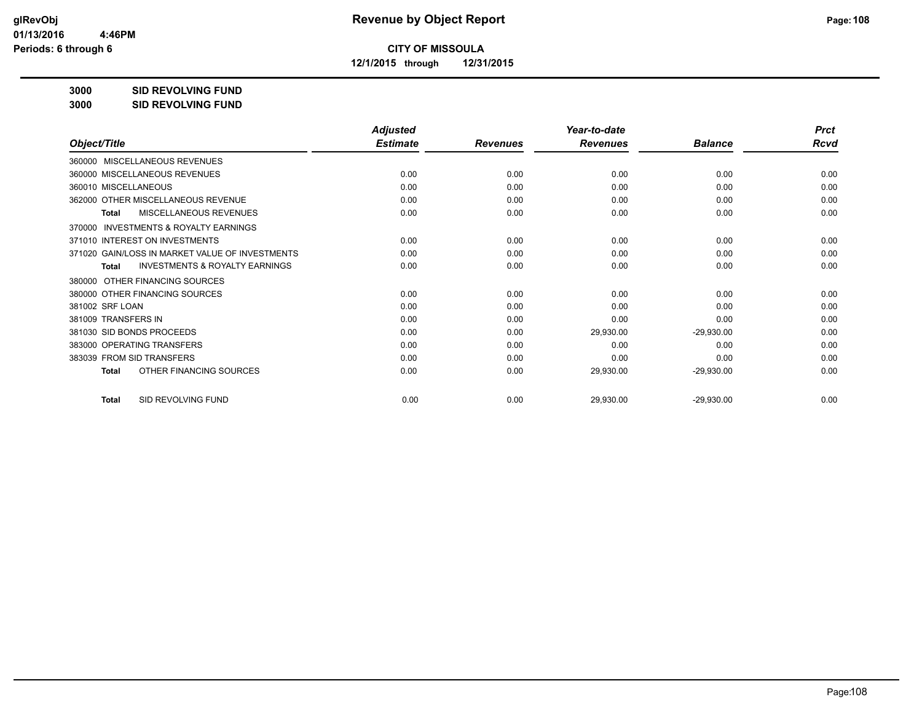**12/1/2015 through 12/31/2015**

**3000 SID REVOLVING FUND**

| 3000 | <b>SID REVOLVING FUND</b> |
|------|---------------------------|
|------|---------------------------|

|                                                           | <b>Adjusted</b> |                 | Year-to-date    |                | <b>Prct</b> |
|-----------------------------------------------------------|-----------------|-----------------|-----------------|----------------|-------------|
| Object/Title                                              | <b>Estimate</b> | <b>Revenues</b> | <b>Revenues</b> | <b>Balance</b> | Rcvd        |
| 360000 MISCELLANEOUS REVENUES                             |                 |                 |                 |                |             |
| 360000 MISCELLANEOUS REVENUES                             | 0.00            | 0.00            | 0.00            | 0.00           | 0.00        |
| 360010 MISCELLANEOUS                                      | 0.00            | 0.00            | 0.00            | 0.00           | 0.00        |
| 362000 OTHER MISCELLANEOUS REVENUE                        | 0.00            | 0.00            | 0.00            | 0.00           | 0.00        |
| MISCELLANEOUS REVENUES<br>Total                           | 0.00            | 0.00            | 0.00            | 0.00           | 0.00        |
| INVESTMENTS & ROYALTY EARNINGS<br>370000                  |                 |                 |                 |                |             |
| 371010 INTEREST ON INVESTMENTS                            | 0.00            | 0.00            | 0.00            | 0.00           | 0.00        |
| 371020 GAIN/LOSS IN MARKET VALUE OF INVESTMENTS           | 0.00            | 0.00            | 0.00            | 0.00           | 0.00        |
| <b>INVESTMENTS &amp; ROYALTY EARNINGS</b><br><b>Total</b> | 0.00            | 0.00            | 0.00            | 0.00           | 0.00        |
| OTHER FINANCING SOURCES<br>380000                         |                 |                 |                 |                |             |
| 380000 OTHER FINANCING SOURCES                            | 0.00            | 0.00            | 0.00            | 0.00           | 0.00        |
| 381002 SRF LOAN                                           | 0.00            | 0.00            | 0.00            | 0.00           | 0.00        |
| 381009 TRANSFERS IN                                       | 0.00            | 0.00            | 0.00            | 0.00           | 0.00        |
| 381030 SID BONDS PROCEEDS                                 | 0.00            | 0.00            | 29,930.00       | $-29,930.00$   | 0.00        |
| 383000 OPERATING TRANSFERS                                | 0.00            | 0.00            | 0.00            | 0.00           | 0.00        |
| 383039 FROM SID TRANSFERS                                 | 0.00            | 0.00            | 0.00            | 0.00           | 0.00        |
| OTHER FINANCING SOURCES<br><b>Total</b>                   | 0.00            | 0.00            | 29,930.00       | $-29,930.00$   | 0.00        |
| SID REVOLVING FUND<br><b>Total</b>                        | 0.00            | 0.00            | 29,930.00       | $-29,930.00$   | 0.00        |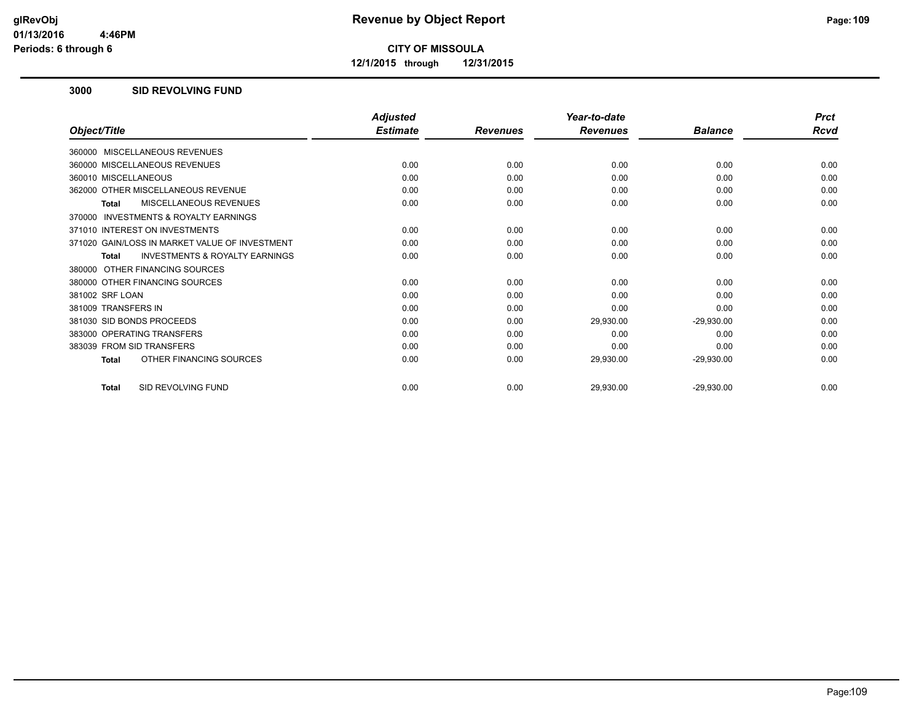**12/1/2015 through 12/31/2015**

### **3000 SID REVOLVING FUND**

|                                                     | <b>Adjusted</b> |                 | Year-to-date    |                | <b>Prct</b> |
|-----------------------------------------------------|-----------------|-----------------|-----------------|----------------|-------------|
| Object/Title                                        | <b>Estimate</b> | <b>Revenues</b> | <b>Revenues</b> | <b>Balance</b> | Rcvd        |
| 360000 MISCELLANEOUS REVENUES                       |                 |                 |                 |                |             |
| 360000 MISCELLANEOUS REVENUES                       | 0.00            | 0.00            | 0.00            | 0.00           | 0.00        |
| 360010 MISCELLANEOUS                                | 0.00            | 0.00            | 0.00            | 0.00           | 0.00        |
| 362000 OTHER MISCELLANEOUS REVENUE                  | 0.00            | 0.00            | 0.00            | 0.00           | 0.00        |
| MISCELLANEOUS REVENUES<br>Total                     | 0.00            | 0.00            | 0.00            | 0.00           | 0.00        |
| <b>INVESTMENTS &amp; ROYALTY EARNINGS</b><br>370000 |                 |                 |                 |                |             |
| 371010 INTEREST ON INVESTMENTS                      | 0.00            | 0.00            | 0.00            | 0.00           | 0.00        |
| 371020 GAIN/LOSS IN MARKET VALUE OF INVESTMENT      | 0.00            | 0.00            | 0.00            | 0.00           | 0.00        |
| <b>INVESTMENTS &amp; ROYALTY EARNINGS</b><br>Total  | 0.00            | 0.00            | 0.00            | 0.00           | 0.00        |
| 380000 OTHER FINANCING SOURCES                      |                 |                 |                 |                |             |
| 380000 OTHER FINANCING SOURCES                      | 0.00            | 0.00            | 0.00            | 0.00           | 0.00        |
| 381002 SRF LOAN                                     | 0.00            | 0.00            | 0.00            | 0.00           | 0.00        |
| 381009 TRANSFERS IN                                 | 0.00            | 0.00            | 0.00            | 0.00           | 0.00        |
| 381030 SID BONDS PROCEEDS                           | 0.00            | 0.00            | 29,930.00       | $-29,930.00$   | 0.00        |
| 383000 OPERATING TRANSFERS                          | 0.00            | 0.00            | 0.00            | 0.00           | 0.00        |
| 383039 FROM SID TRANSFERS                           | 0.00            | 0.00            | 0.00            | 0.00           | 0.00        |
| OTHER FINANCING SOURCES<br><b>Total</b>             | 0.00            | 0.00            | 29,930.00       | $-29,930.00$   | 0.00        |
| SID REVOLVING FUND<br><b>Total</b>                  | 0.00            | 0.00            | 29,930.00       | $-29,930.00$   | 0.00        |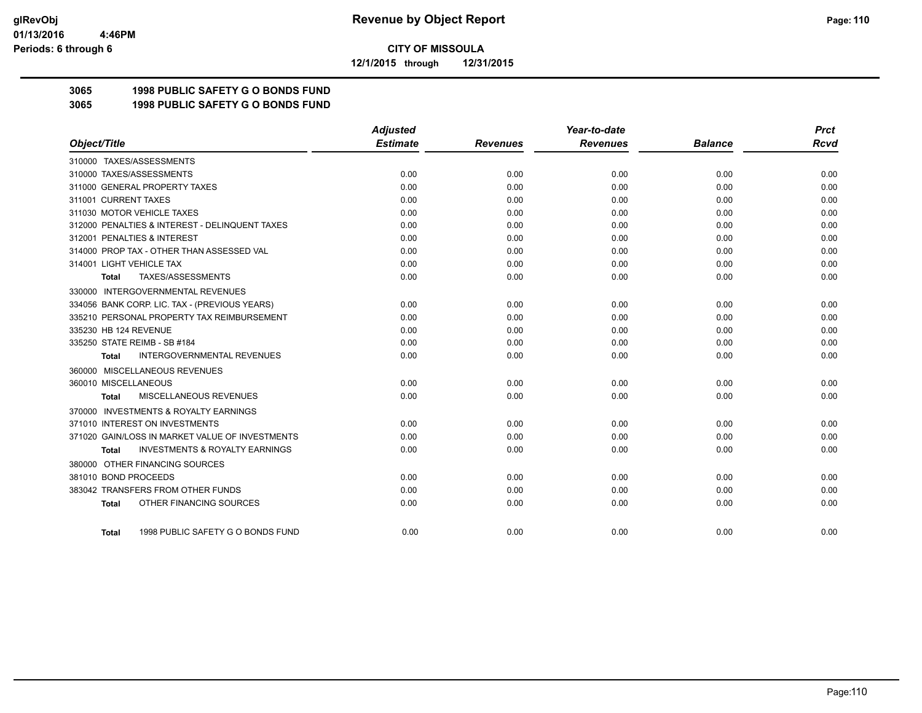**12/1/2015 through 12/31/2015**

# **3065 1998 PUBLIC SAFETY G O BONDS FUND**

**3065 1998 PUBLIC SAFETY G O BONDS FUND**

|                                                     | <b>Adjusted</b> |                 | Year-to-date    |                | <b>Prct</b> |
|-----------------------------------------------------|-----------------|-----------------|-----------------|----------------|-------------|
| Object/Title                                        | <b>Estimate</b> | <b>Revenues</b> | <b>Revenues</b> | <b>Balance</b> | Rcvd        |
| 310000 TAXES/ASSESSMENTS                            |                 |                 |                 |                |             |
| 310000 TAXES/ASSESSMENTS                            | 0.00            | 0.00            | 0.00            | 0.00           | 0.00        |
| 311000 GENERAL PROPERTY TAXES                       | 0.00            | 0.00            | 0.00            | 0.00           | 0.00        |
| 311001 CURRENT TAXES                                | 0.00            | 0.00            | 0.00            | 0.00           | 0.00        |
| 311030 MOTOR VEHICLE TAXES                          | 0.00            | 0.00            | 0.00            | 0.00           | 0.00        |
| 312000 PENALTIES & INTEREST - DELINQUENT TAXES      | 0.00            | 0.00            | 0.00            | 0.00           | 0.00        |
| 312001 PENALTIES & INTEREST                         | 0.00            | 0.00            | 0.00            | 0.00           | 0.00        |
| 314000 PROP TAX - OTHER THAN ASSESSED VAL           | 0.00            | 0.00            | 0.00            | 0.00           | 0.00        |
| 314001 LIGHT VEHICLE TAX                            | 0.00            | 0.00            | 0.00            | 0.00           | 0.00        |
| TAXES/ASSESSMENTS<br>Total                          | 0.00            | 0.00            | 0.00            | 0.00           | 0.00        |
| 330000 INTERGOVERNMENTAL REVENUES                   |                 |                 |                 |                |             |
| 334056 BANK CORP. LIC. TAX - (PREVIOUS YEARS)       | 0.00            | 0.00            | 0.00            | 0.00           | 0.00        |
| 335210 PERSONAL PROPERTY TAX REIMBURSEMENT          | 0.00            | 0.00            | 0.00            | 0.00           | 0.00        |
| 335230 HB 124 REVENUE                               | 0.00            | 0.00            | 0.00            | 0.00           | 0.00        |
| 335250 STATE REIMB - SB #184                        | 0.00            | 0.00            | 0.00            | 0.00           | 0.00        |
| <b>INTERGOVERNMENTAL REVENUES</b><br><b>Total</b>   | 0.00            | 0.00            | 0.00            | 0.00           | 0.00        |
| 360000 MISCELLANEOUS REVENUES                       |                 |                 |                 |                |             |
| 360010 MISCELLANEOUS                                | 0.00            | 0.00            | 0.00            | 0.00           | 0.00        |
| MISCELLANEOUS REVENUES<br>Total                     | 0.00            | 0.00            | 0.00            | 0.00           | 0.00        |
| <b>INVESTMENTS &amp; ROYALTY EARNINGS</b><br>370000 |                 |                 |                 |                |             |
| 371010 INTEREST ON INVESTMENTS                      | 0.00            | 0.00            | 0.00            | 0.00           | 0.00        |
| 371020 GAIN/LOSS IN MARKET VALUE OF INVESTMENTS     | 0.00            | 0.00            | 0.00            | 0.00           | 0.00        |
| <b>INVESTMENTS &amp; ROYALTY EARNINGS</b><br>Total  | 0.00            | 0.00            | 0.00            | 0.00           | 0.00        |
| 380000 OTHER FINANCING SOURCES                      |                 |                 |                 |                |             |
| 381010 BOND PROCEEDS                                | 0.00            | 0.00            | 0.00            | 0.00           | 0.00        |
| 383042 TRANSFERS FROM OTHER FUNDS                   | 0.00            | 0.00            | 0.00            | 0.00           | 0.00        |
| OTHER FINANCING SOURCES<br><b>Total</b>             | 0.00            | 0.00            | 0.00            | 0.00           | 0.00        |
| 1998 PUBLIC SAFETY G O BONDS FUND<br>Total          | 0.00            | 0.00            | 0.00            | 0.00           | 0.00        |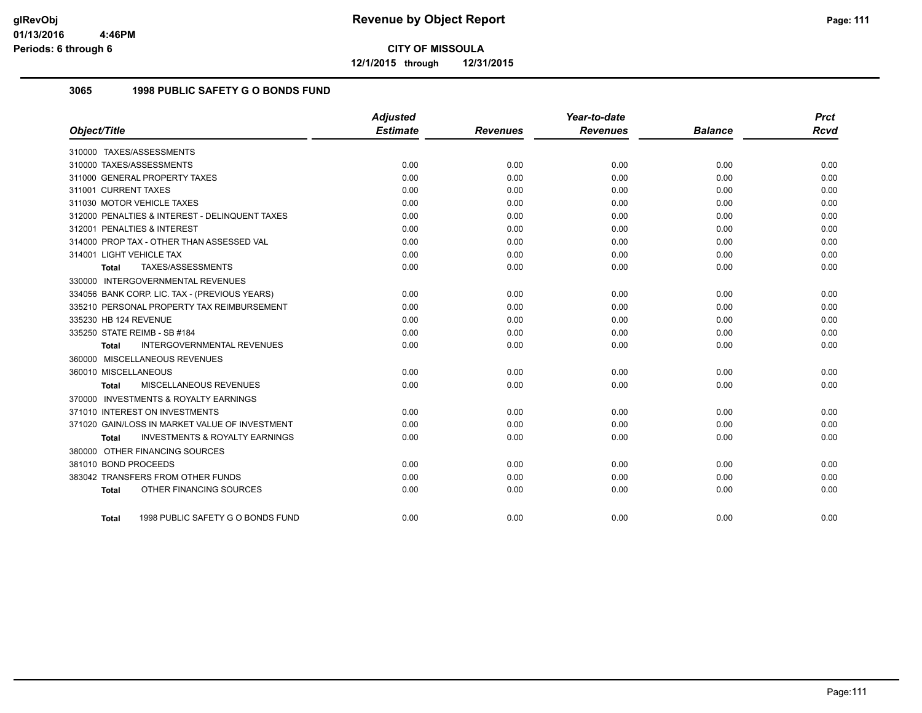**12/1/2015 through 12/31/2015**

# **3065 1998 PUBLIC SAFETY G O BONDS FUND**

|                                                    | <b>Adjusted</b> |                 | Year-to-date    |                | <b>Prct</b> |
|----------------------------------------------------|-----------------|-----------------|-----------------|----------------|-------------|
| Object/Title                                       | <b>Estimate</b> | <b>Revenues</b> | <b>Revenues</b> | <b>Balance</b> | <b>Rcvd</b> |
| 310000 TAXES/ASSESSMENTS                           |                 |                 |                 |                |             |
| 310000 TAXES/ASSESSMENTS                           | 0.00            | 0.00            | 0.00            | 0.00           | 0.00        |
| 311000 GENERAL PROPERTY TAXES                      | 0.00            | 0.00            | 0.00            | 0.00           | 0.00        |
| 311001 CURRENT TAXES                               | 0.00            | 0.00            | 0.00            | 0.00           | 0.00        |
| 311030 MOTOR VEHICLE TAXES                         | 0.00            | 0.00            | 0.00            | 0.00           | 0.00        |
| 312000 PENALTIES & INTEREST - DELINQUENT TAXES     | 0.00            | 0.00            | 0.00            | 0.00           | 0.00        |
| 312001 PENALTIES & INTEREST                        | 0.00            | 0.00            | 0.00            | 0.00           | 0.00        |
| 314000 PROP TAX - OTHER THAN ASSESSED VAL          | 0.00            | 0.00            | 0.00            | 0.00           | 0.00        |
| 314001 LIGHT VEHICLE TAX                           | 0.00            | 0.00            | 0.00            | 0.00           | 0.00        |
| TAXES/ASSESSMENTS<br>Total                         | 0.00            | 0.00            | 0.00            | 0.00           | 0.00        |
| 330000 INTERGOVERNMENTAL REVENUES                  |                 |                 |                 |                |             |
| 334056 BANK CORP. LIC. TAX - (PREVIOUS YEARS)      | 0.00            | 0.00            | 0.00            | 0.00           | 0.00        |
| 335210 PERSONAL PROPERTY TAX REIMBURSEMENT         | 0.00            | 0.00            | 0.00            | 0.00           | 0.00        |
| 335230 HB 124 REVENUE                              | 0.00            | 0.00            | 0.00            | 0.00           | 0.00        |
| 335250 STATE REIMB - SB #184                       | 0.00            | 0.00            | 0.00            | 0.00           | 0.00        |
| INTERGOVERNMENTAL REVENUES<br><b>Total</b>         | 0.00            | 0.00            | 0.00            | 0.00           | 0.00        |
| 360000 MISCELLANEOUS REVENUES                      |                 |                 |                 |                |             |
| 360010 MISCELLANEOUS                               | 0.00            | 0.00            | 0.00            | 0.00           | 0.00        |
| <b>MISCELLANEOUS REVENUES</b><br>Total             | 0.00            | 0.00            | 0.00            | 0.00           | 0.00        |
| 370000 INVESTMENTS & ROYALTY EARNINGS              |                 |                 |                 |                |             |
| 371010 INTEREST ON INVESTMENTS                     | 0.00            | 0.00            | 0.00            | 0.00           | 0.00        |
| 371020 GAIN/LOSS IN MARKET VALUE OF INVESTMENT     | 0.00            | 0.00            | 0.00            | 0.00           | 0.00        |
| <b>INVESTMENTS &amp; ROYALTY EARNINGS</b><br>Total | 0.00            | 0.00            | 0.00            | 0.00           | 0.00        |
| 380000 OTHER FINANCING SOURCES                     |                 |                 |                 |                |             |
| 381010 BOND PROCEEDS                               | 0.00            | 0.00            | 0.00            | 0.00           | 0.00        |
| 383042 TRANSFERS FROM OTHER FUNDS                  | 0.00            | 0.00            | 0.00            | 0.00           | 0.00        |
| OTHER FINANCING SOURCES<br><b>Total</b>            | 0.00            | 0.00            | 0.00            | 0.00           | 0.00        |
| 1998 PUBLIC SAFETY G O BONDS FUND<br>Total         | 0.00            | 0.00            | 0.00            | 0.00           | 0.00        |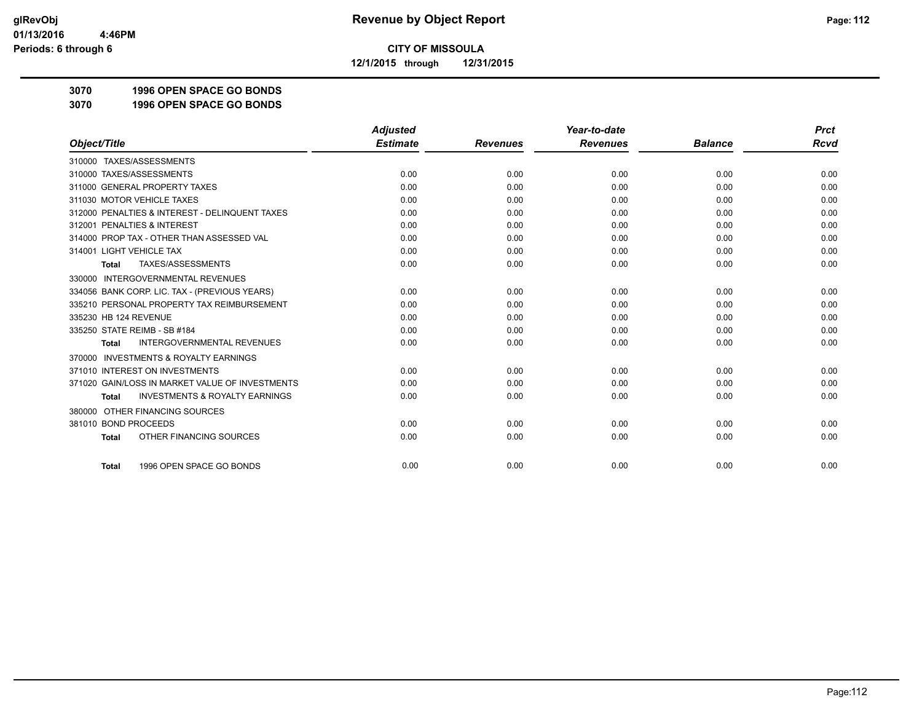**12/1/2015 through 12/31/2015**

**3070 1996 OPEN SPACE GO BONDS**

**3070 1996 OPEN SPACE GO BONDS**

|                                                           | <b>Adjusted</b> |                 | Year-to-date    |                | <b>Prct</b> |
|-----------------------------------------------------------|-----------------|-----------------|-----------------|----------------|-------------|
| Object/Title                                              | <b>Estimate</b> | <b>Revenues</b> | <b>Revenues</b> | <b>Balance</b> | <b>Rcvd</b> |
| 310000 TAXES/ASSESSMENTS                                  |                 |                 |                 |                |             |
| 310000 TAXES/ASSESSMENTS                                  | 0.00            | 0.00            | 0.00            | 0.00           | 0.00        |
| 311000 GENERAL PROPERTY TAXES                             | 0.00            | 0.00            | 0.00            | 0.00           | 0.00        |
| 311030 MOTOR VEHICLE TAXES                                | 0.00            | 0.00            | 0.00            | 0.00           | 0.00        |
| 312000 PENALTIES & INTEREST - DELINQUENT TAXES            | 0.00            | 0.00            | 0.00            | 0.00           | 0.00        |
| 312001 PENALTIES & INTEREST                               | 0.00            | 0.00            | 0.00            | 0.00           | 0.00        |
| 314000 PROP TAX - OTHER THAN ASSESSED VAL                 | 0.00            | 0.00            | 0.00            | 0.00           | 0.00        |
| 314001 LIGHT VEHICLE TAX                                  | 0.00            | 0.00            | 0.00            | 0.00           | 0.00        |
| TAXES/ASSESSMENTS<br><b>Total</b>                         | 0.00            | 0.00            | 0.00            | 0.00           | 0.00        |
| 330000 INTERGOVERNMENTAL REVENUES                         |                 |                 |                 |                |             |
| 334056 BANK CORP. LIC. TAX - (PREVIOUS YEARS)             | 0.00            | 0.00            | 0.00            | 0.00           | 0.00        |
| 335210 PERSONAL PROPERTY TAX REIMBURSEMENT                | 0.00            | 0.00            | 0.00            | 0.00           | 0.00        |
| 335230 HB 124 REVENUE                                     | 0.00            | 0.00            | 0.00            | 0.00           | 0.00        |
| 335250 STATE REIMB - SB #184                              | 0.00            | 0.00            | 0.00            | 0.00           | 0.00        |
| <b>INTERGOVERNMENTAL REVENUES</b><br><b>Total</b>         | 0.00            | 0.00            | 0.00            | 0.00           | 0.00        |
| <b>INVESTMENTS &amp; ROYALTY EARNINGS</b><br>370000       |                 |                 |                 |                |             |
| 371010 INTEREST ON INVESTMENTS                            | 0.00            | 0.00            | 0.00            | 0.00           | 0.00        |
| 371020 GAIN/LOSS IN MARKET VALUE OF INVESTMENTS           | 0.00            | 0.00            | 0.00            | 0.00           | 0.00        |
| <b>INVESTMENTS &amp; ROYALTY EARNINGS</b><br><b>Total</b> | 0.00            | 0.00            | 0.00            | 0.00           | 0.00        |
| OTHER FINANCING SOURCES<br>380000                         |                 |                 |                 |                |             |
| 381010 BOND PROCEEDS                                      | 0.00            | 0.00            | 0.00            | 0.00           | 0.00        |
| OTHER FINANCING SOURCES<br><b>Total</b>                   | 0.00            | 0.00            | 0.00            | 0.00           | 0.00        |
| 1996 OPEN SPACE GO BONDS<br><b>Total</b>                  | 0.00            | 0.00            | 0.00            | 0.00           | 0.00        |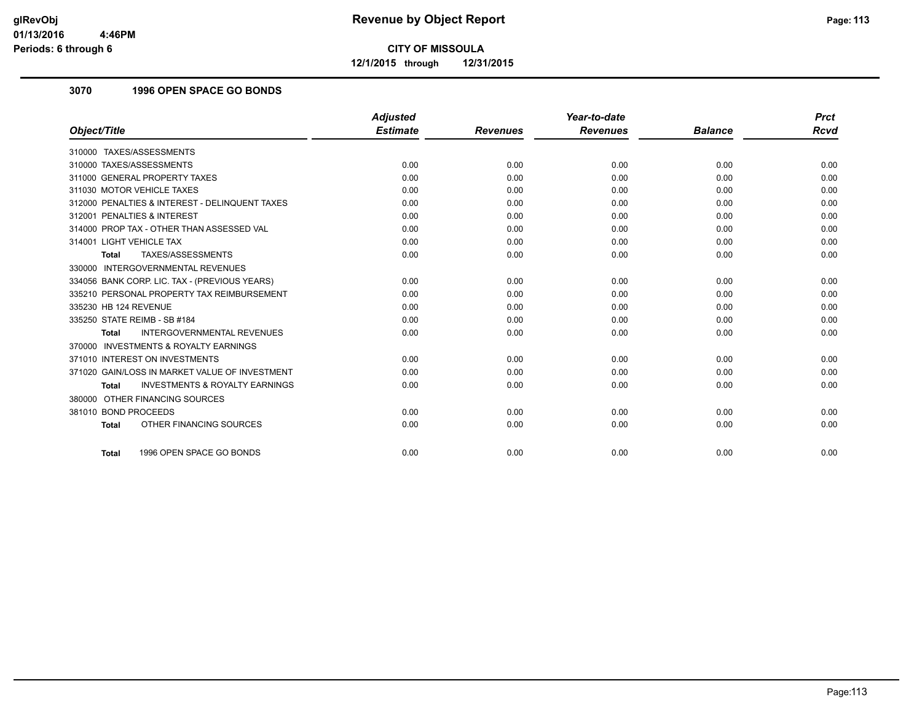**12/1/2015 through 12/31/2015**

## **3070 1996 OPEN SPACE GO BONDS**

|                                                           | <b>Adjusted</b> |                 | Year-to-date    |                | <b>Prct</b> |
|-----------------------------------------------------------|-----------------|-----------------|-----------------|----------------|-------------|
| Object/Title                                              | <b>Estimate</b> | <b>Revenues</b> | <b>Revenues</b> | <b>Balance</b> | <b>Rcvd</b> |
| 310000 TAXES/ASSESSMENTS                                  |                 |                 |                 |                |             |
| 310000 TAXES/ASSESSMENTS                                  | 0.00            | 0.00            | 0.00            | 0.00           | 0.00        |
| 311000 GENERAL PROPERTY TAXES                             | 0.00            | 0.00            | 0.00            | 0.00           | 0.00        |
| 311030 MOTOR VEHICLE TAXES                                | 0.00            | 0.00            | 0.00            | 0.00           | 0.00        |
| 312000 PENALTIES & INTEREST - DELINQUENT TAXES            | 0.00            | 0.00            | 0.00            | 0.00           | 0.00        |
| 312001 PENALTIES & INTEREST                               | 0.00            | 0.00            | 0.00            | 0.00           | 0.00        |
| 314000 PROP TAX - OTHER THAN ASSESSED VAL                 | 0.00            | 0.00            | 0.00            | 0.00           | 0.00        |
| 314001 LIGHT VEHICLE TAX                                  | 0.00            | 0.00            | 0.00            | 0.00           | 0.00        |
| TAXES/ASSESSMENTS<br><b>Total</b>                         | 0.00            | 0.00            | 0.00            | 0.00           | 0.00        |
| 330000 INTERGOVERNMENTAL REVENUES                         |                 |                 |                 |                |             |
| 334056 BANK CORP. LIC. TAX - (PREVIOUS YEARS)             | 0.00            | 0.00            | 0.00            | 0.00           | 0.00        |
| 335210 PERSONAL PROPERTY TAX REIMBURSEMENT                | 0.00            | 0.00            | 0.00            | 0.00           | 0.00        |
| 335230 HB 124 REVENUE                                     | 0.00            | 0.00            | 0.00            | 0.00           | 0.00        |
| 335250 STATE REIMB - SB #184                              | 0.00            | 0.00            | 0.00            | 0.00           | 0.00        |
| <b>INTERGOVERNMENTAL REVENUES</b><br><b>Total</b>         | 0.00            | 0.00            | 0.00            | 0.00           | 0.00        |
| 370000 INVESTMENTS & ROYALTY EARNINGS                     |                 |                 |                 |                |             |
| 371010 INTEREST ON INVESTMENTS                            | 0.00            | 0.00            | 0.00            | 0.00           | 0.00        |
| 371020 GAIN/LOSS IN MARKET VALUE OF INVESTMENT            | 0.00            | 0.00            | 0.00            | 0.00           | 0.00        |
| <b>INVESTMENTS &amp; ROYALTY EARNINGS</b><br><b>Total</b> | 0.00            | 0.00            | 0.00            | 0.00           | 0.00        |
| 380000 OTHER FINANCING SOURCES                            |                 |                 |                 |                |             |
| 381010 BOND PROCEEDS                                      | 0.00            | 0.00            | 0.00            | 0.00           | 0.00        |
| OTHER FINANCING SOURCES<br><b>Total</b>                   | 0.00            | 0.00            | 0.00            | 0.00           | 0.00        |
|                                                           |                 |                 |                 |                |             |
| 1996 OPEN SPACE GO BONDS<br><b>Total</b>                  | 0.00            | 0.00            | 0.00            | 0.00           | 0.00        |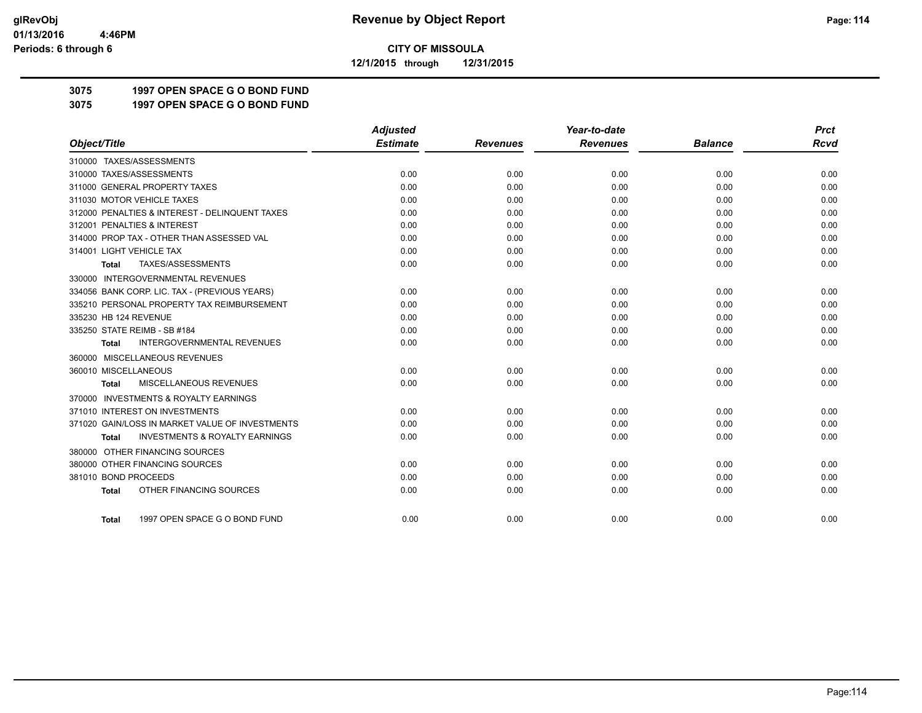**12/1/2015 through 12/31/2015**

# **3075 1997 OPEN SPACE G O BOND FUND**

**3075 1997 OPEN SPACE G O BOND FUND**

|                                                           | <b>Adjusted</b> |                 | Year-to-date    |                | <b>Prct</b> |
|-----------------------------------------------------------|-----------------|-----------------|-----------------|----------------|-------------|
| Object/Title                                              | <b>Estimate</b> | <b>Revenues</b> | <b>Revenues</b> | <b>Balance</b> | <b>Rcvd</b> |
| 310000 TAXES/ASSESSMENTS                                  |                 |                 |                 |                |             |
| 310000 TAXES/ASSESSMENTS                                  | 0.00            | 0.00            | 0.00            | 0.00           | 0.00        |
| 311000 GENERAL PROPERTY TAXES                             | 0.00            | 0.00            | 0.00            | 0.00           | 0.00        |
| 311030 MOTOR VEHICLE TAXES                                | 0.00            | 0.00            | 0.00            | 0.00           | 0.00        |
| 312000 PENALTIES & INTEREST - DELINQUENT TAXES            | 0.00            | 0.00            | 0.00            | 0.00           | 0.00        |
| 312001 PENALTIES & INTEREST                               | 0.00            | 0.00            | 0.00            | 0.00           | 0.00        |
| 314000 PROP TAX - OTHER THAN ASSESSED VAL                 | 0.00            | 0.00            | 0.00            | 0.00           | 0.00        |
| 314001 LIGHT VEHICLE TAX                                  | 0.00            | 0.00            | 0.00            | 0.00           | 0.00        |
| TAXES/ASSESSMENTS<br>Total                                | 0.00            | 0.00            | 0.00            | 0.00           | 0.00        |
| 330000 INTERGOVERNMENTAL REVENUES                         |                 |                 |                 |                |             |
| 334056 BANK CORP. LIC. TAX - (PREVIOUS YEARS)             | 0.00            | 0.00            | 0.00            | 0.00           | 0.00        |
| 335210 PERSONAL PROPERTY TAX REIMBURSEMENT                | 0.00            | 0.00            | 0.00            | 0.00           | 0.00        |
| 335230 HB 124 REVENUE                                     | 0.00            | 0.00            | 0.00            | 0.00           | 0.00        |
| 335250 STATE REIMB - SB #184                              | 0.00            | 0.00            | 0.00            | 0.00           | 0.00        |
| <b>INTERGOVERNMENTAL REVENUES</b><br><b>Total</b>         | 0.00            | 0.00            | 0.00            | 0.00           | 0.00        |
| 360000 MISCELLANEOUS REVENUES                             |                 |                 |                 |                |             |
| 360010 MISCELLANEOUS                                      | 0.00            | 0.00            | 0.00            | 0.00           | 0.00        |
| MISCELLANEOUS REVENUES<br><b>Total</b>                    | 0.00            | 0.00            | 0.00            | 0.00           | 0.00        |
| 370000 INVESTMENTS & ROYALTY EARNINGS                     |                 |                 |                 |                |             |
| 371010 INTEREST ON INVESTMENTS                            | 0.00            | 0.00            | 0.00            | 0.00           | 0.00        |
| 371020 GAIN/LOSS IN MARKET VALUE OF INVESTMENTS           | 0.00            | 0.00            | 0.00            | 0.00           | 0.00        |
| <b>INVESTMENTS &amp; ROYALTY EARNINGS</b><br><b>Total</b> | 0.00            | 0.00            | 0.00            | 0.00           | 0.00        |
| 380000 OTHER FINANCING SOURCES                            |                 |                 |                 |                |             |
| 380000 OTHER FINANCING SOURCES                            | 0.00            | 0.00            | 0.00            | 0.00           | 0.00        |
| 381010 BOND PROCEEDS                                      | 0.00            | 0.00            | 0.00            | 0.00           | 0.00        |
| OTHER FINANCING SOURCES<br><b>Total</b>                   | 0.00            | 0.00            | 0.00            | 0.00           | 0.00        |
|                                                           |                 |                 |                 |                |             |
| 1997 OPEN SPACE G O BOND FUND<br><b>Total</b>             | 0.00            | 0.00            | 0.00            | 0.00           | 0.00        |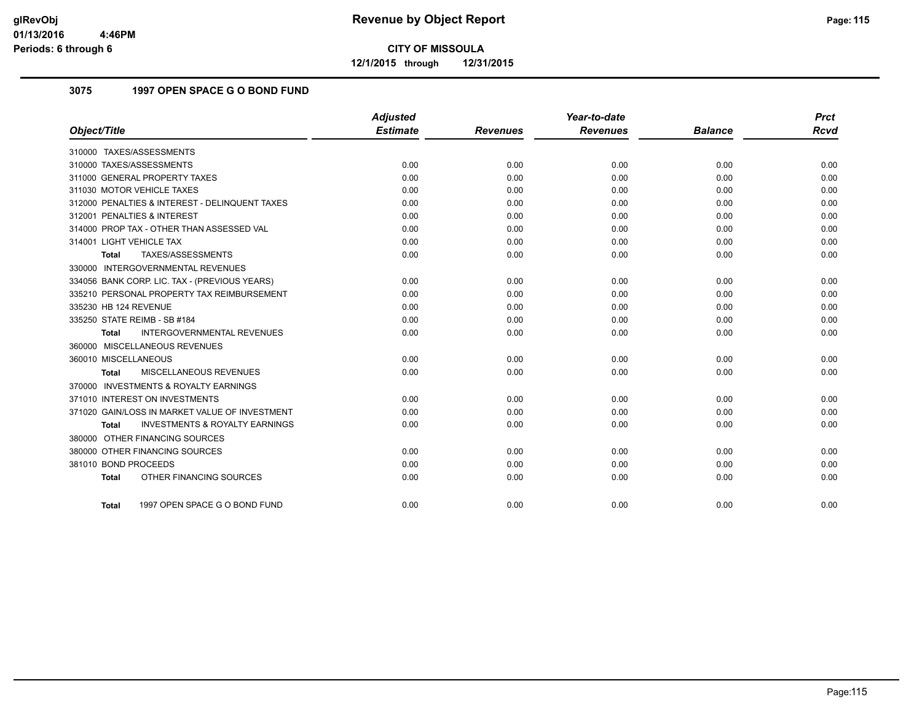**12/1/2015 through 12/31/2015**

# **3075 1997 OPEN SPACE G O BOND FUND**

|                                                           | <b>Adjusted</b> |                 | Year-to-date    |                | <b>Prct</b> |
|-----------------------------------------------------------|-----------------|-----------------|-----------------|----------------|-------------|
| Object/Title                                              | <b>Estimate</b> | <b>Revenues</b> | <b>Revenues</b> | <b>Balance</b> | <b>Rcvd</b> |
| 310000 TAXES/ASSESSMENTS                                  |                 |                 |                 |                |             |
| 310000 TAXES/ASSESSMENTS                                  | 0.00            | 0.00            | 0.00            | 0.00           | 0.00        |
| 311000 GENERAL PROPERTY TAXES                             | 0.00            | 0.00            | 0.00            | 0.00           | 0.00        |
| 311030 MOTOR VEHICLE TAXES                                | 0.00            | 0.00            | 0.00            | 0.00           | 0.00        |
| 312000 PENALTIES & INTEREST - DELINQUENT TAXES            | 0.00            | 0.00            | 0.00            | 0.00           | 0.00        |
| 312001 PENALTIES & INTEREST                               | 0.00            | 0.00            | 0.00            | 0.00           | 0.00        |
| 314000 PROP TAX - OTHER THAN ASSESSED VAL                 | 0.00            | 0.00            | 0.00            | 0.00           | 0.00        |
| 314001 LIGHT VEHICLE TAX                                  | 0.00            | 0.00            | 0.00            | 0.00           | 0.00        |
| TAXES/ASSESSMENTS<br><b>Total</b>                         | 0.00            | 0.00            | 0.00            | 0.00           | 0.00        |
| 330000 INTERGOVERNMENTAL REVENUES                         |                 |                 |                 |                |             |
| 334056 BANK CORP. LIC. TAX - (PREVIOUS YEARS)             | 0.00            | 0.00            | 0.00            | 0.00           | 0.00        |
| 335210 PERSONAL PROPERTY TAX REIMBURSEMENT                | 0.00            | 0.00            | 0.00            | 0.00           | 0.00        |
| 335230 HB 124 REVENUE                                     | 0.00            | 0.00            | 0.00            | 0.00           | 0.00        |
| 335250 STATE REIMB - SB #184                              | 0.00            | 0.00            | 0.00            | 0.00           | 0.00        |
| <b>INTERGOVERNMENTAL REVENUES</b><br><b>Total</b>         | 0.00            | 0.00            | 0.00            | 0.00           | 0.00        |
| 360000 MISCELLANEOUS REVENUES                             |                 |                 |                 |                |             |
| 360010 MISCELLANEOUS                                      | 0.00            | 0.00            | 0.00            | 0.00           | 0.00        |
| <b>MISCELLANEOUS REVENUES</b><br>Total                    | 0.00            | 0.00            | 0.00            | 0.00           | 0.00        |
| 370000 INVESTMENTS & ROYALTY EARNINGS                     |                 |                 |                 |                |             |
| 371010 INTEREST ON INVESTMENTS                            | 0.00            | 0.00            | 0.00            | 0.00           | 0.00        |
| 371020 GAIN/LOSS IN MARKET VALUE OF INVESTMENT            | 0.00            | 0.00            | 0.00            | 0.00           | 0.00        |
| <b>INVESTMENTS &amp; ROYALTY EARNINGS</b><br><b>Total</b> | 0.00            | 0.00            | 0.00            | 0.00           | 0.00        |
| 380000 OTHER FINANCING SOURCES                            |                 |                 |                 |                |             |
| 380000 OTHER FINANCING SOURCES                            | 0.00            | 0.00            | 0.00            | 0.00           | 0.00        |
| 381010 BOND PROCEEDS                                      | 0.00            | 0.00            | 0.00            | 0.00           | 0.00        |
| OTHER FINANCING SOURCES<br><b>Total</b>                   | 0.00            | 0.00            | 0.00            | 0.00           | 0.00        |
|                                                           |                 |                 |                 |                |             |
| 1997 OPEN SPACE G O BOND FUND<br>Total                    | 0.00            | 0.00            | 0.00            | 0.00           | 0.00        |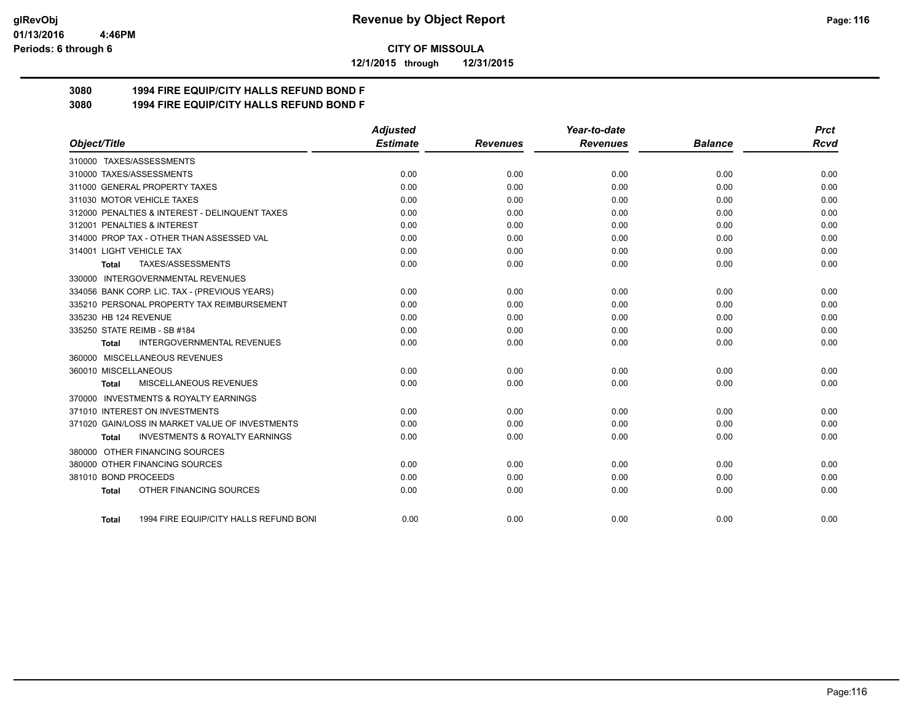#### **01/13/2016 4:46PM Periods: 6 through 6**

**CITY OF MISSOULA**

**12/1/2015 through 12/31/2015**

# **3080 1994 FIRE EQUIP/CITY HALLS REFUND BOND F**

**3080 1994 FIRE EQUIP/CITY HALLS REFUND BOND F**

|                                                           | <b>Adjusted</b> |                 | Year-to-date    |                | <b>Prct</b> |
|-----------------------------------------------------------|-----------------|-----------------|-----------------|----------------|-------------|
| Object/Title                                              | <b>Estimate</b> | <b>Revenues</b> | <b>Revenues</b> | <b>Balance</b> | Rcvd        |
| 310000 TAXES/ASSESSMENTS                                  |                 |                 |                 |                |             |
| 310000 TAXES/ASSESSMENTS                                  | 0.00            | 0.00            | 0.00            | 0.00           | 0.00        |
| 311000 GENERAL PROPERTY TAXES                             | 0.00            | 0.00            | 0.00            | 0.00           | 0.00        |
| 311030 MOTOR VEHICLE TAXES                                | 0.00            | 0.00            | 0.00            | 0.00           | 0.00        |
| 312000 PENALTIES & INTEREST - DELINQUENT TAXES            | 0.00            | 0.00            | 0.00            | 0.00           | 0.00        |
| 312001 PENALTIES & INTEREST                               | 0.00            | 0.00            | 0.00            | 0.00           | 0.00        |
| 314000 PROP TAX - OTHER THAN ASSESSED VAL                 | 0.00            | 0.00            | 0.00            | 0.00           | 0.00        |
| 314001 LIGHT VEHICLE TAX                                  | 0.00            | 0.00            | 0.00            | 0.00           | 0.00        |
| TAXES/ASSESSMENTS<br><b>Total</b>                         | 0.00            | 0.00            | 0.00            | 0.00           | 0.00        |
| 330000 INTERGOVERNMENTAL REVENUES                         |                 |                 |                 |                |             |
| 334056 BANK CORP. LIC. TAX - (PREVIOUS YEARS)             | 0.00            | 0.00            | 0.00            | 0.00           | 0.00        |
| 335210 PERSONAL PROPERTY TAX REIMBURSEMENT                | 0.00            | 0.00            | 0.00            | 0.00           | 0.00        |
| 335230 HB 124 REVENUE                                     | 0.00            | 0.00            | 0.00            | 0.00           | 0.00        |
| 335250 STATE REIMB - SB #184                              | 0.00            | 0.00            | 0.00            | 0.00           | 0.00        |
| <b>INTERGOVERNMENTAL REVENUES</b><br>Total                | 0.00            | 0.00            | 0.00            | 0.00           | 0.00        |
| 360000 MISCELLANEOUS REVENUES                             |                 |                 |                 |                |             |
| 360010 MISCELLANEOUS                                      | 0.00            | 0.00            | 0.00            | 0.00           | 0.00        |
| MISCELLANEOUS REVENUES<br><b>Total</b>                    | 0.00            | 0.00            | 0.00            | 0.00           | 0.00        |
| 370000 INVESTMENTS & ROYALTY EARNINGS                     |                 |                 |                 |                |             |
| 371010 INTEREST ON INVESTMENTS                            | 0.00            | 0.00            | 0.00            | 0.00           | 0.00        |
| 371020 GAIN/LOSS IN MARKET VALUE OF INVESTMENTS           | 0.00            | 0.00            | 0.00            | 0.00           | 0.00        |
| <b>INVESTMENTS &amp; ROYALTY EARNINGS</b><br><b>Total</b> | 0.00            | 0.00            | 0.00            | 0.00           | 0.00        |
| 380000 OTHER FINANCING SOURCES                            |                 |                 |                 |                |             |
| 380000 OTHER FINANCING SOURCES                            | 0.00            | 0.00            | 0.00            | 0.00           | 0.00        |
| 381010 BOND PROCEEDS                                      | 0.00            | 0.00            | 0.00            | 0.00           | 0.00        |
| OTHER FINANCING SOURCES<br><b>Total</b>                   | 0.00            | 0.00            | 0.00            | 0.00           | 0.00        |
| 1994 FIRE EQUIP/CITY HALLS REFUND BONI<br>Total           | 0.00            | 0.00            | 0.00            | 0.00           | 0.00        |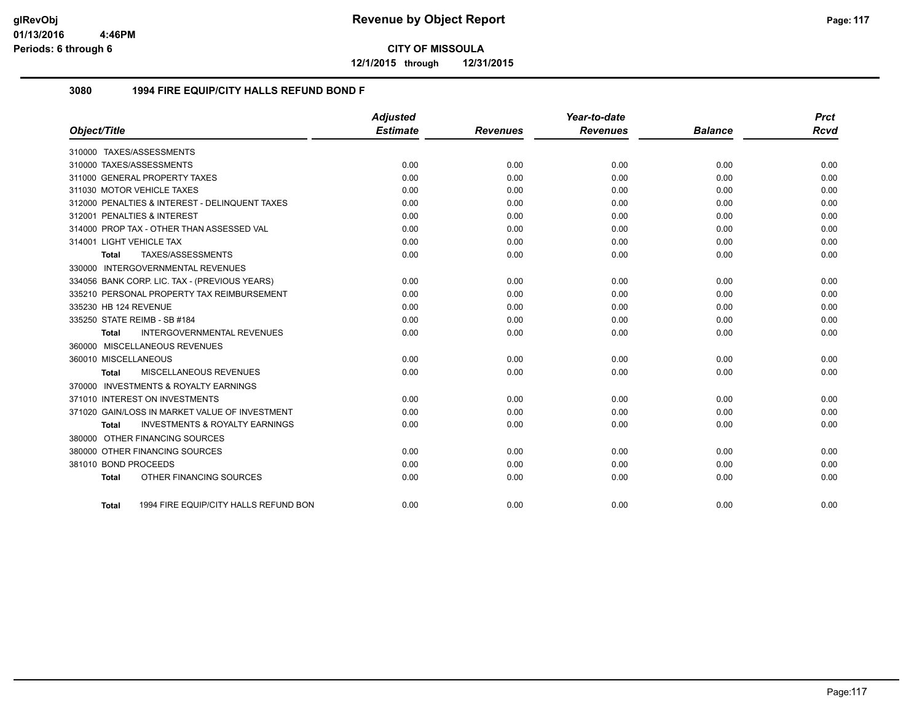**12/1/2015 through 12/31/2015**

## **3080 1994 FIRE EQUIP/CITY HALLS REFUND BOND F**

|                          |                                                | <b>Adjusted</b> |                 | Year-to-date    |                | <b>Prct</b> |
|--------------------------|------------------------------------------------|-----------------|-----------------|-----------------|----------------|-------------|
| Object/Title             |                                                | <b>Estimate</b> | <b>Revenues</b> | <b>Revenues</b> | <b>Balance</b> | <b>Rcvd</b> |
|                          | 310000 TAXES/ASSESSMENTS                       |                 |                 |                 |                |             |
|                          | 310000 TAXES/ASSESSMENTS                       | 0.00            | 0.00            | 0.00            | 0.00           | 0.00        |
|                          | 311000 GENERAL PROPERTY TAXES                  | 0.00            | 0.00            | 0.00            | 0.00           | 0.00        |
|                          | 311030 MOTOR VEHICLE TAXES                     | 0.00            | 0.00            | 0.00            | 0.00           | 0.00        |
|                          | 312000 PENALTIES & INTEREST - DELINQUENT TAXES | 0.00            | 0.00            | 0.00            | 0.00           | 0.00        |
|                          | 312001 PENALTIES & INTEREST                    | 0.00            | 0.00            | 0.00            | 0.00           | 0.00        |
|                          | 314000 PROP TAX - OTHER THAN ASSESSED VAL      | 0.00            | 0.00            | 0.00            | 0.00           | 0.00        |
| 314001 LIGHT VEHICLE TAX |                                                | 0.00            | 0.00            | 0.00            | 0.00           | 0.00        |
| <b>Total</b>             | TAXES/ASSESSMENTS                              | 0.00            | 0.00            | 0.00            | 0.00           | 0.00        |
|                          | 330000 INTERGOVERNMENTAL REVENUES              |                 |                 |                 |                |             |
|                          | 334056 BANK CORP. LIC. TAX - (PREVIOUS YEARS)  | 0.00            | 0.00            | 0.00            | 0.00           | 0.00        |
|                          | 335210 PERSONAL PROPERTY TAX REIMBURSEMENT     | 0.00            | 0.00            | 0.00            | 0.00           | 0.00        |
| 335230 HB 124 REVENUE    |                                                | 0.00            | 0.00            | 0.00            | 0.00           | 0.00        |
|                          | 335250 STATE REIMB - SB #184                   | 0.00            | 0.00            | 0.00            | 0.00           | 0.00        |
| <b>Total</b>             | <b>INTERGOVERNMENTAL REVENUES</b>              | 0.00            | 0.00            | 0.00            | 0.00           | 0.00        |
|                          | 360000 MISCELLANEOUS REVENUES                  |                 |                 |                 |                |             |
| 360010 MISCELLANEOUS     |                                                | 0.00            | 0.00            | 0.00            | 0.00           | 0.00        |
| <b>Total</b>             | MISCELLANEOUS REVENUES                         | 0.00            | 0.00            | 0.00            | 0.00           | 0.00        |
|                          | 370000 INVESTMENTS & ROYALTY EARNINGS          |                 |                 |                 |                |             |
|                          | 371010 INTEREST ON INVESTMENTS                 | 0.00            | 0.00            | 0.00            | 0.00           | 0.00        |
|                          | 371020 GAIN/LOSS IN MARKET VALUE OF INVESTMENT | 0.00            | 0.00            | 0.00            | 0.00           | 0.00        |
| <b>Total</b>             | <b>INVESTMENTS &amp; ROYALTY EARNINGS</b>      | 0.00            | 0.00            | 0.00            | 0.00           | 0.00        |
|                          | 380000 OTHER FINANCING SOURCES                 |                 |                 |                 |                |             |
|                          | 380000 OTHER FINANCING SOURCES                 | 0.00            | 0.00            | 0.00            | 0.00           | 0.00        |
| 381010 BOND PROCEEDS     |                                                | 0.00            | 0.00            | 0.00            | 0.00           | 0.00        |
| <b>Total</b>             | OTHER FINANCING SOURCES                        | 0.00            | 0.00            | 0.00            | 0.00           | 0.00        |
|                          |                                                |                 |                 |                 |                |             |
| Total                    | 1994 FIRE EQUIP/CITY HALLS REFUND BON          | 0.00            | 0.00            | 0.00            | 0.00           | 0.00        |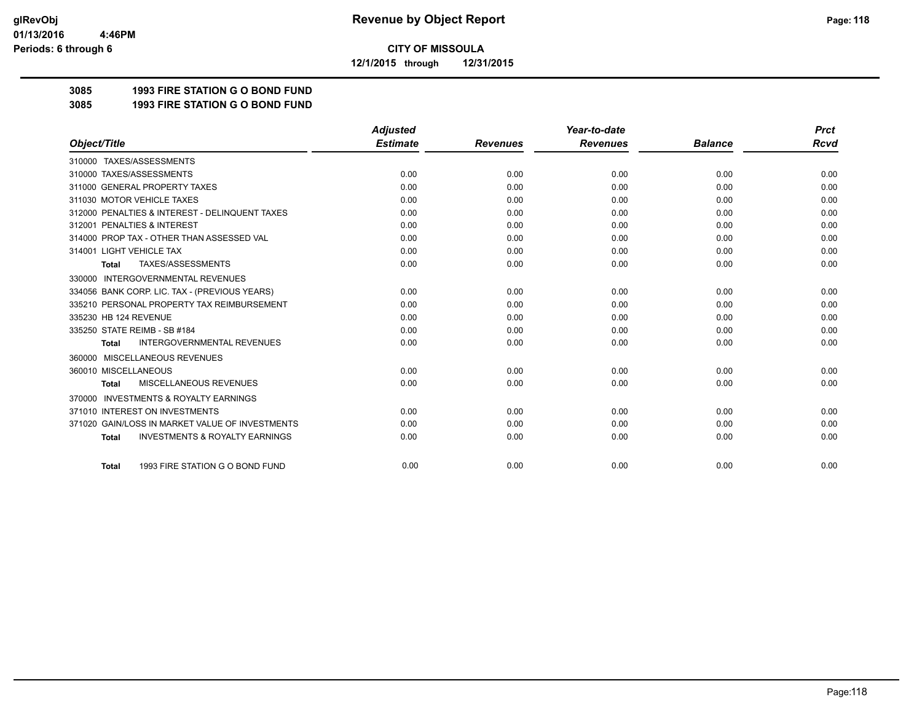**12/1/2015 through 12/31/2015**

# **3085 1993 FIRE STATION G O BOND FUND**

**3085 1993 FIRE STATION G O BOND FUND**

|                                                           | <b>Adjusted</b> |                 | Year-to-date    |                | <b>Prct</b> |
|-----------------------------------------------------------|-----------------|-----------------|-----------------|----------------|-------------|
| Object/Title                                              | <b>Estimate</b> | <b>Revenues</b> | <b>Revenues</b> | <b>Balance</b> | <b>Rcvd</b> |
| 310000 TAXES/ASSESSMENTS                                  |                 |                 |                 |                |             |
| 310000 TAXES/ASSESSMENTS                                  | 0.00            | 0.00            | 0.00            | 0.00           | 0.00        |
| 311000 GENERAL PROPERTY TAXES                             | 0.00            | 0.00            | 0.00            | 0.00           | 0.00        |
| 311030 MOTOR VEHICLE TAXES                                | 0.00            | 0.00            | 0.00            | 0.00           | 0.00        |
| 312000 PENALTIES & INTEREST - DELINQUENT TAXES            | 0.00            | 0.00            | 0.00            | 0.00           | 0.00        |
| 312001 PENALTIES & INTEREST                               | 0.00            | 0.00            | 0.00            | 0.00           | 0.00        |
| 314000 PROP TAX - OTHER THAN ASSESSED VAL                 | 0.00            | 0.00            | 0.00            | 0.00           | 0.00        |
| 314001 LIGHT VEHICLE TAX                                  | 0.00            | 0.00            | 0.00            | 0.00           | 0.00        |
| TAXES/ASSESSMENTS<br><b>Total</b>                         | 0.00            | 0.00            | 0.00            | 0.00           | 0.00        |
| <b>INTERGOVERNMENTAL REVENUES</b><br>330000               |                 |                 |                 |                |             |
| 334056 BANK CORP. LIC. TAX - (PREVIOUS YEARS)             | 0.00            | 0.00            | 0.00            | 0.00           | 0.00        |
| 335210 PERSONAL PROPERTY TAX REIMBURSEMENT                | 0.00            | 0.00            | 0.00            | 0.00           | 0.00        |
| 335230 HB 124 REVENUE                                     | 0.00            | 0.00            | 0.00            | 0.00           | 0.00        |
| 335250 STATE REIMB - SB #184                              | 0.00            | 0.00            | 0.00            | 0.00           | 0.00        |
| <b>INTERGOVERNMENTAL REVENUES</b><br><b>Total</b>         | 0.00            | 0.00            | 0.00            | 0.00           | 0.00        |
| MISCELLANEOUS REVENUES<br>360000                          |                 |                 |                 |                |             |
| 360010 MISCELLANEOUS                                      | 0.00            | 0.00            | 0.00            | 0.00           | 0.00        |
| MISCELLANEOUS REVENUES<br><b>Total</b>                    | 0.00            | 0.00            | 0.00            | 0.00           | 0.00        |
| <b>INVESTMENTS &amp; ROYALTY EARNINGS</b><br>370000       |                 |                 |                 |                |             |
| 371010 INTEREST ON INVESTMENTS                            | 0.00            | 0.00            | 0.00            | 0.00           | 0.00        |
| 371020 GAIN/LOSS IN MARKET VALUE OF INVESTMENTS           | 0.00            | 0.00            | 0.00            | 0.00           | 0.00        |
| <b>INVESTMENTS &amp; ROYALTY EARNINGS</b><br><b>Total</b> | 0.00            | 0.00            | 0.00            | 0.00           | 0.00        |
| 1993 FIRE STATION G O BOND FUND<br><b>Total</b>           | 0.00            | 0.00            | 0.00            | 0.00           | 0.00        |
|                                                           |                 |                 |                 |                |             |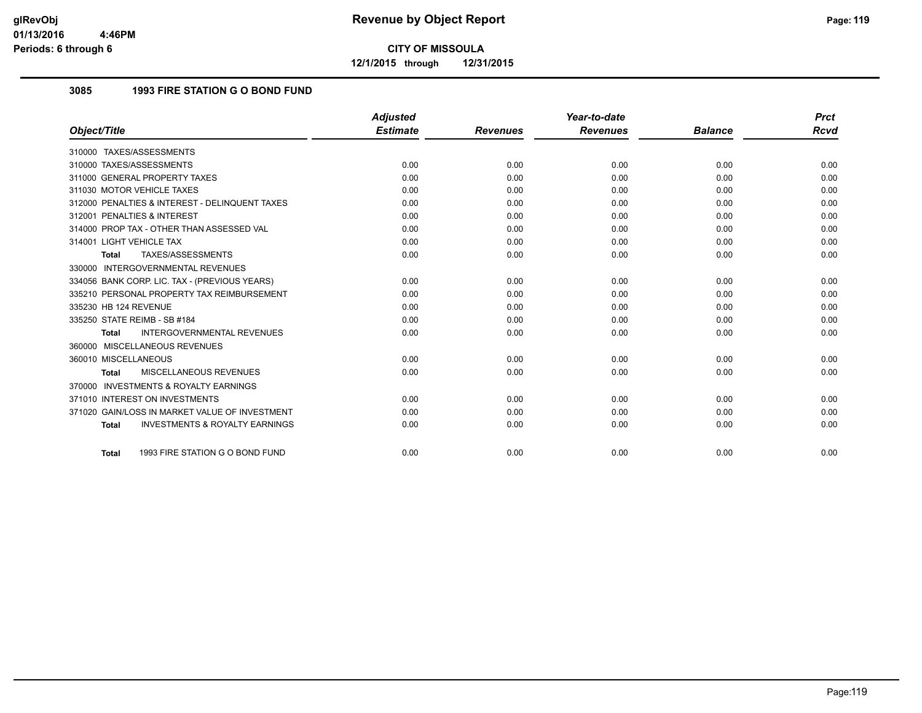**12/1/2015 through 12/31/2015**

# **3085 1993 FIRE STATION G O BOND FUND**

|                                                    | <b>Adjusted</b> |                 | Year-to-date    |                | <b>Prct</b> |
|----------------------------------------------------|-----------------|-----------------|-----------------|----------------|-------------|
| Object/Title                                       | <b>Estimate</b> | <b>Revenues</b> | <b>Revenues</b> | <b>Balance</b> | Rcvd        |
| 310000 TAXES/ASSESSMENTS                           |                 |                 |                 |                |             |
| 310000 TAXES/ASSESSMENTS                           | 0.00            | 0.00            | 0.00            | 0.00           | 0.00        |
| 311000 GENERAL PROPERTY TAXES                      | 0.00            | 0.00            | 0.00            | 0.00           | 0.00        |
| 311030 MOTOR VEHICLE TAXES                         | 0.00            | 0.00            | 0.00            | 0.00           | 0.00        |
| 312000 PENALTIES & INTEREST - DELINQUENT TAXES     | 0.00            | 0.00            | 0.00            | 0.00           | 0.00        |
| 312001 PENALTIES & INTEREST                        | 0.00            | 0.00            | 0.00            | 0.00           | 0.00        |
| 314000 PROP TAX - OTHER THAN ASSESSED VAL          | 0.00            | 0.00            | 0.00            | 0.00           | 0.00        |
| 314001 LIGHT VEHICLE TAX                           | 0.00            | 0.00            | 0.00            | 0.00           | 0.00        |
| TAXES/ASSESSMENTS<br>Total                         | 0.00            | 0.00            | 0.00            | 0.00           | 0.00        |
| 330000 INTERGOVERNMENTAL REVENUES                  |                 |                 |                 |                |             |
| 334056 BANK CORP. LIC. TAX - (PREVIOUS YEARS)      | 0.00            | 0.00            | 0.00            | 0.00           | 0.00        |
| 335210 PERSONAL PROPERTY TAX REIMBURSEMENT         | 0.00            | 0.00            | 0.00            | 0.00           | 0.00        |
| 335230 HB 124 REVENUE                              | 0.00            | 0.00            | 0.00            | 0.00           | 0.00        |
| 335250 STATE REIMB - SB #184                       | 0.00            | 0.00            | 0.00            | 0.00           | 0.00        |
| <b>INTERGOVERNMENTAL REVENUES</b><br><b>Total</b>  | 0.00            | 0.00            | 0.00            | 0.00           | 0.00        |
| 360000 MISCELLANEOUS REVENUES                      |                 |                 |                 |                |             |
| 360010 MISCELLANEOUS                               | 0.00            | 0.00            | 0.00            | 0.00           | 0.00        |
| MISCELLANEOUS REVENUES<br><b>Total</b>             | 0.00            | 0.00            | 0.00            | 0.00           | 0.00        |
| 370000 INVESTMENTS & ROYALTY EARNINGS              |                 |                 |                 |                |             |
| 371010 INTEREST ON INVESTMENTS                     | 0.00            | 0.00            | 0.00            | 0.00           | 0.00        |
| 371020 GAIN/LOSS IN MARKET VALUE OF INVESTMENT     | 0.00            | 0.00            | 0.00            | 0.00           | 0.00        |
| <b>INVESTMENTS &amp; ROYALTY EARNINGS</b><br>Total | 0.00            | 0.00            | 0.00            | 0.00           | 0.00        |
| 1993 FIRE STATION G O BOND FUND<br><b>Total</b>    | 0.00            | 0.00            | 0.00            | 0.00           | 0.00        |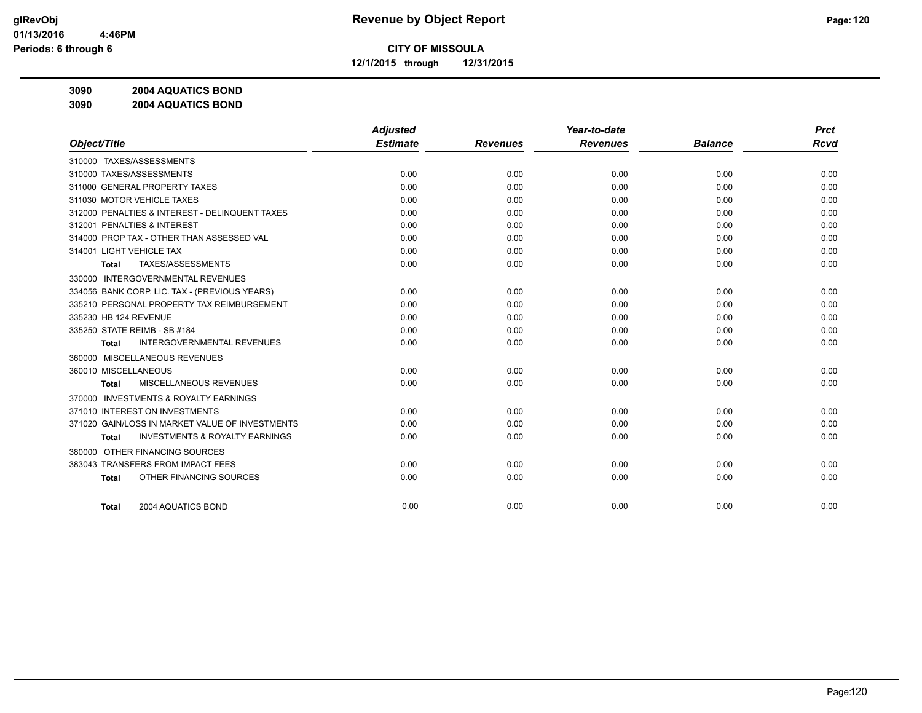**12/1/2015 through 12/31/2015**

**3090 2004 AQUATICS BOND**

**3090 2004 AQUATICS BOND**

|                                                     | <b>Adjusted</b> |                 | Year-to-date    |                | <b>Prct</b> |
|-----------------------------------------------------|-----------------|-----------------|-----------------|----------------|-------------|
| Object/Title                                        | <b>Estimate</b> | <b>Revenues</b> | <b>Revenues</b> | <b>Balance</b> | <b>Rcvd</b> |
| 310000 TAXES/ASSESSMENTS                            |                 |                 |                 |                |             |
| 310000 TAXES/ASSESSMENTS                            | 0.00            | 0.00            | 0.00            | 0.00           | 0.00        |
| 311000 GENERAL PROPERTY TAXES                       | 0.00            | 0.00            | 0.00            | 0.00           | 0.00        |
| 311030 MOTOR VEHICLE TAXES                          | 0.00            | 0.00            | 0.00            | 0.00           | 0.00        |
| 312000 PENALTIES & INTEREST - DELINQUENT TAXES      | 0.00            | 0.00            | 0.00            | 0.00           | 0.00        |
| 312001 PENALTIES & INTEREST                         | 0.00            | 0.00            | 0.00            | 0.00           | 0.00        |
| 314000 PROP TAX - OTHER THAN ASSESSED VAL           | 0.00            | 0.00            | 0.00            | 0.00           | 0.00        |
| 314001 LIGHT VEHICLE TAX                            | 0.00            | 0.00            | 0.00            | 0.00           | 0.00        |
| TAXES/ASSESSMENTS<br>Total                          | 0.00            | 0.00            | 0.00            | 0.00           | 0.00        |
| <b>INTERGOVERNMENTAL REVENUES</b><br>330000         |                 |                 |                 |                |             |
| 334056 BANK CORP. LIC. TAX - (PREVIOUS YEARS)       | 0.00            | 0.00            | 0.00            | 0.00           | 0.00        |
| 335210 PERSONAL PROPERTY TAX REIMBURSEMENT          | 0.00            | 0.00            | 0.00            | 0.00           | 0.00        |
| 335230 HB 124 REVENUE                               | 0.00            | 0.00            | 0.00            | 0.00           | 0.00        |
| 335250 STATE REIMB - SB #184                        | 0.00            | 0.00            | 0.00            | 0.00           | 0.00        |
| <b>INTERGOVERNMENTAL REVENUES</b><br><b>Total</b>   | 0.00            | 0.00            | 0.00            | 0.00           | 0.00        |
| 360000 MISCELLANEOUS REVENUES                       |                 |                 |                 |                |             |
| 360010 MISCELLANEOUS                                | 0.00            | 0.00            | 0.00            | 0.00           | 0.00        |
| MISCELLANEOUS REVENUES<br>Total                     | 0.00            | 0.00            | 0.00            | 0.00           | 0.00        |
| <b>INVESTMENTS &amp; ROYALTY EARNINGS</b><br>370000 |                 |                 |                 |                |             |
| 371010 INTEREST ON INVESTMENTS                      | 0.00            | 0.00            | 0.00            | 0.00           | 0.00        |
| 371020 GAIN/LOSS IN MARKET VALUE OF INVESTMENTS     | 0.00            | 0.00            | 0.00            | 0.00           | 0.00        |
| <b>INVESTMENTS &amp; ROYALTY EARNINGS</b><br>Total  | 0.00            | 0.00            | 0.00            | 0.00           | 0.00        |
| OTHER FINANCING SOURCES<br>380000                   |                 |                 |                 |                |             |
| 383043 TRANSFERS FROM IMPACT FEES                   | 0.00            | 0.00            | 0.00            | 0.00           | 0.00        |
| OTHER FINANCING SOURCES<br>Total                    | 0.00            | 0.00            | 0.00            | 0.00           | 0.00        |
|                                                     |                 |                 |                 |                |             |
| 2004 AQUATICS BOND<br><b>Total</b>                  | 0.00            | 0.00            | 0.00            | 0.00           | 0.00        |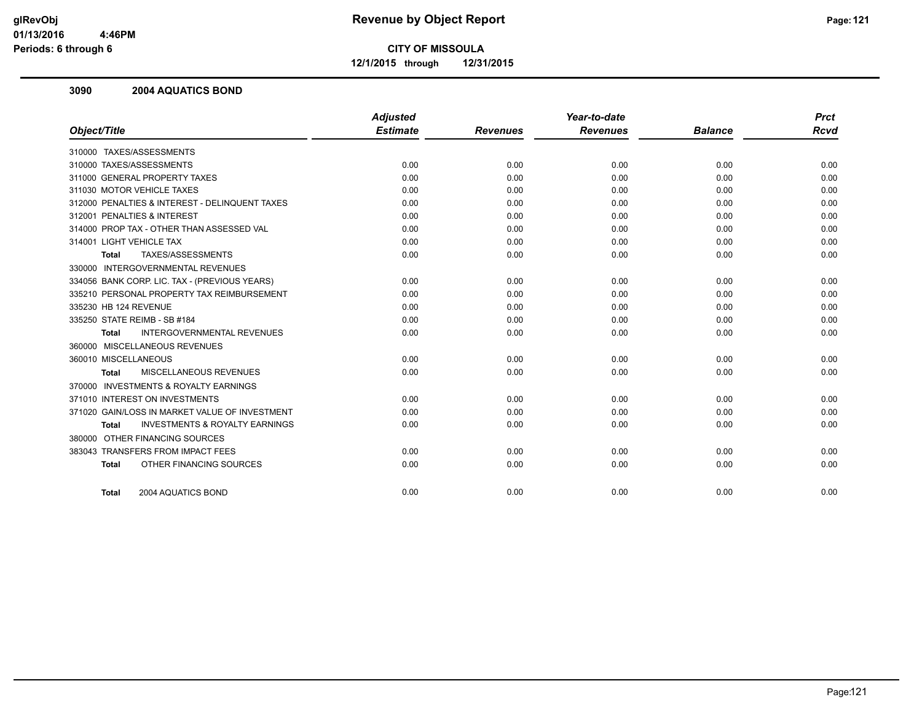**12/1/2015 through 12/31/2015**

### **3090 2004 AQUATICS BOND**

|                                                           | <b>Adjusted</b> |                 | Year-to-date    |                | <b>Prct</b> |
|-----------------------------------------------------------|-----------------|-----------------|-----------------|----------------|-------------|
| Object/Title                                              | <b>Estimate</b> | <b>Revenues</b> | <b>Revenues</b> | <b>Balance</b> | <b>Rcvd</b> |
| 310000 TAXES/ASSESSMENTS                                  |                 |                 |                 |                |             |
| 310000 TAXES/ASSESSMENTS                                  | 0.00            | 0.00            | 0.00            | 0.00           | 0.00        |
| 311000 GENERAL PROPERTY TAXES                             | 0.00            | 0.00            | 0.00            | 0.00           | 0.00        |
| 311030 MOTOR VEHICLE TAXES                                | 0.00            | 0.00            | 0.00            | 0.00           | 0.00        |
| 312000 PENALTIES & INTEREST - DELINQUENT TAXES            | 0.00            | 0.00            | 0.00            | 0.00           | 0.00        |
| 312001 PENALTIES & INTEREST                               | 0.00            | 0.00            | 0.00            | 0.00           | 0.00        |
| 314000 PROP TAX - OTHER THAN ASSESSED VAL                 | 0.00            | 0.00            | 0.00            | 0.00           | 0.00        |
| 314001 LIGHT VEHICLE TAX                                  | 0.00            | 0.00            | 0.00            | 0.00           | 0.00        |
| TAXES/ASSESSMENTS<br><b>Total</b>                         | 0.00            | 0.00            | 0.00            | 0.00           | 0.00        |
| 330000 INTERGOVERNMENTAL REVENUES                         |                 |                 |                 |                |             |
| 334056 BANK CORP. LIC. TAX - (PREVIOUS YEARS)             | 0.00            | 0.00            | 0.00            | 0.00           | 0.00        |
| 335210 PERSONAL PROPERTY TAX REIMBURSEMENT                | 0.00            | 0.00            | 0.00            | 0.00           | 0.00        |
| 335230 HB 124 REVENUE                                     | 0.00            | 0.00            | 0.00            | 0.00           | 0.00        |
| 335250 STATE REIMB - SB #184                              | 0.00            | 0.00            | 0.00            | 0.00           | 0.00        |
| <b>INTERGOVERNMENTAL REVENUES</b><br><b>Total</b>         | 0.00            | 0.00            | 0.00            | 0.00           | 0.00        |
| 360000 MISCELLANEOUS REVENUES                             |                 |                 |                 |                |             |
| 360010 MISCELLANEOUS                                      | 0.00            | 0.00            | 0.00            | 0.00           | 0.00        |
| MISCELLANEOUS REVENUES<br>Total                           | 0.00            | 0.00            | 0.00            | 0.00           | 0.00        |
| 370000 INVESTMENTS & ROYALTY EARNINGS                     |                 |                 |                 |                |             |
| 371010 INTEREST ON INVESTMENTS                            | 0.00            | 0.00            | 0.00            | 0.00           | 0.00        |
| 371020 GAIN/LOSS IN MARKET VALUE OF INVESTMENT            | 0.00            | 0.00            | 0.00            | 0.00           | 0.00        |
| <b>INVESTMENTS &amp; ROYALTY EARNINGS</b><br><b>Total</b> | 0.00            | 0.00            | 0.00            | 0.00           | 0.00        |
| 380000 OTHER FINANCING SOURCES                            |                 |                 |                 |                |             |
| 383043 TRANSFERS FROM IMPACT FEES                         | 0.00            | 0.00            | 0.00            | 0.00           | 0.00        |
| OTHER FINANCING SOURCES<br><b>Total</b>                   | 0.00            | 0.00            | 0.00            | 0.00           | 0.00        |
| 2004 AQUATICS BOND<br>Total                               | 0.00            | 0.00            | 0.00            | 0.00           | 0.00        |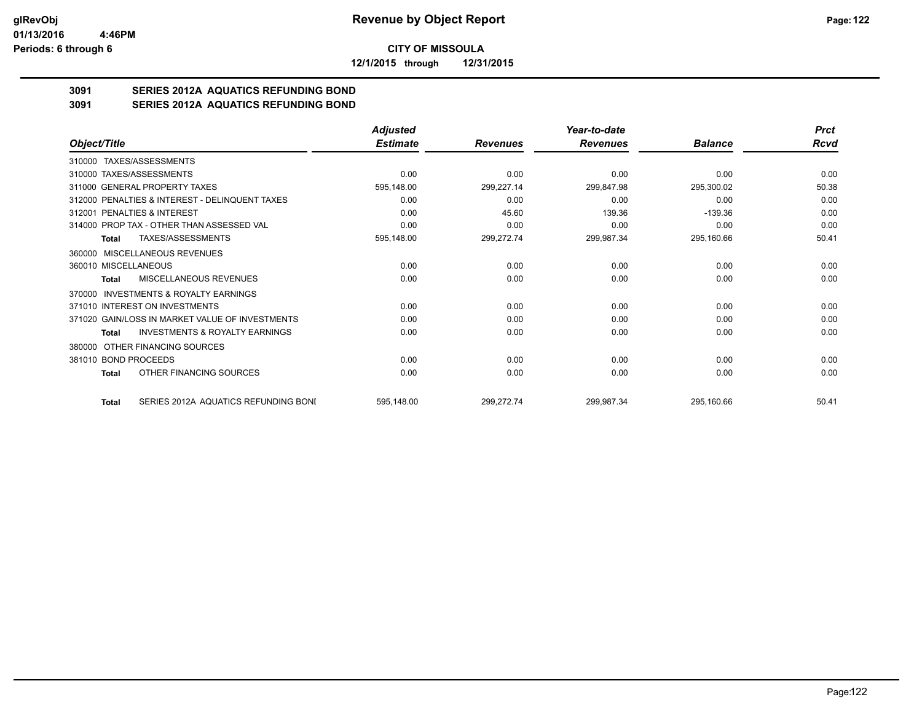**12/1/2015 through 12/31/2015**

# **3091 SERIES 2012A AQUATICS REFUNDING BOND**

**3091 SERIES 2012A AQUATICS REFUNDING BOND**

|                                                           | <b>Adjusted</b> |                 | Year-to-date    |                | <b>Prct</b> |
|-----------------------------------------------------------|-----------------|-----------------|-----------------|----------------|-------------|
| Object/Title                                              | <b>Estimate</b> | <b>Revenues</b> | <b>Revenues</b> | <b>Balance</b> | Rcvd        |
| 310000 TAXES/ASSESSMENTS                                  |                 |                 |                 |                |             |
| 310000 TAXES/ASSESSMENTS                                  | 0.00            | 0.00            | 0.00            | 0.00           | 0.00        |
| 311000 GENERAL PROPERTY TAXES                             | 595,148.00      | 299,227.14      | 299,847.98      | 295,300.02     | 50.38       |
| 312000 PENALTIES & INTEREST - DELINQUENT TAXES            | 0.00            | 0.00            | 0.00            | 0.00           | 0.00        |
| 312001 PENALTIES & INTEREST                               | 0.00            | 45.60           | 139.36          | $-139.36$      | 0.00        |
| 314000 PROP TAX - OTHER THAN ASSESSED VAL                 | 0.00            | 0.00            | 0.00            | 0.00           | 0.00        |
| <b>TAXES/ASSESSMENTS</b><br><b>Total</b>                  | 595,148.00      | 299,272.74      | 299,987.34      | 295,160.66     | 50.41       |
| 360000 MISCELLANEOUS REVENUES                             |                 |                 |                 |                |             |
| 360010 MISCELLANEOUS                                      | 0.00            | 0.00            | 0.00            | 0.00           | 0.00        |
| MISCELLANEOUS REVENUES<br>Total                           | 0.00            | 0.00            | 0.00            | 0.00           | 0.00        |
| <b>INVESTMENTS &amp; ROYALTY EARNINGS</b><br>370000       |                 |                 |                 |                |             |
| 371010 INTEREST ON INVESTMENTS                            | 0.00            | 0.00            | 0.00            | 0.00           | 0.00        |
| 371020 GAIN/LOSS IN MARKET VALUE OF INVESTMENTS           | 0.00            | 0.00            | 0.00            | 0.00           | 0.00        |
| <b>INVESTMENTS &amp; ROYALTY EARNINGS</b><br><b>Total</b> | 0.00            | 0.00            | 0.00            | 0.00           | 0.00        |
| OTHER FINANCING SOURCES<br>380000                         |                 |                 |                 |                |             |
| 381010 BOND PROCEEDS                                      | 0.00            | 0.00            | 0.00            | 0.00           | 0.00        |
| OTHER FINANCING SOURCES<br>Total                          | 0.00            | 0.00            | 0.00            | 0.00           | 0.00        |
| SERIES 2012A AQUATICS REFUNDING BONI<br><b>Total</b>      | 595,148.00      | 299,272.74      | 299,987.34      | 295,160.66     | 50.41       |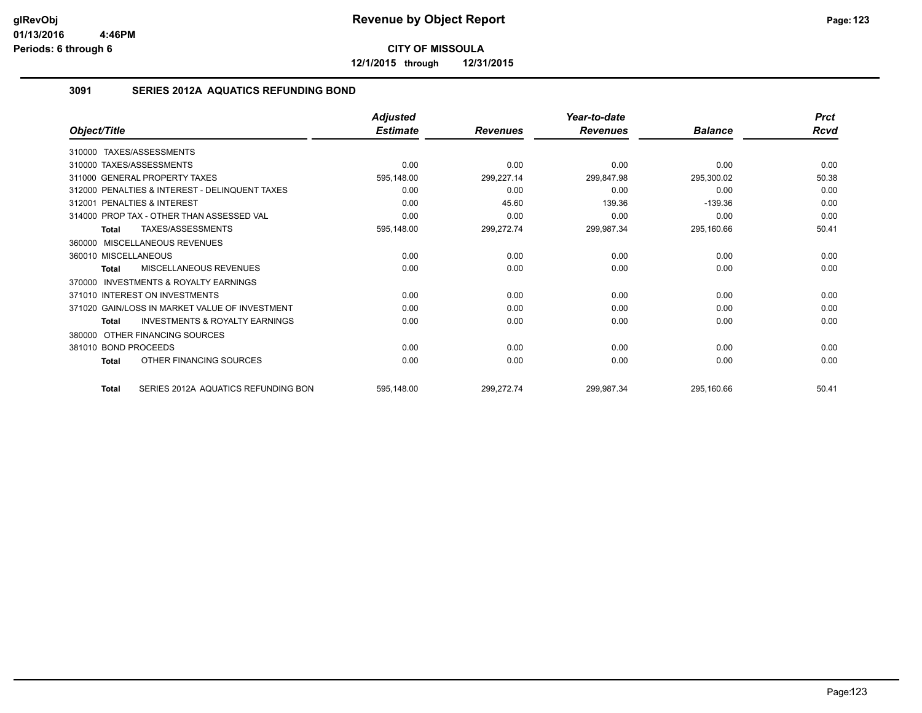**12/1/2015 through 12/31/2015**

## **3091 SERIES 2012A AQUATICS REFUNDING BOND**

|                                                           | Adjusted        |                 | Year-to-date    |                | <b>Prct</b> |
|-----------------------------------------------------------|-----------------|-----------------|-----------------|----------------|-------------|
| Object/Title                                              | <b>Estimate</b> | <b>Revenues</b> | <b>Revenues</b> | <b>Balance</b> | <b>Rcvd</b> |
| TAXES/ASSESSMENTS<br>310000                               |                 |                 |                 |                |             |
| 310000 TAXES/ASSESSMENTS                                  | 0.00            | 0.00            | 0.00            | 0.00           | 0.00        |
| 311000 GENERAL PROPERTY TAXES                             | 595,148.00      | 299,227.14      | 299,847.98      | 295,300.02     | 50.38       |
| 312000 PENALTIES & INTEREST - DELINQUENT TAXES            | 0.00            | 0.00            | 0.00            | 0.00           | 0.00        |
| 312001 PENALTIES & INTEREST                               | 0.00            | 45.60           | 139.36          | $-139.36$      | 0.00        |
| 314000 PROP TAX - OTHER THAN ASSESSED VAL                 | 0.00            | 0.00            | 0.00            | 0.00           | 0.00        |
| TAXES/ASSESSMENTS<br><b>Total</b>                         | 595,148.00      | 299,272.74      | 299,987.34      | 295,160.66     | 50.41       |
| MISCELLANEOUS REVENUES<br>360000                          |                 |                 |                 |                |             |
| 360010 MISCELLANEOUS                                      | 0.00            | 0.00            | 0.00            | 0.00           | 0.00        |
| MISCELLANEOUS REVENUES<br><b>Total</b>                    | 0.00            | 0.00            | 0.00            | 0.00           | 0.00        |
| <b>INVESTMENTS &amp; ROYALTY EARNINGS</b><br>370000       |                 |                 |                 |                |             |
| 371010 INTEREST ON INVESTMENTS                            | 0.00            | 0.00            | 0.00            | 0.00           | 0.00        |
| 371020 GAIN/LOSS IN MARKET VALUE OF INVESTMENT            | 0.00            | 0.00            | 0.00            | 0.00           | 0.00        |
| <b>INVESTMENTS &amp; ROYALTY EARNINGS</b><br><b>Total</b> | 0.00            | 0.00            | 0.00            | 0.00           | 0.00        |
| OTHER FINANCING SOURCES<br>380000                         |                 |                 |                 |                |             |
| 381010 BOND PROCEEDS                                      | 0.00            | 0.00            | 0.00            | 0.00           | 0.00        |
| OTHER FINANCING SOURCES<br><b>Total</b>                   | 0.00            | 0.00            | 0.00            | 0.00           | 0.00        |
| SERIES 2012A AQUATICS REFUNDING BON<br><b>Total</b>       | 595,148.00      | 299,272.74      | 299,987.34      | 295,160.66     | 50.41       |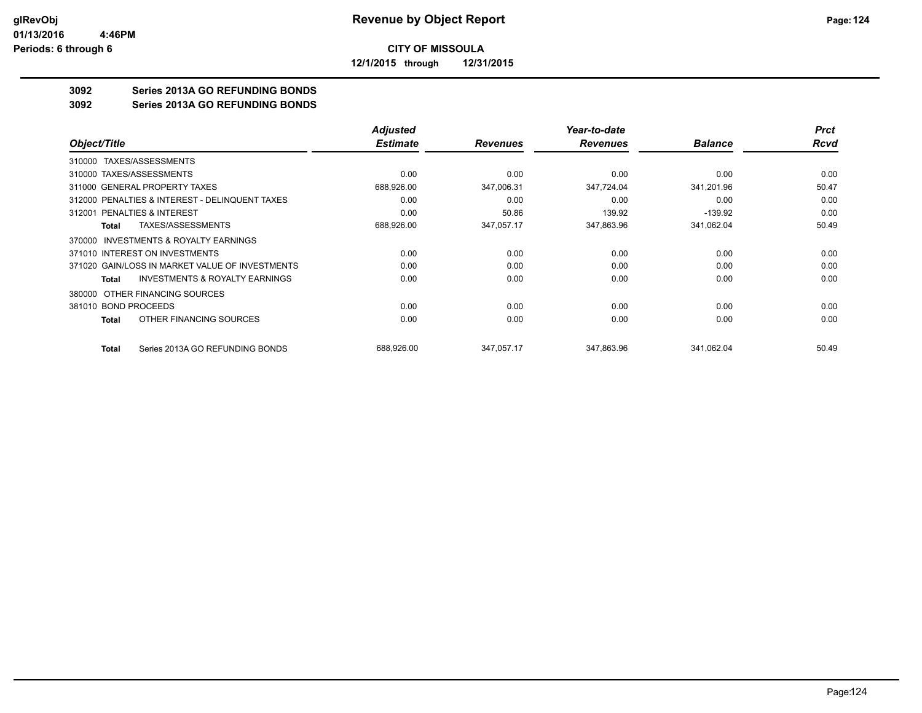**12/1/2015 through 12/31/2015**

# **3092 Series 2013A GO REFUNDING BONDS**

**3092 Series 2013A GO REFUNDING BONDS**

|                                                    | <b>Adjusted</b> |                 | Year-to-date    |                | <b>Prct</b> |
|----------------------------------------------------|-----------------|-----------------|-----------------|----------------|-------------|
| Object/Title                                       | <b>Estimate</b> | <b>Revenues</b> | <b>Revenues</b> | <b>Balance</b> | Rcvd        |
| 310000 TAXES/ASSESSMENTS                           |                 |                 |                 |                |             |
| 310000 TAXES/ASSESSMENTS                           | 0.00            | 0.00            | 0.00            | 0.00           | 0.00        |
| 311000 GENERAL PROPERTY TAXES                      | 688,926.00      | 347,006.31      | 347,724.04      | 341,201.96     | 50.47       |
| 312000 PENALTIES & INTEREST - DELINQUENT TAXES     | 0.00            | 0.00            | 0.00            | 0.00           | 0.00        |
| <b>PENALTIES &amp; INTEREST</b><br>312001          | 0.00            | 50.86           | 139.92          | $-139.92$      | 0.00        |
| <b>TAXES/ASSESSMENTS</b><br>Total                  | 688,926.00      | 347,057.17      | 347,863.96      | 341,062.04     | 50.49       |
| INVESTMENTS & ROYALTY EARNINGS<br>370000           |                 |                 |                 |                |             |
| 371010 INTEREST ON INVESTMENTS                     | 0.00            | 0.00            | 0.00            | 0.00           | 0.00        |
| 371020 GAIN/LOSS IN MARKET VALUE OF INVESTMENTS    | 0.00            | 0.00            | 0.00            | 0.00           | 0.00        |
| <b>INVESTMENTS &amp; ROYALTY EARNINGS</b><br>Total | 0.00            | 0.00            | 0.00            | 0.00           | 0.00        |
| 380000 OTHER FINANCING SOURCES                     |                 |                 |                 |                |             |
| 381010 BOND PROCEEDS                               | 0.00            | 0.00            | 0.00            | 0.00           | 0.00        |
| OTHER FINANCING SOURCES<br>Total                   | 0.00            | 0.00            | 0.00            | 0.00           | 0.00        |
| Series 2013A GO REFUNDING BONDS<br>Total           | 688,926.00      | 347,057.17      | 347,863.96      | 341,062.04     | 50.49       |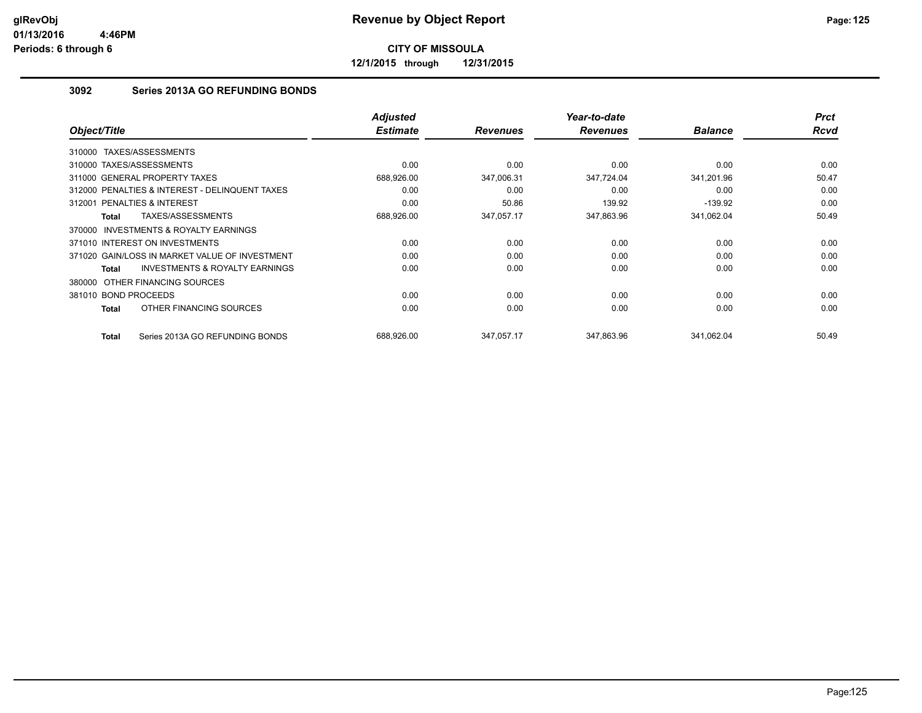**12/1/2015 through 12/31/2015**

# **3092 Series 2013A GO REFUNDING BONDS**

| Object/Title                                              | <b>Adjusted</b><br><b>Estimate</b> | <b>Revenues</b> | Year-to-date<br><b>Revenues</b> | <b>Balance</b> | <b>Prct</b><br><b>Rcvd</b> |
|-----------------------------------------------------------|------------------------------------|-----------------|---------------------------------|----------------|----------------------------|
| TAXES/ASSESSMENTS<br>310000                               |                                    |                 |                                 |                |                            |
| 310000 TAXES/ASSESSMENTS                                  | 0.00                               | 0.00            | 0.00                            | 0.00           | 0.00                       |
| 311000 GENERAL PROPERTY TAXES                             | 688,926.00                         | 347,006.31      | 347,724.04                      | 341,201.96     | 50.47                      |
| 312000 PENALTIES & INTEREST - DELINQUENT TAXES            | 0.00                               | 0.00            | 0.00                            | 0.00           | 0.00                       |
| PENALTIES & INTEREST<br>312001                            | 0.00                               | 50.86           | 139.92                          | $-139.92$      | 0.00                       |
| TAXES/ASSESSMENTS<br>Total                                | 688,926.00                         | 347,057.17      | 347,863.96                      | 341,062.04     | 50.49                      |
| <b>INVESTMENTS &amp; ROYALTY EARNINGS</b><br>370000       |                                    |                 |                                 |                |                            |
| 371010 INTEREST ON INVESTMENTS                            | 0.00                               | 0.00            | 0.00                            | 0.00           | 0.00                       |
| 371020 GAIN/LOSS IN MARKET VALUE OF INVESTMENT            | 0.00                               | 0.00            | 0.00                            | 0.00           | 0.00                       |
| <b>INVESTMENTS &amp; ROYALTY EARNINGS</b><br><b>Total</b> | 0.00                               | 0.00            | 0.00                            | 0.00           | 0.00                       |
| 380000 OTHER FINANCING SOURCES                            |                                    |                 |                                 |                |                            |
| 381010 BOND PROCEEDS                                      | 0.00                               | 0.00            | 0.00                            | 0.00           | 0.00                       |
| OTHER FINANCING SOURCES<br>Total                          | 0.00                               | 0.00            | 0.00                            | 0.00           | 0.00                       |
| Series 2013A GO REFUNDING BONDS<br>Total                  | 688.926.00                         | 347.057.17      | 347.863.96                      | 341.062.04     | 50.49                      |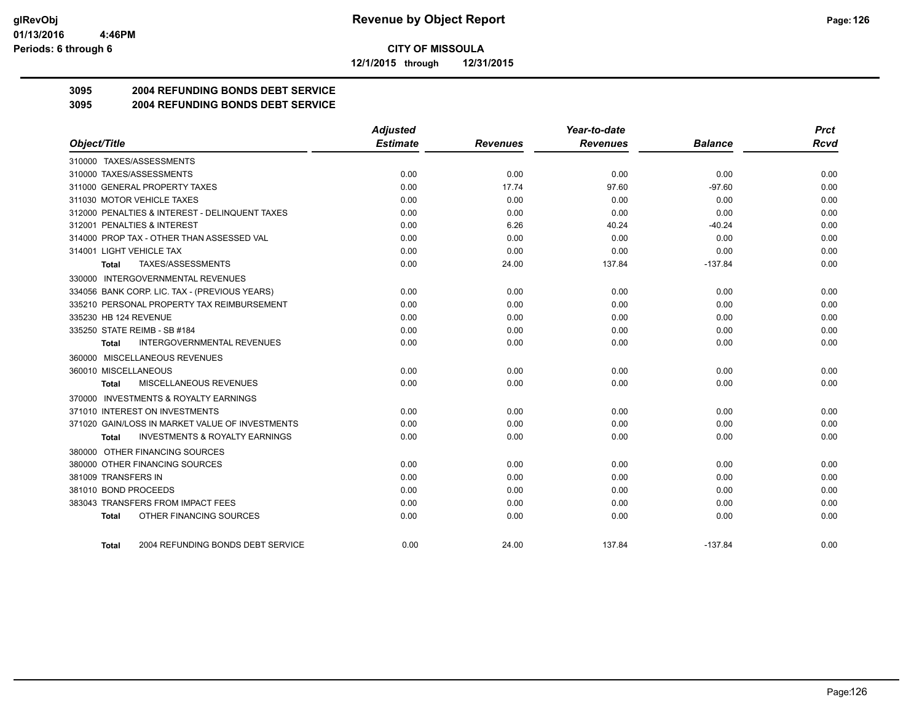**12/1/2015 through 12/31/2015**

# **3095 2004 REFUNDING BONDS DEBT SERVICE**

## **3095 2004 REFUNDING BONDS DEBT SERVICE**

|                                                    | <b>Adjusted</b> |                 | Year-to-date    |                | <b>Prct</b> |
|----------------------------------------------------|-----------------|-----------------|-----------------|----------------|-------------|
| Object/Title                                       | <b>Estimate</b> | <b>Revenues</b> | <b>Revenues</b> | <b>Balance</b> | <b>Rcvd</b> |
| 310000 TAXES/ASSESSMENTS                           |                 |                 |                 |                |             |
| 310000 TAXES/ASSESSMENTS                           | 0.00            | 0.00            | 0.00            | 0.00           | 0.00        |
| 311000 GENERAL PROPERTY TAXES                      | 0.00            | 17.74           | 97.60           | $-97.60$       | 0.00        |
| 311030 MOTOR VEHICLE TAXES                         | 0.00            | 0.00            | 0.00            | 0.00           | 0.00        |
| 312000 PENALTIES & INTEREST - DELINQUENT TAXES     | 0.00            | 0.00            | 0.00            | 0.00           | 0.00        |
| 312001 PENALTIES & INTEREST                        | 0.00            | 6.26            | 40.24           | $-40.24$       | 0.00        |
| 314000 PROP TAX - OTHER THAN ASSESSED VAL          | 0.00            | 0.00            | 0.00            | 0.00           | 0.00        |
| 314001 LIGHT VEHICLE TAX                           | 0.00            | 0.00            | 0.00            | 0.00           | 0.00        |
| TAXES/ASSESSMENTS<br>Total                         | 0.00            | 24.00           | 137.84          | $-137.84$      | 0.00        |
| 330000 INTERGOVERNMENTAL REVENUES                  |                 |                 |                 |                |             |
| 334056 BANK CORP. LIC. TAX - (PREVIOUS YEARS)      | 0.00            | 0.00            | 0.00            | 0.00           | 0.00        |
| 335210 PERSONAL PROPERTY TAX REIMBURSEMENT         | 0.00            | 0.00            | 0.00            | 0.00           | 0.00        |
| 335230 HB 124 REVENUE                              | 0.00            | 0.00            | 0.00            | 0.00           | 0.00        |
| 335250 STATE REIMB - SB #184                       | 0.00            | 0.00            | 0.00            | 0.00           | 0.00        |
| <b>INTERGOVERNMENTAL REVENUES</b><br>Total         | 0.00            | 0.00            | 0.00            | 0.00           | 0.00        |
| 360000 MISCELLANEOUS REVENUES                      |                 |                 |                 |                |             |
| 360010 MISCELLANEOUS                               | 0.00            | 0.00            | 0.00            | 0.00           | 0.00        |
| MISCELLANEOUS REVENUES<br><b>Total</b>             | 0.00            | 0.00            | 0.00            | 0.00           | 0.00        |
| 370000 INVESTMENTS & ROYALTY EARNINGS              |                 |                 |                 |                |             |
| 371010 INTEREST ON INVESTMENTS                     | 0.00            | 0.00            | 0.00            | 0.00           | 0.00        |
| 371020 GAIN/LOSS IN MARKET VALUE OF INVESTMENTS    | 0.00            | 0.00            | 0.00            | 0.00           | 0.00        |
| <b>INVESTMENTS &amp; ROYALTY EARNINGS</b><br>Total | 0.00            | 0.00            | 0.00            | 0.00           | 0.00        |
| 380000 OTHER FINANCING SOURCES                     |                 |                 |                 |                |             |
| 380000 OTHER FINANCING SOURCES                     | 0.00            | 0.00            | 0.00            | 0.00           | 0.00        |
| 381009 TRANSFERS IN                                | 0.00            | 0.00            | 0.00            | 0.00           | 0.00        |
| 381010 BOND PROCEEDS                               | 0.00            | 0.00            | 0.00            | 0.00           | 0.00        |
| 383043 TRANSFERS FROM IMPACT FEES                  | 0.00            | 0.00            | 0.00            | 0.00           | 0.00        |
| OTHER FINANCING SOURCES<br>Total                   | 0.00            | 0.00            | 0.00            | 0.00           | 0.00        |
| 2004 REFUNDING BONDS DEBT SERVICE<br>Total         | 0.00            | 24.00           | 137.84          | $-137.84$      | 0.00        |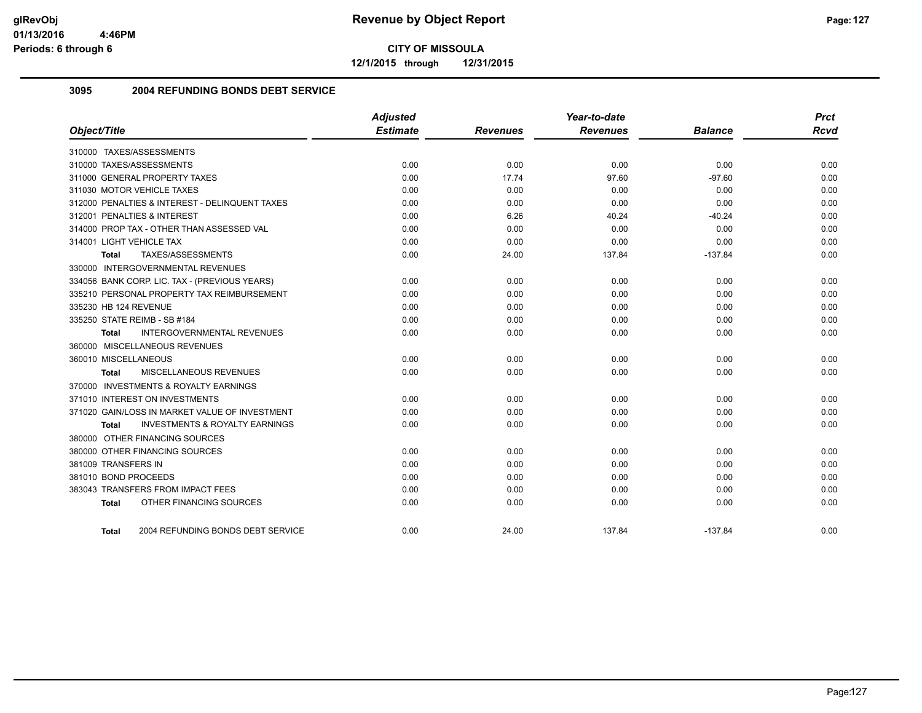**12/1/2015 through 12/31/2015**

## **3095 2004 REFUNDING BONDS DEBT SERVICE**

| Object/Title                                              | <b>Adjusted</b><br><b>Estimate</b> | <b>Revenues</b> | Year-to-date<br><b>Revenues</b> | <b>Balance</b> | <b>Prct</b><br><b>Rcvd</b> |
|-----------------------------------------------------------|------------------------------------|-----------------|---------------------------------|----------------|----------------------------|
| 310000 TAXES/ASSESSMENTS                                  |                                    |                 |                                 |                |                            |
| 310000 TAXES/ASSESSMENTS                                  | 0.00                               | 0.00            | 0.00                            | 0.00           | 0.00                       |
| 311000 GENERAL PROPERTY TAXES                             | 0.00                               | 17.74           | 97.60                           | $-97.60$       | 0.00                       |
| 311030 MOTOR VEHICLE TAXES                                | 0.00                               | 0.00            | 0.00                            | 0.00           | 0.00                       |
| 312000 PENALTIES & INTEREST - DELINQUENT TAXES            | 0.00                               | 0.00            | 0.00                            | 0.00           | 0.00                       |
| 312001 PENALTIES & INTEREST                               | 0.00                               | 6.26            | 40.24                           | $-40.24$       | 0.00                       |
| 314000 PROP TAX - OTHER THAN ASSESSED VAL                 | 0.00                               | 0.00            | 0.00                            | 0.00           | 0.00                       |
| 314001 LIGHT VEHICLE TAX                                  | 0.00                               | 0.00            | 0.00                            | 0.00           | 0.00                       |
| TAXES/ASSESSMENTS<br><b>Total</b>                         | 0.00                               | 24.00           | 137.84                          | $-137.84$      | 0.00                       |
| 330000 INTERGOVERNMENTAL REVENUES                         |                                    |                 |                                 |                |                            |
| 334056 BANK CORP. LIC. TAX - (PREVIOUS YEARS)             | 0.00                               | 0.00            | 0.00                            | 0.00           | 0.00                       |
| 335210 PERSONAL PROPERTY TAX REIMBURSEMENT                | 0.00                               | 0.00            | 0.00                            | 0.00           | 0.00                       |
| 335230 HB 124 REVENUE                                     | 0.00                               | 0.00            | 0.00                            | 0.00           | 0.00                       |
| 335250 STATE REIMB - SB #184                              | 0.00                               | 0.00            | 0.00                            | 0.00           | 0.00                       |
| <b>INTERGOVERNMENTAL REVENUES</b><br><b>Total</b>         | 0.00                               | 0.00            | 0.00                            | 0.00           | 0.00                       |
| 360000 MISCELLANEOUS REVENUES                             |                                    |                 |                                 |                |                            |
| 360010 MISCELLANEOUS                                      | 0.00                               | 0.00            | 0.00                            | 0.00           | 0.00                       |
| MISCELLANEOUS REVENUES<br><b>Total</b>                    | 0.00                               | 0.00            | 0.00                            | 0.00           | 0.00                       |
| 370000 INVESTMENTS & ROYALTY EARNINGS                     |                                    |                 |                                 |                |                            |
| 371010 INTEREST ON INVESTMENTS                            | 0.00                               | 0.00            | 0.00                            | 0.00           | 0.00                       |
| 371020 GAIN/LOSS IN MARKET VALUE OF INVESTMENT            | 0.00                               | 0.00            | 0.00                            | 0.00           | 0.00                       |
| <b>INVESTMENTS &amp; ROYALTY EARNINGS</b><br><b>Total</b> | 0.00                               | 0.00            | 0.00                            | 0.00           | 0.00                       |
| 380000 OTHER FINANCING SOURCES                            |                                    |                 |                                 |                |                            |
| 380000 OTHER FINANCING SOURCES                            | 0.00                               | 0.00            | 0.00                            | 0.00           | 0.00                       |
| 381009 TRANSFERS IN                                       | 0.00                               | 0.00            | 0.00                            | 0.00           | 0.00                       |
| 381010 BOND PROCEEDS                                      | 0.00                               | 0.00            | 0.00                            | 0.00           | 0.00                       |
| 383043 TRANSFERS FROM IMPACT FEES                         | 0.00                               | 0.00            | 0.00                            | 0.00           | 0.00                       |
| OTHER FINANCING SOURCES<br><b>Total</b>                   | 0.00                               | 0.00            | 0.00                            | 0.00           | 0.00                       |
| 2004 REFUNDING BONDS DEBT SERVICE<br>Total                | 0.00                               | 24.00           | 137.84                          | $-137.84$      | 0.00                       |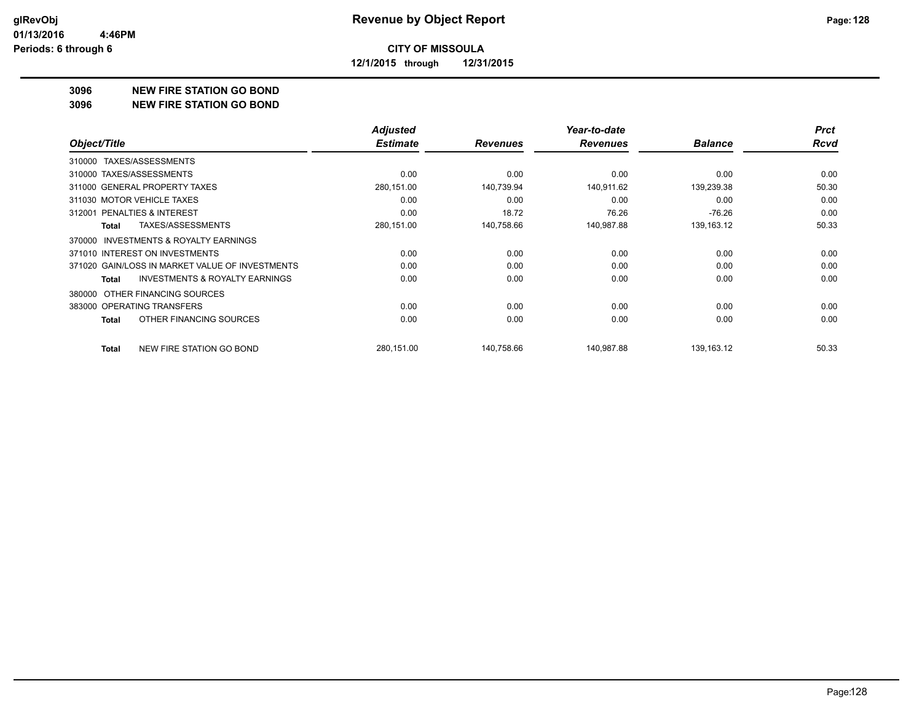**12/1/2015 through 12/31/2015**

### **3096 NEW FIRE STATION GO BOND**

#### **3096 NEW FIRE STATION GO BOND**

|                                                           | <b>Adjusted</b> |                 | Year-to-date    |                | <b>Prct</b> |
|-----------------------------------------------------------|-----------------|-----------------|-----------------|----------------|-------------|
| Object/Title                                              | <b>Estimate</b> | <b>Revenues</b> | <b>Revenues</b> | <b>Balance</b> | Rcvd        |
| TAXES/ASSESSMENTS<br>310000                               |                 |                 |                 |                |             |
| 310000 TAXES/ASSESSMENTS                                  | 0.00            | 0.00            | 0.00            | 0.00           | 0.00        |
| 311000 GENERAL PROPERTY TAXES                             | 280,151.00      | 140,739.94      | 140,911.62      | 139,239.38     | 50.30       |
| 311030 MOTOR VEHICLE TAXES                                | 0.00            | 0.00            | 0.00            | 0.00           | 0.00        |
| 312001 PENALTIES & INTEREST                               | 0.00            | 18.72           | 76.26           | $-76.26$       | 0.00        |
| TAXES/ASSESSMENTS<br>Total                                | 280,151.00      | 140,758.66      | 140,987.88      | 139,163.12     | 50.33       |
| <b>INVESTMENTS &amp; ROYALTY EARNINGS</b><br>370000       |                 |                 |                 |                |             |
| 371010 INTEREST ON INVESTMENTS                            | 0.00            | 0.00            | 0.00            | 0.00           | 0.00        |
| 371020 GAIN/LOSS IN MARKET VALUE OF INVESTMENTS           | 0.00            | 0.00            | 0.00            | 0.00           | 0.00        |
| <b>INVESTMENTS &amp; ROYALTY EARNINGS</b><br><b>Total</b> | 0.00            | 0.00            | 0.00            | 0.00           | 0.00        |
| OTHER FINANCING SOURCES<br>380000                         |                 |                 |                 |                |             |
| 383000 OPERATING TRANSFERS                                | 0.00            | 0.00            | 0.00            | 0.00           | 0.00        |
| OTHER FINANCING SOURCES<br><b>Total</b>                   | 0.00            | 0.00            | 0.00            | 0.00           | 0.00        |
| NEW FIRE STATION GO BOND<br><b>Total</b>                  | 280,151.00      | 140.758.66      | 140,987.88      | 139,163.12     | 50.33       |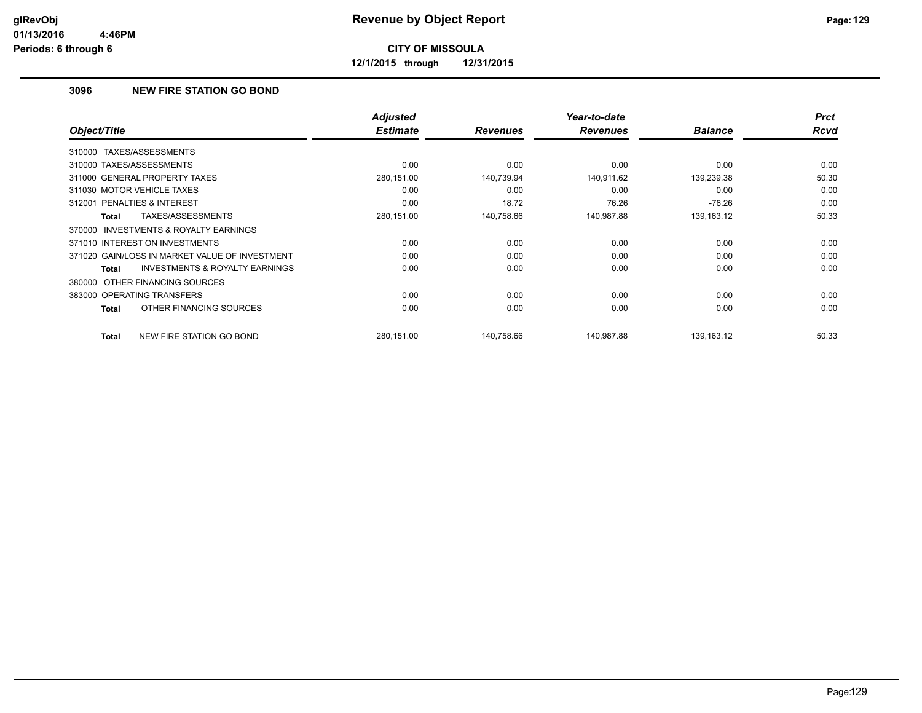**12/1/2015 through 12/31/2015**

# **3096 NEW FIRE STATION GO BOND**

| Object/Title                                        | <b>Adjusted</b><br><b>Estimate</b> | <b>Revenues</b> | Year-to-date<br><b>Revenues</b> | <b>Balance</b> | <b>Prct</b><br><b>Rcvd</b> |
|-----------------------------------------------------|------------------------------------|-----------------|---------------------------------|----------------|----------------------------|
|                                                     |                                    |                 |                                 |                |                            |
| TAXES/ASSESSMENTS<br>310000                         |                                    |                 |                                 |                |                            |
| 310000 TAXES/ASSESSMENTS                            | 0.00                               | 0.00            | 0.00                            | 0.00           | 0.00                       |
| 311000 GENERAL PROPERTY TAXES                       | 280,151.00                         | 140,739.94      | 140,911.62                      | 139,239.38     | 50.30                      |
| 311030 MOTOR VEHICLE TAXES                          | 0.00                               | 0.00            | 0.00                            | 0.00           | 0.00                       |
| 312001 PENALTIES & INTEREST                         | 0.00                               | 18.72           | 76.26                           | $-76.26$       | 0.00                       |
| TAXES/ASSESSMENTS<br>Total                          | 280,151.00                         | 140,758.66      | 140,987.88                      | 139, 163. 12   | 50.33                      |
| <b>INVESTMENTS &amp; ROYALTY EARNINGS</b><br>370000 |                                    |                 |                                 |                |                            |
| 371010 INTEREST ON INVESTMENTS                      | 0.00                               | 0.00            | 0.00                            | 0.00           | 0.00                       |
| 371020 GAIN/LOSS IN MARKET VALUE OF INVESTMENT      | 0.00                               | 0.00            | 0.00                            | 0.00           | 0.00                       |
| <b>INVESTMENTS &amp; ROYALTY EARNINGS</b><br>Total  | 0.00                               | 0.00            | 0.00                            | 0.00           | 0.00                       |
| 380000 OTHER FINANCING SOURCES                      |                                    |                 |                                 |                |                            |
| 383000 OPERATING TRANSFERS                          | 0.00                               | 0.00            | 0.00                            | 0.00           | 0.00                       |
| OTHER FINANCING SOURCES<br>Total                    | 0.00                               | 0.00            | 0.00                            | 0.00           | 0.00                       |
| NEW FIRE STATION GO BOND<br>Total                   | 280.151.00                         | 140,758.66      | 140.987.88                      | 139,163.12     | 50.33                      |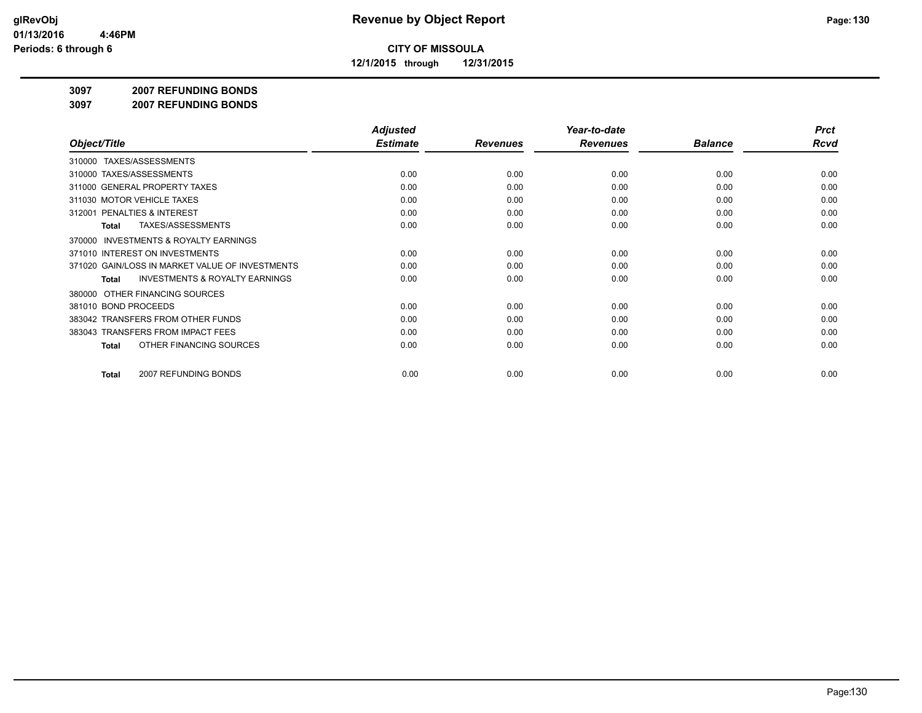**12/1/2015 through 12/31/2015**

#### **3097 2007 REFUNDING BONDS**

**3097 2007 REFUNDING BONDS**

|                                                     | <b>Adjusted</b> |                 | Year-to-date    |                | <b>Prct</b> |
|-----------------------------------------------------|-----------------|-----------------|-----------------|----------------|-------------|
| Object/Title                                        | <b>Estimate</b> | <b>Revenues</b> | <b>Revenues</b> | <b>Balance</b> | <b>Rcvd</b> |
| 310000 TAXES/ASSESSMENTS                            |                 |                 |                 |                |             |
| 310000 TAXES/ASSESSMENTS                            | 0.00            | 0.00            | 0.00            | 0.00           | 0.00        |
| 311000 GENERAL PROPERTY TAXES                       | 0.00            | 0.00            | 0.00            | 0.00           | 0.00        |
| 311030 MOTOR VEHICLE TAXES                          | 0.00            | 0.00            | 0.00            | 0.00           | 0.00        |
| 312001 PENALTIES & INTEREST                         | 0.00            | 0.00            | 0.00            | 0.00           | 0.00        |
| <b>TAXES/ASSESSMENTS</b><br><b>Total</b>            | 0.00            | 0.00            | 0.00            | 0.00           | 0.00        |
| <b>INVESTMENTS &amp; ROYALTY EARNINGS</b><br>370000 |                 |                 |                 |                |             |
| 371010 INTEREST ON INVESTMENTS                      | 0.00            | 0.00            | 0.00            | 0.00           | 0.00        |
| 371020 GAIN/LOSS IN MARKET VALUE OF INVESTMENTS     | 0.00            | 0.00            | 0.00            | 0.00           | 0.00        |
| <b>INVESTMENTS &amp; ROYALTY EARNINGS</b><br>Total  | 0.00            | 0.00            | 0.00            | 0.00           | 0.00        |
| OTHER FINANCING SOURCES<br>380000                   |                 |                 |                 |                |             |
| 381010 BOND PROCEEDS                                | 0.00            | 0.00            | 0.00            | 0.00           | 0.00        |
| 383042 TRANSFERS FROM OTHER FUNDS                   | 0.00            | 0.00            | 0.00            | 0.00           | 0.00        |
| 383043 TRANSFERS FROM IMPACT FEES                   | 0.00            | 0.00            | 0.00            | 0.00           | 0.00        |
| OTHER FINANCING SOURCES<br><b>Total</b>             | 0.00            | 0.00            | 0.00            | 0.00           | 0.00        |
| 2007 REFUNDING BONDS<br><b>Total</b>                | 0.00            | 0.00            | 0.00            | 0.00           | 0.00        |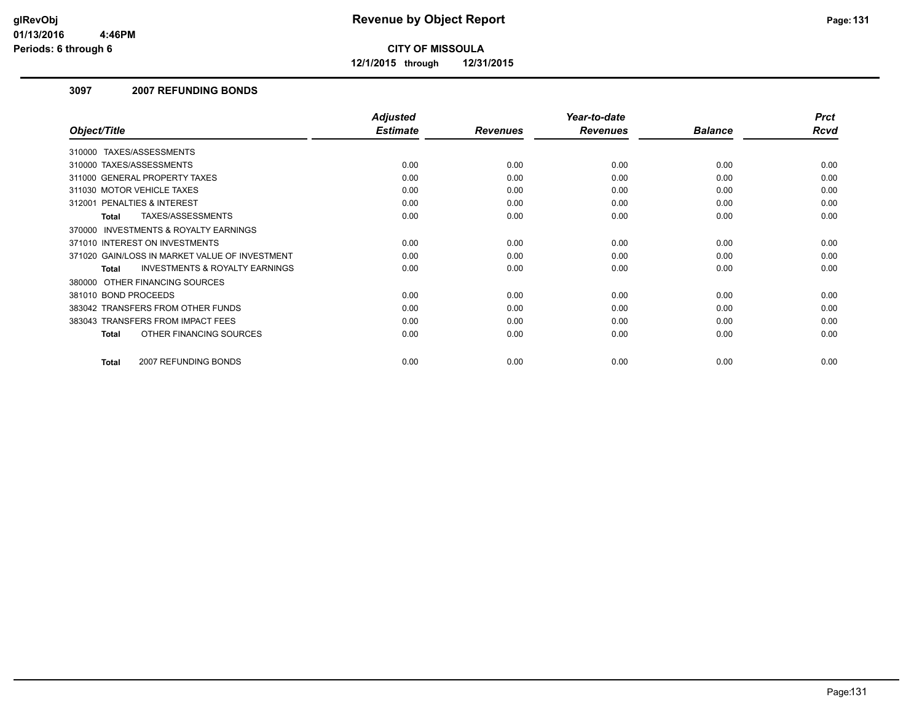**12/1/2015 through 12/31/2015**

### **3097 2007 REFUNDING BONDS**

|                                                           | <b>Adjusted</b> |                 | Year-to-date    |                | <b>Prct</b> |
|-----------------------------------------------------------|-----------------|-----------------|-----------------|----------------|-------------|
| Object/Title                                              | <b>Estimate</b> | <b>Revenues</b> | <b>Revenues</b> | <b>Balance</b> | <b>Rcvd</b> |
| TAXES/ASSESSMENTS<br>310000                               |                 |                 |                 |                |             |
| 310000 TAXES/ASSESSMENTS                                  | 0.00            | 0.00            | 0.00            | 0.00           | 0.00        |
| 311000 GENERAL PROPERTY TAXES                             | 0.00            | 0.00            | 0.00            | 0.00           | 0.00        |
| 311030 MOTOR VEHICLE TAXES                                | 0.00            | 0.00            | 0.00            | 0.00           | 0.00        |
| 312001 PENALTIES & INTEREST                               | 0.00            | 0.00            | 0.00            | 0.00           | 0.00        |
| TAXES/ASSESSMENTS<br><b>Total</b>                         | 0.00            | 0.00            | 0.00            | 0.00           | 0.00        |
| 370000 INVESTMENTS & ROYALTY EARNINGS                     |                 |                 |                 |                |             |
| 371010 INTEREST ON INVESTMENTS                            | 0.00            | 0.00            | 0.00            | 0.00           | 0.00        |
| 371020 GAIN/LOSS IN MARKET VALUE OF INVESTMENT            | 0.00            | 0.00            | 0.00            | 0.00           | 0.00        |
| <b>INVESTMENTS &amp; ROYALTY EARNINGS</b><br><b>Total</b> | 0.00            | 0.00            | 0.00            | 0.00           | 0.00        |
| 380000 OTHER FINANCING SOURCES                            |                 |                 |                 |                |             |
| 381010 BOND PROCEEDS                                      | 0.00            | 0.00            | 0.00            | 0.00           | 0.00        |
| 383042 TRANSFERS FROM OTHER FUNDS                         | 0.00            | 0.00            | 0.00            | 0.00           | 0.00        |
| 383043 TRANSFERS FROM IMPACT FEES                         | 0.00            | 0.00            | 0.00            | 0.00           | 0.00        |
| OTHER FINANCING SOURCES<br><b>Total</b>                   | 0.00            | 0.00            | 0.00            | 0.00           | 0.00        |
| 2007 REFUNDING BONDS<br><b>Total</b>                      | 0.00            | 0.00            | 0.00            | 0.00           | 0.00        |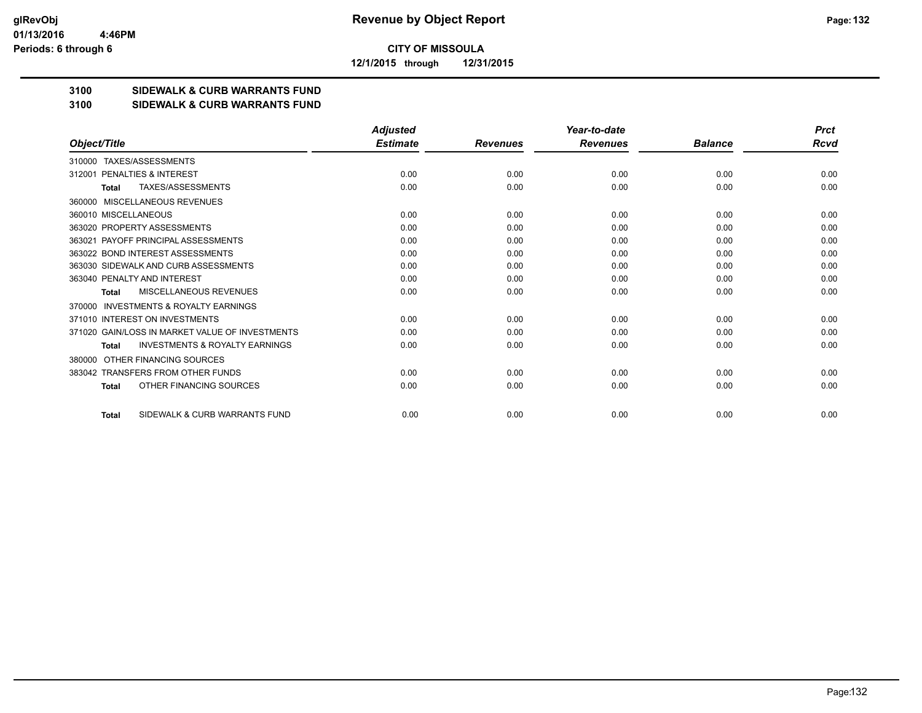**12/1/2015 through 12/31/2015**

## **3100 SIDEWALK & CURB WARRANTS FUND**

#### **3100 SIDEWALK & CURB WARRANTS FUND**

|                                                           | <b>Adjusted</b> |                 | Year-to-date    |                | <b>Prct</b> |
|-----------------------------------------------------------|-----------------|-----------------|-----------------|----------------|-------------|
| Object/Title                                              | <b>Estimate</b> | <b>Revenues</b> | <b>Revenues</b> | <b>Balance</b> | Rcvd        |
| TAXES/ASSESSMENTS<br>310000                               |                 |                 |                 |                |             |
| PENALTIES & INTEREST<br>312001                            | 0.00            | 0.00            | 0.00            | 0.00           | 0.00        |
| TAXES/ASSESSMENTS<br><b>Total</b>                         | 0.00            | 0.00            | 0.00            | 0.00           | 0.00        |
| MISCELLANEOUS REVENUES<br>360000                          |                 |                 |                 |                |             |
| 360010 MISCELLANEOUS                                      | 0.00            | 0.00            | 0.00            | 0.00           | 0.00        |
| 363020 PROPERTY ASSESSMENTS                               | 0.00            | 0.00            | 0.00            | 0.00           | 0.00        |
| 363021 PAYOFF PRINCIPAL ASSESSMENTS                       | 0.00            | 0.00            | 0.00            | 0.00           | 0.00        |
| 363022 BOND INTEREST ASSESSMENTS                          | 0.00            | 0.00            | 0.00            | 0.00           | 0.00        |
| 363030 SIDEWALK AND CURB ASSESSMENTS                      | 0.00            | 0.00            | 0.00            | 0.00           | 0.00        |
| 363040 PENALTY AND INTEREST                               | 0.00            | 0.00            | 0.00            | 0.00           | 0.00        |
| MISCELLANEOUS REVENUES<br>Total                           | 0.00            | 0.00            | 0.00            | 0.00           | 0.00        |
| <b>INVESTMENTS &amp; ROYALTY EARNINGS</b><br>370000       |                 |                 |                 |                |             |
| 371010 INTEREST ON INVESTMENTS                            | 0.00            | 0.00            | 0.00            | 0.00           | 0.00        |
| 371020 GAIN/LOSS IN MARKET VALUE OF INVESTMENTS           | 0.00            | 0.00            | 0.00            | 0.00           | 0.00        |
| <b>INVESTMENTS &amp; ROYALTY EARNINGS</b><br><b>Total</b> | 0.00            | 0.00            | 0.00            | 0.00           | 0.00        |
| OTHER FINANCING SOURCES<br>380000                         |                 |                 |                 |                |             |
| 383042 TRANSFERS FROM OTHER FUNDS                         | 0.00            | 0.00            | 0.00            | 0.00           | 0.00        |
| OTHER FINANCING SOURCES<br><b>Total</b>                   | 0.00            | 0.00            | 0.00            | 0.00           | 0.00        |
| SIDEWALK & CURB WARRANTS FUND<br>Total                    | 0.00            | 0.00            | 0.00            | 0.00           | 0.00        |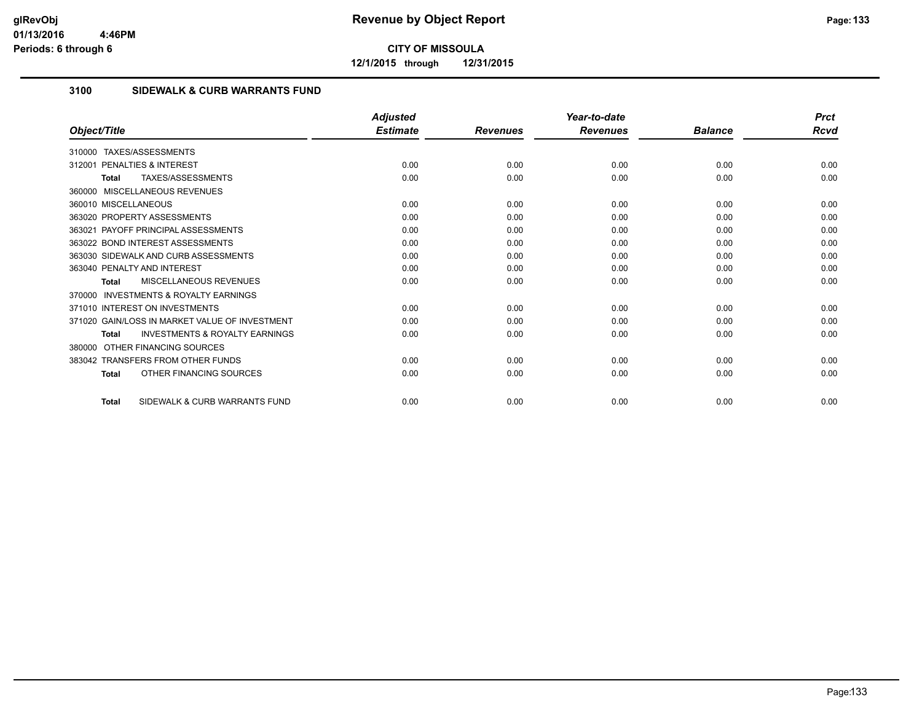**12/1/2015 through 12/31/2015**

# **3100 SIDEWALK & CURB WARRANTS FUND**

|                                                           | <b>Adjusted</b> |                 | Year-to-date    |                | <b>Prct</b> |
|-----------------------------------------------------------|-----------------|-----------------|-----------------|----------------|-------------|
| Object/Title                                              | <b>Estimate</b> | <b>Revenues</b> | <b>Revenues</b> | <b>Balance</b> | Rcvd        |
| TAXES/ASSESSMENTS<br>310000                               |                 |                 |                 |                |             |
| <b>PENALTIES &amp; INTEREST</b><br>312001                 | 0.00            | 0.00            | 0.00            | 0.00           | 0.00        |
| TAXES/ASSESSMENTS<br>Total                                | 0.00            | 0.00            | 0.00            | 0.00           | 0.00        |
| 360000 MISCELLANEOUS REVENUES                             |                 |                 |                 |                |             |
| 360010 MISCELLANEOUS                                      | 0.00            | 0.00            | 0.00            | 0.00           | 0.00        |
| 363020 PROPERTY ASSESSMENTS                               | 0.00            | 0.00            | 0.00            | 0.00           | 0.00        |
| 363021 PAYOFF PRINCIPAL ASSESSMENTS                       | 0.00            | 0.00            | 0.00            | 0.00           | 0.00        |
| 363022 BOND INTEREST ASSESSMENTS                          | 0.00            | 0.00            | 0.00            | 0.00           | 0.00        |
| 363030 SIDEWALK AND CURB ASSESSMENTS                      | 0.00            | 0.00            | 0.00            | 0.00           | 0.00        |
| 363040 PENALTY AND INTEREST                               | 0.00            | 0.00            | 0.00            | 0.00           | 0.00        |
| MISCELLANEOUS REVENUES<br>Total                           | 0.00            | 0.00            | 0.00            | 0.00           | 0.00        |
| <b>INVESTMENTS &amp; ROYALTY EARNINGS</b><br>370000       |                 |                 |                 |                |             |
| 371010 INTEREST ON INVESTMENTS                            | 0.00            | 0.00            | 0.00            | 0.00           | 0.00        |
| 371020 GAIN/LOSS IN MARKET VALUE OF INVESTMENT            | 0.00            | 0.00            | 0.00            | 0.00           | 0.00        |
| <b>INVESTMENTS &amp; ROYALTY EARNINGS</b><br><b>Total</b> | 0.00            | 0.00            | 0.00            | 0.00           | 0.00        |
| OTHER FINANCING SOURCES<br>380000                         |                 |                 |                 |                |             |
| 383042 TRANSFERS FROM OTHER FUNDS                         | 0.00            | 0.00            | 0.00            | 0.00           | 0.00        |
| OTHER FINANCING SOURCES<br><b>Total</b>                   | 0.00            | 0.00            | 0.00            | 0.00           | 0.00        |
| SIDEWALK & CURB WARRANTS FUND<br><b>Total</b>             | 0.00            | 0.00            | 0.00            | 0.00           | 0.00        |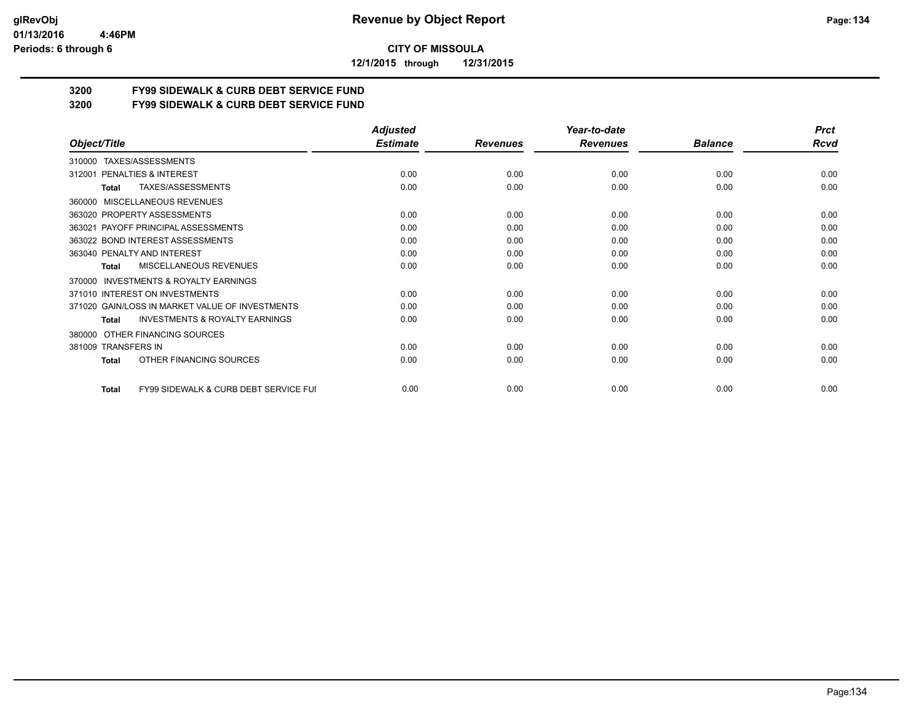**12/1/2015 through 12/31/2015**

# **3200 FY99 SIDEWALK & CURB DEBT SERVICE FUND**

**3200 FY99 SIDEWALK & CURB DEBT SERVICE FUND**

|                                                           | <b>Adjusted</b> |                 | Year-to-date    |                | <b>Prct</b> |
|-----------------------------------------------------------|-----------------|-----------------|-----------------|----------------|-------------|
| Object/Title                                              | <b>Estimate</b> | <b>Revenues</b> | <b>Revenues</b> | <b>Balance</b> | <b>Rcvd</b> |
| TAXES/ASSESSMENTS<br>310000                               |                 |                 |                 |                |             |
| PENALTIES & INTEREST<br>312001                            | 0.00            | 0.00            | 0.00            | 0.00           | 0.00        |
| TAXES/ASSESSMENTS<br>Total                                | 0.00            | 0.00            | 0.00            | 0.00           | 0.00        |
| MISCELLANEOUS REVENUES<br>360000                          |                 |                 |                 |                |             |
| 363020 PROPERTY ASSESSMENTS                               | 0.00            | 0.00            | 0.00            | 0.00           | 0.00        |
| PAYOFF PRINCIPAL ASSESSMENTS<br>363021                    | 0.00            | 0.00            | 0.00            | 0.00           | 0.00        |
| 363022 BOND INTEREST ASSESSMENTS                          | 0.00            | 0.00            | 0.00            | 0.00           | 0.00        |
| 363040 PENALTY AND INTEREST                               | 0.00            | 0.00            | 0.00            | 0.00           | 0.00        |
| MISCELLANEOUS REVENUES<br>Total                           | 0.00            | 0.00            | 0.00            | 0.00           | 0.00        |
| <b>INVESTMENTS &amp; ROYALTY EARNINGS</b><br>370000       |                 |                 |                 |                |             |
| 371010 INTEREST ON INVESTMENTS                            | 0.00            | 0.00            | 0.00            | 0.00           | 0.00        |
| 371020 GAIN/LOSS IN MARKET VALUE OF INVESTMENTS           | 0.00            | 0.00            | 0.00            | 0.00           | 0.00        |
| <b>INVESTMENTS &amp; ROYALTY EARNINGS</b><br><b>Total</b> | 0.00            | 0.00            | 0.00            | 0.00           | 0.00        |
| OTHER FINANCING SOURCES<br>380000                         |                 |                 |                 |                |             |
| 381009 TRANSFERS IN                                       | 0.00            | 0.00            | 0.00            | 0.00           | 0.00        |
| OTHER FINANCING SOURCES<br><b>Total</b>                   | 0.00            | 0.00            | 0.00            | 0.00           | 0.00        |
| FY99 SIDEWALK & CURB DEBT SERVICE FUI<br><b>Total</b>     | 0.00            | 0.00            | 0.00            | 0.00           | 0.00        |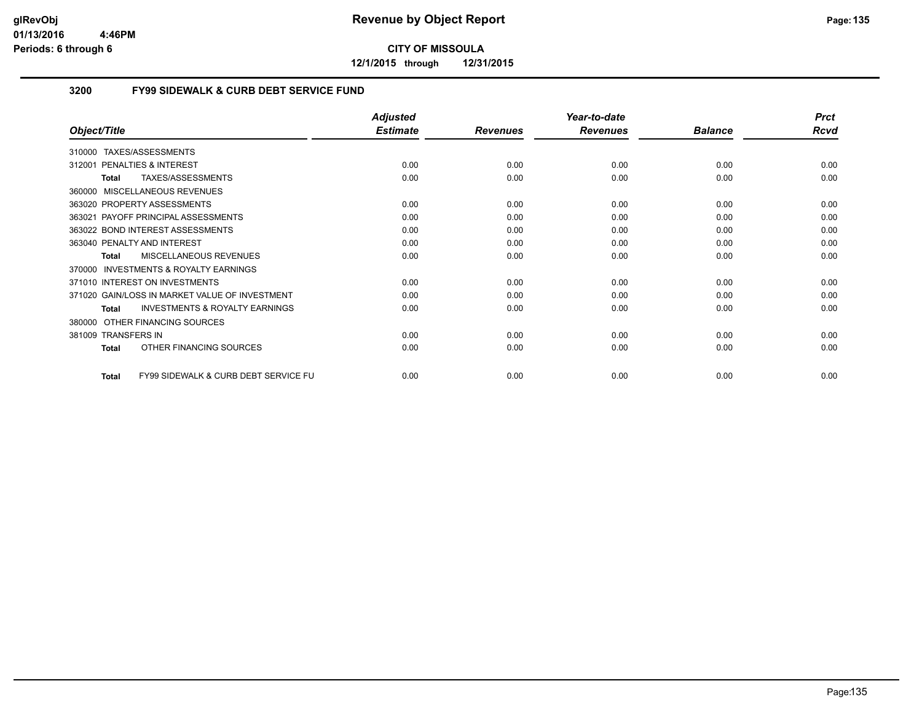**12/1/2015 through 12/31/2015**

## **3200 FY99 SIDEWALK & CURB DEBT SERVICE FUND**

|                                                                 | <b>Adjusted</b> |                 | Year-to-date    |                | <b>Prct</b> |
|-----------------------------------------------------------------|-----------------|-----------------|-----------------|----------------|-------------|
| Object/Title                                                    | <b>Estimate</b> | <b>Revenues</b> | <b>Revenues</b> | <b>Balance</b> | <b>Rcvd</b> |
| TAXES/ASSESSMENTS<br>310000                                     |                 |                 |                 |                |             |
| <b>PENALTIES &amp; INTEREST</b><br>312001                       | 0.00            | 0.00            | 0.00            | 0.00           | 0.00        |
| TAXES/ASSESSMENTS<br><b>Total</b>                               | 0.00            | 0.00            | 0.00            | 0.00           | 0.00        |
| MISCELLANEOUS REVENUES<br>360000                                |                 |                 |                 |                |             |
| 363020 PROPERTY ASSESSMENTS                                     | 0.00            | 0.00            | 0.00            | 0.00           | 0.00        |
| 363021 PAYOFF PRINCIPAL ASSESSMENTS                             | 0.00            | 0.00            | 0.00            | 0.00           | 0.00        |
| 363022 BOND INTEREST ASSESSMENTS                                | 0.00            | 0.00            | 0.00            | 0.00           | 0.00        |
| 363040 PENALTY AND INTEREST                                     | 0.00            | 0.00            | 0.00            | 0.00           | 0.00        |
| MISCELLANEOUS REVENUES<br><b>Total</b>                          | 0.00            | 0.00            | 0.00            | 0.00           | 0.00        |
| INVESTMENTS & ROYALTY EARNINGS<br>370000                        |                 |                 |                 |                |             |
| 371010 INTEREST ON INVESTMENTS                                  | 0.00            | 0.00            | 0.00            | 0.00           | 0.00        |
| 371020 GAIN/LOSS IN MARKET VALUE OF INVESTMENT                  | 0.00            | 0.00            | 0.00            | 0.00           | 0.00        |
| <b>INVESTMENTS &amp; ROYALTY EARNINGS</b><br><b>Total</b>       | 0.00            | 0.00            | 0.00            | 0.00           | 0.00        |
| OTHER FINANCING SOURCES<br>380000                               |                 |                 |                 |                |             |
| 381009 TRANSFERS IN                                             | 0.00            | 0.00            | 0.00            | 0.00           | 0.00        |
| OTHER FINANCING SOURCES<br><b>Total</b>                         | 0.00            | 0.00            | 0.00            | 0.00           | 0.00        |
| <b>FY99 SIDEWALK &amp; CURB DEBT SERVICE FU</b><br><b>Total</b> | 0.00            | 0.00            | 0.00            | 0.00           | 0.00        |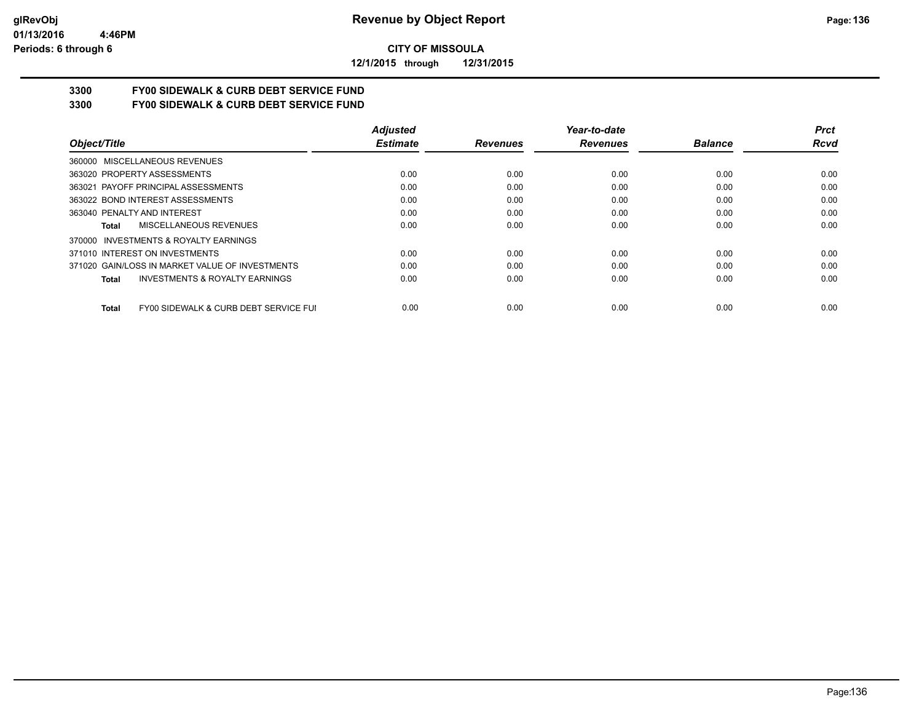**12/1/2015 through 12/31/2015**

# **3300 FY00 SIDEWALK & CURB DEBT SERVICE FUND**

**3300 FY00 SIDEWALK & CURB DEBT SERVICE FUND**

|                                                       | <b>Adjusted</b> |                 | Year-to-date    |                | <b>Prct</b> |
|-------------------------------------------------------|-----------------|-----------------|-----------------|----------------|-------------|
| Object/Title                                          | <b>Estimate</b> | <b>Revenues</b> | <b>Revenues</b> | <b>Balance</b> | <b>Rcvd</b> |
| 360000 MISCELLANEOUS REVENUES                         |                 |                 |                 |                |             |
| 363020 PROPERTY ASSESSMENTS                           | 0.00            | 0.00            | 0.00            | 0.00           | 0.00        |
| 363021 PAYOFF PRINCIPAL ASSESSMENTS                   | 0.00            | 0.00            | 0.00            | 0.00           | 0.00        |
| 363022 BOND INTEREST ASSESSMENTS                      | 0.00            | 0.00            | 0.00            | 0.00           | 0.00        |
| 363040 PENALTY AND INTEREST                           | 0.00            | 0.00            | 0.00            | 0.00           | 0.00        |
| MISCELLANEOUS REVENUES<br>Total                       | 0.00            | 0.00            | 0.00            | 0.00           | 0.00        |
| INVESTMENTS & ROYALTY EARNINGS<br>370000              |                 |                 |                 |                |             |
| 371010 INTEREST ON INVESTMENTS                        | 0.00            | 0.00            | 0.00            | 0.00           | 0.00        |
| 371020 GAIN/LOSS IN MARKET VALUE OF INVESTMENTS       | 0.00            | 0.00            | 0.00            | 0.00           | 0.00        |
| <b>INVESTMENTS &amp; ROYALTY EARNINGS</b><br>Total    | 0.00            | 0.00            | 0.00            | 0.00           | 0.00        |
| FY00 SIDEWALK & CURB DEBT SERVICE FUI<br><b>Total</b> | 0.00            | 0.00            | 0.00            | 0.00           | 0.00        |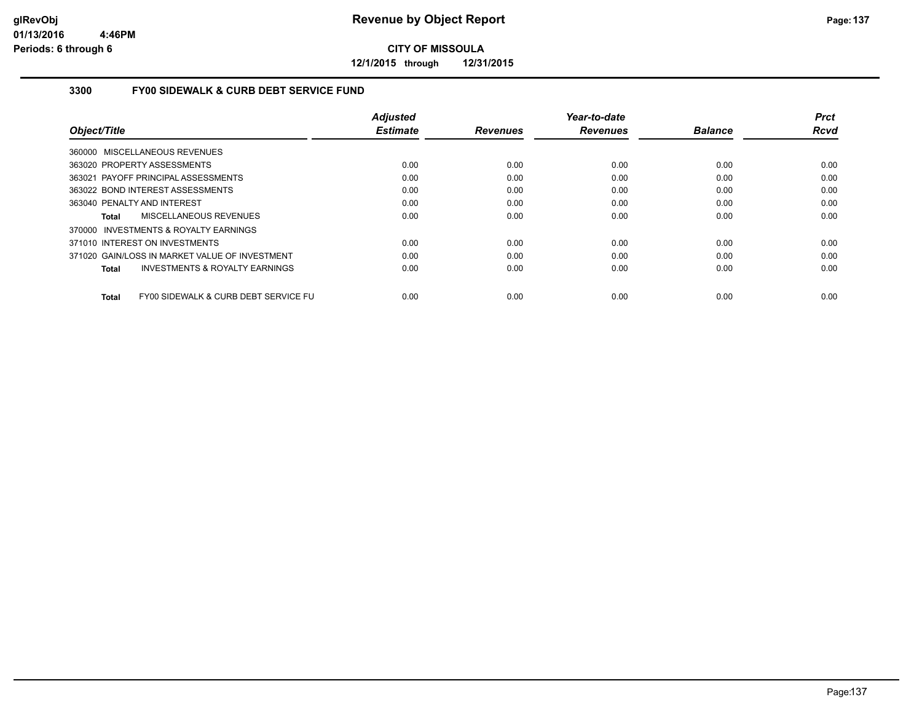**12/1/2015 through 12/31/2015**

## **3300 FY00 SIDEWALK & CURB DEBT SERVICE FUND**

|                                                      | <b>Adjusted</b> |                 | Year-to-date    |                | <b>Prct</b> |
|------------------------------------------------------|-----------------|-----------------|-----------------|----------------|-------------|
| Object/Title                                         | <b>Estimate</b> | <b>Revenues</b> | <b>Revenues</b> | <b>Balance</b> | Rcvd        |
| 360000 MISCELLANEOUS REVENUES                        |                 |                 |                 |                |             |
| 363020 PROPERTY ASSESSMENTS                          | 0.00            | 0.00            | 0.00            | 0.00           | 0.00        |
| 363021 PAYOFF PRINCIPAL ASSESSMENTS                  | 0.00            | 0.00            | 0.00            | 0.00           | 0.00        |
| 363022 BOND INTEREST ASSESSMENTS                     | 0.00            | 0.00            | 0.00            | 0.00           | 0.00        |
| 363040 PENALTY AND INTEREST                          | 0.00            | 0.00            | 0.00            | 0.00           | 0.00        |
| MISCELLANEOUS REVENUES<br>Total                      | 0.00            | 0.00            | 0.00            | 0.00           | 0.00        |
| 370000 INVESTMENTS & ROYALTY EARNINGS                |                 |                 |                 |                |             |
| 371010 INTEREST ON INVESTMENTS                       | 0.00            | 0.00            | 0.00            | 0.00           | 0.00        |
| 371020 GAIN/LOSS IN MARKET VALUE OF INVESTMENT       | 0.00            | 0.00            | 0.00            | 0.00           | 0.00        |
| <b>INVESTMENTS &amp; ROYALTY EARNINGS</b><br>Total   | 0.00            | 0.00            | 0.00            | 0.00           | 0.00        |
| FY00 SIDEWALK & CURB DEBT SERVICE FU<br><b>Total</b> | 0.00            | 0.00            | 0.00            | 0.00           | 0.00        |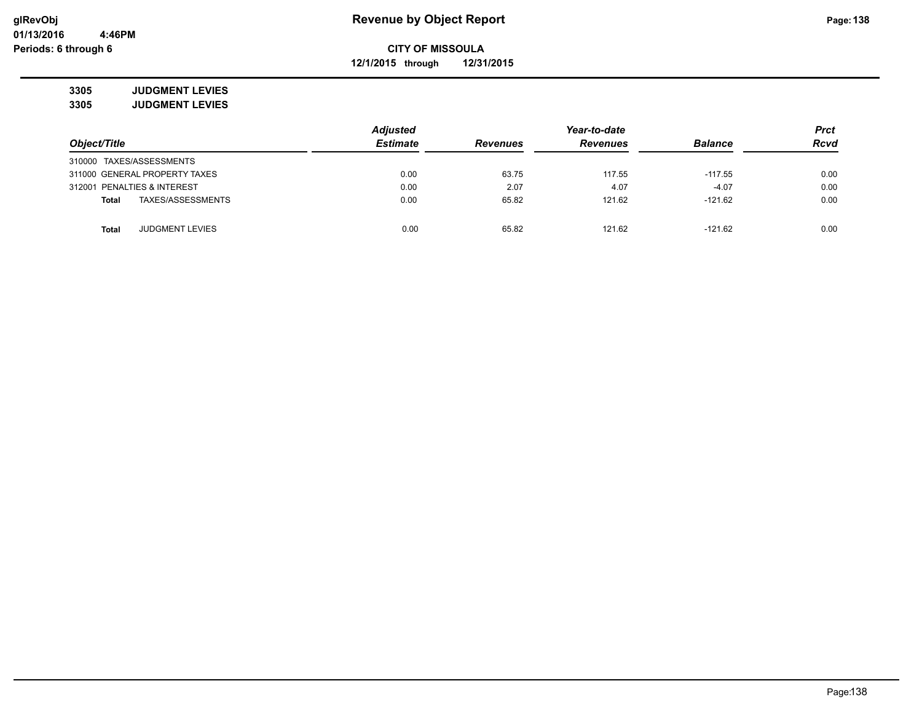**12/1/2015 through 12/31/2015**

**3305 JUDGMENT LEVIES 3305 JUDGMENT LEVIES**

|                               |                        | <b>Adjusted</b> |                 | <b>Prct</b>     |                |             |
|-------------------------------|------------------------|-----------------|-----------------|-----------------|----------------|-------------|
| Object/Title                  |                        | <b>Estimate</b> | <b>Revenues</b> | <b>Revenues</b> | <b>Balance</b> | <b>Rcvd</b> |
| 310000 TAXES/ASSESSMENTS      |                        |                 |                 |                 |                |             |
| 311000 GENERAL PROPERTY TAXES |                        | 0.00            | 63.75           | 117.55          | $-117.55$      | 0.00        |
| 312001 PENALTIES & INTEREST   |                        | 0.00            | 2.07            | 4.07            | $-4.07$        | 0.00        |
| <b>Total</b>                  | TAXES/ASSESSMENTS      | 0.00            | 65.82           | 121.62          | $-121.62$      | 0.00        |
|                               |                        |                 |                 |                 |                |             |
| Total                         | <b>JUDGMENT LEVIES</b> | 0.00            | 65.82           | 121.62          | $-121.62$      | 0.00        |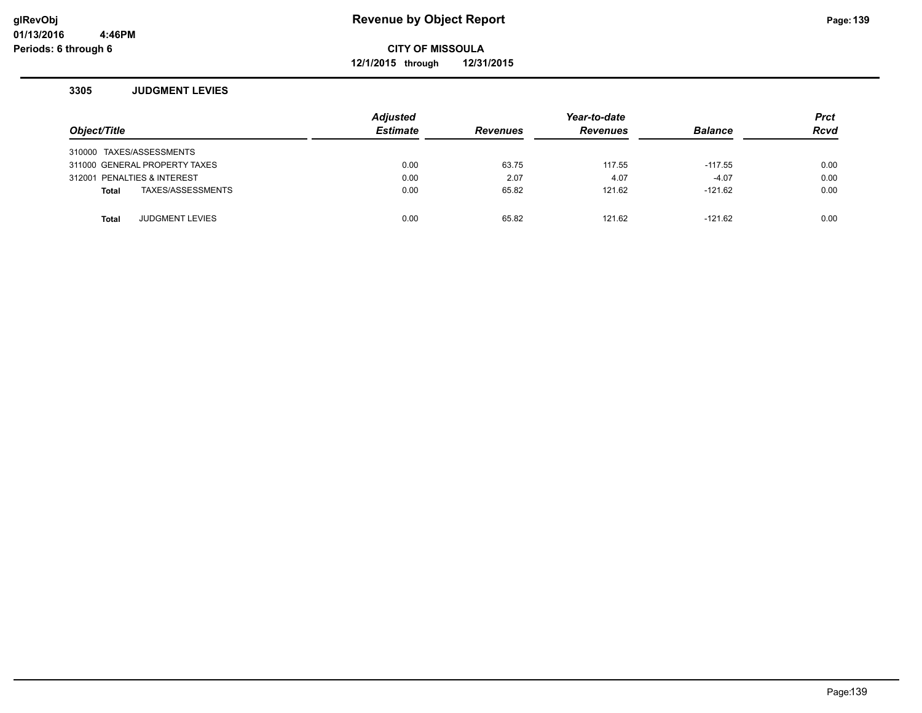**12/1/2015 through 12/31/2015**

### **3305 JUDGMENT LEVIES**

| Object/Title                |                               | <b>Adjusted</b><br><b>Estimate</b> | <b>Revenues</b> | Year-to-date<br><b>Revenues</b> | <b>Balance</b> | <b>Prct</b><br><b>Rcvd</b> |
|-----------------------------|-------------------------------|------------------------------------|-----------------|---------------------------------|----------------|----------------------------|
| 310000 TAXES/ASSESSMENTS    |                               |                                    |                 |                                 |                |                            |
|                             | 311000 GENERAL PROPERTY TAXES | 0.00                               | 63.75           | 117.55                          | $-117.55$      | 0.00                       |
| 312001 PENALTIES & INTEREST |                               | 0.00                               | 2.07            | 4.07                            | $-4.07$        | 0.00                       |
| Total                       | TAXES/ASSESSMENTS             | 0.00                               | 65.82           | 121.62                          | $-121.62$      | 0.00                       |
|                             |                               |                                    |                 |                                 |                |                            |
| <b>Total</b>                | <b>JUDGMENT LEVIES</b>        | 0.00                               | 65.82           | 121.62                          | $-121.62$      | 0.00                       |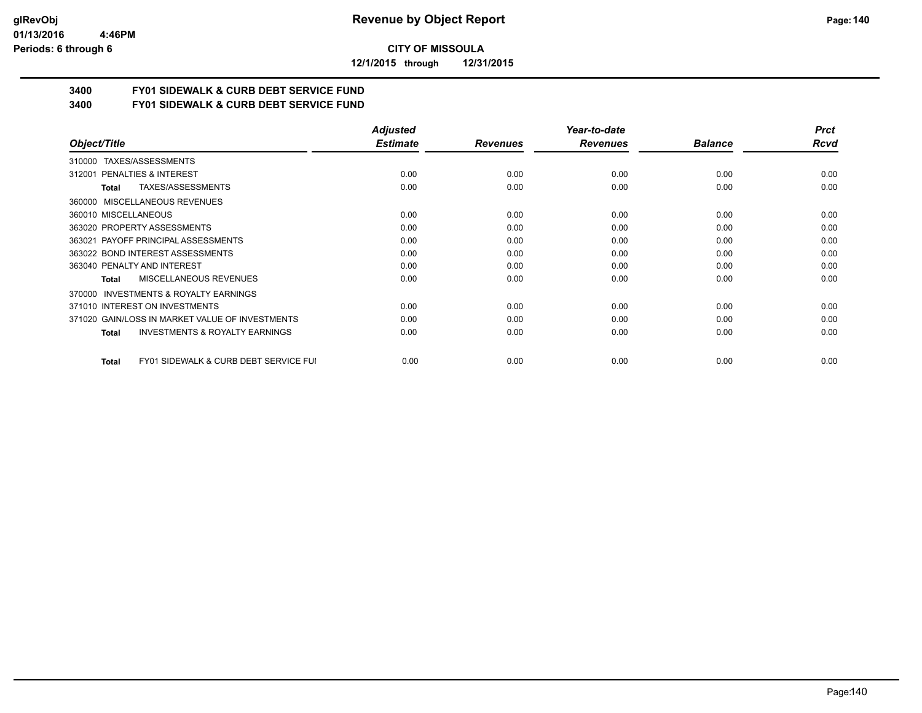#### **01/13/2016 4:46PM Periods: 6 through 6**

**CITY OF MISSOULA**

**12/1/2015 through 12/31/2015**

# **3400 FY01 SIDEWALK & CURB DEBT SERVICE FUND**

**3400 FY01 SIDEWALK & CURB DEBT SERVICE FUND**

|                                                           | Adjusted        |                 | Year-to-date    |                | <b>Prct</b> |
|-----------------------------------------------------------|-----------------|-----------------|-----------------|----------------|-------------|
| Object/Title                                              | <b>Estimate</b> | <b>Revenues</b> | <b>Revenues</b> | <b>Balance</b> | Rcvd        |
| TAXES/ASSESSMENTS<br>310000                               |                 |                 |                 |                |             |
| 312001 PENALTIES & INTEREST                               | 0.00            | 0.00            | 0.00            | 0.00           | 0.00        |
| TAXES/ASSESSMENTS<br>Total                                | 0.00            | 0.00            | 0.00            | 0.00           | 0.00        |
| MISCELLANEOUS REVENUES<br>360000                          |                 |                 |                 |                |             |
| 360010 MISCELLANEOUS                                      | 0.00            | 0.00            | 0.00            | 0.00           | 0.00        |
| 363020 PROPERTY ASSESSMENTS                               | 0.00            | 0.00            | 0.00            | 0.00           | 0.00        |
| 363021 PAYOFF PRINCIPAL ASSESSMENTS                       | 0.00            | 0.00            | 0.00            | 0.00           | 0.00        |
| 363022 BOND INTEREST ASSESSMENTS                          | 0.00            | 0.00            | 0.00            | 0.00           | 0.00        |
| 363040 PENALTY AND INTEREST                               | 0.00            | 0.00            | 0.00            | 0.00           | 0.00        |
| MISCELLANEOUS REVENUES<br>Total                           | 0.00            | 0.00            | 0.00            | 0.00           | 0.00        |
| <b>INVESTMENTS &amp; ROYALTY EARNINGS</b><br>370000       |                 |                 |                 |                |             |
| 371010 INTEREST ON INVESTMENTS                            | 0.00            | 0.00            | 0.00            | 0.00           | 0.00        |
| 371020 GAIN/LOSS IN MARKET VALUE OF INVESTMENTS           | 0.00            | 0.00            | 0.00            | 0.00           | 0.00        |
| <b>INVESTMENTS &amp; ROYALTY EARNINGS</b><br><b>Total</b> | 0.00            | 0.00            | 0.00            | 0.00           | 0.00        |
| FY01 SIDEWALK & CURB DEBT SERVICE FUI<br>Total            | 0.00            | 0.00            | 0.00            | 0.00           | 0.00        |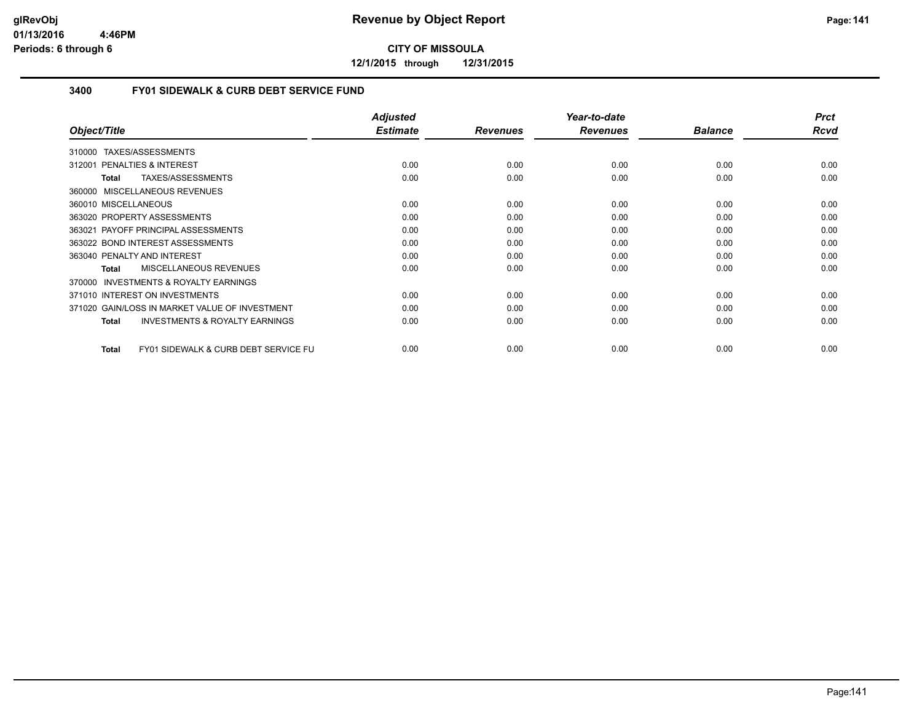**12/1/2015 through 12/31/2015**

# **3400 FY01 SIDEWALK & CURB DEBT SERVICE FUND**

| Object/Title                                                    | <b>Adjusted</b><br><b>Estimate</b> | <b>Revenues</b> | Year-to-date<br><b>Revenues</b> | <b>Balance</b> | <b>Prct</b><br>Rcvd |
|-----------------------------------------------------------------|------------------------------------|-----------------|---------------------------------|----------------|---------------------|
|                                                                 |                                    |                 |                                 |                |                     |
| TAXES/ASSESSMENTS<br>310000                                     |                                    |                 |                                 |                |                     |
| 312001 PENALTIES & INTEREST                                     | 0.00                               | 0.00            | 0.00                            | 0.00           | 0.00                |
| TAXES/ASSESSMENTS<br><b>Total</b>                               | 0.00                               | 0.00            | 0.00                            | 0.00           | 0.00                |
| MISCELLANEOUS REVENUES<br>360000                                |                                    |                 |                                 |                |                     |
| 360010 MISCELLANEOUS                                            | 0.00                               | 0.00            | 0.00                            | 0.00           | 0.00                |
| 363020 PROPERTY ASSESSMENTS                                     | 0.00                               | 0.00            | 0.00                            | 0.00           | 0.00                |
| 363021 PAYOFF PRINCIPAL ASSESSMENTS                             | 0.00                               | 0.00            | 0.00                            | 0.00           | 0.00                |
| 363022 BOND INTEREST ASSESSMENTS                                | 0.00                               | 0.00            | 0.00                            | 0.00           | 0.00                |
| 363040 PENALTY AND INTEREST                                     | 0.00                               | 0.00            | 0.00                            | 0.00           | 0.00                |
| MISCELLANEOUS REVENUES<br><b>Total</b>                          | 0.00                               | 0.00            | 0.00                            | 0.00           | 0.00                |
| INVESTMENTS & ROYALTY EARNINGS<br>370000                        |                                    |                 |                                 |                |                     |
| 371010 INTEREST ON INVESTMENTS                                  | 0.00                               | 0.00            | 0.00                            | 0.00           | 0.00                |
| 371020 GAIN/LOSS IN MARKET VALUE OF INVESTMENT                  | 0.00                               | 0.00            | 0.00                            | 0.00           | 0.00                |
| <b>INVESTMENTS &amp; ROYALTY EARNINGS</b><br><b>Total</b>       | 0.00                               | 0.00            | 0.00                            | 0.00           | 0.00                |
|                                                                 |                                    |                 |                                 |                |                     |
| <b>FY01 SIDEWALK &amp; CURB DEBT SERVICE FU</b><br><b>Total</b> | 0.00                               | 0.00            | 0.00                            | 0.00           | 0.00                |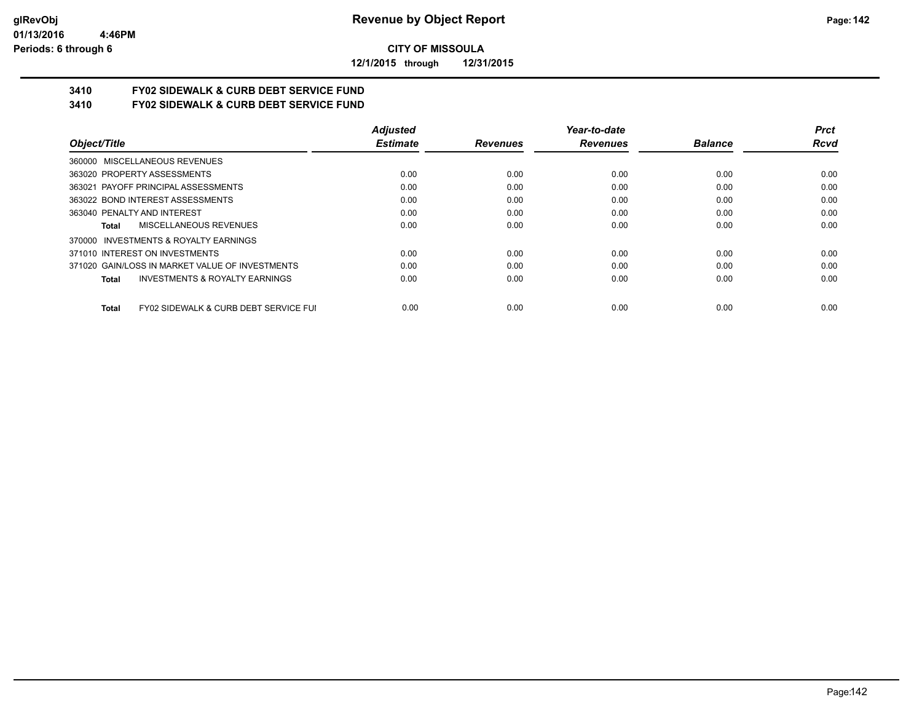**12/1/2015 through 12/31/2015**

# **3410 FY02 SIDEWALK & CURB DEBT SERVICE FUND**

**3410 FY02 SIDEWALK & CURB DEBT SERVICE FUND**

|                                                                  | <b>Adjusted</b> |                 | Year-to-date    |                | <b>Prct</b> |
|------------------------------------------------------------------|-----------------|-----------------|-----------------|----------------|-------------|
| Object/Title                                                     | <b>Estimate</b> | <b>Revenues</b> | <b>Revenues</b> | <b>Balance</b> | Rcvd        |
| 360000 MISCELLANEOUS REVENUES                                    |                 |                 |                 |                |             |
| 363020 PROPERTY ASSESSMENTS                                      | 0.00            | 0.00            | 0.00            | 0.00           | 0.00        |
| 363021 PAYOFF PRINCIPAL ASSESSMENTS                              | 0.00            | 0.00            | 0.00            | 0.00           | 0.00        |
| 363022 BOND INTEREST ASSESSMENTS                                 | 0.00            | 0.00            | 0.00            | 0.00           | 0.00        |
| 363040 PENALTY AND INTEREST                                      | 0.00            | 0.00            | 0.00            | 0.00           | 0.00        |
| MISCELLANEOUS REVENUES<br>Total                                  | 0.00            | 0.00            | 0.00            | 0.00           | 0.00        |
| 370000 INVESTMENTS & ROYALTY EARNINGS                            |                 |                 |                 |                |             |
| 371010 INTEREST ON INVESTMENTS                                   | 0.00            | 0.00            | 0.00            | 0.00           | 0.00        |
| 371020 GAIN/LOSS IN MARKET VALUE OF INVESTMENTS                  | 0.00            | 0.00            | 0.00            | 0.00           | 0.00        |
| <b>INVESTMENTS &amp; ROYALTY EARNINGS</b><br>Total               | 0.00            | 0.00            | 0.00            | 0.00           | 0.00        |
| <b>FY02 SIDEWALK &amp; CURB DEBT SERVICE FUI</b><br><b>Total</b> | 0.00            | 0.00            | 0.00            | 0.00           | 0.00        |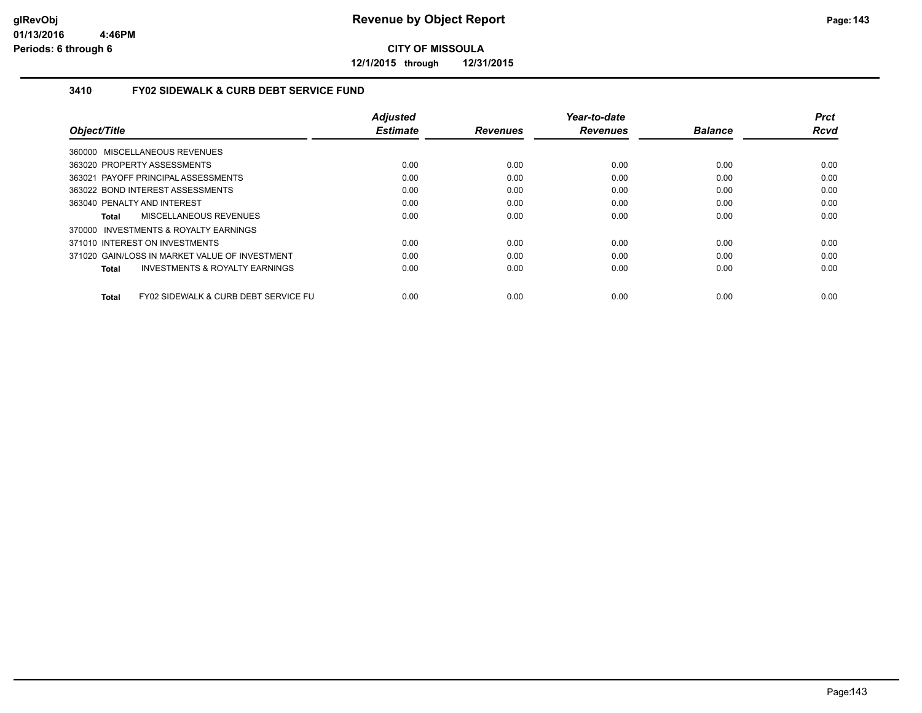**12/1/2015 through 12/31/2015**

# **3410 FY02 SIDEWALK & CURB DEBT SERVICE FUND**

|                                                      | <b>Adjusted</b> |                 | Year-to-date    |                | <b>Prct</b> |
|------------------------------------------------------|-----------------|-----------------|-----------------|----------------|-------------|
| Object/Title                                         | <b>Estimate</b> | <b>Revenues</b> | <b>Revenues</b> | <b>Balance</b> | <b>Rcvd</b> |
| 360000 MISCELLANEOUS REVENUES                        |                 |                 |                 |                |             |
| 363020 PROPERTY ASSESSMENTS                          | 0.00            | 0.00            | 0.00            | 0.00           | 0.00        |
| 363021 PAYOFF PRINCIPAL ASSESSMENTS                  | 0.00            | 0.00            | 0.00            | 0.00           | 0.00        |
| 363022 BOND INTEREST ASSESSMENTS                     | 0.00            | 0.00            | 0.00            | 0.00           | 0.00        |
| 363040 PENALTY AND INTEREST                          | 0.00            | 0.00            | 0.00            | 0.00           | 0.00        |
| MISCELLANEOUS REVENUES<br>Total                      | 0.00            | 0.00            | 0.00            | 0.00           | 0.00        |
| 370000 INVESTMENTS & ROYALTY EARNINGS                |                 |                 |                 |                |             |
| 371010 INTEREST ON INVESTMENTS                       | 0.00            | 0.00            | 0.00            | 0.00           | 0.00        |
| 371020 GAIN/LOSS IN MARKET VALUE OF INVESTMENT       | 0.00            | 0.00            | 0.00            | 0.00           | 0.00        |
| <b>INVESTMENTS &amp; ROYALTY EARNINGS</b><br>Total   | 0.00            | 0.00            | 0.00            | 0.00           | 0.00        |
| FY02 SIDEWALK & CURB DEBT SERVICE FU<br><b>Total</b> | 0.00            | 0.00            | 0.00            | 0.00           | 0.00        |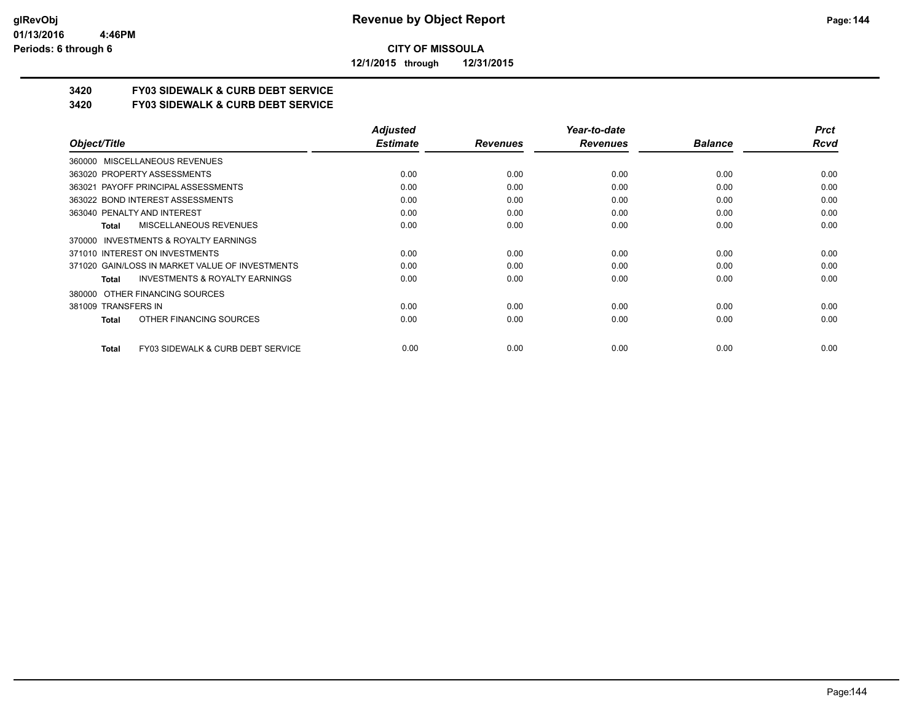**12/1/2015 through 12/31/2015**

# **3420 FY03 SIDEWALK & CURB DEBT SERVICE**

**3420 FY03 SIDEWALK & CURB DEBT SERVICE**

|                                                    | <b>Adjusted</b> |                 | Year-to-date    |                | <b>Prct</b> |
|----------------------------------------------------|-----------------|-----------------|-----------------|----------------|-------------|
| Object/Title                                       | <b>Estimate</b> | <b>Revenues</b> | <b>Revenues</b> | <b>Balance</b> | Rcvd        |
| 360000 MISCELLANEOUS REVENUES                      |                 |                 |                 |                |             |
| 363020 PROPERTY ASSESSMENTS                        | 0.00            | 0.00            | 0.00            | 0.00           | 0.00        |
| 363021 PAYOFF PRINCIPAL ASSESSMENTS                | 0.00            | 0.00            | 0.00            | 0.00           | 0.00        |
| 363022 BOND INTEREST ASSESSMENTS                   | 0.00            | 0.00            | 0.00            | 0.00           | 0.00        |
| 363040 PENALTY AND INTEREST                        | 0.00            | 0.00            | 0.00            | 0.00           | 0.00        |
| MISCELLANEOUS REVENUES<br>Total                    | 0.00            | 0.00            | 0.00            | 0.00           | 0.00        |
| 370000 INVESTMENTS & ROYALTY EARNINGS              |                 |                 |                 |                |             |
| 371010 INTEREST ON INVESTMENTS                     | 0.00            | 0.00            | 0.00            | 0.00           | 0.00        |
| 371020 GAIN/LOSS IN MARKET VALUE OF INVESTMENTS    | 0.00            | 0.00            | 0.00            | 0.00           | 0.00        |
| <b>INVESTMENTS &amp; ROYALTY EARNINGS</b><br>Total | 0.00            | 0.00            | 0.00            | 0.00           | 0.00        |
| OTHER FINANCING SOURCES<br>380000                  |                 |                 |                 |                |             |
| 381009 TRANSFERS IN                                | 0.00            | 0.00            | 0.00            | 0.00           | 0.00        |
| OTHER FINANCING SOURCES<br>Total                   | 0.00            | 0.00            | 0.00            | 0.00           | 0.00        |
| FY03 SIDEWALK & CURB DEBT SERVICE<br>Total         | 0.00            | 0.00            | 0.00            | 0.00           | 0.00        |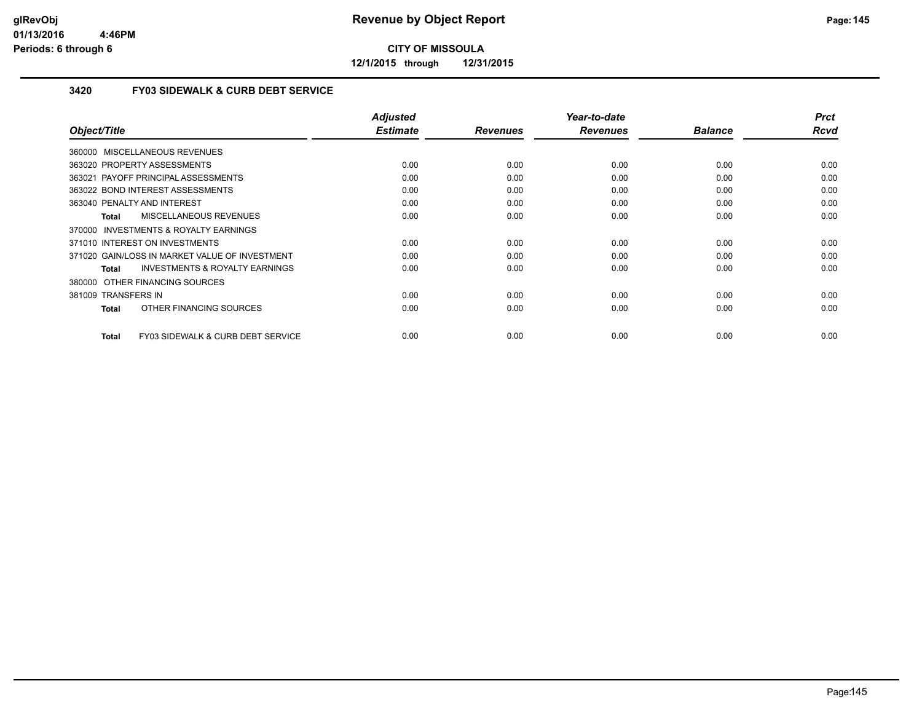**12/1/2015 through 12/31/2015**

#### **3420 FY03 SIDEWALK & CURB DEBT SERVICE**

| Object/Title                                       | <b>Adjusted</b><br><b>Estimate</b> | <b>Revenues</b> | Year-to-date<br><b>Revenues</b> | <b>Balance</b> | <b>Prct</b><br>Rcvd |
|----------------------------------------------------|------------------------------------|-----------------|---------------------------------|----------------|---------------------|
| 360000 MISCELLANEOUS REVENUES                      |                                    |                 |                                 |                |                     |
| 363020 PROPERTY ASSESSMENTS                        | 0.00                               | 0.00            | 0.00                            | 0.00           | 0.00                |
| 363021 PAYOFF PRINCIPAL ASSESSMENTS                |                                    | 0.00            | 0.00                            | 0.00           | 0.00                |
|                                                    | 0.00                               |                 |                                 |                |                     |
| 363022 BOND INTEREST ASSESSMENTS                   | 0.00                               | 0.00            | 0.00                            | 0.00           | 0.00                |
| 363040 PENALTY AND INTEREST                        | 0.00                               | 0.00            | 0.00                            | 0.00           | 0.00                |
| <b>MISCELLANEOUS REVENUES</b><br>Total             | 0.00                               | 0.00            | 0.00                            | 0.00           | 0.00                |
| 370000 INVESTMENTS & ROYALTY EARNINGS              |                                    |                 |                                 |                |                     |
| 371010 INTEREST ON INVESTMENTS                     | 0.00                               | 0.00            | 0.00                            | 0.00           | 0.00                |
| 371020 GAIN/LOSS IN MARKET VALUE OF INVESTMENT     | 0.00                               | 0.00            | 0.00                            | 0.00           | 0.00                |
| <b>INVESTMENTS &amp; ROYALTY EARNINGS</b><br>Total | 0.00                               | 0.00            | 0.00                            | 0.00           | 0.00                |
| 380000 OTHER FINANCING SOURCES                     |                                    |                 |                                 |                |                     |
| 381009 TRANSFERS IN                                | 0.00                               | 0.00            | 0.00                            | 0.00           | 0.00                |
| OTHER FINANCING SOURCES<br><b>Total</b>            | 0.00                               | 0.00            | 0.00                            | 0.00           | 0.00                |
|                                                    |                                    |                 |                                 |                |                     |
| FY03 SIDEWALK & CURB DEBT SERVICE<br><b>Total</b>  | 0.00                               | 0.00            | 0.00                            | 0.00           | 0.00                |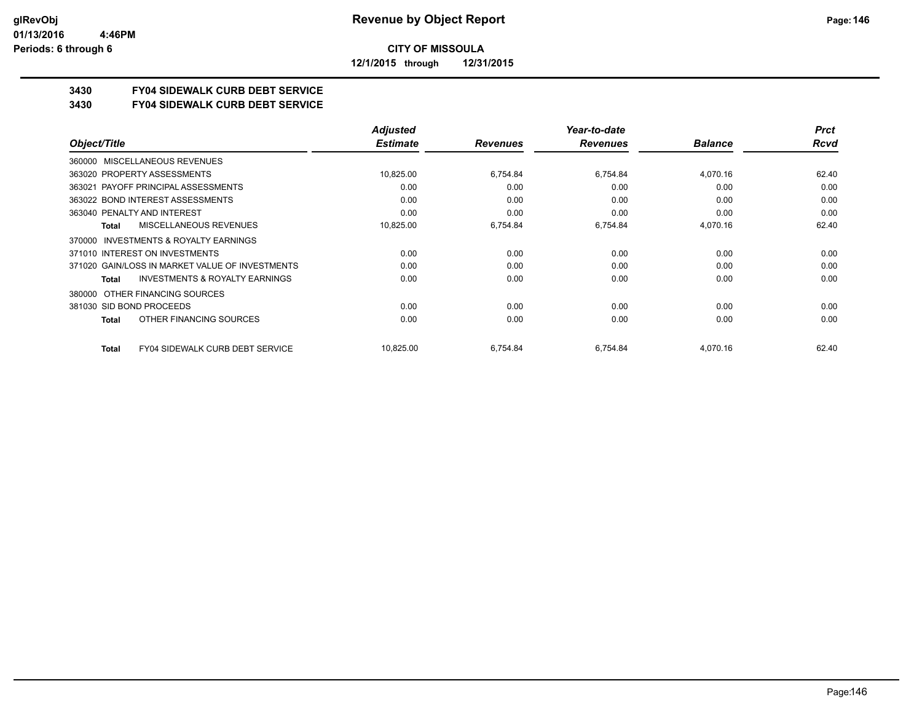**12/1/2015 through 12/31/2015**

## **3430 FY04 SIDEWALK CURB DEBT SERVICE**

**3430 FY04 SIDEWALK CURB DEBT SERVICE**

|                                                     | <b>Adjusted</b> |                 | Year-to-date    |                | <b>Prct</b> |
|-----------------------------------------------------|-----------------|-----------------|-----------------|----------------|-------------|
| Object/Title                                        | <b>Estimate</b> | <b>Revenues</b> | <b>Revenues</b> | <b>Balance</b> | Rcvd        |
| MISCELLANEOUS REVENUES<br>360000                    |                 |                 |                 |                |             |
| 363020 PROPERTY ASSESSMENTS                         | 10,825.00       | 6,754.84        | 6,754.84        | 4,070.16       | 62.40       |
| 363021 PAYOFF PRINCIPAL ASSESSMENTS                 | 0.00            | 0.00            | 0.00            | 0.00           | 0.00        |
| 363022 BOND INTEREST ASSESSMENTS                    | 0.00            | 0.00            | 0.00            | 0.00           | 0.00        |
| 363040 PENALTY AND INTEREST                         | 0.00            | 0.00            | 0.00            | 0.00           | 0.00        |
| <b>MISCELLANEOUS REVENUES</b><br><b>Total</b>       | 10,825.00       | 6,754.84        | 6,754.84        | 4,070.16       | 62.40       |
| <b>INVESTMENTS &amp; ROYALTY EARNINGS</b><br>370000 |                 |                 |                 |                |             |
| 371010 INTEREST ON INVESTMENTS                      | 0.00            | 0.00            | 0.00            | 0.00           | 0.00        |
| 371020 GAIN/LOSS IN MARKET VALUE OF INVESTMENTS     | 0.00            | 0.00            | 0.00            | 0.00           | 0.00        |
| <b>INVESTMENTS &amp; ROYALTY EARNINGS</b><br>Total  | 0.00            | 0.00            | 0.00            | 0.00           | 0.00        |
| OTHER FINANCING SOURCES<br>380000                   |                 |                 |                 |                |             |
| 381030 SID BOND PROCEEDS                            | 0.00            | 0.00            | 0.00            | 0.00           | 0.00        |
| OTHER FINANCING SOURCES<br><b>Total</b>             | 0.00            | 0.00            | 0.00            | 0.00           | 0.00        |
| FY04 SIDEWALK CURB DEBT SERVICE<br><b>Total</b>     | 10,825.00       | 6,754.84        | 6,754.84        | 4,070.16       | 62.40       |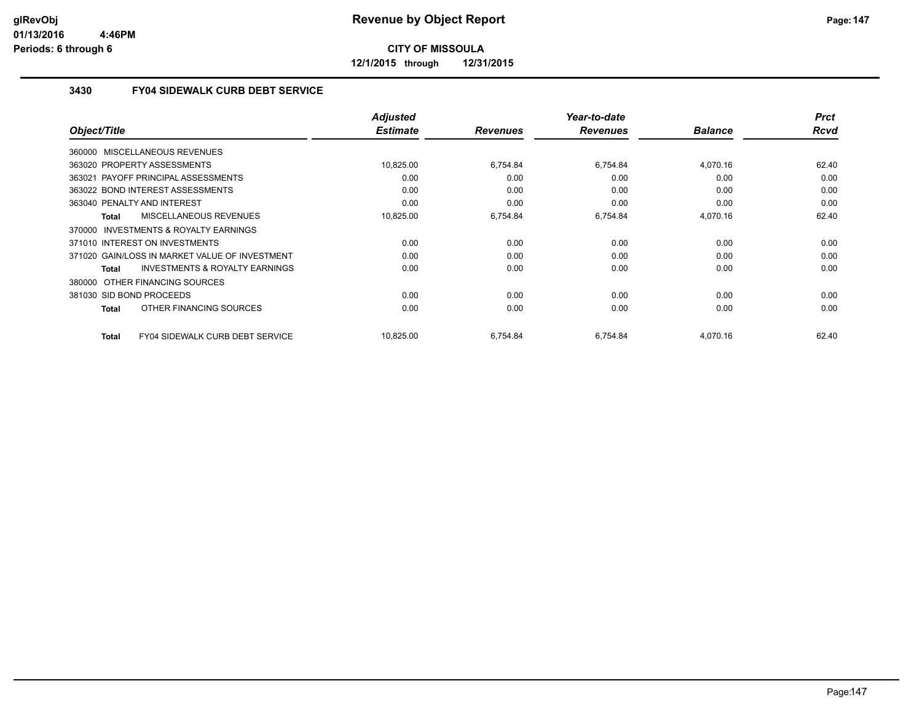**12/1/2015 through 12/31/2015**

#### **3430 FY04 SIDEWALK CURB DEBT SERVICE**

|                                                    | <b>Adjusted</b> |                 | Year-to-date    |                | <b>Prct</b> |
|----------------------------------------------------|-----------------|-----------------|-----------------|----------------|-------------|
| Object/Title                                       | <b>Estimate</b> | <b>Revenues</b> | <b>Revenues</b> | <b>Balance</b> | <b>Rcvd</b> |
| 360000 MISCELLANEOUS REVENUES                      |                 |                 |                 |                |             |
| 363020 PROPERTY ASSESSMENTS                        | 10,825.00       | 6.754.84        | 6,754.84        | 4,070.16       | 62.40       |
| 363021 PAYOFF PRINCIPAL ASSESSMENTS                | 0.00            | 0.00            | 0.00            | 0.00           | 0.00        |
| 363022 BOND INTEREST ASSESSMENTS                   | 0.00            | 0.00            | 0.00            | 0.00           | 0.00        |
| 363040 PENALTY AND INTEREST                        | 0.00            | 0.00            | 0.00            | 0.00           | 0.00        |
| <b>MISCELLANEOUS REVENUES</b><br>Total             | 10,825.00       | 6,754.84        | 6,754.84        | 4,070.16       | 62.40       |
| 370000 INVESTMENTS & ROYALTY EARNINGS              |                 |                 |                 |                |             |
| 371010 INTEREST ON INVESTMENTS                     | 0.00            | 0.00            | 0.00            | 0.00           | 0.00        |
| 371020 GAIN/LOSS IN MARKET VALUE OF INVESTMENT     | 0.00            | 0.00            | 0.00            | 0.00           | 0.00        |
| <b>INVESTMENTS &amp; ROYALTY EARNINGS</b><br>Total | 0.00            | 0.00            | 0.00            | 0.00           | 0.00        |
| 380000 OTHER FINANCING SOURCES                     |                 |                 |                 |                |             |
| 381030 SID BOND PROCEEDS                           | 0.00            | 0.00            | 0.00            | 0.00           | 0.00        |
| OTHER FINANCING SOURCES<br>Total                   | 0.00            | 0.00            | 0.00            | 0.00           | 0.00        |
| FY04 SIDEWALK CURB DEBT SERVICE<br>Total           | 10.825.00       | 6,754.84        | 6,754.84        | 4,070.16       | 62.40       |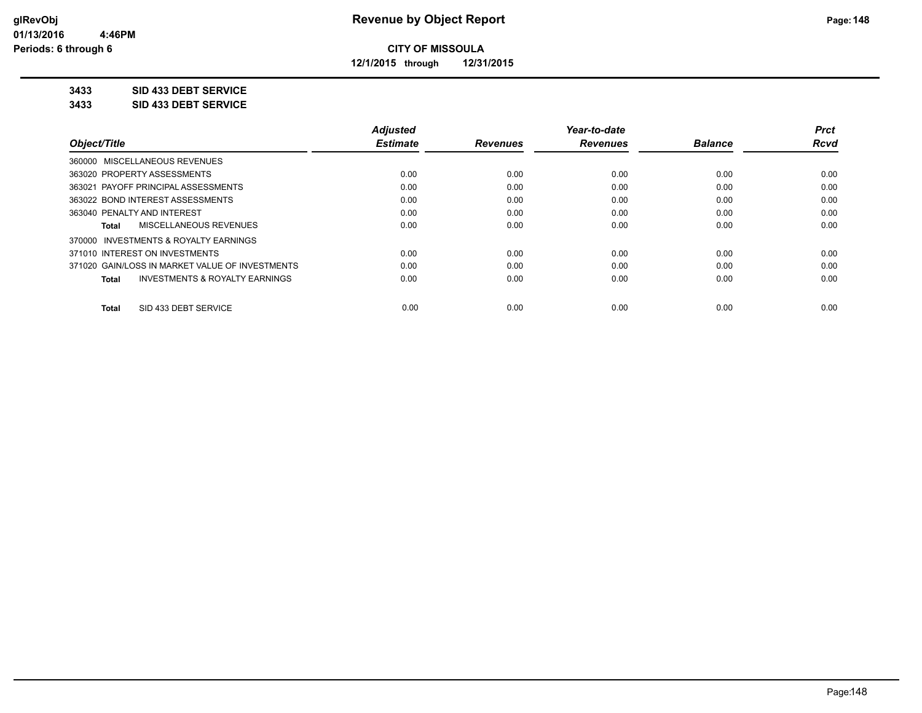**12/1/2015 through 12/31/2015**

#### **3433 SID 433 DEBT SERVICE**

**3433 SID 433 DEBT SERVICE**

|                                                           | <b>Adjusted</b> |                 | Year-to-date    |                | <b>Prct</b> |
|-----------------------------------------------------------|-----------------|-----------------|-----------------|----------------|-------------|
| Object/Title                                              | <b>Estimate</b> | <b>Revenues</b> | <b>Revenues</b> | <b>Balance</b> | Rcvd        |
| 360000 MISCELLANEOUS REVENUES                             |                 |                 |                 |                |             |
| 363020 PROPERTY ASSESSMENTS                               | 0.00            | 0.00            | 0.00            | 0.00           | 0.00        |
| 363021 PAYOFF PRINCIPAL ASSESSMENTS                       | 0.00            | 0.00            | 0.00            | 0.00           | 0.00        |
| 363022 BOND INTEREST ASSESSMENTS                          | 0.00            | 0.00            | 0.00            | 0.00           | 0.00        |
| 363040 PENALTY AND INTEREST                               | 0.00            | 0.00            | 0.00            | 0.00           | 0.00        |
| MISCELLANEOUS REVENUES<br>Total                           | 0.00            | 0.00            | 0.00            | 0.00           | 0.00        |
| 370000 INVESTMENTS & ROYALTY EARNINGS                     |                 |                 |                 |                |             |
| 371010 INTEREST ON INVESTMENTS                            | 0.00            | 0.00            | 0.00            | 0.00           | 0.00        |
| 371020 GAIN/LOSS IN MARKET VALUE OF INVESTMENTS           | 0.00            | 0.00            | 0.00            | 0.00           | 0.00        |
| <b>INVESTMENTS &amp; ROYALTY EARNINGS</b><br><b>Total</b> | 0.00            | 0.00            | 0.00            | 0.00           | 0.00        |
| SID 433 DEBT SERVICE<br>Total                             | 0.00            | 0.00            | 0.00            | 0.00           | 0.00        |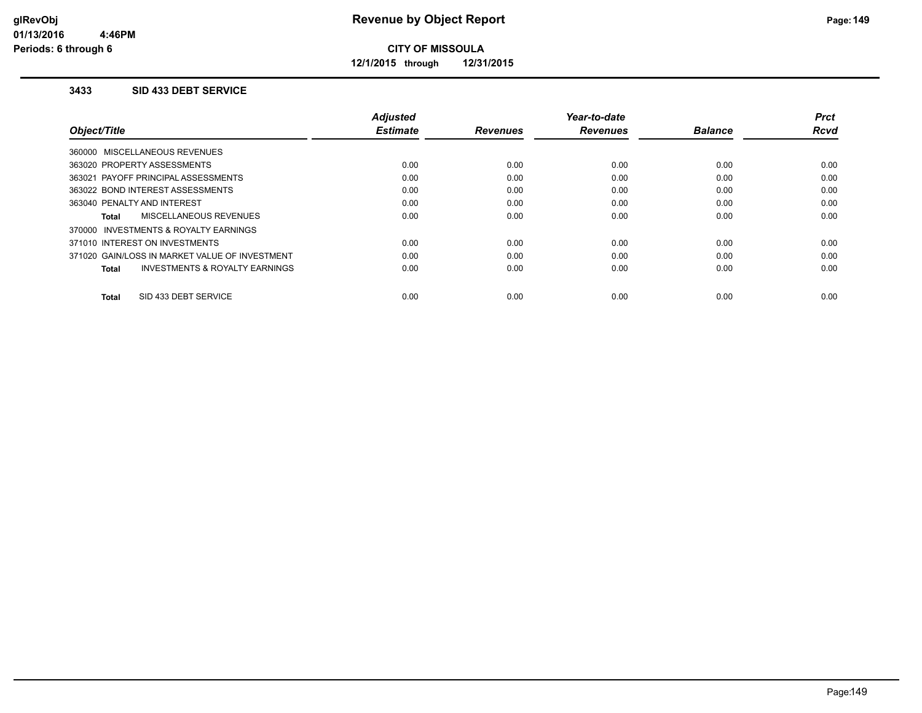**12/1/2015 through 12/31/2015**

#### **3433 SID 433 DEBT SERVICE**

|                                                    | <b>Adjusted</b> |                 | Year-to-date    |                | <b>Prct</b> |
|----------------------------------------------------|-----------------|-----------------|-----------------|----------------|-------------|
| Object/Title                                       | <b>Estimate</b> | <b>Revenues</b> | <b>Revenues</b> | <b>Balance</b> | <b>Rcvd</b> |
| 360000 MISCELLANEOUS REVENUES                      |                 |                 |                 |                |             |
| 363020 PROPERTY ASSESSMENTS                        | 0.00            | 0.00            | 0.00            | 0.00           | 0.00        |
| 363021 PAYOFF PRINCIPAL ASSESSMENTS                | 0.00            | 0.00            | 0.00            | 0.00           | 0.00        |
| 363022 BOND INTEREST ASSESSMENTS                   | 0.00            | 0.00            | 0.00            | 0.00           | 0.00        |
| 363040 PENALTY AND INTEREST                        | 0.00            | 0.00            | 0.00            | 0.00           | 0.00        |
| <b>MISCELLANEOUS REVENUES</b><br>Total             | 0.00            | 0.00            | 0.00            | 0.00           | 0.00        |
| 370000 INVESTMENTS & ROYALTY EARNINGS              |                 |                 |                 |                |             |
| 371010 INTEREST ON INVESTMENTS                     | 0.00            | 0.00            | 0.00            | 0.00           | 0.00        |
| 371020 GAIN/LOSS IN MARKET VALUE OF INVESTMENT     | 0.00            | 0.00            | 0.00            | 0.00           | 0.00        |
| <b>INVESTMENTS &amp; ROYALTY EARNINGS</b><br>Total | 0.00            | 0.00            | 0.00            | 0.00           | 0.00        |
|                                                    |                 |                 |                 |                |             |
| SID 433 DEBT SERVICE<br><b>Total</b>               | 0.00            | 0.00            | 0.00            | 0.00           | 0.00        |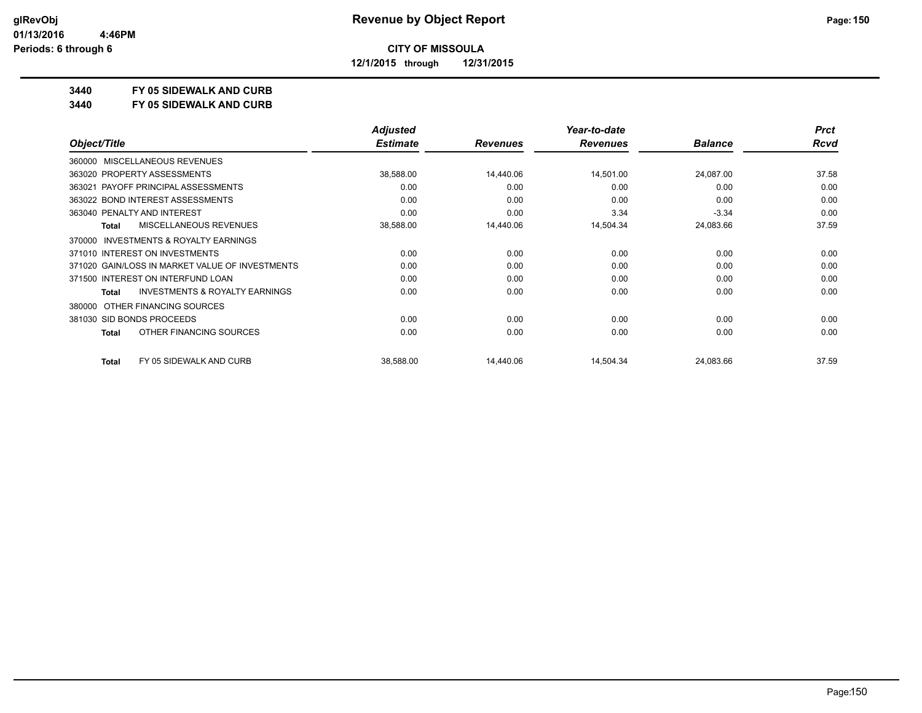**12/1/2015 through 12/31/2015**

#### **3440 FY 05 SIDEWALK AND CURB**

**3440 FY 05 SIDEWALK AND CURB**

|              |                                                 | <b>Adjusted</b> |                 | Year-to-date    |                | <b>Prct</b> |
|--------------|-------------------------------------------------|-----------------|-----------------|-----------------|----------------|-------------|
| Object/Title |                                                 | <b>Estimate</b> | <b>Revenues</b> | <b>Revenues</b> | <b>Balance</b> | Rcvd        |
| 360000       | <b>MISCELLANEOUS REVENUES</b>                   |                 |                 |                 |                |             |
|              | 363020 PROPERTY ASSESSMENTS                     | 38,588.00       | 14.440.06       | 14,501.00       | 24,087.00      | 37.58       |
|              | 363021 PAYOFF PRINCIPAL ASSESSMENTS             | 0.00            | 0.00            | 0.00            | 0.00           | 0.00        |
|              | 363022 BOND INTEREST ASSESSMENTS                | 0.00            | 0.00            | 0.00            | 0.00           | 0.00        |
|              | 363040 PENALTY AND INTEREST                     | 0.00            | 0.00            | 3.34            | $-3.34$        | 0.00        |
| <b>Total</b> | MISCELLANEOUS REVENUES                          | 38,588.00       | 14,440.06       | 14,504.34       | 24,083.66      | 37.59       |
| 370000       | <b>INVESTMENTS &amp; ROYALTY EARNINGS</b>       |                 |                 |                 |                |             |
|              | 371010 INTEREST ON INVESTMENTS                  | 0.00            | 0.00            | 0.00            | 0.00           | 0.00        |
|              | 371020 GAIN/LOSS IN MARKET VALUE OF INVESTMENTS | 0.00            | 0.00            | 0.00            | 0.00           | 0.00        |
|              | 371500 INTEREST ON INTERFUND LOAN               | 0.00            | 0.00            | 0.00            | 0.00           | 0.00        |
| <b>Total</b> | <b>INVESTMENTS &amp; ROYALTY EARNINGS</b>       | 0.00            | 0.00            | 0.00            | 0.00           | 0.00        |
| 380000       | OTHER FINANCING SOURCES                         |                 |                 |                 |                |             |
|              | 381030 SID BONDS PROCEEDS                       | 0.00            | 0.00            | 0.00            | 0.00           | 0.00        |
| <b>Total</b> | OTHER FINANCING SOURCES                         | 0.00            | 0.00            | 0.00            | 0.00           | 0.00        |
| <b>Total</b> | FY 05 SIDEWALK AND CURB                         | 38,588.00       | 14,440.06       | 14,504.34       | 24,083.66      | 37.59       |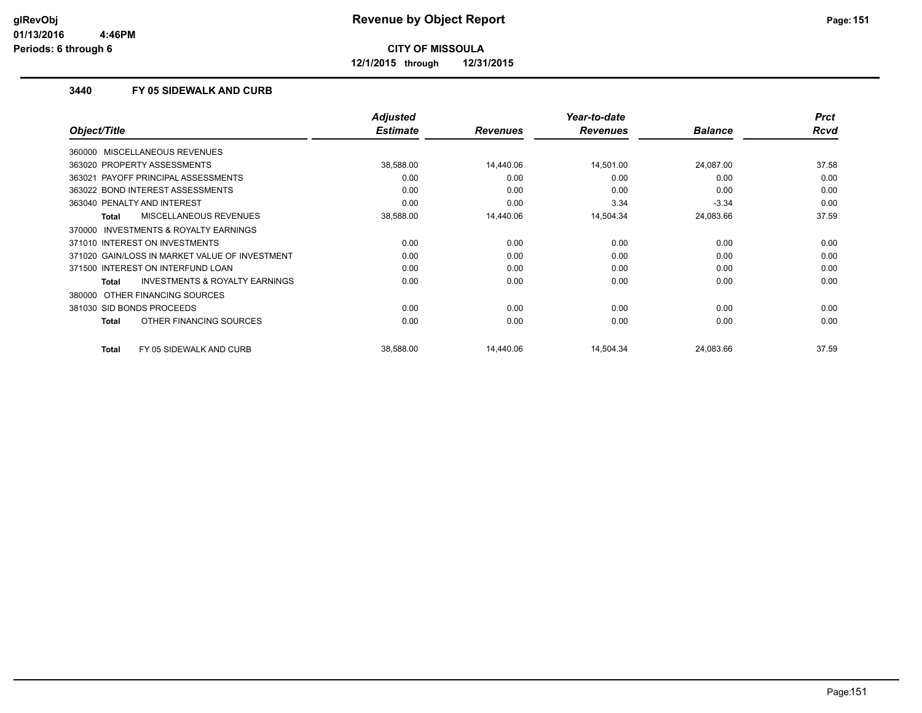**12/1/2015 through 12/31/2015**

#### **3440 FY 05 SIDEWALK AND CURB**

|                                                           | <b>Adjusted</b> |                 | Year-to-date    |                | <b>Prct</b> |
|-----------------------------------------------------------|-----------------|-----------------|-----------------|----------------|-------------|
| Object/Title                                              | <b>Estimate</b> | <b>Revenues</b> | <b>Revenues</b> | <b>Balance</b> | Rcvd        |
| 360000 MISCELLANEOUS REVENUES                             |                 |                 |                 |                |             |
| 363020 PROPERTY ASSESSMENTS                               | 38,588.00       | 14,440.06       | 14,501.00       | 24,087.00      | 37.58       |
| 363021 PAYOFF PRINCIPAL ASSESSMENTS                       | 0.00            | 0.00            | 0.00            | 0.00           | 0.00        |
| 363022 BOND INTEREST ASSESSMENTS                          | 0.00            | 0.00            | 0.00            | 0.00           | 0.00        |
| 363040 PENALTY AND INTEREST                               | 0.00            | 0.00            | 3.34            | $-3.34$        | 0.00        |
| <b>MISCELLANEOUS REVENUES</b><br><b>Total</b>             | 38,588.00       | 14,440.06       | 14,504.34       | 24,083.66      | 37.59       |
| 370000 INVESTMENTS & ROYALTY EARNINGS                     |                 |                 |                 |                |             |
| 371010 INTEREST ON INVESTMENTS                            | 0.00            | 0.00            | 0.00            | 0.00           | 0.00        |
| 371020 GAIN/LOSS IN MARKET VALUE OF INVESTMENT            | 0.00            | 0.00            | 0.00            | 0.00           | 0.00        |
| 371500 INTEREST ON INTERFUND LOAN                         | 0.00            | 0.00            | 0.00            | 0.00           | 0.00        |
| <b>INVESTMENTS &amp; ROYALTY EARNINGS</b><br><b>Total</b> | 0.00            | 0.00            | 0.00            | 0.00           | 0.00        |
| 380000 OTHER FINANCING SOURCES                            |                 |                 |                 |                |             |
| 381030 SID BONDS PROCEEDS                                 | 0.00            | 0.00            | 0.00            | 0.00           | 0.00        |
| OTHER FINANCING SOURCES<br><b>Total</b>                   | 0.00            | 0.00            | 0.00            | 0.00           | 0.00        |
| FY 05 SIDEWALK AND CURB<br><b>Total</b>                   | 38,588.00       | 14,440.06       | 14,504.34       | 24,083.66      | 37.59       |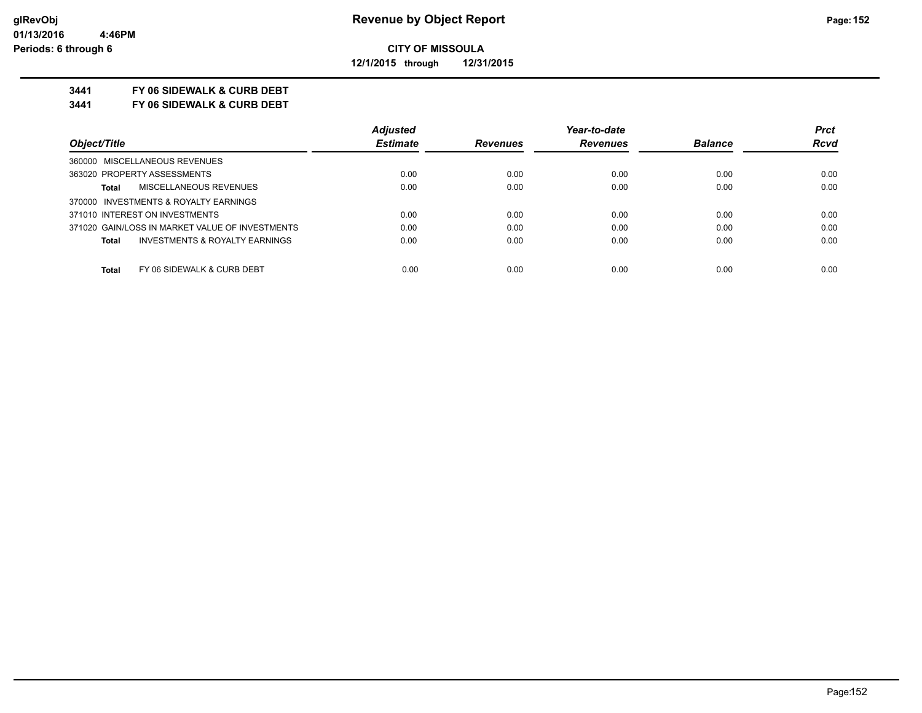**12/1/2015 through 12/31/2015**

#### **3441 FY 06 SIDEWALK & CURB DEBT**

**3441 FY 06 SIDEWALK & CURB DEBT**

|                                                    | <b>Adjusted</b> |                 | Year-to-date    |                | <b>Prct</b> |
|----------------------------------------------------|-----------------|-----------------|-----------------|----------------|-------------|
| Object/Title                                       | <b>Estimate</b> | <b>Revenues</b> | <b>Revenues</b> | <b>Balance</b> | <b>Rcvd</b> |
| 360000 MISCELLANEOUS REVENUES                      |                 |                 |                 |                |             |
| 363020 PROPERTY ASSESSMENTS                        | 0.00            | 0.00            | 0.00            | 0.00           | 0.00        |
| MISCELLANEOUS REVENUES<br><b>Total</b>             | 0.00            | 0.00            | 0.00            | 0.00           | 0.00        |
| 370000 INVESTMENTS & ROYALTY EARNINGS              |                 |                 |                 |                |             |
| 371010 INTEREST ON INVESTMENTS                     | 0.00            | 0.00            | 0.00            | 0.00           | 0.00        |
| 371020 GAIN/LOSS IN MARKET VALUE OF INVESTMENTS    | 0.00            | 0.00            | 0.00            | 0.00           | 0.00        |
| <b>INVESTMENTS &amp; ROYALTY EARNINGS</b><br>Total | 0.00            | 0.00            | 0.00            | 0.00           | 0.00        |
| FY 06 SIDEWALK & CURB DEBT<br><b>Total</b>         | 0.00            | 0.00            | 0.00            | 0.00           | 0.00        |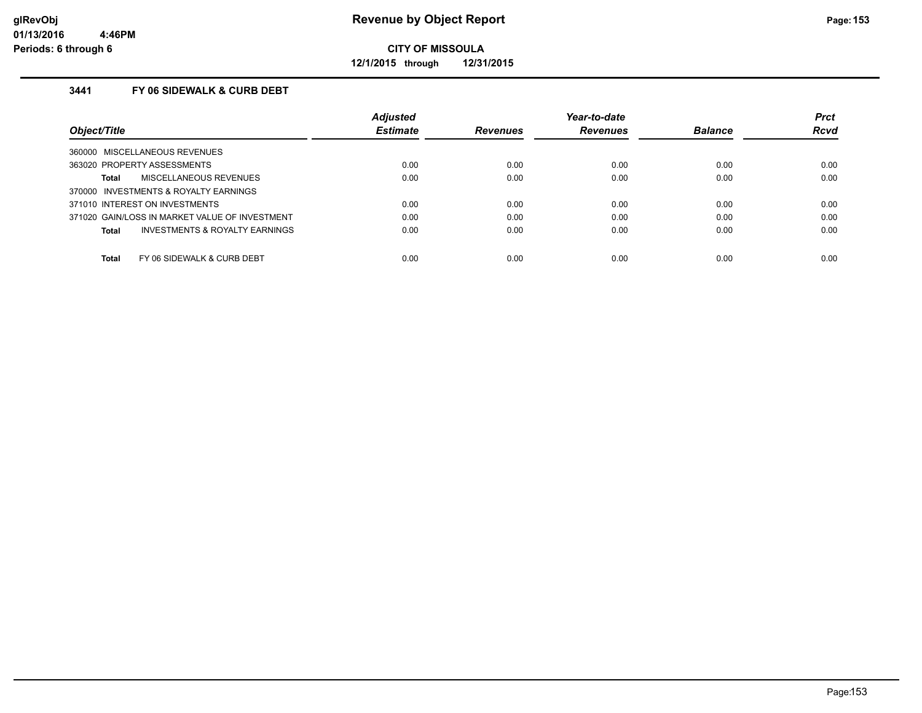**12/1/2015 through 12/31/2015**

#### **3441 FY 06 SIDEWALK & CURB DEBT**

|                                                    | <b>Adjusted</b> |                 | Year-to-date    |                | <b>Prct</b> |
|----------------------------------------------------|-----------------|-----------------|-----------------|----------------|-------------|
| Object/Title                                       | <b>Estimate</b> | <b>Revenues</b> | <b>Revenues</b> | <b>Balance</b> | <b>Rcvd</b> |
| 360000 MISCELLANEOUS REVENUES                      |                 |                 |                 |                |             |
| 363020 PROPERTY ASSESSMENTS                        | 0.00            | 0.00            | 0.00            | 0.00           | 0.00        |
| MISCELLANEOUS REVENUES<br>Total                    | 0.00            | 0.00            | 0.00            | 0.00           | 0.00        |
| 370000 INVESTMENTS & ROYALTY EARNINGS              |                 |                 |                 |                |             |
| 371010 INTEREST ON INVESTMENTS                     | 0.00            | 0.00            | 0.00            | 0.00           | 0.00        |
| 371020 GAIN/LOSS IN MARKET VALUE OF INVESTMENT     | 0.00            | 0.00            | 0.00            | 0.00           | 0.00        |
| <b>INVESTMENTS &amp; ROYALTY EARNINGS</b><br>Total | 0.00            | 0.00            | 0.00            | 0.00           | 0.00        |
| Total<br>FY 06 SIDEWALK & CURB DEBT                | 0.00            | 0.00            | 0.00            | 0.00           | 0.00        |
|                                                    |                 |                 |                 |                |             |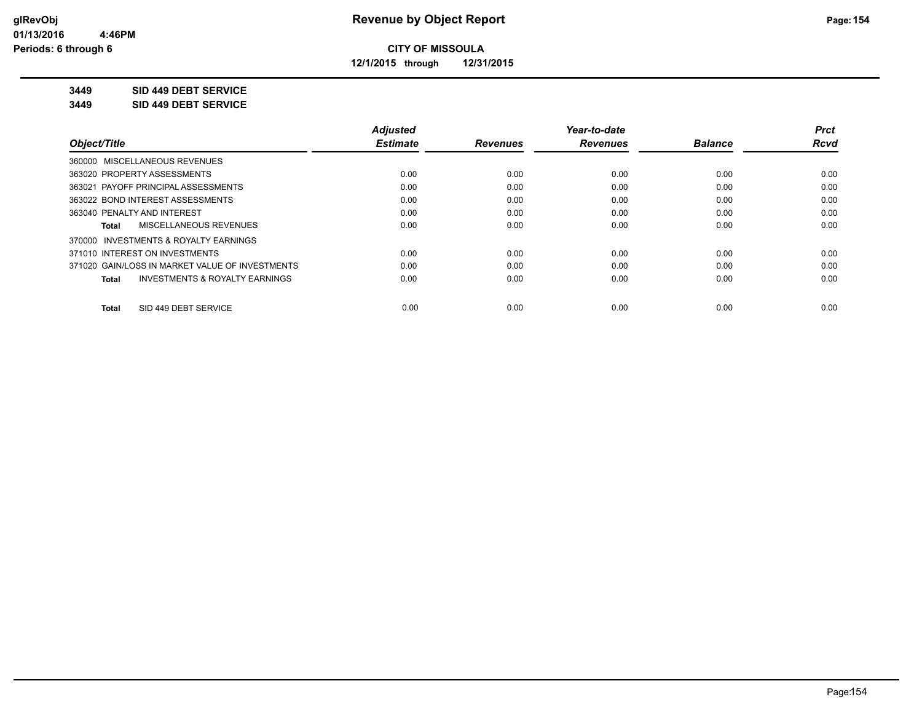**12/1/2015 through 12/31/2015**

#### **3449 SID 449 DEBT SERVICE**

**3449 SID 449 DEBT SERVICE**

|                                                    | <b>Adjusted</b> |                 | Year-to-date    |                | <b>Prct</b> |
|----------------------------------------------------|-----------------|-----------------|-----------------|----------------|-------------|
| Object/Title                                       | <b>Estimate</b> | <b>Revenues</b> | <b>Revenues</b> | <b>Balance</b> | <b>Rcvd</b> |
| 360000 MISCELLANEOUS REVENUES                      |                 |                 |                 |                |             |
| 363020 PROPERTY ASSESSMENTS                        | 0.00            | 0.00            | 0.00            | 0.00           | 0.00        |
| 363021 PAYOFF PRINCIPAL ASSESSMENTS                | 0.00            | 0.00            | 0.00            | 0.00           | 0.00        |
| 363022 BOND INTEREST ASSESSMENTS                   | 0.00            | 0.00            | 0.00            | 0.00           | 0.00        |
| 363040 PENALTY AND INTEREST                        | 0.00            | 0.00            | 0.00            | 0.00           | 0.00        |
| MISCELLANEOUS REVENUES<br>Total                    | 0.00            | 0.00            | 0.00            | 0.00           | 0.00        |
| INVESTMENTS & ROYALTY EARNINGS<br>370000           |                 |                 |                 |                |             |
| 371010 INTEREST ON INVESTMENTS                     | 0.00            | 0.00            | 0.00            | 0.00           | 0.00        |
| 371020 GAIN/LOSS IN MARKET VALUE OF INVESTMENTS    | 0.00            | 0.00            | 0.00            | 0.00           | 0.00        |
| <b>INVESTMENTS &amp; ROYALTY EARNINGS</b><br>Total | 0.00            | 0.00            | 0.00            | 0.00           | 0.00        |
| SID 449 DEBT SERVICE<br><b>Total</b>               | 0.00            | 0.00            | 0.00            | 0.00           | 0.00        |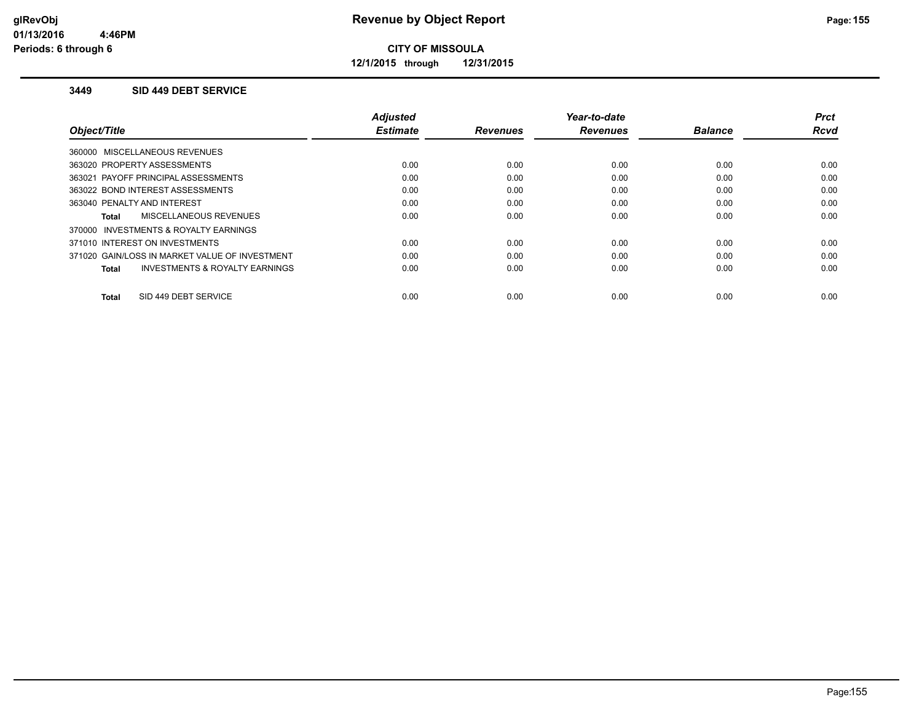**12/1/2015 through 12/31/2015**

#### **3449 SID 449 DEBT SERVICE**

|                                                    | <b>Adjusted</b> |                 | Year-to-date    |                | <b>Prct</b> |
|----------------------------------------------------|-----------------|-----------------|-----------------|----------------|-------------|
| Object/Title                                       | <b>Estimate</b> | <b>Revenues</b> | <b>Revenues</b> | <b>Balance</b> | <b>Rcvd</b> |
| 360000 MISCELLANEOUS REVENUES                      |                 |                 |                 |                |             |
| 363020 PROPERTY ASSESSMENTS                        | 0.00            | 0.00            | 0.00            | 0.00           | 0.00        |
| 363021 PAYOFF PRINCIPAL ASSESSMENTS                | 0.00            | 0.00            | 0.00            | 0.00           | 0.00        |
| 363022 BOND INTEREST ASSESSMENTS                   | 0.00            | 0.00            | 0.00            | 0.00           | 0.00        |
| 363040 PENALTY AND INTEREST                        | 0.00            | 0.00            | 0.00            | 0.00           | 0.00        |
| MISCELLANEOUS REVENUES<br>Total                    | 0.00            | 0.00            | 0.00            | 0.00           | 0.00        |
| 370000 INVESTMENTS & ROYALTY EARNINGS              |                 |                 |                 |                |             |
| 371010 INTEREST ON INVESTMENTS                     | 0.00            | 0.00            | 0.00            | 0.00           | 0.00        |
| 371020 GAIN/LOSS IN MARKET VALUE OF INVESTMENT     | 0.00            | 0.00            | 0.00            | 0.00           | 0.00        |
| <b>INVESTMENTS &amp; ROYALTY EARNINGS</b><br>Total | 0.00            | 0.00            | 0.00            | 0.00           | 0.00        |
|                                                    |                 |                 |                 |                |             |
| SID 449 DEBT SERVICE<br>Total                      | 0.00            | 0.00            | 0.00            | 0.00           | 0.00        |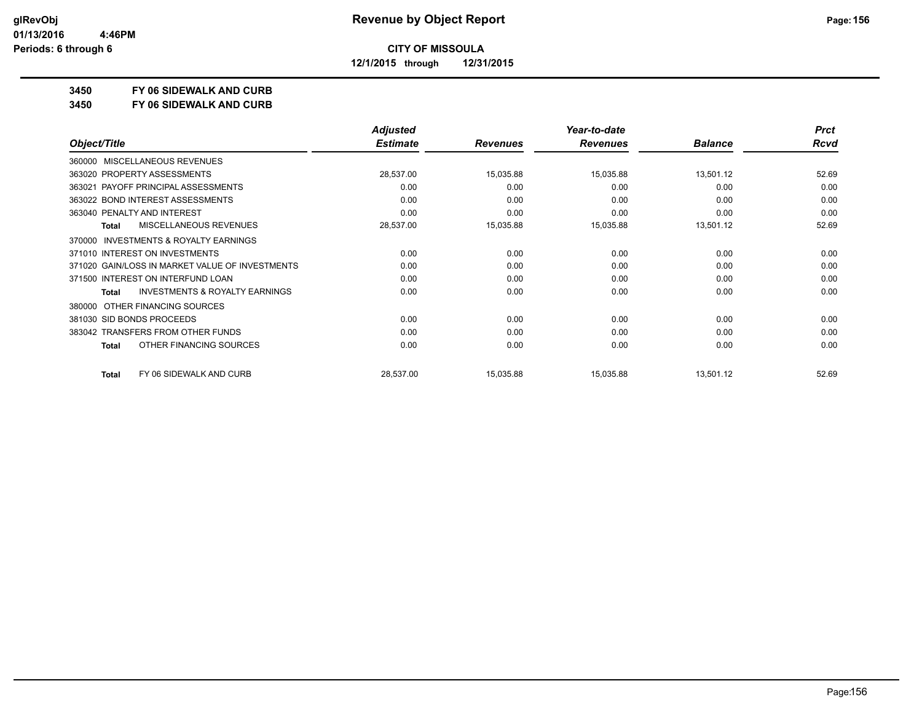**12/1/2015 through 12/31/2015**

#### **3450 FY 06 SIDEWALK AND CURB**

**3450 FY 06 SIDEWALK AND CURB**

|                                                           | <b>Adjusted</b> |                 | Year-to-date    |                | <b>Prct</b> |
|-----------------------------------------------------------|-----------------|-----------------|-----------------|----------------|-------------|
| Object/Title                                              | <b>Estimate</b> | <b>Revenues</b> | <b>Revenues</b> | <b>Balance</b> | Rcvd        |
| <b>MISCELLANEOUS REVENUES</b><br>360000                   |                 |                 |                 |                |             |
| 363020 PROPERTY ASSESSMENTS                               | 28,537.00       | 15,035.88       | 15,035.88       | 13,501.12      | 52.69       |
| 363021 PAYOFF PRINCIPAL ASSESSMENTS                       | 0.00            | 0.00            | 0.00            | 0.00           | 0.00        |
| 363022 BOND INTEREST ASSESSMENTS                          | 0.00            | 0.00            | 0.00            | 0.00           | 0.00        |
| 363040 PENALTY AND INTEREST                               | 0.00            | 0.00            | 0.00            | 0.00           | 0.00        |
| <b>MISCELLANEOUS REVENUES</b><br><b>Total</b>             | 28,537.00       | 15,035.88       | 15,035.88       | 13,501.12      | 52.69       |
| <b>INVESTMENTS &amp; ROYALTY EARNINGS</b><br>370000       |                 |                 |                 |                |             |
| 371010 INTEREST ON INVESTMENTS                            | 0.00            | 0.00            | 0.00            | 0.00           | 0.00        |
| 371020 GAIN/LOSS IN MARKET VALUE OF INVESTMENTS           | 0.00            | 0.00            | 0.00            | 0.00           | 0.00        |
| 371500 INTEREST ON INTERFUND LOAN                         | 0.00            | 0.00            | 0.00            | 0.00           | 0.00        |
| <b>INVESTMENTS &amp; ROYALTY EARNINGS</b><br><b>Total</b> | 0.00            | 0.00            | 0.00            | 0.00           | 0.00        |
| OTHER FINANCING SOURCES<br>380000                         |                 |                 |                 |                |             |
| 381030 SID BONDS PROCEEDS                                 | 0.00            | 0.00            | 0.00            | 0.00           | 0.00        |
| 383042 TRANSFERS FROM OTHER FUNDS                         | 0.00            | 0.00            | 0.00            | 0.00           | 0.00        |
| OTHER FINANCING SOURCES<br>Total                          | 0.00            | 0.00            | 0.00            | 0.00           | 0.00        |
| FY 06 SIDEWALK AND CURB<br><b>Total</b>                   | 28,537.00       | 15,035.88       | 15,035.88       | 13,501.12      | 52.69       |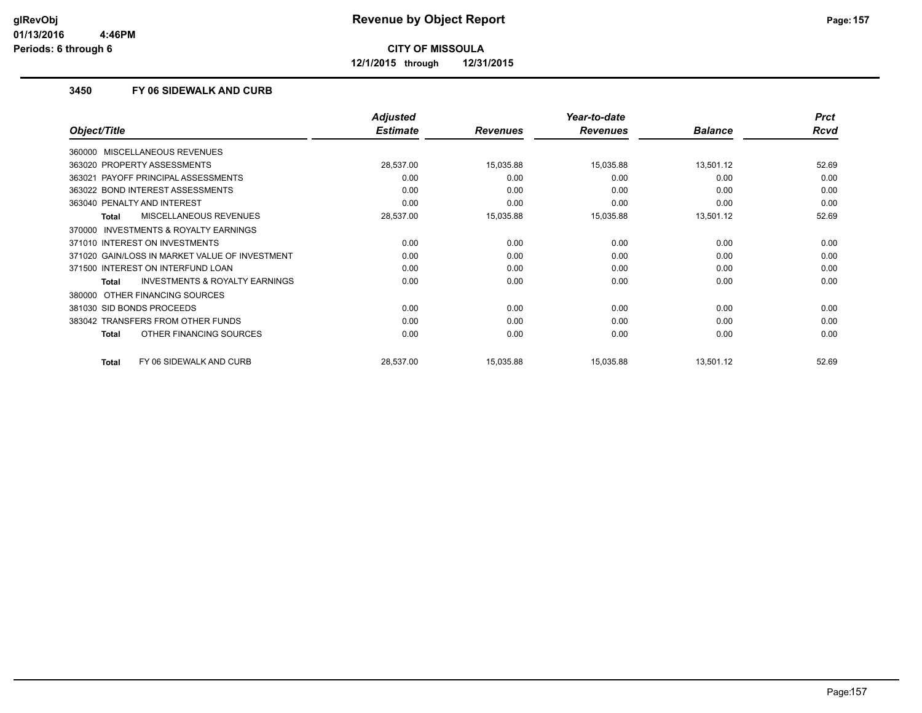**12/1/2015 through 12/31/2015**

#### **3450 FY 06 SIDEWALK AND CURB**

|                                                | <b>Adjusted</b> |                 | Year-to-date    |                | <b>Prct</b> |
|------------------------------------------------|-----------------|-----------------|-----------------|----------------|-------------|
| Object/Title                                   | <b>Estimate</b> | <b>Revenues</b> | <b>Revenues</b> | <b>Balance</b> | Rcvd        |
| MISCELLANEOUS REVENUES<br>360000               |                 |                 |                 |                |             |
| 363020 PROPERTY ASSESSMENTS                    | 28,537.00       | 15,035.88       | 15,035.88       | 13,501.12      | 52.69       |
| 363021 PAYOFF PRINCIPAL ASSESSMENTS            | 0.00            | 0.00            | 0.00            | 0.00           | 0.00        |
| 363022 BOND INTEREST ASSESSMENTS               | 0.00            | 0.00            | 0.00            | 0.00           | 0.00        |
| 363040 PENALTY AND INTEREST                    | 0.00            | 0.00            | 0.00            | 0.00           | 0.00        |
| MISCELLANEOUS REVENUES<br><b>Total</b>         | 28,537.00       | 15,035.88       | 15,035.88       | 13,501.12      | 52.69       |
| INVESTMENTS & ROYALTY EARNINGS<br>370000       |                 |                 |                 |                |             |
| 371010 INTEREST ON INVESTMENTS                 | 0.00            | 0.00            | 0.00            | 0.00           | 0.00        |
| 371020 GAIN/LOSS IN MARKET VALUE OF INVESTMENT | 0.00            | 0.00            | 0.00            | 0.00           | 0.00        |
| 371500 INTEREST ON INTERFUND LOAN              | 0.00            | 0.00            | 0.00            | 0.00           | 0.00        |
| INVESTMENTS & ROYALTY EARNINGS<br><b>Total</b> | 0.00            | 0.00            | 0.00            | 0.00           | 0.00        |
| OTHER FINANCING SOURCES<br>380000              |                 |                 |                 |                |             |
| 381030 SID BONDS PROCEEDS                      | 0.00            | 0.00            | 0.00            | 0.00           | 0.00        |
| 383042 TRANSFERS FROM OTHER FUNDS              | 0.00            | 0.00            | 0.00            | 0.00           | 0.00        |
| OTHER FINANCING SOURCES<br><b>Total</b>        | 0.00            | 0.00            | 0.00            | 0.00           | 0.00        |
| FY 06 SIDEWALK AND CURB<br>Total               | 28,537.00       | 15,035.88       | 15,035.88       | 13,501.12      | 52.69       |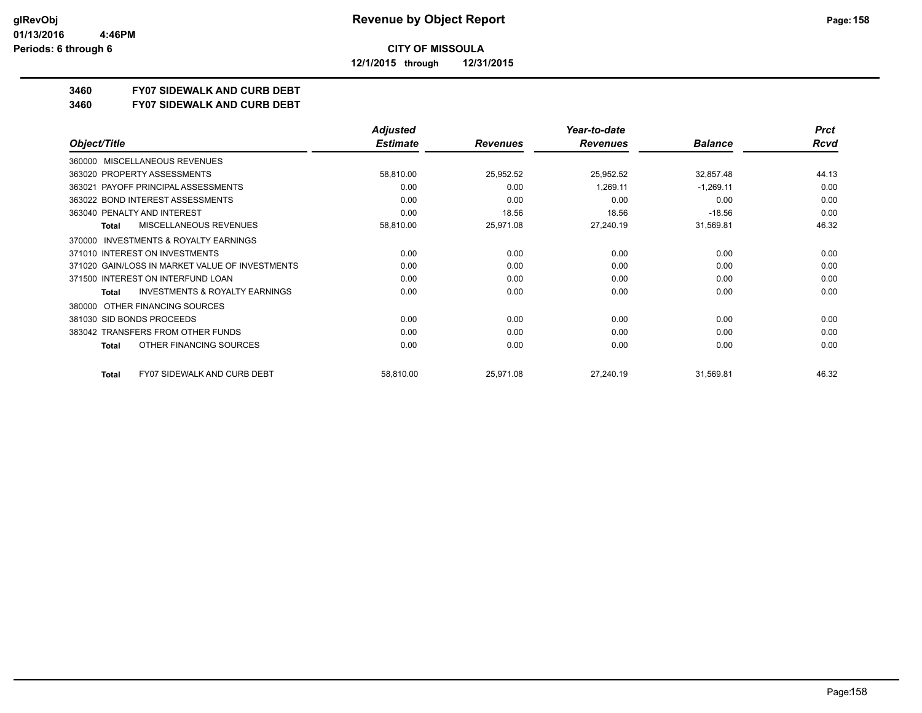**12/1/2015 through 12/31/2015**

### **3460 FY07 SIDEWALK AND CURB DEBT**

#### **3460 FY07 SIDEWALK AND CURB DEBT**

|                                                           | <b>Adjusted</b> |                 | Year-to-date    |                | <b>Prct</b> |
|-----------------------------------------------------------|-----------------|-----------------|-----------------|----------------|-------------|
| Object/Title                                              | <b>Estimate</b> | <b>Revenues</b> | <b>Revenues</b> | <b>Balance</b> | Rcvd        |
| MISCELLANEOUS REVENUES<br>360000                          |                 |                 |                 |                |             |
| 363020 PROPERTY ASSESSMENTS                               | 58,810.00       | 25,952.52       | 25,952.52       | 32,857.48      | 44.13       |
| 363021 PAYOFF PRINCIPAL ASSESSMENTS                       | 0.00            | 0.00            | 1,269.11        | $-1,269.11$    | 0.00        |
| 363022 BOND INTEREST ASSESSMENTS                          | 0.00            | 0.00            | 0.00            | 0.00           | 0.00        |
| 363040 PENALTY AND INTEREST                               | 0.00            | 18.56           | 18.56           | $-18.56$       | 0.00        |
| <b>MISCELLANEOUS REVENUES</b><br><b>Total</b>             | 58,810.00       | 25,971.08       | 27,240.19       | 31,569.81      | 46.32       |
| <b>INVESTMENTS &amp; ROYALTY EARNINGS</b><br>370000       |                 |                 |                 |                |             |
| 371010 INTEREST ON INVESTMENTS                            | 0.00            | 0.00            | 0.00            | 0.00           | 0.00        |
| 371020 GAIN/LOSS IN MARKET VALUE OF INVESTMENTS           | 0.00            | 0.00            | 0.00            | 0.00           | 0.00        |
| 371500 INTEREST ON INTERFUND LOAN                         | 0.00            | 0.00            | 0.00            | 0.00           | 0.00        |
| <b>INVESTMENTS &amp; ROYALTY EARNINGS</b><br><b>Total</b> | 0.00            | 0.00            | 0.00            | 0.00           | 0.00        |
| OTHER FINANCING SOURCES<br>380000                         |                 |                 |                 |                |             |
| 381030 SID BONDS PROCEEDS                                 | 0.00            | 0.00            | 0.00            | 0.00           | 0.00        |
| 383042 TRANSFERS FROM OTHER FUNDS                         | 0.00            | 0.00            | 0.00            | 0.00           | 0.00        |
| OTHER FINANCING SOURCES<br><b>Total</b>                   | 0.00            | 0.00            | 0.00            | 0.00           | 0.00        |
| <b>FY07 SIDEWALK AND CURB DEBT</b><br><b>Total</b>        | 58,810.00       | 25,971.08       | 27,240.19       | 31,569.81      | 46.32       |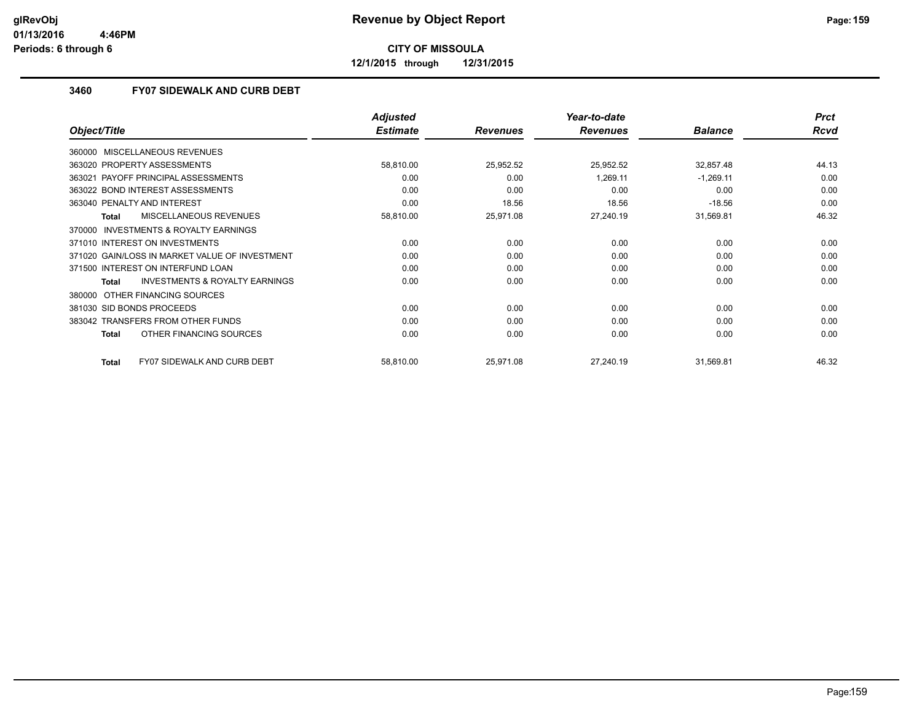**12/1/2015 through 12/31/2015**

#### **3460 FY07 SIDEWALK AND CURB DEBT**

|                                                     | <b>Adjusted</b> |                 | Year-to-date    |                | <b>Prct</b> |
|-----------------------------------------------------|-----------------|-----------------|-----------------|----------------|-------------|
| Object/Title                                        | <b>Estimate</b> | <b>Revenues</b> | <b>Revenues</b> | <b>Balance</b> | Rcvd        |
| MISCELLANEOUS REVENUES<br>360000                    |                 |                 |                 |                |             |
| 363020 PROPERTY ASSESSMENTS                         | 58,810.00       | 25,952.52       | 25,952.52       | 32,857.48      | 44.13       |
| 363021 PAYOFF PRINCIPAL ASSESSMENTS                 | 0.00            | 0.00            | 1,269.11        | $-1,269.11$    | 0.00        |
| 363022 BOND INTEREST ASSESSMENTS                    | 0.00            | 0.00            | 0.00            | 0.00           | 0.00        |
| 363040 PENALTY AND INTEREST                         | 0.00            | 18.56           | 18.56           | $-18.56$       | 0.00        |
| <b>MISCELLANEOUS REVENUES</b><br><b>Total</b>       | 58,810.00       | 25,971.08       | 27,240.19       | 31,569.81      | 46.32       |
| <b>INVESTMENTS &amp; ROYALTY EARNINGS</b><br>370000 |                 |                 |                 |                |             |
| 371010 INTEREST ON INVESTMENTS                      | 0.00            | 0.00            | 0.00            | 0.00           | 0.00        |
| 371020 GAIN/LOSS IN MARKET VALUE OF INVESTMENT      | 0.00            | 0.00            | 0.00            | 0.00           | 0.00        |
| 371500 INTEREST ON INTERFUND LOAN                   | 0.00            | 0.00            | 0.00            | 0.00           | 0.00        |
| INVESTMENTS & ROYALTY EARNINGS<br><b>Total</b>      | 0.00            | 0.00            | 0.00            | 0.00           | 0.00        |
| OTHER FINANCING SOURCES<br>380000                   |                 |                 |                 |                |             |
| 381030 SID BONDS PROCEEDS                           | 0.00            | 0.00            | 0.00            | 0.00           | 0.00        |
| 383042 TRANSFERS FROM OTHER FUNDS                   | 0.00            | 0.00            | 0.00            | 0.00           | 0.00        |
| OTHER FINANCING SOURCES<br><b>Total</b>             | 0.00            | 0.00            | 0.00            | 0.00           | 0.00        |
| <b>FY07 SIDEWALK AND CURB DEBT</b><br><b>Total</b>  | 58,810.00       | 25,971.08       | 27,240.19       | 31,569.81      | 46.32       |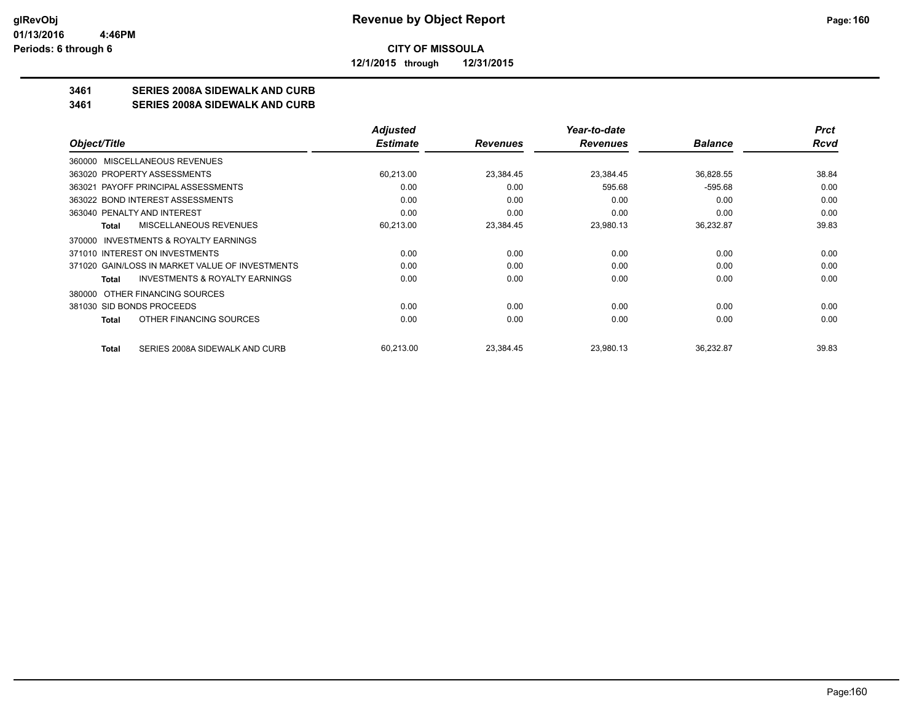**12/1/2015 through 12/31/2015**

#### **3461 SERIES 2008A SIDEWALK AND CURB**

**3461 SERIES 2008A SIDEWALK AND CURB**

|                                                    | <b>Adjusted</b> |                 | Year-to-date    |                | <b>Prct</b> |
|----------------------------------------------------|-----------------|-----------------|-----------------|----------------|-------------|
| Object/Title                                       | <b>Estimate</b> | <b>Revenues</b> | <b>Revenues</b> | <b>Balance</b> | Rcvd        |
| 360000 MISCELLANEOUS REVENUES                      |                 |                 |                 |                |             |
| 363020 PROPERTY ASSESSMENTS                        | 60,213.00       | 23,384.45       | 23,384.45       | 36,828.55      | 38.84       |
| 363021 PAYOFF PRINCIPAL ASSESSMENTS                | 0.00            | 0.00            | 595.68          | $-595.68$      | 0.00        |
| 363022 BOND INTEREST ASSESSMENTS                   | 0.00            | 0.00            | 0.00            | 0.00           | 0.00        |
| 363040 PENALTY AND INTEREST                        | 0.00            | 0.00            | 0.00            | 0.00           | 0.00        |
| MISCELLANEOUS REVENUES<br>Total                    | 60,213.00       | 23,384.45       | 23,980.13       | 36,232.87      | 39.83       |
| INVESTMENTS & ROYALTY EARNINGS<br>370000           |                 |                 |                 |                |             |
| 371010 INTEREST ON INVESTMENTS                     | 0.00            | 0.00            | 0.00            | 0.00           | 0.00        |
| 371020 GAIN/LOSS IN MARKET VALUE OF INVESTMENTS    | 0.00            | 0.00            | 0.00            | 0.00           | 0.00        |
| <b>INVESTMENTS &amp; ROYALTY EARNINGS</b><br>Total | 0.00            | 0.00            | 0.00            | 0.00           | 0.00        |
| OTHER FINANCING SOURCES<br>380000                  |                 |                 |                 |                |             |
| 381030 SID BONDS PROCEEDS                          | 0.00            | 0.00            | 0.00            | 0.00           | 0.00        |
| OTHER FINANCING SOURCES<br>Total                   | 0.00            | 0.00            | 0.00            | 0.00           | 0.00        |
| SERIES 2008A SIDEWALK AND CURB<br><b>Total</b>     | 60,213.00       | 23,384.45       | 23,980.13       | 36,232.87      | 39.83       |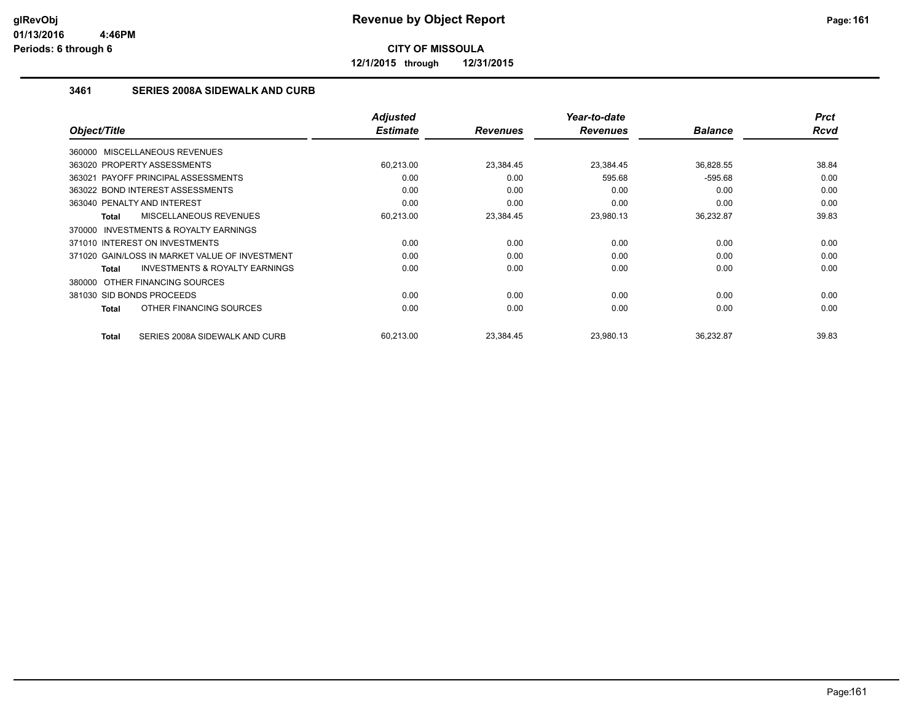**12/1/2015 through 12/31/2015**

#### **3461 SERIES 2008A SIDEWALK AND CURB**

| Object/Title                                        | <b>Adjusted</b><br><b>Estimate</b> | <b>Revenues</b> | Year-to-date<br><b>Revenues</b> | <b>Balance</b> | <b>Prct</b><br><b>Rcvd</b> |
|-----------------------------------------------------|------------------------------------|-----------------|---------------------------------|----------------|----------------------------|
| 360000 MISCELLANEOUS REVENUES                       |                                    |                 |                                 |                |                            |
|                                                     |                                    |                 |                                 |                |                            |
| 363020 PROPERTY ASSESSMENTS                         | 60,213.00                          | 23,384.45       | 23,384.45                       | 36,828.55      | 38.84                      |
| 363021 PAYOFF PRINCIPAL ASSESSMENTS                 | 0.00                               | 0.00            | 595.68                          | $-595.68$      | 0.00                       |
| 363022 BOND INTEREST ASSESSMENTS                    | 0.00                               | 0.00            | 0.00                            | 0.00           | 0.00                       |
| 363040 PENALTY AND INTEREST                         | 0.00                               | 0.00            | 0.00                            | 0.00           | 0.00                       |
| MISCELLANEOUS REVENUES<br>Total                     | 60,213.00                          | 23,384.45       | 23,980.13                       | 36,232.87      | 39.83                      |
| <b>INVESTMENTS &amp; ROYALTY EARNINGS</b><br>370000 |                                    |                 |                                 |                |                            |
| 371010 INTEREST ON INVESTMENTS                      | 0.00                               | 0.00            | 0.00                            | 0.00           | 0.00                       |
| 371020 GAIN/LOSS IN MARKET VALUE OF INVESTMENT      | 0.00                               | 0.00            | 0.00                            | 0.00           | 0.00                       |
| <b>INVESTMENTS &amp; ROYALTY EARNINGS</b><br>Total  | 0.00                               | 0.00            | 0.00                            | 0.00           | 0.00                       |
| 380000 OTHER FINANCING SOURCES                      |                                    |                 |                                 |                |                            |
| 381030 SID BONDS PROCEEDS                           | 0.00                               | 0.00            | 0.00                            | 0.00           | 0.00                       |
| OTHER FINANCING SOURCES<br>Total                    | 0.00                               | 0.00            | 0.00                            | 0.00           | 0.00                       |
| SERIES 2008A SIDEWALK AND CURB<br>Total             | 60.213.00                          | 23.384.45       | 23.980.13                       | 36,232.87      | 39.83                      |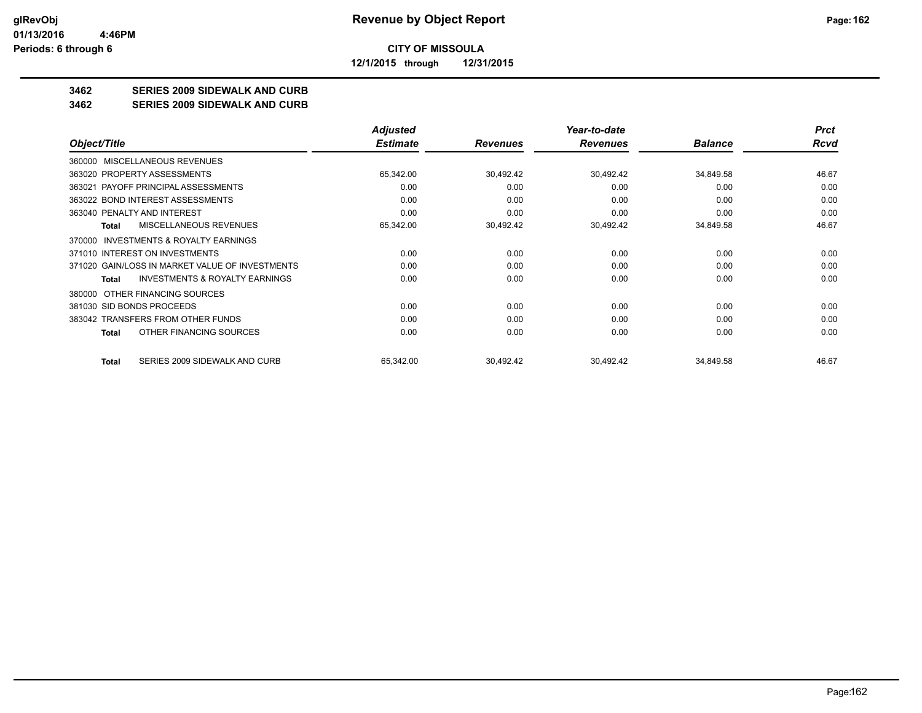**12/1/2015 through 12/31/2015**

### **3462 SERIES 2009 SIDEWALK AND CURB**

#### **3462 SERIES 2009 SIDEWALK AND CURB**

|                                                     | <b>Adjusted</b> |                 | Year-to-date    |                | <b>Prct</b> |
|-----------------------------------------------------|-----------------|-----------------|-----------------|----------------|-------------|
| Object/Title                                        | <b>Estimate</b> | <b>Revenues</b> | <b>Revenues</b> | <b>Balance</b> | Rcvd        |
| MISCELLANEOUS REVENUES<br>360000                    |                 |                 |                 |                |             |
| 363020 PROPERTY ASSESSMENTS                         | 65,342.00       | 30,492.42       | 30,492.42       | 34,849.58      | 46.67       |
| PAYOFF PRINCIPAL ASSESSMENTS<br>363021              | 0.00            | 0.00            | 0.00            | 0.00           | 0.00        |
| 363022 BOND INTEREST ASSESSMENTS                    | 0.00            | 0.00            | 0.00            | 0.00           | 0.00        |
| 363040 PENALTY AND INTEREST                         | 0.00            | 0.00            | 0.00            | 0.00           | 0.00        |
| <b>MISCELLANEOUS REVENUES</b><br>Total              | 65,342.00       | 30,492.42       | 30,492.42       | 34,849.58      | 46.67       |
| <b>INVESTMENTS &amp; ROYALTY EARNINGS</b><br>370000 |                 |                 |                 |                |             |
| 371010 INTEREST ON INVESTMENTS                      | 0.00            | 0.00            | 0.00            | 0.00           | 0.00        |
| 371020 GAIN/LOSS IN MARKET VALUE OF INVESTMENTS     | 0.00            | 0.00            | 0.00            | 0.00           | 0.00        |
| <b>INVESTMENTS &amp; ROYALTY EARNINGS</b><br>Total  | 0.00            | 0.00            | 0.00            | 0.00           | 0.00        |
| 380000 OTHER FINANCING SOURCES                      |                 |                 |                 |                |             |
| 381030 SID BONDS PROCEEDS                           | 0.00            | 0.00            | 0.00            | 0.00           | 0.00        |
| 383042 TRANSFERS FROM OTHER FUNDS                   | 0.00            | 0.00            | 0.00            | 0.00           | 0.00        |
| OTHER FINANCING SOURCES<br>Total                    | 0.00            | 0.00            | 0.00            | 0.00           | 0.00        |
| SERIES 2009 SIDEWALK AND CURB<br>Total              | 65,342.00       | 30,492.42       | 30,492.42       | 34,849.58      | 46.67       |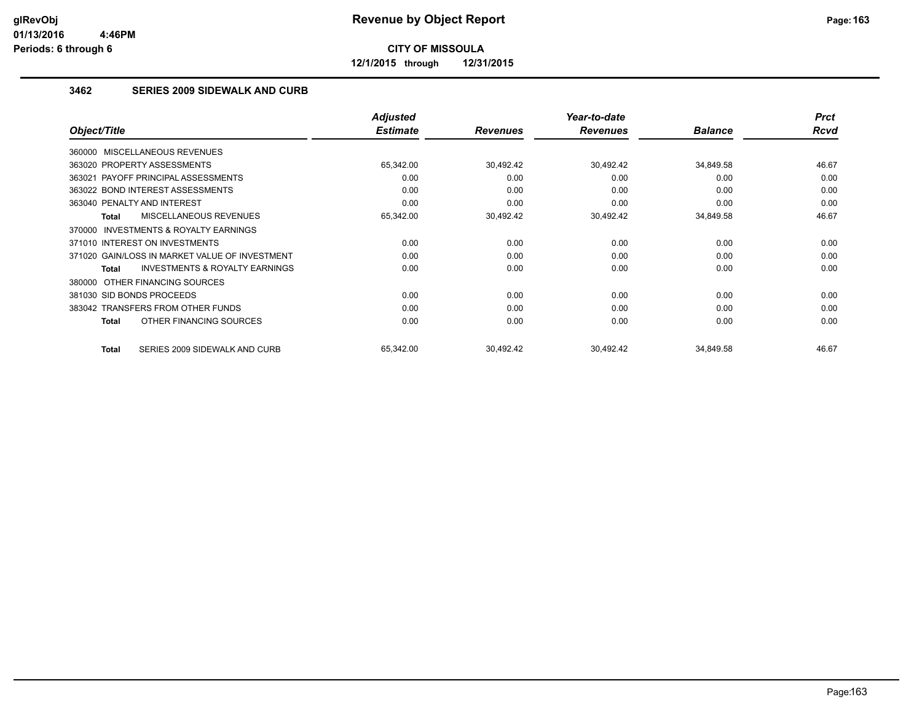**12/1/2015 through 12/31/2015**

#### **3462 SERIES 2009 SIDEWALK AND CURB**

|                                                     | <b>Adjusted</b> |                 | Year-to-date    |                | <b>Prct</b> |
|-----------------------------------------------------|-----------------|-----------------|-----------------|----------------|-------------|
| Object/Title                                        | <b>Estimate</b> | <b>Revenues</b> | <b>Revenues</b> | <b>Balance</b> | Rcvd        |
| 360000 MISCELLANEOUS REVENUES                       |                 |                 |                 |                |             |
| 363020 PROPERTY ASSESSMENTS                         | 65,342.00       | 30,492.42       | 30,492.42       | 34,849.58      | 46.67       |
| 363021 PAYOFF PRINCIPAL ASSESSMENTS                 | 0.00            | 0.00            | 0.00            | 0.00           | 0.00        |
| 363022 BOND INTEREST ASSESSMENTS                    | 0.00            | 0.00            | 0.00            | 0.00           | 0.00        |
| 363040 PENALTY AND INTEREST                         | 0.00            | 0.00            | 0.00            | 0.00           | 0.00        |
| MISCELLANEOUS REVENUES<br>Total                     | 65,342.00       | 30,492.42       | 30,492.42       | 34,849.58      | 46.67       |
| <b>INVESTMENTS &amp; ROYALTY EARNINGS</b><br>370000 |                 |                 |                 |                |             |
| 371010 INTEREST ON INVESTMENTS                      | 0.00            | 0.00            | 0.00            | 0.00           | 0.00        |
| 371020 GAIN/LOSS IN MARKET VALUE OF INVESTMENT      | 0.00            | 0.00            | 0.00            | 0.00           | 0.00        |
| <b>INVESTMENTS &amp; ROYALTY EARNINGS</b><br>Total  | 0.00            | 0.00            | 0.00            | 0.00           | 0.00        |
| OTHER FINANCING SOURCES<br>380000                   |                 |                 |                 |                |             |
| 381030 SID BONDS PROCEEDS                           | 0.00            | 0.00            | 0.00            | 0.00           | 0.00        |
| 383042 TRANSFERS FROM OTHER FUNDS                   | 0.00            | 0.00            | 0.00            | 0.00           | 0.00        |
| OTHER FINANCING SOURCES<br>Total                    | 0.00            | 0.00            | 0.00            | 0.00           | 0.00        |
| SERIES 2009 SIDEWALK AND CURB<br>Total              | 65,342.00       | 30,492.42       | 30,492.42       | 34,849.58      | 46.67       |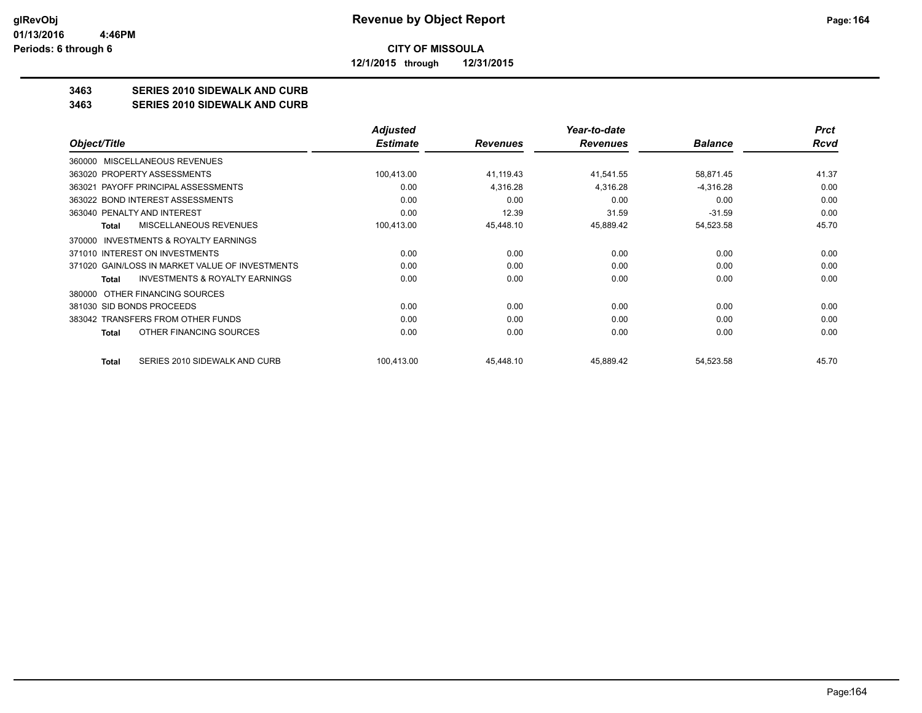**12/1/2015 through 12/31/2015**

### **3463 SERIES 2010 SIDEWALK AND CURB**

#### **3463 SERIES 2010 SIDEWALK AND CURB**

|                                                     | <b>Adjusted</b> |                 | Year-to-date    |                | <b>Prct</b> |
|-----------------------------------------------------|-----------------|-----------------|-----------------|----------------|-------------|
| Object/Title                                        | <b>Estimate</b> | <b>Revenues</b> | <b>Revenues</b> | <b>Balance</b> | <b>Rcvd</b> |
| <b>MISCELLANEOUS REVENUES</b><br>360000             |                 |                 |                 |                |             |
| 363020 PROPERTY ASSESSMENTS                         | 100,413.00      | 41,119.43       | 41,541.55       | 58,871.45      | 41.37       |
| PAYOFF PRINCIPAL ASSESSMENTS<br>363021              | 0.00            | 4,316.28        | 4,316.28        | $-4,316.28$    | 0.00        |
| 363022 BOND INTEREST ASSESSMENTS                    | 0.00            | 0.00            | 0.00            | 0.00           | 0.00        |
| 363040 PENALTY AND INTEREST                         | 0.00            | 12.39           | 31.59           | $-31.59$       | 0.00        |
| MISCELLANEOUS REVENUES<br>Total                     | 100,413.00      | 45,448.10       | 45,889.42       | 54,523.58      | 45.70       |
| <b>INVESTMENTS &amp; ROYALTY EARNINGS</b><br>370000 |                 |                 |                 |                |             |
| 371010 INTEREST ON INVESTMENTS                      | 0.00            | 0.00            | 0.00            | 0.00           | 0.00        |
| 371020 GAIN/LOSS IN MARKET VALUE OF INVESTMENTS     | 0.00            | 0.00            | 0.00            | 0.00           | 0.00        |
| <b>INVESTMENTS &amp; ROYALTY EARNINGS</b><br>Total  | 0.00            | 0.00            | 0.00            | 0.00           | 0.00        |
| 380000 OTHER FINANCING SOURCES                      |                 |                 |                 |                |             |
| 381030 SID BONDS PROCEEDS                           | 0.00            | 0.00            | 0.00            | 0.00           | 0.00        |
| 383042 TRANSFERS FROM OTHER FUNDS                   | 0.00            | 0.00            | 0.00            | 0.00           | 0.00        |
| OTHER FINANCING SOURCES<br>Total                    | 0.00            | 0.00            | 0.00            | 0.00           | 0.00        |
| SERIES 2010 SIDEWALK AND CURB<br>Total              | 100,413.00      | 45,448.10       | 45,889.42       | 54,523.58      | 45.70       |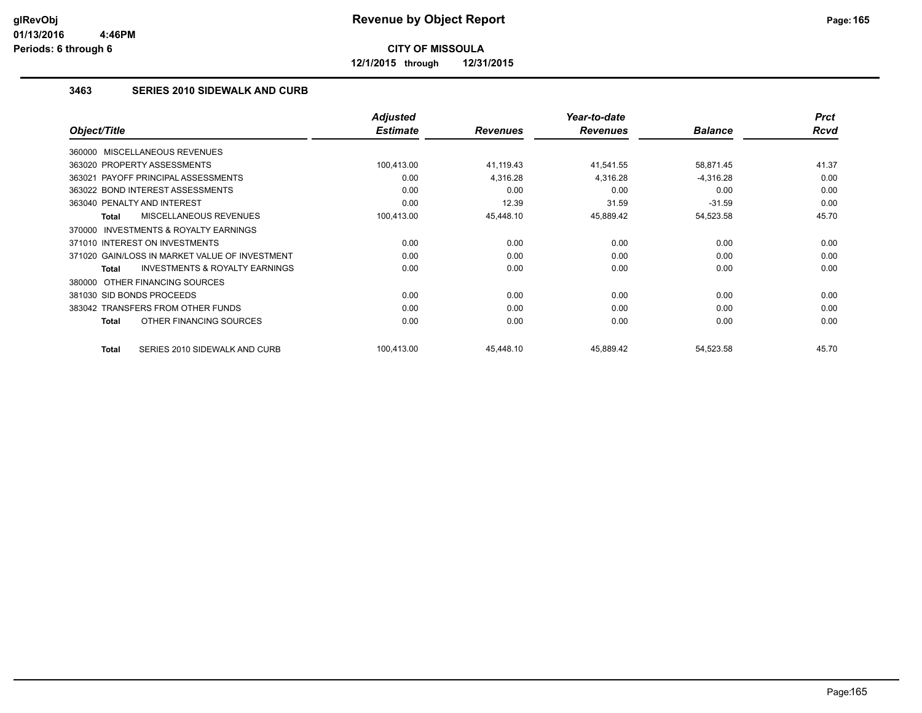**12/1/2015 through 12/31/2015**

#### **3463 SERIES 2010 SIDEWALK AND CURB**

|                                                           | <b>Adjusted</b> |                 | Year-to-date    |                | <b>Prct</b> |
|-----------------------------------------------------------|-----------------|-----------------|-----------------|----------------|-------------|
| Object/Title                                              | <b>Estimate</b> | <b>Revenues</b> | <b>Revenues</b> | <b>Balance</b> | Rcvd        |
| 360000 MISCELLANEOUS REVENUES                             |                 |                 |                 |                |             |
| 363020 PROPERTY ASSESSMENTS                               | 100,413.00      | 41,119.43       | 41,541.55       | 58,871.45      | 41.37       |
| 363021 PAYOFF PRINCIPAL ASSESSMENTS                       | 0.00            | 4,316.28        | 4,316.28        | $-4,316.28$    | 0.00        |
| 363022 BOND INTEREST ASSESSMENTS                          | 0.00            | 0.00            | 0.00            | 0.00           | 0.00        |
| 363040 PENALTY AND INTEREST                               | 0.00            | 12.39           | 31.59           | $-31.59$       | 0.00        |
| MISCELLANEOUS REVENUES<br><b>Total</b>                    | 100,413.00      | 45,448.10       | 45,889.42       | 54,523.58      | 45.70       |
| INVESTMENTS & ROYALTY EARNINGS<br>370000                  |                 |                 |                 |                |             |
| 371010 INTEREST ON INVESTMENTS                            | 0.00            | 0.00            | 0.00            | 0.00           | 0.00        |
| 371020 GAIN/LOSS IN MARKET VALUE OF INVESTMENT            | 0.00            | 0.00            | 0.00            | 0.00           | 0.00        |
| <b>INVESTMENTS &amp; ROYALTY EARNINGS</b><br><b>Total</b> | 0.00            | 0.00            | 0.00            | 0.00           | 0.00        |
| 380000 OTHER FINANCING SOURCES                            |                 |                 |                 |                |             |
| 381030 SID BONDS PROCEEDS                                 | 0.00            | 0.00            | 0.00            | 0.00           | 0.00        |
| 383042 TRANSFERS FROM OTHER FUNDS                         | 0.00            | 0.00            | 0.00            | 0.00           | 0.00        |
| OTHER FINANCING SOURCES<br><b>Total</b>                   | 0.00            | 0.00            | 0.00            | 0.00           | 0.00        |
| SERIES 2010 SIDEWALK AND CURB<br><b>Total</b>             | 100,413.00      | 45,448.10       | 45,889.42       | 54,523.58      | 45.70       |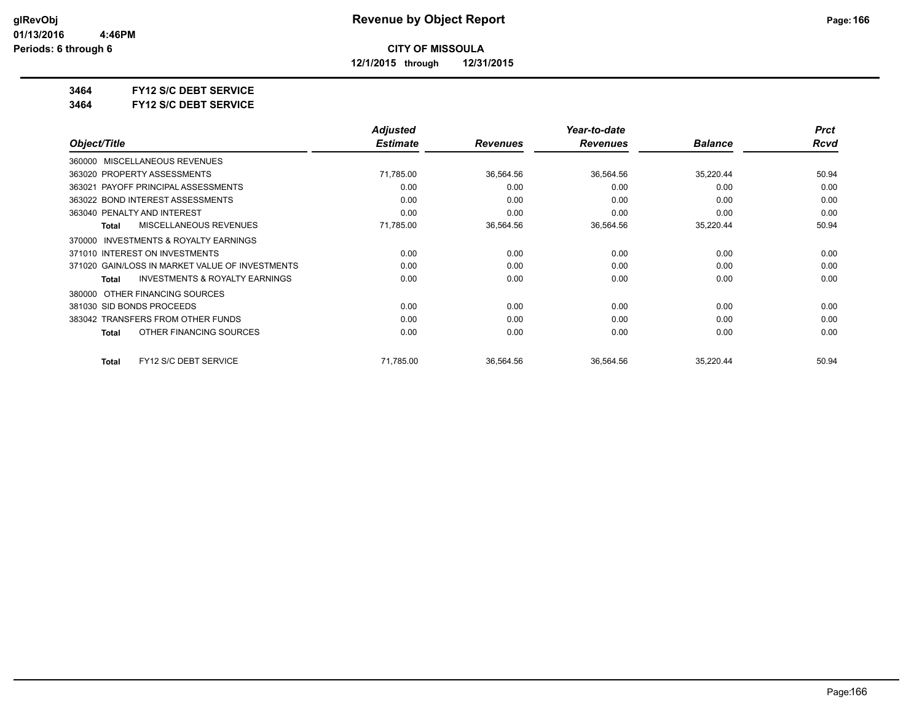**12/1/2015 through 12/31/2015**

**3464 FY12 S/C DEBT SERVICE**

**3464 FY12 S/C DEBT SERVICE**

|                                                     | <b>Adjusted</b> |                 | Year-to-date    |                | <b>Prct</b> |
|-----------------------------------------------------|-----------------|-----------------|-----------------|----------------|-------------|
| Object/Title                                        | <b>Estimate</b> | <b>Revenues</b> | <b>Revenues</b> | <b>Balance</b> | <b>Rcvd</b> |
| MISCELLANEOUS REVENUES<br>360000                    |                 |                 |                 |                |             |
| 363020 PROPERTY ASSESSMENTS                         | 71,785.00       | 36,564.56       | 36,564.56       | 35,220.44      | 50.94       |
| 363021 PAYOFF PRINCIPAL ASSESSMENTS                 | 0.00            | 0.00            | 0.00            | 0.00           | 0.00        |
| 363022 BOND INTEREST ASSESSMENTS                    | 0.00            | 0.00            | 0.00            | 0.00           | 0.00        |
| 363040 PENALTY AND INTEREST                         | 0.00            | 0.00            | 0.00            | 0.00           | 0.00        |
| <b>MISCELLANEOUS REVENUES</b><br>Total              | 71,785.00       | 36,564.56       | 36,564.56       | 35,220.44      | 50.94       |
| <b>INVESTMENTS &amp; ROYALTY EARNINGS</b><br>370000 |                 |                 |                 |                |             |
| 371010 INTEREST ON INVESTMENTS                      | 0.00            | 0.00            | 0.00            | 0.00           | 0.00        |
| 371020 GAIN/LOSS IN MARKET VALUE OF INVESTMENTS     | 0.00            | 0.00            | 0.00            | 0.00           | 0.00        |
| <b>INVESTMENTS &amp; ROYALTY EARNINGS</b><br>Total  | 0.00            | 0.00            | 0.00            | 0.00           | 0.00        |
| OTHER FINANCING SOURCES<br>380000                   |                 |                 |                 |                |             |
| 381030 SID BONDS PROCEEDS                           | 0.00            | 0.00            | 0.00            | 0.00           | 0.00        |
| 383042 TRANSFERS FROM OTHER FUNDS                   | 0.00            | 0.00            | 0.00            | 0.00           | 0.00        |
| OTHER FINANCING SOURCES<br><b>Total</b>             | 0.00            | 0.00            | 0.00            | 0.00           | 0.00        |
| FY12 S/C DEBT SERVICE<br><b>Total</b>               | 71,785.00       | 36,564.56       | 36,564.56       | 35,220.44      | 50.94       |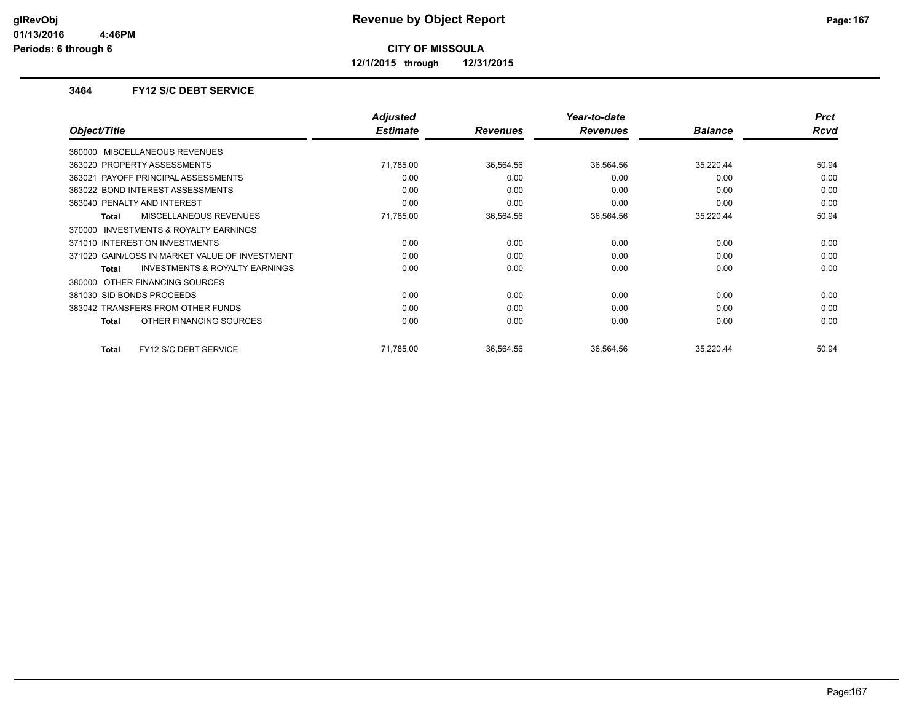**12/1/2015 through 12/31/2015**

#### **3464 FY12 S/C DEBT SERVICE**

|                                                           | <b>Adjusted</b> |                 | Year-to-date    |                | <b>Prct</b> |
|-----------------------------------------------------------|-----------------|-----------------|-----------------|----------------|-------------|
| Object/Title                                              | <b>Estimate</b> | <b>Revenues</b> | <b>Revenues</b> | <b>Balance</b> | Rcvd        |
| 360000 MISCELLANEOUS REVENUES                             |                 |                 |                 |                |             |
| 363020 PROPERTY ASSESSMENTS                               | 71,785.00       | 36,564.56       | 36,564.56       | 35,220.44      | 50.94       |
| 363021 PAYOFF PRINCIPAL ASSESSMENTS                       | 0.00            | 0.00            | 0.00            | 0.00           | 0.00        |
| 363022 BOND INTEREST ASSESSMENTS                          | 0.00            | 0.00            | 0.00            | 0.00           | 0.00        |
| 363040 PENALTY AND INTEREST                               | 0.00            | 0.00            | 0.00            | 0.00           | 0.00        |
| MISCELLANEOUS REVENUES<br><b>Total</b>                    | 71,785.00       | 36,564.56       | 36,564.56       | 35,220.44      | 50.94       |
| <b>INVESTMENTS &amp; ROYALTY EARNINGS</b><br>370000       |                 |                 |                 |                |             |
| 371010 INTEREST ON INVESTMENTS                            | 0.00            | 0.00            | 0.00            | 0.00           | 0.00        |
| 371020 GAIN/LOSS IN MARKET VALUE OF INVESTMENT            | 0.00            | 0.00            | 0.00            | 0.00           | 0.00        |
| <b>INVESTMENTS &amp; ROYALTY EARNINGS</b><br><b>Total</b> | 0.00            | 0.00            | 0.00            | 0.00           | 0.00        |
| 380000 OTHER FINANCING SOURCES                            |                 |                 |                 |                |             |
| 381030 SID BONDS PROCEEDS                                 | 0.00            | 0.00            | 0.00            | 0.00           | 0.00        |
| 383042 TRANSFERS FROM OTHER FUNDS                         | 0.00            | 0.00            | 0.00            | 0.00           | 0.00        |
| OTHER FINANCING SOURCES<br><b>Total</b>                   | 0.00            | 0.00            | 0.00            | 0.00           | 0.00        |
| FY12 S/C DEBT SERVICE<br><b>Total</b>                     | 71,785.00       | 36,564.56       | 36,564.56       | 35,220.44      | 50.94       |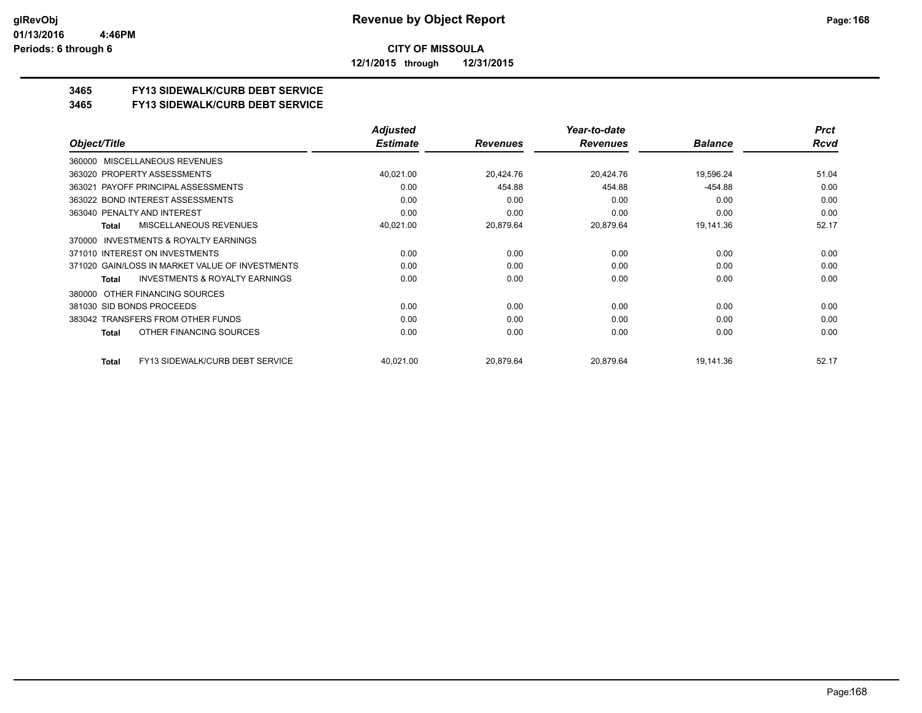**12/1/2015 through 12/31/2015**

#### **3465 FY13 SIDEWALK/CURB DEBT SERVICE**

#### **3465 FY13 SIDEWALK/CURB DEBT SERVICE**

|                                                     | <b>Adjusted</b> |                 | Year-to-date    |                | <b>Prct</b> |
|-----------------------------------------------------|-----------------|-----------------|-----------------|----------------|-------------|
| Object/Title                                        | <b>Estimate</b> | <b>Revenues</b> | <b>Revenues</b> | <b>Balance</b> | Rcvd        |
| MISCELLANEOUS REVENUES<br>360000                    |                 |                 |                 |                |             |
| 363020 PROPERTY ASSESSMENTS                         | 40,021.00       | 20,424.76       | 20,424.76       | 19,596.24      | 51.04       |
| PAYOFF PRINCIPAL ASSESSMENTS<br>363021              | 0.00            | 454.88          | 454.88          | -454.88        | 0.00        |
| 363022 BOND INTEREST ASSESSMENTS                    | 0.00            | 0.00            | 0.00            | 0.00           | 0.00        |
| 363040 PENALTY AND INTEREST                         | 0.00            | 0.00            | 0.00            | 0.00           | 0.00        |
| <b>MISCELLANEOUS REVENUES</b><br>Total              | 40,021.00       | 20,879.64       | 20,879.64       | 19,141.36      | 52.17       |
| <b>INVESTMENTS &amp; ROYALTY EARNINGS</b><br>370000 |                 |                 |                 |                |             |
| 371010 INTEREST ON INVESTMENTS                      | 0.00            | 0.00            | 0.00            | 0.00           | 0.00        |
| 371020 GAIN/LOSS IN MARKET VALUE OF INVESTMENTS     | 0.00            | 0.00            | 0.00            | 0.00           | 0.00        |
| <b>INVESTMENTS &amp; ROYALTY EARNINGS</b><br>Total  | 0.00            | 0.00            | 0.00            | 0.00           | 0.00        |
| 380000 OTHER FINANCING SOURCES                      |                 |                 |                 |                |             |
| 381030 SID BONDS PROCEEDS                           | 0.00            | 0.00            | 0.00            | 0.00           | 0.00        |
| 383042 TRANSFERS FROM OTHER FUNDS                   | 0.00            | 0.00            | 0.00            | 0.00           | 0.00        |
| OTHER FINANCING SOURCES<br>Total                    | 0.00            | 0.00            | 0.00            | 0.00           | 0.00        |
| FY13 SIDEWALK/CURB DEBT SERVICE<br>Total            | 40,021.00       | 20,879.64       | 20,879.64       | 19,141.36      | 52.17       |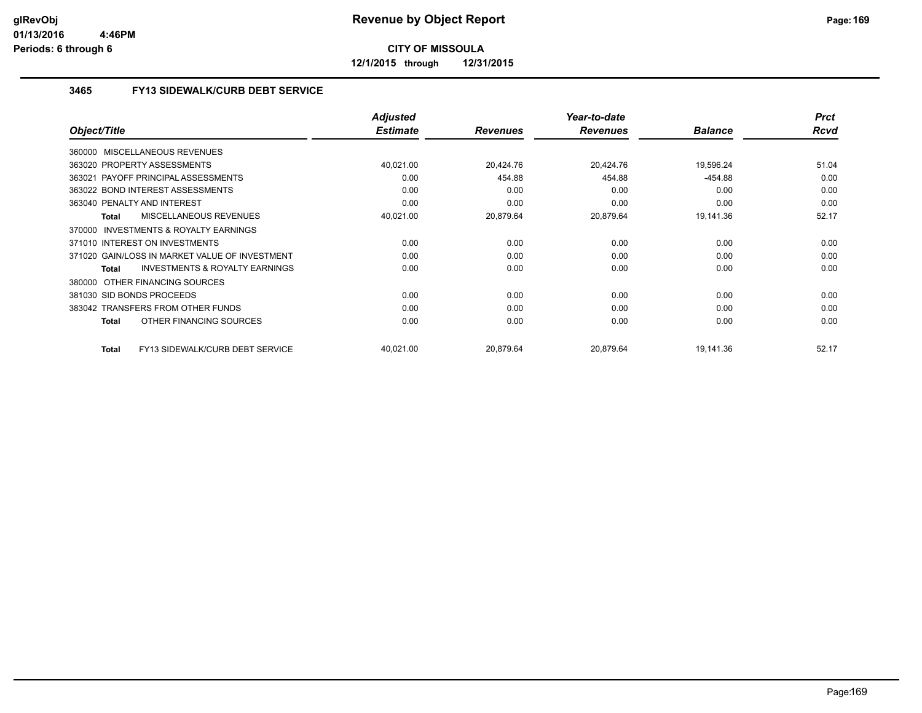**12/1/2015 through 12/31/2015**

#### **3465 FY13 SIDEWALK/CURB DEBT SERVICE**

|                                                           | <b>Adjusted</b> |                 | Year-to-date    |                | <b>Prct</b> |
|-----------------------------------------------------------|-----------------|-----------------|-----------------|----------------|-------------|
| Object/Title                                              | <b>Estimate</b> | <b>Revenues</b> | <b>Revenues</b> | <b>Balance</b> | <b>Rcvd</b> |
| 360000 MISCELLANEOUS REVENUES                             |                 |                 |                 |                |             |
| 363020 PROPERTY ASSESSMENTS                               | 40,021.00       | 20,424.76       | 20,424.76       | 19,596.24      | 51.04       |
| PAYOFF PRINCIPAL ASSESSMENTS<br>363021                    | 0.00            | 454.88          | 454.88          | $-454.88$      | 0.00        |
| 363022 BOND INTEREST ASSESSMENTS                          | 0.00            | 0.00            | 0.00            | 0.00           | 0.00        |
| 363040 PENALTY AND INTEREST                               | 0.00            | 0.00            | 0.00            | 0.00           | 0.00        |
| MISCELLANEOUS REVENUES<br><b>Total</b>                    | 40,021.00       | 20,879.64       | 20,879.64       | 19,141.36      | 52.17       |
| 370000 INVESTMENTS & ROYALTY EARNINGS                     |                 |                 |                 |                |             |
| 371010 INTEREST ON INVESTMENTS                            | 0.00            | 0.00            | 0.00            | 0.00           | 0.00        |
| 371020 GAIN/LOSS IN MARKET VALUE OF INVESTMENT            | 0.00            | 0.00            | 0.00            | 0.00           | 0.00        |
| <b>INVESTMENTS &amp; ROYALTY EARNINGS</b><br><b>Total</b> | 0.00            | 0.00            | 0.00            | 0.00           | 0.00        |
| OTHER FINANCING SOURCES<br>380000                         |                 |                 |                 |                |             |
| 381030 SID BONDS PROCEEDS                                 | 0.00            | 0.00            | 0.00            | 0.00           | 0.00        |
| 383042 TRANSFERS FROM OTHER FUNDS                         | 0.00            | 0.00            | 0.00            | 0.00           | 0.00        |
| OTHER FINANCING SOURCES<br><b>Total</b>                   | 0.00            | 0.00            | 0.00            | 0.00           | 0.00        |
| FY13 SIDEWALK/CURB DEBT SERVICE<br><b>Total</b>           | 40,021.00       | 20.879.64       | 20,879.64       | 19,141.36      | 52.17       |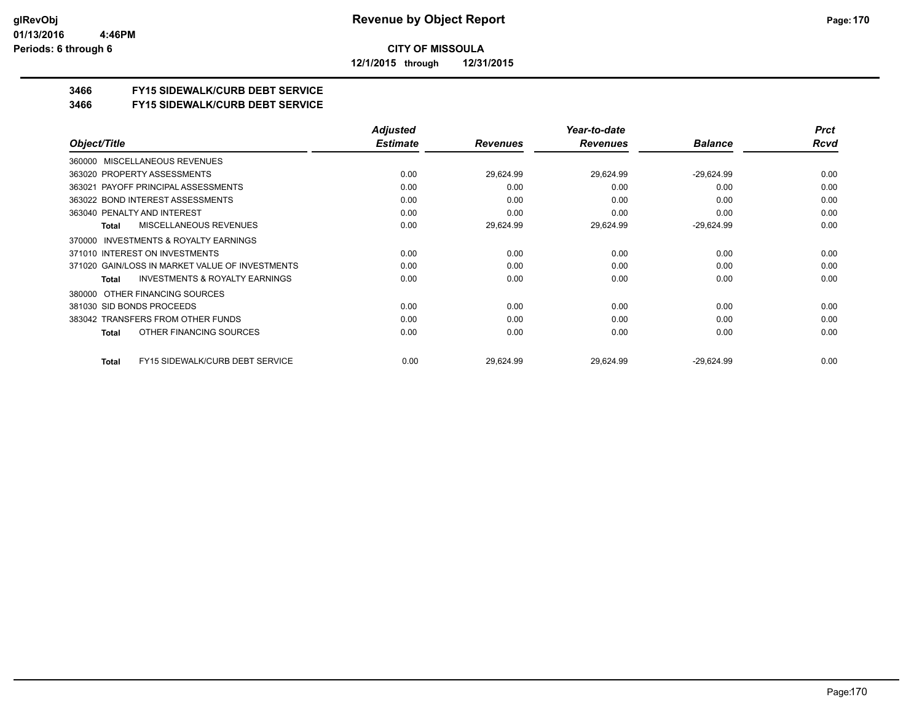**12/1/2015 through 12/31/2015**

#### **3466 FY15 SIDEWALK/CURB DEBT SERVICE**

**3466 FY15 SIDEWALK/CURB DEBT SERVICE**

|                                                    | <b>Adjusted</b> |                 | Year-to-date    |                | <b>Prct</b> |
|----------------------------------------------------|-----------------|-----------------|-----------------|----------------|-------------|
| Object/Title                                       | <b>Estimate</b> | <b>Revenues</b> | <b>Revenues</b> | <b>Balance</b> | Rcvd        |
| MISCELLANEOUS REVENUES<br>360000                   |                 |                 |                 |                |             |
| 363020 PROPERTY ASSESSMENTS                        | 0.00            | 29,624.99       | 29,624.99       | $-29,624.99$   | 0.00        |
| 363021 PAYOFF PRINCIPAL ASSESSMENTS                | 0.00            | 0.00            | 0.00            | 0.00           | 0.00        |
| 363022 BOND INTEREST ASSESSMENTS                   | 0.00            | 0.00            | 0.00            | 0.00           | 0.00        |
| 363040 PENALTY AND INTEREST                        | 0.00            | 0.00            | 0.00            | 0.00           | 0.00        |
| MISCELLANEOUS REVENUES<br>Total                    | 0.00            | 29,624.99       | 29,624.99       | $-29,624.99$   | 0.00        |
| INVESTMENTS & ROYALTY EARNINGS<br>370000           |                 |                 |                 |                |             |
| 371010 INTEREST ON INVESTMENTS                     | 0.00            | 0.00            | 0.00            | 0.00           | 0.00        |
| 371020 GAIN/LOSS IN MARKET VALUE OF INVESTMENTS    | 0.00            | 0.00            | 0.00            | 0.00           | 0.00        |
| <b>INVESTMENTS &amp; ROYALTY EARNINGS</b><br>Total | 0.00            | 0.00            | 0.00            | 0.00           | 0.00        |
| OTHER FINANCING SOURCES<br>380000                  |                 |                 |                 |                |             |
| 381030 SID BONDS PROCEEDS                          | 0.00            | 0.00            | 0.00            | 0.00           | 0.00        |
| 383042 TRANSFERS FROM OTHER FUNDS                  | 0.00            | 0.00            | 0.00            | 0.00           | 0.00        |
| OTHER FINANCING SOURCES<br>Total                   | 0.00            | 0.00            | 0.00            | 0.00           | 0.00        |
| FY15 SIDEWALK/CURB DEBT SERVICE<br>Total           | 0.00            | 29,624.99       | 29,624.99       | $-29,624.99$   | 0.00        |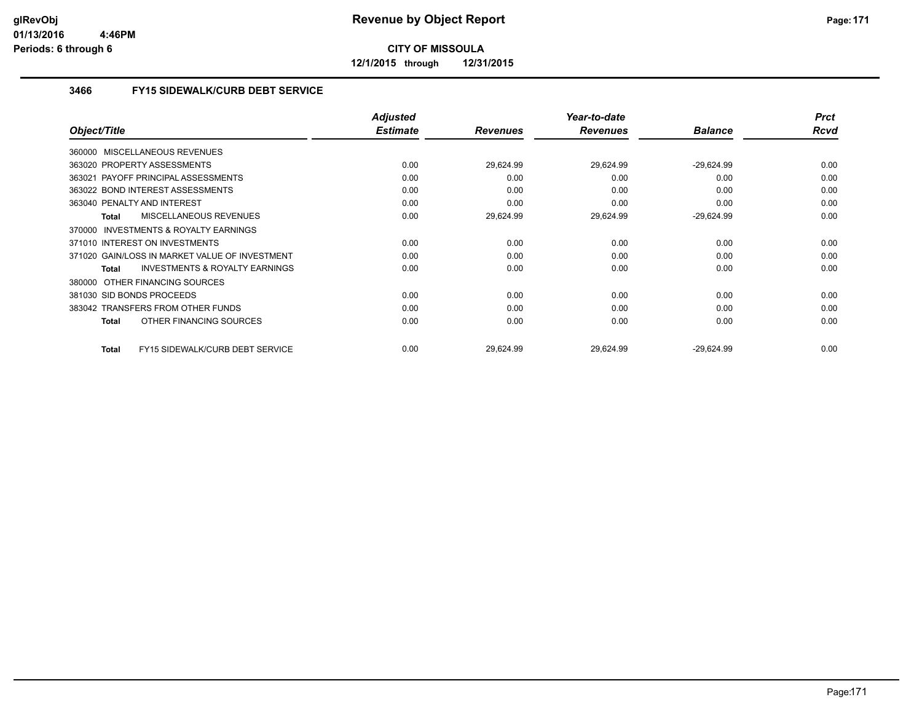**12/1/2015 through 12/31/2015**

#### **3466 FY15 SIDEWALK/CURB DEBT SERVICE**

|                                                           | <b>Adjusted</b> |                 | Year-to-date    |                | <b>Prct</b> |
|-----------------------------------------------------------|-----------------|-----------------|-----------------|----------------|-------------|
| Object/Title                                              | <b>Estimate</b> | <b>Revenues</b> | <b>Revenues</b> | <b>Balance</b> | Rcvd        |
| 360000 MISCELLANEOUS REVENUES                             |                 |                 |                 |                |             |
| 363020 PROPERTY ASSESSMENTS                               | 0.00            | 29,624.99       | 29,624.99       | $-29,624.99$   | 0.00        |
| 363021 PAYOFF PRINCIPAL ASSESSMENTS                       | 0.00            | 0.00            | 0.00            | 0.00           | 0.00        |
| 363022 BOND INTEREST ASSESSMENTS                          | 0.00            | 0.00            | 0.00            | 0.00           | 0.00        |
| 363040 PENALTY AND INTEREST                               | 0.00            | 0.00            | 0.00            | 0.00           | 0.00        |
| MISCELLANEOUS REVENUES<br><b>Total</b>                    | 0.00            | 29,624.99       | 29,624.99       | $-29,624.99$   | 0.00        |
| <b>INVESTMENTS &amp; ROYALTY EARNINGS</b><br>370000       |                 |                 |                 |                |             |
| 371010 INTEREST ON INVESTMENTS                            | 0.00            | 0.00            | 0.00            | 0.00           | 0.00        |
| 371020 GAIN/LOSS IN MARKET VALUE OF INVESTMENT            | 0.00            | 0.00            | 0.00            | 0.00           | 0.00        |
| <b>INVESTMENTS &amp; ROYALTY EARNINGS</b><br><b>Total</b> | 0.00            | 0.00            | 0.00            | 0.00           | 0.00        |
| 380000 OTHER FINANCING SOURCES                            |                 |                 |                 |                |             |
| 381030 SID BONDS PROCEEDS                                 | 0.00            | 0.00            | 0.00            | 0.00           | 0.00        |
| 383042 TRANSFERS FROM OTHER FUNDS                         | 0.00            | 0.00            | 0.00            | 0.00           | 0.00        |
| OTHER FINANCING SOURCES<br><b>Total</b>                   | 0.00            | 0.00            | 0.00            | 0.00           | 0.00        |
| FY15 SIDEWALK/CURB DEBT SERVICE<br><b>Total</b>           | 0.00            | 29,624.99       | 29,624.99       | $-29,624.99$   | 0.00        |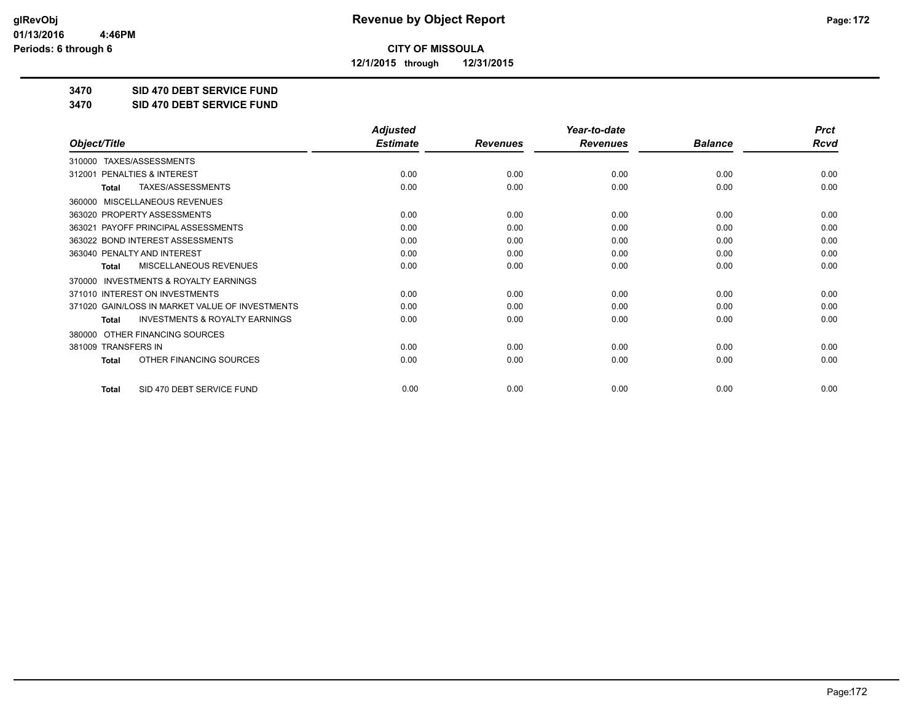**12/1/2015 through 12/31/2015**

**3470 SID 470 DEBT SERVICE FUND**

**3470 SID 470 DEBT SERVICE FUND**

|                                                     | <b>Adjusted</b> |                 | Year-to-date    |                | <b>Prct</b> |
|-----------------------------------------------------|-----------------|-----------------|-----------------|----------------|-------------|
| Object/Title                                        | <b>Estimate</b> | <b>Revenues</b> | <b>Revenues</b> | <b>Balance</b> | Rcvd        |
| TAXES/ASSESSMENTS<br>310000                         |                 |                 |                 |                |             |
| PENALTIES & INTEREST<br>312001                      | 0.00            | 0.00            | 0.00            | 0.00           | 0.00        |
| TAXES/ASSESSMENTS<br>Total                          | 0.00            | 0.00            | 0.00            | 0.00           | 0.00        |
| MISCELLANEOUS REVENUES<br>360000                    |                 |                 |                 |                |             |
| 363020 PROPERTY ASSESSMENTS                         | 0.00            | 0.00            | 0.00            | 0.00           | 0.00        |
| 363021 PAYOFF PRINCIPAL ASSESSMENTS                 | 0.00            | 0.00            | 0.00            | 0.00           | 0.00        |
| 363022 BOND INTEREST ASSESSMENTS                    | 0.00            | 0.00            | 0.00            | 0.00           | 0.00        |
| 363040 PENALTY AND INTEREST                         | 0.00            | 0.00            | 0.00            | 0.00           | 0.00        |
| MISCELLANEOUS REVENUES<br><b>Total</b>              | 0.00            | 0.00            | 0.00            | 0.00           | 0.00        |
| <b>INVESTMENTS &amp; ROYALTY EARNINGS</b><br>370000 |                 |                 |                 |                |             |
| 371010 INTEREST ON INVESTMENTS                      | 0.00            | 0.00            | 0.00            | 0.00           | 0.00        |
| 371020 GAIN/LOSS IN MARKET VALUE OF INVESTMENTS     | 0.00            | 0.00            | 0.00            | 0.00           | 0.00        |
| <b>INVESTMENTS &amp; ROYALTY EARNINGS</b><br>Total  | 0.00            | 0.00            | 0.00            | 0.00           | 0.00        |
| OTHER FINANCING SOURCES<br>380000                   |                 |                 |                 |                |             |
| 381009 TRANSFERS IN                                 | 0.00            | 0.00            | 0.00            | 0.00           | 0.00        |
| OTHER FINANCING SOURCES<br><b>Total</b>             | 0.00            | 0.00            | 0.00            | 0.00           | 0.00        |
| SID 470 DEBT SERVICE FUND<br><b>Total</b>           | 0.00            | 0.00            | 0.00            | 0.00           | 0.00        |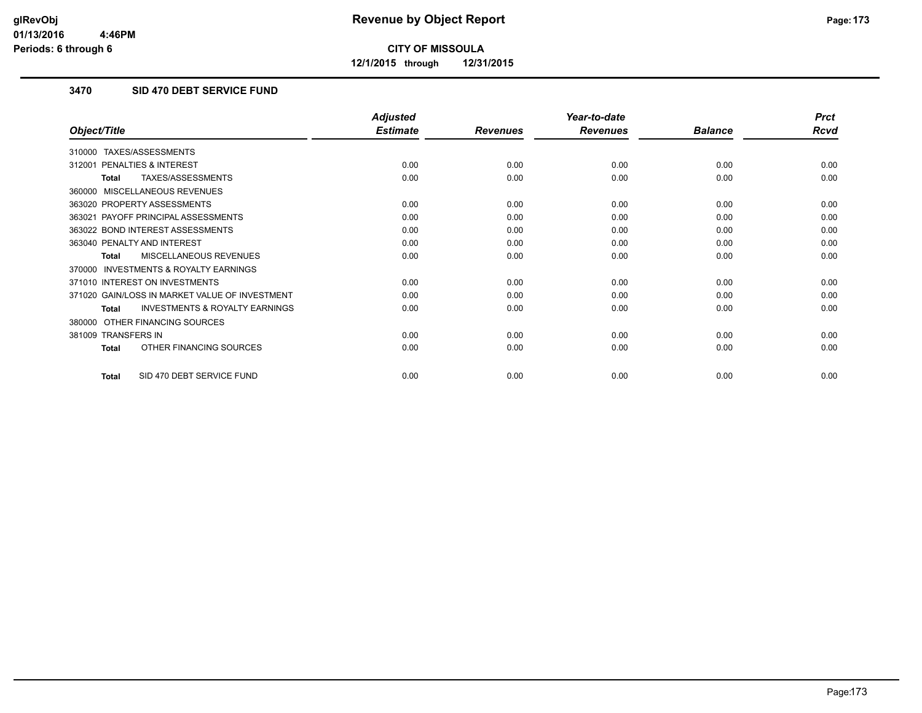**12/1/2015 through 12/31/2015**

#### **3470 SID 470 DEBT SERVICE FUND**

|                                                           | <b>Adjusted</b> |                 | Year-to-date    |                | <b>Prct</b> |
|-----------------------------------------------------------|-----------------|-----------------|-----------------|----------------|-------------|
| Object/Title                                              | <b>Estimate</b> | <b>Revenues</b> | <b>Revenues</b> | <b>Balance</b> | <b>Rcvd</b> |
| TAXES/ASSESSMENTS<br>310000                               |                 |                 |                 |                |             |
| PENALTIES & INTEREST<br>312001                            | 0.00            | 0.00            | 0.00            | 0.00           | 0.00        |
| TAXES/ASSESSMENTS<br>Total                                | 0.00            | 0.00            | 0.00            | 0.00           | 0.00        |
| MISCELLANEOUS REVENUES<br>360000                          |                 |                 |                 |                |             |
| 363020 PROPERTY ASSESSMENTS                               | 0.00            | 0.00            | 0.00            | 0.00           | 0.00        |
| 363021 PAYOFF PRINCIPAL ASSESSMENTS                       | 0.00            | 0.00            | 0.00            | 0.00           | 0.00        |
| 363022 BOND INTEREST ASSESSMENTS                          | 0.00            | 0.00            | 0.00            | 0.00           | 0.00        |
| 363040 PENALTY AND INTEREST                               | 0.00            | 0.00            | 0.00            | 0.00           | 0.00        |
| <b>MISCELLANEOUS REVENUES</b><br><b>Total</b>             | 0.00            | 0.00            | 0.00            | 0.00           | 0.00        |
| <b>INVESTMENTS &amp; ROYALTY EARNINGS</b><br>370000       |                 |                 |                 |                |             |
| 371010 INTEREST ON INVESTMENTS                            | 0.00            | 0.00            | 0.00            | 0.00           | 0.00        |
| 371020 GAIN/LOSS IN MARKET VALUE OF INVESTMENT            | 0.00            | 0.00            | 0.00            | 0.00           | 0.00        |
| <b>INVESTMENTS &amp; ROYALTY EARNINGS</b><br><b>Total</b> | 0.00            | 0.00            | 0.00            | 0.00           | 0.00        |
| OTHER FINANCING SOURCES<br>380000                         |                 |                 |                 |                |             |
| 381009 TRANSFERS IN                                       | 0.00            | 0.00            | 0.00            | 0.00           | 0.00        |
| OTHER FINANCING SOURCES<br><b>Total</b>                   | 0.00            | 0.00            | 0.00            | 0.00           | 0.00        |
| SID 470 DEBT SERVICE FUND<br>Total                        | 0.00            | 0.00            | 0.00            | 0.00           | 0.00        |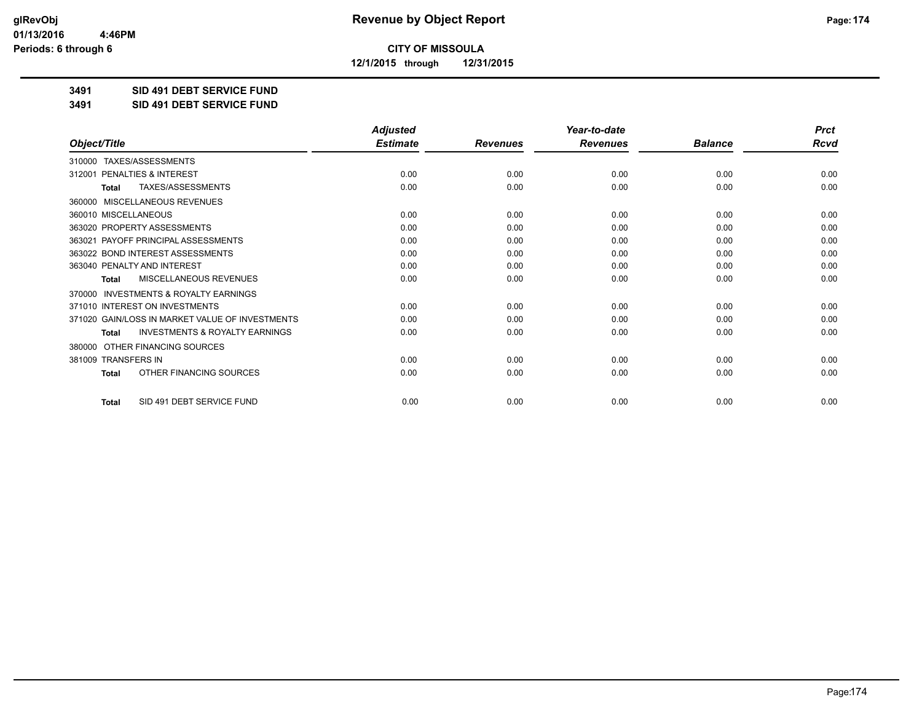**12/1/2015 through 12/31/2015**

**3491 SID 491 DEBT SERVICE FUND**

**3491 SID 491 DEBT SERVICE FUND**

|                                                     | <b>Adjusted</b> |                 | Year-to-date    |                | <b>Prct</b> |
|-----------------------------------------------------|-----------------|-----------------|-----------------|----------------|-------------|
| Object/Title                                        | <b>Estimate</b> | <b>Revenues</b> | <b>Revenues</b> | <b>Balance</b> | <b>Rcvd</b> |
| 310000 TAXES/ASSESSMENTS                            |                 |                 |                 |                |             |
| PENALTIES & INTEREST<br>312001                      | 0.00            | 0.00            | 0.00            | 0.00           | 0.00        |
| TAXES/ASSESSMENTS<br><b>Total</b>                   | 0.00            | 0.00            | 0.00            | 0.00           | 0.00        |
| MISCELLANEOUS REVENUES<br>360000                    |                 |                 |                 |                |             |
| 360010 MISCELLANEOUS                                | 0.00            | 0.00            | 0.00            | 0.00           | 0.00        |
| 363020 PROPERTY ASSESSMENTS                         | 0.00            | 0.00            | 0.00            | 0.00           | 0.00        |
| 363021 PAYOFF PRINCIPAL ASSESSMENTS                 | 0.00            | 0.00            | 0.00            | 0.00           | 0.00        |
| 363022 BOND INTEREST ASSESSMENTS                    | 0.00            | 0.00            | 0.00            | 0.00           | 0.00        |
| 363040 PENALTY AND INTEREST                         | 0.00            | 0.00            | 0.00            | 0.00           | 0.00        |
| MISCELLANEOUS REVENUES<br><b>Total</b>              | 0.00            | 0.00            | 0.00            | 0.00           | 0.00        |
| <b>INVESTMENTS &amp; ROYALTY EARNINGS</b><br>370000 |                 |                 |                 |                |             |
| 371010 INTEREST ON INVESTMENTS                      | 0.00            | 0.00            | 0.00            | 0.00           | 0.00        |
| 371020 GAIN/LOSS IN MARKET VALUE OF INVESTMENTS     | 0.00            | 0.00            | 0.00            | 0.00           | 0.00        |
| <b>INVESTMENTS &amp; ROYALTY EARNINGS</b><br>Total  | 0.00            | 0.00            | 0.00            | 0.00           | 0.00        |
| OTHER FINANCING SOURCES<br>380000                   |                 |                 |                 |                |             |
| 381009 TRANSFERS IN                                 | 0.00            | 0.00            | 0.00            | 0.00           | 0.00        |
| OTHER FINANCING SOURCES<br>Total                    | 0.00            | 0.00            | 0.00            | 0.00           | 0.00        |
| SID 491 DEBT SERVICE FUND<br><b>Total</b>           | 0.00            | 0.00            | 0.00            | 0.00           | 0.00        |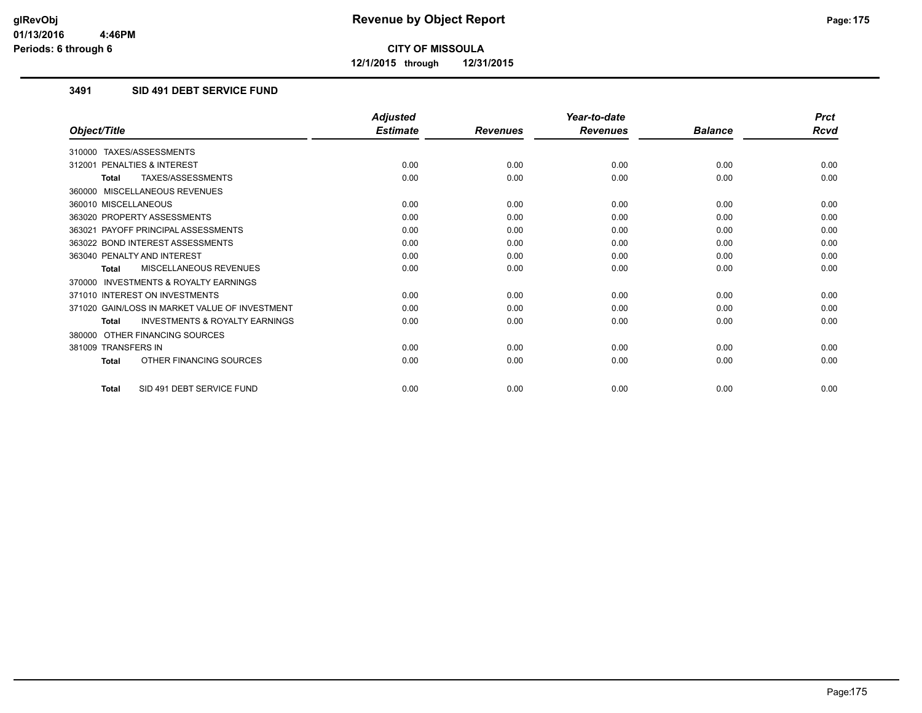**12/1/2015 through 12/31/2015**

#### **3491 SID 491 DEBT SERVICE FUND**

|                                                           | <b>Adjusted</b> |                 | Year-to-date    |                | <b>Prct</b> |
|-----------------------------------------------------------|-----------------|-----------------|-----------------|----------------|-------------|
| Object/Title                                              | <b>Estimate</b> | <b>Revenues</b> | <b>Revenues</b> | <b>Balance</b> | <b>Rcvd</b> |
| 310000 TAXES/ASSESSMENTS                                  |                 |                 |                 |                |             |
| PENALTIES & INTEREST<br>312001                            | 0.00            | 0.00            | 0.00            | 0.00           | 0.00        |
| TAXES/ASSESSMENTS<br><b>Total</b>                         | 0.00            | 0.00            | 0.00            | 0.00           | 0.00        |
| 360000 MISCELLANEOUS REVENUES                             |                 |                 |                 |                |             |
| 360010 MISCELLANEOUS                                      | 0.00            | 0.00            | 0.00            | 0.00           | 0.00        |
| 363020 PROPERTY ASSESSMENTS                               | 0.00            | 0.00            | 0.00            | 0.00           | 0.00        |
| 363021 PAYOFF PRINCIPAL ASSESSMENTS                       | 0.00            | 0.00            | 0.00            | 0.00           | 0.00        |
| 363022 BOND INTEREST ASSESSMENTS                          | 0.00            | 0.00            | 0.00            | 0.00           | 0.00        |
| 363040 PENALTY AND INTEREST                               | 0.00            | 0.00            | 0.00            | 0.00           | 0.00        |
| MISCELLANEOUS REVENUES<br><b>Total</b>                    | 0.00            | 0.00            | 0.00            | 0.00           | 0.00        |
| <b>INVESTMENTS &amp; ROYALTY EARNINGS</b><br>370000       |                 |                 |                 |                |             |
| 371010 INTEREST ON INVESTMENTS                            | 0.00            | 0.00            | 0.00            | 0.00           | 0.00        |
| 371020 GAIN/LOSS IN MARKET VALUE OF INVESTMENT            | 0.00            | 0.00            | 0.00            | 0.00           | 0.00        |
| <b>INVESTMENTS &amp; ROYALTY EARNINGS</b><br><b>Total</b> | 0.00            | 0.00            | 0.00            | 0.00           | 0.00        |
| OTHER FINANCING SOURCES<br>380000                         |                 |                 |                 |                |             |
| 381009 TRANSFERS IN                                       | 0.00            | 0.00            | 0.00            | 0.00           | 0.00        |
| OTHER FINANCING SOURCES<br><b>Total</b>                   | 0.00            | 0.00            | 0.00            | 0.00           | 0.00        |
| SID 491 DEBT SERVICE FUND<br><b>Total</b>                 | 0.00            | 0.00            | 0.00            | 0.00           | 0.00        |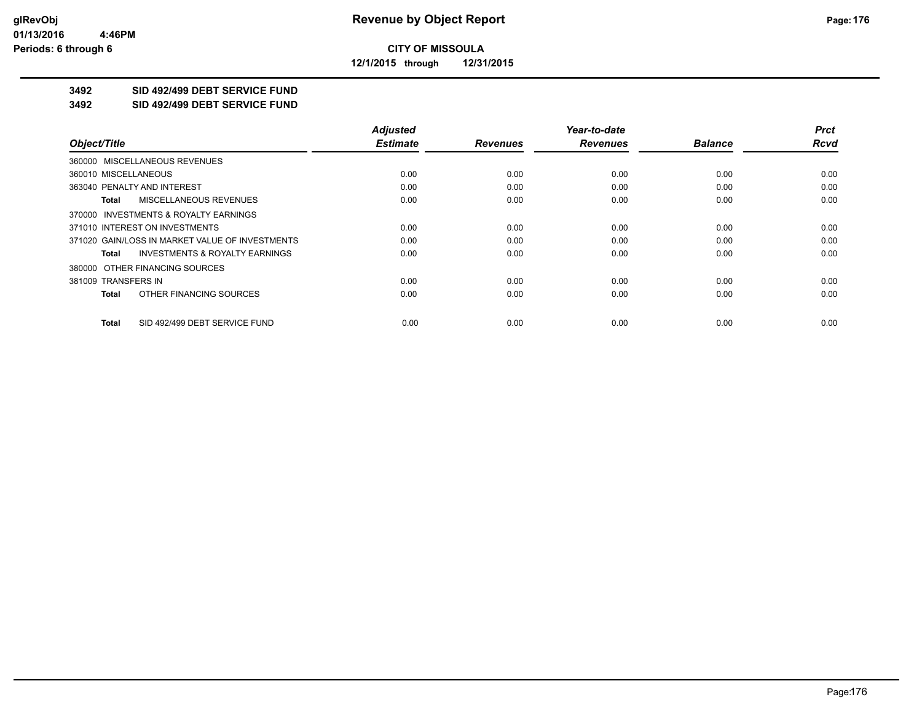**12/1/2015 through 12/31/2015**

## **3492 SID 492/499 DEBT SERVICE FUND**

**3492 SID 492/499 DEBT SERVICE FUND**

|                                                    | <b>Adjusted</b> |                 | Year-to-date    |                | <b>Prct</b> |
|----------------------------------------------------|-----------------|-----------------|-----------------|----------------|-------------|
| Object/Title                                       | <b>Estimate</b> | <b>Revenues</b> | <b>Revenues</b> | <b>Balance</b> | <b>Rcvd</b> |
| 360000 MISCELLANEOUS REVENUES                      |                 |                 |                 |                |             |
| 360010 MISCELLANEOUS                               | 0.00            | 0.00            | 0.00            | 0.00           | 0.00        |
| 363040 PENALTY AND INTEREST                        | 0.00            | 0.00            | 0.00            | 0.00           | 0.00        |
| MISCELLANEOUS REVENUES<br>Total                    | 0.00            | 0.00            | 0.00            | 0.00           | 0.00        |
| 370000 INVESTMENTS & ROYALTY EARNINGS              |                 |                 |                 |                |             |
| 371010 INTEREST ON INVESTMENTS                     | 0.00            | 0.00            | 0.00            | 0.00           | 0.00        |
| 371020 GAIN/LOSS IN MARKET VALUE OF INVESTMENTS    | 0.00            | 0.00            | 0.00            | 0.00           | 0.00        |
| <b>INVESTMENTS &amp; ROYALTY EARNINGS</b><br>Total | 0.00            | 0.00            | 0.00            | 0.00           | 0.00        |
| 380000 OTHER FINANCING SOURCES                     |                 |                 |                 |                |             |
| 381009 TRANSFERS IN                                | 0.00            | 0.00            | 0.00            | 0.00           | 0.00        |
| OTHER FINANCING SOURCES<br>Total                   | 0.00            | 0.00            | 0.00            | 0.00           | 0.00        |
| SID 492/499 DEBT SERVICE FUND<br>Total             | 0.00            | 0.00            | 0.00            | 0.00           | 0.00        |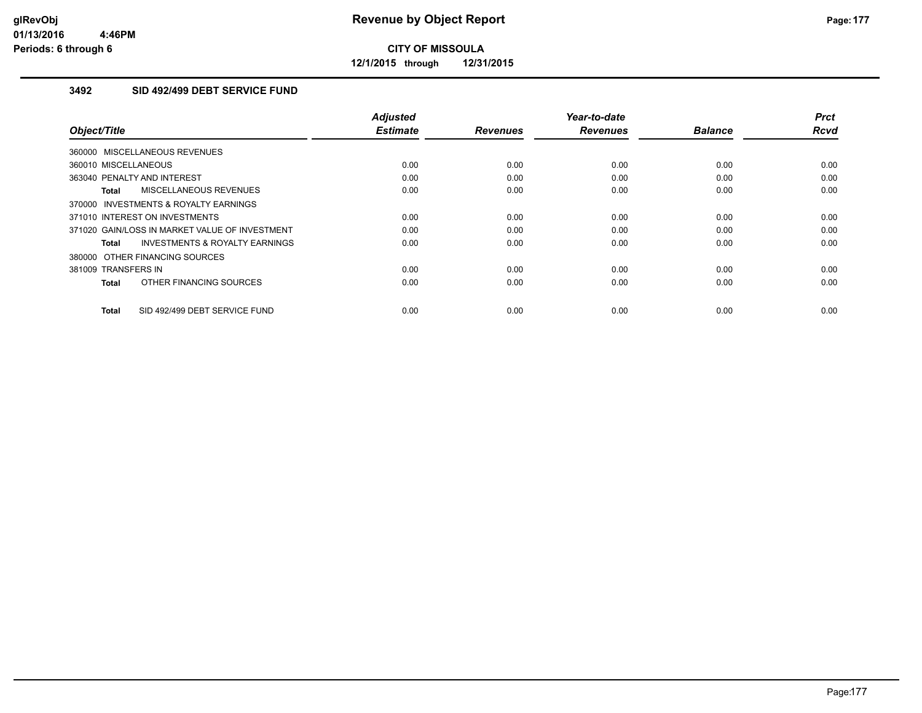**12/1/2015 through 12/31/2015**

#### **3492 SID 492/499 DEBT SERVICE FUND**

| Object/Title                                       | <b>Adjusted</b><br><b>Estimate</b> | <b>Revenues</b> | Year-to-date<br><b>Revenues</b> | <b>Balance</b> | <b>Prct</b><br><b>Rcvd</b> |
|----------------------------------------------------|------------------------------------|-----------------|---------------------------------|----------------|----------------------------|
| 360000 MISCELLANEOUS REVENUES                      |                                    |                 |                                 |                |                            |
| 360010 MISCELLANEOUS                               | 0.00                               | 0.00            | 0.00                            | 0.00           | 0.00                       |
| 363040 PENALTY AND INTEREST                        | 0.00                               | 0.00            | 0.00                            | 0.00           | 0.00                       |
| MISCELLANEOUS REVENUES<br>Total                    | 0.00                               | 0.00            | 0.00                            | 0.00           | 0.00                       |
| 370000 INVESTMENTS & ROYALTY EARNINGS              |                                    |                 |                                 |                |                            |
| 371010 INTEREST ON INVESTMENTS                     | 0.00                               | 0.00            | 0.00                            | 0.00           | 0.00                       |
| 371020 GAIN/LOSS IN MARKET VALUE OF INVESTMENT     | 0.00                               | 0.00            | 0.00                            | 0.00           | 0.00                       |
| <b>INVESTMENTS &amp; ROYALTY EARNINGS</b><br>Total | 0.00                               | 0.00            | 0.00                            | 0.00           | 0.00                       |
| 380000 OTHER FINANCING SOURCES                     |                                    |                 |                                 |                |                            |
| 381009 TRANSFERS IN                                | 0.00                               | 0.00            | 0.00                            | 0.00           | 0.00                       |
| OTHER FINANCING SOURCES<br><b>Total</b>            | 0.00                               | 0.00            | 0.00                            | 0.00           | 0.00                       |
| SID 492/499 DEBT SERVICE FUND<br><b>Total</b>      | 0.00                               | 0.00            | 0.00                            | 0.00           | 0.00                       |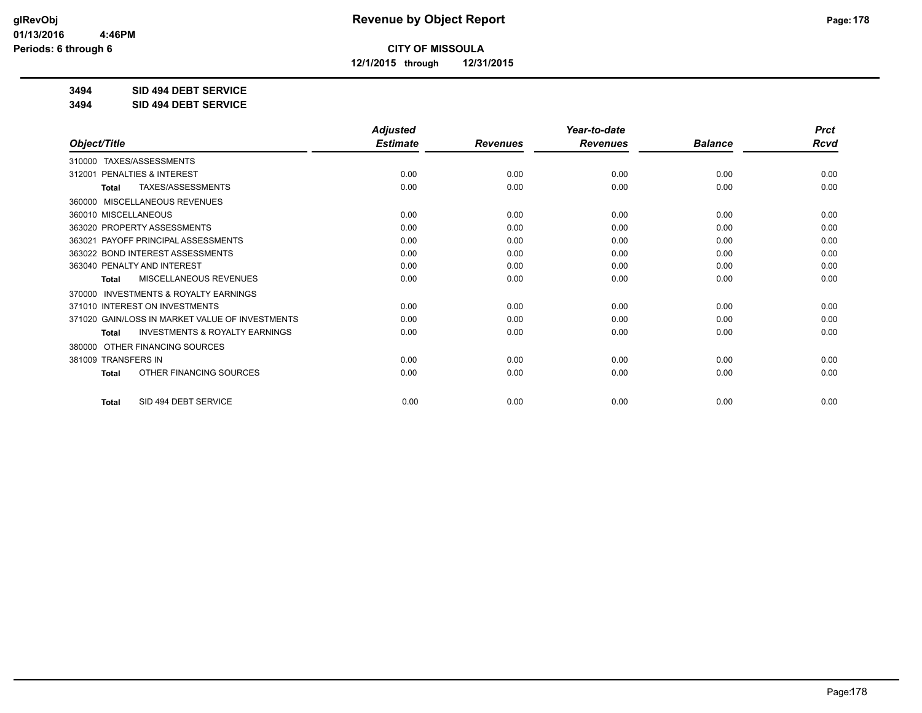**12/1/2015 through 12/31/2015**

### **3494 SID 494 DEBT SERVICE**

**3494 SID 494 DEBT SERVICE**

|                                                           | <b>Adjusted</b> |                 | Year-to-date    |                | <b>Prct</b> |
|-----------------------------------------------------------|-----------------|-----------------|-----------------|----------------|-------------|
| Object/Title                                              | <b>Estimate</b> | <b>Revenues</b> | <b>Revenues</b> | <b>Balance</b> | <b>Rcvd</b> |
| TAXES/ASSESSMENTS<br>310000                               |                 |                 |                 |                |             |
| PENALTIES & INTEREST<br>312001                            | 0.00            | 0.00            | 0.00            | 0.00           | 0.00        |
| TAXES/ASSESSMENTS<br>Total                                | 0.00            | 0.00            | 0.00            | 0.00           | 0.00        |
| <b>MISCELLANEOUS REVENUES</b><br>360000                   |                 |                 |                 |                |             |
| 360010 MISCELLANEOUS                                      | 0.00            | 0.00            | 0.00            | 0.00           | 0.00        |
| 363020 PROPERTY ASSESSMENTS                               | 0.00            | 0.00            | 0.00            | 0.00           | 0.00        |
| 363021 PAYOFF PRINCIPAL ASSESSMENTS                       | 0.00            | 0.00            | 0.00            | 0.00           | 0.00        |
| 363022 BOND INTEREST ASSESSMENTS                          | 0.00            | 0.00            | 0.00            | 0.00           | 0.00        |
| 363040 PENALTY AND INTEREST                               | 0.00            | 0.00            | 0.00            | 0.00           | 0.00        |
| MISCELLANEOUS REVENUES<br>Total                           | 0.00            | 0.00            | 0.00            | 0.00           | 0.00        |
| <b>INVESTMENTS &amp; ROYALTY EARNINGS</b><br>370000       |                 |                 |                 |                |             |
| 371010 INTEREST ON INVESTMENTS                            | 0.00            | 0.00            | 0.00            | 0.00           | 0.00        |
| 371020 GAIN/LOSS IN MARKET VALUE OF INVESTMENTS           | 0.00            | 0.00            | 0.00            | 0.00           | 0.00        |
| <b>INVESTMENTS &amp; ROYALTY EARNINGS</b><br><b>Total</b> | 0.00            | 0.00            | 0.00            | 0.00           | 0.00        |
| OTHER FINANCING SOURCES<br>380000                         |                 |                 |                 |                |             |
| 381009 TRANSFERS IN                                       | 0.00            | 0.00            | 0.00            | 0.00           | 0.00        |
| OTHER FINANCING SOURCES<br>Total                          | 0.00            | 0.00            | 0.00            | 0.00           | 0.00        |
| SID 494 DEBT SERVICE<br><b>Total</b>                      | 0.00            | 0.00            | 0.00            | 0.00           | 0.00        |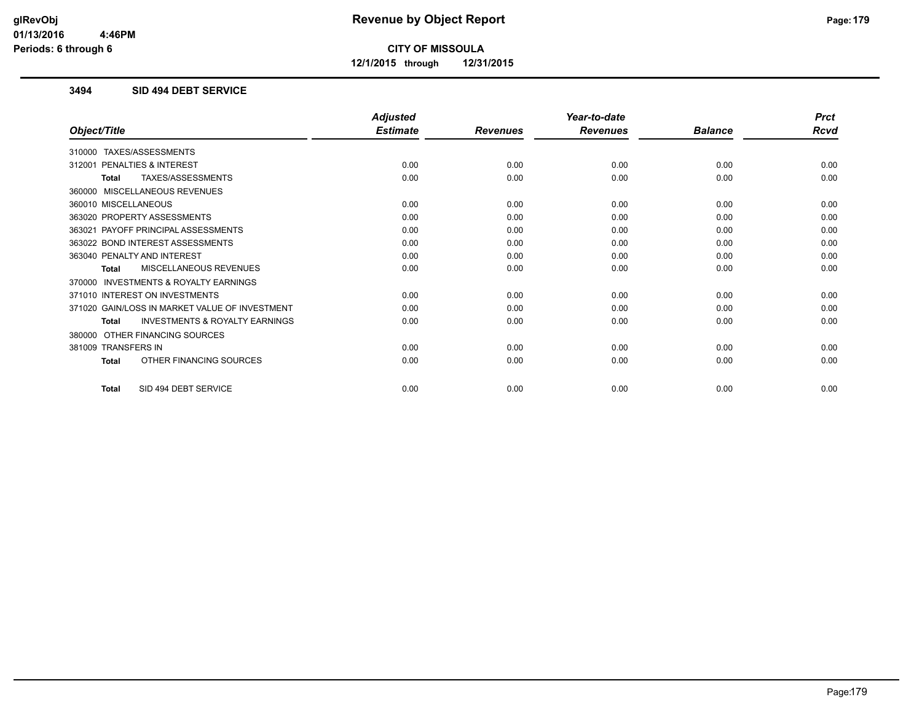**12/1/2015 through 12/31/2015**

#### **3494 SID 494 DEBT SERVICE**

|                                                    | <b>Adjusted</b> |                 | Year-to-date    |                | <b>Prct</b> |
|----------------------------------------------------|-----------------|-----------------|-----------------|----------------|-------------|
| Object/Title                                       | <b>Estimate</b> | <b>Revenues</b> | <b>Revenues</b> | <b>Balance</b> | <b>Rcvd</b> |
| 310000 TAXES/ASSESSMENTS                           |                 |                 |                 |                |             |
| PENALTIES & INTEREST<br>312001                     | 0.00            | 0.00            | 0.00            | 0.00           | 0.00        |
| TAXES/ASSESSMENTS<br>Total                         | 0.00            | 0.00            | 0.00            | 0.00           | 0.00        |
| 360000 MISCELLANEOUS REVENUES                      |                 |                 |                 |                |             |
| 360010 MISCELLANEOUS                               | 0.00            | 0.00            | 0.00            | 0.00           | 0.00        |
| 363020 PROPERTY ASSESSMENTS                        | 0.00            | 0.00            | 0.00            | 0.00           | 0.00        |
| 363021 PAYOFF PRINCIPAL ASSESSMENTS                | 0.00            | 0.00            | 0.00            | 0.00           | 0.00        |
| 363022 BOND INTEREST ASSESSMENTS                   | 0.00            | 0.00            | 0.00            | 0.00           | 0.00        |
| 363040 PENALTY AND INTEREST                        | 0.00            | 0.00            | 0.00            | 0.00           | 0.00        |
| MISCELLANEOUS REVENUES<br>Total                    | 0.00            | 0.00            | 0.00            | 0.00           | 0.00        |
| 370000 INVESTMENTS & ROYALTY EARNINGS              |                 |                 |                 |                |             |
| 371010 INTEREST ON INVESTMENTS                     | 0.00            | 0.00            | 0.00            | 0.00           | 0.00        |
| 371020 GAIN/LOSS IN MARKET VALUE OF INVESTMENT     | 0.00            | 0.00            | 0.00            | 0.00           | 0.00        |
| <b>INVESTMENTS &amp; ROYALTY EARNINGS</b><br>Total | 0.00            | 0.00            | 0.00            | 0.00           | 0.00        |
| 380000 OTHER FINANCING SOURCES                     |                 |                 |                 |                |             |
| 381009 TRANSFERS IN                                | 0.00            | 0.00            | 0.00            | 0.00           | 0.00        |
| OTHER FINANCING SOURCES<br>Total                   | 0.00            | 0.00            | 0.00            | 0.00           | 0.00        |
|                                                    |                 |                 |                 |                |             |
| SID 494 DEBT SERVICE<br><b>Total</b>               | 0.00            | 0.00            | 0.00            | 0.00           | 0.00        |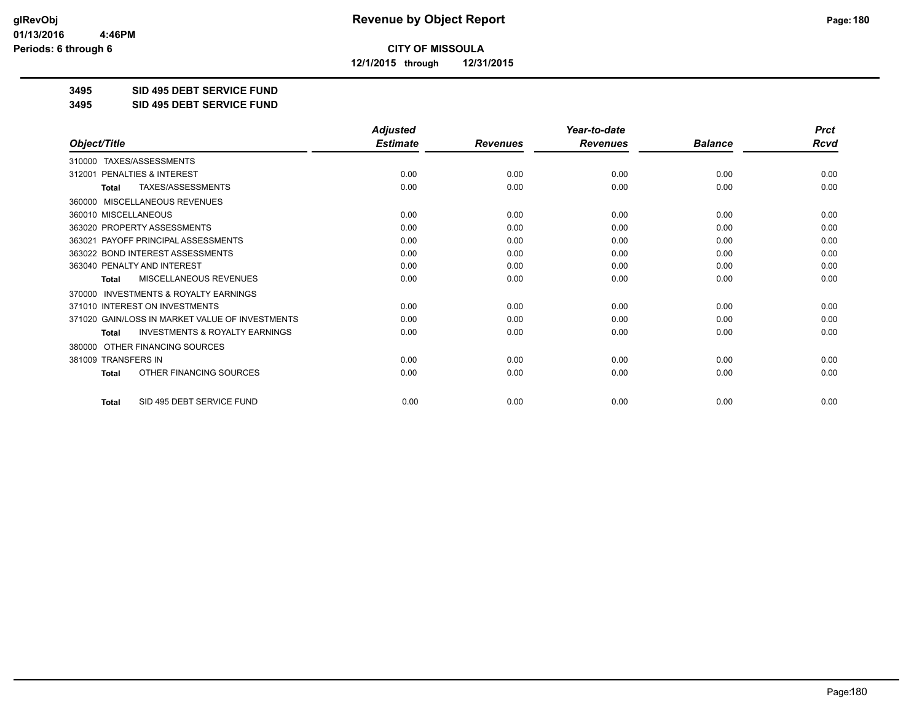**12/1/2015 through 12/31/2015**

#### **3495 SID 495 DEBT SERVICE FUND**

**3495 SID 495 DEBT SERVICE FUND**

|                                                           | <b>Adjusted</b> |                 | Year-to-date    |                | <b>Prct</b> |
|-----------------------------------------------------------|-----------------|-----------------|-----------------|----------------|-------------|
| Object/Title                                              | <b>Estimate</b> | <b>Revenues</b> | <b>Revenues</b> | <b>Balance</b> | <b>Rcvd</b> |
| 310000 TAXES/ASSESSMENTS                                  |                 |                 |                 |                |             |
| PENALTIES & INTEREST<br>312001                            | 0.00            | 0.00            | 0.00            | 0.00           | 0.00        |
| <b>TAXES/ASSESSMENTS</b><br><b>Total</b>                  | 0.00            | 0.00            | 0.00            | 0.00           | 0.00        |
| MISCELLANEOUS REVENUES<br>360000                          |                 |                 |                 |                |             |
| 360010 MISCELLANEOUS                                      | 0.00            | 0.00            | 0.00            | 0.00           | 0.00        |
| 363020 PROPERTY ASSESSMENTS                               | 0.00            | 0.00            | 0.00            | 0.00           | 0.00        |
| 363021 PAYOFF PRINCIPAL ASSESSMENTS                       | 0.00            | 0.00            | 0.00            | 0.00           | 0.00        |
| 363022 BOND INTEREST ASSESSMENTS                          | 0.00            | 0.00            | 0.00            | 0.00           | 0.00        |
| 363040 PENALTY AND INTEREST                               | 0.00            | 0.00            | 0.00            | 0.00           | 0.00        |
| MISCELLANEOUS REVENUES<br>Total                           | 0.00            | 0.00            | 0.00            | 0.00           | 0.00        |
| INVESTMENTS & ROYALTY EARNINGS<br>370000                  |                 |                 |                 |                |             |
| 371010 INTEREST ON INVESTMENTS                            | 0.00            | 0.00            | 0.00            | 0.00           | 0.00        |
| 371020 GAIN/LOSS IN MARKET VALUE OF INVESTMENTS           | 0.00            | 0.00            | 0.00            | 0.00           | 0.00        |
| <b>INVESTMENTS &amp; ROYALTY EARNINGS</b><br><b>Total</b> | 0.00            | 0.00            | 0.00            | 0.00           | 0.00        |
| OTHER FINANCING SOURCES<br>380000                         |                 |                 |                 |                |             |
| 381009 TRANSFERS IN                                       | 0.00            | 0.00            | 0.00            | 0.00           | 0.00        |
| OTHER FINANCING SOURCES<br><b>Total</b>                   | 0.00            | 0.00            | 0.00            | 0.00           | 0.00        |
| SID 495 DEBT SERVICE FUND<br><b>Total</b>                 | 0.00            | 0.00            | 0.00            | 0.00           | 0.00        |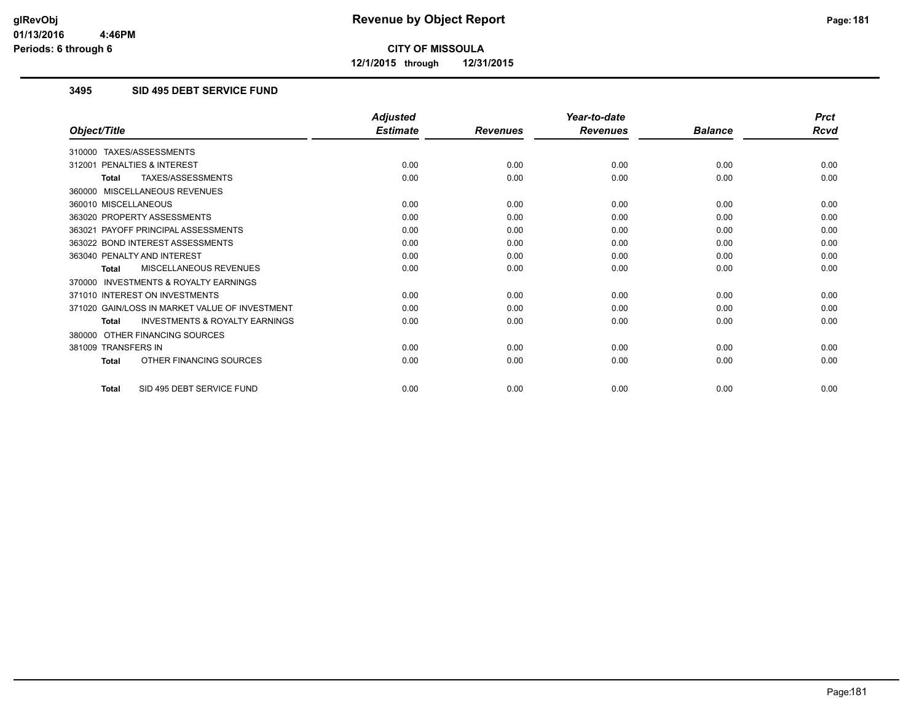**12/1/2015 through 12/31/2015**

### **3495 SID 495 DEBT SERVICE FUND**

|                                                           | <b>Adjusted</b> |                 | Year-to-date    |                | <b>Prct</b> |
|-----------------------------------------------------------|-----------------|-----------------|-----------------|----------------|-------------|
| Object/Title                                              | <b>Estimate</b> | <b>Revenues</b> | <b>Revenues</b> | <b>Balance</b> | <b>Rcvd</b> |
| 310000 TAXES/ASSESSMENTS                                  |                 |                 |                 |                |             |
| PENALTIES & INTEREST<br>312001                            | 0.00            | 0.00            | 0.00            | 0.00           | 0.00        |
| TAXES/ASSESSMENTS<br><b>Total</b>                         | 0.00            | 0.00            | 0.00            | 0.00           | 0.00        |
| 360000 MISCELLANEOUS REVENUES                             |                 |                 |                 |                |             |
| 360010 MISCELLANEOUS                                      | 0.00            | 0.00            | 0.00            | 0.00           | 0.00        |
| 363020 PROPERTY ASSESSMENTS                               | 0.00            | 0.00            | 0.00            | 0.00           | 0.00        |
| 363021 PAYOFF PRINCIPAL ASSESSMENTS                       | 0.00            | 0.00            | 0.00            | 0.00           | 0.00        |
| 363022 BOND INTEREST ASSESSMENTS                          | 0.00            | 0.00            | 0.00            | 0.00           | 0.00        |
| 363040 PENALTY AND INTEREST                               | 0.00            | 0.00            | 0.00            | 0.00           | 0.00        |
| MISCELLANEOUS REVENUES<br><b>Total</b>                    | 0.00            | 0.00            | 0.00            | 0.00           | 0.00        |
| <b>INVESTMENTS &amp; ROYALTY EARNINGS</b><br>370000       |                 |                 |                 |                |             |
| 371010 INTEREST ON INVESTMENTS                            | 0.00            | 0.00            | 0.00            | 0.00           | 0.00        |
| 371020 GAIN/LOSS IN MARKET VALUE OF INVESTMENT            | 0.00            | 0.00            | 0.00            | 0.00           | 0.00        |
| <b>INVESTMENTS &amp; ROYALTY EARNINGS</b><br><b>Total</b> | 0.00            | 0.00            | 0.00            | 0.00           | 0.00        |
| OTHER FINANCING SOURCES<br>380000                         |                 |                 |                 |                |             |
| 381009 TRANSFERS IN                                       | 0.00            | 0.00            | 0.00            | 0.00           | 0.00        |
| OTHER FINANCING SOURCES<br><b>Total</b>                   | 0.00            | 0.00            | 0.00            | 0.00           | 0.00        |
| SID 495 DEBT SERVICE FUND<br><b>Total</b>                 | 0.00            | 0.00            | 0.00            | 0.00           | 0.00        |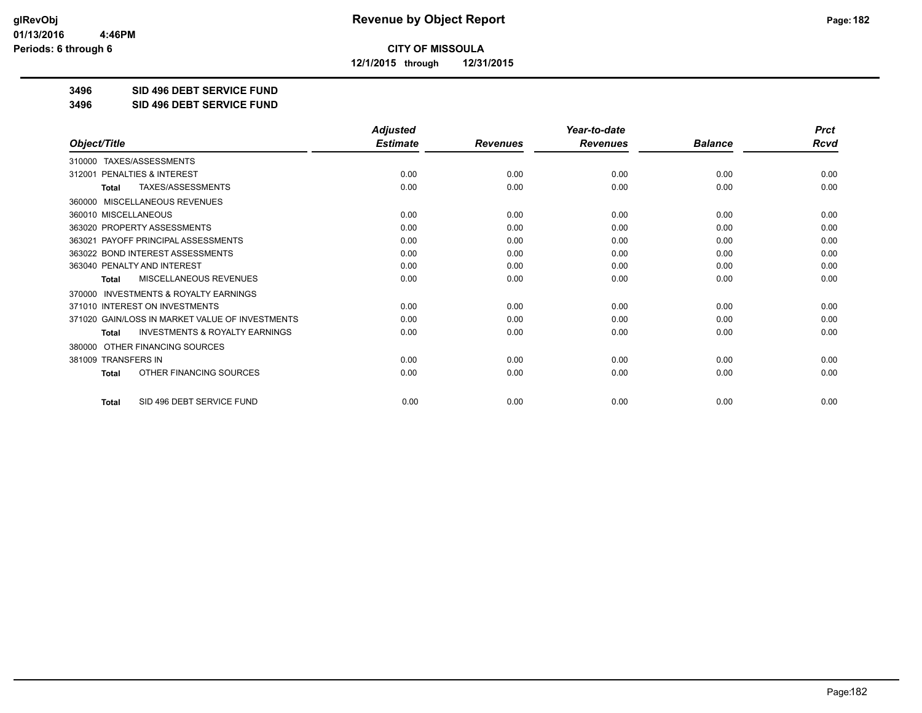**12/1/2015 through 12/31/2015**

**3496 SID 496 DEBT SERVICE FUND**

**3496 SID 496 DEBT SERVICE FUND**

|                                                           | <b>Adjusted</b> |                 | Year-to-date    |                | <b>Prct</b> |
|-----------------------------------------------------------|-----------------|-----------------|-----------------|----------------|-------------|
| Object/Title                                              | <b>Estimate</b> | <b>Revenues</b> | <b>Revenues</b> | <b>Balance</b> | <b>Rcvd</b> |
| 310000 TAXES/ASSESSMENTS                                  |                 |                 |                 |                |             |
| PENALTIES & INTEREST<br>312001                            | 0.00            | 0.00            | 0.00            | 0.00           | 0.00        |
| <b>TAXES/ASSESSMENTS</b><br><b>Total</b>                  | 0.00            | 0.00            | 0.00            | 0.00           | 0.00        |
| MISCELLANEOUS REVENUES<br>360000                          |                 |                 |                 |                |             |
| 360010 MISCELLANEOUS                                      | 0.00            | 0.00            | 0.00            | 0.00           | 0.00        |
| 363020 PROPERTY ASSESSMENTS                               | 0.00            | 0.00            | 0.00            | 0.00           | 0.00        |
| 363021 PAYOFF PRINCIPAL ASSESSMENTS                       | 0.00            | 0.00            | 0.00            | 0.00           | 0.00        |
| 363022 BOND INTEREST ASSESSMENTS                          | 0.00            | 0.00            | 0.00            | 0.00           | 0.00        |
| 363040 PENALTY AND INTEREST                               | 0.00            | 0.00            | 0.00            | 0.00           | 0.00        |
| MISCELLANEOUS REVENUES<br>Total                           | 0.00            | 0.00            | 0.00            | 0.00           | 0.00        |
| INVESTMENTS & ROYALTY EARNINGS<br>370000                  |                 |                 |                 |                |             |
| 371010 INTEREST ON INVESTMENTS                            | 0.00            | 0.00            | 0.00            | 0.00           | 0.00        |
| 371020 GAIN/LOSS IN MARKET VALUE OF INVESTMENTS           | 0.00            | 0.00            | 0.00            | 0.00           | 0.00        |
| <b>INVESTMENTS &amp; ROYALTY EARNINGS</b><br><b>Total</b> | 0.00            | 0.00            | 0.00            | 0.00           | 0.00        |
| OTHER FINANCING SOURCES<br>380000                         |                 |                 |                 |                |             |
| 381009 TRANSFERS IN                                       | 0.00            | 0.00            | 0.00            | 0.00           | 0.00        |
| OTHER FINANCING SOURCES<br><b>Total</b>                   | 0.00            | 0.00            | 0.00            | 0.00           | 0.00        |
| SID 496 DEBT SERVICE FUND<br><b>Total</b>                 | 0.00            | 0.00            | 0.00            | 0.00           | 0.00        |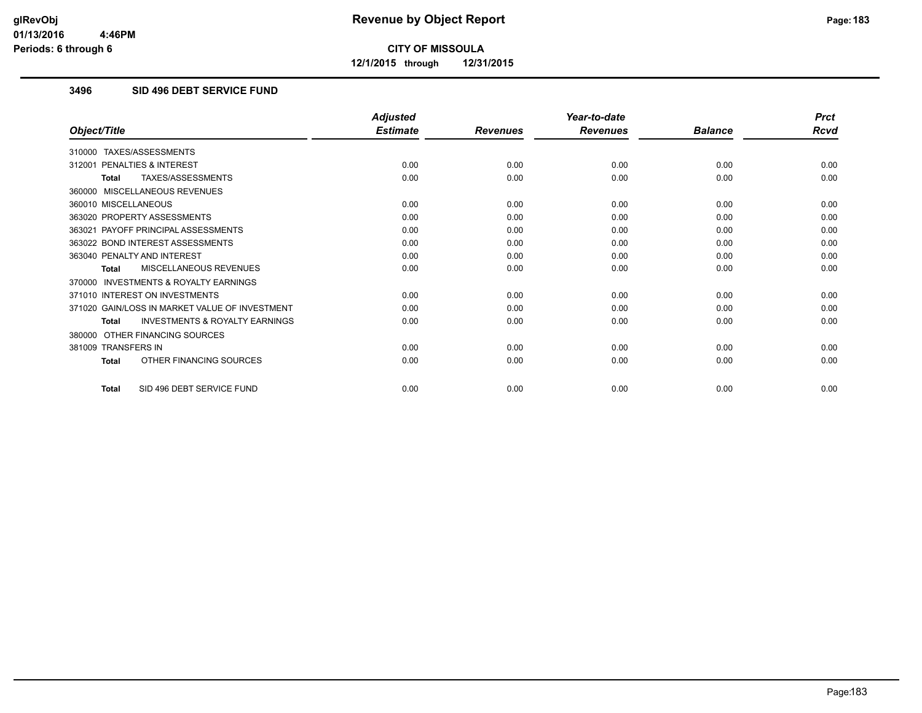**12/1/2015 through 12/31/2015**

### **3496 SID 496 DEBT SERVICE FUND**

|                                                           | <b>Adjusted</b> |                 | Year-to-date    |                | <b>Prct</b> |
|-----------------------------------------------------------|-----------------|-----------------|-----------------|----------------|-------------|
| Object/Title                                              | <b>Estimate</b> | <b>Revenues</b> | <b>Revenues</b> | <b>Balance</b> | <b>Rcvd</b> |
| 310000 TAXES/ASSESSMENTS                                  |                 |                 |                 |                |             |
| PENALTIES & INTEREST<br>312001                            | 0.00            | 0.00            | 0.00            | 0.00           | 0.00        |
| TAXES/ASSESSMENTS<br><b>Total</b>                         | 0.00            | 0.00            | 0.00            | 0.00           | 0.00        |
| 360000 MISCELLANEOUS REVENUES                             |                 |                 |                 |                |             |
| 360010 MISCELLANEOUS                                      | 0.00            | 0.00            | 0.00            | 0.00           | 0.00        |
| 363020 PROPERTY ASSESSMENTS                               | 0.00            | 0.00            | 0.00            | 0.00           | 0.00        |
| 363021 PAYOFF PRINCIPAL ASSESSMENTS                       | 0.00            | 0.00            | 0.00            | 0.00           | 0.00        |
| 363022 BOND INTEREST ASSESSMENTS                          | 0.00            | 0.00            | 0.00            | 0.00           | 0.00        |
| 363040 PENALTY AND INTEREST                               | 0.00            | 0.00            | 0.00            | 0.00           | 0.00        |
| MISCELLANEOUS REVENUES<br><b>Total</b>                    | 0.00            | 0.00            | 0.00            | 0.00           | 0.00        |
| <b>INVESTMENTS &amp; ROYALTY EARNINGS</b><br>370000       |                 |                 |                 |                |             |
| 371010 INTEREST ON INVESTMENTS                            | 0.00            | 0.00            | 0.00            | 0.00           | 0.00        |
| 371020 GAIN/LOSS IN MARKET VALUE OF INVESTMENT            | 0.00            | 0.00            | 0.00            | 0.00           | 0.00        |
| <b>INVESTMENTS &amp; ROYALTY EARNINGS</b><br><b>Total</b> | 0.00            | 0.00            | 0.00            | 0.00           | 0.00        |
| OTHER FINANCING SOURCES<br>380000                         |                 |                 |                 |                |             |
| 381009 TRANSFERS IN                                       | 0.00            | 0.00            | 0.00            | 0.00           | 0.00        |
| OTHER FINANCING SOURCES<br><b>Total</b>                   | 0.00            | 0.00            | 0.00            | 0.00           | 0.00        |
| SID 496 DEBT SERVICE FUND<br><b>Total</b>                 | 0.00            | 0.00            | 0.00            | 0.00           | 0.00        |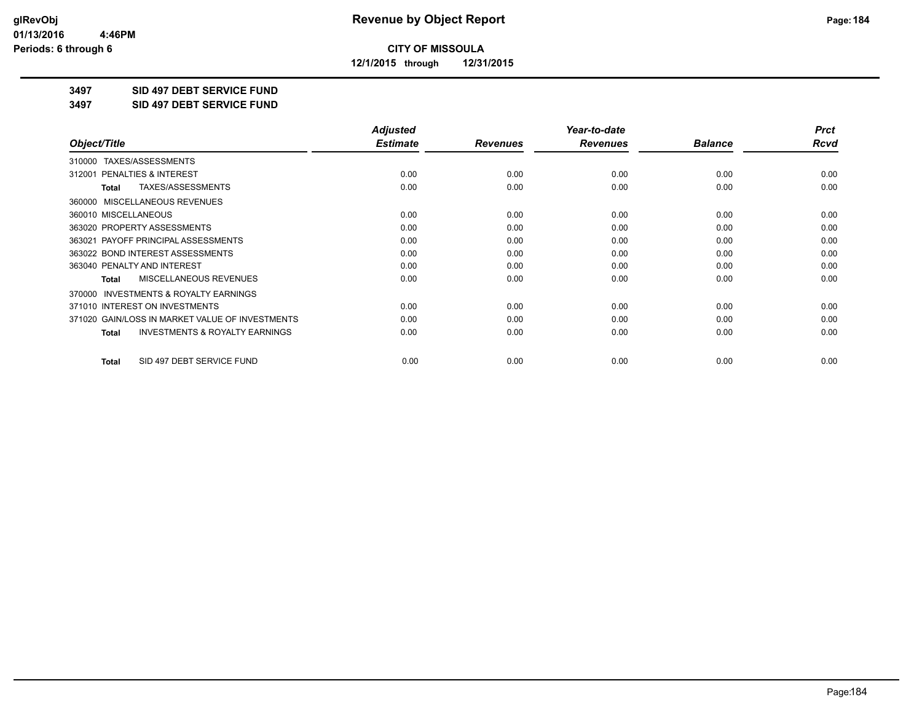**12/1/2015 through 12/31/2015**

**3497 SID 497 DEBT SERVICE FUND**

**3497 SID 497 DEBT SERVICE FUND**

|                                                           | <b>Adjusted</b> |                 | Year-to-date    |                | <b>Prct</b> |
|-----------------------------------------------------------|-----------------|-----------------|-----------------|----------------|-------------|
| Object/Title                                              | <b>Estimate</b> | <b>Revenues</b> | <b>Revenues</b> | <b>Balance</b> | Rcvd        |
| TAXES/ASSESSMENTS<br>310000                               |                 |                 |                 |                |             |
| 312001 PENALTIES & INTEREST                               | 0.00            | 0.00            | 0.00            | 0.00           | 0.00        |
| TAXES/ASSESSMENTS<br>Total                                | 0.00            | 0.00            | 0.00            | 0.00           | 0.00        |
| MISCELLANEOUS REVENUES<br>360000                          |                 |                 |                 |                |             |
| 360010 MISCELLANEOUS                                      | 0.00            | 0.00            | 0.00            | 0.00           | 0.00        |
| 363020 PROPERTY ASSESSMENTS                               | 0.00            | 0.00            | 0.00            | 0.00           | 0.00        |
| 363021 PAYOFF PRINCIPAL ASSESSMENTS                       | 0.00            | 0.00            | 0.00            | 0.00           | 0.00        |
| 363022 BOND INTEREST ASSESSMENTS                          | 0.00            | 0.00            | 0.00            | 0.00           | 0.00        |
| 363040 PENALTY AND INTEREST                               | 0.00            | 0.00            | 0.00            | 0.00           | 0.00        |
| MISCELLANEOUS REVENUES<br><b>Total</b>                    | 0.00            | 0.00            | 0.00            | 0.00           | 0.00        |
| <b>INVESTMENTS &amp; ROYALTY EARNINGS</b><br>370000       |                 |                 |                 |                |             |
| 371010 INTEREST ON INVESTMENTS                            | 0.00            | 0.00            | 0.00            | 0.00           | 0.00        |
| 371020 GAIN/LOSS IN MARKET VALUE OF INVESTMENTS           | 0.00            | 0.00            | 0.00            | 0.00           | 0.00        |
| <b>INVESTMENTS &amp; ROYALTY EARNINGS</b><br><b>Total</b> | 0.00            | 0.00            | 0.00            | 0.00           | 0.00        |
| SID 497 DEBT SERVICE FUND<br><b>Total</b>                 | 0.00            | 0.00            | 0.00            | 0.00           | 0.00        |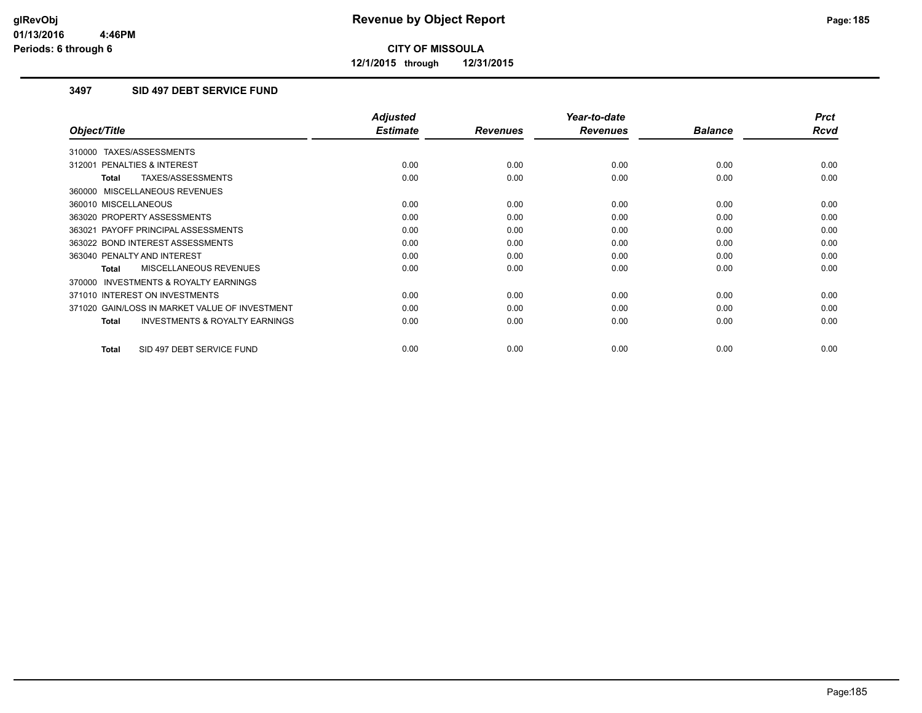**12/1/2015 through 12/31/2015**

### **3497 SID 497 DEBT SERVICE FUND**

|                                                           | <b>Adjusted</b> |                 | Year-to-date    |                | <b>Prct</b> |
|-----------------------------------------------------------|-----------------|-----------------|-----------------|----------------|-------------|
| Object/Title                                              | <b>Estimate</b> | <b>Revenues</b> | <b>Revenues</b> | <b>Balance</b> | <b>Rcvd</b> |
| 310000 TAXES/ASSESSMENTS                                  |                 |                 |                 |                |             |
| 312001 PENALTIES & INTEREST                               | 0.00            | 0.00            | 0.00            | 0.00           | 0.00        |
| TAXES/ASSESSMENTS<br><b>Total</b>                         | 0.00            | 0.00            | 0.00            | 0.00           | 0.00        |
| 360000 MISCELLANEOUS REVENUES                             |                 |                 |                 |                |             |
| 360010 MISCELLANEOUS                                      | 0.00            | 0.00            | 0.00            | 0.00           | 0.00        |
| 363020 PROPERTY ASSESSMENTS                               | 0.00            | 0.00            | 0.00            | 0.00           | 0.00        |
| 363021 PAYOFF PRINCIPAL ASSESSMENTS                       | 0.00            | 0.00            | 0.00            | 0.00           | 0.00        |
| 363022 BOND INTEREST ASSESSMENTS                          | 0.00            | 0.00            | 0.00            | 0.00           | 0.00        |
| 363040 PENALTY AND INTEREST                               | 0.00            | 0.00            | 0.00            | 0.00           | 0.00        |
| <b>MISCELLANEOUS REVENUES</b><br><b>Total</b>             | 0.00            | 0.00            | 0.00            | 0.00           | 0.00        |
| <b>INVESTMENTS &amp; ROYALTY EARNINGS</b><br>370000       |                 |                 |                 |                |             |
| 371010 INTEREST ON INVESTMENTS                            | 0.00            | 0.00            | 0.00            | 0.00           | 0.00        |
| 371020 GAIN/LOSS IN MARKET VALUE OF INVESTMENT            | 0.00            | 0.00            | 0.00            | 0.00           | 0.00        |
| <b>INVESTMENTS &amp; ROYALTY EARNINGS</b><br><b>Total</b> | 0.00            | 0.00            | 0.00            | 0.00           | 0.00        |
| SID 497 DEBT SERVICE FUND<br><b>Total</b>                 | 0.00            | 0.00            | 0.00            | 0.00           | 0.00        |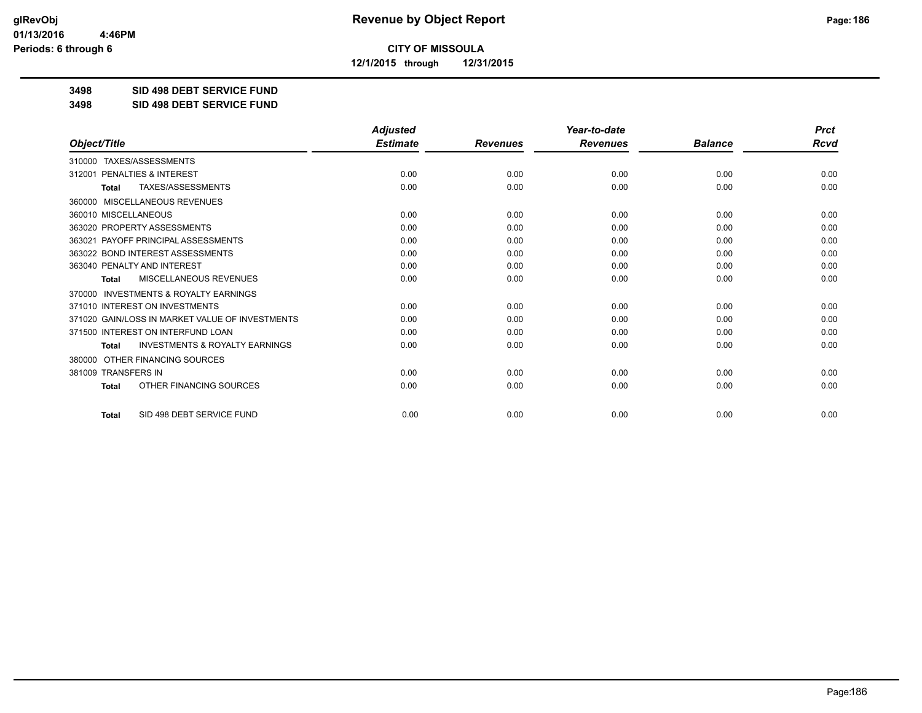**12/1/2015 through 12/31/2015**

**3498 SID 498 DEBT SERVICE FUND**

**3498 SID 498 DEBT SERVICE FUND**

|                                                           | <b>Adjusted</b> |                 | Year-to-date    |                | <b>Prct</b> |
|-----------------------------------------------------------|-----------------|-----------------|-----------------|----------------|-------------|
| Object/Title                                              | <b>Estimate</b> | <b>Revenues</b> | <b>Revenues</b> | <b>Balance</b> | <b>Rcvd</b> |
| TAXES/ASSESSMENTS<br>310000                               |                 |                 |                 |                |             |
| 312001 PENALTIES & INTEREST                               | 0.00            | 0.00            | 0.00            | 0.00           | 0.00        |
| <b>TAXES/ASSESSMENTS</b><br><b>Total</b>                  | 0.00            | 0.00            | 0.00            | 0.00           | 0.00        |
| MISCELLANEOUS REVENUES<br>360000                          |                 |                 |                 |                |             |
| 360010 MISCELLANEOUS                                      | 0.00            | 0.00            | 0.00            | 0.00           | 0.00        |
| 363020 PROPERTY ASSESSMENTS                               | 0.00            | 0.00            | 0.00            | 0.00           | 0.00        |
| 363021 PAYOFF PRINCIPAL ASSESSMENTS                       | 0.00            | 0.00            | 0.00            | 0.00           | 0.00        |
| 363022 BOND INTEREST ASSESSMENTS                          | 0.00            | 0.00            | 0.00            | 0.00           | 0.00        |
| 363040 PENALTY AND INTEREST                               | 0.00            | 0.00            | 0.00            | 0.00           | 0.00        |
| <b>MISCELLANEOUS REVENUES</b><br><b>Total</b>             | 0.00            | 0.00            | 0.00            | 0.00           | 0.00        |
| INVESTMENTS & ROYALTY EARNINGS<br>370000                  |                 |                 |                 |                |             |
| 371010 INTEREST ON INVESTMENTS                            | 0.00            | 0.00            | 0.00            | 0.00           | 0.00        |
| 371020 GAIN/LOSS IN MARKET VALUE OF INVESTMENTS           | 0.00            | 0.00            | 0.00            | 0.00           | 0.00        |
| 371500 INTEREST ON INTERFUND LOAN                         | 0.00            | 0.00            | 0.00            | 0.00           | 0.00        |
| <b>INVESTMENTS &amp; ROYALTY EARNINGS</b><br><b>Total</b> | 0.00            | 0.00            | 0.00            | 0.00           | 0.00        |
| OTHER FINANCING SOURCES<br>380000                         |                 |                 |                 |                |             |
| 381009 TRANSFERS IN                                       | 0.00            | 0.00            | 0.00            | 0.00           | 0.00        |
| OTHER FINANCING SOURCES<br><b>Total</b>                   | 0.00            | 0.00            | 0.00            | 0.00           | 0.00        |
| SID 498 DEBT SERVICE FUND<br><b>Total</b>                 | 0.00            | 0.00            | 0.00            | 0.00           | 0.00        |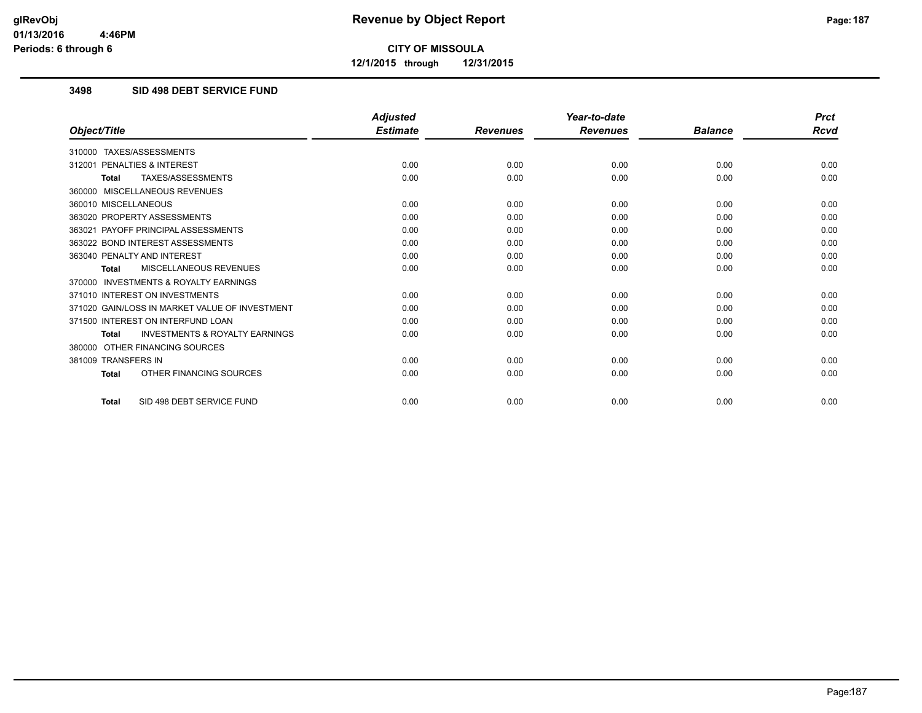**12/1/2015 through 12/31/2015**

### **3498 SID 498 DEBT SERVICE FUND**

|                                                           | <b>Adjusted</b> |                 | Year-to-date    |                | <b>Prct</b> |
|-----------------------------------------------------------|-----------------|-----------------|-----------------|----------------|-------------|
| Object/Title                                              | <b>Estimate</b> | <b>Revenues</b> | <b>Revenues</b> | <b>Balance</b> | Rcvd        |
| TAXES/ASSESSMENTS<br>310000                               |                 |                 |                 |                |             |
| <b>PENALTIES &amp; INTEREST</b><br>312001                 | 0.00            | 0.00            | 0.00            | 0.00           | 0.00        |
| TAXES/ASSESSMENTS<br><b>Total</b>                         | 0.00            | 0.00            | 0.00            | 0.00           | 0.00        |
| 360000 MISCELLANEOUS REVENUES                             |                 |                 |                 |                |             |
| 360010 MISCELLANEOUS                                      | 0.00            | 0.00            | 0.00            | 0.00           | 0.00        |
| 363020 PROPERTY ASSESSMENTS                               | 0.00            | 0.00            | 0.00            | 0.00           | 0.00        |
| 363021 PAYOFF PRINCIPAL ASSESSMENTS                       | 0.00            | 0.00            | 0.00            | 0.00           | 0.00        |
| 363022 BOND INTEREST ASSESSMENTS                          | 0.00            | 0.00            | 0.00            | 0.00           | 0.00        |
| 363040 PENALTY AND INTEREST                               | 0.00            | 0.00            | 0.00            | 0.00           | 0.00        |
| MISCELLANEOUS REVENUES<br><b>Total</b>                    | 0.00            | 0.00            | 0.00            | 0.00           | 0.00        |
| <b>INVESTMENTS &amp; ROYALTY EARNINGS</b><br>370000       |                 |                 |                 |                |             |
| 371010 INTEREST ON INVESTMENTS                            | 0.00            | 0.00            | 0.00            | 0.00           | 0.00        |
| 371020 GAIN/LOSS IN MARKET VALUE OF INVESTMENT            | 0.00            | 0.00            | 0.00            | 0.00           | 0.00        |
| 371500 INTEREST ON INTERFUND LOAN                         | 0.00            | 0.00            | 0.00            | 0.00           | 0.00        |
| <b>INVESTMENTS &amp; ROYALTY EARNINGS</b><br><b>Total</b> | 0.00            | 0.00            | 0.00            | 0.00           | 0.00        |
| OTHER FINANCING SOURCES<br>380000                         |                 |                 |                 |                |             |
| 381009 TRANSFERS IN                                       | 0.00            | 0.00            | 0.00            | 0.00           | 0.00        |
| OTHER FINANCING SOURCES<br><b>Total</b>                   | 0.00            | 0.00            | 0.00            | 0.00           | 0.00        |
| SID 498 DEBT SERVICE FUND<br><b>Total</b>                 | 0.00            | 0.00            | 0.00            | 0.00           | 0.00        |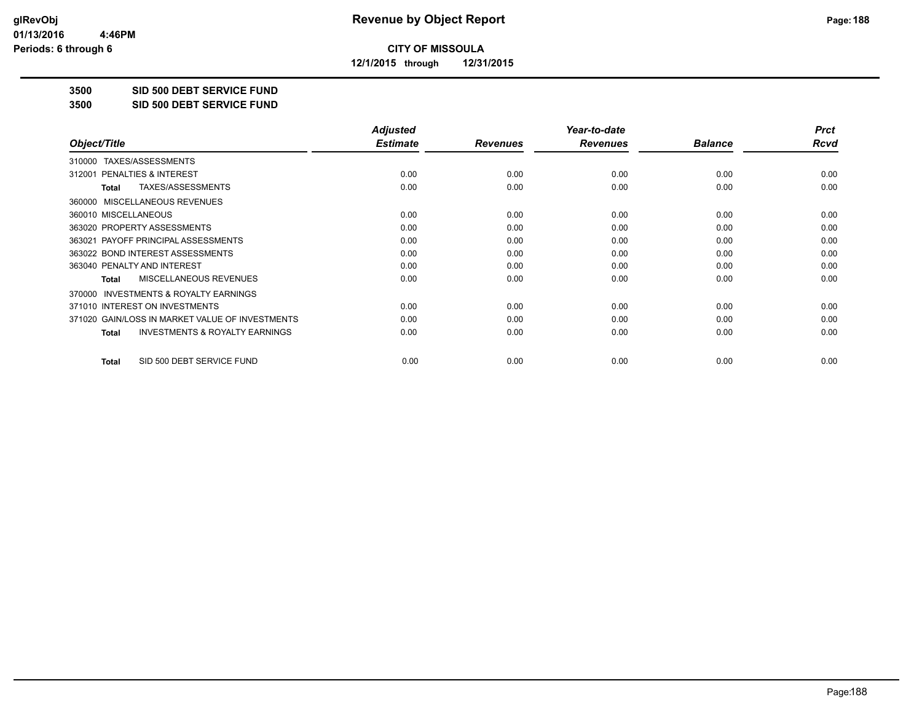**12/1/2015 through 12/31/2015**

**3500 SID 500 DEBT SERVICE FUND**

**3500 SID 500 DEBT SERVICE FUND**

|                                                           | <b>Adjusted</b> |                 | Year-to-date    |                | <b>Prct</b> |
|-----------------------------------------------------------|-----------------|-----------------|-----------------|----------------|-------------|
| Object/Title                                              | <b>Estimate</b> | <b>Revenues</b> | <b>Revenues</b> | <b>Balance</b> | Rcvd        |
| TAXES/ASSESSMENTS<br>310000                               |                 |                 |                 |                |             |
| 312001 PENALTIES & INTEREST                               | 0.00            | 0.00            | 0.00            | 0.00           | 0.00        |
| TAXES/ASSESSMENTS<br>Total                                | 0.00            | 0.00            | 0.00            | 0.00           | 0.00        |
| MISCELLANEOUS REVENUES<br>360000                          |                 |                 |                 |                |             |
| 360010 MISCELLANEOUS                                      | 0.00            | 0.00            | 0.00            | 0.00           | 0.00        |
| 363020 PROPERTY ASSESSMENTS                               | 0.00            | 0.00            | 0.00            | 0.00           | 0.00        |
| 363021 PAYOFF PRINCIPAL ASSESSMENTS                       | 0.00            | 0.00            | 0.00            | 0.00           | 0.00        |
| 363022 BOND INTEREST ASSESSMENTS                          | 0.00            | 0.00            | 0.00            | 0.00           | 0.00        |
| 363040 PENALTY AND INTEREST                               | 0.00            | 0.00            | 0.00            | 0.00           | 0.00        |
| MISCELLANEOUS REVENUES<br><b>Total</b>                    | 0.00            | 0.00            | 0.00            | 0.00           | 0.00        |
| <b>INVESTMENTS &amp; ROYALTY EARNINGS</b><br>370000       |                 |                 |                 |                |             |
| 371010 INTEREST ON INVESTMENTS                            | 0.00            | 0.00            | 0.00            | 0.00           | 0.00        |
| 371020 GAIN/LOSS IN MARKET VALUE OF INVESTMENTS           | 0.00            | 0.00            | 0.00            | 0.00           | 0.00        |
| <b>INVESTMENTS &amp; ROYALTY EARNINGS</b><br><b>Total</b> | 0.00            | 0.00            | 0.00            | 0.00           | 0.00        |
| SID 500 DEBT SERVICE FUND<br>Total                        | 0.00            | 0.00            | 0.00            | 0.00           | 0.00        |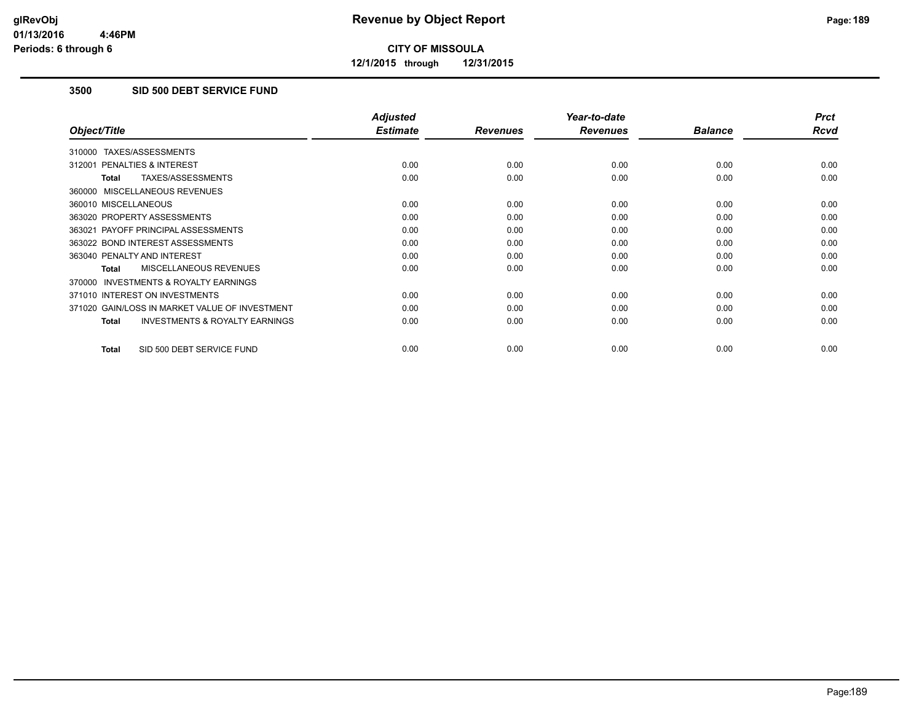**12/1/2015 through 12/31/2015**

### **3500 SID 500 DEBT SERVICE FUND**

|                                                           | <b>Adjusted</b> |                 | Year-to-date    |                | <b>Prct</b> |
|-----------------------------------------------------------|-----------------|-----------------|-----------------|----------------|-------------|
| Object/Title                                              | <b>Estimate</b> | <b>Revenues</b> | <b>Revenues</b> | <b>Balance</b> | <b>Rcvd</b> |
| 310000 TAXES/ASSESSMENTS                                  |                 |                 |                 |                |             |
| 312001 PENALTIES & INTEREST                               | 0.00            | 0.00            | 0.00            | 0.00           | 0.00        |
| TAXES/ASSESSMENTS<br><b>Total</b>                         | 0.00            | 0.00            | 0.00            | 0.00           | 0.00        |
| 360000 MISCELLANEOUS REVENUES                             |                 |                 |                 |                |             |
| 360010 MISCELLANEOUS                                      | 0.00            | 0.00            | 0.00            | 0.00           | 0.00        |
| 363020 PROPERTY ASSESSMENTS                               | 0.00            | 0.00            | 0.00            | 0.00           | 0.00        |
| 363021 PAYOFF PRINCIPAL ASSESSMENTS                       | 0.00            | 0.00            | 0.00            | 0.00           | 0.00        |
| 363022 BOND INTEREST ASSESSMENTS                          | 0.00            | 0.00            | 0.00            | 0.00           | 0.00        |
| 363040 PENALTY AND INTEREST                               | 0.00            | 0.00            | 0.00            | 0.00           | 0.00        |
| <b>MISCELLANEOUS REVENUES</b><br><b>Total</b>             | 0.00            | 0.00            | 0.00            | 0.00           | 0.00        |
| <b>INVESTMENTS &amp; ROYALTY EARNINGS</b><br>370000       |                 |                 |                 |                |             |
| 371010 INTEREST ON INVESTMENTS                            | 0.00            | 0.00            | 0.00            | 0.00           | 0.00        |
| 371020 GAIN/LOSS IN MARKET VALUE OF INVESTMENT            | 0.00            | 0.00            | 0.00            | 0.00           | 0.00        |
| <b>INVESTMENTS &amp; ROYALTY EARNINGS</b><br><b>Total</b> | 0.00            | 0.00            | 0.00            | 0.00           | 0.00        |
| SID 500 DEBT SERVICE FUND<br><b>Total</b>                 | 0.00            | 0.00            | 0.00            | 0.00           | 0.00        |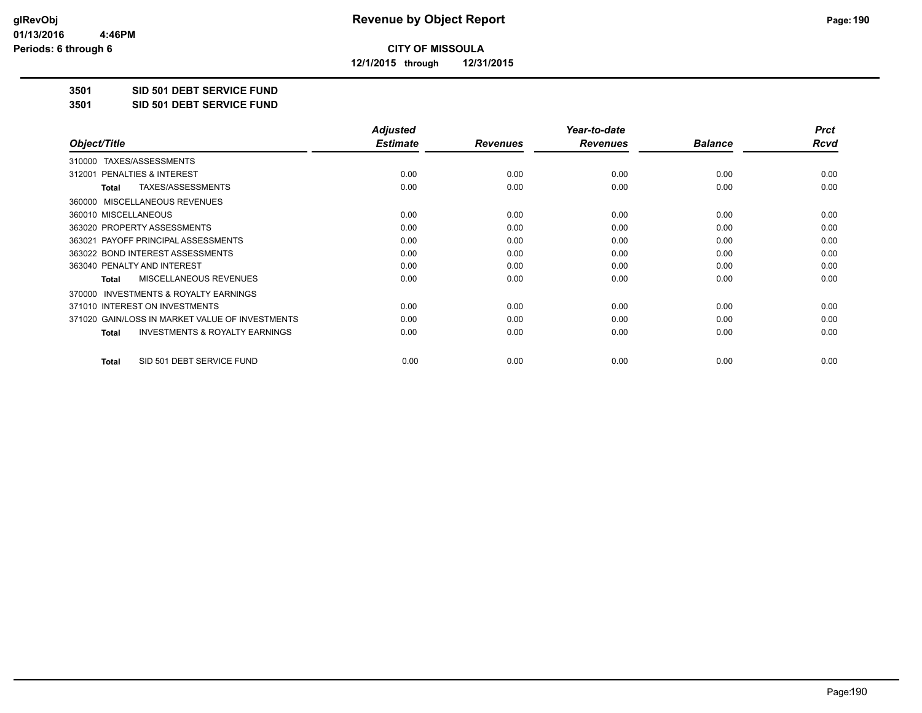**12/1/2015 through 12/31/2015**

#### **3501 SID 501 DEBT SERVICE FUND**

**3501 SID 501 DEBT SERVICE FUND**

|                                                           | <b>Adjusted</b> |                 | Year-to-date    |                | <b>Prct</b> |
|-----------------------------------------------------------|-----------------|-----------------|-----------------|----------------|-------------|
| Object/Title                                              | <b>Estimate</b> | <b>Revenues</b> | <b>Revenues</b> | <b>Balance</b> | Rcvd        |
| TAXES/ASSESSMENTS<br>310000                               |                 |                 |                 |                |             |
| 312001 PENALTIES & INTEREST                               | 0.00            | 0.00            | 0.00            | 0.00           | 0.00        |
| TAXES/ASSESSMENTS<br><b>Total</b>                         | 0.00            | 0.00            | 0.00            | 0.00           | 0.00        |
| MISCELLANEOUS REVENUES<br>360000                          |                 |                 |                 |                |             |
| 360010 MISCELLANEOUS                                      | 0.00            | 0.00            | 0.00            | 0.00           | 0.00        |
| 363020 PROPERTY ASSESSMENTS                               | 0.00            | 0.00            | 0.00            | 0.00           | 0.00        |
| 363021 PAYOFF PRINCIPAL ASSESSMENTS                       | 0.00            | 0.00            | 0.00            | 0.00           | 0.00        |
| 363022 BOND INTEREST ASSESSMENTS                          | 0.00            | 0.00            | 0.00            | 0.00           | 0.00        |
| 363040 PENALTY AND INTEREST                               | 0.00            | 0.00            | 0.00            | 0.00           | 0.00        |
| MISCELLANEOUS REVENUES<br><b>Total</b>                    | 0.00            | 0.00            | 0.00            | 0.00           | 0.00        |
| <b>INVESTMENTS &amp; ROYALTY EARNINGS</b><br>370000       |                 |                 |                 |                |             |
| 371010 INTEREST ON INVESTMENTS                            | 0.00            | 0.00            | 0.00            | 0.00           | 0.00        |
| 371020 GAIN/LOSS IN MARKET VALUE OF INVESTMENTS           | 0.00            | 0.00            | 0.00            | 0.00           | 0.00        |
| <b>INVESTMENTS &amp; ROYALTY EARNINGS</b><br><b>Total</b> | 0.00            | 0.00            | 0.00            | 0.00           | 0.00        |
| SID 501 DEBT SERVICE FUND<br><b>Total</b>                 | 0.00            | 0.00            | 0.00            | 0.00           | 0.00        |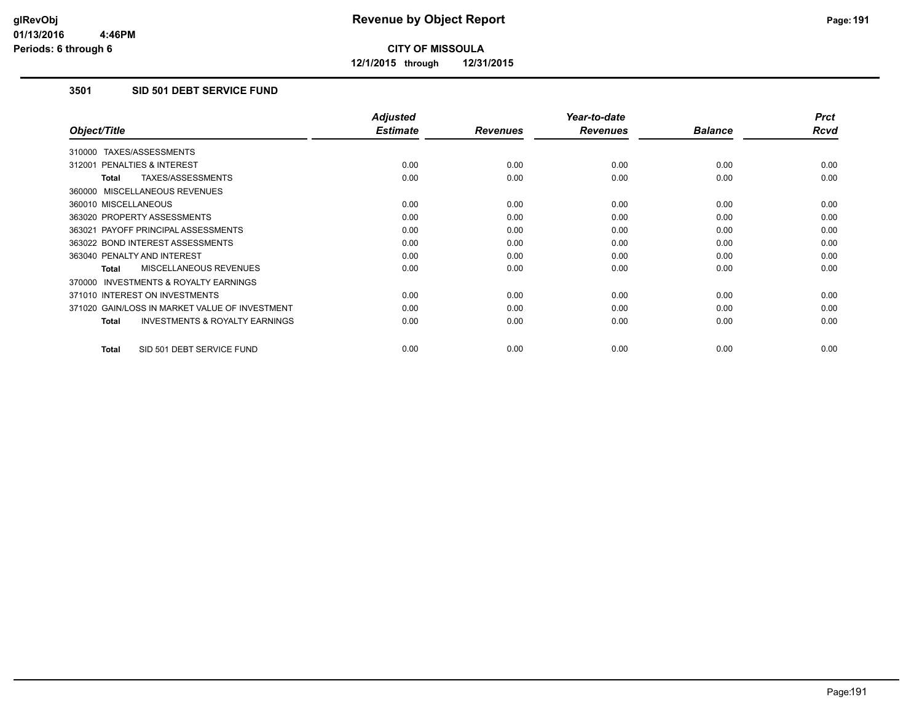**12/1/2015 through 12/31/2015**

### **3501 SID 501 DEBT SERVICE FUND**

|                                                           | <b>Adjusted</b> |                 | Year-to-date    |                | <b>Prct</b> |
|-----------------------------------------------------------|-----------------|-----------------|-----------------|----------------|-------------|
| Object/Title                                              | <b>Estimate</b> | <b>Revenues</b> | <b>Revenues</b> | <b>Balance</b> | <b>Rcvd</b> |
| 310000 TAXES/ASSESSMENTS                                  |                 |                 |                 |                |             |
| 312001 PENALTIES & INTEREST                               | 0.00            | 0.00            | 0.00            | 0.00           | 0.00        |
| TAXES/ASSESSMENTS<br><b>Total</b>                         | 0.00            | 0.00            | 0.00            | 0.00           | 0.00        |
| 360000 MISCELLANEOUS REVENUES                             |                 |                 |                 |                |             |
| 360010 MISCELLANEOUS                                      | 0.00            | 0.00            | 0.00            | 0.00           | 0.00        |
| 363020 PROPERTY ASSESSMENTS                               | 0.00            | 0.00            | 0.00            | 0.00           | 0.00        |
| 363021 PAYOFF PRINCIPAL ASSESSMENTS                       | 0.00            | 0.00            | 0.00            | 0.00           | 0.00        |
| 363022 BOND INTEREST ASSESSMENTS                          | 0.00            | 0.00            | 0.00            | 0.00           | 0.00        |
| 363040 PENALTY AND INTEREST                               | 0.00            | 0.00            | 0.00            | 0.00           | 0.00        |
| <b>MISCELLANEOUS REVENUES</b><br><b>Total</b>             | 0.00            | 0.00            | 0.00            | 0.00           | 0.00        |
| <b>INVESTMENTS &amp; ROYALTY EARNINGS</b><br>370000       |                 |                 |                 |                |             |
| 371010 INTEREST ON INVESTMENTS                            | 0.00            | 0.00            | 0.00            | 0.00           | 0.00        |
| 371020 GAIN/LOSS IN MARKET VALUE OF INVESTMENT            | 0.00            | 0.00            | 0.00            | 0.00           | 0.00        |
| <b>INVESTMENTS &amp; ROYALTY EARNINGS</b><br><b>Total</b> | 0.00            | 0.00            | 0.00            | 0.00           | 0.00        |
| SID 501 DEBT SERVICE FUND<br><b>Total</b>                 | 0.00            | 0.00            | 0.00            | 0.00           | 0.00        |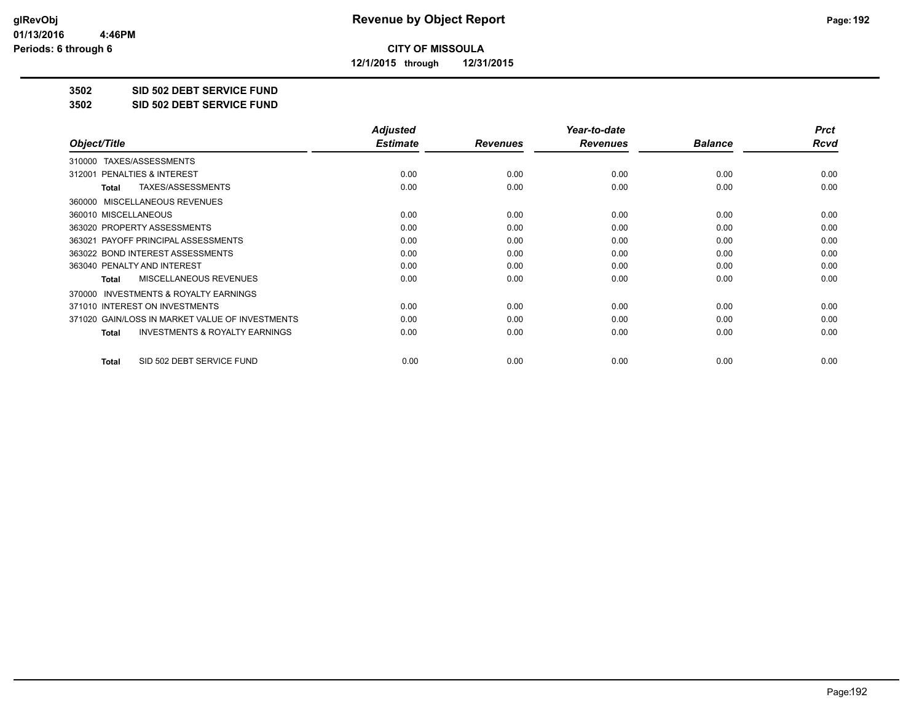**12/1/2015 through 12/31/2015**

#### **3502 SID 502 DEBT SERVICE FUND**

**3502 SID 502 DEBT SERVICE FUND**

|                                                           | <b>Adjusted</b> |                 | Year-to-date    |                | <b>Prct</b> |
|-----------------------------------------------------------|-----------------|-----------------|-----------------|----------------|-------------|
| Object/Title                                              | <b>Estimate</b> | <b>Revenues</b> | <b>Revenues</b> | <b>Balance</b> | Rcvd        |
| TAXES/ASSESSMENTS<br>310000                               |                 |                 |                 |                |             |
| 312001 PENALTIES & INTEREST                               | 0.00            | 0.00            | 0.00            | 0.00           | 0.00        |
| TAXES/ASSESSMENTS<br><b>Total</b>                         | 0.00            | 0.00            | 0.00            | 0.00           | 0.00        |
| MISCELLANEOUS REVENUES<br>360000                          |                 |                 |                 |                |             |
| 360010 MISCELLANEOUS                                      | 0.00            | 0.00            | 0.00            | 0.00           | 0.00        |
| 363020 PROPERTY ASSESSMENTS                               | 0.00            | 0.00            | 0.00            | 0.00           | 0.00        |
| 363021 PAYOFF PRINCIPAL ASSESSMENTS                       | 0.00            | 0.00            | 0.00            | 0.00           | 0.00        |
| 363022 BOND INTEREST ASSESSMENTS                          | 0.00            | 0.00            | 0.00            | 0.00           | 0.00        |
| 363040 PENALTY AND INTEREST                               | 0.00            | 0.00            | 0.00            | 0.00           | 0.00        |
| MISCELLANEOUS REVENUES<br><b>Total</b>                    | 0.00            | 0.00            | 0.00            | 0.00           | 0.00        |
| <b>INVESTMENTS &amp; ROYALTY EARNINGS</b><br>370000       |                 |                 |                 |                |             |
| 371010 INTEREST ON INVESTMENTS                            | 0.00            | 0.00            | 0.00            | 0.00           | 0.00        |
| 371020 GAIN/LOSS IN MARKET VALUE OF INVESTMENTS           | 0.00            | 0.00            | 0.00            | 0.00           | 0.00        |
| <b>INVESTMENTS &amp; ROYALTY EARNINGS</b><br><b>Total</b> | 0.00            | 0.00            | 0.00            | 0.00           | 0.00        |
| SID 502 DEBT SERVICE FUND<br><b>Total</b>                 | 0.00            | 0.00            | 0.00            | 0.00           | 0.00        |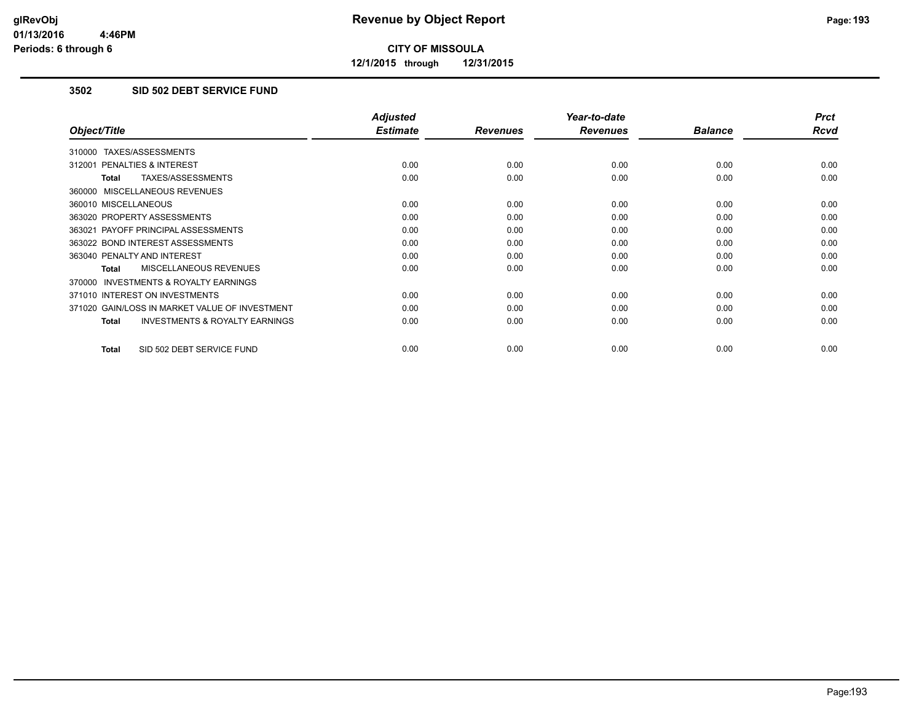**12/1/2015 through 12/31/2015**

### **3502 SID 502 DEBT SERVICE FUND**

|                                                     | <b>Adjusted</b> |                 | Year-to-date    |                | <b>Prct</b> |
|-----------------------------------------------------|-----------------|-----------------|-----------------|----------------|-------------|
| Object/Title                                        | <b>Estimate</b> | <b>Revenues</b> | <b>Revenues</b> | <b>Balance</b> | Rcvd        |
| 310000 TAXES/ASSESSMENTS                            |                 |                 |                 |                |             |
| 312001 PENALTIES & INTEREST                         | 0.00            | 0.00            | 0.00            | 0.00           | 0.00        |
| TAXES/ASSESSMENTS<br><b>Total</b>                   | 0.00            | 0.00            | 0.00            | 0.00           | 0.00        |
| 360000 MISCELLANEOUS REVENUES                       |                 |                 |                 |                |             |
| 360010 MISCELLANEOUS                                | 0.00            | 0.00            | 0.00            | 0.00           | 0.00        |
| 363020 PROPERTY ASSESSMENTS                         | 0.00            | 0.00            | 0.00            | 0.00           | 0.00        |
| 363021 PAYOFF PRINCIPAL ASSESSMENTS                 | 0.00            | 0.00            | 0.00            | 0.00           | 0.00        |
| 363022 BOND INTEREST ASSESSMENTS                    | 0.00            | 0.00            | 0.00            | 0.00           | 0.00        |
| 363040 PENALTY AND INTEREST                         | 0.00            | 0.00            | 0.00            | 0.00           | 0.00        |
| <b>MISCELLANEOUS REVENUES</b><br>Total              | 0.00            | 0.00            | 0.00            | 0.00           | 0.00        |
| <b>INVESTMENTS &amp; ROYALTY EARNINGS</b><br>370000 |                 |                 |                 |                |             |
| 371010 INTEREST ON INVESTMENTS                      | 0.00            | 0.00            | 0.00            | 0.00           | 0.00        |
| 371020 GAIN/LOSS IN MARKET VALUE OF INVESTMENT      | 0.00            | 0.00            | 0.00            | 0.00           | 0.00        |
| <b>INVESTMENTS &amp; ROYALTY EARNINGS</b><br>Total  | 0.00            | 0.00            | 0.00            | 0.00           | 0.00        |
| SID 502 DEBT SERVICE FUND<br><b>Total</b>           | 0.00            | 0.00            | 0.00            | 0.00           | 0.00        |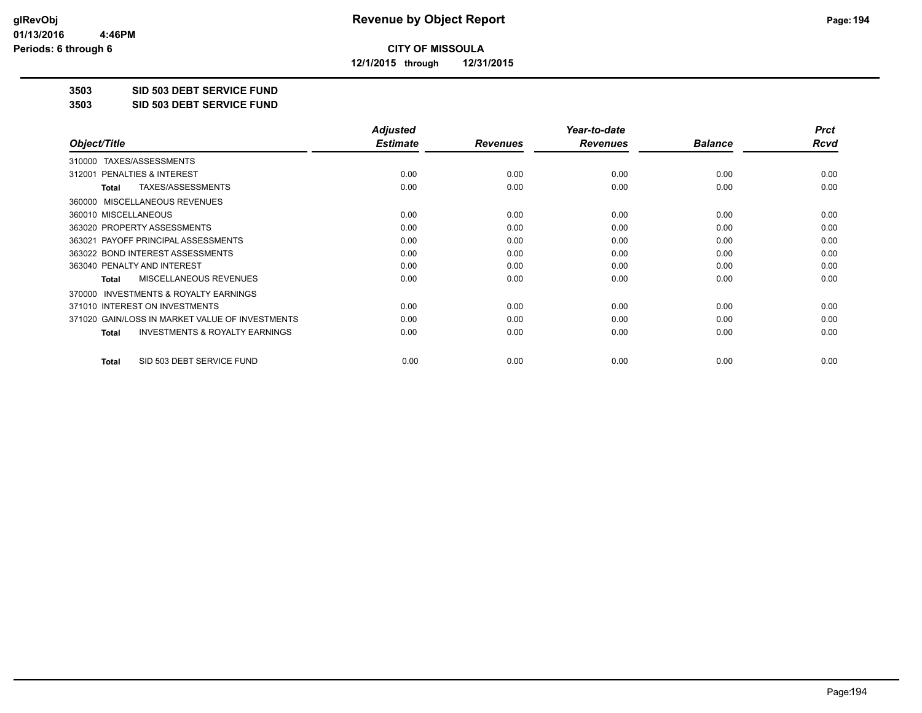**12/1/2015 through 12/31/2015**

### **3503 SID 503 DEBT SERVICE FUND**

**3503 SID 503 DEBT SERVICE FUND**

|                                                           | <b>Adjusted</b> |                 | Year-to-date    |                | <b>Prct</b> |
|-----------------------------------------------------------|-----------------|-----------------|-----------------|----------------|-------------|
| Object/Title                                              | <b>Estimate</b> | <b>Revenues</b> | <b>Revenues</b> | <b>Balance</b> | Rcvd        |
| TAXES/ASSESSMENTS<br>310000                               |                 |                 |                 |                |             |
| 312001 PENALTIES & INTEREST                               | 0.00            | 0.00            | 0.00            | 0.00           | 0.00        |
| TAXES/ASSESSMENTS<br><b>Total</b>                         | 0.00            | 0.00            | 0.00            | 0.00           | 0.00        |
| MISCELLANEOUS REVENUES<br>360000                          |                 |                 |                 |                |             |
| 360010 MISCELLANEOUS                                      | 0.00            | 0.00            | 0.00            | 0.00           | 0.00        |
| 363020 PROPERTY ASSESSMENTS                               | 0.00            | 0.00            | 0.00            | 0.00           | 0.00        |
| 363021 PAYOFF PRINCIPAL ASSESSMENTS                       | 0.00            | 0.00            | 0.00            | 0.00           | 0.00        |
| 363022 BOND INTEREST ASSESSMENTS                          | 0.00            | 0.00            | 0.00            | 0.00           | 0.00        |
| 363040 PENALTY AND INTEREST                               | 0.00            | 0.00            | 0.00            | 0.00           | 0.00        |
| MISCELLANEOUS REVENUES<br><b>Total</b>                    | 0.00            | 0.00            | 0.00            | 0.00           | 0.00        |
| 370000 INVESTMENTS & ROYALTY EARNINGS                     |                 |                 |                 |                |             |
| 371010 INTEREST ON INVESTMENTS                            | 0.00            | 0.00            | 0.00            | 0.00           | 0.00        |
| 371020 GAIN/LOSS IN MARKET VALUE OF INVESTMENTS           | 0.00            | 0.00            | 0.00            | 0.00           | 0.00        |
| <b>INVESTMENTS &amp; ROYALTY EARNINGS</b><br><b>Total</b> | 0.00            | 0.00            | 0.00            | 0.00           | 0.00        |
| SID 503 DEBT SERVICE FUND<br><b>Total</b>                 | 0.00            | 0.00            | 0.00            | 0.00           | 0.00        |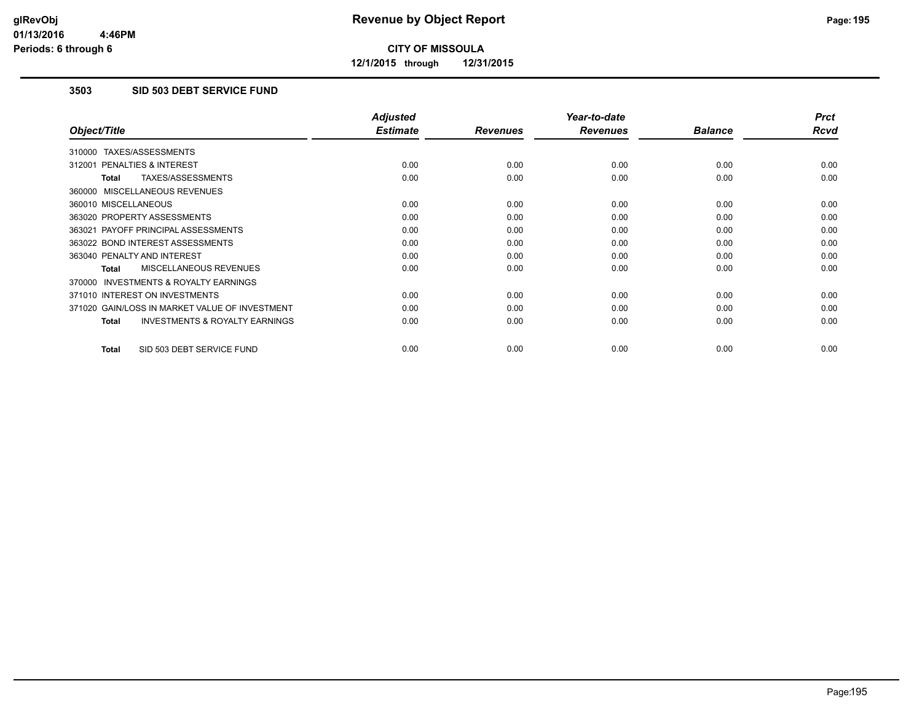**12/1/2015 through 12/31/2015**

### **3503 SID 503 DEBT SERVICE FUND**

|                                                     | <b>Adjusted</b> |                 | Year-to-date    |                | <b>Prct</b> |
|-----------------------------------------------------|-----------------|-----------------|-----------------|----------------|-------------|
| Object/Title                                        | <b>Estimate</b> | <b>Revenues</b> | <b>Revenues</b> | <b>Balance</b> | <b>Rcvd</b> |
| 310000 TAXES/ASSESSMENTS                            |                 |                 |                 |                |             |
| 312001 PENALTIES & INTEREST                         | 0.00            | 0.00            | 0.00            | 0.00           | 0.00        |
| TAXES/ASSESSMENTS<br><b>Total</b>                   | 0.00            | 0.00            | 0.00            | 0.00           | 0.00        |
| 360000 MISCELLANEOUS REVENUES                       |                 |                 |                 |                |             |
| 360010 MISCELLANEOUS                                | 0.00            | 0.00            | 0.00            | 0.00           | 0.00        |
| 363020 PROPERTY ASSESSMENTS                         | 0.00            | 0.00            | 0.00            | 0.00           | 0.00        |
| 363021 PAYOFF PRINCIPAL ASSESSMENTS                 | 0.00            | 0.00            | 0.00            | 0.00           | 0.00        |
| 363022 BOND INTEREST ASSESSMENTS                    | 0.00            | 0.00            | 0.00            | 0.00           | 0.00        |
| 363040 PENALTY AND INTEREST                         | 0.00            | 0.00            | 0.00            | 0.00           | 0.00        |
| <b>MISCELLANEOUS REVENUES</b><br>Total              | 0.00            | 0.00            | 0.00            | 0.00           | 0.00        |
| <b>INVESTMENTS &amp; ROYALTY EARNINGS</b><br>370000 |                 |                 |                 |                |             |
| 371010 INTEREST ON INVESTMENTS                      | 0.00            | 0.00            | 0.00            | 0.00           | 0.00        |
| 371020 GAIN/LOSS IN MARKET VALUE OF INVESTMENT      | 0.00            | 0.00            | 0.00            | 0.00           | 0.00        |
| <b>INVESTMENTS &amp; ROYALTY EARNINGS</b><br>Total  | 0.00            | 0.00            | 0.00            | 0.00           | 0.00        |
| SID 503 DEBT SERVICE FUND<br><b>Total</b>           | 0.00            | 0.00            | 0.00            | 0.00           | 0.00        |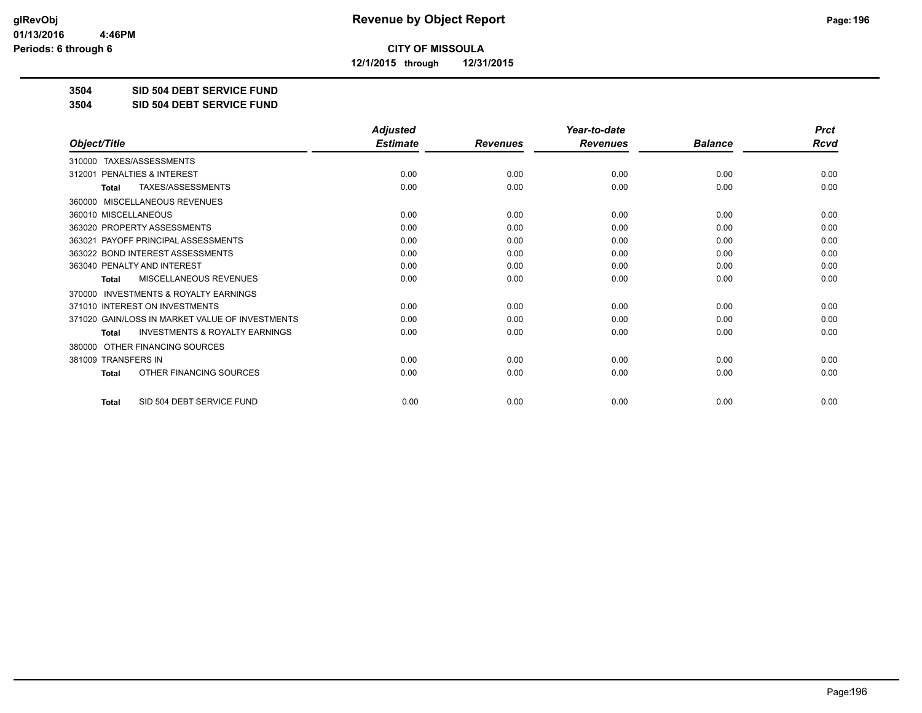**12/1/2015 through 12/31/2015**

### **3504 SID 504 DEBT SERVICE FUND**

**3504 SID 504 DEBT SERVICE FUND**

|                                                     | <b>Adjusted</b> |                 | Year-to-date    |                | <b>Prct</b> |
|-----------------------------------------------------|-----------------|-----------------|-----------------|----------------|-------------|
| Object/Title                                        | <b>Estimate</b> | <b>Revenues</b> | <b>Revenues</b> | <b>Balance</b> | <b>Rcvd</b> |
| 310000 TAXES/ASSESSMENTS                            |                 |                 |                 |                |             |
| <b>PENALTIES &amp; INTEREST</b><br>312001           | 0.00            | 0.00            | 0.00            | 0.00           | 0.00        |
| TAXES/ASSESSMENTS<br><b>Total</b>                   | 0.00            | 0.00            | 0.00            | 0.00           | 0.00        |
| MISCELLANEOUS REVENUES<br>360000                    |                 |                 |                 |                |             |
| 360010 MISCELLANEOUS                                | 0.00            | 0.00            | 0.00            | 0.00           | 0.00        |
| 363020 PROPERTY ASSESSMENTS                         | 0.00            | 0.00            | 0.00            | 0.00           | 0.00        |
| 363021 PAYOFF PRINCIPAL ASSESSMENTS                 | 0.00            | 0.00            | 0.00            | 0.00           | 0.00        |
| 363022 BOND INTEREST ASSESSMENTS                    | 0.00            | 0.00            | 0.00            | 0.00           | 0.00        |
| 363040 PENALTY AND INTEREST                         | 0.00            | 0.00            | 0.00            | 0.00           | 0.00        |
| MISCELLANEOUS REVENUES<br><b>Total</b>              | 0.00            | 0.00            | 0.00            | 0.00           | 0.00        |
| <b>INVESTMENTS &amp; ROYALTY EARNINGS</b><br>370000 |                 |                 |                 |                |             |
| 371010 INTEREST ON INVESTMENTS                      | 0.00            | 0.00            | 0.00            | 0.00           | 0.00        |
| 371020 GAIN/LOSS IN MARKET VALUE OF INVESTMENTS     | 0.00            | 0.00            | 0.00            | 0.00           | 0.00        |
| <b>INVESTMENTS &amp; ROYALTY EARNINGS</b><br>Total  | 0.00            | 0.00            | 0.00            | 0.00           | 0.00        |
| OTHER FINANCING SOURCES<br>380000                   |                 |                 |                 |                |             |
| 381009 TRANSFERS IN                                 | 0.00            | 0.00            | 0.00            | 0.00           | 0.00        |
| OTHER FINANCING SOURCES<br>Total                    | 0.00            | 0.00            | 0.00            | 0.00           | 0.00        |
| SID 504 DEBT SERVICE FUND<br><b>Total</b>           | 0.00            | 0.00            | 0.00            | 0.00           | 0.00        |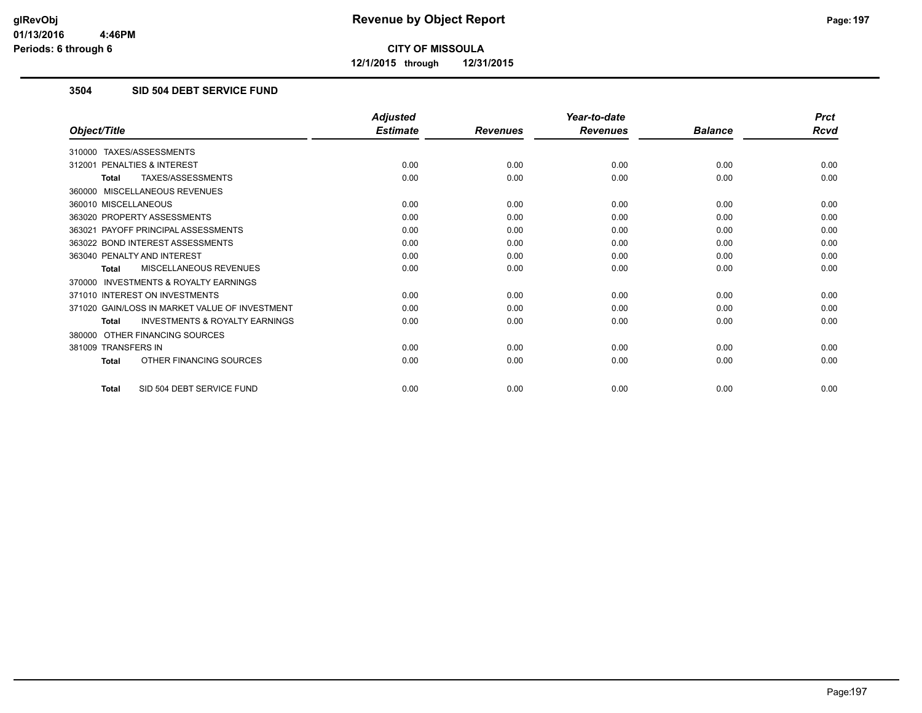**12/1/2015 through 12/31/2015**

### **3504 SID 504 DEBT SERVICE FUND**

|                                                           | <b>Adjusted</b> |                 | Year-to-date    |                | <b>Prct</b> |
|-----------------------------------------------------------|-----------------|-----------------|-----------------|----------------|-------------|
| Object/Title                                              | <b>Estimate</b> | <b>Revenues</b> | <b>Revenues</b> | <b>Balance</b> | <b>Rcvd</b> |
| 310000 TAXES/ASSESSMENTS                                  |                 |                 |                 |                |             |
| PENALTIES & INTEREST<br>312001                            | 0.00            | 0.00            | 0.00            | 0.00           | 0.00        |
| TAXES/ASSESSMENTS<br><b>Total</b>                         | 0.00            | 0.00            | 0.00            | 0.00           | 0.00        |
| 360000 MISCELLANEOUS REVENUES                             |                 |                 |                 |                |             |
| 360010 MISCELLANEOUS                                      | 0.00            | 0.00            | 0.00            | 0.00           | 0.00        |
| 363020 PROPERTY ASSESSMENTS                               | 0.00            | 0.00            | 0.00            | 0.00           | 0.00        |
| 363021 PAYOFF PRINCIPAL ASSESSMENTS                       | 0.00            | 0.00            | 0.00            | 0.00           | 0.00        |
| 363022 BOND INTEREST ASSESSMENTS                          | 0.00            | 0.00            | 0.00            | 0.00           | 0.00        |
| 363040 PENALTY AND INTEREST                               | 0.00            | 0.00            | 0.00            | 0.00           | 0.00        |
| MISCELLANEOUS REVENUES<br><b>Total</b>                    | 0.00            | 0.00            | 0.00            | 0.00           | 0.00        |
| <b>INVESTMENTS &amp; ROYALTY EARNINGS</b><br>370000       |                 |                 |                 |                |             |
| 371010 INTEREST ON INVESTMENTS                            | 0.00            | 0.00            | 0.00            | 0.00           | 0.00        |
| 371020 GAIN/LOSS IN MARKET VALUE OF INVESTMENT            | 0.00            | 0.00            | 0.00            | 0.00           | 0.00        |
| <b>INVESTMENTS &amp; ROYALTY EARNINGS</b><br><b>Total</b> | 0.00            | 0.00            | 0.00            | 0.00           | 0.00        |
| OTHER FINANCING SOURCES<br>380000                         |                 |                 |                 |                |             |
| 381009 TRANSFERS IN                                       | 0.00            | 0.00            | 0.00            | 0.00           | 0.00        |
| OTHER FINANCING SOURCES<br><b>Total</b>                   | 0.00            | 0.00            | 0.00            | 0.00           | 0.00        |
| SID 504 DEBT SERVICE FUND<br><b>Total</b>                 | 0.00            | 0.00            | 0.00            | 0.00           | 0.00        |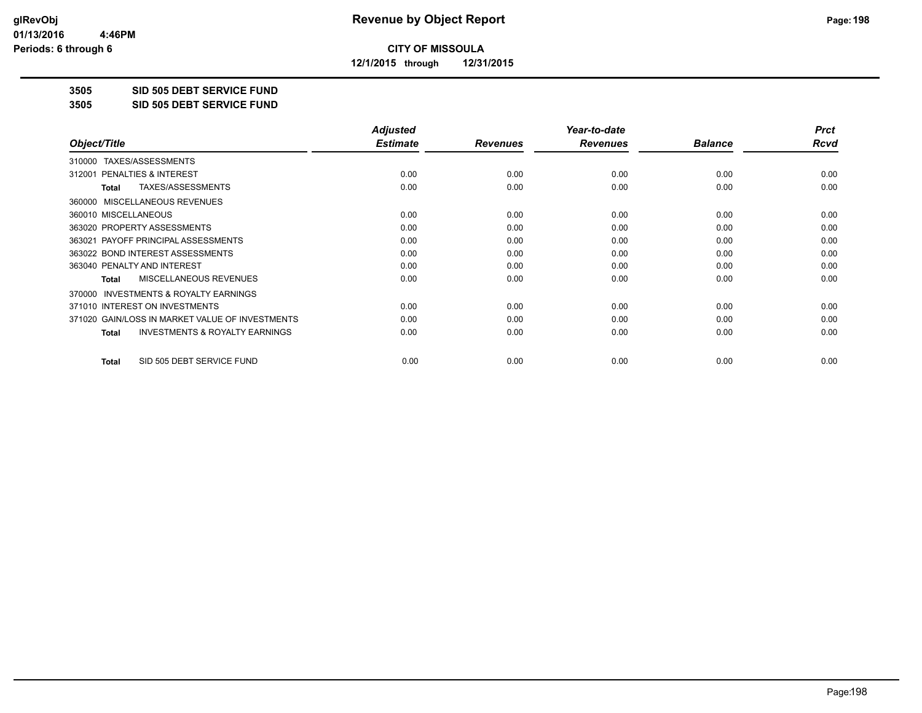**12/1/2015 through 12/31/2015**

**3505 SID 505 DEBT SERVICE FUND**

**3505 SID 505 DEBT SERVICE FUND**

|                                                           | <b>Adjusted</b> |                 | Year-to-date    |                | <b>Prct</b> |
|-----------------------------------------------------------|-----------------|-----------------|-----------------|----------------|-------------|
| Object/Title                                              | <b>Estimate</b> | <b>Revenues</b> | <b>Revenues</b> | <b>Balance</b> | Rcvd        |
| TAXES/ASSESSMENTS<br>310000                               |                 |                 |                 |                |             |
| 312001 PENALTIES & INTEREST                               | 0.00            | 0.00            | 0.00            | 0.00           | 0.00        |
| TAXES/ASSESSMENTS<br>Total                                | 0.00            | 0.00            | 0.00            | 0.00           | 0.00        |
| MISCELLANEOUS REVENUES<br>360000                          |                 |                 |                 |                |             |
| 360010 MISCELLANEOUS                                      | 0.00            | 0.00            | 0.00            | 0.00           | 0.00        |
| 363020 PROPERTY ASSESSMENTS                               | 0.00            | 0.00            | 0.00            | 0.00           | 0.00        |
| 363021 PAYOFF PRINCIPAL ASSESSMENTS                       | 0.00            | 0.00            | 0.00            | 0.00           | 0.00        |
| 363022 BOND INTEREST ASSESSMENTS                          | 0.00            | 0.00            | 0.00            | 0.00           | 0.00        |
| 363040 PENALTY AND INTEREST                               | 0.00            | 0.00            | 0.00            | 0.00           | 0.00        |
| MISCELLANEOUS REVENUES<br><b>Total</b>                    | 0.00            | 0.00            | 0.00            | 0.00           | 0.00        |
| <b>INVESTMENTS &amp; ROYALTY EARNINGS</b><br>370000       |                 |                 |                 |                |             |
| 371010 INTEREST ON INVESTMENTS                            | 0.00            | 0.00            | 0.00            | 0.00           | 0.00        |
| 371020 GAIN/LOSS IN MARKET VALUE OF INVESTMENTS           | 0.00            | 0.00            | 0.00            | 0.00           | 0.00        |
| <b>INVESTMENTS &amp; ROYALTY EARNINGS</b><br><b>Total</b> | 0.00            | 0.00            | 0.00            | 0.00           | 0.00        |
| SID 505 DEBT SERVICE FUND<br><b>Total</b>                 | 0.00            | 0.00            | 0.00            | 0.00           | 0.00        |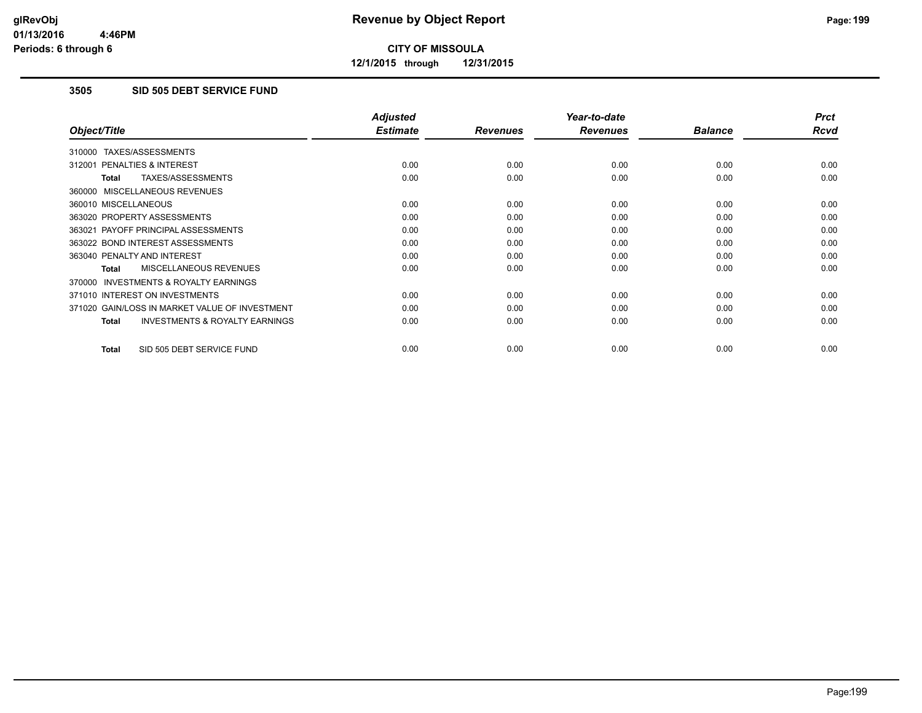**12/1/2015 through 12/31/2015**

### **3505 SID 505 DEBT SERVICE FUND**

|                                                     | <b>Adjusted</b> |                 | Year-to-date    |                | <b>Prct</b> |
|-----------------------------------------------------|-----------------|-----------------|-----------------|----------------|-------------|
| Object/Title                                        | <b>Estimate</b> | <b>Revenues</b> | <b>Revenues</b> | <b>Balance</b> | <b>Rcvd</b> |
| 310000 TAXES/ASSESSMENTS                            |                 |                 |                 |                |             |
| 312001 PENALTIES & INTEREST                         | 0.00            | 0.00            | 0.00            | 0.00           | 0.00        |
| TAXES/ASSESSMENTS<br><b>Total</b>                   | 0.00            | 0.00            | 0.00            | 0.00           | 0.00        |
| 360000 MISCELLANEOUS REVENUES                       |                 |                 |                 |                |             |
| 360010 MISCELLANEOUS                                | 0.00            | 0.00            | 0.00            | 0.00           | 0.00        |
| 363020 PROPERTY ASSESSMENTS                         | 0.00            | 0.00            | 0.00            | 0.00           | 0.00        |
| 363021 PAYOFF PRINCIPAL ASSESSMENTS                 | 0.00            | 0.00            | 0.00            | 0.00           | 0.00        |
| 363022 BOND INTEREST ASSESSMENTS                    | 0.00            | 0.00            | 0.00            | 0.00           | 0.00        |
| 363040 PENALTY AND INTEREST                         | 0.00            | 0.00            | 0.00            | 0.00           | 0.00        |
| <b>MISCELLANEOUS REVENUES</b><br>Total              | 0.00            | 0.00            | 0.00            | 0.00           | 0.00        |
| <b>INVESTMENTS &amp; ROYALTY EARNINGS</b><br>370000 |                 |                 |                 |                |             |
| 371010 INTEREST ON INVESTMENTS                      | 0.00            | 0.00            | 0.00            | 0.00           | 0.00        |
| 371020 GAIN/LOSS IN MARKET VALUE OF INVESTMENT      | 0.00            | 0.00            | 0.00            | 0.00           | 0.00        |
| <b>INVESTMENTS &amp; ROYALTY EARNINGS</b><br>Total  | 0.00            | 0.00            | 0.00            | 0.00           | 0.00        |
| SID 505 DEBT SERVICE FUND<br><b>Total</b>           | 0.00            | 0.00            | 0.00            | 0.00           | 0.00        |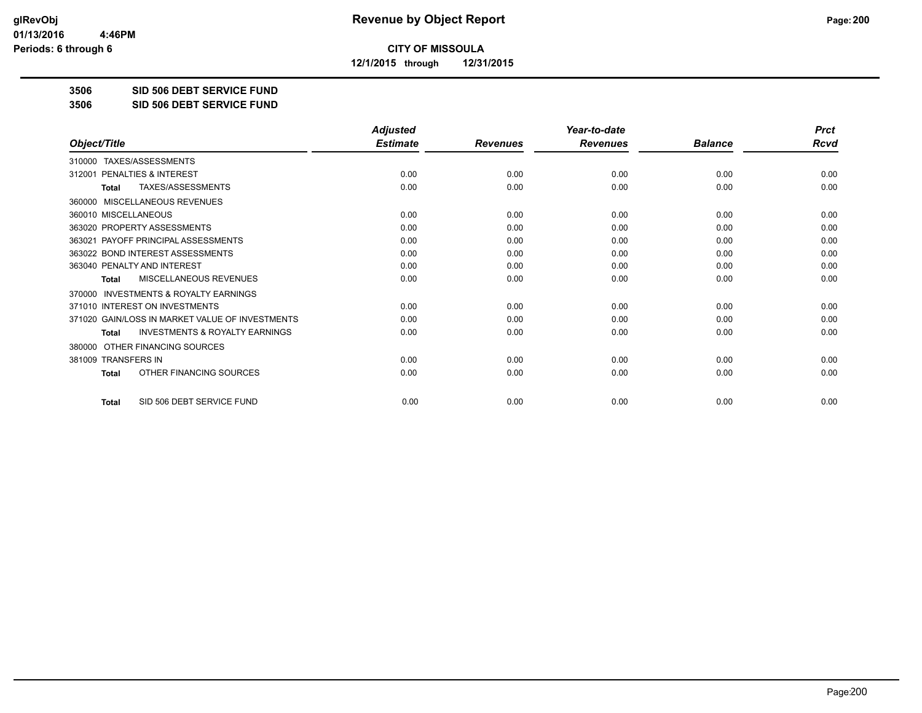**12/1/2015 through 12/31/2015**

**3506 SID 506 DEBT SERVICE FUND**

**3506 SID 506 DEBT SERVICE FUND**

|                                                     | <b>Adjusted</b> |                 | Year-to-date    |                | <b>Prct</b> |
|-----------------------------------------------------|-----------------|-----------------|-----------------|----------------|-------------|
| Object/Title                                        | <b>Estimate</b> | <b>Revenues</b> | <b>Revenues</b> | <b>Balance</b> | <b>Rcvd</b> |
| 310000 TAXES/ASSESSMENTS                            |                 |                 |                 |                |             |
| PENALTIES & INTEREST<br>312001                      | 0.00            | 0.00            | 0.00            | 0.00           | 0.00        |
| TAXES/ASSESSMENTS<br><b>Total</b>                   | 0.00            | 0.00            | 0.00            | 0.00           | 0.00        |
| MISCELLANEOUS REVENUES<br>360000                    |                 |                 |                 |                |             |
| 360010 MISCELLANEOUS                                | 0.00            | 0.00            | 0.00            | 0.00           | 0.00        |
| 363020 PROPERTY ASSESSMENTS                         | 0.00            | 0.00            | 0.00            | 0.00           | 0.00        |
| 363021 PAYOFF PRINCIPAL ASSESSMENTS                 | 0.00            | 0.00            | 0.00            | 0.00           | 0.00        |
| 363022 BOND INTEREST ASSESSMENTS                    | 0.00            | 0.00            | 0.00            | 0.00           | 0.00        |
| 363040 PENALTY AND INTEREST                         | 0.00            | 0.00            | 0.00            | 0.00           | 0.00        |
| MISCELLANEOUS REVENUES<br><b>Total</b>              | 0.00            | 0.00            | 0.00            | 0.00           | 0.00        |
| <b>INVESTMENTS &amp; ROYALTY EARNINGS</b><br>370000 |                 |                 |                 |                |             |
| 371010 INTEREST ON INVESTMENTS                      | 0.00            | 0.00            | 0.00            | 0.00           | 0.00        |
| 371020 GAIN/LOSS IN MARKET VALUE OF INVESTMENTS     | 0.00            | 0.00            | 0.00            | 0.00           | 0.00        |
| <b>INVESTMENTS &amp; ROYALTY EARNINGS</b><br>Total  | 0.00            | 0.00            | 0.00            | 0.00           | 0.00        |
| OTHER FINANCING SOURCES<br>380000                   |                 |                 |                 |                |             |
| 381009 TRANSFERS IN                                 | 0.00            | 0.00            | 0.00            | 0.00           | 0.00        |
| OTHER FINANCING SOURCES<br>Total                    | 0.00            | 0.00            | 0.00            | 0.00           | 0.00        |
| SID 506 DEBT SERVICE FUND<br><b>Total</b>           | 0.00            | 0.00            | 0.00            | 0.00           | 0.00        |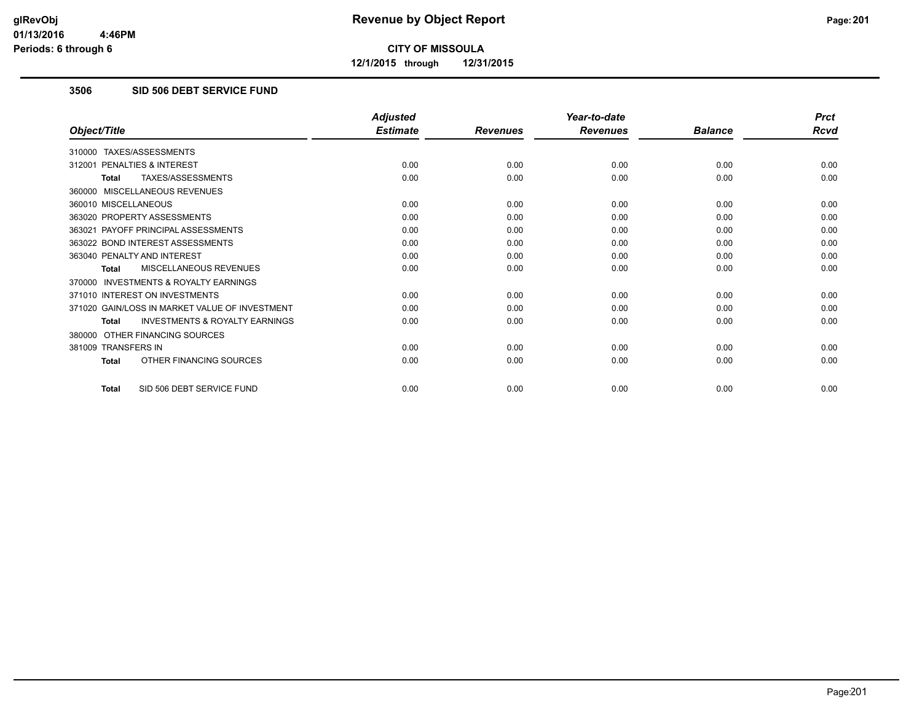**12/1/2015 through 12/31/2015**

### **3506 SID 506 DEBT SERVICE FUND**

|                                                           | <b>Adjusted</b> |                 | Year-to-date    |                | <b>Prct</b> |
|-----------------------------------------------------------|-----------------|-----------------|-----------------|----------------|-------------|
| Object/Title                                              | <b>Estimate</b> | <b>Revenues</b> | <b>Revenues</b> | <b>Balance</b> | <b>Rcvd</b> |
| 310000 TAXES/ASSESSMENTS                                  |                 |                 |                 |                |             |
| PENALTIES & INTEREST<br>312001                            | 0.00            | 0.00            | 0.00            | 0.00           | 0.00        |
| TAXES/ASSESSMENTS<br><b>Total</b>                         | 0.00            | 0.00            | 0.00            | 0.00           | 0.00        |
| 360000 MISCELLANEOUS REVENUES                             |                 |                 |                 |                |             |
| 360010 MISCELLANEOUS                                      | 0.00            | 0.00            | 0.00            | 0.00           | 0.00        |
| 363020 PROPERTY ASSESSMENTS                               | 0.00            | 0.00            | 0.00            | 0.00           | 0.00        |
| 363021 PAYOFF PRINCIPAL ASSESSMENTS                       | 0.00            | 0.00            | 0.00            | 0.00           | 0.00        |
| 363022 BOND INTEREST ASSESSMENTS                          | 0.00            | 0.00            | 0.00            | 0.00           | 0.00        |
| 363040 PENALTY AND INTEREST                               | 0.00            | 0.00            | 0.00            | 0.00           | 0.00        |
| MISCELLANEOUS REVENUES<br><b>Total</b>                    | 0.00            | 0.00            | 0.00            | 0.00           | 0.00        |
| <b>INVESTMENTS &amp; ROYALTY EARNINGS</b><br>370000       |                 |                 |                 |                |             |
| 371010 INTEREST ON INVESTMENTS                            | 0.00            | 0.00            | 0.00            | 0.00           | 0.00        |
| 371020 GAIN/LOSS IN MARKET VALUE OF INVESTMENT            | 0.00            | 0.00            | 0.00            | 0.00           | 0.00        |
| <b>INVESTMENTS &amp; ROYALTY EARNINGS</b><br><b>Total</b> | 0.00            | 0.00            | 0.00            | 0.00           | 0.00        |
| 380000 OTHER FINANCING SOURCES                            |                 |                 |                 |                |             |
| 381009 TRANSFERS IN                                       | 0.00            | 0.00            | 0.00            | 0.00           | 0.00        |
| OTHER FINANCING SOURCES<br><b>Total</b>                   | 0.00            | 0.00            | 0.00            | 0.00           | 0.00        |
| SID 506 DEBT SERVICE FUND<br><b>Total</b>                 | 0.00            | 0.00            | 0.00            | 0.00           | 0.00        |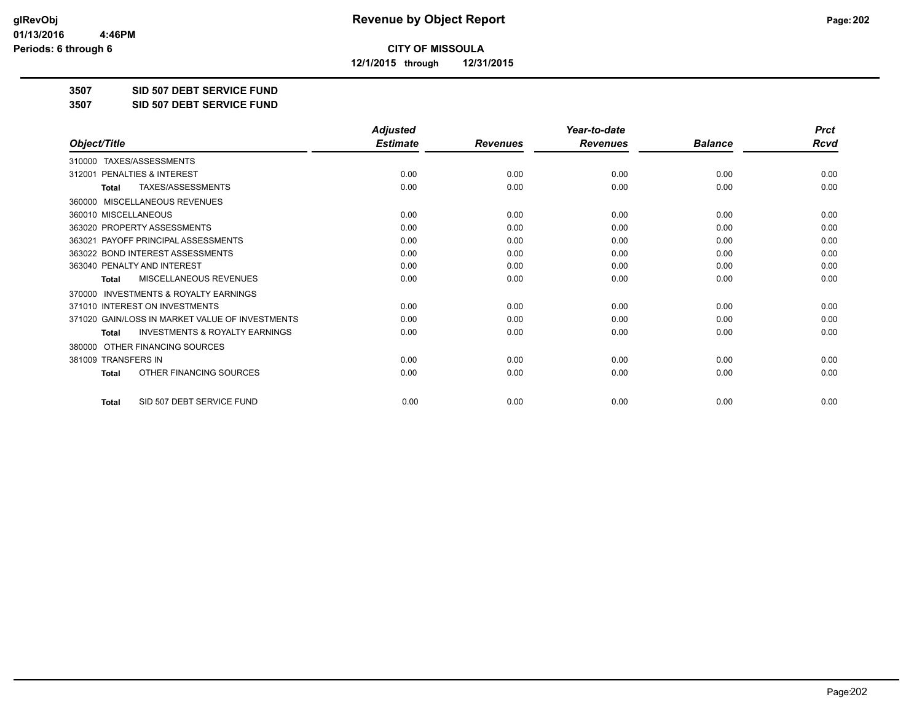**12/1/2015 through 12/31/2015**

**3507 SID 507 DEBT SERVICE FUND**

**3507 SID 507 DEBT SERVICE FUND**

|                                                           | <b>Adjusted</b> |                 | Year-to-date    |                | <b>Prct</b> |
|-----------------------------------------------------------|-----------------|-----------------|-----------------|----------------|-------------|
| Object/Title                                              | <b>Estimate</b> | <b>Revenues</b> | <b>Revenues</b> | <b>Balance</b> | <b>Rcvd</b> |
| 310000 TAXES/ASSESSMENTS                                  |                 |                 |                 |                |             |
| 312001 PENALTIES & INTEREST                               | 0.00            | 0.00            | 0.00            | 0.00           | 0.00        |
| TAXES/ASSESSMENTS<br><b>Total</b>                         | 0.00            | 0.00            | 0.00            | 0.00           | 0.00        |
| MISCELLANEOUS REVENUES<br>360000                          |                 |                 |                 |                |             |
| 360010 MISCELLANEOUS                                      | 0.00            | 0.00            | 0.00            | 0.00           | 0.00        |
| 363020 PROPERTY ASSESSMENTS                               | 0.00            | 0.00            | 0.00            | 0.00           | 0.00        |
| 363021 PAYOFF PRINCIPAL ASSESSMENTS                       | 0.00            | 0.00            | 0.00            | 0.00           | 0.00        |
| 363022 BOND INTEREST ASSESSMENTS                          | 0.00            | 0.00            | 0.00            | 0.00           | 0.00        |
| 363040 PENALTY AND INTEREST                               | 0.00            | 0.00            | 0.00            | 0.00           | 0.00        |
| MISCELLANEOUS REVENUES<br><b>Total</b>                    | 0.00            | 0.00            | 0.00            | 0.00           | 0.00        |
| <b>INVESTMENTS &amp; ROYALTY EARNINGS</b><br>370000       |                 |                 |                 |                |             |
| 371010 INTEREST ON INVESTMENTS                            | 0.00            | 0.00            | 0.00            | 0.00           | 0.00        |
| 371020 GAIN/LOSS IN MARKET VALUE OF INVESTMENTS           | 0.00            | 0.00            | 0.00            | 0.00           | 0.00        |
| <b>INVESTMENTS &amp; ROYALTY EARNINGS</b><br><b>Total</b> | 0.00            | 0.00            | 0.00            | 0.00           | 0.00        |
| OTHER FINANCING SOURCES<br>380000                         |                 |                 |                 |                |             |
| 381009 TRANSFERS IN                                       | 0.00            | 0.00            | 0.00            | 0.00           | 0.00        |
| OTHER FINANCING SOURCES<br><b>Total</b>                   | 0.00            | 0.00            | 0.00            | 0.00           | 0.00        |
| SID 507 DEBT SERVICE FUND<br><b>Total</b>                 | 0.00            | 0.00            | 0.00            | 0.00           | 0.00        |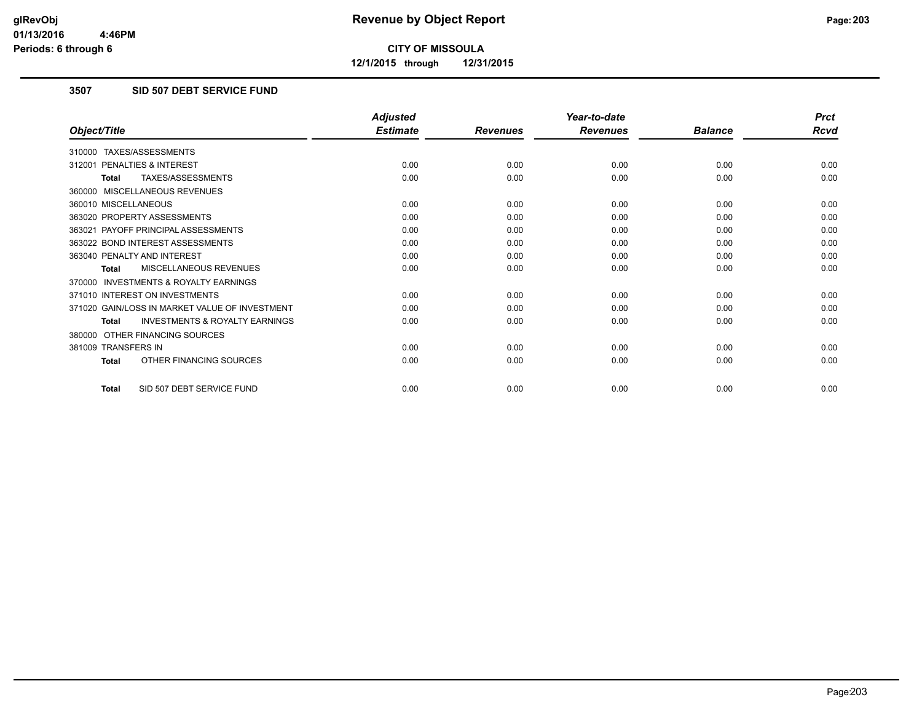**12/1/2015 through 12/31/2015**

### **3507 SID 507 DEBT SERVICE FUND**

|                                                           | <b>Adjusted</b> |                 | Year-to-date    |                | <b>Prct</b> |
|-----------------------------------------------------------|-----------------|-----------------|-----------------|----------------|-------------|
| Object/Title                                              | <b>Estimate</b> | <b>Revenues</b> | <b>Revenues</b> | <b>Balance</b> | <b>Rcvd</b> |
| 310000 TAXES/ASSESSMENTS                                  |                 |                 |                 |                |             |
| PENALTIES & INTEREST<br>312001                            | 0.00            | 0.00            | 0.00            | 0.00           | 0.00        |
| TAXES/ASSESSMENTS<br><b>Total</b>                         | 0.00            | 0.00            | 0.00            | 0.00           | 0.00        |
| 360000 MISCELLANEOUS REVENUES                             |                 |                 |                 |                |             |
| 360010 MISCELLANEOUS                                      | 0.00            | 0.00            | 0.00            | 0.00           | 0.00        |
| 363020 PROPERTY ASSESSMENTS                               | 0.00            | 0.00            | 0.00            | 0.00           | 0.00        |
| 363021 PAYOFF PRINCIPAL ASSESSMENTS                       | 0.00            | 0.00            | 0.00            | 0.00           | 0.00        |
| 363022 BOND INTEREST ASSESSMENTS                          | 0.00            | 0.00            | 0.00            | 0.00           | 0.00        |
| 363040 PENALTY AND INTEREST                               | 0.00            | 0.00            | 0.00            | 0.00           | 0.00        |
| MISCELLANEOUS REVENUES<br><b>Total</b>                    | 0.00            | 0.00            | 0.00            | 0.00           | 0.00        |
| <b>INVESTMENTS &amp; ROYALTY EARNINGS</b><br>370000       |                 |                 |                 |                |             |
| 371010 INTEREST ON INVESTMENTS                            | 0.00            | 0.00            | 0.00            | 0.00           | 0.00        |
| 371020 GAIN/LOSS IN MARKET VALUE OF INVESTMENT            | 0.00            | 0.00            | 0.00            | 0.00           | 0.00        |
| <b>INVESTMENTS &amp; ROYALTY EARNINGS</b><br><b>Total</b> | 0.00            | 0.00            | 0.00            | 0.00           | 0.00        |
| 380000 OTHER FINANCING SOURCES                            |                 |                 |                 |                |             |
| 381009 TRANSFERS IN                                       | 0.00            | 0.00            | 0.00            | 0.00           | 0.00        |
| OTHER FINANCING SOURCES<br><b>Total</b>                   | 0.00            | 0.00            | 0.00            | 0.00           | 0.00        |
| SID 507 DEBT SERVICE FUND<br><b>Total</b>                 | 0.00            | 0.00            | 0.00            | 0.00           | 0.00        |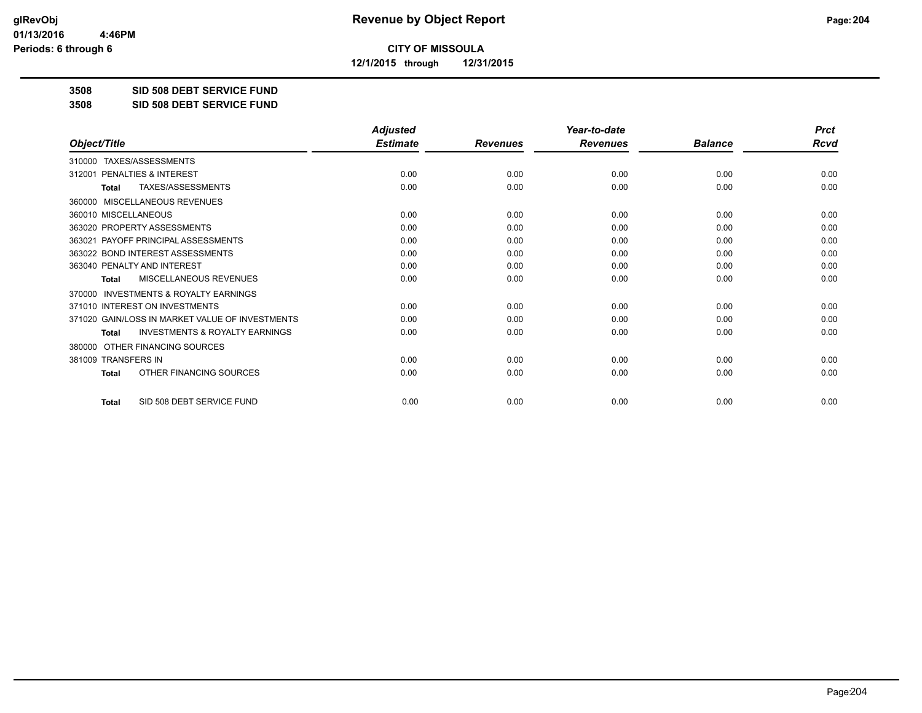**12/1/2015 through 12/31/2015**

#### **3508 SID 508 DEBT SERVICE FUND**

**3508 SID 508 DEBT SERVICE FUND**

|                                                           | <b>Adjusted</b> |                 | Year-to-date    |                | <b>Prct</b> |
|-----------------------------------------------------------|-----------------|-----------------|-----------------|----------------|-------------|
| Object/Title                                              | <b>Estimate</b> | <b>Revenues</b> | <b>Revenues</b> | <b>Balance</b> | Rcvd        |
| TAXES/ASSESSMENTS<br>310000                               |                 |                 |                 |                |             |
| PENALTIES & INTEREST<br>312001                            | 0.00            | 0.00            | 0.00            | 0.00           | 0.00        |
| TAXES/ASSESSMENTS<br><b>Total</b>                         | 0.00            | 0.00            | 0.00            | 0.00           | 0.00        |
| MISCELLANEOUS REVENUES<br>360000                          |                 |                 |                 |                |             |
| 360010 MISCELLANEOUS                                      | 0.00            | 0.00            | 0.00            | 0.00           | 0.00        |
| 363020 PROPERTY ASSESSMENTS                               | 0.00            | 0.00            | 0.00            | 0.00           | 0.00        |
| 363021 PAYOFF PRINCIPAL ASSESSMENTS                       | 0.00            | 0.00            | 0.00            | 0.00           | 0.00        |
| 363022 BOND INTEREST ASSESSMENTS                          | 0.00            | 0.00            | 0.00            | 0.00           | 0.00        |
| 363040 PENALTY AND INTEREST                               | 0.00            | 0.00            | 0.00            | 0.00           | 0.00        |
| <b>MISCELLANEOUS REVENUES</b><br><b>Total</b>             | 0.00            | 0.00            | 0.00            | 0.00           | 0.00        |
| <b>INVESTMENTS &amp; ROYALTY EARNINGS</b><br>370000       |                 |                 |                 |                |             |
| 371010 INTEREST ON INVESTMENTS                            | 0.00            | 0.00            | 0.00            | 0.00           | 0.00        |
| 371020 GAIN/LOSS IN MARKET VALUE OF INVESTMENTS           | 0.00            | 0.00            | 0.00            | 0.00           | 0.00        |
| <b>INVESTMENTS &amp; ROYALTY EARNINGS</b><br><b>Total</b> | 0.00            | 0.00            | 0.00            | 0.00           | 0.00        |
| OTHER FINANCING SOURCES<br>380000                         |                 |                 |                 |                |             |
| 381009 TRANSFERS IN                                       | 0.00            | 0.00            | 0.00            | 0.00           | 0.00        |
| OTHER FINANCING SOURCES<br><b>Total</b>                   | 0.00            | 0.00            | 0.00            | 0.00           | 0.00        |
| SID 508 DEBT SERVICE FUND<br><b>Total</b>                 | 0.00            | 0.00            | 0.00            | 0.00           | 0.00        |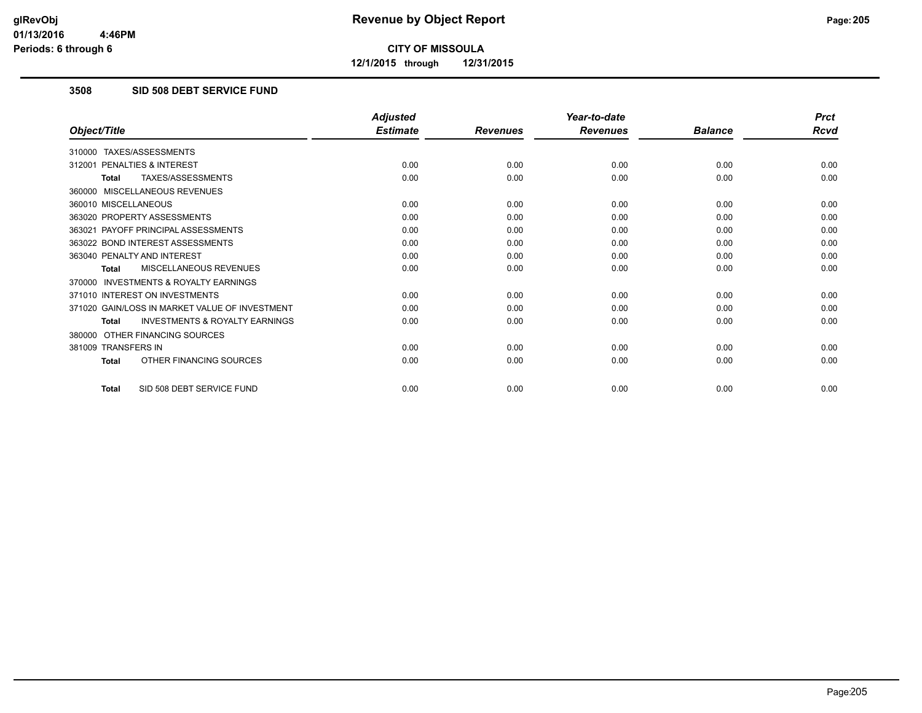**12/1/2015 through 12/31/2015**

### **3508 SID 508 DEBT SERVICE FUND**

|                                                           | <b>Adjusted</b> |                 | Year-to-date    |                | <b>Prct</b> |
|-----------------------------------------------------------|-----------------|-----------------|-----------------|----------------|-------------|
| Object/Title                                              | <b>Estimate</b> | <b>Revenues</b> | <b>Revenues</b> | <b>Balance</b> | <b>Rcvd</b> |
| 310000 TAXES/ASSESSMENTS                                  |                 |                 |                 |                |             |
| PENALTIES & INTEREST<br>312001                            | 0.00            | 0.00            | 0.00            | 0.00           | 0.00        |
| TAXES/ASSESSMENTS<br><b>Total</b>                         | 0.00            | 0.00            | 0.00            | 0.00           | 0.00        |
| 360000 MISCELLANEOUS REVENUES                             |                 |                 |                 |                |             |
| 360010 MISCELLANEOUS                                      | 0.00            | 0.00            | 0.00            | 0.00           | 0.00        |
| 363020 PROPERTY ASSESSMENTS                               | 0.00            | 0.00            | 0.00            | 0.00           | 0.00        |
| 363021 PAYOFF PRINCIPAL ASSESSMENTS                       | 0.00            | 0.00            | 0.00            | 0.00           | 0.00        |
| 363022 BOND INTEREST ASSESSMENTS                          | 0.00            | 0.00            | 0.00            | 0.00           | 0.00        |
| 363040 PENALTY AND INTEREST                               | 0.00            | 0.00            | 0.00            | 0.00           | 0.00        |
| MISCELLANEOUS REVENUES<br><b>Total</b>                    | 0.00            | 0.00            | 0.00            | 0.00           | 0.00        |
| <b>INVESTMENTS &amp; ROYALTY EARNINGS</b><br>370000       |                 |                 |                 |                |             |
| 371010 INTEREST ON INVESTMENTS                            | 0.00            | 0.00            | 0.00            | 0.00           | 0.00        |
| 371020 GAIN/LOSS IN MARKET VALUE OF INVESTMENT            | 0.00            | 0.00            | 0.00            | 0.00           | 0.00        |
| <b>INVESTMENTS &amp; ROYALTY EARNINGS</b><br><b>Total</b> | 0.00            | 0.00            | 0.00            | 0.00           | 0.00        |
| OTHER FINANCING SOURCES<br>380000                         |                 |                 |                 |                |             |
| 381009 TRANSFERS IN                                       | 0.00            | 0.00            | 0.00            | 0.00           | 0.00        |
| OTHER FINANCING SOURCES<br><b>Total</b>                   | 0.00            | 0.00            | 0.00            | 0.00           | 0.00        |
| SID 508 DEBT SERVICE FUND<br><b>Total</b>                 | 0.00            | 0.00            | 0.00            | 0.00           | 0.00        |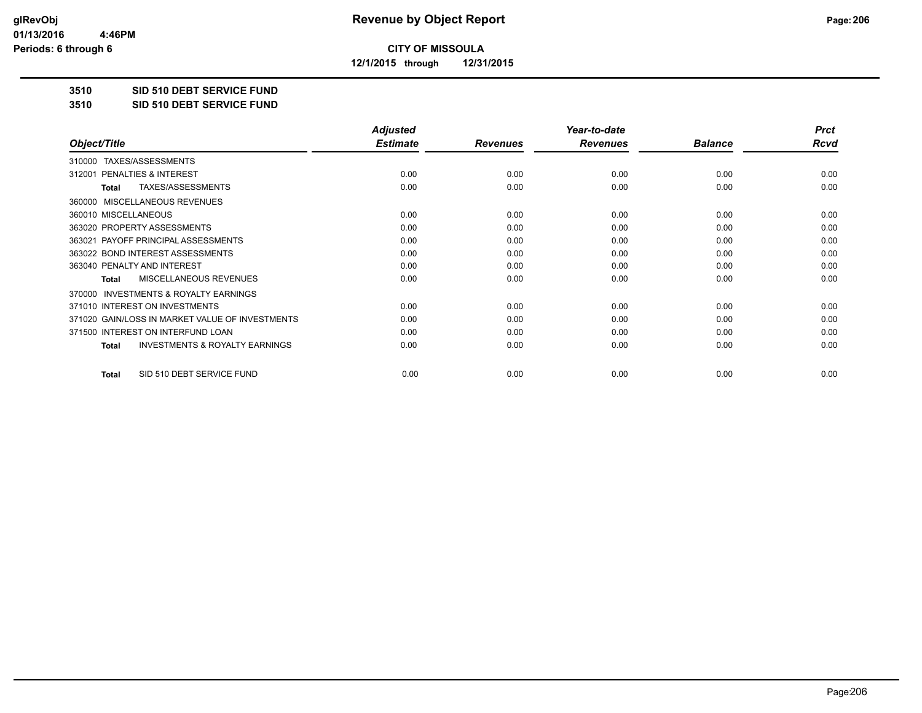**12/1/2015 through 12/31/2015**

#### **3510 SID 510 DEBT SERVICE FUND**

**3510 SID 510 DEBT SERVICE FUND**

|                                                           | <b>Adjusted</b> |                 | Year-to-date    |                | <b>Prct</b> |
|-----------------------------------------------------------|-----------------|-----------------|-----------------|----------------|-------------|
| Object/Title                                              | <b>Estimate</b> | <b>Revenues</b> | <b>Revenues</b> | <b>Balance</b> | <b>Rcvd</b> |
| TAXES/ASSESSMENTS<br>310000                               |                 |                 |                 |                |             |
| 312001 PENALTIES & INTEREST                               | 0.00            | 0.00            | 0.00            | 0.00           | 0.00        |
| TAXES/ASSESSMENTS<br><b>Total</b>                         | 0.00            | 0.00            | 0.00            | 0.00           | 0.00        |
| MISCELLANEOUS REVENUES<br>360000                          |                 |                 |                 |                |             |
| 360010 MISCELLANEOUS                                      | 0.00            | 0.00            | 0.00            | 0.00           | 0.00        |
| 363020 PROPERTY ASSESSMENTS                               | 0.00            | 0.00            | 0.00            | 0.00           | 0.00        |
| 363021 PAYOFF PRINCIPAL ASSESSMENTS                       | 0.00            | 0.00            | 0.00            | 0.00           | 0.00        |
| 363022 BOND INTEREST ASSESSMENTS                          | 0.00            | 0.00            | 0.00            | 0.00           | 0.00        |
| 363040 PENALTY AND INTEREST                               | 0.00            | 0.00            | 0.00            | 0.00           | 0.00        |
| <b>MISCELLANEOUS REVENUES</b><br>Total                    | 0.00            | 0.00            | 0.00            | 0.00           | 0.00        |
| <b>INVESTMENTS &amp; ROYALTY EARNINGS</b><br>370000       |                 |                 |                 |                |             |
| 371010 INTEREST ON INVESTMENTS                            | 0.00            | 0.00            | 0.00            | 0.00           | 0.00        |
| 371020 GAIN/LOSS IN MARKET VALUE OF INVESTMENTS           | 0.00            | 0.00            | 0.00            | 0.00           | 0.00        |
| 371500 INTEREST ON INTERFUND LOAN                         | 0.00            | 0.00            | 0.00            | 0.00           | 0.00        |
| <b>INVESTMENTS &amp; ROYALTY EARNINGS</b><br><b>Total</b> | 0.00            | 0.00            | 0.00            | 0.00           | 0.00        |
| SID 510 DEBT SERVICE FUND<br>Total                        | 0.00            | 0.00            | 0.00            | 0.00           | 0.00        |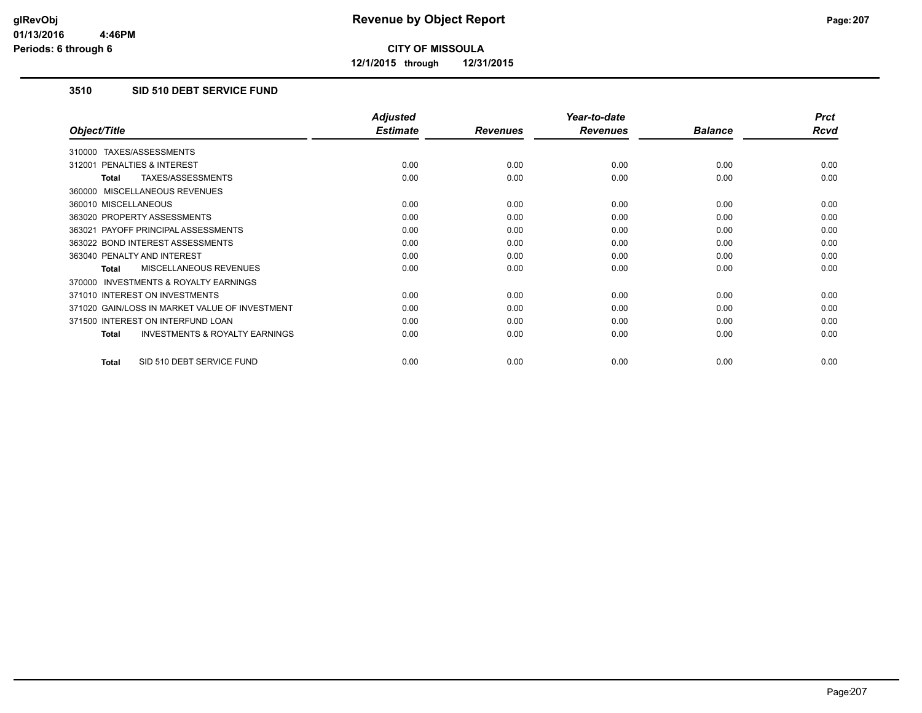**12/1/2015 through 12/31/2015**

### **3510 SID 510 DEBT SERVICE FUND**

|                                                    | <b>Adjusted</b> |                 | Year-to-date    |                | <b>Prct</b> |
|----------------------------------------------------|-----------------|-----------------|-----------------|----------------|-------------|
| Object/Title                                       | <b>Estimate</b> | <b>Revenues</b> | <b>Revenues</b> | <b>Balance</b> | Rcvd        |
| TAXES/ASSESSMENTS<br>310000                        |                 |                 |                 |                |             |
| 312001 PENALTIES & INTEREST                        | 0.00            | 0.00            | 0.00            | 0.00           | 0.00        |
| TAXES/ASSESSMENTS<br>Total                         | 0.00            | 0.00            | 0.00            | 0.00           | 0.00        |
| 360000 MISCELLANEOUS REVENUES                      |                 |                 |                 |                |             |
| 360010 MISCELLANEOUS                               | 0.00            | 0.00            | 0.00            | 0.00           | 0.00        |
| 363020 PROPERTY ASSESSMENTS                        | 0.00            | 0.00            | 0.00            | 0.00           | 0.00        |
| 363021 PAYOFF PRINCIPAL ASSESSMENTS                | 0.00            | 0.00            | 0.00            | 0.00           | 0.00        |
| 363022 BOND INTEREST ASSESSMENTS                   | 0.00            | 0.00            | 0.00            | 0.00           | 0.00        |
| 363040 PENALTY AND INTEREST                        | 0.00            | 0.00            | 0.00            | 0.00           | 0.00        |
| MISCELLANEOUS REVENUES<br>Total                    | 0.00            | 0.00            | 0.00            | 0.00           | 0.00        |
| 370000 INVESTMENTS & ROYALTY EARNINGS              |                 |                 |                 |                |             |
| 371010 INTEREST ON INVESTMENTS                     | 0.00            | 0.00            | 0.00            | 0.00           | 0.00        |
| 371020 GAIN/LOSS IN MARKET VALUE OF INVESTMENT     | 0.00            | 0.00            | 0.00            | 0.00           | 0.00        |
| 371500 INTEREST ON INTERFUND LOAN                  | 0.00            | 0.00            | 0.00            | 0.00           | 0.00        |
| <b>INVESTMENTS &amp; ROYALTY EARNINGS</b><br>Total | 0.00            | 0.00            | 0.00            | 0.00           | 0.00        |
|                                                    |                 |                 |                 |                |             |
| SID 510 DEBT SERVICE FUND<br><b>Total</b>          | 0.00            | 0.00            | 0.00            | 0.00           | 0.00        |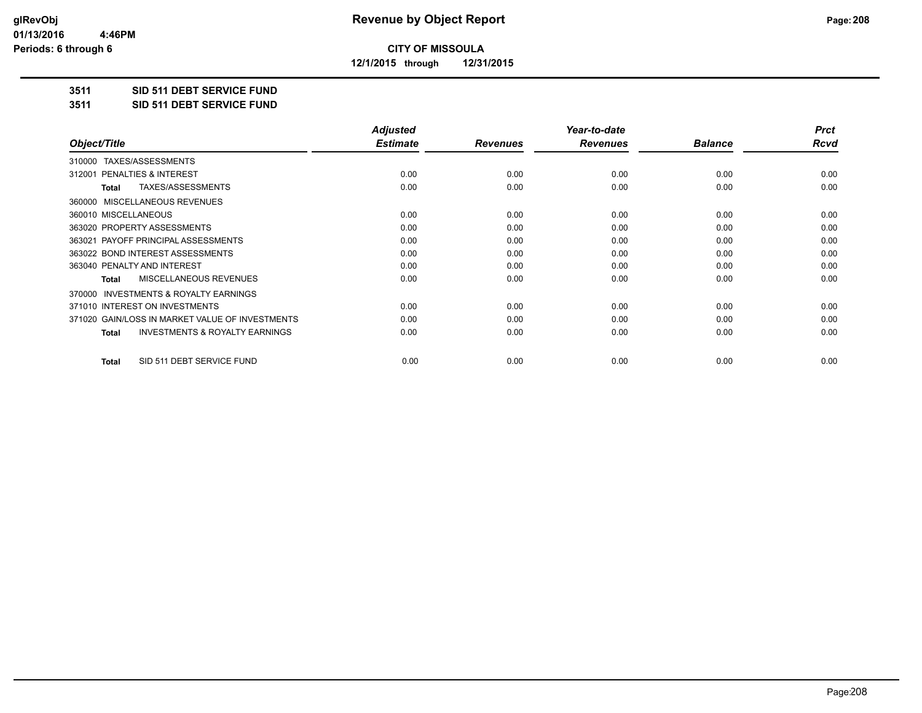**12/1/2015 through 12/31/2015**

#### **3511 SID 511 DEBT SERVICE FUND**

**3511 SID 511 DEBT SERVICE FUND**

|                                                    | <b>Adjusted</b> |                 | Year-to-date    |                | <b>Prct</b> |
|----------------------------------------------------|-----------------|-----------------|-----------------|----------------|-------------|
| Object/Title                                       | <b>Estimate</b> | <b>Revenues</b> | <b>Revenues</b> | <b>Balance</b> | Rcvd        |
| TAXES/ASSESSMENTS<br>310000                        |                 |                 |                 |                |             |
| PENALTIES & INTEREST<br>312001                     | 0.00            | 0.00            | 0.00            | 0.00           | 0.00        |
| TAXES/ASSESSMENTS<br><b>Total</b>                  | 0.00            | 0.00            | 0.00            | 0.00           | 0.00        |
| 360000 MISCELLANEOUS REVENUES                      |                 |                 |                 |                |             |
| 360010 MISCELLANEOUS                               | 0.00            | 0.00            | 0.00            | 0.00           | 0.00        |
| 363020 PROPERTY ASSESSMENTS                        | 0.00            | 0.00            | 0.00            | 0.00           | 0.00        |
| 363021 PAYOFF PRINCIPAL ASSESSMENTS                | 0.00            | 0.00            | 0.00            | 0.00           | 0.00        |
| 363022 BOND INTEREST ASSESSMENTS                   | 0.00            | 0.00            | 0.00            | 0.00           | 0.00        |
| 363040 PENALTY AND INTEREST                        | 0.00            | 0.00            | 0.00            | 0.00           | 0.00        |
| <b>MISCELLANEOUS REVENUES</b><br><b>Total</b>      | 0.00            | 0.00            | 0.00            | 0.00           | 0.00        |
| 370000 INVESTMENTS & ROYALTY EARNINGS              |                 |                 |                 |                |             |
| 371010 INTEREST ON INVESTMENTS                     | 0.00            | 0.00            | 0.00            | 0.00           | 0.00        |
| 371020 GAIN/LOSS IN MARKET VALUE OF INVESTMENTS    | 0.00            | 0.00            | 0.00            | 0.00           | 0.00        |
| <b>INVESTMENTS &amp; ROYALTY EARNINGS</b><br>Total | 0.00            | 0.00            | 0.00            | 0.00           | 0.00        |
| SID 511 DEBT SERVICE FUND<br><b>Total</b>          | 0.00            | 0.00            | 0.00            | 0.00           | 0.00        |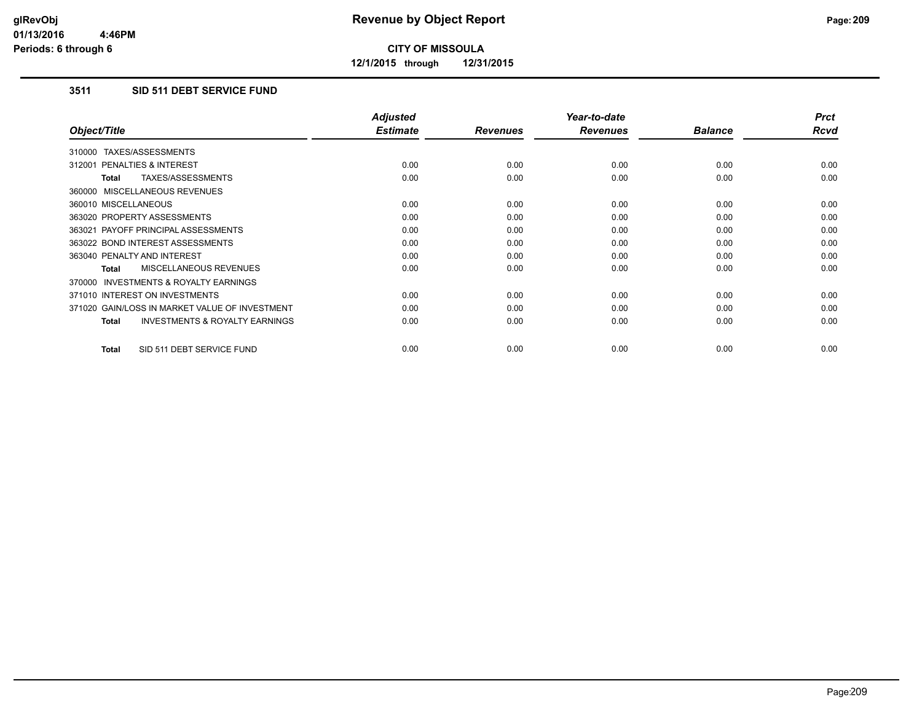**12/1/2015 through 12/31/2015**

### **3511 SID 511 DEBT SERVICE FUND**

|                                                     | <b>Adjusted</b> |                 | Year-to-date    |                | <b>Prct</b> |
|-----------------------------------------------------|-----------------|-----------------|-----------------|----------------|-------------|
| Object/Title                                        | <b>Estimate</b> | <b>Revenues</b> | <b>Revenues</b> | <b>Balance</b> | <b>Rcvd</b> |
| 310000 TAXES/ASSESSMENTS                            |                 |                 |                 |                |             |
| 312001 PENALTIES & INTEREST                         | 0.00            | 0.00            | 0.00            | 0.00           | 0.00        |
| TAXES/ASSESSMENTS<br><b>Total</b>                   | 0.00            | 0.00            | 0.00            | 0.00           | 0.00        |
| 360000 MISCELLANEOUS REVENUES                       |                 |                 |                 |                |             |
| 360010 MISCELLANEOUS                                | 0.00            | 0.00            | 0.00            | 0.00           | 0.00        |
| 363020 PROPERTY ASSESSMENTS                         | 0.00            | 0.00            | 0.00            | 0.00           | 0.00        |
| 363021 PAYOFF PRINCIPAL ASSESSMENTS                 | 0.00            | 0.00            | 0.00            | 0.00           | 0.00        |
| 363022 BOND INTEREST ASSESSMENTS                    | 0.00            | 0.00            | 0.00            | 0.00           | 0.00        |
| 363040 PENALTY AND INTEREST                         | 0.00            | 0.00            | 0.00            | 0.00           | 0.00        |
| <b>MISCELLANEOUS REVENUES</b><br>Total              | 0.00            | 0.00            | 0.00            | 0.00           | 0.00        |
| <b>INVESTMENTS &amp; ROYALTY EARNINGS</b><br>370000 |                 |                 |                 |                |             |
| 371010 INTEREST ON INVESTMENTS                      | 0.00            | 0.00            | 0.00            | 0.00           | 0.00        |
| 371020 GAIN/LOSS IN MARKET VALUE OF INVESTMENT      | 0.00            | 0.00            | 0.00            | 0.00           | 0.00        |
| <b>INVESTMENTS &amp; ROYALTY EARNINGS</b><br>Total  | 0.00            | 0.00            | 0.00            | 0.00           | 0.00        |
| SID 511 DEBT SERVICE FUND<br><b>Total</b>           | 0.00            | 0.00            | 0.00            | 0.00           | 0.00        |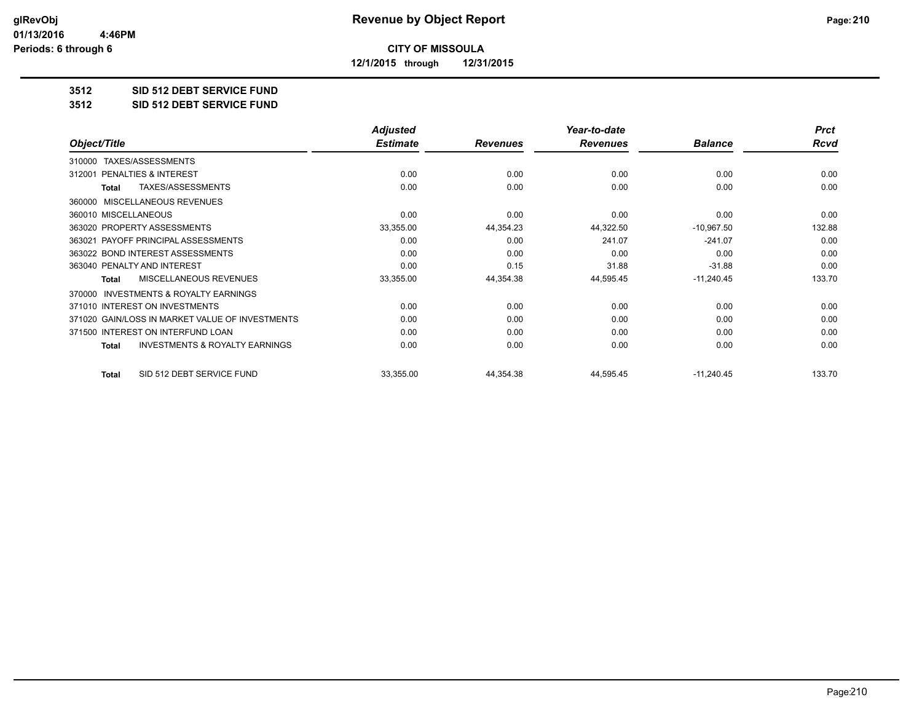**12/1/2015 through 12/31/2015**

#### **3512 SID 512 DEBT SERVICE FUND**

**3512 SID 512 DEBT SERVICE FUND**

|                                                     | <b>Adjusted</b> |                 | Year-to-date    |                | <b>Prct</b> |
|-----------------------------------------------------|-----------------|-----------------|-----------------|----------------|-------------|
| Object/Title                                        | <b>Estimate</b> | <b>Revenues</b> | <b>Revenues</b> | <b>Balance</b> | <b>Rcvd</b> |
| TAXES/ASSESSMENTS<br>310000                         |                 |                 |                 |                |             |
| <b>PENALTIES &amp; INTEREST</b><br>312001           | 0.00            | 0.00            | 0.00            | 0.00           | 0.00        |
| <b>TAXES/ASSESSMENTS</b><br><b>Total</b>            | 0.00            | 0.00            | 0.00            | 0.00           | 0.00        |
| MISCELLANEOUS REVENUES<br>360000                    |                 |                 |                 |                |             |
| 360010 MISCELLANEOUS                                | 0.00            | 0.00            | 0.00            | 0.00           | 0.00        |
| 363020 PROPERTY ASSESSMENTS                         | 33,355.00       | 44,354.23       | 44,322.50       | $-10,967.50$   | 132.88      |
| 363021 PAYOFF PRINCIPAL ASSESSMENTS                 | 0.00            | 0.00            | 241.07          | $-241.07$      | 0.00        |
| 363022 BOND INTEREST ASSESSMENTS                    | 0.00            | 0.00            | 0.00            | 0.00           | 0.00        |
| 363040 PENALTY AND INTEREST                         | 0.00            | 0.15            | 31.88           | $-31.88$       | 0.00        |
| MISCELLANEOUS REVENUES<br>Total                     | 33,355.00       | 44,354.38       | 44,595.45       | $-11,240.45$   | 133.70      |
| <b>INVESTMENTS &amp; ROYALTY EARNINGS</b><br>370000 |                 |                 |                 |                |             |
| 371010 INTEREST ON INVESTMENTS                      | 0.00            | 0.00            | 0.00            | 0.00           | 0.00        |
| 371020 GAIN/LOSS IN MARKET VALUE OF INVESTMENTS     | 0.00            | 0.00            | 0.00            | 0.00           | 0.00        |
| 371500 INTEREST ON INTERFUND LOAN                   | 0.00            | 0.00            | 0.00            | 0.00           | 0.00        |
| <b>INVESTMENTS &amp; ROYALTY EARNINGS</b><br>Total  | 0.00            | 0.00            | 0.00            | 0.00           | 0.00        |
| SID 512 DEBT SERVICE FUND<br><b>Total</b>           | 33,355.00       | 44,354.38       | 44,595.45       | $-11,240.45$   | 133.70      |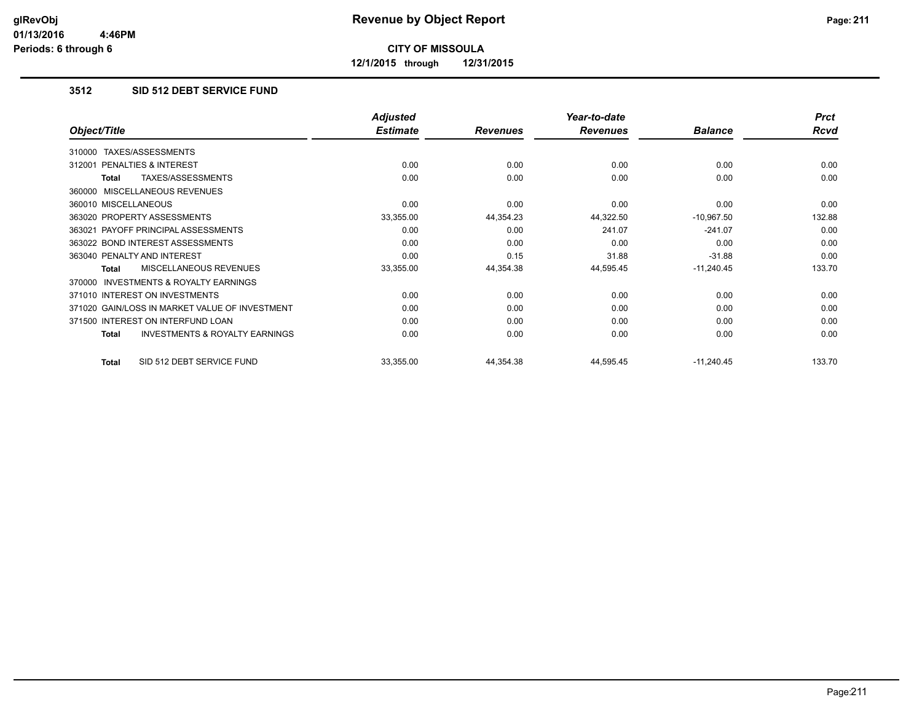**12/1/2015 through 12/31/2015**

### **3512 SID 512 DEBT SERVICE FUND**

|                                                    | <b>Adjusted</b> |                 | Year-to-date    |                | <b>Prct</b> |
|----------------------------------------------------|-----------------|-----------------|-----------------|----------------|-------------|
| Object/Title                                       | <b>Estimate</b> | <b>Revenues</b> | <b>Revenues</b> | <b>Balance</b> | Rcvd        |
| TAXES/ASSESSMENTS<br>310000                        |                 |                 |                 |                |             |
| <b>PENALTIES &amp; INTEREST</b><br>312001          | 0.00            | 0.00            | 0.00            | 0.00           | 0.00        |
| TAXES/ASSESSMENTS<br><b>Total</b>                  | 0.00            | 0.00            | 0.00            | 0.00           | 0.00        |
| 360000 MISCELLANEOUS REVENUES                      |                 |                 |                 |                |             |
| 360010 MISCELLANEOUS                               | 0.00            | 0.00            | 0.00            | 0.00           | 0.00        |
| 363020 PROPERTY ASSESSMENTS                        | 33,355.00       | 44,354.23       | 44,322.50       | $-10,967.50$   | 132.88      |
| 363021 PAYOFF PRINCIPAL ASSESSMENTS                | 0.00            | 0.00            | 241.07          | $-241.07$      | 0.00        |
| 363022 BOND INTEREST ASSESSMENTS                   | 0.00            | 0.00            | 0.00            | 0.00           | 0.00        |
| 363040 PENALTY AND INTEREST                        | 0.00            | 0.15            | 31.88           | $-31.88$       | 0.00        |
| <b>MISCELLANEOUS REVENUES</b><br><b>Total</b>      | 33,355.00       | 44,354.38       | 44,595.45       | $-11,240.45$   | 133.70      |
| 370000 INVESTMENTS & ROYALTY EARNINGS              |                 |                 |                 |                |             |
| 371010 INTEREST ON INVESTMENTS                     | 0.00            | 0.00            | 0.00            | 0.00           | 0.00        |
| 371020 GAIN/LOSS IN MARKET VALUE OF INVESTMENT     | 0.00            | 0.00            | 0.00            | 0.00           | 0.00        |
| 371500 INTEREST ON INTERFUND LOAN                  | 0.00            | 0.00            | 0.00            | 0.00           | 0.00        |
| <b>INVESTMENTS &amp; ROYALTY EARNINGS</b><br>Total | 0.00            | 0.00            | 0.00            | 0.00           | 0.00        |
| SID 512 DEBT SERVICE FUND<br>Total                 | 33,355.00       | 44,354.38       | 44,595.45       | $-11,240.45$   | 133.70      |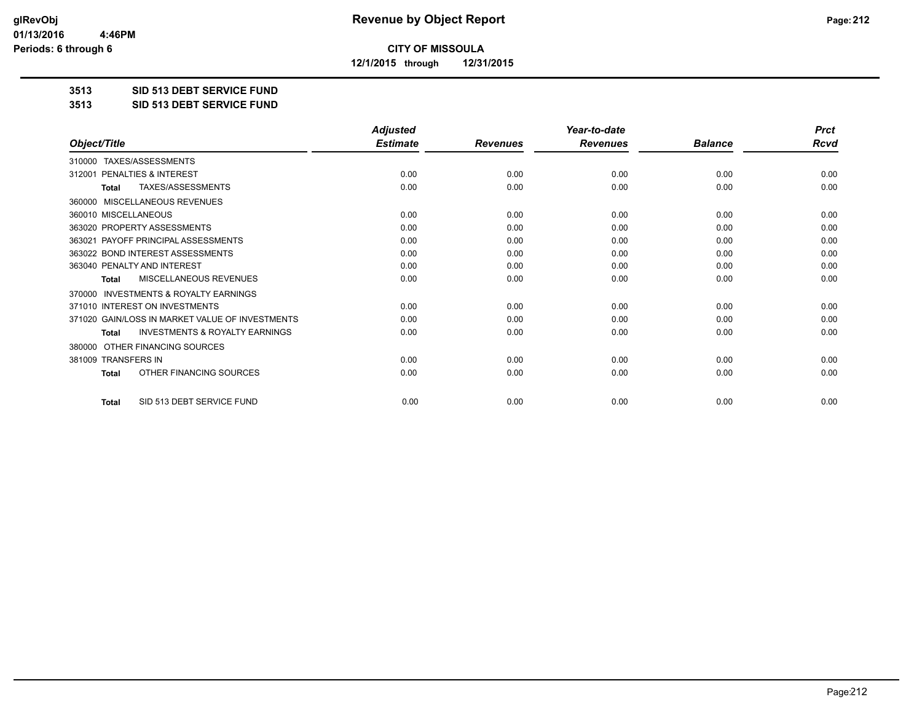**12/1/2015 through 12/31/2015**

#### **3513 SID 513 DEBT SERVICE FUND**

**3513 SID 513 DEBT SERVICE FUND**

|                                                           | <b>Adjusted</b> |                 | Year-to-date    |                | <b>Prct</b> |
|-----------------------------------------------------------|-----------------|-----------------|-----------------|----------------|-------------|
| Object/Title                                              | <b>Estimate</b> | <b>Revenues</b> | <b>Revenues</b> | <b>Balance</b> | <b>Rcvd</b> |
| TAXES/ASSESSMENTS<br>310000                               |                 |                 |                 |                |             |
| 312001 PENALTIES & INTEREST                               | 0.00            | 0.00            | 0.00            | 0.00           | 0.00        |
| TAXES/ASSESSMENTS<br><b>Total</b>                         | 0.00            | 0.00            | 0.00            | 0.00           | 0.00        |
| MISCELLANEOUS REVENUES<br>360000                          |                 |                 |                 |                |             |
| 360010 MISCELLANEOUS                                      | 0.00            | 0.00            | 0.00            | 0.00           | 0.00        |
| 363020 PROPERTY ASSESSMENTS                               | 0.00            | 0.00            | 0.00            | 0.00           | 0.00        |
| 363021 PAYOFF PRINCIPAL ASSESSMENTS                       | 0.00            | 0.00            | 0.00            | 0.00           | 0.00        |
| 363022 BOND INTEREST ASSESSMENTS                          | 0.00            | 0.00            | 0.00            | 0.00           | 0.00        |
| 363040 PENALTY AND INTEREST                               | 0.00            | 0.00            | 0.00            | 0.00           | 0.00        |
| <b>MISCELLANEOUS REVENUES</b><br><b>Total</b>             | 0.00            | 0.00            | 0.00            | 0.00           | 0.00        |
| <b>INVESTMENTS &amp; ROYALTY EARNINGS</b><br>370000       |                 |                 |                 |                |             |
| 371010 INTEREST ON INVESTMENTS                            | 0.00            | 0.00            | 0.00            | 0.00           | 0.00        |
| 371020 GAIN/LOSS IN MARKET VALUE OF INVESTMENTS           | 0.00            | 0.00            | 0.00            | 0.00           | 0.00        |
| <b>INVESTMENTS &amp; ROYALTY EARNINGS</b><br><b>Total</b> | 0.00            | 0.00            | 0.00            | 0.00           | 0.00        |
| OTHER FINANCING SOURCES<br>380000                         |                 |                 |                 |                |             |
| 381009 TRANSFERS IN                                       | 0.00            | 0.00            | 0.00            | 0.00           | 0.00        |
| OTHER FINANCING SOURCES<br>Total                          | 0.00            | 0.00            | 0.00            | 0.00           | 0.00        |
| SID 513 DEBT SERVICE FUND<br><b>Total</b>                 | 0.00            | 0.00            | 0.00            | 0.00           | 0.00        |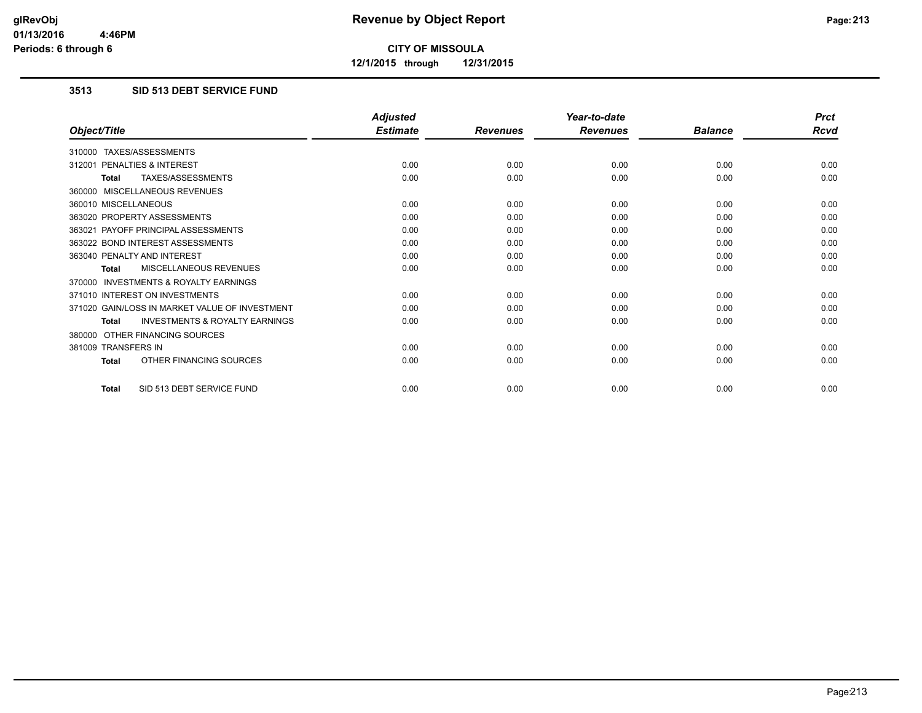**12/1/2015 through 12/31/2015**

### **3513 SID 513 DEBT SERVICE FUND**

|                                                           | <b>Adjusted</b> |                 | Year-to-date    |                | <b>Prct</b> |
|-----------------------------------------------------------|-----------------|-----------------|-----------------|----------------|-------------|
| Object/Title                                              | <b>Estimate</b> | <b>Revenues</b> | <b>Revenues</b> | <b>Balance</b> | <b>Rcvd</b> |
| 310000 TAXES/ASSESSMENTS                                  |                 |                 |                 |                |             |
| PENALTIES & INTEREST<br>312001                            | 0.00            | 0.00            | 0.00            | 0.00           | 0.00        |
| TAXES/ASSESSMENTS<br><b>Total</b>                         | 0.00            | 0.00            | 0.00            | 0.00           | 0.00        |
| 360000 MISCELLANEOUS REVENUES                             |                 |                 |                 |                |             |
| 360010 MISCELLANEOUS                                      | 0.00            | 0.00            | 0.00            | 0.00           | 0.00        |
| 363020 PROPERTY ASSESSMENTS                               | 0.00            | 0.00            | 0.00            | 0.00           | 0.00        |
| 363021 PAYOFF PRINCIPAL ASSESSMENTS                       | 0.00            | 0.00            | 0.00            | 0.00           | 0.00        |
| 363022 BOND INTEREST ASSESSMENTS                          | 0.00            | 0.00            | 0.00            | 0.00           | 0.00        |
| 363040 PENALTY AND INTEREST                               | 0.00            | 0.00            | 0.00            | 0.00           | 0.00        |
| MISCELLANEOUS REVENUES<br><b>Total</b>                    | 0.00            | 0.00            | 0.00            | 0.00           | 0.00        |
| <b>INVESTMENTS &amp; ROYALTY EARNINGS</b><br>370000       |                 |                 |                 |                |             |
| 371010 INTEREST ON INVESTMENTS                            | 0.00            | 0.00            | 0.00            | 0.00           | 0.00        |
| 371020 GAIN/LOSS IN MARKET VALUE OF INVESTMENT            | 0.00            | 0.00            | 0.00            | 0.00           | 0.00        |
| <b>INVESTMENTS &amp; ROYALTY EARNINGS</b><br><b>Total</b> | 0.00            | 0.00            | 0.00            | 0.00           | 0.00        |
| 380000 OTHER FINANCING SOURCES                            |                 |                 |                 |                |             |
| 381009 TRANSFERS IN                                       | 0.00            | 0.00            | 0.00            | 0.00           | 0.00        |
| OTHER FINANCING SOURCES<br><b>Total</b>                   | 0.00            | 0.00            | 0.00            | 0.00           | 0.00        |
| SID 513 DEBT SERVICE FUND<br><b>Total</b>                 | 0.00            | 0.00            | 0.00            | 0.00           | 0.00        |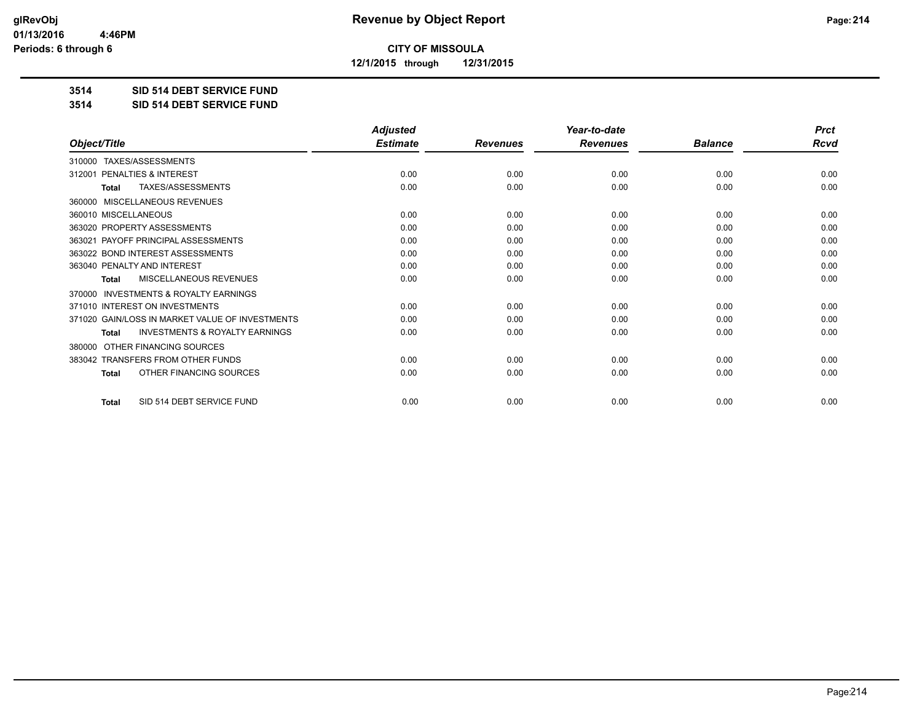**12/1/2015 through 12/31/2015**

#### **3514 SID 514 DEBT SERVICE FUND**

**3514 SID 514 DEBT SERVICE FUND**

|                                                           | <b>Adjusted</b> |                 | Year-to-date    |                | <b>Prct</b> |
|-----------------------------------------------------------|-----------------|-----------------|-----------------|----------------|-------------|
| Object/Title                                              | <b>Estimate</b> | <b>Revenues</b> | <b>Revenues</b> | <b>Balance</b> | <b>Rcvd</b> |
| 310000 TAXES/ASSESSMENTS                                  |                 |                 |                 |                |             |
| PENALTIES & INTEREST<br>312001                            | 0.00            | 0.00            | 0.00            | 0.00           | 0.00        |
| <b>TAXES/ASSESSMENTS</b><br><b>Total</b>                  | 0.00            | 0.00            | 0.00            | 0.00           | 0.00        |
| MISCELLANEOUS REVENUES<br>360000                          |                 |                 |                 |                |             |
| 360010 MISCELLANEOUS                                      | 0.00            | 0.00            | 0.00            | 0.00           | 0.00        |
| 363020 PROPERTY ASSESSMENTS                               | 0.00            | 0.00            | 0.00            | 0.00           | 0.00        |
| 363021 PAYOFF PRINCIPAL ASSESSMENTS                       | 0.00            | 0.00            | 0.00            | 0.00           | 0.00        |
| 363022 BOND INTEREST ASSESSMENTS                          | 0.00            | 0.00            | 0.00            | 0.00           | 0.00        |
| 363040 PENALTY AND INTEREST                               | 0.00            | 0.00            | 0.00            | 0.00           | 0.00        |
| MISCELLANEOUS REVENUES<br>Total                           | 0.00            | 0.00            | 0.00            | 0.00           | 0.00        |
| INVESTMENTS & ROYALTY EARNINGS<br>370000                  |                 |                 |                 |                |             |
| 371010 INTEREST ON INVESTMENTS                            | 0.00            | 0.00            | 0.00            | 0.00           | 0.00        |
| 371020 GAIN/LOSS IN MARKET VALUE OF INVESTMENTS           | 0.00            | 0.00            | 0.00            | 0.00           | 0.00        |
| <b>INVESTMENTS &amp; ROYALTY EARNINGS</b><br><b>Total</b> | 0.00            | 0.00            | 0.00            | 0.00           | 0.00        |
| OTHER FINANCING SOURCES<br>380000                         |                 |                 |                 |                |             |
| 383042 TRANSFERS FROM OTHER FUNDS                         | 0.00            | 0.00            | 0.00            | 0.00           | 0.00        |
| OTHER FINANCING SOURCES<br><b>Total</b>                   | 0.00            | 0.00            | 0.00            | 0.00           | 0.00        |
| SID 514 DEBT SERVICE FUND<br><b>Total</b>                 | 0.00            | 0.00            | 0.00            | 0.00           | 0.00        |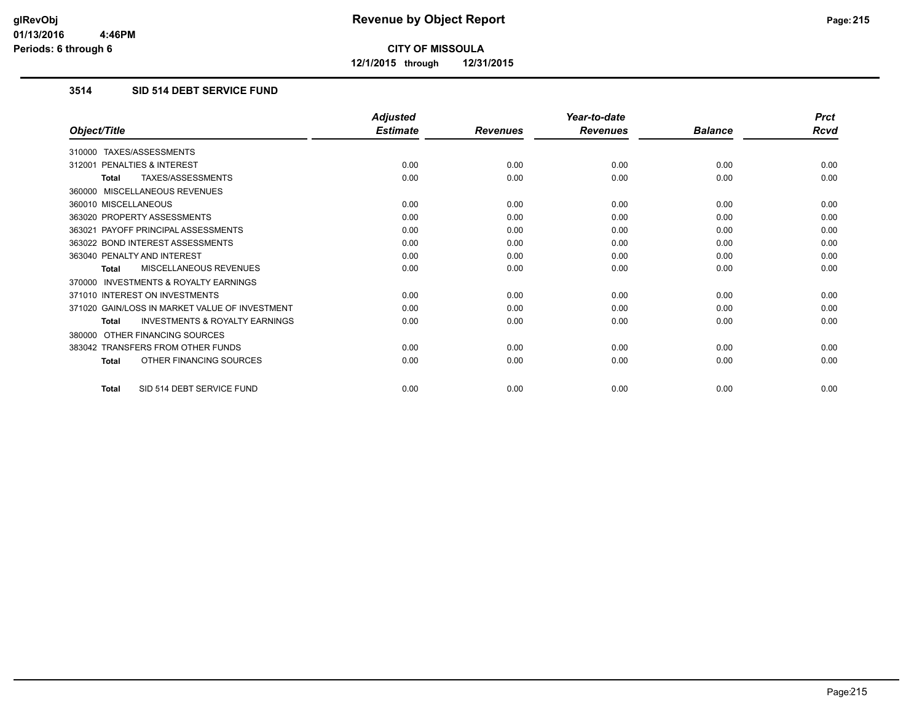**12/1/2015 through 12/31/2015**

### **3514 SID 514 DEBT SERVICE FUND**

|                                                           | <b>Adjusted</b> |                 | Year-to-date    |                | <b>Prct</b> |
|-----------------------------------------------------------|-----------------|-----------------|-----------------|----------------|-------------|
| Object/Title                                              | <b>Estimate</b> | <b>Revenues</b> | <b>Revenues</b> | <b>Balance</b> | <b>Rcvd</b> |
| 310000 TAXES/ASSESSMENTS                                  |                 |                 |                 |                |             |
| PENALTIES & INTEREST<br>312001                            | 0.00            | 0.00            | 0.00            | 0.00           | 0.00        |
| TAXES/ASSESSMENTS<br><b>Total</b>                         | 0.00            | 0.00            | 0.00            | 0.00           | 0.00        |
| 360000 MISCELLANEOUS REVENUES                             |                 |                 |                 |                |             |
| 360010 MISCELLANEOUS                                      | 0.00            | 0.00            | 0.00            | 0.00           | 0.00        |
| 363020 PROPERTY ASSESSMENTS                               | 0.00            | 0.00            | 0.00            | 0.00           | 0.00        |
| 363021 PAYOFF PRINCIPAL ASSESSMENTS                       | 0.00            | 0.00            | 0.00            | 0.00           | 0.00        |
| 363022 BOND INTEREST ASSESSMENTS                          | 0.00            | 0.00            | 0.00            | 0.00           | 0.00        |
| 363040 PENALTY AND INTEREST                               | 0.00            | 0.00            | 0.00            | 0.00           | 0.00        |
| MISCELLANEOUS REVENUES<br><b>Total</b>                    | 0.00            | 0.00            | 0.00            | 0.00           | 0.00        |
| <b>INVESTMENTS &amp; ROYALTY EARNINGS</b><br>370000       |                 |                 |                 |                |             |
| 371010 INTEREST ON INVESTMENTS                            | 0.00            | 0.00            | 0.00            | 0.00           | 0.00        |
| 371020 GAIN/LOSS IN MARKET VALUE OF INVESTMENT            | 0.00            | 0.00            | 0.00            | 0.00           | 0.00        |
| <b>INVESTMENTS &amp; ROYALTY EARNINGS</b><br><b>Total</b> | 0.00            | 0.00            | 0.00            | 0.00           | 0.00        |
| OTHER FINANCING SOURCES<br>380000                         |                 |                 |                 |                |             |
| 383042 TRANSFERS FROM OTHER FUNDS                         | 0.00            | 0.00            | 0.00            | 0.00           | 0.00        |
| OTHER FINANCING SOURCES<br><b>Total</b>                   | 0.00            | 0.00            | 0.00            | 0.00           | 0.00        |
| SID 514 DEBT SERVICE FUND<br><b>Total</b>                 | 0.00            | 0.00            | 0.00            | 0.00           | 0.00        |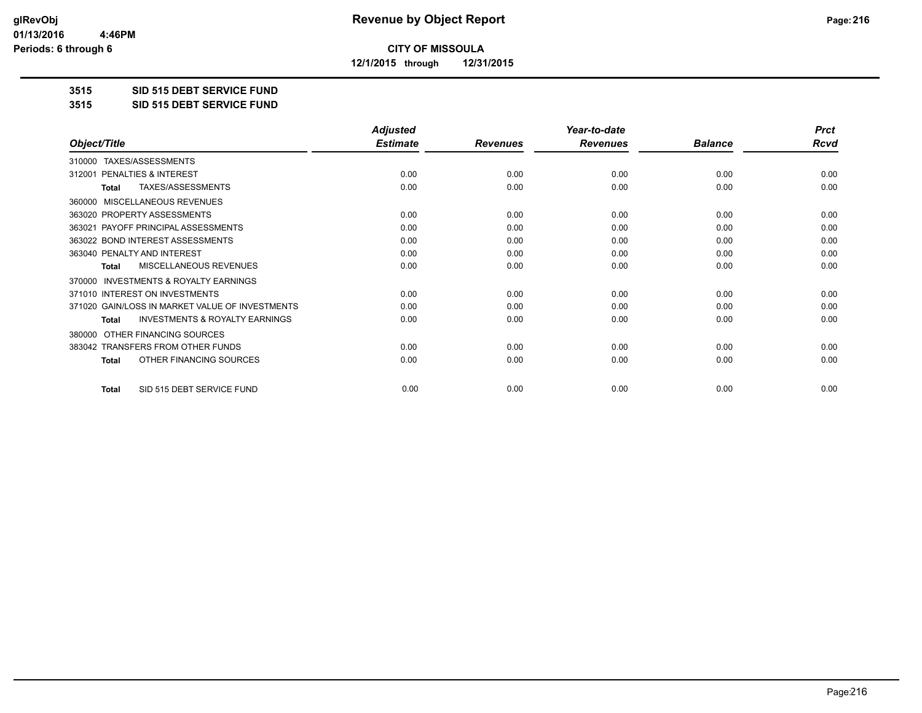**12/1/2015 through 12/31/2015**

#### **3515 SID 515 DEBT SERVICE FUND**

**3515 SID 515 DEBT SERVICE FUND**

|                                                           | <b>Adjusted</b> |                 | Year-to-date    |                | <b>Prct</b> |
|-----------------------------------------------------------|-----------------|-----------------|-----------------|----------------|-------------|
| Object/Title                                              | <b>Estimate</b> | <b>Revenues</b> | <b>Revenues</b> | <b>Balance</b> | Rcvd        |
| TAXES/ASSESSMENTS<br>310000                               |                 |                 |                 |                |             |
| PENALTIES & INTEREST<br>312001                            | 0.00            | 0.00            | 0.00            | 0.00           | 0.00        |
| TAXES/ASSESSMENTS<br>Total                                | 0.00            | 0.00            | 0.00            | 0.00           | 0.00        |
| MISCELLANEOUS REVENUES<br>360000                          |                 |                 |                 |                |             |
| 363020 PROPERTY ASSESSMENTS                               | 0.00            | 0.00            | 0.00            | 0.00           | 0.00        |
| PAYOFF PRINCIPAL ASSESSMENTS<br>363021                    | 0.00            | 0.00            | 0.00            | 0.00           | 0.00        |
| 363022 BOND INTEREST ASSESSMENTS                          | 0.00            | 0.00            | 0.00            | 0.00           | 0.00        |
| 363040 PENALTY AND INTEREST                               | 0.00            | 0.00            | 0.00            | 0.00           | 0.00        |
| MISCELLANEOUS REVENUES<br><b>Total</b>                    | 0.00            | 0.00            | 0.00            | 0.00           | 0.00        |
| <b>INVESTMENTS &amp; ROYALTY EARNINGS</b><br>370000       |                 |                 |                 |                |             |
| 371010 INTEREST ON INVESTMENTS                            | 0.00            | 0.00            | 0.00            | 0.00           | 0.00        |
| 371020 GAIN/LOSS IN MARKET VALUE OF INVESTMENTS           | 0.00            | 0.00            | 0.00            | 0.00           | 0.00        |
| <b>INVESTMENTS &amp; ROYALTY EARNINGS</b><br><b>Total</b> | 0.00            | 0.00            | 0.00            | 0.00           | 0.00        |
| OTHER FINANCING SOURCES<br>380000                         |                 |                 |                 |                |             |
| 383042 TRANSFERS FROM OTHER FUNDS                         | 0.00            | 0.00            | 0.00            | 0.00           | 0.00        |
| OTHER FINANCING SOURCES<br><b>Total</b>                   | 0.00            | 0.00            | 0.00            | 0.00           | 0.00        |
| SID 515 DEBT SERVICE FUND<br><b>Total</b>                 | 0.00            | 0.00            | 0.00            | 0.00           | 0.00        |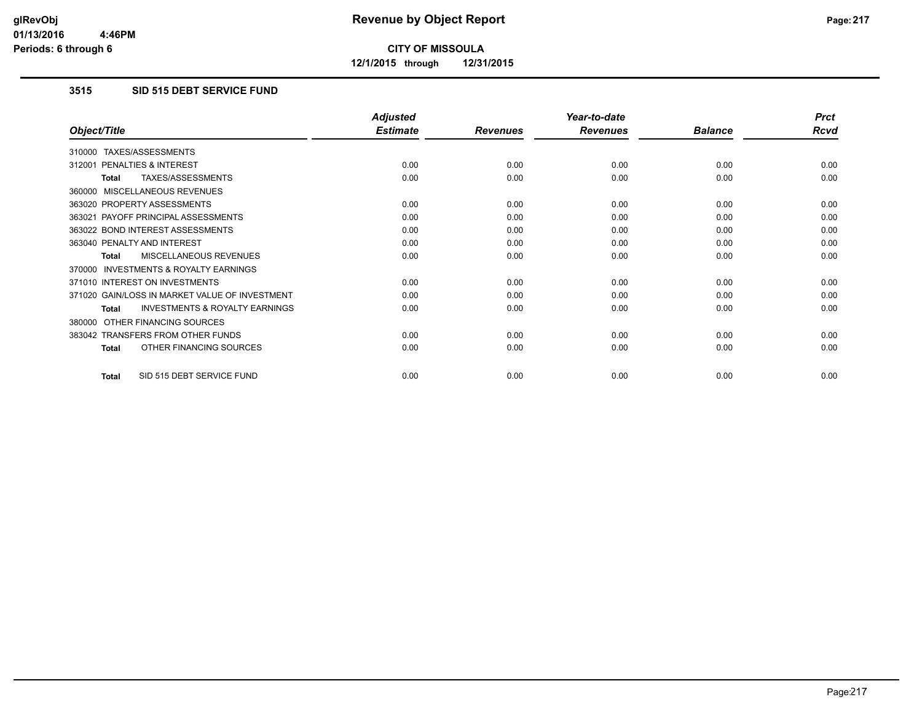**12/1/2015 through 12/31/2015**

### **3515 SID 515 DEBT SERVICE FUND**

|                                                           | <b>Adjusted</b> |                 | Year-to-date    |                | <b>Prct</b> |
|-----------------------------------------------------------|-----------------|-----------------|-----------------|----------------|-------------|
| Object/Title                                              | <b>Estimate</b> | <b>Revenues</b> | <b>Revenues</b> | <b>Balance</b> | <b>Rcvd</b> |
| TAXES/ASSESSMENTS<br>310000                               |                 |                 |                 |                |             |
| PENALTIES & INTEREST<br>312001                            | 0.00            | 0.00            | 0.00            | 0.00           | 0.00        |
| TAXES/ASSESSMENTS<br><b>Total</b>                         | 0.00            | 0.00            | 0.00            | 0.00           | 0.00        |
| 360000 MISCELLANEOUS REVENUES                             |                 |                 |                 |                |             |
| 363020 PROPERTY ASSESSMENTS                               | 0.00            | 0.00            | 0.00            | 0.00           | 0.00        |
| 363021 PAYOFF PRINCIPAL ASSESSMENTS                       | 0.00            | 0.00            | 0.00            | 0.00           | 0.00        |
| 363022 BOND INTEREST ASSESSMENTS                          | 0.00            | 0.00            | 0.00            | 0.00           | 0.00        |
| 363040 PENALTY AND INTEREST                               | 0.00            | 0.00            | 0.00            | 0.00           | 0.00        |
| MISCELLANEOUS REVENUES<br><b>Total</b>                    | 0.00            | 0.00            | 0.00            | 0.00           | 0.00        |
| <b>INVESTMENTS &amp; ROYALTY EARNINGS</b><br>370000       |                 |                 |                 |                |             |
| 371010 INTEREST ON INVESTMENTS                            | 0.00            | 0.00            | 0.00            | 0.00           | 0.00        |
| 371020 GAIN/LOSS IN MARKET VALUE OF INVESTMENT            | 0.00            | 0.00            | 0.00            | 0.00           | 0.00        |
| <b>INVESTMENTS &amp; ROYALTY EARNINGS</b><br><b>Total</b> | 0.00            | 0.00            | 0.00            | 0.00           | 0.00        |
| OTHER FINANCING SOURCES<br>380000                         |                 |                 |                 |                |             |
| 383042 TRANSFERS FROM OTHER FUNDS                         | 0.00            | 0.00            | 0.00            | 0.00           | 0.00        |
| OTHER FINANCING SOURCES<br>Total                          | 0.00            | 0.00            | 0.00            | 0.00           | 0.00        |
| SID 515 DEBT SERVICE FUND<br><b>Total</b>                 | 0.00            | 0.00            | 0.00            | 0.00           | 0.00        |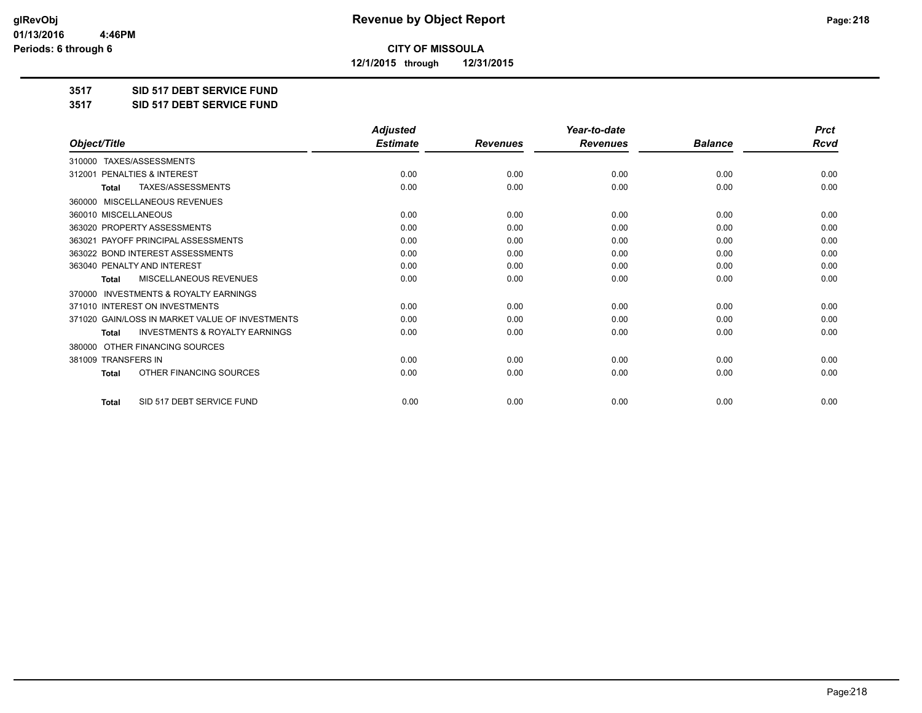**12/1/2015 through 12/31/2015**

#### **3517 SID 517 DEBT SERVICE FUND**

**3517 SID 517 DEBT SERVICE FUND**

|                                                           | <b>Adjusted</b> |                 | Year-to-date    |                | <b>Prct</b> |
|-----------------------------------------------------------|-----------------|-----------------|-----------------|----------------|-------------|
| Object/Title                                              | <b>Estimate</b> | <b>Revenues</b> | <b>Revenues</b> | <b>Balance</b> | <b>Rcvd</b> |
| TAXES/ASSESSMENTS<br>310000                               |                 |                 |                 |                |             |
| 312001 PENALTIES & INTEREST                               | 0.00            | 0.00            | 0.00            | 0.00           | 0.00        |
| TAXES/ASSESSMENTS<br><b>Total</b>                         | 0.00            | 0.00            | 0.00            | 0.00           | 0.00        |
| MISCELLANEOUS REVENUES<br>360000                          |                 |                 |                 |                |             |
| 360010 MISCELLANEOUS                                      | 0.00            | 0.00            | 0.00            | 0.00           | 0.00        |
| 363020 PROPERTY ASSESSMENTS                               | 0.00            | 0.00            | 0.00            | 0.00           | 0.00        |
| 363021 PAYOFF PRINCIPAL ASSESSMENTS                       | 0.00            | 0.00            | 0.00            | 0.00           | 0.00        |
| 363022 BOND INTEREST ASSESSMENTS                          | 0.00            | 0.00            | 0.00            | 0.00           | 0.00        |
| 363040 PENALTY AND INTEREST                               | 0.00            | 0.00            | 0.00            | 0.00           | 0.00        |
| <b>MISCELLANEOUS REVENUES</b><br><b>Total</b>             | 0.00            | 0.00            | 0.00            | 0.00           | 0.00        |
| <b>INVESTMENTS &amp; ROYALTY EARNINGS</b><br>370000       |                 |                 |                 |                |             |
| 371010 INTEREST ON INVESTMENTS                            | 0.00            | 0.00            | 0.00            | 0.00           | 0.00        |
| 371020 GAIN/LOSS IN MARKET VALUE OF INVESTMENTS           | 0.00            | 0.00            | 0.00            | 0.00           | 0.00        |
| <b>INVESTMENTS &amp; ROYALTY EARNINGS</b><br><b>Total</b> | 0.00            | 0.00            | 0.00            | 0.00           | 0.00        |
| OTHER FINANCING SOURCES<br>380000                         |                 |                 |                 |                |             |
| 381009 TRANSFERS IN                                       | 0.00            | 0.00            | 0.00            | 0.00           | 0.00        |
| OTHER FINANCING SOURCES<br>Total                          | 0.00            | 0.00            | 0.00            | 0.00           | 0.00        |
| SID 517 DEBT SERVICE FUND<br><b>Total</b>                 | 0.00            | 0.00            | 0.00            | 0.00           | 0.00        |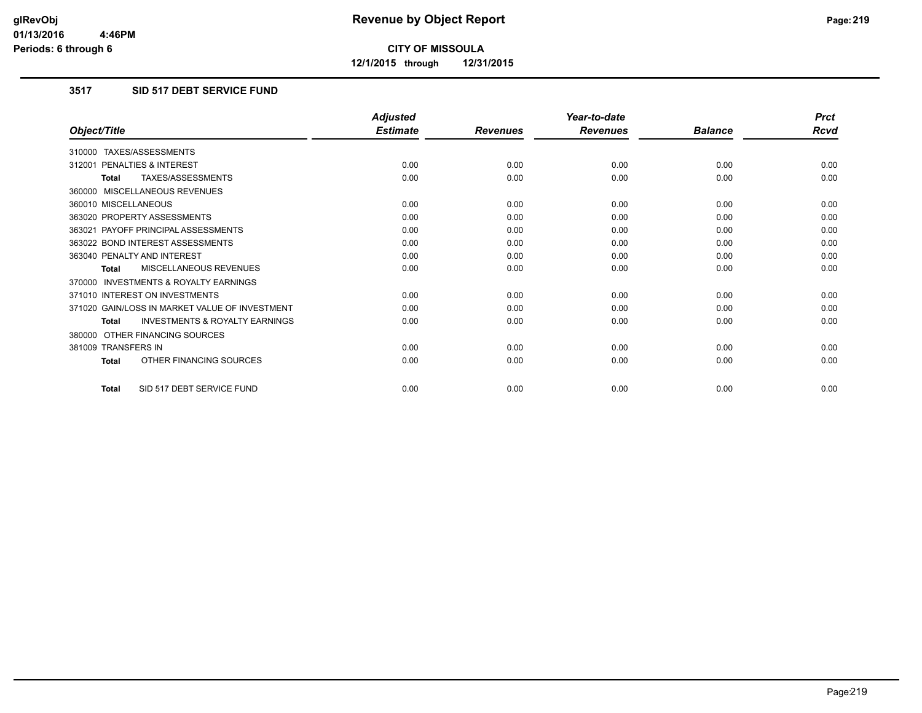**12/1/2015 through 12/31/2015**

#### **3517 SID 517 DEBT SERVICE FUND**

|                                                           | <b>Adjusted</b> |                 | Year-to-date    |                | <b>Prct</b> |
|-----------------------------------------------------------|-----------------|-----------------|-----------------|----------------|-------------|
| Object/Title                                              | <b>Estimate</b> | <b>Revenues</b> | <b>Revenues</b> | <b>Balance</b> | <b>Rcvd</b> |
| 310000 TAXES/ASSESSMENTS                                  |                 |                 |                 |                |             |
| PENALTIES & INTEREST<br>312001                            | 0.00            | 0.00            | 0.00            | 0.00           | 0.00        |
| TAXES/ASSESSMENTS<br><b>Total</b>                         | 0.00            | 0.00            | 0.00            | 0.00           | 0.00        |
| 360000 MISCELLANEOUS REVENUES                             |                 |                 |                 |                |             |
| 360010 MISCELLANEOUS                                      | 0.00            | 0.00            | 0.00            | 0.00           | 0.00        |
| 363020 PROPERTY ASSESSMENTS                               | 0.00            | 0.00            | 0.00            | 0.00           | 0.00        |
| 363021 PAYOFF PRINCIPAL ASSESSMENTS                       | 0.00            | 0.00            | 0.00            | 0.00           | 0.00        |
| 363022 BOND INTEREST ASSESSMENTS                          | 0.00            | 0.00            | 0.00            | 0.00           | 0.00        |
| 363040 PENALTY AND INTEREST                               | 0.00            | 0.00            | 0.00            | 0.00           | 0.00        |
| MISCELLANEOUS REVENUES<br><b>Total</b>                    | 0.00            | 0.00            | 0.00            | 0.00           | 0.00        |
| <b>INVESTMENTS &amp; ROYALTY EARNINGS</b><br>370000       |                 |                 |                 |                |             |
| 371010 INTEREST ON INVESTMENTS                            | 0.00            | 0.00            | 0.00            | 0.00           | 0.00        |
| 371020 GAIN/LOSS IN MARKET VALUE OF INVESTMENT            | 0.00            | 0.00            | 0.00            | 0.00           | 0.00        |
| <b>INVESTMENTS &amp; ROYALTY EARNINGS</b><br><b>Total</b> | 0.00            | 0.00            | 0.00            | 0.00           | 0.00        |
| 380000 OTHER FINANCING SOURCES                            |                 |                 |                 |                |             |
| 381009 TRANSFERS IN                                       | 0.00            | 0.00            | 0.00            | 0.00           | 0.00        |
| OTHER FINANCING SOURCES<br><b>Total</b>                   | 0.00            | 0.00            | 0.00            | 0.00           | 0.00        |
| SID 517 DEBT SERVICE FUND<br><b>Total</b>                 | 0.00            | 0.00            | 0.00            | 0.00           | 0.00        |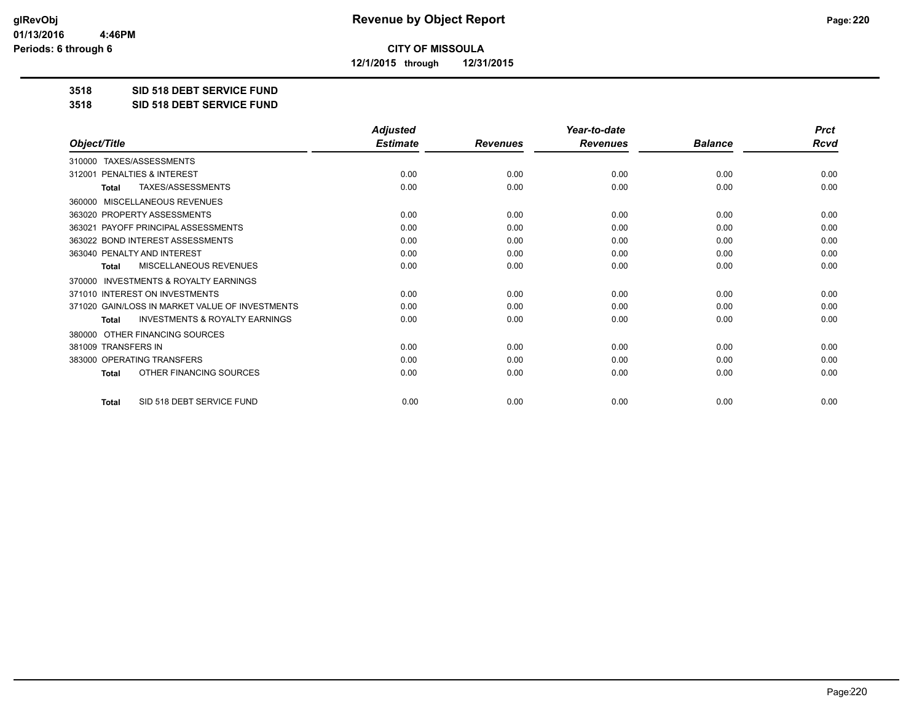**12/1/2015 through 12/31/2015**

#### **3518 SID 518 DEBT SERVICE FUND**

**3518 SID 518 DEBT SERVICE FUND**

|                                                           | <b>Adjusted</b> |                 | Year-to-date    |                | <b>Prct</b> |
|-----------------------------------------------------------|-----------------|-----------------|-----------------|----------------|-------------|
| Object/Title                                              | <b>Estimate</b> | <b>Revenues</b> | <b>Revenues</b> | <b>Balance</b> | Rcvd        |
| TAXES/ASSESSMENTS<br>310000                               |                 |                 |                 |                |             |
| PENALTIES & INTEREST<br>312001                            | 0.00            | 0.00            | 0.00            | 0.00           | 0.00        |
| TAXES/ASSESSMENTS<br><b>Total</b>                         | 0.00            | 0.00            | 0.00            | 0.00           | 0.00        |
| MISCELLANEOUS REVENUES<br>360000                          |                 |                 |                 |                |             |
| 363020 PROPERTY ASSESSMENTS                               | 0.00            | 0.00            | 0.00            | 0.00           | 0.00        |
| 363021 PAYOFF PRINCIPAL ASSESSMENTS                       | 0.00            | 0.00            | 0.00            | 0.00           | 0.00        |
| 363022 BOND INTEREST ASSESSMENTS                          | 0.00            | 0.00            | 0.00            | 0.00           | 0.00        |
| 363040 PENALTY AND INTEREST                               | 0.00            | 0.00            | 0.00            | 0.00           | 0.00        |
| <b>MISCELLANEOUS REVENUES</b><br><b>Total</b>             | 0.00            | 0.00            | 0.00            | 0.00           | 0.00        |
| <b>INVESTMENTS &amp; ROYALTY EARNINGS</b><br>370000       |                 |                 |                 |                |             |
| 371010 INTEREST ON INVESTMENTS                            | 0.00            | 0.00            | 0.00            | 0.00           | 0.00        |
| 371020 GAIN/LOSS IN MARKET VALUE OF INVESTMENTS           | 0.00            | 0.00            | 0.00            | 0.00           | 0.00        |
| <b>INVESTMENTS &amp; ROYALTY EARNINGS</b><br><b>Total</b> | 0.00            | 0.00            | 0.00            | 0.00           | 0.00        |
| OTHER FINANCING SOURCES<br>380000                         |                 |                 |                 |                |             |
| 381009 TRANSFERS IN                                       | 0.00            | 0.00            | 0.00            | 0.00           | 0.00        |
| 383000 OPERATING TRANSFERS                                | 0.00            | 0.00            | 0.00            | 0.00           | 0.00        |
| OTHER FINANCING SOURCES<br><b>Total</b>                   | 0.00            | 0.00            | 0.00            | 0.00           | 0.00        |
| SID 518 DEBT SERVICE FUND<br><b>Total</b>                 | 0.00            | 0.00            | 0.00            | 0.00           | 0.00        |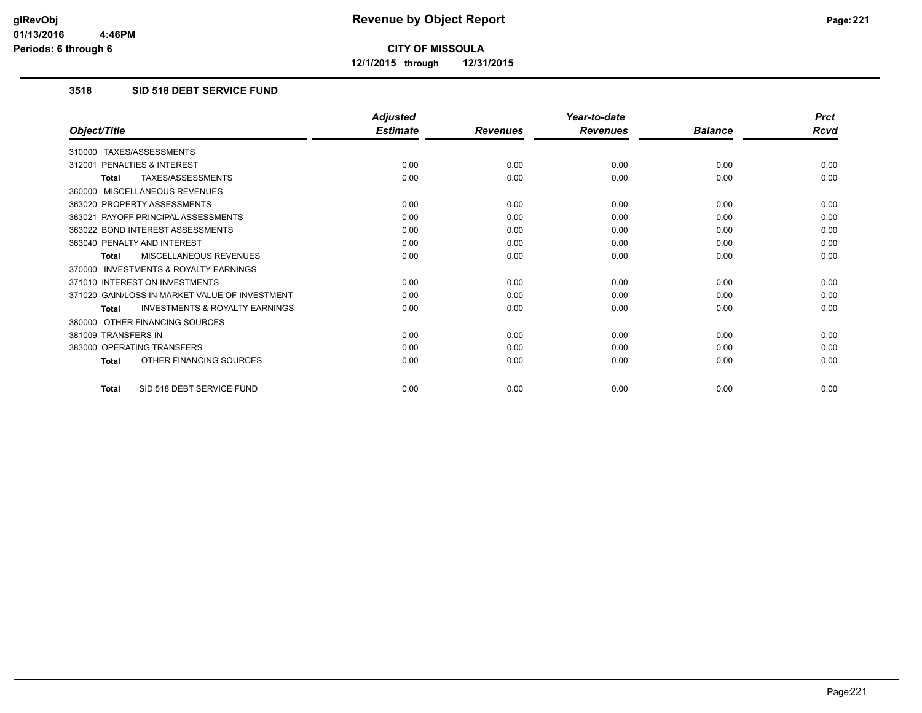**12/1/2015 through 12/31/2015**

#### **3518 SID 518 DEBT SERVICE FUND**

|                                                           | <b>Adjusted</b> |                 | Year-to-date    |                | <b>Prct</b> |
|-----------------------------------------------------------|-----------------|-----------------|-----------------|----------------|-------------|
| Object/Title                                              | <b>Estimate</b> | <b>Revenues</b> | <b>Revenues</b> | <b>Balance</b> | <b>Rcvd</b> |
| 310000 TAXES/ASSESSMENTS                                  |                 |                 |                 |                |             |
| PENALTIES & INTEREST<br>312001                            | 0.00            | 0.00            | 0.00            | 0.00           | 0.00        |
| TAXES/ASSESSMENTS<br><b>Total</b>                         | 0.00            | 0.00            | 0.00            | 0.00           | 0.00        |
| 360000 MISCELLANEOUS REVENUES                             |                 |                 |                 |                |             |
| 363020 PROPERTY ASSESSMENTS                               | 0.00            | 0.00            | 0.00            | 0.00           | 0.00        |
| 363021 PAYOFF PRINCIPAL ASSESSMENTS                       | 0.00            | 0.00            | 0.00            | 0.00           | 0.00        |
| 363022 BOND INTEREST ASSESSMENTS                          | 0.00            | 0.00            | 0.00            | 0.00           | 0.00        |
| 363040 PENALTY AND INTEREST                               | 0.00            | 0.00            | 0.00            | 0.00           | 0.00        |
| MISCELLANEOUS REVENUES<br><b>Total</b>                    | 0.00            | 0.00            | 0.00            | 0.00           | 0.00        |
| <b>INVESTMENTS &amp; ROYALTY EARNINGS</b><br>370000       |                 |                 |                 |                |             |
| 371010 INTEREST ON INVESTMENTS                            | 0.00            | 0.00            | 0.00            | 0.00           | 0.00        |
| 371020 GAIN/LOSS IN MARKET VALUE OF INVESTMENT            | 0.00            | 0.00            | 0.00            | 0.00           | 0.00        |
| <b>INVESTMENTS &amp; ROYALTY EARNINGS</b><br><b>Total</b> | 0.00            | 0.00            | 0.00            | 0.00           | 0.00        |
| 380000 OTHER FINANCING SOURCES                            |                 |                 |                 |                |             |
| 381009 TRANSFERS IN                                       | 0.00            | 0.00            | 0.00            | 0.00           | 0.00        |
| 383000 OPERATING TRANSFERS                                | 0.00            | 0.00            | 0.00            | 0.00           | 0.00        |
| OTHER FINANCING SOURCES<br><b>Total</b>                   | 0.00            | 0.00            | 0.00            | 0.00           | 0.00        |
| SID 518 DEBT SERVICE FUND<br><b>Total</b>                 | 0.00            | 0.00            | 0.00            | 0.00           | 0.00        |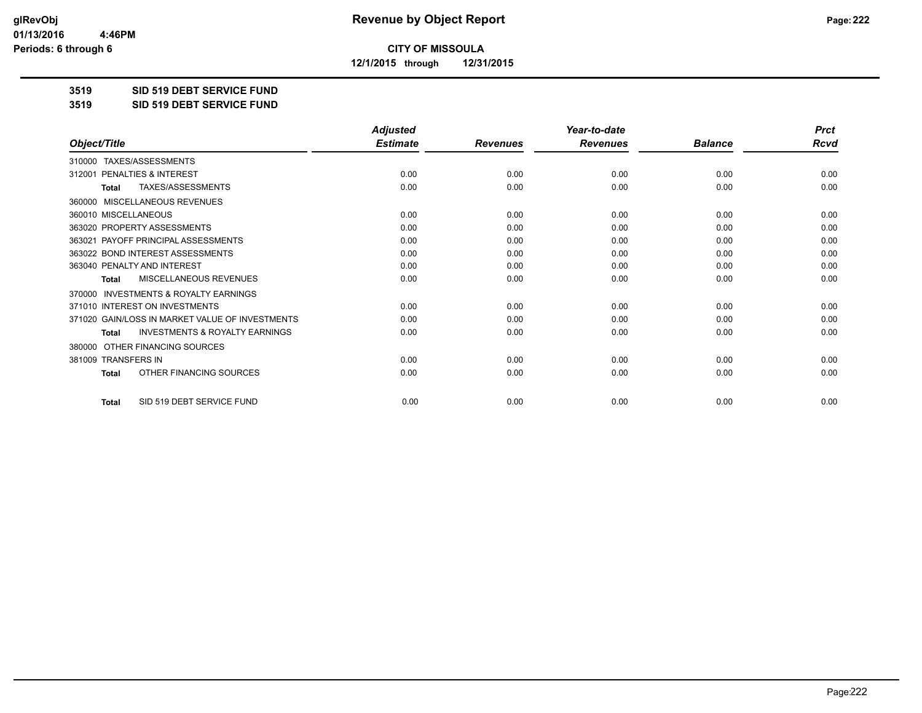**12/1/2015 through 12/31/2015**

#### **3519 SID 519 DEBT SERVICE FUND**

**3519 SID 519 DEBT SERVICE FUND**

|                                                           | <b>Adjusted</b> |                 | Year-to-date    |                | <b>Prct</b> |
|-----------------------------------------------------------|-----------------|-----------------|-----------------|----------------|-------------|
| Object/Title                                              | <b>Estimate</b> | <b>Revenues</b> | <b>Revenues</b> | <b>Balance</b> | <b>Rcvd</b> |
| TAXES/ASSESSMENTS<br>310000                               |                 |                 |                 |                |             |
| 312001 PENALTIES & INTEREST                               | 0.00            | 0.00            | 0.00            | 0.00           | 0.00        |
| TAXES/ASSESSMENTS<br><b>Total</b>                         | 0.00            | 0.00            | 0.00            | 0.00           | 0.00        |
| MISCELLANEOUS REVENUES<br>360000                          |                 |                 |                 |                |             |
| 360010 MISCELLANEOUS                                      | 0.00            | 0.00            | 0.00            | 0.00           | 0.00        |
| 363020 PROPERTY ASSESSMENTS                               | 0.00            | 0.00            | 0.00            | 0.00           | 0.00        |
| 363021 PAYOFF PRINCIPAL ASSESSMENTS                       | 0.00            | 0.00            | 0.00            | 0.00           | 0.00        |
| 363022 BOND INTEREST ASSESSMENTS                          | 0.00            | 0.00            | 0.00            | 0.00           | 0.00        |
| 363040 PENALTY AND INTEREST                               | 0.00            | 0.00            | 0.00            | 0.00           | 0.00        |
| <b>MISCELLANEOUS REVENUES</b><br><b>Total</b>             | 0.00            | 0.00            | 0.00            | 0.00           | 0.00        |
| <b>INVESTMENTS &amp; ROYALTY EARNINGS</b><br>370000       |                 |                 |                 |                |             |
| 371010 INTEREST ON INVESTMENTS                            | 0.00            | 0.00            | 0.00            | 0.00           | 0.00        |
| 371020 GAIN/LOSS IN MARKET VALUE OF INVESTMENTS           | 0.00            | 0.00            | 0.00            | 0.00           | 0.00        |
| <b>INVESTMENTS &amp; ROYALTY EARNINGS</b><br><b>Total</b> | 0.00            | 0.00            | 0.00            | 0.00           | 0.00        |
| OTHER FINANCING SOURCES<br>380000                         |                 |                 |                 |                |             |
| 381009 TRANSFERS IN                                       | 0.00            | 0.00            | 0.00            | 0.00           | 0.00        |
| OTHER FINANCING SOURCES<br>Total                          | 0.00            | 0.00            | 0.00            | 0.00           | 0.00        |
| SID 519 DEBT SERVICE FUND<br><b>Total</b>                 | 0.00            | 0.00            | 0.00            | 0.00           | 0.00        |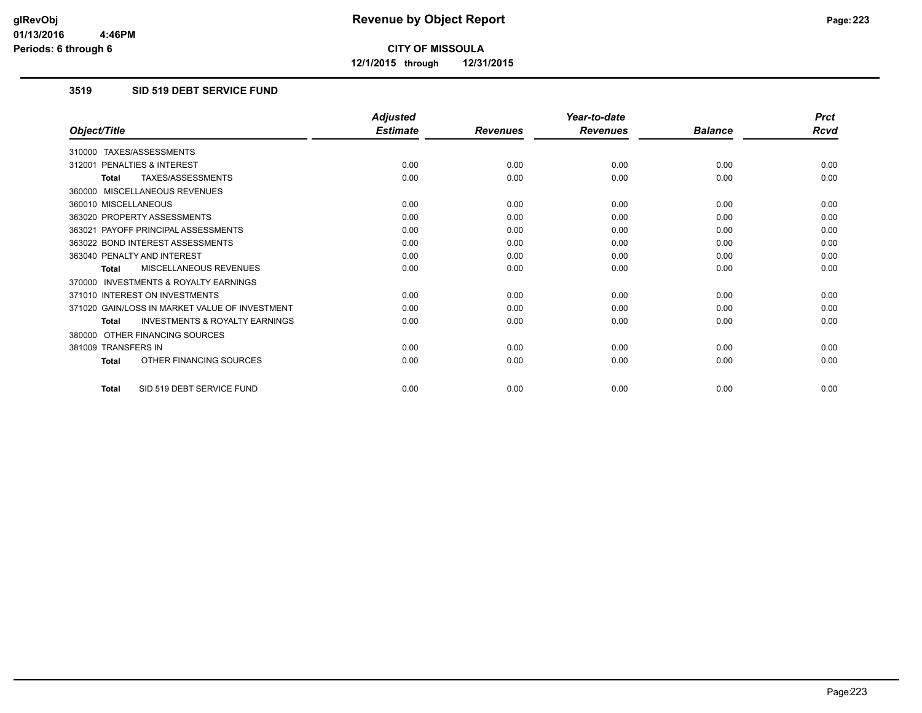**12/1/2015 through 12/31/2015**

#### **3519 SID 519 DEBT SERVICE FUND**

|                                                    | <b>Adjusted</b> |                 | Year-to-date    |                | <b>Prct</b> |
|----------------------------------------------------|-----------------|-----------------|-----------------|----------------|-------------|
| Object/Title                                       | <b>Estimate</b> | <b>Revenues</b> | <b>Revenues</b> | <b>Balance</b> | <b>Rcvd</b> |
| 310000 TAXES/ASSESSMENTS                           |                 |                 |                 |                |             |
| PENALTIES & INTEREST<br>312001                     | 0.00            | 0.00            | 0.00            | 0.00           | 0.00        |
| TAXES/ASSESSMENTS<br><b>Total</b>                  | 0.00            | 0.00            | 0.00            | 0.00           | 0.00        |
| 360000 MISCELLANEOUS REVENUES                      |                 |                 |                 |                |             |
| 360010 MISCELLANEOUS                               | 0.00            | 0.00            | 0.00            | 0.00           | 0.00        |
| 363020 PROPERTY ASSESSMENTS                        | 0.00            | 0.00            | 0.00            | 0.00           | 0.00        |
| 363021 PAYOFF PRINCIPAL ASSESSMENTS                | 0.00            | 0.00            | 0.00            | 0.00           | 0.00        |
| 363022 BOND INTEREST ASSESSMENTS                   | 0.00            | 0.00            | 0.00            | 0.00           | 0.00        |
| 363040 PENALTY AND INTEREST                        | 0.00            | 0.00            | 0.00            | 0.00           | 0.00        |
| MISCELLANEOUS REVENUES<br><b>Total</b>             | 0.00            | 0.00            | 0.00            | 0.00           | 0.00        |
| 370000 INVESTMENTS & ROYALTY EARNINGS              |                 |                 |                 |                |             |
| 371010 INTEREST ON INVESTMENTS                     | 0.00            | 0.00            | 0.00            | 0.00           | 0.00        |
| 371020 GAIN/LOSS IN MARKET VALUE OF INVESTMENT     | 0.00            | 0.00            | 0.00            | 0.00           | 0.00        |
| <b>INVESTMENTS &amp; ROYALTY EARNINGS</b><br>Total | 0.00            | 0.00            | 0.00            | 0.00           | 0.00        |
| 380000 OTHER FINANCING SOURCES                     |                 |                 |                 |                |             |
| 381009 TRANSFERS IN                                | 0.00            | 0.00            | 0.00            | 0.00           | 0.00        |
| OTHER FINANCING SOURCES<br>Total                   | 0.00            | 0.00            | 0.00            | 0.00           | 0.00        |
| SID 519 DEBT SERVICE FUND<br><b>Total</b>          | 0.00            | 0.00            | 0.00            | 0.00           | 0.00        |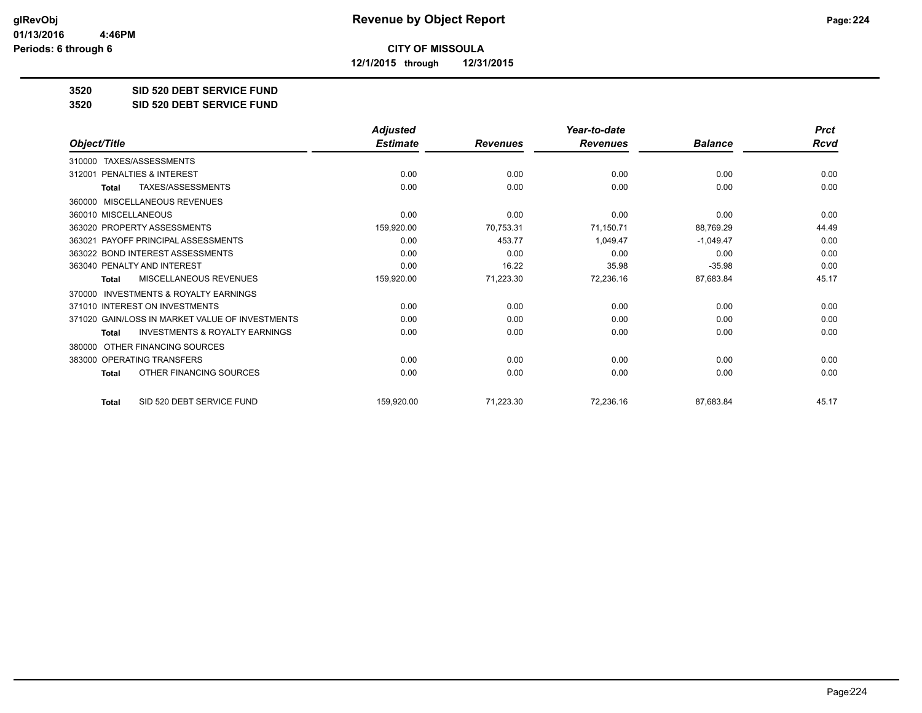**12/1/2015 through 12/31/2015**

#### **3520 SID 520 DEBT SERVICE FUND**

**3520 SID 520 DEBT SERVICE FUND**

|                                                           | <b>Adjusted</b> |                 | Year-to-date    |                | <b>Prct</b> |
|-----------------------------------------------------------|-----------------|-----------------|-----------------|----------------|-------------|
| Object/Title                                              | <b>Estimate</b> | <b>Revenues</b> | <b>Revenues</b> | <b>Balance</b> | <b>Rcvd</b> |
| TAXES/ASSESSMENTS<br>310000                               |                 |                 |                 |                |             |
| PENALTIES & INTEREST<br>312001                            | 0.00            | 0.00            | 0.00            | 0.00           | 0.00        |
| TAXES/ASSESSMENTS<br><b>Total</b>                         | 0.00            | 0.00            | 0.00            | 0.00           | 0.00        |
| MISCELLANEOUS REVENUES<br>360000                          |                 |                 |                 |                |             |
| 360010 MISCELLANEOUS                                      | 0.00            | 0.00            | 0.00            | 0.00           | 0.00        |
| 363020 PROPERTY ASSESSMENTS                               | 159,920.00      | 70,753.31       | 71,150.71       | 88,769.29      | 44.49       |
| 363021 PAYOFF PRINCIPAL ASSESSMENTS                       | 0.00            | 453.77          | 1,049.47        | $-1,049.47$    | 0.00        |
| 363022 BOND INTEREST ASSESSMENTS                          | 0.00            | 0.00            | 0.00            | 0.00           | 0.00        |
| 363040 PENALTY AND INTEREST                               | 0.00            | 16.22           | 35.98           | $-35.98$       | 0.00        |
| MISCELLANEOUS REVENUES<br>Total                           | 159,920.00      | 71,223.30       | 72,236.16       | 87,683.84      | 45.17       |
| <b>INVESTMENTS &amp; ROYALTY EARNINGS</b><br>370000       |                 |                 |                 |                |             |
| 371010 INTEREST ON INVESTMENTS                            | 0.00            | 0.00            | 0.00            | 0.00           | 0.00        |
| 371020 GAIN/LOSS IN MARKET VALUE OF INVESTMENTS           | 0.00            | 0.00            | 0.00            | 0.00           | 0.00        |
| <b>INVESTMENTS &amp; ROYALTY EARNINGS</b><br><b>Total</b> | 0.00            | 0.00            | 0.00            | 0.00           | 0.00        |
| OTHER FINANCING SOURCES<br>380000                         |                 |                 |                 |                |             |
| 383000 OPERATING TRANSFERS                                | 0.00            | 0.00            | 0.00            | 0.00           | 0.00        |
| OTHER FINANCING SOURCES<br><b>Total</b>                   | 0.00            | 0.00            | 0.00            | 0.00           | 0.00        |
| SID 520 DEBT SERVICE FUND<br><b>Total</b>                 | 159,920.00      | 71,223.30       | 72,236.16       | 87,683.84      | 45.17       |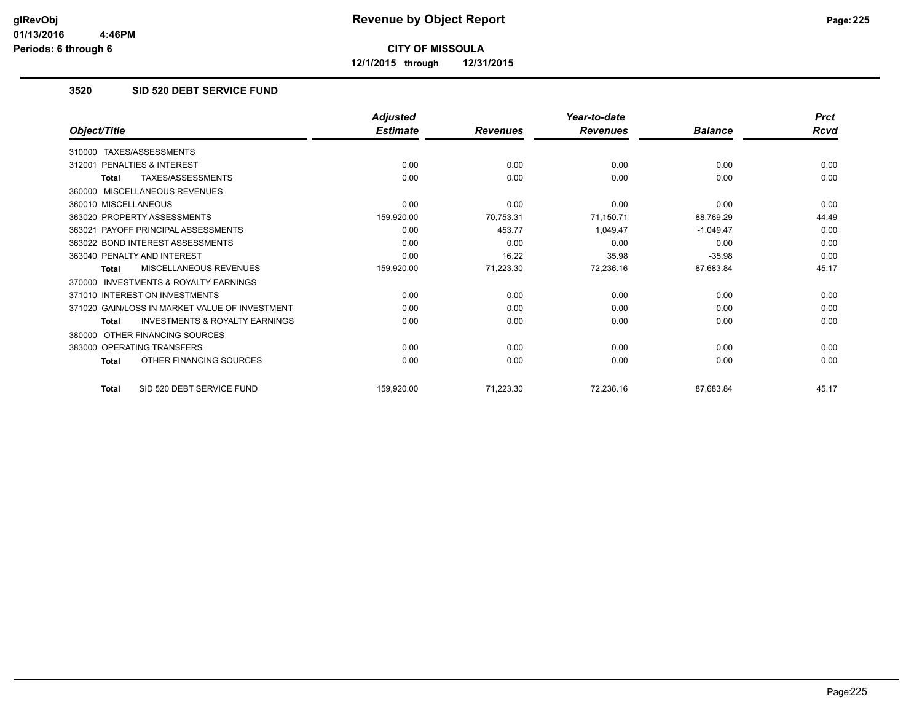**12/1/2015 through 12/31/2015**

### **3520 SID 520 DEBT SERVICE FUND**

|                                                    | <b>Adjusted</b> |                 | Year-to-date    |                | <b>Prct</b> |
|----------------------------------------------------|-----------------|-----------------|-----------------|----------------|-------------|
| Object/Title                                       | <b>Estimate</b> | <b>Revenues</b> | <b>Revenues</b> | <b>Balance</b> | Rcvd        |
| 310000 TAXES/ASSESSMENTS                           |                 |                 |                 |                |             |
| PENALTIES & INTEREST<br>312001                     | 0.00            | 0.00            | 0.00            | 0.00           | 0.00        |
| TAXES/ASSESSMENTS<br>Total                         | 0.00            | 0.00            | 0.00            | 0.00           | 0.00        |
| 360000 MISCELLANEOUS REVENUES                      |                 |                 |                 |                |             |
| 360010 MISCELLANEOUS                               | 0.00            | 0.00            | 0.00            | 0.00           | 0.00        |
| 363020 PROPERTY ASSESSMENTS                        | 159,920.00      | 70,753.31       | 71,150.71       | 88,769.29      | 44.49       |
| 363021 PAYOFF PRINCIPAL ASSESSMENTS                | 0.00            | 453.77          | 1,049.47        | $-1,049.47$    | 0.00        |
| 363022 BOND INTEREST ASSESSMENTS                   | 0.00            | 0.00            | 0.00            | 0.00           | 0.00        |
| 363040 PENALTY AND INTEREST                        | 0.00            | 16.22           | 35.98           | $-35.98$       | 0.00        |
| MISCELLANEOUS REVENUES<br>Total                    | 159,920.00      | 71,223.30       | 72,236.16       | 87,683.84      | 45.17       |
| 370000 INVESTMENTS & ROYALTY EARNINGS              |                 |                 |                 |                |             |
| 371010 INTEREST ON INVESTMENTS                     | 0.00            | 0.00            | 0.00            | 0.00           | 0.00        |
| 371020 GAIN/LOSS IN MARKET VALUE OF INVESTMENT     | 0.00            | 0.00            | 0.00            | 0.00           | 0.00        |
| <b>INVESTMENTS &amp; ROYALTY EARNINGS</b><br>Total | 0.00            | 0.00            | 0.00            | 0.00           | 0.00        |
| OTHER FINANCING SOURCES<br>380000                  |                 |                 |                 |                |             |
| 383000 OPERATING TRANSFERS                         | 0.00            | 0.00            | 0.00            | 0.00           | 0.00        |
| OTHER FINANCING SOURCES<br>Total                   | 0.00            | 0.00            | 0.00            | 0.00           | 0.00        |
| SID 520 DEBT SERVICE FUND<br><b>Total</b>          | 159,920.00      | 71,223.30       | 72,236.16       | 87,683.84      | 45.17       |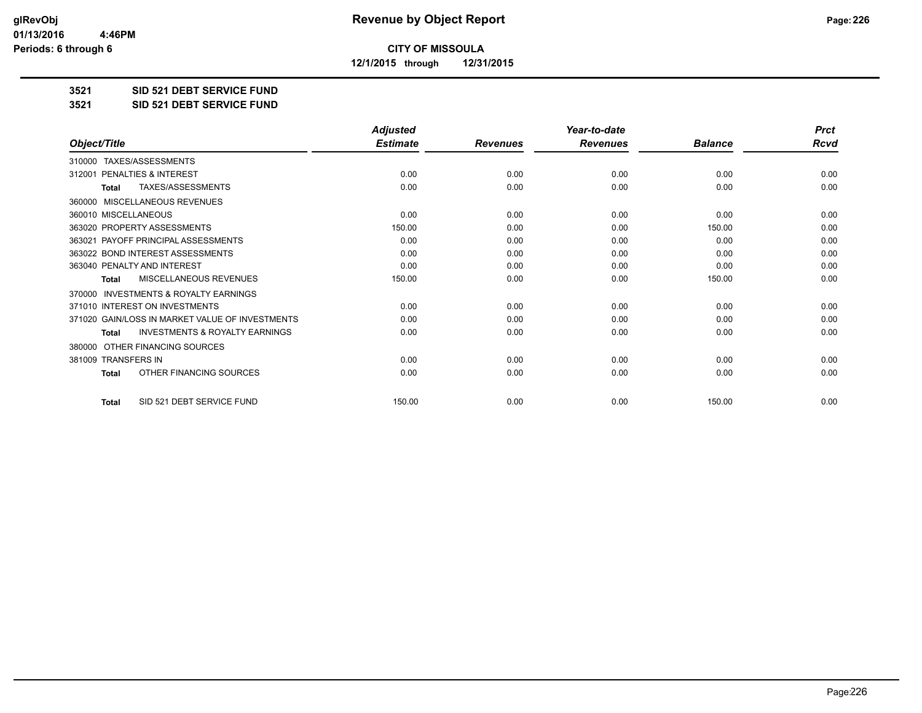**12/1/2015 through 12/31/2015**

#### **3521 SID 521 DEBT SERVICE FUND**

**3521 SID 521 DEBT SERVICE FUND**

|                                                           | <b>Adjusted</b> |                 | Year-to-date    |                | <b>Prct</b> |
|-----------------------------------------------------------|-----------------|-----------------|-----------------|----------------|-------------|
| Object/Title                                              | <b>Estimate</b> | <b>Revenues</b> | <b>Revenues</b> | <b>Balance</b> | <b>Rcvd</b> |
| TAXES/ASSESSMENTS<br>310000                               |                 |                 |                 |                |             |
| 312001 PENALTIES & INTEREST                               | 0.00            | 0.00            | 0.00            | 0.00           | 0.00        |
| TAXES/ASSESSMENTS<br><b>Total</b>                         | 0.00            | 0.00            | 0.00            | 0.00           | 0.00        |
| MISCELLANEOUS REVENUES<br>360000                          |                 |                 |                 |                |             |
| 360010 MISCELLANEOUS                                      | 0.00            | 0.00            | 0.00            | 0.00           | 0.00        |
| 363020 PROPERTY ASSESSMENTS                               | 150.00          | 0.00            | 0.00            | 150.00         | 0.00        |
| 363021 PAYOFF PRINCIPAL ASSESSMENTS                       | 0.00            | 0.00            | 0.00            | 0.00           | 0.00        |
| 363022 BOND INTEREST ASSESSMENTS                          | 0.00            | 0.00            | 0.00            | 0.00           | 0.00        |
| 363040 PENALTY AND INTEREST                               | 0.00            | 0.00            | 0.00            | 0.00           | 0.00        |
| <b>MISCELLANEOUS REVENUES</b><br><b>Total</b>             | 150.00          | 0.00            | 0.00            | 150.00         | 0.00        |
| <b>INVESTMENTS &amp; ROYALTY EARNINGS</b><br>370000       |                 |                 |                 |                |             |
| 371010 INTEREST ON INVESTMENTS                            | 0.00            | 0.00            | 0.00            | 0.00           | 0.00        |
| 371020 GAIN/LOSS IN MARKET VALUE OF INVESTMENTS           | 0.00            | 0.00            | 0.00            | 0.00           | 0.00        |
| <b>INVESTMENTS &amp; ROYALTY EARNINGS</b><br><b>Total</b> | 0.00            | 0.00            | 0.00            | 0.00           | 0.00        |
| OTHER FINANCING SOURCES<br>380000                         |                 |                 |                 |                |             |
| 381009 TRANSFERS IN                                       | 0.00            | 0.00            | 0.00            | 0.00           | 0.00        |
| OTHER FINANCING SOURCES<br>Total                          | 0.00            | 0.00            | 0.00            | 0.00           | 0.00        |
| SID 521 DEBT SERVICE FUND<br><b>Total</b>                 | 150.00          | 0.00            | 0.00            | 150.00         | 0.00        |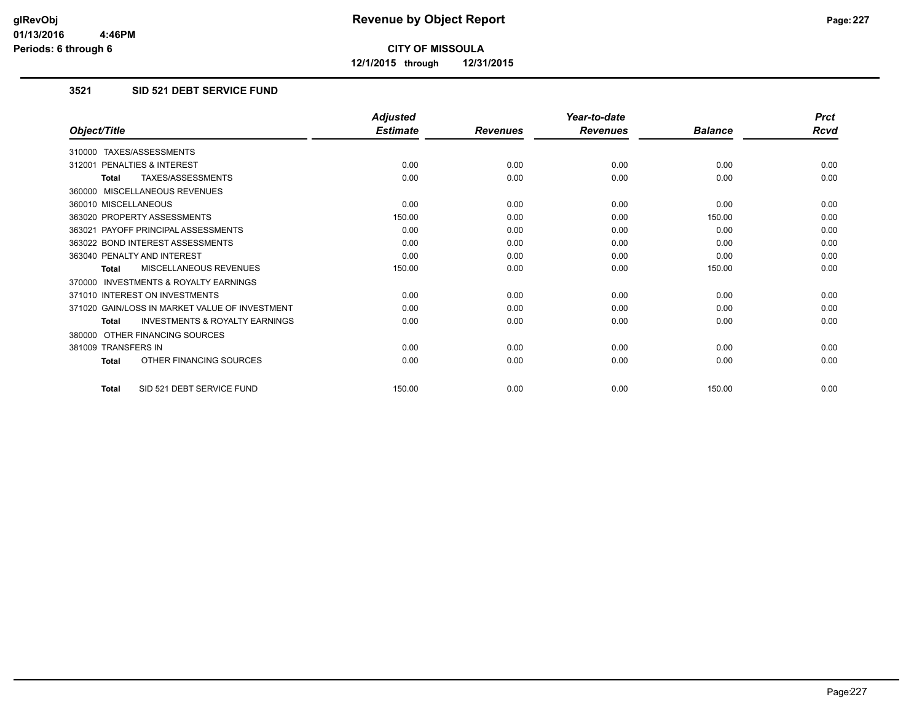**12/1/2015 through 12/31/2015**

### **3521 SID 521 DEBT SERVICE FUND**

|                                                           | <b>Adjusted</b> |                 | Year-to-date    |                | <b>Prct</b> |
|-----------------------------------------------------------|-----------------|-----------------|-----------------|----------------|-------------|
| Object/Title                                              | <b>Estimate</b> | <b>Revenues</b> | <b>Revenues</b> | <b>Balance</b> | <b>Rcvd</b> |
| 310000 TAXES/ASSESSMENTS                                  |                 |                 |                 |                |             |
| 312001 PENALTIES & INTEREST                               | 0.00            | 0.00            | 0.00            | 0.00           | 0.00        |
| <b>TAXES/ASSESSMENTS</b><br><b>Total</b>                  | 0.00            | 0.00            | 0.00            | 0.00           | 0.00        |
| 360000 MISCELLANEOUS REVENUES                             |                 |                 |                 |                |             |
| 360010 MISCELLANEOUS                                      | 0.00            | 0.00            | 0.00            | 0.00           | 0.00        |
| 363020 PROPERTY ASSESSMENTS                               | 150.00          | 0.00            | 0.00            | 150.00         | 0.00        |
| 363021 PAYOFF PRINCIPAL ASSESSMENTS                       | 0.00            | 0.00            | 0.00            | 0.00           | 0.00        |
| 363022 BOND INTEREST ASSESSMENTS                          | 0.00            | 0.00            | 0.00            | 0.00           | 0.00        |
| 363040 PENALTY AND INTEREST                               | 0.00            | 0.00            | 0.00            | 0.00           | 0.00        |
| MISCELLANEOUS REVENUES<br><b>Total</b>                    | 150.00          | 0.00            | 0.00            | 150.00         | 0.00        |
| <b>INVESTMENTS &amp; ROYALTY EARNINGS</b><br>370000       |                 |                 |                 |                |             |
| 371010 INTEREST ON INVESTMENTS                            | 0.00            | 0.00            | 0.00            | 0.00           | 0.00        |
| 371020 GAIN/LOSS IN MARKET VALUE OF INVESTMENT            | 0.00            | 0.00            | 0.00            | 0.00           | 0.00        |
| <b>INVESTMENTS &amp; ROYALTY EARNINGS</b><br><b>Total</b> | 0.00            | 0.00            | 0.00            | 0.00           | 0.00        |
| 380000 OTHER FINANCING SOURCES                            |                 |                 |                 |                |             |
| 381009 TRANSFERS IN                                       | 0.00            | 0.00            | 0.00            | 0.00           | 0.00        |
| OTHER FINANCING SOURCES<br><b>Total</b>                   | 0.00            | 0.00            | 0.00            | 0.00           | 0.00        |
| SID 521 DEBT SERVICE FUND<br>Total                        | 150.00          | 0.00            | 0.00            | 150.00         | 0.00        |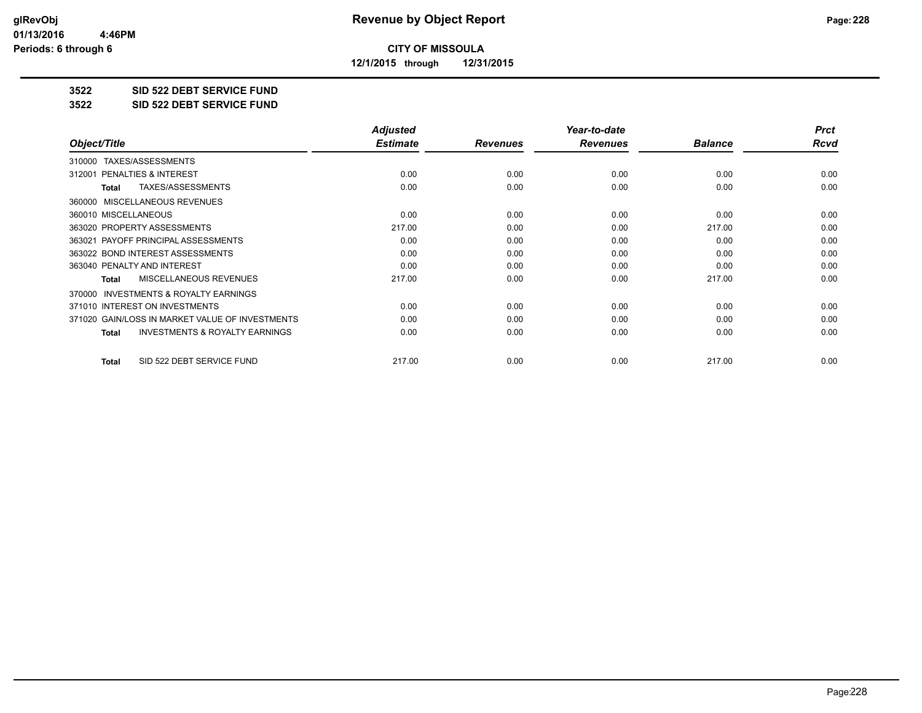**12/1/2015 through 12/31/2015**

#### **3522 SID 522 DEBT SERVICE FUND**

**3522 SID 522 DEBT SERVICE FUND**

|                                                           | <b>Adjusted</b> |                 | Year-to-date    |                | <b>Prct</b> |
|-----------------------------------------------------------|-----------------|-----------------|-----------------|----------------|-------------|
| Object/Title                                              | <b>Estimate</b> | <b>Revenues</b> | <b>Revenues</b> | <b>Balance</b> | Rcvd        |
| TAXES/ASSESSMENTS<br>310000                               |                 |                 |                 |                |             |
| 312001 PENALTIES & INTEREST                               | 0.00            | 0.00            | 0.00            | 0.00           | 0.00        |
| TAXES/ASSESSMENTS<br>Total                                | 0.00            | 0.00            | 0.00            | 0.00           | 0.00        |
| MISCELLANEOUS REVENUES<br>360000                          |                 |                 |                 |                |             |
| 360010 MISCELLANEOUS                                      | 0.00            | 0.00            | 0.00            | 0.00           | 0.00        |
| 363020 PROPERTY ASSESSMENTS                               | 217.00          | 0.00            | 0.00            | 217.00         | 0.00        |
| 363021 PAYOFF PRINCIPAL ASSESSMENTS                       | 0.00            | 0.00            | 0.00            | 0.00           | 0.00        |
| 363022 BOND INTEREST ASSESSMENTS                          | 0.00            | 0.00            | 0.00            | 0.00           | 0.00        |
| 363040 PENALTY AND INTEREST                               | 0.00            | 0.00            | 0.00            | 0.00           | 0.00        |
| <b>MISCELLANEOUS REVENUES</b><br><b>Total</b>             | 217.00          | 0.00            | 0.00            | 217.00         | 0.00        |
| 370000 INVESTMENTS & ROYALTY EARNINGS                     |                 |                 |                 |                |             |
| 371010 INTEREST ON INVESTMENTS                            | 0.00            | 0.00            | 0.00            | 0.00           | 0.00        |
| 371020 GAIN/LOSS IN MARKET VALUE OF INVESTMENTS           | 0.00            | 0.00            | 0.00            | 0.00           | 0.00        |
| <b>INVESTMENTS &amp; ROYALTY EARNINGS</b><br><b>Total</b> | 0.00            | 0.00            | 0.00            | 0.00           | 0.00        |
| SID 522 DEBT SERVICE FUND<br><b>Total</b>                 | 217.00          | 0.00            | 0.00            | 217.00         | 0.00        |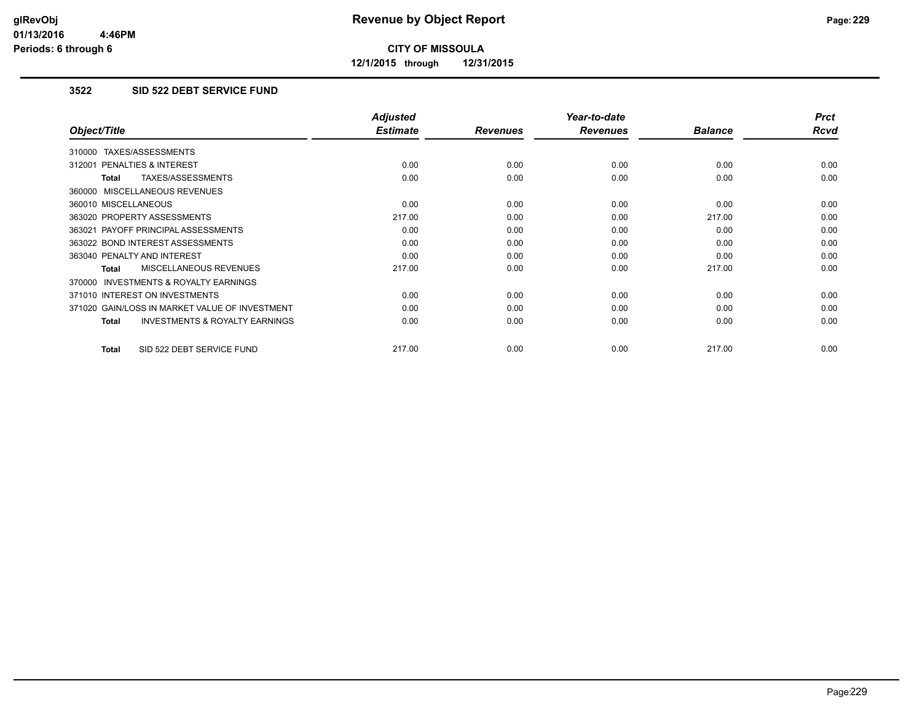**12/1/2015 through 12/31/2015**

#### **3522 SID 522 DEBT SERVICE FUND**

|                                                    | <b>Adjusted</b> |                 | Year-to-date    |                | <b>Prct</b> |
|----------------------------------------------------|-----------------|-----------------|-----------------|----------------|-------------|
| Object/Title                                       | <b>Estimate</b> | <b>Revenues</b> | <b>Revenues</b> | <b>Balance</b> | <b>Rcvd</b> |
| 310000 TAXES/ASSESSMENTS                           |                 |                 |                 |                |             |
| 312001 PENALTIES & INTEREST                        | 0.00            | 0.00            | 0.00            | 0.00           | 0.00        |
| <b>TAXES/ASSESSMENTS</b><br>Total                  | 0.00            | 0.00            | 0.00            | 0.00           | 0.00        |
| 360000 MISCELLANEOUS REVENUES                      |                 |                 |                 |                |             |
| 360010 MISCELLANEOUS                               | 0.00            | 0.00            | 0.00            | 0.00           | 0.00        |
| 363020 PROPERTY ASSESSMENTS                        | 217.00          | 0.00            | 0.00            | 217.00         | 0.00        |
| 363021 PAYOFF PRINCIPAL ASSESSMENTS                | 0.00            | 0.00            | 0.00            | 0.00           | 0.00        |
| 363022 BOND INTEREST ASSESSMENTS                   | 0.00            | 0.00            | 0.00            | 0.00           | 0.00        |
| 363040 PENALTY AND INTEREST                        | 0.00            | 0.00            | 0.00            | 0.00           | 0.00        |
| MISCELLANEOUS REVENUES<br>Total                    | 217.00          | 0.00            | 0.00            | 217.00         | 0.00        |
| INVESTMENTS & ROYALTY EARNINGS<br>370000           |                 |                 |                 |                |             |
| 371010 INTEREST ON INVESTMENTS                     | 0.00            | 0.00            | 0.00            | 0.00           | 0.00        |
| 371020 GAIN/LOSS IN MARKET VALUE OF INVESTMENT     | 0.00            | 0.00            | 0.00            | 0.00           | 0.00        |
| <b>INVESTMENTS &amp; ROYALTY EARNINGS</b><br>Total | 0.00            | 0.00            | 0.00            | 0.00           | 0.00        |
| SID 522 DEBT SERVICE FUND<br><b>Total</b>          | 217.00          | 0.00            | 0.00            | 217.00         | 0.00        |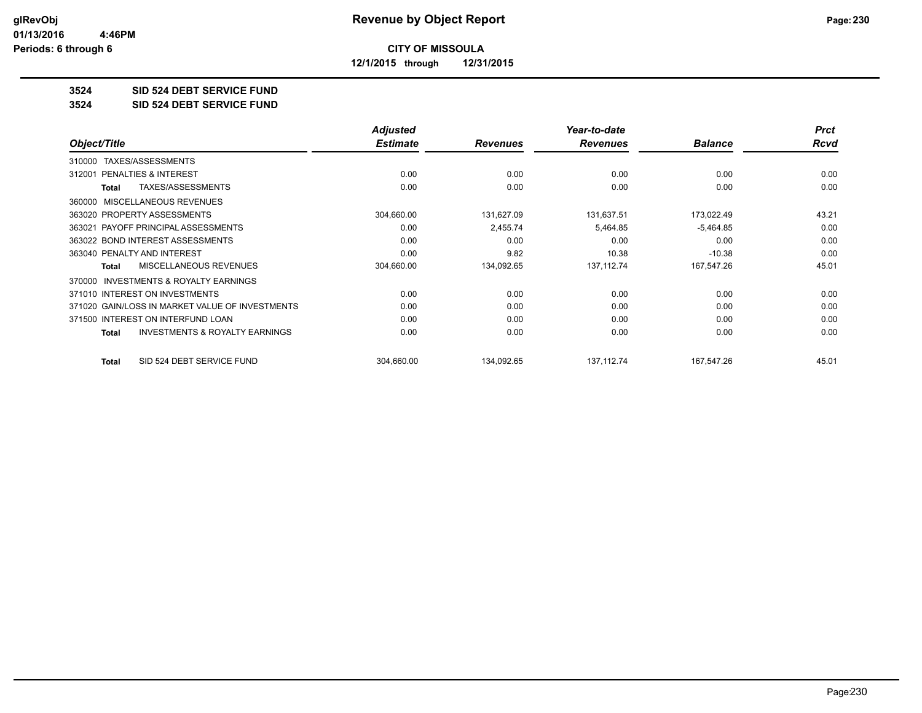**12/1/2015 through 12/31/2015**

#### **3524 SID 524 DEBT SERVICE FUND**

**3524 SID 524 DEBT SERVICE FUND**

|                                                    | <b>Adjusted</b> |                 | Year-to-date    |                | <b>Prct</b> |
|----------------------------------------------------|-----------------|-----------------|-----------------|----------------|-------------|
| Object/Title                                       | <b>Estimate</b> | <b>Revenues</b> | <b>Revenues</b> | <b>Balance</b> | Rcvd        |
| TAXES/ASSESSMENTS<br>310000                        |                 |                 |                 |                |             |
| PENALTIES & INTEREST<br>312001                     | 0.00            | 0.00            | 0.00            | 0.00           | 0.00        |
| TAXES/ASSESSMENTS<br>Total                         | 0.00            | 0.00            | 0.00            | 0.00           | 0.00        |
| MISCELLANEOUS REVENUES<br>360000                   |                 |                 |                 |                |             |
| 363020 PROPERTY ASSESSMENTS                        | 304,660.00      | 131,627.09      | 131,637.51      | 173,022.49     | 43.21       |
| 363021 PAYOFF PRINCIPAL ASSESSMENTS                | 0.00            | 2,455.74        | 5,464.85        | $-5,464.85$    | 0.00        |
| 363022 BOND INTEREST ASSESSMENTS                   | 0.00            | 0.00            | 0.00            | 0.00           | 0.00        |
| 363040 PENALTY AND INTEREST                        | 0.00            | 9.82            | 10.38           | $-10.38$       | 0.00        |
| MISCELLANEOUS REVENUES<br>Total                    | 304,660.00      | 134,092.65      | 137, 112.74     | 167,547.26     | 45.01       |
| INVESTMENTS & ROYALTY EARNINGS<br>370000           |                 |                 |                 |                |             |
| 371010 INTEREST ON INVESTMENTS                     | 0.00            | 0.00            | 0.00            | 0.00           | 0.00        |
| 371020 GAIN/LOSS IN MARKET VALUE OF INVESTMENTS    | 0.00            | 0.00            | 0.00            | 0.00           | 0.00        |
| 371500 INTEREST ON INTERFUND LOAN                  | 0.00            | 0.00            | 0.00            | 0.00           | 0.00        |
| <b>INVESTMENTS &amp; ROYALTY EARNINGS</b><br>Total | 0.00            | 0.00            | 0.00            | 0.00           | 0.00        |
| SID 524 DEBT SERVICE FUND<br>Total                 | 304,660.00      | 134,092.65      | 137, 112. 74    | 167,547.26     | 45.01       |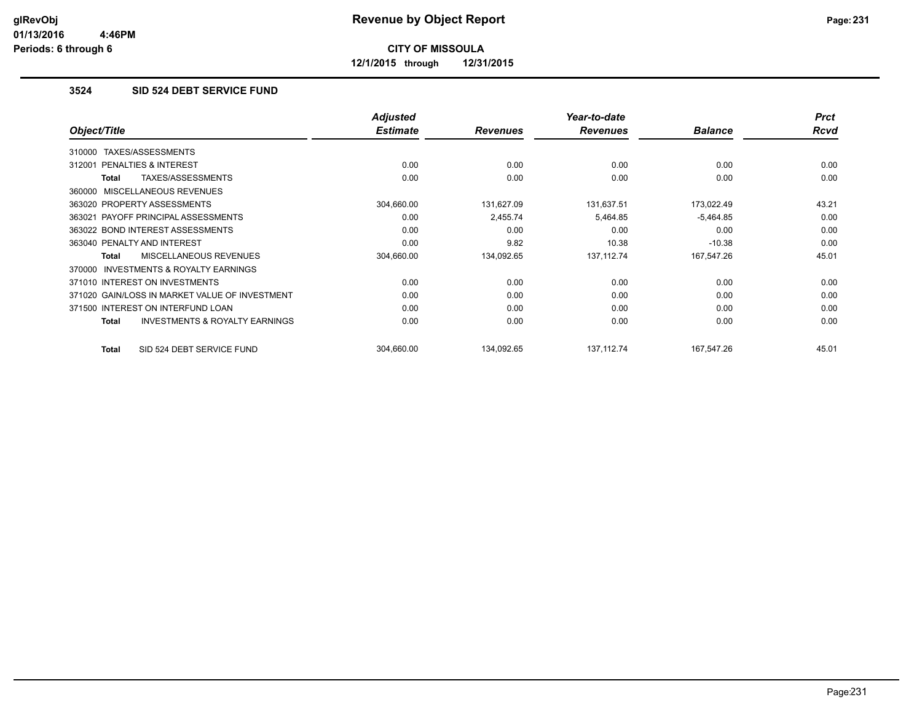**12/1/2015 through 12/31/2015**

#### **3524 SID 524 DEBT SERVICE FUND**

|                                                           | <b>Adjusted</b> |                 | Year-to-date    |                | <b>Prct</b> |
|-----------------------------------------------------------|-----------------|-----------------|-----------------|----------------|-------------|
| Object/Title                                              | <b>Estimate</b> | <b>Revenues</b> | <b>Revenues</b> | <b>Balance</b> | Rcvd        |
| 310000 TAXES/ASSESSMENTS                                  |                 |                 |                 |                |             |
| 312001 PENALTIES & INTEREST                               | 0.00            | 0.00            | 0.00            | 0.00           | 0.00        |
| TAXES/ASSESSMENTS<br><b>Total</b>                         | 0.00            | 0.00            | 0.00            | 0.00           | 0.00        |
| 360000 MISCELLANEOUS REVENUES                             |                 |                 |                 |                |             |
| 363020 PROPERTY ASSESSMENTS                               | 304,660.00      | 131,627.09      | 131,637.51      | 173,022.49     | 43.21       |
| 363021 PAYOFF PRINCIPAL ASSESSMENTS                       | 0.00            | 2,455.74        | 5,464.85        | $-5,464.85$    | 0.00        |
| 363022 BOND INTEREST ASSESSMENTS                          | 0.00            | 0.00            | 0.00            | 0.00           | 0.00        |
| 363040 PENALTY AND INTEREST                               | 0.00            | 9.82            | 10.38           | $-10.38$       | 0.00        |
| <b>MISCELLANEOUS REVENUES</b><br><b>Total</b>             | 304,660.00      | 134,092.65      | 137, 112.74     | 167,547.26     | 45.01       |
| INVESTMENTS & ROYALTY EARNINGS<br>370000                  |                 |                 |                 |                |             |
| 371010 INTEREST ON INVESTMENTS                            | 0.00            | 0.00            | 0.00            | 0.00           | 0.00        |
| 371020 GAIN/LOSS IN MARKET VALUE OF INVESTMENT            | 0.00            | 0.00            | 0.00            | 0.00           | 0.00        |
| 371500 INTEREST ON INTERFUND LOAN                         | 0.00            | 0.00            | 0.00            | 0.00           | 0.00        |
| <b>INVESTMENTS &amp; ROYALTY EARNINGS</b><br><b>Total</b> | 0.00            | 0.00            | 0.00            | 0.00           | 0.00        |
| SID 524 DEBT SERVICE FUND<br><b>Total</b>                 | 304,660.00      | 134,092.65      | 137, 112.74     | 167,547.26     | 45.01       |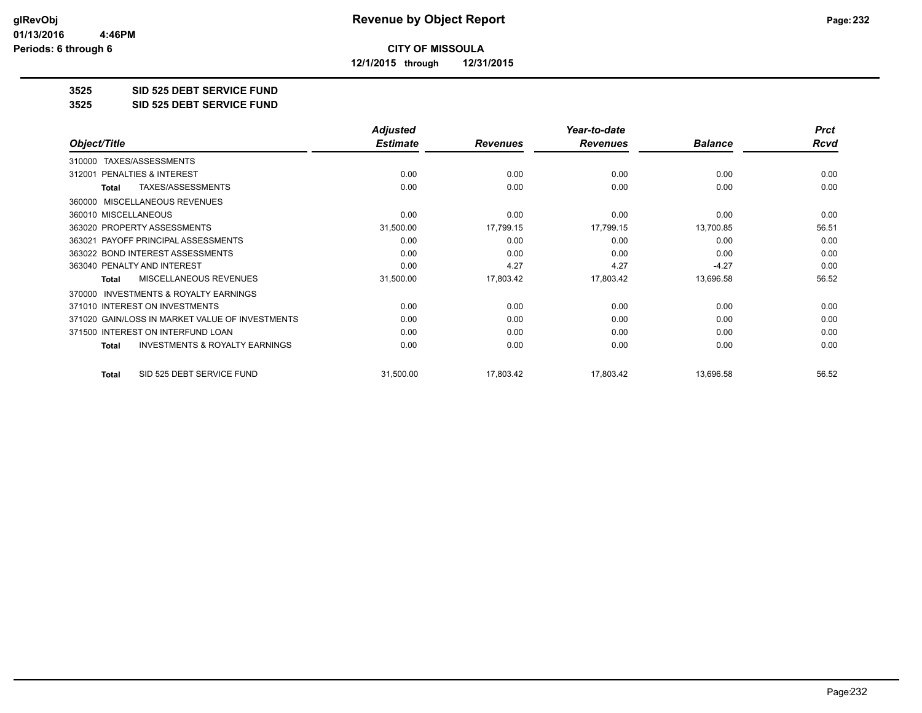**12/1/2015 through 12/31/2015**

#### **3525 SID 525 DEBT SERVICE FUND**

**3525 SID 525 DEBT SERVICE FUND**

|                                                           | <b>Adjusted</b> |                 | Year-to-date    |                | <b>Prct</b> |
|-----------------------------------------------------------|-----------------|-----------------|-----------------|----------------|-------------|
| Object/Title                                              | <b>Estimate</b> | <b>Revenues</b> | <b>Revenues</b> | <b>Balance</b> | Rcvd        |
| TAXES/ASSESSMENTS<br>310000                               |                 |                 |                 |                |             |
| <b>PENALTIES &amp; INTEREST</b><br>312001                 | 0.00            | 0.00            | 0.00            | 0.00           | 0.00        |
| TAXES/ASSESSMENTS<br><b>Total</b>                         | 0.00            | 0.00            | 0.00            | 0.00           | 0.00        |
| MISCELLANEOUS REVENUES<br>360000                          |                 |                 |                 |                |             |
| 360010 MISCELLANEOUS                                      | 0.00            | 0.00            | 0.00            | 0.00           | 0.00        |
| 363020 PROPERTY ASSESSMENTS                               | 31,500.00       | 17,799.15       | 17,799.15       | 13,700.85      | 56.51       |
| 363021 PAYOFF PRINCIPAL ASSESSMENTS                       | 0.00            | 0.00            | 0.00            | 0.00           | 0.00        |
| 363022 BOND INTEREST ASSESSMENTS                          | 0.00            | 0.00            | 0.00            | 0.00           | 0.00        |
| 363040 PENALTY AND INTEREST                               | 0.00            | 4.27            | 4.27            | $-4.27$        | 0.00        |
| <b>MISCELLANEOUS REVENUES</b><br><b>Total</b>             | 31,500.00       | 17,803.42       | 17,803.42       | 13,696.58      | 56.52       |
| <b>INVESTMENTS &amp; ROYALTY EARNINGS</b><br>370000       |                 |                 |                 |                |             |
| 371010 INTEREST ON INVESTMENTS                            | 0.00            | 0.00            | 0.00            | 0.00           | 0.00        |
| 371020 GAIN/LOSS IN MARKET VALUE OF INVESTMENTS           | 0.00            | 0.00            | 0.00            | 0.00           | 0.00        |
| 371500 INTEREST ON INTERFUND LOAN                         | 0.00            | 0.00            | 0.00            | 0.00           | 0.00        |
| <b>INVESTMENTS &amp; ROYALTY EARNINGS</b><br><b>Total</b> | 0.00            | 0.00            | 0.00            | 0.00           | 0.00        |
| SID 525 DEBT SERVICE FUND<br><b>Total</b>                 | 31,500.00       | 17,803.42       | 17,803.42       | 13,696.58      | 56.52       |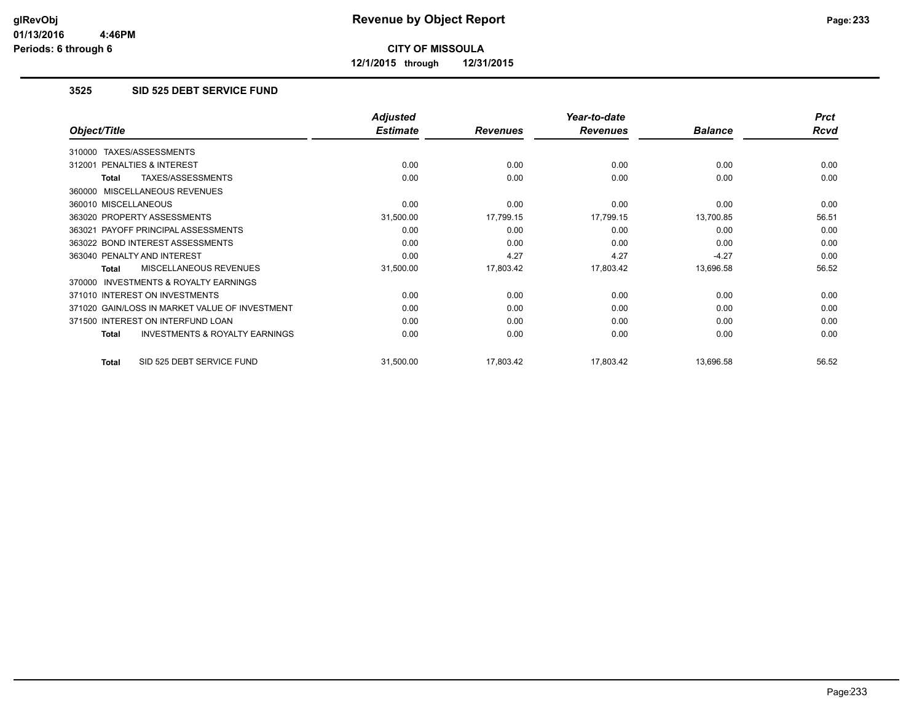**12/1/2015 through 12/31/2015**

### **3525 SID 525 DEBT SERVICE FUND**

|                                                    | <b>Adjusted</b> |                 | Year-to-date    |                | <b>Prct</b> |
|----------------------------------------------------|-----------------|-----------------|-----------------|----------------|-------------|
| Object/Title                                       | <b>Estimate</b> | <b>Revenues</b> | <b>Revenues</b> | <b>Balance</b> | Rcvd        |
| TAXES/ASSESSMENTS<br>310000                        |                 |                 |                 |                |             |
| PENALTIES & INTEREST<br>312001                     | 0.00            | 0.00            | 0.00            | 0.00           | 0.00        |
| TAXES/ASSESSMENTS<br><b>Total</b>                  | 0.00            | 0.00            | 0.00            | 0.00           | 0.00        |
| 360000 MISCELLANEOUS REVENUES                      |                 |                 |                 |                |             |
| 360010 MISCELLANEOUS                               | 0.00            | 0.00            | 0.00            | 0.00           | 0.00        |
| 363020 PROPERTY ASSESSMENTS                        | 31,500.00       | 17,799.15       | 17,799.15       | 13,700.85      | 56.51       |
| 363021 PAYOFF PRINCIPAL ASSESSMENTS                | 0.00            | 0.00            | 0.00            | 0.00           | 0.00        |
| 363022 BOND INTEREST ASSESSMENTS                   | 0.00            | 0.00            | 0.00            | 0.00           | 0.00        |
| 363040 PENALTY AND INTEREST                        | 0.00            | 4.27            | 4.27            | $-4.27$        | 0.00        |
| <b>MISCELLANEOUS REVENUES</b><br><b>Total</b>      | 31,500.00       | 17,803.42       | 17,803.42       | 13,696.58      | 56.52       |
| 370000 INVESTMENTS & ROYALTY EARNINGS              |                 |                 |                 |                |             |
| 371010 INTEREST ON INVESTMENTS                     | 0.00            | 0.00            | 0.00            | 0.00           | 0.00        |
| 371020 GAIN/LOSS IN MARKET VALUE OF INVESTMENT     | 0.00            | 0.00            | 0.00            | 0.00           | 0.00        |
| 371500 INTEREST ON INTERFUND LOAN                  | 0.00            | 0.00            | 0.00            | 0.00           | 0.00        |
| <b>INVESTMENTS &amp; ROYALTY EARNINGS</b><br>Total | 0.00            | 0.00            | 0.00            | 0.00           | 0.00        |
| SID 525 DEBT SERVICE FUND<br>Total                 | 31,500.00       | 17,803.42       | 17,803.42       | 13,696.58      | 56.52       |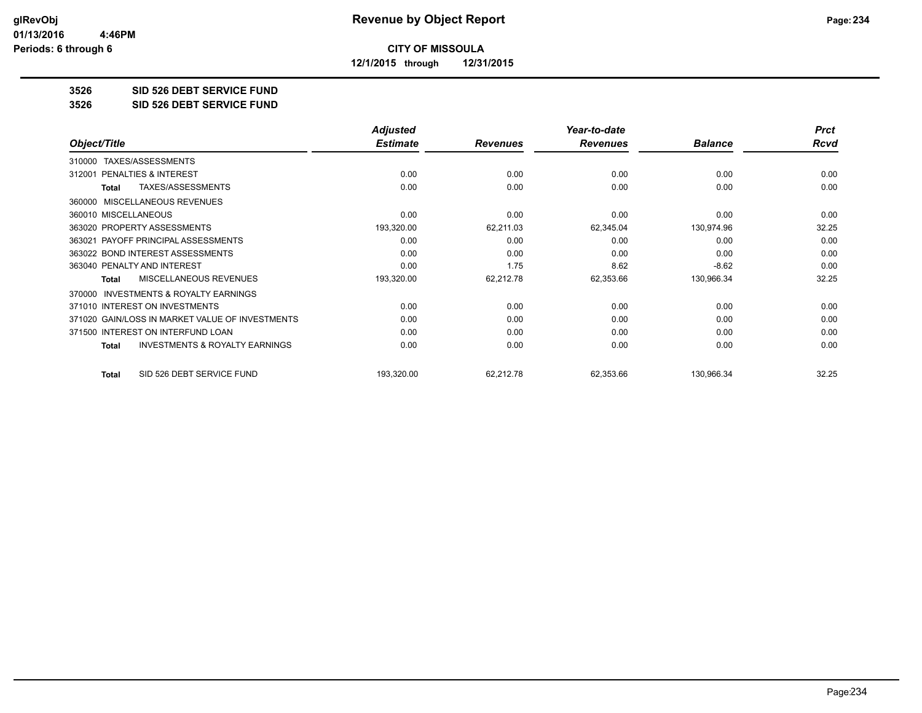**12/1/2015 through 12/31/2015**

#### **3526 SID 526 DEBT SERVICE FUND**

**3526 SID 526 DEBT SERVICE FUND**

|                                                           | <b>Adjusted</b> |                 | Year-to-date    |                | <b>Prct</b> |
|-----------------------------------------------------------|-----------------|-----------------|-----------------|----------------|-------------|
| Object/Title                                              | <b>Estimate</b> | <b>Revenues</b> | <b>Revenues</b> | <b>Balance</b> | Rcvd        |
| TAXES/ASSESSMENTS<br>310000                               |                 |                 |                 |                |             |
| <b>PENALTIES &amp; INTEREST</b><br>312001                 | 0.00            | 0.00            | 0.00            | 0.00           | 0.00        |
| TAXES/ASSESSMENTS<br><b>Total</b>                         | 0.00            | 0.00            | 0.00            | 0.00           | 0.00        |
| MISCELLANEOUS REVENUES<br>360000                          |                 |                 |                 |                |             |
| 360010 MISCELLANEOUS                                      | 0.00            | 0.00            | 0.00            | 0.00           | 0.00        |
| 363020 PROPERTY ASSESSMENTS                               | 193,320.00      | 62,211.03       | 62,345.04       | 130,974.96     | 32.25       |
| 363021 PAYOFF PRINCIPAL ASSESSMENTS                       | 0.00            | 0.00            | 0.00            | 0.00           | 0.00        |
| 363022 BOND INTEREST ASSESSMENTS                          | 0.00            | 0.00            | 0.00            | 0.00           | 0.00        |
| 363040 PENALTY AND INTEREST                               | 0.00            | 1.75            | 8.62            | $-8.62$        | 0.00        |
| <b>MISCELLANEOUS REVENUES</b><br>Total                    | 193,320.00      | 62,212.78       | 62,353.66       | 130,966.34     | 32.25       |
| INVESTMENTS & ROYALTY EARNINGS<br>370000                  |                 |                 |                 |                |             |
| 371010 INTEREST ON INVESTMENTS                            | 0.00            | 0.00            | 0.00            | 0.00           | 0.00        |
| 371020 GAIN/LOSS IN MARKET VALUE OF INVESTMENTS           | 0.00            | 0.00            | 0.00            | 0.00           | 0.00        |
| 371500 INTEREST ON INTERFUND LOAN                         | 0.00            | 0.00            | 0.00            | 0.00           | 0.00        |
| <b>INVESTMENTS &amp; ROYALTY EARNINGS</b><br><b>Total</b> | 0.00            | 0.00            | 0.00            | 0.00           | 0.00        |
| SID 526 DEBT SERVICE FUND<br><b>Total</b>                 | 193,320.00      | 62,212.78       | 62,353.66       | 130,966.34     | 32.25       |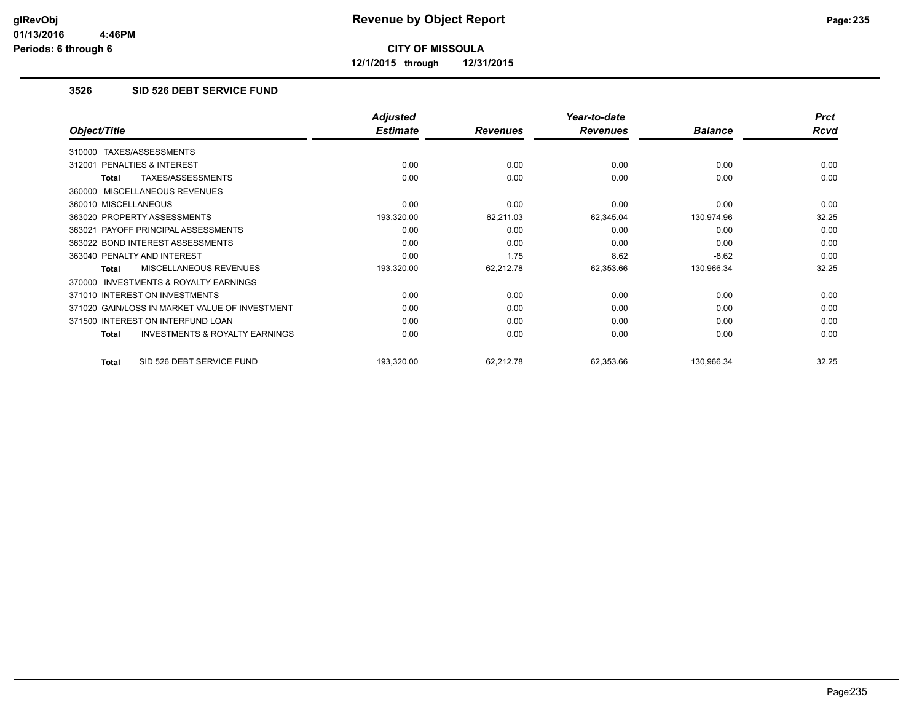**12/1/2015 through 12/31/2015**

### **3526 SID 526 DEBT SERVICE FUND**

|                                                    | <b>Adjusted</b> |                 | Year-to-date    |                | <b>Prct</b> |
|----------------------------------------------------|-----------------|-----------------|-----------------|----------------|-------------|
| Object/Title                                       | <b>Estimate</b> | <b>Revenues</b> | <b>Revenues</b> | <b>Balance</b> | Rcvd        |
| TAXES/ASSESSMENTS<br>310000                        |                 |                 |                 |                |             |
| <b>PENALTIES &amp; INTEREST</b><br>312001          | 0.00            | 0.00            | 0.00            | 0.00           | 0.00        |
| TAXES/ASSESSMENTS<br><b>Total</b>                  | 0.00            | 0.00            | 0.00            | 0.00           | 0.00        |
| 360000 MISCELLANEOUS REVENUES                      |                 |                 |                 |                |             |
| 360010 MISCELLANEOUS                               | 0.00            | 0.00            | 0.00            | 0.00           | 0.00        |
| 363020 PROPERTY ASSESSMENTS                        | 193,320.00      | 62,211.03       | 62,345.04       | 130,974.96     | 32.25       |
| 363021 PAYOFF PRINCIPAL ASSESSMENTS                | 0.00            | 0.00            | 0.00            | 0.00           | 0.00        |
| 363022 BOND INTEREST ASSESSMENTS                   | 0.00            | 0.00            | 0.00            | 0.00           | 0.00        |
| 363040 PENALTY AND INTEREST                        | 0.00            | 1.75            | 8.62            | $-8.62$        | 0.00        |
| <b>MISCELLANEOUS REVENUES</b><br><b>Total</b>      | 193,320.00      | 62,212.78       | 62,353.66       | 130,966.34     | 32.25       |
| 370000 INVESTMENTS & ROYALTY EARNINGS              |                 |                 |                 |                |             |
| 371010 INTEREST ON INVESTMENTS                     | 0.00            | 0.00            | 0.00            | 0.00           | 0.00        |
| 371020 GAIN/LOSS IN MARKET VALUE OF INVESTMENT     | 0.00            | 0.00            | 0.00            | 0.00           | 0.00        |
| 371500 INTEREST ON INTERFUND LOAN                  | 0.00            | 0.00            | 0.00            | 0.00           | 0.00        |
| <b>INVESTMENTS &amp; ROYALTY EARNINGS</b><br>Total | 0.00            | 0.00            | 0.00            | 0.00           | 0.00        |
| SID 526 DEBT SERVICE FUND<br>Total                 | 193,320.00      | 62,212.78       | 62,353.66       | 130,966.34     | 32.25       |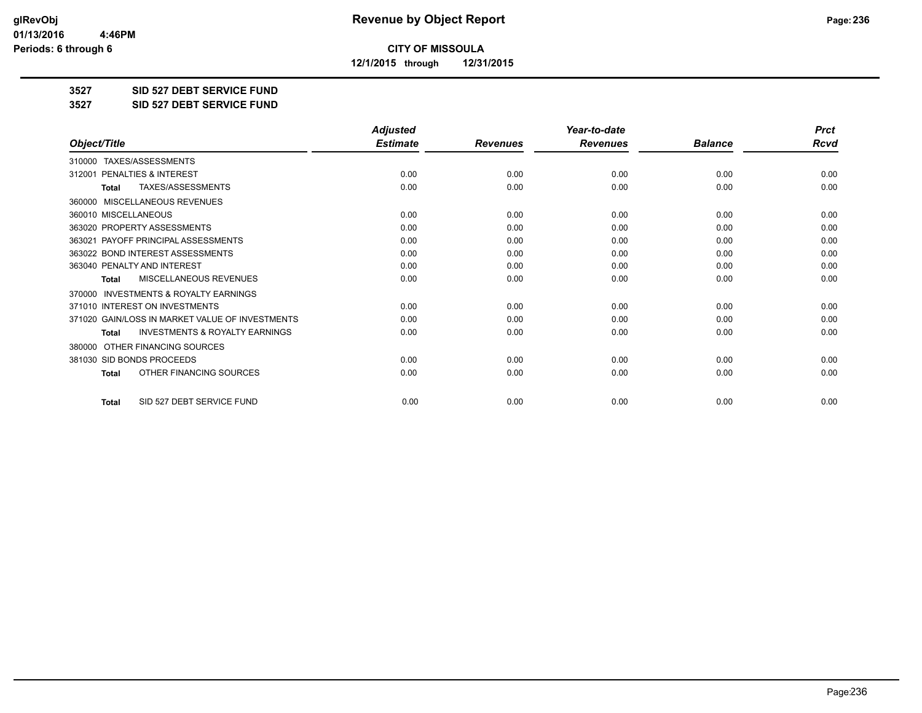**12/1/2015 through 12/31/2015**

**3527 SID 527 DEBT SERVICE FUND**

**3527 SID 527 DEBT SERVICE FUND**

|                                                           | <b>Adjusted</b> |                 | Year-to-date    |                | <b>Prct</b> |
|-----------------------------------------------------------|-----------------|-----------------|-----------------|----------------|-------------|
| Object/Title                                              | <b>Estimate</b> | <b>Revenues</b> | <b>Revenues</b> | <b>Balance</b> | <b>Rcvd</b> |
| 310000 TAXES/ASSESSMENTS                                  |                 |                 |                 |                |             |
| PENALTIES & INTEREST<br>312001                            | 0.00            | 0.00            | 0.00            | 0.00           | 0.00        |
| TAXES/ASSESSMENTS<br><b>Total</b>                         | 0.00            | 0.00            | 0.00            | 0.00           | 0.00        |
| MISCELLANEOUS REVENUES<br>360000                          |                 |                 |                 |                |             |
| 360010 MISCELLANEOUS                                      | 0.00            | 0.00            | 0.00            | 0.00           | 0.00        |
| 363020 PROPERTY ASSESSMENTS                               | 0.00            | 0.00            | 0.00            | 0.00           | 0.00        |
| 363021 PAYOFF PRINCIPAL ASSESSMENTS                       | 0.00            | 0.00            | 0.00            | 0.00           | 0.00        |
| 363022 BOND INTEREST ASSESSMENTS                          | 0.00            | 0.00            | 0.00            | 0.00           | 0.00        |
| 363040 PENALTY AND INTEREST                               | 0.00            | 0.00            | 0.00            | 0.00           | 0.00        |
| MISCELLANEOUS REVENUES<br>Total                           | 0.00            | 0.00            | 0.00            | 0.00           | 0.00        |
| <b>INVESTMENTS &amp; ROYALTY EARNINGS</b><br>370000       |                 |                 |                 |                |             |
| 371010 INTEREST ON INVESTMENTS                            | 0.00            | 0.00            | 0.00            | 0.00           | 0.00        |
| 371020 GAIN/LOSS IN MARKET VALUE OF INVESTMENTS           | 0.00            | 0.00            | 0.00            | 0.00           | 0.00        |
| <b>INVESTMENTS &amp; ROYALTY EARNINGS</b><br><b>Total</b> | 0.00            | 0.00            | 0.00            | 0.00           | 0.00        |
| OTHER FINANCING SOURCES<br>380000                         |                 |                 |                 |                |             |
| 381030 SID BONDS PROCEEDS                                 | 0.00            | 0.00            | 0.00            | 0.00           | 0.00        |
| OTHER FINANCING SOURCES<br><b>Total</b>                   | 0.00            | 0.00            | 0.00            | 0.00           | 0.00        |
| SID 527 DEBT SERVICE FUND<br><b>Total</b>                 | 0.00            | 0.00            | 0.00            | 0.00           | 0.00        |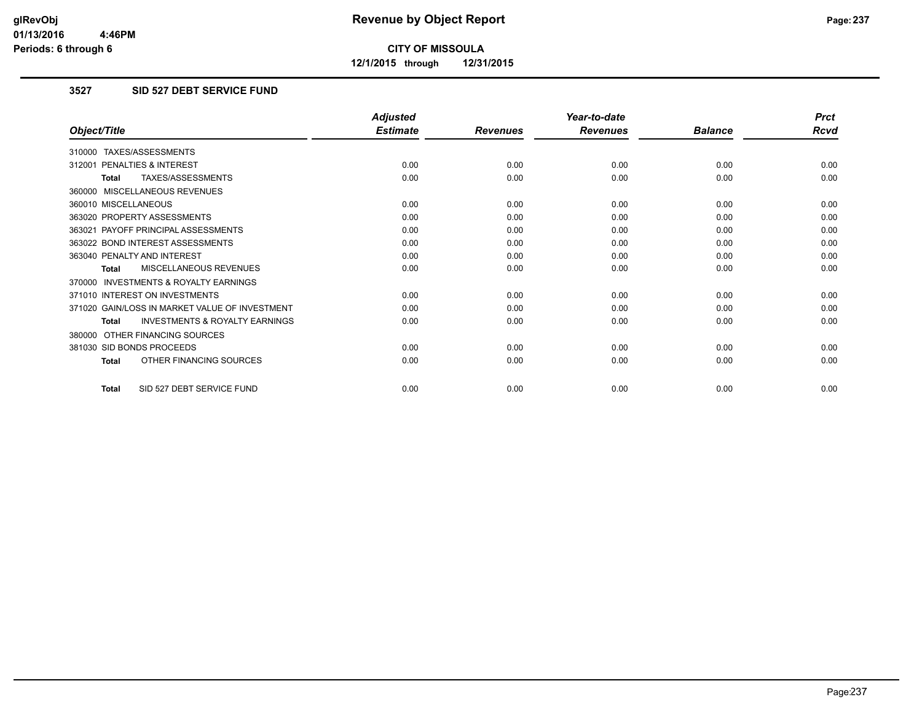**12/1/2015 through 12/31/2015**

#### **3527 SID 527 DEBT SERVICE FUND**

|                                                           | <b>Adjusted</b> |                 | Year-to-date    |                | <b>Prct</b> |
|-----------------------------------------------------------|-----------------|-----------------|-----------------|----------------|-------------|
| Object/Title                                              | <b>Estimate</b> | <b>Revenues</b> | <b>Revenues</b> | <b>Balance</b> | <b>Rcvd</b> |
| 310000 TAXES/ASSESSMENTS                                  |                 |                 |                 |                |             |
| PENALTIES & INTEREST<br>312001                            | 0.00            | 0.00            | 0.00            | 0.00           | 0.00        |
| TAXES/ASSESSMENTS<br><b>Total</b>                         | 0.00            | 0.00            | 0.00            | 0.00           | 0.00        |
| 360000 MISCELLANEOUS REVENUES                             |                 |                 |                 |                |             |
| 360010 MISCELLANEOUS                                      | 0.00            | 0.00            | 0.00            | 0.00           | 0.00        |
| 363020 PROPERTY ASSESSMENTS                               | 0.00            | 0.00            | 0.00            | 0.00           | 0.00        |
| 363021 PAYOFF PRINCIPAL ASSESSMENTS                       | 0.00            | 0.00            | 0.00            | 0.00           | 0.00        |
| 363022 BOND INTEREST ASSESSMENTS                          | 0.00            | 0.00            | 0.00            | 0.00           | 0.00        |
| 363040 PENALTY AND INTEREST                               | 0.00            | 0.00            | 0.00            | 0.00           | 0.00        |
| MISCELLANEOUS REVENUES<br><b>Total</b>                    | 0.00            | 0.00            | 0.00            | 0.00           | 0.00        |
| <b>INVESTMENTS &amp; ROYALTY EARNINGS</b><br>370000       |                 |                 |                 |                |             |
| 371010 INTEREST ON INVESTMENTS                            | 0.00            | 0.00            | 0.00            | 0.00           | 0.00        |
| 371020 GAIN/LOSS IN MARKET VALUE OF INVESTMENT            | 0.00            | 0.00            | 0.00            | 0.00           | 0.00        |
| <b>INVESTMENTS &amp; ROYALTY EARNINGS</b><br><b>Total</b> | 0.00            | 0.00            | 0.00            | 0.00           | 0.00        |
| OTHER FINANCING SOURCES<br>380000                         |                 |                 |                 |                |             |
| 381030 SID BONDS PROCEEDS                                 | 0.00            | 0.00            | 0.00            | 0.00           | 0.00        |
| OTHER FINANCING SOURCES<br><b>Total</b>                   | 0.00            | 0.00            | 0.00            | 0.00           | 0.00        |
| SID 527 DEBT SERVICE FUND<br><b>Total</b>                 | 0.00            | 0.00            | 0.00            | 0.00           | 0.00        |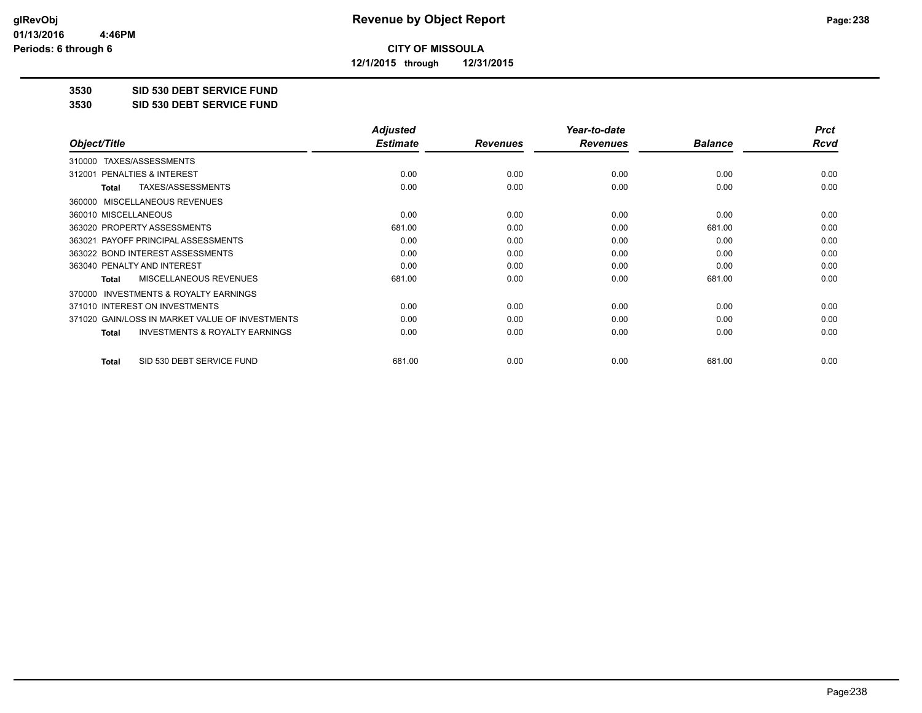**12/1/2015 through 12/31/2015**

#### **3530 SID 530 DEBT SERVICE FUND**

**3530 SID 530 DEBT SERVICE FUND**

|                                                           | <b>Adjusted</b> |                 | Year-to-date    |                | <b>Prct</b> |
|-----------------------------------------------------------|-----------------|-----------------|-----------------|----------------|-------------|
| Object/Title                                              | <b>Estimate</b> | <b>Revenues</b> | <b>Revenues</b> | <b>Balance</b> | Rcvd        |
| TAXES/ASSESSMENTS<br>310000                               |                 |                 |                 |                |             |
| 312001 PENALTIES & INTEREST                               | 0.00            | 0.00            | 0.00            | 0.00           | 0.00        |
| TAXES/ASSESSMENTS<br>Total                                | 0.00            | 0.00            | 0.00            | 0.00           | 0.00        |
| MISCELLANEOUS REVENUES<br>360000                          |                 |                 |                 |                |             |
| 360010 MISCELLANEOUS                                      | 0.00            | 0.00            | 0.00            | 0.00           | 0.00        |
| 363020 PROPERTY ASSESSMENTS                               | 681.00          | 0.00            | 0.00            | 681.00         | 0.00        |
| 363021 PAYOFF PRINCIPAL ASSESSMENTS                       | 0.00            | 0.00            | 0.00            | 0.00           | 0.00        |
| 363022 BOND INTEREST ASSESSMENTS                          | 0.00            | 0.00            | 0.00            | 0.00           | 0.00        |
| 363040 PENALTY AND INTEREST                               | 0.00            | 0.00            | 0.00            | 0.00           | 0.00        |
| MISCELLANEOUS REVENUES<br><b>Total</b>                    | 681.00          | 0.00            | 0.00            | 681.00         | 0.00        |
| 370000 INVESTMENTS & ROYALTY EARNINGS                     |                 |                 |                 |                |             |
| 371010 INTEREST ON INVESTMENTS                            | 0.00            | 0.00            | 0.00            | 0.00           | 0.00        |
| 371020 GAIN/LOSS IN MARKET VALUE OF INVESTMENTS           | 0.00            | 0.00            | 0.00            | 0.00           | 0.00        |
| <b>INVESTMENTS &amp; ROYALTY EARNINGS</b><br><b>Total</b> | 0.00            | 0.00            | 0.00            | 0.00           | 0.00        |
| SID 530 DEBT SERVICE FUND<br><b>Total</b>                 | 681.00          | 0.00            | 0.00            | 681.00         | 0.00        |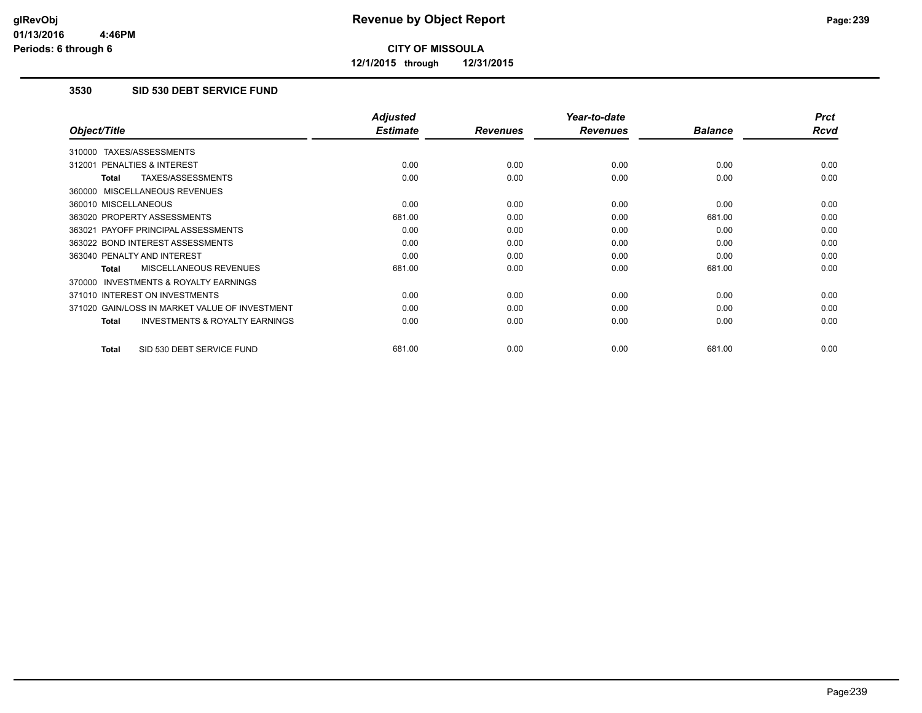**12/1/2015 through 12/31/2015**

#### **3530 SID 530 DEBT SERVICE FUND**

|                                                           | <b>Adjusted</b> |                 | Year-to-date    |                | <b>Prct</b> |
|-----------------------------------------------------------|-----------------|-----------------|-----------------|----------------|-------------|
| Object/Title                                              | <b>Estimate</b> | <b>Revenues</b> | <b>Revenues</b> | <b>Balance</b> | <b>Rcvd</b> |
| 310000 TAXES/ASSESSMENTS                                  |                 |                 |                 |                |             |
| 312001 PENALTIES & INTEREST                               | 0.00            | 0.00            | 0.00            | 0.00           | 0.00        |
| <b>TAXES/ASSESSMENTS</b><br>Total                         | 0.00            | 0.00            | 0.00            | 0.00           | 0.00        |
| 360000 MISCELLANEOUS REVENUES                             |                 |                 |                 |                |             |
| 360010 MISCELLANEOUS                                      | 0.00            | 0.00            | 0.00            | 0.00           | 0.00        |
| 363020 PROPERTY ASSESSMENTS                               | 681.00          | 0.00            | 0.00            | 681.00         | 0.00        |
| 363021 PAYOFF PRINCIPAL ASSESSMENTS                       | 0.00            | 0.00            | 0.00            | 0.00           | 0.00        |
| 363022 BOND INTEREST ASSESSMENTS                          | 0.00            | 0.00            | 0.00            | 0.00           | 0.00        |
| 363040 PENALTY AND INTEREST                               | 0.00            | 0.00            | 0.00            | 0.00           | 0.00        |
| MISCELLANEOUS REVENUES<br>Total                           | 681.00          | 0.00            | 0.00            | 681.00         | 0.00        |
| <b>INVESTMENTS &amp; ROYALTY EARNINGS</b><br>370000       |                 |                 |                 |                |             |
| 371010 INTEREST ON INVESTMENTS                            | 0.00            | 0.00            | 0.00            | 0.00           | 0.00        |
| 371020 GAIN/LOSS IN MARKET VALUE OF INVESTMENT            | 0.00            | 0.00            | 0.00            | 0.00           | 0.00        |
| <b>INVESTMENTS &amp; ROYALTY EARNINGS</b><br><b>Total</b> | 0.00            | 0.00            | 0.00            | 0.00           | 0.00        |
| SID 530 DEBT SERVICE FUND<br><b>Total</b>                 | 681.00          | 0.00            | 0.00            | 681.00         | 0.00        |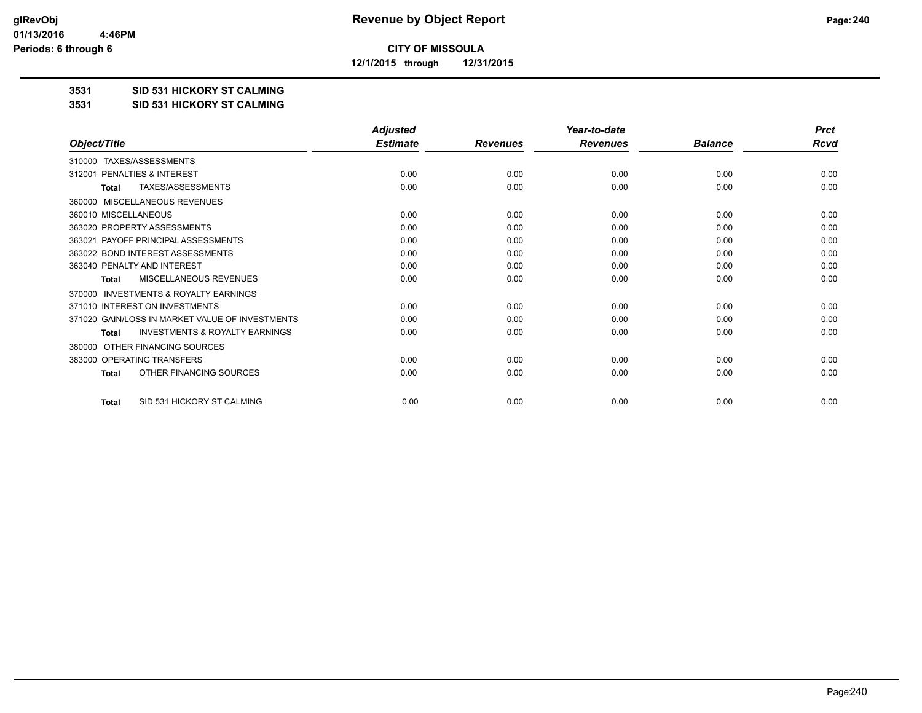**12/1/2015 through 12/31/2015**

#### **3531 SID 531 HICKORY ST CALMING**

#### **3531 SID 531 HICKORY ST CALMING**

|                                                           | <b>Adjusted</b> |                 | Year-to-date    |                | <b>Prct</b> |
|-----------------------------------------------------------|-----------------|-----------------|-----------------|----------------|-------------|
| Object/Title                                              | <b>Estimate</b> | <b>Revenues</b> | <b>Revenues</b> | <b>Balance</b> | Rcvd        |
| TAXES/ASSESSMENTS<br>310000                               |                 |                 |                 |                |             |
| PENALTIES & INTEREST<br>312001                            | 0.00            | 0.00            | 0.00            | 0.00           | 0.00        |
| <b>TAXES/ASSESSMENTS</b><br>Total                         | 0.00            | 0.00            | 0.00            | 0.00           | 0.00        |
| <b>MISCELLANEOUS REVENUES</b><br>360000                   |                 |                 |                 |                |             |
| 360010 MISCELLANEOUS                                      | 0.00            | 0.00            | 0.00            | 0.00           | 0.00        |
| 363020 PROPERTY ASSESSMENTS                               | 0.00            | 0.00            | 0.00            | 0.00           | 0.00        |
| 363021 PAYOFF PRINCIPAL ASSESSMENTS                       | 0.00            | 0.00            | 0.00            | 0.00           | 0.00        |
| 363022 BOND INTEREST ASSESSMENTS                          | 0.00            | 0.00            | 0.00            | 0.00           | 0.00        |
| 363040 PENALTY AND INTEREST                               | 0.00            | 0.00            | 0.00            | 0.00           | 0.00        |
| MISCELLANEOUS REVENUES<br>Total                           | 0.00            | 0.00            | 0.00            | 0.00           | 0.00        |
| <b>INVESTMENTS &amp; ROYALTY EARNINGS</b><br>370000       |                 |                 |                 |                |             |
| 371010 INTEREST ON INVESTMENTS                            | 0.00            | 0.00            | 0.00            | 0.00           | 0.00        |
| 371020 GAIN/LOSS IN MARKET VALUE OF INVESTMENTS           | 0.00            | 0.00            | 0.00            | 0.00           | 0.00        |
| <b>INVESTMENTS &amp; ROYALTY EARNINGS</b><br><b>Total</b> | 0.00            | 0.00            | 0.00            | 0.00           | 0.00        |
| OTHER FINANCING SOURCES<br>380000                         |                 |                 |                 |                |             |
| 383000 OPERATING TRANSFERS                                | 0.00            | 0.00            | 0.00            | 0.00           | 0.00        |
| OTHER FINANCING SOURCES<br><b>Total</b>                   | 0.00            | 0.00            | 0.00            | 0.00           | 0.00        |
| SID 531 HICKORY ST CALMING<br><b>Total</b>                | 0.00            | 0.00            | 0.00            | 0.00           | 0.00        |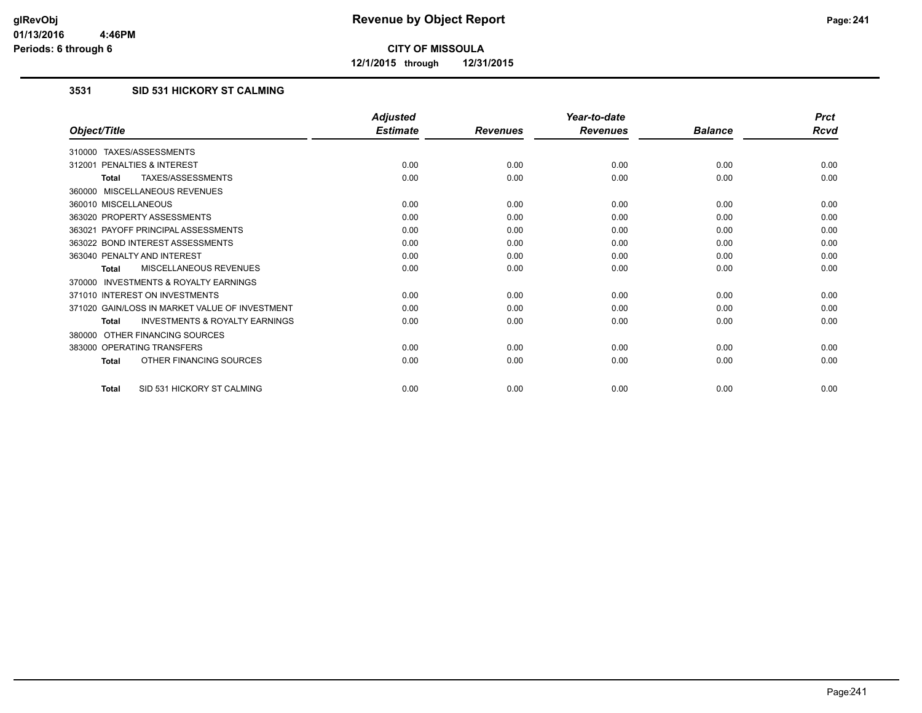**12/1/2015 through 12/31/2015**

### **3531 SID 531 HICKORY ST CALMING**

|                                                           | <b>Adjusted</b> |                 | Year-to-date    |                | <b>Prct</b> |
|-----------------------------------------------------------|-----------------|-----------------|-----------------|----------------|-------------|
| Object/Title                                              | <b>Estimate</b> | <b>Revenues</b> | <b>Revenues</b> | <b>Balance</b> | Rcvd        |
| 310000 TAXES/ASSESSMENTS                                  |                 |                 |                 |                |             |
| PENALTIES & INTEREST<br>312001                            | 0.00            | 0.00            | 0.00            | 0.00           | 0.00        |
| TAXES/ASSESSMENTS<br><b>Total</b>                         | 0.00            | 0.00            | 0.00            | 0.00           | 0.00        |
| 360000 MISCELLANEOUS REVENUES                             |                 |                 |                 |                |             |
| 360010 MISCELLANEOUS                                      | 0.00            | 0.00            | 0.00            | 0.00           | 0.00        |
| 363020 PROPERTY ASSESSMENTS                               | 0.00            | 0.00            | 0.00            | 0.00           | 0.00        |
| 363021 PAYOFF PRINCIPAL ASSESSMENTS                       | 0.00            | 0.00            | 0.00            | 0.00           | 0.00        |
| 363022 BOND INTEREST ASSESSMENTS                          | 0.00            | 0.00            | 0.00            | 0.00           | 0.00        |
| 363040 PENALTY AND INTEREST                               | 0.00            | 0.00            | 0.00            | 0.00           | 0.00        |
| MISCELLANEOUS REVENUES<br><b>Total</b>                    | 0.00            | 0.00            | 0.00            | 0.00           | 0.00        |
| <b>INVESTMENTS &amp; ROYALTY EARNINGS</b><br>370000       |                 |                 |                 |                |             |
| 371010 INTEREST ON INVESTMENTS                            | 0.00            | 0.00            | 0.00            | 0.00           | 0.00        |
| 371020 GAIN/LOSS IN MARKET VALUE OF INVESTMENT            | 0.00            | 0.00            | 0.00            | 0.00           | 0.00        |
| <b>INVESTMENTS &amp; ROYALTY EARNINGS</b><br><b>Total</b> | 0.00            | 0.00            | 0.00            | 0.00           | 0.00        |
| OTHER FINANCING SOURCES<br>380000                         |                 |                 |                 |                |             |
| 383000 OPERATING TRANSFERS                                | 0.00            | 0.00            | 0.00            | 0.00           | 0.00        |
| OTHER FINANCING SOURCES<br><b>Total</b>                   | 0.00            | 0.00            | 0.00            | 0.00           | 0.00        |
| SID 531 HICKORY ST CALMING<br><b>Total</b>                | 0.00            | 0.00            | 0.00            | 0.00           | 0.00        |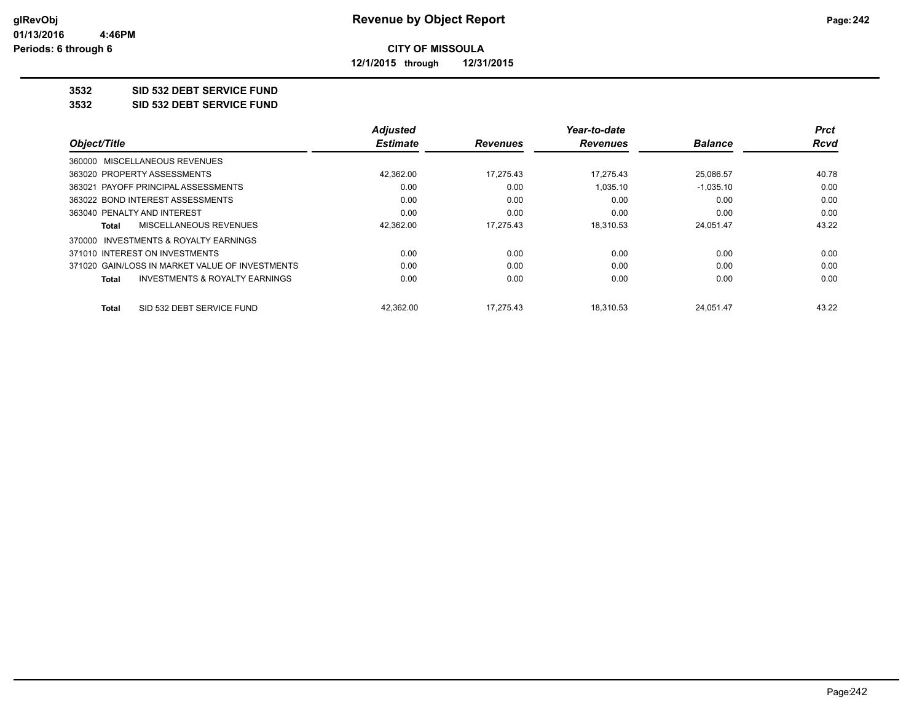**12/1/2015 through 12/31/2015**

#### **3532 SID 532 DEBT SERVICE FUND**

**3532 SID 532 DEBT SERVICE FUND**

|                                                    | <b>Adjusted</b> |                 | Year-to-date    |                | <b>Prct</b> |
|----------------------------------------------------|-----------------|-----------------|-----------------|----------------|-------------|
| Object/Title                                       | <b>Estimate</b> | <b>Revenues</b> | <b>Revenues</b> | <b>Balance</b> | <b>Rcvd</b> |
| 360000 MISCELLANEOUS REVENUES                      |                 |                 |                 |                |             |
| 363020 PROPERTY ASSESSMENTS                        | 42,362.00       | 17,275.43       | 17.275.43       | 25,086.57      | 40.78       |
| 363021 PAYOFF PRINCIPAL ASSESSMENTS                | 0.00            | 0.00            | 1.035.10        | $-1.035.10$    | 0.00        |
| 363022 BOND INTEREST ASSESSMENTS                   | 0.00            | 0.00            | 0.00            | 0.00           | 0.00        |
| 363040 PENALTY AND INTEREST                        | 0.00            | 0.00            | 0.00            | 0.00           | 0.00        |
| MISCELLANEOUS REVENUES<br>Total                    | 42,362.00       | 17.275.43       | 18.310.53       | 24.051.47      | 43.22       |
| 370000 INVESTMENTS & ROYALTY EARNINGS              |                 |                 |                 |                |             |
| 371010 INTEREST ON INVESTMENTS                     | 0.00            | 0.00            | 0.00            | 0.00           | 0.00        |
| 371020 GAIN/LOSS IN MARKET VALUE OF INVESTMENTS    | 0.00            | 0.00            | 0.00            | 0.00           | 0.00        |
| <b>INVESTMENTS &amp; ROYALTY EARNINGS</b><br>Total | 0.00            | 0.00            | 0.00            | 0.00           | 0.00        |
| SID 532 DEBT SERVICE FUND<br><b>Total</b>          | 42.362.00       | 17.275.43       | 18.310.53       | 24,051.47      | 43.22       |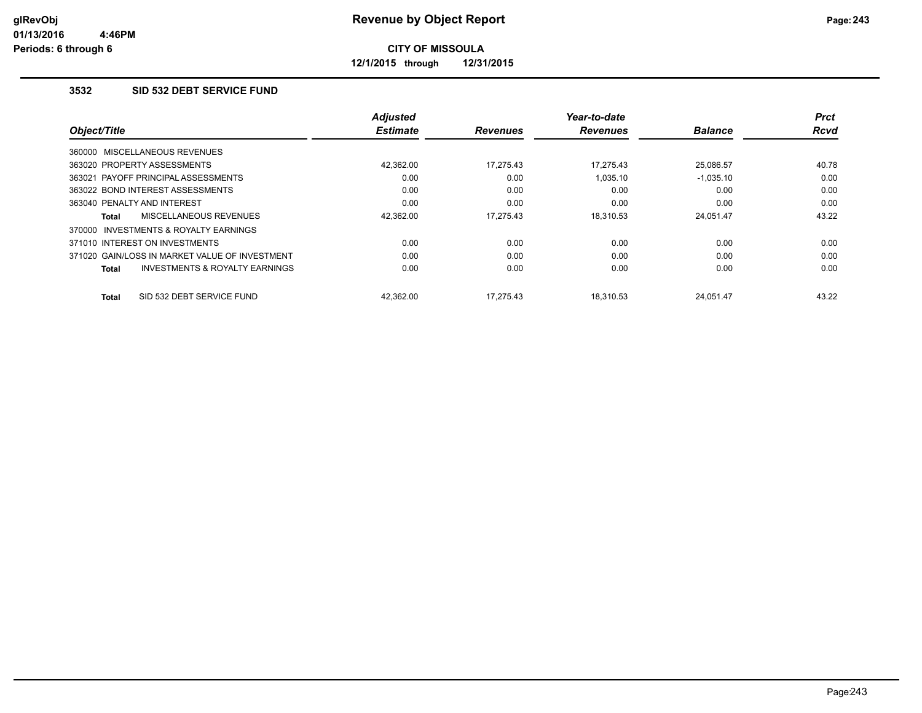**12/1/2015 through 12/31/2015**

#### **3532 SID 532 DEBT SERVICE FUND**

|                                                           | <b>Adjusted</b> |                 | Year-to-date    |                | <b>Prct</b> |
|-----------------------------------------------------------|-----------------|-----------------|-----------------|----------------|-------------|
| Object/Title                                              | <b>Estimate</b> | <b>Revenues</b> | <b>Revenues</b> | <b>Balance</b> | <b>Rcvd</b> |
| 360000 MISCELLANEOUS REVENUES                             |                 |                 |                 |                |             |
| 363020 PROPERTY ASSESSMENTS                               | 42.362.00       | 17.275.43       | 17.275.43       | 25.086.57      | 40.78       |
| 363021 PAYOFF PRINCIPAL ASSESSMENTS                       | 0.00            | 0.00            | 1.035.10        | $-1,035.10$    | 0.00        |
| 363022 BOND INTEREST ASSESSMENTS                          | 0.00            | 0.00            | 0.00            | 0.00           | 0.00        |
| 363040 PENALTY AND INTEREST                               | 0.00            | 0.00            | 0.00            | 0.00           | 0.00        |
| MISCELLANEOUS REVENUES<br><b>Total</b>                    | 42,362.00       | 17.275.43       | 18,310.53       | 24,051.47      | 43.22       |
| INVESTMENTS & ROYALTY EARNINGS<br>370000                  |                 |                 |                 |                |             |
| 371010 INTEREST ON INVESTMENTS                            | 0.00            | 0.00            | 0.00            | 0.00           | 0.00        |
| 371020 GAIN/LOSS IN MARKET VALUE OF INVESTMENT            | 0.00            | 0.00            | 0.00            | 0.00           | 0.00        |
| <b>INVESTMENTS &amp; ROYALTY EARNINGS</b><br><b>Total</b> | 0.00            | 0.00            | 0.00            | 0.00           | 0.00        |
| SID 532 DEBT SERVICE FUND<br><b>Total</b>                 | 42.362.00       | 17.275.43       | 18.310.53       | 24.051.47      | 43.22       |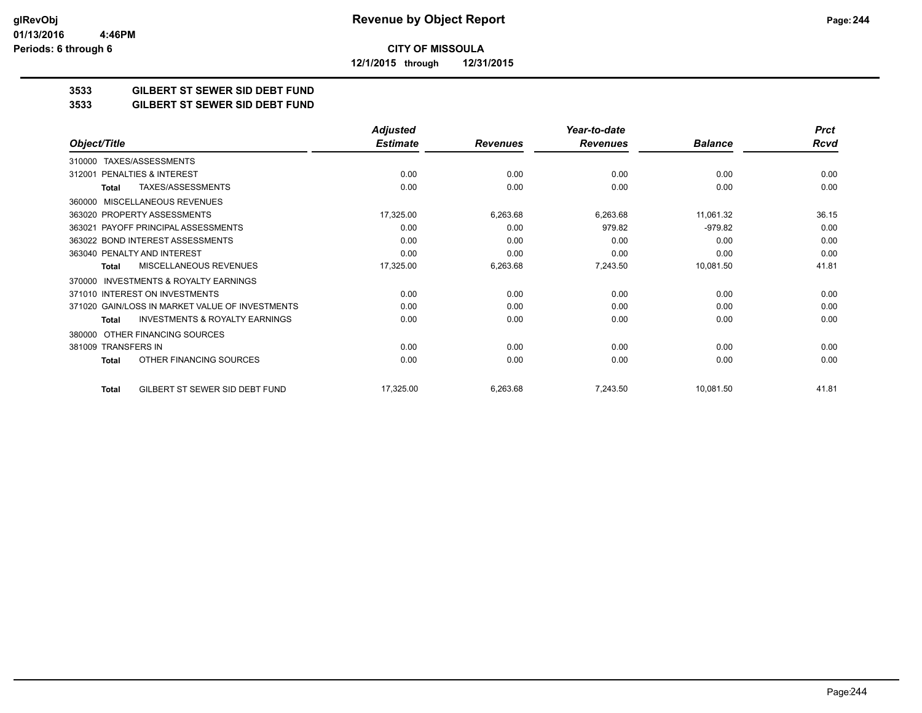**CITY OF MISSOULA 12/1/2015 through 12/31/2015**

**3533 GILBERT ST SEWER SID DEBT FUND**

**3533 GILBERT ST SEWER SID DEBT FUND**

|                                                           | <b>Adjusted</b> |                 | Year-to-date    |                | <b>Prct</b> |
|-----------------------------------------------------------|-----------------|-----------------|-----------------|----------------|-------------|
| Object/Title                                              | <b>Estimate</b> | <b>Revenues</b> | <b>Revenues</b> | <b>Balance</b> | <b>Rcvd</b> |
| TAXES/ASSESSMENTS<br>310000                               |                 |                 |                 |                |             |
| <b>PENALTIES &amp; INTEREST</b><br>312001                 | 0.00            | 0.00            | 0.00            | 0.00           | 0.00        |
| TAXES/ASSESSMENTS<br>Total                                | 0.00            | 0.00            | 0.00            | 0.00           | 0.00        |
| MISCELLANEOUS REVENUES<br>360000                          |                 |                 |                 |                |             |
| 363020 PROPERTY ASSESSMENTS                               | 17,325.00       | 6,263.68        | 6,263.68        | 11,061.32      | 36.15       |
| PAYOFF PRINCIPAL ASSESSMENTS<br>363021                    | 0.00            | 0.00            | 979.82          | $-979.82$      | 0.00        |
| 363022 BOND INTEREST ASSESSMENTS                          | 0.00            | 0.00            | 0.00            | 0.00           | 0.00        |
| 363040 PENALTY AND INTEREST                               | 0.00            | 0.00            | 0.00            | 0.00           | 0.00        |
| MISCELLANEOUS REVENUES<br>Total                           | 17,325.00       | 6,263.68        | 7,243.50        | 10,081.50      | 41.81       |
| <b>INVESTMENTS &amp; ROYALTY EARNINGS</b><br>370000       |                 |                 |                 |                |             |
| 371010 INTEREST ON INVESTMENTS                            | 0.00            | 0.00            | 0.00            | 0.00           | 0.00        |
| 371020 GAIN/LOSS IN MARKET VALUE OF INVESTMENTS           | 0.00            | 0.00            | 0.00            | 0.00           | 0.00        |
| <b>INVESTMENTS &amp; ROYALTY EARNINGS</b><br><b>Total</b> | 0.00            | 0.00            | 0.00            | 0.00           | 0.00        |
| OTHER FINANCING SOURCES<br>380000                         |                 |                 |                 |                |             |
| 381009 TRANSFERS IN                                       | 0.00            | 0.00            | 0.00            | 0.00           | 0.00        |
| OTHER FINANCING SOURCES<br><b>Total</b>                   | 0.00            | 0.00            | 0.00            | 0.00           | 0.00        |
| GILBERT ST SEWER SID DEBT FUND<br>Total                   | 17,325.00       | 6,263.68        | 7,243.50        | 10,081.50      | 41.81       |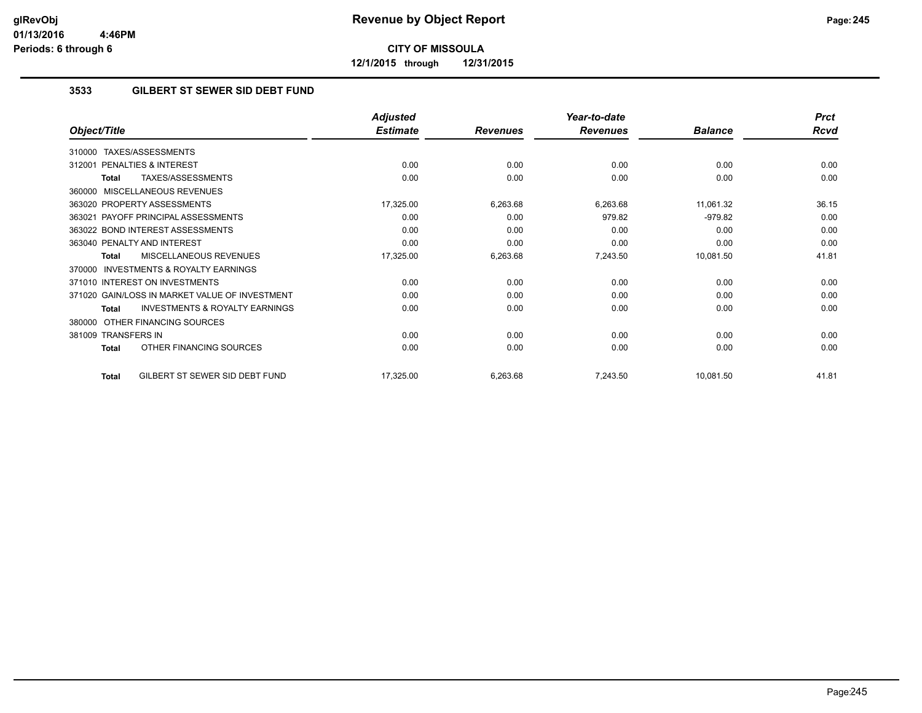**12/1/2015 through 12/31/2015**

### **3533 GILBERT ST SEWER SID DEBT FUND**

|                                                           | <b>Adjusted</b> |                 | Year-to-date    |                | <b>Prct</b> |
|-----------------------------------------------------------|-----------------|-----------------|-----------------|----------------|-------------|
| Object/Title                                              | <b>Estimate</b> | <b>Revenues</b> | <b>Revenues</b> | <b>Balance</b> | <b>Rcvd</b> |
| <b>TAXES/ASSESSMENTS</b><br>310000                        |                 |                 |                 |                |             |
| 312001 PENALTIES & INTEREST                               | 0.00            | 0.00            | 0.00            | 0.00           | 0.00        |
| TAXES/ASSESSMENTS<br><b>Total</b>                         | 0.00            | 0.00            | 0.00            | 0.00           | 0.00        |
| 360000 MISCELLANEOUS REVENUES                             |                 |                 |                 |                |             |
| 363020 PROPERTY ASSESSMENTS                               | 17,325.00       | 6,263.68        | 6,263.68        | 11,061.32      | 36.15       |
| 363021 PAYOFF PRINCIPAL ASSESSMENTS                       | 0.00            | 0.00            | 979.82          | $-979.82$      | 0.00        |
| 363022 BOND INTEREST ASSESSMENTS                          | 0.00            | 0.00            | 0.00            | 0.00           | 0.00        |
| 363040 PENALTY AND INTEREST                               | 0.00            | 0.00            | 0.00            | 0.00           | 0.00        |
| <b>MISCELLANEOUS REVENUES</b><br><b>Total</b>             | 17,325.00       | 6,263.68        | 7,243.50        | 10,081.50      | 41.81       |
| <b>INVESTMENTS &amp; ROYALTY EARNINGS</b><br>370000       |                 |                 |                 |                |             |
| 371010 INTEREST ON INVESTMENTS                            | 0.00            | 0.00            | 0.00            | 0.00           | 0.00        |
| 371020 GAIN/LOSS IN MARKET VALUE OF INVESTMENT            | 0.00            | 0.00            | 0.00            | 0.00           | 0.00        |
| <b>INVESTMENTS &amp; ROYALTY EARNINGS</b><br><b>Total</b> | 0.00            | 0.00            | 0.00            | 0.00           | 0.00        |
| OTHER FINANCING SOURCES<br>380000                         |                 |                 |                 |                |             |
| 381009 TRANSFERS IN                                       | 0.00            | 0.00            | 0.00            | 0.00           | 0.00        |
| OTHER FINANCING SOURCES<br><b>Total</b>                   | 0.00            | 0.00            | 0.00            | 0.00           | 0.00        |
| GILBERT ST SEWER SID DEBT FUND<br><b>Total</b>            | 17,325.00       | 6,263.68        | 7,243.50        | 10,081.50      | 41.81       |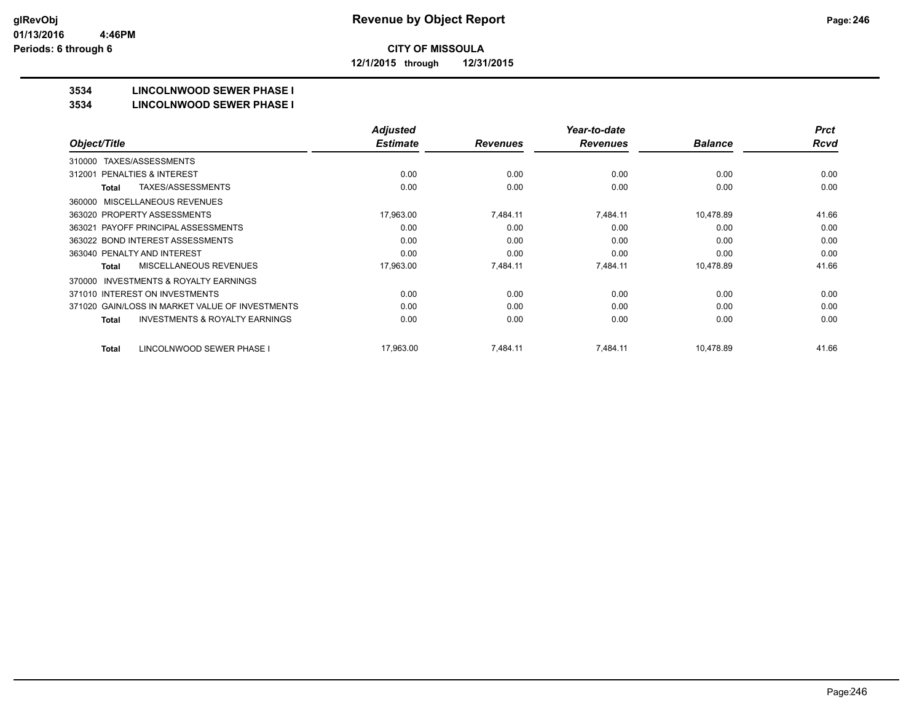**12/1/2015 through 12/31/2015**

## **3534 LINCOLNWOOD SEWER PHASE I**

#### **3534 LINCOLNWOOD SEWER PHASE I**

|                                                    | <b>Adjusted</b> |                 | Year-to-date    |                | <b>Prct</b> |
|----------------------------------------------------|-----------------|-----------------|-----------------|----------------|-------------|
| Object/Title                                       | <b>Estimate</b> | <b>Revenues</b> | <b>Revenues</b> | <b>Balance</b> | <b>Rcvd</b> |
| TAXES/ASSESSMENTS<br>310000                        |                 |                 |                 |                |             |
| PENALTIES & INTEREST<br>312001                     | 0.00            | 0.00            | 0.00            | 0.00           | 0.00        |
| TAXES/ASSESSMENTS<br>Total                         | 0.00            | 0.00            | 0.00            | 0.00           | 0.00        |
| MISCELLANEOUS REVENUES<br>360000                   |                 |                 |                 |                |             |
| 363020 PROPERTY ASSESSMENTS                        | 17,963.00       | 7,484.11        | 7,484.11        | 10,478.89      | 41.66       |
| 363021 PAYOFF PRINCIPAL ASSESSMENTS                | 0.00            | 0.00            | 0.00            | 0.00           | 0.00        |
| 363022 BOND INTEREST ASSESSMENTS                   | 0.00            | 0.00            | 0.00            | 0.00           | 0.00        |
| 363040 PENALTY AND INTEREST                        | 0.00            | 0.00            | 0.00            | 0.00           | 0.00        |
| MISCELLANEOUS REVENUES<br>Total                    | 17,963.00       | 7,484.11        | 7,484.11        | 10,478.89      | 41.66       |
| INVESTMENTS & ROYALTY EARNINGS<br>370000           |                 |                 |                 |                |             |
| 371010 INTEREST ON INVESTMENTS                     | 0.00            | 0.00            | 0.00            | 0.00           | 0.00        |
| 371020 GAIN/LOSS IN MARKET VALUE OF INVESTMENTS    | 0.00            | 0.00            | 0.00            | 0.00           | 0.00        |
| <b>INVESTMENTS &amp; ROYALTY EARNINGS</b><br>Total | 0.00            | 0.00            | 0.00            | 0.00           | 0.00        |
|                                                    |                 |                 |                 |                |             |
| LINCOLNWOOD SEWER PHASE I<br>Total                 | 17,963.00       | 7,484.11        | 7,484.11        | 10,478.89      | 41.66       |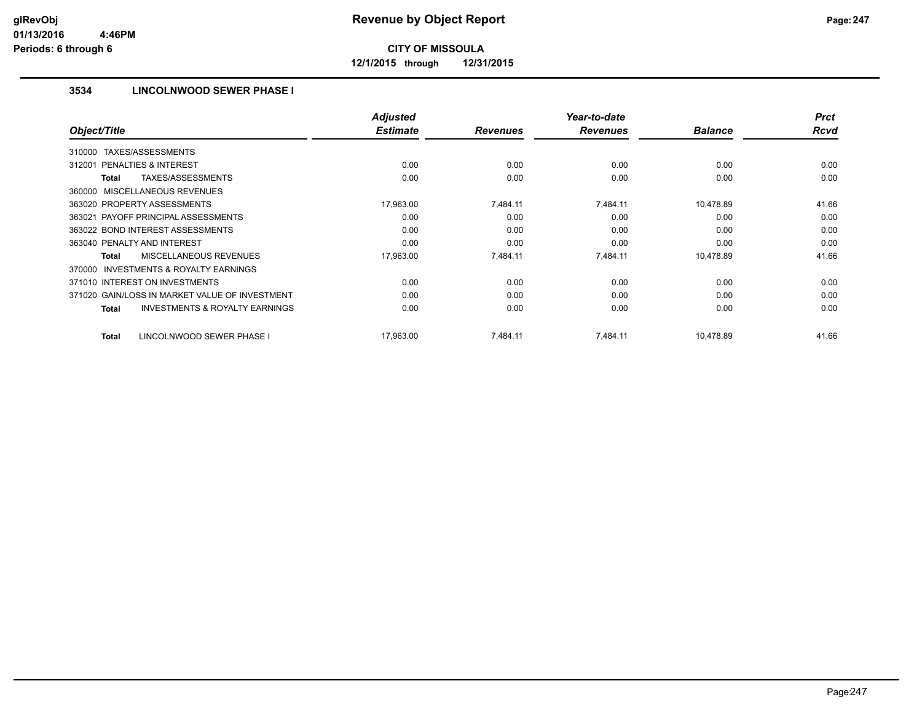**12/1/2015 through 12/31/2015**

### **3534 LINCOLNWOOD SEWER PHASE I**

|                                                           | <b>Adjusted</b> |                 | Year-to-date    |                | <b>Prct</b> |
|-----------------------------------------------------------|-----------------|-----------------|-----------------|----------------|-------------|
| Object/Title                                              | <b>Estimate</b> | <b>Revenues</b> | <b>Revenues</b> | <b>Balance</b> | <b>Rcvd</b> |
| TAXES/ASSESSMENTS<br>310000                               |                 |                 |                 |                |             |
| <b>PENALTIES &amp; INTEREST</b><br>312001                 | 0.00            | 0.00            | 0.00            | 0.00           | 0.00        |
| TAXES/ASSESSMENTS<br>Total                                | 0.00            | 0.00            | 0.00            | 0.00           | 0.00        |
| 360000 MISCELLANEOUS REVENUES                             |                 |                 |                 |                |             |
| 363020 PROPERTY ASSESSMENTS                               | 17,963.00       | 7,484.11        | 7,484.11        | 10,478.89      | 41.66       |
| 363021 PAYOFF PRINCIPAL ASSESSMENTS                       | 0.00            | 0.00            | 0.00            | 0.00           | 0.00        |
| 363022 BOND INTEREST ASSESSMENTS                          | 0.00            | 0.00            | 0.00            | 0.00           | 0.00        |
| 363040 PENALTY AND INTEREST                               | 0.00            | 0.00            | 0.00            | 0.00           | 0.00        |
| <b>MISCELLANEOUS REVENUES</b><br>Total                    | 17,963.00       | 7,484.11        | 7,484.11        | 10,478.89      | 41.66       |
| <b>INVESTMENTS &amp; ROYALTY EARNINGS</b><br>370000       |                 |                 |                 |                |             |
| 371010 INTEREST ON INVESTMENTS                            | 0.00            | 0.00            | 0.00            | 0.00           | 0.00        |
| 371020 GAIN/LOSS IN MARKET VALUE OF INVESTMENT            | 0.00            | 0.00            | 0.00            | 0.00           | 0.00        |
| <b>INVESTMENTS &amp; ROYALTY EARNINGS</b><br><b>Total</b> | 0.00            | 0.00            | 0.00            | 0.00           | 0.00        |
| LINCOLNWOOD SEWER PHASE I<br>Total                        | 17,963.00       | 7,484.11        | 7,484.11        | 10,478.89      | 41.66       |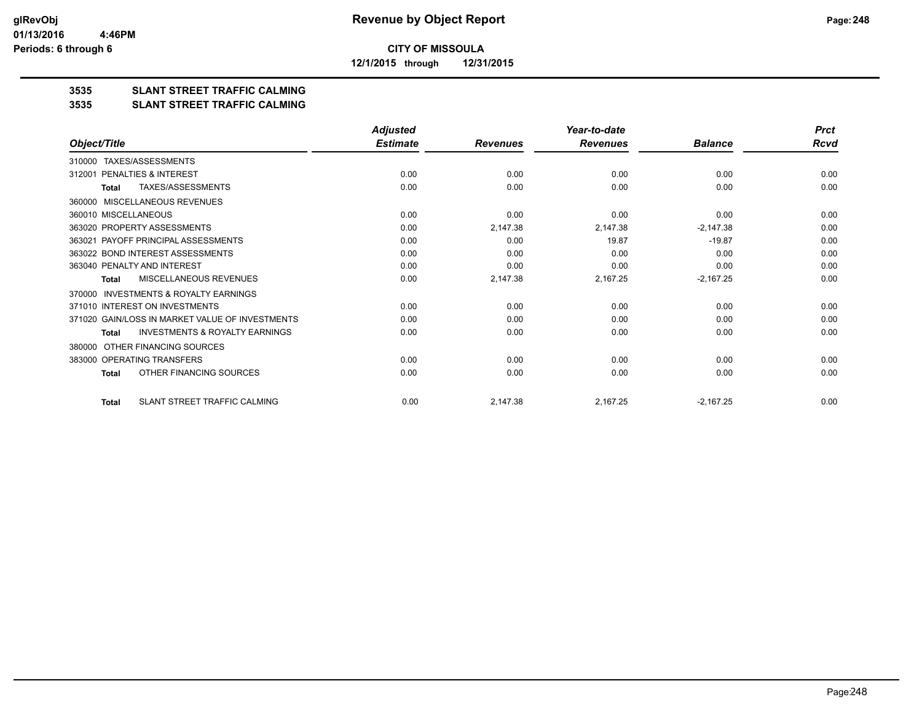**12/1/2015 through 12/31/2015**

## **3535 SLANT STREET TRAFFIC CALMING**

#### **3535 SLANT STREET TRAFFIC CALMING**

|                                                           | <b>Adjusted</b> |                 | Year-to-date    |                | <b>Prct</b> |
|-----------------------------------------------------------|-----------------|-----------------|-----------------|----------------|-------------|
| Object/Title                                              | <b>Estimate</b> | <b>Revenues</b> | <b>Revenues</b> | <b>Balance</b> | Rcvd        |
| TAXES/ASSESSMENTS<br>310000                               |                 |                 |                 |                |             |
| PENALTIES & INTEREST<br>312001                            | 0.00            | 0.00            | 0.00            | 0.00           | 0.00        |
| <b>TAXES/ASSESSMENTS</b><br><b>Total</b>                  | 0.00            | 0.00            | 0.00            | 0.00           | 0.00        |
| <b>MISCELLANEOUS REVENUES</b><br>360000                   |                 |                 |                 |                |             |
| 360010 MISCELLANEOUS                                      | 0.00            | 0.00            | 0.00            | 0.00           | 0.00        |
| 363020 PROPERTY ASSESSMENTS                               | 0.00            | 2,147.38        | 2,147.38        | $-2,147.38$    | 0.00        |
| 363021 PAYOFF PRINCIPAL ASSESSMENTS                       | 0.00            | 0.00            | 19.87           | $-19.87$       | 0.00        |
| 363022 BOND INTEREST ASSESSMENTS                          | 0.00            | 0.00            | 0.00            | 0.00           | 0.00        |
| 363040 PENALTY AND INTEREST                               | 0.00            | 0.00            | 0.00            | 0.00           | 0.00        |
| MISCELLANEOUS REVENUES<br><b>Total</b>                    | 0.00            | 2,147.38        | 2,167.25        | $-2,167.25$    | 0.00        |
| INVESTMENTS & ROYALTY EARNINGS<br>370000                  |                 |                 |                 |                |             |
| 371010 INTEREST ON INVESTMENTS                            | 0.00            | 0.00            | 0.00            | 0.00           | 0.00        |
| 371020 GAIN/LOSS IN MARKET VALUE OF INVESTMENTS           | 0.00            | 0.00            | 0.00            | 0.00           | 0.00        |
| <b>INVESTMENTS &amp; ROYALTY EARNINGS</b><br><b>Total</b> | 0.00            | 0.00            | 0.00            | 0.00           | 0.00        |
| OTHER FINANCING SOURCES<br>380000                         |                 |                 |                 |                |             |
| 383000 OPERATING TRANSFERS                                | 0.00            | 0.00            | 0.00            | 0.00           | 0.00        |
| OTHER FINANCING SOURCES<br><b>Total</b>                   | 0.00            | 0.00            | 0.00            | 0.00           | 0.00        |
| SLANT STREET TRAFFIC CALMING<br><b>Total</b>              | 0.00            | 2,147.38        | 2.167.25        | $-2,167.25$    | 0.00        |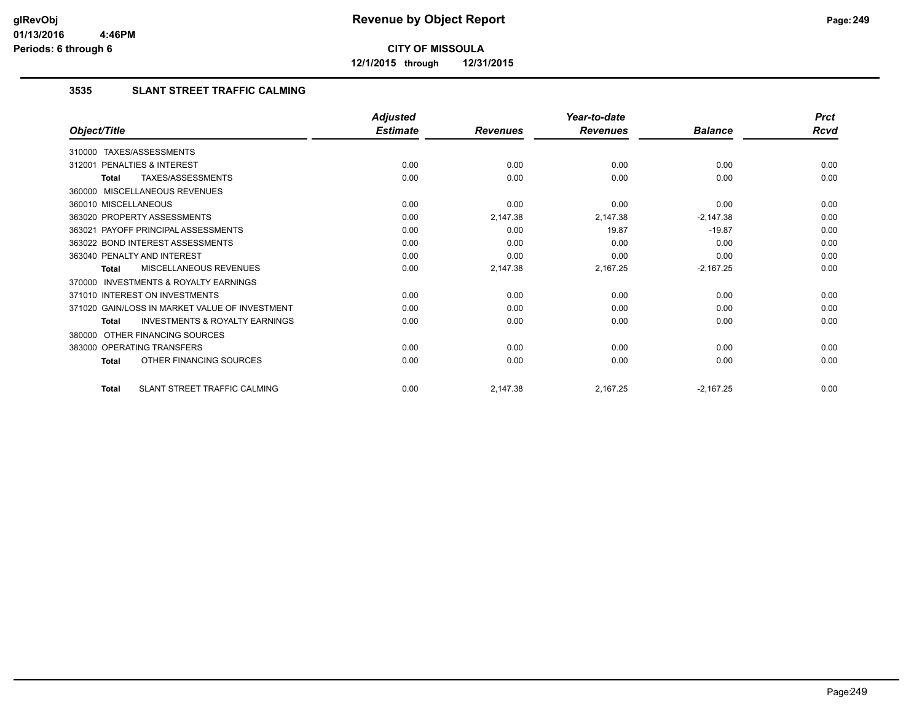**12/1/2015 through 12/31/2015**

### **3535 SLANT STREET TRAFFIC CALMING**

|                                                           | <b>Adjusted</b> |                 | Year-to-date    |                | <b>Prct</b> |
|-----------------------------------------------------------|-----------------|-----------------|-----------------|----------------|-------------|
| Object/Title                                              | <b>Estimate</b> | <b>Revenues</b> | <b>Revenues</b> | <b>Balance</b> | <b>Rcvd</b> |
| 310000 TAXES/ASSESSMENTS                                  |                 |                 |                 |                |             |
| PENALTIES & INTEREST<br>312001                            | 0.00            | 0.00            | 0.00            | 0.00           | 0.00        |
| TAXES/ASSESSMENTS<br><b>Total</b>                         | 0.00            | 0.00            | 0.00            | 0.00           | 0.00        |
| 360000 MISCELLANEOUS REVENUES                             |                 |                 |                 |                |             |
| 360010 MISCELLANEOUS                                      | 0.00            | 0.00            | 0.00            | 0.00           | 0.00        |
| 363020 PROPERTY ASSESSMENTS                               | 0.00            | 2,147.38        | 2,147.38        | $-2,147.38$    | 0.00        |
| 363021 PAYOFF PRINCIPAL ASSESSMENTS                       | 0.00            | 0.00            | 19.87           | $-19.87$       | 0.00        |
| 363022 BOND INTEREST ASSESSMENTS                          | 0.00            | 0.00            | 0.00            | 0.00           | 0.00        |
| 363040 PENALTY AND INTEREST                               | 0.00            | 0.00            | 0.00            | 0.00           | 0.00        |
| MISCELLANEOUS REVENUES<br><b>Total</b>                    | 0.00            | 2,147.38        | 2,167.25        | $-2,167.25$    | 0.00        |
| 370000 INVESTMENTS & ROYALTY EARNINGS                     |                 |                 |                 |                |             |
| 371010 INTEREST ON INVESTMENTS                            | 0.00            | 0.00            | 0.00            | 0.00           | 0.00        |
| 371020 GAIN/LOSS IN MARKET VALUE OF INVESTMENT            | 0.00            | 0.00            | 0.00            | 0.00           | 0.00        |
| <b>INVESTMENTS &amp; ROYALTY EARNINGS</b><br><b>Total</b> | 0.00            | 0.00            | 0.00            | 0.00           | 0.00        |
| OTHER FINANCING SOURCES<br>380000                         |                 |                 |                 |                |             |
| 383000 OPERATING TRANSFERS                                | 0.00            | 0.00            | 0.00            | 0.00           | 0.00        |
| OTHER FINANCING SOURCES<br><b>Total</b>                   | 0.00            | 0.00            | 0.00            | 0.00           | 0.00        |
| <b>SLANT STREET TRAFFIC CALMING</b><br><b>Total</b>       | 0.00            | 2,147.38        | 2,167.25        | $-2,167.25$    | 0.00        |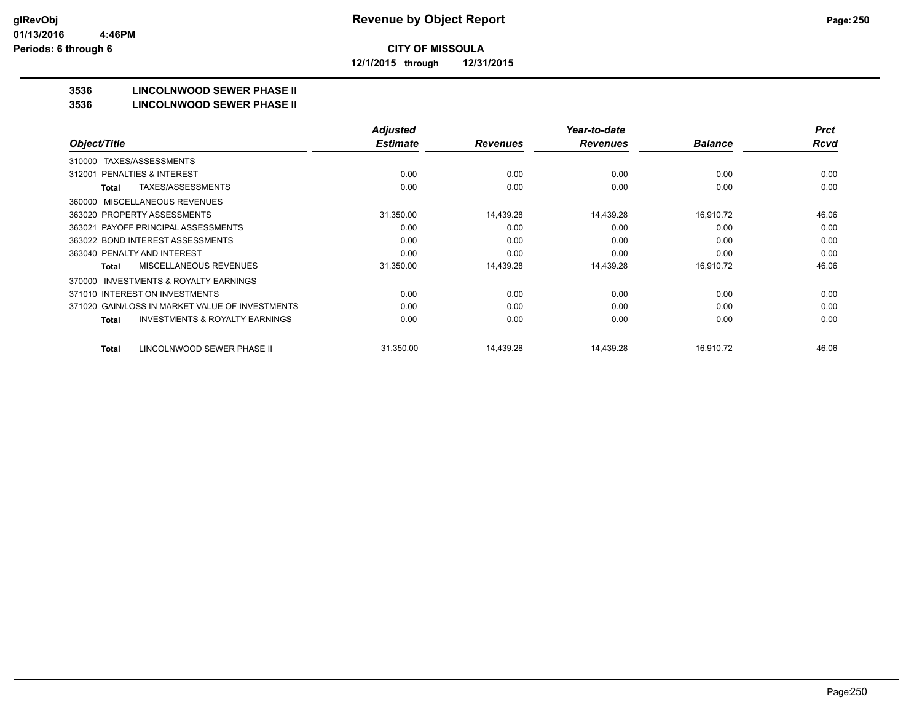**12/1/2015 through 12/31/2015**

## **3536 LINCOLNWOOD SEWER PHASE II**

#### **3536 LINCOLNWOOD SEWER PHASE II**

|                                                    | <b>Adjusted</b> |                 | Year-to-date    |                | <b>Prct</b> |
|----------------------------------------------------|-----------------|-----------------|-----------------|----------------|-------------|
| Object/Title                                       | <b>Estimate</b> | <b>Revenues</b> | <b>Revenues</b> | <b>Balance</b> | <b>Rcvd</b> |
| TAXES/ASSESSMENTS<br>310000                        |                 |                 |                 |                |             |
| <b>PENALTIES &amp; INTEREST</b><br>312001          | 0.00            | 0.00            | 0.00            | 0.00           | 0.00        |
| <b>TAXES/ASSESSMENTS</b><br><b>Total</b>           | 0.00            | 0.00            | 0.00            | 0.00           | 0.00        |
| <b>MISCELLANEOUS REVENUES</b><br>360000            |                 |                 |                 |                |             |
| 363020 PROPERTY ASSESSMENTS                        | 31,350.00       | 14,439.28       | 14,439.28       | 16,910.72      | 46.06       |
| 363021 PAYOFF PRINCIPAL ASSESSMENTS                | 0.00            | 0.00            | 0.00            | 0.00           | 0.00        |
| 363022 BOND INTEREST ASSESSMENTS                   | 0.00            | 0.00            | 0.00            | 0.00           | 0.00        |
| 363040 PENALTY AND INTEREST                        | 0.00            | 0.00            | 0.00            | 0.00           | 0.00        |
| MISCELLANEOUS REVENUES<br><b>Total</b>             | 31,350.00       | 14,439.28       | 14,439.28       | 16,910.72      | 46.06       |
| INVESTMENTS & ROYALTY EARNINGS<br>370000           |                 |                 |                 |                |             |
| 371010 INTEREST ON INVESTMENTS                     | 0.00            | 0.00            | 0.00            | 0.00           | 0.00        |
| 371020 GAIN/LOSS IN MARKET VALUE OF INVESTMENTS    | 0.00            | 0.00            | 0.00            | 0.00           | 0.00        |
| <b>INVESTMENTS &amp; ROYALTY EARNINGS</b><br>Total | 0.00            | 0.00            | 0.00            | 0.00           | 0.00        |
|                                                    |                 |                 |                 |                |             |
| LINCOLNWOOD SEWER PHASE II<br><b>Total</b>         | 31,350.00       | 14,439.28       | 14.439.28       | 16.910.72      | 46.06       |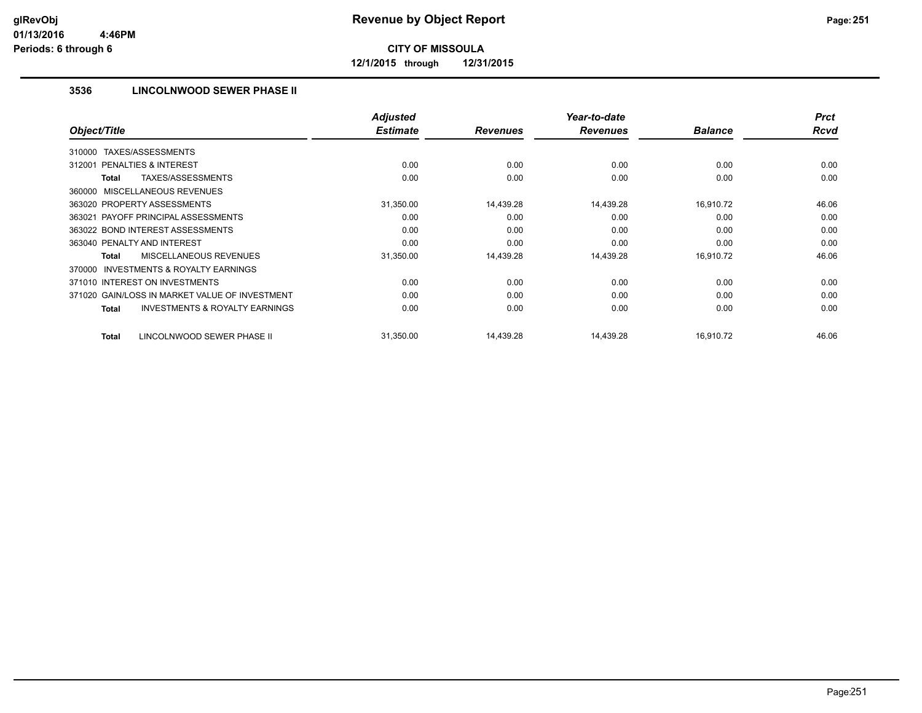**12/1/2015 through 12/31/2015**

### **3536 LINCOLNWOOD SEWER PHASE II**

|                                                     | <b>Adjusted</b><br><b>Estimate</b> |                 | Year-to-date<br><b>Revenues</b> | <b>Balance</b> | <b>Prct</b><br><b>Rcvd</b> |
|-----------------------------------------------------|------------------------------------|-----------------|---------------------------------|----------------|----------------------------|
| Object/Title                                        |                                    | <b>Revenues</b> |                                 |                |                            |
| TAXES/ASSESSMENTS<br>310000                         |                                    |                 |                                 |                |                            |
| <b>PENALTIES &amp; INTEREST</b><br>312001           | 0.00                               | 0.00            | 0.00                            | 0.00           | 0.00                       |
| <b>TAXES/ASSESSMENTS</b><br>Total                   | 0.00                               | 0.00            | 0.00                            | 0.00           | 0.00                       |
| 360000 MISCELLANEOUS REVENUES                       |                                    |                 |                                 |                |                            |
| 363020 PROPERTY ASSESSMENTS                         | 31,350.00                          | 14,439.28       | 14,439.28                       | 16,910.72      | 46.06                      |
| 363021 PAYOFF PRINCIPAL ASSESSMENTS                 | 0.00                               | 0.00            | 0.00                            | 0.00           | 0.00                       |
| 363022 BOND INTEREST ASSESSMENTS                    | 0.00                               | 0.00            | 0.00                            | 0.00           | 0.00                       |
| 363040 PENALTY AND INTEREST                         | 0.00                               | 0.00            | 0.00                            | 0.00           | 0.00                       |
| <b>MISCELLANEOUS REVENUES</b><br>Total              | 31,350.00                          | 14,439.28       | 14,439.28                       | 16,910.72      | 46.06                      |
| <b>INVESTMENTS &amp; ROYALTY EARNINGS</b><br>370000 |                                    |                 |                                 |                |                            |
| 371010 INTEREST ON INVESTMENTS                      | 0.00                               | 0.00            | 0.00                            | 0.00           | 0.00                       |
| 371020 GAIN/LOSS IN MARKET VALUE OF INVESTMENT      | 0.00                               | 0.00            | 0.00                            | 0.00           | 0.00                       |
| <b>INVESTMENTS &amp; ROYALTY EARNINGS</b><br>Total  | 0.00                               | 0.00            | 0.00                            | 0.00           | 0.00                       |
| LINCOLNWOOD SEWER PHASE II<br>Total                 | 31.350.00                          | 14,439.28       | 14,439.28                       | 16,910.72      | 46.06                      |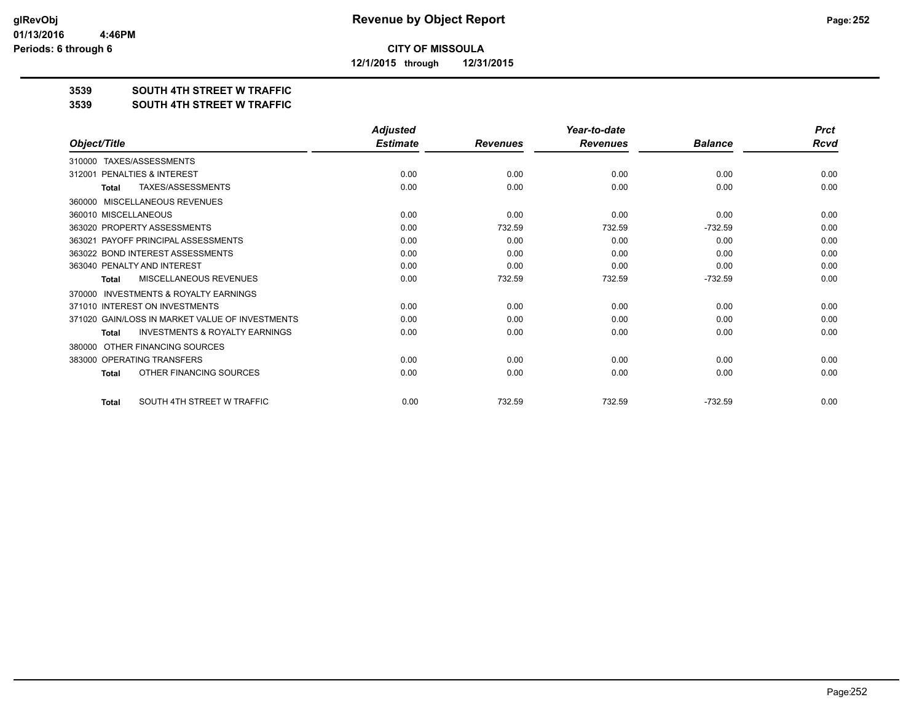**12/1/2015 through 12/31/2015**

#### **3539 SOUTH 4TH STREET W TRAFFIC**

#### **3539 SOUTH 4TH STREET W TRAFFIC**

|                                                           | <b>Adjusted</b> |                 | Year-to-date    |                | <b>Prct</b> |
|-----------------------------------------------------------|-----------------|-----------------|-----------------|----------------|-------------|
| Object/Title                                              | <b>Estimate</b> | <b>Revenues</b> | <b>Revenues</b> | <b>Balance</b> | Rcvd        |
| TAXES/ASSESSMENTS<br>310000                               |                 |                 |                 |                |             |
| PENALTIES & INTEREST<br>312001                            | 0.00            | 0.00            | 0.00            | 0.00           | 0.00        |
| TAXES/ASSESSMENTS<br><b>Total</b>                         | 0.00            | 0.00            | 0.00            | 0.00           | 0.00        |
| MISCELLANEOUS REVENUES<br>360000                          |                 |                 |                 |                |             |
| 360010 MISCELLANEOUS                                      | 0.00            | 0.00            | 0.00            | 0.00           | 0.00        |
| 363020 PROPERTY ASSESSMENTS                               | 0.00            | 732.59          | 732.59          | $-732.59$      | 0.00        |
| 363021 PAYOFF PRINCIPAL ASSESSMENTS                       | 0.00            | 0.00            | 0.00            | 0.00           | 0.00        |
| 363022 BOND INTEREST ASSESSMENTS                          | 0.00            | 0.00            | 0.00            | 0.00           | 0.00        |
| 363040 PENALTY AND INTEREST                               | 0.00            | 0.00            | 0.00            | 0.00           | 0.00        |
| MISCELLANEOUS REVENUES<br><b>Total</b>                    | 0.00            | 732.59          | 732.59          | $-732.59$      | 0.00        |
| <b>INVESTMENTS &amp; ROYALTY EARNINGS</b><br>370000       |                 |                 |                 |                |             |
| 371010 INTEREST ON INVESTMENTS                            | 0.00            | 0.00            | 0.00            | 0.00           | 0.00        |
| 371020 GAIN/LOSS IN MARKET VALUE OF INVESTMENTS           | 0.00            | 0.00            | 0.00            | 0.00           | 0.00        |
| <b>INVESTMENTS &amp; ROYALTY EARNINGS</b><br><b>Total</b> | 0.00            | 0.00            | 0.00            | 0.00           | 0.00        |
| OTHER FINANCING SOURCES<br>380000                         |                 |                 |                 |                |             |
| OPERATING TRANSFERS<br>383000                             | 0.00            | 0.00            | 0.00            | 0.00           | 0.00        |
| OTHER FINANCING SOURCES<br><b>Total</b>                   | 0.00            | 0.00            | 0.00            | 0.00           | 0.00        |
| SOUTH 4TH STREET W TRAFFIC<br><b>Total</b>                | 0.00            | 732.59          | 732.59          | $-732.59$      | 0.00        |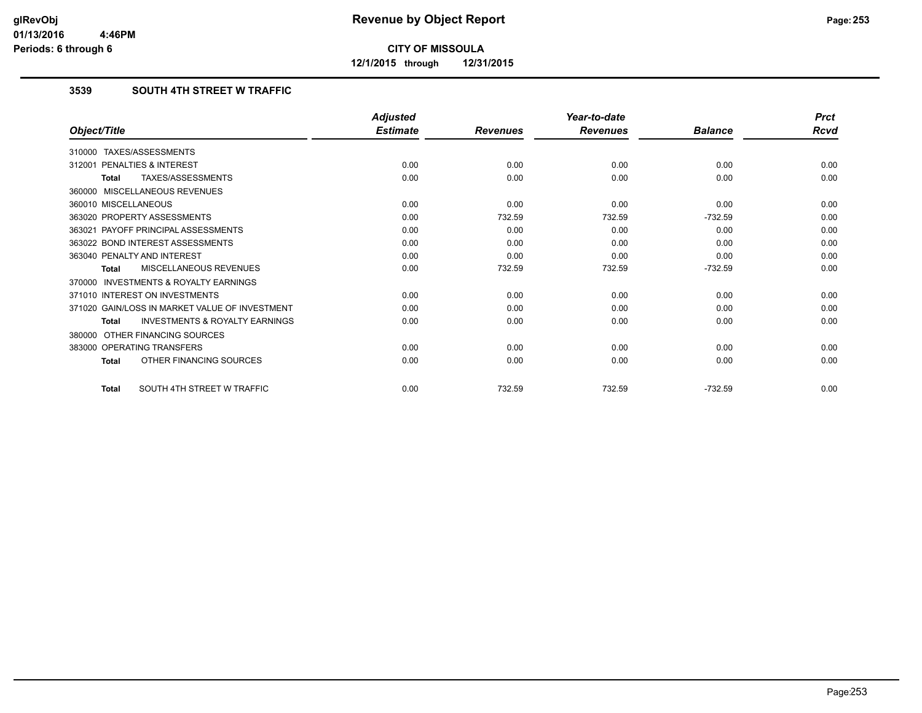**12/1/2015 through 12/31/2015**

## **3539 SOUTH 4TH STREET W TRAFFIC**

|                                                    | <b>Adjusted</b> |                 | Year-to-date    |                | <b>Prct</b> |
|----------------------------------------------------|-----------------|-----------------|-----------------|----------------|-------------|
| Object/Title                                       | <b>Estimate</b> | <b>Revenues</b> | <b>Revenues</b> | <b>Balance</b> | Rcvd        |
| 310000 TAXES/ASSESSMENTS                           |                 |                 |                 |                |             |
| PENALTIES & INTEREST<br>312001                     | 0.00            | 0.00            | 0.00            | 0.00           | 0.00        |
| TAXES/ASSESSMENTS<br>Total                         | 0.00            | 0.00            | 0.00            | 0.00           | 0.00        |
| 360000 MISCELLANEOUS REVENUES                      |                 |                 |                 |                |             |
| 360010 MISCELLANEOUS                               | 0.00            | 0.00            | 0.00            | 0.00           | 0.00        |
| 363020 PROPERTY ASSESSMENTS                        | 0.00            | 732.59          | 732.59          | $-732.59$      | 0.00        |
| 363021 PAYOFF PRINCIPAL ASSESSMENTS                | 0.00            | 0.00            | 0.00            | 0.00           | 0.00        |
| 363022 BOND INTEREST ASSESSMENTS                   | 0.00            | 0.00            | 0.00            | 0.00           | 0.00        |
| 363040 PENALTY AND INTEREST                        | 0.00            | 0.00            | 0.00            | 0.00           | 0.00        |
| MISCELLANEOUS REVENUES<br><b>Total</b>             | 0.00            | 732.59          | 732.59          | $-732.59$      | 0.00        |
| 370000 INVESTMENTS & ROYALTY EARNINGS              |                 |                 |                 |                |             |
| 371010 INTEREST ON INVESTMENTS                     | 0.00            | 0.00            | 0.00            | 0.00           | 0.00        |
| 371020 GAIN/LOSS IN MARKET VALUE OF INVESTMENT     | 0.00            | 0.00            | 0.00            | 0.00           | 0.00        |
| <b>INVESTMENTS &amp; ROYALTY EARNINGS</b><br>Total | 0.00            | 0.00            | 0.00            | 0.00           | 0.00        |
| 380000 OTHER FINANCING SOURCES                     |                 |                 |                 |                |             |
| 383000 OPERATING TRANSFERS                         | 0.00            | 0.00            | 0.00            | 0.00           | 0.00        |
| OTHER FINANCING SOURCES<br>Total                   | 0.00            | 0.00            | 0.00            | 0.00           | 0.00        |
| SOUTH 4TH STREET W TRAFFIC<br><b>Total</b>         | 0.00            | 732.59          | 732.59          | $-732.59$      | 0.00        |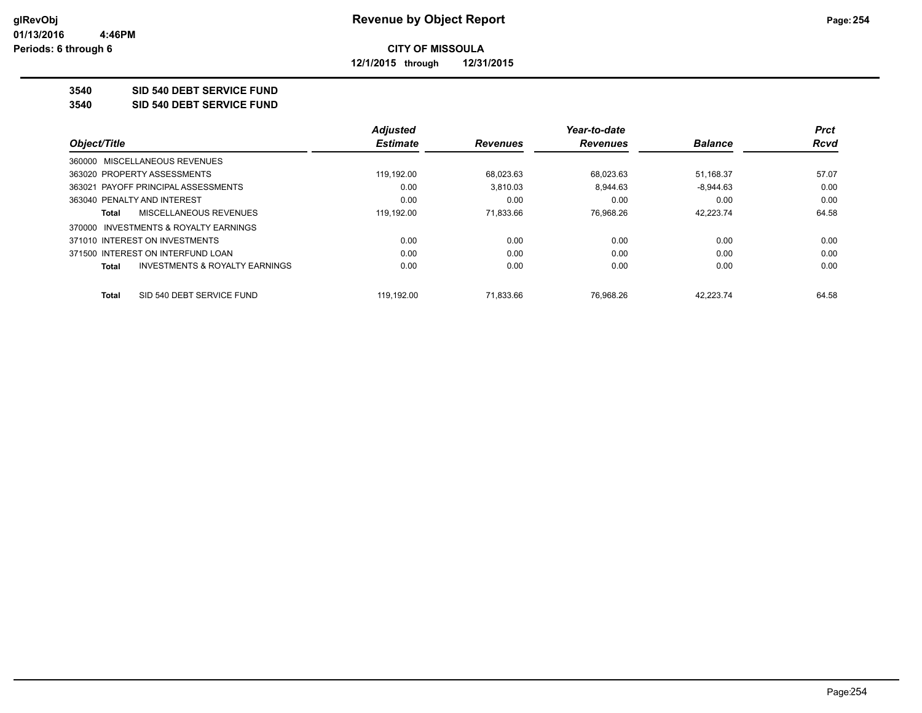**12/1/2015 through 12/31/2015**

#### **3540 SID 540 DEBT SERVICE FUND**

**3540 SID 540 DEBT SERVICE FUND**

|                                       |                                | <b>Adjusted</b> |                 | Year-to-date    |                | <b>Prct</b> |
|---------------------------------------|--------------------------------|-----------------|-----------------|-----------------|----------------|-------------|
| Object/Title                          |                                | <b>Estimate</b> | <b>Revenues</b> | <b>Revenues</b> | <b>Balance</b> | <b>Rcvd</b> |
| 360000 MISCELLANEOUS REVENUES         |                                |                 |                 |                 |                |             |
| 363020 PROPERTY ASSESSMENTS           |                                | 119.192.00      | 68.023.63       | 68.023.63       | 51.168.37      | 57.07       |
| 363021 PAYOFF PRINCIPAL ASSESSMENTS   |                                | 0.00            | 3.810.03        | 8,944.63        | $-8,944.63$    | 0.00        |
| 363040 PENALTY AND INTEREST           |                                | 0.00            | 0.00            | 0.00            | 0.00           | 0.00        |
| Total                                 | MISCELLANEOUS REVENUES         | 119,192.00      | 71,833.66       | 76,968.26       | 42,223.74      | 64.58       |
| 370000 INVESTMENTS & ROYALTY EARNINGS |                                |                 |                 |                 |                |             |
| 371010 INTEREST ON INVESTMENTS        |                                | 0.00            | 0.00            | 0.00            | 0.00           | 0.00        |
| 371500 INTEREST ON INTERFUND LOAN     |                                | 0.00            | 0.00            | 0.00            | 0.00           | 0.00        |
| Total                                 | INVESTMENTS & ROYALTY EARNINGS | 0.00            | 0.00            | 0.00            | 0.00           | 0.00        |
| Total                                 | SID 540 DEBT SERVICE FUND      | 119.192.00      | 71.833.66       | 76.968.26       | 42.223.74      | 64.58       |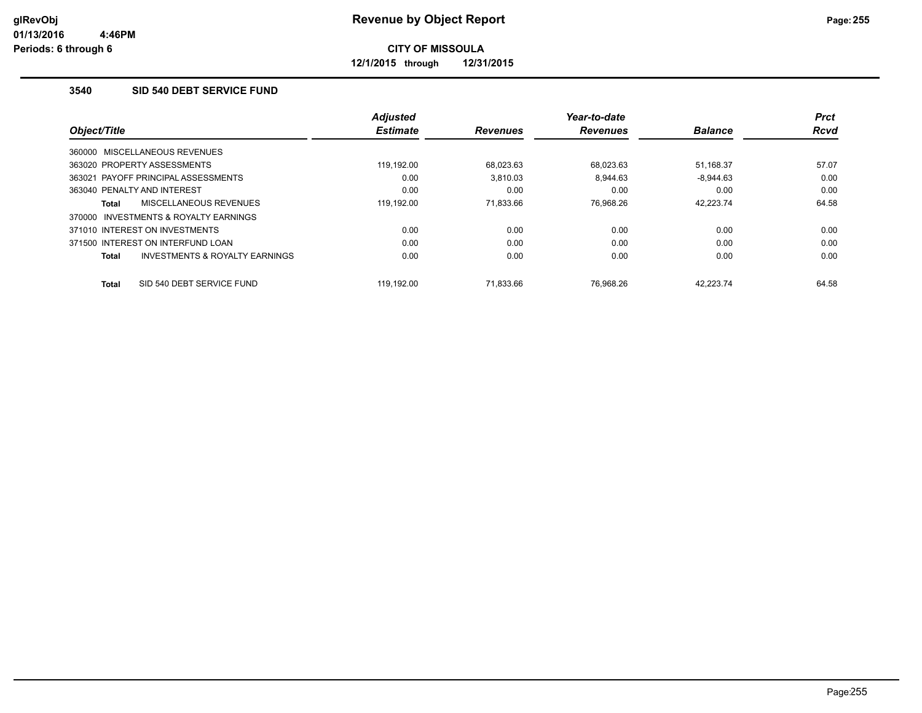**12/1/2015 through 12/31/2015**

## **3540 SID 540 DEBT SERVICE FUND**

| Object/Title                                        | <b>Adjusted</b><br><b>Estimate</b> | <b>Revenues</b> | Year-to-date<br><b>Revenues</b> | <b>Balance</b> | <b>Prct</b><br><b>Rcvd</b> |
|-----------------------------------------------------|------------------------------------|-----------------|---------------------------------|----------------|----------------------------|
| 360000 MISCELLANEOUS REVENUES                       |                                    |                 |                                 |                |                            |
| 363020 PROPERTY ASSESSMENTS                         | 119.192.00                         | 68.023.63       | 68.023.63                       | 51.168.37      | 57.07                      |
| 363021 PAYOFF PRINCIPAL ASSESSMENTS                 | 0.00                               | 3.810.03        | 8.944.63                        | $-8.944.63$    | 0.00                       |
| 363040 PENALTY AND INTEREST                         | 0.00                               | 0.00            | 0.00                            | 0.00           | 0.00                       |
| MISCELLANEOUS REVENUES<br>Total                     | 119.192.00                         | 71.833.66       | 76.968.26                       | 42.223.74      | 64.58                      |
| <b>INVESTMENTS &amp; ROYALTY EARNINGS</b><br>370000 |                                    |                 |                                 |                |                            |
| 371010 INTEREST ON INVESTMENTS                      | 0.00                               | 0.00            | 0.00                            | 0.00           | 0.00                       |
| 371500 INTEREST ON INTERFUND LOAN                   | 0.00                               | 0.00            | 0.00                            | 0.00           | 0.00                       |
| INVESTMENTS & ROYALTY EARNINGS<br>Total             | 0.00                               | 0.00            | 0.00                            | 0.00           | 0.00                       |
| SID 540 DEBT SERVICE FUND<br><b>Total</b>           | 119.192.00                         | 71.833.66       | 76.968.26                       | 42.223.74      | 64.58                      |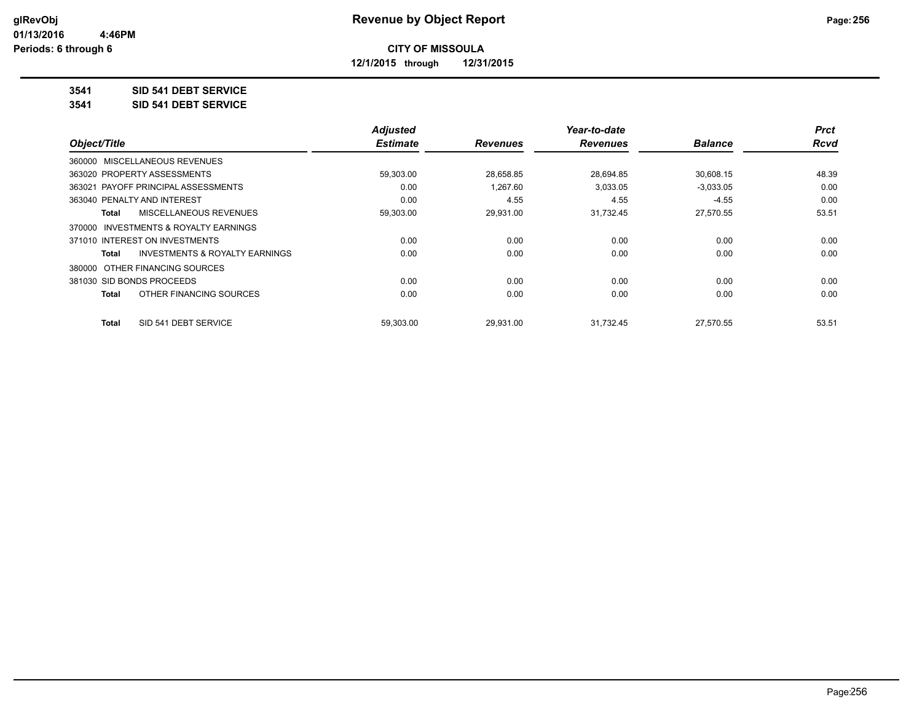**12/1/2015 through 12/31/2015**

## **3541 SID 541 DEBT SERVICE**

**3541 SID 541 DEBT SERVICE**

|                                         | <b>Adjusted</b> |                 | Year-to-date    |                | <b>Prct</b> |
|-----------------------------------------|-----------------|-----------------|-----------------|----------------|-------------|
| Object/Title                            | <b>Estimate</b> | <b>Revenues</b> | <b>Revenues</b> | <b>Balance</b> | <b>Rcvd</b> |
| 360000 MISCELLANEOUS REVENUES           |                 |                 |                 |                |             |
| 363020 PROPERTY ASSESSMENTS             | 59,303.00       | 28,658.85       | 28,694.85       | 30,608.15      | 48.39       |
| 363021 PAYOFF PRINCIPAL ASSESSMENTS     | 0.00            | 1.267.60        | 3,033.05        | $-3,033.05$    | 0.00        |
| 363040 PENALTY AND INTEREST             | 0.00            | 4.55            | 4.55            | $-4.55$        | 0.00        |
| MISCELLANEOUS REVENUES<br>Total         | 59,303.00       | 29,931.00       | 31,732.45       | 27,570.55      | 53.51       |
| 370000 INVESTMENTS & ROYALTY EARNINGS   |                 |                 |                 |                |             |
| 371010 INTEREST ON INVESTMENTS          | 0.00            | 0.00            | 0.00            | 0.00           | 0.00        |
| INVESTMENTS & ROYALTY EARNINGS<br>Total | 0.00            | 0.00            | 0.00            | 0.00           | 0.00        |
| 380000 OTHER FINANCING SOURCES          |                 |                 |                 |                |             |
| 381030 SID BONDS PROCEEDS               | 0.00            | 0.00            | 0.00            | 0.00           | 0.00        |
| OTHER FINANCING SOURCES<br>Total        | 0.00            | 0.00            | 0.00            | 0.00           | 0.00        |
| SID 541 DEBT SERVICE<br>Total           | 59.303.00       | 29.931.00       | 31.732.45       | 27,570.55      | 53.51       |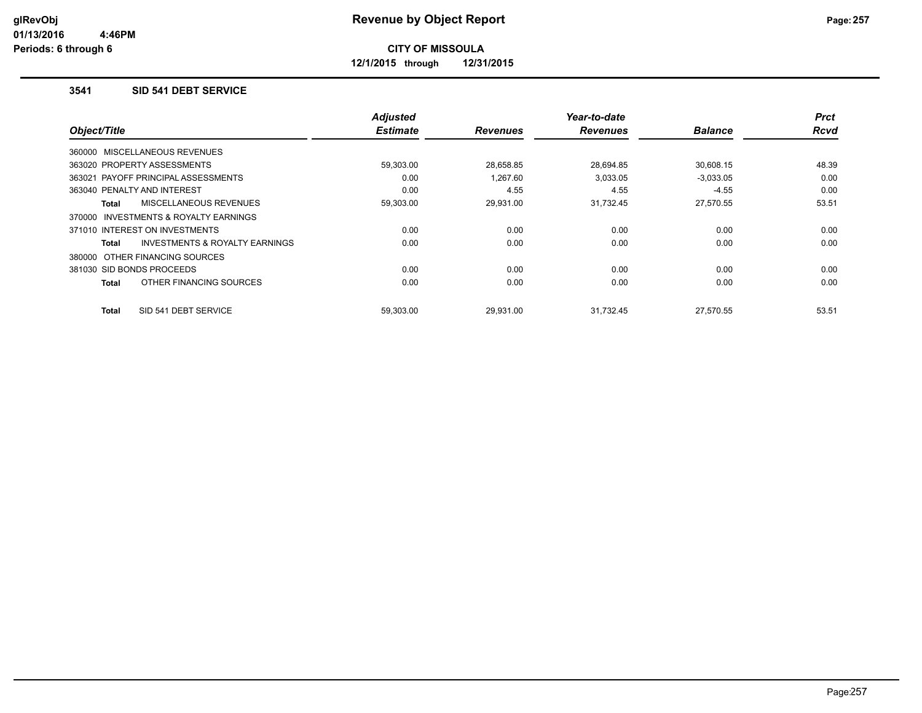**12/1/2015 through 12/31/2015**

#### **3541 SID 541 DEBT SERVICE**

| Object/Title                                        | <b>Adjusted</b><br><b>Estimate</b> | <b>Revenues</b> | Year-to-date<br><b>Revenues</b> | <b>Balance</b> | <b>Prct</b><br>Rcvd |
|-----------------------------------------------------|------------------------------------|-----------------|---------------------------------|----------------|---------------------|
|                                                     |                                    |                 |                                 |                |                     |
| 360000 MISCELLANEOUS REVENUES                       |                                    |                 |                                 |                |                     |
| 363020 PROPERTY ASSESSMENTS                         | 59,303.00                          | 28,658.85       | 28,694.85                       | 30,608.15      | 48.39               |
| 363021 PAYOFF PRINCIPAL ASSESSMENTS                 | 0.00                               | 1.267.60        | 3,033.05                        | $-3,033.05$    | 0.00                |
| 363040 PENALTY AND INTEREST                         | 0.00                               | 4.55            | 4.55                            | $-4.55$        | 0.00                |
| MISCELLANEOUS REVENUES<br>Total                     | 59,303.00                          | 29,931.00       | 31,732.45                       | 27,570.55      | 53.51               |
| <b>INVESTMENTS &amp; ROYALTY EARNINGS</b><br>370000 |                                    |                 |                                 |                |                     |
| 371010 INTEREST ON INVESTMENTS                      | 0.00                               | 0.00            | 0.00                            | 0.00           | 0.00                |
| <b>INVESTMENTS &amp; ROYALTY EARNINGS</b><br>Total  | 0.00                               | 0.00            | 0.00                            | 0.00           | 0.00                |
| 380000 OTHER FINANCING SOURCES                      |                                    |                 |                                 |                |                     |
| 381030 SID BONDS PROCEEDS                           | 0.00                               | 0.00            | 0.00                            | 0.00           | 0.00                |
| OTHER FINANCING SOURCES<br>Total                    | 0.00                               | 0.00            | 0.00                            | 0.00           | 0.00                |
| SID 541 DEBT SERVICE<br>Total                       | 59,303.00                          | 29,931.00       | 31,732.45                       | 27,570.55      | 53.51               |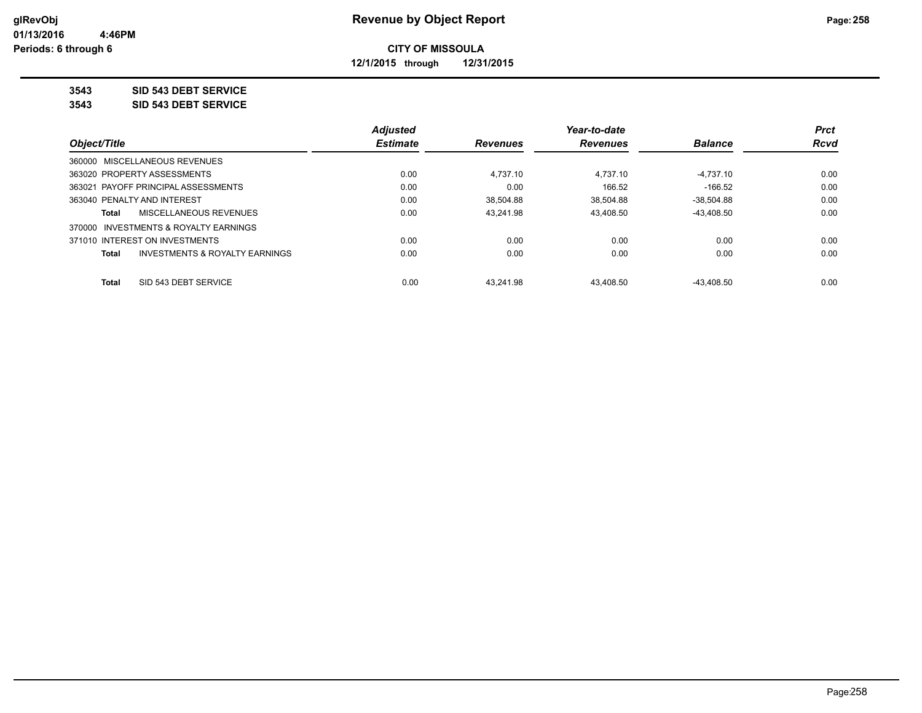**12/1/2015 through 12/31/2015**

### **3543 SID 543 DEBT SERVICE**

**3543 SID 543 DEBT SERVICE**

|                                                    | <b>Adjusted</b> |                 | Year-to-date    |                | <b>Prct</b> |
|----------------------------------------------------|-----------------|-----------------|-----------------|----------------|-------------|
| Object/Title                                       | <b>Estimate</b> | <b>Revenues</b> | <b>Revenues</b> | <b>Balance</b> | <b>Rcvd</b> |
| 360000 MISCELLANEOUS REVENUES                      |                 |                 |                 |                |             |
| 363020 PROPERTY ASSESSMENTS                        | 0.00            | 4.737.10        | 4.737.10        | $-4.737.10$    | 0.00        |
| 363021 PAYOFF PRINCIPAL ASSESSMENTS                | 0.00            | 0.00            | 166.52          | -166.52        | 0.00        |
| 363040 PENALTY AND INTEREST                        | 0.00            | 38.504.88       | 38.504.88       | $-38.504.88$   | 0.00        |
| MISCELLANEOUS REVENUES<br>Total                    | 0.00            | 43.241.98       | 43.408.50       | $-43.408.50$   | 0.00        |
| 370000 INVESTMENTS & ROYALTY EARNINGS              |                 |                 |                 |                |             |
| 371010 INTEREST ON INVESTMENTS                     | 0.00            | 0.00            | 0.00            | 0.00           | 0.00        |
| <b>INVESTMENTS &amp; ROYALTY EARNINGS</b><br>Total | 0.00            | 0.00            | 0.00            | 0.00           | 0.00        |
|                                                    |                 |                 |                 |                |             |
| SID 543 DEBT SERVICE<br>Total                      | 0.00            | 43.241.98       | 43.408.50       | -43.408.50     | 0.00        |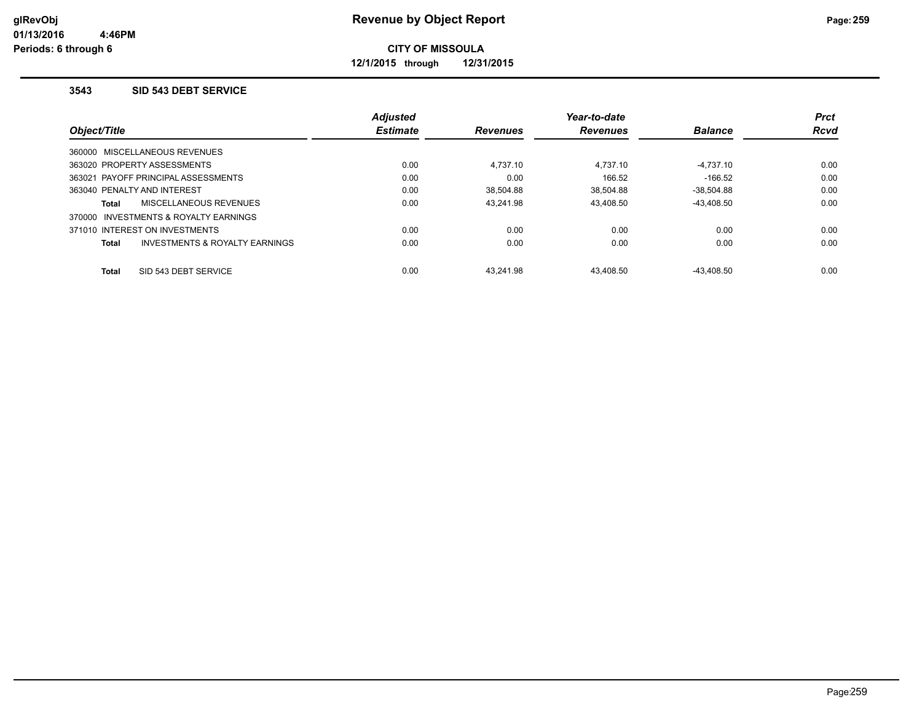**12/1/2015 through 12/31/2015**

#### **3543 SID 543 DEBT SERVICE**

|                                                           | <b>Adjusted</b> |                 | Year-to-date    |                | <b>Prct</b> |
|-----------------------------------------------------------|-----------------|-----------------|-----------------|----------------|-------------|
| Object/Title                                              | <b>Estimate</b> | <b>Revenues</b> | <b>Revenues</b> | <b>Balance</b> | <b>Rcvd</b> |
| 360000 MISCELLANEOUS REVENUES                             |                 |                 |                 |                |             |
| 363020 PROPERTY ASSESSMENTS                               | 0.00            | 4.737.10        | 4.737.10        | $-4,737.10$    | 0.00        |
| 363021 PAYOFF PRINCIPAL ASSESSMENTS                       | 0.00            | 0.00            | 166.52          | $-166.52$      | 0.00        |
| 363040 PENALTY AND INTEREST                               | 0.00            | 38.504.88       | 38.504.88       | $-38.504.88$   | 0.00        |
| MISCELLANEOUS REVENUES<br><b>Total</b>                    | 0.00            | 43.241.98       | 43.408.50       | $-43.408.50$   | 0.00        |
| 370000 INVESTMENTS & ROYALTY EARNINGS                     |                 |                 |                 |                |             |
| 371010 INTEREST ON INVESTMENTS                            | 0.00            | 0.00            | 0.00            | 0.00           | 0.00        |
| <b>INVESTMENTS &amp; ROYALTY EARNINGS</b><br><b>Total</b> | 0.00            | 0.00            | 0.00            | 0.00           | 0.00        |
| SID 543 DEBT SERVICE<br><b>Total</b>                      | 0.00            | 43.241.98       | 43.408.50       | $-43.408.50$   | 0.00        |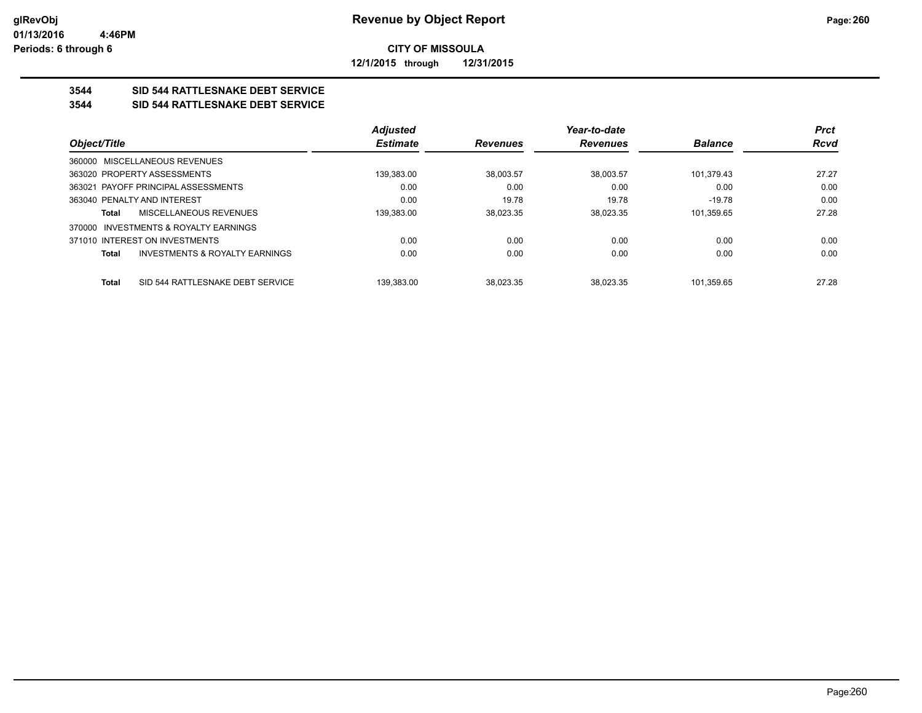**12/1/2015 through 12/31/2015**

## **3544 SID 544 RATTLESNAKE DEBT SERVICE**

#### **3544 SID 544 RATTLESNAKE DEBT SERVICE**

|                                                           | <b>Adjusted</b> |                 | Year-to-date    |                | <b>Prct</b> |
|-----------------------------------------------------------|-----------------|-----------------|-----------------|----------------|-------------|
| Object/Title                                              | <b>Estimate</b> | <b>Revenues</b> | <b>Revenues</b> | <b>Balance</b> | <b>Rcvd</b> |
| 360000 MISCELLANEOUS REVENUES                             |                 |                 |                 |                |             |
| 363020 PROPERTY ASSESSMENTS                               | 139.383.00      | 38.003.57       | 38.003.57       | 101.379.43     | 27.27       |
| 363021 PAYOFF PRINCIPAL ASSESSMENTS                       | 0.00            | 0.00            | 0.00            | 0.00           | 0.00        |
| 363040 PENALTY AND INTEREST                               | 0.00            | 19.78           | 19.78           | $-19.78$       | 0.00        |
| MISCELLANEOUS REVENUES<br>Total                           | 139.383.00      | 38.023.35       | 38.023.35       | 101.359.65     | 27.28       |
| INVESTMENTS & ROYALTY EARNINGS<br>370000                  |                 |                 |                 |                |             |
| 371010 INTEREST ON INVESTMENTS                            | 0.00            | 0.00            | 0.00            | 0.00           | 0.00        |
| <b>INVESTMENTS &amp; ROYALTY EARNINGS</b><br><b>Total</b> | 0.00            | 0.00            | 0.00            | 0.00           | 0.00        |
|                                                           |                 |                 |                 |                |             |
| SID 544 RATTLESNAKE DEBT SERVICE<br><b>Total</b>          | 139.383.00      | 38.023.35       | 38.023.35       | 101.359.65     | 27.28       |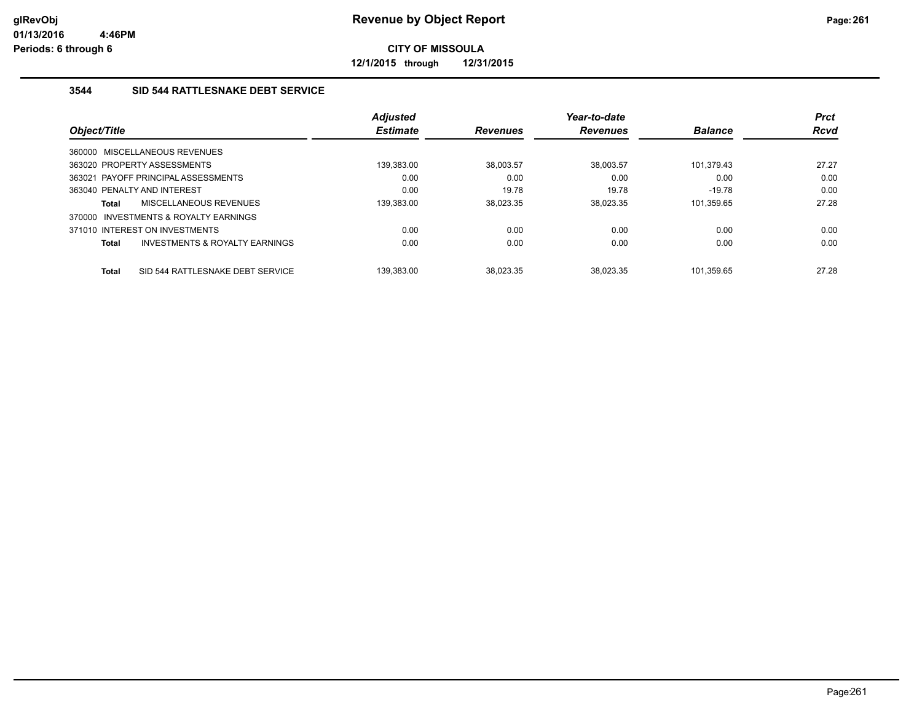**12/1/2015 through 12/31/2015**

## **3544 SID 544 RATTLESNAKE DEBT SERVICE**

|                                                  | <b>Adjusted</b> |                 | Year-to-date    |                | <b>Prct</b> |
|--------------------------------------------------|-----------------|-----------------|-----------------|----------------|-------------|
| Object/Title                                     | <b>Estimate</b> | <b>Revenues</b> | <b>Revenues</b> | <b>Balance</b> | <b>Rcvd</b> |
| 360000 MISCELLANEOUS REVENUES                    |                 |                 |                 |                |             |
| 363020 PROPERTY ASSESSMENTS                      | 139,383.00      | 38.003.57       | 38.003.57       | 101.379.43     | 27.27       |
| 363021 PAYOFF PRINCIPAL ASSESSMENTS              | 0.00            | 0.00            | 0.00            | 0.00           | 0.00        |
| 363040 PENALTY AND INTEREST                      | 0.00            | 19.78           | 19.78           | $-19.78$       | 0.00        |
| MISCELLANEOUS REVENUES<br>Total                  | 139,383.00      | 38.023.35       | 38.023.35       | 101.359.65     | 27.28       |
| INVESTMENTS & ROYALTY EARNINGS<br>370000         |                 |                 |                 |                |             |
| 371010 INTEREST ON INVESTMENTS                   | 0.00            | 0.00            | 0.00            | 0.00           | 0.00        |
| INVESTMENTS & ROYALTY EARNINGS<br>Total          | 0.00            | 0.00            | 0.00            | 0.00           | 0.00        |
| SID 544 RATTLESNAKE DEBT SERVICE<br><b>Total</b> | 139.383.00      | 38.023.35       | 38.023.35       | 101.359.65     | 27.28       |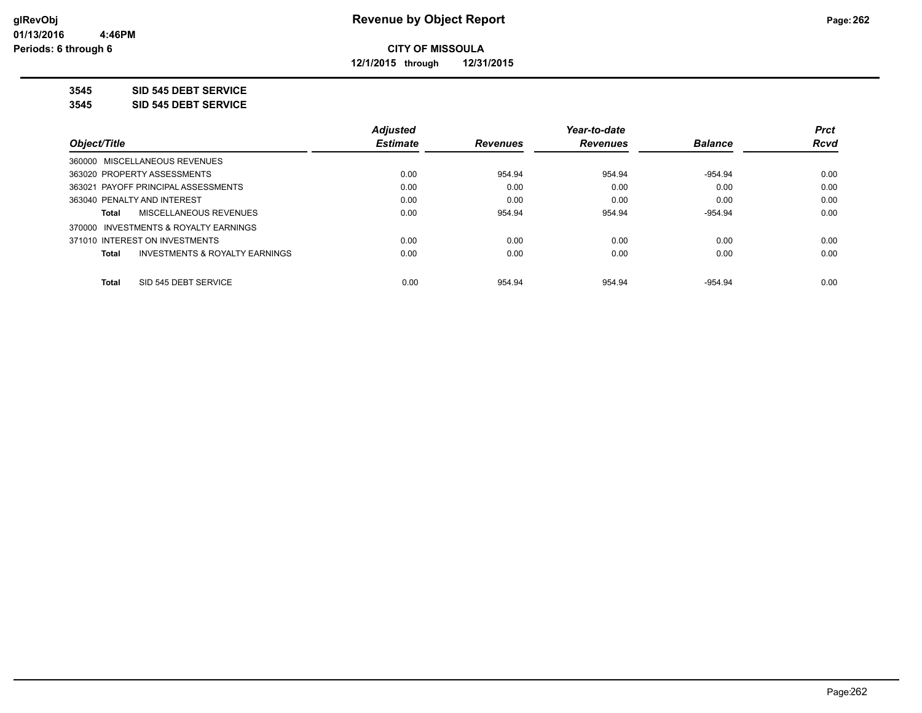**12/1/2015 through 12/31/2015**

#### **3545 SID 545 DEBT SERVICE**

**3545 SID 545 DEBT SERVICE**

|                                                    | <b>Adjusted</b> |                 | Year-to-date    |                | <b>Prct</b> |
|----------------------------------------------------|-----------------|-----------------|-----------------|----------------|-------------|
| Object/Title                                       | <b>Estimate</b> | <b>Revenues</b> | <b>Revenues</b> | <b>Balance</b> | <b>Rcvd</b> |
| 360000 MISCELLANEOUS REVENUES                      |                 |                 |                 |                |             |
| 363020 PROPERTY ASSESSMENTS                        | 0.00            | 954.94          | 954.94          | $-954.94$      | 0.00        |
| 363021 PAYOFF PRINCIPAL ASSESSMENTS                | 0.00            | 0.00            | 0.00            | 0.00           | 0.00        |
| 363040 PENALTY AND INTEREST                        | 0.00            | 0.00            | 0.00            | 0.00           | 0.00        |
| MISCELLANEOUS REVENUES<br>Total                    | 0.00            | 954.94          | 954.94          | $-954.94$      | 0.00        |
| 370000 INVESTMENTS & ROYALTY EARNINGS              |                 |                 |                 |                |             |
| 371010 INTEREST ON INVESTMENTS                     | 0.00            | 0.00            | 0.00            | 0.00           | 0.00        |
| <b>INVESTMENTS &amp; ROYALTY EARNINGS</b><br>Total | 0.00            | 0.00            | 0.00            | 0.00           | 0.00        |
| SID 545 DEBT SERVICE<br><b>Total</b>               | 0.00            | 954.94          | 954.94          | $-954.94$      | 0.00        |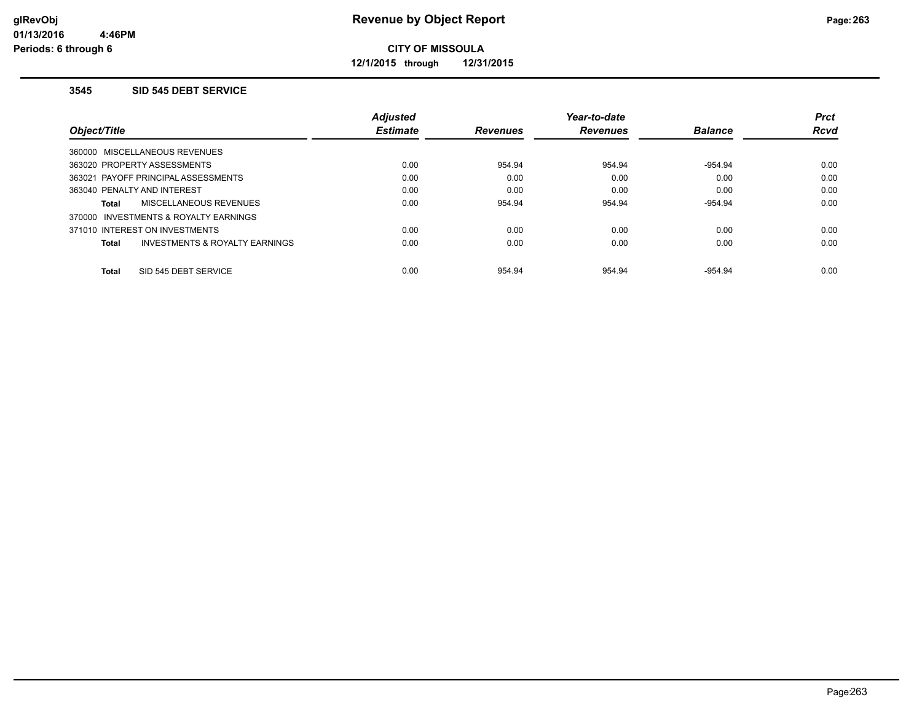**12/1/2015 through 12/31/2015**

#### **3545 SID 545 DEBT SERVICE**

|                                                           | <b>Adjusted</b> |                 | Year-to-date    |                | <b>Prct</b> |
|-----------------------------------------------------------|-----------------|-----------------|-----------------|----------------|-------------|
| Object/Title                                              | <b>Estimate</b> | <b>Revenues</b> | <b>Revenues</b> | <b>Balance</b> | <b>Rcvd</b> |
| 360000 MISCELLANEOUS REVENUES                             |                 |                 |                 |                |             |
| 363020 PROPERTY ASSESSMENTS                               | 0.00            | 954.94          | 954.94          | $-954.94$      | 0.00        |
| 363021 PAYOFF PRINCIPAL ASSESSMENTS                       | 0.00            | 0.00            | 0.00            | 0.00           | 0.00        |
| 363040 PENALTY AND INTEREST                               | 0.00            | 0.00            | 0.00            | 0.00           | 0.00        |
| <b>MISCELLANEOUS REVENUES</b><br>Total                    | 0.00            | 954.94          | 954.94          | $-954.94$      | 0.00        |
| 370000 INVESTMENTS & ROYALTY EARNINGS                     |                 |                 |                 |                |             |
| 371010 INTEREST ON INVESTMENTS                            | 0.00            | 0.00            | 0.00            | 0.00           | 0.00        |
| <b>INVESTMENTS &amp; ROYALTY EARNINGS</b><br><b>Total</b> | 0.00            | 0.00            | 0.00            | 0.00           | 0.00        |
| SID 545 DEBT SERVICE<br><b>Total</b>                      | 0.00            | 954.94          | 954.94          | $-954.94$      | 0.00        |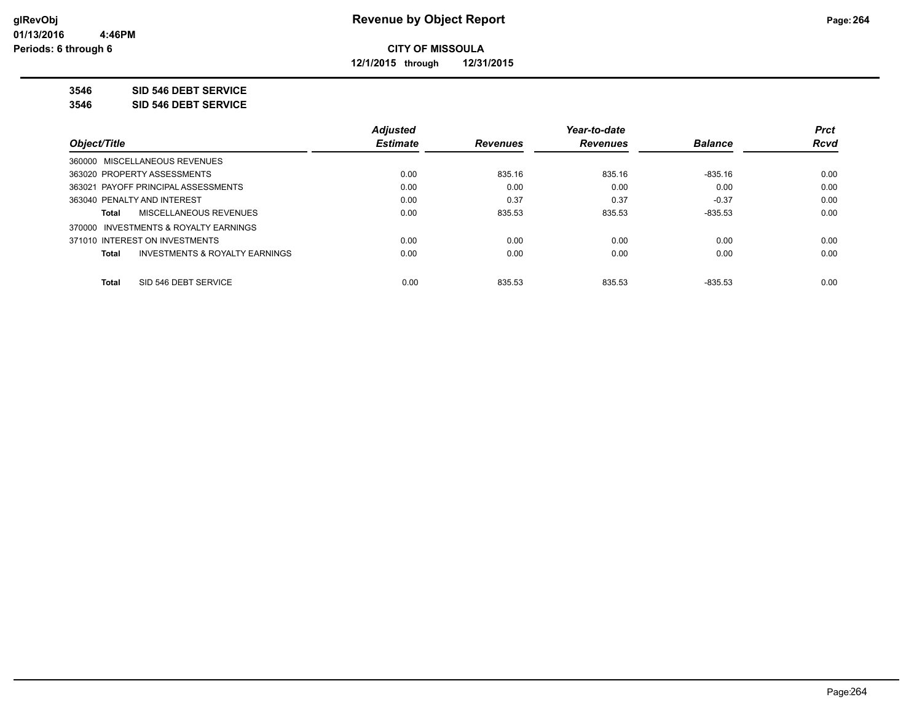**12/1/2015 through 12/31/2015**

#### **3546 SID 546 DEBT SERVICE**

**3546 SID 546 DEBT SERVICE**

|                                                    | <b>Adjusted</b> |                 | Year-to-date    |                | <b>Prct</b> |
|----------------------------------------------------|-----------------|-----------------|-----------------|----------------|-------------|
| Object/Title                                       | <b>Estimate</b> | <b>Revenues</b> | <b>Revenues</b> | <b>Balance</b> | <b>Rcvd</b> |
| 360000 MISCELLANEOUS REVENUES                      |                 |                 |                 |                |             |
| 363020 PROPERTY ASSESSMENTS                        | 0.00            | 835.16          | 835.16          | $-835.16$      | 0.00        |
| 363021 PAYOFF PRINCIPAL ASSESSMENTS                | 0.00            | 0.00            | 0.00            | 0.00           | 0.00        |
| 363040 PENALTY AND INTEREST                        | 0.00            | 0.37            | 0.37            | $-0.37$        | 0.00        |
| MISCELLANEOUS REVENUES<br>Total                    | 0.00            | 835.53          | 835.53          | $-835.53$      | 0.00        |
| 370000 INVESTMENTS & ROYALTY EARNINGS              |                 |                 |                 |                |             |
| 371010 INTEREST ON INVESTMENTS                     | 0.00            | 0.00            | 0.00            | 0.00           | 0.00        |
| <b>INVESTMENTS &amp; ROYALTY EARNINGS</b><br>Total | 0.00            | 0.00            | 0.00            | 0.00           | 0.00        |
|                                                    |                 |                 |                 |                |             |
| SID 546 DEBT SERVICE<br><b>Total</b>               | 0.00            | 835.53          | 835.53          | $-835.53$      | 0.00        |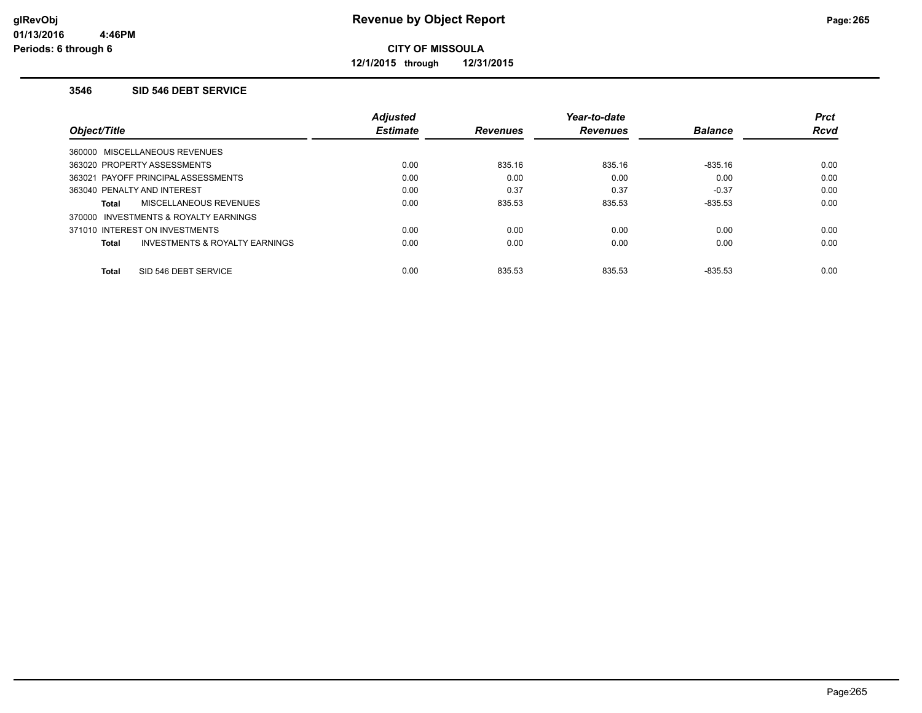**12/1/2015 through 12/31/2015**

#### **3546 SID 546 DEBT SERVICE**

|                                                           | <b>Adjusted</b> |                 | Year-to-date    |                | <b>Prct</b> |
|-----------------------------------------------------------|-----------------|-----------------|-----------------|----------------|-------------|
| Object/Title                                              | <b>Estimate</b> | <b>Revenues</b> | <b>Revenues</b> | <b>Balance</b> | <b>Rcvd</b> |
| 360000 MISCELLANEOUS REVENUES                             |                 |                 |                 |                |             |
| 363020 PROPERTY ASSESSMENTS                               | 0.00            | 835.16          | 835.16          | $-835.16$      | 0.00        |
| 363021 PAYOFF PRINCIPAL ASSESSMENTS                       | 0.00            | 0.00            | 0.00            | 0.00           | 0.00        |
| 363040 PENALTY AND INTEREST                               | 0.00            | 0.37            | 0.37            | $-0.37$        | 0.00        |
| <b>MISCELLANEOUS REVENUES</b><br>Total                    | 0.00            | 835.53          | 835.53          | $-835.53$      | 0.00        |
| 370000 INVESTMENTS & ROYALTY EARNINGS                     |                 |                 |                 |                |             |
| 371010 INTEREST ON INVESTMENTS                            | 0.00            | 0.00            | 0.00            | 0.00           | 0.00        |
| <b>INVESTMENTS &amp; ROYALTY EARNINGS</b><br><b>Total</b> | 0.00            | 0.00            | 0.00            | 0.00           | 0.00        |
| SID 546 DEBT SERVICE<br><b>Total</b>                      | 0.00            | 835.53          | 835.53          | $-835.53$      | 0.00        |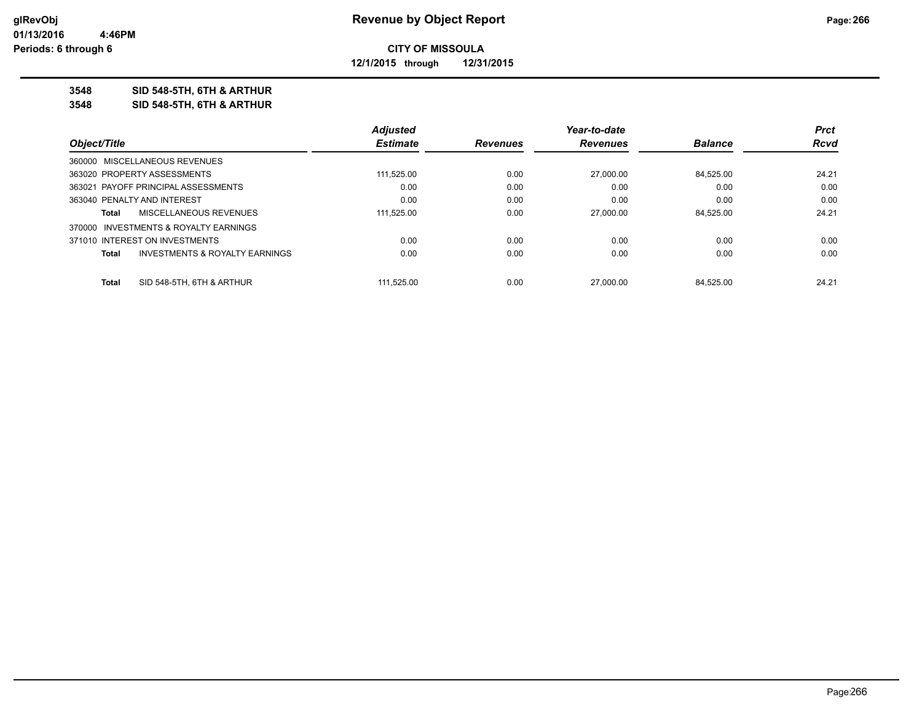**12/1/2015 through 12/31/2015**

#### **3548 SID 548-5TH, 6TH & ARTHUR**

**3548 SID 548-5TH, 6TH & ARTHUR**

|                             |                                           | <b>Adjusted</b> |                 | Year-to-date    |                | <b>Prct</b> |
|-----------------------------|-------------------------------------------|-----------------|-----------------|-----------------|----------------|-------------|
| Object/Title                |                                           | <b>Estimate</b> | <b>Revenues</b> | <b>Revenues</b> | <b>Balance</b> | Rcvd        |
|                             | 360000 MISCELLANEOUS REVENUES             |                 |                 |                 |                |             |
|                             | 363020 PROPERTY ASSESSMENTS               | 111.525.00      | 0.00            | 27,000.00       | 84.525.00      | 24.21       |
|                             | 363021 PAYOFF PRINCIPAL ASSESSMENTS       | 0.00            | 0.00            | 0.00            | 0.00           | 0.00        |
| 363040 PENALTY AND INTEREST |                                           | 0.00            | 0.00            | 0.00            | 0.00           | 0.00        |
| Total                       | MISCELLANEOUS REVENUES                    | 111,525.00      | 0.00            | 27,000.00       | 84.525.00      | 24.21       |
|                             | 370000 INVESTMENTS & ROYALTY EARNINGS     |                 |                 |                 |                |             |
|                             | 371010 INTEREST ON INVESTMENTS            | 0.00            | 0.00            | 0.00            | 0.00           | 0.00        |
| <b>Total</b>                | <b>INVESTMENTS &amp; ROYALTY EARNINGS</b> | 0.00            | 0.00            | 0.00            | 0.00           | 0.00        |
| Total                       | SID 548-5TH, 6TH & ARTHUR                 | 111.525.00      | 0.00            | 27,000.00       | 84.525.00      | 24.21       |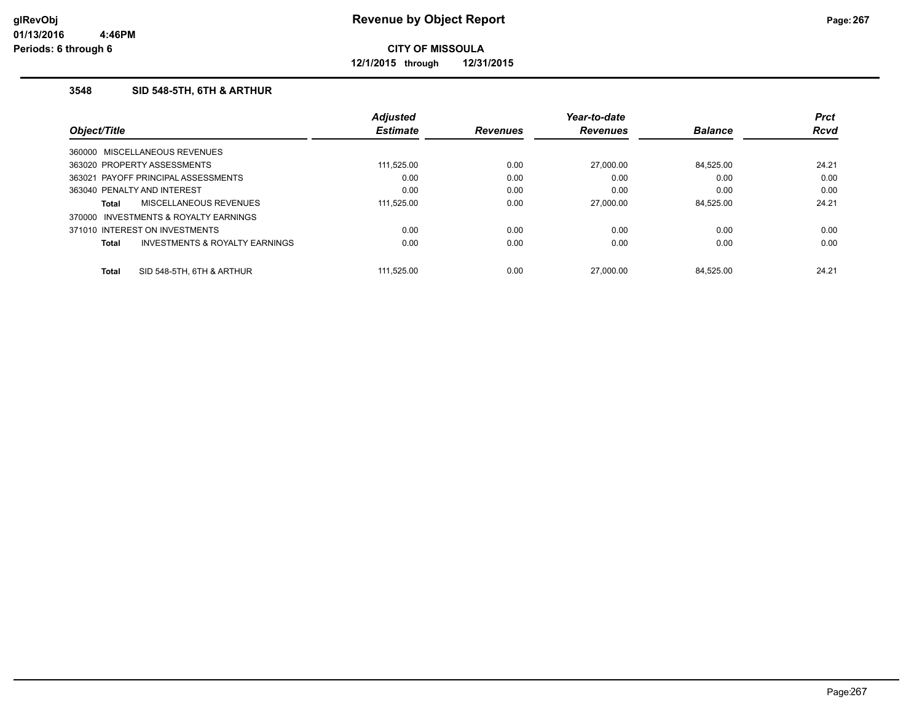**12/1/2015 through 12/31/2015**

### **3548 SID 548-5TH, 6TH & ARTHUR**

|                                       |                                           | <b>Adjusted</b> |                 | Year-to-date    |                | <b>Prct</b> |
|---------------------------------------|-------------------------------------------|-----------------|-----------------|-----------------|----------------|-------------|
| Object/Title                          |                                           | <b>Estimate</b> | <b>Revenues</b> | <b>Revenues</b> | <b>Balance</b> | <b>Rcvd</b> |
| 360000 MISCELLANEOUS REVENUES         |                                           |                 |                 |                 |                |             |
| 363020 PROPERTY ASSESSMENTS           |                                           | 111,525.00      | 0.00            | 27,000.00       | 84.525.00      | 24.21       |
| 363021 PAYOFF PRINCIPAL ASSESSMENTS   |                                           | 0.00            | 0.00            | 0.00            | 0.00           | 0.00        |
| 363040 PENALTY AND INTEREST           |                                           | 0.00            | 0.00            | 0.00            | 0.00           | 0.00        |
| <b>Total</b>                          | MISCELLANEOUS REVENUES                    | 111.525.00      | 0.00            | 27,000.00       | 84.525.00      | 24.21       |
| 370000 INVESTMENTS & ROYALTY EARNINGS |                                           |                 |                 |                 |                |             |
| 371010 INTEREST ON INVESTMENTS        |                                           | 0.00            | 0.00            | 0.00            | 0.00           | 0.00        |
| <b>Total</b>                          | <b>INVESTMENTS &amp; ROYALTY EARNINGS</b> | 0.00            | 0.00            | 0.00            | 0.00           | 0.00        |
| <b>Total</b>                          | SID 548-5TH, 6TH & ARTHUR                 | 111.525.00      | 0.00            | 27.000.00       | 84.525.00      | 24.21       |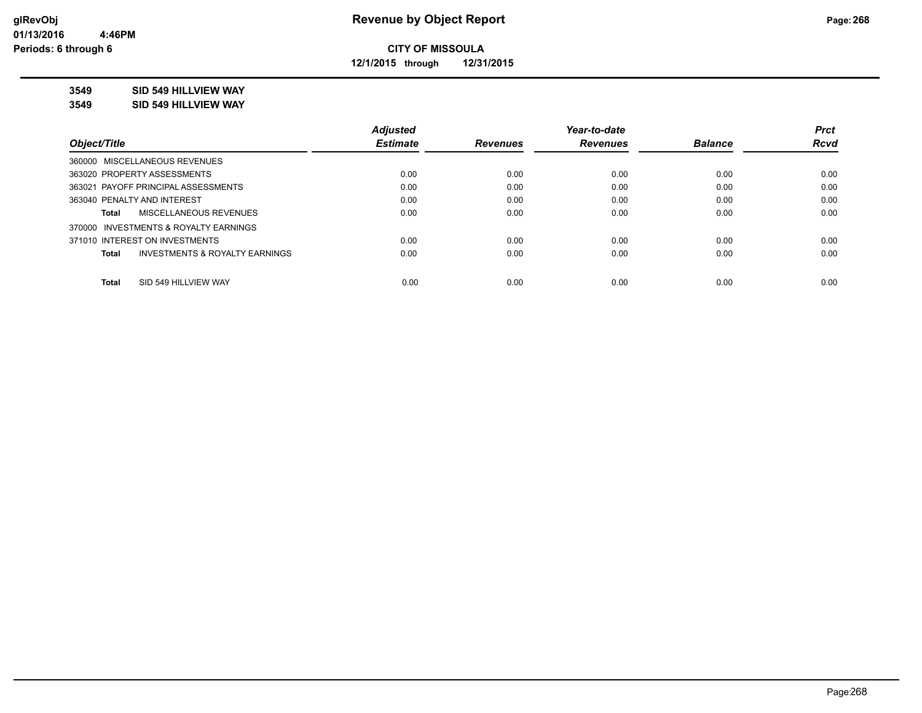**12/1/2015 through 12/31/2015**

### **3549 SID 549 HILLVIEW WAY**

**3549 SID 549 HILLVIEW WAY**

|                                                    | <b>Adjusted</b> |                 | Year-to-date    |                | <b>Prct</b> |
|----------------------------------------------------|-----------------|-----------------|-----------------|----------------|-------------|
| Object/Title                                       | <b>Estimate</b> | <b>Revenues</b> | <b>Revenues</b> | <b>Balance</b> | <b>Rcvd</b> |
| 360000 MISCELLANEOUS REVENUES                      |                 |                 |                 |                |             |
| 363020 PROPERTY ASSESSMENTS                        | 0.00            | 0.00            | 0.00            | 0.00           | 0.00        |
| 363021 PAYOFF PRINCIPAL ASSESSMENTS                | 0.00            | 0.00            | 0.00            | 0.00           | 0.00        |
| 363040 PENALTY AND INTEREST                        | 0.00            | 0.00            | 0.00            | 0.00           | 0.00        |
| MISCELLANEOUS REVENUES<br>Total                    | 0.00            | 0.00            | 0.00            | 0.00           | 0.00        |
| 370000 INVESTMENTS & ROYALTY EARNINGS              |                 |                 |                 |                |             |
| 371010 INTEREST ON INVESTMENTS                     | 0.00            | 0.00            | 0.00            | 0.00           | 0.00        |
| <b>INVESTMENTS &amp; ROYALTY EARNINGS</b><br>Total | 0.00            | 0.00            | 0.00            | 0.00           | 0.00        |
| SID 549 HILLVIEW WAY<br><b>Total</b>               | 0.00            | 0.00            | 0.00            | 0.00           | 0.00        |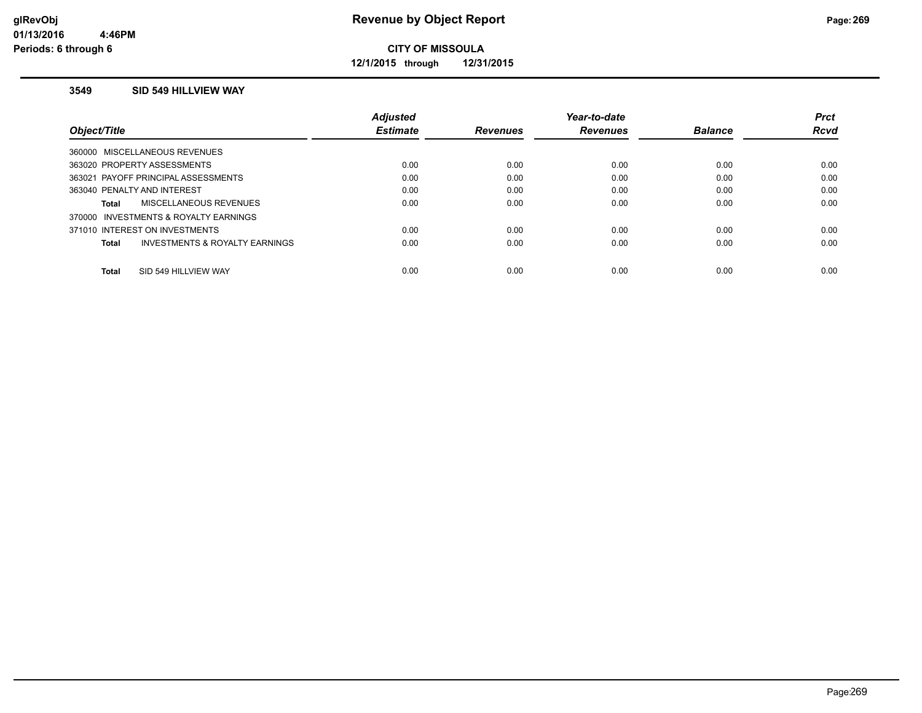**12/1/2015 through 12/31/2015**

#### **3549 SID 549 HILLVIEW WAY**

|                                                | <b>Adjusted</b> |                 | Year-to-date    |                | <b>Prct</b> |
|------------------------------------------------|-----------------|-----------------|-----------------|----------------|-------------|
| Object/Title                                   | <b>Estimate</b> | <b>Revenues</b> | <b>Revenues</b> | <b>Balance</b> | <b>Rcvd</b> |
| 360000 MISCELLANEOUS REVENUES                  |                 |                 |                 |                |             |
| 363020 PROPERTY ASSESSMENTS                    | 0.00            | 0.00            | 0.00            | 0.00           | 0.00        |
| 363021 PAYOFF PRINCIPAL ASSESSMENTS            | 0.00            | 0.00            | 0.00            | 0.00           | 0.00        |
| 363040 PENALTY AND INTEREST                    | 0.00            | 0.00            | 0.00            | 0.00           | 0.00        |
| MISCELLANEOUS REVENUES<br>Total                | 0.00            | 0.00            | 0.00            | 0.00           | 0.00        |
| 370000 INVESTMENTS & ROYALTY EARNINGS          |                 |                 |                 |                |             |
| 371010 INTEREST ON INVESTMENTS                 | 0.00            | 0.00            | 0.00            | 0.00           | 0.00        |
| INVESTMENTS & ROYALTY EARNINGS<br><b>Total</b> | 0.00            | 0.00            | 0.00            | 0.00           | 0.00        |
|                                                |                 |                 |                 |                |             |
| SID 549 HILLVIEW WAY<br><b>Total</b>           | 0.00            | 0.00            | 0.00            | 0.00           | 0.00        |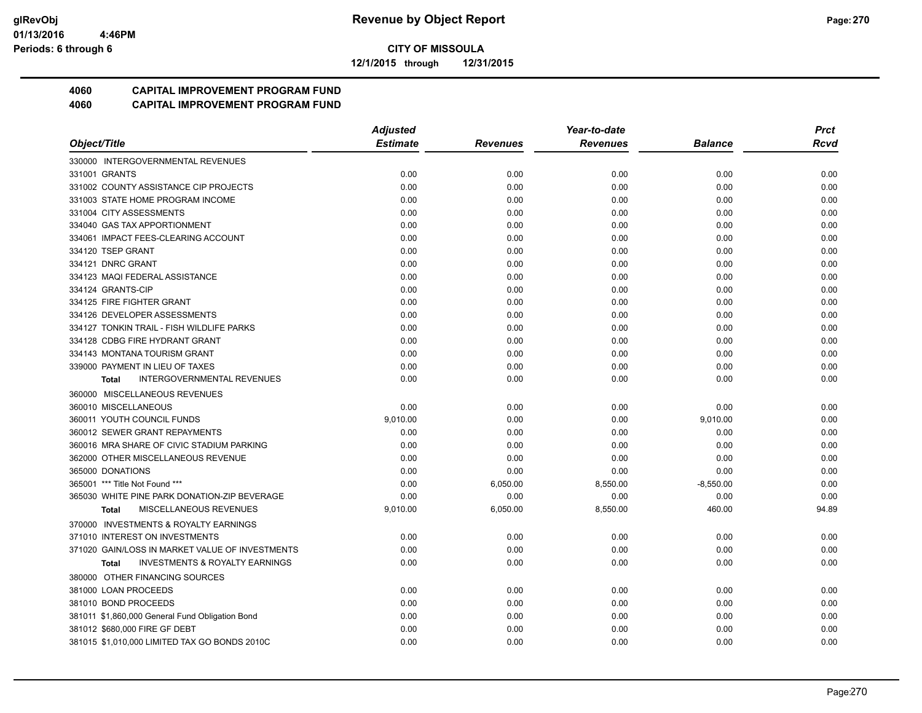**12/1/2015 through 12/31/2015**

## **4060 CAPITAL IMPROVEMENT PROGRAM FUND**

|                                                    | <b>Adjusted</b> |                 | Year-to-date    |             | <b>Prct</b> |
|----------------------------------------------------|-----------------|-----------------|-----------------|-------------|-------------|
| Object/Title                                       | <b>Estimate</b> | <b>Revenues</b> | <b>Revenues</b> | Balance     | Rcvd        |
| 330000 INTERGOVERNMENTAL REVENUES                  |                 |                 |                 |             |             |
| 331001 GRANTS                                      | 0.00            | 0.00            | 0.00            | 0.00        | 0.00        |
| 331002 COUNTY ASSISTANCE CIP PROJECTS              | 0.00            | 0.00            | 0.00            | 0.00        | 0.00        |
| 331003 STATE HOME PROGRAM INCOME                   | 0.00            | 0.00            | 0.00            | 0.00        | 0.00        |
| 331004 CITY ASSESSMENTS                            | 0.00            | 0.00            | 0.00            | 0.00        | 0.00        |
| 334040 GAS TAX APPORTIONMENT                       | 0.00            | 0.00            | 0.00            | 0.00        | 0.00        |
| 334061 IMPACT FEES-CLEARING ACCOUNT                | 0.00            | 0.00            | 0.00            | 0.00        | 0.00        |
| 334120 TSEP GRANT                                  | 0.00            | 0.00            | 0.00            | 0.00        | 0.00        |
| 334121 DNRC GRANT                                  | 0.00            | 0.00            | 0.00            | 0.00        | 0.00        |
| 334123 MAQI FEDERAL ASSISTANCE                     | 0.00            | 0.00            | 0.00            | 0.00        | 0.00        |
| 334124 GRANTS-CIP                                  | 0.00            | 0.00            | 0.00            | 0.00        | 0.00        |
| 334125 FIRE FIGHTER GRANT                          | 0.00            | 0.00            | 0.00            | 0.00        | 0.00        |
| 334126 DEVELOPER ASSESSMENTS                       | 0.00            | 0.00            | 0.00            | 0.00        | 0.00        |
| 334127 TONKIN TRAIL - FISH WILDLIFE PARKS          | 0.00            | 0.00            | 0.00            | 0.00        | 0.00        |
| 334128 CDBG FIRE HYDRANT GRANT                     | 0.00            | 0.00            | 0.00            | 0.00        | 0.00        |
| 334143 MONTANA TOURISM GRANT                       | 0.00            | 0.00            | 0.00            | 0.00        | 0.00        |
| 339000 PAYMENT IN LIEU OF TAXES                    | 0.00            | 0.00            | 0.00            | 0.00        | 0.00        |
| <b>INTERGOVERNMENTAL REVENUES</b><br><b>Total</b>  | 0.00            | 0.00            | 0.00            | 0.00        | 0.00        |
| 360000 MISCELLANEOUS REVENUES                      |                 |                 |                 |             |             |
| 360010 MISCELLANEOUS                               | 0.00            | 0.00            | 0.00            | 0.00        | 0.00        |
| 360011 YOUTH COUNCIL FUNDS                         | 9,010.00        | 0.00            | 0.00            | 9,010.00    | 0.00        |
| 360012 SEWER GRANT REPAYMENTS                      | 0.00            | 0.00            | 0.00            | 0.00        | 0.00        |
| 360016 MRA SHARE OF CIVIC STADIUM PARKING          | 0.00            | 0.00            | 0.00            | 0.00        | 0.00        |
| 362000 OTHER MISCELLANEOUS REVENUE                 | 0.00            | 0.00            | 0.00            | 0.00        | 0.00        |
| 365000 DONATIONS                                   | 0.00            | 0.00            | 0.00            | 0.00        | 0.00        |
| 365001 *** Title Not Found ***                     | 0.00            | 6,050.00        | 8,550.00        | $-8,550.00$ | 0.00        |
| 365030 WHITE PINE PARK DONATION-ZIP BEVERAGE       | 0.00            | 0.00            | 0.00            | 0.00        | 0.00        |
| MISCELLANEOUS REVENUES<br><b>Total</b>             | 9,010.00        | 6,050.00        | 8,550.00        | 460.00      | 94.89       |
| 370000 INVESTMENTS & ROYALTY EARNINGS              |                 |                 |                 |             |             |
| 371010 INTEREST ON INVESTMENTS                     | 0.00            | 0.00            | 0.00            | 0.00        | 0.00        |
| 371020 GAIN/LOSS IN MARKET VALUE OF INVESTMENTS    | 0.00            | 0.00            | 0.00            | 0.00        | 0.00        |
| <b>INVESTMENTS &amp; ROYALTY EARNINGS</b><br>Total | 0.00            | 0.00            | 0.00            | 0.00        | 0.00        |
| 380000 OTHER FINANCING SOURCES                     |                 |                 |                 |             |             |
| 381000 LOAN PROCEEDS                               | 0.00            | 0.00            | 0.00            | 0.00        | 0.00        |
| 381010 BOND PROCEEDS                               | 0.00            | 0.00            | 0.00            | 0.00        | 0.00        |
| 381011 \$1,860,000 General Fund Obligation Bond    | 0.00            | 0.00            | 0.00            | 0.00        | 0.00        |
| 381012 \$680,000 FIRE GF DEBT                      | 0.00            | 0.00            | 0.00            | 0.00        | 0.00        |
| 381015 \$1,010,000 LIMITED TAX GO BONDS 2010C      | 0.00            | 0.00            | 0.00            | 0.00        | 0.00        |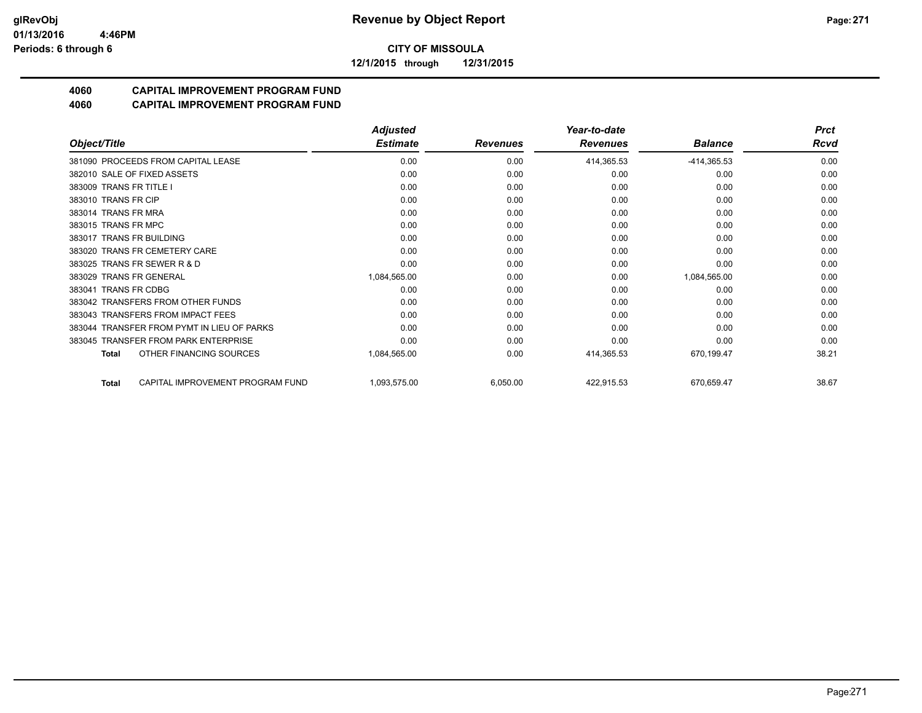**12/1/2015 through 12/31/2015**

# **4060 CAPITAL IMPROVEMENT PROGRAM FUND**

|                                                  | <b>Adjusted</b> |                 | Year-to-date    |                | <b>Prct</b> |
|--------------------------------------------------|-----------------|-----------------|-----------------|----------------|-------------|
| Object/Title                                     | <b>Estimate</b> | <b>Revenues</b> | <b>Revenues</b> | <b>Balance</b> | Rcvd        |
| 381090 PROCEEDS FROM CAPITAL LEASE               | 0.00            | 0.00            | 414,365.53      | $-414,365.53$  | 0.00        |
| 382010 SALE OF FIXED ASSETS                      | 0.00            | 0.00            | 0.00            | 0.00           | 0.00        |
| 383009 TRANS FR TITLE I                          | 0.00            | 0.00            | 0.00            | 0.00           | 0.00        |
| 383010 TRANS FR CIP                              | 0.00            | 0.00            | 0.00            | 0.00           | 0.00        |
| 383014 TRANS FR MRA                              | 0.00            | 0.00            | 0.00            | 0.00           | 0.00        |
| 383015 TRANS FR MPC                              | 0.00            | 0.00            | 0.00            | 0.00           | 0.00        |
| 383017 TRANS FR BUILDING                         | 0.00            | 0.00            | 0.00            | 0.00           | 0.00        |
| 383020 TRANS FR CEMETERY CARE                    | 0.00            | 0.00            | 0.00            | 0.00           | 0.00        |
| 383025 TRANS FR SEWER R & D                      | 0.00            | 0.00            | 0.00            | 0.00           | 0.00        |
| 383029 TRANS FR GENERAL                          | 1,084,565.00    | 0.00            | 0.00            | 1,084,565.00   | 0.00        |
| 383041 TRANS FR CDBG                             | 0.00            | 0.00            | 0.00            | 0.00           | 0.00        |
| 383042 TRANSFERS FROM OTHER FUNDS                | 0.00            | 0.00            | 0.00            | 0.00           | 0.00        |
| 383043 TRANSFERS FROM IMPACT FEES                | 0.00            | 0.00            | 0.00            | 0.00           | 0.00        |
| 383044 TRANSFER FROM PYMT IN LIEU OF PARKS       | 0.00            | 0.00            | 0.00            | 0.00           | 0.00        |
| 383045 TRANSFER FROM PARK ENTERPRISE             | 0.00            | 0.00            | 0.00            | 0.00           | 0.00        |
| OTHER FINANCING SOURCES<br><b>Total</b>          | 1,084,565.00    | 0.00            | 414,365.53      | 670,199.47     | 38.21       |
| CAPITAL IMPROVEMENT PROGRAM FUND<br><b>Total</b> | 1,093,575.00    | 6,050.00        | 422,915.53      | 670,659.47     | 38.67       |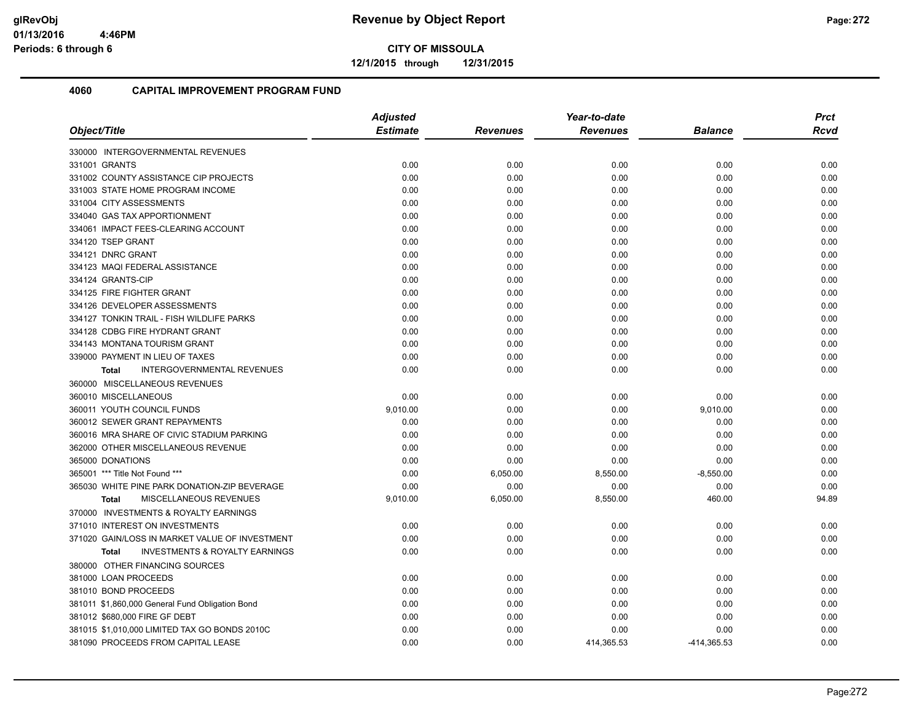**12/1/2015 through 12/31/2015**

| Object/Title                                              | <b>Adjusted</b> |                 | Year-to-date    |                |             |
|-----------------------------------------------------------|-----------------|-----------------|-----------------|----------------|-------------|
|                                                           | <b>Estimate</b> | <b>Revenues</b> | <b>Revenues</b> | <b>Balance</b> | <b>Rcvd</b> |
| 330000 INTERGOVERNMENTAL REVENUES                         |                 |                 |                 |                |             |
| 331001 GRANTS                                             | 0.00            | 0.00            | 0.00            | 0.00           | 0.00        |
| 331002 COUNTY ASSISTANCE CIP PROJECTS                     | 0.00            | 0.00            | 0.00            | 0.00           | 0.00        |
| 331003 STATE HOME PROGRAM INCOME                          | 0.00            | 0.00            | 0.00            | 0.00           | 0.00        |
| 331004 CITY ASSESSMENTS                                   | 0.00            | 0.00            | 0.00            | 0.00           | 0.00        |
| 334040 GAS TAX APPORTIONMENT                              | 0.00            | 0.00            | 0.00            | 0.00           | 0.00        |
| 334061 IMPACT FEES-CLEARING ACCOUNT                       | 0.00            | 0.00            | 0.00            | 0.00           | 0.00        |
| 334120 TSEP GRANT                                         | 0.00            | 0.00            | 0.00            | 0.00           | 0.00        |
| 334121 DNRC GRANT                                         | 0.00            | 0.00            | 0.00            | 0.00           | 0.00        |
| 334123 MAQI FEDERAL ASSISTANCE                            | 0.00            | 0.00            | 0.00            | 0.00           | 0.00        |
| 334124 GRANTS-CIP                                         | 0.00            | 0.00            | 0.00            | 0.00           | 0.00        |
| 334125 FIRE FIGHTER GRANT                                 | 0.00            | 0.00            | 0.00            | 0.00           | 0.00        |
| 334126 DEVELOPER ASSESSMENTS                              | 0.00            | 0.00            | 0.00            | 0.00           | 0.00        |
| 334127 TONKIN TRAIL - FISH WILDLIFE PARKS                 | 0.00            | 0.00            | 0.00            | 0.00           | 0.00        |
| 334128 CDBG FIRE HYDRANT GRANT                            | 0.00            | 0.00            | 0.00            | 0.00           | 0.00        |
| 334143 MONTANA TOURISM GRANT                              | 0.00            | 0.00            | 0.00            | 0.00           | 0.00        |
| 339000 PAYMENT IN LIEU OF TAXES                           | 0.00            | 0.00            | 0.00            | 0.00           | 0.00        |
| INTERGOVERNMENTAL REVENUES<br><b>Total</b>                | 0.00            | 0.00            | 0.00            | 0.00           | 0.00        |
| 360000 MISCELLANEOUS REVENUES                             |                 |                 |                 |                |             |
| 360010 MISCELLANEOUS                                      | 0.00            | 0.00            | 0.00            | 0.00           | 0.00        |
| 360011 YOUTH COUNCIL FUNDS                                | 9,010.00        | 0.00            | 0.00            | 9,010.00       | 0.00        |
| 360012 SEWER GRANT REPAYMENTS                             | 0.00            | 0.00            | 0.00            | 0.00           | 0.00        |
| 360016 MRA SHARE OF CIVIC STADIUM PARKING                 | 0.00            | 0.00            | 0.00            | 0.00           | 0.00        |
| 362000 OTHER MISCELLANEOUS REVENUE                        | 0.00            | 0.00            | 0.00            | 0.00           | 0.00        |
| 365000 DONATIONS                                          | 0.00            | 0.00            | 0.00            | 0.00           | 0.00        |
| 365001 *** Title Not Found ***                            | 0.00            | 6,050.00        | 8,550.00        | $-8,550.00$    | 0.00        |
| 365030 WHITE PINE PARK DONATION-ZIP BEVERAGE              | 0.00            | 0.00            | 0.00            | 0.00           | 0.00        |
| MISCELLANEOUS REVENUES<br><b>Total</b>                    | 9,010.00        | 6,050.00        | 8,550.00        | 460.00         | 94.89       |
| 370000 INVESTMENTS & ROYALTY EARNINGS                     |                 |                 |                 |                |             |
| 371010 INTEREST ON INVESTMENTS                            | 0.00            | 0.00            | 0.00            | 0.00           | 0.00        |
| 371020 GAIN/LOSS IN MARKET VALUE OF INVESTMENT            | 0.00            | 0.00            | 0.00            | 0.00           | 0.00        |
| <b>INVESTMENTS &amp; ROYALTY EARNINGS</b><br><b>Total</b> | 0.00            | 0.00            | 0.00            | 0.00           | 0.00        |
| 380000 OTHER FINANCING SOURCES                            |                 |                 |                 |                |             |
| 381000 LOAN PROCEEDS                                      | 0.00            | 0.00            | 0.00            | 0.00           | 0.00        |
| 381010 BOND PROCEEDS                                      | 0.00            | 0.00            | 0.00            | 0.00           | 0.00        |
| 381011 \$1,860,000 General Fund Obligation Bond           | 0.00            | 0.00            | 0.00            | 0.00           | 0.00        |
| 381012 \$680,000 FIRE GF DEBT                             | 0.00            | 0.00            | 0.00            | 0.00           | 0.00        |
| 381015 \$1,010,000 LIMITED TAX GO BONDS 2010C             | 0.00            | 0.00            | 0.00            | 0.00           | 0.00        |
| 381090 PROCEEDS FROM CAPITAL LEASE                        | 0.00            | 0.00            | 414,365.53      | -414,365.53    | 0.00        |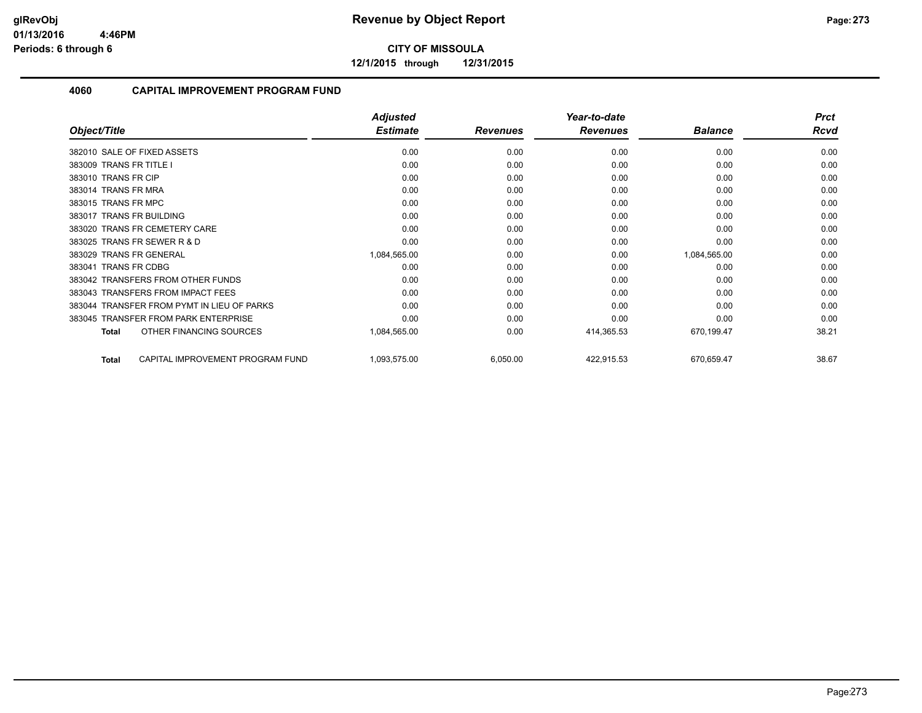**12/1/2015 through 12/31/2015**

|                                                  | <b>Adjusted</b> |                 | Year-to-date    |                | <b>Prct</b> |
|--------------------------------------------------|-----------------|-----------------|-----------------|----------------|-------------|
| Object/Title                                     | <b>Estimate</b> | <b>Revenues</b> | <b>Revenues</b> | <b>Balance</b> | <b>Rcvd</b> |
| 382010 SALE OF FIXED ASSETS                      | 0.00            | 0.00            | 0.00            | 0.00           | 0.00        |
| 383009 TRANS FR TITLE I                          | 0.00            | 0.00            | 0.00            | 0.00           | 0.00        |
| 383010 TRANS FR CIP                              | 0.00            | 0.00            | 0.00            | 0.00           | 0.00        |
| 383014 TRANS FR MRA                              | 0.00            | 0.00            | 0.00            | 0.00           | 0.00        |
| 383015 TRANS FR MPC                              | 0.00            | 0.00            | 0.00            | 0.00           | 0.00        |
| 383017 TRANS FR BUILDING                         | 0.00            | 0.00            | 0.00            | 0.00           | 0.00        |
| 383020 TRANS FR CEMETERY CARE                    | 0.00            | 0.00            | 0.00            | 0.00           | 0.00        |
| 383025 TRANS FR SEWER R & D                      | 0.00            | 0.00            | 0.00            | 0.00           | 0.00        |
| 383029 TRANS FR GENERAL                          | 1,084,565.00    | 0.00            | 0.00            | 1,084,565.00   | 0.00        |
| 383041 TRANS FR CDBG                             | 0.00            | 0.00            | 0.00            | 0.00           | 0.00        |
| 383042 TRANSFERS FROM OTHER FUNDS                | 0.00            | 0.00            | 0.00            | 0.00           | 0.00        |
| 383043 TRANSFERS FROM IMPACT FEES                | 0.00            | 0.00            | 0.00            | 0.00           | 0.00        |
| 383044 TRANSFER FROM PYMT IN LIEU OF PARKS       | 0.00            | 0.00            | 0.00            | 0.00           | 0.00        |
| 383045 TRANSFER FROM PARK ENTERPRISE             | 0.00            | 0.00            | 0.00            | 0.00           | 0.00        |
| OTHER FINANCING SOURCES<br><b>Total</b>          | 1,084,565.00    | 0.00            | 414,365.53      | 670,199.47     | 38.21       |
| CAPITAL IMPROVEMENT PROGRAM FUND<br><b>Total</b> | 1,093,575.00    | 6,050.00        | 422,915.53      | 670,659.47     | 38.67       |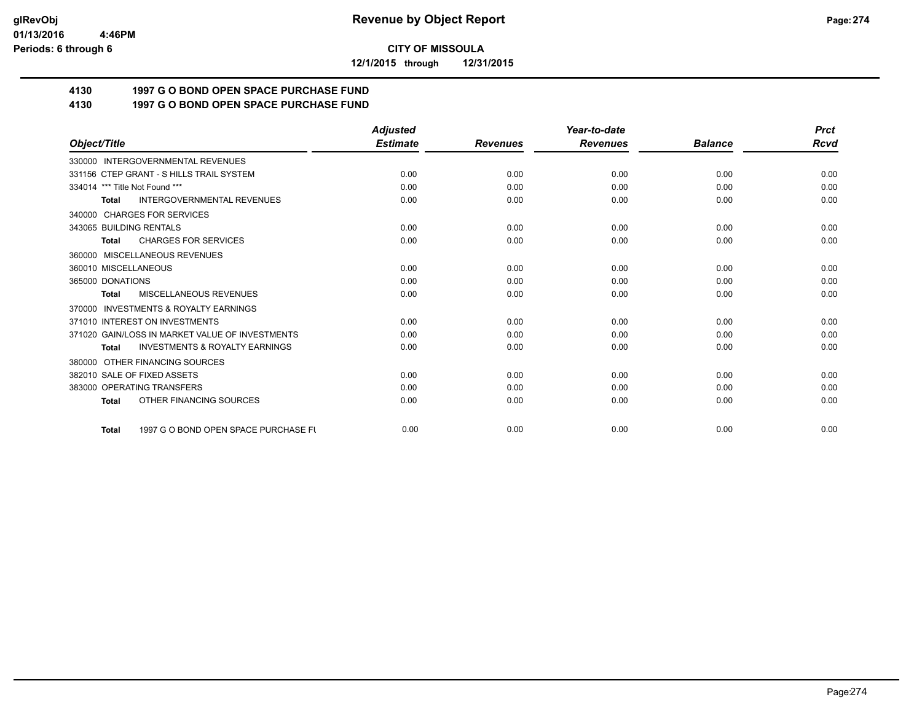**12/1/2015 through 12/31/2015**

# **4130 1997 G O BOND OPEN SPACE PURCHASE FUND**

## **4130 1997 G O BOND OPEN SPACE PURCHASE FUND**

|                                                      | <b>Adjusted</b> |                 | Year-to-date    |                | <b>Prct</b> |
|------------------------------------------------------|-----------------|-----------------|-----------------|----------------|-------------|
| Object/Title                                         | <b>Estimate</b> | <b>Revenues</b> | <b>Revenues</b> | <b>Balance</b> | <b>Rcvd</b> |
| 330000 INTERGOVERNMENTAL REVENUES                    |                 |                 |                 |                |             |
| 331156 CTEP GRANT - S HILLS TRAIL SYSTEM             | 0.00            | 0.00            | 0.00            | 0.00           | 0.00        |
| 334014 *** Title Not Found ***                       | 0.00            | 0.00            | 0.00            | 0.00           | 0.00        |
| <b>INTERGOVERNMENTAL REVENUES</b><br><b>Total</b>    | 0.00            | 0.00            | 0.00            | 0.00           | 0.00        |
| <b>CHARGES FOR SERVICES</b><br>340000                |                 |                 |                 |                |             |
| 343065 BUILDING RENTALS                              | 0.00            | 0.00            | 0.00            | 0.00           | 0.00        |
| <b>CHARGES FOR SERVICES</b><br><b>Total</b>          | 0.00            | 0.00            | 0.00            | 0.00           | 0.00        |
| MISCELLANEOUS REVENUES<br>360000                     |                 |                 |                 |                |             |
| 360010 MISCELLANEOUS                                 | 0.00            | 0.00            | 0.00            | 0.00           | 0.00        |
| 365000 DONATIONS                                     | 0.00            | 0.00            | 0.00            | 0.00           | 0.00        |
| MISCELLANEOUS REVENUES<br><b>Total</b>               | 0.00            | 0.00            | 0.00            | 0.00           | 0.00        |
| <b>INVESTMENTS &amp; ROYALTY EARNINGS</b><br>370000  |                 |                 |                 |                |             |
| 371010 INTEREST ON INVESTMENTS                       | 0.00            | 0.00            | 0.00            | 0.00           | 0.00        |
| 371020 GAIN/LOSS IN MARKET VALUE OF INVESTMENTS      | 0.00            | 0.00            | 0.00            | 0.00           | 0.00        |
| <b>INVESTMENTS &amp; ROYALTY EARNINGS</b><br>Total   | 0.00            | 0.00            | 0.00            | 0.00           | 0.00        |
| OTHER FINANCING SOURCES<br>380000                    |                 |                 |                 |                |             |
| 382010 SALE OF FIXED ASSETS                          | 0.00            | 0.00            | 0.00            | 0.00           | 0.00        |
| 383000 OPERATING TRANSFERS                           | 0.00            | 0.00            | 0.00            | 0.00           | 0.00        |
| OTHER FINANCING SOURCES<br><b>Total</b>              | 0.00            | 0.00            | 0.00            | 0.00           | 0.00        |
| 1997 G O BOND OPEN SPACE PURCHASE FU<br><b>Total</b> | 0.00            | 0.00            | 0.00            | 0.00           | 0.00        |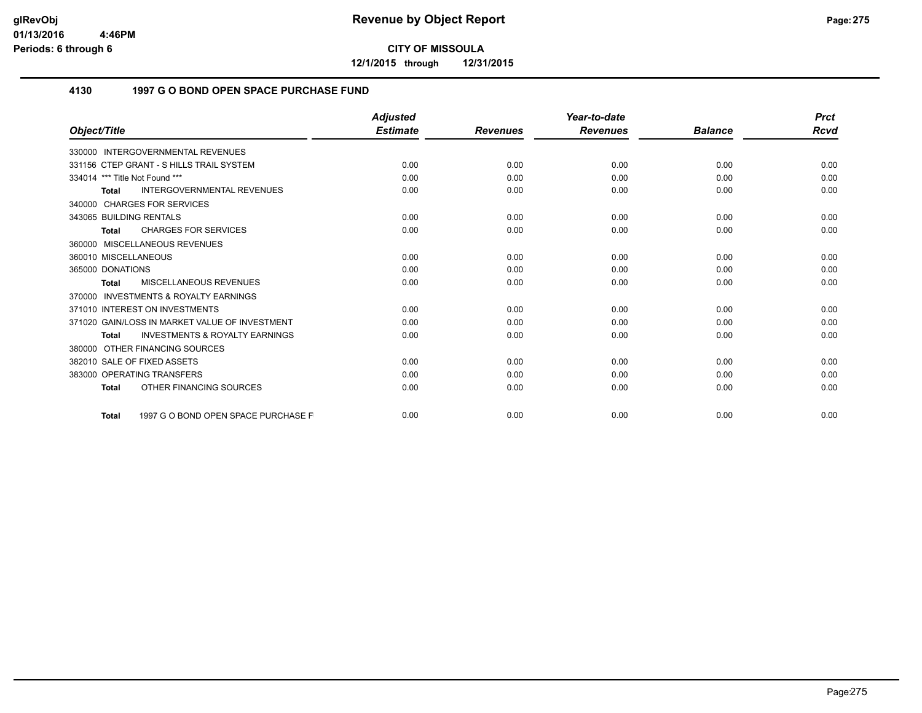**12/1/2015 through 12/31/2015**

### **4130 1997 G O BOND OPEN SPACE PURCHASE FUND**

|                                                           | <b>Adjusted</b> |                 | Year-to-date    |                | <b>Prct</b> |
|-----------------------------------------------------------|-----------------|-----------------|-----------------|----------------|-------------|
| Object/Title                                              | <b>Estimate</b> | <b>Revenues</b> | <b>Revenues</b> | <b>Balance</b> | <b>Rcvd</b> |
| 330000 INTERGOVERNMENTAL REVENUES                         |                 |                 |                 |                |             |
| 331156 CTEP GRANT - S HILLS TRAIL SYSTEM                  | 0.00            | 0.00            | 0.00            | 0.00           | 0.00        |
| 334014 *** Title Not Found ***                            | 0.00            | 0.00            | 0.00            | 0.00           | 0.00        |
| <b>INTERGOVERNMENTAL REVENUES</b><br><b>Total</b>         | 0.00            | 0.00            | 0.00            | 0.00           | 0.00        |
| 340000 CHARGES FOR SERVICES                               |                 |                 |                 |                |             |
| 343065 BUILDING RENTALS                                   | 0.00            | 0.00            | 0.00            | 0.00           | 0.00        |
| <b>CHARGES FOR SERVICES</b><br><b>Total</b>               | 0.00            | 0.00            | 0.00            | 0.00           | 0.00        |
| 360000 MISCELLANEOUS REVENUES                             |                 |                 |                 |                |             |
| 360010 MISCELLANEOUS                                      | 0.00            | 0.00            | 0.00            | 0.00           | 0.00        |
| 365000 DONATIONS                                          | 0.00            | 0.00            | 0.00            | 0.00           | 0.00        |
| <b>MISCELLANEOUS REVENUES</b><br><b>Total</b>             | 0.00            | 0.00            | 0.00            | 0.00           | 0.00        |
| INVESTMENTS & ROYALTY EARNINGS<br>370000                  |                 |                 |                 |                |             |
| 371010 INTEREST ON INVESTMENTS                            | 0.00            | 0.00            | 0.00            | 0.00           | 0.00        |
| 371020 GAIN/LOSS IN MARKET VALUE OF INVESTMENT            | 0.00            | 0.00            | 0.00            | 0.00           | 0.00        |
| <b>INVESTMENTS &amp; ROYALTY EARNINGS</b><br><b>Total</b> | 0.00            | 0.00            | 0.00            | 0.00           | 0.00        |
| 380000 OTHER FINANCING SOURCES                            |                 |                 |                 |                |             |
| 382010 SALE OF FIXED ASSETS                               | 0.00            | 0.00            | 0.00            | 0.00           | 0.00        |
| 383000 OPERATING TRANSFERS                                | 0.00            | 0.00            | 0.00            | 0.00           | 0.00        |
| OTHER FINANCING SOURCES<br><b>Total</b>                   | 0.00            | 0.00            | 0.00            | 0.00           | 0.00        |
| 1997 G O BOND OPEN SPACE PURCHASE F<br><b>Total</b>       | 0.00            | 0.00            | 0.00            | 0.00           | 0.00        |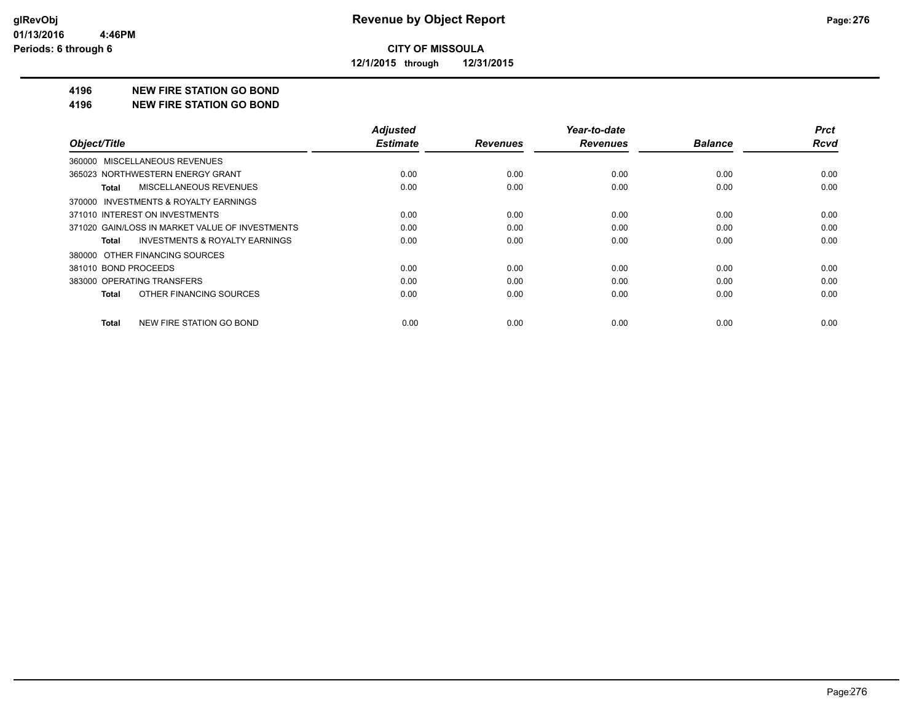**12/1/2015 through 12/31/2015**

#### **4196 NEW FIRE STATION GO BOND**

#### **4196 NEW FIRE STATION GO BOND**

|                                                    | <b>Adjusted</b> |                 | Year-to-date    |                | <b>Prct</b> |
|----------------------------------------------------|-----------------|-----------------|-----------------|----------------|-------------|
| Object/Title                                       | <b>Estimate</b> | <b>Revenues</b> | <b>Revenues</b> | <b>Balance</b> | <b>Rcvd</b> |
| 360000 MISCELLANEOUS REVENUES                      |                 |                 |                 |                |             |
| 365023 NORTHWESTERN ENERGY GRANT                   | 0.00            | 0.00            | 0.00            | 0.00           | 0.00        |
| MISCELLANEOUS REVENUES<br>Total                    | 0.00            | 0.00            | 0.00            | 0.00           | 0.00        |
| 370000 INVESTMENTS & ROYALTY EARNINGS              |                 |                 |                 |                |             |
| 371010 INTEREST ON INVESTMENTS                     | 0.00            | 0.00            | 0.00            | 0.00           | 0.00        |
| 371020 GAIN/LOSS IN MARKET VALUE OF INVESTMENTS    | 0.00            | 0.00            | 0.00            | 0.00           | 0.00        |
| <b>INVESTMENTS &amp; ROYALTY EARNINGS</b><br>Total | 0.00            | 0.00            | 0.00            | 0.00           | 0.00        |
| 380000 OTHER FINANCING SOURCES                     |                 |                 |                 |                |             |
| 381010 BOND PROCEEDS                               | 0.00            | 0.00            | 0.00            | 0.00           | 0.00        |
| 383000 OPERATING TRANSFERS                         | 0.00            | 0.00            | 0.00            | 0.00           | 0.00        |
| OTHER FINANCING SOURCES<br>Total                   | 0.00            | 0.00            | 0.00            | 0.00           | 0.00        |
| NEW FIRE STATION GO BOND<br>Total                  | 0.00            | 0.00            | 0.00            | 0.00           | 0.00        |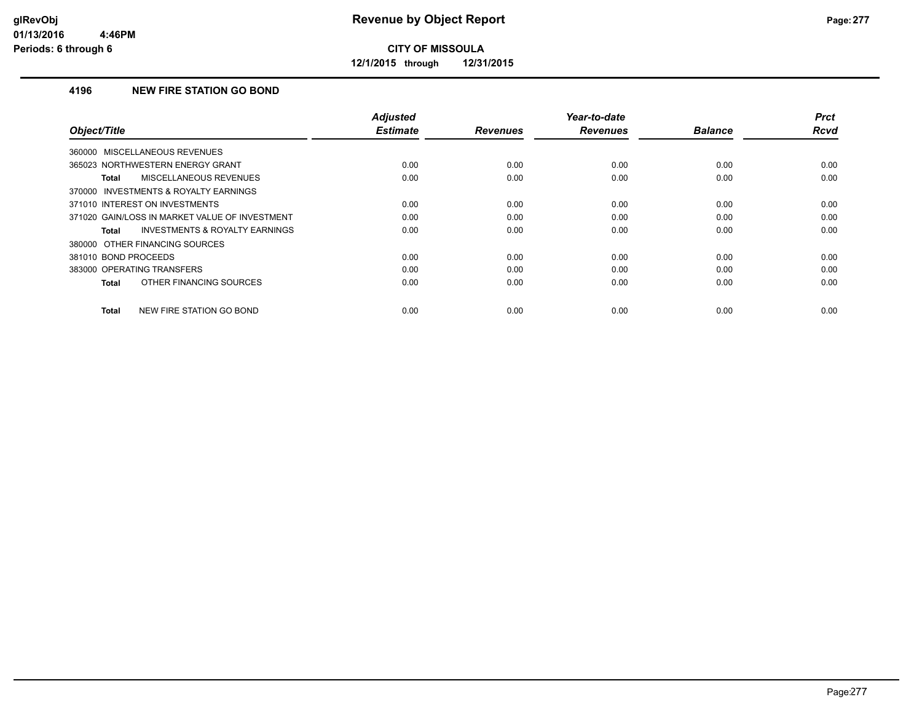**12/1/2015 through 12/31/2015**

### **4196 NEW FIRE STATION GO BOND**

| Object/Title                                              | <b>Adjusted</b><br><b>Estimate</b> | <b>Revenues</b> | Year-to-date<br><b>Revenues</b> | <b>Balance</b> | <b>Prct</b><br>Rcvd |
|-----------------------------------------------------------|------------------------------------|-----------------|---------------------------------|----------------|---------------------|
|                                                           |                                    |                 |                                 |                |                     |
| 360000 MISCELLANEOUS REVENUES                             |                                    |                 |                                 |                |                     |
| 365023 NORTHWESTERN ENERGY GRANT                          | 0.00                               | 0.00            | 0.00                            | 0.00           | 0.00                |
| MISCELLANEOUS REVENUES<br><b>Total</b>                    | 0.00                               | 0.00            | 0.00                            | 0.00           | 0.00                |
| 370000 INVESTMENTS & ROYALTY EARNINGS                     |                                    |                 |                                 |                |                     |
| 371010 INTEREST ON INVESTMENTS                            | 0.00                               | 0.00            | 0.00                            | 0.00           | 0.00                |
| 371020 GAIN/LOSS IN MARKET VALUE OF INVESTMENT            | 0.00                               | 0.00            | 0.00                            | 0.00           | 0.00                |
| <b>INVESTMENTS &amp; ROYALTY EARNINGS</b><br><b>Total</b> | 0.00                               | 0.00            | 0.00                            | 0.00           | 0.00                |
| 380000 OTHER FINANCING SOURCES                            |                                    |                 |                                 |                |                     |
| 381010 BOND PROCEEDS                                      | 0.00                               | 0.00            | 0.00                            | 0.00           | 0.00                |
| 383000 OPERATING TRANSFERS                                | 0.00                               | 0.00            | 0.00                            | 0.00           | 0.00                |
| OTHER FINANCING SOURCES<br><b>Total</b>                   | 0.00                               | 0.00            | 0.00                            | 0.00           | 0.00                |
| NEW FIRE STATION GO BOND<br><b>Total</b>                  | 0.00                               | 0.00            | 0.00                            | 0.00           | 0.00                |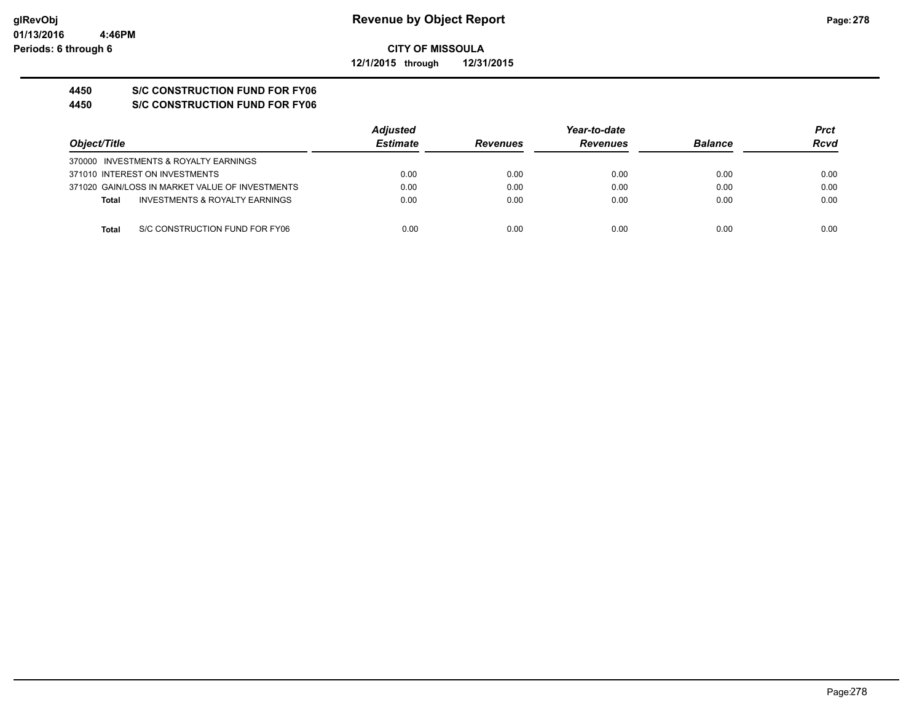**CITY OF MISSOULA 12/1/2015 through 12/31/2015**

# **4450 S/C CONSTRUCTION FUND FOR FY06**

**4450 S/C CONSTRUCTION FUND FOR FY06**

|                                                 | <b>Adjusted</b> |                 | Year-to-date    |                | <b>Prct</b> |
|-------------------------------------------------|-----------------|-----------------|-----------------|----------------|-------------|
| Object/Title                                    | <b>Estimate</b> | <b>Revenues</b> | <b>Revenues</b> | <b>Balance</b> | Rcvd        |
| 370000 INVESTMENTS & ROYALTY EARNINGS           |                 |                 |                 |                |             |
| 371010 INTEREST ON INVESTMENTS                  | 0.00            | 0.00            | 0.00            | 0.00           | 0.00        |
| 371020 GAIN/LOSS IN MARKET VALUE OF INVESTMENTS | 0.00            | 0.00            | 0.00            | 0.00           | 0.00        |
| INVESTMENTS & ROYALTY EARNINGS<br><b>Total</b>  | 0.00            | 0.00            | 0.00            | 0.00           | 0.00        |
|                                                 |                 |                 |                 |                |             |
| S/C CONSTRUCTION FUND FOR FY06<br>Total         | 0.00            | 0.00            | 0.00            | 0.00           | 0.00        |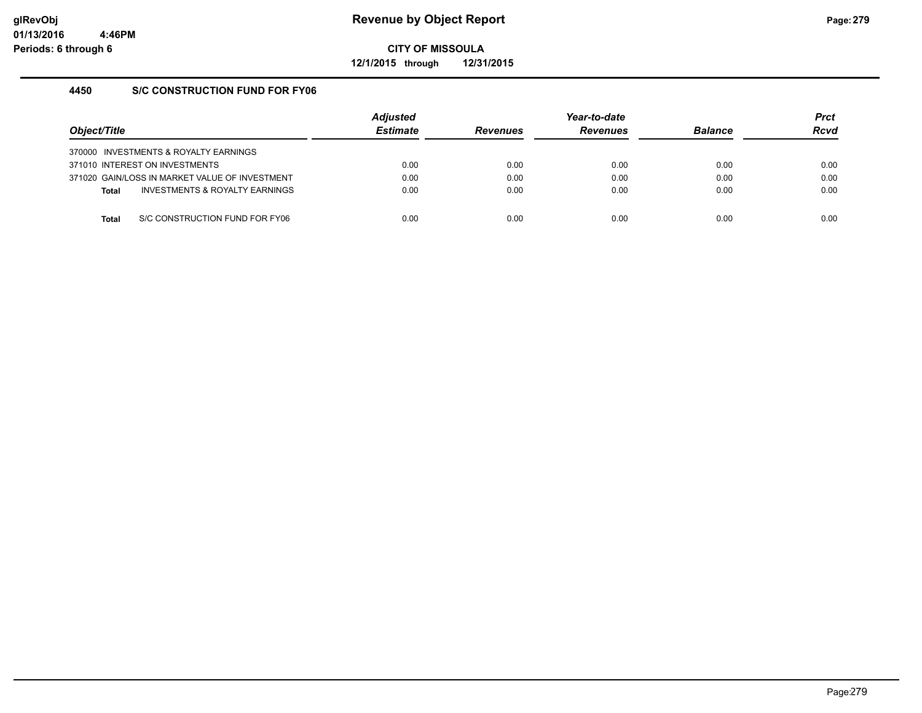**12/1/2015 through 12/31/2015**

### **4450 S/C CONSTRUCTION FUND FOR FY06**

| Object/Title |                                                | <b>Adiusted</b><br><b>Estimate</b> | <b>Revenues</b> | Year-to-date<br><b>Revenues</b> | <b>Balance</b> | <b>Prct</b><br><b>Rcvd</b> |
|--------------|------------------------------------------------|------------------------------------|-----------------|---------------------------------|----------------|----------------------------|
|              | 370000 INVESTMENTS & ROYALTY EARNINGS          |                                    |                 |                                 |                |                            |
|              | 371010 INTEREST ON INVESTMENTS                 | 0.00                               | 0.00            | 0.00                            | 0.00           | 0.00                       |
|              | 371020 GAIN/LOSS IN MARKET VALUE OF INVESTMENT | 0.00                               | 0.00            | 0.00                            | 0.00           | 0.00                       |
| <b>Total</b> | INVESTMENTS & ROYALTY EARNINGS                 | 0.00                               | 0.00            | 0.00                            | 0.00           | 0.00                       |
|              |                                                |                                    |                 |                                 |                |                            |
| Total        | S/C CONSTRUCTION FUND FOR FY06                 | 0.00                               | 0.00            | 0.00                            | 0.00           | 0.00                       |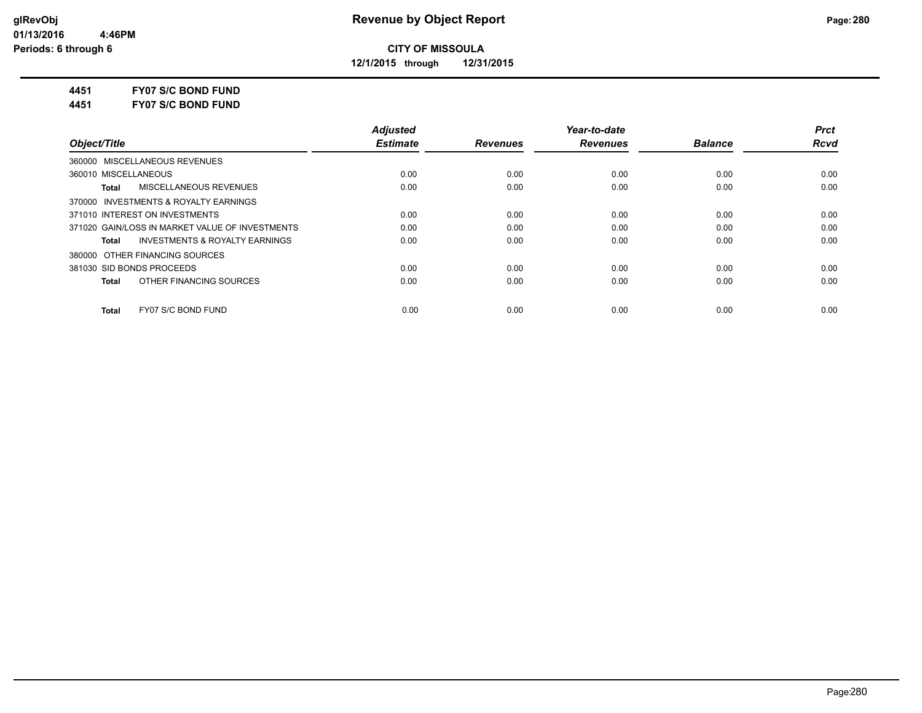**12/1/2015 through 12/31/2015**

**4451 FY07 S/C BOND FUND**

**4451 FY07 S/C BOND FUND**

|                                                    | <b>Adjusted</b> |                 | Year-to-date    |                | <b>Prct</b> |
|----------------------------------------------------|-----------------|-----------------|-----------------|----------------|-------------|
| Object/Title                                       | <b>Estimate</b> | <b>Revenues</b> | <b>Revenues</b> | <b>Balance</b> | <b>Rcvd</b> |
| 360000 MISCELLANEOUS REVENUES                      |                 |                 |                 |                |             |
| 360010 MISCELLANEOUS                               | 0.00            | 0.00            | 0.00            | 0.00           | 0.00        |
| MISCELLANEOUS REVENUES<br>Total                    | 0.00            | 0.00            | 0.00            | 0.00           | 0.00        |
| 370000 INVESTMENTS & ROYALTY EARNINGS              |                 |                 |                 |                |             |
| 371010 INTEREST ON INVESTMENTS                     | 0.00            | 0.00            | 0.00            | 0.00           | 0.00        |
| 371020 GAIN/LOSS IN MARKET VALUE OF INVESTMENTS    | 0.00            | 0.00            | 0.00            | 0.00           | 0.00        |
| <b>INVESTMENTS &amp; ROYALTY EARNINGS</b><br>Total | 0.00            | 0.00            | 0.00            | 0.00           | 0.00        |
| 380000 OTHER FINANCING SOURCES                     |                 |                 |                 |                |             |
| 381030 SID BONDS PROCEEDS                          | 0.00            | 0.00            | 0.00            | 0.00           | 0.00        |
| OTHER FINANCING SOURCES<br><b>Total</b>            | 0.00            | 0.00            | 0.00            | 0.00           | 0.00        |
| FY07 S/C BOND FUND<br><b>Total</b>                 | 0.00            | 0.00            | 0.00            | 0.00           | 0.00        |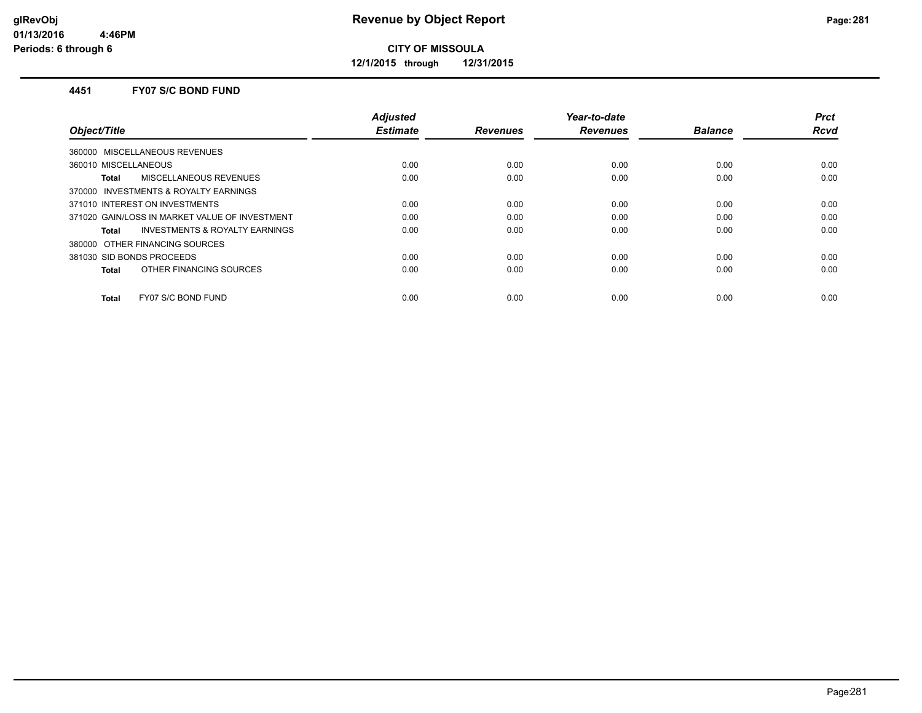**12/1/2015 through 12/31/2015**

#### **4451 FY07 S/C BOND FUND**

|                                                | <b>Adjusted</b> |                 | Year-to-date    |                | <b>Prct</b> |
|------------------------------------------------|-----------------|-----------------|-----------------|----------------|-------------|
| Object/Title                                   | <b>Estimate</b> | <b>Revenues</b> | <b>Revenues</b> | <b>Balance</b> | Rcvd        |
| 360000 MISCELLANEOUS REVENUES                  |                 |                 |                 |                |             |
| 360010 MISCELLANEOUS                           | 0.00            | 0.00            | 0.00            | 0.00           | 0.00        |
| MISCELLANEOUS REVENUES<br>Total                | 0.00            | 0.00            | 0.00            | 0.00           | 0.00        |
| 370000 INVESTMENTS & ROYALTY EARNINGS          |                 |                 |                 |                |             |
| 371010 INTEREST ON INVESTMENTS                 | 0.00            | 0.00            | 0.00            | 0.00           | 0.00        |
| 371020 GAIN/LOSS IN MARKET VALUE OF INVESTMENT | 0.00            | 0.00            | 0.00            | 0.00           | 0.00        |
| INVESTMENTS & ROYALTY EARNINGS<br><b>Total</b> | 0.00            | 0.00            | 0.00            | 0.00           | 0.00        |
| 380000 OTHER FINANCING SOURCES                 |                 |                 |                 |                |             |
| 381030 SID BONDS PROCEEDS                      | 0.00            | 0.00            | 0.00            | 0.00           | 0.00        |
| OTHER FINANCING SOURCES<br><b>Total</b>        | 0.00            | 0.00            | 0.00            | 0.00           | 0.00        |
| FY07 S/C BOND FUND<br><b>Total</b>             | 0.00            | 0.00            | 0.00            | 0.00           | 0.00        |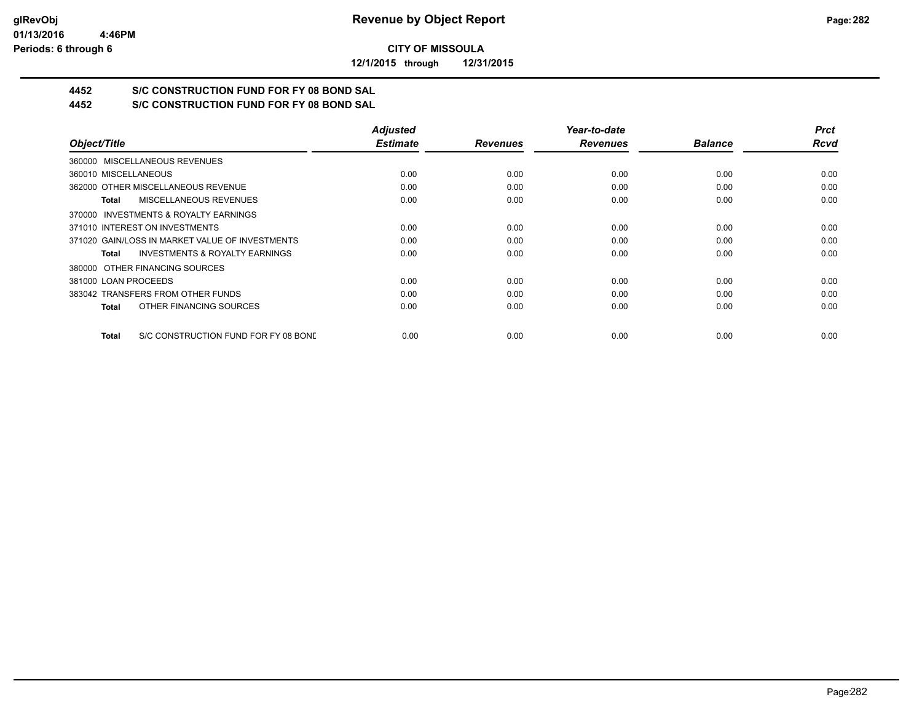**12/1/2015 through 12/31/2015**

## **4452 S/C CONSTRUCTION FUND FOR FY 08 BOND SAL**

**4452 S/C CONSTRUCTION FUND FOR FY 08 BOND SAL**

|                                                      | <b>Adjusted</b> |                 | Year-to-date    |                | <b>Prct</b> |
|------------------------------------------------------|-----------------|-----------------|-----------------|----------------|-------------|
| Object/Title                                         | <b>Estimate</b> | <b>Revenues</b> | <b>Revenues</b> | <b>Balance</b> | <b>Rcvd</b> |
| 360000 MISCELLANEOUS REVENUES                        |                 |                 |                 |                |             |
| 360010 MISCELLANEOUS                                 | 0.00            | 0.00            | 0.00            | 0.00           | 0.00        |
| 362000 OTHER MISCELLANEOUS REVENUE                   | 0.00            | 0.00            | 0.00            | 0.00           | 0.00        |
| <b>MISCELLANEOUS REVENUES</b><br>Total               | 0.00            | 0.00            | 0.00            | 0.00           | 0.00        |
| 370000 INVESTMENTS & ROYALTY EARNINGS                |                 |                 |                 |                |             |
| 371010 INTEREST ON INVESTMENTS                       | 0.00            | 0.00            | 0.00            | 0.00           | 0.00        |
| 371020 GAIN/LOSS IN MARKET VALUE OF INVESTMENTS      | 0.00            | 0.00            | 0.00            | 0.00           | 0.00        |
| <b>INVESTMENTS &amp; ROYALTY EARNINGS</b><br>Total   | 0.00            | 0.00            | 0.00            | 0.00           | 0.00        |
| 380000 OTHER FINANCING SOURCES                       |                 |                 |                 |                |             |
| 381000 LOAN PROCEEDS                                 | 0.00            | 0.00            | 0.00            | 0.00           | 0.00        |
| 383042 TRANSFERS FROM OTHER FUNDS                    | 0.00            | 0.00            | 0.00            | 0.00           | 0.00        |
| OTHER FINANCING SOURCES<br><b>Total</b>              | 0.00            | 0.00            | 0.00            | 0.00           | 0.00        |
| S/C CONSTRUCTION FUND FOR FY 08 BOND<br><b>Total</b> | 0.00            | 0.00            | 0.00            | 0.00           | 0.00        |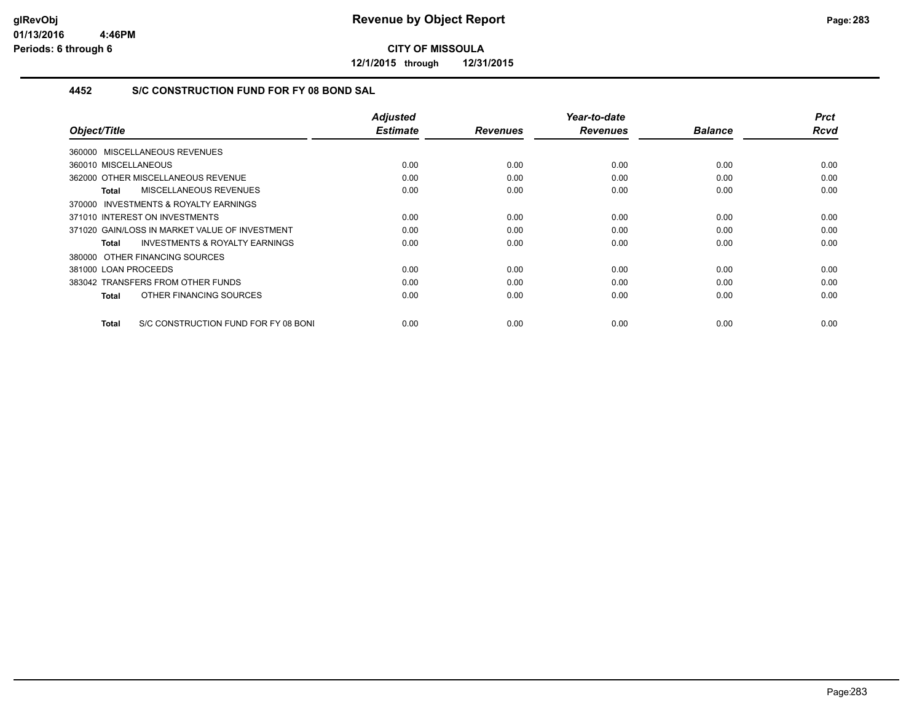**12/1/2015 through 12/31/2015**

### **4452 S/C CONSTRUCTION FUND FOR FY 08 BOND SAL**

| Object/Title                                         | <b>Adjusted</b><br><b>Estimate</b> | <b>Revenues</b> | Year-to-date<br><b>Revenues</b> | <b>Balance</b> | <b>Prct</b><br><b>Rcvd</b> |
|------------------------------------------------------|------------------------------------|-----------------|---------------------------------|----------------|----------------------------|
|                                                      |                                    |                 |                                 |                |                            |
| 360000 MISCELLANEOUS REVENUES                        |                                    |                 |                                 |                |                            |
| 360010 MISCELLANEOUS                                 | 0.00                               | 0.00            | 0.00                            | 0.00           | 0.00                       |
| 362000 OTHER MISCELLANEOUS REVENUE                   | 0.00                               | 0.00            | 0.00                            | 0.00           | 0.00                       |
| MISCELLANEOUS REVENUES<br>Total                      | 0.00                               | 0.00            | 0.00                            | 0.00           | 0.00                       |
| 370000 INVESTMENTS & ROYALTY EARNINGS                |                                    |                 |                                 |                |                            |
| 371010 INTEREST ON INVESTMENTS                       | 0.00                               | 0.00            | 0.00                            | 0.00           | 0.00                       |
| 371020 GAIN/LOSS IN MARKET VALUE OF INVESTMENT       | 0.00                               | 0.00            | 0.00                            | 0.00           | 0.00                       |
| <b>INVESTMENTS &amp; ROYALTY EARNINGS</b><br>Total   | 0.00                               | 0.00            | 0.00                            | 0.00           | 0.00                       |
| 380000 OTHER FINANCING SOURCES                       |                                    |                 |                                 |                |                            |
| 381000 LOAN PROCEEDS                                 | 0.00                               | 0.00            | 0.00                            | 0.00           | 0.00                       |
| 383042 TRANSFERS FROM OTHER FUNDS                    | 0.00                               | 0.00            | 0.00                            | 0.00           | 0.00                       |
| OTHER FINANCING SOURCES<br>Total                     | 0.00                               | 0.00            | 0.00                            | 0.00           | 0.00                       |
|                                                      |                                    |                 |                                 |                |                            |
| S/C CONSTRUCTION FUND FOR FY 08 BONI<br><b>Total</b> | 0.00                               | 0.00            | 0.00                            | 0.00           | 0.00                       |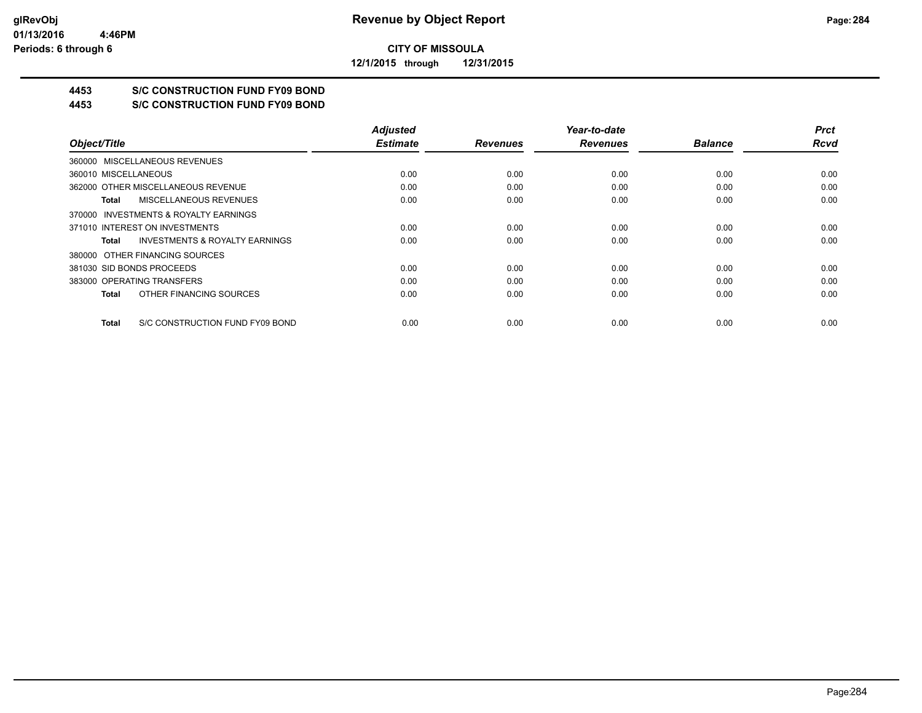**12/1/2015 through 12/31/2015**

## **4453 S/C CONSTRUCTION FUND FY09 BOND**

**4453 S/C CONSTRUCTION FUND FY09 BOND**

|                                                    | <b>Adjusted</b> |                 | Year-to-date    |                | <b>Prct</b> |
|----------------------------------------------------|-----------------|-----------------|-----------------|----------------|-------------|
| Object/Title                                       | <b>Estimate</b> | <b>Revenues</b> | <b>Revenues</b> | <b>Balance</b> | <b>Rcvd</b> |
| 360000 MISCELLANEOUS REVENUES                      |                 |                 |                 |                |             |
| 360010 MISCELLANEOUS                               | 0.00            | 0.00            | 0.00            | 0.00           | 0.00        |
| 362000 OTHER MISCELLANEOUS REVENUE                 | 0.00            | 0.00            | 0.00            | 0.00           | 0.00        |
| MISCELLANEOUS REVENUES<br>Total                    | 0.00            | 0.00            | 0.00            | 0.00           | 0.00        |
| 370000 INVESTMENTS & ROYALTY EARNINGS              |                 |                 |                 |                |             |
| 371010 INTEREST ON INVESTMENTS                     | 0.00            | 0.00            | 0.00            | 0.00           | 0.00        |
| <b>INVESTMENTS &amp; ROYALTY EARNINGS</b><br>Total | 0.00            | 0.00            | 0.00            | 0.00           | 0.00        |
| 380000 OTHER FINANCING SOURCES                     |                 |                 |                 |                |             |
| 381030 SID BONDS PROCEEDS                          | 0.00            | 0.00            | 0.00            | 0.00           | 0.00        |
| 383000 OPERATING TRANSFERS                         | 0.00            | 0.00            | 0.00            | 0.00           | 0.00        |
| OTHER FINANCING SOURCES<br>Total                   | 0.00            | 0.00            | 0.00            | 0.00           | 0.00        |
| S/C CONSTRUCTION FUND FY09 BOND<br>Total           | 0.00            | 0.00            | 0.00            | 0.00           | 0.00        |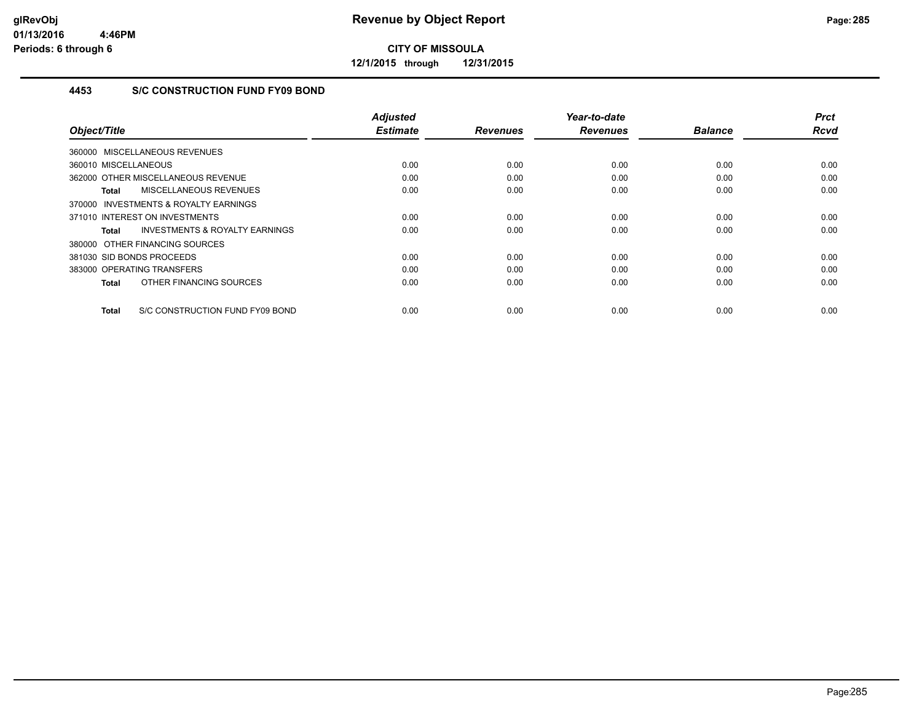**12/1/2015 through 12/31/2015**

### **4453 S/C CONSTRUCTION FUND FY09 BOND**

|                                                     | <b>Adjusted</b><br><b>Estimate</b> |                 | Year-to-date    |                | <b>Prct</b> |
|-----------------------------------------------------|------------------------------------|-----------------|-----------------|----------------|-------------|
| Object/Title                                        |                                    | <b>Revenues</b> | <b>Revenues</b> | <b>Balance</b> | Rcvd        |
| 360000 MISCELLANEOUS REVENUES                       |                                    |                 |                 |                |             |
| 360010 MISCELLANEOUS                                | 0.00                               | 0.00            | 0.00            | 0.00           | 0.00        |
| 362000 OTHER MISCELLANEOUS REVENUE                  | 0.00                               | 0.00            | 0.00            | 0.00           | 0.00        |
| MISCELLANEOUS REVENUES<br>Total                     | 0.00                               | 0.00            | 0.00            | 0.00           | 0.00        |
| <b>INVESTMENTS &amp; ROYALTY EARNINGS</b><br>370000 |                                    |                 |                 |                |             |
| 371010 INTEREST ON INVESTMENTS                      | 0.00                               | 0.00            | 0.00            | 0.00           | 0.00        |
| <b>INVESTMENTS &amp; ROYALTY EARNINGS</b><br>Total  | 0.00                               | 0.00            | 0.00            | 0.00           | 0.00        |
| 380000 OTHER FINANCING SOURCES                      |                                    |                 |                 |                |             |
| 381030 SID BONDS PROCEEDS                           | 0.00                               | 0.00            | 0.00            | 0.00           | 0.00        |
| 383000 OPERATING TRANSFERS                          | 0.00                               | 0.00            | 0.00            | 0.00           | 0.00        |
| OTHER FINANCING SOURCES<br><b>Total</b>             | 0.00                               | 0.00            | 0.00            | 0.00           | 0.00        |
| S/C CONSTRUCTION FUND FY09 BOND<br><b>Total</b>     | 0.00                               | 0.00            | 0.00            | 0.00           | 0.00        |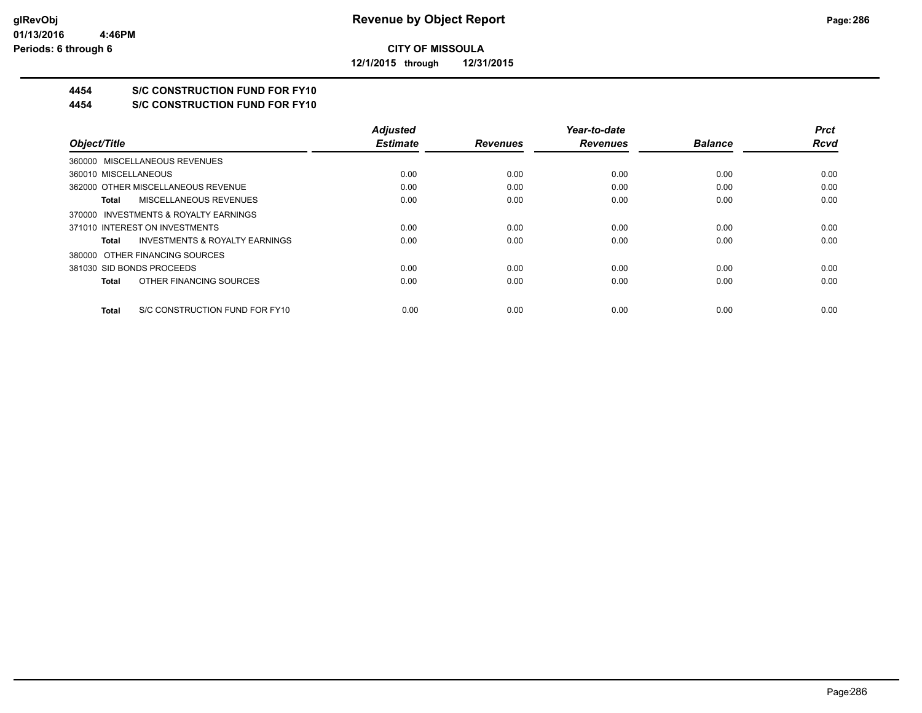**12/1/2015 through 12/31/2015**

## **4454 S/C CONSTRUCTION FUND FOR FY10**

**4454 S/C CONSTRUCTION FUND FOR FY10**

|                                         | <b>Adjusted</b> |                 | Year-to-date    |                | <b>Prct</b> |
|-----------------------------------------|-----------------|-----------------|-----------------|----------------|-------------|
| Object/Title                            | <b>Estimate</b> | <b>Revenues</b> | <b>Revenues</b> | <b>Balance</b> | <b>Rcvd</b> |
| 360000 MISCELLANEOUS REVENUES           |                 |                 |                 |                |             |
| 360010 MISCELLANEOUS                    | 0.00            | 0.00            | 0.00            | 0.00           | 0.00        |
| 362000 OTHER MISCELLANEOUS REVENUE      | 0.00            | 0.00            | 0.00            | 0.00           | 0.00        |
| MISCELLANEOUS REVENUES<br>Total         | 0.00            | 0.00            | 0.00            | 0.00           | 0.00        |
| 370000 INVESTMENTS & ROYALTY EARNINGS   |                 |                 |                 |                |             |
| 371010 INTEREST ON INVESTMENTS          | 0.00            | 0.00            | 0.00            | 0.00           | 0.00        |
| INVESTMENTS & ROYALTY EARNINGS<br>Total | 0.00            | 0.00            | 0.00            | 0.00           | 0.00        |
| 380000 OTHER FINANCING SOURCES          |                 |                 |                 |                |             |
| 381030 SID BONDS PROCEEDS               | 0.00            | 0.00            | 0.00            | 0.00           | 0.00        |
| OTHER FINANCING SOURCES<br>Total        | 0.00            | 0.00            | 0.00            | 0.00           | 0.00        |
| S/C CONSTRUCTION FUND FOR FY10<br>Total | 0.00            | 0.00            | 0.00            | 0.00           | 0.00        |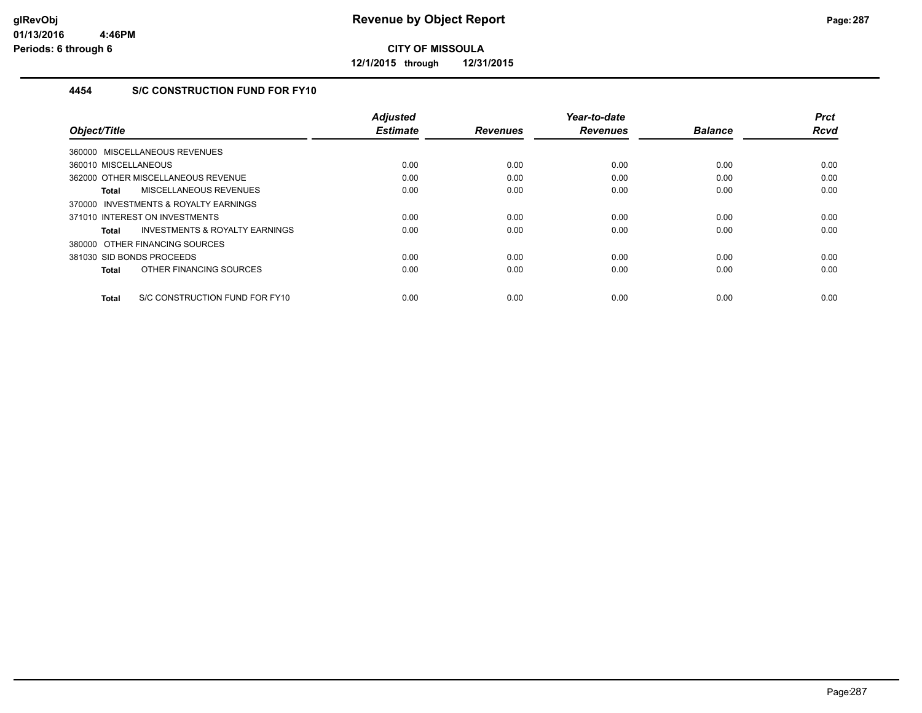**12/1/2015 through 12/31/2015**

## **4454 S/C CONSTRUCTION FUND FOR FY10**

| Object/Title                                   | <b>Adjusted</b><br><b>Estimate</b> | <b>Revenues</b> | Year-to-date<br><b>Revenues</b> | <b>Balance</b> | <b>Prct</b><br><b>Rcvd</b> |
|------------------------------------------------|------------------------------------|-----------------|---------------------------------|----------------|----------------------------|
|                                                |                                    |                 |                                 |                |                            |
| 360000 MISCELLANEOUS REVENUES                  |                                    |                 |                                 |                |                            |
| 360010 MISCELLANEOUS                           | 0.00                               | 0.00            | 0.00                            | 0.00           | 0.00                       |
| 362000 OTHER MISCELLANEOUS REVENUE             | 0.00                               | 0.00            | 0.00                            | 0.00           | 0.00                       |
| <b>MISCELLANEOUS REVENUES</b><br><b>Total</b>  | 0.00                               | 0.00            | 0.00                            | 0.00           | 0.00                       |
| 370000 INVESTMENTS & ROYALTY EARNINGS          |                                    |                 |                                 |                |                            |
| 371010 INTEREST ON INVESTMENTS                 | 0.00                               | 0.00            | 0.00                            | 0.00           | 0.00                       |
| INVESTMENTS & ROYALTY EARNINGS<br><b>Total</b> | 0.00                               | 0.00            | 0.00                            | 0.00           | 0.00                       |
| 380000 OTHER FINANCING SOURCES                 |                                    |                 |                                 |                |                            |
| 381030 SID BONDS PROCEEDS                      | 0.00                               | 0.00            | 0.00                            | 0.00           | 0.00                       |
| OTHER FINANCING SOURCES<br><b>Total</b>        | 0.00                               | 0.00            | 0.00                            | 0.00           | 0.00                       |
| S/C CONSTRUCTION FUND FOR FY10<br><b>Total</b> | 0.00                               | 0.00            | 0.00                            | 0.00           | 0.00                       |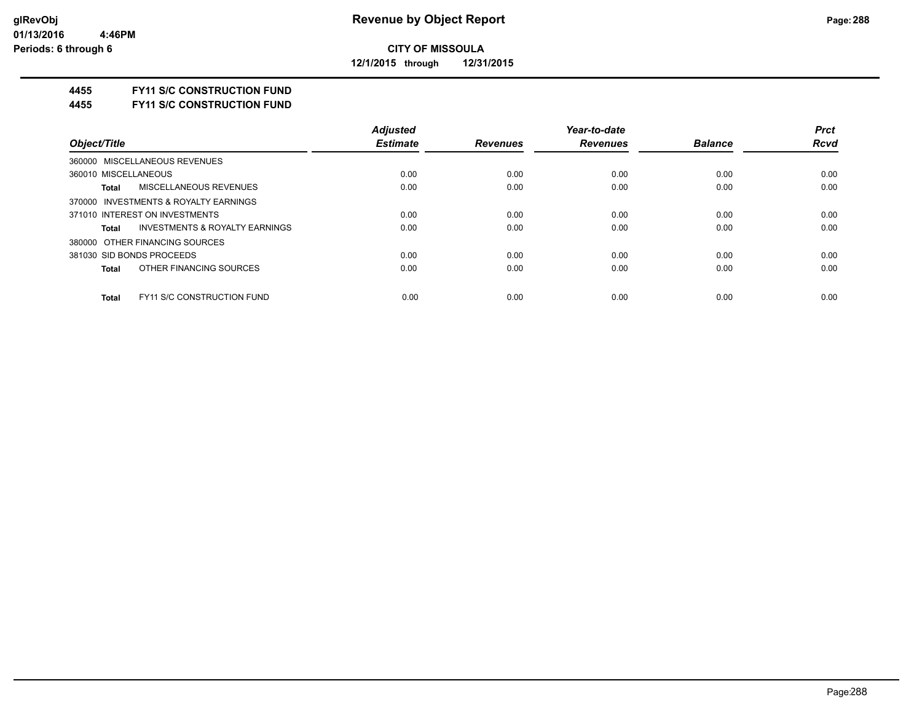**12/1/2015 through 12/31/2015**

#### **4455 FY11 S/C CONSTRUCTION FUND**

**4455 FY11 S/C CONSTRUCTION FUND**

|                                            | <b>Adjusted</b> |                 | Year-to-date    |                | <b>Prct</b> |
|--------------------------------------------|-----------------|-----------------|-----------------|----------------|-------------|
| Object/Title                               | <b>Estimate</b> | <b>Revenues</b> | <b>Revenues</b> | <b>Balance</b> | <b>Rcvd</b> |
| 360000 MISCELLANEOUS REVENUES              |                 |                 |                 |                |             |
| 360010 MISCELLANEOUS                       | 0.00            | 0.00            | 0.00            | 0.00           | 0.00        |
| MISCELLANEOUS REVENUES<br>Total            | 0.00            | 0.00            | 0.00            | 0.00           | 0.00        |
| 370000 INVESTMENTS & ROYALTY EARNINGS      |                 |                 |                 |                |             |
| 371010 INTEREST ON INVESTMENTS             | 0.00            | 0.00            | 0.00            | 0.00           | 0.00        |
| INVESTMENTS & ROYALTY EARNINGS<br>Total    | 0.00            | 0.00            | 0.00            | 0.00           | 0.00        |
| 380000 OTHER FINANCING SOURCES             |                 |                 |                 |                |             |
| 381030 SID BONDS PROCEEDS                  | 0.00            | 0.00            | 0.00            | 0.00           | 0.00        |
| OTHER FINANCING SOURCES<br>Total           | 0.00            | 0.00            | 0.00            | 0.00           | 0.00        |
|                                            |                 |                 |                 |                |             |
| <b>FY11 S/C CONSTRUCTION FUND</b><br>Total | 0.00            | 0.00            | 0.00            | 0.00           | 0.00        |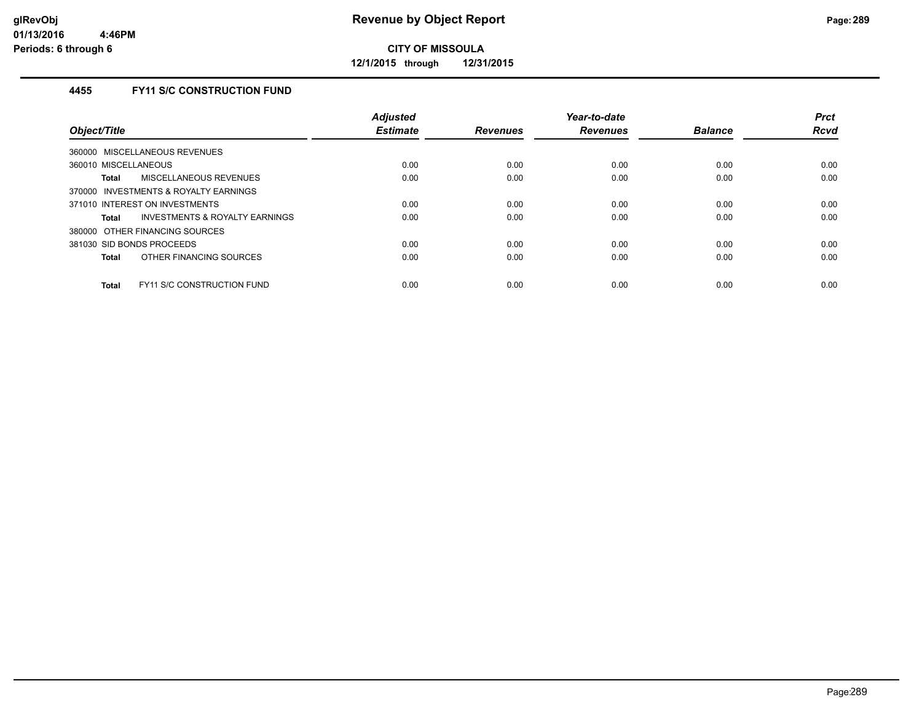**12/1/2015 through 12/31/2015**

# **4455 FY11 S/C CONSTRUCTION FUND**

| Object/Title                                       | <b>Adjusted</b><br><b>Estimate</b> | <b>Revenues</b> | Year-to-date<br><b>Revenues</b> | <b>Balance</b> | <b>Prct</b><br><b>Rcvd</b> |
|----------------------------------------------------|------------------------------------|-----------------|---------------------------------|----------------|----------------------------|
| 360000 MISCELLANEOUS REVENUES                      |                                    |                 |                                 |                |                            |
| 360010 MISCELLANEOUS                               | 0.00                               | 0.00            | 0.00                            | 0.00           | 0.00                       |
| MISCELLANEOUS REVENUES<br>Total                    | 0.00                               | 0.00            | 0.00                            | 0.00           | 0.00                       |
| 370000 INVESTMENTS & ROYALTY EARNINGS              |                                    |                 |                                 |                |                            |
| 371010 INTEREST ON INVESTMENTS                     | 0.00                               | 0.00            | 0.00                            | 0.00           | 0.00                       |
| <b>INVESTMENTS &amp; ROYALTY EARNINGS</b><br>Total | 0.00                               | 0.00            | 0.00                            | 0.00           | 0.00                       |
| 380000 OTHER FINANCING SOURCES                     |                                    |                 |                                 |                |                            |
| 381030 SID BONDS PROCEEDS                          | 0.00                               | 0.00            | 0.00                            | 0.00           | 0.00                       |
| OTHER FINANCING SOURCES<br><b>Total</b>            | 0.00                               | 0.00            | 0.00                            | 0.00           | 0.00                       |
| <b>FY11 S/C CONSTRUCTION FUND</b><br><b>Total</b>  | 0.00                               | 0.00            | 0.00                            | 0.00           | 0.00                       |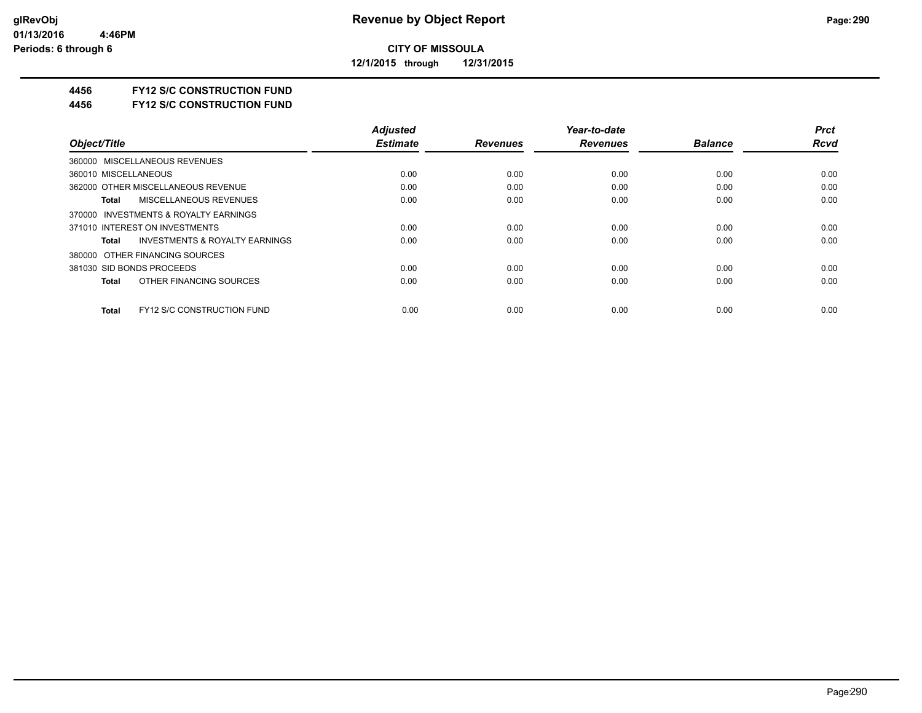**12/1/2015 through 12/31/2015**

### **4456 FY12 S/C CONSTRUCTION FUND**

**4456 FY12 S/C CONSTRUCTION FUND**

|                                                    | <b>Adjusted</b> |                 | Year-to-date    |                | <b>Prct</b> |
|----------------------------------------------------|-----------------|-----------------|-----------------|----------------|-------------|
| Object/Title                                       | <b>Estimate</b> | <b>Revenues</b> | <b>Revenues</b> | <b>Balance</b> | <b>Rcvd</b> |
| 360000 MISCELLANEOUS REVENUES                      |                 |                 |                 |                |             |
| 360010 MISCELLANEOUS                               | 0.00            | 0.00            | 0.00            | 0.00           | 0.00        |
| 362000 OTHER MISCELLANEOUS REVENUE                 | 0.00            | 0.00            | 0.00            | 0.00           | 0.00        |
| MISCELLANEOUS REVENUES<br>Total                    | 0.00            | 0.00            | 0.00            | 0.00           | 0.00        |
| 370000 INVESTMENTS & ROYALTY EARNINGS              |                 |                 |                 |                |             |
| 371010 INTEREST ON INVESTMENTS                     | 0.00            | 0.00            | 0.00            | 0.00           | 0.00        |
| <b>INVESTMENTS &amp; ROYALTY EARNINGS</b><br>Total | 0.00            | 0.00            | 0.00            | 0.00           | 0.00        |
| 380000 OTHER FINANCING SOURCES                     |                 |                 |                 |                |             |
| 381030 SID BONDS PROCEEDS                          | 0.00            | 0.00            | 0.00            | 0.00           | 0.00        |
| OTHER FINANCING SOURCES<br>Total                   | 0.00            | 0.00            | 0.00            | 0.00           | 0.00        |
| <b>FY12 S/C CONSTRUCTION FUND</b><br>Total         | 0.00            | 0.00            | 0.00            | 0.00           | 0.00        |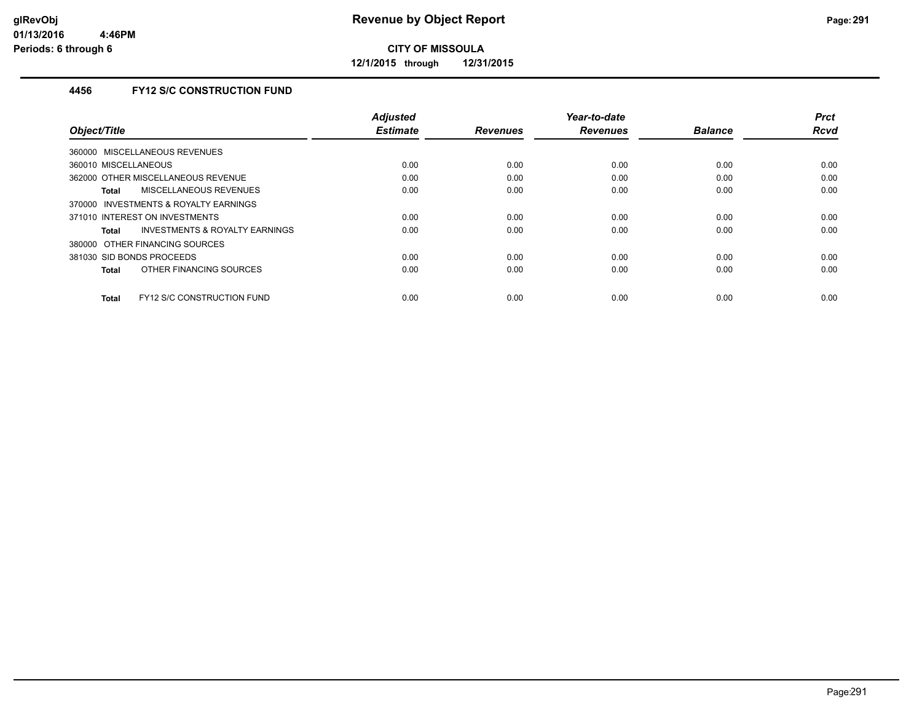**12/1/2015 through 12/31/2015**

# **4456 FY12 S/C CONSTRUCTION FUND**

| Object/Title                                   | <b>Adjusted</b><br><b>Estimate</b> | <b>Revenues</b> | Year-to-date<br><b>Revenues</b> | <b>Balance</b> | <b>Prct</b><br><b>Rcvd</b> |
|------------------------------------------------|------------------------------------|-----------------|---------------------------------|----------------|----------------------------|
|                                                |                                    |                 |                                 |                |                            |
| 360000 MISCELLANEOUS REVENUES                  |                                    |                 |                                 |                |                            |
| 360010 MISCELLANEOUS                           | 0.00                               | 0.00            | 0.00                            | 0.00           | 0.00                       |
| 362000 OTHER MISCELLANEOUS REVENUE             | 0.00                               | 0.00            | 0.00                            | 0.00           | 0.00                       |
| <b>MISCELLANEOUS REVENUES</b><br><b>Total</b>  | 0.00                               | 0.00            | 0.00                            | 0.00           | 0.00                       |
| 370000 INVESTMENTS & ROYALTY EARNINGS          |                                    |                 |                                 |                |                            |
| 371010 INTEREST ON INVESTMENTS                 | 0.00                               | 0.00            | 0.00                            | 0.00           | 0.00                       |
| INVESTMENTS & ROYALTY EARNINGS<br><b>Total</b> | 0.00                               | 0.00            | 0.00                            | 0.00           | 0.00                       |
| 380000 OTHER FINANCING SOURCES                 |                                    |                 |                                 |                |                            |
| 381030 SID BONDS PROCEEDS                      | 0.00                               | 0.00            | 0.00                            | 0.00           | 0.00                       |
| OTHER FINANCING SOURCES<br><b>Total</b>        | 0.00                               | 0.00            | 0.00                            | 0.00           | 0.00                       |
|                                                |                                    |                 |                                 |                |                            |
| FY12 S/C CONSTRUCTION FUND<br><b>Total</b>     | 0.00                               | 0.00            | 0.00                            | 0.00           | 0.00                       |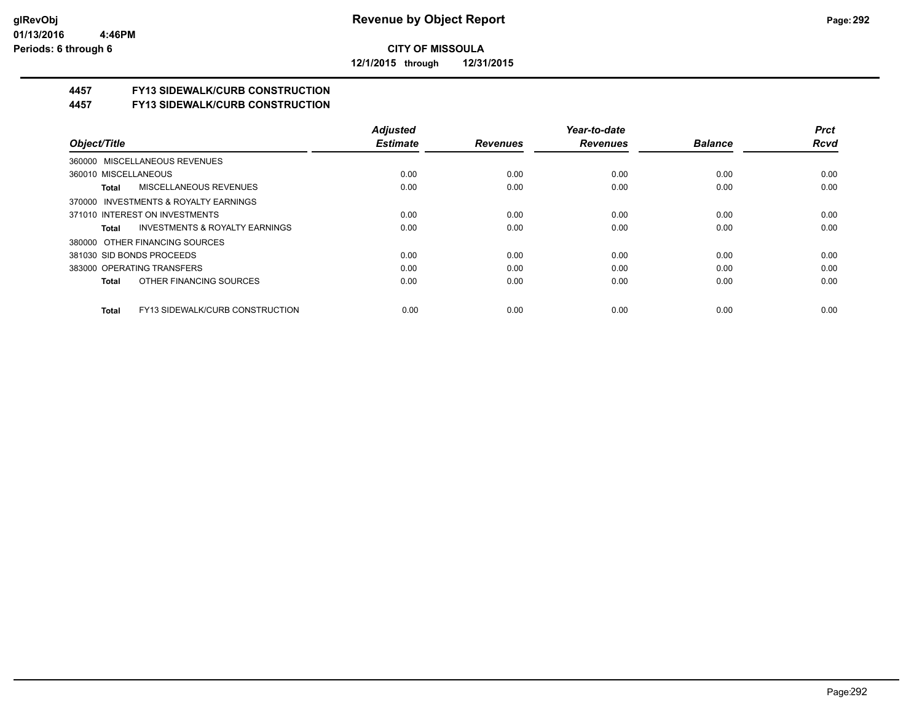**12/1/2015 through 12/31/2015**

# **4457 FY13 SIDEWALK/CURB CONSTRUCTION**

**4457 FY13 SIDEWALK/CURB CONSTRUCTION**

|                                                    | <b>Adiusted</b> |                 | Year-to-date    |                | <b>Prct</b> |
|----------------------------------------------------|-----------------|-----------------|-----------------|----------------|-------------|
| Object/Title                                       | <b>Estimate</b> | <b>Revenues</b> | <b>Revenues</b> | <b>Balance</b> | <b>Rcvd</b> |
| 360000 MISCELLANEOUS REVENUES                      |                 |                 |                 |                |             |
| 360010 MISCELLANEOUS                               | 0.00            | 0.00            | 0.00            | 0.00           | 0.00        |
| <b>MISCELLANEOUS REVENUES</b><br>Total             | 0.00            | 0.00            | 0.00            | 0.00           | 0.00        |
| 370000 INVESTMENTS & ROYALTY EARNINGS              |                 |                 |                 |                |             |
| 371010 INTEREST ON INVESTMENTS                     | 0.00            | 0.00            | 0.00            | 0.00           | 0.00        |
| <b>INVESTMENTS &amp; ROYALTY EARNINGS</b><br>Total | 0.00            | 0.00            | 0.00            | 0.00           | 0.00        |
| 380000 OTHER FINANCING SOURCES                     |                 |                 |                 |                |             |
| 381030 SID BONDS PROCEEDS                          | 0.00            | 0.00            | 0.00            | 0.00           | 0.00        |
| 383000 OPERATING TRANSFERS                         | 0.00            | 0.00            | 0.00            | 0.00           | 0.00        |
| OTHER FINANCING SOURCES<br>Total                   | 0.00            | 0.00            | 0.00            | 0.00           | 0.00        |
| FY13 SIDEWALK/CURB CONSTRUCTION<br>Total           | 0.00            | 0.00            | 0.00            | 0.00           | 0.00        |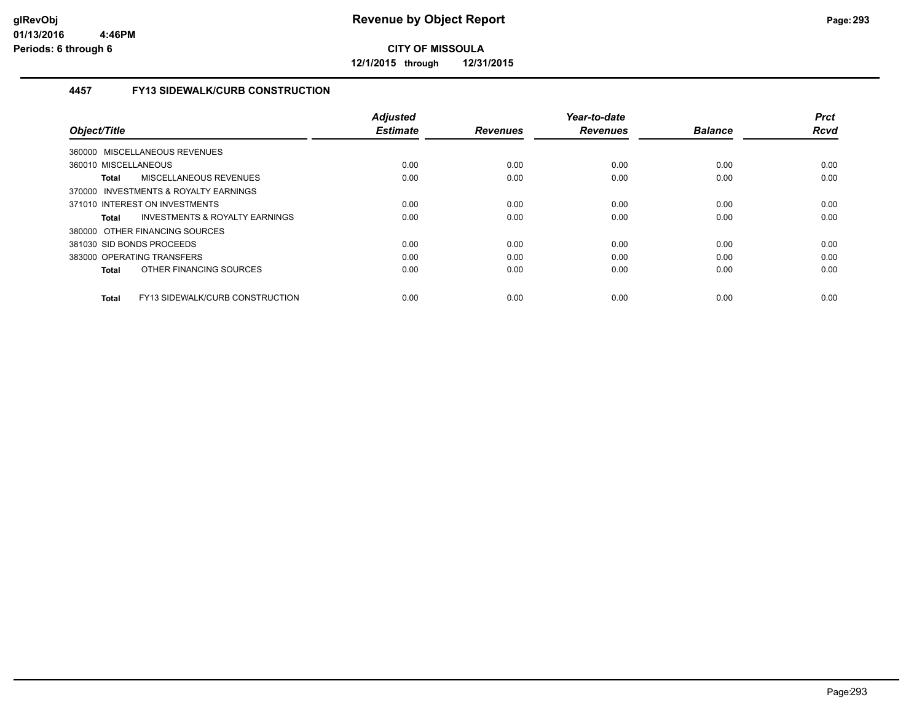**12/1/2015 through 12/31/2015**

# **4457 FY13 SIDEWALK/CURB CONSTRUCTION**

|                                                 | <b>Adjusted</b> |                 | Year-to-date    |                | <b>Prct</b> |
|-------------------------------------------------|-----------------|-----------------|-----------------|----------------|-------------|
| Object/Title                                    | <b>Estimate</b> | <b>Revenues</b> | <b>Revenues</b> | <b>Balance</b> | <b>Rcvd</b> |
| 360000 MISCELLANEOUS REVENUES                   |                 |                 |                 |                |             |
| 360010 MISCELLANEOUS                            | 0.00            | 0.00            | 0.00            | 0.00           | 0.00        |
| MISCELLANEOUS REVENUES<br><b>Total</b>          | 0.00            | 0.00            | 0.00            | 0.00           | 0.00        |
| 370000 INVESTMENTS & ROYALTY EARNINGS           |                 |                 |                 |                |             |
| 371010 INTEREST ON INVESTMENTS                  | 0.00            | 0.00            | 0.00            | 0.00           | 0.00        |
| INVESTMENTS & ROYALTY EARNINGS<br>Total         | 0.00            | 0.00            | 0.00            | 0.00           | 0.00        |
| 380000 OTHER FINANCING SOURCES                  |                 |                 |                 |                |             |
| 381030 SID BONDS PROCEEDS                       | 0.00            | 0.00            | 0.00            | 0.00           | 0.00        |
| 383000 OPERATING TRANSFERS                      | 0.00            | 0.00            | 0.00            | 0.00           | 0.00        |
| OTHER FINANCING SOURCES<br>Total                | 0.00            | 0.00            | 0.00            | 0.00           | 0.00        |
| FY13 SIDEWALK/CURB CONSTRUCTION<br><b>Total</b> | 0.00            | 0.00            | 0.00            | 0.00           | 0.00        |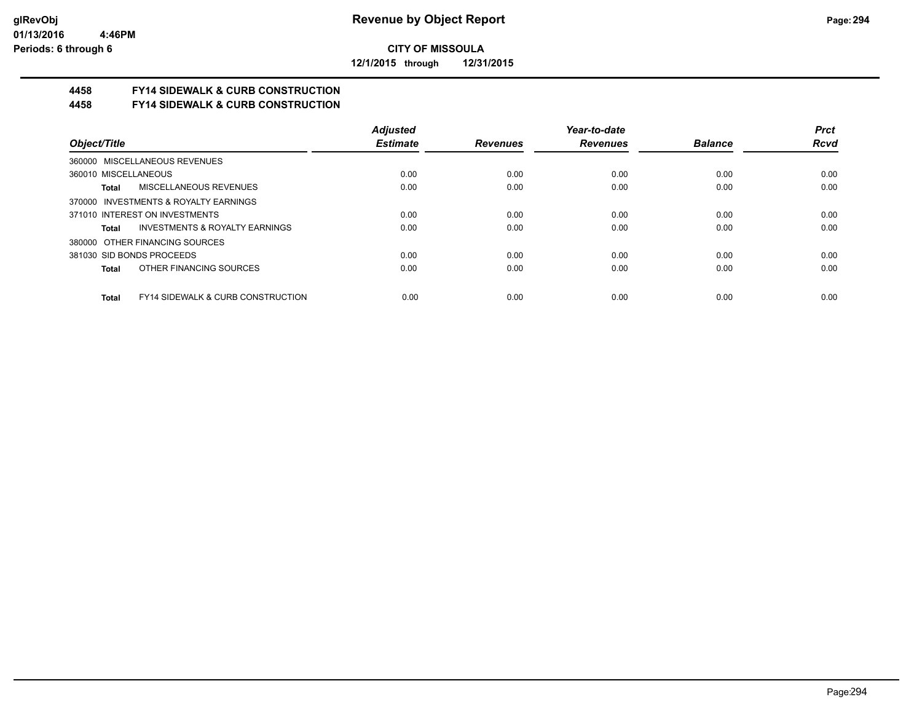**12/1/2015 through 12/31/2015**

# **4458 FY14 SIDEWALK & CURB CONSTRUCTION**

**4458 FY14 SIDEWALK & CURB CONSTRUCTION**

|                                                       | <b>Adjusted</b> |                 | Year-to-date    |                | <b>Prct</b> |
|-------------------------------------------------------|-----------------|-----------------|-----------------|----------------|-------------|
| Object/Title                                          | <b>Estimate</b> | <b>Revenues</b> | <b>Revenues</b> | <b>Balance</b> | <b>Rcvd</b> |
| 360000 MISCELLANEOUS REVENUES                         |                 |                 |                 |                |             |
| 360010 MISCELLANEOUS                                  | 0.00            | 0.00            | 0.00            | 0.00           | 0.00        |
| <b>MISCELLANEOUS REVENUES</b><br>Total                | 0.00            | 0.00            | 0.00            | 0.00           | 0.00        |
| 370000 INVESTMENTS & ROYALTY EARNINGS                 |                 |                 |                 |                |             |
| 371010 INTEREST ON INVESTMENTS                        | 0.00            | 0.00            | 0.00            | 0.00           | 0.00        |
| INVESTMENTS & ROYALTY EARNINGS<br>Total               | 0.00            | 0.00            | 0.00            | 0.00           | 0.00        |
| 380000 OTHER FINANCING SOURCES                        |                 |                 |                 |                |             |
| 381030 SID BONDS PROCEEDS                             | 0.00            | 0.00            | 0.00            | 0.00           | 0.00        |
| OTHER FINANCING SOURCES<br>Total                      | 0.00            | 0.00            | 0.00            | 0.00           | 0.00        |
| <b>FY14 SIDEWALK &amp; CURB CONSTRUCTION</b><br>Total | 0.00            | 0.00            | 0.00            | 0.00           | 0.00        |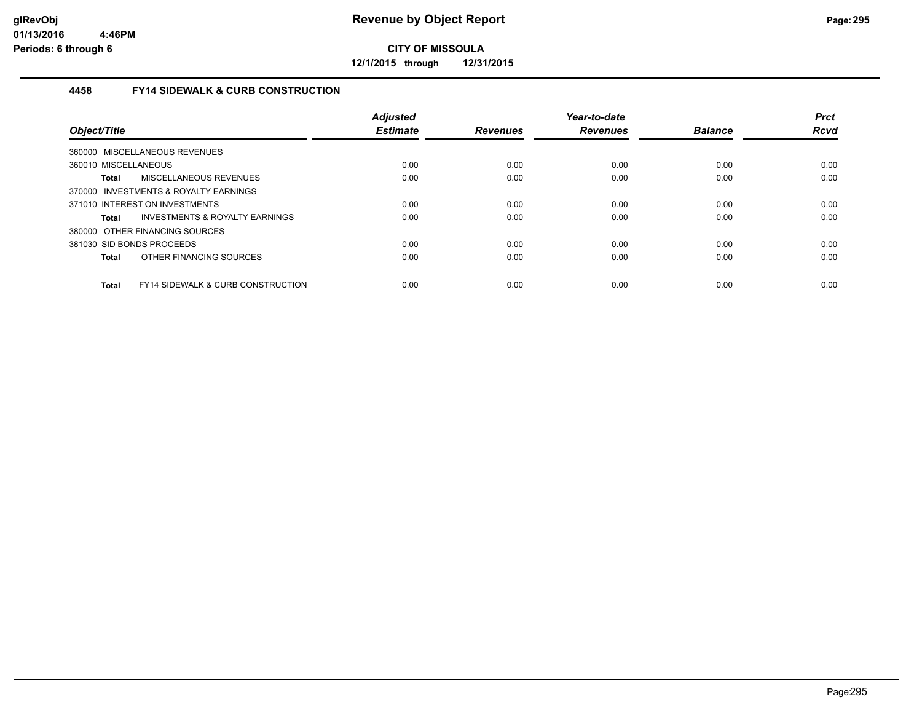**12/1/2015 through 12/31/2015**

## **4458 FY14 SIDEWALK & CURB CONSTRUCTION**

| Object/Title                                                 | <b>Adjusted</b><br><b>Estimate</b> | <b>Revenues</b> | Year-to-date<br><b>Revenues</b> | <b>Balance</b> | <b>Prct</b><br><b>Rcvd</b> |
|--------------------------------------------------------------|------------------------------------|-----------------|---------------------------------|----------------|----------------------------|
| 360000 MISCELLANEOUS REVENUES                                |                                    |                 |                                 |                |                            |
| 360010 MISCELLANEOUS                                         | 0.00                               | 0.00            | 0.00                            | 0.00           | 0.00                       |
| MISCELLANEOUS REVENUES<br><b>Total</b>                       | 0.00                               | 0.00            | 0.00                            | 0.00           | 0.00                       |
| 370000 INVESTMENTS & ROYALTY EARNINGS                        |                                    |                 |                                 |                |                            |
| 371010 INTEREST ON INVESTMENTS                               | 0.00                               | 0.00            | 0.00                            | 0.00           | 0.00                       |
| INVESTMENTS & ROYALTY EARNINGS<br><b>Total</b>               | 0.00                               | 0.00            | 0.00                            | 0.00           | 0.00                       |
| 380000 OTHER FINANCING SOURCES                               |                                    |                 |                                 |                |                            |
| 381030 SID BONDS PROCEEDS                                    | 0.00                               | 0.00            | 0.00                            | 0.00           | 0.00                       |
| OTHER FINANCING SOURCES<br><b>Total</b>                      | 0.00                               | 0.00            | 0.00                            | 0.00           | 0.00                       |
| <b>FY14 SIDEWALK &amp; CURB CONSTRUCTION</b><br><b>Total</b> | 0.00                               | 0.00            | 0.00                            | 0.00           | 0.00                       |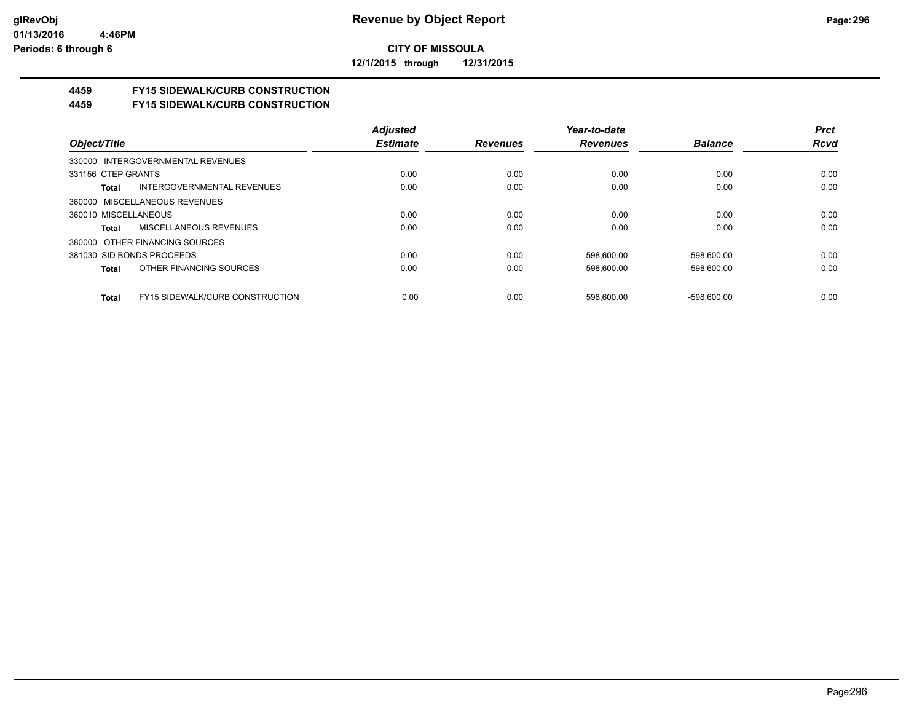**12/1/2015 through 12/31/2015**

# **4459 FY15 SIDEWALK/CURB CONSTRUCTION**

**4459 FY15 SIDEWALK/CURB CONSTRUCTION**

|                                                 | <b>Adjusted</b> |                 | Year-to-date    |                | <b>Prct</b> |
|-------------------------------------------------|-----------------|-----------------|-----------------|----------------|-------------|
| Object/Title                                    | <b>Estimate</b> | <b>Revenues</b> | <b>Revenues</b> | <b>Balance</b> | <b>Rcvd</b> |
| 330000 INTERGOVERNMENTAL REVENUES               |                 |                 |                 |                |             |
| 331156 CTEP GRANTS                              | 0.00            | 0.00            | 0.00            | 0.00           | 0.00        |
| INTERGOVERNMENTAL REVENUES<br>Total             | 0.00            | 0.00            | 0.00            | 0.00           | 0.00        |
| 360000 MISCELLANEOUS REVENUES                   |                 |                 |                 |                |             |
| 360010 MISCELLANEOUS                            | 0.00            | 0.00            | 0.00            | 0.00           | 0.00        |
| MISCELLANEOUS REVENUES<br>Total                 | 0.00            | 0.00            | 0.00            | 0.00           | 0.00        |
| 380000 OTHER FINANCING SOURCES                  |                 |                 |                 |                |             |
| 381030 SID BONDS PROCEEDS                       | 0.00            | 0.00            | 598.600.00      | $-598,600.00$  | 0.00        |
| OTHER FINANCING SOURCES<br>Total                | 0.00            | 0.00            | 598.600.00      | $-598.600.00$  | 0.00        |
| <b>FY15 SIDEWALK/CURB CONSTRUCTION</b><br>Total | 0.00            | 0.00            | 598.600.00      | -598.600.00    | 0.00        |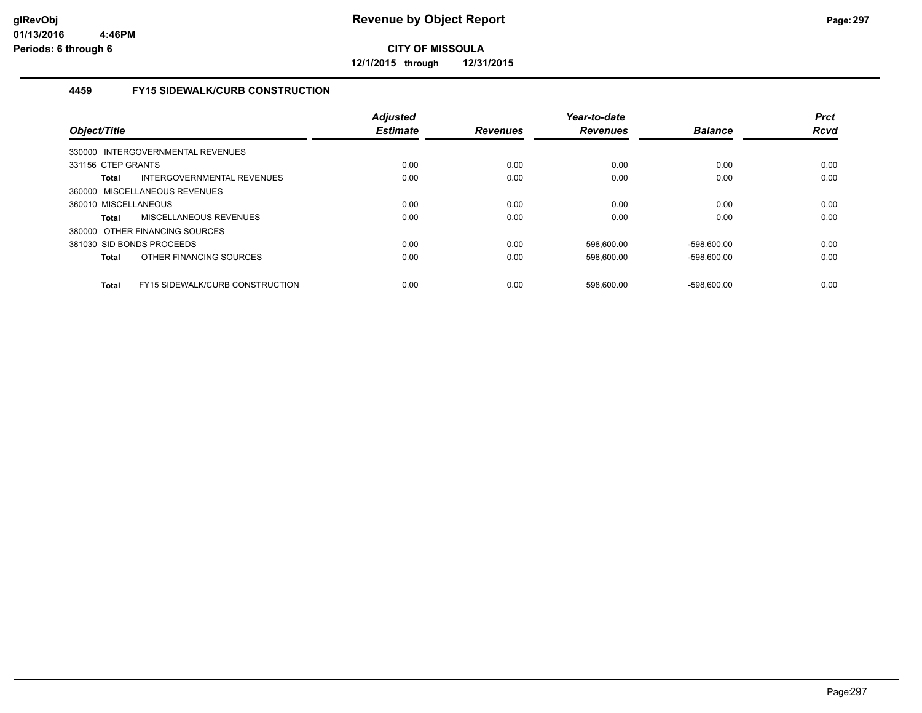**12/1/2015 through 12/31/2015**

# **4459 FY15 SIDEWALK/CURB CONSTRUCTION**

| Object/Title                                           | <b>Adjusted</b><br><b>Estimate</b> | <b>Revenues</b> | Year-to-date<br><b>Revenues</b> | <b>Balance</b> | <b>Prct</b><br>Rcvd |
|--------------------------------------------------------|------------------------------------|-----------------|---------------------------------|----------------|---------------------|
| 330000 INTERGOVERNMENTAL REVENUES                      |                                    |                 |                                 |                |                     |
| 331156 CTEP GRANTS                                     | 0.00                               | 0.00            | 0.00                            | 0.00           | 0.00                |
| INTERGOVERNMENTAL REVENUES<br><b>Total</b>             | 0.00                               | 0.00            | 0.00                            | 0.00           | 0.00                |
| 360000 MISCELLANEOUS REVENUES                          |                                    |                 |                                 |                |                     |
| 360010 MISCELLANEOUS                                   | 0.00                               | 0.00            | 0.00                            | 0.00           | 0.00                |
| <b>MISCELLANEOUS REVENUES</b><br>Total                 | 0.00                               | 0.00            | 0.00                            | 0.00           | 0.00                |
| 380000 OTHER FINANCING SOURCES                         |                                    |                 |                                 |                |                     |
| 381030 SID BONDS PROCEEDS                              | 0.00                               | 0.00            | 598,600.00                      | $-598,600.00$  | 0.00                |
| OTHER FINANCING SOURCES<br><b>Total</b>                | 0.00                               | 0.00            | 598,600.00                      | $-598,600.00$  | 0.00                |
| <b>FY15 SIDEWALK/CURB CONSTRUCTION</b><br><b>Total</b> | 0.00                               | 0.00            | 598.600.00                      | $-598.600.00$  | 0.00                |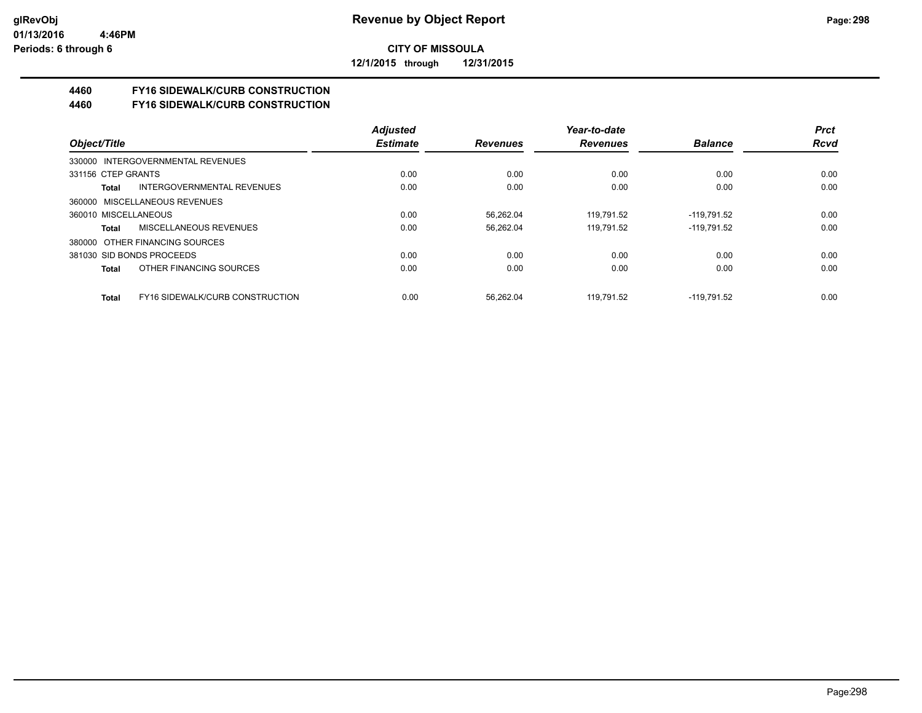**12/1/2015 through 12/31/2015**

# **4460 FY16 SIDEWALK/CURB CONSTRUCTION**

**4460 FY16 SIDEWALK/CURB CONSTRUCTION**

|                           |                                        | <b>Adjusted</b> |                 | Year-to-date    |                | <b>Prct</b> |
|---------------------------|----------------------------------------|-----------------|-----------------|-----------------|----------------|-------------|
| Object/Title              |                                        | <b>Estimate</b> | <b>Revenues</b> | <b>Revenues</b> | <b>Balance</b> | <b>Rcvd</b> |
|                           | 330000 INTERGOVERNMENTAL REVENUES      |                 |                 |                 |                |             |
| 331156 CTEP GRANTS        |                                        | 0.00            | 0.00            | 0.00            | 0.00           | 0.00        |
| Total                     | INTERGOVERNMENTAL REVENUES             | 0.00            | 0.00            | 0.00            | 0.00           | 0.00        |
|                           | 360000 MISCELLANEOUS REVENUES          |                 |                 |                 |                |             |
| 360010 MISCELLANEOUS      |                                        | 0.00            | 56,262.04       | 119.791.52      | -119.791.52    | 0.00        |
| Total                     | MISCELLANEOUS REVENUES                 | 0.00            | 56,262.04       | 119.791.52      | $-119,791.52$  | 0.00        |
|                           | 380000 OTHER FINANCING SOURCES         |                 |                 |                 |                |             |
| 381030 SID BONDS PROCEEDS |                                        | 0.00            | 0.00            | 0.00            | 0.00           | 0.00        |
| Total                     | OTHER FINANCING SOURCES                | 0.00            | 0.00            | 0.00            | 0.00           | 0.00        |
| Total                     | <b>FY16 SIDEWALK/CURB CONSTRUCTION</b> | 0.00            | 56.262.04       | 119.791.52      | $-119.791.52$  | 0.00        |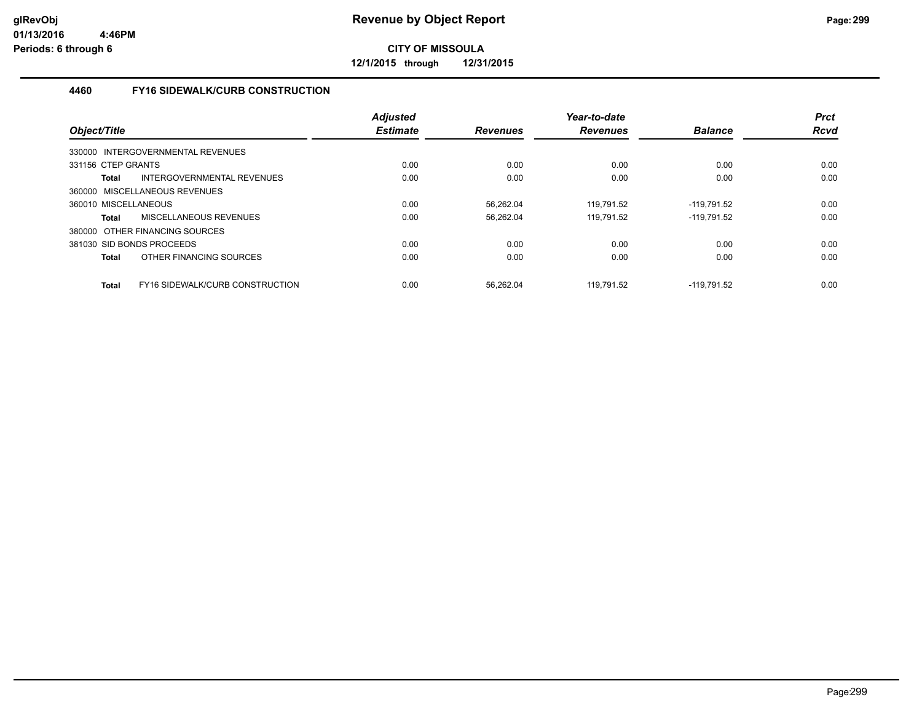**12/1/2015 through 12/31/2015**

# **4460 FY16 SIDEWALK/CURB CONSTRUCTION**

| Object/Title                                    | <b>Adjusted</b><br><b>Estimate</b> | <b>Revenues</b> | Year-to-date<br><b>Revenues</b> | <b>Balance</b> | <b>Prct</b><br><b>Rcvd</b> |
|-------------------------------------------------|------------------------------------|-----------------|---------------------------------|----------------|----------------------------|
| 330000 INTERGOVERNMENTAL REVENUES               |                                    |                 |                                 |                |                            |
| 331156 CTEP GRANTS                              | 0.00                               | 0.00            | 0.00                            | 0.00           | 0.00                       |
| INTERGOVERNMENTAL REVENUES<br>Total             | 0.00                               | 0.00            | 0.00                            | 0.00           | 0.00                       |
| 360000 MISCELLANEOUS REVENUES                   |                                    |                 |                                 |                |                            |
| 360010 MISCELLANEOUS                            | 0.00                               | 56,262.04       | 119,791.52                      | $-119,791.52$  | 0.00                       |
| MISCELLANEOUS REVENUES<br><b>Total</b>          | 0.00                               | 56,262.04       | 119,791.52                      | $-119,791.52$  | 0.00                       |
| 380000 OTHER FINANCING SOURCES                  |                                    |                 |                                 |                |                            |
| 381030 SID BONDS PROCEEDS                       | 0.00                               | 0.00            | 0.00                            | 0.00           | 0.00                       |
| OTHER FINANCING SOURCES<br><b>Total</b>         | 0.00                               | 0.00            | 0.00                            | 0.00           | 0.00                       |
| FY16 SIDEWALK/CURB CONSTRUCTION<br><b>Total</b> | 0.00                               | 56.262.04       | 119.791.52                      | $-119.791.52$  | 0.00                       |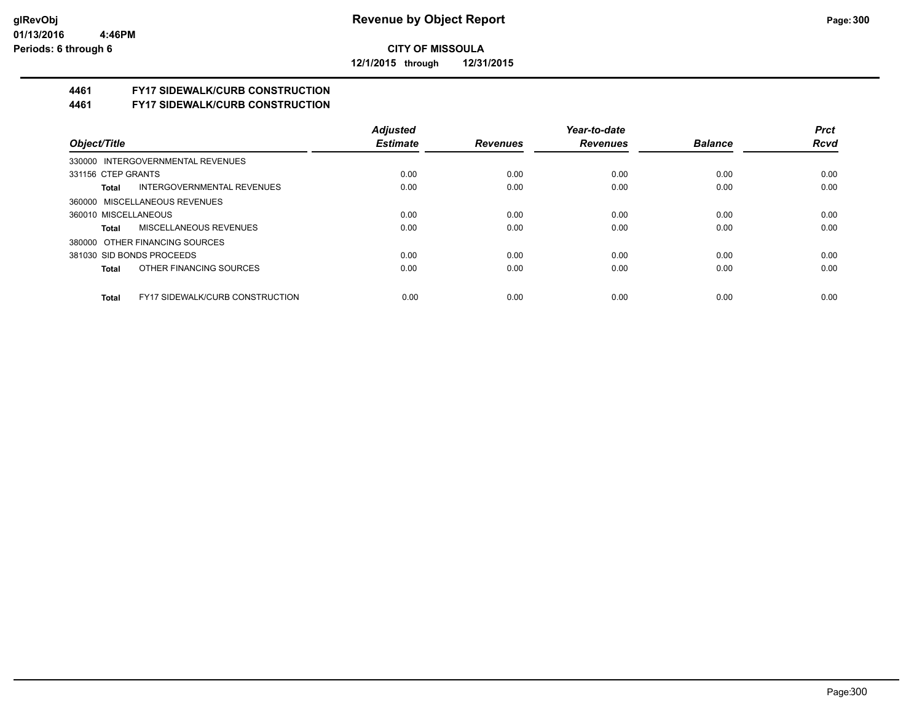**12/1/2015 through 12/31/2015**

# **4461 FY17 SIDEWALK/CURB CONSTRUCTION**

**4461 FY17 SIDEWALK/CURB CONSTRUCTION**

|                                                 | <b>Adjusted</b> |                 | Year-to-date    |                | <b>Prct</b> |
|-------------------------------------------------|-----------------|-----------------|-----------------|----------------|-------------|
| Object/Title                                    | <b>Estimate</b> | <b>Revenues</b> | <b>Revenues</b> | <b>Balance</b> | <b>Rcvd</b> |
| 330000 INTERGOVERNMENTAL REVENUES               |                 |                 |                 |                |             |
| 331156 CTEP GRANTS                              | 0.00            | 0.00            | 0.00            | 0.00           | 0.00        |
| INTERGOVERNMENTAL REVENUES<br>Total             | 0.00            | 0.00            | 0.00            | 0.00           | 0.00        |
| 360000 MISCELLANEOUS REVENUES                   |                 |                 |                 |                |             |
| 360010 MISCELLANEOUS                            | 0.00            | 0.00            | 0.00            | 0.00           | 0.00        |
| MISCELLANEOUS REVENUES<br>Total                 | 0.00            | 0.00            | 0.00            | 0.00           | 0.00        |
| 380000 OTHER FINANCING SOURCES                  |                 |                 |                 |                |             |
| 381030 SID BONDS PROCEEDS                       | 0.00            | 0.00            | 0.00            | 0.00           | 0.00        |
| OTHER FINANCING SOURCES<br>Total                | 0.00            | 0.00            | 0.00            | 0.00           | 0.00        |
|                                                 |                 |                 |                 |                |             |
| <b>FY17 SIDEWALK/CURB CONSTRUCTION</b><br>Total | 0.00            | 0.00            | 0.00            | 0.00           | 0.00        |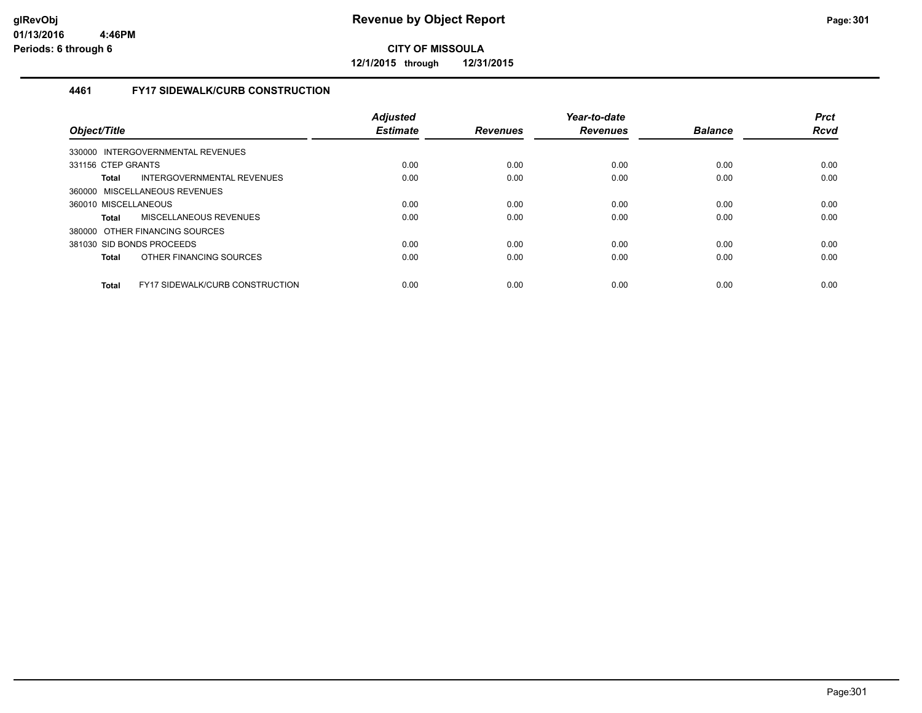**12/1/2015 through 12/31/2015**

# **4461 FY17 SIDEWALK/CURB CONSTRUCTION**

| Object/Title                                           | <b>Adjusted</b><br><b>Estimate</b> | <b>Revenues</b> | Year-to-date<br><b>Revenues</b> | <b>Balance</b> | <b>Prct</b><br><b>Rcvd</b> |
|--------------------------------------------------------|------------------------------------|-----------------|---------------------------------|----------------|----------------------------|
| 330000 INTERGOVERNMENTAL REVENUES                      |                                    |                 |                                 |                |                            |
| 331156 CTEP GRANTS                                     | 0.00                               | 0.00            | 0.00                            | 0.00           | 0.00                       |
| INTERGOVERNMENTAL REVENUES<br>Total                    | 0.00                               | 0.00            | 0.00                            | 0.00           | 0.00                       |
| 360000 MISCELLANEOUS REVENUES                          |                                    |                 |                                 |                |                            |
| 360010 MISCELLANEOUS                                   | 0.00                               | 0.00            | 0.00                            | 0.00           | 0.00                       |
| MISCELLANEOUS REVENUES<br><b>Total</b>                 | 0.00                               | 0.00            | 0.00                            | 0.00           | 0.00                       |
| 380000 OTHER FINANCING SOURCES                         |                                    |                 |                                 |                |                            |
| 381030 SID BONDS PROCEEDS                              | 0.00                               | 0.00            | 0.00                            | 0.00           | 0.00                       |
| OTHER FINANCING SOURCES<br><b>Total</b>                | 0.00                               | 0.00            | 0.00                            | 0.00           | 0.00                       |
| <b>FY17 SIDEWALK/CURB CONSTRUCTION</b><br><b>Total</b> | 0.00                               | 0.00            | 0.00                            | 0.00           | 0.00                       |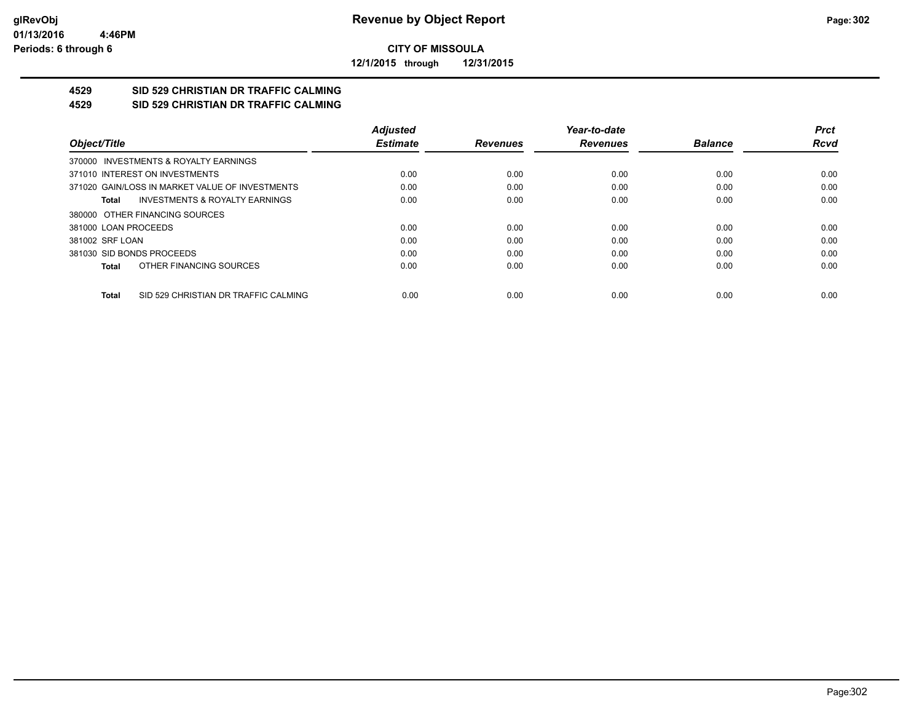**12/1/2015 through 12/31/2015**

#### **4529 SID 529 CHRISTIAN DR TRAFFIC CALMING 4529 SID 529 CHRISTIAN DR TRAFFIC CALMING**

|                      |                                                 | <b>Adjusted</b> |                 | Year-to-date    |                | <b>Prct</b> |
|----------------------|-------------------------------------------------|-----------------|-----------------|-----------------|----------------|-------------|
| Object/Title         |                                                 | <b>Estimate</b> | <b>Revenues</b> | <b>Revenues</b> | <b>Balance</b> | <b>Rcvd</b> |
|                      | 370000 INVESTMENTS & ROYALTY EARNINGS           |                 |                 |                 |                |             |
|                      | 371010 INTEREST ON INVESTMENTS                  | 0.00            | 0.00            | 0.00            | 0.00           | 0.00        |
|                      | 371020 GAIN/LOSS IN MARKET VALUE OF INVESTMENTS | 0.00            | 0.00            | 0.00            | 0.00           | 0.00        |
| Total                | <b>INVESTMENTS &amp; ROYALTY EARNINGS</b>       | 0.00            | 0.00            | 0.00            | 0.00           | 0.00        |
|                      | 380000 OTHER FINANCING SOURCES                  |                 |                 |                 |                |             |
| 381000 LOAN PROCEEDS |                                                 | 0.00            | 0.00            | 0.00            | 0.00           | 0.00        |
| 381002 SRF LOAN      |                                                 | 0.00            | 0.00            | 0.00            | 0.00           | 0.00        |
|                      | 381030 SID BONDS PROCEEDS                       | 0.00            | 0.00            | 0.00            | 0.00           | 0.00        |
| Total                | OTHER FINANCING SOURCES                         | 0.00            | 0.00            | 0.00            | 0.00           | 0.00        |
| <b>Total</b>         | SID 529 CHRISTIAN DR TRAFFIC CALMING            | 0.00            | 0.00            | 0.00            | 0.00           | 0.00        |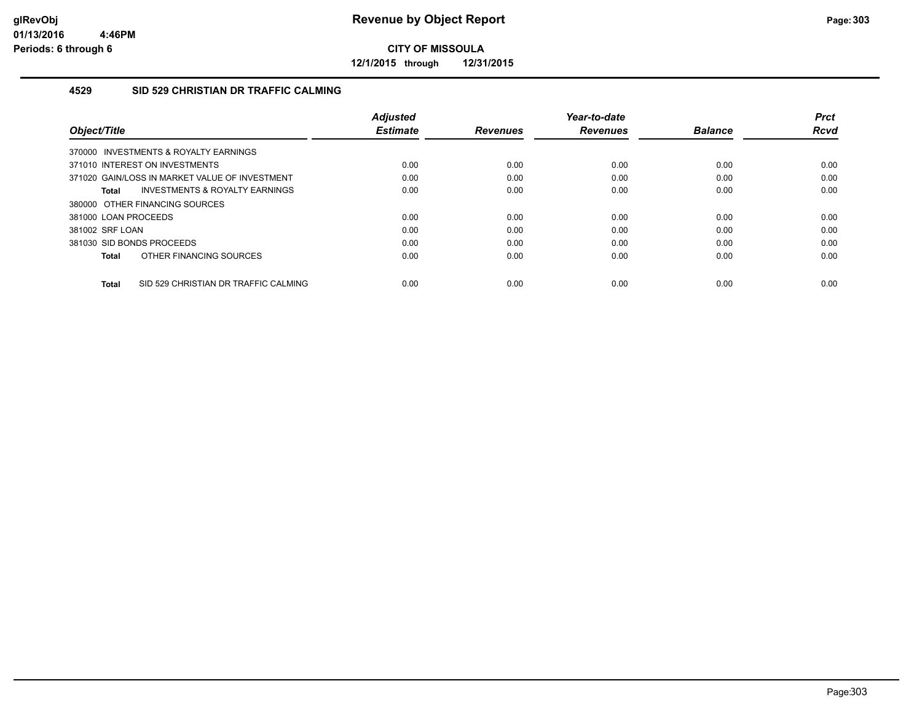**12/1/2015 through 12/31/2015**

### **4529 SID 529 CHRISTIAN DR TRAFFIC CALMING**

| Object/Title         |                                                | <b>Adjusted</b><br><b>Estimate</b> | <b>Revenues</b> | Year-to-date<br><b>Revenues</b> | <b>Balance</b> | <b>Prct</b><br>Rcvd |
|----------------------|------------------------------------------------|------------------------------------|-----------------|---------------------------------|----------------|---------------------|
|                      | 370000 INVESTMENTS & ROYALTY EARNINGS          |                                    |                 |                                 |                |                     |
|                      | 371010 INTEREST ON INVESTMENTS                 | 0.00                               | 0.00            | 0.00                            | 0.00           | 0.00                |
|                      | 371020 GAIN/LOSS IN MARKET VALUE OF INVESTMENT | 0.00                               | 0.00            | 0.00                            | 0.00           | 0.00                |
| Total                | INVESTMENTS & ROYALTY EARNINGS                 | 0.00                               | 0.00            | 0.00                            | 0.00           | 0.00                |
|                      | 380000 OTHER FINANCING SOURCES                 |                                    |                 |                                 |                |                     |
| 381000 LOAN PROCEEDS |                                                | 0.00                               | 0.00            | 0.00                            | 0.00           | 0.00                |
| 381002 SRF LOAN      |                                                | 0.00                               | 0.00            | 0.00                            | 0.00           | 0.00                |
|                      | 381030 SID BONDS PROCEEDS                      | 0.00                               | 0.00            | 0.00                            | 0.00           | 0.00                |
| <b>Total</b>         | OTHER FINANCING SOURCES                        | 0.00                               | 0.00            | 0.00                            | 0.00           | 0.00                |
| <b>Total</b>         | SID 529 CHRISTIAN DR TRAFFIC CALMING           | 0.00                               | 0.00            | 0.00                            | 0.00           | 0.00                |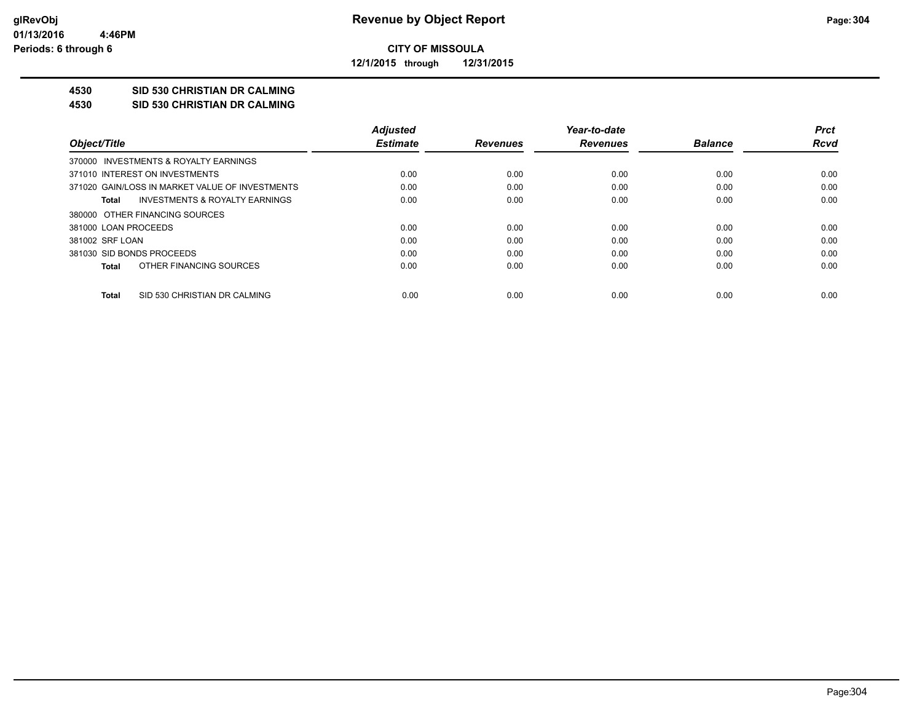**12/1/2015 through 12/31/2015**

# **4530 SID 530 CHRISTIAN DR CALMING**

**4530 SID 530 CHRISTIAN DR CALMING**

|                                                 | <b>Adjusted</b> |                 | Year-to-date    |                | <b>Prct</b> |
|-------------------------------------------------|-----------------|-----------------|-----------------|----------------|-------------|
| Object/Title                                    | <b>Estimate</b> | <b>Revenues</b> | <b>Revenues</b> | <b>Balance</b> | <b>Rcvd</b> |
| 370000 INVESTMENTS & ROYALTY EARNINGS           |                 |                 |                 |                |             |
| 371010 INTEREST ON INVESTMENTS                  | 0.00            | 0.00            | 0.00            | 0.00           | 0.00        |
| 371020 GAIN/LOSS IN MARKET VALUE OF INVESTMENTS | 0.00            | 0.00            | 0.00            | 0.00           | 0.00        |
| INVESTMENTS & ROYALTY EARNINGS<br>Total         | 0.00            | 0.00            | 0.00            | 0.00           | 0.00        |
| 380000 OTHER FINANCING SOURCES                  |                 |                 |                 |                |             |
| 381000 LOAN PROCEEDS                            | 0.00            | 0.00            | 0.00            | 0.00           | 0.00        |
| 381002 SRF LOAN                                 | 0.00            | 0.00            | 0.00            | 0.00           | 0.00        |
| 381030 SID BONDS PROCEEDS                       | 0.00            | 0.00            | 0.00            | 0.00           | 0.00        |
| OTHER FINANCING SOURCES<br>Total                | 0.00            | 0.00            | 0.00            | 0.00           | 0.00        |
|                                                 |                 |                 |                 |                |             |
| SID 530 CHRISTIAN DR CALMING<br>Total           | 0.00            | 0.00            | 0.00            | 0.00           | 0.00        |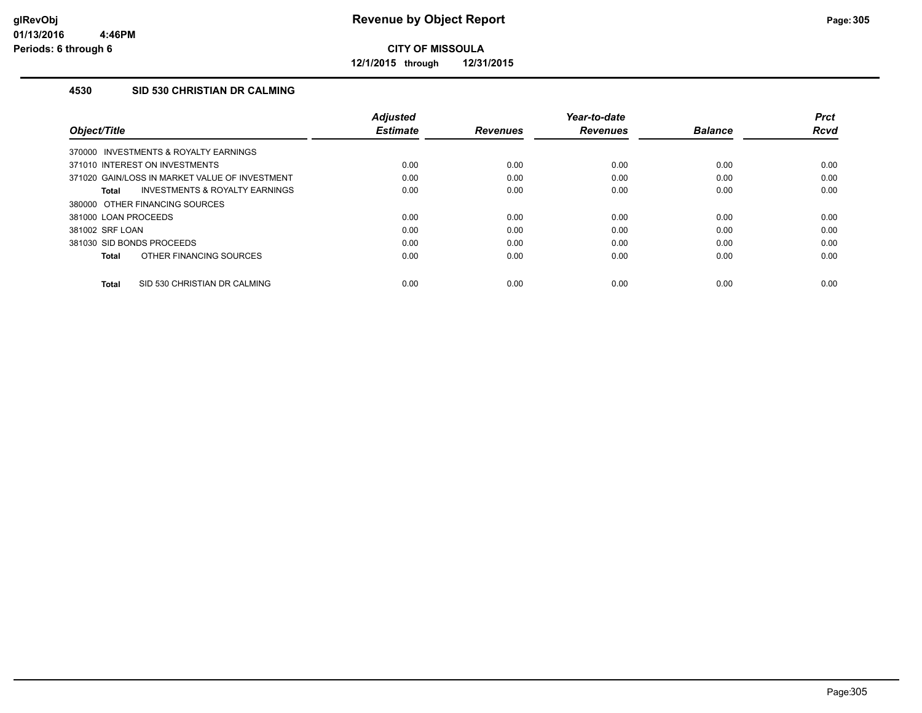**12/1/2015 through 12/31/2015**

## **4530 SID 530 CHRISTIAN DR CALMING**

| Object/Title                                       | <b>Adjusted</b><br><b>Estimate</b> | <b>Revenues</b> | Year-to-date<br><b>Revenues</b> | <b>Balance</b> | <b>Prct</b><br>Rcvd |
|----------------------------------------------------|------------------------------------|-----------------|---------------------------------|----------------|---------------------|
| 370000 INVESTMENTS & ROYALTY EARNINGS              |                                    |                 |                                 |                |                     |
| 371010 INTEREST ON INVESTMENTS                     | 0.00                               | 0.00            | 0.00                            | 0.00           | 0.00                |
| 371020 GAIN/LOSS IN MARKET VALUE OF INVESTMENT     | 0.00                               | 0.00            | 0.00                            | 0.00           | 0.00                |
| <b>INVESTMENTS &amp; ROYALTY EARNINGS</b><br>Total | 0.00                               | 0.00            | 0.00                            | 0.00           | 0.00                |
| 380000 OTHER FINANCING SOURCES                     |                                    |                 |                                 |                |                     |
| 381000 LOAN PROCEEDS                               | 0.00                               | 0.00            | 0.00                            | 0.00           | 0.00                |
| 381002 SRF LOAN                                    | 0.00                               | 0.00            | 0.00                            | 0.00           | 0.00                |
| 381030 SID BONDS PROCEEDS                          | 0.00                               | 0.00            | 0.00                            | 0.00           | 0.00                |
| OTHER FINANCING SOURCES<br><b>Total</b>            | 0.00                               | 0.00            | 0.00                            | 0.00           | 0.00                |
| SID 530 CHRISTIAN DR CALMING<br>Total              | 0.00                               | 0.00            | 0.00                            | 0.00           | 0.00                |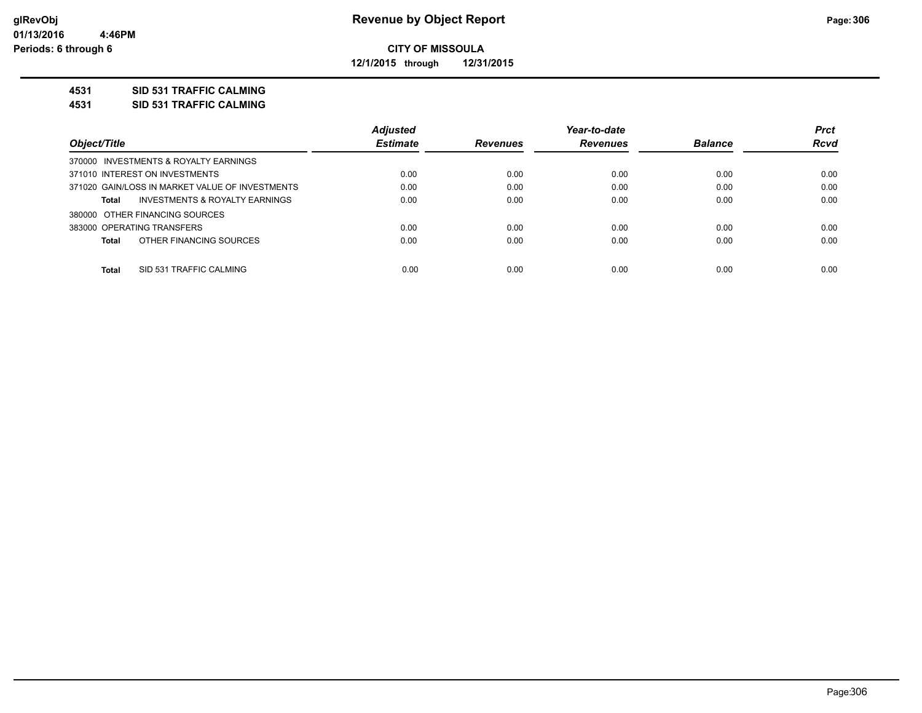**12/1/2015 through 12/31/2015**

## **4531 SID 531 TRAFFIC CALMING**

**4531 SID 531 TRAFFIC CALMING**

|                                                 | <b>Adjusted</b> |                 | Year-to-date    |                | <b>Prct</b> |
|-------------------------------------------------|-----------------|-----------------|-----------------|----------------|-------------|
| Object/Title                                    | <b>Estimate</b> | <b>Revenues</b> | <b>Revenues</b> | <b>Balance</b> | <b>Rcvd</b> |
| 370000 INVESTMENTS & ROYALTY EARNINGS           |                 |                 |                 |                |             |
| 371010 INTEREST ON INVESTMENTS                  | 0.00            | 0.00            | 0.00            | 0.00           | 0.00        |
| 371020 GAIN/LOSS IN MARKET VALUE OF INVESTMENTS | 0.00            | 0.00            | 0.00            | 0.00           | 0.00        |
| INVESTMENTS & ROYALTY EARNINGS<br>Total         | 0.00            | 0.00            | 0.00            | 0.00           | 0.00        |
| 380000 OTHER FINANCING SOURCES                  |                 |                 |                 |                |             |
| 383000 OPERATING TRANSFERS                      | 0.00            | 0.00            | 0.00            | 0.00           | 0.00        |
| OTHER FINANCING SOURCES<br>Total                | 0.00            | 0.00            | 0.00            | 0.00           | 0.00        |
|                                                 |                 |                 |                 |                |             |
| Total<br>SID 531 TRAFFIC CALMING                | 0.00            | 0.00            | 0.00            | 0.00           | 0.00        |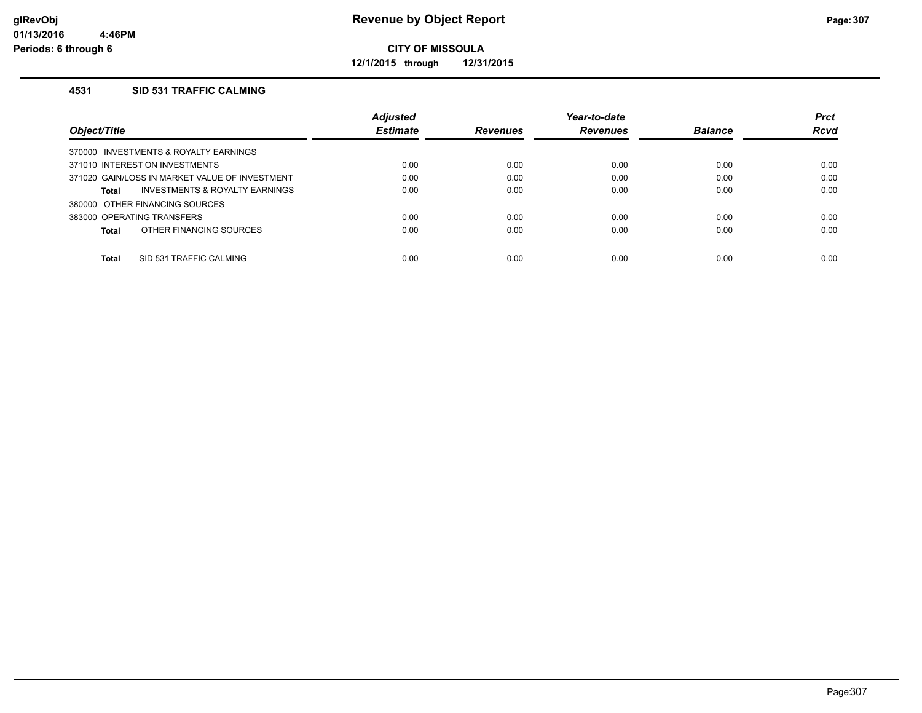**12/1/2015 through 12/31/2015**

### **4531 SID 531 TRAFFIC CALMING**

|                                                    | <b>Adjusted</b> |                 | Year-to-date    |                | <b>Prct</b> |
|----------------------------------------------------|-----------------|-----------------|-----------------|----------------|-------------|
| Object/Title                                       | <b>Estimate</b> | <b>Revenues</b> | <b>Revenues</b> | <b>Balance</b> | <b>Rcvd</b> |
| INVESTMENTS & ROYALTY EARNINGS<br>370000           |                 |                 |                 |                |             |
| 371010 INTEREST ON INVESTMENTS                     | 0.00            | 0.00            | 0.00            | 0.00           | 0.00        |
| 371020 GAIN/LOSS IN MARKET VALUE OF INVESTMENT     | 0.00            | 0.00            | 0.00            | 0.00           | 0.00        |
| <b>INVESTMENTS &amp; ROYALTY EARNINGS</b><br>Total | 0.00            | 0.00            | 0.00            | 0.00           | 0.00        |
| 380000 OTHER FINANCING SOURCES                     |                 |                 |                 |                |             |
| 383000 OPERATING TRANSFERS                         | 0.00            | 0.00            | 0.00            | 0.00           | 0.00        |
| OTHER FINANCING SOURCES<br>Total                   | 0.00            | 0.00            | 0.00            | 0.00           | 0.00        |
|                                                    |                 |                 |                 |                |             |
| Total<br>SID 531 TRAFFIC CALMING                   | 0.00            | 0.00            | 0.00            | 0.00           | 0.00        |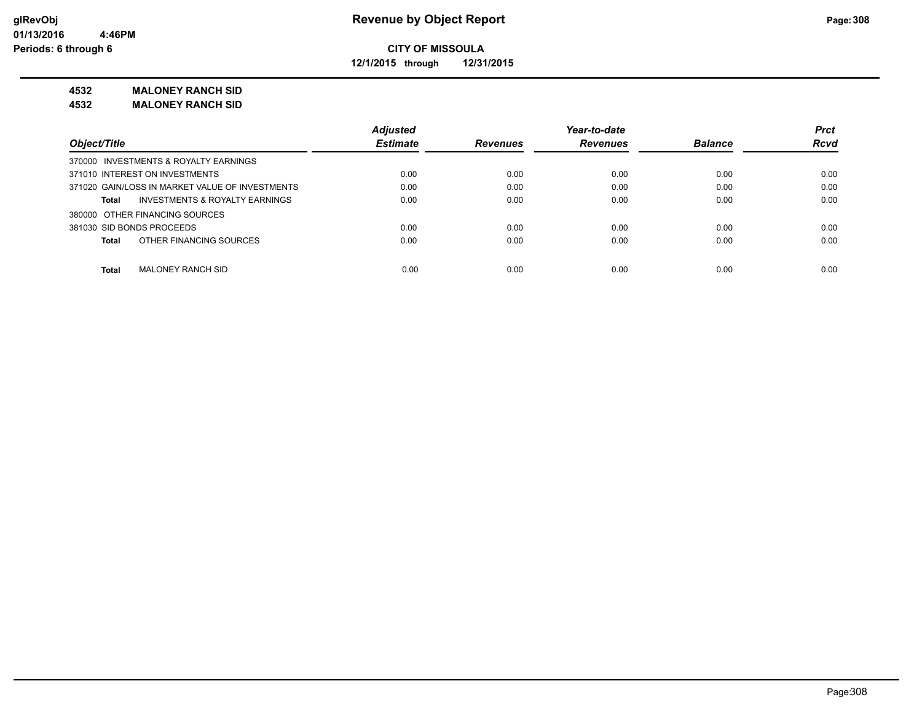**12/1/2015 through 12/31/2015**

### **4532 MALONEY RANCH SID**

**4532 MALONEY RANCH SID**

|                                                 | <b>Adjusted</b> |                 | Year-to-date    |                | <b>Prct</b> |
|-------------------------------------------------|-----------------|-----------------|-----------------|----------------|-------------|
| Object/Title                                    | <b>Estimate</b> | <b>Revenues</b> | <b>Revenues</b> | <b>Balance</b> | <b>Rcvd</b> |
| 370000 INVESTMENTS & ROYALTY EARNINGS           |                 |                 |                 |                |             |
| 371010 INTEREST ON INVESTMENTS                  | 0.00            | 0.00            | 0.00            | 0.00           | 0.00        |
| 371020 GAIN/LOSS IN MARKET VALUE OF INVESTMENTS | 0.00            | 0.00            | 0.00            | 0.00           | 0.00        |
| INVESTMENTS & ROYALTY EARNINGS<br>Total         | 0.00            | 0.00            | 0.00            | 0.00           | 0.00        |
| 380000 OTHER FINANCING SOURCES                  |                 |                 |                 |                |             |
| 381030 SID BONDS PROCEEDS                       | 0.00            | 0.00            | 0.00            | 0.00           | 0.00        |
| OTHER FINANCING SOURCES<br><b>Total</b>         | 0.00            | 0.00            | 0.00            | 0.00           | 0.00        |
| <b>Total</b><br><b>MALONEY RANCH SID</b>        | 0.00            | 0.00            | 0.00            | 0.00           | 0.00        |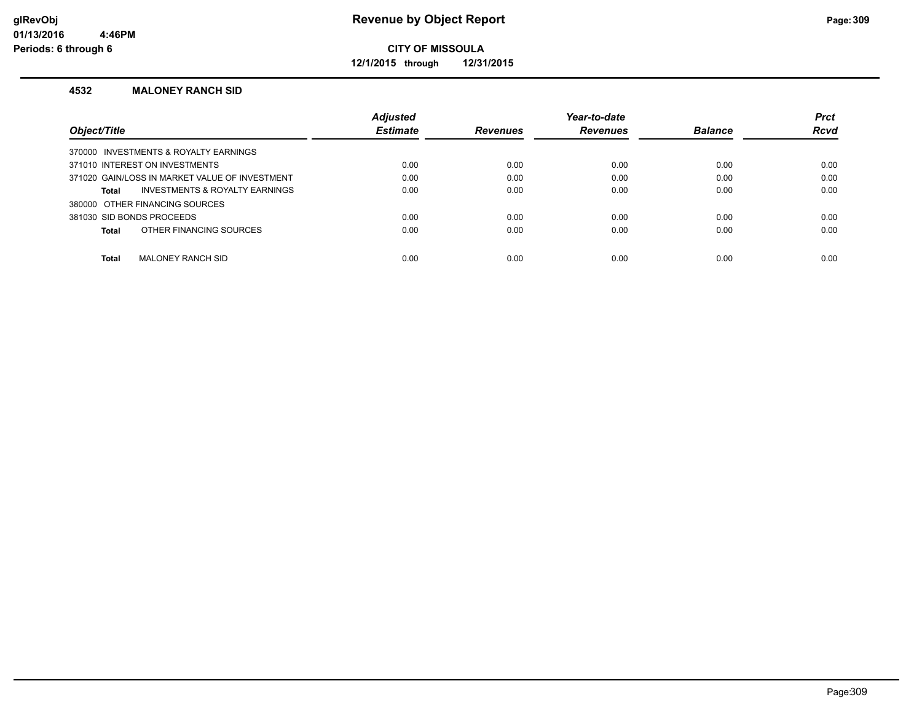**12/1/2015 through 12/31/2015**

#### **4532 MALONEY RANCH SID**

|                                                           | <b>Adiusted</b> |                 | Year-to-date    |                | <b>Prct</b> |
|-----------------------------------------------------------|-----------------|-----------------|-----------------|----------------|-------------|
| Object/Title                                              | <b>Estimate</b> | <b>Revenues</b> | <b>Revenues</b> | <b>Balance</b> | <b>Rcvd</b> |
| 370000 INVESTMENTS & ROYALTY EARNINGS                     |                 |                 |                 |                |             |
| 371010 INTEREST ON INVESTMENTS                            | 0.00            | 0.00            | 0.00            | 0.00           | 0.00        |
| 371020 GAIN/LOSS IN MARKET VALUE OF INVESTMENT            | 0.00            | 0.00            | 0.00            | 0.00           | 0.00        |
| <b>INVESTMENTS &amp; ROYALTY EARNINGS</b><br><b>Total</b> | 0.00            | 0.00            | 0.00            | 0.00           | 0.00        |
| 380000 OTHER FINANCING SOURCES                            |                 |                 |                 |                |             |
| 381030 SID BONDS PROCEEDS                                 | 0.00            | 0.00            | 0.00            | 0.00           | 0.00        |
| OTHER FINANCING SOURCES<br><b>Total</b>                   | 0.00            | 0.00            | 0.00            | 0.00           | 0.00        |
|                                                           |                 |                 |                 |                |             |
| <b>Total</b><br><b>MALONEY RANCH SID</b>                  | 0.00            | 0.00            | 0.00            | 0.00           | 0.00        |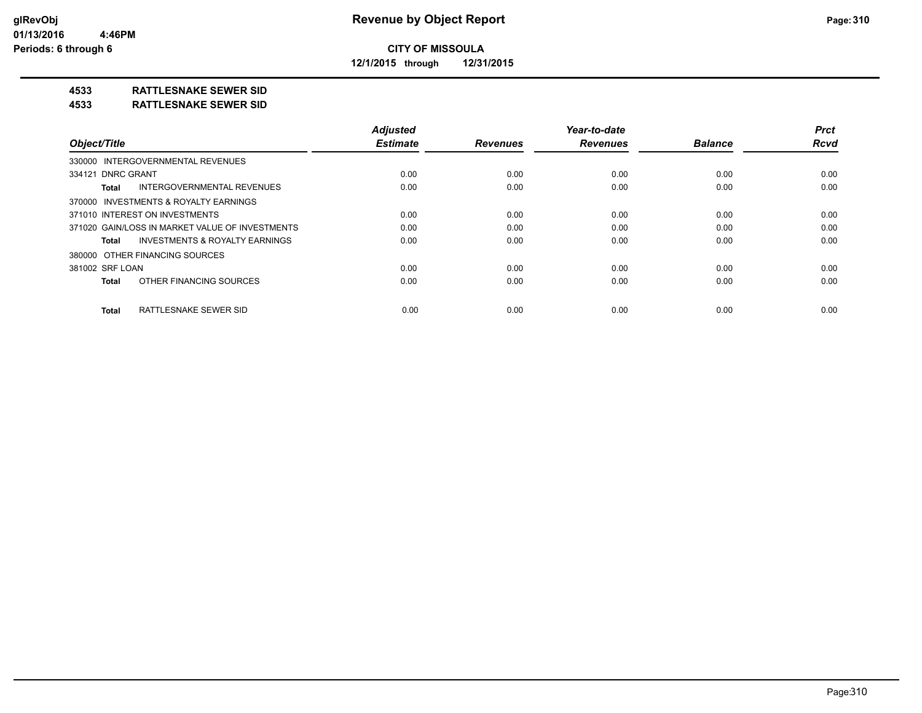**12/1/2015 through 12/31/2015**

# **4533 RATTLESNAKE SEWER SID**

#### **4533 RATTLESNAKE SEWER SID**

| Object/Title                                       | <b>Adjusted</b><br><b>Estimate</b> | <b>Revenues</b> | Year-to-date<br><b>Revenues</b> | <b>Balance</b> | <b>Prct</b><br><b>Rcvd</b> |
|----------------------------------------------------|------------------------------------|-----------------|---------------------------------|----------------|----------------------------|
|                                                    |                                    |                 |                                 |                |                            |
| 330000 INTERGOVERNMENTAL REVENUES                  |                                    |                 |                                 |                |                            |
| 334121 DNRC GRANT                                  | 0.00                               | 0.00            | 0.00                            | 0.00           | 0.00                       |
| INTERGOVERNMENTAL REVENUES<br>Total                | 0.00                               | 0.00            | 0.00                            | 0.00           | 0.00                       |
| 370000 INVESTMENTS & ROYALTY EARNINGS              |                                    |                 |                                 |                |                            |
| 371010 INTEREST ON INVESTMENTS                     | 0.00                               | 0.00            | 0.00                            | 0.00           | 0.00                       |
| 371020 GAIN/LOSS IN MARKET VALUE OF INVESTMENTS    | 0.00                               | 0.00            | 0.00                            | 0.00           | 0.00                       |
| <b>INVESTMENTS &amp; ROYALTY EARNINGS</b><br>Total | 0.00                               | 0.00            | 0.00                            | 0.00           | 0.00                       |
| 380000 OTHER FINANCING SOURCES                     |                                    |                 |                                 |                |                            |
| 381002 SRF LOAN                                    | 0.00                               | 0.00            | 0.00                            | 0.00           | 0.00                       |
| OTHER FINANCING SOURCES<br>Total                   | 0.00                               | 0.00            | 0.00                            | 0.00           | 0.00                       |
| RATTLESNAKE SEWER SID<br><b>Total</b>              | 0.00                               | 0.00            | 0.00                            | 0.00           | 0.00                       |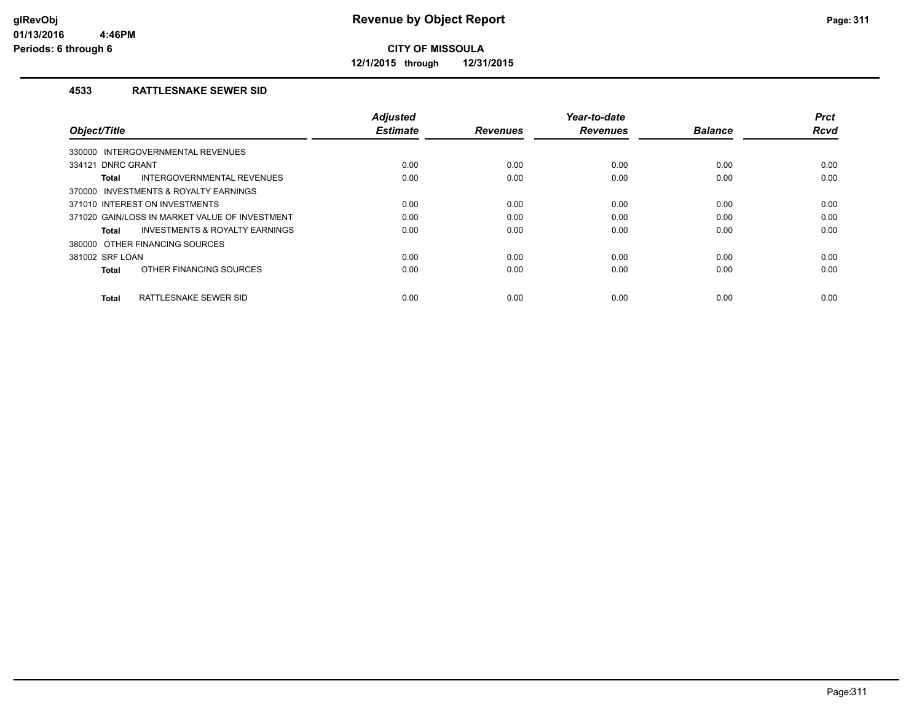**12/1/2015 through 12/31/2015**

### **4533 RATTLESNAKE SEWER SID**

| Object/Title                                              | <b>Adjusted</b><br><b>Estimate</b> | <b>Revenues</b> | Year-to-date<br><b>Revenues</b> | <b>Balance</b> | <b>Prct</b><br><b>Rcvd</b> |
|-----------------------------------------------------------|------------------------------------|-----------------|---------------------------------|----------------|----------------------------|
|                                                           |                                    |                 |                                 |                |                            |
| 330000 INTERGOVERNMENTAL REVENUES                         |                                    |                 |                                 |                |                            |
| 334121 DNRC GRANT                                         | 0.00                               | 0.00            | 0.00                            | 0.00           | 0.00                       |
| INTERGOVERNMENTAL REVENUES<br><b>Total</b>                | 0.00                               | 0.00            | 0.00                            | 0.00           | 0.00                       |
| 370000 INVESTMENTS & ROYALTY EARNINGS                     |                                    |                 |                                 |                |                            |
| 371010 INTEREST ON INVESTMENTS                            | 0.00                               | 0.00            | 0.00                            | 0.00           | 0.00                       |
| 371020 GAIN/LOSS IN MARKET VALUE OF INVESTMENT            | 0.00                               | 0.00            | 0.00                            | 0.00           | 0.00                       |
| <b>INVESTMENTS &amp; ROYALTY EARNINGS</b><br><b>Total</b> | 0.00                               | 0.00            | 0.00                            | 0.00           | 0.00                       |
| 380000 OTHER FINANCING SOURCES                            |                                    |                 |                                 |                |                            |
| 381002 SRF LOAN                                           | 0.00                               | 0.00            | 0.00                            | 0.00           | 0.00                       |
| OTHER FINANCING SOURCES<br><b>Total</b>                   | 0.00                               | 0.00            | 0.00                            | 0.00           | 0.00                       |
| RATTLESNAKE SEWER SID<br><b>Total</b>                     | 0.00                               | 0.00            | 0.00                            | 0.00           | 0.00                       |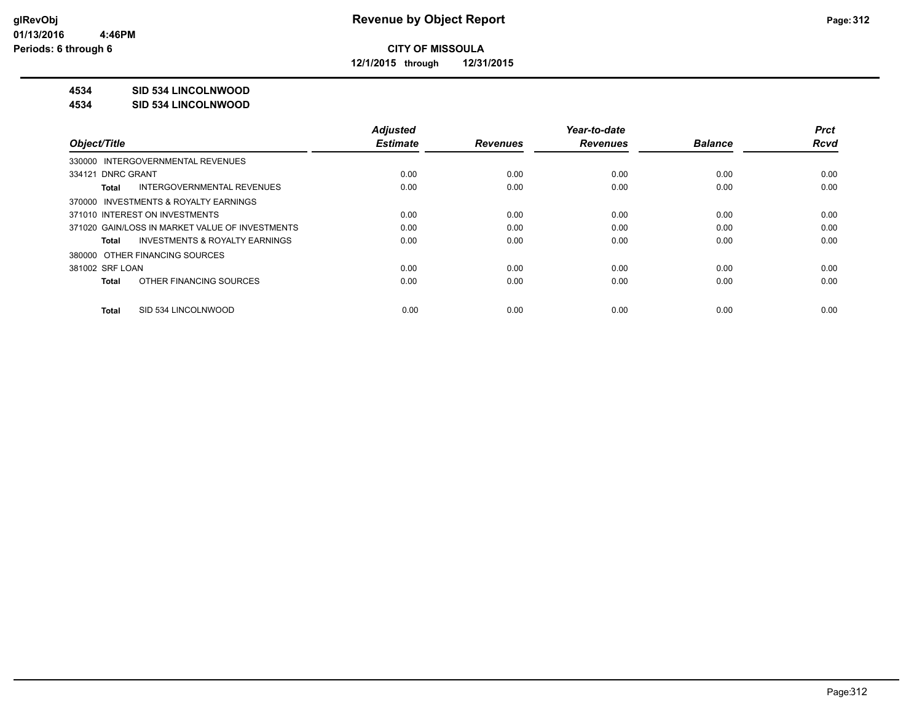**12/1/2015 through 12/31/2015**

# **4534 SID 534 LINCOLNWOOD**

#### **4534 SID 534 LINCOLNWOOD**

|                                                    | <b>Adjusted</b> |                 | Year-to-date    |                | <b>Prct</b> |
|----------------------------------------------------|-----------------|-----------------|-----------------|----------------|-------------|
| Object/Title                                       | <b>Estimate</b> | <b>Revenues</b> | <b>Revenues</b> | <b>Balance</b> | <b>Rcvd</b> |
| 330000 INTERGOVERNMENTAL REVENUES                  |                 |                 |                 |                |             |
| 334121 DNRC GRANT                                  | 0.00            | 0.00            | 0.00            | 0.00           | 0.00        |
| INTERGOVERNMENTAL REVENUES<br>Total                | 0.00            | 0.00            | 0.00            | 0.00           | 0.00        |
| 370000 INVESTMENTS & ROYALTY EARNINGS              |                 |                 |                 |                |             |
| 371010 INTEREST ON INVESTMENTS                     | 0.00            | 0.00            | 0.00            | 0.00           | 0.00        |
| 371020 GAIN/LOSS IN MARKET VALUE OF INVESTMENTS    | 0.00            | 0.00            | 0.00            | 0.00           | 0.00        |
| <b>INVESTMENTS &amp; ROYALTY EARNINGS</b><br>Total | 0.00            | 0.00            | 0.00            | 0.00           | 0.00        |
| 380000 OTHER FINANCING SOURCES                     |                 |                 |                 |                |             |
| 381002 SRF LOAN                                    | 0.00            | 0.00            | 0.00            | 0.00           | 0.00        |
| OTHER FINANCING SOURCES<br>Total                   | 0.00            | 0.00            | 0.00            | 0.00           | 0.00        |
|                                                    |                 |                 |                 |                |             |
| SID 534 LINCOLNWOOD<br>Total                       | 0.00            | 0.00            | 0.00            | 0.00           | 0.00        |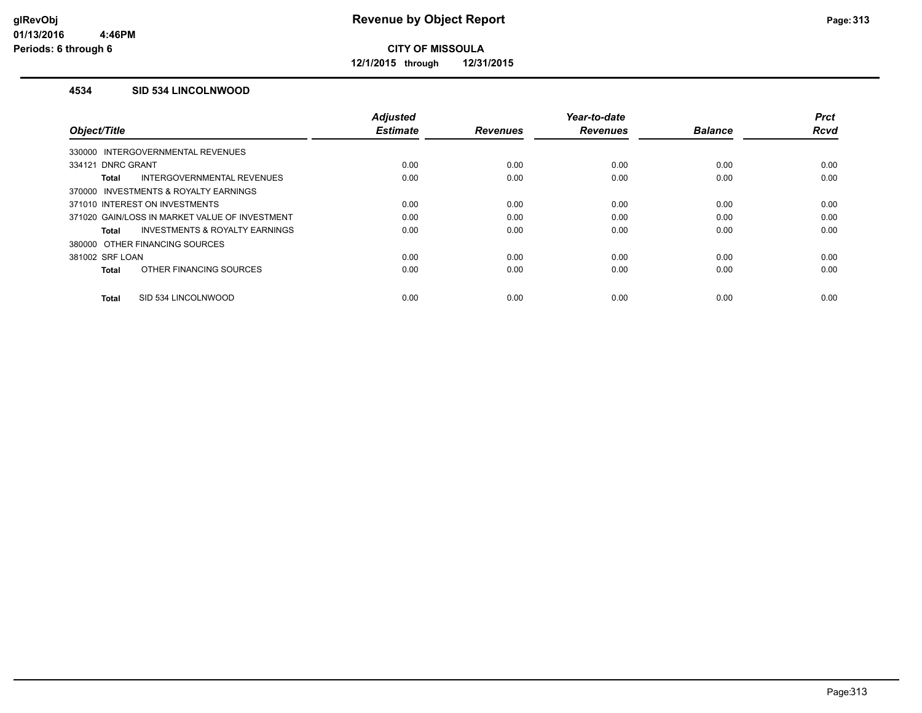**12/1/2015 through 12/31/2015**

### **4534 SID 534 LINCOLNWOOD**

|                                                    | <b>Adjusted</b> |                 | Year-to-date    |                | <b>Prct</b> |
|----------------------------------------------------|-----------------|-----------------|-----------------|----------------|-------------|
| Object/Title                                       | <b>Estimate</b> | <b>Revenues</b> | <b>Revenues</b> | <b>Balance</b> | <b>Rcvd</b> |
| 330000 INTERGOVERNMENTAL REVENUES                  |                 |                 |                 |                |             |
| 334121 DNRC GRANT                                  | 0.00            | 0.00            | 0.00            | 0.00           | 0.00        |
| INTERGOVERNMENTAL REVENUES<br>Total                | 0.00            | 0.00            | 0.00            | 0.00           | 0.00        |
| 370000 INVESTMENTS & ROYALTY EARNINGS              |                 |                 |                 |                |             |
| 371010 INTEREST ON INVESTMENTS                     | 0.00            | 0.00            | 0.00            | 0.00           | 0.00        |
| 371020 GAIN/LOSS IN MARKET VALUE OF INVESTMENT     | 0.00            | 0.00            | 0.00            | 0.00           | 0.00        |
| <b>INVESTMENTS &amp; ROYALTY EARNINGS</b><br>Total | 0.00            | 0.00            | 0.00            | 0.00           | 0.00        |
| 380000 OTHER FINANCING SOURCES                     |                 |                 |                 |                |             |
| 381002 SRF LOAN                                    | 0.00            | 0.00            | 0.00            | 0.00           | 0.00        |
| OTHER FINANCING SOURCES<br><b>Total</b>            | 0.00            | 0.00            | 0.00            | 0.00           | 0.00        |
|                                                    |                 |                 |                 |                |             |
| SID 534 LINCOLNWOOD<br><b>Total</b>                | 0.00            | 0.00            | 0.00            | 0.00           | 0.00        |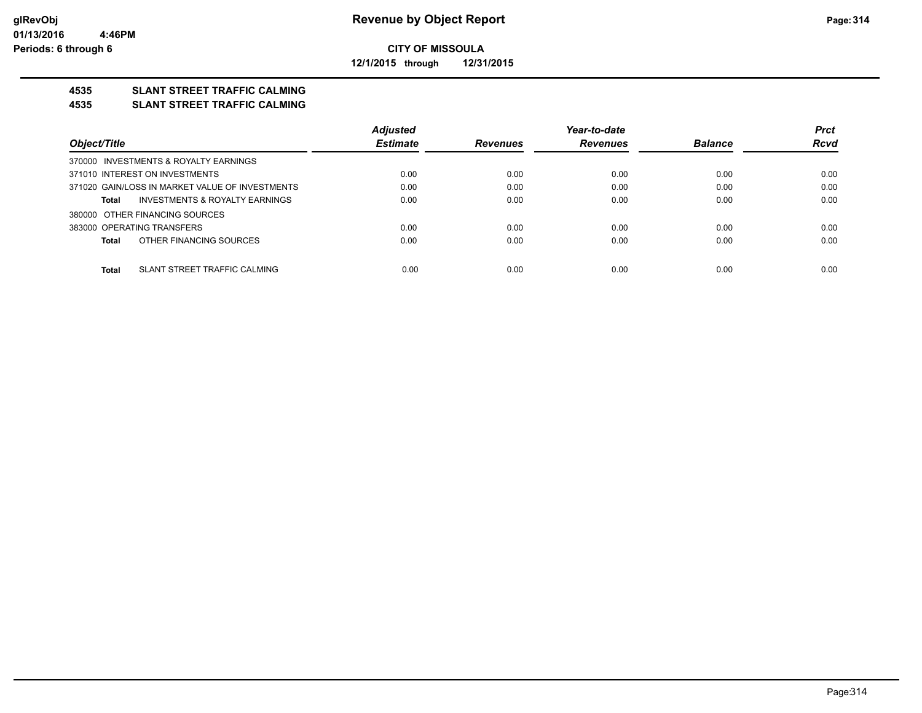**12/1/2015 through 12/31/2015**

# **4535 SLANT STREET TRAFFIC CALMING**

#### **4535 SLANT STREET TRAFFIC CALMING**

|                                                 | <b>Adjusted</b> |                 | Year-to-date    |                | <b>Prct</b> |
|-------------------------------------------------|-----------------|-----------------|-----------------|----------------|-------------|
| Object/Title                                    | <b>Estimate</b> | <b>Revenues</b> | <b>Revenues</b> | <b>Balance</b> | <b>Rcvd</b> |
| 370000 INVESTMENTS & ROYALTY EARNINGS           |                 |                 |                 |                |             |
| 371010 INTEREST ON INVESTMENTS                  | 0.00            | 0.00            | 0.00            | 0.00           | 0.00        |
| 371020 GAIN/LOSS IN MARKET VALUE OF INVESTMENTS | 0.00            | 0.00            | 0.00            | 0.00           | 0.00        |
| INVESTMENTS & ROYALTY EARNINGS<br>Total         | 0.00            | 0.00            | 0.00            | 0.00           | 0.00        |
| 380000 OTHER FINANCING SOURCES                  |                 |                 |                 |                |             |
| 383000 OPERATING TRANSFERS                      | 0.00            | 0.00            | 0.00            | 0.00           | 0.00        |
| OTHER FINANCING SOURCES<br>Total                | 0.00            | 0.00            | 0.00            | 0.00           | 0.00        |
|                                                 |                 |                 |                 |                |             |
| SLANT STREET TRAFFIC CALMING<br>Total           | 0.00            | 0.00            | 0.00            | 0.00           | 0.00        |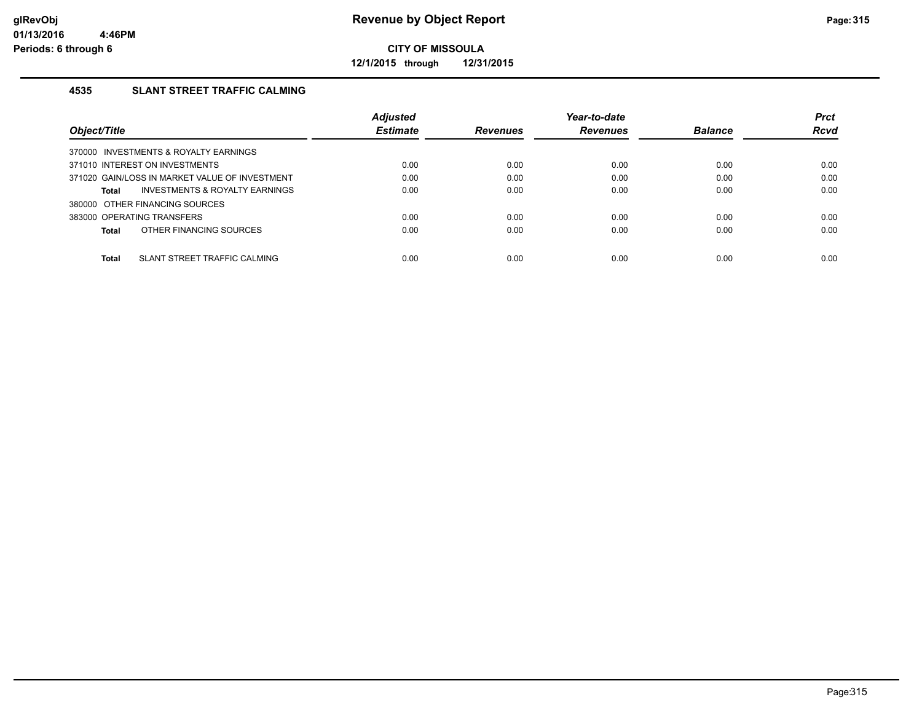**12/1/2015 through 12/31/2015**

# **4535 SLANT STREET TRAFFIC CALMING**

|                                                    | <b>Adjusted</b> |                 | Year-to-date    |                | <b>Prct</b> |
|----------------------------------------------------|-----------------|-----------------|-----------------|----------------|-------------|
| Object/Title                                       | <b>Estimate</b> | <b>Revenues</b> | <b>Revenues</b> | <b>Balance</b> | Rcvd        |
| 370000 INVESTMENTS & ROYALTY EARNINGS              |                 |                 |                 |                |             |
| 371010 INTEREST ON INVESTMENTS                     | 0.00            | 0.00            | 0.00            | 0.00           | 0.00        |
| 371020 GAIN/LOSS IN MARKET VALUE OF INVESTMENT     | 0.00            | 0.00            | 0.00            | 0.00           | 0.00        |
| <b>INVESTMENTS &amp; ROYALTY EARNINGS</b><br>Total | 0.00            | 0.00            | 0.00            | 0.00           | 0.00        |
| 380000 OTHER FINANCING SOURCES                     |                 |                 |                 |                |             |
| 383000 OPERATING TRANSFERS                         | 0.00            | 0.00            | 0.00            | 0.00           | 0.00        |
| OTHER FINANCING SOURCES<br>Total                   | 0.00            | 0.00            | 0.00            | 0.00           | 0.00        |
|                                                    |                 |                 |                 |                |             |
| Total<br>SLANT STREET TRAFFIC CALMING              | 0.00            | 0.00            | 0.00            | 0.00           | 0.00        |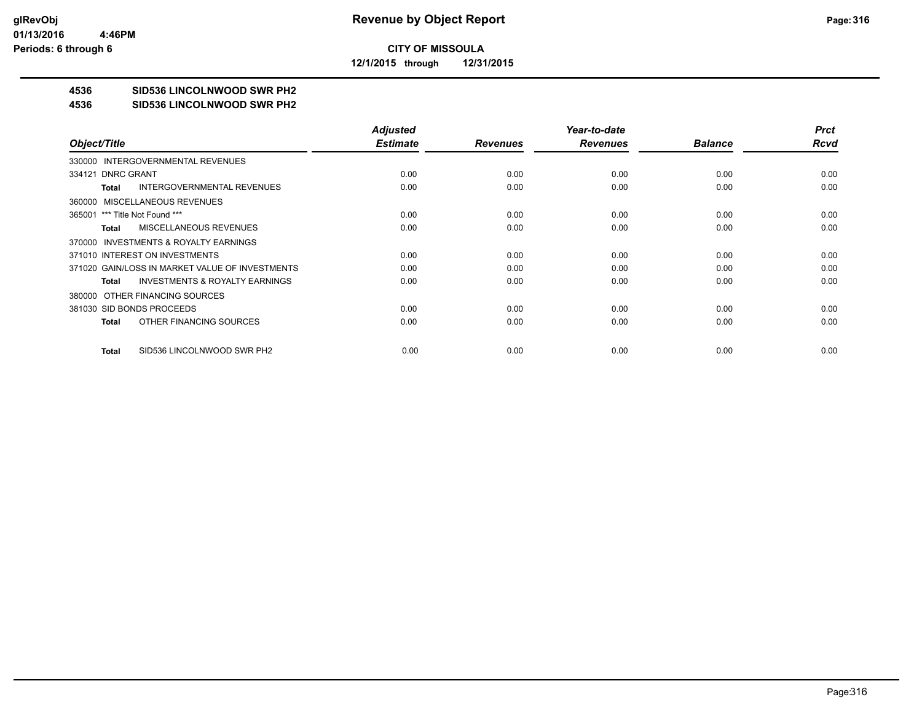**12/1/2015 through 12/31/2015**

# **4536 SID536 LINCOLNWOOD SWR PH2**

#### **4536 SID536 LINCOLNWOOD SWR PH2**

|                                                    | <b>Adjusted</b> |                 | Year-to-date    |                | <b>Prct</b> |
|----------------------------------------------------|-----------------|-----------------|-----------------|----------------|-------------|
| Object/Title                                       | <b>Estimate</b> | <b>Revenues</b> | <b>Revenues</b> | <b>Balance</b> | <b>Rcvd</b> |
| 330000 INTERGOVERNMENTAL REVENUES                  |                 |                 |                 |                |             |
| 334121 DNRC GRANT                                  | 0.00            | 0.00            | 0.00            | 0.00           | 0.00        |
| <b>INTERGOVERNMENTAL REVENUES</b><br>Total         | 0.00            | 0.00            | 0.00            | 0.00           | 0.00        |
| 360000 MISCELLANEOUS REVENUES                      |                 |                 |                 |                |             |
| 365001 *** Title Not Found ***                     | 0.00            | 0.00            | 0.00            | 0.00           | 0.00        |
| <b>MISCELLANEOUS REVENUES</b><br>Total             | 0.00            | 0.00            | 0.00            | 0.00           | 0.00        |
| 370000 INVESTMENTS & ROYALTY EARNINGS              |                 |                 |                 |                |             |
| 371010 INTEREST ON INVESTMENTS                     | 0.00            | 0.00            | 0.00            | 0.00           | 0.00        |
| 371020 GAIN/LOSS IN MARKET VALUE OF INVESTMENTS    | 0.00            | 0.00            | 0.00            | 0.00           | 0.00        |
| <b>INVESTMENTS &amp; ROYALTY EARNINGS</b><br>Total | 0.00            | 0.00            | 0.00            | 0.00           | 0.00        |
| 380000 OTHER FINANCING SOURCES                     |                 |                 |                 |                |             |
| 381030 SID BONDS PROCEEDS                          | 0.00            | 0.00            | 0.00            | 0.00           | 0.00        |
| OTHER FINANCING SOURCES<br>Total                   | 0.00            | 0.00            | 0.00            | 0.00           | 0.00        |
|                                                    |                 |                 |                 |                |             |
| SID536 LINCOLNWOOD SWR PH2<br>Total                | 0.00            | 0.00            | 0.00            | 0.00           | 0.00        |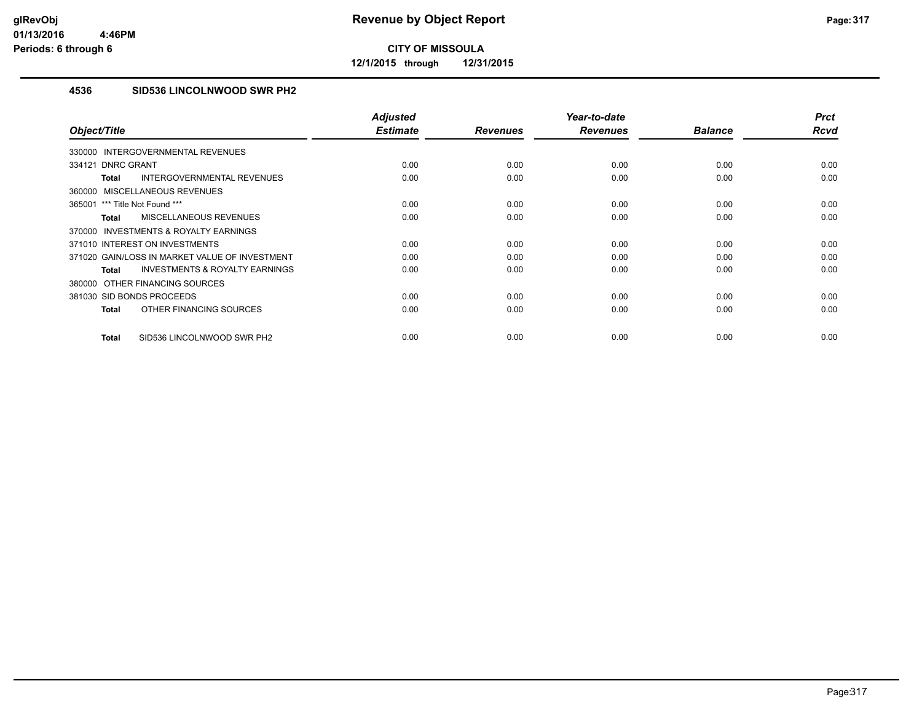**12/1/2015 through 12/31/2015**

# **4536 SID536 LINCOLNWOOD SWR PH2**

|                                                           | <b>Adjusted</b> |                 | Year-to-date    |                | <b>Prct</b> |
|-----------------------------------------------------------|-----------------|-----------------|-----------------|----------------|-------------|
| Object/Title                                              | <b>Estimate</b> | <b>Revenues</b> | <b>Revenues</b> | <b>Balance</b> | <b>Rcvd</b> |
| 330000 INTERGOVERNMENTAL REVENUES                         |                 |                 |                 |                |             |
| 334121 DNRC GRANT                                         | 0.00            | 0.00            | 0.00            | 0.00           | 0.00        |
| INTERGOVERNMENTAL REVENUES<br><b>Total</b>                | 0.00            | 0.00            | 0.00            | 0.00           | 0.00        |
| 360000 MISCELLANEOUS REVENUES                             |                 |                 |                 |                |             |
| 365001 *** Title Not Found ***                            | 0.00            | 0.00            | 0.00            | 0.00           | 0.00        |
| MISCELLANEOUS REVENUES<br><b>Total</b>                    | 0.00            | 0.00            | 0.00            | 0.00           | 0.00        |
| 370000 INVESTMENTS & ROYALTY EARNINGS                     |                 |                 |                 |                |             |
| 371010 INTEREST ON INVESTMENTS                            | 0.00            | 0.00            | 0.00            | 0.00           | 0.00        |
| 371020 GAIN/LOSS IN MARKET VALUE OF INVESTMENT            | 0.00            | 0.00            | 0.00            | 0.00           | 0.00        |
| <b>INVESTMENTS &amp; ROYALTY EARNINGS</b><br><b>Total</b> | 0.00            | 0.00            | 0.00            | 0.00           | 0.00        |
| 380000 OTHER FINANCING SOURCES                            |                 |                 |                 |                |             |
| 381030 SID BONDS PROCEEDS                                 | 0.00            | 0.00            | 0.00            | 0.00           | 0.00        |
| OTHER FINANCING SOURCES<br><b>Total</b>                   | 0.00            | 0.00            | 0.00            | 0.00           | 0.00        |
| SID536 LINCOLNWOOD SWR PH2<br><b>Total</b>                | 0.00            | 0.00            | 0.00            | 0.00           | 0.00        |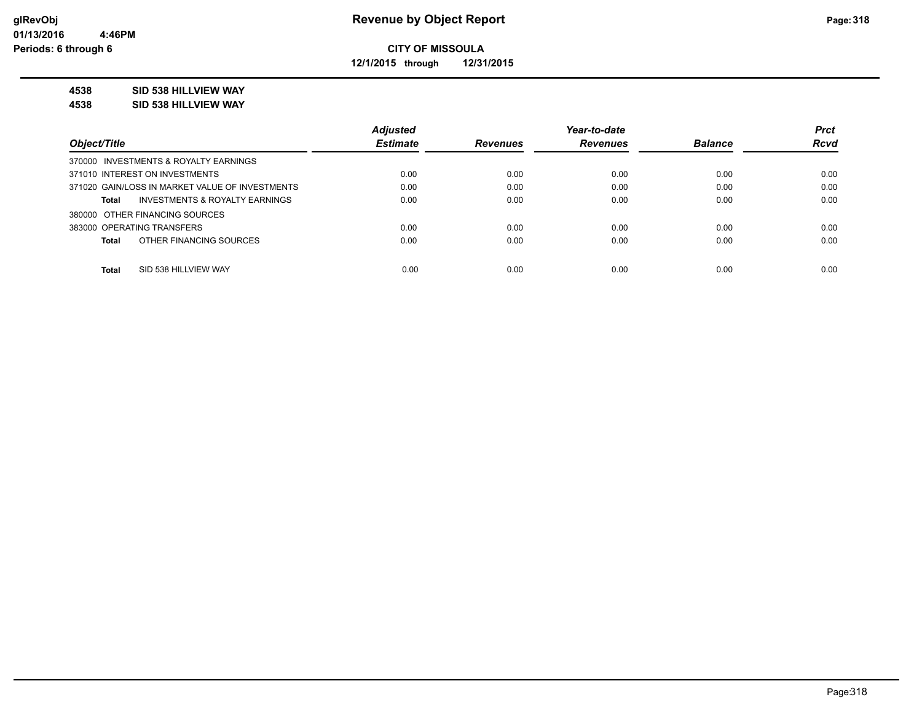**12/1/2015 through 12/31/2015**

## **4538 SID 538 HILLVIEW WAY**

**4538 SID 538 HILLVIEW WAY**

|                                                 | <b>Adjusted</b> |                 | Year-to-date    |                | <b>Prct</b> |
|-------------------------------------------------|-----------------|-----------------|-----------------|----------------|-------------|
| Object/Title                                    | <b>Estimate</b> | <b>Revenues</b> | <b>Revenues</b> | <b>Balance</b> | <b>Rcvd</b> |
| 370000 INVESTMENTS & ROYALTY EARNINGS           |                 |                 |                 |                |             |
| 371010 INTEREST ON INVESTMENTS                  | 0.00            | 0.00            | 0.00            | 0.00           | 0.00        |
| 371020 GAIN/LOSS IN MARKET VALUE OF INVESTMENTS | 0.00            | 0.00            | 0.00            | 0.00           | 0.00        |
| INVESTMENTS & ROYALTY EARNINGS<br>Total         | 0.00            | 0.00            | 0.00            | 0.00           | 0.00        |
| 380000 OTHER FINANCING SOURCES                  |                 |                 |                 |                |             |
| 383000 OPERATING TRANSFERS                      | 0.00            | 0.00            | 0.00            | 0.00           | 0.00        |
| OTHER FINANCING SOURCES<br><b>Total</b>         | 0.00            | 0.00            | 0.00            | 0.00           | 0.00        |
|                                                 |                 |                 |                 |                |             |
| <b>Total</b><br>SID 538 HILLVIEW WAY            | 0.00            | 0.00            | 0.00            | 0.00           | 0.00        |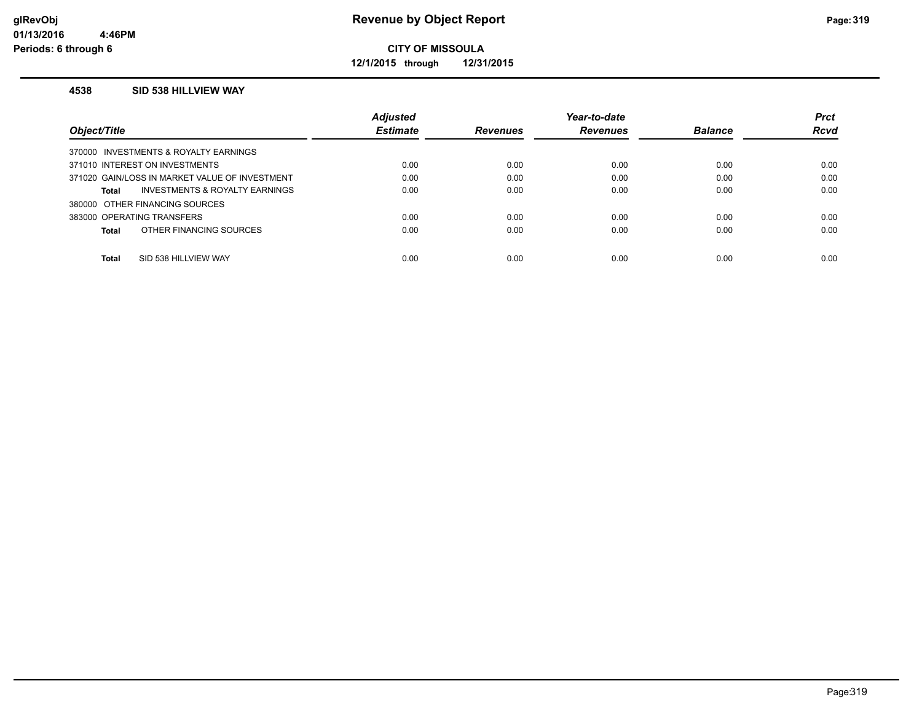**12/1/2015 through 12/31/2015**

### **4538 SID 538 HILLVIEW WAY**

|                                                | <b>Adjusted</b> |                 | Year-to-date    |                | <b>Prct</b> |
|------------------------------------------------|-----------------|-----------------|-----------------|----------------|-------------|
| Object/Title                                   | <b>Estimate</b> | <b>Revenues</b> | <b>Revenues</b> | <b>Balance</b> | <b>Rcvd</b> |
| 370000 INVESTMENTS & ROYALTY EARNINGS          |                 |                 |                 |                |             |
| 371010 INTEREST ON INVESTMENTS                 | 0.00            | 0.00            | 0.00            | 0.00           | 0.00        |
| 371020 GAIN/LOSS IN MARKET VALUE OF INVESTMENT | 0.00            | 0.00            | 0.00            | 0.00           | 0.00        |
| INVESTMENTS & ROYALTY EARNINGS<br>Total        | 0.00            | 0.00            | 0.00            | 0.00           | 0.00        |
| 380000 OTHER FINANCING SOURCES                 |                 |                 |                 |                |             |
| 383000 OPERATING TRANSFERS                     | 0.00            | 0.00            | 0.00            | 0.00           | 0.00        |
| OTHER FINANCING SOURCES<br>Total               | 0.00            | 0.00            | 0.00            | 0.00           | 0.00        |
|                                                |                 |                 |                 |                |             |
| Total<br>SID 538 HILLVIEW WAY                  | 0.00            | 0.00            | 0.00            | 0.00           | 0.00        |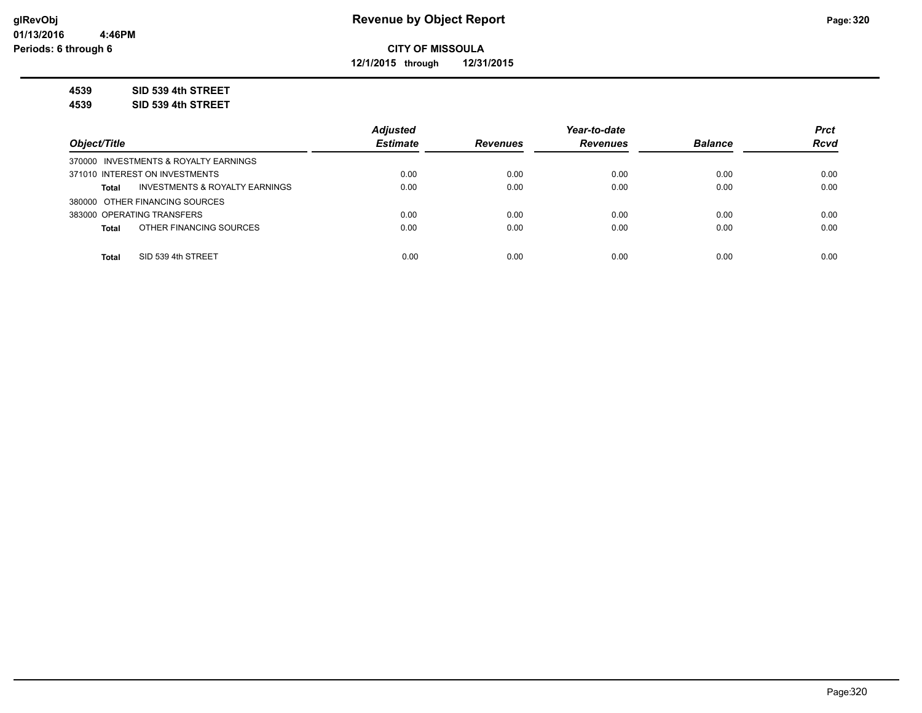**12/1/2015 through 12/31/2015**

**4539 SID 539 4th STREET**

**4539 SID 539 4th STREET**

|                                                           | <b>Adiusted</b> |                 | Year-to-date    |                | <b>Prct</b> |
|-----------------------------------------------------------|-----------------|-----------------|-----------------|----------------|-------------|
| Object/Title                                              | <b>Estimate</b> | <b>Revenues</b> | <b>Revenues</b> | <b>Balance</b> | <b>Rcvd</b> |
| 370000 INVESTMENTS & ROYALTY EARNINGS                     |                 |                 |                 |                |             |
| 371010 INTEREST ON INVESTMENTS                            | 0.00            | 0.00            | 0.00            | 0.00           | 0.00        |
| <b>INVESTMENTS &amp; ROYALTY EARNINGS</b><br><b>Total</b> | 0.00            | 0.00            | 0.00            | 0.00           | 0.00        |
| 380000 OTHER FINANCING SOURCES                            |                 |                 |                 |                |             |
| 383000 OPERATING TRANSFERS                                | 0.00            | 0.00            | 0.00            | 0.00           | 0.00        |
| OTHER FINANCING SOURCES<br><b>Total</b>                   | 0.00            | 0.00            | 0.00            | 0.00           | 0.00        |
|                                                           |                 |                 |                 |                |             |
| SID 539 4th STREET<br><b>Total</b>                        | 0.00            | 0.00            | 0.00            | 0.00           | 0.00        |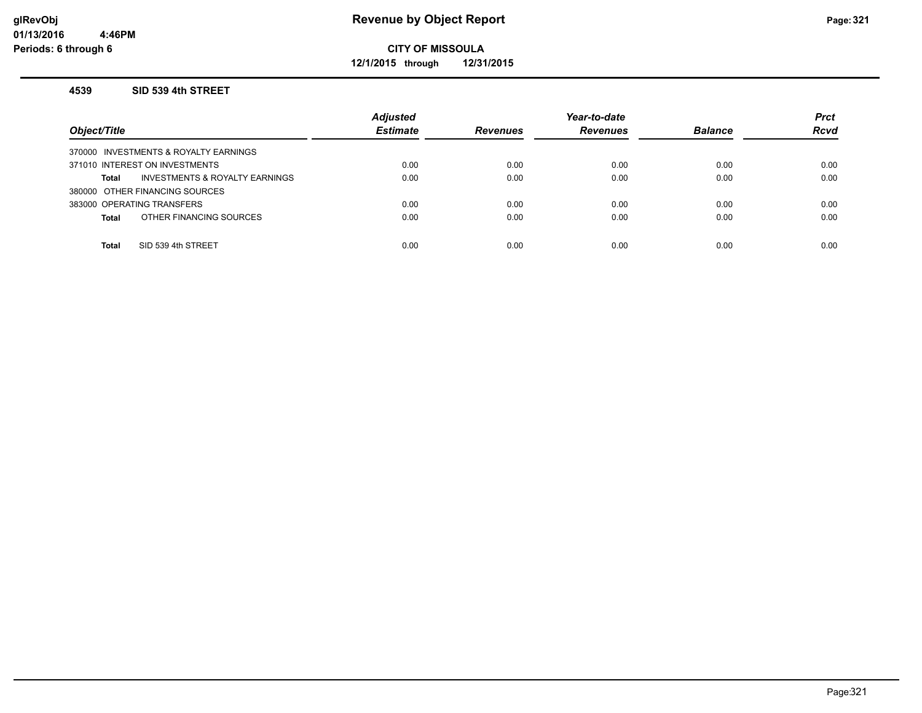**12/1/2015 through 12/31/2015**

#### **4539 SID 539 4th STREET**

| Object/Title                            | <b>Adjusted</b><br><b>Estimate</b> | <b>Revenues</b> | Year-to-date<br><b>Revenues</b> | <b>Balance</b> | <b>Prct</b><br><b>Rcvd</b> |
|-----------------------------------------|------------------------------------|-----------------|---------------------------------|----------------|----------------------------|
| 370000 INVESTMENTS & ROYALTY EARNINGS   |                                    |                 |                                 |                |                            |
| 371010 INTEREST ON INVESTMENTS          | 0.00                               | 0.00            | 0.00                            | 0.00           | 0.00                       |
| INVESTMENTS & ROYALTY EARNINGS<br>Total | 0.00                               | 0.00            | 0.00                            | 0.00           | 0.00                       |
| 380000 OTHER FINANCING SOURCES          |                                    |                 |                                 |                |                            |
| 383000 OPERATING TRANSFERS              | 0.00                               | 0.00            | 0.00                            | 0.00           | 0.00                       |
| OTHER FINANCING SOURCES<br><b>Total</b> | 0.00                               | 0.00            | 0.00                            | 0.00           | 0.00                       |
|                                         |                                    |                 |                                 |                |                            |
| SID 539 4th STREET<br><b>Total</b>      | 0.00                               | 0.00            | 0.00                            | 0.00           | 0.00                       |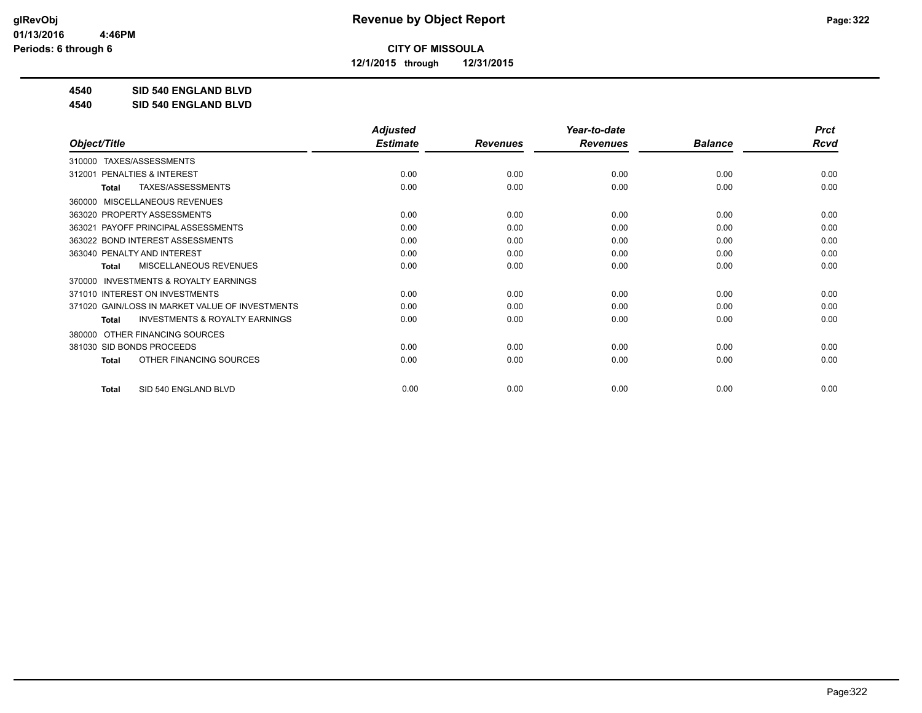**12/1/2015 through 12/31/2015**

**4540 SID 540 ENGLAND BLVD**

**4540 SID 540 ENGLAND BLVD**

|                                                     | <b>Adjusted</b> |                 | Year-to-date    |                | <b>Prct</b> |
|-----------------------------------------------------|-----------------|-----------------|-----------------|----------------|-------------|
| Object/Title                                        | <b>Estimate</b> | <b>Revenues</b> | <b>Revenues</b> | <b>Balance</b> | <b>Rcvd</b> |
| TAXES/ASSESSMENTS<br>310000                         |                 |                 |                 |                |             |
| PENALTIES & INTEREST<br>312001                      | 0.00            | 0.00            | 0.00            | 0.00           | 0.00        |
| <b>TAXES/ASSESSMENTS</b><br><b>Total</b>            | 0.00            | 0.00            | 0.00            | 0.00           | 0.00        |
| MISCELLANEOUS REVENUES<br>360000                    |                 |                 |                 |                |             |
| 363020 PROPERTY ASSESSMENTS                         | 0.00            | 0.00            | 0.00            | 0.00           | 0.00        |
| 363021 PAYOFF PRINCIPAL ASSESSMENTS                 | 0.00            | 0.00            | 0.00            | 0.00           | 0.00        |
| 363022 BOND INTEREST ASSESSMENTS                    | 0.00            | 0.00            | 0.00            | 0.00           | 0.00        |
| 363040 PENALTY AND INTEREST                         | 0.00            | 0.00            | 0.00            | 0.00           | 0.00        |
| <b>MISCELLANEOUS REVENUES</b><br><b>Total</b>       | 0.00            | 0.00            | 0.00            | 0.00           | 0.00        |
| <b>INVESTMENTS &amp; ROYALTY EARNINGS</b><br>370000 |                 |                 |                 |                |             |
| 371010 INTEREST ON INVESTMENTS                      | 0.00            | 0.00            | 0.00            | 0.00           | 0.00        |
| 371020 GAIN/LOSS IN MARKET VALUE OF INVESTMENTS     | 0.00            | 0.00            | 0.00            | 0.00           | 0.00        |
| <b>INVESTMENTS &amp; ROYALTY EARNINGS</b><br>Total  | 0.00            | 0.00            | 0.00            | 0.00           | 0.00        |
| OTHER FINANCING SOURCES<br>380000                   |                 |                 |                 |                |             |
| 381030 SID BONDS PROCEEDS                           | 0.00            | 0.00            | 0.00            | 0.00           | 0.00        |
| OTHER FINANCING SOURCES<br><b>Total</b>             | 0.00            | 0.00            | 0.00            | 0.00           | 0.00        |
| SID 540 ENGLAND BLVD<br><b>Total</b>                | 0.00            | 0.00            | 0.00            | 0.00           | 0.00        |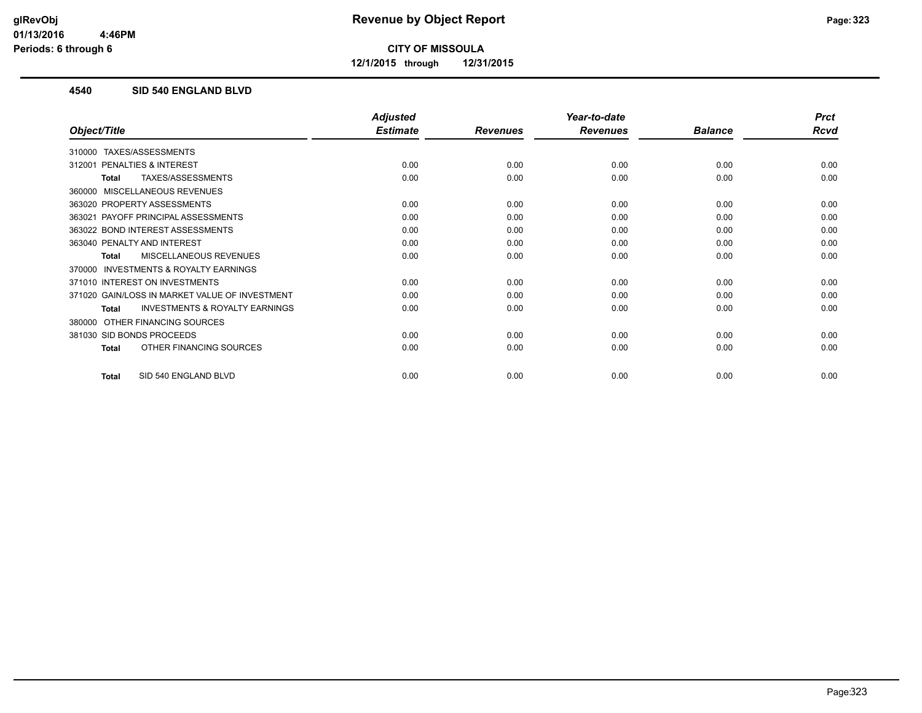**12/1/2015 through 12/31/2015**

## **4540 SID 540 ENGLAND BLVD**

|                                                           | <b>Adjusted</b> |                 | Year-to-date    |                | <b>Prct</b> |
|-----------------------------------------------------------|-----------------|-----------------|-----------------|----------------|-------------|
| Object/Title                                              | <b>Estimate</b> | <b>Revenues</b> | <b>Revenues</b> | <b>Balance</b> | <b>Rcvd</b> |
| TAXES/ASSESSMENTS<br>310000                               |                 |                 |                 |                |             |
| <b>PENALTIES &amp; INTEREST</b><br>312001                 | 0.00            | 0.00            | 0.00            | 0.00           | 0.00        |
| TAXES/ASSESSMENTS<br>Total                                | 0.00            | 0.00            | 0.00            | 0.00           | 0.00        |
| MISCELLANEOUS REVENUES<br>360000                          |                 |                 |                 |                |             |
| 363020 PROPERTY ASSESSMENTS                               | 0.00            | 0.00            | 0.00            | 0.00           | 0.00        |
| PAYOFF PRINCIPAL ASSESSMENTS<br>363021                    | 0.00            | 0.00            | 0.00            | 0.00           | 0.00        |
| 363022 BOND INTEREST ASSESSMENTS                          | 0.00            | 0.00            | 0.00            | 0.00           | 0.00        |
| 363040 PENALTY AND INTEREST                               | 0.00            | 0.00            | 0.00            | 0.00           | 0.00        |
| <b>MISCELLANEOUS REVENUES</b><br>Total                    | 0.00            | 0.00            | 0.00            | 0.00           | 0.00        |
| INVESTMENTS & ROYALTY EARNINGS<br>370000                  |                 |                 |                 |                |             |
| 371010 INTEREST ON INVESTMENTS                            | 0.00            | 0.00            | 0.00            | 0.00           | 0.00        |
| 371020 GAIN/LOSS IN MARKET VALUE OF INVESTMENT            | 0.00            | 0.00            | 0.00            | 0.00           | 0.00        |
| <b>INVESTMENTS &amp; ROYALTY EARNINGS</b><br><b>Total</b> | 0.00            | 0.00            | 0.00            | 0.00           | 0.00        |
| OTHER FINANCING SOURCES<br>380000                         |                 |                 |                 |                |             |
| 381030 SID BONDS PROCEEDS                                 | 0.00            | 0.00            | 0.00            | 0.00           | 0.00        |
| OTHER FINANCING SOURCES<br>Total                          | 0.00            | 0.00            | 0.00            | 0.00           | 0.00        |
| SID 540 ENGLAND BLVD<br><b>Total</b>                      | 0.00            | 0.00            | 0.00            | 0.00           | 0.00        |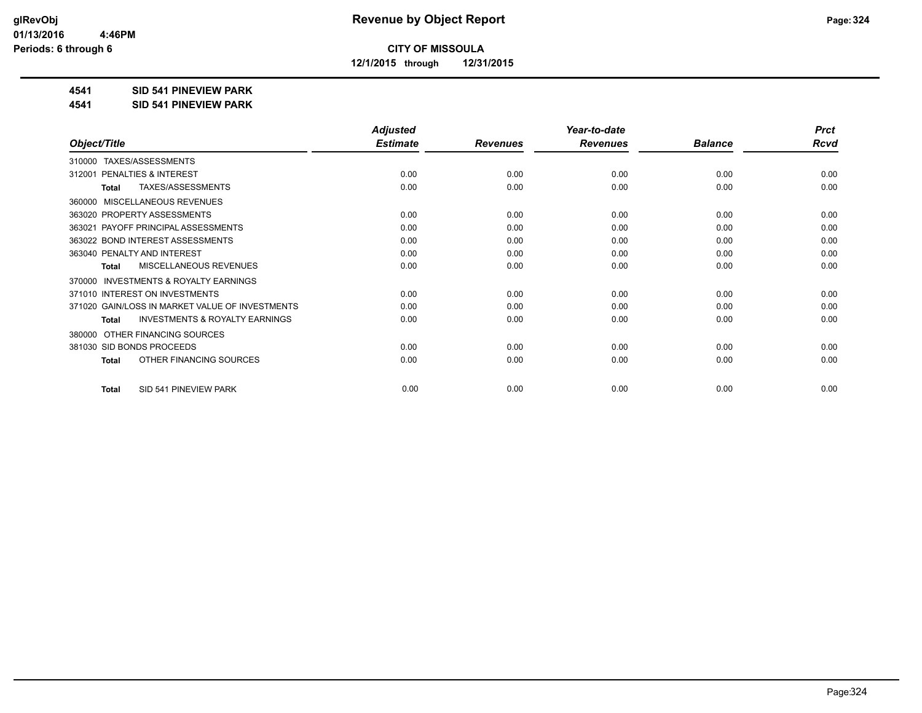**12/1/2015 through 12/31/2015**

### **4541 SID 541 PINEVIEW PARK**

**4541 SID 541 PINEVIEW PARK**

|                                                           | <b>Adjusted</b> |                 | Year-to-date    |                | <b>Prct</b> |
|-----------------------------------------------------------|-----------------|-----------------|-----------------|----------------|-------------|
| Object/Title                                              | <b>Estimate</b> | <b>Revenues</b> | <b>Revenues</b> | <b>Balance</b> | Rcvd        |
| TAXES/ASSESSMENTS<br>310000                               |                 |                 |                 |                |             |
| <b>PENALTIES &amp; INTEREST</b><br>312001                 | 0.00            | 0.00            | 0.00            | 0.00           | 0.00        |
| TAXES/ASSESSMENTS<br><b>Total</b>                         | 0.00            | 0.00            | 0.00            | 0.00           | 0.00        |
| MISCELLANEOUS REVENUES<br>360000                          |                 |                 |                 |                |             |
| 363020 PROPERTY ASSESSMENTS                               | 0.00            | 0.00            | 0.00            | 0.00           | 0.00        |
| 363021 PAYOFF PRINCIPAL ASSESSMENTS                       | 0.00            | 0.00            | 0.00            | 0.00           | 0.00        |
| 363022 BOND INTEREST ASSESSMENTS                          | 0.00            | 0.00            | 0.00            | 0.00           | 0.00        |
| 363040 PENALTY AND INTEREST                               | 0.00            | 0.00            | 0.00            | 0.00           | 0.00        |
| <b>MISCELLANEOUS REVENUES</b><br><b>Total</b>             | 0.00            | 0.00            | 0.00            | 0.00           | 0.00        |
| <b>INVESTMENTS &amp; ROYALTY EARNINGS</b><br>370000       |                 |                 |                 |                |             |
| 371010 INTEREST ON INVESTMENTS                            | 0.00            | 0.00            | 0.00            | 0.00           | 0.00        |
| 371020 GAIN/LOSS IN MARKET VALUE OF INVESTMENTS           | 0.00            | 0.00            | 0.00            | 0.00           | 0.00        |
| <b>INVESTMENTS &amp; ROYALTY EARNINGS</b><br><b>Total</b> | 0.00            | 0.00            | 0.00            | 0.00           | 0.00        |
| OTHER FINANCING SOURCES<br>380000                         |                 |                 |                 |                |             |
| 381030 SID BONDS PROCEEDS                                 | 0.00            | 0.00            | 0.00            | 0.00           | 0.00        |
| OTHER FINANCING SOURCES<br><b>Total</b>                   | 0.00            | 0.00            | 0.00            | 0.00           | 0.00        |
|                                                           |                 |                 |                 |                |             |
| SID 541 PINEVIEW PARK<br><b>Total</b>                     | 0.00            | 0.00            | 0.00            | 0.00           | 0.00        |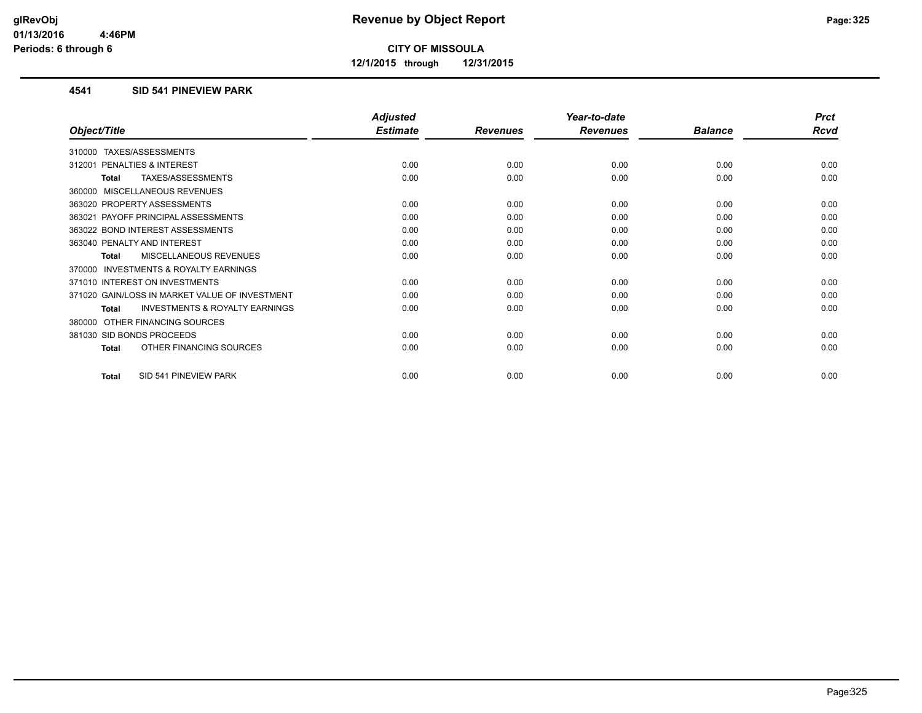**12/1/2015 through 12/31/2015**

## **4541 SID 541 PINEVIEW PARK**

|                                                           | <b>Adjusted</b> |                 | Year-to-date    |                | <b>Prct</b> |
|-----------------------------------------------------------|-----------------|-----------------|-----------------|----------------|-------------|
| Object/Title                                              | <b>Estimate</b> | <b>Revenues</b> | <b>Revenues</b> | <b>Balance</b> | <b>Rcvd</b> |
| <b>TAXES/ASSESSMENTS</b><br>310000                        |                 |                 |                 |                |             |
| 312001 PENALTIES & INTEREST                               | 0.00            | 0.00            | 0.00            | 0.00           | 0.00        |
| TAXES/ASSESSMENTS<br><b>Total</b>                         | 0.00            | 0.00            | 0.00            | 0.00           | 0.00        |
| 360000 MISCELLANEOUS REVENUES                             |                 |                 |                 |                |             |
| 363020 PROPERTY ASSESSMENTS                               | 0.00            | 0.00            | 0.00            | 0.00           | 0.00        |
| 363021 PAYOFF PRINCIPAL ASSESSMENTS                       | 0.00            | 0.00            | 0.00            | 0.00           | 0.00        |
| 363022 BOND INTEREST ASSESSMENTS                          | 0.00            | 0.00            | 0.00            | 0.00           | 0.00        |
| 363040 PENALTY AND INTEREST                               | 0.00            | 0.00            | 0.00            | 0.00           | 0.00        |
| <b>MISCELLANEOUS REVENUES</b><br><b>Total</b>             | 0.00            | 0.00            | 0.00            | 0.00           | 0.00        |
| 370000 INVESTMENTS & ROYALTY EARNINGS                     |                 |                 |                 |                |             |
| 371010 INTEREST ON INVESTMENTS                            | 0.00            | 0.00            | 0.00            | 0.00           | 0.00        |
| 371020 GAIN/LOSS IN MARKET VALUE OF INVESTMENT            | 0.00            | 0.00            | 0.00            | 0.00           | 0.00        |
| <b>INVESTMENTS &amp; ROYALTY EARNINGS</b><br><b>Total</b> | 0.00            | 0.00            | 0.00            | 0.00           | 0.00        |
| OTHER FINANCING SOURCES<br>380000                         |                 |                 |                 |                |             |
| 381030 SID BONDS PROCEEDS                                 | 0.00            | 0.00            | 0.00            | 0.00           | 0.00        |
| OTHER FINANCING SOURCES<br>Total                          | 0.00            | 0.00            | 0.00            | 0.00           | 0.00        |
| SID 541 PINEVIEW PARK<br><b>Total</b>                     | 0.00            | 0.00            | 0.00            | 0.00           | 0.00        |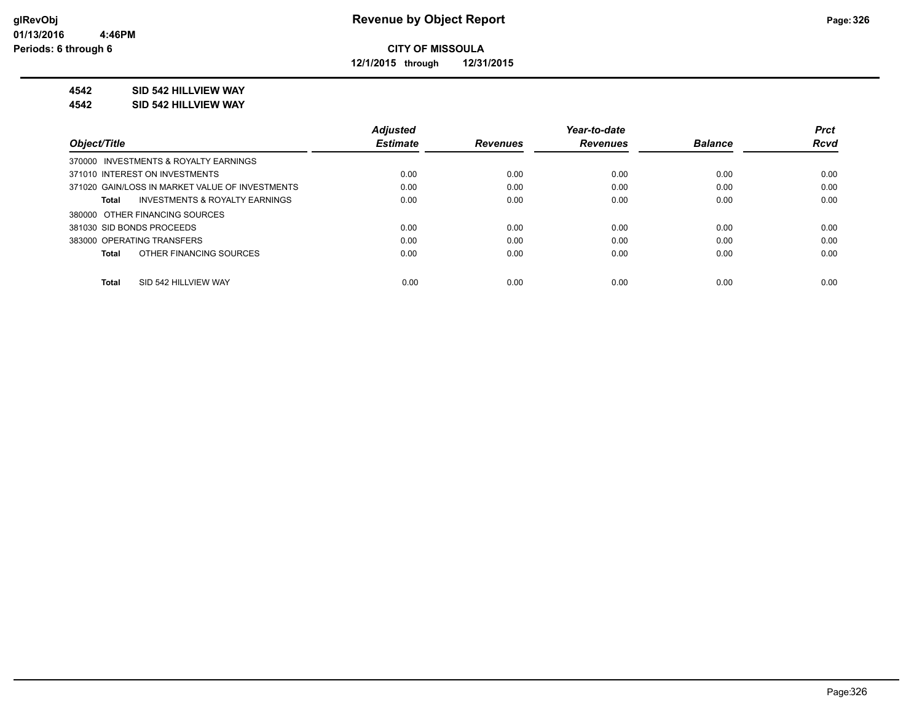**12/1/2015 through 12/31/2015**

# **4542 SID 542 HILLVIEW WAY**

**4542 SID 542 HILLVIEW WAY**

|                                                    | <b>Adjusted</b> |                 | Year-to-date    |                | <b>Prct</b> |
|----------------------------------------------------|-----------------|-----------------|-----------------|----------------|-------------|
| Object/Title                                       | <b>Estimate</b> | <b>Revenues</b> | <b>Revenues</b> | <b>Balance</b> | <b>Rcvd</b> |
| 370000 INVESTMENTS & ROYALTY EARNINGS              |                 |                 |                 |                |             |
| 371010 INTEREST ON INVESTMENTS                     | 0.00            | 0.00            | 0.00            | 0.00           | 0.00        |
| 371020 GAIN/LOSS IN MARKET VALUE OF INVESTMENTS    | 0.00            | 0.00            | 0.00            | 0.00           | 0.00        |
| <b>INVESTMENTS &amp; ROYALTY EARNINGS</b><br>Total | 0.00            | 0.00            | 0.00            | 0.00           | 0.00        |
| 380000 OTHER FINANCING SOURCES                     |                 |                 |                 |                |             |
| 381030 SID BONDS PROCEEDS                          | 0.00            | 0.00            | 0.00            | 0.00           | 0.00        |
| 383000 OPERATING TRANSFERS                         | 0.00            | 0.00            | 0.00            | 0.00           | 0.00        |
| OTHER FINANCING SOURCES<br>Total                   | 0.00            | 0.00            | 0.00            | 0.00           | 0.00        |
|                                                    |                 |                 |                 |                |             |
| SID 542 HILLVIEW WAY<br>Total                      | 0.00            | 0.00            | 0.00            | 0.00           | 0.00        |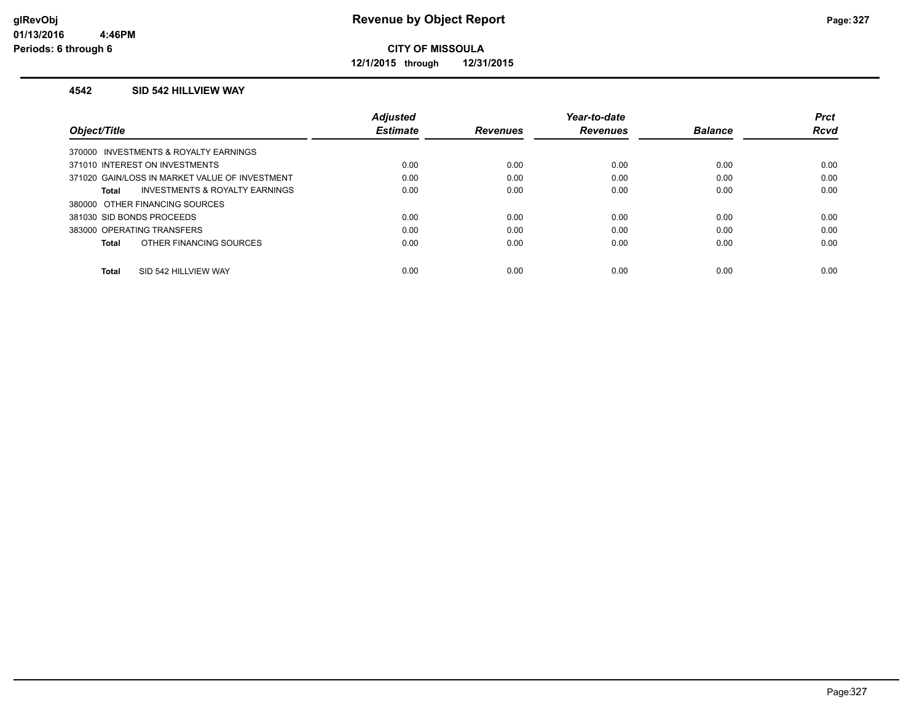**12/1/2015 through 12/31/2015**

#### **4542 SID 542 HILLVIEW WAY**

|                                                | <b>Adjusted</b> |                 | Year-to-date    |                | <b>Prct</b> |
|------------------------------------------------|-----------------|-----------------|-----------------|----------------|-------------|
| Object/Title                                   | <b>Estimate</b> | <b>Revenues</b> | <b>Revenues</b> | <b>Balance</b> | Rcvd        |
| 370000 INVESTMENTS & ROYALTY EARNINGS          |                 |                 |                 |                |             |
| 371010 INTEREST ON INVESTMENTS                 | 0.00            | 0.00            | 0.00            | 0.00           | 0.00        |
| 371020 GAIN/LOSS IN MARKET VALUE OF INVESTMENT | 0.00            | 0.00            | 0.00            | 0.00           | 0.00        |
| INVESTMENTS & ROYALTY EARNINGS<br><b>Total</b> | 0.00            | 0.00            | 0.00            | 0.00           | 0.00        |
| 380000 OTHER FINANCING SOURCES                 |                 |                 |                 |                |             |
| 381030 SID BONDS PROCEEDS                      | 0.00            | 0.00            | 0.00            | 0.00           | 0.00        |
| 383000 OPERATING TRANSFERS                     | 0.00            | 0.00            | 0.00            | 0.00           | 0.00        |
| OTHER FINANCING SOURCES<br><b>Total</b>        | 0.00            | 0.00            | 0.00            | 0.00           | 0.00        |
|                                                |                 |                 |                 |                |             |
| SID 542 HILLVIEW WAY<br><b>Total</b>           | 0.00            | 0.00            | 0.00            | 0.00           | 0.00        |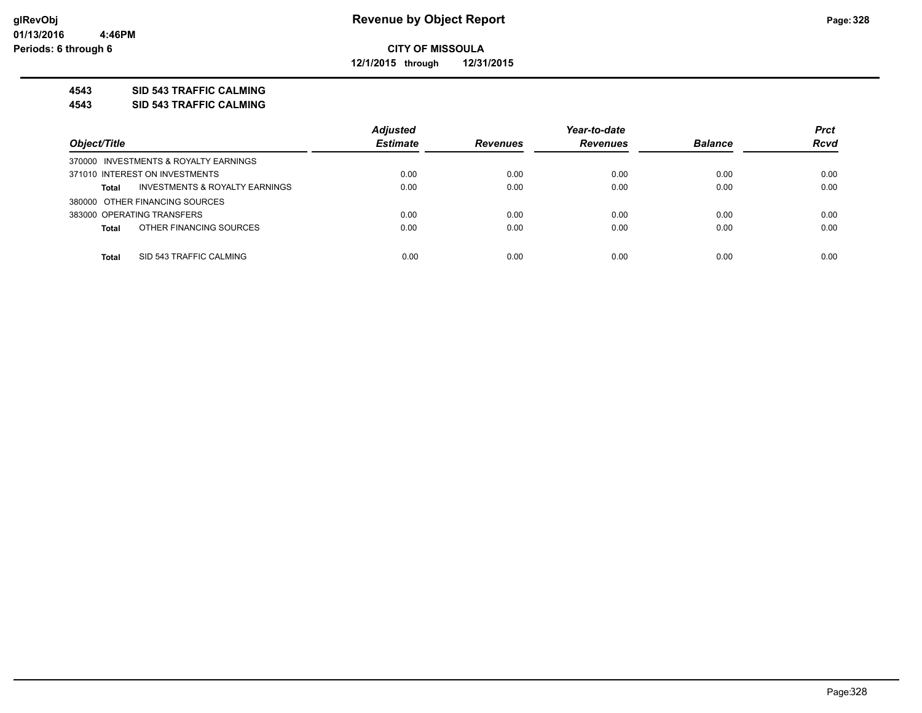**12/1/2015 through 12/31/2015**

## **4543 SID 543 TRAFFIC CALMING**

**4543 SID 543 TRAFFIC CALMING**

|                                                    | <b>Adjusted</b> |                 | Year-to-date    |                | <b>Prct</b> |
|----------------------------------------------------|-----------------|-----------------|-----------------|----------------|-------------|
| Object/Title                                       | <b>Estimate</b> | <b>Revenues</b> | <b>Revenues</b> | <b>Balance</b> | <b>Rcvd</b> |
| 370000 INVESTMENTS & ROYALTY EARNINGS              |                 |                 |                 |                |             |
| 371010 INTEREST ON INVESTMENTS                     | 0.00            | 0.00            | 0.00            | 0.00           | 0.00        |
| <b>INVESTMENTS &amp; ROYALTY EARNINGS</b><br>Total | 0.00            | 0.00            | 0.00            | 0.00           | 0.00        |
| 380000 OTHER FINANCING SOURCES                     |                 |                 |                 |                |             |
| 383000 OPERATING TRANSFERS                         | 0.00            | 0.00            | 0.00            | 0.00           | 0.00        |
| OTHER FINANCING SOURCES<br><b>Total</b>            | 0.00            | 0.00            | 0.00            | 0.00           | 0.00        |
|                                                    |                 |                 |                 |                |             |
| SID 543 TRAFFIC CALMING<br><b>Total</b>            | 0.00            | 0.00            | 0.00            | 0.00           | 0.00        |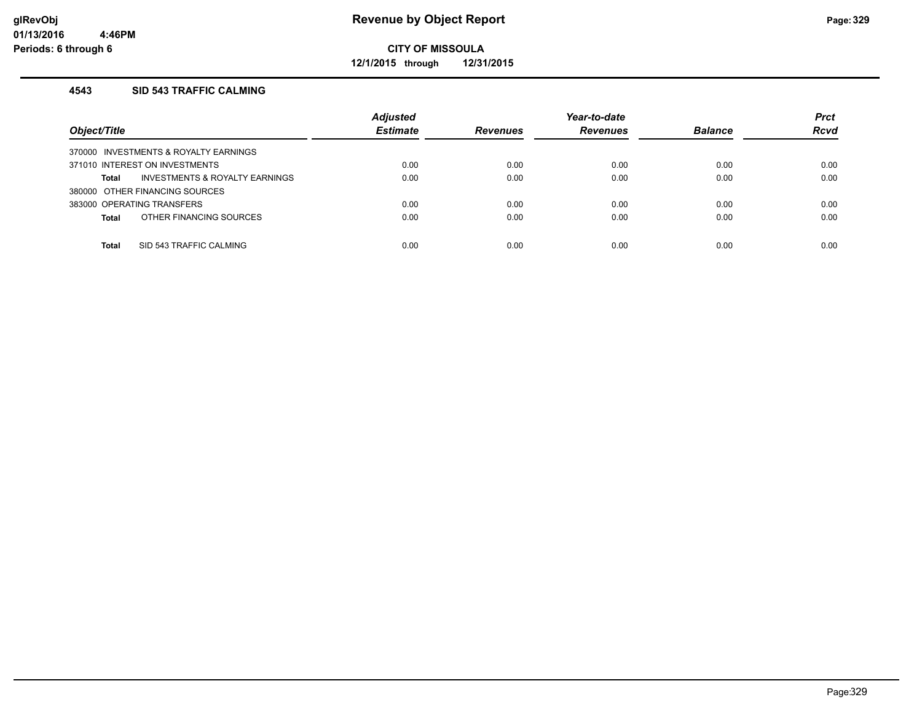**12/1/2015 through 12/31/2015**

# **4543 SID 543 TRAFFIC CALMING**

| Object/Title                            | <b>Adjusted</b><br><b>Estimate</b> | <b>Revenues</b> | Year-to-date<br><b>Revenues</b> | <b>Balance</b> | <b>Prct</b><br><b>Rcvd</b> |
|-----------------------------------------|------------------------------------|-----------------|---------------------------------|----------------|----------------------------|
| 370000 INVESTMENTS & ROYALTY EARNINGS   |                                    |                 |                                 |                |                            |
| 371010 INTEREST ON INVESTMENTS          | 0.00                               | 0.00            | 0.00                            | 0.00           | 0.00                       |
| INVESTMENTS & ROYALTY EARNINGS<br>Total | 0.00                               | 0.00            | 0.00                            | 0.00           | 0.00                       |
| 380000 OTHER FINANCING SOURCES          |                                    |                 |                                 |                |                            |
| 383000 OPERATING TRANSFERS              | 0.00                               | 0.00            | 0.00                            | 0.00           | 0.00                       |
| OTHER FINANCING SOURCES<br><b>Total</b> | 0.00                               | 0.00            | 0.00                            | 0.00           | 0.00                       |
|                                         |                                    |                 |                                 |                |                            |
| SID 543 TRAFFIC CALMING<br>Total        | 0.00                               | 0.00            | 0.00                            | 0.00           | 0.00                       |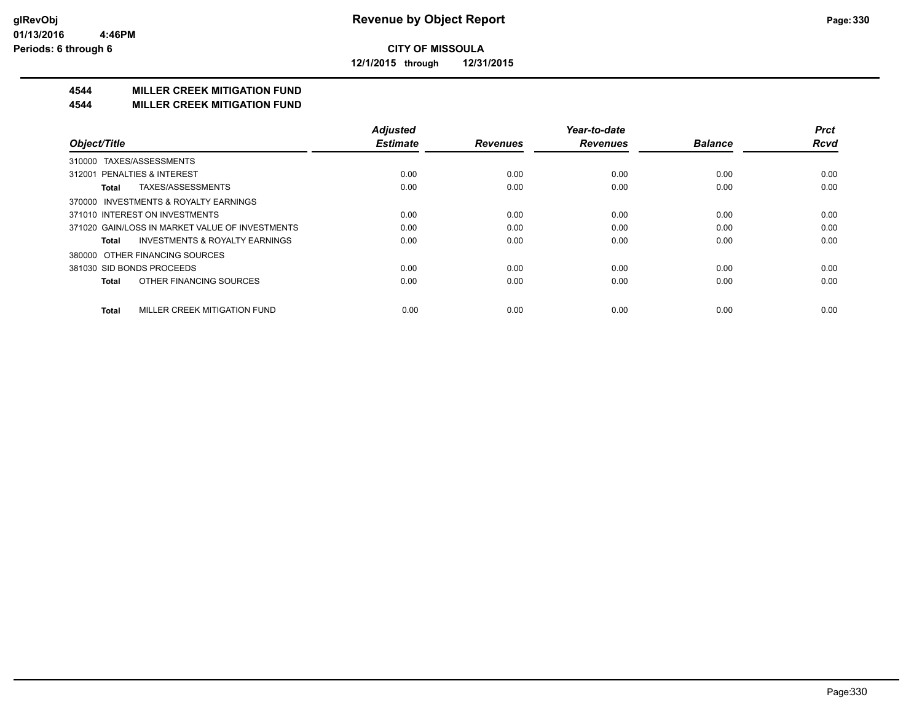**12/1/2015 through 12/31/2015**

# **4544 MILLER CREEK MITIGATION FUND**

#### **4544 MILLER CREEK MITIGATION FUND**

|                                                    | <b>Adjusted</b> |                 | Year-to-date    |                | <b>Prct</b> |
|----------------------------------------------------|-----------------|-----------------|-----------------|----------------|-------------|
| Object/Title                                       | <b>Estimate</b> | <b>Revenues</b> | <b>Revenues</b> | <b>Balance</b> | <b>Rcvd</b> |
| TAXES/ASSESSMENTS<br>310000                        |                 |                 |                 |                |             |
| 312001 PENALTIES & INTEREST                        | 0.00            | 0.00            | 0.00            | 0.00           | 0.00        |
| TAXES/ASSESSMENTS<br>Total                         | 0.00            | 0.00            | 0.00            | 0.00           | 0.00        |
| 370000 INVESTMENTS & ROYALTY EARNINGS              |                 |                 |                 |                |             |
| 371010 INTEREST ON INVESTMENTS                     | 0.00            | 0.00            | 0.00            | 0.00           | 0.00        |
| 371020 GAIN/LOSS IN MARKET VALUE OF INVESTMENTS    | 0.00            | 0.00            | 0.00            | 0.00           | 0.00        |
| <b>INVESTMENTS &amp; ROYALTY EARNINGS</b><br>Total | 0.00            | 0.00            | 0.00            | 0.00           | 0.00        |
| OTHER FINANCING SOURCES<br>380000                  |                 |                 |                 |                |             |
| 381030 SID BONDS PROCEEDS                          | 0.00            | 0.00            | 0.00            | 0.00           | 0.00        |
| OTHER FINANCING SOURCES<br><b>Total</b>            | 0.00            | 0.00            | 0.00            | 0.00           | 0.00        |
| MILLER CREEK MITIGATION FUND<br><b>Total</b>       | 0.00            | 0.00            | 0.00            | 0.00           | 0.00        |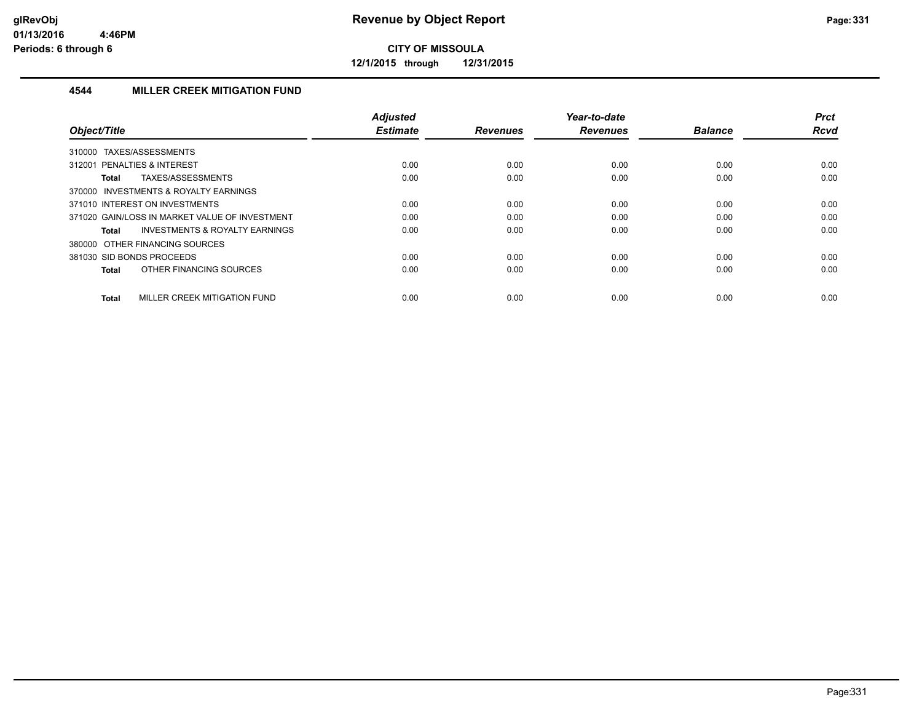**12/1/2015 through 12/31/2015**

# **4544 MILLER CREEK MITIGATION FUND**

|                                                    | <b>Adjusted</b> |                 | Year-to-date    |                | <b>Prct</b> |
|----------------------------------------------------|-----------------|-----------------|-----------------|----------------|-------------|
| Object/Title                                       | <b>Estimate</b> | <b>Revenues</b> | <b>Revenues</b> | <b>Balance</b> | <b>Rcvd</b> |
| TAXES/ASSESSMENTS<br>310000                        |                 |                 |                 |                |             |
| 312001 PENALTIES & INTEREST                        | 0.00            | 0.00            | 0.00            | 0.00           | 0.00        |
| TAXES/ASSESSMENTS<br>Total                         | 0.00            | 0.00            | 0.00            | 0.00           | 0.00        |
| 370000 INVESTMENTS & ROYALTY EARNINGS              |                 |                 |                 |                |             |
| 371010 INTEREST ON INVESTMENTS                     | 0.00            | 0.00            | 0.00            | 0.00           | 0.00        |
| 371020 GAIN/LOSS IN MARKET VALUE OF INVESTMENT     | 0.00            | 0.00            | 0.00            | 0.00           | 0.00        |
| <b>INVESTMENTS &amp; ROYALTY EARNINGS</b><br>Total | 0.00            | 0.00            | 0.00            | 0.00           | 0.00        |
| 380000 OTHER FINANCING SOURCES                     |                 |                 |                 |                |             |
| 381030 SID BONDS PROCEEDS                          | 0.00            | 0.00            | 0.00            | 0.00           | 0.00        |
| OTHER FINANCING SOURCES<br>Total                   | 0.00            | 0.00            | 0.00            | 0.00           | 0.00        |
| MILLER CREEK MITIGATION FUND<br><b>Total</b>       | 0.00            | 0.00            | 0.00            | 0.00           | 0.00        |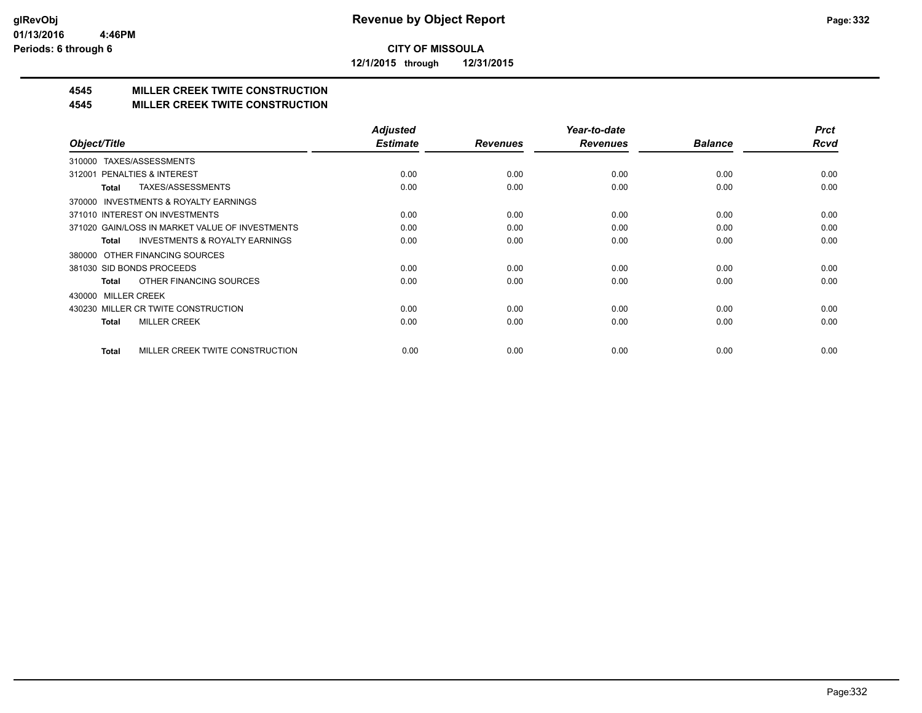**12/1/2015 through 12/31/2015**

# **4545 MILLER CREEK TWITE CONSTRUCTION**

## **4545 MILLER CREEK TWITE CONSTRUCTION**

|                                                     | <b>Adjusted</b> |                 | Year-to-date    |                | <b>Prct</b> |
|-----------------------------------------------------|-----------------|-----------------|-----------------|----------------|-------------|
| Object/Title                                        | <b>Estimate</b> | <b>Revenues</b> | <b>Revenues</b> | <b>Balance</b> | <b>Rcvd</b> |
| TAXES/ASSESSMENTS<br>310000                         |                 |                 |                 |                |             |
| 312001 PENALTIES & INTEREST                         | 0.00            | 0.00            | 0.00            | 0.00           | 0.00        |
| TAXES/ASSESSMENTS<br>Total                          | 0.00            | 0.00            | 0.00            | 0.00           | 0.00        |
| <b>INVESTMENTS &amp; ROYALTY EARNINGS</b><br>370000 |                 |                 |                 |                |             |
| 371010 INTEREST ON INVESTMENTS                      | 0.00            | 0.00            | 0.00            | 0.00           | 0.00        |
| 371020 GAIN/LOSS IN MARKET VALUE OF INVESTMENTS     | 0.00            | 0.00            | 0.00            | 0.00           | 0.00        |
| <b>INVESTMENTS &amp; ROYALTY EARNINGS</b><br>Total  | 0.00            | 0.00            | 0.00            | 0.00           | 0.00        |
| 380000 OTHER FINANCING SOURCES                      |                 |                 |                 |                |             |
| 381030 SID BONDS PROCEEDS                           | 0.00            | 0.00            | 0.00            | 0.00           | 0.00        |
| OTHER FINANCING SOURCES<br>Total                    | 0.00            | 0.00            | 0.00            | 0.00           | 0.00        |
| 430000 MILLER CREEK                                 |                 |                 |                 |                |             |
| 430230 MILLER CR TWITE CONSTRUCTION                 | 0.00            | 0.00            | 0.00            | 0.00           | 0.00        |
| <b>MILLER CREEK</b><br><b>Total</b>                 | 0.00            | 0.00            | 0.00            | 0.00           | 0.00        |
|                                                     |                 |                 |                 |                |             |
| MILLER CREEK TWITE CONSTRUCTION<br>Total            | 0.00            | 0.00            | 0.00            | 0.00           | 0.00        |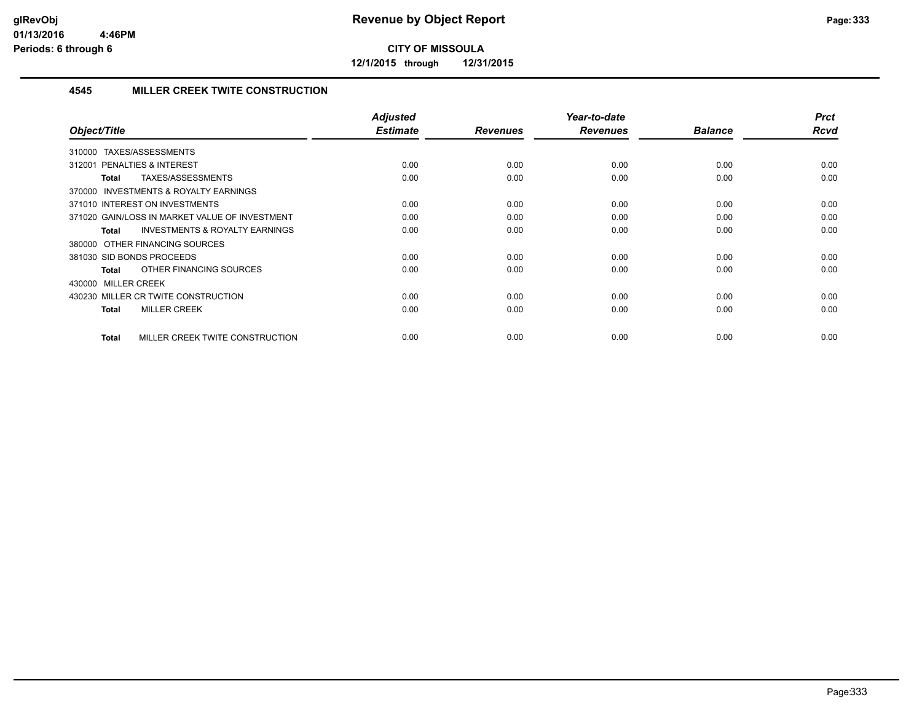**12/1/2015 through 12/31/2015**

# **4545 MILLER CREEK TWITE CONSTRUCTION**

| Object/Title                                              | Adjusted<br><b>Estimate</b> | <b>Revenues</b> | Year-to-date<br><b>Revenues</b> | <b>Balance</b> | <b>Prct</b><br>Rcvd |
|-----------------------------------------------------------|-----------------------------|-----------------|---------------------------------|----------------|---------------------|
|                                                           |                             |                 |                                 |                |                     |
| TAXES/ASSESSMENTS<br>310000                               |                             |                 |                                 |                |                     |
| PENALTIES & INTEREST<br>312001                            | 0.00                        | 0.00            | 0.00                            | 0.00           | 0.00                |
| TAXES/ASSESSMENTS<br>Total                                | 0.00                        | 0.00            | 0.00                            | 0.00           | 0.00                |
| 370000 INVESTMENTS & ROYALTY EARNINGS                     |                             |                 |                                 |                |                     |
| 371010 INTEREST ON INVESTMENTS                            | 0.00                        | 0.00            | 0.00                            | 0.00           | 0.00                |
| 371020 GAIN/LOSS IN MARKET VALUE OF INVESTMENT            | 0.00                        | 0.00            | 0.00                            | 0.00           | 0.00                |
| <b>INVESTMENTS &amp; ROYALTY EARNINGS</b><br><b>Total</b> | 0.00                        | 0.00            | 0.00                            | 0.00           | 0.00                |
| 380000 OTHER FINANCING SOURCES                            |                             |                 |                                 |                |                     |
| 381030 SID BONDS PROCEEDS                                 | 0.00                        | 0.00            | 0.00                            | 0.00           | 0.00                |
| OTHER FINANCING SOURCES<br><b>Total</b>                   | 0.00                        | 0.00            | 0.00                            | 0.00           | 0.00                |
| 430000 MILLER CREEK                                       |                             |                 |                                 |                |                     |
| 430230 MILLER CR TWITE CONSTRUCTION                       | 0.00                        | 0.00            | 0.00                            | 0.00           | 0.00                |
| <b>MILLER CREEK</b><br><b>Total</b>                       | 0.00                        | 0.00            | 0.00                            | 0.00           | 0.00                |
|                                                           |                             |                 |                                 |                |                     |
| MILLER CREEK TWITE CONSTRUCTION<br><b>Total</b>           | 0.00                        | 0.00            | 0.00                            | 0.00           | 0.00                |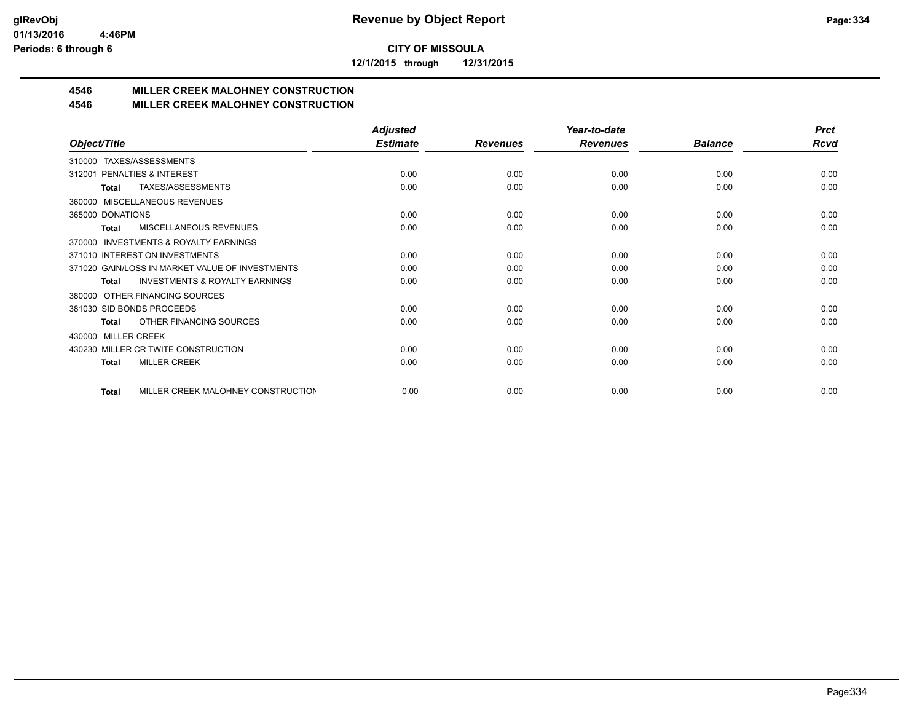**12/1/2015 through 12/31/2015**

# **4546 MILLER CREEK MALOHNEY CONSTRUCTION**

# **4546 MILLER CREEK MALOHNEY CONSTRUCTION**

|                                                     | <b>Adjusted</b> |                 | Year-to-date    |                | <b>Prct</b> |
|-----------------------------------------------------|-----------------|-----------------|-----------------|----------------|-------------|
| Object/Title                                        | <b>Estimate</b> | <b>Revenues</b> | <b>Revenues</b> | <b>Balance</b> | <b>Rcvd</b> |
| TAXES/ASSESSMENTS<br>310000                         |                 |                 |                 |                |             |
| PENALTIES & INTEREST<br>312001                      | 0.00            | 0.00            | 0.00            | 0.00           | 0.00        |
| TAXES/ASSESSMENTS<br>Total                          | 0.00            | 0.00            | 0.00            | 0.00           | 0.00        |
| MISCELLANEOUS REVENUES<br>360000                    |                 |                 |                 |                |             |
| 365000 DONATIONS                                    | 0.00            | 0.00            | 0.00            | 0.00           | 0.00        |
| <b>MISCELLANEOUS REVENUES</b><br><b>Total</b>       | 0.00            | 0.00            | 0.00            | 0.00           | 0.00        |
| <b>INVESTMENTS &amp; ROYALTY EARNINGS</b><br>370000 |                 |                 |                 |                |             |
| 371010 INTEREST ON INVESTMENTS                      | 0.00            | 0.00            | 0.00            | 0.00           | 0.00        |
| 371020 GAIN/LOSS IN MARKET VALUE OF INVESTMENTS     | 0.00            | 0.00            | 0.00            | 0.00           | 0.00        |
| <b>INVESTMENTS &amp; ROYALTY EARNINGS</b><br>Total  | 0.00            | 0.00            | 0.00            | 0.00           | 0.00        |
| OTHER FINANCING SOURCES<br>380000                   |                 |                 |                 |                |             |
| 381030 SID BONDS PROCEEDS                           | 0.00            | 0.00            | 0.00            | 0.00           | 0.00        |
| OTHER FINANCING SOURCES<br><b>Total</b>             | 0.00            | 0.00            | 0.00            | 0.00           | 0.00        |
| <b>MILLER CREEK</b><br>430000                       |                 |                 |                 |                |             |
| 430230 MILLER CR TWITE CONSTRUCTION                 | 0.00            | 0.00            | 0.00            | 0.00           | 0.00        |
| <b>MILLER CREEK</b><br><b>Total</b>                 | 0.00            | 0.00            | 0.00            | 0.00           | 0.00        |
| MILLER CREEK MALOHNEY CONSTRUCTION<br><b>Total</b>  | 0.00            | 0.00            | 0.00            | 0.00           | 0.00        |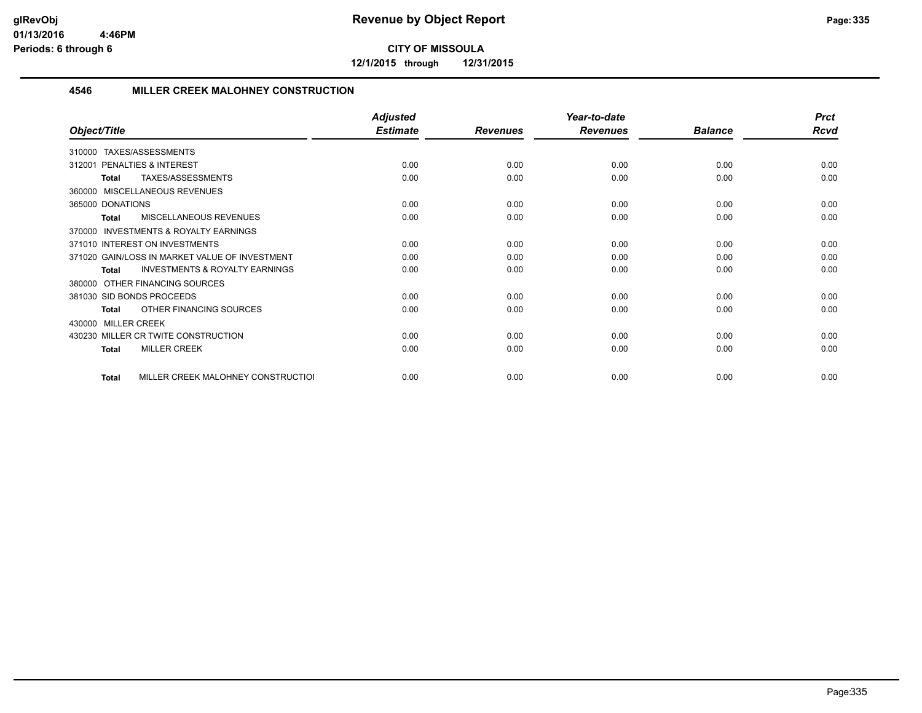**12/1/2015 through 12/31/2015**

# **4546 MILLER CREEK MALOHNEY CONSTRUCTION**

|                                                           | <b>Adjusted</b> |                 | Year-to-date    |                | <b>Prct</b> |
|-----------------------------------------------------------|-----------------|-----------------|-----------------|----------------|-------------|
| Object/Title                                              | <b>Estimate</b> | <b>Revenues</b> | <b>Revenues</b> | <b>Balance</b> | <b>Rcvd</b> |
| TAXES/ASSESSMENTS<br>310000                               |                 |                 |                 |                |             |
| PENALTIES & INTEREST<br>312001                            | 0.00            | 0.00            | 0.00            | 0.00           | 0.00        |
| TAXES/ASSESSMENTS<br><b>Total</b>                         | 0.00            | 0.00            | 0.00            | 0.00           | 0.00        |
| MISCELLANEOUS REVENUES<br>360000                          |                 |                 |                 |                |             |
| 365000 DONATIONS                                          | 0.00            | 0.00            | 0.00            | 0.00           | 0.00        |
| MISCELLANEOUS REVENUES<br><b>Total</b>                    | 0.00            | 0.00            | 0.00            | 0.00           | 0.00        |
| <b>INVESTMENTS &amp; ROYALTY EARNINGS</b><br>370000       |                 |                 |                 |                |             |
| 371010 INTEREST ON INVESTMENTS                            | 0.00            | 0.00            | 0.00            | 0.00           | 0.00        |
| 371020 GAIN/LOSS IN MARKET VALUE OF INVESTMENT            | 0.00            | 0.00            | 0.00            | 0.00           | 0.00        |
| <b>INVESTMENTS &amp; ROYALTY EARNINGS</b><br><b>Total</b> | 0.00            | 0.00            | 0.00            | 0.00           | 0.00        |
| OTHER FINANCING SOURCES<br>380000                         |                 |                 |                 |                |             |
| 381030 SID BONDS PROCEEDS                                 | 0.00            | 0.00            | 0.00            | 0.00           | 0.00        |
| OTHER FINANCING SOURCES<br><b>Total</b>                   | 0.00            | 0.00            | 0.00            | 0.00           | 0.00        |
| <b>MILLER CREEK</b><br>430000                             |                 |                 |                 |                |             |
| MILLER CR TWITE CONSTRUCTION<br>430230                    | 0.00            | 0.00            | 0.00            | 0.00           | 0.00        |
| <b>MILLER CREEK</b><br><b>Total</b>                       | 0.00            | 0.00            | 0.00            | 0.00           | 0.00        |
| MILLER CREEK MALOHNEY CONSTRUCTION<br><b>Total</b>        | 0.00            | 0.00            | 0.00            | 0.00           | 0.00        |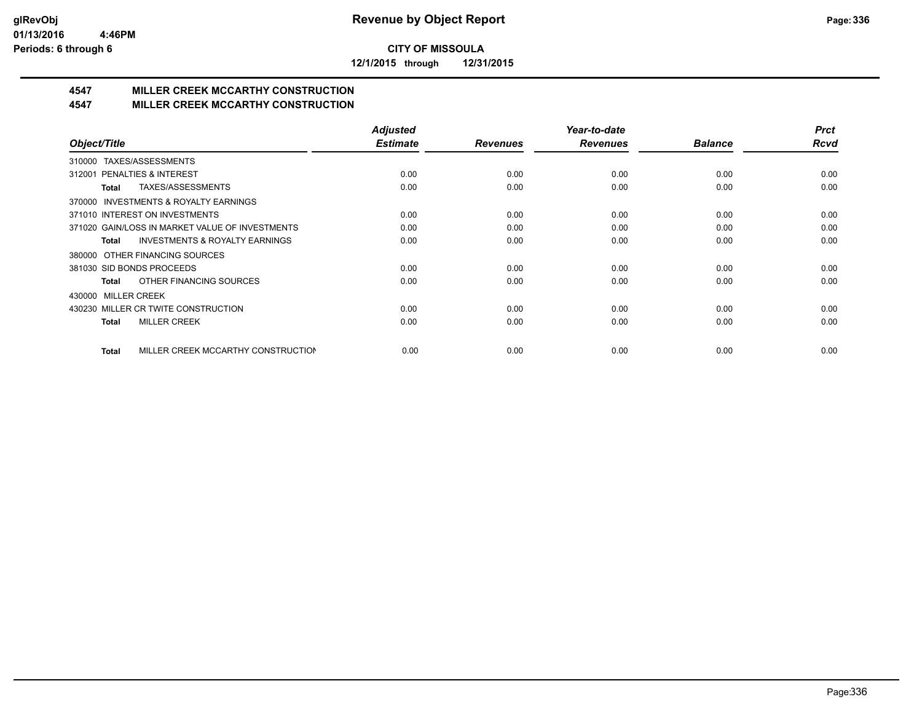**12/1/2015 through 12/31/2015**

# **4547 MILLER CREEK MCCARTHY CONSTRUCTION**

# **4547 MILLER CREEK MCCARTHY CONSTRUCTION**

|                                                    | <b>Adjusted</b> |                 | Year-to-date    |                | <b>Prct</b> |
|----------------------------------------------------|-----------------|-----------------|-----------------|----------------|-------------|
| Object/Title                                       | <b>Estimate</b> | <b>Revenues</b> | <b>Revenues</b> | <b>Balance</b> | <b>Rcvd</b> |
| TAXES/ASSESSMENTS<br>310000                        |                 |                 |                 |                |             |
| <b>PENALTIES &amp; INTEREST</b><br>312001          | 0.00            | 0.00            | 0.00            | 0.00           | 0.00        |
| <b>TAXES/ASSESSMENTS</b><br>Total                  | 0.00            | 0.00            | 0.00            | 0.00           | 0.00        |
| 370000 INVESTMENTS & ROYALTY EARNINGS              |                 |                 |                 |                |             |
| 371010 INTEREST ON INVESTMENTS                     | 0.00            | 0.00            | 0.00            | 0.00           | 0.00        |
| 371020 GAIN/LOSS IN MARKET VALUE OF INVESTMENTS    | 0.00            | 0.00            | 0.00            | 0.00           | 0.00        |
| <b>INVESTMENTS &amp; ROYALTY EARNINGS</b><br>Total | 0.00            | 0.00            | 0.00            | 0.00           | 0.00        |
| OTHER FINANCING SOURCES<br>380000                  |                 |                 |                 |                |             |
| 381030 SID BONDS PROCEEDS                          | 0.00            | 0.00            | 0.00            | 0.00           | 0.00        |
| OTHER FINANCING SOURCES<br><b>Total</b>            | 0.00            | 0.00            | 0.00            | 0.00           | 0.00        |
| <b>MILLER CREEK</b><br>430000                      |                 |                 |                 |                |             |
| 430230 MILLER CR TWITE CONSTRUCTION                | 0.00            | 0.00            | 0.00            | 0.00           | 0.00        |
| <b>MILLER CREEK</b><br>Total                       | 0.00            | 0.00            | 0.00            | 0.00           | 0.00        |
|                                                    |                 |                 |                 |                |             |
| MILLER CREEK MCCARTHY CONSTRUCTION<br><b>Total</b> | 0.00            | 0.00            | 0.00            | 0.00           | 0.00        |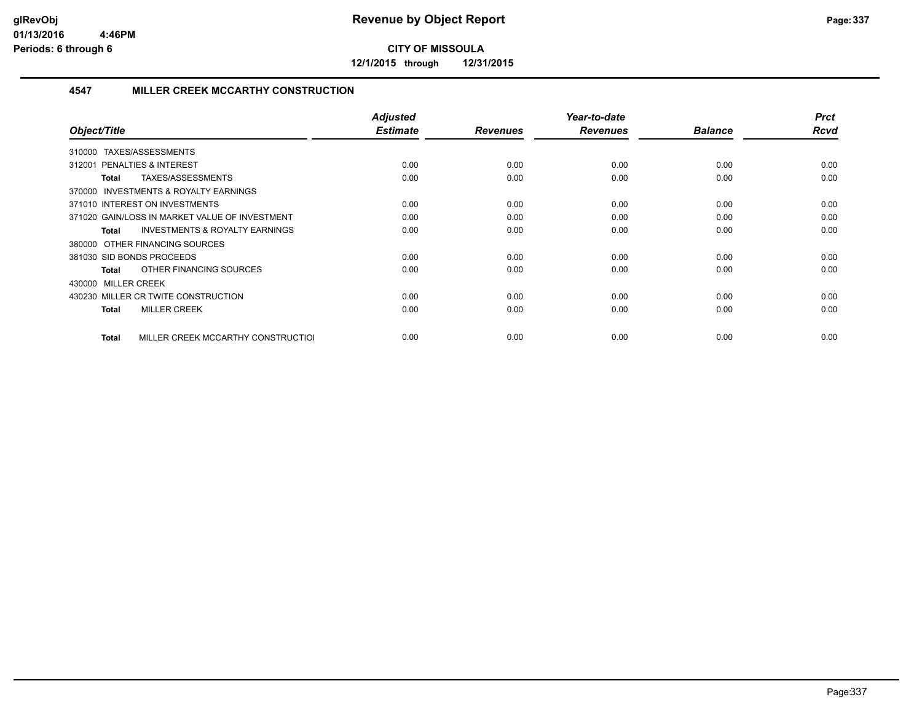**12/1/2015 through 12/31/2015**

# **4547 MILLER CREEK MCCARTHY CONSTRUCTION**

| Object/Title                                              | <b>Adjusted</b><br><b>Estimate</b> | <b>Revenues</b> | Year-to-date<br><b>Revenues</b> | <b>Balance</b> | <b>Prct</b><br><b>Rcvd</b> |
|-----------------------------------------------------------|------------------------------------|-----------------|---------------------------------|----------------|----------------------------|
| TAXES/ASSESSMENTS<br>310000                               |                                    |                 |                                 |                |                            |
| 312001 PENALTIES & INTEREST                               | 0.00                               | 0.00            | 0.00                            | 0.00           | 0.00                       |
| TAXES/ASSESSMENTS<br><b>Total</b>                         | 0.00                               | 0.00            | 0.00                            | 0.00           | 0.00                       |
| 370000 INVESTMENTS & ROYALTY EARNINGS                     |                                    |                 |                                 |                |                            |
| 371010 INTEREST ON INVESTMENTS                            | 0.00                               | 0.00            | 0.00                            | 0.00           | 0.00                       |
| 371020 GAIN/LOSS IN MARKET VALUE OF INVESTMENT            | 0.00                               | 0.00            | 0.00                            | 0.00           | 0.00                       |
| <b>INVESTMENTS &amp; ROYALTY EARNINGS</b><br><b>Total</b> | 0.00                               | 0.00            | 0.00                            | 0.00           | 0.00                       |
| 380000 OTHER FINANCING SOURCES                            |                                    |                 |                                 |                |                            |
| 381030 SID BONDS PROCEEDS                                 | 0.00                               | 0.00            | 0.00                            | 0.00           | 0.00                       |
| OTHER FINANCING SOURCES<br><b>Total</b>                   | 0.00                               | 0.00            | 0.00                            | 0.00           | 0.00                       |
| 430000 MILLER CREEK                                       |                                    |                 |                                 |                |                            |
| 430230 MILLER CR TWITE CONSTRUCTION                       | 0.00                               | 0.00            | 0.00                            | 0.00           | 0.00                       |
| <b>MILLER CREEK</b><br><b>Total</b>                       | 0.00                               | 0.00            | 0.00                            | 0.00           | 0.00                       |
| MILLER CREEK MCCARTHY CONSTRUCTIOL<br>Total               | 0.00                               | 0.00            | 0.00                            | 0.00           | 0.00                       |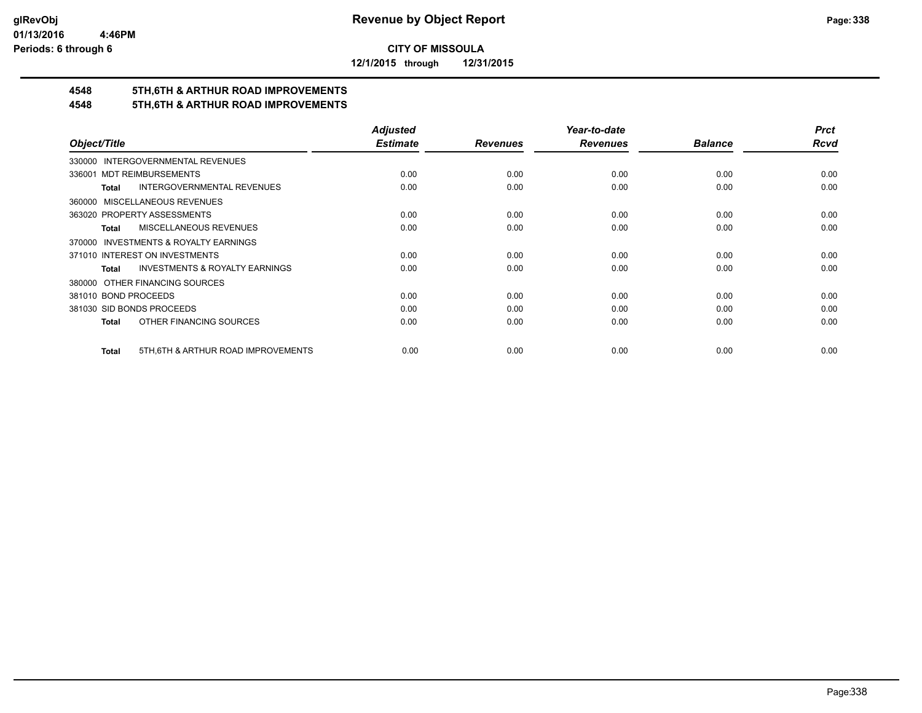**12/1/2015 through 12/31/2015**

# **4548 5TH,6TH & ARTHUR ROAD IMPROVEMENTS**

# **4548 5TH,6TH & ARTHUR ROAD IMPROVEMENTS**

|                                                     | <b>Adjusted</b> |                 | Year-to-date    |                | <b>Prct</b> |
|-----------------------------------------------------|-----------------|-----------------|-----------------|----------------|-------------|
| Object/Title                                        | <b>Estimate</b> | <b>Revenues</b> | <b>Revenues</b> | <b>Balance</b> | <b>Rcvd</b> |
| 330000 INTERGOVERNMENTAL REVENUES                   |                 |                 |                 |                |             |
| 336001 MDT REIMBURSEMENTS                           | 0.00            | 0.00            | 0.00            | 0.00           | 0.00        |
| <b>INTERGOVERNMENTAL REVENUES</b><br>Total          | 0.00            | 0.00            | 0.00            | 0.00           | 0.00        |
| 360000 MISCELLANEOUS REVENUES                       |                 |                 |                 |                |             |
| 363020 PROPERTY ASSESSMENTS                         | 0.00            | 0.00            | 0.00            | 0.00           | 0.00        |
| <b>MISCELLANEOUS REVENUES</b><br>Total              | 0.00            | 0.00            | 0.00            | 0.00           | 0.00        |
| 370000 INVESTMENTS & ROYALTY EARNINGS               |                 |                 |                 |                |             |
| 371010 INTEREST ON INVESTMENTS                      | 0.00            | 0.00            | 0.00            | 0.00           | 0.00        |
| <b>INVESTMENTS &amp; ROYALTY EARNINGS</b><br>Total  | 0.00            | 0.00            | 0.00            | 0.00           | 0.00        |
| 380000 OTHER FINANCING SOURCES                      |                 |                 |                 |                |             |
| 381010 BOND PROCEEDS                                | 0.00            | 0.00            | 0.00            | 0.00           | 0.00        |
| 381030 SID BONDS PROCEEDS                           | 0.00            | 0.00            | 0.00            | 0.00           | 0.00        |
| OTHER FINANCING SOURCES<br>Total                    | 0.00            | 0.00            | 0.00            | 0.00           | 0.00        |
|                                                     |                 |                 |                 |                |             |
| 5TH, 6TH & ARTHUR ROAD IMPROVEMENTS<br><b>Total</b> | 0.00            | 0.00            | 0.00            | 0.00           | 0.00        |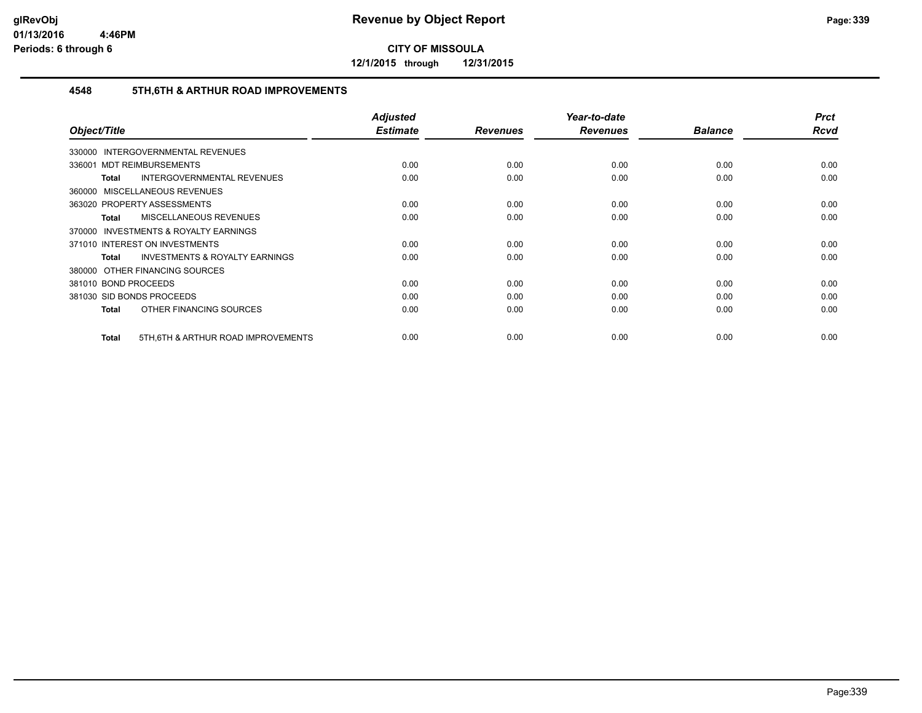**12/1/2015 through 12/31/2015**

# **4548 5TH,6TH & ARTHUR ROAD IMPROVEMENTS**

|                                                           | <b>Adjusted</b> |                 | Year-to-date    |                | <b>Prct</b> |
|-----------------------------------------------------------|-----------------|-----------------|-----------------|----------------|-------------|
| Object/Title                                              | <b>Estimate</b> | <b>Revenues</b> | <b>Revenues</b> | <b>Balance</b> | Rcvd        |
| 330000 INTERGOVERNMENTAL REVENUES                         |                 |                 |                 |                |             |
| 336001 MDT REIMBURSEMENTS                                 | 0.00            | 0.00            | 0.00            | 0.00           | 0.00        |
| INTERGOVERNMENTAL REVENUES<br>Total                       | 0.00            | 0.00            | 0.00            | 0.00           | 0.00        |
| 360000 MISCELLANEOUS REVENUES                             |                 |                 |                 |                |             |
| 363020 PROPERTY ASSESSMENTS                               | 0.00            | 0.00            | 0.00            | 0.00           | 0.00        |
| MISCELLANEOUS REVENUES<br>Total                           | 0.00            | 0.00            | 0.00            | 0.00           | 0.00        |
| 370000 INVESTMENTS & ROYALTY EARNINGS                     |                 |                 |                 |                |             |
| 371010 INTEREST ON INVESTMENTS                            | 0.00            | 0.00            | 0.00            | 0.00           | 0.00        |
| <b>INVESTMENTS &amp; ROYALTY EARNINGS</b><br><b>Total</b> | 0.00            | 0.00            | 0.00            | 0.00           | 0.00        |
| 380000 OTHER FINANCING SOURCES                            |                 |                 |                 |                |             |
| 381010 BOND PROCEEDS                                      | 0.00            | 0.00            | 0.00            | 0.00           | 0.00        |
| 381030 SID BONDS PROCEEDS                                 | 0.00            | 0.00            | 0.00            | 0.00           | 0.00        |
| OTHER FINANCING SOURCES<br>Total                          | 0.00            | 0.00            | 0.00            | 0.00           | 0.00        |
| 5TH, 6TH & ARTHUR ROAD IMPROVEMENTS<br>Total              | 0.00            | 0.00            | 0.00            | 0.00           | 0.00        |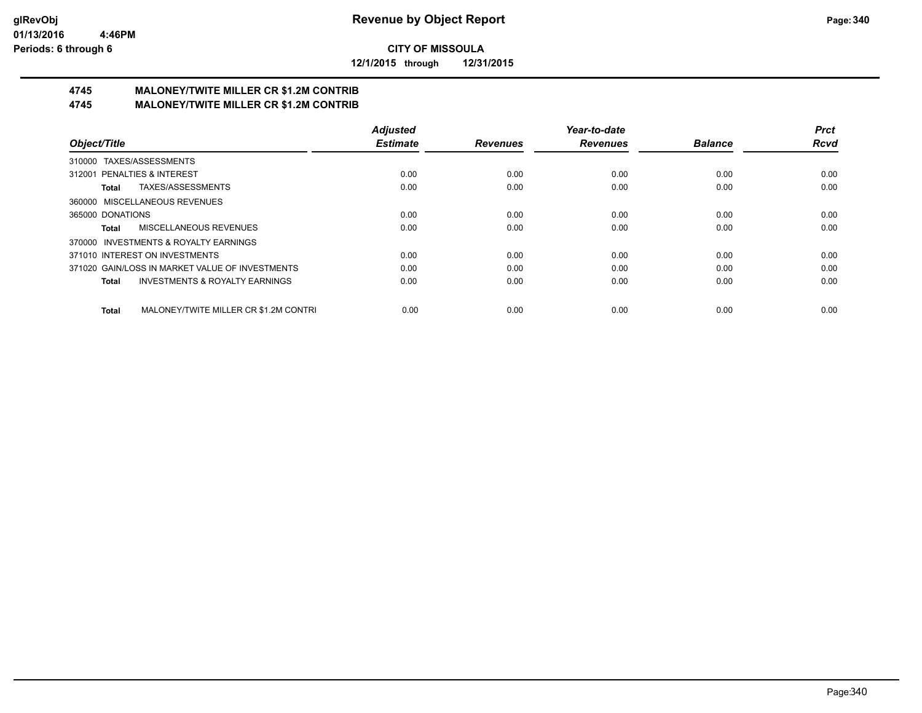**12/1/2015 through 12/31/2015**

#### **4745 MALONEY/TWITE MILLER CR \$1.2M CONTRIB 4745 MALONEY/TWITE MILLER CR \$1.2M CONTRIB**

|                                                       | <b>Adjusted</b> |                 | Year-to-date    |                | <b>Prct</b> |
|-------------------------------------------------------|-----------------|-----------------|-----------------|----------------|-------------|
| Object/Title                                          | <b>Estimate</b> | <b>Revenues</b> | <b>Revenues</b> | <b>Balance</b> | <b>Rcvd</b> |
| 310000 TAXES/ASSESSMENTS                              |                 |                 |                 |                |             |
| 312001 PENALTIES & INTEREST                           | 0.00            | 0.00            | 0.00            | 0.00           | 0.00        |
| TAXES/ASSESSMENTS<br>Total                            | 0.00            | 0.00            | 0.00            | 0.00           | 0.00        |
| 360000 MISCELLANEOUS REVENUES                         |                 |                 |                 |                |             |
| 365000 DONATIONS                                      | 0.00            | 0.00            | 0.00            | 0.00           | 0.00        |
| MISCELLANEOUS REVENUES<br>Total                       | 0.00            | 0.00            | 0.00            | 0.00           | 0.00        |
| 370000 INVESTMENTS & ROYALTY EARNINGS                 |                 |                 |                 |                |             |
| 371010 INTEREST ON INVESTMENTS                        | 0.00            | 0.00            | 0.00            | 0.00           | 0.00        |
| 371020 GAIN/LOSS IN MARKET VALUE OF INVESTMENTS       | 0.00            | 0.00            | 0.00            | 0.00           | 0.00        |
| <b>INVESTMENTS &amp; ROYALTY EARNINGS</b><br>Total    | 0.00            | 0.00            | 0.00            | 0.00           | 0.00        |
| MALONEY/TWITE MILLER CR \$1.2M CONTRI<br><b>Total</b> | 0.00            | 0.00            | 0.00            | 0.00           | 0.00        |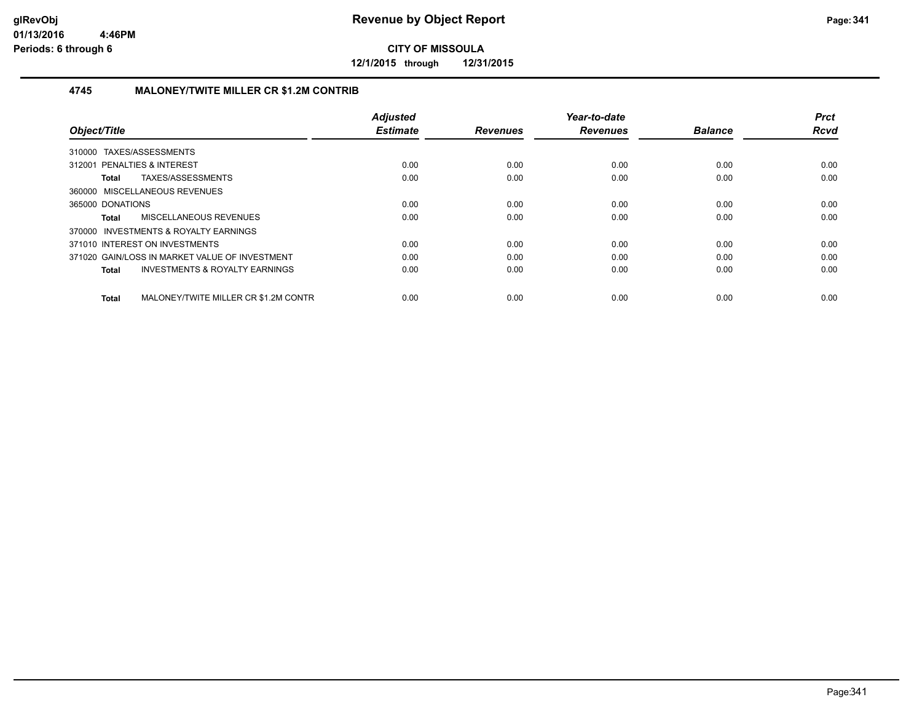**12/1/2015 through 12/31/2015**

## **4745 MALONEY/TWITE MILLER CR \$1.2M CONTRIB**

|                                |                                                | <b>Adjusted</b> |                 | Year-to-date    |                | <b>Prct</b> |
|--------------------------------|------------------------------------------------|-----------------|-----------------|-----------------|----------------|-------------|
| Object/Title                   |                                                | <b>Estimate</b> | <b>Revenues</b> | <b>Revenues</b> | <b>Balance</b> | <b>Rcvd</b> |
| 310000                         | TAXES/ASSESSMENTS                              |                 |                 |                 |                |             |
| 312001 PENALTIES & INTEREST    |                                                | 0.00            | 0.00            | 0.00            | 0.00           | 0.00        |
| Total                          | TAXES/ASSESSMENTS                              | 0.00            | 0.00            | 0.00            | 0.00           | 0.00        |
| 360000 MISCELLANEOUS REVENUES  |                                                |                 |                 |                 |                |             |
| 365000 DONATIONS               |                                                | 0.00            | 0.00            | 0.00            | 0.00           | 0.00        |
| Total                          | MISCELLANEOUS REVENUES                         | 0.00            | 0.00            | 0.00            | 0.00           | 0.00        |
|                                | 370000 INVESTMENTS & ROYALTY EARNINGS          |                 |                 |                 |                |             |
| 371010 INTEREST ON INVESTMENTS |                                                | 0.00            | 0.00            | 0.00            | 0.00           | 0.00        |
|                                | 371020 GAIN/LOSS IN MARKET VALUE OF INVESTMENT | 0.00            | 0.00            | 0.00            | 0.00           | 0.00        |
| Total                          | <b>INVESTMENTS &amp; ROYALTY EARNINGS</b>      | 0.00            | 0.00            | 0.00            | 0.00           | 0.00        |
|                                |                                                |                 |                 |                 |                |             |
| <b>Total</b>                   | MALONEY/TWITE MILLER CR \$1.2M CONTR           | 0.00            | 0.00            | 0.00            | 0.00           | 0.00        |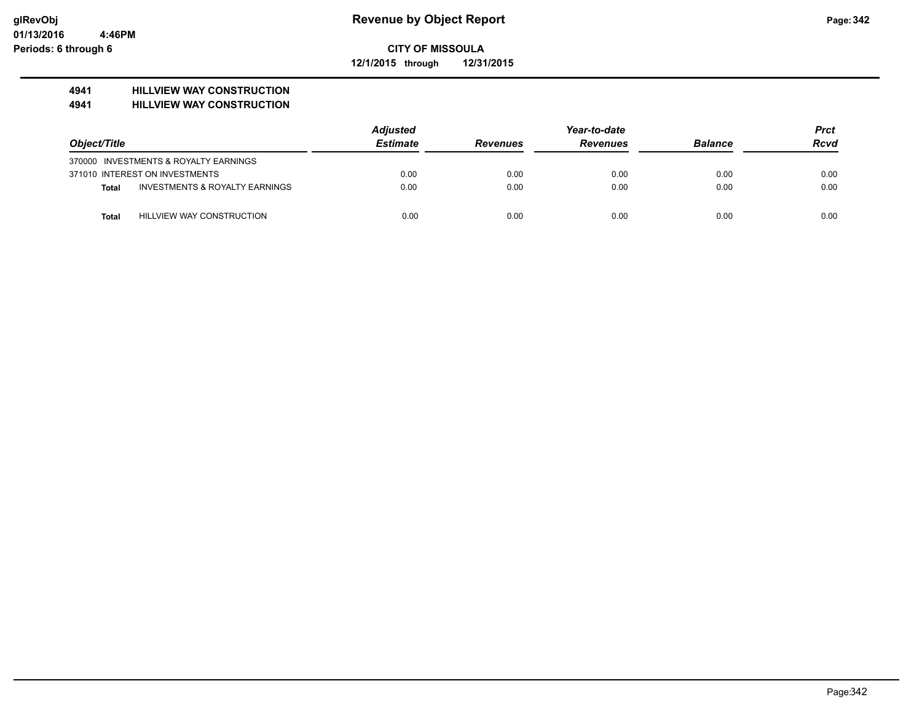**12/1/2015 through 12/31/2015**

# **4941 HILLVIEW WAY CONSTRUCTION**

#### **4941 HILLVIEW WAY CONSTRUCTION**

|              |                                           | <b>Adjusted</b> |                 | <b>Prct</b>     |                |             |
|--------------|-------------------------------------------|-----------------|-----------------|-----------------|----------------|-------------|
| Object/Title |                                           | <b>Estimate</b> | <b>Revenues</b> | <b>Revenues</b> | <b>Balance</b> | <b>Rcvd</b> |
|              | 370000 INVESTMENTS & ROYALTY EARNINGS     |                 |                 |                 |                |             |
|              | 371010 INTEREST ON INVESTMENTS            | 0.00            | 0.00            | 0.00            | 0.00           | 0.00        |
| Total        | <b>INVESTMENTS &amp; ROYALTY EARNINGS</b> | 0.00            | 0.00            | 0.00            | 0.00           | 0.00        |
| Total        | HILLVIEW WAY CONSTRUCTION                 | 0.00            | 0.00            | 0.00            | 0.00           | 0.00        |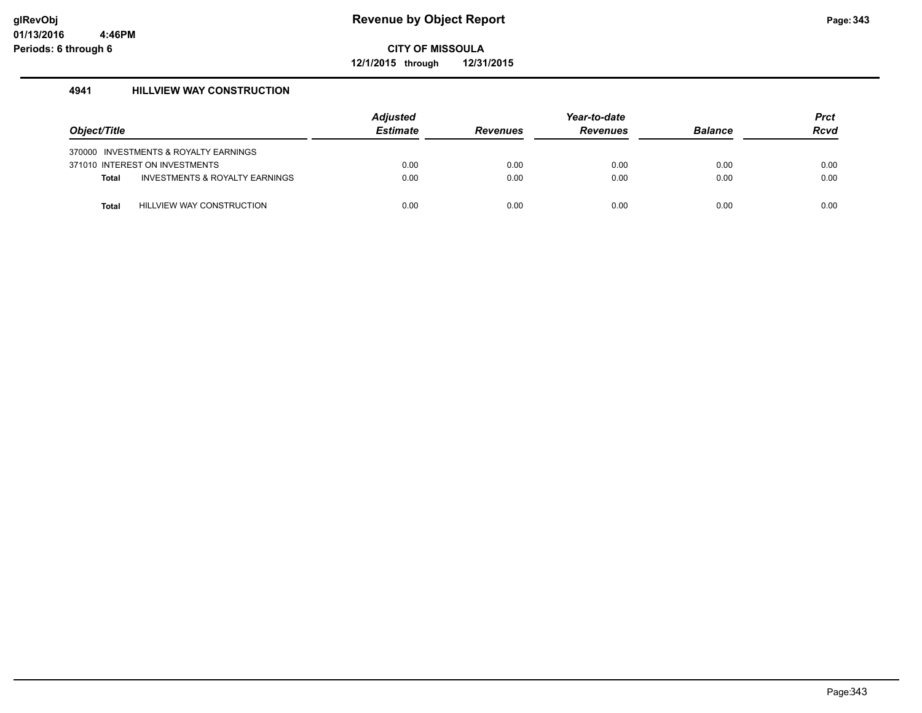**12/1/2015 through 12/31/2015**

# **4941 HILLVIEW WAY CONSTRUCTION**

| Object/Title |                                       | Adjusted<br><b>Estimate</b> | <b>Revenues</b> | Year-to-date<br><b>Revenues</b> | <b>Balance</b> | <b>Prct</b><br><b>Rcvd</b> |
|--------------|---------------------------------------|-----------------------------|-----------------|---------------------------------|----------------|----------------------------|
|              | 370000 INVESTMENTS & ROYALTY EARNINGS |                             |                 |                                 |                |                            |
|              | 371010 INTEREST ON INVESTMENTS        | 0.00                        | 0.00            | 0.00                            | 0.00           | 0.00                       |
| <b>Total</b> | INVESTMENTS & ROYALTY EARNINGS        | 0.00                        | 0.00            | 0.00                            | 0.00           | 0.00                       |
|              |                                       |                             |                 |                                 |                |                            |
| Total        | HILLVIEW WAY CONSTRUCTION             | 0.00                        | 0.00            | 0.00                            | 0.00           | 0.00                       |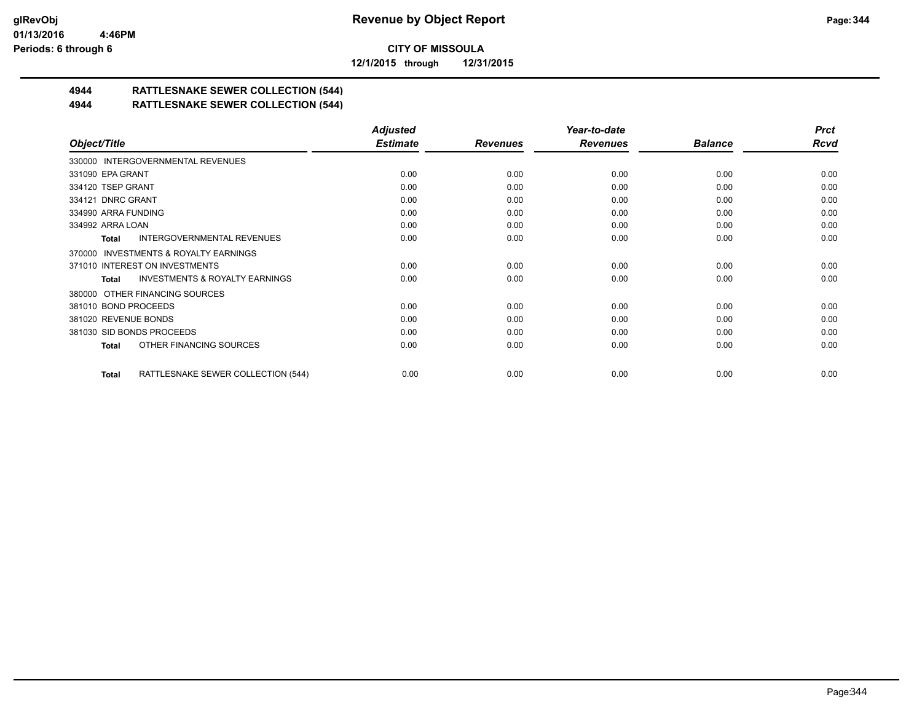**12/1/2015 through 12/31/2015**

# **4944 RATTLESNAKE SEWER COLLECTION (544)**

# **4944 RATTLESNAKE SEWER COLLECTION (544)**

|                                                    | <b>Adjusted</b> |                 | Year-to-date    |                | <b>Prct</b> |
|----------------------------------------------------|-----------------|-----------------|-----------------|----------------|-------------|
| Object/Title                                       | <b>Estimate</b> | <b>Revenues</b> | <b>Revenues</b> | <b>Balance</b> | <b>Rcvd</b> |
| 330000 INTERGOVERNMENTAL REVENUES                  |                 |                 |                 |                |             |
| 331090 EPA GRANT                                   | 0.00            | 0.00            | 0.00            | 0.00           | 0.00        |
| 334120 TSEP GRANT                                  | 0.00            | 0.00            | 0.00            | 0.00           | 0.00        |
| 334121 DNRC GRANT                                  | 0.00            | 0.00            | 0.00            | 0.00           | 0.00        |
| 334990 ARRA FUNDING                                | 0.00            | 0.00            | 0.00            | 0.00           | 0.00        |
| 334992 ARRA LOAN                                   | 0.00            | 0.00            | 0.00            | 0.00           | 0.00        |
| <b>INTERGOVERNMENTAL REVENUES</b><br>Total         | 0.00            | 0.00            | 0.00            | 0.00           | 0.00        |
| 370000 INVESTMENTS & ROYALTY EARNINGS              |                 |                 |                 |                |             |
| 371010 INTEREST ON INVESTMENTS                     | 0.00            | 0.00            | 0.00            | 0.00           | 0.00        |
| <b>INVESTMENTS &amp; ROYALTY EARNINGS</b><br>Total | 0.00            | 0.00            | 0.00            | 0.00           | 0.00        |
| 380000 OTHER FINANCING SOURCES                     |                 |                 |                 |                |             |
| 381010 BOND PROCEEDS                               | 0.00            | 0.00            | 0.00            | 0.00           | 0.00        |
| 381020 REVENUE BONDS                               | 0.00            | 0.00            | 0.00            | 0.00           | 0.00        |
| 381030 SID BONDS PROCEEDS                          | 0.00            | 0.00            | 0.00            | 0.00           | 0.00        |
| OTHER FINANCING SOURCES<br>Total                   | 0.00            | 0.00            | 0.00            | 0.00           | 0.00        |
| RATTLESNAKE SEWER COLLECTION (544)<br>Total        | 0.00            | 0.00            | 0.00            | 0.00           | 0.00        |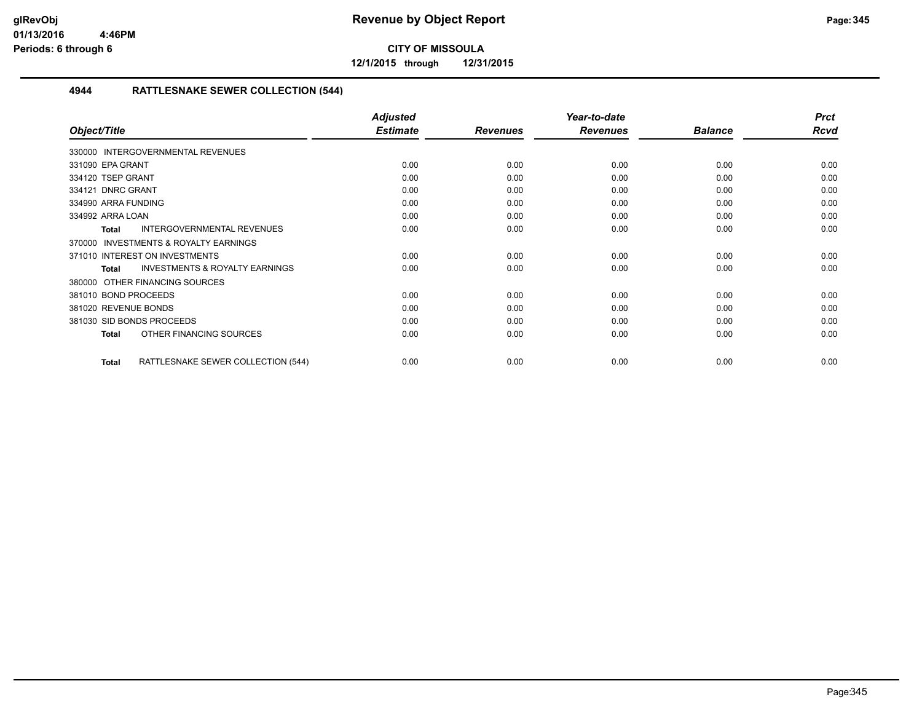**12/1/2015 through 12/31/2015**

# **4944 RATTLESNAKE SEWER COLLECTION (544)**

|                                                           | <b>Adjusted</b> |                 | Year-to-date    |                | <b>Prct</b> |
|-----------------------------------------------------------|-----------------|-----------------|-----------------|----------------|-------------|
| Object/Title                                              | <b>Estimate</b> | <b>Revenues</b> | <b>Revenues</b> | <b>Balance</b> | <b>Rcvd</b> |
| 330000 INTERGOVERNMENTAL REVENUES                         |                 |                 |                 |                |             |
| 331090 EPA GRANT                                          | 0.00            | 0.00            | 0.00            | 0.00           | 0.00        |
| 334120 TSEP GRANT                                         | 0.00            | 0.00            | 0.00            | 0.00           | 0.00        |
| 334121 DNRC GRANT                                         | 0.00            | 0.00            | 0.00            | 0.00           | 0.00        |
| 334990 ARRA FUNDING                                       | 0.00            | 0.00            | 0.00            | 0.00           | 0.00        |
| 334992 ARRA LOAN                                          | 0.00            | 0.00            | 0.00            | 0.00           | 0.00        |
| INTERGOVERNMENTAL REVENUES<br><b>Total</b>                | 0.00            | 0.00            | 0.00            | 0.00           | 0.00        |
| <b>INVESTMENTS &amp; ROYALTY EARNINGS</b><br>370000       |                 |                 |                 |                |             |
| 371010 INTEREST ON INVESTMENTS                            | 0.00            | 0.00            | 0.00            | 0.00           | 0.00        |
| <b>INVESTMENTS &amp; ROYALTY EARNINGS</b><br><b>Total</b> | 0.00            | 0.00            | 0.00            | 0.00           | 0.00        |
| OTHER FINANCING SOURCES<br>380000                         |                 |                 |                 |                |             |
| 381010 BOND PROCEEDS                                      | 0.00            | 0.00            | 0.00            | 0.00           | 0.00        |
| 381020 REVENUE BONDS                                      | 0.00            | 0.00            | 0.00            | 0.00           | 0.00        |
| 381030 SID BONDS PROCEEDS                                 | 0.00            | 0.00            | 0.00            | 0.00           | 0.00        |
| OTHER FINANCING SOURCES<br><b>Total</b>                   | 0.00            | 0.00            | 0.00            | 0.00           | 0.00        |
| RATTLESNAKE SEWER COLLECTION (544)<br><b>Total</b>        | 0.00            | 0.00            | 0.00            | 0.00           | 0.00        |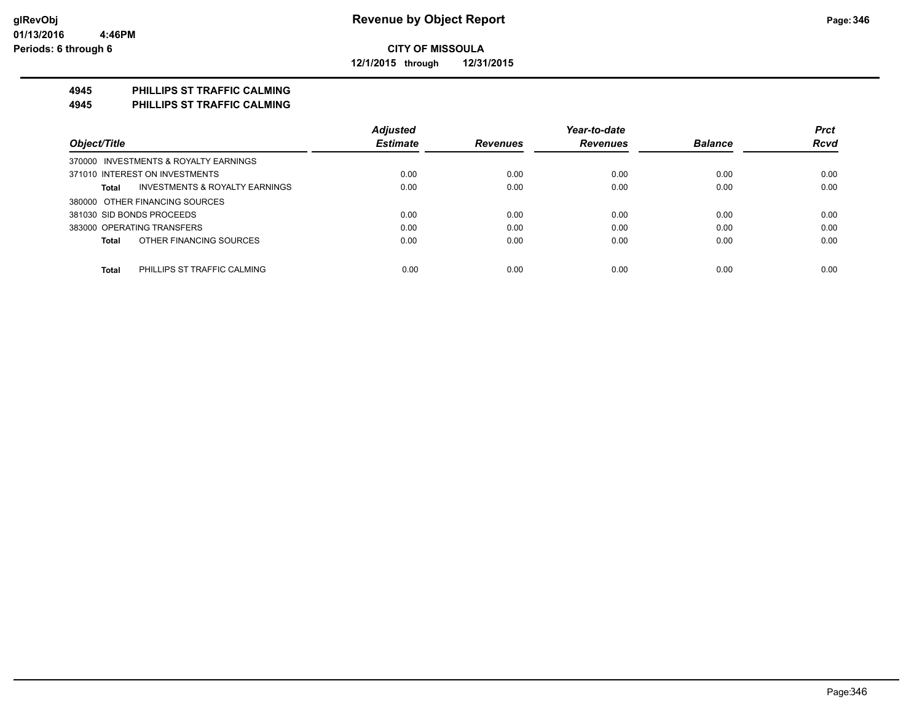**12/1/2015 through 12/31/2015**

# **4945 PHILLIPS ST TRAFFIC CALMING**

**4945 PHILLIPS ST TRAFFIC CALMING**

|                                                           | <b>Adjusted</b> |                 | Year-to-date    |                | <b>Prct</b> |
|-----------------------------------------------------------|-----------------|-----------------|-----------------|----------------|-------------|
| Object/Title                                              | <b>Estimate</b> | <b>Revenues</b> | <b>Revenues</b> | <b>Balance</b> | <b>Rcvd</b> |
| 370000 INVESTMENTS & ROYALTY EARNINGS                     |                 |                 |                 |                |             |
| 371010 INTEREST ON INVESTMENTS                            | 0.00            | 0.00            | 0.00            | 0.00           | 0.00        |
| <b>INVESTMENTS &amp; ROYALTY EARNINGS</b><br><b>Total</b> | 0.00            | 0.00            | 0.00            | 0.00           | 0.00        |
| 380000 OTHER FINANCING SOURCES                            |                 |                 |                 |                |             |
| 381030 SID BONDS PROCEEDS                                 | 0.00            | 0.00            | 0.00            | 0.00           | 0.00        |
| 383000 OPERATING TRANSFERS                                | 0.00            | 0.00            | 0.00            | 0.00           | 0.00        |
| OTHER FINANCING SOURCES<br><b>Total</b>                   | 0.00            | 0.00            | 0.00            | 0.00           | 0.00        |
|                                                           |                 |                 |                 |                |             |
| <b>Total</b><br>PHILLIPS ST TRAFFIC CALMING               | 0.00            | 0.00            | 0.00            | 0.00           | 0.00        |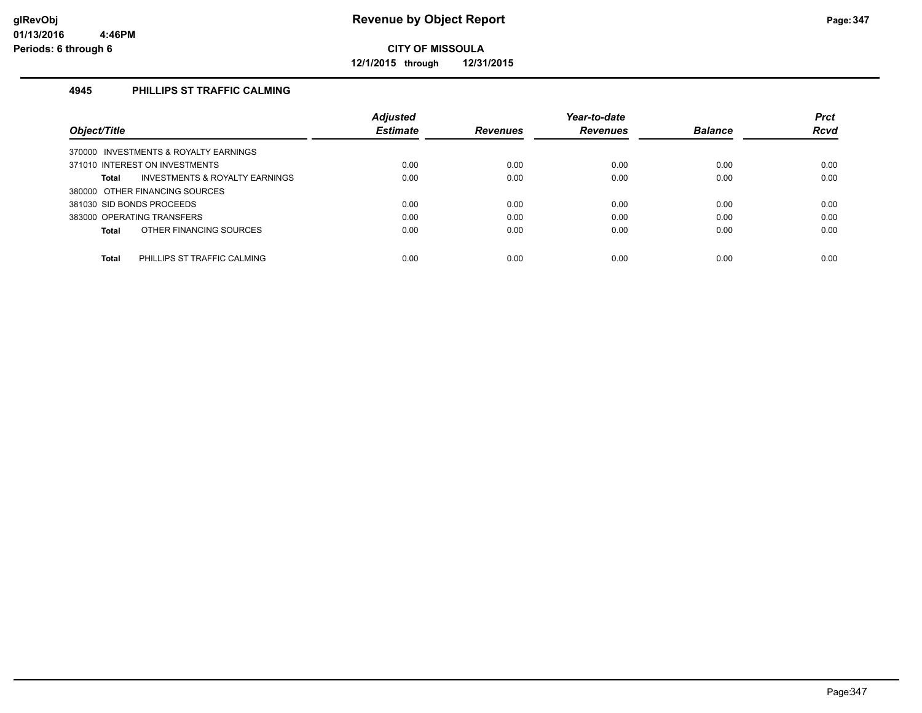**12/1/2015 through 12/31/2015**

# **4945 PHILLIPS ST TRAFFIC CALMING**

|                                                    | <b>Adjusted</b> |                 | Year-to-date    |                | <b>Prct</b> |
|----------------------------------------------------|-----------------|-----------------|-----------------|----------------|-------------|
| Object/Title                                       | <b>Estimate</b> | <b>Revenues</b> | <b>Revenues</b> | <b>Balance</b> | <b>Rcvd</b> |
| 370000 INVESTMENTS & ROYALTY EARNINGS              |                 |                 |                 |                |             |
| 371010 INTEREST ON INVESTMENTS                     | 0.00            | 0.00            | 0.00            | 0.00           | 0.00        |
| <b>INVESTMENTS &amp; ROYALTY EARNINGS</b><br>Total | 0.00            | 0.00            | 0.00            | 0.00           | 0.00        |
| 380000 OTHER FINANCING SOURCES                     |                 |                 |                 |                |             |
| 381030 SID BONDS PROCEEDS                          | 0.00            | 0.00            | 0.00            | 0.00           | 0.00        |
| 383000 OPERATING TRANSFERS                         | 0.00            | 0.00            | 0.00            | 0.00           | 0.00        |
| OTHER FINANCING SOURCES<br>Total                   | 0.00            | 0.00            | 0.00            | 0.00           | 0.00        |
|                                                    |                 |                 |                 |                |             |
| <b>Total</b><br>PHILLIPS ST TRAFFIC CALMING        | 0.00            | 0.00            | 0.00            | 0.00           | 0.00        |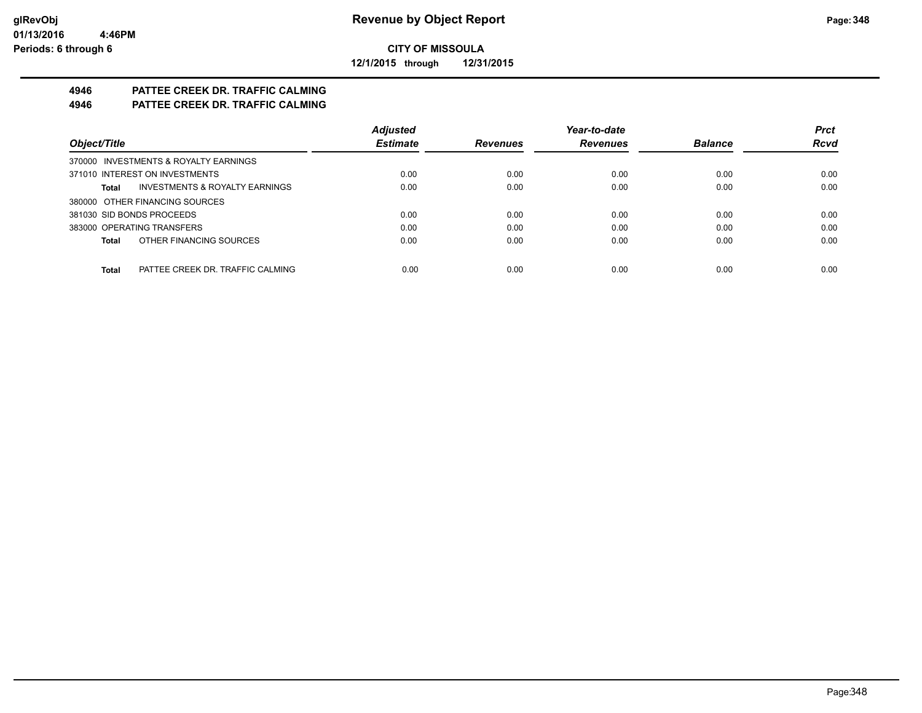**12/1/2015 through 12/31/2015**

# **4946 PATTEE CREEK DR. TRAFFIC CALMING**

**4946 PATTEE CREEK DR. TRAFFIC CALMING**

|                                           | <b>Adjusted</b> |                 | Year-to-date    |                | <b>Prct</b> |
|-------------------------------------------|-----------------|-----------------|-----------------|----------------|-------------|
| Object/Title                              | <b>Estimate</b> | <b>Revenues</b> | <b>Revenues</b> | <b>Balance</b> | <b>Rcvd</b> |
| 370000 INVESTMENTS & ROYALTY EARNINGS     |                 |                 |                 |                |             |
| 371010 INTEREST ON INVESTMENTS            | 0.00            | 0.00            | 0.00            | 0.00           | 0.00        |
| INVESTMENTS & ROYALTY EARNINGS<br>Total   | 0.00            | 0.00            | 0.00            | 0.00           | 0.00        |
| 380000 OTHER FINANCING SOURCES            |                 |                 |                 |                |             |
| 381030 SID BONDS PROCEEDS                 | 0.00            | 0.00            | 0.00            | 0.00           | 0.00        |
| 383000 OPERATING TRANSFERS                | 0.00            | 0.00            | 0.00            | 0.00           | 0.00        |
| OTHER FINANCING SOURCES<br>Total          | 0.00            | 0.00            | 0.00            | 0.00           | 0.00        |
|                                           |                 |                 |                 |                |             |
| PATTEE CREEK DR. TRAFFIC CALMING<br>Total | 0.00            | 0.00            | 0.00            | 0.00           | 0.00        |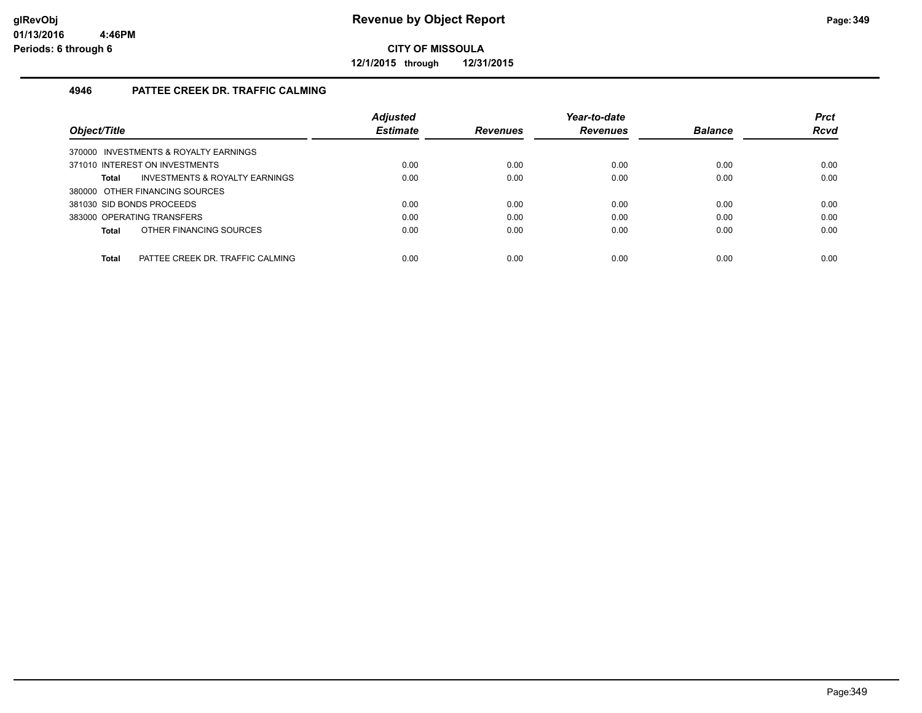**12/1/2015 through 12/31/2015**

# **4946 PATTEE CREEK DR. TRAFFIC CALMING**

|                                                    | <b>Adjusted</b> |                 | Year-to-date    |                | <b>Prct</b> |
|----------------------------------------------------|-----------------|-----------------|-----------------|----------------|-------------|
| Object/Title                                       | <b>Estimate</b> | <b>Revenues</b> | <b>Revenues</b> | <b>Balance</b> | <b>Rcvd</b> |
| 370000 INVESTMENTS & ROYALTY EARNINGS              |                 |                 |                 |                |             |
| 371010 INTEREST ON INVESTMENTS                     | 0.00            | 0.00            | 0.00            | 0.00           | 0.00        |
| <b>INVESTMENTS &amp; ROYALTY EARNINGS</b><br>Total | 0.00            | 0.00            | 0.00            | 0.00           | 0.00        |
| 380000 OTHER FINANCING SOURCES                     |                 |                 |                 |                |             |
| 381030 SID BONDS PROCEEDS                          | 0.00            | 0.00            | 0.00            | 0.00           | 0.00        |
| 383000 OPERATING TRANSFERS                         | 0.00            | 0.00            | 0.00            | 0.00           | 0.00        |
| OTHER FINANCING SOURCES<br>Total                   | 0.00            | 0.00            | 0.00            | 0.00           | 0.00        |
|                                                    |                 |                 |                 |                |             |
| PATTEE CREEK DR. TRAFFIC CALMING<br>Total          | 0.00            | 0.00            | 0.00            | 0.00           | 0.00        |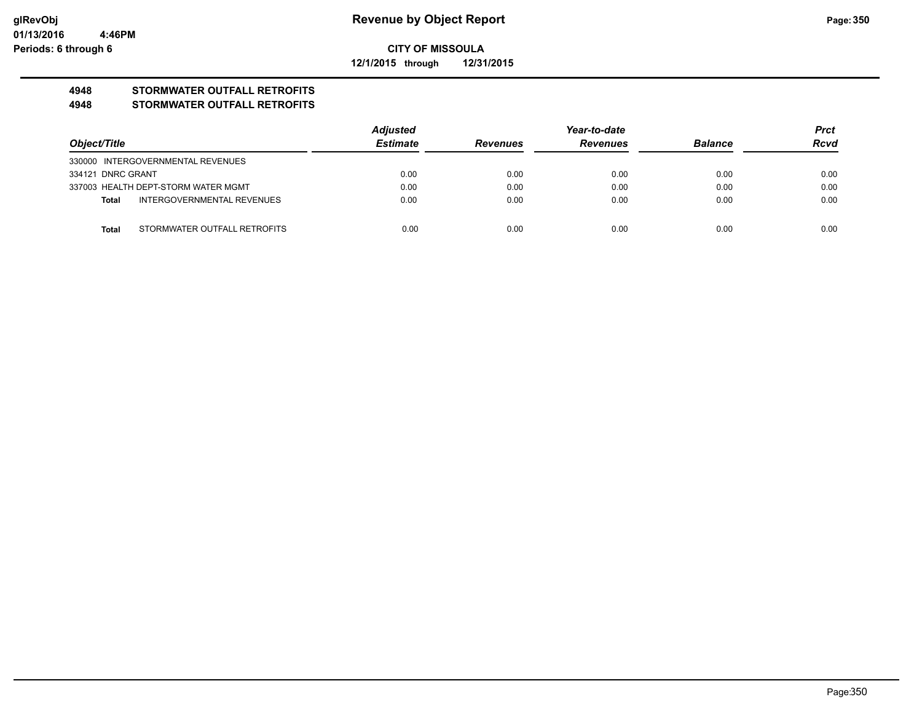**12/1/2015 through 12/31/2015**

# **4948 STORMWATER OUTFALL RETROFITS**

## **4948 STORMWATER OUTFALL RETROFITS**

|                   |                                     | <b>Adjusted</b> | Year-to-date    |                 |                | <b>Prct</b> |
|-------------------|-------------------------------------|-----------------|-----------------|-----------------|----------------|-------------|
| Object/Title      |                                     | <b>Estimate</b> | <b>Revenues</b> | <b>Revenues</b> | <b>Balance</b> | <b>Rcvd</b> |
|                   | 330000 INTERGOVERNMENTAL REVENUES   |                 |                 |                 |                |             |
| 334121 DNRC GRANT |                                     | 0.00            | 0.00            | 0.00            | 0.00           | 0.00        |
|                   | 337003 HEALTH DEPT-STORM WATER MGMT | 0.00            | 0.00            | 0.00            | 0.00           | 0.00        |
| Total             | INTERGOVERNMENTAL REVENUES          | 0.00            | 0.00            | 0.00            | 0.00           | 0.00        |
|                   |                                     |                 |                 |                 |                |             |
| <b>Total</b>      | STORMWATER OUTFALL RETROFITS        | 0.00            | 0.00            | 0.00            | 0.00           | 0.00        |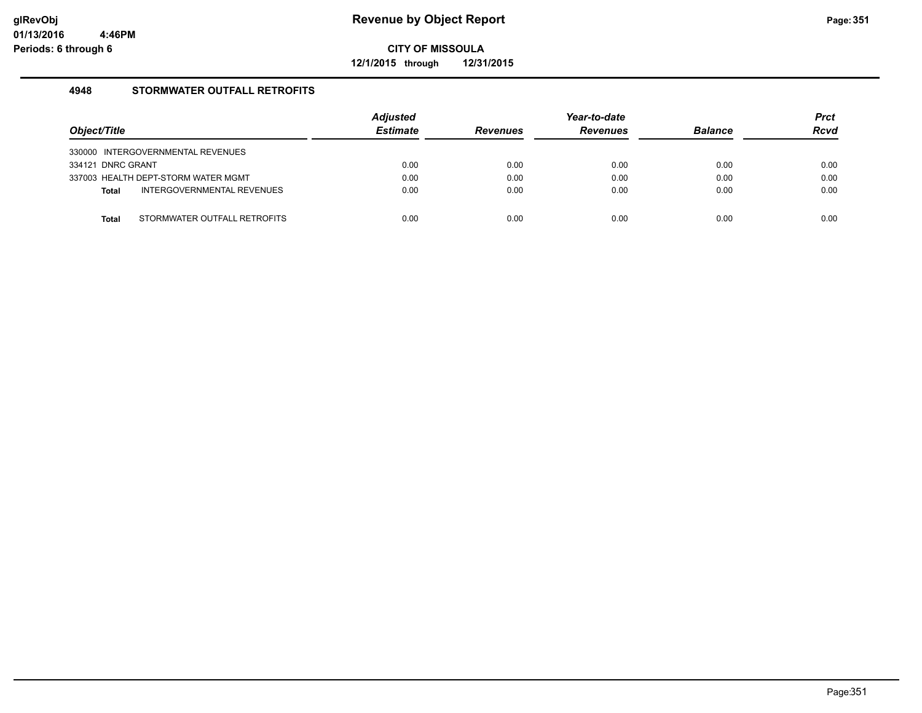**12/1/2015 through 12/31/2015**

# **4948 STORMWATER OUTFALL RETROFITS**

| Object/Title                                 | <b>Adjusted</b><br><b>Estimate</b> | <b>Revenues</b> | Year-to-date<br><b>Revenues</b> | <b>Balance</b> | <b>Prct</b><br><b>Rcvd</b> |
|----------------------------------------------|------------------------------------|-----------------|---------------------------------|----------------|----------------------------|
| 330000 INTERGOVERNMENTAL REVENUES            |                                    |                 |                                 |                |                            |
| 334121 DNRC GRANT                            | 0.00                               | 0.00            | 0.00                            | 0.00           | 0.00                       |
| 337003 HEALTH DEPT-STORM WATER MGMT          | 0.00                               | 0.00            | 0.00                            | 0.00           | 0.00                       |
| INTERGOVERNMENTAL REVENUES<br><b>Total</b>   | 0.00                               | 0.00            | 0.00                            | 0.00           | 0.00                       |
|                                              |                                    |                 |                                 |                |                            |
| STORMWATER OUTFALL RETROFITS<br><b>Total</b> | 0.00                               | 0.00            | 0.00                            | 0.00           | 0.00                       |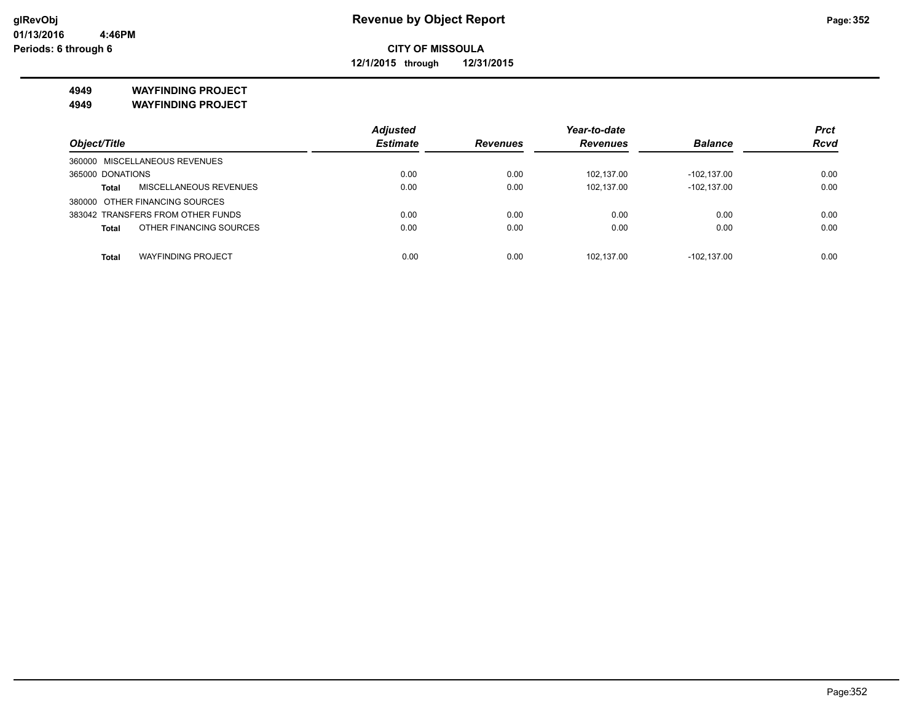**12/1/2015 through 12/31/2015**

**4949 WAYFINDING PROJECT**

**4949 WAYFINDING PROJECT**

|                                               | <b>Adjusted</b> |                 | Year-to-date    |                | <b>Prct</b> |
|-----------------------------------------------|-----------------|-----------------|-----------------|----------------|-------------|
| Object/Title                                  | <b>Estimate</b> | <b>Revenues</b> | <b>Revenues</b> | <b>Balance</b> | <b>Rcvd</b> |
| 360000 MISCELLANEOUS REVENUES                 |                 |                 |                 |                |             |
| 365000 DONATIONS                              | 0.00            | 0.00            | 102.137.00      | -102.137.00    | 0.00        |
| <b>MISCELLANEOUS REVENUES</b><br><b>Total</b> | 0.00            | 0.00            | 102.137.00      | $-102.137.00$  | 0.00        |
| 380000 OTHER FINANCING SOURCES                |                 |                 |                 |                |             |
| 383042 TRANSFERS FROM OTHER FUNDS             | 0.00            | 0.00            | 0.00            | 0.00           | 0.00        |
| OTHER FINANCING SOURCES<br><b>Total</b>       | 0.00            | 0.00            | 0.00            | 0.00           | 0.00        |
|                                               |                 |                 |                 |                |             |
| <b>WAYFINDING PROJECT</b><br><b>Total</b>     | 0.00            | 0.00            | 102.137.00      | -102.137.00    | 0.00        |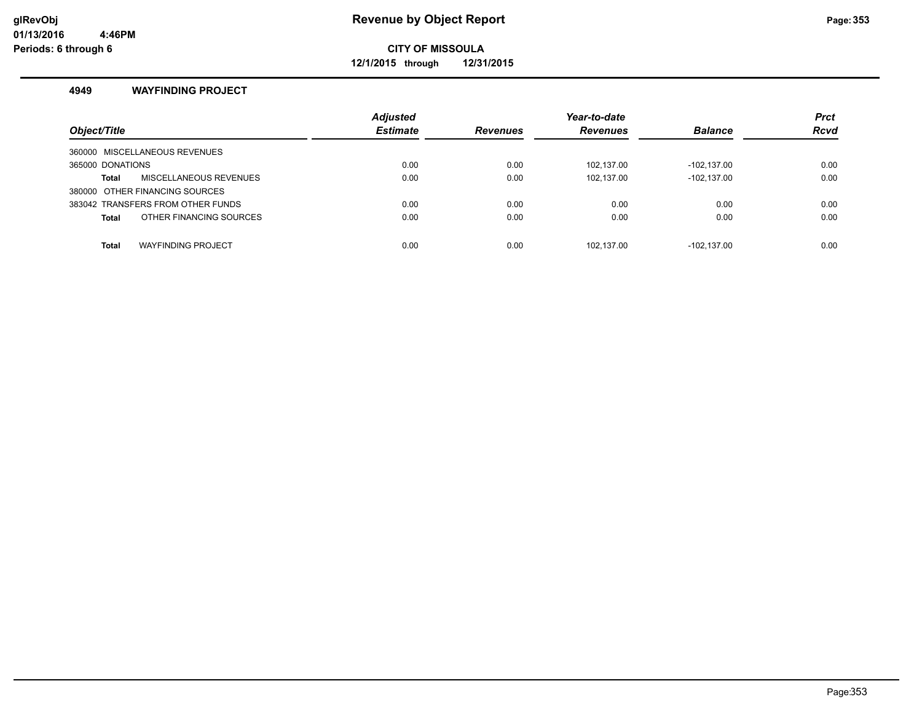**12/1/2015 through 12/31/2015**

## **4949 WAYFINDING PROJECT**

| Object/Title                              | <b>Adjusted</b><br><b>Estimate</b> | <b>Revenues</b> | Year-to-date<br><b>Revenues</b> | <b>Balance</b> | <b>Prct</b><br><b>Rcvd</b> |
|-------------------------------------------|------------------------------------|-----------------|---------------------------------|----------------|----------------------------|
| 360000 MISCELLANEOUS REVENUES             |                                    |                 |                                 |                |                            |
| 365000 DONATIONS                          | 0.00                               | 0.00            | 102.137.00                      | $-102.137.00$  | 0.00                       |
| MISCELLANEOUS REVENUES<br>Total           | 0.00                               | 0.00            | 102.137.00                      | $-102.137.00$  | 0.00                       |
| 380000 OTHER FINANCING SOURCES            |                                    |                 |                                 |                |                            |
| 383042 TRANSFERS FROM OTHER FUNDS         | 0.00                               | 0.00            | 0.00                            | 0.00           | 0.00                       |
| OTHER FINANCING SOURCES<br><b>Total</b>   | 0.00                               | 0.00            | 0.00                            | 0.00           | 0.00                       |
|                                           |                                    |                 |                                 |                |                            |
| <b>WAYFINDING PROJECT</b><br><b>Total</b> | 0.00                               | 0.00            | 102.137.00                      | -102.137.00    | 0.00                       |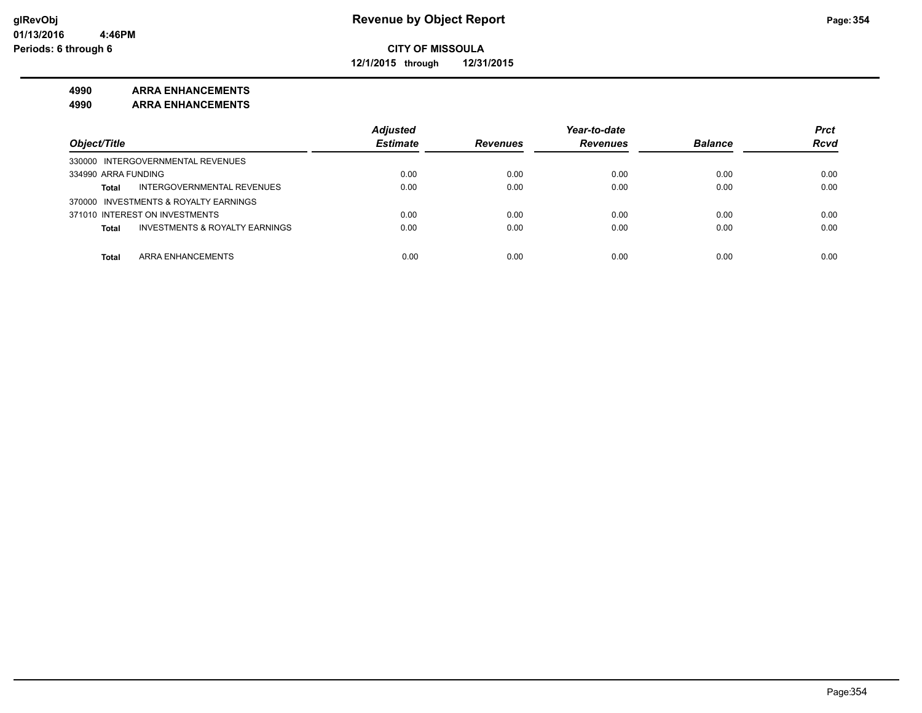**12/1/2015 through 12/31/2015**

# **4990 ARRA ENHANCEMENTS**

**4990 ARRA ENHANCEMENTS**

|                                                           | <b>Adjusted</b> |                 | Year-to-date    |                | <b>Prct</b> |
|-----------------------------------------------------------|-----------------|-----------------|-----------------|----------------|-------------|
| Object/Title                                              | <b>Estimate</b> | <b>Revenues</b> | <b>Revenues</b> | <b>Balance</b> | <b>Rcvd</b> |
| 330000 INTERGOVERNMENTAL REVENUES                         |                 |                 |                 |                |             |
| 334990 ARRA FUNDING                                       | 0.00            | 0.00            | 0.00            | 0.00           | 0.00        |
| INTERGOVERNMENTAL REVENUES<br><b>Total</b>                | 0.00            | 0.00            | 0.00            | 0.00           | 0.00        |
| 370000 INVESTMENTS & ROYALTY EARNINGS                     |                 |                 |                 |                |             |
| 371010 INTEREST ON INVESTMENTS                            | 0.00            | 0.00            | 0.00            | 0.00           | 0.00        |
| <b>INVESTMENTS &amp; ROYALTY EARNINGS</b><br><b>Total</b> | 0.00            | 0.00            | 0.00            | 0.00           | 0.00        |
|                                                           |                 |                 |                 |                |             |
| ARRA ENHANCEMENTS<br><b>Total</b>                         | 0.00            | 0.00            | 0.00            | 0.00           | 0.00        |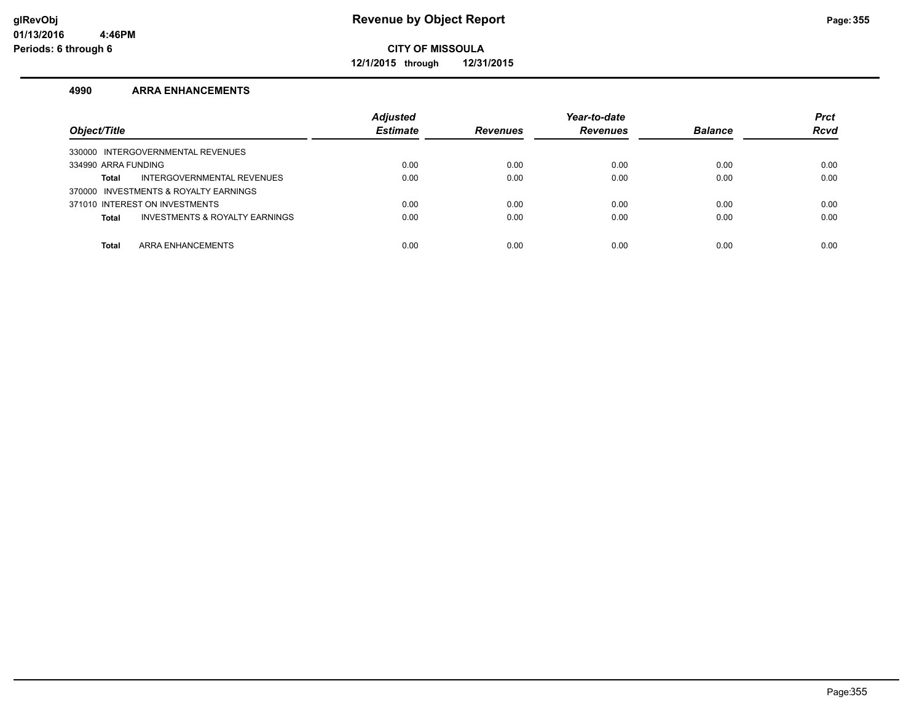**12/1/2015 through 12/31/2015**

#### **4990 ARRA ENHANCEMENTS**

| Object/Title                                   | <b>Adjusted</b><br><b>Estimate</b> | <b>Revenues</b> | Year-to-date<br><b>Revenues</b> | <b>Balance</b> | <b>Prct</b><br><b>Rcvd</b> |
|------------------------------------------------|------------------------------------|-----------------|---------------------------------|----------------|----------------------------|
| 330000 INTERGOVERNMENTAL REVENUES              |                                    |                 |                                 |                |                            |
| 334990 ARRA FUNDING                            | 0.00                               | 0.00            | 0.00                            | 0.00           | 0.00                       |
| INTERGOVERNMENTAL REVENUES<br>Total            | 0.00                               | 0.00            | 0.00                            | 0.00           | 0.00                       |
| 370000 INVESTMENTS & ROYALTY EARNINGS          |                                    |                 |                                 |                |                            |
| 371010 INTEREST ON INVESTMENTS                 | 0.00                               | 0.00            | 0.00                            | 0.00           | 0.00                       |
| INVESTMENTS & ROYALTY EARNINGS<br><b>Total</b> | 0.00                               | 0.00            | 0.00                            | 0.00           | 0.00                       |
|                                                |                                    |                 |                                 |                |                            |
| ARRA ENHANCEMENTS<br><b>Total</b>              | 0.00                               | 0.00            | 0.00                            | 0.00           | 0.00                       |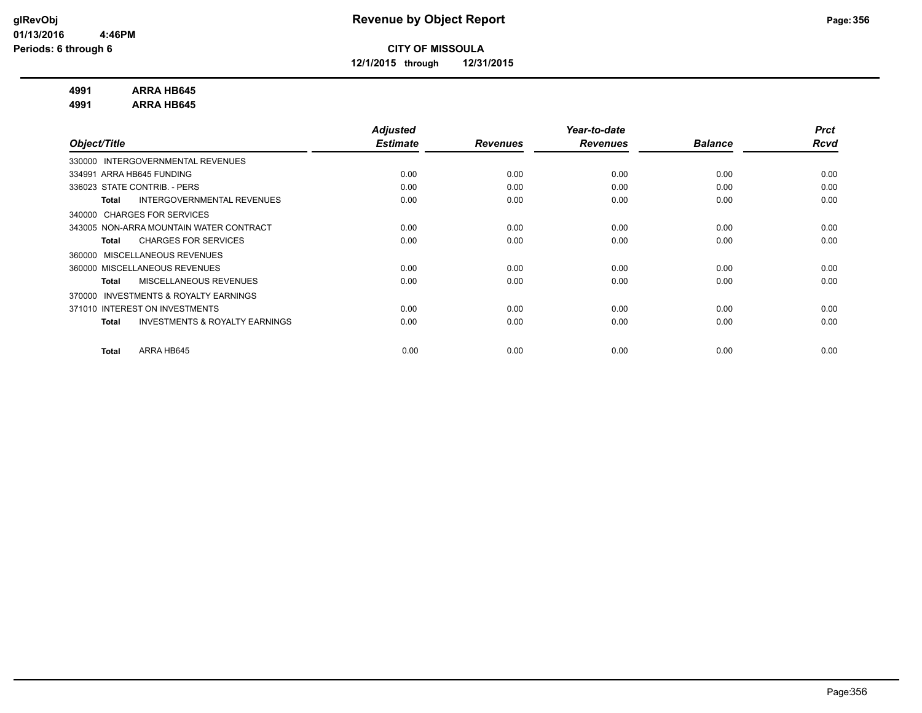**12/1/2015 through 12/31/2015**

## **4991 ARRA HB645**

**4991 ARRA HB645**

|                                                           | <b>Adjusted</b> |                 | Year-to-date    |                | <b>Prct</b> |
|-----------------------------------------------------------|-----------------|-----------------|-----------------|----------------|-------------|
| Object/Title                                              | <b>Estimate</b> | <b>Revenues</b> | <b>Revenues</b> | <b>Balance</b> | Rcvd        |
| INTERGOVERNMENTAL REVENUES<br>330000                      |                 |                 |                 |                |             |
| 334991 ARRA HB645 FUNDING                                 | 0.00            | 0.00            | 0.00            | 0.00           | 0.00        |
| 336023 STATE CONTRIB. - PERS                              | 0.00            | 0.00            | 0.00            | 0.00           | 0.00        |
| INTERGOVERNMENTAL REVENUES<br><b>Total</b>                | 0.00            | 0.00            | 0.00            | 0.00           | 0.00        |
| <b>CHARGES FOR SERVICES</b><br>340000                     |                 |                 |                 |                |             |
| 343005 NON-ARRA MOUNTAIN WATER CONTRACT                   | 0.00            | 0.00            | 0.00            | 0.00           | 0.00        |
| <b>CHARGES FOR SERVICES</b><br><b>Total</b>               | 0.00            | 0.00            | 0.00            | 0.00           | 0.00        |
| MISCELLANEOUS REVENUES<br>360000                          |                 |                 |                 |                |             |
| 360000 MISCELLANEOUS REVENUES                             | 0.00            | 0.00            | 0.00            | 0.00           | 0.00        |
| MISCELLANEOUS REVENUES<br><b>Total</b>                    | 0.00            | 0.00            | 0.00            | 0.00           | 0.00        |
| <b>INVESTMENTS &amp; ROYALTY EARNINGS</b><br>370000       |                 |                 |                 |                |             |
| 371010 INTEREST ON INVESTMENTS                            | 0.00            | 0.00            | 0.00            | 0.00           | 0.00        |
| <b>INVESTMENTS &amp; ROYALTY EARNINGS</b><br><b>Total</b> | 0.00            | 0.00            | 0.00            | 0.00           | 0.00        |
|                                                           |                 |                 |                 |                |             |
| ARRA HB645<br><b>Total</b>                                | 0.00            | 0.00            | 0.00            | 0.00           | 0.00        |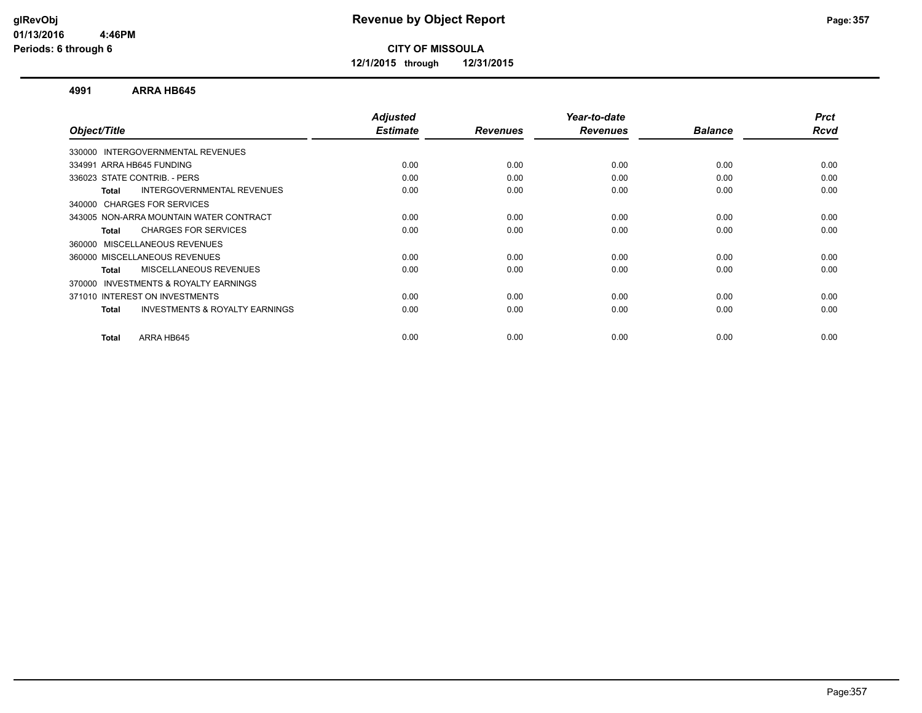**12/1/2015 through 12/31/2015**

#### **4991 ARRA HB645**

| Object/Title                                        | <b>Adjusted</b><br><b>Estimate</b> | <b>Revenues</b> | Year-to-date<br><b>Revenues</b> | <b>Balance</b> | <b>Prct</b><br>Rcvd |
|-----------------------------------------------------|------------------------------------|-----------------|---------------------------------|----------------|---------------------|
|                                                     |                                    |                 |                                 |                |                     |
| 330000 INTERGOVERNMENTAL REVENUES                   |                                    |                 |                                 |                |                     |
| 334991 ARRA HB645 FUNDING                           | 0.00                               | 0.00            | 0.00                            | 0.00           | 0.00                |
| 336023 STATE CONTRIB. - PERS                        | 0.00                               | 0.00            | 0.00                            | 0.00           | 0.00                |
| INTERGOVERNMENTAL REVENUES<br>Total                 | 0.00                               | 0.00            | 0.00                            | 0.00           | 0.00                |
| 340000 CHARGES FOR SERVICES                         |                                    |                 |                                 |                |                     |
| 343005 NON-ARRA MOUNTAIN WATER CONTRACT             | 0.00                               | 0.00            | 0.00                            | 0.00           | 0.00                |
| <b>CHARGES FOR SERVICES</b><br>Total                | 0.00                               | 0.00            | 0.00                            | 0.00           | 0.00                |
| 360000 MISCELLANEOUS REVENUES                       |                                    |                 |                                 |                |                     |
| 360000 MISCELLANEOUS REVENUES                       | 0.00                               | 0.00            | 0.00                            | 0.00           | 0.00                |
| <b>MISCELLANEOUS REVENUES</b><br>Total              | 0.00                               | 0.00            | 0.00                            | 0.00           | 0.00                |
| <b>INVESTMENTS &amp; ROYALTY EARNINGS</b><br>370000 |                                    |                 |                                 |                |                     |
| 371010 INTEREST ON INVESTMENTS                      | 0.00                               | 0.00            | 0.00                            | 0.00           | 0.00                |
| <b>INVESTMENTS &amp; ROYALTY EARNINGS</b><br>Total  | 0.00                               | 0.00            | 0.00                            | 0.00           | 0.00                |
|                                                     |                                    |                 |                                 |                |                     |
| ARRA HB645<br>Total                                 | 0.00                               | 0.00            | 0.00                            | 0.00           | 0.00                |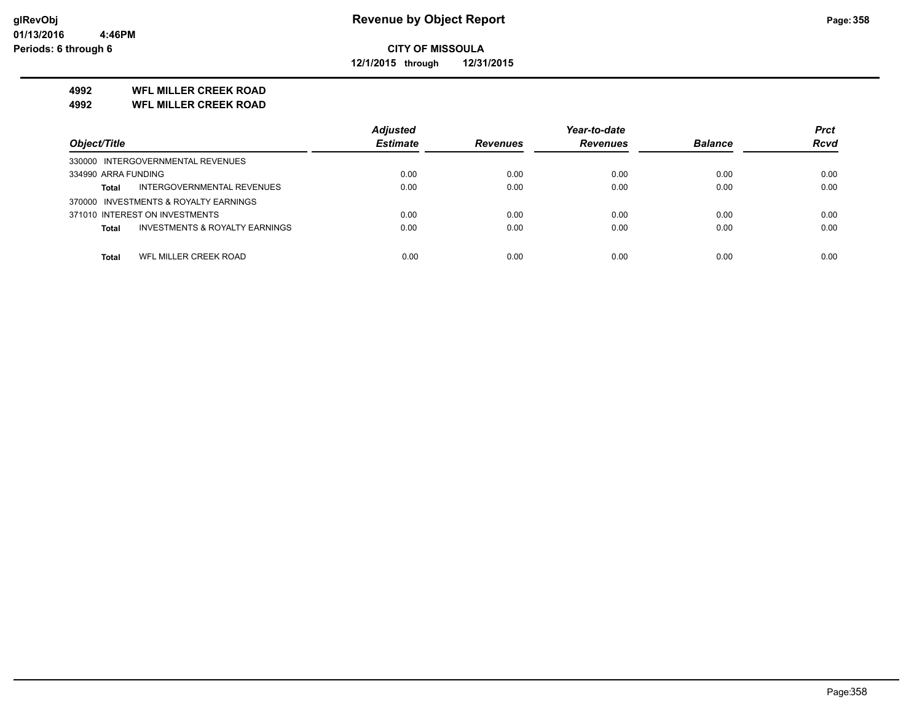**12/1/2015 through 12/31/2015**

# **4992 WFL MILLER CREEK ROAD**

**4992 WFL MILLER CREEK ROAD**

|                                                | <b>Adjusted</b> |                 | Year-to-date    |                | <b>Prct</b> |
|------------------------------------------------|-----------------|-----------------|-----------------|----------------|-------------|
| Object/Title                                   | <b>Estimate</b> | <b>Revenues</b> | <b>Revenues</b> | <b>Balance</b> | <b>Rcvd</b> |
| 330000 INTERGOVERNMENTAL REVENUES              |                 |                 |                 |                |             |
| 334990 ARRA FUNDING                            | 0.00            | 0.00            | 0.00            | 0.00           | 0.00        |
| INTERGOVERNMENTAL REVENUES<br><b>Total</b>     | 0.00            | 0.00            | 0.00            | 0.00           | 0.00        |
| 370000 INVESTMENTS & ROYALTY EARNINGS          |                 |                 |                 |                |             |
| 371010 INTEREST ON INVESTMENTS                 | 0.00            | 0.00            | 0.00            | 0.00           | 0.00        |
| INVESTMENTS & ROYALTY EARNINGS<br><b>Total</b> | 0.00            | 0.00            | 0.00            | 0.00           | 0.00        |
|                                                |                 |                 |                 |                |             |
| WFL MILLER CREEK ROAD<br>Total                 | 0.00            | 0.00            | 0.00            | 0.00           | 0.00        |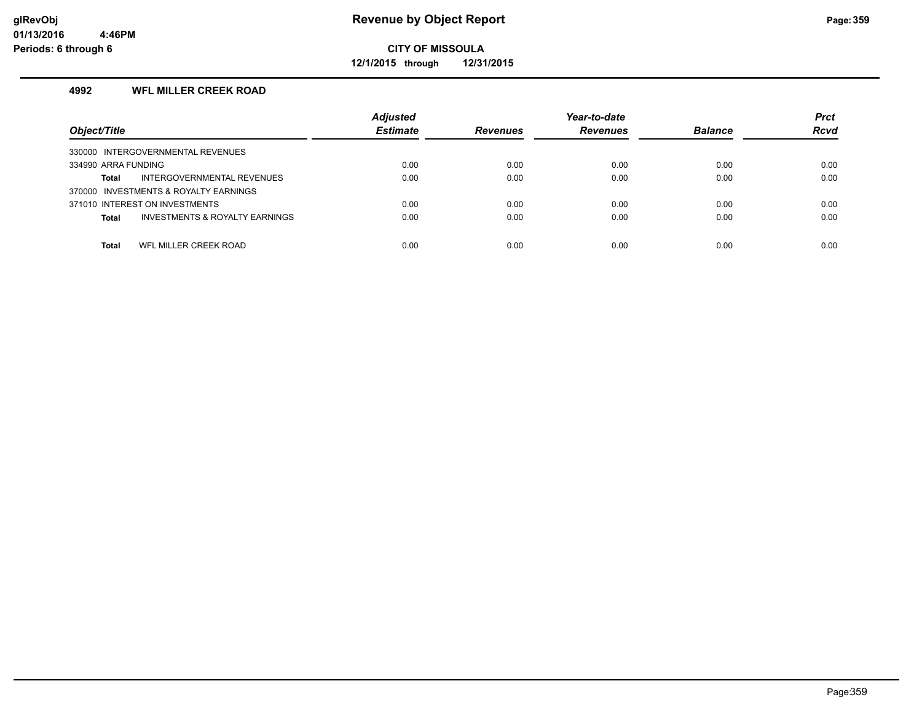**12/1/2015 through 12/31/2015**

# **4992 WFL MILLER CREEK ROAD**

| Object/Title                                   | <b>Adjusted</b><br><b>Estimate</b> | <b>Revenues</b> | Year-to-date<br><b>Revenues</b> | <b>Balance</b> | <b>Prct</b><br><b>Rcvd</b> |
|------------------------------------------------|------------------------------------|-----------------|---------------------------------|----------------|----------------------------|
| 330000 INTERGOVERNMENTAL REVENUES              |                                    |                 |                                 |                |                            |
| 334990 ARRA FUNDING                            | 0.00                               | 0.00            | 0.00                            | 0.00           | 0.00                       |
| INTERGOVERNMENTAL REVENUES<br>Total            | 0.00                               | 0.00            | 0.00                            | 0.00           | 0.00                       |
| 370000 INVESTMENTS & ROYALTY EARNINGS          |                                    |                 |                                 |                |                            |
| 371010 INTEREST ON INVESTMENTS                 | 0.00                               | 0.00            | 0.00                            | 0.00           | 0.00                       |
| INVESTMENTS & ROYALTY EARNINGS<br><b>Total</b> | 0.00                               | 0.00            | 0.00                            | 0.00           | 0.00                       |
|                                                |                                    |                 |                                 |                |                            |
| WFL MILLER CREEK ROAD<br>Total                 | 0.00                               | 0.00            | 0.00                            | 0.00           | 0.00                       |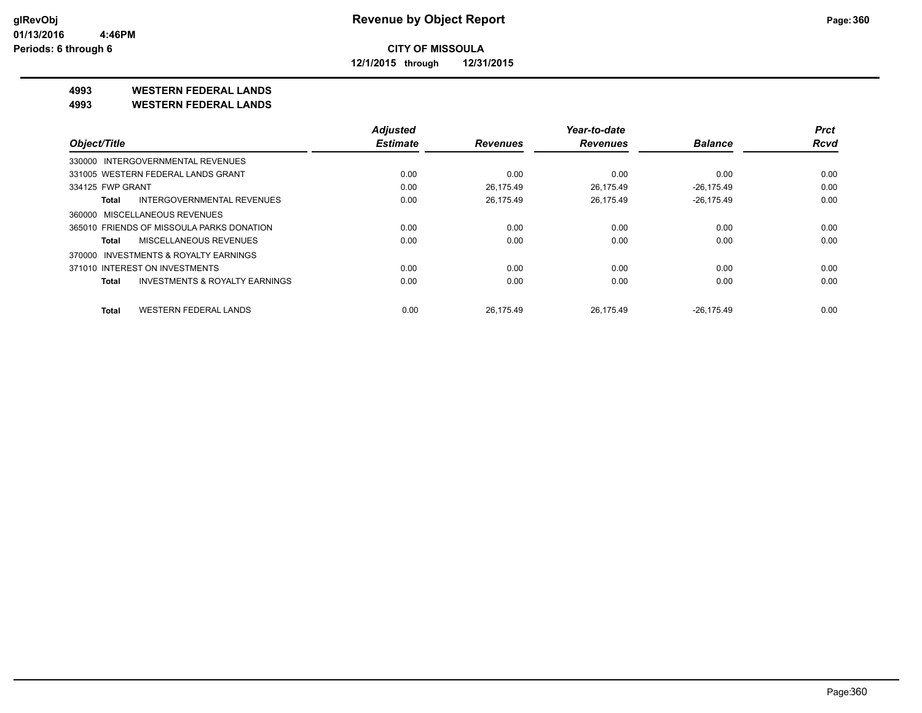**12/1/2015 through 12/31/2015**

# **4993 WESTERN FEDERAL LANDS**

**4993 WESTERN FEDERAL LANDS**

|                                              | <b>Adjusted</b> |                 | Year-to-date    |                | <b>Prct</b> |
|----------------------------------------------|-----------------|-----------------|-----------------|----------------|-------------|
| Object/Title                                 | <b>Estimate</b> | <b>Revenues</b> | <b>Revenues</b> | <b>Balance</b> | <b>Rcvd</b> |
| 330000 INTERGOVERNMENTAL REVENUES            |                 |                 |                 |                |             |
| 331005 WESTERN FEDERAL LANDS GRANT           | 0.00            | 0.00            | 0.00            | 0.00           | 0.00        |
| 334125 FWP GRANT                             | 0.00            | 26.175.49       | 26.175.49       | $-26.175.49$   | 0.00        |
| INTERGOVERNMENTAL REVENUES<br>Total          | 0.00            | 26,175.49       | 26,175.49       | $-26,175.49$   | 0.00        |
| 360000 MISCELLANEOUS REVENUES                |                 |                 |                 |                |             |
| 365010 FRIENDS OF MISSOULA PARKS DONATION    | 0.00            | 0.00            | 0.00            | 0.00           | 0.00        |
| MISCELLANEOUS REVENUES<br>Total              | 0.00            | 0.00            | 0.00            | 0.00           | 0.00        |
| 370000 INVESTMENTS & ROYALTY EARNINGS        |                 |                 |                 |                |             |
| 371010 INTEREST ON INVESTMENTS               | 0.00            | 0.00            | 0.00            | 0.00           | 0.00        |
| INVESTMENTS & ROYALTY EARNINGS<br>Total      | 0.00            | 0.00            | 0.00            | 0.00           | 0.00        |
| <b>WESTERN FEDERAL LANDS</b><br><b>Total</b> | 0.00            | 26.175.49       | 26.175.49       | $-26.175.49$   | 0.00        |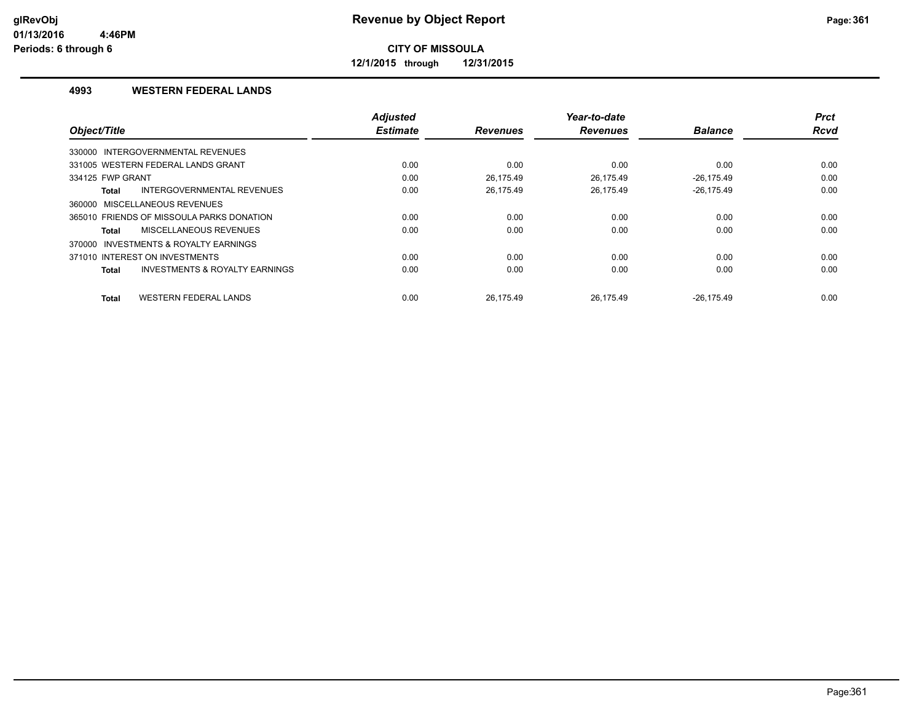**12/1/2015 through 12/31/2015**

#### **4993 WESTERN FEDERAL LANDS**

|                                                    | <b>Adjusted</b> |                 | Year-to-date    |                | <b>Prct</b> |
|----------------------------------------------------|-----------------|-----------------|-----------------|----------------|-------------|
| Object/Title                                       | <b>Estimate</b> | <b>Revenues</b> | <b>Revenues</b> | <b>Balance</b> | Rcvd        |
| INTERGOVERNMENTAL REVENUES<br>330000               |                 |                 |                 |                |             |
| 331005 WESTERN FEDERAL LANDS GRANT                 | 0.00            | 0.00            | 0.00            | 0.00           | 0.00        |
| 334125 FWP GRANT                                   | 0.00            | 26.175.49       | 26.175.49       | $-26.175.49$   | 0.00        |
| <b>INTERGOVERNMENTAL REVENUES</b><br>Total         | 0.00            | 26,175.49       | 26,175.49       | $-26,175.49$   | 0.00        |
| 360000 MISCELLANEOUS REVENUES                      |                 |                 |                 |                |             |
| 365010 FRIENDS OF MISSOULA PARKS DONATION          | 0.00            | 0.00            | 0.00            | 0.00           | 0.00        |
| MISCELLANEOUS REVENUES<br>Total                    | 0.00            | 0.00            | 0.00            | 0.00           | 0.00        |
| INVESTMENTS & ROYALTY EARNINGS<br>370000           |                 |                 |                 |                |             |
| 371010 INTEREST ON INVESTMENTS                     | 0.00            | 0.00            | 0.00            | 0.00           | 0.00        |
| <b>INVESTMENTS &amp; ROYALTY EARNINGS</b><br>Total | 0.00            | 0.00            | 0.00            | 0.00           | 0.00        |
| <b>WESTERN FEDERAL LANDS</b><br><b>Total</b>       | 0.00            | 26.175.49       | 26.175.49       | $-26.175.49$   | 0.00        |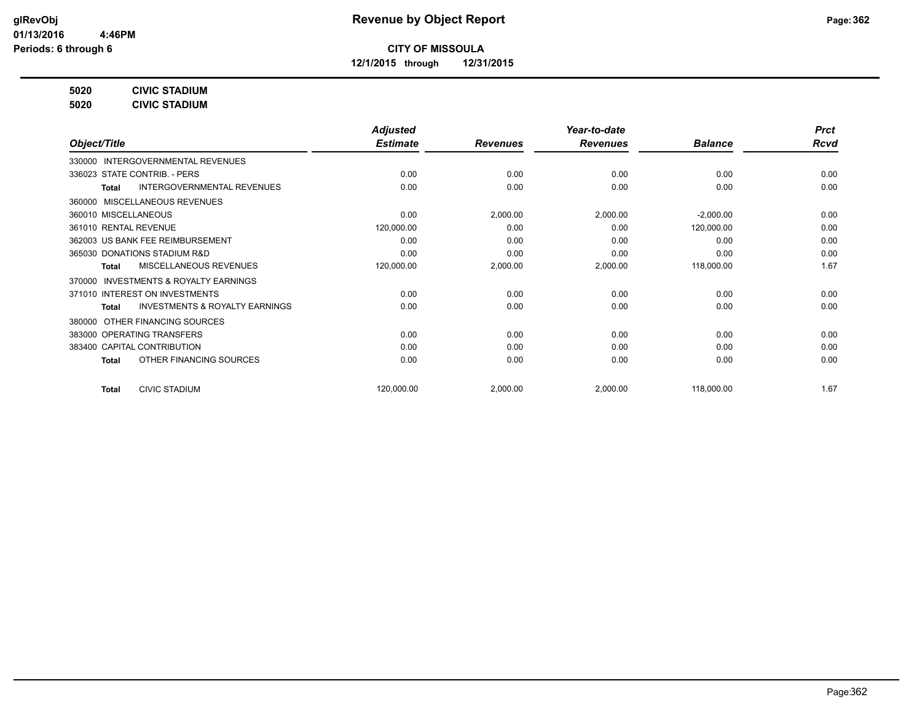**12/1/2015 through 12/31/2015**

**5020 CIVIC STADIUM**

**5020 CIVIC STADIUM**

|                                                           | <b>Adjusted</b> |                 | Year-to-date    |                | <b>Prct</b> |
|-----------------------------------------------------------|-----------------|-----------------|-----------------|----------------|-------------|
| Object/Title                                              | <b>Estimate</b> | <b>Revenues</b> | <b>Revenues</b> | <b>Balance</b> | <b>Rcvd</b> |
| INTERGOVERNMENTAL REVENUES<br>330000                      |                 |                 |                 |                |             |
| 336023 STATE CONTRIB. - PERS                              | 0.00            | 0.00            | 0.00            | 0.00           | 0.00        |
| <b>INTERGOVERNMENTAL REVENUES</b><br>Total                | 0.00            | 0.00            | 0.00            | 0.00           | 0.00        |
| MISCELLANEOUS REVENUES<br>360000                          |                 |                 |                 |                |             |
| 360010 MISCELLANEOUS                                      | 0.00            | 2,000.00        | 2,000.00        | $-2,000.00$    | 0.00        |
| 361010 RENTAL REVENUE                                     | 120,000.00      | 0.00            | 0.00            | 120,000.00     | 0.00        |
| 362003 US BANK FEE REIMBURSEMENT                          | 0.00            | 0.00            | 0.00            | 0.00           | 0.00        |
| 365030 DONATIONS STADIUM R&D                              | 0.00            | 0.00            | 0.00            | 0.00           | 0.00        |
| MISCELLANEOUS REVENUES<br>Total                           | 120,000.00      | 2,000.00        | 2,000.00        | 118,000.00     | 1.67        |
| <b>INVESTMENTS &amp; ROYALTY EARNINGS</b><br>370000       |                 |                 |                 |                |             |
| 371010 INTEREST ON INVESTMENTS                            | 0.00            | 0.00            | 0.00            | 0.00           | 0.00        |
| <b>INVESTMENTS &amp; ROYALTY EARNINGS</b><br><b>Total</b> | 0.00            | 0.00            | 0.00            | 0.00           | 0.00        |
| OTHER FINANCING SOURCES<br>380000                         |                 |                 |                 |                |             |
| 383000 OPERATING TRANSFERS                                | 0.00            | 0.00            | 0.00            | 0.00           | 0.00        |
| 383400 CAPITAL CONTRIBUTION                               | 0.00            | 0.00            | 0.00            | 0.00           | 0.00        |
| OTHER FINANCING SOURCES<br><b>Total</b>                   | 0.00            | 0.00            | 0.00            | 0.00           | 0.00        |
| <b>CIVIC STADIUM</b><br><b>Total</b>                      | 120,000.00      | 2,000.00        | 2,000.00        | 118,000.00     | 1.67        |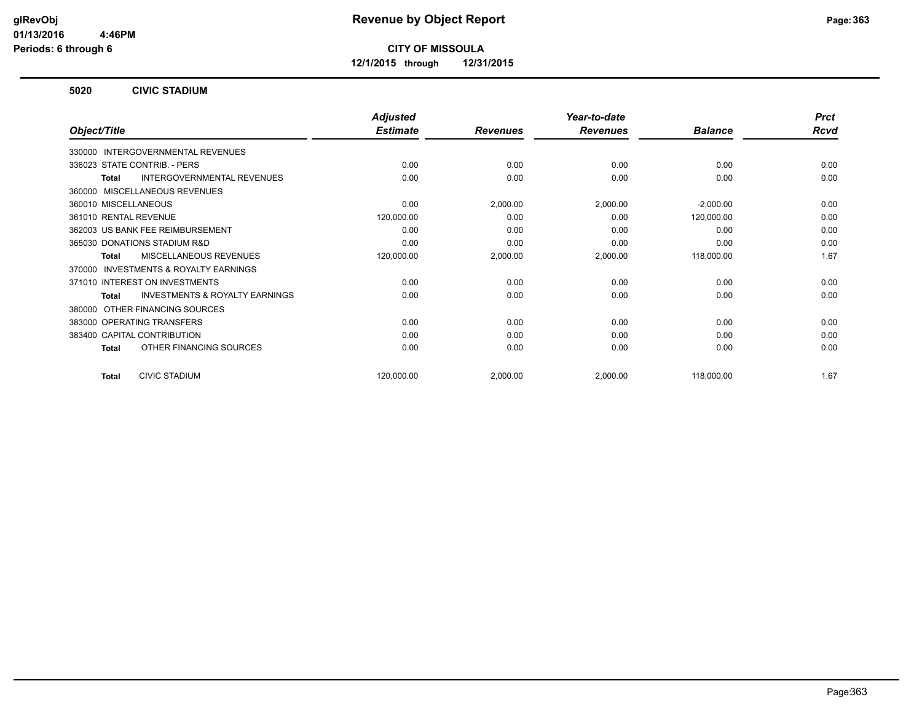**12/1/2015 through 12/31/2015**

#### **5020 CIVIC STADIUM**

|                                                           | <b>Adjusted</b> |                 | Year-to-date    |                | <b>Prct</b> |
|-----------------------------------------------------------|-----------------|-----------------|-----------------|----------------|-------------|
| Object/Title                                              | <b>Estimate</b> | <b>Revenues</b> | <b>Revenues</b> | <b>Balance</b> | <b>Rcvd</b> |
| 330000 INTERGOVERNMENTAL REVENUES                         |                 |                 |                 |                |             |
| 336023 STATE CONTRIB. - PERS                              | 0.00            | 0.00            | 0.00            | 0.00           | 0.00        |
| <b>INTERGOVERNMENTAL REVENUES</b><br>Total                | 0.00            | 0.00            | 0.00            | 0.00           | 0.00        |
| MISCELLANEOUS REVENUES<br>360000                          |                 |                 |                 |                |             |
| 360010 MISCELLANEOUS                                      | 0.00            | 2,000.00        | 2,000.00        | $-2,000.00$    | 0.00        |
| 361010 RENTAL REVENUE                                     | 120,000.00      | 0.00            | 0.00            | 120,000.00     | 0.00        |
| 362003 US BANK FEE REIMBURSEMENT                          | 0.00            | 0.00            | 0.00            | 0.00           | 0.00        |
| 365030 DONATIONS STADIUM R&D                              | 0.00            | 0.00            | 0.00            | 0.00           | 0.00        |
| <b>MISCELLANEOUS REVENUES</b><br><b>Total</b>             | 120,000.00      | 2,000.00        | 2,000.00        | 118,000.00     | 1.67        |
| INVESTMENTS & ROYALTY EARNINGS<br>370000                  |                 |                 |                 |                |             |
| 371010 INTEREST ON INVESTMENTS                            | 0.00            | 0.00            | 0.00            | 0.00           | 0.00        |
| <b>INVESTMENTS &amp; ROYALTY EARNINGS</b><br><b>Total</b> | 0.00            | 0.00            | 0.00            | 0.00           | 0.00        |
| OTHER FINANCING SOURCES<br>380000                         |                 |                 |                 |                |             |
| 383000 OPERATING TRANSFERS                                | 0.00            | 0.00            | 0.00            | 0.00           | 0.00        |
| 383400 CAPITAL CONTRIBUTION                               | 0.00            | 0.00            | 0.00            | 0.00           | 0.00        |
| OTHER FINANCING SOURCES<br>Total                          | 0.00            | 0.00            | 0.00            | 0.00           | 0.00        |
| <b>CIVIC STADIUM</b><br><b>Total</b>                      | 120,000.00      | 2,000.00        | 2,000.00        | 118,000.00     | 1.67        |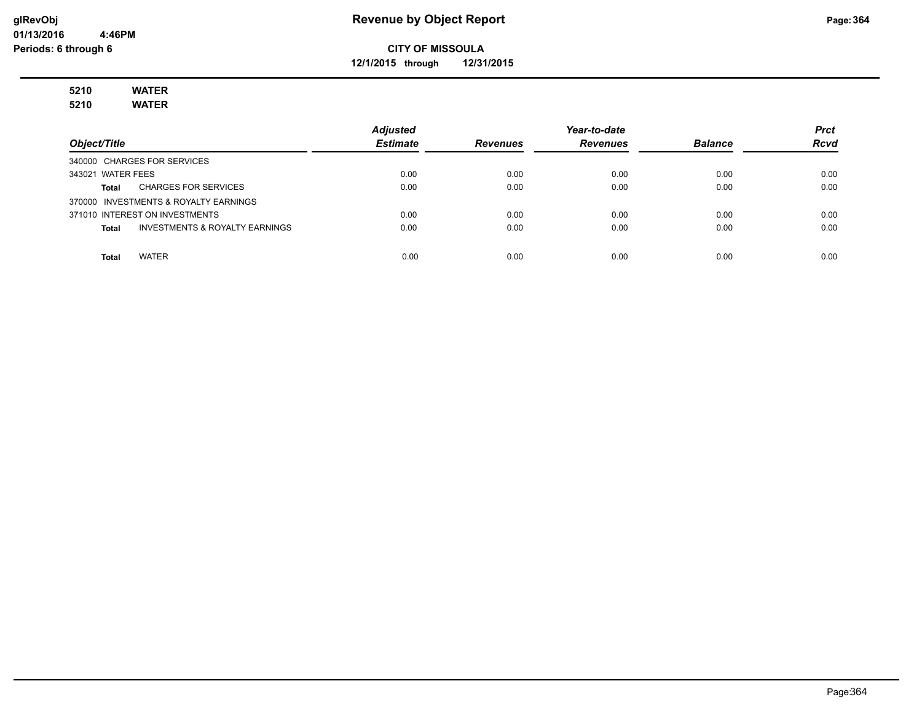**12/1/2015 through 12/31/2015**

# **5210 WATER**

**5210 WATER**

|                                                | <b>Adjusted</b> |                 | Year-to-date    |                | <b>Prct</b> |
|------------------------------------------------|-----------------|-----------------|-----------------|----------------|-------------|
| Object/Title                                   | <b>Estimate</b> | <b>Revenues</b> | <b>Revenues</b> | <b>Balance</b> | <b>Rcvd</b> |
| 340000 CHARGES FOR SERVICES                    |                 |                 |                 |                |             |
| 343021 WATER FEES                              | 0.00            | 0.00            | 0.00            | 0.00           | 0.00        |
| <b>CHARGES FOR SERVICES</b><br>Total           | 0.00            | 0.00            | 0.00            | 0.00           | 0.00        |
| 370000 INVESTMENTS & ROYALTY EARNINGS          |                 |                 |                 |                |             |
| 371010 INTEREST ON INVESTMENTS                 | 0.00            | 0.00            | 0.00            | 0.00           | 0.00        |
| INVESTMENTS & ROYALTY EARNINGS<br><b>Total</b> | 0.00            | 0.00            | 0.00            | 0.00           | 0.00        |
|                                                |                 |                 |                 |                |             |
| <b>WATER</b><br>Total                          | 0.00            | 0.00            | 0.00            | 0.00           | 0.00        |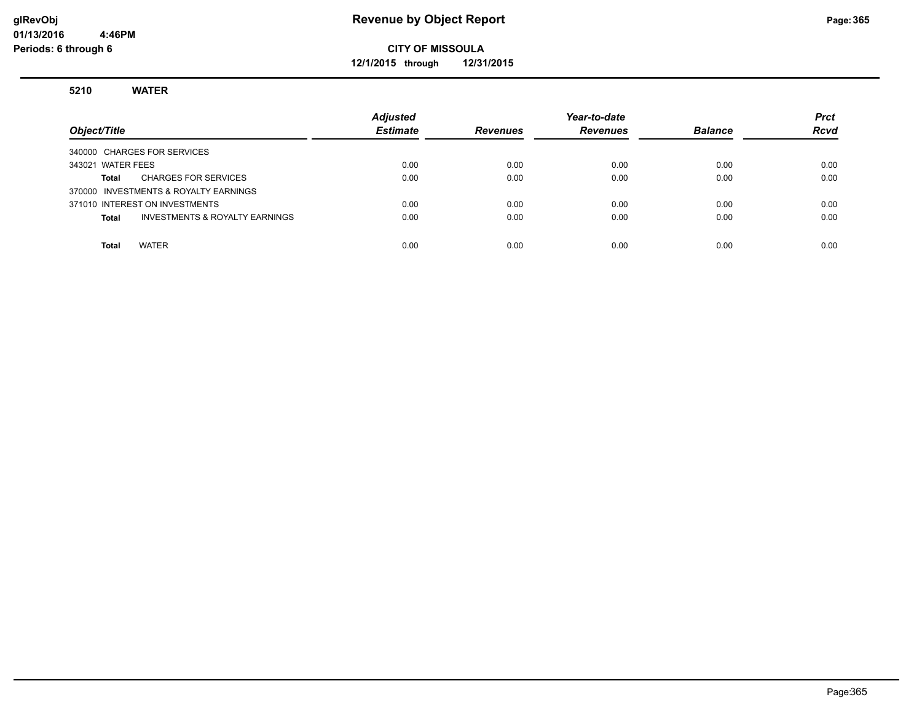**12/1/2015 through 12/31/2015**

#### **5210 WATER**

| Object/Title                                       | <b>Adjusted</b><br><b>Estimate</b> | <b>Revenues</b> | Year-to-date<br><b>Revenues</b> | <b>Balance</b> | <b>Prct</b><br><b>Rcvd</b> |
|----------------------------------------------------|------------------------------------|-----------------|---------------------------------|----------------|----------------------------|
| 340000 CHARGES FOR SERVICES                        |                                    |                 |                                 |                |                            |
| 343021 WATER FEES                                  | 0.00                               | 0.00            | 0.00                            | 0.00           | 0.00                       |
| <b>CHARGES FOR SERVICES</b><br>Total               | 0.00                               | 0.00            | 0.00                            | 0.00           | 0.00                       |
| 370000 INVESTMENTS & ROYALTY EARNINGS              |                                    |                 |                                 |                |                            |
| 371010 INTEREST ON INVESTMENTS                     | 0.00                               | 0.00            | 0.00                            | 0.00           | 0.00                       |
| <b>INVESTMENTS &amp; ROYALTY EARNINGS</b><br>Total | 0.00                               | 0.00            | 0.00                            | 0.00           | 0.00                       |
|                                                    |                                    |                 |                                 |                |                            |
| <b>WATER</b><br><b>Total</b>                       | 0.00                               | 0.00            | 0.00                            | 0.00           | 0.00                       |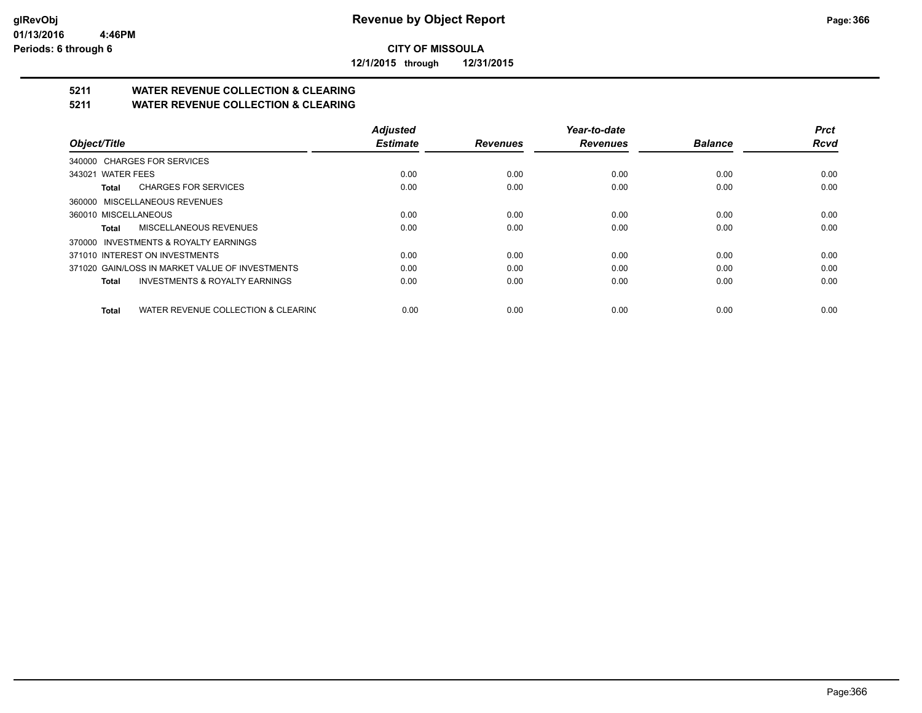**12/1/2015 through 12/31/2015**

## **5211 WATER REVENUE COLLECTION & CLEARING**

**5211 WATER REVENUE COLLECTION & CLEARING**

|                                                     | <b>Adjusted</b> |                 | Year-to-date    |                | <b>Prct</b> |
|-----------------------------------------------------|-----------------|-----------------|-----------------|----------------|-------------|
| Object/Title                                        | <b>Estimate</b> | <b>Revenues</b> | <b>Revenues</b> | <b>Balance</b> | <b>Rcvd</b> |
| 340000 CHARGES FOR SERVICES                         |                 |                 |                 |                |             |
| 343021 WATER FEES                                   | 0.00            | 0.00            | 0.00            | 0.00           | 0.00        |
| <b>CHARGES FOR SERVICES</b><br>Total                | 0.00            | 0.00            | 0.00            | 0.00           | 0.00        |
| 360000 MISCELLANEOUS REVENUES                       |                 |                 |                 |                |             |
| 360010 MISCELLANEOUS                                | 0.00            | 0.00            | 0.00            | 0.00           | 0.00        |
| MISCELLANEOUS REVENUES<br>Total                     | 0.00            | 0.00            | 0.00            | 0.00           | 0.00        |
| 370000 INVESTMENTS & ROYALTY EARNINGS               |                 |                 |                 |                |             |
| 371010 INTEREST ON INVESTMENTS                      | 0.00            | 0.00            | 0.00            | 0.00           | 0.00        |
| 371020 GAIN/LOSS IN MARKET VALUE OF INVESTMENTS     | 0.00            | 0.00            | 0.00            | 0.00           | 0.00        |
| <b>INVESTMENTS &amp; ROYALTY EARNINGS</b><br>Total  | 0.00            | 0.00            | 0.00            | 0.00           | 0.00        |
| WATER REVENUE COLLECTION & CLEARING<br><b>Total</b> | 0.00            | 0.00            | 0.00            | 0.00           | 0.00        |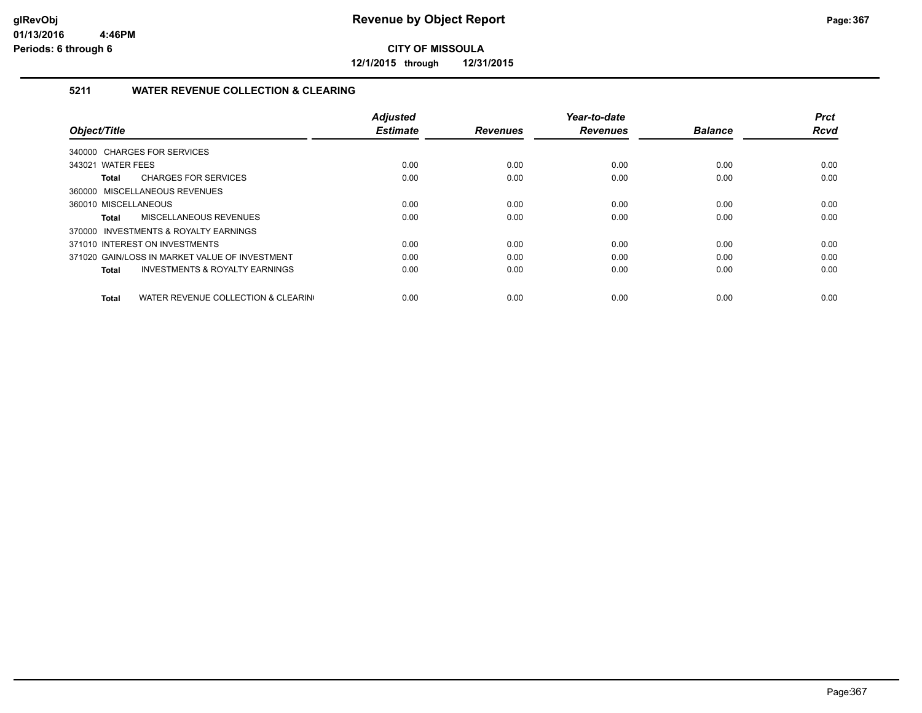**12/1/2015 through 12/31/2015**

#### **5211 WATER REVENUE COLLECTION & CLEARING**

|                                                     | <b>Adjusted</b> |                 | Year-to-date    |                | <b>Prct</b> |
|-----------------------------------------------------|-----------------|-----------------|-----------------|----------------|-------------|
| Object/Title                                        | <b>Estimate</b> | <b>Revenues</b> | <b>Revenues</b> | <b>Balance</b> | <b>Rcvd</b> |
| 340000 CHARGES FOR SERVICES                         |                 |                 |                 |                |             |
| 343021 WATER FEES                                   | 0.00            | 0.00            | 0.00            | 0.00           | 0.00        |
| <b>CHARGES FOR SERVICES</b><br>Total                | 0.00            | 0.00            | 0.00            | 0.00           | 0.00        |
| 360000 MISCELLANEOUS REVENUES                       |                 |                 |                 |                |             |
| 360010 MISCELLANEOUS                                | 0.00            | 0.00            | 0.00            | 0.00           | 0.00        |
| MISCELLANEOUS REVENUES<br>Total                     | 0.00            | 0.00            | 0.00            | 0.00           | 0.00        |
| 370000 INVESTMENTS & ROYALTY EARNINGS               |                 |                 |                 |                |             |
| 371010 INTEREST ON INVESTMENTS                      | 0.00            | 0.00            | 0.00            | 0.00           | 0.00        |
| 371020 GAIN/LOSS IN MARKET VALUE OF INVESTMENT      | 0.00            | 0.00            | 0.00            | 0.00           | 0.00        |
| <b>INVESTMENTS &amp; ROYALTY EARNINGS</b><br>Total  | 0.00            | 0.00            | 0.00            | 0.00           | 0.00        |
|                                                     |                 |                 |                 |                |             |
| WATER REVENUE COLLECTION & CLEARING<br><b>Total</b> | 0.00            | 0.00            | 0.00            | 0.00           | 0.00        |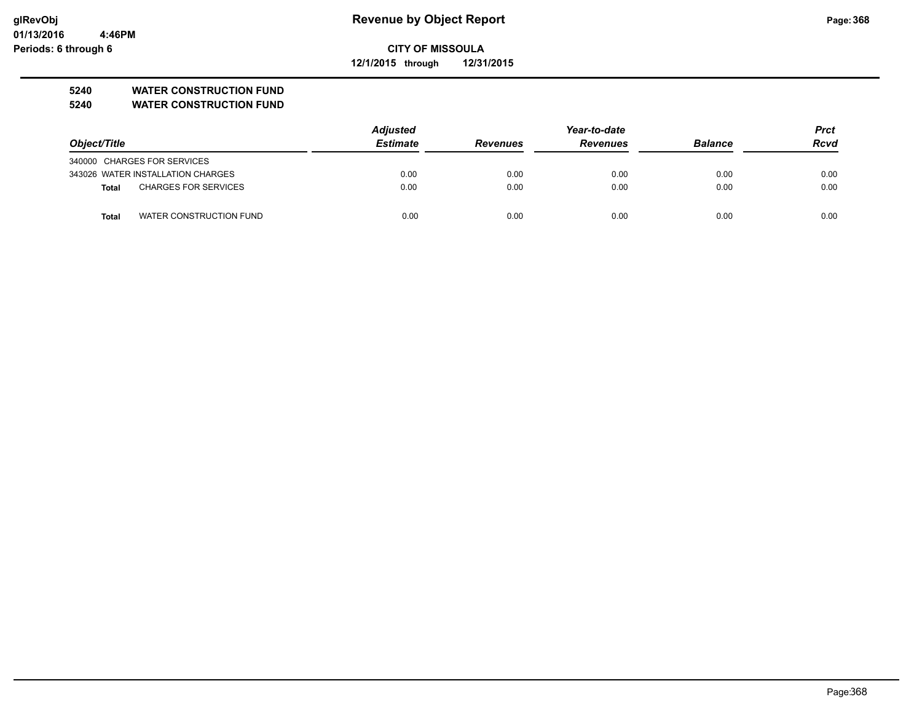**12/1/2015 through 12/31/2015**

#### **5240 WATER CONSTRUCTION FUND**

**5240 WATER CONSTRUCTION FUND**

|                                         | <b>Adjusted</b> |                 | Year-to-date    |                |             |
|-----------------------------------------|-----------------|-----------------|-----------------|----------------|-------------|
| Object/Title                            | <b>Estimate</b> | <b>Revenues</b> | <b>Revenues</b> | <b>Balance</b> | <b>Rcvd</b> |
| 340000 CHARGES FOR SERVICES             |                 |                 |                 |                |             |
| 343026 WATER INSTALLATION CHARGES       | 0.00            | 0.00            | 0.00            | 0.00           | 0.00        |
| <b>CHARGES FOR SERVICES</b><br>Total    | 0.00            | 0.00            | 0.00            | 0.00           | 0.00        |
| WATER CONSTRUCTION FUND<br><b>Total</b> | 0.00            | 0.00            | 0.00            | 0.00           | 0.00        |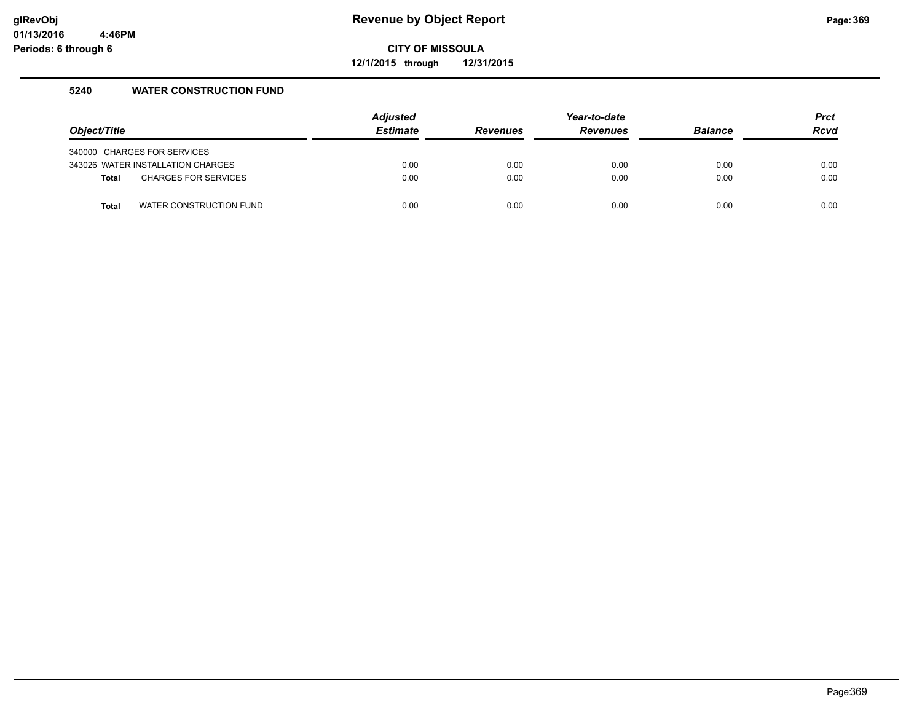**12/1/2015 through 12/31/2015**

#### **5240 WATER CONSTRUCTION FUND**

| Object/Title |                                   | <b>Adjusted</b><br><b>Estimate</b> | <b>Revenues</b> | Year-to-date<br><b>Revenues</b> | <b>Balance</b> | <b>Prct</b><br><b>Rcvd</b> |
|--------------|-----------------------------------|------------------------------------|-----------------|---------------------------------|----------------|----------------------------|
|              |                                   |                                    |                 |                                 |                |                            |
|              | 340000 CHARGES FOR SERVICES       |                                    |                 |                                 |                |                            |
|              | 343026 WATER INSTALLATION CHARGES | 0.00                               | 0.00            | 0.00                            | 0.00           | 0.00                       |
| <b>Total</b> | <b>CHARGES FOR SERVICES</b>       | 0.00                               | 0.00            | 0.00                            | 0.00           | 0.00                       |
|              |                                   |                                    |                 |                                 |                |                            |
| <b>Total</b> | WATER CONSTRUCTION FUND           | 0.00                               | 0.00            | 0.00                            | 0.00           | 0.00                       |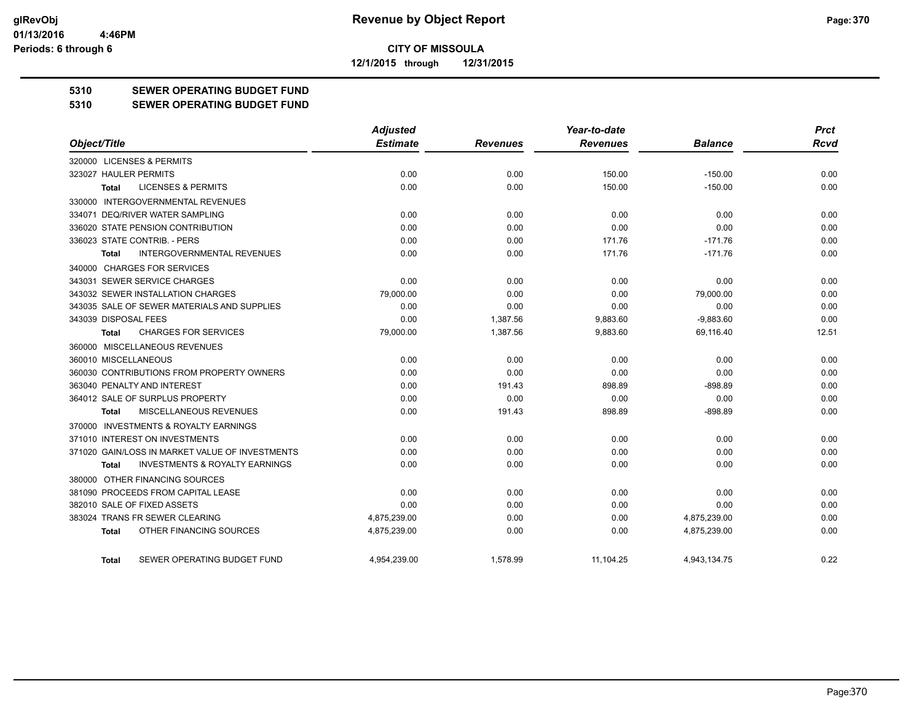**12/1/2015 through 12/31/2015**

#### **5310 SEWER OPERATING BUDGET FUND**

#### **5310 SEWER OPERATING BUDGET FUND**

|                                                    | <b>Adjusted</b> |                 | Year-to-date    |                | <b>Prct</b> |
|----------------------------------------------------|-----------------|-----------------|-----------------|----------------|-------------|
| Object/Title                                       | <b>Estimate</b> | <b>Revenues</b> | <b>Revenues</b> | <b>Balance</b> | Rcvd        |
| 320000 LICENSES & PERMITS                          |                 |                 |                 |                |             |
| 323027 HAULER PERMITS                              | 0.00            | 0.00            | 150.00          | $-150.00$      | 0.00        |
| <b>LICENSES &amp; PERMITS</b><br><b>Total</b>      | 0.00            | 0.00            | 150.00          | $-150.00$      | 0.00        |
| 330000 INTERGOVERNMENTAL REVENUES                  |                 |                 |                 |                |             |
| 334071 DEQ/RIVER WATER SAMPLING                    | 0.00            | 0.00            | 0.00            | 0.00           | 0.00        |
| 336020 STATE PENSION CONTRIBUTION                  | 0.00            | 0.00            | 0.00            | 0.00           | 0.00        |
| 336023 STATE CONTRIB. - PERS                       | 0.00            | 0.00            | 171.76          | $-171.76$      | 0.00        |
| <b>INTERGOVERNMENTAL REVENUES</b><br>Total         | 0.00            | 0.00            | 171.76          | $-171.76$      | 0.00        |
| 340000 CHARGES FOR SERVICES                        |                 |                 |                 |                |             |
| 343031 SEWER SERVICE CHARGES                       | 0.00            | 0.00            | 0.00            | 0.00           | 0.00        |
| 343032 SEWER INSTALLATION CHARGES                  | 79,000.00       | 0.00            | 0.00            | 79,000.00      | 0.00        |
| 343035 SALE OF SEWER MATERIALS AND SUPPLIES        | 0.00            | 0.00            | 0.00            | 0.00           | 0.00        |
| 343039 DISPOSAL FEES                               | 0.00            | 1,387.56        | 9,883.60        | $-9,883.60$    | 0.00        |
| <b>CHARGES FOR SERVICES</b><br>Total               | 79,000.00       | 1,387.56        | 9,883.60        | 69,116.40      | 12.51       |
| 360000 MISCELLANEOUS REVENUES                      |                 |                 |                 |                |             |
| 360010 MISCELLANEOUS                               | 0.00            | 0.00            | 0.00            | 0.00           | 0.00        |
| 360030 CONTRIBUTIONS FROM PROPERTY OWNERS          | 0.00            | 0.00            | 0.00            | 0.00           | 0.00        |
| 363040 PENALTY AND INTEREST                        | 0.00            | 191.43          | 898.89          | $-898.89$      | 0.00        |
| 364012 SALE OF SURPLUS PROPERTY                    | 0.00            | 0.00            | 0.00            | 0.00           | 0.00        |
| MISCELLANEOUS REVENUES<br>Total                    | 0.00            | 191.43          | 898.89          | $-898.89$      | 0.00        |
| 370000 INVESTMENTS & ROYALTY EARNINGS              |                 |                 |                 |                |             |
| 371010 INTEREST ON INVESTMENTS                     | 0.00            | 0.00            | 0.00            | 0.00           | 0.00        |
| 371020 GAIN/LOSS IN MARKET VALUE OF INVESTMENTS    | 0.00            | 0.00            | 0.00            | 0.00           | 0.00        |
| <b>INVESTMENTS &amp; ROYALTY EARNINGS</b><br>Total | 0.00            | 0.00            | 0.00            | 0.00           | 0.00        |
| 380000 OTHER FINANCING SOURCES                     |                 |                 |                 |                |             |
| 381090 PROCEEDS FROM CAPITAL LEASE                 | 0.00            | 0.00            | 0.00            | 0.00           | 0.00        |
| 382010 SALE OF FIXED ASSETS                        | 0.00            | 0.00            | 0.00            | 0.00           | 0.00        |
| 383024 TRANS FR SEWER CLEARING                     | 4,875,239.00    | 0.00            | 0.00            | 4,875,239.00   | 0.00        |
| OTHER FINANCING SOURCES<br>Total                   | 4,875,239.00    | 0.00            | 0.00            | 4,875,239.00   | 0.00        |
| SEWER OPERATING BUDGET FUND<br>Total               | 4.954.239.00    | 1.578.99        | 11.104.25       | 4.943.134.75   | 0.22        |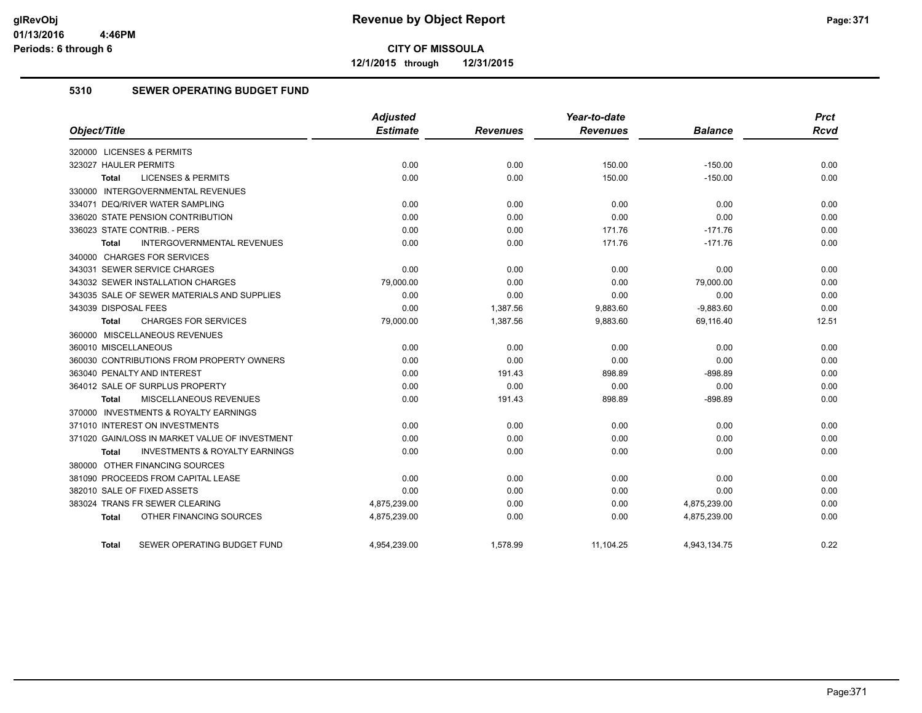**12/1/2015 through 12/31/2015**

#### **5310 SEWER OPERATING BUDGET FUND**

|                                                           | Adjusted        |                 | Year-to-date    |                | <b>Prct</b> |
|-----------------------------------------------------------|-----------------|-----------------|-----------------|----------------|-------------|
| Object/Title                                              | <b>Estimate</b> | <b>Revenues</b> | <b>Revenues</b> | <b>Balance</b> | <b>Rcvd</b> |
| 320000 LICENSES & PERMITS                                 |                 |                 |                 |                |             |
| 323027 HAULER PERMITS                                     | 0.00            | 0.00            | 150.00          | $-150.00$      | 0.00        |
| <b>LICENSES &amp; PERMITS</b><br><b>Total</b>             | 0.00            | 0.00            | 150.00          | $-150.00$      | 0.00        |
| 330000 INTERGOVERNMENTAL REVENUES                         |                 |                 |                 |                |             |
| 334071 DEQ/RIVER WATER SAMPLING                           | 0.00            | 0.00            | 0.00            | 0.00           | 0.00        |
| 336020 STATE PENSION CONTRIBUTION                         | 0.00            | 0.00            | 0.00            | 0.00           | 0.00        |
| 336023 STATE CONTRIB. - PERS                              | 0.00            | 0.00            | 171.76          | $-171.76$      | 0.00        |
| <b>INTERGOVERNMENTAL REVENUES</b><br><b>Total</b>         | 0.00            | 0.00            | 171.76          | $-171.76$      | 0.00        |
| 340000 CHARGES FOR SERVICES                               |                 |                 |                 |                |             |
| 343031 SEWER SERVICE CHARGES                              | 0.00            | 0.00            | 0.00            | 0.00           | 0.00        |
| 343032 SEWER INSTALLATION CHARGES                         | 79,000.00       | 0.00            | 0.00            | 79,000.00      | 0.00        |
| 343035 SALE OF SEWER MATERIALS AND SUPPLIES               | 0.00            | 0.00            | 0.00            | 0.00           | 0.00        |
| 343039 DISPOSAL FEES                                      | 0.00            | 1,387.56        | 9,883.60        | $-9,883.60$    | 0.00        |
| <b>CHARGES FOR SERVICES</b><br><b>Total</b>               | 79,000.00       | 1,387.56        | 9,883.60        | 69,116.40      | 12.51       |
| 360000 MISCELLANEOUS REVENUES                             |                 |                 |                 |                |             |
| 360010 MISCELLANEOUS                                      | 0.00            | 0.00            | 0.00            | 0.00           | 0.00        |
| 360030 CONTRIBUTIONS FROM PROPERTY OWNERS                 | 0.00            | 0.00            | 0.00            | 0.00           | 0.00        |
| 363040 PENALTY AND INTEREST                               | 0.00            | 191.43          | 898.89          | $-898.89$      | 0.00        |
| 364012 SALE OF SURPLUS PROPERTY                           | 0.00            | 0.00            | 0.00            | 0.00           | 0.00        |
| MISCELLANEOUS REVENUES<br>Total                           | 0.00            | 191.43          | 898.89          | $-898.89$      | 0.00        |
| 370000 INVESTMENTS & ROYALTY EARNINGS                     |                 |                 |                 |                |             |
| 371010 INTEREST ON INVESTMENTS                            | 0.00            | 0.00            | 0.00            | 0.00           | 0.00        |
| 371020 GAIN/LOSS IN MARKET VALUE OF INVESTMENT            | 0.00            | 0.00            | 0.00            | 0.00           | 0.00        |
| <b>INVESTMENTS &amp; ROYALTY EARNINGS</b><br><b>Total</b> | 0.00            | 0.00            | 0.00            | 0.00           | 0.00        |
| 380000 OTHER FINANCING SOURCES                            |                 |                 |                 |                |             |
| 381090 PROCEEDS FROM CAPITAL LEASE                        | 0.00            | 0.00            | 0.00            | 0.00           | 0.00        |
| 382010 SALE OF FIXED ASSETS                               | 0.00            | 0.00            | 0.00            | 0.00           | 0.00        |
| 383024 TRANS FR SEWER CLEARING                            | 4,875,239.00    | 0.00            | 0.00            | 4,875,239.00   | 0.00        |
| OTHER FINANCING SOURCES<br>Total                          | 4,875,239.00    | 0.00            | 0.00            | 4,875,239.00   | 0.00        |
| SEWER OPERATING BUDGET FUND<br>Total                      | 4,954,239.00    | 1,578.99        | 11,104.25       | 4,943,134.75   | 0.22        |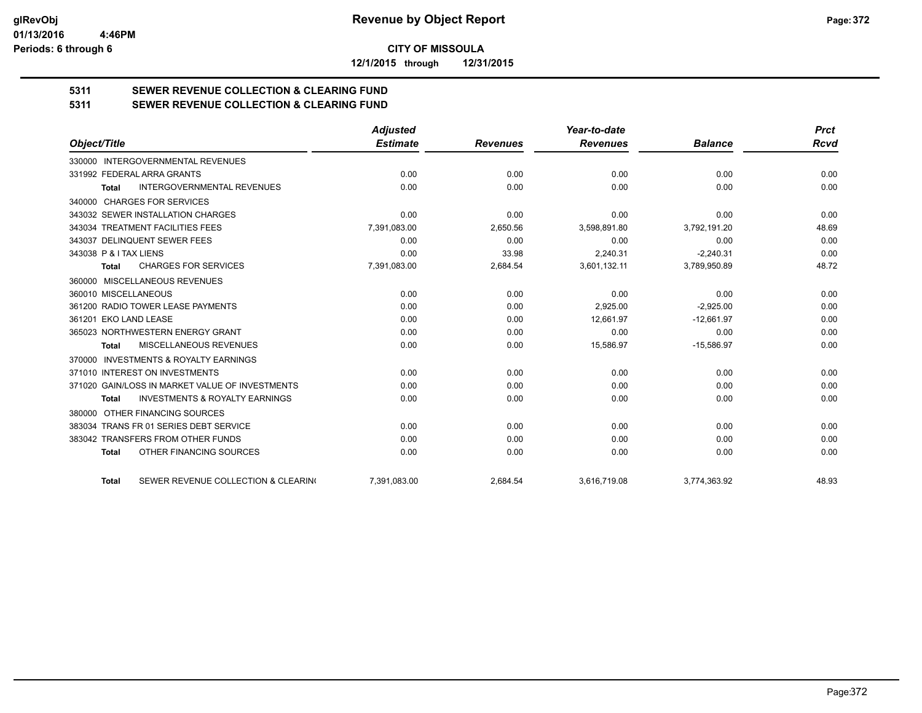**12/1/2015 through 12/31/2015**

# **5311 SEWER REVENUE COLLECTION & CLEARING FUND**

**5311 SEWER REVENUE COLLECTION & CLEARING FUND**

|                                                           | <b>Adjusted</b> |                 | Year-to-date    |                | <b>Prct</b> |
|-----------------------------------------------------------|-----------------|-----------------|-----------------|----------------|-------------|
| Object/Title                                              | <b>Estimate</b> | <b>Revenues</b> | <b>Revenues</b> | <b>Balance</b> | <b>Rcvd</b> |
| 330000 INTERGOVERNMENTAL REVENUES                         |                 |                 |                 |                |             |
| 331992 FEDERAL ARRA GRANTS                                | 0.00            | 0.00            | 0.00            | 0.00           | 0.00        |
| <b>INTERGOVERNMENTAL REVENUES</b><br><b>Total</b>         | 0.00            | 0.00            | 0.00            | 0.00           | 0.00        |
| 340000 CHARGES FOR SERVICES                               |                 |                 |                 |                |             |
| 343032 SEWER INSTALLATION CHARGES                         | 0.00            | 0.00            | 0.00            | 0.00           | 0.00        |
| 343034 TREATMENT FACILITIES FEES                          | 7,391,083.00    | 2,650.56        | 3,598,891.80    | 3,792,191.20   | 48.69       |
| 343037 DELINQUENT SEWER FEES                              | 0.00            | 0.00            | 0.00            | 0.00           | 0.00        |
| 343038 P & I TAX LIENS                                    | 0.00            | 33.98           | 2.240.31        | $-2.240.31$    | 0.00        |
| <b>CHARGES FOR SERVICES</b><br>Total                      | 7,391,083.00    | 2,684.54        | 3,601,132.11    | 3,789,950.89   | 48.72       |
| 360000 MISCELLANEOUS REVENUES                             |                 |                 |                 |                |             |
| 360010 MISCELLANEOUS                                      | 0.00            | 0.00            | 0.00            | 0.00           | 0.00        |
| 361200 RADIO TOWER LEASE PAYMENTS                         | 0.00            | 0.00            | 2,925.00        | $-2,925.00$    | 0.00        |
| 361201 EKO LAND LEASE                                     | 0.00            | 0.00            | 12.661.97       | $-12.661.97$   | 0.00        |
| 365023 NORTHWESTERN ENERGY GRANT                          | 0.00            | 0.00            | 0.00            | 0.00           | 0.00        |
| MISCELLANEOUS REVENUES<br><b>Total</b>                    | 0.00            | 0.00            | 15,586.97       | $-15,586.97$   | 0.00        |
| <b>INVESTMENTS &amp; ROYALTY EARNINGS</b><br>370000       |                 |                 |                 |                |             |
| 371010 INTEREST ON INVESTMENTS                            | 0.00            | 0.00            | 0.00            | 0.00           | 0.00        |
| 371020 GAIN/LOSS IN MARKET VALUE OF INVESTMENTS           | 0.00            | 0.00            | 0.00            | 0.00           | 0.00        |
| <b>INVESTMENTS &amp; ROYALTY EARNINGS</b><br><b>Total</b> | 0.00            | 0.00            | 0.00            | 0.00           | 0.00        |
| OTHER FINANCING SOURCES<br>380000                         |                 |                 |                 |                |             |
| 383034 TRANS FR 01 SERIES DEBT SERVICE                    | 0.00            | 0.00            | 0.00            | 0.00           | 0.00        |
| 383042 TRANSFERS FROM OTHER FUNDS                         | 0.00            | 0.00            | 0.00            | 0.00           | 0.00        |
| OTHER FINANCING SOURCES<br><b>Total</b>                   | 0.00            | 0.00            | 0.00            | 0.00           | 0.00        |
| SEWER REVENUE COLLECTION & CLEARING<br><b>Total</b>       | 7,391,083.00    | 2,684.54        | 3,616,719.08    | 3,774,363.92   | 48.93       |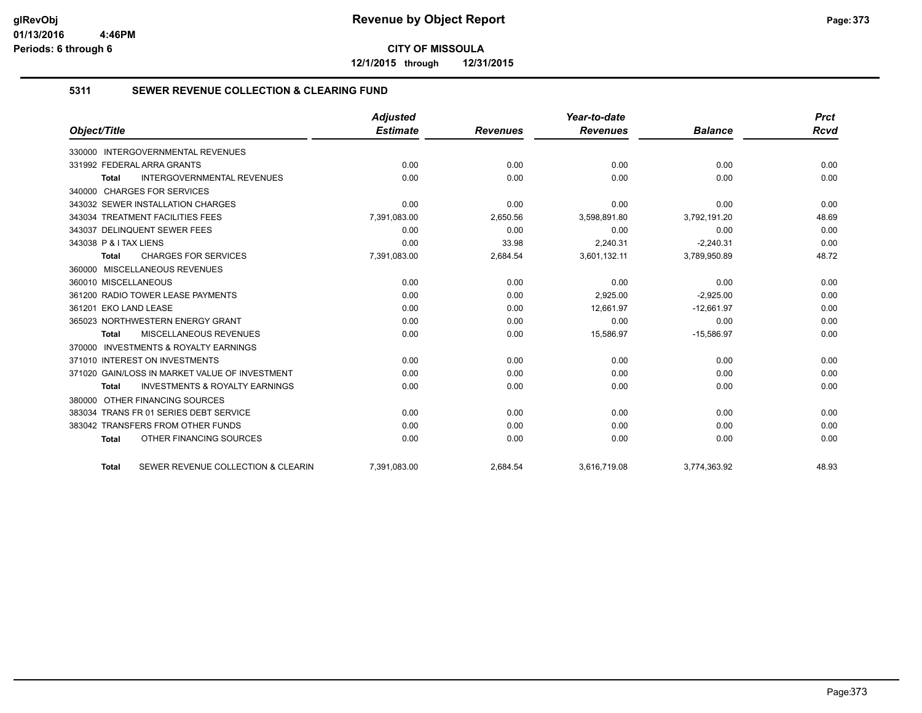**12/1/2015 through 12/31/2015**

#### **5311 SEWER REVENUE COLLECTION & CLEARING FUND**

|                                                    | <b>Adjusted</b> |                 | Year-to-date    |                | <b>Prct</b> |
|----------------------------------------------------|-----------------|-----------------|-----------------|----------------|-------------|
| Object/Title                                       | <b>Estimate</b> | <b>Revenues</b> | <b>Revenues</b> | <b>Balance</b> | Rcvd        |
| 330000 INTERGOVERNMENTAL REVENUES                  |                 |                 |                 |                |             |
| 331992 FEDERAL ARRA GRANTS                         | 0.00            | 0.00            | 0.00            | 0.00           | 0.00        |
| <b>INTERGOVERNMENTAL REVENUES</b><br>Total         | 0.00            | 0.00            | 0.00            | 0.00           | 0.00        |
| 340000 CHARGES FOR SERVICES                        |                 |                 |                 |                |             |
| 343032 SEWER INSTALLATION CHARGES                  | 0.00            | 0.00            | 0.00            | 0.00           | 0.00        |
| 343034 TREATMENT FACILITIES FEES                   | 7,391,083.00    | 2,650.56        | 3,598,891.80    | 3,792,191.20   | 48.69       |
| 343037 DELINQUENT SEWER FEES                       | 0.00            | 0.00            | 0.00            | 0.00           | 0.00        |
| 343038 P & I TAX LIENS                             | 0.00            | 33.98           | 2,240.31        | $-2,240.31$    | 0.00        |
| <b>CHARGES FOR SERVICES</b><br><b>Total</b>        | 7,391,083.00    | 2,684.54        | 3,601,132.11    | 3,789,950.89   | 48.72       |
| 360000 MISCELLANEOUS REVENUES                      |                 |                 |                 |                |             |
| 360010 MISCELLANEOUS                               | 0.00            | 0.00            | 0.00            | 0.00           | 0.00        |
| 361200 RADIO TOWER LEASE PAYMENTS                  | 0.00            | 0.00            | 2,925.00        | $-2,925.00$    | 0.00        |
| 361201 EKO LAND LEASE                              | 0.00            | 0.00            | 12,661.97       | $-12,661.97$   | 0.00        |
| 365023 NORTHWESTERN ENERGY GRANT                   | 0.00            | 0.00            | 0.00            | 0.00           | 0.00        |
| <b>MISCELLANEOUS REVENUES</b><br>Total             | 0.00            | 0.00            | 15,586.97       | $-15,586.97$   | 0.00        |
| 370000 INVESTMENTS & ROYALTY EARNINGS              |                 |                 |                 |                |             |
| 371010 INTEREST ON INVESTMENTS                     | 0.00            | 0.00            | 0.00            | 0.00           | 0.00        |
| 371020 GAIN/LOSS IN MARKET VALUE OF INVESTMENT     | 0.00            | 0.00            | 0.00            | 0.00           | 0.00        |
| <b>INVESTMENTS &amp; ROYALTY EARNINGS</b><br>Total | 0.00            | 0.00            | 0.00            | 0.00           | 0.00        |
| OTHER FINANCING SOURCES<br>380000                  |                 |                 |                 |                |             |
| 383034 TRANS FR 01 SERIES DEBT SERVICE             | 0.00            | 0.00            | 0.00            | 0.00           | 0.00        |
| 383042 TRANSFERS FROM OTHER FUNDS                  | 0.00            | 0.00            | 0.00            | 0.00           | 0.00        |
| OTHER FINANCING SOURCES<br><b>Total</b>            | 0.00            | 0.00            | 0.00            | 0.00           | 0.00        |
| SEWER REVENUE COLLECTION & CLEARIN<br><b>Total</b> | 7,391,083.00    | 2,684.54        | 3,616,719.08    | 3,774,363.92   | 48.93       |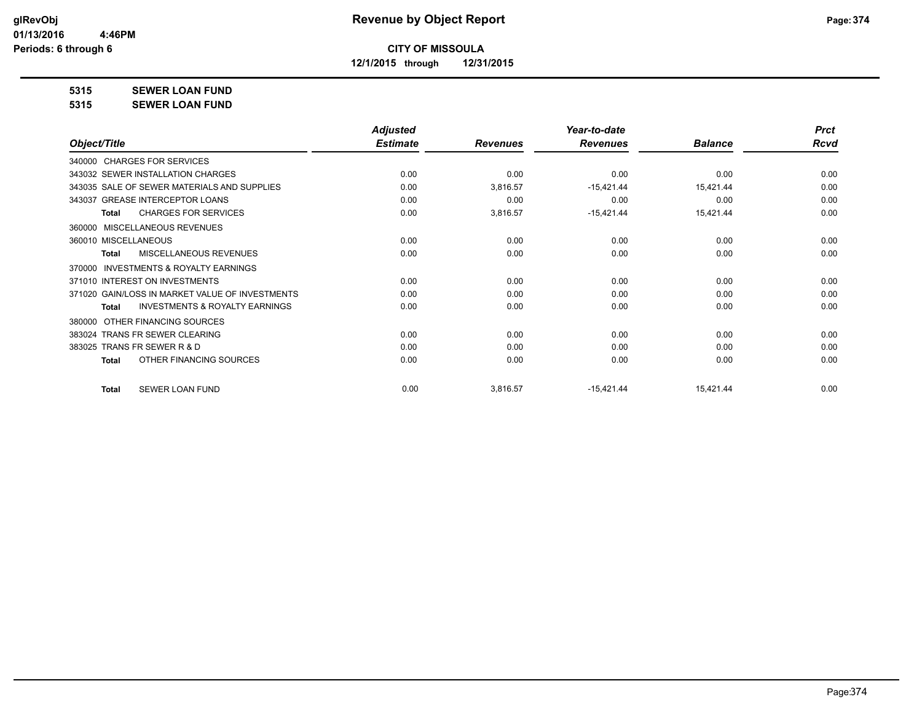**12/1/2015 through 12/31/2015**

### **5315 SEWER LOAN FUND**

**5315 SEWER LOAN FUND**

|                                                           | <b>Adjusted</b> |                 | Year-to-date    |                | <b>Prct</b> |
|-----------------------------------------------------------|-----------------|-----------------|-----------------|----------------|-------------|
| Object/Title                                              | <b>Estimate</b> | <b>Revenues</b> | <b>Revenues</b> | <b>Balance</b> | Rcvd        |
| 340000 CHARGES FOR SERVICES                               |                 |                 |                 |                |             |
| 343032 SEWER INSTALLATION CHARGES                         | 0.00            | 0.00            | 0.00            | 0.00           | 0.00        |
| 343035 SALE OF SEWER MATERIALS AND SUPPLIES               | 0.00            | 3,816.57        | $-15,421.44$    | 15,421.44      | 0.00        |
| 343037 GREASE INTERCEPTOR LOANS                           | 0.00            | 0.00            | 0.00            | 0.00           | 0.00        |
| <b>CHARGES FOR SERVICES</b><br><b>Total</b>               | 0.00            | 3,816.57        | $-15,421.44$    | 15,421.44      | 0.00        |
| MISCELLANEOUS REVENUES<br>360000                          |                 |                 |                 |                |             |
| 360010 MISCELLANEOUS                                      | 0.00            | 0.00            | 0.00            | 0.00           | 0.00        |
| <b>MISCELLANEOUS REVENUES</b><br><b>Total</b>             | 0.00            | 0.00            | 0.00            | 0.00           | 0.00        |
| <b>INVESTMENTS &amp; ROYALTY EARNINGS</b><br>370000       |                 |                 |                 |                |             |
| 371010 INTEREST ON INVESTMENTS                            | 0.00            | 0.00            | 0.00            | 0.00           | 0.00        |
| 371020 GAIN/LOSS IN MARKET VALUE OF INVESTMENTS           | 0.00            | 0.00            | 0.00            | 0.00           | 0.00        |
| <b>INVESTMENTS &amp; ROYALTY EARNINGS</b><br><b>Total</b> | 0.00            | 0.00            | 0.00            | 0.00           | 0.00        |
| OTHER FINANCING SOURCES<br>380000                         |                 |                 |                 |                |             |
| 383024 TRANS FR SEWER CLEARING                            | 0.00            | 0.00            | 0.00            | 0.00           | 0.00        |
| 383025 TRANS FR SEWER R & D                               | 0.00            | 0.00            | 0.00            | 0.00           | 0.00        |
| OTHER FINANCING SOURCES<br><b>Total</b>                   | 0.00            | 0.00            | 0.00            | 0.00           | 0.00        |
| <b>SEWER LOAN FUND</b><br>Total                           | 0.00            | 3,816.57        | $-15,421.44$    | 15,421.44      | 0.00        |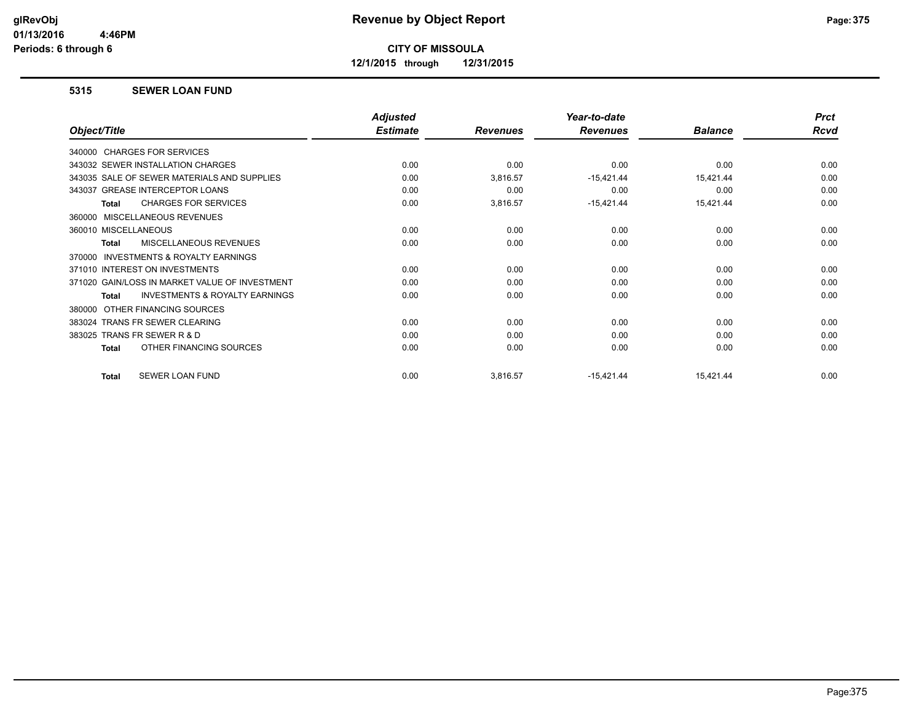**12/1/2015 through 12/31/2015**

#### **5315 SEWER LOAN FUND**

|                                                    | <b>Adjusted</b> |                 | Year-to-date    |                | <b>Prct</b> |
|----------------------------------------------------|-----------------|-----------------|-----------------|----------------|-------------|
| Object/Title                                       | <b>Estimate</b> | <b>Revenues</b> | <b>Revenues</b> | <b>Balance</b> | <b>Rcvd</b> |
| 340000 CHARGES FOR SERVICES                        |                 |                 |                 |                |             |
| 343032 SEWER INSTALLATION CHARGES                  | 0.00            | 0.00            | 0.00            | 0.00           | 0.00        |
| 343035 SALE OF SEWER MATERIALS AND SUPPLIES        | 0.00            | 3,816.57        | $-15,421.44$    | 15,421.44      | 0.00        |
| 343037 GREASE INTERCEPTOR LOANS                    | 0.00            | 0.00            | 0.00            | 0.00           | 0.00        |
| <b>CHARGES FOR SERVICES</b><br>Total               | 0.00            | 3,816.57        | $-15,421.44$    | 15,421.44      | 0.00        |
| MISCELLANEOUS REVENUES<br>360000                   |                 |                 |                 |                |             |
| 360010 MISCELLANEOUS                               | 0.00            | 0.00            | 0.00            | 0.00           | 0.00        |
| <b>MISCELLANEOUS REVENUES</b><br><b>Total</b>      | 0.00            | 0.00            | 0.00            | 0.00           | 0.00        |
| INVESTMENTS & ROYALTY EARNINGS<br>370000           |                 |                 |                 |                |             |
| 371010 INTEREST ON INVESTMENTS                     | 0.00            | 0.00            | 0.00            | 0.00           | 0.00        |
| 371020 GAIN/LOSS IN MARKET VALUE OF INVESTMENT     | 0.00            | 0.00            | 0.00            | 0.00           | 0.00        |
| <b>INVESTMENTS &amp; ROYALTY EARNINGS</b><br>Total | 0.00            | 0.00            | 0.00            | 0.00           | 0.00        |
| OTHER FINANCING SOURCES<br>380000                  |                 |                 |                 |                |             |
| 383024 TRANS FR SEWER CLEARING                     | 0.00            | 0.00            | 0.00            | 0.00           | 0.00        |
| 383025 TRANS FR SEWER R & D                        | 0.00            | 0.00            | 0.00            | 0.00           | 0.00        |
| OTHER FINANCING SOURCES<br>Total                   | 0.00            | 0.00            | 0.00            | 0.00           | 0.00        |
| SEWER LOAN FUND<br><b>Total</b>                    | 0.00            | 3,816.57        | $-15,421.44$    | 15,421.44      | 0.00        |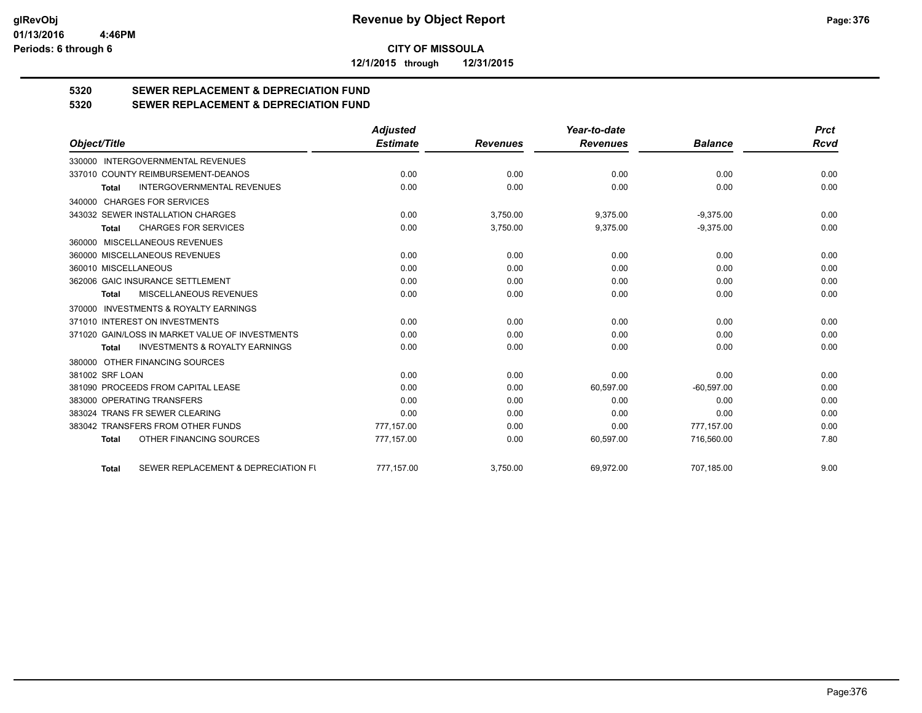**12/1/2015 through 12/31/2015**

# **5320 SEWER REPLACEMENT & DEPRECIATION FUND**

## **5320 SEWER REPLACEMENT & DEPRECIATION FUND**

|                                                           | <b>Adjusted</b> |                 | Year-to-date    |                | <b>Prct</b> |
|-----------------------------------------------------------|-----------------|-----------------|-----------------|----------------|-------------|
| Object/Title                                              | <b>Estimate</b> | <b>Revenues</b> | <b>Revenues</b> | <b>Balance</b> | Rcvd        |
| <b>INTERGOVERNMENTAL REVENUES</b><br>330000               |                 |                 |                 |                |             |
| 337010 COUNTY REIMBURSEMENT-DEANOS                        | 0.00            | 0.00            | 0.00            | 0.00           | 0.00        |
| <b>INTERGOVERNMENTAL REVENUES</b><br><b>Total</b>         | 0.00            | 0.00            | 0.00            | 0.00           | 0.00        |
| 340000 CHARGES FOR SERVICES                               |                 |                 |                 |                |             |
| 343032 SEWER INSTALLATION CHARGES                         | 0.00            | 3,750.00        | 9,375.00        | $-9,375.00$    | 0.00        |
| <b>CHARGES FOR SERVICES</b><br>Total                      | 0.00            | 3,750.00        | 9,375.00        | $-9,375.00$    | 0.00        |
| 360000 MISCELLANEOUS REVENUES                             |                 |                 |                 |                |             |
| 360000 MISCELLANEOUS REVENUES                             | 0.00            | 0.00            | 0.00            | 0.00           | 0.00        |
| 360010 MISCELLANEOUS                                      | 0.00            | 0.00            | 0.00            | 0.00           | 0.00        |
| 362006 GAIC INSURANCE SETTLEMENT                          | 0.00            | 0.00            | 0.00            | 0.00           | 0.00        |
| MISCELLANEOUS REVENUES<br>Total                           | 0.00            | 0.00            | 0.00            | 0.00           | 0.00        |
| 370000 INVESTMENTS & ROYALTY EARNINGS                     |                 |                 |                 |                |             |
| 371010 INTEREST ON INVESTMENTS                            | 0.00            | 0.00            | 0.00            | 0.00           | 0.00        |
| 371020 GAIN/LOSS IN MARKET VALUE OF INVESTMENTS           | 0.00            | 0.00            | 0.00            | 0.00           | 0.00        |
| <b>INVESTMENTS &amp; ROYALTY EARNINGS</b><br><b>Total</b> | 0.00            | 0.00            | 0.00            | 0.00           | 0.00        |
| 380000 OTHER FINANCING SOURCES                            |                 |                 |                 |                |             |
| 381002 SRF LOAN                                           | 0.00            | 0.00            | 0.00            | 0.00           | 0.00        |
| 381090 PROCEEDS FROM CAPITAL LEASE                        | 0.00            | 0.00            | 60,597.00       | $-60,597.00$   | 0.00        |
| 383000 OPERATING TRANSFERS                                | 0.00            | 0.00            | 0.00            | 0.00           | 0.00        |
| 383024 TRANS FR SEWER CLEARING                            | 0.00            | 0.00            | 0.00            | 0.00           | 0.00        |
| 383042 TRANSFERS FROM OTHER FUNDS                         | 777.157.00      | 0.00            | 0.00            | 777,157.00     | 0.00        |
| OTHER FINANCING SOURCES<br><b>Total</b>                   | 777,157.00      | 0.00            | 60,597.00       | 716,560.00     | 7.80        |
| SEWER REPLACEMENT & DEPRECIATION FU<br><b>Total</b>       | 777,157.00      | 3,750.00        | 69,972.00       | 707,185.00     | 9.00        |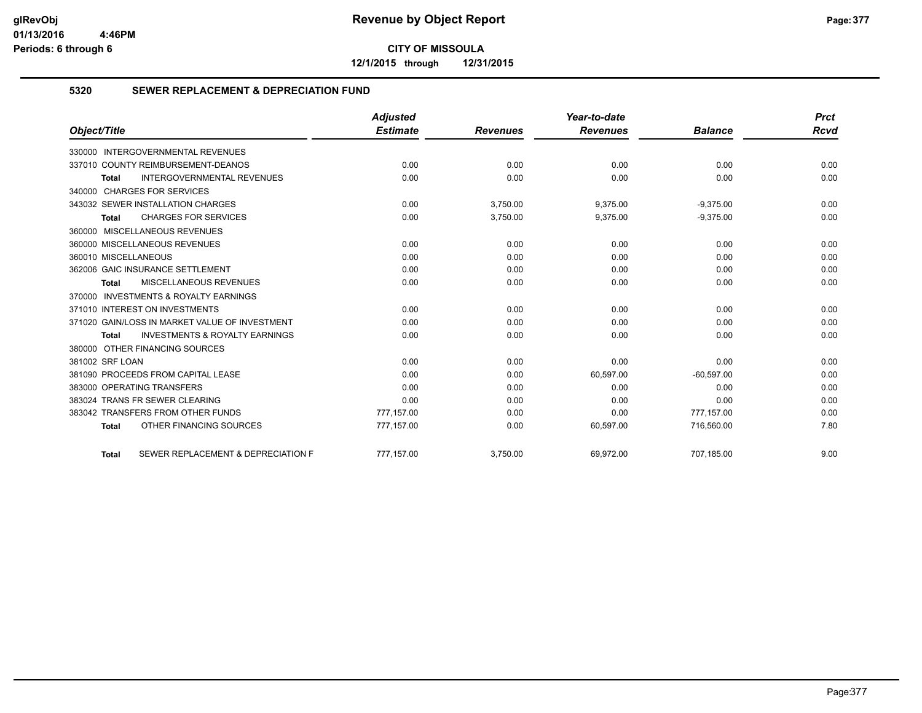**12/1/2015 through 12/31/2015**

#### **5320 SEWER REPLACEMENT & DEPRECIATION FUND**

|                                                           | <b>Adjusted</b> |                 | Year-to-date    |                | <b>Prct</b> |
|-----------------------------------------------------------|-----------------|-----------------|-----------------|----------------|-------------|
| Object/Title                                              | <b>Estimate</b> | <b>Revenues</b> | <b>Revenues</b> | <b>Balance</b> | Rcvd        |
| 330000 INTERGOVERNMENTAL REVENUES                         |                 |                 |                 |                |             |
| 337010 COUNTY REIMBURSEMENT-DEANOS                        | 0.00            | 0.00            | 0.00            | 0.00           | 0.00        |
| INTERGOVERNMENTAL REVENUES<br><b>Total</b>                | 0.00            | 0.00            | 0.00            | 0.00           | 0.00        |
| 340000 CHARGES FOR SERVICES                               |                 |                 |                 |                |             |
| 343032 SEWER INSTALLATION CHARGES                         | 0.00            | 3,750.00        | 9,375.00        | $-9,375.00$    | 0.00        |
| <b>CHARGES FOR SERVICES</b><br><b>Total</b>               | 0.00            | 3,750.00        | 9,375.00        | $-9,375.00$    | 0.00        |
| 360000 MISCELLANEOUS REVENUES                             |                 |                 |                 |                |             |
| 360000 MISCELLANEOUS REVENUES                             | 0.00            | 0.00            | 0.00            | 0.00           | 0.00        |
| 360010 MISCELLANEOUS                                      | 0.00            | 0.00            | 0.00            | 0.00           | 0.00        |
| 362006 GAIC INSURANCE SETTLEMENT                          | 0.00            | 0.00            | 0.00            | 0.00           | 0.00        |
| <b>MISCELLANEOUS REVENUES</b><br><b>Total</b>             | 0.00            | 0.00            | 0.00            | 0.00           | 0.00        |
| 370000 INVESTMENTS & ROYALTY EARNINGS                     |                 |                 |                 |                |             |
| 371010 INTEREST ON INVESTMENTS                            | 0.00            | 0.00            | 0.00            | 0.00           | 0.00        |
| 371020 GAIN/LOSS IN MARKET VALUE OF INVESTMENT            | 0.00            | 0.00            | 0.00            | 0.00           | 0.00        |
| <b>INVESTMENTS &amp; ROYALTY EARNINGS</b><br><b>Total</b> | 0.00            | 0.00            | 0.00            | 0.00           | 0.00        |
| 380000 OTHER FINANCING SOURCES                            |                 |                 |                 |                |             |
| 381002 SRF LOAN                                           | 0.00            | 0.00            | 0.00            | 0.00           | 0.00        |
| 381090 PROCEEDS FROM CAPITAL LEASE                        | 0.00            | 0.00            | 60,597.00       | $-60,597.00$   | 0.00        |
| 383000 OPERATING TRANSFERS                                | 0.00            | 0.00            | 0.00            | 0.00           | 0.00        |
| 383024 TRANS FR SEWER CLEARING                            | 0.00            | 0.00            | 0.00            | 0.00           | 0.00        |
| 383042 TRANSFERS FROM OTHER FUNDS                         | 777,157.00      | 0.00            | 0.00            | 777.157.00     | 0.00        |
| OTHER FINANCING SOURCES<br><b>Total</b>                   | 777,157.00      | 0.00            | 60,597.00       | 716,560.00     | 7.80        |
| SEWER REPLACEMENT & DEPRECIATION F<br><b>Total</b>        | 777.157.00      | 3,750.00        | 69.972.00       | 707.185.00     | 9.00        |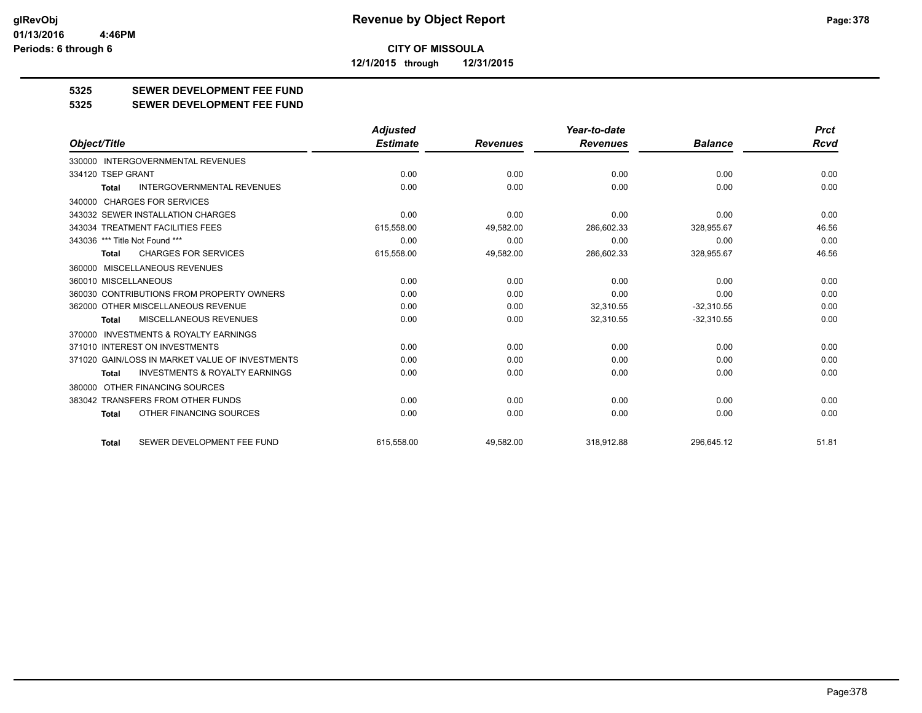**12/1/2015 through 12/31/2015**

### **5325 SEWER DEVELOPMENT FEE FUND**

**5325 SEWER DEVELOPMENT FEE FUND**

|                                                           | <b>Adjusted</b> |                 | Year-to-date    |                | <b>Prct</b> |
|-----------------------------------------------------------|-----------------|-----------------|-----------------|----------------|-------------|
| Object/Title                                              | <b>Estimate</b> | <b>Revenues</b> | <b>Revenues</b> | <b>Balance</b> | <b>Rcvd</b> |
| 330000 INTERGOVERNMENTAL REVENUES                         |                 |                 |                 |                |             |
| 334120 TSEP GRANT                                         | 0.00            | 0.00            | 0.00            | 0.00           | 0.00        |
| <b>INTERGOVERNMENTAL REVENUES</b><br><b>Total</b>         | 0.00            | 0.00            | 0.00            | 0.00           | 0.00        |
| 340000 CHARGES FOR SERVICES                               |                 |                 |                 |                |             |
| 343032 SEWER INSTALLATION CHARGES                         | 0.00            | 0.00            | 0.00            | 0.00           | 0.00        |
| 343034 TREATMENT FACILITIES FEES                          | 615,558.00      | 49,582.00       | 286,602.33      | 328,955.67     | 46.56       |
| 343036 *** Title Not Found ***                            | 0.00            | 0.00            | 0.00            | 0.00           | 0.00        |
| <b>CHARGES FOR SERVICES</b><br>Total                      | 615,558.00      | 49,582.00       | 286,602.33      | 328,955.67     | 46.56       |
| 360000 MISCELLANEOUS REVENUES                             |                 |                 |                 |                |             |
| 360010 MISCELLANEOUS                                      | 0.00            | 0.00            | 0.00            | 0.00           | 0.00        |
| 360030 CONTRIBUTIONS FROM PROPERTY OWNERS                 | 0.00            | 0.00            | 0.00            | 0.00           | 0.00        |
| 362000 OTHER MISCELLANEOUS REVENUE                        | 0.00            | 0.00            | 32,310.55       | $-32,310.55$   | 0.00        |
| <b>MISCELLANEOUS REVENUES</b><br><b>Total</b>             | 0.00            | 0.00            | 32,310.55       | $-32,310.55$   | 0.00        |
| INVESTMENTS & ROYALTY EARNINGS<br>370000                  |                 |                 |                 |                |             |
| 371010 INTEREST ON INVESTMENTS                            | 0.00            | 0.00            | 0.00            | 0.00           | 0.00        |
| 371020 GAIN/LOSS IN MARKET VALUE OF INVESTMENTS           | 0.00            | 0.00            | 0.00            | 0.00           | 0.00        |
| <b>INVESTMENTS &amp; ROYALTY EARNINGS</b><br><b>Total</b> | 0.00            | 0.00            | 0.00            | 0.00           | 0.00        |
| 380000 OTHER FINANCING SOURCES                            |                 |                 |                 |                |             |
| 383042 TRANSFERS FROM OTHER FUNDS                         | 0.00            | 0.00            | 0.00            | 0.00           | 0.00        |
| OTHER FINANCING SOURCES<br>Total                          | 0.00            | 0.00            | 0.00            | 0.00           | 0.00        |
| SEWER DEVELOPMENT FEE FUND<br><b>Total</b>                | 615.558.00      | 49,582.00       | 318.912.88      | 296.645.12     | 51.81       |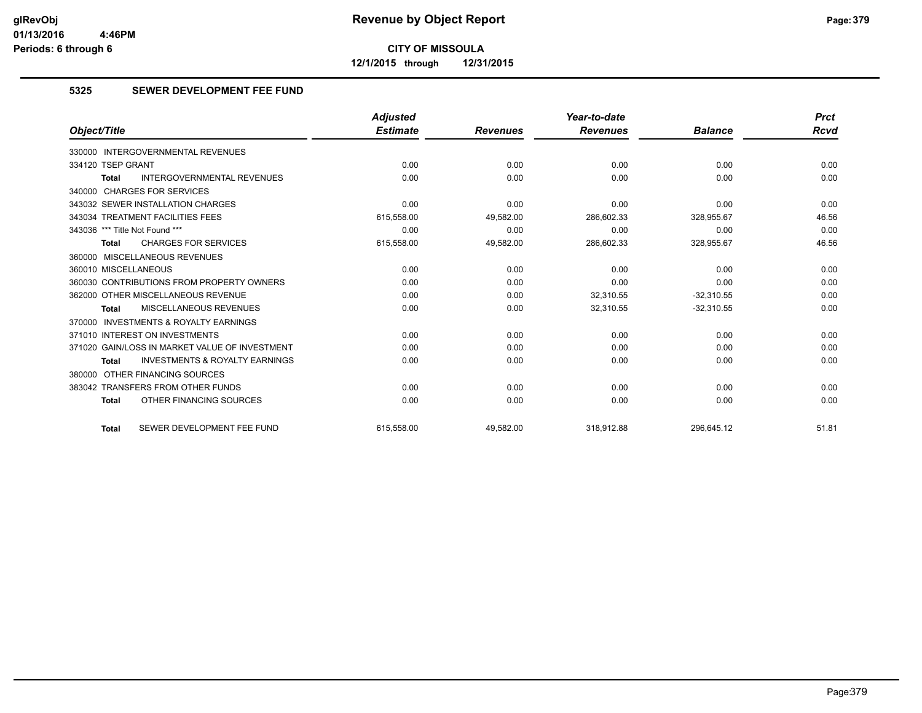**12/1/2015 through 12/31/2015**

#### **5325 SEWER DEVELOPMENT FEE FUND**

|                                                    | <b>Adjusted</b> |                 | Year-to-date    |                | <b>Prct</b> |
|----------------------------------------------------|-----------------|-----------------|-----------------|----------------|-------------|
| Object/Title                                       | <b>Estimate</b> | <b>Revenues</b> | <b>Revenues</b> | <b>Balance</b> | Rcvd        |
| 330000 INTERGOVERNMENTAL REVENUES                  |                 |                 |                 |                |             |
| 334120 TSEP GRANT                                  | 0.00            | 0.00            | 0.00            | 0.00           | 0.00        |
| <b>INTERGOVERNMENTAL REVENUES</b><br><b>Total</b>  | 0.00            | 0.00            | 0.00            | 0.00           | 0.00        |
| 340000 CHARGES FOR SERVICES                        |                 |                 |                 |                |             |
| 343032 SEWER INSTALLATION CHARGES                  | 0.00            | 0.00            | 0.00            | 0.00           | 0.00        |
| 343034 TREATMENT FACILITIES FEES                   | 615,558.00      | 49,582.00       | 286,602.33      | 328,955.67     | 46.56       |
| 343036 *** Title Not Found ***                     | 0.00            | 0.00            | 0.00            | 0.00           | 0.00        |
| <b>CHARGES FOR SERVICES</b><br><b>Total</b>        | 615,558.00      | 49,582.00       | 286,602.33      | 328,955.67     | 46.56       |
| 360000 MISCELLANEOUS REVENUES                      |                 |                 |                 |                |             |
| 360010 MISCELLANEOUS                               | 0.00            | 0.00            | 0.00            | 0.00           | 0.00        |
| 360030 CONTRIBUTIONS FROM PROPERTY OWNERS          | 0.00            | 0.00            | 0.00            | 0.00           | 0.00        |
| 362000 OTHER MISCELLANEOUS REVENUE                 | 0.00            | 0.00            | 32,310.55       | $-32,310.55$   | 0.00        |
| MISCELLANEOUS REVENUES<br><b>Total</b>             | 0.00            | 0.00            | 32,310.55       | $-32,310.55$   | 0.00        |
| 370000 INVESTMENTS & ROYALTY EARNINGS              |                 |                 |                 |                |             |
| 371010 INTEREST ON INVESTMENTS                     | 0.00            | 0.00            | 0.00            | 0.00           | 0.00        |
| 371020 GAIN/LOSS IN MARKET VALUE OF INVESTMENT     | 0.00            | 0.00            | 0.00            | 0.00           | 0.00        |
| <b>INVESTMENTS &amp; ROYALTY EARNINGS</b><br>Total | 0.00            | 0.00            | 0.00            | 0.00           | 0.00        |
| 380000 OTHER FINANCING SOURCES                     |                 |                 |                 |                |             |
| 383042 TRANSFERS FROM OTHER FUNDS                  | 0.00            | 0.00            | 0.00            | 0.00           | 0.00        |
| OTHER FINANCING SOURCES<br><b>Total</b>            | 0.00            | 0.00            | 0.00            | 0.00           | 0.00        |
| SEWER DEVELOPMENT FEE FUND<br><b>Total</b>         | 615.558.00      | 49.582.00       | 318.912.88      | 296.645.12     | 51.81       |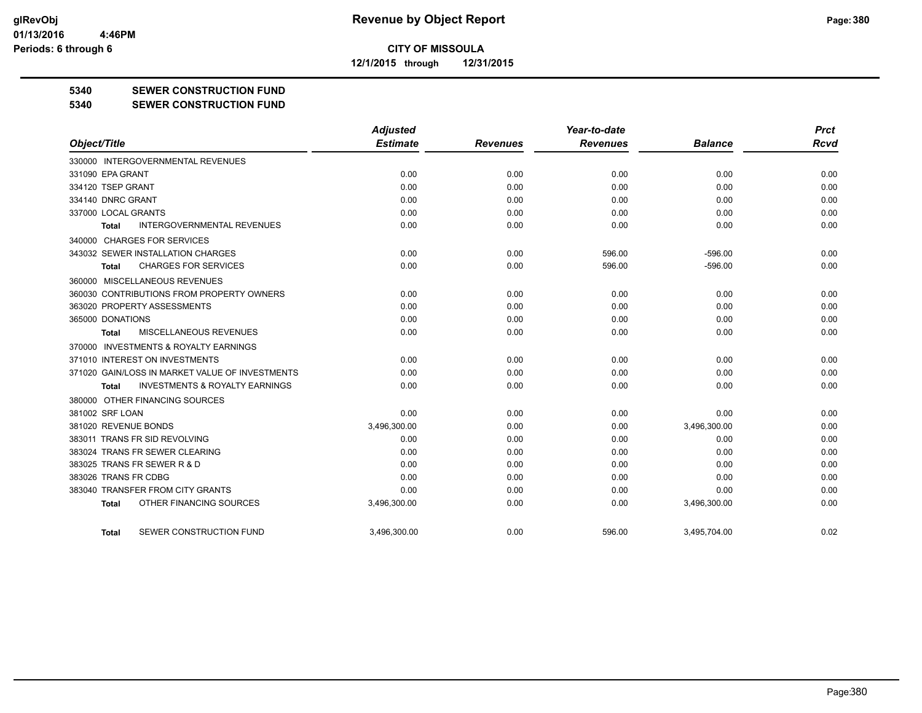**12/1/2015 through 12/31/2015**

#### **5340 SEWER CONSTRUCTION FUND**

#### **5340 SEWER CONSTRUCTION FUND**

|                                                     | <b>Adjusted</b> |                 | Year-to-date    |                | <b>Prct</b> |
|-----------------------------------------------------|-----------------|-----------------|-----------------|----------------|-------------|
| Object/Title                                        | <b>Estimate</b> | <b>Revenues</b> | <b>Revenues</b> | <b>Balance</b> | <b>Rcvd</b> |
| 330000 INTERGOVERNMENTAL REVENUES                   |                 |                 |                 |                |             |
| 331090 EPA GRANT                                    | 0.00            | 0.00            | 0.00            | 0.00           | 0.00        |
| 334120 TSEP GRANT                                   | 0.00            | 0.00            | 0.00            | 0.00           | 0.00        |
| 334140 DNRC GRANT                                   | 0.00            | 0.00            | 0.00            | 0.00           | 0.00        |
| 337000 LOCAL GRANTS                                 | 0.00            | 0.00            | 0.00            | 0.00           | 0.00        |
| <b>INTERGOVERNMENTAL REVENUES</b><br>Total          | 0.00            | 0.00            | 0.00            | 0.00           | 0.00        |
| 340000 CHARGES FOR SERVICES                         |                 |                 |                 |                |             |
| 343032 SEWER INSTALLATION CHARGES                   | 0.00            | 0.00            | 596.00          | $-596.00$      | 0.00        |
| <b>CHARGES FOR SERVICES</b><br>Total                | 0.00            | 0.00            | 596.00          | $-596.00$      | 0.00        |
| 360000 MISCELLANEOUS REVENUES                       |                 |                 |                 |                |             |
| 360030 CONTRIBUTIONS FROM PROPERTY OWNERS           | 0.00            | 0.00            | 0.00            | 0.00           | 0.00        |
| 363020 PROPERTY ASSESSMENTS                         | 0.00            | 0.00            | 0.00            | 0.00           | 0.00        |
| 365000 DONATIONS                                    | 0.00            | 0.00            | 0.00            | 0.00           | 0.00        |
| MISCELLANEOUS REVENUES<br><b>Total</b>              | 0.00            | 0.00            | 0.00            | 0.00           | 0.00        |
| <b>INVESTMENTS &amp; ROYALTY EARNINGS</b><br>370000 |                 |                 |                 |                |             |
| 371010 INTEREST ON INVESTMENTS                      | 0.00            | 0.00            | 0.00            | 0.00           | 0.00        |
| 371020 GAIN/LOSS IN MARKET VALUE OF INVESTMENTS     | 0.00            | 0.00            | 0.00            | 0.00           | 0.00        |
| <b>INVESTMENTS &amp; ROYALTY EARNINGS</b><br>Total  | 0.00            | 0.00            | 0.00            | 0.00           | 0.00        |
| 380000 OTHER FINANCING SOURCES                      |                 |                 |                 |                |             |
| 381002 SRF LOAN                                     | 0.00            | 0.00            | 0.00            | 0.00           | 0.00        |
| 381020 REVENUE BONDS                                | 3,496,300.00    | 0.00            | 0.00            | 3,496,300.00   | 0.00        |
| 383011 TRANS FR SID REVOLVING                       | 0.00            | 0.00            | 0.00            | 0.00           | 0.00        |
| 383024 TRANS FR SEWER CLEARING                      | 0.00            | 0.00            | 0.00            | 0.00           | 0.00        |
| 383025 TRANS FR SEWER R & D                         | 0.00            | 0.00            | 0.00            | 0.00           | 0.00        |
| 383026 TRANS FR CDBG                                | 0.00            | 0.00            | 0.00            | 0.00           | 0.00        |
| 383040 TRANSFER FROM CITY GRANTS                    | 0.00            | 0.00            | 0.00            | 0.00           | 0.00        |
| OTHER FINANCING SOURCES<br><b>Total</b>             | 3,496,300.00    | 0.00            | 0.00            | 3,496,300.00   | 0.00        |
| SEWER CONSTRUCTION FUND<br>Total                    | 3.496.300.00    | 0.00            | 596.00          | 3.495.704.00   | 0.02        |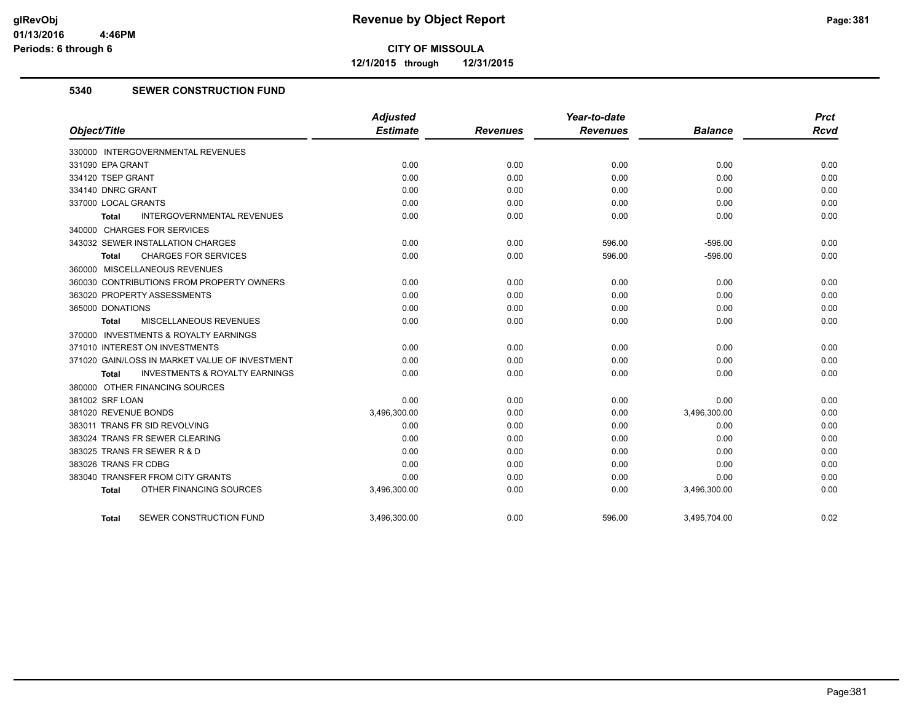**12/1/2015 through 12/31/2015**

#### **5340 SEWER CONSTRUCTION FUND**

|                                                    | <b>Adjusted</b> |                 | Year-to-date    |                | <b>Prct</b> |
|----------------------------------------------------|-----------------|-----------------|-----------------|----------------|-------------|
| Object/Title                                       | <b>Estimate</b> | <b>Revenues</b> | <b>Revenues</b> | <b>Balance</b> | <b>Rcvd</b> |
| 330000 INTERGOVERNMENTAL REVENUES                  |                 |                 |                 |                |             |
| 331090 EPA GRANT                                   | 0.00            | 0.00            | 0.00            | 0.00           | 0.00        |
| 334120 TSEP GRANT                                  | 0.00            | 0.00            | 0.00            | 0.00           | 0.00        |
| 334140 DNRC GRANT                                  | 0.00            | 0.00            | 0.00            | 0.00           | 0.00        |
| 337000 LOCAL GRANTS                                | 0.00            | 0.00            | 0.00            | 0.00           | 0.00        |
| INTERGOVERNMENTAL REVENUES<br><b>Total</b>         | 0.00            | 0.00            | 0.00            | 0.00           | 0.00        |
| 340000 CHARGES FOR SERVICES                        |                 |                 |                 |                |             |
| 343032 SEWER INSTALLATION CHARGES                  | 0.00            | 0.00            | 596.00          | $-596.00$      | 0.00        |
| <b>CHARGES FOR SERVICES</b><br>Total               | 0.00            | 0.00            | 596.00          | $-596.00$      | 0.00        |
| 360000 MISCELLANEOUS REVENUES                      |                 |                 |                 |                |             |
| 360030 CONTRIBUTIONS FROM PROPERTY OWNERS          | 0.00            | 0.00            | 0.00            | 0.00           | 0.00        |
| 363020 PROPERTY ASSESSMENTS                        | 0.00            | 0.00            | 0.00            | 0.00           | 0.00        |
| 365000 DONATIONS                                   | 0.00            | 0.00            | 0.00            | 0.00           | 0.00        |
| MISCELLANEOUS REVENUES<br>Total                    | 0.00            | 0.00            | 0.00            | 0.00           | 0.00        |
| 370000 INVESTMENTS & ROYALTY EARNINGS              |                 |                 |                 |                |             |
| 371010 INTEREST ON INVESTMENTS                     | 0.00            | 0.00            | 0.00            | 0.00           | 0.00        |
| 371020 GAIN/LOSS IN MARKET VALUE OF INVESTMENT     | 0.00            | 0.00            | 0.00            | 0.00           | 0.00        |
| <b>INVESTMENTS &amp; ROYALTY EARNINGS</b><br>Total | 0.00            | 0.00            | 0.00            | 0.00           | 0.00        |
| 380000 OTHER FINANCING SOURCES                     |                 |                 |                 |                |             |
| 381002 SRF LOAN                                    | 0.00            | 0.00            | 0.00            | 0.00           | 0.00        |
| 381020 REVENUE BONDS                               | 3,496,300.00    | 0.00            | 0.00            | 3,496,300.00   | 0.00        |
| 383011 TRANS FR SID REVOLVING                      | 0.00            | 0.00            | 0.00            | 0.00           | 0.00        |
| 383024 TRANS FR SEWER CLEARING                     | 0.00            | 0.00            | 0.00            | 0.00           | 0.00        |
| 383025 TRANS FR SEWER R & D                        | 0.00            | 0.00            | 0.00            | 0.00           | 0.00        |
| 383026 TRANS FR CDBG                               | 0.00            | 0.00            | 0.00            | 0.00           | 0.00        |
| 383040 TRANSFER FROM CITY GRANTS                   | 0.00            | 0.00            | 0.00            | 0.00           | 0.00        |
| OTHER FINANCING SOURCES<br><b>Total</b>            | 3,496,300.00    | 0.00            | 0.00            | 3,496,300.00   | 0.00        |
| SEWER CONSTRUCTION FUND<br>Total                   | 3,496,300.00    | 0.00            | 596.00          | 3,495,704.00   | 0.02        |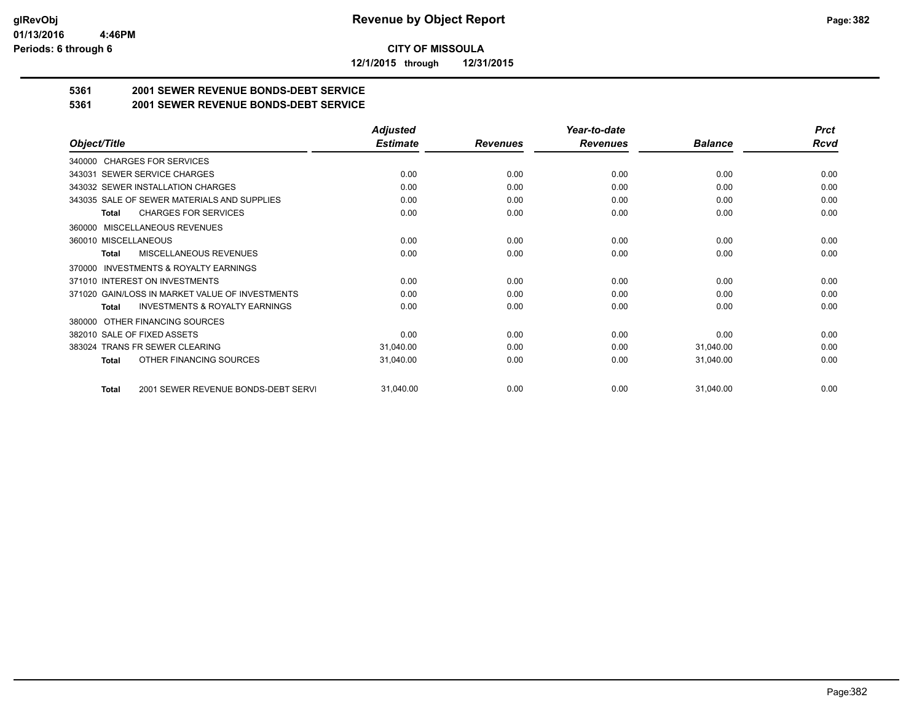**12/1/2015 through 12/31/2015**

## **5361 2001 SEWER REVENUE BONDS-DEBT SERVICE**

**5361 2001 SEWER REVENUE BONDS-DEBT SERVICE**

|                                                     | <b>Adjusted</b> |                 | Year-to-date    |                | <b>Prct</b> |
|-----------------------------------------------------|-----------------|-----------------|-----------------|----------------|-------------|
| Object/Title                                        | <b>Estimate</b> | <b>Revenues</b> | <b>Revenues</b> | <b>Balance</b> | Rcvd        |
| 340000 CHARGES FOR SERVICES                         |                 |                 |                 |                |             |
| <b>SEWER SERVICE CHARGES</b><br>343031              | 0.00            | 0.00            | 0.00            | 0.00           | 0.00        |
| 343032 SEWER INSTALLATION CHARGES                   | 0.00            | 0.00            | 0.00            | 0.00           | 0.00        |
| 343035 SALE OF SEWER MATERIALS AND SUPPLIES         | 0.00            | 0.00            | 0.00            | 0.00           | 0.00        |
| <b>CHARGES FOR SERVICES</b><br><b>Total</b>         | 0.00            | 0.00            | 0.00            | 0.00           | 0.00        |
| <b>MISCELLANEOUS REVENUES</b><br>360000             |                 |                 |                 |                |             |
| 360010 MISCELLANEOUS                                | 0.00            | 0.00            | 0.00            | 0.00           | 0.00        |
| <b>MISCELLANEOUS REVENUES</b><br>Total              | 0.00            | 0.00            | 0.00            | 0.00           | 0.00        |
| <b>INVESTMENTS &amp; ROYALTY EARNINGS</b><br>370000 |                 |                 |                 |                |             |
| 371010 INTEREST ON INVESTMENTS                      | 0.00            | 0.00            | 0.00            | 0.00           | 0.00        |
| 371020 GAIN/LOSS IN MARKET VALUE OF INVESTMENTS     | 0.00            | 0.00            | 0.00            | 0.00           | 0.00        |
| <b>INVESTMENTS &amp; ROYALTY EARNINGS</b><br>Total  | 0.00            | 0.00            | 0.00            | 0.00           | 0.00        |
| OTHER FINANCING SOURCES<br>380000                   |                 |                 |                 |                |             |
| 382010 SALE OF FIXED ASSETS                         | 0.00            | 0.00            | 0.00            | 0.00           | 0.00        |
| 383024 TRANS FR SEWER CLEARING                      | 31,040.00       | 0.00            | 0.00            | 31,040.00      | 0.00        |
| OTHER FINANCING SOURCES<br>Total                    | 31,040.00       | 0.00            | 0.00            | 31,040.00      | 0.00        |
| 2001 SEWER REVENUE BONDS-DEBT SERVI<br><b>Total</b> | 31,040.00       | 0.00            | 0.00            | 31,040.00      | 0.00        |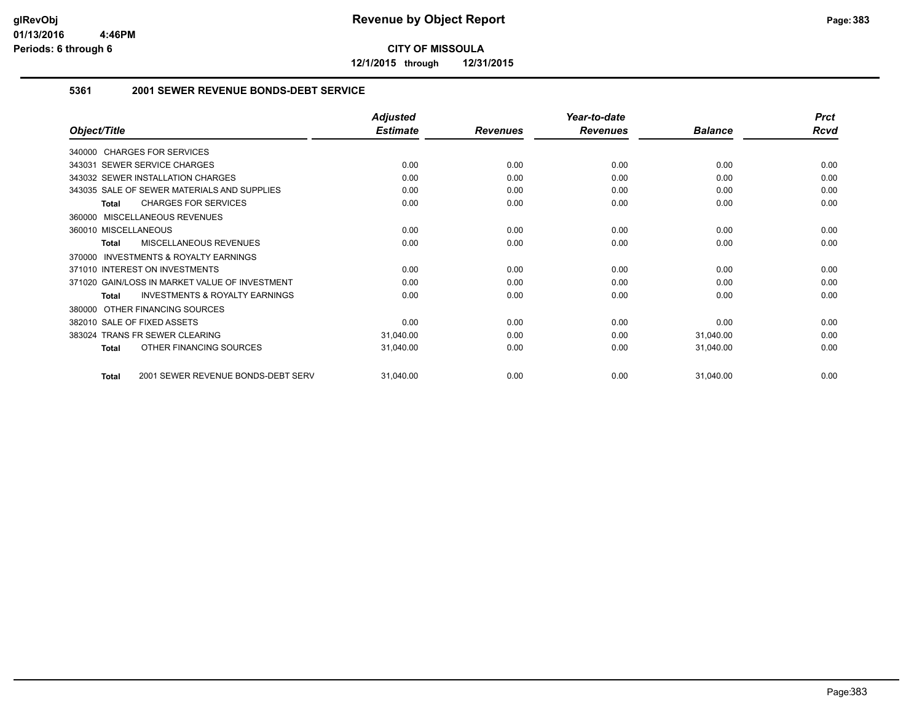**12/1/2015 through 12/31/2015**

#### **5361 2001 SEWER REVENUE BONDS-DEBT SERVICE**

|                                                           | <b>Adjusted</b> |                 | Year-to-date    |                | <b>Prct</b> |
|-----------------------------------------------------------|-----------------|-----------------|-----------------|----------------|-------------|
| Object/Title                                              | <b>Estimate</b> | <b>Revenues</b> | <b>Revenues</b> | <b>Balance</b> | Rcvd        |
| 340000 CHARGES FOR SERVICES                               |                 |                 |                 |                |             |
| 343031 SEWER SERVICE CHARGES                              | 0.00            | 0.00            | 0.00            | 0.00           | 0.00        |
| 343032 SEWER INSTALLATION CHARGES                         | 0.00            | 0.00            | 0.00            | 0.00           | 0.00        |
| 343035 SALE OF SEWER MATERIALS AND SUPPLIES               | 0.00            | 0.00            | 0.00            | 0.00           | 0.00        |
| <b>CHARGES FOR SERVICES</b><br><b>Total</b>               | 0.00            | 0.00            | 0.00            | 0.00           | 0.00        |
| MISCELLANEOUS REVENUES<br>360000                          |                 |                 |                 |                |             |
| 360010 MISCELLANEOUS                                      | 0.00            | 0.00            | 0.00            | 0.00           | 0.00        |
| MISCELLANEOUS REVENUES<br><b>Total</b>                    | 0.00            | 0.00            | 0.00            | 0.00           | 0.00        |
| INVESTMENTS & ROYALTY EARNINGS<br>370000                  |                 |                 |                 |                |             |
| 371010 INTEREST ON INVESTMENTS                            | 0.00            | 0.00            | 0.00            | 0.00           | 0.00        |
| 371020 GAIN/LOSS IN MARKET VALUE OF INVESTMENT            | 0.00            | 0.00            | 0.00            | 0.00           | 0.00        |
| <b>INVESTMENTS &amp; ROYALTY EARNINGS</b><br><b>Total</b> | 0.00            | 0.00            | 0.00            | 0.00           | 0.00        |
| OTHER FINANCING SOURCES<br>380000                         |                 |                 |                 |                |             |
| 382010 SALE OF FIXED ASSETS                               | 0.00            | 0.00            | 0.00            | 0.00           | 0.00        |
| <b>TRANS FR SEWER CLEARING</b><br>383024                  | 31,040.00       | 0.00            | 0.00            | 31,040.00      | 0.00        |
| OTHER FINANCING SOURCES<br><b>Total</b>                   | 31,040.00       | 0.00            | 0.00            | 31,040.00      | 0.00        |
| 2001 SEWER REVENUE BONDS-DEBT SERV<br><b>Total</b>        | 31,040.00       | 0.00            | 0.00            | 31,040.00      | 0.00        |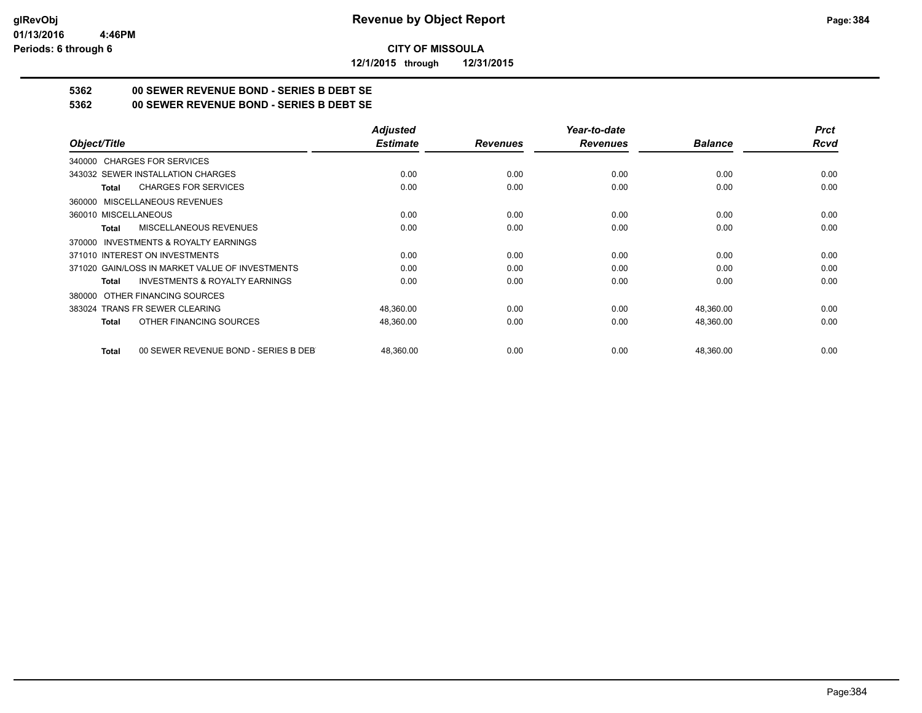**12/1/2015 through 12/31/2015**

## **5362 00 SEWER REVENUE BOND - SERIES B DEBT SE**

**5362 00 SEWER REVENUE BOND - SERIES B DEBT SE**

|                                                      | <b>Adjusted</b> |                 | Year-to-date    |                | <b>Prct</b> |
|------------------------------------------------------|-----------------|-----------------|-----------------|----------------|-------------|
| Object/Title                                         | <b>Estimate</b> | <b>Revenues</b> | <b>Revenues</b> | <b>Balance</b> | <b>Rcvd</b> |
| 340000 CHARGES FOR SERVICES                          |                 |                 |                 |                |             |
| 343032 SEWER INSTALLATION CHARGES                    | 0.00            | 0.00            | 0.00            | 0.00           | 0.00        |
| <b>CHARGES FOR SERVICES</b><br>Total                 | 0.00            | 0.00            | 0.00            | 0.00           | 0.00        |
| 360000 MISCELLANEOUS REVENUES                        |                 |                 |                 |                |             |
| 360010 MISCELLANEOUS                                 | 0.00            | 0.00            | 0.00            | 0.00           | 0.00        |
| <b>MISCELLANEOUS REVENUES</b><br>Total               | 0.00            | 0.00            | 0.00            | 0.00           | 0.00        |
| 370000 INVESTMENTS & ROYALTY EARNINGS                |                 |                 |                 |                |             |
| 371010 INTEREST ON INVESTMENTS                       | 0.00            | 0.00            | 0.00            | 0.00           | 0.00        |
| 371020 GAIN/LOSS IN MARKET VALUE OF INVESTMENTS      | 0.00            | 0.00            | 0.00            | 0.00           | 0.00        |
| <b>INVESTMENTS &amp; ROYALTY EARNINGS</b><br>Total   | 0.00            | 0.00            | 0.00            | 0.00           | 0.00        |
| OTHER FINANCING SOURCES<br>380000                    |                 |                 |                 |                |             |
| 383024 TRANS FR SEWER CLEARING                       | 48,360.00       | 0.00            | 0.00            | 48,360.00      | 0.00        |
| OTHER FINANCING SOURCES<br>Total                     | 48,360.00       | 0.00            | 0.00            | 48,360.00      | 0.00        |
| 00 SEWER REVENUE BOND - SERIES B DEB<br><b>Total</b> | 48.360.00       | 0.00            | 0.00            | 48,360.00      | 0.00        |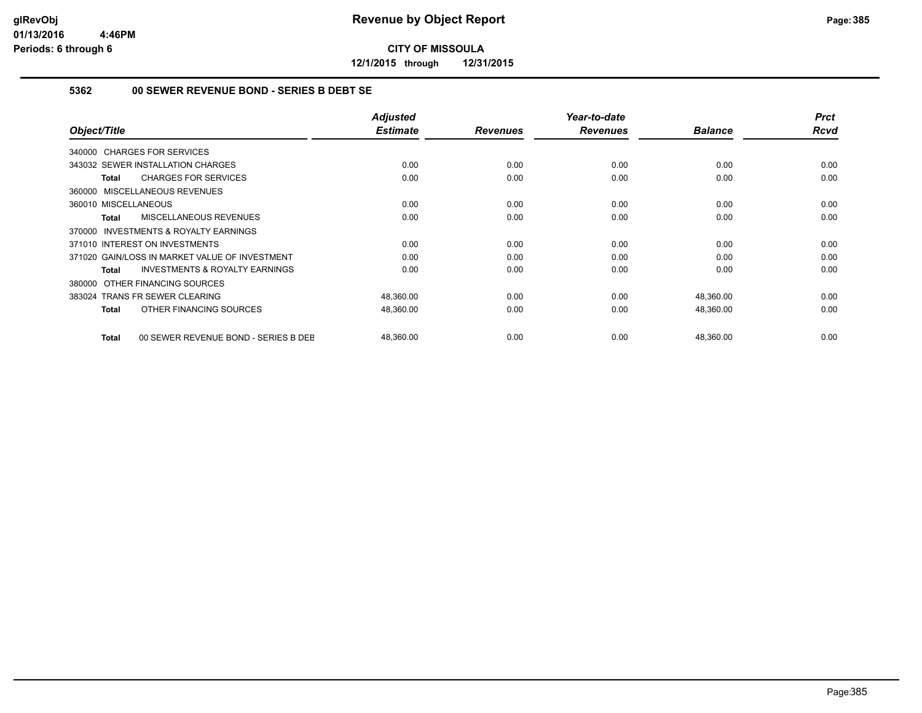**12/1/2015 through 12/31/2015**

#### **5362 00 SEWER REVENUE BOND - SERIES B DEBT SE**

| Object/Title                                              | <b>Adjusted</b><br><b>Estimate</b> | <b>Revenues</b> | Year-to-date<br><b>Revenues</b> | <b>Balance</b> | <b>Prct</b><br><b>Rcvd</b> |
|-----------------------------------------------------------|------------------------------------|-----------------|---------------------------------|----------------|----------------------------|
| 340000 CHARGES FOR SERVICES                               |                                    |                 |                                 |                |                            |
| 343032 SEWER INSTALLATION CHARGES                         | 0.00                               | 0.00            | 0.00                            | 0.00           | 0.00                       |
| <b>CHARGES FOR SERVICES</b><br>Total                      | 0.00                               | 0.00            | 0.00                            | 0.00           | 0.00                       |
| 360000 MISCELLANEOUS REVENUES                             |                                    |                 |                                 |                |                            |
| 360010 MISCELLANEOUS                                      | 0.00                               | 0.00            | 0.00                            | 0.00           | 0.00                       |
| <b>MISCELLANEOUS REVENUES</b><br>Total                    | 0.00                               | 0.00            | 0.00                            | 0.00           | 0.00                       |
| <b>INVESTMENTS &amp; ROYALTY EARNINGS</b><br>370000       |                                    |                 |                                 |                |                            |
| 371010 INTEREST ON INVESTMENTS                            | 0.00                               | 0.00            | 0.00                            | 0.00           | 0.00                       |
| 371020 GAIN/LOSS IN MARKET VALUE OF INVESTMENT            | 0.00                               | 0.00            | 0.00                            | 0.00           | 0.00                       |
| <b>INVESTMENTS &amp; ROYALTY EARNINGS</b><br><b>Total</b> | 0.00                               | 0.00            | 0.00                            | 0.00           | 0.00                       |
| OTHER FINANCING SOURCES<br>380000                         |                                    |                 |                                 |                |                            |
| 383024 TRANS FR SEWER CLEARING                            | 48,360.00                          | 0.00            | 0.00                            | 48,360.00      | 0.00                       |
| OTHER FINANCING SOURCES<br>Total                          | 48,360.00                          | 0.00            | 0.00                            | 48,360.00      | 0.00                       |
| 00 SEWER REVENUE BOND - SERIES B DEE<br>Total             | 48,360.00                          | 0.00            | 0.00                            | 48,360.00      | 0.00                       |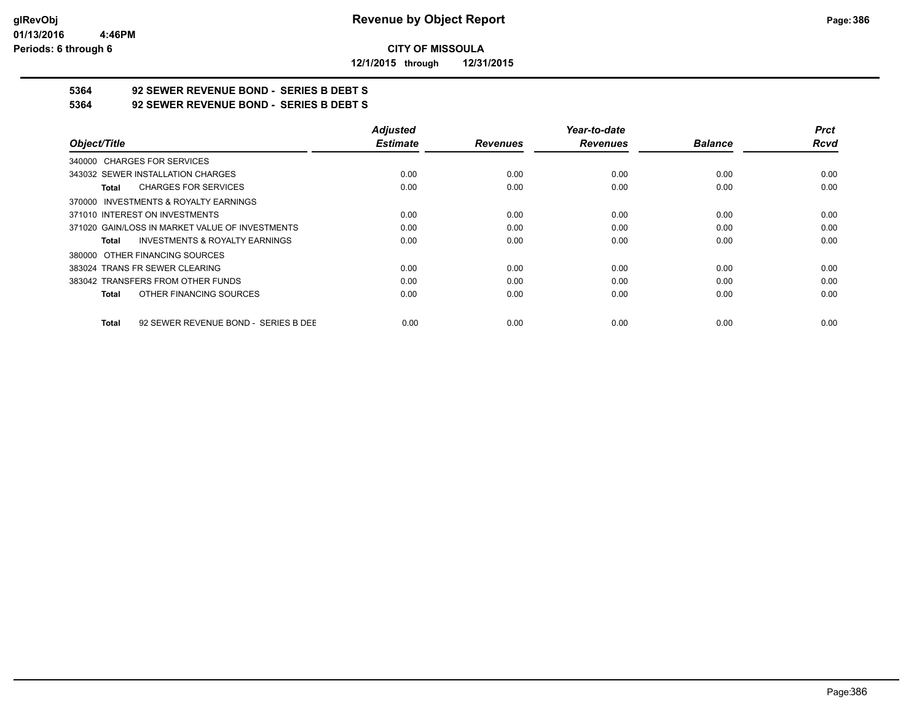**12/1/2015 through 12/31/2015**

# **5364 92 SEWER REVENUE BOND - SERIES B DEBT S**

**5364 92 SEWER REVENUE BOND - SERIES B DEBT S**

|                                                      | <b>Adjusted</b> |                 | Year-to-date    |                | <b>Prct</b> |
|------------------------------------------------------|-----------------|-----------------|-----------------|----------------|-------------|
| Object/Title                                         | <b>Estimate</b> | <b>Revenues</b> | <b>Revenues</b> | <b>Balance</b> | <b>Rcvd</b> |
| 340000 CHARGES FOR SERVICES                          |                 |                 |                 |                |             |
| 343032 SEWER INSTALLATION CHARGES                    | 0.00            | 0.00            | 0.00            | 0.00           | 0.00        |
| <b>CHARGES FOR SERVICES</b><br>Total                 | 0.00            | 0.00            | 0.00            | 0.00           | 0.00        |
| 370000 INVESTMENTS & ROYALTY EARNINGS                |                 |                 |                 |                |             |
| 371010 INTEREST ON INVESTMENTS                       | 0.00            | 0.00            | 0.00            | 0.00           | 0.00        |
| 371020 GAIN/LOSS IN MARKET VALUE OF INVESTMENTS      | 0.00            | 0.00            | 0.00            | 0.00           | 0.00        |
| <b>INVESTMENTS &amp; ROYALTY EARNINGS</b><br>Total   | 0.00            | 0.00            | 0.00            | 0.00           | 0.00        |
| 380000 OTHER FINANCING SOURCES                       |                 |                 |                 |                |             |
| 383024 TRANS FR SEWER CLEARING                       | 0.00            | 0.00            | 0.00            | 0.00           | 0.00        |
| 383042 TRANSFERS FROM OTHER FUNDS                    | 0.00            | 0.00            | 0.00            | 0.00           | 0.00        |
| OTHER FINANCING SOURCES<br><b>Total</b>              | 0.00            | 0.00            | 0.00            | 0.00           | 0.00        |
| 92 SEWER REVENUE BOND - SERIES B DEE<br><b>Total</b> | 0.00            | 0.00            | 0.00            | 0.00           | 0.00        |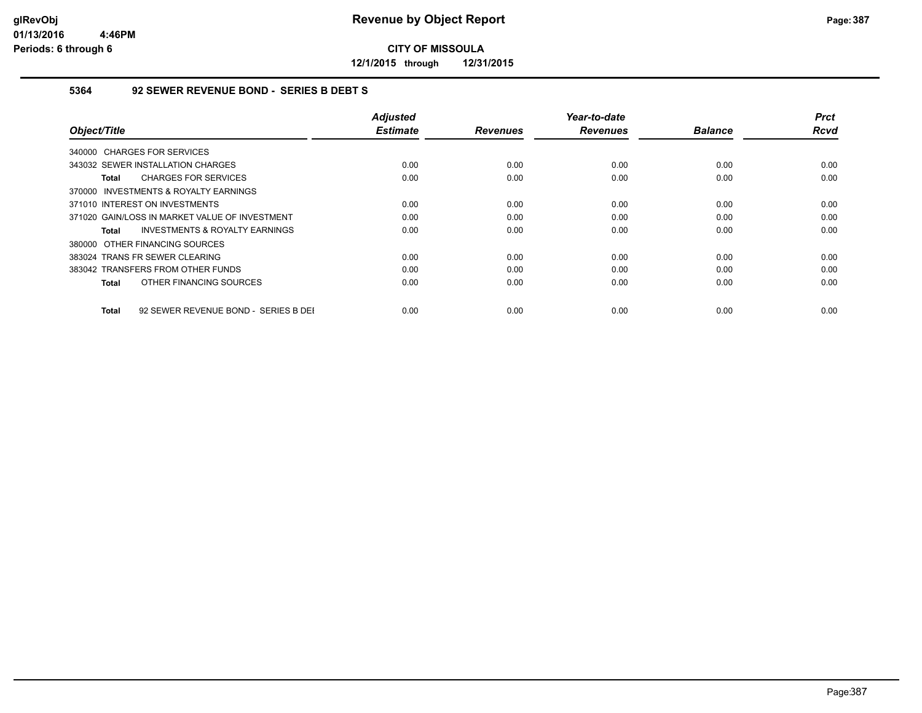**12/1/2015 through 12/31/2015**

#### **5364 92 SEWER REVENUE BOND - SERIES B DEBT S**

| Object/Title                                       | <b>Adjusted</b><br><b>Estimate</b> | <b>Revenues</b> | Year-to-date<br><b>Revenues</b> | <b>Balance</b> | <b>Prct</b><br>Rcvd |
|----------------------------------------------------|------------------------------------|-----------------|---------------------------------|----------------|---------------------|
| 340000 CHARGES FOR SERVICES                        |                                    |                 |                                 |                |                     |
| 343032 SEWER INSTALLATION CHARGES                  | 0.00                               | 0.00            | 0.00                            | 0.00           | 0.00                |
| <b>CHARGES FOR SERVICES</b><br>Total               | 0.00                               | 0.00            | 0.00                            | 0.00           | 0.00                |
| 370000 INVESTMENTS & ROYALTY EARNINGS              |                                    |                 |                                 |                |                     |
| 371010 INTEREST ON INVESTMENTS                     | 0.00                               | 0.00            | 0.00                            | 0.00           | 0.00                |
| 371020 GAIN/LOSS IN MARKET VALUE OF INVESTMENT     | 0.00                               | 0.00            | 0.00                            | 0.00           | 0.00                |
| <b>INVESTMENTS &amp; ROYALTY EARNINGS</b><br>Total | 0.00                               | 0.00            | 0.00                            | 0.00           | 0.00                |
| 380000 OTHER FINANCING SOURCES                     |                                    |                 |                                 |                |                     |
| 383024 TRANS FR SEWER CLEARING                     | 0.00                               | 0.00            | 0.00                            | 0.00           | 0.00                |
| 383042 TRANSFERS FROM OTHER FUNDS                  | 0.00                               | 0.00            | 0.00                            | 0.00           | 0.00                |
| OTHER FINANCING SOURCES<br>Total                   | 0.00                               | 0.00            | 0.00                            | 0.00           | 0.00                |
|                                                    |                                    |                 |                                 |                |                     |
| 92 SEWER REVENUE BOND - SERIES B DEI<br>Total      | 0.00                               | 0.00            | 0.00                            | 0.00           | 0.00                |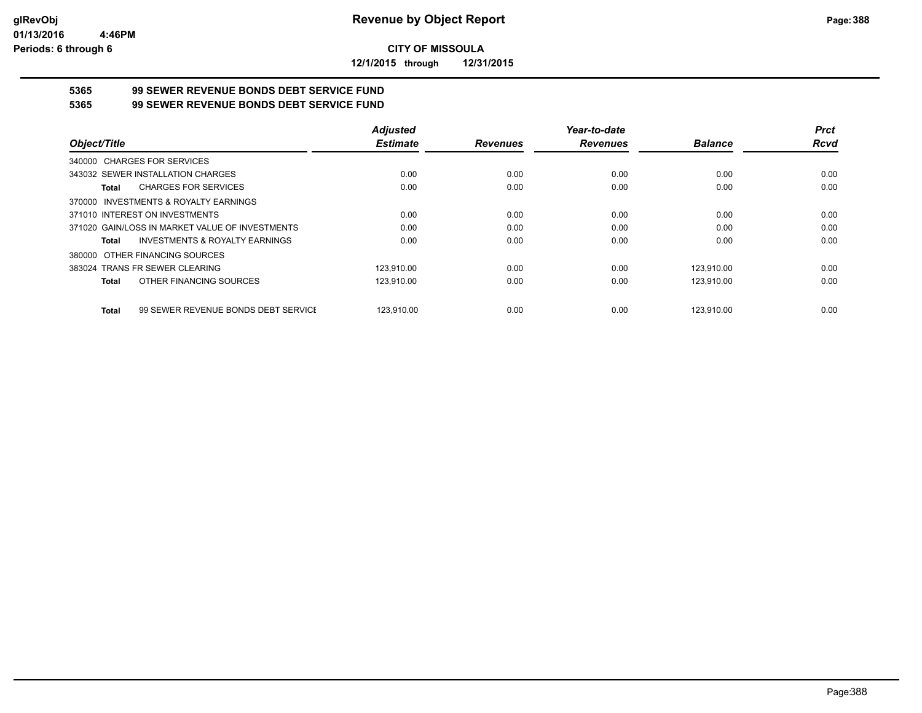**12/1/2015 through 12/31/2015**

# **5365 99 SEWER REVENUE BONDS DEBT SERVICE FUND**

**5365 99 SEWER REVENUE BONDS DEBT SERVICE FUND**

|                                                     | <b>Adjusted</b> |                 | Year-to-date    |                | <b>Prct</b> |
|-----------------------------------------------------|-----------------|-----------------|-----------------|----------------|-------------|
| Object/Title                                        | <b>Estimate</b> | <b>Revenues</b> | <b>Revenues</b> | <b>Balance</b> | Rcvd        |
| 340000 CHARGES FOR SERVICES                         |                 |                 |                 |                |             |
| 343032 SEWER INSTALLATION CHARGES                   | 0.00            | 0.00            | 0.00            | 0.00           | 0.00        |
| <b>CHARGES FOR SERVICES</b><br>Total                | 0.00            | 0.00            | 0.00            | 0.00           | 0.00        |
| 370000 INVESTMENTS & ROYALTY EARNINGS               |                 |                 |                 |                |             |
| 371010 INTEREST ON INVESTMENTS                      | 0.00            | 0.00            | 0.00            | 0.00           | 0.00        |
| 371020 GAIN/LOSS IN MARKET VALUE OF INVESTMENTS     | 0.00            | 0.00            | 0.00            | 0.00           | 0.00        |
| INVESTMENTS & ROYALTY EARNINGS<br>Total             | 0.00            | 0.00            | 0.00            | 0.00           | 0.00        |
| 380000 OTHER FINANCING SOURCES                      |                 |                 |                 |                |             |
| 383024 TRANS FR SEWER CLEARING                      | 123.910.00      | 0.00            | 0.00            | 123.910.00     | 0.00        |
| OTHER FINANCING SOURCES<br>Total                    | 123,910.00      | 0.00            | 0.00            | 123,910.00     | 0.00        |
| 99 SEWER REVENUE BONDS DEBT SERVICE<br><b>Total</b> | 123.910.00      | 0.00            | 0.00            | 123.910.00     | 0.00        |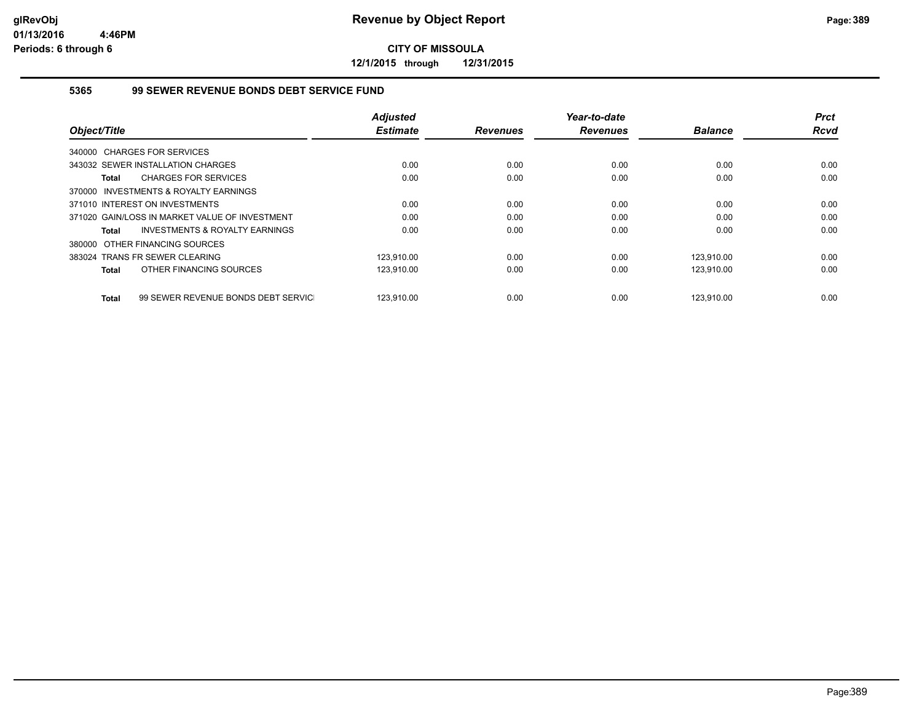**12/1/2015 through 12/31/2015**

#### **5365 99 SEWER REVENUE BONDS DEBT SERVICE FUND**

|                                                | <b>Adjusted</b> |                 | Year-to-date    |                | <b>Prct</b> |
|------------------------------------------------|-----------------|-----------------|-----------------|----------------|-------------|
| Object/Title                                   | <b>Estimate</b> | <b>Revenues</b> | <b>Revenues</b> | <b>Balance</b> | <b>Rcvd</b> |
| 340000 CHARGES FOR SERVICES                    |                 |                 |                 |                |             |
| 343032 SEWER INSTALLATION CHARGES              | 0.00            | 0.00            | 0.00            | 0.00           | 0.00        |
| <b>CHARGES FOR SERVICES</b><br>Total           | 0.00            | 0.00            | 0.00            | 0.00           | 0.00        |
| 370000 INVESTMENTS & ROYALTY EARNINGS          |                 |                 |                 |                |             |
| 371010 INTEREST ON INVESTMENTS                 | 0.00            | 0.00            | 0.00            | 0.00           | 0.00        |
| 371020 GAIN/LOSS IN MARKET VALUE OF INVESTMENT | 0.00            | 0.00            | 0.00            | 0.00           | 0.00        |
| INVESTMENTS & ROYALTY EARNINGS<br>Total        | 0.00            | 0.00            | 0.00            | 0.00           | 0.00        |
| 380000 OTHER FINANCING SOURCES                 |                 |                 |                 |                |             |
| 383024 TRANS FR SEWER CLEARING                 | 123.910.00      | 0.00            | 0.00            | 123.910.00     | 0.00        |
| OTHER FINANCING SOURCES<br>Total               | 123,910.00      | 0.00            | 0.00            | 123,910.00     | 0.00        |
|                                                |                 |                 |                 |                |             |
| 99 SEWER REVENUE BONDS DEBT SERVIC<br>Total    | 123.910.00      | 0.00            | 0.00            | 123.910.00     | 0.00        |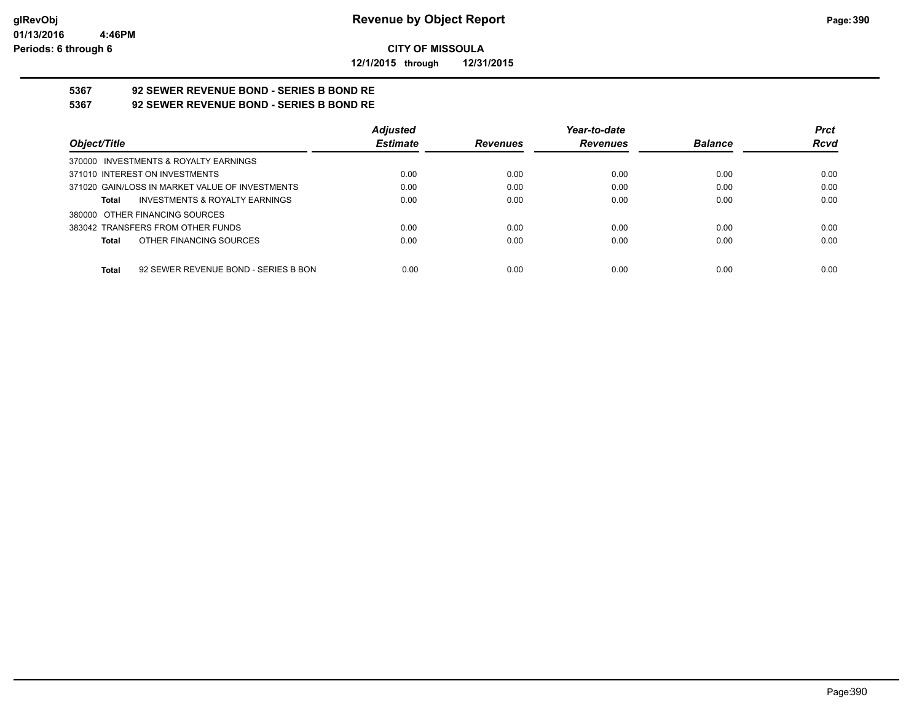**12/1/2015 through 12/31/2015**

# **5367 92 SEWER REVENUE BOND - SERIES B BOND RE**

**5367 92 SEWER REVENUE BOND - SERIES B BOND RE**

|                                                 | <b>Adjusted</b> |                 | Year-to-date    |                | <b>Prct</b> |
|-------------------------------------------------|-----------------|-----------------|-----------------|----------------|-------------|
| Object/Title                                    | <b>Estimate</b> | <b>Revenues</b> | <b>Revenues</b> | <b>Balance</b> | <b>Rcvd</b> |
| 370000 INVESTMENTS & ROYALTY EARNINGS           |                 |                 |                 |                |             |
| 371010 INTEREST ON INVESTMENTS                  | 0.00            | 0.00            | 0.00            | 0.00           | 0.00        |
| 371020 GAIN/LOSS IN MARKET VALUE OF INVESTMENTS | 0.00            | 0.00            | 0.00            | 0.00           | 0.00        |
| INVESTMENTS & ROYALTY EARNINGS<br>Total         | 0.00            | 0.00            | 0.00            | 0.00           | 0.00        |
| 380000 OTHER FINANCING SOURCES                  |                 |                 |                 |                |             |
| 383042 TRANSFERS FROM OTHER FUNDS               | 0.00            | 0.00            | 0.00            | 0.00           | 0.00        |
| OTHER FINANCING SOURCES<br>Total                | 0.00            | 0.00            | 0.00            | 0.00           | 0.00        |
|                                                 |                 |                 |                 |                |             |
| 92 SEWER REVENUE BOND - SERIES B BON<br>Total   | 0.00            | 0.00            | 0.00            | 0.00           | 0.00        |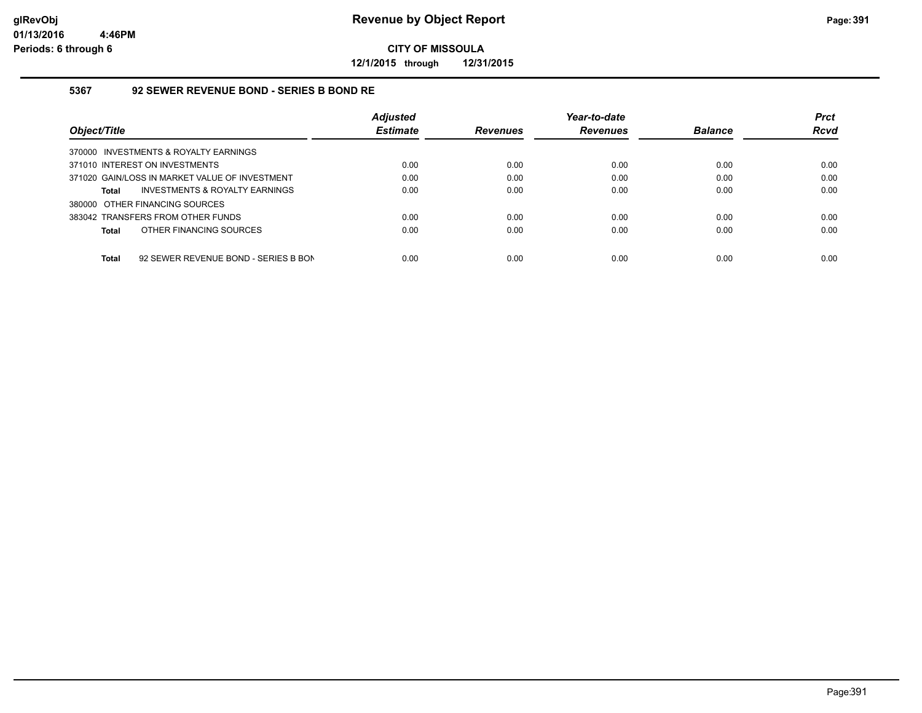**12/1/2015 through 12/31/2015**

#### **5367 92 SEWER REVENUE BOND - SERIES B BOND RE**

|                                                      | <b>Adjusted</b> |                 | Year-to-date    |                | <b>Prct</b> |
|------------------------------------------------------|-----------------|-----------------|-----------------|----------------|-------------|
| Object/Title                                         | <b>Estimate</b> | <b>Revenues</b> | <b>Revenues</b> | <b>Balance</b> | <b>Rcvd</b> |
| 370000 INVESTMENTS & ROYALTY EARNINGS                |                 |                 |                 |                |             |
| 371010 INTEREST ON INVESTMENTS                       | 0.00            | 0.00            | 0.00            | 0.00           | 0.00        |
| 371020 GAIN/LOSS IN MARKET VALUE OF INVESTMENT       | 0.00            | 0.00            | 0.00            | 0.00           | 0.00        |
| INVESTMENTS & ROYALTY EARNINGS<br>Total              | 0.00            | 0.00            | 0.00            | 0.00           | 0.00        |
| 380000 OTHER FINANCING SOURCES                       |                 |                 |                 |                |             |
| 383042 TRANSFERS FROM OTHER FUNDS                    | 0.00            | 0.00            | 0.00            | 0.00           | 0.00        |
| OTHER FINANCING SOURCES<br>Total                     | 0.00            | 0.00            | 0.00            | 0.00           | 0.00        |
|                                                      |                 |                 |                 |                |             |
| <b>Total</b><br>92 SEWER REVENUE BOND - SERIES B BON | 0.00            | 0.00            | 0.00            | 0.00           | 0.00        |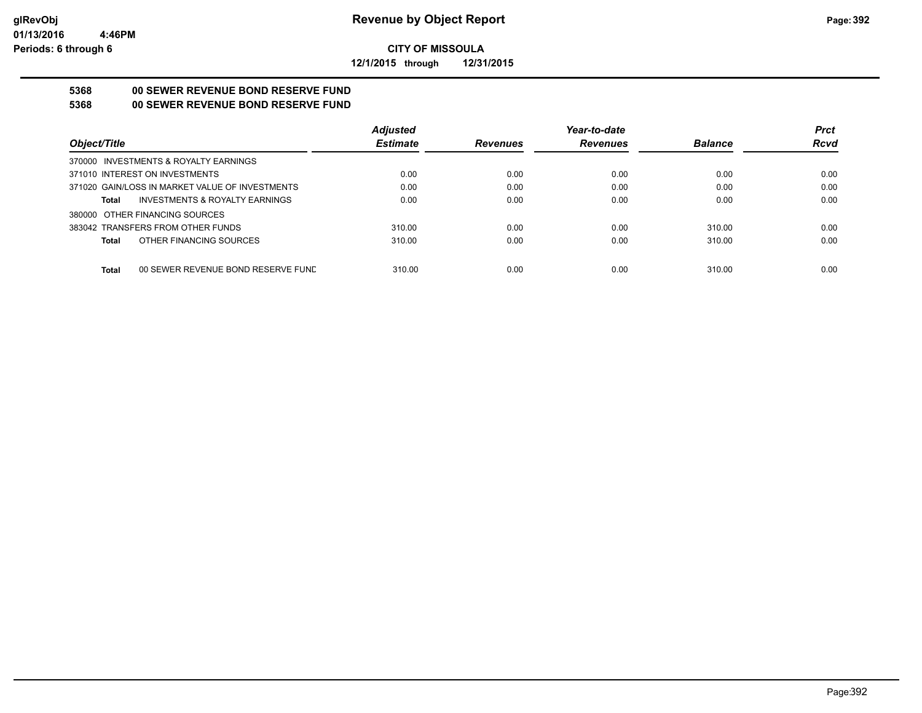**12/1/2015 through 12/31/2015**

## **5368 00 SEWER REVENUE BOND RESERVE FUND**

### **5368 00 SEWER REVENUE BOND RESERVE FUND**

|                                                    | <b>Adjusted</b> |                 | Year-to-date    |                | <b>Prct</b> |
|----------------------------------------------------|-----------------|-----------------|-----------------|----------------|-------------|
| Object/Title                                       | <b>Estimate</b> | <b>Revenues</b> | <b>Revenues</b> | <b>Balance</b> | <b>Rcvd</b> |
| 370000 INVESTMENTS & ROYALTY EARNINGS              |                 |                 |                 |                |             |
| 371010 INTEREST ON INVESTMENTS                     | 0.00            | 0.00            | 0.00            | 0.00           | 0.00        |
| 371020 GAIN/LOSS IN MARKET VALUE OF INVESTMENTS    | 0.00            | 0.00            | 0.00            | 0.00           | 0.00        |
| <b>INVESTMENTS &amp; ROYALTY EARNINGS</b><br>Total | 0.00            | 0.00            | 0.00            | 0.00           | 0.00        |
| 380000 OTHER FINANCING SOURCES                     |                 |                 |                 |                |             |
| 383042 TRANSFERS FROM OTHER FUNDS                  | 310.00          | 0.00            | 0.00            | 310.00         | 0.00        |
| OTHER FINANCING SOURCES<br>Total                   | 310.00          | 0.00            | 0.00            | 310.00         | 0.00        |
|                                                    |                 |                 |                 |                |             |
| <b>Total</b><br>00 SEWER REVENUE BOND RESERVE FUND | 310.00          | 0.00            | 0.00            | 310.00         | 0.00        |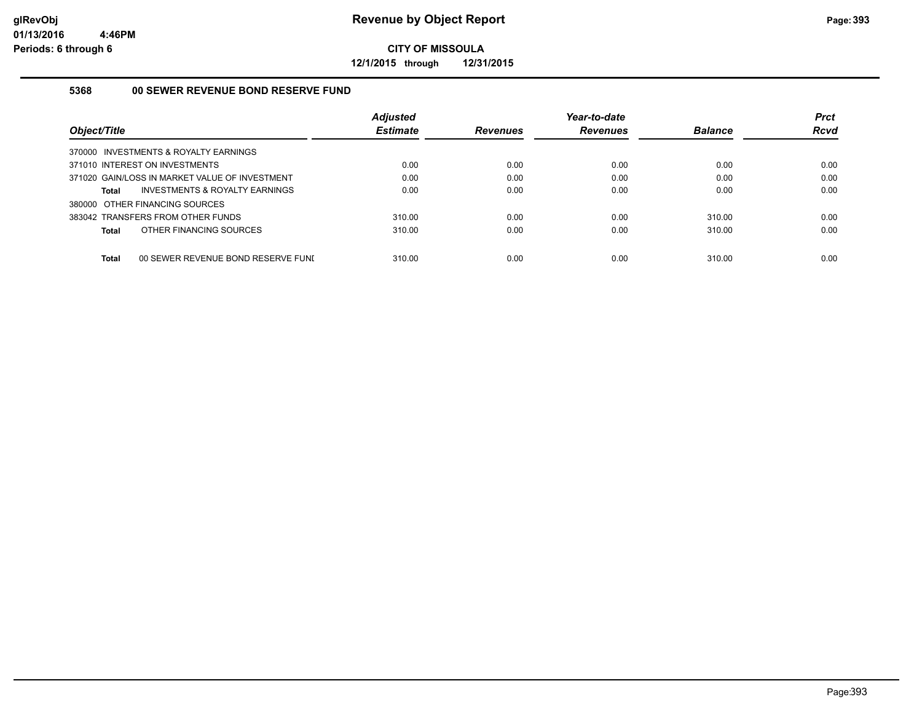**12/1/2015 through 12/31/2015**

#### **5368 00 SEWER REVENUE BOND RESERVE FUND**

|                                                    | <b>Adjusted</b> |                 | Year-to-date    |                | <b>Prct</b> |
|----------------------------------------------------|-----------------|-----------------|-----------------|----------------|-------------|
| Object/Title                                       | <b>Estimate</b> | <b>Revenues</b> | <b>Revenues</b> | <b>Balance</b> | Rcvd        |
| 370000 INVESTMENTS & ROYALTY EARNINGS              |                 |                 |                 |                |             |
| 371010 INTEREST ON INVESTMENTS                     | 0.00            | 0.00            | 0.00            | 0.00           | 0.00        |
| 371020 GAIN/LOSS IN MARKET VALUE OF INVESTMENT     | 0.00            | 0.00            | 0.00            | 0.00           | 0.00        |
| INVESTMENTS & ROYALTY EARNINGS<br><b>Total</b>     | 0.00            | 0.00            | 0.00            | 0.00           | 0.00        |
| 380000 OTHER FINANCING SOURCES                     |                 |                 |                 |                |             |
| 383042 TRANSFERS FROM OTHER FUNDS                  | 310.00          | 0.00            | 0.00            | 310.00         | 0.00        |
| OTHER FINANCING SOURCES<br><b>Total</b>            | 310.00          | 0.00            | 0.00            | 310.00         | 0.00        |
| <b>Total</b><br>00 SEWER REVENUE BOND RESERVE FUNI | 310.00          | 0.00            | 0.00            | 310.00         | 0.00        |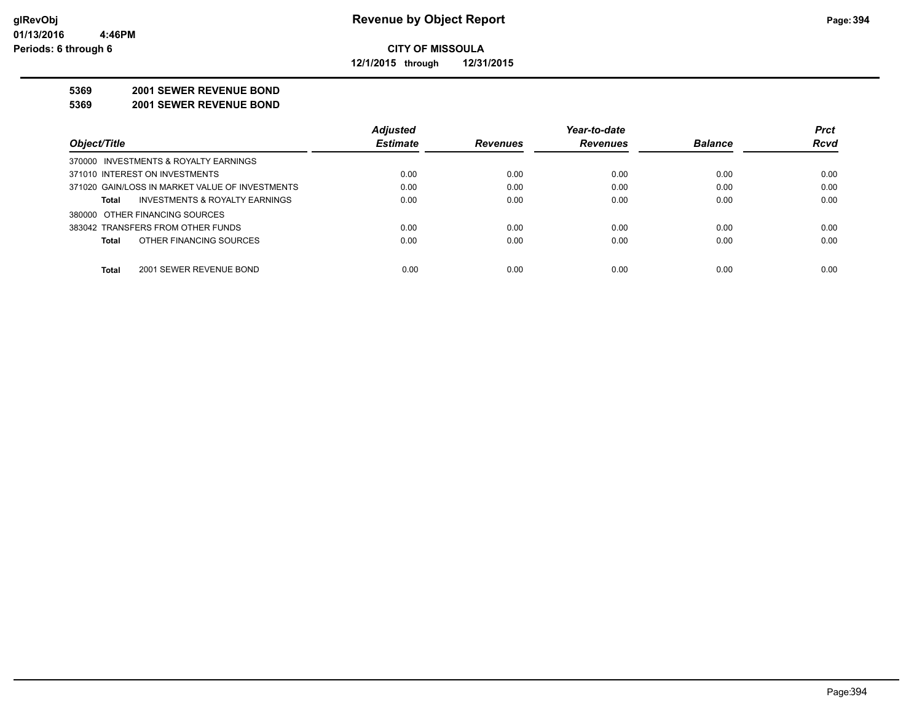**12/1/2015 through 12/31/2015**

#### **5369 2001 SEWER REVENUE BOND**

**5369 2001 SEWER REVENUE BOND**

|                                                 | <b>Adjusted</b> |                 | Year-to-date    |                | <b>Prct</b> |
|-------------------------------------------------|-----------------|-----------------|-----------------|----------------|-------------|
| Object/Title                                    | <b>Estimate</b> | <b>Revenues</b> | <b>Revenues</b> | <b>Balance</b> | <b>Rcvd</b> |
| 370000 INVESTMENTS & ROYALTY EARNINGS           |                 |                 |                 |                |             |
| 371010 INTEREST ON INVESTMENTS                  | 0.00            | 0.00            | 0.00            | 0.00           | 0.00        |
| 371020 GAIN/LOSS IN MARKET VALUE OF INVESTMENTS | 0.00            | 0.00            | 0.00            | 0.00           | 0.00        |
| INVESTMENTS & ROYALTY EARNINGS<br>Total         | 0.00            | 0.00            | 0.00            | 0.00           | 0.00        |
| 380000 OTHER FINANCING SOURCES                  |                 |                 |                 |                |             |
| 383042 TRANSFERS FROM OTHER FUNDS               | 0.00            | 0.00            | 0.00            | 0.00           | 0.00        |
| OTHER FINANCING SOURCES<br><b>Total</b>         | 0.00            | 0.00            | 0.00            | 0.00           | 0.00        |
|                                                 |                 |                 |                 |                |             |
| <b>Total</b><br>2001 SEWER REVENUE BOND         | 0.00            | 0.00            | 0.00            | 0.00           | 0.00        |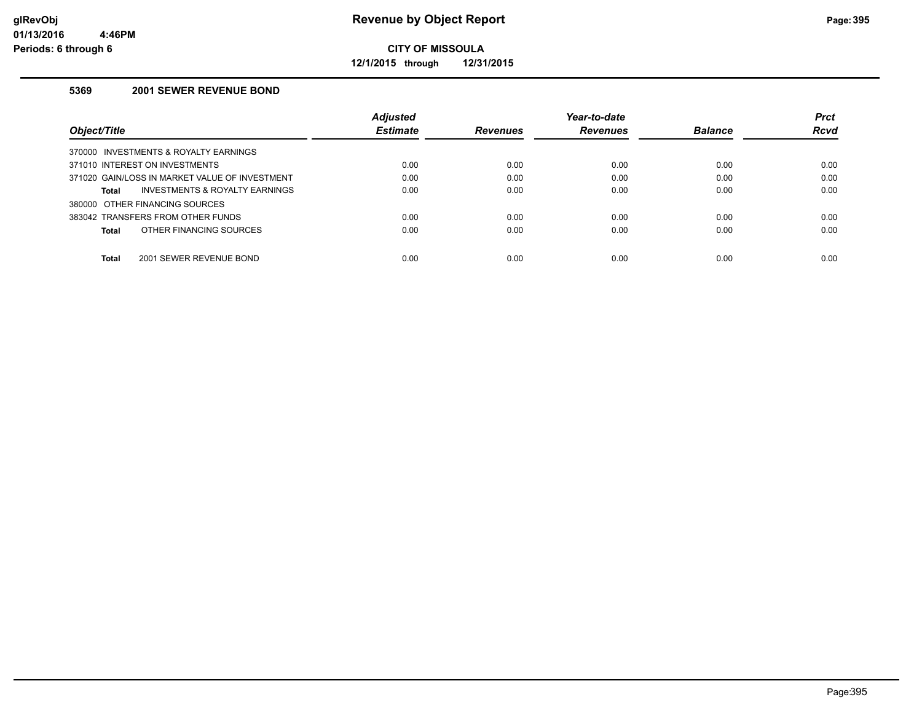**12/1/2015 through 12/31/2015**

#### **5369 2001 SEWER REVENUE BOND**

|                                                           | <b>Adjusted</b> |                 | Year-to-date    |                | <b>Prct</b> |
|-----------------------------------------------------------|-----------------|-----------------|-----------------|----------------|-------------|
| Obiect/Title                                              | <b>Estimate</b> | <b>Revenues</b> | <b>Revenues</b> | <b>Balance</b> | <b>Rcvd</b> |
| 370000 INVESTMENTS & ROYALTY EARNINGS                     |                 |                 |                 |                |             |
| 371010 INTEREST ON INVESTMENTS                            | 0.00            | 0.00            | 0.00            | 0.00           | 0.00        |
| 371020 GAIN/LOSS IN MARKET VALUE OF INVESTMENT            | 0.00            | 0.00            | 0.00            | 0.00           | 0.00        |
| <b>INVESTMENTS &amp; ROYALTY EARNINGS</b><br><b>Total</b> | 0.00            | 0.00            | 0.00            | 0.00           | 0.00        |
| 380000 OTHER FINANCING SOURCES                            |                 |                 |                 |                |             |
| 383042 TRANSFERS FROM OTHER FUNDS                         | 0.00            | 0.00            | 0.00            | 0.00           | 0.00        |
| OTHER FINANCING SOURCES<br>Total                          | 0.00            | 0.00            | 0.00            | 0.00           | 0.00        |
| <b>Total</b><br>2001 SEWER REVENUE BOND                   | 0.00            | 0.00            | 0.00            | 0.00           | 0.00        |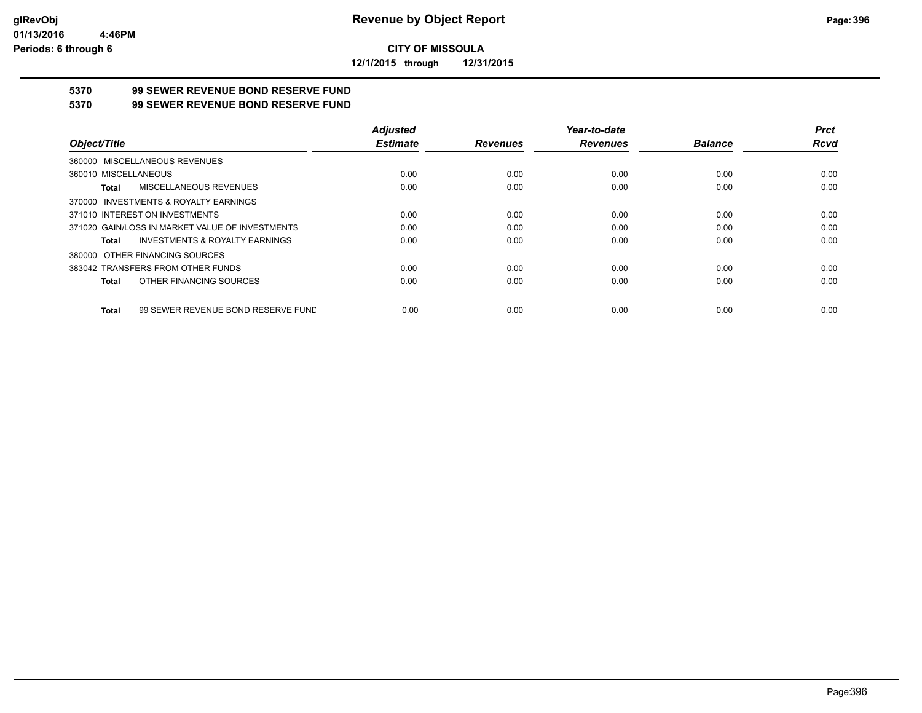**12/1/2015 through 12/31/2015**

## **5370 99 SEWER REVENUE BOND RESERVE FUND**

#### **5370 99 SEWER REVENUE BOND RESERVE FUND**

|                                                    | <b>Adjusted</b> |                 | Year-to-date    |                | <b>Prct</b> |
|----------------------------------------------------|-----------------|-----------------|-----------------|----------------|-------------|
| Object/Title                                       | <b>Estimate</b> | <b>Revenues</b> | <b>Revenues</b> | <b>Balance</b> | Rcvd        |
| 360000 MISCELLANEOUS REVENUES                      |                 |                 |                 |                |             |
| 360010 MISCELLANEOUS                               | 0.00            | 0.00            | 0.00            | 0.00           | 0.00        |
| MISCELLANEOUS REVENUES<br>Total                    | 0.00            | 0.00            | 0.00            | 0.00           | 0.00        |
| 370000 INVESTMENTS & ROYALTY EARNINGS              |                 |                 |                 |                |             |
| 371010 INTEREST ON INVESTMENTS                     | 0.00            | 0.00            | 0.00            | 0.00           | 0.00        |
| 371020 GAIN/LOSS IN MARKET VALUE OF INVESTMENTS    | 0.00            | 0.00            | 0.00            | 0.00           | 0.00        |
| <b>INVESTMENTS &amp; ROYALTY EARNINGS</b><br>Total | 0.00            | 0.00            | 0.00            | 0.00           | 0.00        |
| 380000 OTHER FINANCING SOURCES                     |                 |                 |                 |                |             |
| 383042 TRANSFERS FROM OTHER FUNDS                  | 0.00            | 0.00            | 0.00            | 0.00           | 0.00        |
| OTHER FINANCING SOURCES<br>Total                   | 0.00            | 0.00            | 0.00            | 0.00           | 0.00        |
| 99 SEWER REVENUE BOND RESERVE FUND<br>Total        | 0.00            | 0.00            | 0.00            | 0.00           | 0.00        |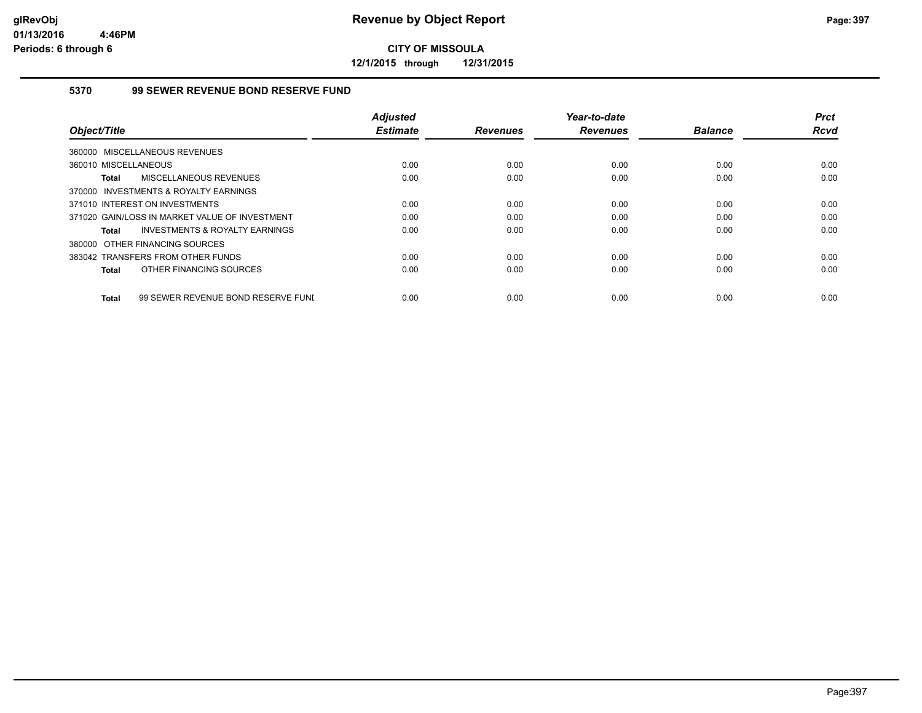**12/1/2015 through 12/31/2015**

#### **5370 99 SEWER REVENUE BOND RESERVE FUND**

|                                                    | <b>Adjusted</b> |                 | Year-to-date    |                | <b>Prct</b> |
|----------------------------------------------------|-----------------|-----------------|-----------------|----------------|-------------|
| Object/Title                                       | <b>Estimate</b> | <b>Revenues</b> | <b>Revenues</b> | <b>Balance</b> | <b>Rcvd</b> |
| 360000 MISCELLANEOUS REVENUES                      |                 |                 |                 |                |             |
| 360010 MISCELLANEOUS                               | 0.00            | 0.00            | 0.00            | 0.00           | 0.00        |
| MISCELLANEOUS REVENUES<br><b>Total</b>             | 0.00            | 0.00            | 0.00            | 0.00           | 0.00        |
| 370000 INVESTMENTS & ROYALTY EARNINGS              |                 |                 |                 |                |             |
| 371010 INTEREST ON INVESTMENTS                     | 0.00            | 0.00            | 0.00            | 0.00           | 0.00        |
| 371020 GAIN/LOSS IN MARKET VALUE OF INVESTMENT     | 0.00            | 0.00            | 0.00            | 0.00           | 0.00        |
| INVESTMENTS & ROYALTY EARNINGS<br>Total            | 0.00            | 0.00            | 0.00            | 0.00           | 0.00        |
| 380000 OTHER FINANCING SOURCES                     |                 |                 |                 |                |             |
| 383042 TRANSFERS FROM OTHER FUNDS                  | 0.00            | 0.00            | 0.00            | 0.00           | 0.00        |
| OTHER FINANCING SOURCES<br><b>Total</b>            | 0.00            | 0.00            | 0.00            | 0.00           | 0.00        |
|                                                    |                 |                 |                 |                |             |
| 99 SEWER REVENUE BOND RESERVE FUNI<br><b>Total</b> | 0.00            | 0.00            | 0.00            | 0.00           | 0.00        |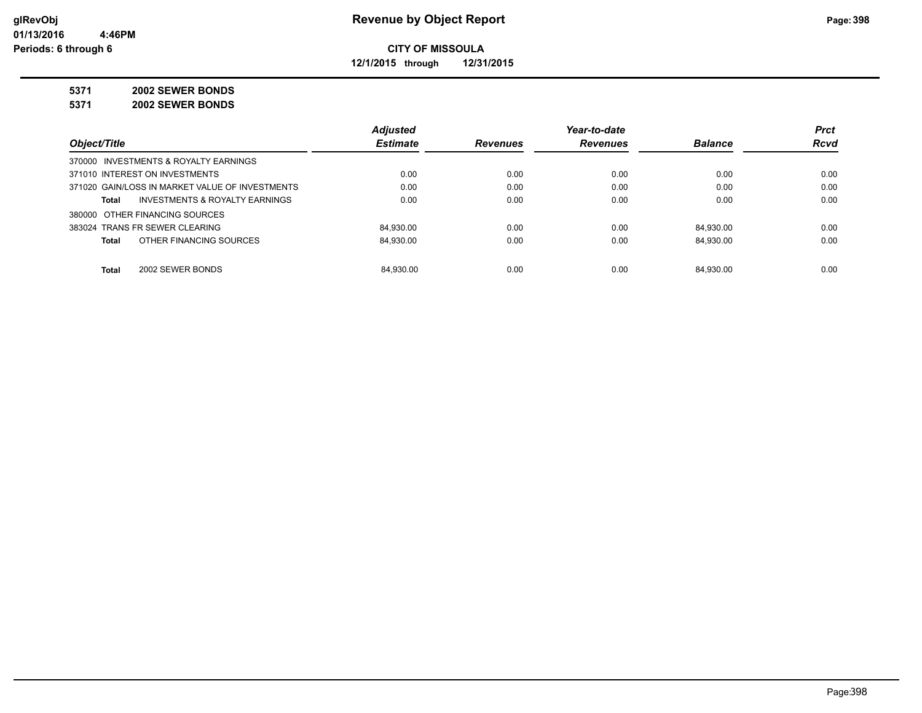**12/1/2015 through 12/31/2015**

#### **5371 2002 SEWER BONDS**

**5371 2002 SEWER BONDS**

|                                                 | <b>Adjusted</b> |                 | Year-to-date    |                | <b>Prct</b> |
|-------------------------------------------------|-----------------|-----------------|-----------------|----------------|-------------|
| Object/Title                                    | <b>Estimate</b> | <b>Revenues</b> | <b>Revenues</b> | <b>Balance</b> | <b>Rcvd</b> |
| 370000 INVESTMENTS & ROYALTY EARNINGS           |                 |                 |                 |                |             |
| 371010 INTEREST ON INVESTMENTS                  | 0.00            | 0.00            | 0.00            | 0.00           | 0.00        |
| 371020 GAIN/LOSS IN MARKET VALUE OF INVESTMENTS | 0.00            | 0.00            | 0.00            | 0.00           | 0.00        |
| INVESTMENTS & ROYALTY EARNINGS<br>Total         | 0.00            | 0.00            | 0.00            | 0.00           | 0.00        |
| 380000 OTHER FINANCING SOURCES                  |                 |                 |                 |                |             |
| 383024 TRANS FR SEWER CLEARING                  | 84.930.00       | 0.00            | 0.00            | 84.930.00      | 0.00        |
| OTHER FINANCING SOURCES<br>Total                | 84.930.00       | 0.00            | 0.00            | 84.930.00      | 0.00        |
|                                                 |                 |                 |                 |                |             |
| <b>Total</b><br>2002 SEWER BONDS                | 84.930.00       | 0.00            | 0.00            | 84.930.00      | 0.00        |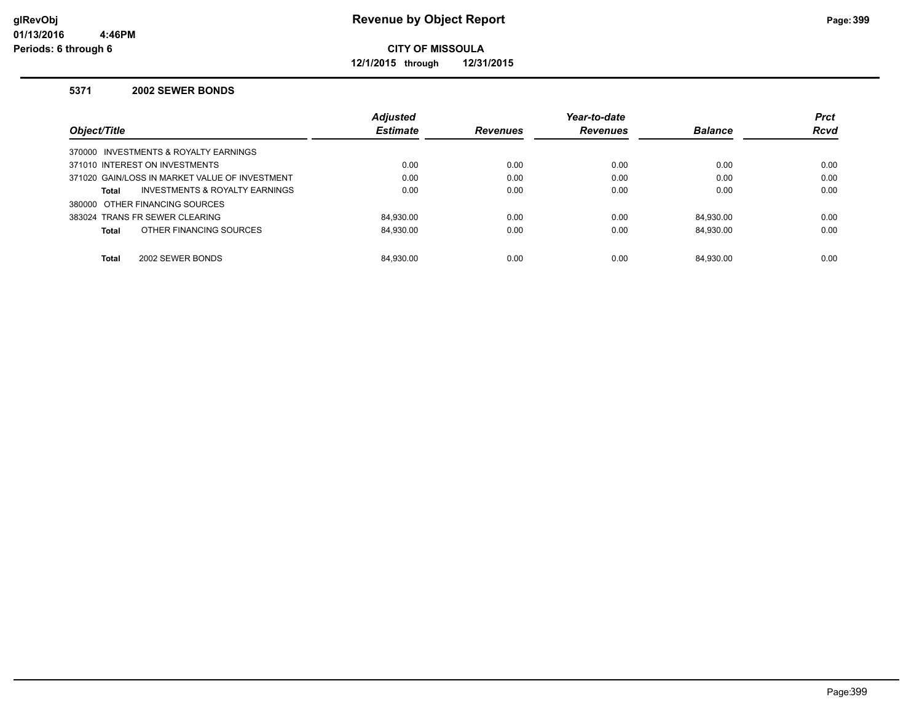**12/1/2015 through 12/31/2015**

#### **5371 2002 SEWER BONDS**

|                                                | <b>Adjusted</b> |                 | Year-to-date    |                | <b>Prct</b> |
|------------------------------------------------|-----------------|-----------------|-----------------|----------------|-------------|
| Object/Title                                   | <b>Estimate</b> | <b>Revenues</b> | <b>Revenues</b> | <b>Balance</b> | <b>Rcvd</b> |
| 370000 INVESTMENTS & ROYALTY EARNINGS          |                 |                 |                 |                |             |
| 371010 INTEREST ON INVESTMENTS                 | 0.00            | 0.00            | 0.00            | 0.00           | 0.00        |
| 371020 GAIN/LOSS IN MARKET VALUE OF INVESTMENT | 0.00            | 0.00            | 0.00            | 0.00           | 0.00        |
| INVESTMENTS & ROYALTY EARNINGS<br><b>Total</b> | 0.00            | 0.00            | 0.00            | 0.00           | 0.00        |
| 380000 OTHER FINANCING SOURCES                 |                 |                 |                 |                |             |
| 383024 TRANS FR SEWER CLEARING                 | 84.930.00       | 0.00            | 0.00            | 84.930.00      | 0.00        |
| OTHER FINANCING SOURCES<br><b>Total</b>        | 84.930.00       | 0.00            | 0.00            | 84.930.00      | 0.00        |
|                                                |                 |                 |                 |                |             |
| 2002 SEWER BONDS<br><b>Total</b>               | 84.930.00       | 0.00            | 0.00            | 84.930.00      | 0.00        |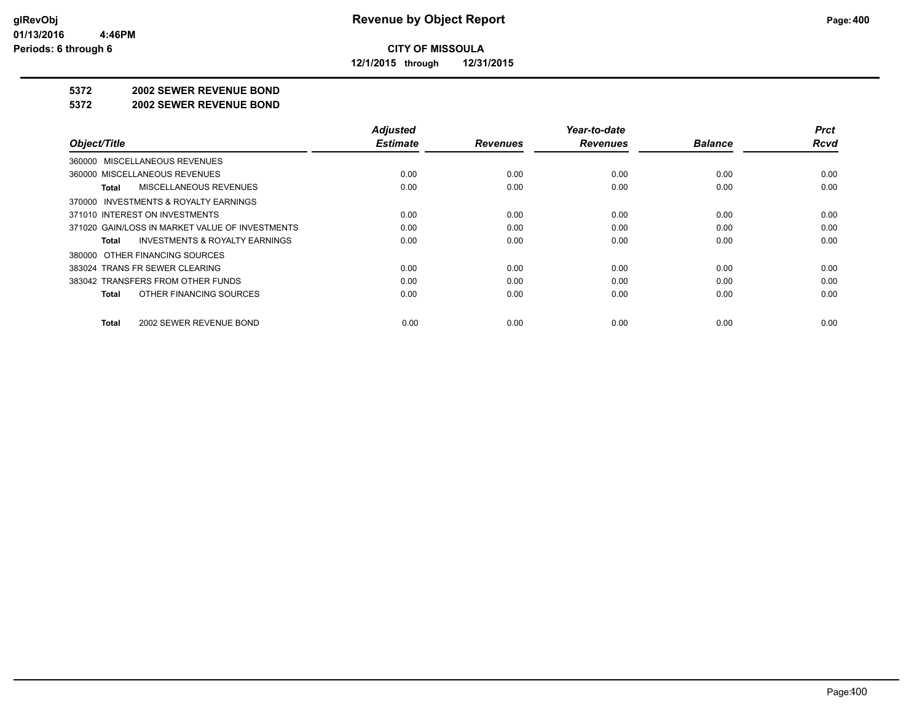**12/1/2015 through 12/31/2015**

#### **5372 2002 SEWER REVENUE BOND**

#### **5372 2002 SEWER REVENUE BOND**

|                                                    | <b>Adjusted</b> |                 | Year-to-date    |                | <b>Prct</b> |
|----------------------------------------------------|-----------------|-----------------|-----------------|----------------|-------------|
| Object/Title                                       | <b>Estimate</b> | <b>Revenues</b> | <b>Revenues</b> | <b>Balance</b> | Rcvd        |
| 360000 MISCELLANEOUS REVENUES                      |                 |                 |                 |                |             |
| 360000 MISCELLANEOUS REVENUES                      | 0.00            | 0.00            | 0.00            | 0.00           | 0.00        |
| MISCELLANEOUS REVENUES<br>Total                    | 0.00            | 0.00            | 0.00            | 0.00           | 0.00        |
| 370000 INVESTMENTS & ROYALTY EARNINGS              |                 |                 |                 |                |             |
| 371010 INTEREST ON INVESTMENTS                     | 0.00            | 0.00            | 0.00            | 0.00           | 0.00        |
| 371020 GAIN/LOSS IN MARKET VALUE OF INVESTMENTS    | 0.00            | 0.00            | 0.00            | 0.00           | 0.00        |
| <b>INVESTMENTS &amp; ROYALTY EARNINGS</b><br>Total | 0.00            | 0.00            | 0.00            | 0.00           | 0.00        |
| 380000 OTHER FINANCING SOURCES                     |                 |                 |                 |                |             |
| 383024 TRANS FR SEWER CLEARING                     | 0.00            | 0.00            | 0.00            | 0.00           | 0.00        |
| 383042 TRANSFERS FROM OTHER FUNDS                  | 0.00            | 0.00            | 0.00            | 0.00           | 0.00        |
| OTHER FINANCING SOURCES<br>Total                   | 0.00            | 0.00            | 0.00            | 0.00           | 0.00        |
| 2002 SEWER REVENUE BOND<br>Total                   | 0.00            | 0.00            | 0.00            | 0.00           | 0.00        |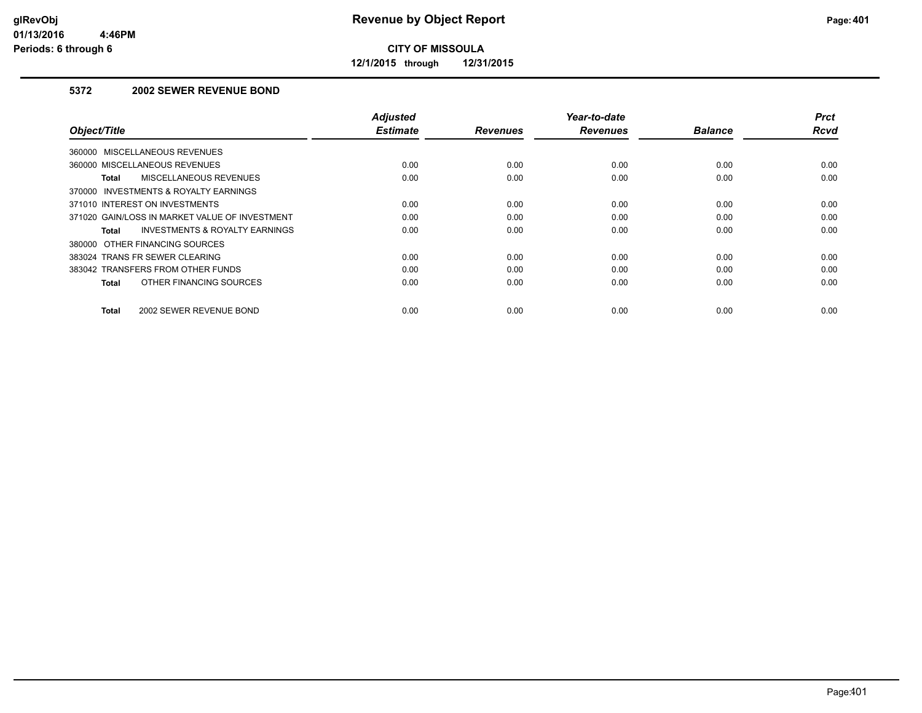**12/1/2015 through 12/31/2015**

#### **5372 2002 SEWER REVENUE BOND**

| Object/Title                                       | <b>Adjusted</b><br><b>Estimate</b> | <b>Revenues</b> | Year-to-date<br><b>Revenues</b> | <b>Balance</b> | <b>Prct</b><br><b>Rcvd</b> |
|----------------------------------------------------|------------------------------------|-----------------|---------------------------------|----------------|----------------------------|
| 360000 MISCELLANEOUS REVENUES                      |                                    |                 |                                 |                |                            |
| 360000 MISCELLANEOUS REVENUES                      | 0.00                               | 0.00            | 0.00                            | 0.00           | 0.00                       |
| MISCELLANEOUS REVENUES<br>Total                    | 0.00                               | 0.00            | 0.00                            | 0.00           | 0.00                       |
| 370000 INVESTMENTS & ROYALTY EARNINGS              |                                    |                 |                                 |                |                            |
| 371010 INTEREST ON INVESTMENTS                     | 0.00                               | 0.00            | 0.00                            | 0.00           | 0.00                       |
| 371020 GAIN/LOSS IN MARKET VALUE OF INVESTMENT     | 0.00                               | 0.00            | 0.00                            | 0.00           | 0.00                       |
| <b>INVESTMENTS &amp; ROYALTY EARNINGS</b><br>Total | 0.00                               | 0.00            | 0.00                            | 0.00           | 0.00                       |
| 380000 OTHER FINANCING SOURCES                     |                                    |                 |                                 |                |                            |
| 383024 TRANS FR SEWER CLEARING                     | 0.00                               | 0.00            | 0.00                            | 0.00           | 0.00                       |
| 383042 TRANSFERS FROM OTHER FUNDS                  | 0.00                               | 0.00            | 0.00                            | 0.00           | 0.00                       |
| OTHER FINANCING SOURCES<br><b>Total</b>            | 0.00                               | 0.00            | 0.00                            | 0.00           | 0.00                       |
| 2002 SEWER REVENUE BOND<br><b>Total</b>            | 0.00                               | 0.00            | 0.00                            | 0.00           | 0.00                       |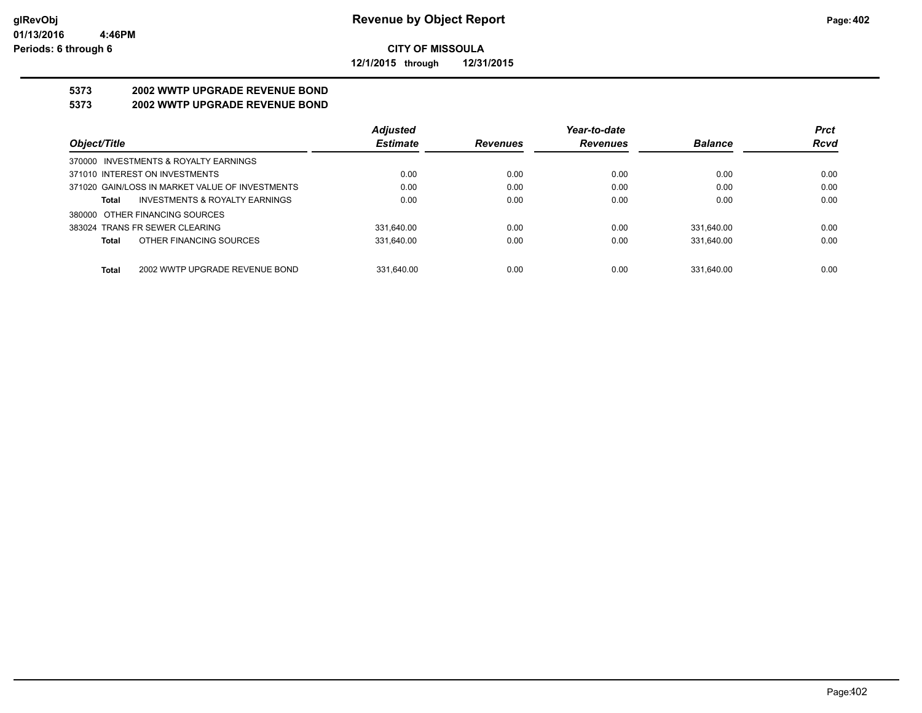**12/1/2015 through 12/31/2015**

# **5373 2002 WWTP UPGRADE REVENUE BOND**

### **5373 2002 WWTP UPGRADE REVENUE BOND**

|                                                    | <b>Adjusted</b> |                 | Year-to-date    |                | <b>Prct</b> |
|----------------------------------------------------|-----------------|-----------------|-----------------|----------------|-------------|
| Object/Title                                       | <b>Estimate</b> | <b>Revenues</b> | <b>Revenues</b> | <b>Balance</b> | <b>Rcvd</b> |
| 370000 INVESTMENTS & ROYALTY EARNINGS              |                 |                 |                 |                |             |
| 371010 INTEREST ON INVESTMENTS                     | 0.00            | 0.00            | 0.00            | 0.00           | 0.00        |
| 371020 GAIN/LOSS IN MARKET VALUE OF INVESTMENTS    | 0.00            | 0.00            | 0.00            | 0.00           | 0.00        |
| <b>INVESTMENTS &amp; ROYALTY EARNINGS</b><br>Total | 0.00            | 0.00            | 0.00            | 0.00           | 0.00        |
| 380000 OTHER FINANCING SOURCES                     |                 |                 |                 |                |             |
| 383024 TRANS FR SEWER CLEARING                     | 331.640.00      | 0.00            | 0.00            | 331.640.00     | 0.00        |
| OTHER FINANCING SOURCES<br>Total                   | 331.640.00      | 0.00            | 0.00            | 331.640.00     | 0.00        |
|                                                    |                 |                 |                 |                |             |
| 2002 WWTP UPGRADE REVENUE BOND<br><b>Total</b>     | 331.640.00      | 0.00            | 0.00            | 331.640.00     | 0.00        |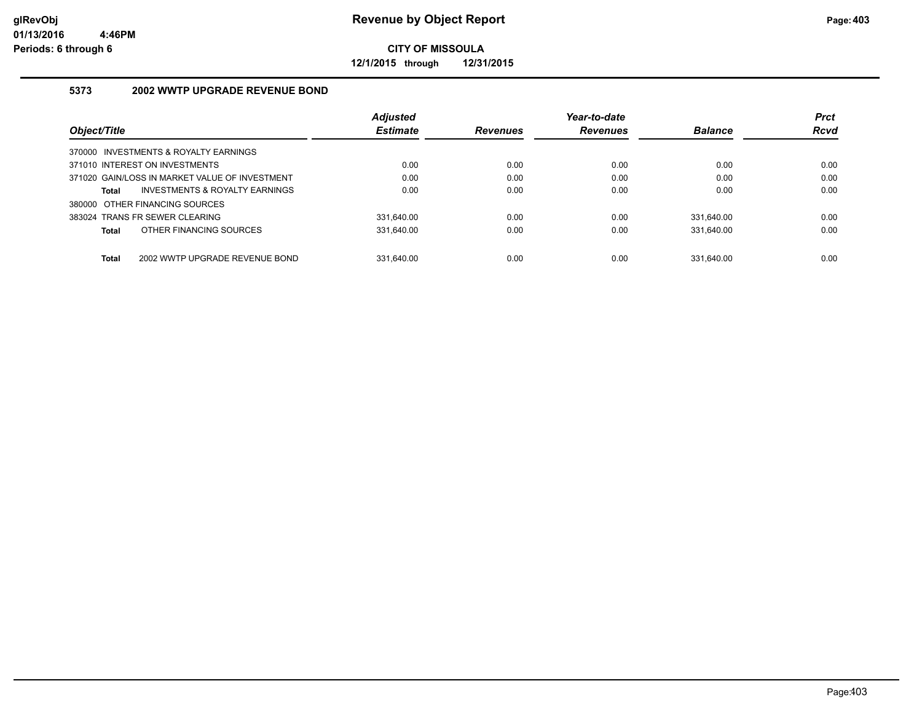**12/1/2015 through 12/31/2015**

#### **5373 2002 WWTP UPGRADE REVENUE BOND**

|                                                | <b>Adjusted</b> |                 | Year-to-date    |                | <b>Prct</b> |
|------------------------------------------------|-----------------|-----------------|-----------------|----------------|-------------|
| Object/Title                                   | <b>Estimate</b> | <b>Revenues</b> | <b>Revenues</b> | <b>Balance</b> | <b>Rcvd</b> |
| 370000 INVESTMENTS & ROYALTY EARNINGS          |                 |                 |                 |                |             |
| 371010 INTEREST ON INVESTMENTS                 | 0.00            | 0.00            | 0.00            | 0.00           | 0.00        |
| 371020 GAIN/LOSS IN MARKET VALUE OF INVESTMENT | 0.00            | 0.00            | 0.00            | 0.00           | 0.00        |
| INVESTMENTS & ROYALTY EARNINGS<br><b>Total</b> | 0.00            | 0.00            | 0.00            | 0.00           | 0.00        |
| 380000 OTHER FINANCING SOURCES                 |                 |                 |                 |                |             |
| 383024 TRANS FR SEWER CLEARING                 | 331.640.00      | 0.00            | 0.00            | 331.640.00     | 0.00        |
| OTHER FINANCING SOURCES<br><b>Total</b>        | 331.640.00      | 0.00            | 0.00            | 331.640.00     | 0.00        |
|                                                |                 |                 |                 |                |             |
| 2002 WWTP UPGRADE REVENUE BOND<br><b>Total</b> | 331.640.00      | 0.00            | 0.00            | 331.640.00     | 0.00        |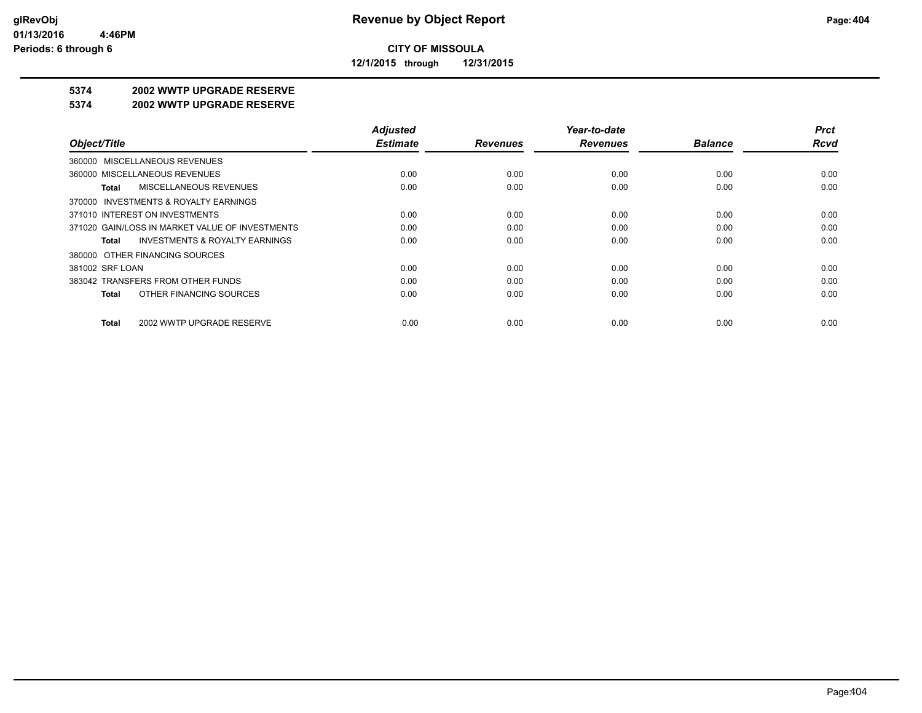**12/1/2015 through 12/31/2015**

#### **5374 2002 WWTP UPGRADE RESERVE**

#### **5374 2002 WWTP UPGRADE RESERVE**

|                                                    | <b>Adjusted</b> |                 | Year-to-date    |                | <b>Prct</b> |
|----------------------------------------------------|-----------------|-----------------|-----------------|----------------|-------------|
| Object/Title                                       | <b>Estimate</b> | <b>Revenues</b> | <b>Revenues</b> | <b>Balance</b> | Rcvd        |
| 360000 MISCELLANEOUS REVENUES                      |                 |                 |                 |                |             |
| 360000 MISCELLANEOUS REVENUES                      | 0.00            | 0.00            | 0.00            | 0.00           | 0.00        |
| MISCELLANEOUS REVENUES<br>Total                    | 0.00            | 0.00            | 0.00            | 0.00           | 0.00        |
| 370000 INVESTMENTS & ROYALTY EARNINGS              |                 |                 |                 |                |             |
| 371010 INTEREST ON INVESTMENTS                     | 0.00            | 0.00            | 0.00            | 0.00           | 0.00        |
| 371020 GAIN/LOSS IN MARKET VALUE OF INVESTMENTS    | 0.00            | 0.00            | 0.00            | 0.00           | 0.00        |
| <b>INVESTMENTS &amp; ROYALTY EARNINGS</b><br>Total | 0.00            | 0.00            | 0.00            | 0.00           | 0.00        |
| 380000 OTHER FINANCING SOURCES                     |                 |                 |                 |                |             |
| 381002 SRF LOAN                                    | 0.00            | 0.00            | 0.00            | 0.00           | 0.00        |
| 383042 TRANSFERS FROM OTHER FUNDS                  | 0.00            | 0.00            | 0.00            | 0.00           | 0.00        |
| OTHER FINANCING SOURCES<br>Total                   | 0.00            | 0.00            | 0.00            | 0.00           | 0.00        |
| 2002 WWTP UPGRADE RESERVE<br>Total                 | 0.00            | 0.00            | 0.00            | 0.00           | 0.00        |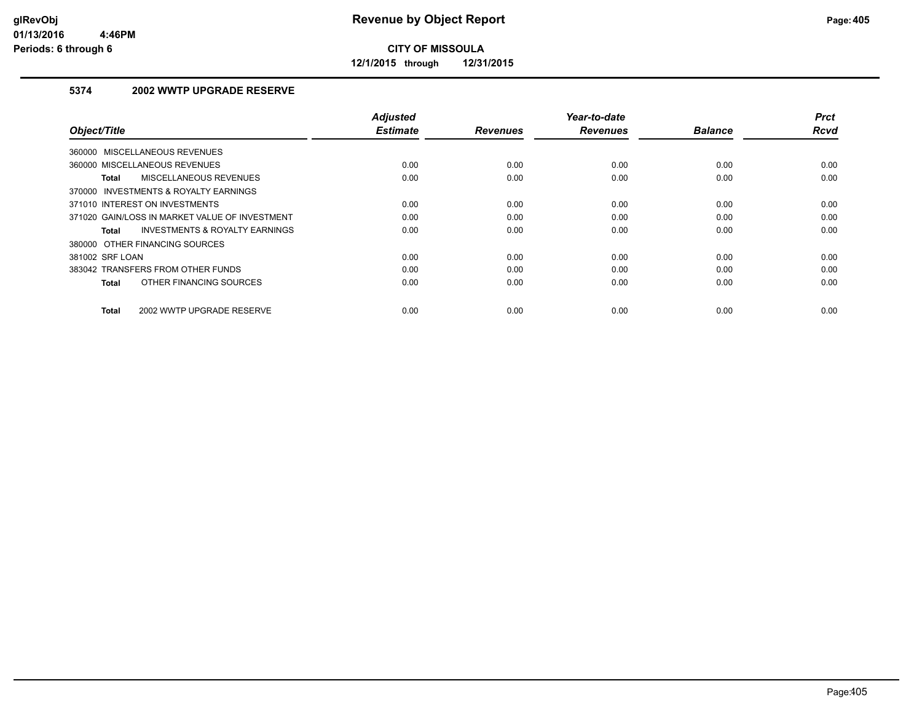**12/1/2015 through 12/31/2015**

#### **5374 2002 WWTP UPGRADE RESERVE**

| Object/Title                                       | <b>Adjusted</b><br><b>Estimate</b> | <b>Revenues</b> | Year-to-date<br><b>Revenues</b> | <b>Balance</b> | <b>Prct</b><br>Rcvd |
|----------------------------------------------------|------------------------------------|-----------------|---------------------------------|----------------|---------------------|
| 360000 MISCELLANEOUS REVENUES                      |                                    |                 |                                 |                |                     |
| 360000 MISCELLANEOUS REVENUES                      | 0.00                               | 0.00            | 0.00                            | 0.00           | 0.00                |
| MISCELLANEOUS REVENUES<br><b>Total</b>             | 0.00                               | 0.00            | 0.00                            | 0.00           | 0.00                |
| 370000 INVESTMENTS & ROYALTY EARNINGS              |                                    |                 |                                 |                |                     |
| 371010 INTEREST ON INVESTMENTS                     | 0.00                               | 0.00            | 0.00                            | 0.00           | 0.00                |
| 371020 GAIN/LOSS IN MARKET VALUE OF INVESTMENT     | 0.00                               | 0.00            | 0.00                            | 0.00           | 0.00                |
| <b>INVESTMENTS &amp; ROYALTY EARNINGS</b><br>Total | 0.00                               | 0.00            | 0.00                            | 0.00           | 0.00                |
| 380000 OTHER FINANCING SOURCES                     |                                    |                 |                                 |                |                     |
| 381002 SRF LOAN                                    | 0.00                               | 0.00            | 0.00                            | 0.00           | 0.00                |
| 383042 TRANSFERS FROM OTHER FUNDS                  | 0.00                               | 0.00            | 0.00                            | 0.00           | 0.00                |
| OTHER FINANCING SOURCES<br><b>Total</b>            | 0.00                               | 0.00            | 0.00                            | 0.00           | 0.00                |
| 2002 WWTP UPGRADE RESERVE<br><b>Total</b>          | 0.00                               | 0.00            | 0.00                            | 0.00           | 0.00                |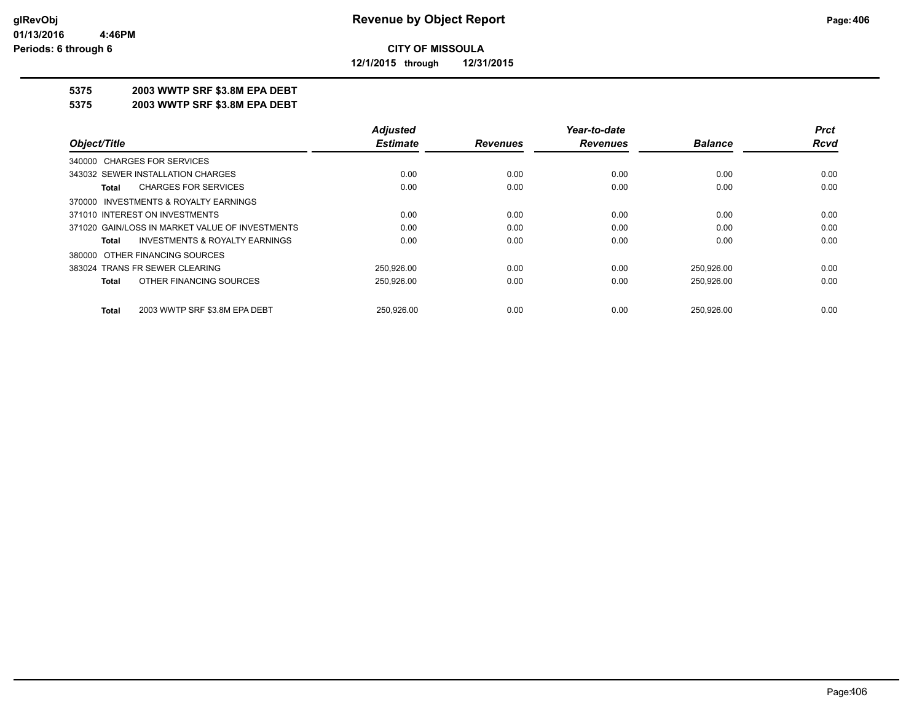**12/1/2015 through 12/31/2015**

#### **5375 2003 WWTP SRF \$3.8M EPA DEBT**

**5375 2003 WWTP SRF \$3.8M EPA DEBT**

|                                                    | <b>Adjusted</b> |                 | Year-to-date    |                | <b>Prct</b> |
|----------------------------------------------------|-----------------|-----------------|-----------------|----------------|-------------|
| Object/Title                                       | <b>Estimate</b> | <b>Revenues</b> | <b>Revenues</b> | <b>Balance</b> | Rcvd        |
| 340000 CHARGES FOR SERVICES                        |                 |                 |                 |                |             |
| 343032 SEWER INSTALLATION CHARGES                  | 0.00            | 0.00            | 0.00            | 0.00           | 0.00        |
| <b>CHARGES FOR SERVICES</b><br>Total               | 0.00            | 0.00            | 0.00            | 0.00           | 0.00        |
| 370000 INVESTMENTS & ROYALTY EARNINGS              |                 |                 |                 |                |             |
| 371010 INTEREST ON INVESTMENTS                     | 0.00            | 0.00            | 0.00            | 0.00           | 0.00        |
| 371020 GAIN/LOSS IN MARKET VALUE OF INVESTMENTS    | 0.00            | 0.00            | 0.00            | 0.00           | 0.00        |
| <b>INVESTMENTS &amp; ROYALTY EARNINGS</b><br>Total | 0.00            | 0.00            | 0.00            | 0.00           | 0.00        |
| 380000 OTHER FINANCING SOURCES                     |                 |                 |                 |                |             |
| 383024 TRANS FR SEWER CLEARING                     | 250.926.00      | 0.00            | 0.00            | 250,926.00     | 0.00        |
| OTHER FINANCING SOURCES<br>Total                   | 250,926.00      | 0.00            | 0.00            | 250,926.00     | 0.00        |
| 2003 WWTP SRF \$3.8M EPA DEBT<br>Total             | 250.926.00      | 0.00            | 0.00            | 250.926.00     | 0.00        |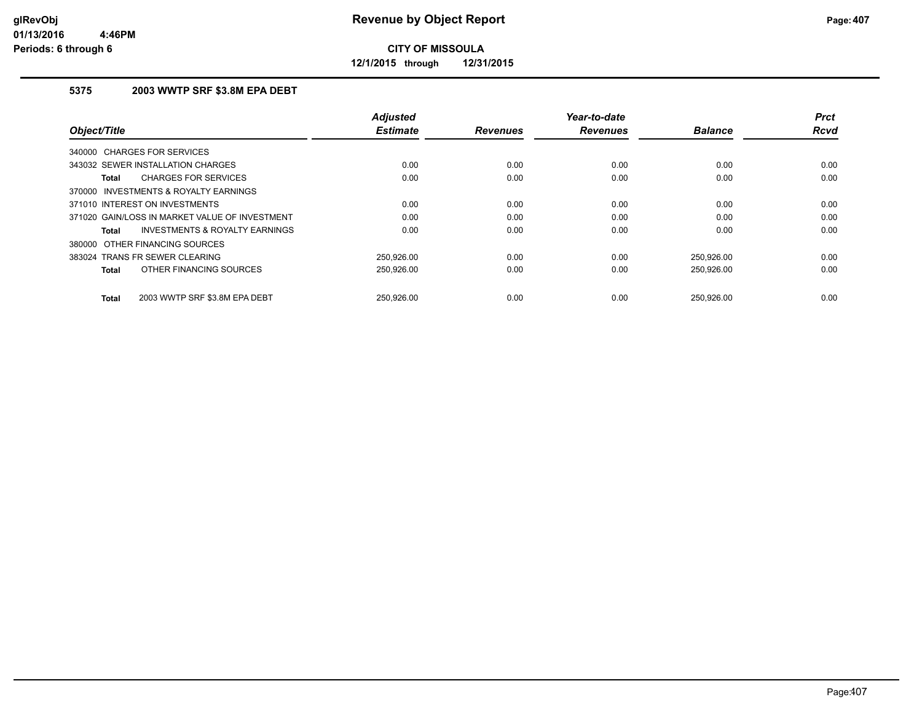**12/1/2015 through 12/31/2015**

#### **5375 2003 WWTP SRF \$3.8M EPA DEBT**

| Object/Title                                   | <b>Adjusted</b><br><b>Estimate</b> | <b>Revenues</b> | Year-to-date<br><b>Revenues</b> | <b>Balance</b> | <b>Prct</b><br><b>Rcvd</b> |
|------------------------------------------------|------------------------------------|-----------------|---------------------------------|----------------|----------------------------|
| 340000 CHARGES FOR SERVICES                    |                                    |                 |                                 |                |                            |
|                                                |                                    |                 |                                 |                |                            |
| 343032 SEWER INSTALLATION CHARGES              | 0.00                               | 0.00            | 0.00                            | 0.00           | 0.00                       |
| <b>CHARGES FOR SERVICES</b><br>Total           | 0.00                               | 0.00            | 0.00                            | 0.00           | 0.00                       |
| INVESTMENTS & ROYALTY EARNINGS<br>370000       |                                    |                 |                                 |                |                            |
| 371010 INTEREST ON INVESTMENTS                 | 0.00                               | 0.00            | 0.00                            | 0.00           | 0.00                       |
| 371020 GAIN/LOSS IN MARKET VALUE OF INVESTMENT | 0.00                               | 0.00            | 0.00                            | 0.00           | 0.00                       |
| INVESTMENTS & ROYALTY EARNINGS<br>Total        | 0.00                               | 0.00            | 0.00                            | 0.00           | 0.00                       |
| 380000 OTHER FINANCING SOURCES                 |                                    |                 |                                 |                |                            |
| 383024 TRANS FR SEWER CLEARING                 | 250,926.00                         | 0.00            | 0.00                            | 250,926.00     | 0.00                       |
| OTHER FINANCING SOURCES<br><b>Total</b>        | 250,926.00                         | 0.00            | 0.00                            | 250,926.00     | 0.00                       |
| 2003 WWTP SRF \$3.8M EPA DEBT<br><b>Total</b>  | 250.926.00                         | 0.00            | 0.00                            | 250.926.00     | 0.00                       |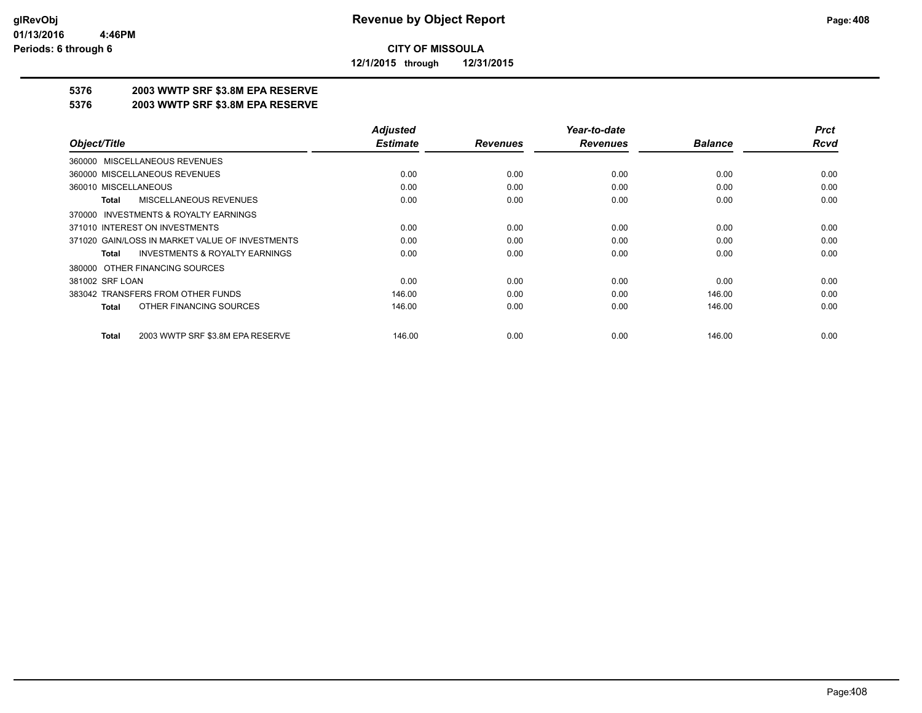**12/1/2015 through 12/31/2015**

### **5376 2003 WWTP SRF \$3.8M EPA RESERVE**

#### **5376 2003 WWTP SRF \$3.8M EPA RESERVE**

|                                                    | <b>Adjusted</b> |                 | Year-to-date    |                | <b>Prct</b> |
|----------------------------------------------------|-----------------|-----------------|-----------------|----------------|-------------|
| Object/Title                                       | <b>Estimate</b> | <b>Revenues</b> | <b>Revenues</b> | <b>Balance</b> | <b>Rcvd</b> |
| MISCELLANEOUS REVENUES<br>360000                   |                 |                 |                 |                |             |
| 360000 MISCELLANEOUS REVENUES                      | 0.00            | 0.00            | 0.00            | 0.00           | 0.00        |
| 360010 MISCELLANEOUS                               | 0.00            | 0.00            | 0.00            | 0.00           | 0.00        |
| MISCELLANEOUS REVENUES<br>Total                    | 0.00            | 0.00            | 0.00            | 0.00           | 0.00        |
| INVESTMENTS & ROYALTY EARNINGS<br>370000           |                 |                 |                 |                |             |
| 371010 INTEREST ON INVESTMENTS                     | 0.00            | 0.00            | 0.00            | 0.00           | 0.00        |
| 371020 GAIN/LOSS IN MARKET VALUE OF INVESTMENTS    | 0.00            | 0.00            | 0.00            | 0.00           | 0.00        |
| <b>INVESTMENTS &amp; ROYALTY EARNINGS</b><br>Total | 0.00            | 0.00            | 0.00            | 0.00           | 0.00        |
| 380000 OTHER FINANCING SOURCES                     |                 |                 |                 |                |             |
| 381002 SRF LOAN                                    | 0.00            | 0.00            | 0.00            | 0.00           | 0.00        |
| 383042 TRANSFERS FROM OTHER FUNDS                  | 146.00          | 0.00            | 0.00            | 146.00         | 0.00        |
| OTHER FINANCING SOURCES<br><b>Total</b>            | 146.00          | 0.00            | 0.00            | 146.00         | 0.00        |
| 2003 WWTP SRF \$3.8M EPA RESERVE<br><b>Total</b>   | 146.00          | 0.00            | 0.00            | 146.00         | 0.00        |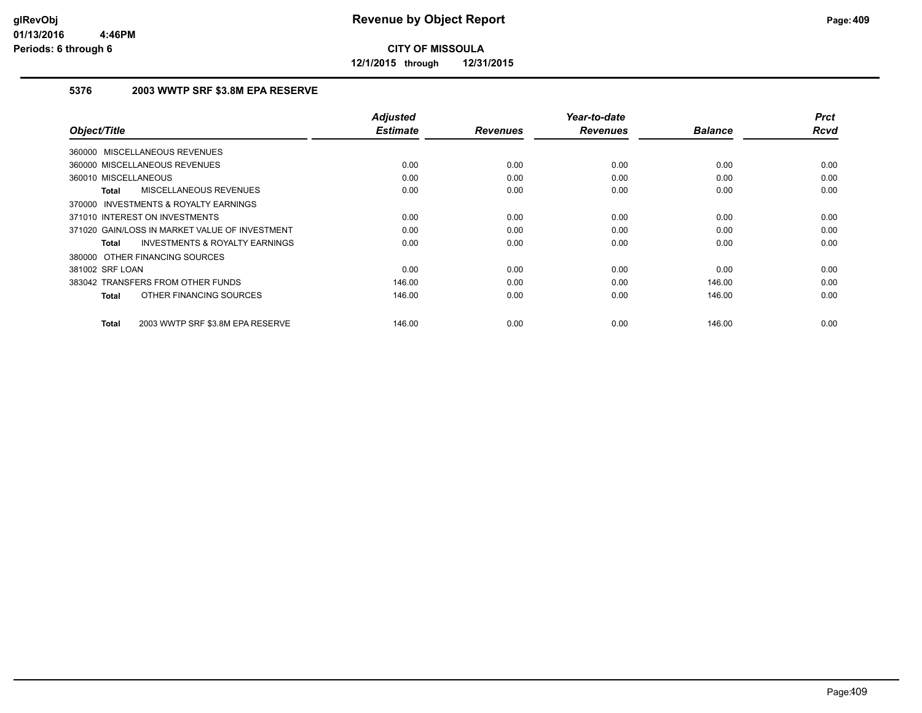**12/1/2015 through 12/31/2015**

#### **5376 2003 WWTP SRF \$3.8M EPA RESERVE**

| Object/Title                                        | <b>Adjusted</b><br><b>Estimate</b> | <b>Revenues</b> | Year-to-date<br><b>Revenues</b> | <b>Balance</b> | <b>Prct</b><br><b>Rcvd</b> |
|-----------------------------------------------------|------------------------------------|-----------------|---------------------------------|----------------|----------------------------|
|                                                     |                                    |                 |                                 |                |                            |
| 360000 MISCELLANEOUS REVENUES                       |                                    |                 |                                 |                |                            |
| 360000 MISCELLANEOUS REVENUES                       | 0.00                               | 0.00            | 0.00                            | 0.00           | 0.00                       |
| 360010 MISCELLANEOUS                                | 0.00                               | 0.00            | 0.00                            | 0.00           | 0.00                       |
| <b>MISCELLANEOUS REVENUES</b><br>Total              | 0.00                               | 0.00            | 0.00                            | 0.00           | 0.00                       |
| <b>INVESTMENTS &amp; ROYALTY EARNINGS</b><br>370000 |                                    |                 |                                 |                |                            |
| 371010 INTEREST ON INVESTMENTS                      | 0.00                               | 0.00            | 0.00                            | 0.00           | 0.00                       |
| 371020 GAIN/LOSS IN MARKET VALUE OF INVESTMENT      | 0.00                               | 0.00            | 0.00                            | 0.00           | 0.00                       |
| <b>INVESTMENTS &amp; ROYALTY EARNINGS</b><br>Total  | 0.00                               | 0.00            | 0.00                            | 0.00           | 0.00                       |
| 380000 OTHER FINANCING SOURCES                      |                                    |                 |                                 |                |                            |
| 381002 SRF LOAN                                     | 0.00                               | 0.00            | 0.00                            | 0.00           | 0.00                       |
| 383042 TRANSFERS FROM OTHER FUNDS                   | 146.00                             | 0.00            | 0.00                            | 146.00         | 0.00                       |
| OTHER FINANCING SOURCES<br>Total                    | 146.00                             | 0.00            | 0.00                            | 146.00         | 0.00                       |
|                                                     |                                    |                 |                                 |                |                            |
| 2003 WWTP SRF \$3.8M EPA RESERVE<br>Total           | 146.00                             | 0.00            | 0.00                            | 146.00         | 0.00                       |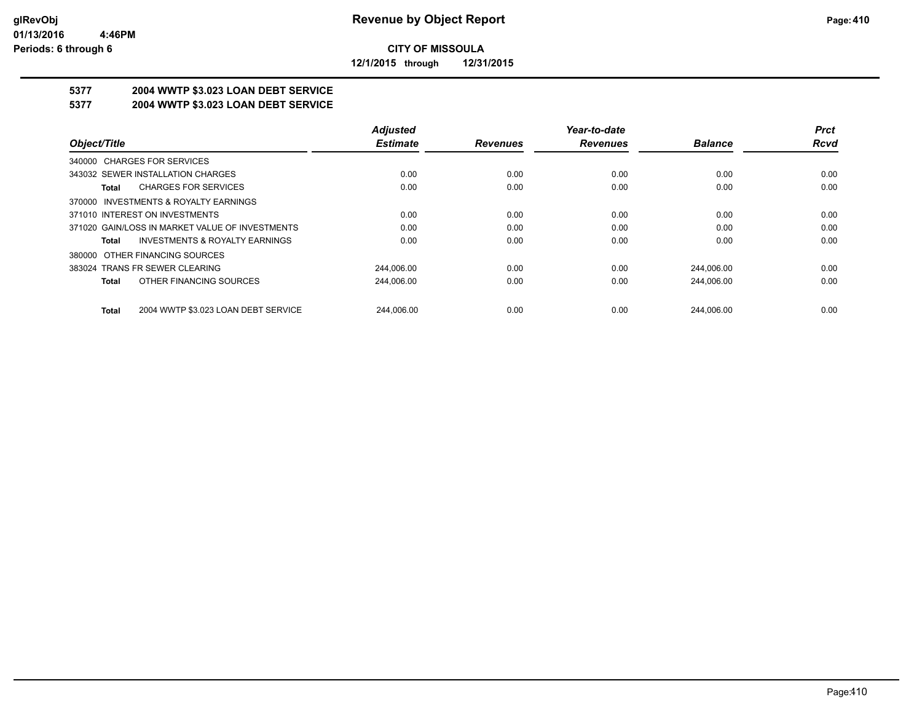**12/1/2015 through 12/31/2015**

# **5377 2004 WWTP \$3.023 LOAN DEBT SERVICE**

**5377 2004 WWTP \$3.023 LOAN DEBT SERVICE**

|                                                     | <b>Adjusted</b> |                 | Year-to-date    |                | <b>Prct</b> |
|-----------------------------------------------------|-----------------|-----------------|-----------------|----------------|-------------|
| Object/Title                                        | <b>Estimate</b> | <b>Revenues</b> | <b>Revenues</b> | <b>Balance</b> | <b>Rcvd</b> |
| 340000 CHARGES FOR SERVICES                         |                 |                 |                 |                |             |
| 343032 SEWER INSTALLATION CHARGES                   | 0.00            | 0.00            | 0.00            | 0.00           | 0.00        |
| <b>CHARGES FOR SERVICES</b><br>Total                | 0.00            | 0.00            | 0.00            | 0.00           | 0.00        |
| 370000 INVESTMENTS & ROYALTY EARNINGS               |                 |                 |                 |                |             |
| 371010 INTEREST ON INVESTMENTS                      | 0.00            | 0.00            | 0.00            | 0.00           | 0.00        |
| 371020 GAIN/LOSS IN MARKET VALUE OF INVESTMENTS     | 0.00            | 0.00            | 0.00            | 0.00           | 0.00        |
| INVESTMENTS & ROYALTY EARNINGS<br>Total             | 0.00            | 0.00            | 0.00            | 0.00           | 0.00        |
| 380000 OTHER FINANCING SOURCES                      |                 |                 |                 |                |             |
| 383024 TRANS FR SEWER CLEARING                      | 244,006.00      | 0.00            | 0.00            | 244.006.00     | 0.00        |
| OTHER FINANCING SOURCES<br>Total                    | 244,006.00      | 0.00            | 0.00            | 244,006.00     | 0.00        |
| 2004 WWTP \$3.023 LOAN DEBT SERVICE<br><b>Total</b> | 244.006.00      | 0.00            | 0.00            | 244.006.00     | 0.00        |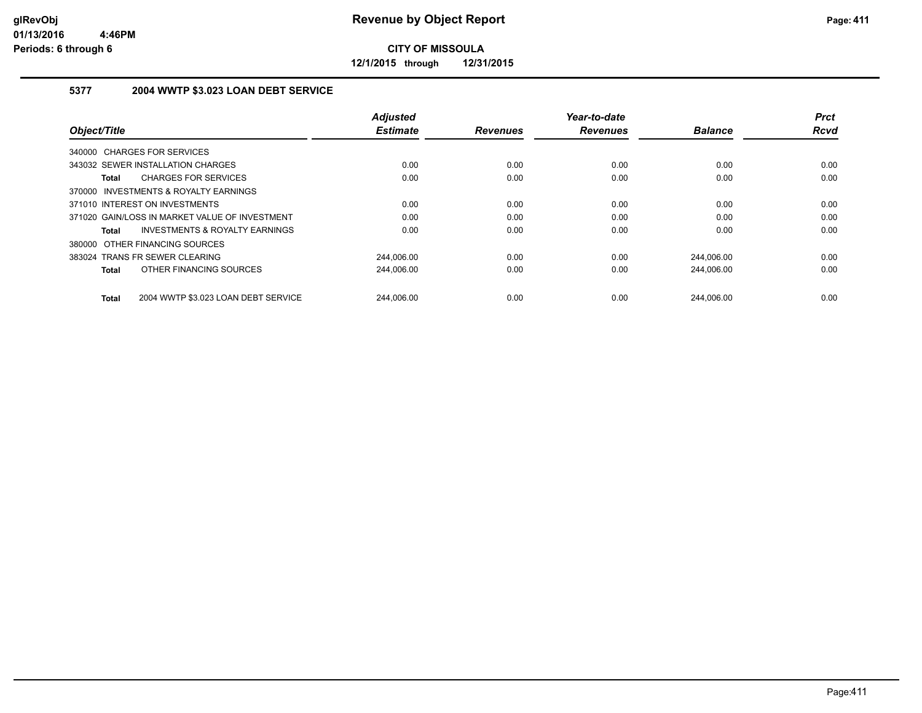**12/1/2015 through 12/31/2015**

#### **5377 2004 WWTP \$3.023 LOAN DEBT SERVICE**

|                                                     | <b>Adjusted</b> |                 | Year-to-date    |                | <b>Prct</b> |
|-----------------------------------------------------|-----------------|-----------------|-----------------|----------------|-------------|
| Object/Title                                        | <b>Estimate</b> | <b>Revenues</b> | <b>Revenues</b> | <b>Balance</b> | <b>Rcvd</b> |
| 340000 CHARGES FOR SERVICES                         |                 |                 |                 |                |             |
| 343032 SEWER INSTALLATION CHARGES                   | 0.00            | 0.00            | 0.00            | 0.00           | 0.00        |
| <b>CHARGES FOR SERVICES</b><br>Total                | 0.00            | 0.00            | 0.00            | 0.00           | 0.00        |
| 370000 INVESTMENTS & ROYALTY EARNINGS               |                 |                 |                 |                |             |
| 371010 INTEREST ON INVESTMENTS                      | 0.00            | 0.00            | 0.00            | 0.00           | 0.00        |
| 371020 GAIN/LOSS IN MARKET VALUE OF INVESTMENT      | 0.00            | 0.00            | 0.00            | 0.00           | 0.00        |
| <b>INVESTMENTS &amp; ROYALTY EARNINGS</b><br>Total  | 0.00            | 0.00            | 0.00            | 0.00           | 0.00        |
| 380000 OTHER FINANCING SOURCES                      |                 |                 |                 |                |             |
| 383024 TRANS FR SEWER CLEARING                      | 244,006.00      | 0.00            | 0.00            | 244,006.00     | 0.00        |
| OTHER FINANCING SOURCES<br>Total                    | 244,006.00      | 0.00            | 0.00            | 244,006.00     | 0.00        |
| 2004 WWTP \$3.023 LOAN DEBT SERVICE<br><b>Total</b> | 244.006.00      | 0.00            | 0.00            | 244.006.00     | 0.00        |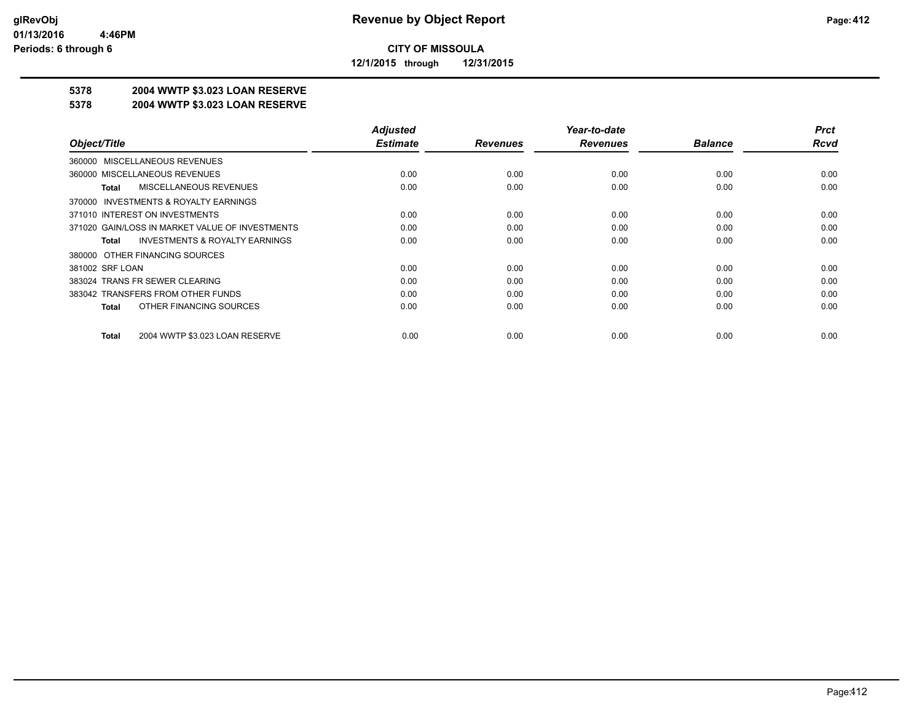**12/1/2015 through 12/31/2015**

### **5378 2004 WWTP \$3.023 LOAN RESERVE**

#### **5378 2004 WWTP \$3.023 LOAN RESERVE**

|                                                    | <b>Adjusted</b> |                 | Year-to-date    |                | <b>Prct</b> |
|----------------------------------------------------|-----------------|-----------------|-----------------|----------------|-------------|
| Object/Title                                       | <b>Estimate</b> | <b>Revenues</b> | <b>Revenues</b> | <b>Balance</b> | <b>Rcvd</b> |
| 360000 MISCELLANEOUS REVENUES                      |                 |                 |                 |                |             |
| 360000 MISCELLANEOUS REVENUES                      | 0.00            | 0.00            | 0.00            | 0.00           | 0.00        |
| MISCELLANEOUS REVENUES<br>Total                    | 0.00            | 0.00            | 0.00            | 0.00           | 0.00        |
| 370000 INVESTMENTS & ROYALTY EARNINGS              |                 |                 |                 |                |             |
| 371010 INTEREST ON INVESTMENTS                     | 0.00            | 0.00            | 0.00            | 0.00           | 0.00        |
| 371020 GAIN/LOSS IN MARKET VALUE OF INVESTMENTS    | 0.00            | 0.00            | 0.00            | 0.00           | 0.00        |
| <b>INVESTMENTS &amp; ROYALTY EARNINGS</b><br>Total | 0.00            | 0.00            | 0.00            | 0.00           | 0.00        |
| 380000 OTHER FINANCING SOURCES                     |                 |                 |                 |                |             |
| 381002 SRF LOAN                                    | 0.00            | 0.00            | 0.00            | 0.00           | 0.00        |
| 383024 TRANS FR SEWER CLEARING                     | 0.00            | 0.00            | 0.00            | 0.00           | 0.00        |
| 383042 TRANSFERS FROM OTHER FUNDS                  | 0.00            | 0.00            | 0.00            | 0.00           | 0.00        |
| OTHER FINANCING SOURCES<br>Total                   | 0.00            | 0.00            | 0.00            | 0.00           | 0.00        |
| 2004 WWTP \$3.023 LOAN RESERVE<br>Total            | 0.00            | 0.00            | 0.00            | 0.00           | 0.00        |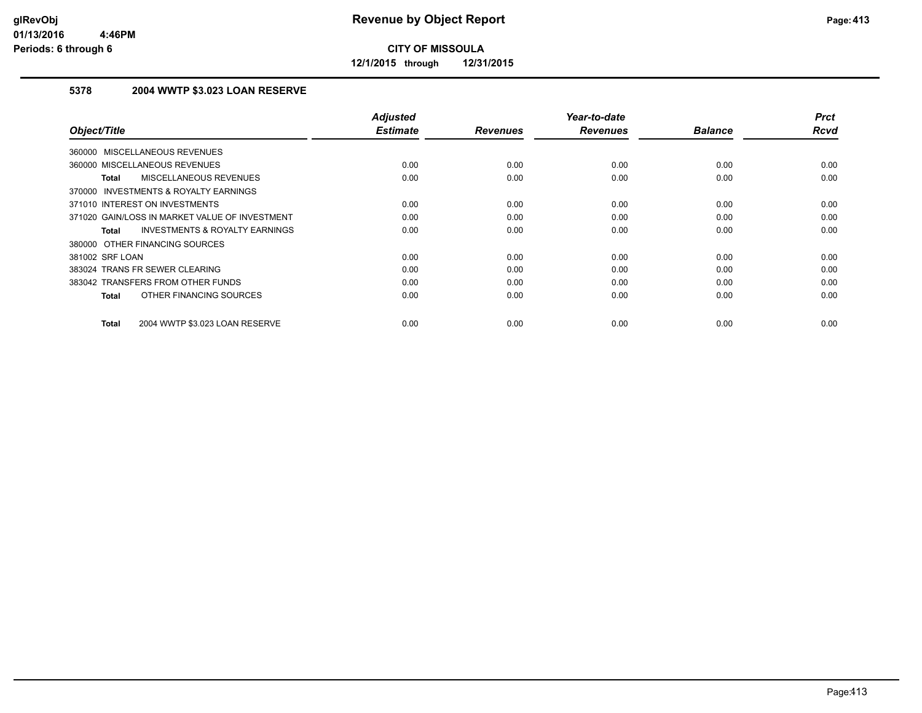**12/1/2015 through 12/31/2015**

### **5378 2004 WWTP \$3.023 LOAN RESERVE**

|                                                    | <b>Adjusted</b> |                 | Year-to-date    |                | <b>Prct</b> |
|----------------------------------------------------|-----------------|-----------------|-----------------|----------------|-------------|
| Object/Title                                       | <b>Estimate</b> | <b>Revenues</b> | <b>Revenues</b> | <b>Balance</b> | <b>Rcvd</b> |
| 360000 MISCELLANEOUS REVENUES                      |                 |                 |                 |                |             |
| 360000 MISCELLANEOUS REVENUES                      | 0.00            | 0.00            | 0.00            | 0.00           | 0.00        |
| MISCELLANEOUS REVENUES<br><b>Total</b>             | 0.00            | 0.00            | 0.00            | 0.00           | 0.00        |
| 370000 INVESTMENTS & ROYALTY EARNINGS              |                 |                 |                 |                |             |
| 371010 INTEREST ON INVESTMENTS                     | 0.00            | 0.00            | 0.00            | 0.00           | 0.00        |
| 371020 GAIN/LOSS IN MARKET VALUE OF INVESTMENT     | 0.00            | 0.00            | 0.00            | 0.00           | 0.00        |
| <b>INVESTMENTS &amp; ROYALTY EARNINGS</b><br>Total | 0.00            | 0.00            | 0.00            | 0.00           | 0.00        |
| 380000 OTHER FINANCING SOURCES                     |                 |                 |                 |                |             |
| 381002 SRF LOAN                                    | 0.00            | 0.00            | 0.00            | 0.00           | 0.00        |
| 383024 TRANS FR SEWER CLEARING                     | 0.00            | 0.00            | 0.00            | 0.00           | 0.00        |
| 383042 TRANSFERS FROM OTHER FUNDS                  | 0.00            | 0.00            | 0.00            | 0.00           | 0.00        |
| OTHER FINANCING SOURCES<br>Total                   | 0.00            | 0.00            | 0.00            | 0.00           | 0.00        |
|                                                    |                 |                 |                 |                |             |
| 2004 WWTP \$3.023 LOAN RESERVE<br><b>Total</b>     | 0.00            | 0.00            | 0.00            | 0.00           | 0.00        |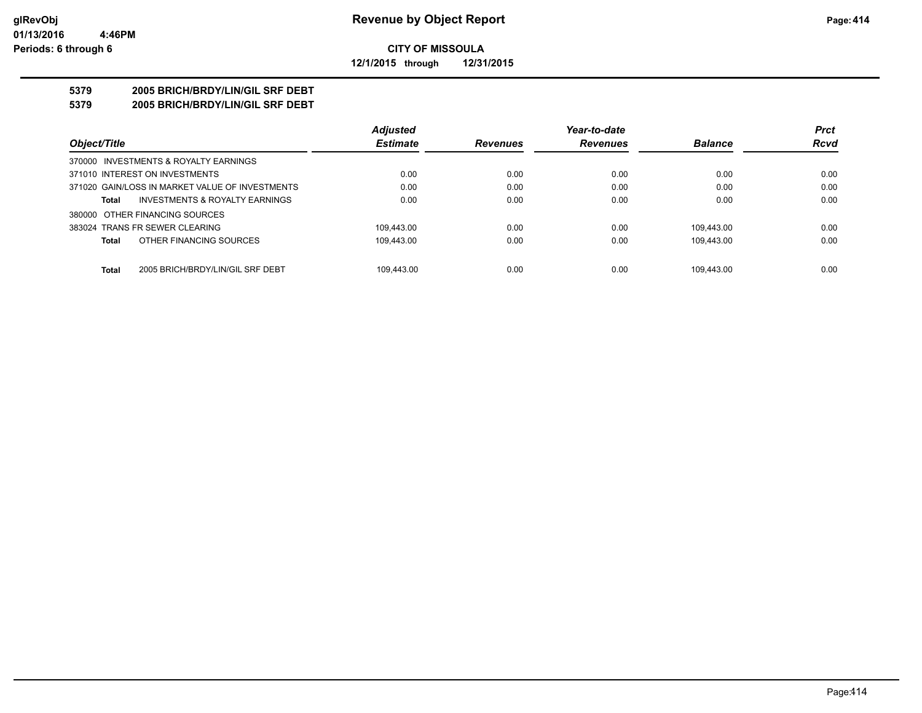#### **CITY OF MISSOULA 12/1/2015 through 12/31/2015**

#### **5379 2005 BRICH/BRDY/LIN/GIL SRF DEBT**

**5379 2005 BRICH/BRDY/LIN/GIL SRF DEBT**

|                                                  | <b>Adjusted</b> |                 | Year-to-date    |                | <b>Prct</b> |
|--------------------------------------------------|-----------------|-----------------|-----------------|----------------|-------------|
| Object/Title                                     | <b>Estimate</b> | <b>Revenues</b> | <b>Revenues</b> | <b>Balance</b> | <b>Rcvd</b> |
| 370000 INVESTMENTS & ROYALTY EARNINGS            |                 |                 |                 |                |             |
| 371010 INTEREST ON INVESTMENTS                   | 0.00            | 0.00            | 0.00            | 0.00           | 0.00        |
| 371020 GAIN/LOSS IN MARKET VALUE OF INVESTMENTS  | 0.00            | 0.00            | 0.00            | 0.00           | 0.00        |
| INVESTMENTS & ROYALTY EARNINGS<br>Total          | 0.00            | 0.00            | 0.00            | 0.00           | 0.00        |
| 380000 OTHER FINANCING SOURCES                   |                 |                 |                 |                |             |
| 383024 TRANS FR SEWER CLEARING                   | 109.443.00      | 0.00            | 0.00            | 109.443.00     | 0.00        |
| OTHER FINANCING SOURCES<br><b>Total</b>          | 109,443.00      | 0.00            | 0.00            | 109.443.00     | 0.00        |
|                                                  |                 |                 |                 |                |             |
| <b>Total</b><br>2005 BRICH/BRDY/LIN/GIL SRF DEBT | 109.443.00      | 0.00            | 0.00            | 109.443.00     | 0.00        |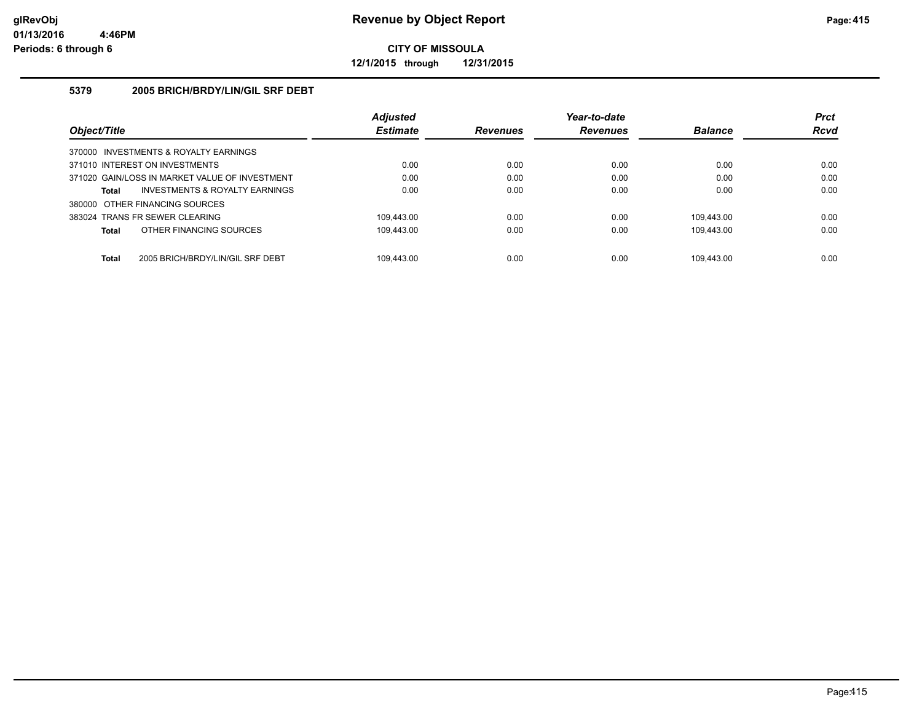**12/1/2015 through 12/31/2015**

#### **5379 2005 BRICH/BRDY/LIN/GIL SRF DEBT**

|                                                  | <b>Adjusted</b> |                 | Year-to-date    |                | <b>Prct</b> |
|--------------------------------------------------|-----------------|-----------------|-----------------|----------------|-------------|
| Object/Title                                     | <b>Estimate</b> | <b>Revenues</b> | <b>Revenues</b> | <b>Balance</b> | <b>Rcvd</b> |
| 370000 INVESTMENTS & ROYALTY EARNINGS            |                 |                 |                 |                |             |
| 371010 INTEREST ON INVESTMENTS                   | 0.00            | 0.00            | 0.00            | 0.00           | 0.00        |
| 371020 GAIN/LOSS IN MARKET VALUE OF INVESTMENT   | 0.00            | 0.00            | 0.00            | 0.00           | 0.00        |
| INVESTMENTS & ROYALTY EARNINGS<br><b>Total</b>   | 0.00            | 0.00            | 0.00            | 0.00           | 0.00        |
| 380000 OTHER FINANCING SOURCES                   |                 |                 |                 |                |             |
| 383024 TRANS FR SEWER CLEARING                   | 109.443.00      | 0.00            | 0.00            | 109.443.00     | 0.00        |
| OTHER FINANCING SOURCES<br><b>Total</b>          | 109.443.00      | 0.00            | 0.00            | 109.443.00     | 0.00        |
|                                                  |                 |                 |                 |                |             |
| 2005 BRICH/BRDY/LIN/GIL SRF DEBT<br><b>Total</b> | 109.443.00      | 0.00            | 0.00            | 109.443.00     | 0.00        |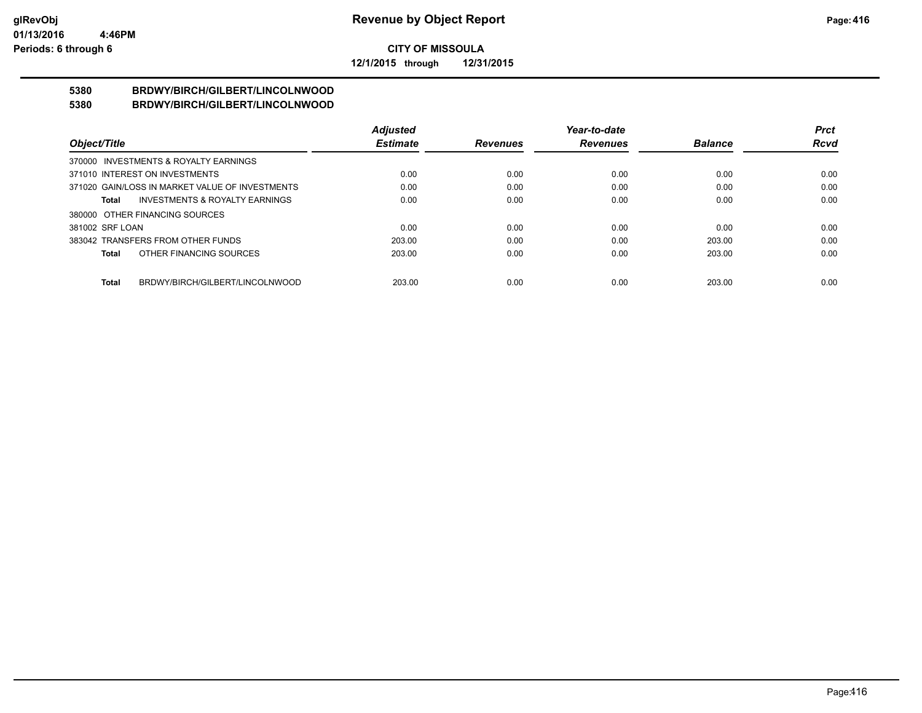**12/1/2015 through 12/31/2015**

#### **5380 BRDWY/BIRCH/GILBERT/LINCOLNWOOD 5380 BRDWY/BIRCH/GILBERT/LINCOLNWOOD**

|                                                    | <b>Adjusted</b> |                 | Year-to-date    |                | <b>Prct</b> |
|----------------------------------------------------|-----------------|-----------------|-----------------|----------------|-------------|
| Object/Title                                       | <b>Estimate</b> | <b>Revenues</b> | <b>Revenues</b> | <b>Balance</b> | <b>Rcvd</b> |
| 370000 INVESTMENTS & ROYALTY EARNINGS              |                 |                 |                 |                |             |
| 371010 INTEREST ON INVESTMENTS                     | 0.00            | 0.00            | 0.00            | 0.00           | 0.00        |
| 371020 GAIN/LOSS IN MARKET VALUE OF INVESTMENTS    | 0.00            | 0.00            | 0.00            | 0.00           | 0.00        |
| <b>INVESTMENTS &amp; ROYALTY EARNINGS</b><br>Total | 0.00            | 0.00            | 0.00            | 0.00           | 0.00        |
| 380000 OTHER FINANCING SOURCES                     |                 |                 |                 |                |             |
| 381002 SRF LOAN                                    | 0.00            | 0.00            | 0.00            | 0.00           | 0.00        |
| 383042 TRANSFERS FROM OTHER FUNDS                  | 203.00          | 0.00            | 0.00            | 203.00         | 0.00        |
| OTHER FINANCING SOURCES<br>Total                   | 203.00          | 0.00            | 0.00            | 203.00         | 0.00        |
|                                                    |                 |                 |                 |                |             |
| BRDWY/BIRCH/GILBERT/LINCOLNWOOD<br>Total           | 203.00          | 0.00            | 0.00            | 203.00         | 0.00        |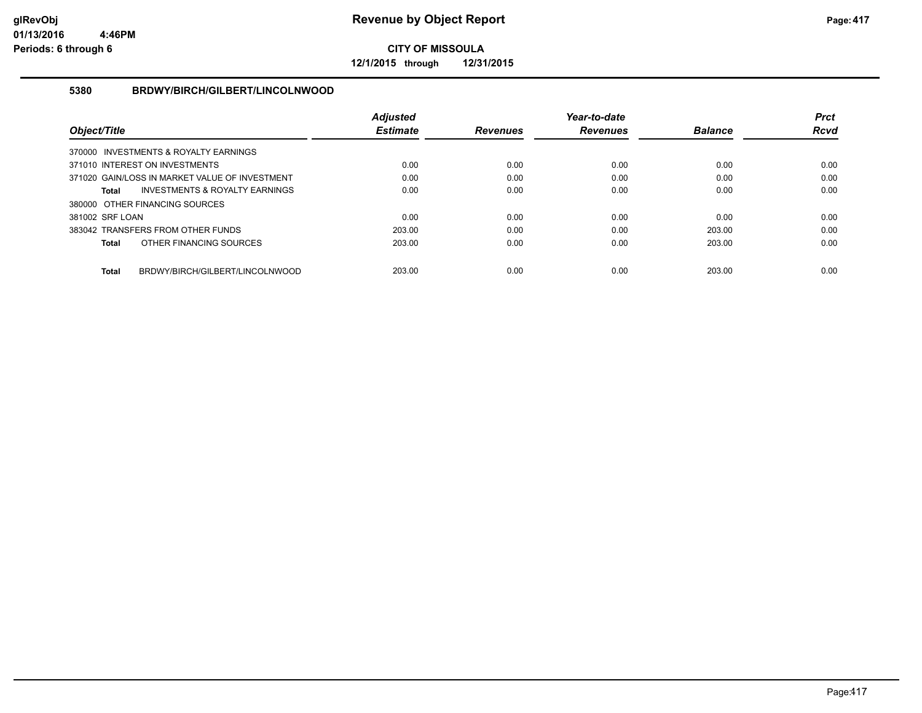**12/1/2015 through 12/31/2015**

#### **5380 BRDWY/BIRCH/GILBERT/LINCOLNWOOD**

|                                                 | <b>Adjusted</b> |                 | Year-to-date    |                | <b>Prct</b> |
|-------------------------------------------------|-----------------|-----------------|-----------------|----------------|-------------|
| Object/Title                                    | <b>Estimate</b> | <b>Revenues</b> | <b>Revenues</b> | <b>Balance</b> | Rcvd        |
| 370000 INVESTMENTS & ROYALTY EARNINGS           |                 |                 |                 |                |             |
| 371010 INTEREST ON INVESTMENTS                  | 0.00            | 0.00            | 0.00            | 0.00           | 0.00        |
| 371020 GAIN/LOSS IN MARKET VALUE OF INVESTMENT  | 0.00            | 0.00            | 0.00            | 0.00           | 0.00        |
| INVESTMENTS & ROYALTY EARNINGS<br><b>Total</b>  | 0.00            | 0.00            | 0.00            | 0.00           | 0.00        |
| 380000 OTHER FINANCING SOURCES                  |                 |                 |                 |                |             |
| 381002 SRF LOAN                                 | 0.00            | 0.00            | 0.00            | 0.00           | 0.00        |
| 383042 TRANSFERS FROM OTHER FUNDS               | 203.00          | 0.00            | 0.00            | 203.00         | 0.00        |
| OTHER FINANCING SOURCES<br><b>Total</b>         | 203.00          | 0.00            | 0.00            | 203.00         | 0.00        |
|                                                 |                 |                 |                 |                |             |
| BRDWY/BIRCH/GILBERT/LINCOLNWOOD<br><b>Total</b> | 203.00          | 0.00            | 0.00            | 203.00         | 0.00        |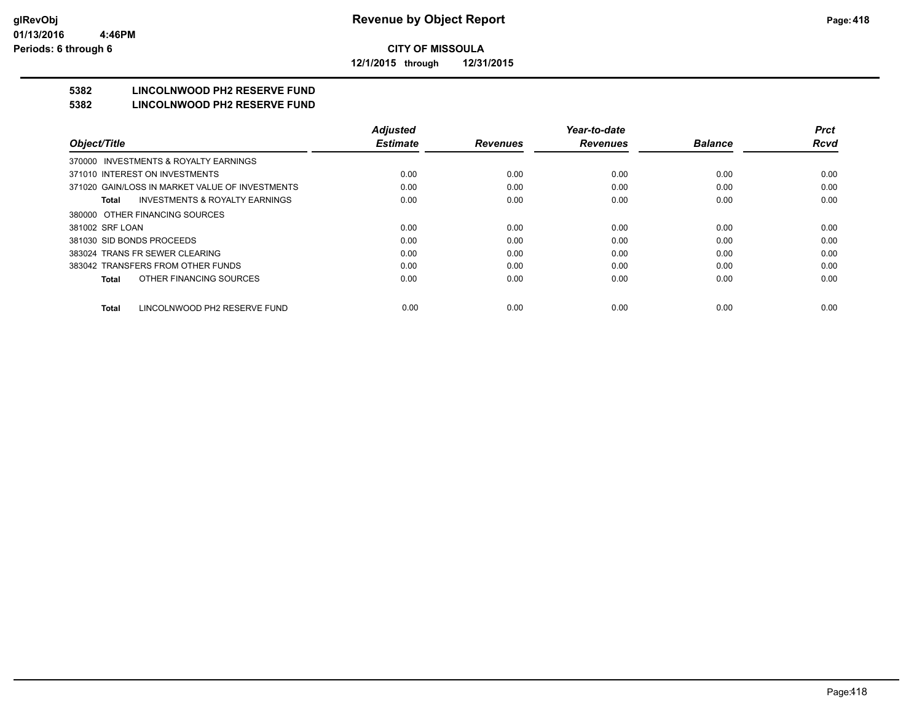**12/1/2015 through 12/31/2015**

# **5382 LINCOLNWOOD PH2 RESERVE FUND**

#### **5382 LINCOLNWOOD PH2 RESERVE FUND**

|                                                    | <b>Adjusted</b> |                 | Year-to-date    |                | <b>Prct</b> |
|----------------------------------------------------|-----------------|-----------------|-----------------|----------------|-------------|
| Object/Title                                       | <b>Estimate</b> | <b>Revenues</b> | <b>Revenues</b> | <b>Balance</b> | <b>Rcvd</b> |
| INVESTMENTS & ROYALTY EARNINGS<br>370000           |                 |                 |                 |                |             |
| 371010 INTEREST ON INVESTMENTS                     | 0.00            | 0.00            | 0.00            | 0.00           | 0.00        |
| 371020 GAIN/LOSS IN MARKET VALUE OF INVESTMENTS    | 0.00            | 0.00            | 0.00            | 0.00           | 0.00        |
| <b>INVESTMENTS &amp; ROYALTY EARNINGS</b><br>Total | 0.00            | 0.00            | 0.00            | 0.00           | 0.00        |
| 380000 OTHER FINANCING SOURCES                     |                 |                 |                 |                |             |
| 381002 SRF LOAN                                    | 0.00            | 0.00            | 0.00            | 0.00           | 0.00        |
| 381030 SID BONDS PROCEEDS                          | 0.00            | 0.00            | 0.00            | 0.00           | 0.00        |
| 383024 TRANS FR SEWER CLEARING                     | 0.00            | 0.00            | 0.00            | 0.00           | 0.00        |
| 383042 TRANSFERS FROM OTHER FUNDS                  | 0.00            | 0.00            | 0.00            | 0.00           | 0.00        |
| OTHER FINANCING SOURCES<br>Total                   | 0.00            | 0.00            | 0.00            | 0.00           | 0.00        |
| LINCOLNWOOD PH2 RESERVE FUND<br><b>Total</b>       | 0.00            | 0.00            | 0.00            | 0.00           | 0.00        |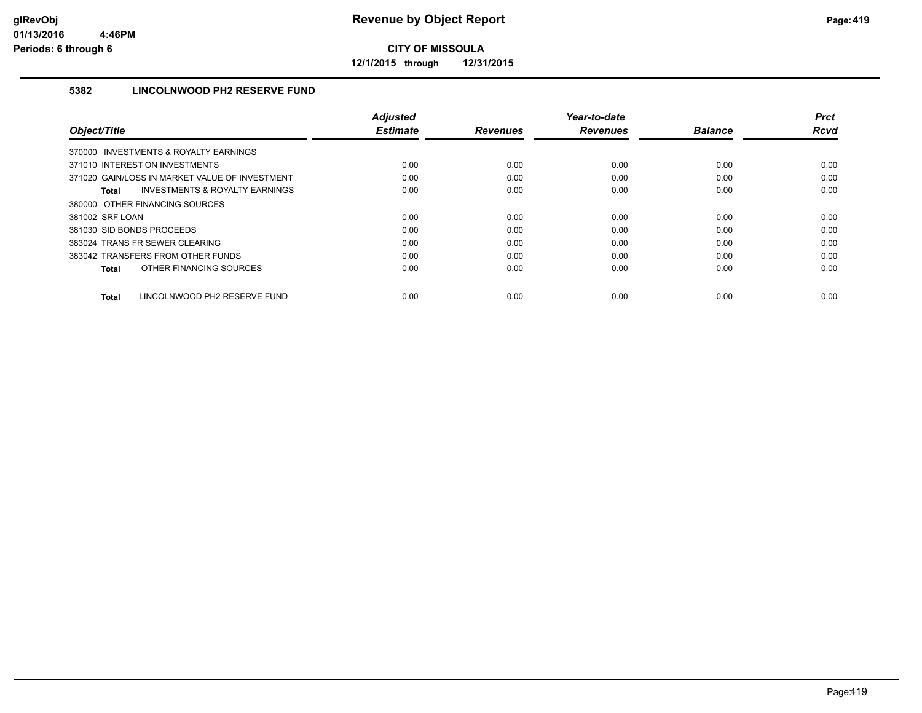**12/1/2015 through 12/31/2015**

### **5382 LINCOLNWOOD PH2 RESERVE FUND**

|                                                    | <b>Adjusted</b> |                 | Year-to-date    |                | <b>Prct</b> |
|----------------------------------------------------|-----------------|-----------------|-----------------|----------------|-------------|
| Object/Title                                       | <b>Estimate</b> | <b>Revenues</b> | <b>Revenues</b> | <b>Balance</b> | <b>Rcvd</b> |
| 370000 INVESTMENTS & ROYALTY EARNINGS              |                 |                 |                 |                |             |
| 371010 INTEREST ON INVESTMENTS                     | 0.00            | 0.00            | 0.00            | 0.00           | 0.00        |
| 371020 GAIN/LOSS IN MARKET VALUE OF INVESTMENT     | 0.00            | 0.00            | 0.00            | 0.00           | 0.00        |
| <b>INVESTMENTS &amp; ROYALTY EARNINGS</b><br>Total | 0.00            | 0.00            | 0.00            | 0.00           | 0.00        |
| 380000 OTHER FINANCING SOURCES                     |                 |                 |                 |                |             |
| 381002 SRF LOAN                                    | 0.00            | 0.00            | 0.00            | 0.00           | 0.00        |
| 381030 SID BONDS PROCEEDS                          | 0.00            | 0.00            | 0.00            | 0.00           | 0.00        |
| 383024 TRANS FR SEWER CLEARING                     | 0.00            | 0.00            | 0.00            | 0.00           | 0.00        |
| 383042 TRANSFERS FROM OTHER FUNDS                  | 0.00            | 0.00            | 0.00            | 0.00           | 0.00        |
| OTHER FINANCING SOURCES<br>Total                   | 0.00            | 0.00            | 0.00            | 0.00           | 0.00        |
|                                                    |                 |                 |                 |                |             |
| LINCOLNWOOD PH2 RESERVE FUND<br>Total              | 0.00            | 0.00            | 0.00            | 0.00           | 0.00        |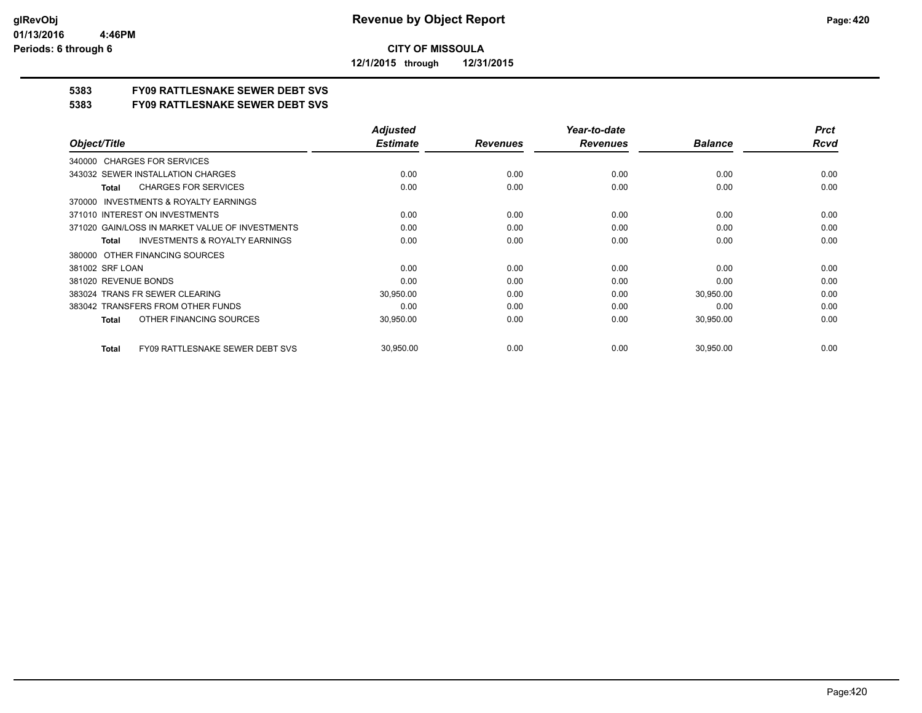**12/1/2015 through 12/31/2015**

### **5383 FY09 RATTLESNAKE SEWER DEBT SVS**

**5383 FY09 RATTLESNAKE SEWER DEBT SVS**

|                                                        | <b>Adjusted</b> |                 | Year-to-date    |                | <b>Prct</b> |
|--------------------------------------------------------|-----------------|-----------------|-----------------|----------------|-------------|
| Object/Title                                           | <b>Estimate</b> | <b>Revenues</b> | <b>Revenues</b> | <b>Balance</b> | <b>Rcvd</b> |
| 340000 CHARGES FOR SERVICES                            |                 |                 |                 |                |             |
| 343032 SEWER INSTALLATION CHARGES                      | 0.00            | 0.00            | 0.00            | 0.00           | 0.00        |
| <b>CHARGES FOR SERVICES</b><br>Total                   | 0.00            | 0.00            | 0.00            | 0.00           | 0.00        |
| INVESTMENTS & ROYALTY EARNINGS<br>370000               |                 |                 |                 |                |             |
| 371010 INTEREST ON INVESTMENTS                         | 0.00            | 0.00            | 0.00            | 0.00           | 0.00        |
| 371020 GAIN/LOSS IN MARKET VALUE OF INVESTMENTS        | 0.00            | 0.00            | 0.00            | 0.00           | 0.00        |
| <b>INVESTMENTS &amp; ROYALTY EARNINGS</b><br>Total     | 0.00            | 0.00            | 0.00            | 0.00           | 0.00        |
| OTHER FINANCING SOURCES<br>380000                      |                 |                 |                 |                |             |
| 381002 SRF LOAN                                        | 0.00            | 0.00            | 0.00            | 0.00           | 0.00        |
| 381020 REVENUE BONDS                                   | 0.00            | 0.00            | 0.00            | 0.00           | 0.00        |
| 383024 TRANS FR SEWER CLEARING                         | 30,950.00       | 0.00            | 0.00            | 30,950.00      | 0.00        |
| 383042 TRANSFERS FROM OTHER FUNDS                      | 0.00            | 0.00            | 0.00            | 0.00           | 0.00        |
| OTHER FINANCING SOURCES<br>Total                       | 30,950.00       | 0.00            | 0.00            | 30,950.00      | 0.00        |
| <b>FY09 RATTLESNAKE SEWER DEBT SVS</b><br><b>Total</b> | 30,950.00       | 0.00            | 0.00            | 30,950.00      | 0.00        |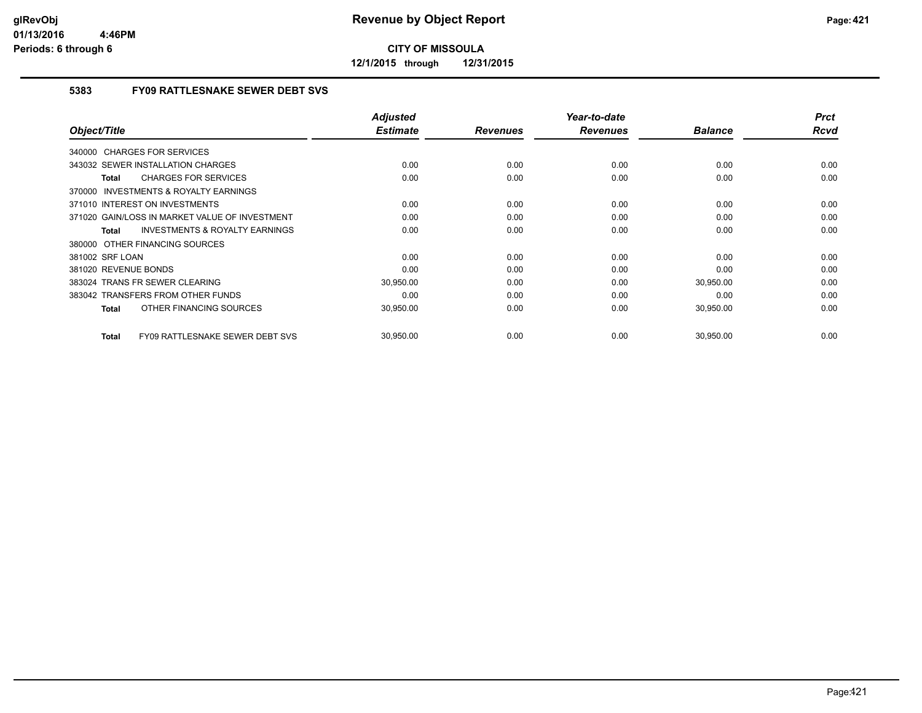**12/1/2015 through 12/31/2015**

#### **5383 FY09 RATTLESNAKE SEWER DEBT SVS**

|                                                           | <b>Adjusted</b> |                 | Year-to-date    |                | <b>Prct</b> |
|-----------------------------------------------------------|-----------------|-----------------|-----------------|----------------|-------------|
| Object/Title                                              | <b>Estimate</b> | <b>Revenues</b> | <b>Revenues</b> | <b>Balance</b> | Rcvd        |
| 340000 CHARGES FOR SERVICES                               |                 |                 |                 |                |             |
| 343032 SEWER INSTALLATION CHARGES                         | 0.00            | 0.00            | 0.00            | 0.00           | 0.00        |
| <b>CHARGES FOR SERVICES</b><br><b>Total</b>               | 0.00            | 0.00            | 0.00            | 0.00           | 0.00        |
| <b>INVESTMENTS &amp; ROYALTY EARNINGS</b><br>370000       |                 |                 |                 |                |             |
| 371010 INTEREST ON INVESTMENTS                            | 0.00            | 0.00            | 0.00            | 0.00           | 0.00        |
| 371020 GAIN/LOSS IN MARKET VALUE OF INVESTMENT            | 0.00            | 0.00            | 0.00            | 0.00           | 0.00        |
| <b>INVESTMENTS &amp; ROYALTY EARNINGS</b><br><b>Total</b> | 0.00            | 0.00            | 0.00            | 0.00           | 0.00        |
| 380000 OTHER FINANCING SOURCES                            |                 |                 |                 |                |             |
| 381002 SRF LOAN                                           | 0.00            | 0.00            | 0.00            | 0.00           | 0.00        |
| 381020 REVENUE BONDS                                      | 0.00            | 0.00            | 0.00            | 0.00           | 0.00        |
| 383024 TRANS FR SEWER CLEARING                            | 30,950.00       | 0.00            | 0.00            | 30,950.00      | 0.00        |
| 383042 TRANSFERS FROM OTHER FUNDS                         | 0.00            | 0.00            | 0.00            | 0.00           | 0.00        |
| OTHER FINANCING SOURCES<br><b>Total</b>                   | 30,950.00       | 0.00            | 0.00            | 30,950.00      | 0.00        |
| FY09 RATTLESNAKE SEWER DEBT SVS<br><b>Total</b>           | 30,950.00       | 0.00            | 0.00            | 30,950.00      | 0.00        |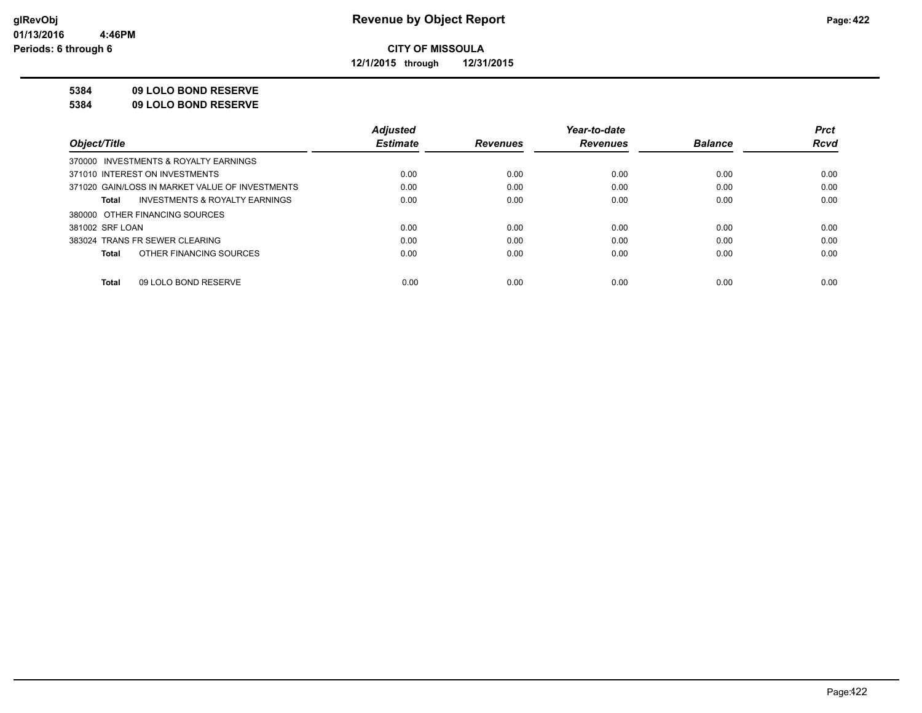**12/1/2015 through 12/31/2015**

#### **5384 09 LOLO BOND RESERVE**

**5384 09 LOLO BOND RESERVE**

|                                                    | <b>Adiusted</b> |                 | Year-to-date    |                | <b>Prct</b> |
|----------------------------------------------------|-----------------|-----------------|-----------------|----------------|-------------|
| Object/Title                                       | <b>Estimate</b> | <b>Revenues</b> | <b>Revenues</b> | <b>Balance</b> | <b>Rcvd</b> |
| 370000 INVESTMENTS & ROYALTY EARNINGS              |                 |                 |                 |                |             |
| 371010 INTEREST ON INVESTMENTS                     | 0.00            | 0.00            | 0.00            | 0.00           | 0.00        |
| 371020 GAIN/LOSS IN MARKET VALUE OF INVESTMENTS    | 0.00            | 0.00            | 0.00            | 0.00           | 0.00        |
| <b>INVESTMENTS &amp; ROYALTY EARNINGS</b><br>Total | 0.00            | 0.00            | 0.00            | 0.00           | 0.00        |
| 380000 OTHER FINANCING SOURCES                     |                 |                 |                 |                |             |
| 381002 SRF LOAN                                    | 0.00            | 0.00            | 0.00            | 0.00           | 0.00        |
| 383024 TRANS FR SEWER CLEARING                     | 0.00            | 0.00            | 0.00            | 0.00           | 0.00        |
| OTHER FINANCING SOURCES<br>Total                   | 0.00            | 0.00            | 0.00            | 0.00           | 0.00        |
|                                                    |                 |                 |                 |                |             |
| 09 LOLO BOND RESERVE<br>Total                      | 0.00            | 0.00            | 0.00            | 0.00           | 0.00        |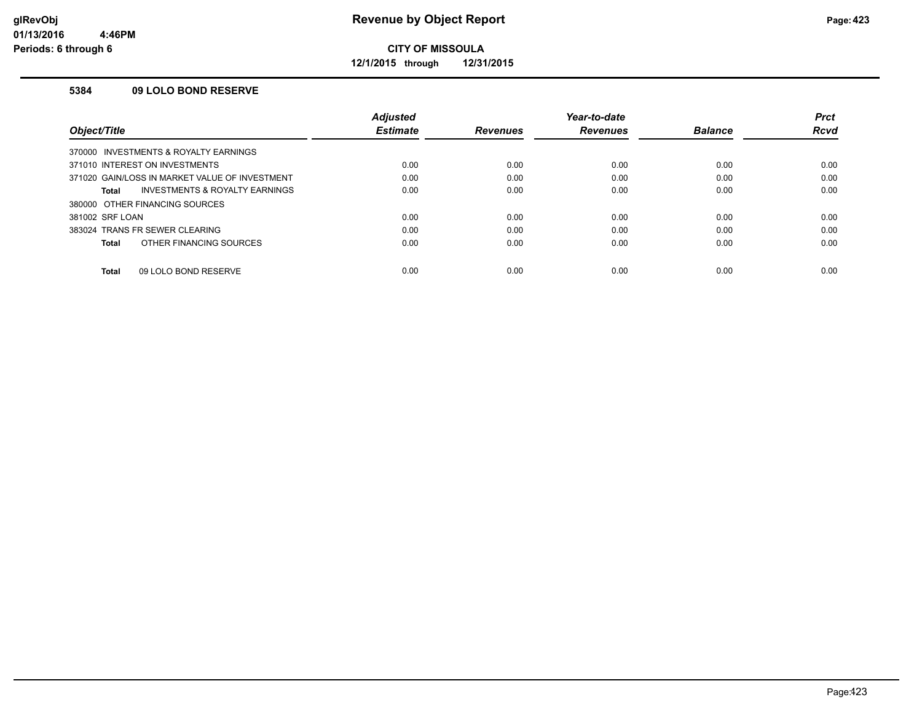**12/1/2015 through 12/31/2015**

#### **5384 09 LOLO BOND RESERVE**

|                                                | <b>Adjusted</b> |                 | Year-to-date    |                | <b>Prct</b> |
|------------------------------------------------|-----------------|-----------------|-----------------|----------------|-------------|
| Object/Title                                   | <b>Estimate</b> | <b>Revenues</b> | <b>Revenues</b> | <b>Balance</b> | Rcvd        |
| 370000 INVESTMENTS & ROYALTY EARNINGS          |                 |                 |                 |                |             |
| 371010 INTEREST ON INVESTMENTS                 | 0.00            | 0.00            | 0.00            | 0.00           | 0.00        |
| 371020 GAIN/LOSS IN MARKET VALUE OF INVESTMENT | 0.00            | 0.00            | 0.00            | 0.00           | 0.00        |
| INVESTMENTS & ROYALTY EARNINGS<br>Total        | 0.00            | 0.00            | 0.00            | 0.00           | 0.00        |
| 380000 OTHER FINANCING SOURCES                 |                 |                 |                 |                |             |
| 381002 SRF LOAN                                | 0.00            | 0.00            | 0.00            | 0.00           | 0.00        |
| 383024 TRANS FR SEWER CLEARING                 | 0.00            | 0.00            | 0.00            | 0.00           | 0.00        |
| OTHER FINANCING SOURCES<br>Total               | 0.00            | 0.00            | 0.00            | 0.00           | 0.00        |
| 09 LOLO BOND RESERVE<br>Total                  | 0.00            | 0.00            | 0.00            | 0.00           | 0.00        |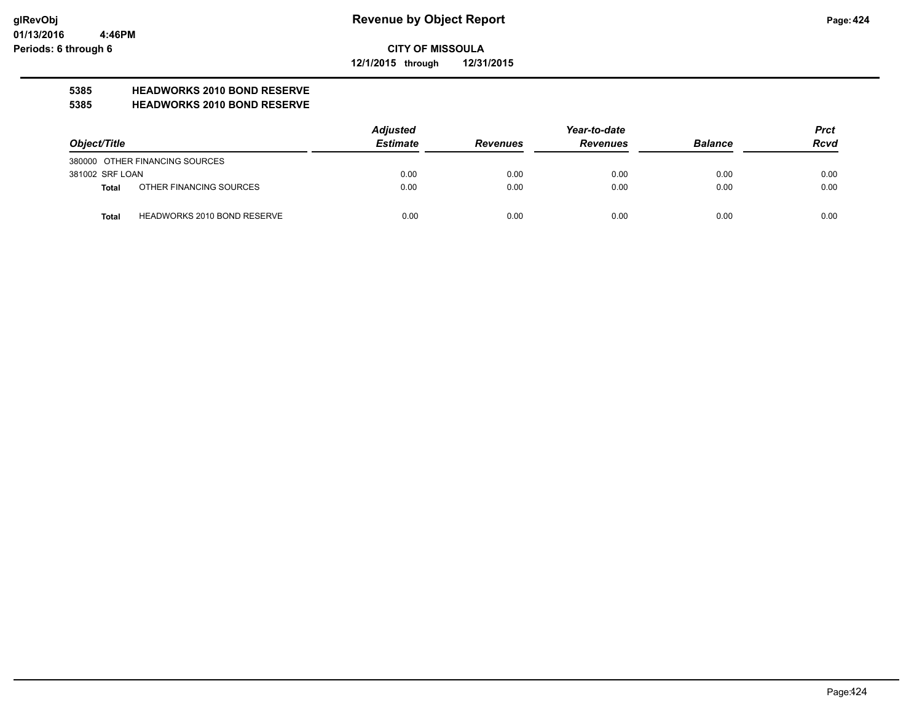**12/1/2015 through 12/31/2015**

# **5385 HEADWORKS 2010 BOND RESERVE**

#### **5385 HEADWORKS 2010 BOND RESERVE**

| Object/Title    |                                    | <b>Adjusted</b> |                 | Year-to-date    |                |             |
|-----------------|------------------------------------|-----------------|-----------------|-----------------|----------------|-------------|
|                 |                                    | <b>Estimate</b> | <b>Revenues</b> | <b>Revenues</b> | <b>Balance</b> | <b>Rcvd</b> |
|                 | 380000 OTHER FINANCING SOURCES     |                 |                 |                 |                |             |
| 381002 SRF LOAN |                                    | 0.00            | 0.00            | 0.00            | 0.00           | 0.00        |
| Total           | OTHER FINANCING SOURCES            | 0.00            | 0.00            | 0.00            | 0.00           | 0.00        |
| <b>Total</b>    | <b>HEADWORKS 2010 BOND RESERVE</b> | 0.00            | 0.00            | 0.00            | 0.00           | 0.00        |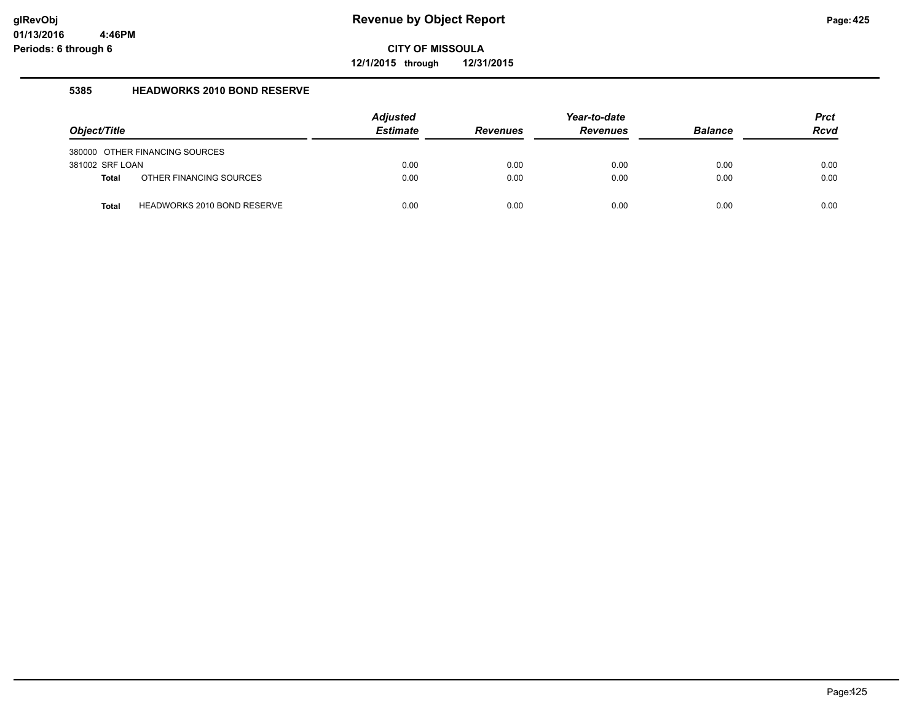**12/1/2015 through 12/31/2015**

#### **5385 HEADWORKS 2010 BOND RESERVE**

| Object/Title    |                                | <b>Adjusted</b><br><b>Estimate</b> | <b>Revenues</b> | Year-to-date<br><b>Revenues</b> | <b>Balance</b> | <b>Prct</b><br><b>Rcvd</b> |
|-----------------|--------------------------------|------------------------------------|-----------------|---------------------------------|----------------|----------------------------|
|                 | 380000 OTHER FINANCING SOURCES |                                    |                 |                                 |                |                            |
| 381002 SRF LOAN |                                | 0.00                               | 0.00            | 0.00                            | 0.00           | 0.00                       |
| <b>Total</b>    | OTHER FINANCING SOURCES        | 0.00                               | 0.00            | 0.00                            | 0.00           | 0.00                       |
| <b>Total</b>    | HEADWORKS 2010 BOND RESERVE    | 0.00                               | 0.00            | 0.00                            | 0.00           | 0.00                       |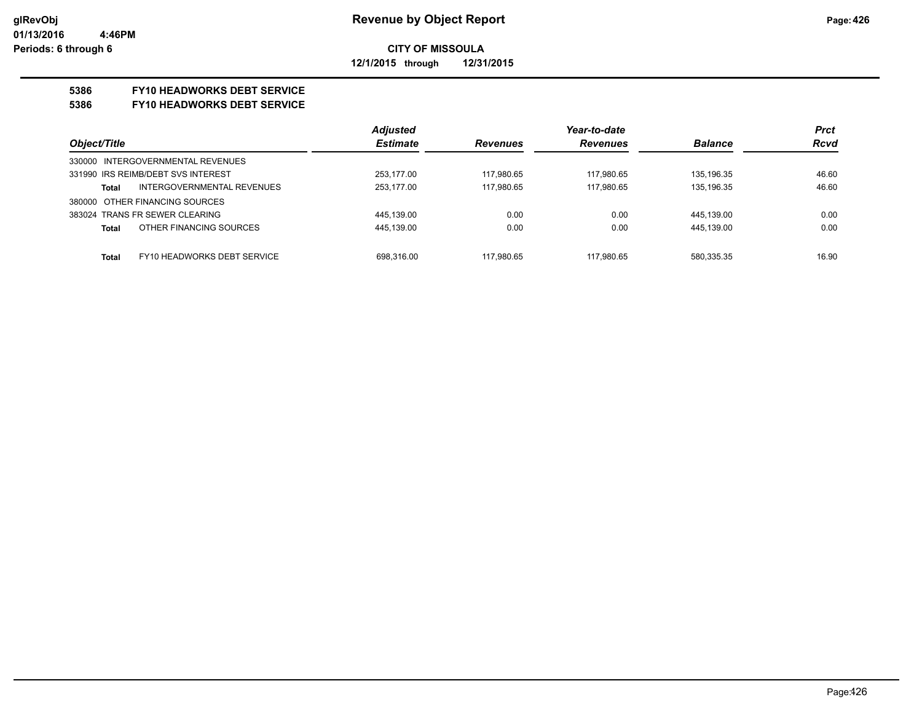#### **CITY OF MISSOULA 12/1/2015 through 12/31/2015**

#### **5386 FY10 HEADWORKS DEBT SERVICE**

#### **5386 FY10 HEADWORKS DEBT SERVICE**

|                                             | <b>Adjusted</b> |                 | Year-to-date    |                | <b>Prct</b> |
|---------------------------------------------|-----------------|-----------------|-----------------|----------------|-------------|
| Object/Title                                | <b>Estimate</b> | <b>Revenues</b> | <b>Revenues</b> | <b>Balance</b> | <b>Rcvd</b> |
| 330000 INTERGOVERNMENTAL REVENUES           |                 |                 |                 |                |             |
| 331990 IRS REIMB/DEBT SVS INTEREST          | 253.177.00      | 117.980.65      | 117.980.65      | 135.196.35     | 46.60       |
| INTERGOVERNMENTAL REVENUES<br>Total         | 253.177.00      | 117.980.65      | 117.980.65      | 135.196.35     | 46.60       |
| 380000 OTHER FINANCING SOURCES              |                 |                 |                 |                |             |
| 383024 TRANS FR SEWER CLEARING              | 445,139.00      | 0.00            | 0.00            | 445.139.00     | 0.00        |
| OTHER FINANCING SOURCES<br><b>Total</b>     | 445,139.00      | 0.00            | 0.00            | 445.139.00     | 0.00        |
|                                             |                 |                 |                 |                |             |
| FY10 HEADWORKS DEBT SERVICE<br><b>Total</b> | 698.316.00      | 117.980.65      | 117.980.65      | 580.335.35     | 16.90       |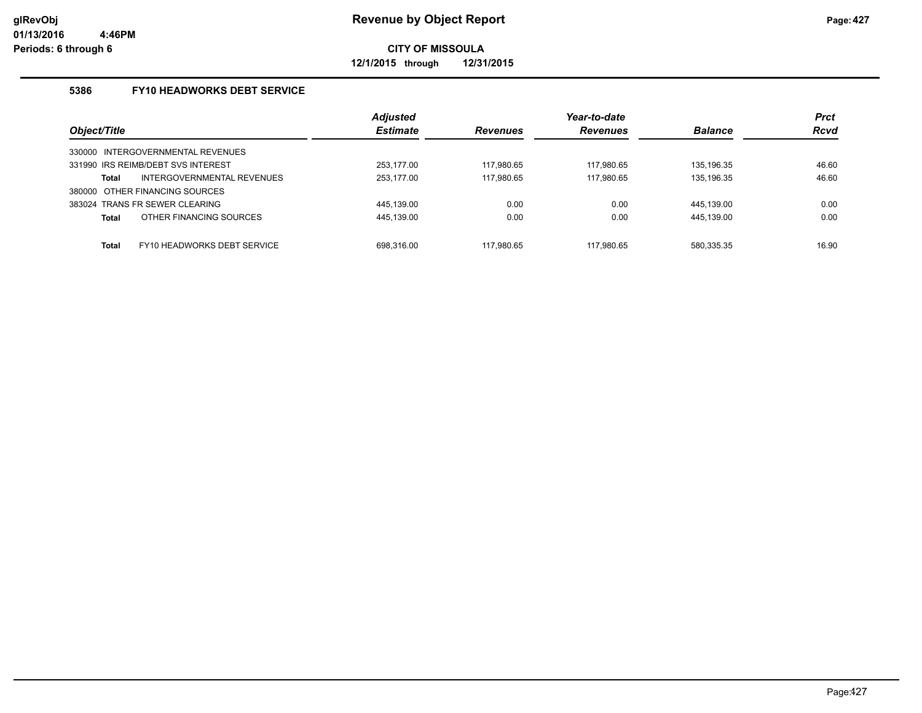**12/1/2015 through 12/31/2015**

#### **5386 FY10 HEADWORKS DEBT SERVICE**

|                                            | <b>Adjusted</b> |                 | Year-to-date    |                | <b>Prct</b> |
|--------------------------------------------|-----------------|-----------------|-----------------|----------------|-------------|
| Object/Title                               | <b>Estimate</b> | <b>Revenues</b> | <b>Revenues</b> | <b>Balance</b> | <b>Rcvd</b> |
| INTERGOVERNMENTAL REVENUES<br>330000       |                 |                 |                 |                |             |
| 331990 IRS REIMB/DEBT SVS INTEREST         | 253.177.00      | 117.980.65      | 117.980.65      | 135.196.35     | 46.60       |
| <b>INTERGOVERNMENTAL REVENUES</b><br>Total | 253.177.00      | 117.980.65      | 117.980.65      | 135.196.35     | 46.60       |
| OTHER FINANCING SOURCES<br>380000          |                 |                 |                 |                |             |
| 383024 TRANS FR SEWER CLEARING             | 445.139.00      | 0.00            | 0.00            | 445.139.00     | 0.00        |
| OTHER FINANCING SOURCES<br><b>Total</b>    | 445,139.00      | 0.00            | 0.00            | 445,139.00     | 0.00        |
| FY10 HEADWORKS DEBT SERVICE<br>Total       | 698.316.00      | 117.980.65      | 117.980.65      | 580,335.35     | 16.90       |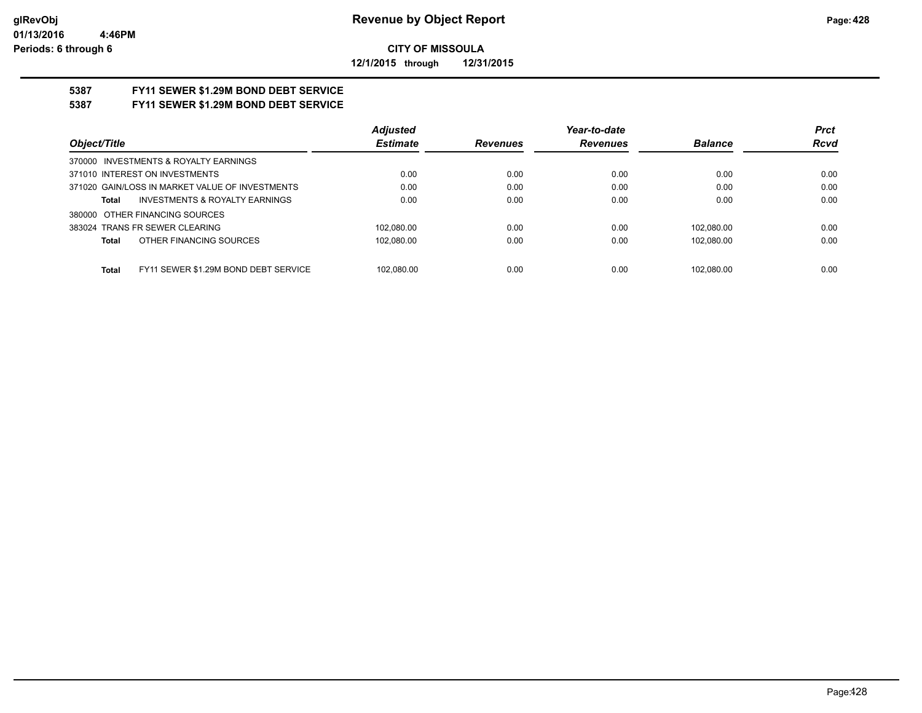**12/1/2015 through 12/31/2015**

# **5387 FY11 SEWER \$1.29M BOND DEBT SERVICE**

### **5387 FY11 SEWER \$1.29M BOND DEBT SERVICE**

|                                                      | <b>Adjusted</b> |                 | Year-to-date    |                | <b>Prct</b> |
|------------------------------------------------------|-----------------|-----------------|-----------------|----------------|-------------|
| Object/Title                                         | <b>Estimate</b> | <b>Revenues</b> | <b>Revenues</b> | <b>Balance</b> | <b>Rcvd</b> |
| 370000 INVESTMENTS & ROYALTY EARNINGS                |                 |                 |                 |                |             |
| 371010 INTEREST ON INVESTMENTS                       | 0.00            | 0.00            | 0.00            | 0.00           | 0.00        |
| 371020 GAIN/LOSS IN MARKET VALUE OF INVESTMENTS      | 0.00            | 0.00            | 0.00            | 0.00           | 0.00        |
| <b>INVESTMENTS &amp; ROYALTY EARNINGS</b><br>Total   | 0.00            | 0.00            | 0.00            | 0.00           | 0.00        |
| 380000 OTHER FINANCING SOURCES                       |                 |                 |                 |                |             |
| 383024 TRANS FR SEWER CLEARING                       | 102.080.00      | 0.00            | 0.00            | 102.080.00     | 0.00        |
| OTHER FINANCING SOURCES<br>Total                     | 102,080.00      | 0.00            | 0.00            | 102.080.00     | 0.00        |
|                                                      |                 |                 |                 |                |             |
| FY11 SEWER \$1.29M BOND DEBT SERVICE<br><b>Total</b> | 102.080.00      | 0.00            | 0.00            | 102.080.00     | 0.00        |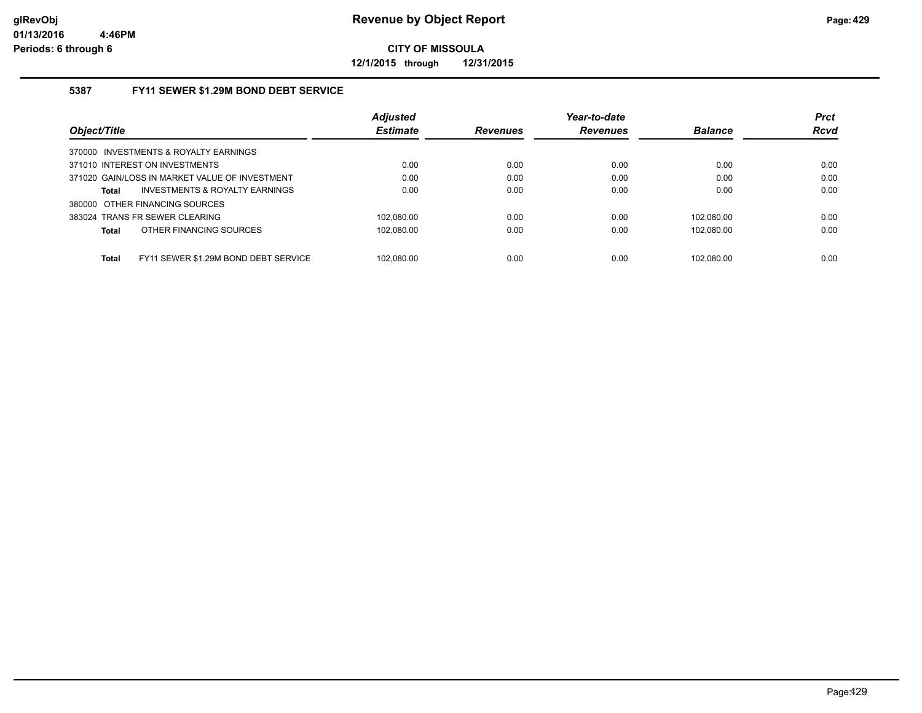**12/1/2015 through 12/31/2015**

#### **5387 FY11 SEWER \$1.29M BOND DEBT SERVICE**

|                                                      | <b>Adjusted</b> |                 | Year-to-date    |                | <b>Prct</b> |
|------------------------------------------------------|-----------------|-----------------|-----------------|----------------|-------------|
| Object/Title                                         | <b>Estimate</b> | <b>Revenues</b> | <b>Revenues</b> | <b>Balance</b> | <b>Rcvd</b> |
| 370000 INVESTMENTS & ROYALTY EARNINGS                |                 |                 |                 |                |             |
| 371010 INTEREST ON INVESTMENTS                       | 0.00            | 0.00            | 0.00            | 0.00           | 0.00        |
| 371020 GAIN/LOSS IN MARKET VALUE OF INVESTMENT       | 0.00            | 0.00            | 0.00            | 0.00           | 0.00        |
| <b>INVESTMENTS &amp; ROYALTY EARNINGS</b><br>Total   | 0.00            | 0.00            | 0.00            | 0.00           | 0.00        |
| 380000 OTHER FINANCING SOURCES                       |                 |                 |                 |                |             |
| 383024 TRANS FR SEWER CLEARING                       | 102.080.00      | 0.00            | 0.00            | 102.080.00     | 0.00        |
| OTHER FINANCING SOURCES<br><b>Total</b>              | 102.080.00      | 0.00            | 0.00            | 102.080.00     | 0.00        |
|                                                      |                 |                 |                 |                |             |
| <b>Total</b><br>FY11 SEWER \$1.29M BOND DEBT SERVICE | 102.080.00      | 0.00            | 0.00            | 102.080.00     | 0.00        |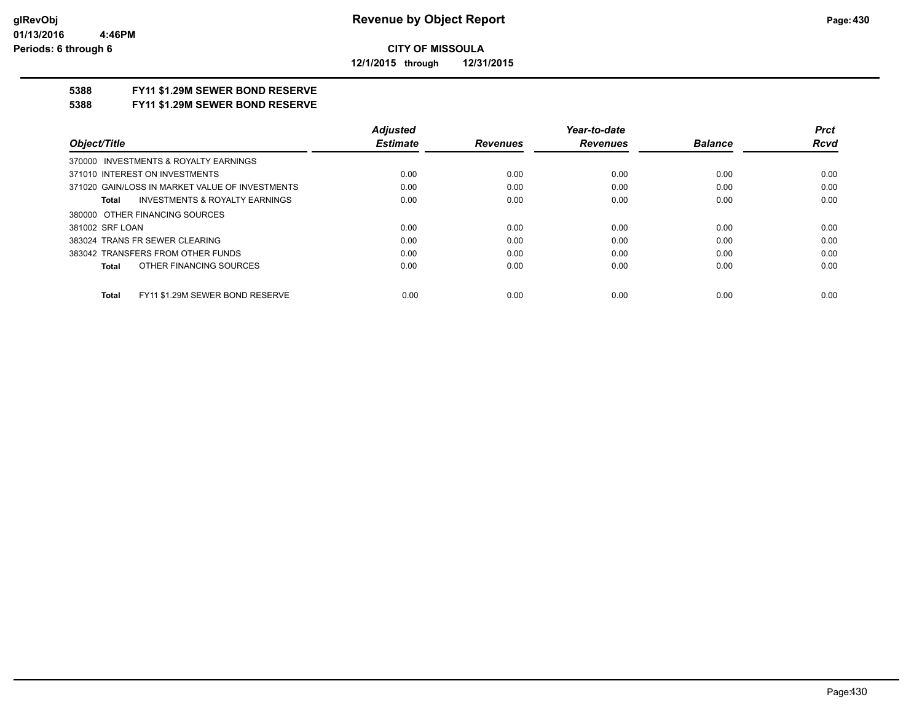**12/1/2015 through 12/31/2015**

#### **5388 FY11 \$1.29M SEWER BOND RESERVE**

#### **5388 FY11 \$1.29M SEWER BOND RESERVE**

|                                                 | <b>Adjusted</b> |                 | Year-to-date    |                | <b>Prct</b> |
|-------------------------------------------------|-----------------|-----------------|-----------------|----------------|-------------|
| Object/Title                                    | <b>Estimate</b> | <b>Revenues</b> | <b>Revenues</b> | <b>Balance</b> | <b>Rcvd</b> |
| 370000 INVESTMENTS & ROYALTY EARNINGS           |                 |                 |                 |                |             |
| 371010 INTEREST ON INVESTMENTS                  | 0.00            | 0.00            | 0.00            | 0.00           | 0.00        |
| 371020 GAIN/LOSS IN MARKET VALUE OF INVESTMENTS | 0.00            | 0.00            | 0.00            | 0.00           | 0.00        |
| INVESTMENTS & ROYALTY EARNINGS<br>Total         | 0.00            | 0.00            | 0.00            | 0.00           | 0.00        |
| 380000 OTHER FINANCING SOURCES                  |                 |                 |                 |                |             |
| 381002 SRF LOAN                                 | 0.00            | 0.00            | 0.00            | 0.00           | 0.00        |
| 383024 TRANS FR SEWER CLEARING                  | 0.00            | 0.00            | 0.00            | 0.00           | 0.00        |
| 383042 TRANSFERS FROM OTHER FUNDS               | 0.00            | 0.00            | 0.00            | 0.00           | 0.00        |
| OTHER FINANCING SOURCES<br>Total                | 0.00            | 0.00            | 0.00            | 0.00           | 0.00        |
| FY11 \$1.29M SEWER BOND RESERVE<br><b>Total</b> | 0.00            | 0.00            | 0.00            | 0.00           | 0.00        |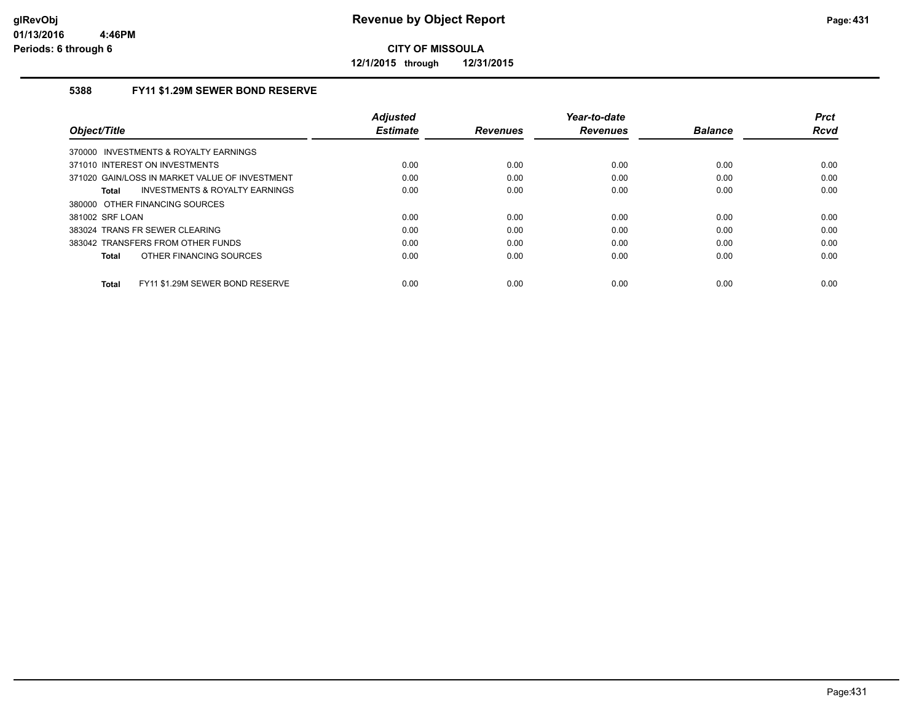**12/1/2015 through 12/31/2015**

#### **5388 FY11 \$1.29M SEWER BOND RESERVE**

| Object/Title                                    | <b>Adjusted</b><br><b>Estimate</b> | <b>Revenues</b> | Year-to-date<br><b>Revenues</b> | <b>Balance</b> | <b>Prct</b><br>Rcvd |
|-------------------------------------------------|------------------------------------|-----------------|---------------------------------|----------------|---------------------|
| 370000 INVESTMENTS & ROYALTY EARNINGS           |                                    |                 |                                 |                |                     |
| 371010 INTEREST ON INVESTMENTS                  | 0.00                               | 0.00            | 0.00                            | 0.00           | 0.00                |
| 371020 GAIN/LOSS IN MARKET VALUE OF INVESTMENT  | 0.00                               | 0.00            | 0.00                            | 0.00           | 0.00                |
| INVESTMENTS & ROYALTY EARNINGS<br>Total         | 0.00                               | 0.00            | 0.00                            | 0.00           | 0.00                |
| 380000 OTHER FINANCING SOURCES                  |                                    |                 |                                 |                |                     |
| 381002 SRF LOAN                                 | 0.00                               | 0.00            | 0.00                            | 0.00           | 0.00                |
| 383024 TRANS FR SEWER CLEARING                  | 0.00                               | 0.00            | 0.00                            | 0.00           | 0.00                |
| 383042 TRANSFERS FROM OTHER FUNDS               | 0.00                               | 0.00            | 0.00                            | 0.00           | 0.00                |
| OTHER FINANCING SOURCES<br><b>Total</b>         | 0.00                               | 0.00            | 0.00                            | 0.00           | 0.00                |
| FY11 \$1.29M SEWER BOND RESERVE<br><b>Total</b> | 0.00                               | 0.00            | 0.00                            | 0.00           | 0.00                |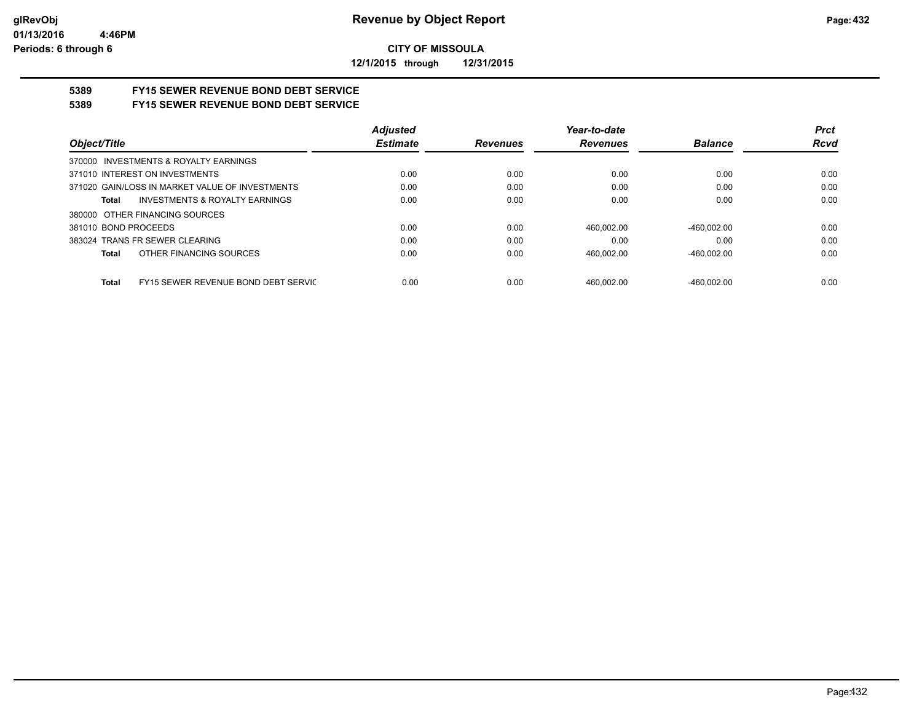**12/1/2015 through 12/31/2015**

# **5389 FY15 SEWER REVENUE BOND DEBT SERVICE**

### **5389 FY15 SEWER REVENUE BOND DEBT SERVICE**

|                                                    | <b>Adjusted</b> |                 | Year-to-date    |                | <b>Prct</b> |
|----------------------------------------------------|-----------------|-----------------|-----------------|----------------|-------------|
| Object/Title                                       | <b>Estimate</b> | <b>Revenues</b> | <b>Revenues</b> | <b>Balance</b> | <b>Rcvd</b> |
| INVESTMENTS & ROYALTY EARNINGS<br>370000           |                 |                 |                 |                |             |
| 371010 INTEREST ON INVESTMENTS                     | 0.00            | 0.00            | 0.00            | 0.00           | 0.00        |
| 371020 GAIN/LOSS IN MARKET VALUE OF INVESTMENTS    | 0.00            | 0.00            | 0.00            | 0.00           | 0.00        |
| <b>INVESTMENTS &amp; ROYALTY EARNINGS</b><br>Total | 0.00            | 0.00            | 0.00            | 0.00           | 0.00        |
| 380000 OTHER FINANCING SOURCES                     |                 |                 |                 |                |             |
| 381010 BOND PROCEEDS                               | 0.00            | 0.00            | 460.002.00      | $-460.002.00$  | 0.00        |
| 383024 TRANS FR SEWER CLEARING                     | 0.00            | 0.00            | 0.00            | 0.00           | 0.00        |
| OTHER FINANCING SOURCES<br>Total                   | 0.00            | 0.00            | 460.002.00      | $-460.002.00$  | 0.00        |
|                                                    |                 |                 |                 |                |             |
| FY15 SEWER REVENUE BOND DEBT SERVIC<br>Total       | 0.00            | 0.00            | 460.002.00      | $-460.002.00$  | 0.00        |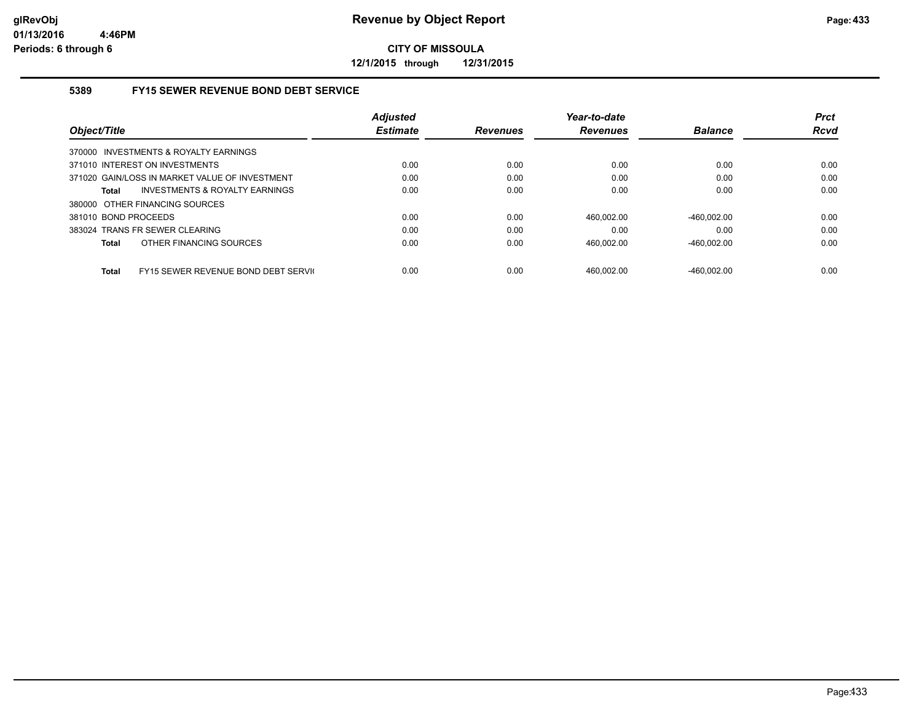**12/1/2015 through 12/31/2015**

#### **5389 FY15 SEWER REVENUE BOND DEBT SERVICE**

|                                                     | <b>Adjusted</b> |                 | Year-to-date    |                | <b>Prct</b> |
|-----------------------------------------------------|-----------------|-----------------|-----------------|----------------|-------------|
| Object/Title                                        | <b>Estimate</b> | <b>Revenues</b> | <b>Revenues</b> | <b>Balance</b> | <b>Rcvd</b> |
| 370000 INVESTMENTS & ROYALTY EARNINGS               |                 |                 |                 |                |             |
| 371010 INTEREST ON INVESTMENTS                      | 0.00            | 0.00            | 0.00            | 0.00           | 0.00        |
| 371020 GAIN/LOSS IN MARKET VALUE OF INVESTMENT      | 0.00            | 0.00            | 0.00            | 0.00           | 0.00        |
| INVESTMENTS & ROYALTY EARNINGS<br>Total             | 0.00            | 0.00            | 0.00            | 0.00           | 0.00        |
| 380000 OTHER FINANCING SOURCES                      |                 |                 |                 |                |             |
| 381010 BOND PROCEEDS                                | 0.00            | 0.00            | 460.002.00      | $-460.002.00$  | 0.00        |
| 383024 TRANS FR SEWER CLEARING                      | 0.00            | 0.00            | 0.00            | 0.00           | 0.00        |
| OTHER FINANCING SOURCES<br>Total                    | 0.00            | 0.00            | 460,002.00      | $-460,002.00$  | 0.00        |
|                                                     |                 |                 |                 |                |             |
| FY15 SEWER REVENUE BOND DEBT SERVIC<br><b>Total</b> | 0.00            | 0.00            | 460.002.00      | -460.002.00    | 0.00        |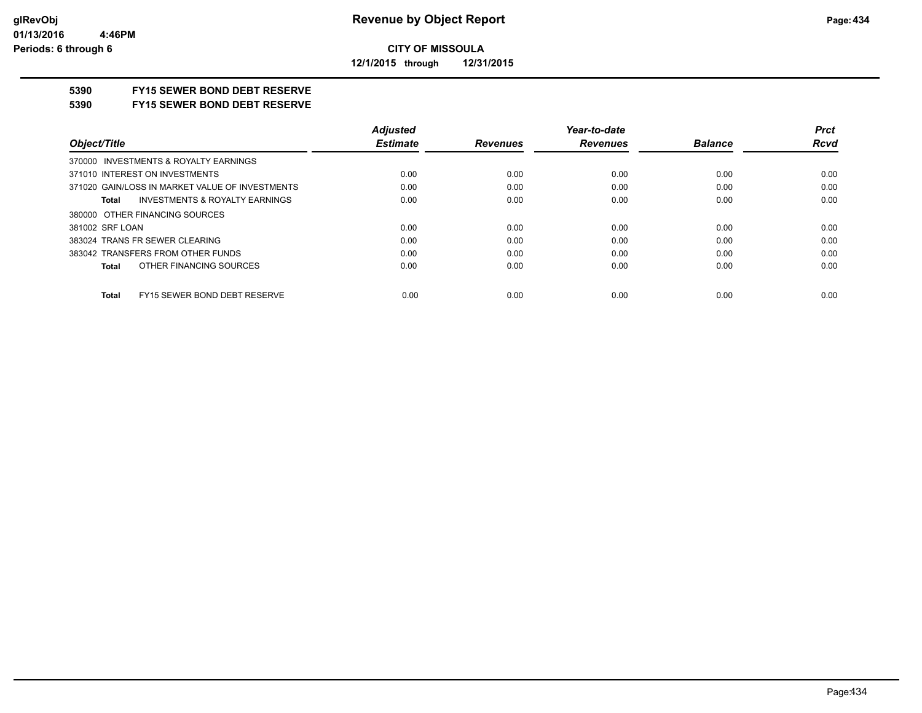**12/1/2015 through 12/31/2015**

## **5390 FY15 SEWER BOND DEBT RESERVE**

#### **5390 FY15 SEWER BOND DEBT RESERVE**

|                                                 | <b>Adjusted</b> |                 | Year-to-date    |                | <b>Prct</b> |
|-------------------------------------------------|-----------------|-----------------|-----------------|----------------|-------------|
| Object/Title                                    | <b>Estimate</b> | <b>Revenues</b> | <b>Revenues</b> | <b>Balance</b> | <b>Rcvd</b> |
| 370000 INVESTMENTS & ROYALTY EARNINGS           |                 |                 |                 |                |             |
| 371010 INTEREST ON INVESTMENTS                  | 0.00            | 0.00            | 0.00            | 0.00           | 0.00        |
| 371020 GAIN/LOSS IN MARKET VALUE OF INVESTMENTS | 0.00            | 0.00            | 0.00            | 0.00           | 0.00        |
| INVESTMENTS & ROYALTY EARNINGS<br>Total         | 0.00            | 0.00            | 0.00            | 0.00           | 0.00        |
| 380000 OTHER FINANCING SOURCES                  |                 |                 |                 |                |             |
| 381002 SRF LOAN                                 | 0.00            | 0.00            | 0.00            | 0.00           | 0.00        |
| 383024 TRANS FR SEWER CLEARING                  | 0.00            | 0.00            | 0.00            | 0.00           | 0.00        |
| 383042 TRANSFERS FROM OTHER FUNDS               | 0.00            | 0.00            | 0.00            | 0.00           | 0.00        |
| OTHER FINANCING SOURCES<br>Total                | 0.00            | 0.00            | 0.00            | 0.00           | 0.00        |
| FY15 SEWER BOND DEBT RESERVE<br><b>Total</b>    | 0.00            | 0.00            | 0.00            | 0.00           | 0.00        |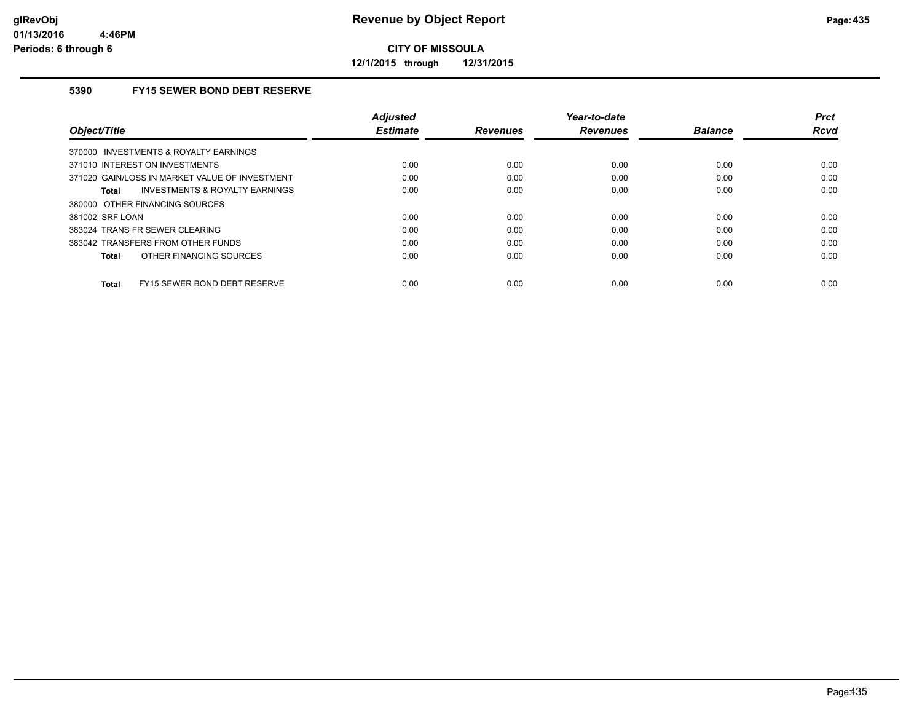**12/1/2015 through 12/31/2015**

### **5390 FY15 SEWER BOND DEBT RESERVE**

| Object/Title                                   | <b>Adjusted</b><br><b>Estimate</b> | <b>Revenues</b> | Year-to-date<br><b>Revenues</b> | <b>Balance</b> | <b>Prct</b><br>Rcvd |
|------------------------------------------------|------------------------------------|-----------------|---------------------------------|----------------|---------------------|
| 370000 INVESTMENTS & ROYALTY EARNINGS          |                                    |                 |                                 |                |                     |
| 371010 INTEREST ON INVESTMENTS                 | 0.00                               | 0.00            | 0.00                            | 0.00           | 0.00                |
| 371020 GAIN/LOSS IN MARKET VALUE OF INVESTMENT | 0.00                               | 0.00            | 0.00                            | 0.00           | 0.00                |
| INVESTMENTS & ROYALTY EARNINGS<br>Total        | 0.00                               | 0.00            | 0.00                            | 0.00           | 0.00                |
| 380000 OTHER FINANCING SOURCES                 |                                    |                 |                                 |                |                     |
| 381002 SRF LOAN                                | 0.00                               | 0.00            | 0.00                            | 0.00           | 0.00                |
| 383024 TRANS FR SEWER CLEARING                 | 0.00                               | 0.00            | 0.00                            | 0.00           | 0.00                |
| 383042 TRANSFERS FROM OTHER FUNDS              | 0.00                               | 0.00            | 0.00                            | 0.00           | 0.00                |
| OTHER FINANCING SOURCES<br>Total               | 0.00                               | 0.00            | 0.00                            | 0.00           | 0.00                |
| FY15 SEWER BOND DEBT RESERVE<br>Total          | 0.00                               | 0.00            | 0.00                            | 0.00           | 0.00                |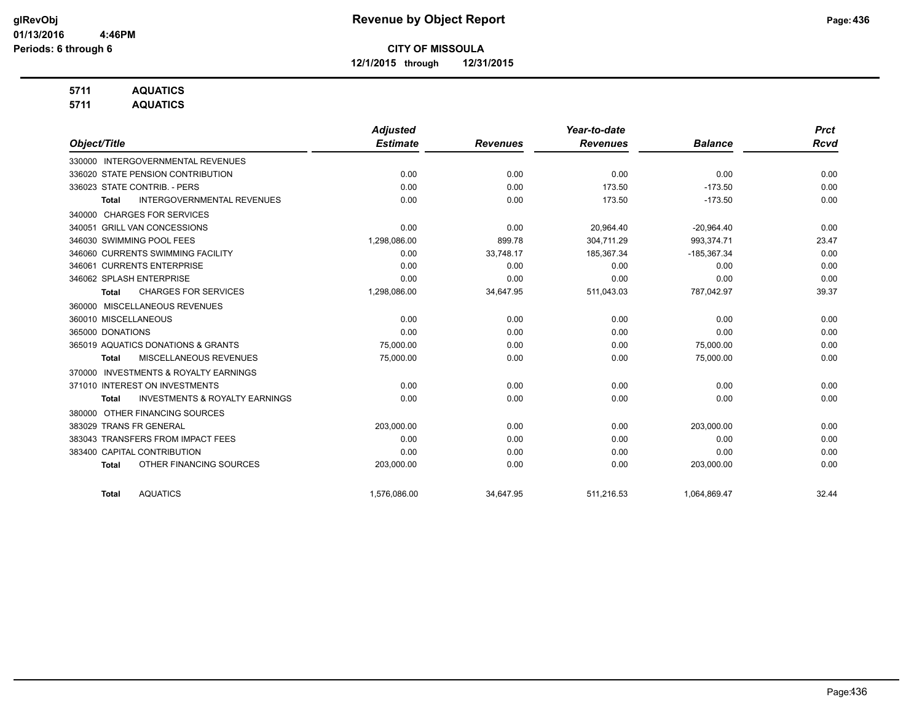**12/1/2015 through 12/31/2015**

## **5711 AQUATICS**

**5711 AQUATICS**

|                                                           | <b>Adjusted</b> |                 | Year-to-date    |                | <b>Prct</b> |
|-----------------------------------------------------------|-----------------|-----------------|-----------------|----------------|-------------|
| Object/Title                                              | <b>Estimate</b> | <b>Revenues</b> | <b>Revenues</b> | <b>Balance</b> | <b>Rcvd</b> |
| 330000 INTERGOVERNMENTAL REVENUES                         |                 |                 |                 |                |             |
| 336020 STATE PENSION CONTRIBUTION                         | 0.00            | 0.00            | 0.00            | 0.00           | 0.00        |
| 336023 STATE CONTRIB. - PERS                              | 0.00            | 0.00            | 173.50          | $-173.50$      | 0.00        |
| <b>INTERGOVERNMENTAL REVENUES</b><br>Total                | 0.00            | 0.00            | 173.50          | $-173.50$      | 0.00        |
| <b>CHARGES FOR SERVICES</b><br>340000                     |                 |                 |                 |                |             |
| 340051 GRILL VAN CONCESSIONS                              | 0.00            | 0.00            | 20,964.40       | $-20,964.40$   | 0.00        |
| 346030 SWIMMING POOL FEES                                 | 1,298,086.00    | 899.78          | 304,711.29      | 993,374.71     | 23.47       |
| 346060 CURRENTS SWIMMING FACILITY                         | 0.00            | 33,748.17       | 185,367.34      | $-185,367.34$  | 0.00        |
| 346061 CURRENTS ENTERPRISE                                | 0.00            | 0.00            | 0.00            | 0.00           | 0.00        |
| 346062 SPLASH ENTERPRISE                                  | 0.00            | 0.00            | 0.00            | 0.00           | 0.00        |
| <b>CHARGES FOR SERVICES</b><br><b>Total</b>               | 1,298,086.00    | 34,647.95       | 511,043.03      | 787,042.97     | 39.37       |
| 360000 MISCELLANEOUS REVENUES                             |                 |                 |                 |                |             |
| 360010 MISCELLANEOUS                                      | 0.00            | 0.00            | 0.00            | 0.00           | 0.00        |
| 365000 DONATIONS                                          | 0.00            | 0.00            | 0.00            | 0.00           | 0.00        |
| 365019 AQUATICS DONATIONS & GRANTS                        | 75,000.00       | 0.00            | 0.00            | 75,000.00      | 0.00        |
| <b>MISCELLANEOUS REVENUES</b><br>Total                    | 75,000.00       | 0.00            | 0.00            | 75,000.00      | 0.00        |
| <b>INVESTMENTS &amp; ROYALTY EARNINGS</b><br>370000       |                 |                 |                 |                |             |
| 371010 INTEREST ON INVESTMENTS                            | 0.00            | 0.00            | 0.00            | 0.00           | 0.00        |
| <b>INVESTMENTS &amp; ROYALTY EARNINGS</b><br><b>Total</b> | 0.00            | 0.00            | 0.00            | 0.00           | 0.00        |
| OTHER FINANCING SOURCES<br>380000                         |                 |                 |                 |                |             |
| 383029 TRANS FR GENERAL                                   | 203,000.00      | 0.00            | 0.00            | 203,000.00     | 0.00        |
| 383043 TRANSFERS FROM IMPACT FEES                         | 0.00            | 0.00            | 0.00            | 0.00           | 0.00        |
| 383400 CAPITAL CONTRIBUTION                               | 0.00            | 0.00            | 0.00            | 0.00           | 0.00        |
| OTHER FINANCING SOURCES<br><b>Total</b>                   | 203,000.00      | 0.00            | 0.00            | 203,000.00     | 0.00        |
| <b>AQUATICS</b><br><b>Total</b>                           | 1,576,086.00    | 34,647.95       | 511,216.53      | 1,064,869.47   | 32.44       |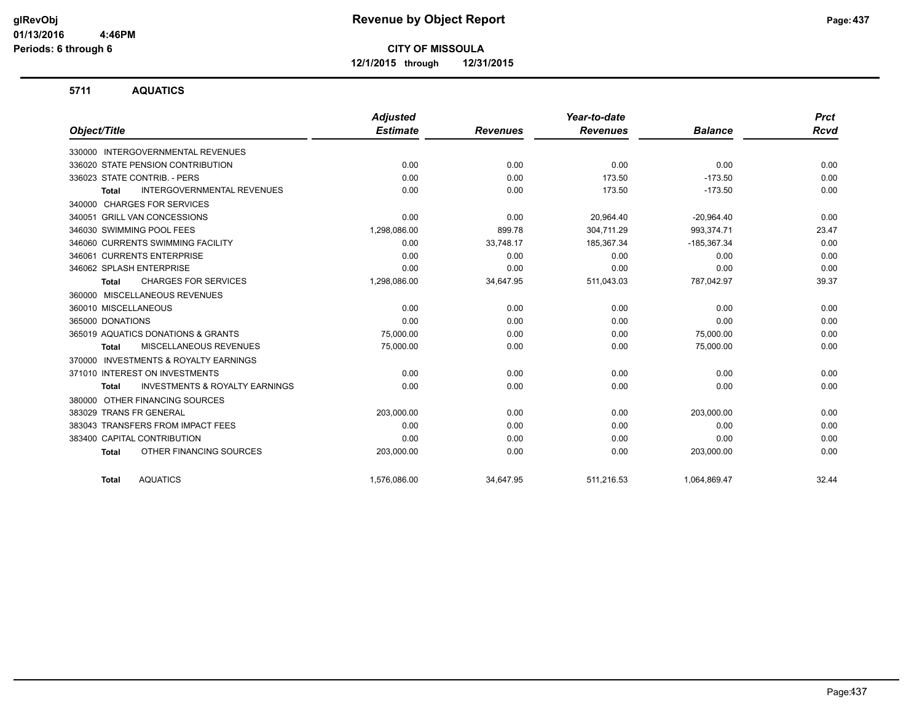**12/1/2015 through 12/31/2015**

#### **5711 AQUATICS**

|                                                     | <b>Adjusted</b> |                 | Year-to-date    |                | <b>Prct</b> |
|-----------------------------------------------------|-----------------|-----------------|-----------------|----------------|-------------|
| Object/Title                                        | <b>Estimate</b> | <b>Revenues</b> | <b>Revenues</b> | <b>Balance</b> | <b>Rcvd</b> |
| 330000 INTERGOVERNMENTAL REVENUES                   |                 |                 |                 |                |             |
| 336020 STATE PENSION CONTRIBUTION                   | 0.00            | 0.00            | 0.00            | 0.00           | 0.00        |
| 336023 STATE CONTRIB. - PERS                        | 0.00            | 0.00            | 173.50          | $-173.50$      | 0.00        |
| <b>INTERGOVERNMENTAL REVENUES</b><br><b>Total</b>   | 0.00            | 0.00            | 173.50          | $-173.50$      | 0.00        |
| <b>CHARGES FOR SERVICES</b><br>340000               |                 |                 |                 |                |             |
| 340051 GRILL VAN CONCESSIONS                        | 0.00            | 0.00            | 20.964.40       | $-20,964.40$   | 0.00        |
| 346030 SWIMMING POOL FEES                           | 1,298,086.00    | 899.78          | 304,711.29      | 993,374.71     | 23.47       |
| 346060 CURRENTS SWIMMING FACILITY                   | 0.00            | 33,748.17       | 185,367.34      | $-185,367.34$  | 0.00        |
| 346061 CURRENTS ENTERPRISE                          | 0.00            | 0.00            | 0.00            | 0.00           | 0.00        |
| 346062 SPLASH ENTERPRISE                            | 0.00            | 0.00            | 0.00            | 0.00           | 0.00        |
| <b>CHARGES FOR SERVICES</b><br><b>Total</b>         | 1,298,086.00    | 34,647.95       | 511,043.03      | 787,042.97     | 39.37       |
| 360000 MISCELLANEOUS REVENUES                       |                 |                 |                 |                |             |
| 360010 MISCELLANEOUS                                | 0.00            | 0.00            | 0.00            | 0.00           | 0.00        |
| 365000 DONATIONS                                    | 0.00            | 0.00            | 0.00            | 0.00           | 0.00        |
| 365019 AQUATICS DONATIONS & GRANTS                  | 75,000.00       | 0.00            | 0.00            | 75,000.00      | 0.00        |
| MISCELLANEOUS REVENUES<br><b>Total</b>              | 75,000.00       | 0.00            | 0.00            | 75,000.00      | 0.00        |
| <b>INVESTMENTS &amp; ROYALTY EARNINGS</b><br>370000 |                 |                 |                 |                |             |
| 371010 INTEREST ON INVESTMENTS                      | 0.00            | 0.00            | 0.00            | 0.00           | 0.00        |
| <b>INVESTMENTS &amp; ROYALTY EARNINGS</b><br>Total  | 0.00            | 0.00            | 0.00            | 0.00           | 0.00        |
| OTHER FINANCING SOURCES<br>380000                   |                 |                 |                 |                |             |
| 383029 TRANS FR GENERAL                             | 203,000.00      | 0.00            | 0.00            | 203,000.00     | 0.00        |
| 383043 TRANSFERS FROM IMPACT FEES                   | 0.00            | 0.00            | 0.00            | 0.00           | 0.00        |
| 383400 CAPITAL CONTRIBUTION                         | 0.00            | 0.00            | 0.00            | 0.00           | 0.00        |
| OTHER FINANCING SOURCES<br><b>Total</b>             | 203,000.00      | 0.00            | 0.00            | 203,000.00     | 0.00        |
| <b>AQUATICS</b><br><b>Total</b>                     | 1,576,086.00    | 34,647.95       | 511,216.53      | 1,064,869.47   | 32.44       |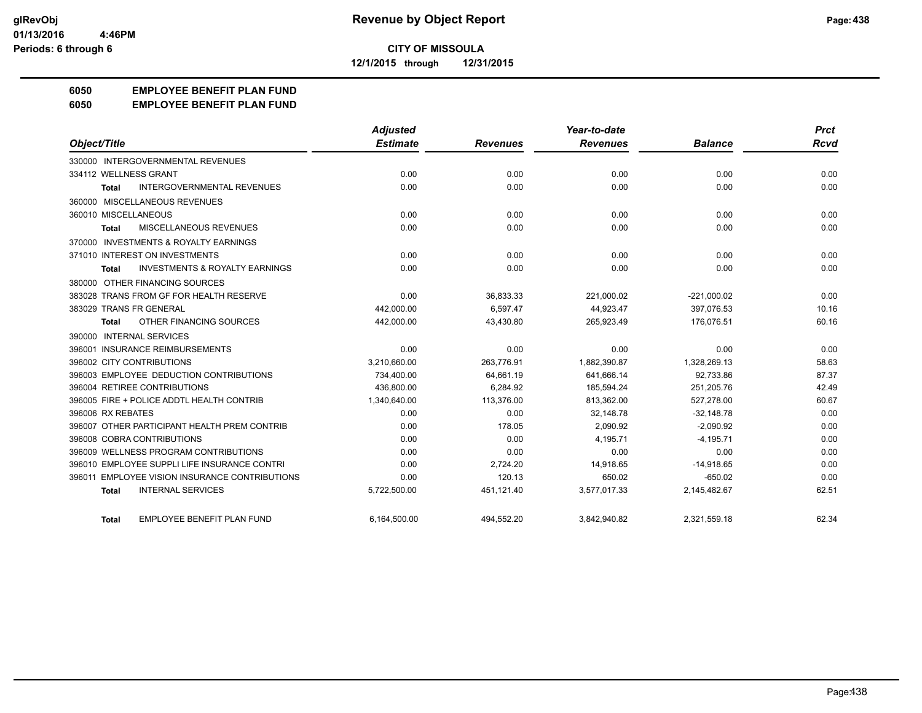**12/1/2015 through 12/31/2015**

## **6050 EMPLOYEE BENEFIT PLAN FUND**

#### **6050 EMPLOYEE BENEFIT PLAN FUND**

|                                                           | <b>Adjusted</b> |                 | Year-to-date    |                | <b>Prct</b> |
|-----------------------------------------------------------|-----------------|-----------------|-----------------|----------------|-------------|
| Object/Title                                              | <b>Estimate</b> | <b>Revenues</b> | <b>Revenues</b> | <b>Balance</b> | Rcvd        |
| 330000 INTERGOVERNMENTAL REVENUES                         |                 |                 |                 |                |             |
| 334112 WELLNESS GRANT                                     | 0.00            | 0.00            | 0.00            | 0.00           | 0.00        |
| <b>INTERGOVERNMENTAL REVENUES</b><br>Total                | 0.00            | 0.00            | 0.00            | 0.00           | 0.00        |
| 360000 MISCELLANEOUS REVENUES                             |                 |                 |                 |                |             |
| 360010 MISCELLANEOUS                                      | 0.00            | 0.00            | 0.00            | 0.00           | 0.00        |
| MISCELLANEOUS REVENUES<br><b>Total</b>                    | 0.00            | 0.00            | 0.00            | 0.00           | 0.00        |
| 370000 INVESTMENTS & ROYALTY EARNINGS                     |                 |                 |                 |                |             |
| 371010 INTEREST ON INVESTMENTS                            | 0.00            | 0.00            | 0.00            | 0.00           | 0.00        |
| <b>INVESTMENTS &amp; ROYALTY EARNINGS</b><br><b>Total</b> | 0.00            | 0.00            | 0.00            | 0.00           | 0.00        |
| 380000 OTHER FINANCING SOURCES                            |                 |                 |                 |                |             |
| 383028 TRANS FROM GF FOR HEALTH RESERVE                   | 0.00            | 36,833.33       | 221,000.02      | $-221,000.02$  | 0.00        |
| 383029 TRANS FR GENERAL                                   | 442,000.00      | 6,597.47        | 44,923.47       | 397,076.53     | 10.16       |
| OTHER FINANCING SOURCES<br><b>Total</b>                   | 442,000.00      | 43,430.80       | 265,923.49      | 176,076.51     | 60.16       |
| 390000 INTERNAL SERVICES                                  |                 |                 |                 |                |             |
| 396001 INSURANCE REIMBURSEMENTS                           | 0.00            | 0.00            | 0.00            | 0.00           | 0.00        |
| 396002 CITY CONTRIBUTIONS                                 | 3.210.660.00    | 263.776.91      | 1.882.390.87    | 1.328.269.13   | 58.63       |
| 396003 EMPLOYEE DEDUCTION CONTRIBUTIONS                   | 734,400.00      | 64,661.19       | 641,666.14      | 92,733.86      | 87.37       |
| 396004 RETIREE CONTRIBUTIONS                              | 436,800.00      | 6,284.92        | 185,594.24      | 251,205.76     | 42.49       |
| 396005 FIRE + POLICE ADDTL HEALTH CONTRIB                 | 1,340,640.00    | 113,376.00      | 813.362.00      | 527,278.00     | 60.67       |
| 396006 RX REBATES                                         | 0.00            | 0.00            | 32.148.78       | $-32,148.78$   | 0.00        |
| 396007 OTHER PARTICIPANT HEALTH PREM CONTRIB              | 0.00            | 178.05          | 2,090.92        | $-2,090.92$    | 0.00        |
| 396008 COBRA CONTRIBUTIONS                                | 0.00            | 0.00            | 4.195.71        | $-4.195.71$    | 0.00        |
| 396009 WELLNESS PROGRAM CONTRIBUTIONS                     | 0.00            | 0.00            | 0.00            | 0.00           | 0.00        |
| 396010 EMPLOYEE SUPPLI LIFE INSURANCE CONTRI              | 0.00            | 2,724.20        | 14,918.65       | $-14,918.65$   | 0.00        |
| 396011 EMPLOYEE VISION INSURANCE CONTRIBUTIONS            | 0.00            | 120.13          | 650.02          | $-650.02$      | 0.00        |
| <b>INTERNAL SERVICES</b><br><b>Total</b>                  | 5,722,500.00    | 451,121.40      | 3,577,017.33    | 2,145,482.67   | 62.51       |
| EMPLOYEE BENEFIT PLAN FUND<br><b>Total</b>                | 6,164,500.00    | 494,552.20      | 3,842,940.82    | 2,321,559.18   | 62.34       |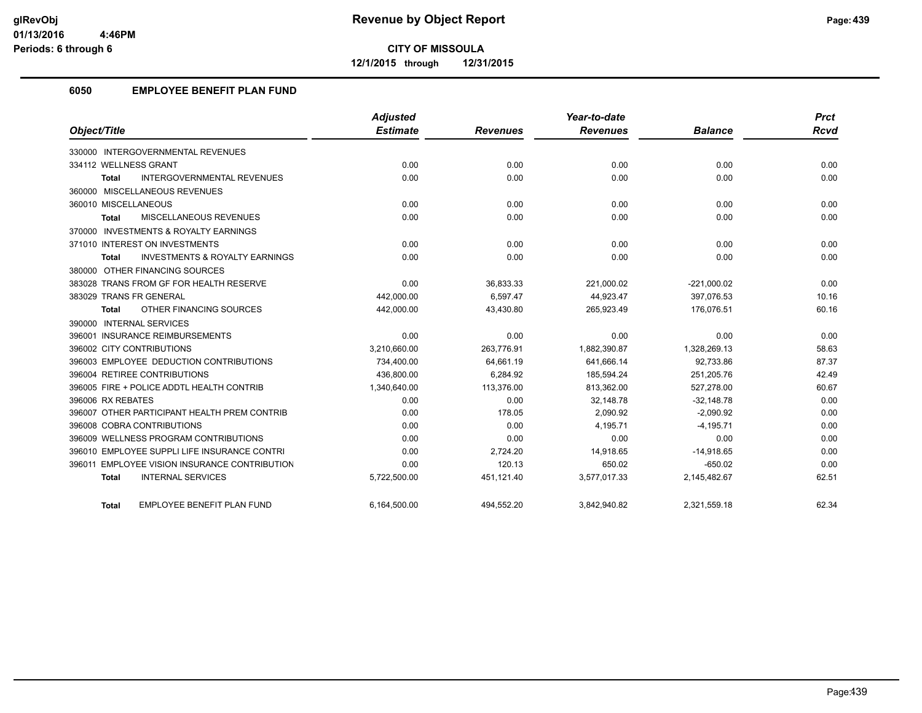**12/1/2015 through 12/31/2015**

## **6050 EMPLOYEE BENEFIT PLAN FUND**

|                                                    | <b>Adjusted</b> |                 | Year-to-date    |                | <b>Prct</b> |
|----------------------------------------------------|-----------------|-----------------|-----------------|----------------|-------------|
| Object/Title                                       | <b>Estimate</b> | <b>Revenues</b> | <b>Revenues</b> | <b>Balance</b> | <b>Rcvd</b> |
| 330000 INTERGOVERNMENTAL REVENUES                  |                 |                 |                 |                |             |
| 334112 WELLNESS GRANT                              | 0.00            | 0.00            | 0.00            | 0.00           | 0.00        |
| <b>INTERGOVERNMENTAL REVENUES</b><br>Total         | 0.00            | 0.00            | 0.00            | 0.00           | 0.00        |
| 360000 MISCELLANEOUS REVENUES                      |                 |                 |                 |                |             |
| 360010 MISCELLANEOUS                               | 0.00            | 0.00            | 0.00            | 0.00           | 0.00        |
| MISCELLANEOUS REVENUES<br>Total                    | 0.00            | 0.00            | 0.00            | 0.00           | 0.00        |
| 370000 INVESTMENTS & ROYALTY EARNINGS              |                 |                 |                 |                |             |
| 371010 INTEREST ON INVESTMENTS                     | 0.00            | 0.00            | 0.00            | 0.00           | 0.00        |
| <b>INVESTMENTS &amp; ROYALTY EARNINGS</b><br>Total | 0.00            | 0.00            | 0.00            | 0.00           | 0.00        |
| 380000 OTHER FINANCING SOURCES                     |                 |                 |                 |                |             |
| 383028 TRANS FROM GF FOR HEALTH RESERVE            | 0.00            | 36,833.33       | 221,000.02      | $-221,000.02$  | 0.00        |
| 383029 TRANS FR GENERAL                            | 442.000.00      | 6.597.47        | 44.923.47       | 397.076.53     | 10.16       |
| OTHER FINANCING SOURCES<br>Total                   | 442,000.00      | 43,430.80       | 265,923.49      | 176,076.51     | 60.16       |
| 390000 INTERNAL SERVICES                           |                 |                 |                 |                |             |
| 396001 INSURANCE REIMBURSEMENTS                    | 0.00            | 0.00            | 0.00            | 0.00           | 0.00        |
| 396002 CITY CONTRIBUTIONS                          | 3,210,660.00    | 263,776.91      | 1,882,390.87    | 1,328,269.13   | 58.63       |
| 396003 EMPLOYEE DEDUCTION CONTRIBUTIONS            | 734,400.00      | 64,661.19       | 641,666.14      | 92,733.86      | 87.37       |
| 396004 RETIREE CONTRIBUTIONS                       | 436,800.00      | 6,284.92        | 185,594.24      | 251,205.76     | 42.49       |
| 396005 FIRE + POLICE ADDTL HEALTH CONTRIB          | 1,340,640.00    | 113,376.00      | 813,362.00      | 527,278.00     | 60.67       |
| 396006 RX REBATES                                  | 0.00            | 0.00            | 32,148.78       | $-32,148.78$   | 0.00        |
| 396007 OTHER PARTICIPANT HEALTH PREM CONTRIB       | 0.00            | 178.05          | 2.090.92        | $-2,090.92$    | 0.00        |
| 396008 COBRA CONTRIBUTIONS                         | 0.00            | 0.00            | 4.195.71        | $-4.195.71$    | 0.00        |
| 396009 WELLNESS PROGRAM CONTRIBUTIONS              | 0.00            | 0.00            | 0.00            | 0.00           | 0.00        |
| 396010 EMPLOYEE SUPPLI LIFE INSURANCE CONTRI       | 0.00            | 2,724.20        | 14,918.65       | $-14,918.65$   | 0.00        |
| 396011 EMPLOYEE VISION INSURANCE CONTRIBUTION      | 0.00            | 120.13          | 650.02          | $-650.02$      | 0.00        |
| <b>INTERNAL SERVICES</b><br><b>Total</b>           | 5,722,500.00    | 451,121.40      | 3,577,017.33    | 2,145,482.67   | 62.51       |
| <b>EMPLOYEE BENEFIT PLAN FUND</b><br>Total         | 6,164,500.00    | 494,552.20      | 3,842,940.82    | 2,321,559.18   | 62.34       |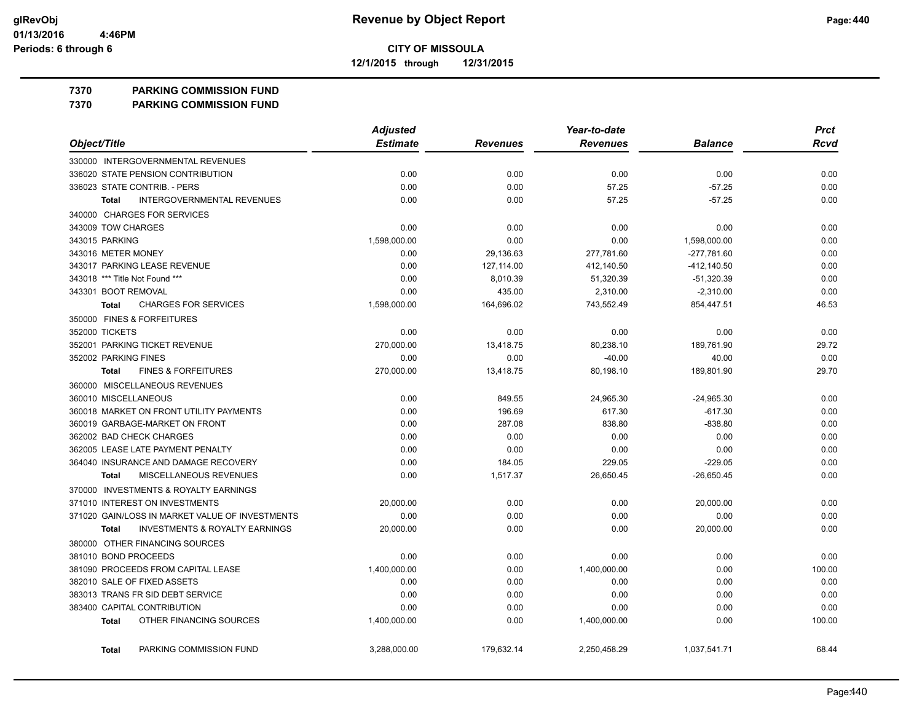**12/1/2015 through 12/31/2015**

#### **7370 PARKING COMMISSION FUND**

**7370 PARKING COMMISSION FUND**

|                                                           | <b>Adjusted</b> |                 | Year-to-date    |                | <b>Prct</b> |
|-----------------------------------------------------------|-----------------|-----------------|-----------------|----------------|-------------|
| Object/Title                                              | <b>Estimate</b> | <b>Revenues</b> | <b>Revenues</b> | <b>Balance</b> | <b>Rcvd</b> |
| 330000 INTERGOVERNMENTAL REVENUES                         |                 |                 |                 |                |             |
| 336020 STATE PENSION CONTRIBUTION                         | 0.00            | 0.00            | 0.00            | 0.00           | 0.00        |
| 336023 STATE CONTRIB. - PERS                              | 0.00            | 0.00            | 57.25           | $-57.25$       | 0.00        |
| <b>INTERGOVERNMENTAL REVENUES</b><br><b>Total</b>         | 0.00            | 0.00            | 57.25           | $-57.25$       | 0.00        |
| 340000 CHARGES FOR SERVICES                               |                 |                 |                 |                |             |
| 343009 TOW CHARGES                                        | 0.00            | 0.00            | 0.00            | 0.00           | 0.00        |
| 343015 PARKING                                            | 1,598,000.00    | 0.00            | 0.00            | 1,598,000.00   | 0.00        |
| 343016 METER MONEY                                        | 0.00            | 29,136.63       | 277,781.60      | $-277,781.60$  | 0.00        |
| 343017 PARKING LEASE REVENUE                              | 0.00            | 127,114.00      | 412,140.50      | -412,140.50    | 0.00        |
| 343018 *** Title Not Found ***                            | 0.00            | 8,010.39        | 51,320.39       | $-51,320.39$   | 0.00        |
| 343301 BOOT REMOVAL                                       | 0.00            | 435.00          | 2,310.00        | $-2,310.00$    | 0.00        |
| <b>CHARGES FOR SERVICES</b><br>Total                      | 1,598,000.00    | 164,696.02      | 743,552.49      | 854,447.51     | 46.53       |
| 350000 FINES & FORFEITURES                                |                 |                 |                 |                |             |
| 352000 TICKETS                                            | 0.00            | 0.00            | 0.00            | 0.00           | 0.00        |
| 352001 PARKING TICKET REVENUE                             | 270,000.00      | 13,418.75       | 80,238.10       | 189,761.90     | 29.72       |
| 352002 PARKING FINES                                      | 0.00            | 0.00            | $-40.00$        | 40.00          | 0.00        |
| <b>FINES &amp; FORFEITURES</b><br><b>Total</b>            | 270,000.00      | 13,418.75       | 80,198.10       | 189,801.90     | 29.70       |
| 360000 MISCELLANEOUS REVENUES                             |                 |                 |                 |                |             |
| 360010 MISCELLANEOUS                                      | 0.00            | 849.55          | 24,965.30       | $-24,965.30$   | 0.00        |
| 360018 MARKET ON FRONT UTILITY PAYMENTS                   | 0.00            | 196.69          | 617.30          | $-617.30$      | 0.00        |
| 360019 GARBAGE-MARKET ON FRONT                            | 0.00            | 287.08          | 838.80          | $-838.80$      | 0.00        |
| 362002 BAD CHECK CHARGES                                  | 0.00            | 0.00            | 0.00            | 0.00           | 0.00        |
| 362005 LEASE LATE PAYMENT PENALTY                         | 0.00            | 0.00            | 0.00            | 0.00           | 0.00        |
| 364040 INSURANCE AND DAMAGE RECOVERY                      | 0.00            | 184.05          | 229.05          | $-229.05$      | 0.00        |
| MISCELLANEOUS REVENUES<br><b>Total</b>                    | 0.00            | 1,517.37        | 26,650.45       | $-26,650.45$   | 0.00        |
| 370000 INVESTMENTS & ROYALTY EARNINGS                     |                 |                 |                 |                |             |
| 371010 INTEREST ON INVESTMENTS                            | 20,000.00       | 0.00            | 0.00            | 20,000.00      | 0.00        |
| 371020 GAIN/LOSS IN MARKET VALUE OF INVESTMENTS           | 0.00            | 0.00            | 0.00            | 0.00           | 0.00        |
| <b>INVESTMENTS &amp; ROYALTY EARNINGS</b><br><b>Total</b> | 20,000.00       | 0.00            | 0.00            | 20,000.00      | 0.00        |
| 380000 OTHER FINANCING SOURCES                            |                 |                 |                 |                |             |
| 381010 BOND PROCEEDS                                      | 0.00            | 0.00            | 0.00            | 0.00           | 0.00        |
| 381090 PROCEEDS FROM CAPITAL LEASE                        | 1,400,000.00    | 0.00            | 1,400,000.00    | 0.00           | 100.00      |
| 382010 SALE OF FIXED ASSETS                               | 0.00            | 0.00            | 0.00            | 0.00           | 0.00        |
| 383013 TRANS FR SID DEBT SERVICE                          | 0.00            | 0.00            | 0.00            | 0.00           | 0.00        |
| 383400 CAPITAL CONTRIBUTION                               | 0.00            | 0.00            | 0.00            | 0.00           | 0.00        |
| OTHER FINANCING SOURCES<br><b>Total</b>                   | 1,400,000.00    | 0.00            | 1,400,000.00    | 0.00           | 100.00      |
| PARKING COMMISSION FUND<br><b>Total</b>                   | 3,288,000.00    | 179,632.14      | 2,250,458.29    | 1,037,541.71   | 68.44       |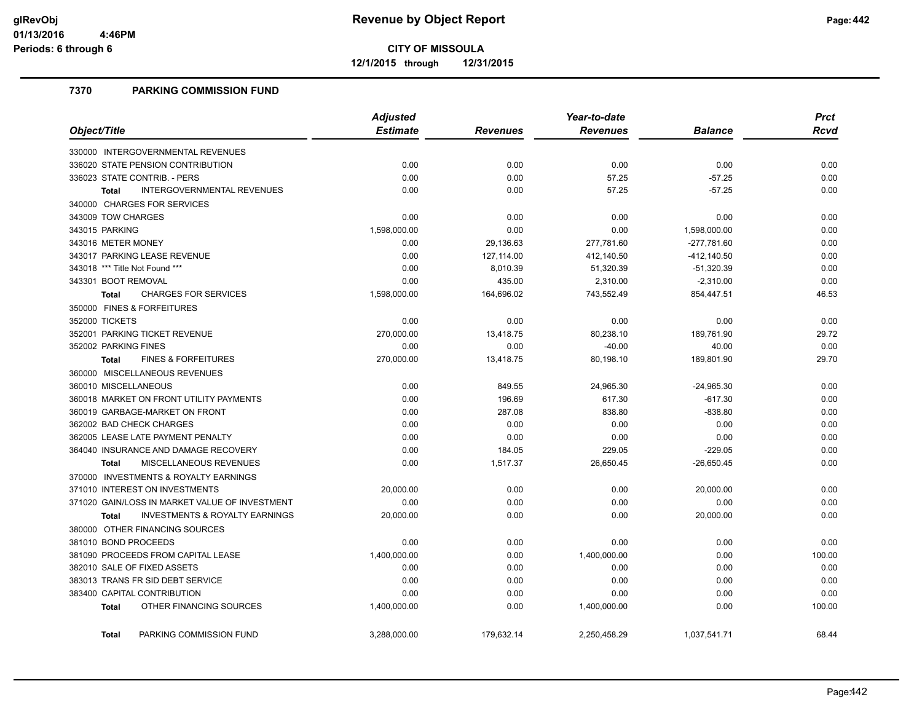**12/1/2015 through 12/31/2015**

#### **7370 PARKING COMMISSION FUND**

|                                                           | <b>Adjusted</b> |                 | Year-to-date    |                | <b>Prct</b> |
|-----------------------------------------------------------|-----------------|-----------------|-----------------|----------------|-------------|
| Object/Title                                              | <b>Estimate</b> | <b>Revenues</b> | <b>Revenues</b> | <b>Balance</b> | Rcvd        |
| 330000 INTERGOVERNMENTAL REVENUES                         |                 |                 |                 |                |             |
| 336020 STATE PENSION CONTRIBUTION                         | 0.00            | 0.00            | 0.00            | 0.00           | 0.00        |
| 336023 STATE CONTRIB. - PERS                              | 0.00            | 0.00            | 57.25           | $-57.25$       | 0.00        |
| <b>INTERGOVERNMENTAL REVENUES</b><br><b>Total</b>         | 0.00            | 0.00            | 57.25           | $-57.25$       | 0.00        |
| 340000 CHARGES FOR SERVICES                               |                 |                 |                 |                |             |
| 343009 TOW CHARGES                                        | 0.00            | 0.00            | 0.00            | 0.00           | 0.00        |
| 343015 PARKING                                            | 1,598,000.00    | 0.00            | 0.00            | 1,598,000.00   | 0.00        |
| 343016 METER MONEY                                        | 0.00            | 29,136.63       | 277,781.60      | -277,781.60    | 0.00        |
| 343017 PARKING LEASE REVENUE                              | 0.00            | 127,114.00      | 412,140.50      | $-412, 140.50$ | 0.00        |
| 343018 *** Title Not Found ***                            | 0.00            | 8,010.39        | 51,320.39       | $-51,320.39$   | 0.00        |
| 343301 BOOT REMOVAL                                       | 0.00            | 435.00          | 2,310.00        | $-2,310.00$    | 0.00        |
| <b>CHARGES FOR SERVICES</b><br><b>Total</b>               | 1,598,000.00    | 164,696.02      | 743,552.49      | 854,447.51     | 46.53       |
| 350000 FINES & FORFEITURES                                |                 |                 |                 |                |             |
| 352000 TICKETS                                            | 0.00            | 0.00            | 0.00            | 0.00           | 0.00        |
| 352001 PARKING TICKET REVENUE                             | 270,000.00      | 13,418.75       | 80,238.10       | 189,761.90     | 29.72       |
| 352002 PARKING FINES                                      | 0.00            | 0.00            | $-40.00$        | 40.00          | 0.00        |
| <b>FINES &amp; FORFEITURES</b><br><b>Total</b>            | 270,000.00      | 13,418.75       | 80,198.10       | 189,801.90     | 29.70       |
| 360000 MISCELLANEOUS REVENUES                             |                 |                 |                 |                |             |
| 360010 MISCELLANEOUS                                      | 0.00            | 849.55          | 24,965.30       | $-24,965.30$   | 0.00        |
| 360018 MARKET ON FRONT UTILITY PAYMENTS                   | 0.00            | 196.69          | 617.30          | $-617.30$      | 0.00        |
| 360019 GARBAGE-MARKET ON FRONT                            | 0.00            | 287.08          | 838.80          | $-838.80$      | 0.00        |
| 362002 BAD CHECK CHARGES                                  | 0.00            | 0.00            | 0.00            | 0.00           | 0.00        |
| 362005 LEASE LATE PAYMENT PENALTY                         | 0.00            | 0.00            | 0.00            | 0.00           | 0.00        |
| 364040 INSURANCE AND DAMAGE RECOVERY                      | 0.00            | 184.05          | 229.05          | $-229.05$      | 0.00        |
| MISCELLANEOUS REVENUES<br><b>Total</b>                    | 0.00            | 1,517.37        | 26,650.45       | $-26,650.45$   | 0.00        |
| 370000 INVESTMENTS & ROYALTY EARNINGS                     |                 |                 |                 |                |             |
| 371010 INTEREST ON INVESTMENTS                            | 20,000.00       | 0.00            | 0.00            | 20,000.00      | 0.00        |
| 371020 GAIN/LOSS IN MARKET VALUE OF INVESTMENT            | 0.00            | 0.00            | 0.00            | 0.00           | 0.00        |
| <b>INVESTMENTS &amp; ROYALTY EARNINGS</b><br><b>Total</b> | 20,000.00       | 0.00            | 0.00            | 20,000.00      | 0.00        |
| 380000 OTHER FINANCING SOURCES                            |                 |                 |                 |                |             |
| 381010 BOND PROCEEDS                                      | 0.00            | 0.00            | 0.00            | 0.00           | 0.00        |
| 381090 PROCEEDS FROM CAPITAL LEASE                        | 1,400,000.00    | 0.00            | 1,400,000.00    | 0.00           | 100.00      |
| 382010 SALE OF FIXED ASSETS                               | 0.00            | 0.00            | 0.00            | 0.00           | 0.00        |
| 383013 TRANS FR SID DEBT SERVICE                          | 0.00            | 0.00            | 0.00            | 0.00           | 0.00        |
| 383400 CAPITAL CONTRIBUTION                               | 0.00            | 0.00            | 0.00            | 0.00           | 0.00        |
| OTHER FINANCING SOURCES<br><b>Total</b>                   | 1,400,000.00    | 0.00            | 1,400,000.00    | 0.00           | 100.00      |
| PARKING COMMISSION FUND<br><b>Total</b>                   | 3.288.000.00    | 179,632.14      | 2.250.458.29    | 1,037,541.71   | 68.44       |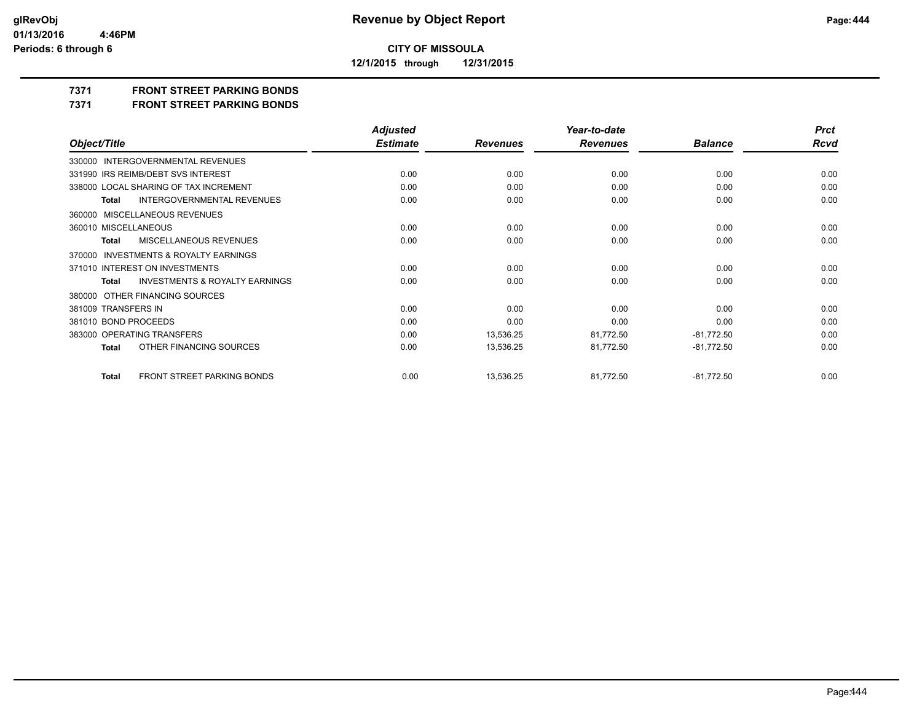**12/1/2015 through 12/31/2015**

### **7371 FRONT STREET PARKING BONDS**

**7371 FRONT STREET PARKING BONDS**

|                                                           | <b>Adjusted</b> |                 | Year-to-date    |                | <b>Prct</b> |
|-----------------------------------------------------------|-----------------|-----------------|-----------------|----------------|-------------|
| Object/Title                                              | <b>Estimate</b> | <b>Revenues</b> | <b>Revenues</b> | <b>Balance</b> | <b>Rcvd</b> |
| 330000 INTERGOVERNMENTAL REVENUES                         |                 |                 |                 |                |             |
| 331990 IRS REIMB/DEBT SVS INTEREST                        | 0.00            | 0.00            | 0.00            | 0.00           | 0.00        |
| 338000 LOCAL SHARING OF TAX INCREMENT                     | 0.00            | 0.00            | 0.00            | 0.00           | 0.00        |
| INTERGOVERNMENTAL REVENUES<br><b>Total</b>                | 0.00            | 0.00            | 0.00            | 0.00           | 0.00        |
| 360000 MISCELLANEOUS REVENUES                             |                 |                 |                 |                |             |
| 360010 MISCELLANEOUS                                      | 0.00            | 0.00            | 0.00            | 0.00           | 0.00        |
| MISCELLANEOUS REVENUES<br>Total                           | 0.00            | 0.00            | 0.00            | 0.00           | 0.00        |
| 370000 INVESTMENTS & ROYALTY EARNINGS                     |                 |                 |                 |                |             |
| 371010 INTEREST ON INVESTMENTS                            | 0.00            | 0.00            | 0.00            | 0.00           | 0.00        |
| <b>INVESTMENTS &amp; ROYALTY EARNINGS</b><br><b>Total</b> | 0.00            | 0.00            | 0.00            | 0.00           | 0.00        |
| 380000 OTHER FINANCING SOURCES                            |                 |                 |                 |                |             |
| 381009 TRANSFERS IN                                       | 0.00            | 0.00            | 0.00            | 0.00           | 0.00        |
| 381010 BOND PROCEEDS                                      | 0.00            | 0.00            | 0.00            | 0.00           | 0.00        |
| 383000 OPERATING TRANSFERS                                | 0.00            | 13,536.25       | 81,772.50       | $-81,772.50$   | 0.00        |
| OTHER FINANCING SOURCES<br><b>Total</b>                   | 0.00            | 13,536.25       | 81,772.50       | $-81,772.50$   | 0.00        |
| FRONT STREET PARKING BONDS<br><b>Total</b>                | 0.00            | 13,536.25       | 81,772.50       | $-81,772.50$   | 0.00        |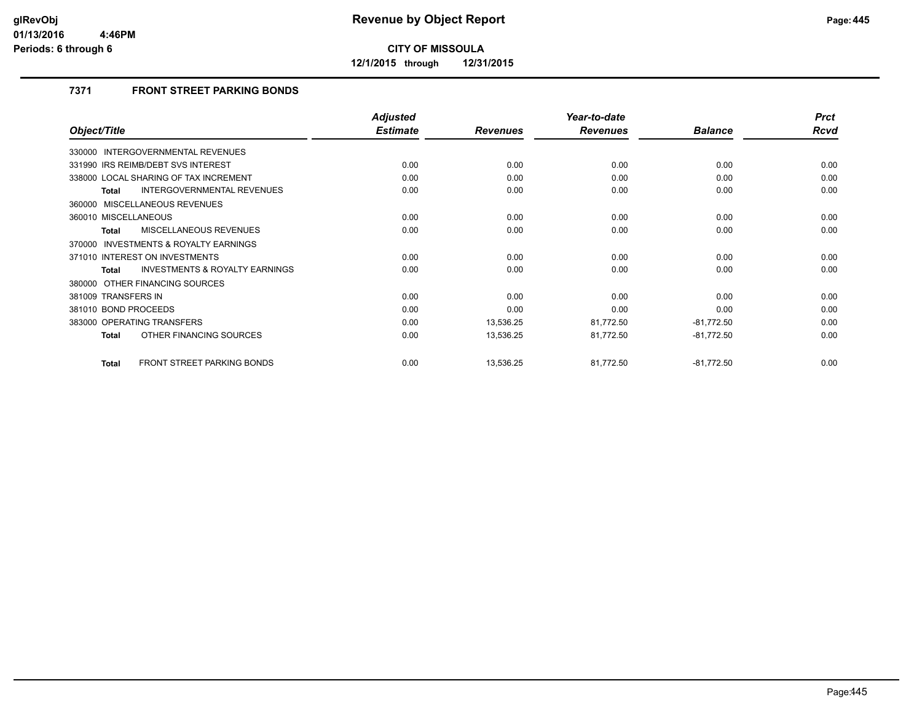**12/1/2015 through 12/31/2015**

### **7371 FRONT STREET PARKING BONDS**

|                                                           | <b>Adjusted</b> |                 | Year-to-date    |                | <b>Prct</b> |
|-----------------------------------------------------------|-----------------|-----------------|-----------------|----------------|-------------|
| Object/Title                                              | <b>Estimate</b> | <b>Revenues</b> | <b>Revenues</b> | <b>Balance</b> | Rcvd        |
| 330000 INTERGOVERNMENTAL REVENUES                         |                 |                 |                 |                |             |
| 331990 IRS REIMB/DEBT SVS INTEREST                        | 0.00            | 0.00            | 0.00            | 0.00           | 0.00        |
| 338000 LOCAL SHARING OF TAX INCREMENT                     | 0.00            | 0.00            | 0.00            | 0.00           | 0.00        |
| INTERGOVERNMENTAL REVENUES<br>Total                       | 0.00            | 0.00            | 0.00            | 0.00           | 0.00        |
| 360000 MISCELLANEOUS REVENUES                             |                 |                 |                 |                |             |
| 360010 MISCELLANEOUS                                      | 0.00            | 0.00            | 0.00            | 0.00           | 0.00        |
| MISCELLANEOUS REVENUES<br><b>Total</b>                    | 0.00            | 0.00            | 0.00            | 0.00           | 0.00        |
| 370000 INVESTMENTS & ROYALTY EARNINGS                     |                 |                 |                 |                |             |
| 371010 INTEREST ON INVESTMENTS                            | 0.00            | 0.00            | 0.00            | 0.00           | 0.00        |
| <b>INVESTMENTS &amp; ROYALTY EARNINGS</b><br><b>Total</b> | 0.00            | 0.00            | 0.00            | 0.00           | 0.00        |
| 380000 OTHER FINANCING SOURCES                            |                 |                 |                 |                |             |
| 381009 TRANSFERS IN                                       | 0.00            | 0.00            | 0.00            | 0.00           | 0.00        |
| 381010 BOND PROCEEDS                                      | 0.00            | 0.00            | 0.00            | 0.00           | 0.00        |
| 383000 OPERATING TRANSFERS                                | 0.00            | 13,536.25       | 81,772.50       | $-81,772.50$   | 0.00        |
| OTHER FINANCING SOURCES<br><b>Total</b>                   | 0.00            | 13,536.25       | 81,772.50       | $-81,772.50$   | 0.00        |
| <b>FRONT STREET PARKING BONDS</b><br><b>Total</b>         | 0.00            | 13,536.25       | 81,772.50       | $-81,772.50$   | 0.00        |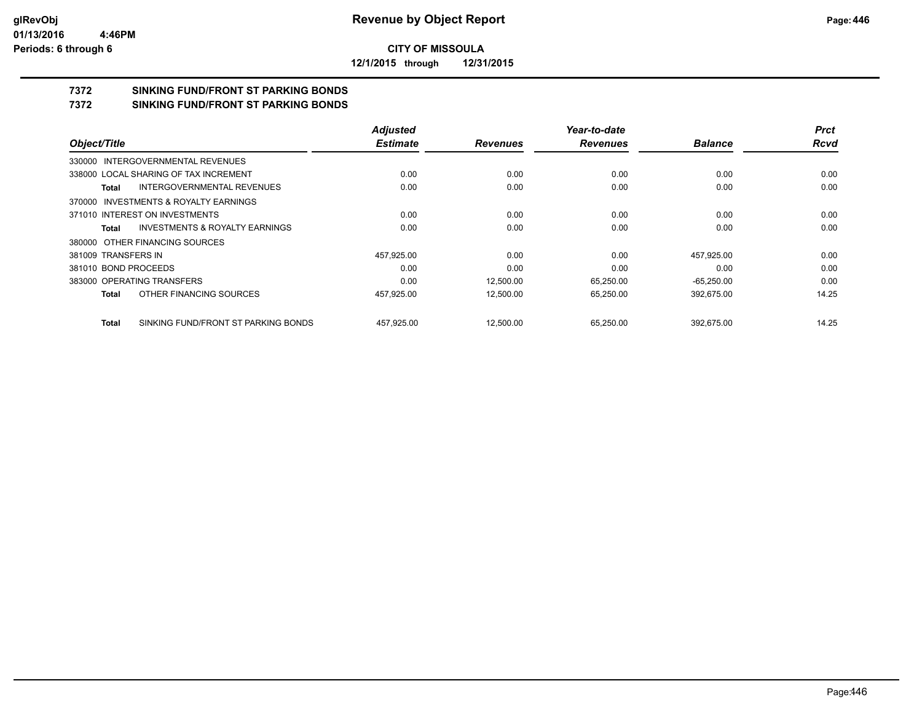**12/1/2015 through 12/31/2015**

## **7372 SINKING FUND/FRONT ST PARKING BONDS**

**7372 SINKING FUND/FRONT ST PARKING BONDS**

|                                       |                                           | <b>Adjusted</b> |                 | Year-to-date    |                | <b>Prct</b> |
|---------------------------------------|-------------------------------------------|-----------------|-----------------|-----------------|----------------|-------------|
| Object/Title                          |                                           | <b>Estimate</b> | <b>Revenues</b> | <b>Revenues</b> | <b>Balance</b> | <b>Rcvd</b> |
| 330000 INTERGOVERNMENTAL REVENUES     |                                           |                 |                 |                 |                |             |
| 338000 LOCAL SHARING OF TAX INCREMENT |                                           | 0.00            | 0.00            | 0.00            | 0.00           | 0.00        |
| Total                                 | <b>INTERGOVERNMENTAL REVENUES</b>         | 0.00            | 0.00            | 0.00            | 0.00           | 0.00        |
| 370000 INVESTMENTS & ROYALTY EARNINGS |                                           |                 |                 |                 |                |             |
| 371010 INTEREST ON INVESTMENTS        |                                           | 0.00            | 0.00            | 0.00            | 0.00           | 0.00        |
| Total                                 | <b>INVESTMENTS &amp; ROYALTY EARNINGS</b> | 0.00            | 0.00            | 0.00            | 0.00           | 0.00        |
| 380000 OTHER FINANCING SOURCES        |                                           |                 |                 |                 |                |             |
| 381009 TRANSFERS IN                   |                                           | 457,925.00      | 0.00            | 0.00            | 457,925.00     | 0.00        |
| 381010 BOND PROCEEDS                  |                                           | 0.00            | 0.00            | 0.00            | 0.00           | 0.00        |
| 383000 OPERATING TRANSFERS            |                                           | 0.00            | 12.500.00       | 65.250.00       | $-65.250.00$   | 0.00        |
| <b>Total</b>                          | OTHER FINANCING SOURCES                   | 457,925.00      | 12.500.00       | 65,250.00       | 392,675.00     | 14.25       |
| <b>Total</b>                          | SINKING FUND/FRONT ST PARKING BONDS       | 457.925.00      | 12.500.00       | 65.250.00       | 392.675.00     | 14.25       |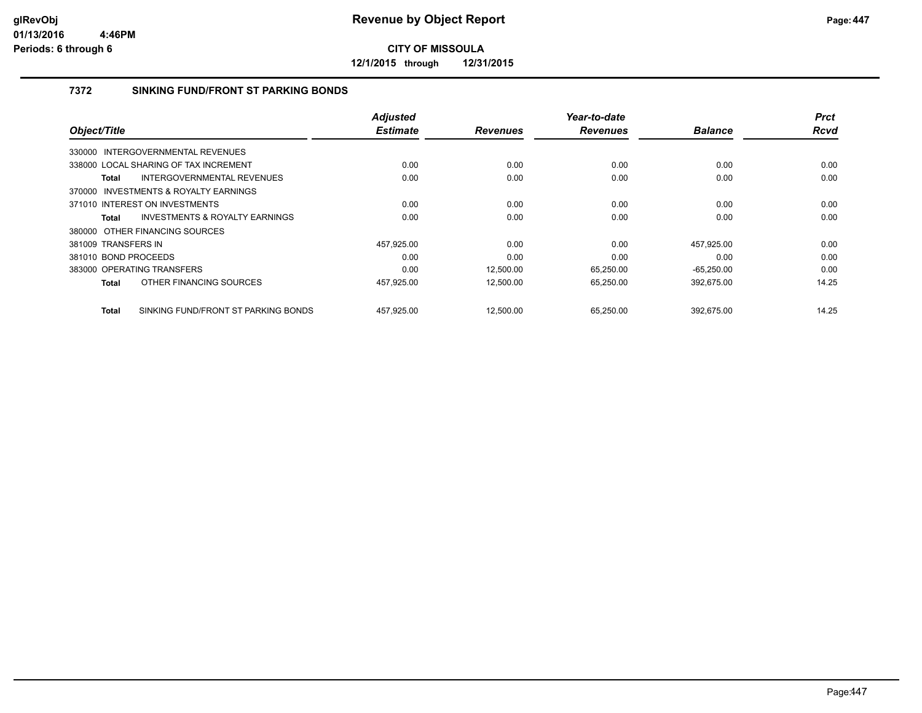**12/1/2015 through 12/31/2015**

#### **7372 SINKING FUND/FRONT ST PARKING BONDS**

|                                                     | <b>Adjusted</b> |                 | Year-to-date    |                | <b>Prct</b> |
|-----------------------------------------------------|-----------------|-----------------|-----------------|----------------|-------------|
| Object/Title                                        | <b>Estimate</b> | <b>Revenues</b> | <b>Revenues</b> | <b>Balance</b> | <b>Rcvd</b> |
| 330000 INTERGOVERNMENTAL REVENUES                   |                 |                 |                 |                |             |
| 338000 LOCAL SHARING OF TAX INCREMENT               | 0.00            | 0.00            | 0.00            | 0.00           | 0.00        |
| INTERGOVERNMENTAL REVENUES<br>Total                 | 0.00            | 0.00            | 0.00            | 0.00           | 0.00        |
| 370000 INVESTMENTS & ROYALTY EARNINGS               |                 |                 |                 |                |             |
| 371010 INTEREST ON INVESTMENTS                      | 0.00            | 0.00            | 0.00            | 0.00           | 0.00        |
| INVESTMENTS & ROYALTY EARNINGS<br>Total             | 0.00            | 0.00            | 0.00            | 0.00           | 0.00        |
| 380000 OTHER FINANCING SOURCES                      |                 |                 |                 |                |             |
| 381009 TRANSFERS IN                                 | 457.925.00      | 0.00            | 0.00            | 457.925.00     | 0.00        |
| 381010 BOND PROCEEDS                                | 0.00            | 0.00            | 0.00            | 0.00           | 0.00        |
| 383000 OPERATING TRANSFERS                          | 0.00            | 12,500.00       | 65,250.00       | $-65,250.00$   | 0.00        |
| OTHER FINANCING SOURCES<br>Total                    | 457,925.00      | 12,500.00       | 65,250.00       | 392,675.00     | 14.25       |
| SINKING FUND/FRONT ST PARKING BONDS<br><b>Total</b> | 457,925.00      | 12.500.00       | 65.250.00       | 392.675.00     | 14.25       |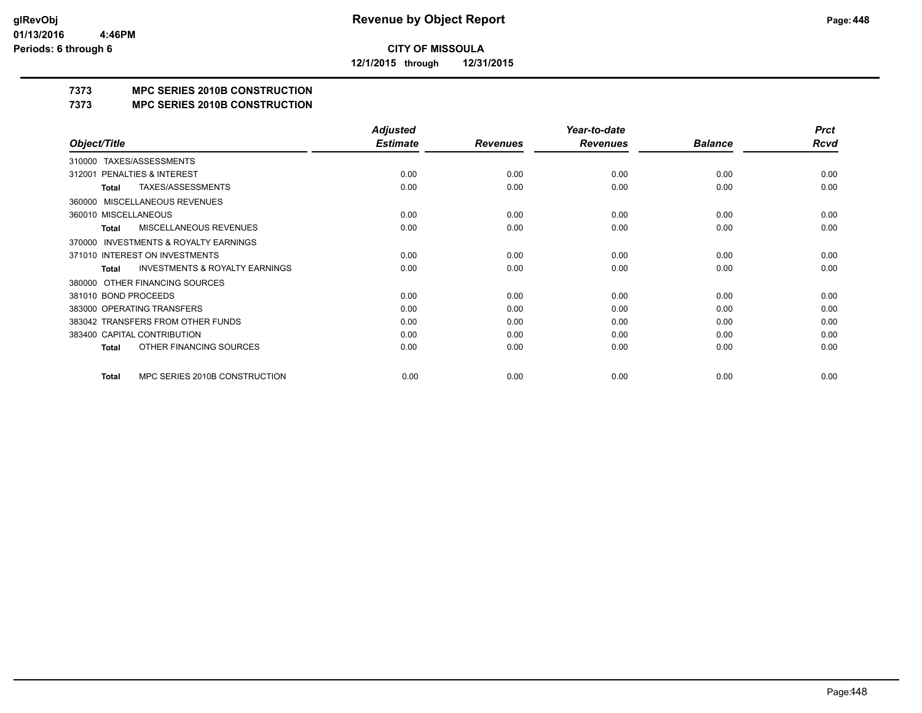**12/1/2015 through 12/31/2015**

## **7373 MPC SERIES 2010B CONSTRUCTION**

#### **7373 MPC SERIES 2010B CONSTRUCTION**

|                                                           | <b>Adjusted</b> |                 | Year-to-date    |                | <b>Prct</b> |
|-----------------------------------------------------------|-----------------|-----------------|-----------------|----------------|-------------|
| Object/Title                                              | <b>Estimate</b> | <b>Revenues</b> | <b>Revenues</b> | <b>Balance</b> | <b>Rcvd</b> |
| TAXES/ASSESSMENTS<br>310000                               |                 |                 |                 |                |             |
| PENALTIES & INTEREST<br>312001                            | 0.00            | 0.00            | 0.00            | 0.00           | 0.00        |
| TAXES/ASSESSMENTS<br><b>Total</b>                         | 0.00            | 0.00            | 0.00            | 0.00           | 0.00        |
| <b>MISCELLANEOUS REVENUES</b><br>360000                   |                 |                 |                 |                |             |
| 360010 MISCELLANEOUS                                      | 0.00            | 0.00            | 0.00            | 0.00           | 0.00        |
| <b>MISCELLANEOUS REVENUES</b><br><b>Total</b>             | 0.00            | 0.00            | 0.00            | 0.00           | 0.00        |
| <b>INVESTMENTS &amp; ROYALTY EARNINGS</b><br>370000       |                 |                 |                 |                |             |
| 371010 INTEREST ON INVESTMENTS                            | 0.00            | 0.00            | 0.00            | 0.00           | 0.00        |
| <b>INVESTMENTS &amp; ROYALTY EARNINGS</b><br><b>Total</b> | 0.00            | 0.00            | 0.00            | 0.00           | 0.00        |
| OTHER FINANCING SOURCES<br>380000                         |                 |                 |                 |                |             |
| 381010 BOND PROCEEDS                                      | 0.00            | 0.00            | 0.00            | 0.00           | 0.00        |
| 383000 OPERATING TRANSFERS                                | 0.00            | 0.00            | 0.00            | 0.00           | 0.00        |
| 383042 TRANSFERS FROM OTHER FUNDS                         | 0.00            | 0.00            | 0.00            | 0.00           | 0.00        |
| 383400 CAPITAL CONTRIBUTION                               | 0.00            | 0.00            | 0.00            | 0.00           | 0.00        |
| OTHER FINANCING SOURCES<br><b>Total</b>                   | 0.00            | 0.00            | 0.00            | 0.00           | 0.00        |
| MPC SERIES 2010B CONSTRUCTION<br>Total                    | 0.00            | 0.00            | 0.00            | 0.00           | 0.00        |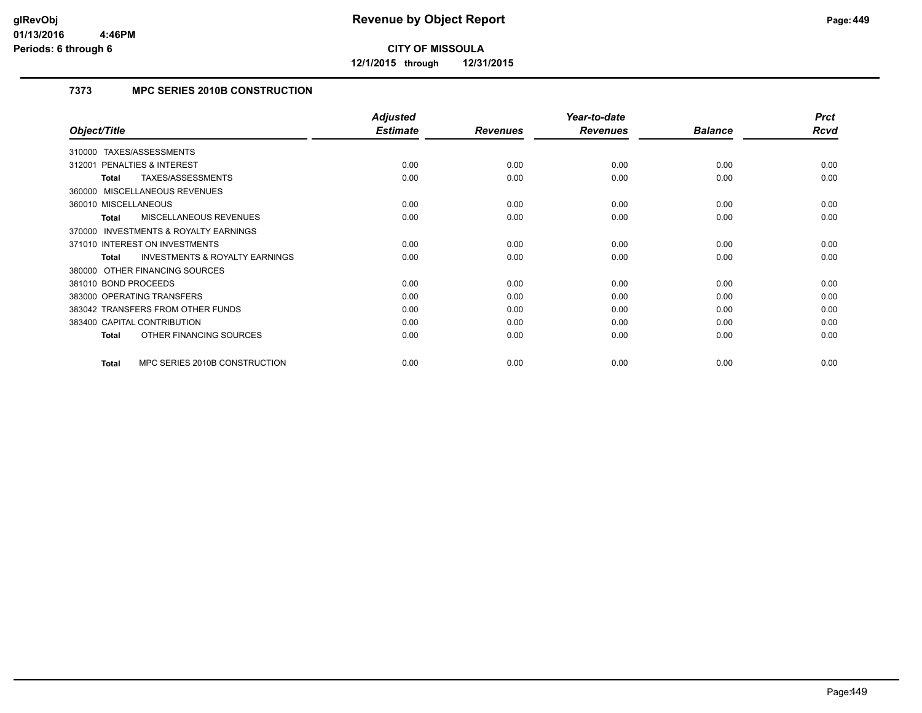**12/1/2015 through 12/31/2015**

### **7373 MPC SERIES 2010B CONSTRUCTION**

|                                                           | <b>Adjusted</b> |                 | Year-to-date    |                | <b>Prct</b> |
|-----------------------------------------------------------|-----------------|-----------------|-----------------|----------------|-------------|
| Object/Title                                              | <b>Estimate</b> | <b>Revenues</b> | <b>Revenues</b> | <b>Balance</b> | Rcvd        |
| TAXES/ASSESSMENTS<br>310000                               |                 |                 |                 |                |             |
| <b>PENALTIES &amp; INTEREST</b><br>312001                 | 0.00            | 0.00            | 0.00            | 0.00           | 0.00        |
| TAXES/ASSESSMENTS<br>Total                                | 0.00            | 0.00            | 0.00            | 0.00           | 0.00        |
| 360000 MISCELLANEOUS REVENUES                             |                 |                 |                 |                |             |
| 360010 MISCELLANEOUS                                      | 0.00            | 0.00            | 0.00            | 0.00           | 0.00        |
| <b>MISCELLANEOUS REVENUES</b><br><b>Total</b>             | 0.00            | 0.00            | 0.00            | 0.00           | 0.00        |
| <b>INVESTMENTS &amp; ROYALTY EARNINGS</b><br>370000       |                 |                 |                 |                |             |
| 371010 INTEREST ON INVESTMENTS                            | 0.00            | 0.00            | 0.00            | 0.00           | 0.00        |
| <b>INVESTMENTS &amp; ROYALTY EARNINGS</b><br><b>Total</b> | 0.00            | 0.00            | 0.00            | 0.00           | 0.00        |
| 380000 OTHER FINANCING SOURCES                            |                 |                 |                 |                |             |
| 381010 BOND PROCEEDS                                      | 0.00            | 0.00            | 0.00            | 0.00           | 0.00        |
| 383000 OPERATING TRANSFERS                                | 0.00            | 0.00            | 0.00            | 0.00           | 0.00        |
| 383042 TRANSFERS FROM OTHER FUNDS                         | 0.00            | 0.00            | 0.00            | 0.00           | 0.00        |
| 383400 CAPITAL CONTRIBUTION                               | 0.00            | 0.00            | 0.00            | 0.00           | 0.00        |
| OTHER FINANCING SOURCES<br><b>Total</b>                   | 0.00            | 0.00            | 0.00            | 0.00           | 0.00        |
| MPC SERIES 2010B CONSTRUCTION<br><b>Total</b>             | 0.00            | 0.00            | 0.00            | 0.00           | 0.00        |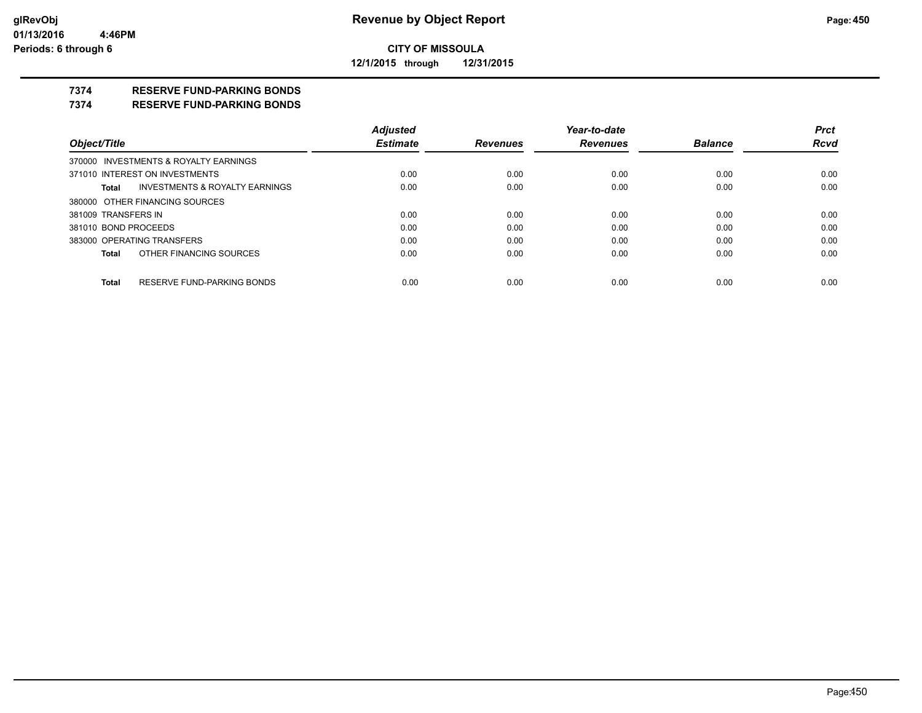**12/1/2015 through 12/31/2015**

#### **7374 RESERVE FUND-PARKING BONDS**

#### **7374 RESERVE FUND-PARKING BONDS**

|                                                    | <b>Adjusted</b> |                 | Year-to-date    |                | <b>Prct</b> |
|----------------------------------------------------|-----------------|-----------------|-----------------|----------------|-------------|
| Object/Title                                       | <b>Estimate</b> | <b>Revenues</b> | <b>Revenues</b> | <b>Balance</b> | <b>Rcvd</b> |
| 370000 INVESTMENTS & ROYALTY EARNINGS              |                 |                 |                 |                |             |
| 371010 INTEREST ON INVESTMENTS                     | 0.00            | 0.00            | 0.00            | 0.00           | 0.00        |
| <b>INVESTMENTS &amp; ROYALTY EARNINGS</b><br>Total | 0.00            | 0.00            | 0.00            | 0.00           | 0.00        |
| 380000 OTHER FINANCING SOURCES                     |                 |                 |                 |                |             |
| 381009 TRANSFERS IN                                | 0.00            | 0.00            | 0.00            | 0.00           | 0.00        |
| 381010 BOND PROCEEDS                               | 0.00            | 0.00            | 0.00            | 0.00           | 0.00        |
| 383000 OPERATING TRANSFERS                         | 0.00            | 0.00            | 0.00            | 0.00           | 0.00        |
| OTHER FINANCING SOURCES<br>Total                   | 0.00            | 0.00            | 0.00            | 0.00           | 0.00        |
| RESERVE FUND-PARKING BONDS                         |                 |                 |                 |                |             |
| Total                                              | 0.00            | 0.00            | 0.00            | 0.00           | 0.00        |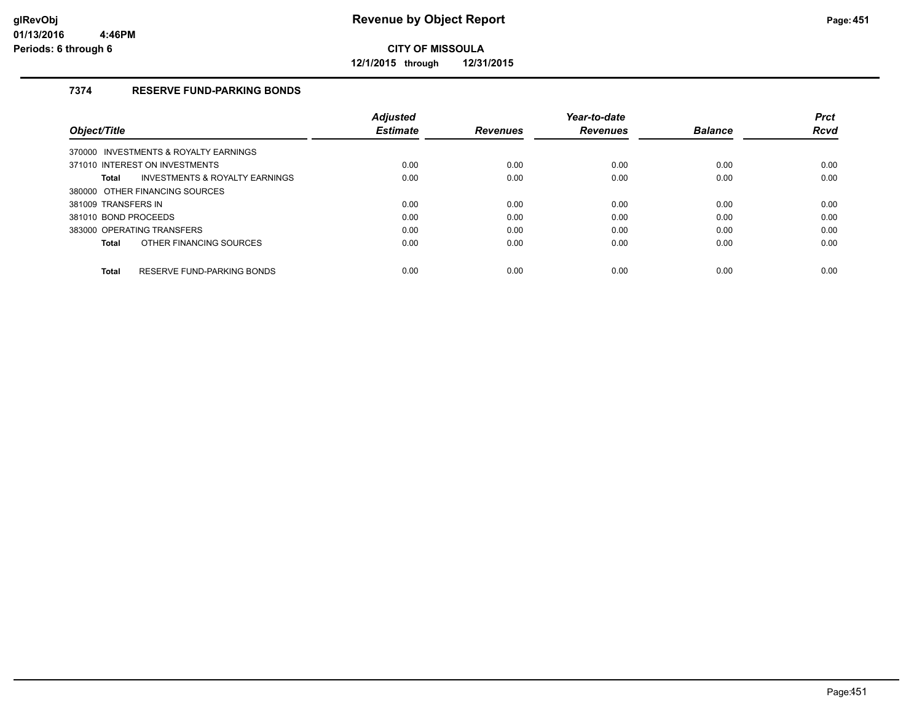**12/1/2015 through 12/31/2015**

#### **7374 RESERVE FUND-PARKING BONDS**

|                                                | <b>Adjusted</b> |                 | Year-to-date    |                | <b>Prct</b> |
|------------------------------------------------|-----------------|-----------------|-----------------|----------------|-------------|
| Object/Title                                   | <b>Estimate</b> | <b>Revenues</b> | <b>Revenues</b> | <b>Balance</b> | <b>Rcvd</b> |
| 370000 INVESTMENTS & ROYALTY EARNINGS          |                 |                 |                 |                |             |
| 371010 INTEREST ON INVESTMENTS                 | 0.00            | 0.00            | 0.00            | 0.00           | 0.00        |
| INVESTMENTS & ROYALTY EARNINGS<br><b>Total</b> | 0.00            | 0.00            | 0.00            | 0.00           | 0.00        |
| 380000 OTHER FINANCING SOURCES                 |                 |                 |                 |                |             |
| 381009 TRANSFERS IN                            | 0.00            | 0.00            | 0.00            | 0.00           | 0.00        |
| 381010 BOND PROCEEDS                           | 0.00            | 0.00            | 0.00            | 0.00           | 0.00        |
| 383000 OPERATING TRANSFERS                     | 0.00            | 0.00            | 0.00            | 0.00           | 0.00        |
| OTHER FINANCING SOURCES<br>Total               | 0.00            | 0.00            | 0.00            | 0.00           | 0.00        |
| RESERVE FUND-PARKING BONDS<br><b>Total</b>     | 0.00            | 0.00            | 0.00            | 0.00           | 0.00        |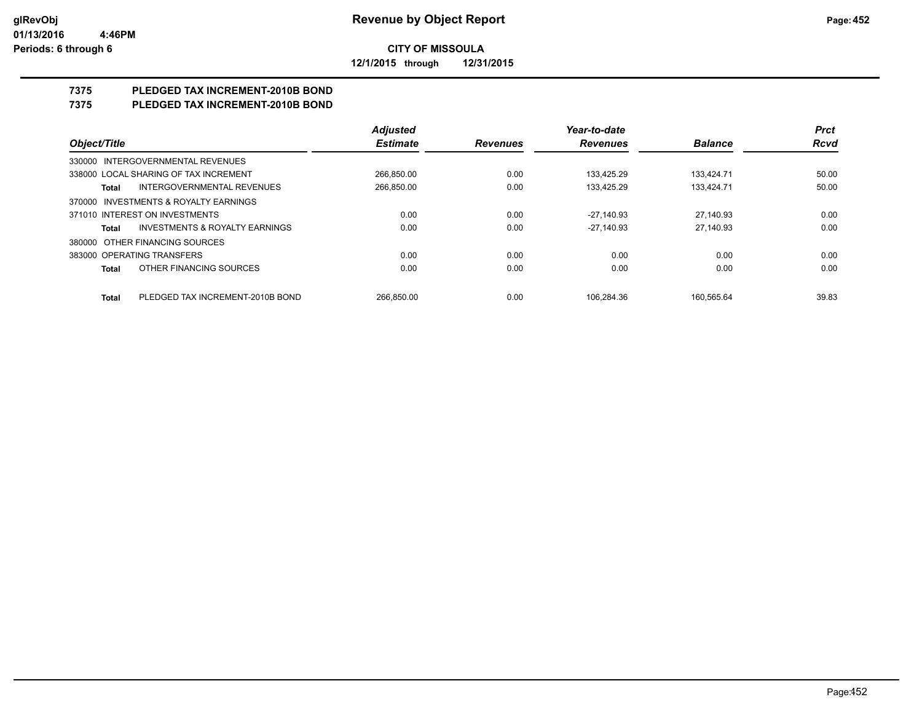**12/1/2015 through 12/31/2015**

# **7375 PLEDGED TAX INCREMENT-2010B BOND**

## **7375 PLEDGED TAX INCREMENT-2010B BOND**

|                                                    | <b>Adjusted</b> |                 | Year-to-date    |                | <b>Prct</b> |
|----------------------------------------------------|-----------------|-----------------|-----------------|----------------|-------------|
| Object/Title                                       | <b>Estimate</b> | <b>Revenues</b> | <b>Revenues</b> | <b>Balance</b> | <b>Rcvd</b> |
| 330000 INTERGOVERNMENTAL REVENUES                  |                 |                 |                 |                |             |
| 338000 LOCAL SHARING OF TAX INCREMENT              | 266,850.00      | 0.00            | 133.425.29      | 133,424.71     | 50.00       |
| INTERGOVERNMENTAL REVENUES<br>Total                | 266,850.00      | 0.00            | 133.425.29      | 133.424.71     | 50.00       |
| 370000 INVESTMENTS & ROYALTY EARNINGS              |                 |                 |                 |                |             |
| 371010 INTEREST ON INVESTMENTS                     | 0.00            | 0.00            | $-27.140.93$    | 27.140.93      | 0.00        |
| <b>INVESTMENTS &amp; ROYALTY EARNINGS</b><br>Total | 0.00            | 0.00            | $-27.140.93$    | 27.140.93      | 0.00        |
| 380000 OTHER FINANCING SOURCES                     |                 |                 |                 |                |             |
| 383000 OPERATING TRANSFERS                         | 0.00            | 0.00            | 0.00            | 0.00           | 0.00        |
| OTHER FINANCING SOURCES<br><b>Total</b>            | 0.00            | 0.00            | 0.00            | 0.00           | 0.00        |
| PLEDGED TAX INCREMENT-2010B BOND<br><b>Total</b>   | 266.850.00      | 0.00            | 106.284.36      | 160.565.64     | 39.83       |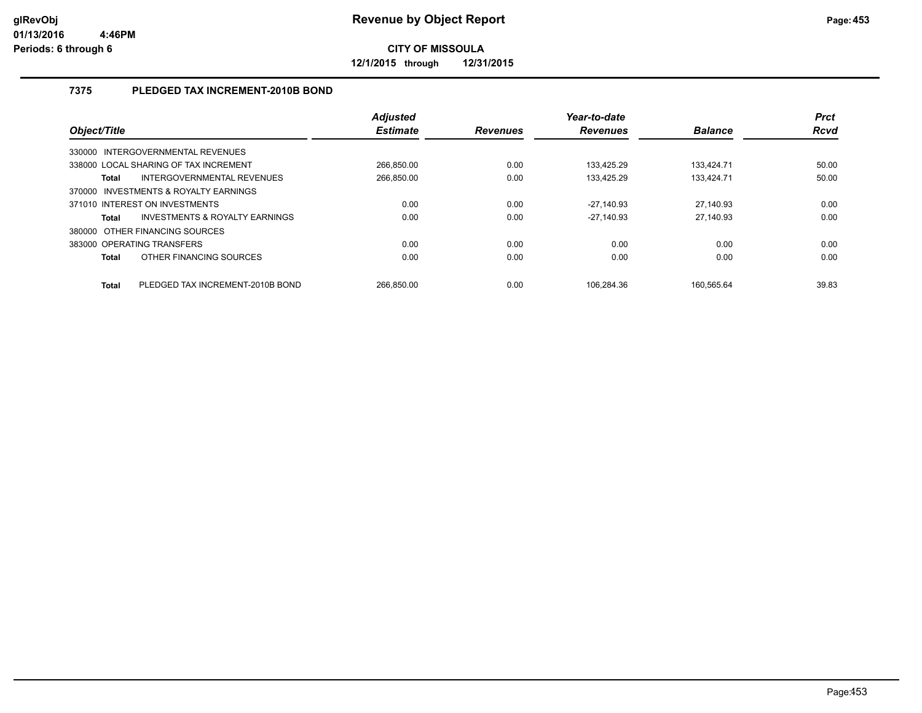**12/1/2015 through 12/31/2015**

#### **7375 PLEDGED TAX INCREMENT-2010B BOND**

| Object/Title                   |                                           | <b>Adjusted</b><br><b>Estimate</b> | <b>Revenues</b> | Year-to-date<br><b>Revenues</b> | <b>Balance</b> | <b>Prct</b><br><b>Rcvd</b> |
|--------------------------------|-------------------------------------------|------------------------------------|-----------------|---------------------------------|----------------|----------------------------|
| 330000                         | INTERGOVERNMENTAL REVENUES                |                                    |                 |                                 |                |                            |
|                                | 338000 LOCAL SHARING OF TAX INCREMENT     | 266.850.00                         | 0.00            | 133.425.29                      | 133.424.71     | 50.00                      |
| Total                          | INTERGOVERNMENTAL REVENUES                | 266.850.00                         | 0.00            | 133.425.29                      | 133.424.71     | 50.00                      |
| 370000                         | <b>INVESTMENTS &amp; ROYALTY EARNINGS</b> |                                    |                 |                                 |                |                            |
| 371010 INTEREST ON INVESTMENTS |                                           | 0.00                               | 0.00            | $-27.140.93$                    | 27,140.93      | 0.00                       |
| <b>Total</b>                   | INVESTMENTS & ROYALTY EARNINGS            | 0.00                               | 0.00            | $-27.140.93$                    | 27.140.93      | 0.00                       |
| 380000                         | OTHER FINANCING SOURCES                   |                                    |                 |                                 |                |                            |
| 383000 OPERATING TRANSFERS     |                                           | 0.00                               | 0.00            | 0.00                            | 0.00           | 0.00                       |
| <b>Total</b>                   | OTHER FINANCING SOURCES                   | 0.00                               | 0.00            | 0.00                            | 0.00           | 0.00                       |
| <b>Total</b>                   | PLEDGED TAX INCREMENT-2010B BOND          | 266.850.00                         | 0.00            | 106.284.36                      | 160.565.64     | 39.83                      |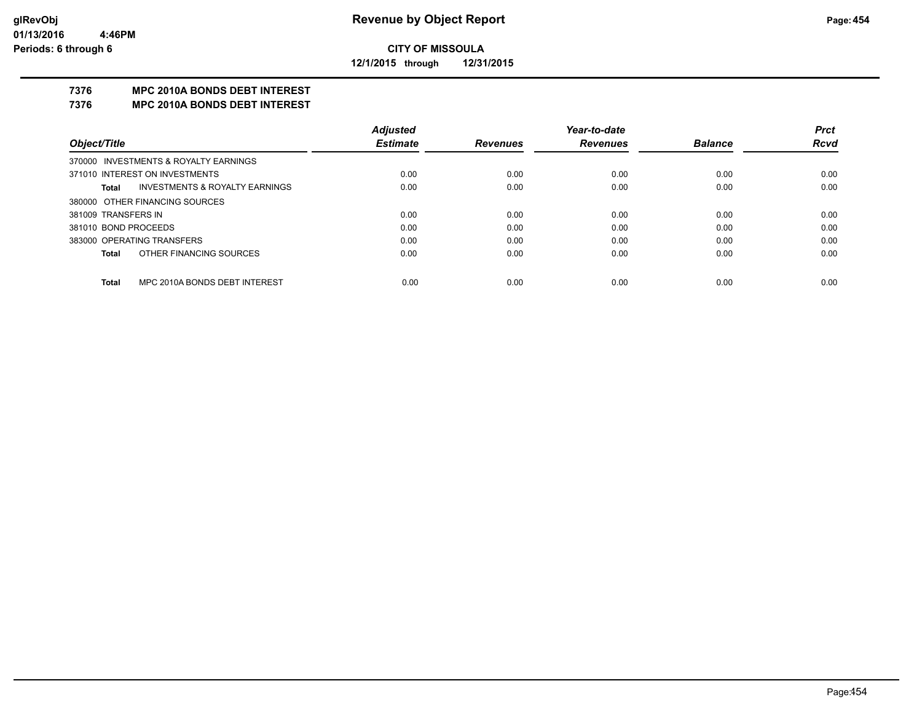**12/1/2015 through 12/31/2015**

#### **7376 MPC 2010A BONDS DEBT INTEREST**

#### **7376 MPC 2010A BONDS DEBT INTEREST**

|                      |                                       | <b>Adjusted</b> |                 | Year-to-date    |                | <b>Prct</b> |
|----------------------|---------------------------------------|-----------------|-----------------|-----------------|----------------|-------------|
| Object/Title         |                                       | <b>Estimate</b> | <b>Revenues</b> | <b>Revenues</b> | <b>Balance</b> | <b>Rcvd</b> |
|                      | 370000 INVESTMENTS & ROYALTY EARNINGS |                 |                 |                 |                |             |
|                      | 371010 INTEREST ON INVESTMENTS        | 0.00            | 0.00            | 0.00            | 0.00           | 0.00        |
| Total                | INVESTMENTS & ROYALTY EARNINGS        | 0.00            | 0.00            | 0.00            | 0.00           | 0.00        |
|                      | 380000 OTHER FINANCING SOURCES        |                 |                 |                 |                |             |
| 381009 TRANSFERS IN  |                                       | 0.00            | 0.00            | 0.00            | 0.00           | 0.00        |
| 381010 BOND PROCEEDS |                                       | 0.00            | 0.00            | 0.00            | 0.00           | 0.00        |
|                      | 383000 OPERATING TRANSFERS            | 0.00            | 0.00            | 0.00            | 0.00           | 0.00        |
| Total                | OTHER FINANCING SOURCES               | 0.00            | 0.00            | 0.00            | 0.00           | 0.00        |
| Total                | MPC 2010A BONDS DEBT INTEREST         | 0.00            | 0.00            | 0.00            | 0.00           | 0.00        |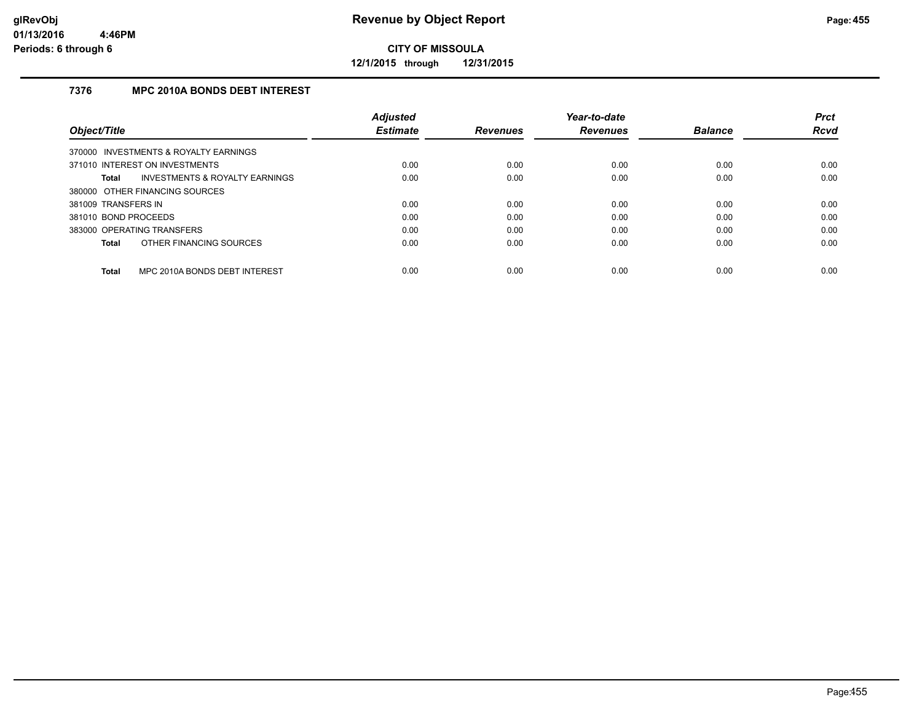**12/1/2015 through 12/31/2015**

#### **7376 MPC 2010A BONDS DEBT INTEREST**

|                                               | <b>Adjusted</b> |                 | Year-to-date    |                | <b>Prct</b> |
|-----------------------------------------------|-----------------|-----------------|-----------------|----------------|-------------|
| Object/Title                                  | <b>Estimate</b> | <b>Revenues</b> | <b>Revenues</b> | <b>Balance</b> | <b>Rcvd</b> |
| 370000 INVESTMENTS & ROYALTY EARNINGS         |                 |                 |                 |                |             |
| 371010 INTEREST ON INVESTMENTS                | 0.00            | 0.00            | 0.00            | 0.00           | 0.00        |
| INVESTMENTS & ROYALTY EARNINGS<br>Total       | 0.00            | 0.00            | 0.00            | 0.00           | 0.00        |
| 380000 OTHER FINANCING SOURCES                |                 |                 |                 |                |             |
| 381009 TRANSFERS IN                           | 0.00            | 0.00            | 0.00            | 0.00           | 0.00        |
| 381010 BOND PROCEEDS                          | 0.00            | 0.00            | 0.00            | 0.00           | 0.00        |
| 383000 OPERATING TRANSFERS                    | 0.00            | 0.00            | 0.00            | 0.00           | 0.00        |
| OTHER FINANCING SOURCES<br>Total              | 0.00            | 0.00            | 0.00            | 0.00           | 0.00        |
| MPC 2010A BONDS DEBT INTEREST<br><b>Total</b> | 0.00            | 0.00            | 0.00            | 0.00           | 0.00        |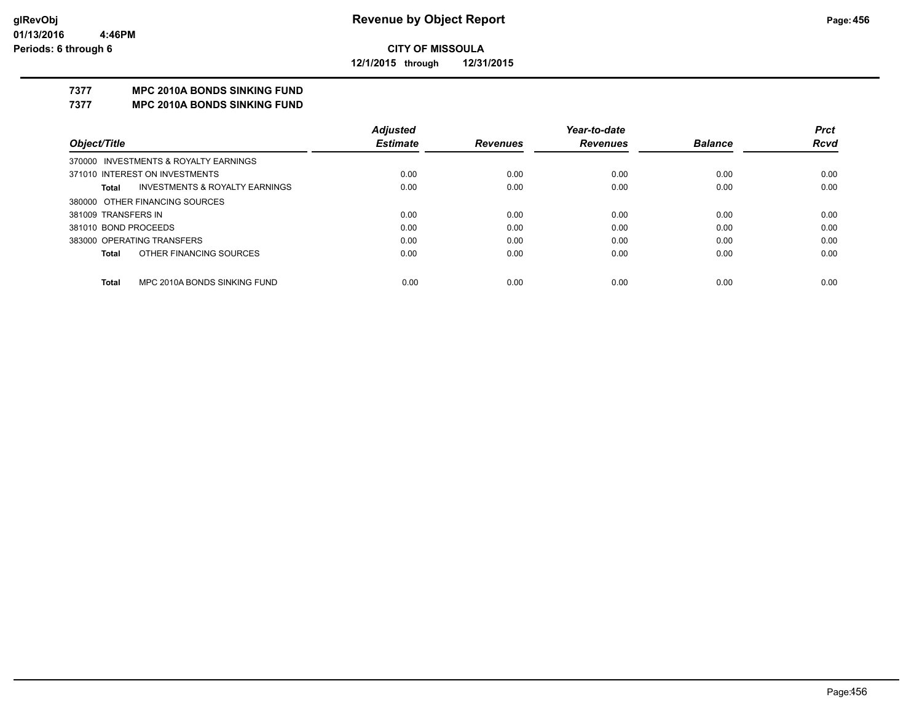**12/1/2015 through 12/31/2015**

## **7377 MPC 2010A BONDS SINKING FUND**

**7377 MPC 2010A BONDS SINKING FUND**

|                                         | <b>Adjusted</b> |                 | Year-to-date    |                | <b>Prct</b> |
|-----------------------------------------|-----------------|-----------------|-----------------|----------------|-------------|
| Object/Title                            | <b>Estimate</b> | <b>Revenues</b> | <b>Revenues</b> | <b>Balance</b> | <b>Rcvd</b> |
| 370000 INVESTMENTS & ROYALTY EARNINGS   |                 |                 |                 |                |             |
| 371010 INTEREST ON INVESTMENTS          | 0.00            | 0.00            | 0.00            | 0.00           | 0.00        |
| INVESTMENTS & ROYALTY EARNINGS<br>Total | 0.00            | 0.00            | 0.00            | 0.00           | 0.00        |
| 380000 OTHER FINANCING SOURCES          |                 |                 |                 |                |             |
| 381009 TRANSFERS IN                     | 0.00            | 0.00            | 0.00            | 0.00           | 0.00        |
| 381010 BOND PROCEEDS                    | 0.00            | 0.00            | 0.00            | 0.00           | 0.00        |
| 383000 OPERATING TRANSFERS              | 0.00            | 0.00            | 0.00            | 0.00           | 0.00        |
| OTHER FINANCING SOURCES<br>Total        | 0.00            | 0.00            | 0.00            | 0.00           | 0.00        |
| MPC 2010A BONDS SINKING FUND            |                 |                 |                 |                |             |
| <b>Total</b>                            | 0.00            | 0.00            | 0.00            | 0.00           | 0.00        |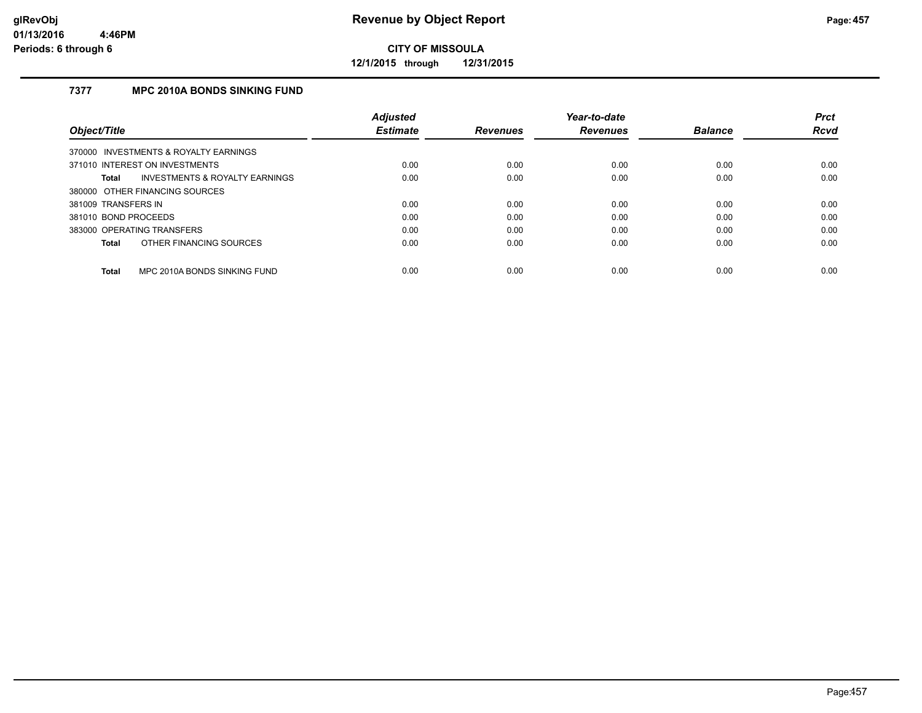**12/1/2015 through 12/31/2015**

#### **7377 MPC 2010A BONDS SINKING FUND**

|                                       |                                | <b>Adjusted</b> |                 | Year-to-date    |                | <b>Prct</b> |
|---------------------------------------|--------------------------------|-----------------|-----------------|-----------------|----------------|-------------|
| Object/Title                          |                                | <b>Estimate</b> | <b>Revenues</b> | <b>Revenues</b> | <b>Balance</b> | <b>Rcvd</b> |
| 370000 INVESTMENTS & ROYALTY EARNINGS |                                |                 |                 |                 |                |             |
| 371010 INTEREST ON INVESTMENTS        |                                | 0.00            | 0.00            | 0.00            | 0.00           | 0.00        |
| Total                                 | INVESTMENTS & ROYALTY EARNINGS | 0.00            | 0.00            | 0.00            | 0.00           | 0.00        |
| 380000 OTHER FINANCING SOURCES        |                                |                 |                 |                 |                |             |
| 381009 TRANSFERS IN                   |                                | 0.00            | 0.00            | 0.00            | 0.00           | 0.00        |
| 381010 BOND PROCEEDS                  |                                | 0.00            | 0.00            | 0.00            | 0.00           | 0.00        |
| 383000 OPERATING TRANSFERS            |                                | 0.00            | 0.00            | 0.00            | 0.00           | 0.00        |
| Total                                 | OTHER FINANCING SOURCES        | 0.00            | 0.00            | 0.00            | 0.00           | 0.00        |
| <b>Total</b>                          | MPC 2010A BONDS SINKING FUND   | 0.00            | 0.00            | 0.00            | 0.00           | 0.00        |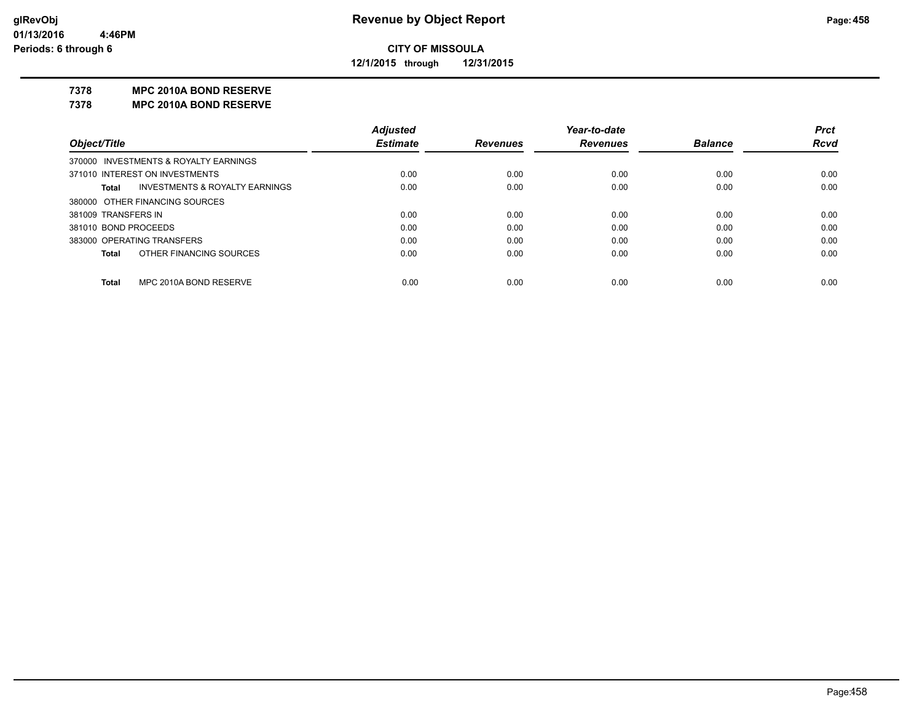**12/1/2015 through 12/31/2015**

#### **7378 MPC 2010A BOND RESERVE**

**7378 MPC 2010A BOND RESERVE**

|                                         | <b>Adjusted</b> |                 | Year-to-date    |                | <b>Prct</b> |
|-----------------------------------------|-----------------|-----------------|-----------------|----------------|-------------|
| Object/Title                            | <b>Estimate</b> | <b>Revenues</b> | <b>Revenues</b> | <b>Balance</b> | <b>Rcvd</b> |
| 370000 INVESTMENTS & ROYALTY EARNINGS   |                 |                 |                 |                |             |
| 371010 INTEREST ON INVESTMENTS          | 0.00            | 0.00            | 0.00            | 0.00           | 0.00        |
| INVESTMENTS & ROYALTY EARNINGS<br>Total | 0.00            | 0.00            | 0.00            | 0.00           | 0.00        |
| 380000 OTHER FINANCING SOURCES          |                 |                 |                 |                |             |
| 381009 TRANSFERS IN                     | 0.00            | 0.00            | 0.00            | 0.00           | 0.00        |
| 381010 BOND PROCEEDS                    | 0.00            | 0.00            | 0.00            | 0.00           | 0.00        |
| 383000 OPERATING TRANSFERS              | 0.00            | 0.00            | 0.00            | 0.00           | 0.00        |
| OTHER FINANCING SOURCES<br>Total        | 0.00            | 0.00            | 0.00            | 0.00           | 0.00        |
|                                         |                 |                 |                 |                | 0.00        |
| MPC 2010A BOND RESERVE<br>Total         | 0.00            | 0.00            | 0.00            | 0.00           |             |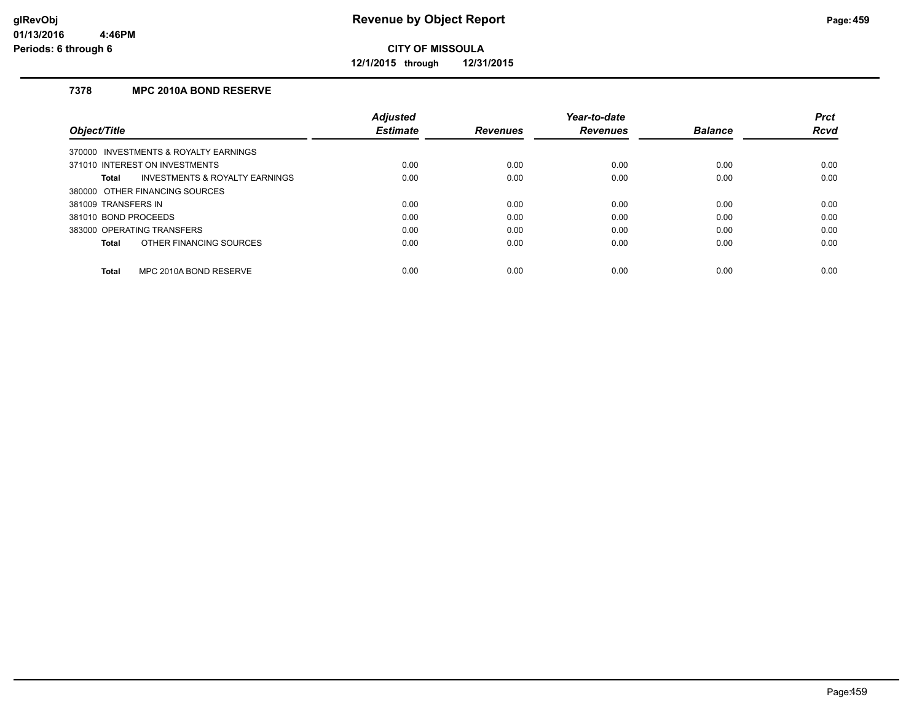**12/1/2015 through 12/31/2015**

#### **7378 MPC 2010A BOND RESERVE**

|                                         | <b>Adjusted</b> |                 | Year-to-date    |                | <b>Prct</b> |
|-----------------------------------------|-----------------|-----------------|-----------------|----------------|-------------|
| Object/Title                            | <b>Estimate</b> | <b>Revenues</b> | <b>Revenues</b> | <b>Balance</b> | <b>Rcvd</b> |
| 370000 INVESTMENTS & ROYALTY EARNINGS   |                 |                 |                 |                |             |
| 371010 INTEREST ON INVESTMENTS          | 0.00            | 0.00            | 0.00            | 0.00           | 0.00        |
| INVESTMENTS & ROYALTY EARNINGS<br>Total | 0.00            | 0.00            | 0.00            | 0.00           | 0.00        |
| 380000 OTHER FINANCING SOURCES          |                 |                 |                 |                |             |
| 381009 TRANSFERS IN                     | 0.00            | 0.00            | 0.00            | 0.00           | 0.00        |
| 381010 BOND PROCEEDS                    | 0.00            | 0.00            | 0.00            | 0.00           | 0.00        |
| 383000 OPERATING TRANSFERS              | 0.00            | 0.00            | 0.00            | 0.00           | 0.00        |
| OTHER FINANCING SOURCES<br>Total        | 0.00            | 0.00            | 0.00            | 0.00           | 0.00        |
| MPC 2010A BOND RESERVE<br><b>Total</b>  | 0.00            | 0.00            | 0.00            | 0.00           | 0.00        |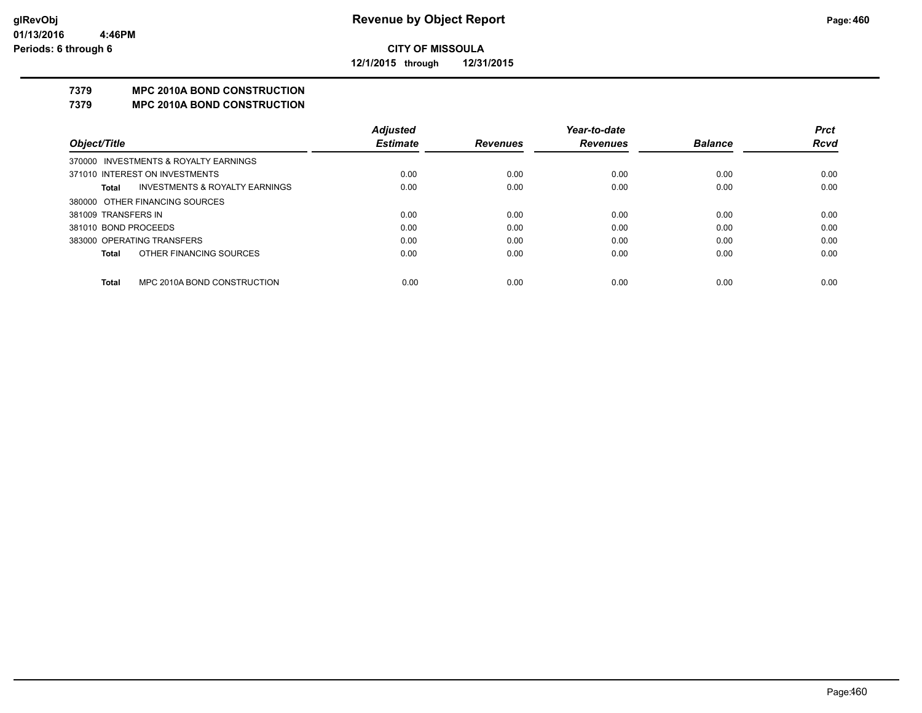**12/1/2015 through 12/31/2015**

## **7379 MPC 2010A BOND CONSTRUCTION**

#### **7379 MPC 2010A BOND CONSTRUCTION**

|                                       | <b>Adjusted</b>             |                 | Year-to-date    |                | <b>Prct</b> |
|---------------------------------------|-----------------------------|-----------------|-----------------|----------------|-------------|
|                                       | <b>Estimate</b>             | <b>Revenues</b> | <b>Revenues</b> | <b>Balance</b> | <b>Rcvd</b> |
| 370000 INVESTMENTS & ROYALTY EARNINGS |                             |                 |                 |                |             |
| 371010 INTEREST ON INVESTMENTS        | 0.00                        | 0.00            | 0.00            | 0.00           | 0.00        |
| INVESTMENTS & ROYALTY EARNINGS        | 0.00                        | 0.00            | 0.00            | 0.00           | 0.00        |
| 380000 OTHER FINANCING SOURCES        |                             |                 |                 |                |             |
| 381009 TRANSFERS IN                   | 0.00                        | 0.00            | 0.00            | 0.00           | 0.00        |
| 381010 BOND PROCEEDS                  | 0.00                        | 0.00            | 0.00            | 0.00           | 0.00        |
| 383000 OPERATING TRANSFERS            | 0.00                        | 0.00            | 0.00            | 0.00           | 0.00        |
| OTHER FINANCING SOURCES               | 0.00                        | 0.00            | 0.00            | 0.00           | 0.00        |
|                                       |                             |                 |                 |                | 0.00        |
|                                       | MPC 2010A BOND CONSTRUCTION | 0.00            | 0.00            | 0.00           | 0.00        |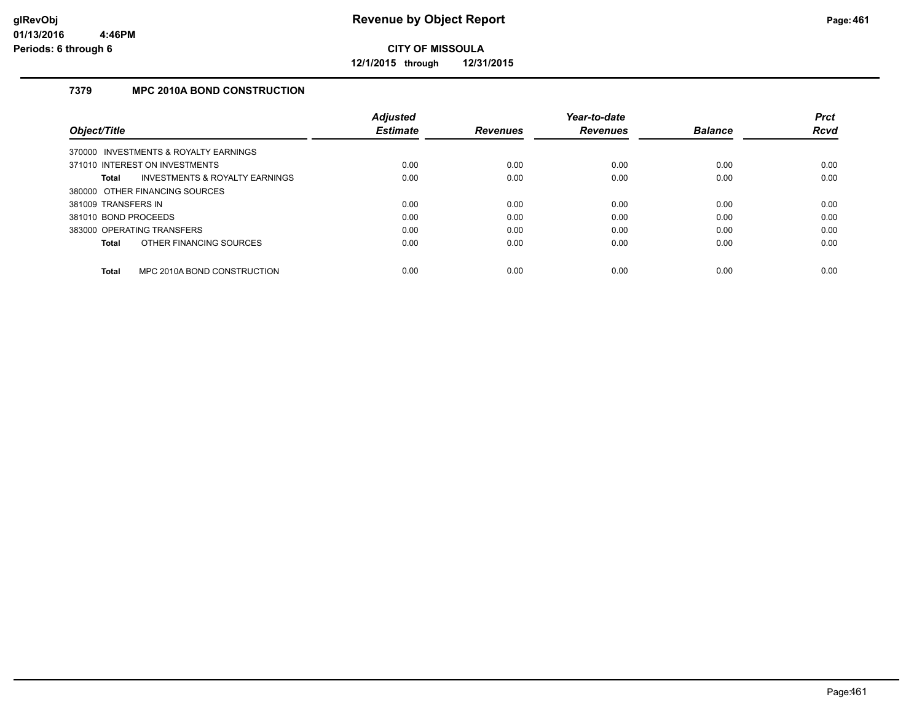**12/1/2015 through 12/31/2015**

### **7379 MPC 2010A BOND CONSTRUCTION**

|                                             | <b>Adjusted</b> |                 | Year-to-date    |                | <b>Prct</b> |
|---------------------------------------------|-----------------|-----------------|-----------------|----------------|-------------|
| Object/Title                                | <b>Estimate</b> | <b>Revenues</b> | <b>Revenues</b> | <b>Balance</b> | Rcvd        |
| 370000 INVESTMENTS & ROYALTY EARNINGS       |                 |                 |                 |                |             |
| 371010 INTEREST ON INVESTMENTS              | 0.00            | 0.00            | 0.00            | 0.00           | 0.00        |
| INVESTMENTS & ROYALTY EARNINGS<br>Total     | 0.00            | 0.00            | 0.00            | 0.00           | 0.00        |
| 380000 OTHER FINANCING SOURCES              |                 |                 |                 |                |             |
| 381009 TRANSFERS IN                         | 0.00            | 0.00            | 0.00            | 0.00           | 0.00        |
| 381010 BOND PROCEEDS                        | 0.00            | 0.00            | 0.00            | 0.00           | 0.00        |
| 383000 OPERATING TRANSFERS                  | 0.00            | 0.00            | 0.00            | 0.00           | 0.00        |
| OTHER FINANCING SOURCES<br>Total            | 0.00            | 0.00            | 0.00            | 0.00           | 0.00        |
| MPC 2010A BOND CONSTRUCTION<br><b>Total</b> | 0.00            | 0.00            | 0.00            | 0.00           | 0.00        |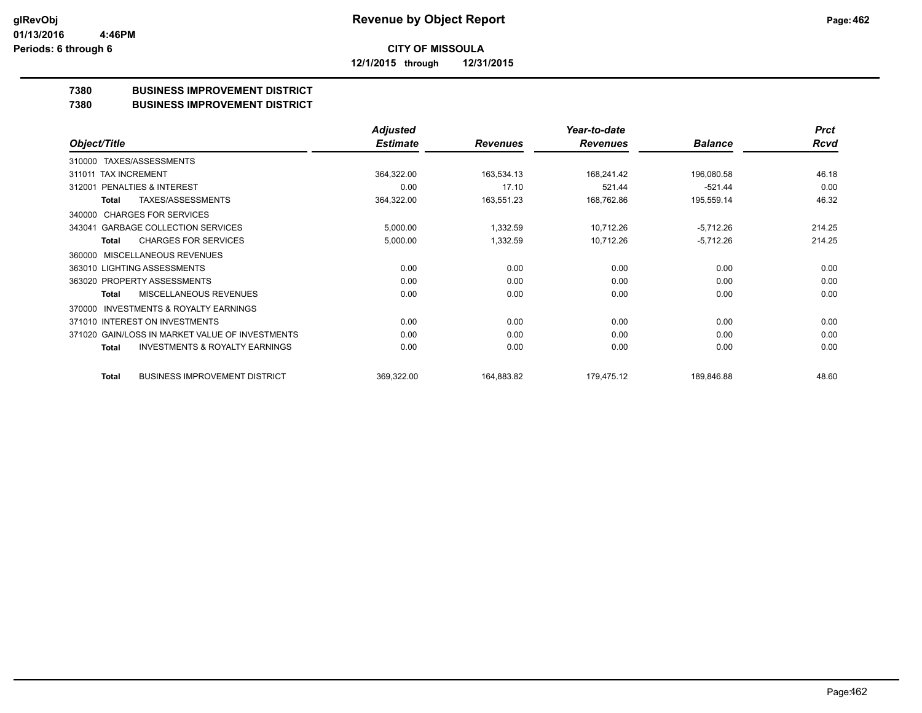**12/1/2015 through 12/31/2015**

#### **7380 BUSINESS IMPROVEMENT DISTRICT**

#### **7380 BUSINESS IMPROVEMENT DISTRICT**

|                                                     | <b>Adjusted</b> |                 | Year-to-date    |                | <b>Prct</b> |
|-----------------------------------------------------|-----------------|-----------------|-----------------|----------------|-------------|
| Object/Title                                        | <b>Estimate</b> | <b>Revenues</b> | <b>Revenues</b> | <b>Balance</b> | <b>Rcvd</b> |
| TAXES/ASSESSMENTS<br>310000                         |                 |                 |                 |                |             |
| 311011 TAX INCREMENT                                | 364,322.00      | 163,534.13      | 168,241.42      | 196,080.58     | 46.18       |
| PENALTIES & INTEREST<br>312001                      | 0.00            | 17.10           | 521.44          | $-521.44$      | 0.00        |
| <b>TAXES/ASSESSMENTS</b><br>Total                   | 364,322.00      | 163,551.23      | 168,762.86      | 195,559.14     | 46.32       |
| <b>CHARGES FOR SERVICES</b><br>340000               |                 |                 |                 |                |             |
| <b>GARBAGE COLLECTION SERVICES</b><br>343041        | 5,000.00        | 1,332.59        | 10,712.26       | $-5,712.26$    | 214.25      |
| <b>CHARGES FOR SERVICES</b><br><b>Total</b>         | 5,000.00        | 1,332.59        | 10,712.26       | $-5,712.26$    | 214.25      |
| MISCELLANEOUS REVENUES<br>360000                    |                 |                 |                 |                |             |
| 363010 LIGHTING ASSESSMENTS                         | 0.00            | 0.00            | 0.00            | 0.00           | 0.00        |
| 363020 PROPERTY ASSESSMENTS                         | 0.00            | 0.00            | 0.00            | 0.00           | 0.00        |
| MISCELLANEOUS REVENUES<br>Total                     | 0.00            | 0.00            | 0.00            | 0.00           | 0.00        |
| <b>INVESTMENTS &amp; ROYALTY EARNINGS</b><br>370000 |                 |                 |                 |                |             |
| 371010 INTEREST ON INVESTMENTS                      | 0.00            | 0.00            | 0.00            | 0.00           | 0.00        |
| 371020 GAIN/LOSS IN MARKET VALUE OF INVESTMENTS     | 0.00            | 0.00            | 0.00            | 0.00           | 0.00        |
| <b>INVESTMENTS &amp; ROYALTY EARNINGS</b><br>Total  | 0.00            | 0.00            | 0.00            | 0.00           | 0.00        |
| <b>BUSINESS IMPROVEMENT DISTRICT</b><br>Total       | 369,322.00      | 164,883.82      | 179,475.12      | 189,846.88     | 48.60       |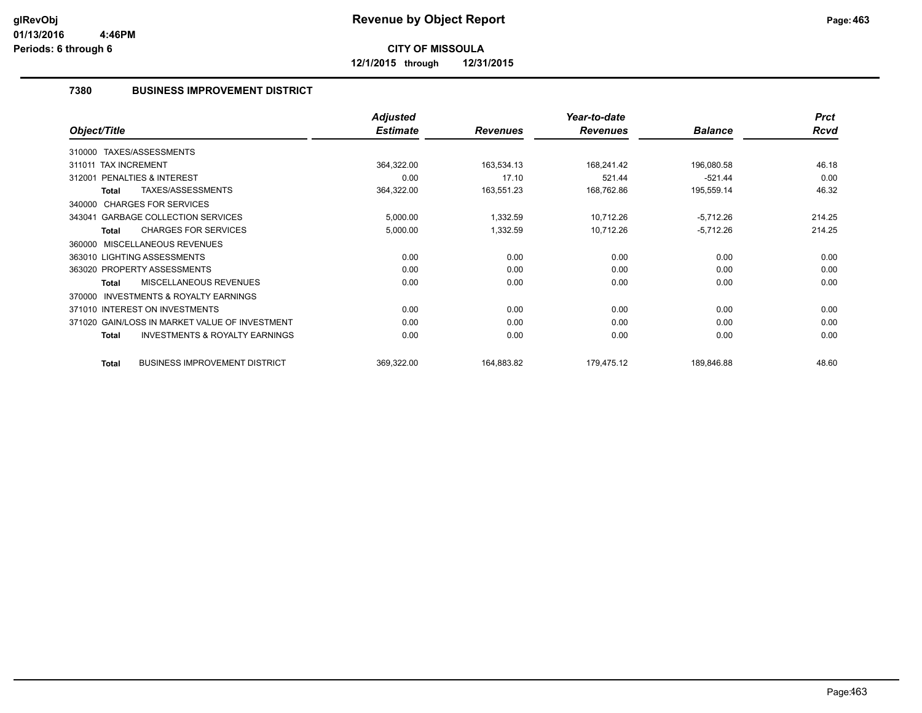**12/1/2015 through 12/31/2015**

#### **7380 BUSINESS IMPROVEMENT DISTRICT**

|                                                           | <b>Adjusted</b> |                 | Year-to-date    |                | <b>Prct</b> |
|-----------------------------------------------------------|-----------------|-----------------|-----------------|----------------|-------------|
| Object/Title                                              | <b>Estimate</b> | <b>Revenues</b> | <b>Revenues</b> | <b>Balance</b> | <b>Rcvd</b> |
| TAXES/ASSESSMENTS<br>310000                               |                 |                 |                 |                |             |
| <b>TAX INCREMENT</b><br>311011                            | 364,322.00      | 163,534.13      | 168,241.42      | 196,080.58     | 46.18       |
| PENALTIES & INTEREST<br>312001                            | 0.00            | 17.10           | 521.44          | $-521.44$      | 0.00        |
| TAXES/ASSESSMENTS<br>Total                                | 364,322.00      | 163,551.23      | 168,762.86      | 195,559.14     | 46.32       |
| <b>CHARGES FOR SERVICES</b><br>340000                     |                 |                 |                 |                |             |
| <b>GARBAGE COLLECTION SERVICES</b><br>343041              | 5,000.00        | 1,332.59        | 10,712.26       | $-5,712.26$    | 214.25      |
| <b>CHARGES FOR SERVICES</b><br><b>Total</b>               | 5,000.00        | 1,332.59        | 10,712.26       | $-5,712.26$    | 214.25      |
| MISCELLANEOUS REVENUES<br>360000                          |                 |                 |                 |                |             |
| 363010 LIGHTING ASSESSMENTS                               | 0.00            | 0.00            | 0.00            | 0.00           | 0.00        |
| 363020 PROPERTY ASSESSMENTS                               | 0.00            | 0.00            | 0.00            | 0.00           | 0.00        |
| MISCELLANEOUS REVENUES<br><b>Total</b>                    | 0.00            | 0.00            | 0.00            | 0.00           | 0.00        |
| <b>INVESTMENTS &amp; ROYALTY EARNINGS</b><br>370000       |                 |                 |                 |                |             |
| 371010 INTEREST ON INVESTMENTS                            | 0.00            | 0.00            | 0.00            | 0.00           | 0.00        |
| 371020 GAIN/LOSS IN MARKET VALUE OF INVESTMENT            | 0.00            | 0.00            | 0.00            | 0.00           | 0.00        |
| <b>INVESTMENTS &amp; ROYALTY EARNINGS</b><br><b>Total</b> | 0.00            | 0.00            | 0.00            | 0.00           | 0.00        |
| <b>BUSINESS IMPROVEMENT DISTRICT</b><br><b>Total</b>      | 369,322.00      | 164,883.82      | 179,475.12      | 189,846.88     | 48.60       |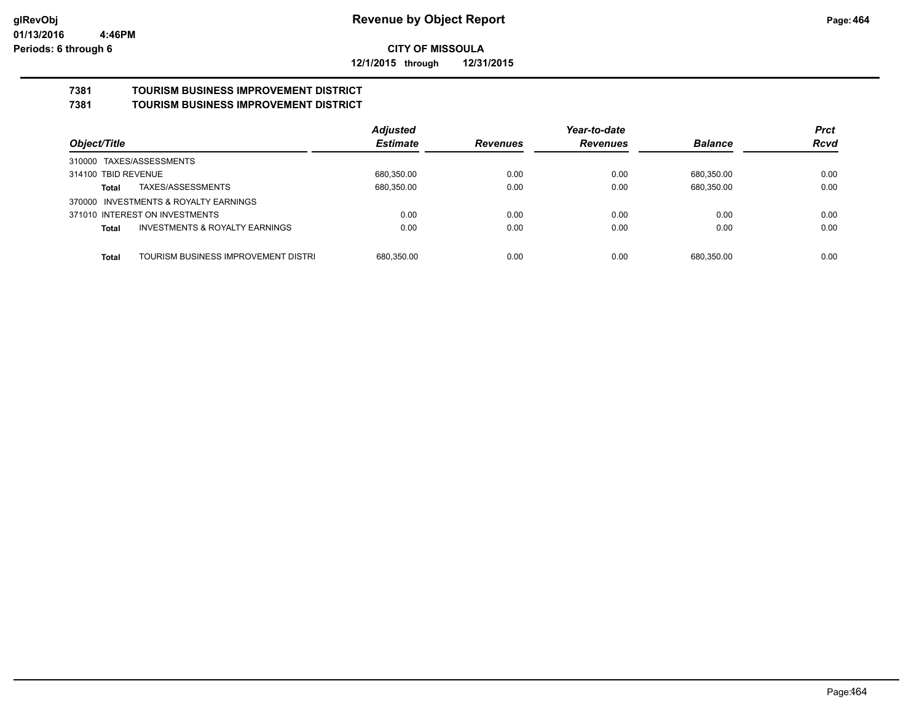**12/1/2015 through 12/31/2015**

#### **7381 TOURISM BUSINESS IMPROVEMENT DISTRICT 7381 TOURISM BUSINESS IMPROVEMENT DISTRICT**

|                                                           | <b>Adjusted</b> |          | Year-to-date    |                | <b>Prct</b> |
|-----------------------------------------------------------|-----------------|----------|-----------------|----------------|-------------|
| Object/Title                                              | <b>Estimate</b> | Revenues | <b>Revenues</b> | <b>Balance</b> | <b>Rcvd</b> |
| 310000 TAXES/ASSESSMENTS                                  |                 |          |                 |                |             |
| 314100 TBID REVENUE                                       | 680,350.00      | 0.00     | 0.00            | 680.350.00     | 0.00        |
| TAXES/ASSESSMENTS<br>Total                                | 680,350.00      | 0.00     | 0.00            | 680,350.00     | 0.00        |
| INVESTMENTS & ROYALTY EARNINGS<br>370000                  |                 |          |                 |                |             |
| 371010 INTEREST ON INVESTMENTS                            | 0.00            | 0.00     | 0.00            | 0.00           | 0.00        |
| <b>INVESTMENTS &amp; ROYALTY EARNINGS</b><br><b>Total</b> | 0.00            | 0.00     | 0.00            | 0.00           | 0.00        |
| TOURISM BUSINESS IMPROVEMENT DISTRI<br><b>Total</b>       | 680.350.00      | 0.00     | 0.00            | 680.350.00     | 0.00        |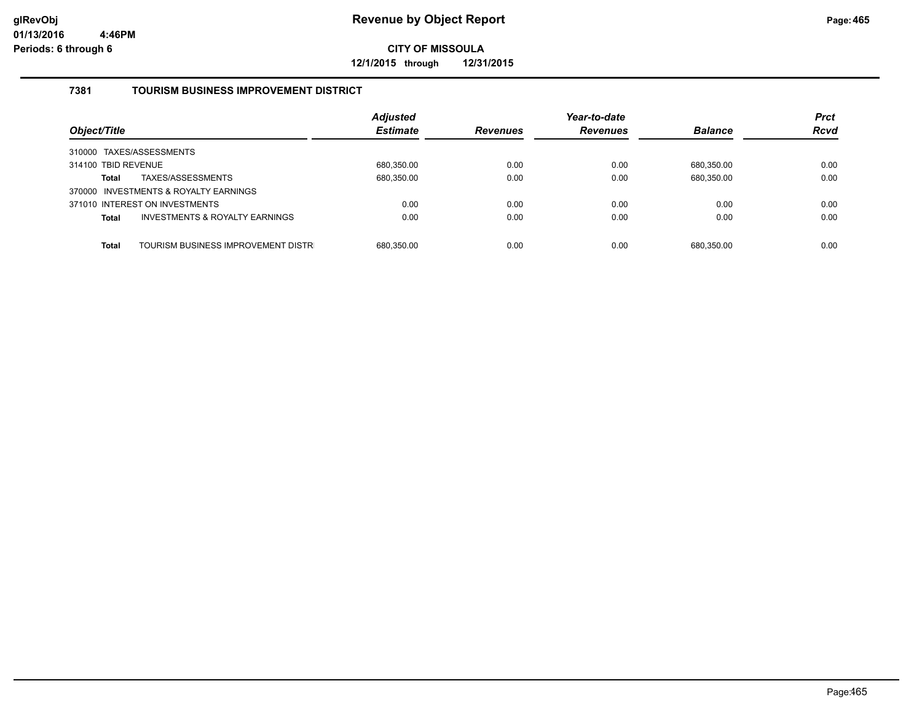**12/1/2015 through 12/31/2015**

#### **7381 TOURISM BUSINESS IMPROVEMENT DISTRICT**

| Object/Title                                              | <b>Adjusted</b><br><b>Estimate</b> | <b>Revenues</b> | Year-to-date<br><b>Revenues</b> | <b>Balance</b> | <b>Prct</b><br><b>Rcvd</b> |
|-----------------------------------------------------------|------------------------------------|-----------------|---------------------------------|----------------|----------------------------|
| 310000 TAXES/ASSESSMENTS                                  |                                    |                 |                                 |                |                            |
| 314100 TBID REVENUE                                       | 680,350.00                         | 0.00            | 0.00                            | 680.350.00     | 0.00                       |
| TAXES/ASSESSMENTS<br><b>Total</b>                         | 680,350.00                         | 0.00            | 0.00                            | 680,350.00     | 0.00                       |
| 370000 INVESTMENTS & ROYALTY EARNINGS                     |                                    |                 |                                 |                |                            |
| 371010 INTEREST ON INVESTMENTS                            | 0.00                               | 0.00            | 0.00                            | 0.00           | 0.00                       |
| <b>INVESTMENTS &amp; ROYALTY EARNINGS</b><br><b>Total</b> | 0.00                               | 0.00            | 0.00                            | 0.00           | 0.00                       |
|                                                           |                                    |                 |                                 |                |                            |
| TOURISM BUSINESS IMPROVEMENT DISTR<br><b>Total</b>        | 680.350.00                         | 0.00            | 0.00                            | 680.350.00     | 0.00                       |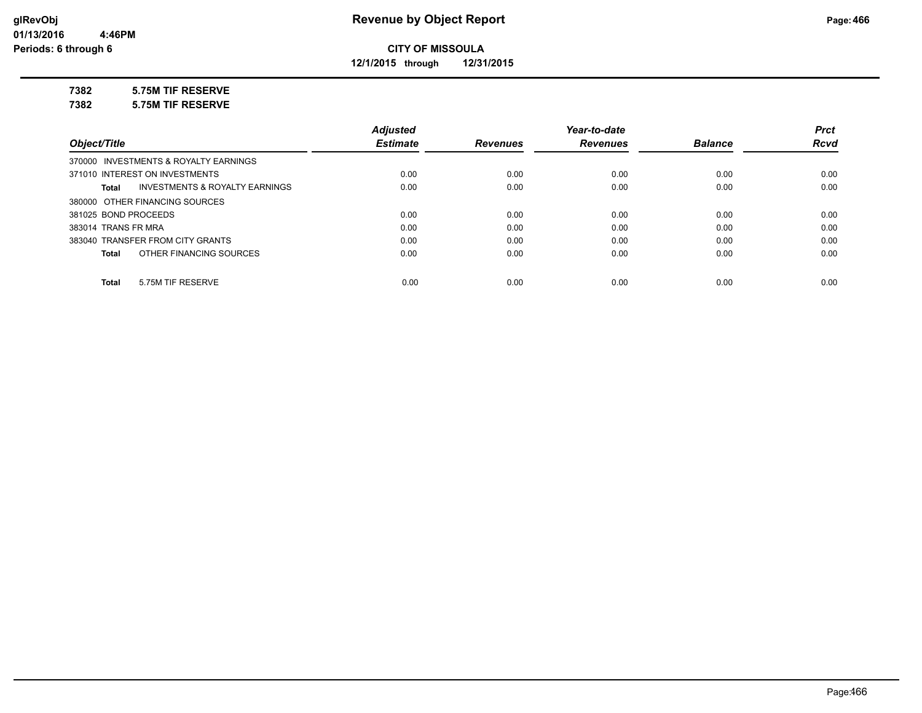**12/1/2015 through 12/31/2015**

#### **7382 5.75M TIF RESERVE**

**7382 5.75M TIF RESERVE**

|                                         | <b>Adjusted</b> |                 | Year-to-date    |                | <b>Prct</b> |
|-----------------------------------------|-----------------|-----------------|-----------------|----------------|-------------|
| Object/Title                            | <b>Estimate</b> | <b>Revenues</b> | <b>Revenues</b> | <b>Balance</b> | <b>Rcvd</b> |
| 370000 INVESTMENTS & ROYALTY EARNINGS   |                 |                 |                 |                |             |
| 371010 INTEREST ON INVESTMENTS          | 0.00            | 0.00            | 0.00            | 0.00           | 0.00        |
| INVESTMENTS & ROYALTY EARNINGS<br>Total | 0.00            | 0.00            | 0.00            | 0.00           | 0.00        |
| 380000 OTHER FINANCING SOURCES          |                 |                 |                 |                |             |
| 381025 BOND PROCEEDS                    | 0.00            | 0.00            | 0.00            | 0.00           | 0.00        |
| 383014 TRANS FR MRA                     | 0.00            | 0.00            | 0.00            | 0.00           | 0.00        |
| 383040 TRANSFER FROM CITY GRANTS        | 0.00            | 0.00            | 0.00            | 0.00           | 0.00        |
| OTHER FINANCING SOURCES<br>Total        | 0.00            | 0.00            | 0.00            | 0.00           | 0.00        |
|                                         |                 |                 |                 |                |             |
| 5.75M TIF RESERVE<br>Total              | 0.00            | 0.00            | 0.00            | 0.00           | 0.00        |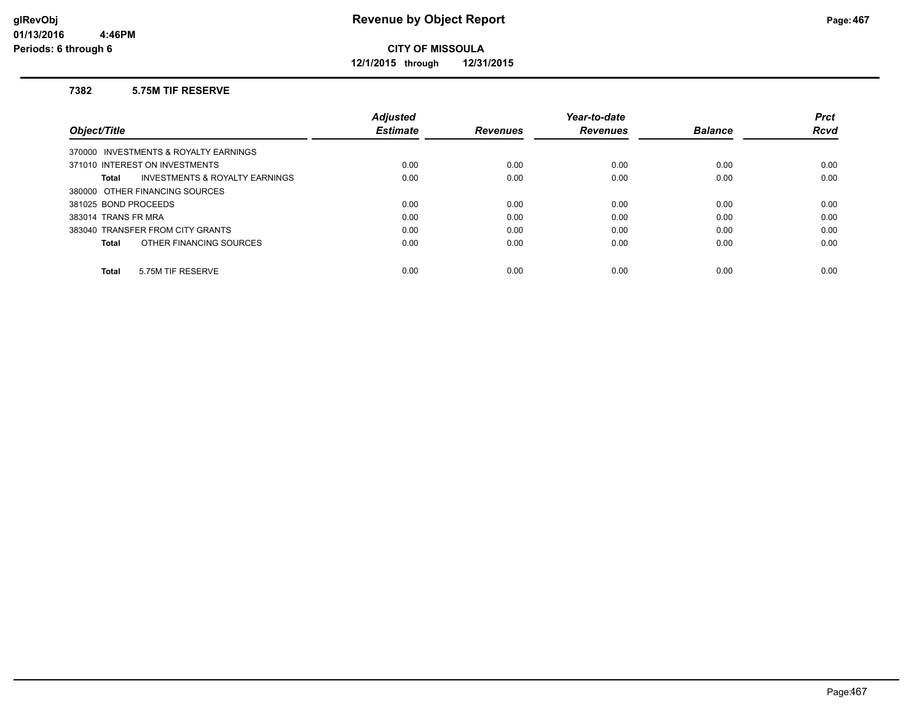**12/1/2015 through 12/31/2015**

#### **7382 5.75M TIF RESERVE**

|                                         | <b>Adjusted</b> |                 | Year-to-date    |                | <b>Prct</b> |
|-----------------------------------------|-----------------|-----------------|-----------------|----------------|-------------|
| Object/Title                            | <b>Estimate</b> | <b>Revenues</b> | <b>Revenues</b> | <b>Balance</b> | <b>Rcvd</b> |
| 370000 INVESTMENTS & ROYALTY EARNINGS   |                 |                 |                 |                |             |
| 371010 INTEREST ON INVESTMENTS          | 0.00            | 0.00            | 0.00            | 0.00           | 0.00        |
| INVESTMENTS & ROYALTY EARNINGS<br>Total | 0.00            | 0.00            | 0.00            | 0.00           | 0.00        |
| 380000 OTHER FINANCING SOURCES          |                 |                 |                 |                |             |
| 381025 BOND PROCEEDS                    | 0.00            | 0.00            | 0.00            | 0.00           | 0.00        |
| 383014 TRANS FR MRA                     | 0.00            | 0.00            | 0.00            | 0.00           | 0.00        |
| 383040 TRANSFER FROM CITY GRANTS        | 0.00            | 0.00            | 0.00            | 0.00           | 0.00        |
| OTHER FINANCING SOURCES<br>Total        | 0.00            | 0.00            | 0.00            | 0.00           | 0.00        |
|                                         |                 |                 |                 |                |             |
| 5.75M TIF RESERVE<br>Total              | 0.00            | 0.00            | 0.00            | 0.00           | 0.00        |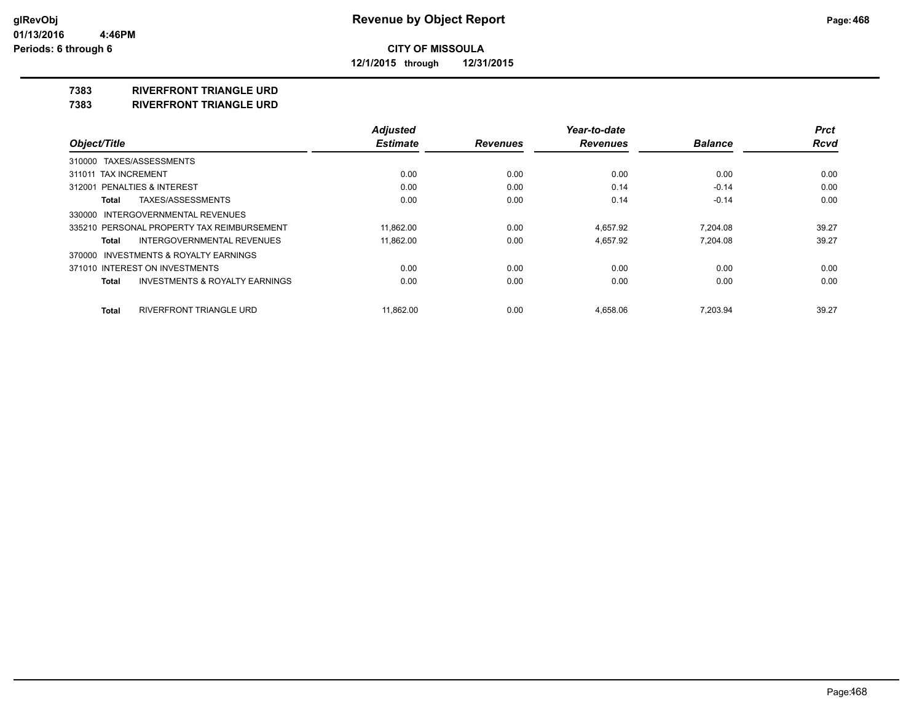**12/1/2015 through 12/31/2015**

#### **7383 RIVERFRONT TRIANGLE URD**

**7383 RIVERFRONT TRIANGLE URD**

|                                                    | <b>Adjusted</b> |                 | Year-to-date    |                | <b>Prct</b> |
|----------------------------------------------------|-----------------|-----------------|-----------------|----------------|-------------|
| Object/Title                                       | <b>Estimate</b> | <b>Revenues</b> | <b>Revenues</b> | <b>Balance</b> | <b>Rcvd</b> |
| 310000 TAXES/ASSESSMENTS                           |                 |                 |                 |                |             |
| 311011 TAX INCREMENT                               | 0.00            | 0.00            | 0.00            | 0.00           | 0.00        |
| <b>PENALTIES &amp; INTEREST</b><br>312001          | 0.00            | 0.00            | 0.14            | $-0.14$        | 0.00        |
| TAXES/ASSESSMENTS<br>Total                         | 0.00            | 0.00            | 0.14            | $-0.14$        | 0.00        |
| 330000 INTERGOVERNMENTAL REVENUES                  |                 |                 |                 |                |             |
| 335210 PERSONAL PROPERTY TAX REIMBURSEMENT         | 11.862.00       | 0.00            | 4.657.92        | 7.204.08       | 39.27       |
| <b>INTERGOVERNMENTAL REVENUES</b><br>Total         | 11.862.00       | 0.00            | 4.657.92        | 7.204.08       | 39.27       |
| 370000 INVESTMENTS & ROYALTY EARNINGS              |                 |                 |                 |                |             |
| 371010 INTEREST ON INVESTMENTS                     | 0.00            | 0.00            | 0.00            | 0.00           | 0.00        |
| <b>INVESTMENTS &amp; ROYALTY EARNINGS</b><br>Total | 0.00            | 0.00            | 0.00            | 0.00           | 0.00        |
| RIVERFRONT TRIANGLE URD<br><b>Total</b>            | 11.862.00       | 0.00            | 4.658.06        | 7.203.94       | 39.27       |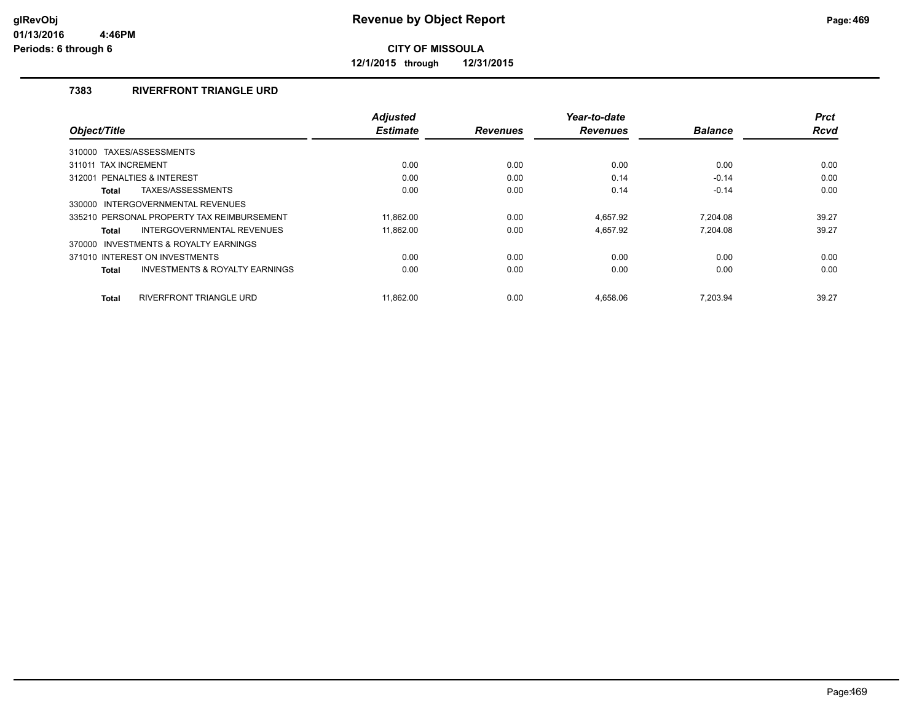**12/1/2015 through 12/31/2015**

## **7383 RIVERFRONT TRIANGLE URD**

|                                                           | <b>Adjusted</b> |                 | Year-to-date    |                | <b>Prct</b> |
|-----------------------------------------------------------|-----------------|-----------------|-----------------|----------------|-------------|
| Object/Title                                              | <b>Estimate</b> | <b>Revenues</b> | <b>Revenues</b> | <b>Balance</b> | <b>Rcvd</b> |
| TAXES/ASSESSMENTS<br>310000                               |                 |                 |                 |                |             |
| 311011 TAX INCREMENT                                      | 0.00            | 0.00            | 0.00            | 0.00           | 0.00        |
| 312001 PENALTIES & INTEREST                               | 0.00            | 0.00            | 0.14            | $-0.14$        | 0.00        |
| TAXES/ASSESSMENTS<br><b>Total</b>                         | 0.00            | 0.00            | 0.14            | $-0.14$        | 0.00        |
| INTERGOVERNMENTAL REVENUES<br>330000                      |                 |                 |                 |                |             |
| 335210 PERSONAL PROPERTY TAX REIMBURSEMENT                | 11.862.00       | 0.00            | 4.657.92        | 7.204.08       | 39.27       |
| INTERGOVERNMENTAL REVENUES<br>Total                       | 11.862.00       | 0.00            | 4.657.92        | 7.204.08       | 39.27       |
| 370000 INVESTMENTS & ROYALTY EARNINGS                     |                 |                 |                 |                |             |
| 371010 INTEREST ON INVESTMENTS                            | 0.00            | 0.00            | 0.00            | 0.00           | 0.00        |
| <b>INVESTMENTS &amp; ROYALTY EARNINGS</b><br><b>Total</b> | 0.00            | 0.00            | 0.00            | 0.00           | 0.00        |
| RIVERFRONT TRIANGLE URD<br><b>Total</b>                   | 11.862.00       | 0.00            | 4.658.06        | 7.203.94       | 39.27       |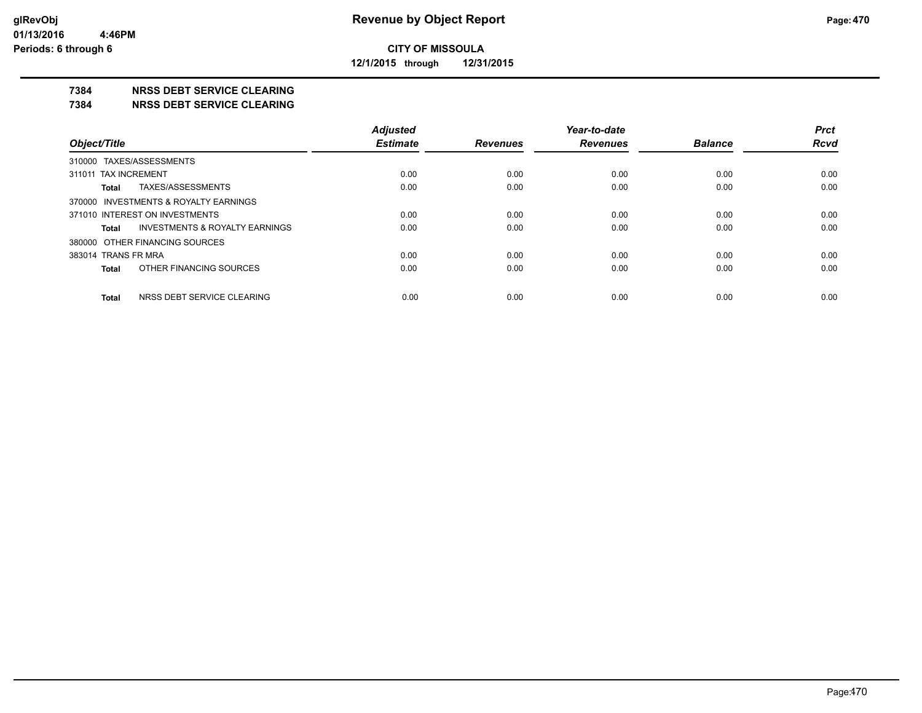**12/1/2015 through 12/31/2015**

#### **7384 NRSS DEBT SERVICE CLEARING**

**7384 NRSS DEBT SERVICE CLEARING**

|                                                    | <b>Adjusted</b> |                 | Year-to-date    |                | <b>Prct</b> |
|----------------------------------------------------|-----------------|-----------------|-----------------|----------------|-------------|
| Object/Title                                       | <b>Estimate</b> | <b>Revenues</b> | <b>Revenues</b> | <b>Balance</b> | <b>Rcvd</b> |
| 310000 TAXES/ASSESSMENTS                           |                 |                 |                 |                |             |
| 311011 TAX INCREMENT                               | 0.00            | 0.00            | 0.00            | 0.00           | 0.00        |
| TAXES/ASSESSMENTS<br>Total                         | 0.00            | 0.00            | 0.00            | 0.00           | 0.00        |
| 370000 INVESTMENTS & ROYALTY EARNINGS              |                 |                 |                 |                |             |
| 371010 INTEREST ON INVESTMENTS                     | 0.00            | 0.00            | 0.00            | 0.00           | 0.00        |
| <b>INVESTMENTS &amp; ROYALTY EARNINGS</b><br>Total | 0.00            | 0.00            | 0.00            | 0.00           | 0.00        |
| 380000 OTHER FINANCING SOURCES                     |                 |                 |                 |                |             |
| 383014 TRANS FR MRA                                | 0.00            | 0.00            | 0.00            | 0.00           | 0.00        |
| OTHER FINANCING SOURCES<br>Total                   | 0.00            | 0.00            | 0.00            | 0.00           | 0.00        |
| NRSS DEBT SERVICE CLEARING<br><b>Total</b>         | 0.00            | 0.00            | 0.00            | 0.00           | 0.00        |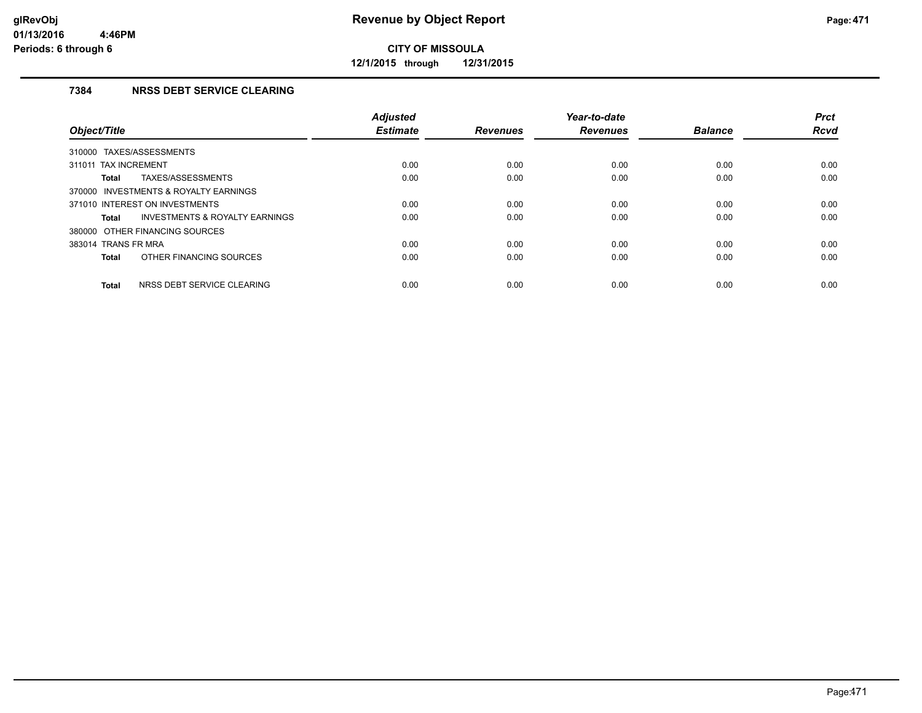**12/1/2015 through 12/31/2015**

## **7384 NRSS DEBT SERVICE CLEARING**

| Object/Title                                              | <b>Adjusted</b><br><b>Estimate</b> | <b>Revenues</b> | Year-to-date<br><b>Revenues</b> | <b>Balance</b> | <b>Prct</b><br><b>Rcvd</b> |
|-----------------------------------------------------------|------------------------------------|-----------------|---------------------------------|----------------|----------------------------|
| 310000 TAXES/ASSESSMENTS                                  |                                    |                 |                                 |                |                            |
| 311011 TAX INCREMENT                                      | 0.00                               | 0.00            | 0.00                            | 0.00           | 0.00                       |
| TAXES/ASSESSMENTS<br><b>Total</b>                         | 0.00                               | 0.00            | 0.00                            | 0.00           | 0.00                       |
| 370000 INVESTMENTS & ROYALTY EARNINGS                     |                                    |                 |                                 |                |                            |
| 371010 INTEREST ON INVESTMENTS                            | 0.00                               | 0.00            | 0.00                            | 0.00           | 0.00                       |
| <b>INVESTMENTS &amp; ROYALTY EARNINGS</b><br><b>Total</b> | 0.00                               | 0.00            | 0.00                            | 0.00           | 0.00                       |
| 380000 OTHER FINANCING SOURCES                            |                                    |                 |                                 |                |                            |
| 383014 TRANS FR MRA                                       | 0.00                               | 0.00            | 0.00                            | 0.00           | 0.00                       |
| OTHER FINANCING SOURCES<br><b>Total</b>                   | 0.00                               | 0.00            | 0.00                            | 0.00           | 0.00                       |
| NRSS DEBT SERVICE CLEARING<br><b>Total</b>                | 0.00                               | 0.00            | 0.00                            | 0.00           | 0.00                       |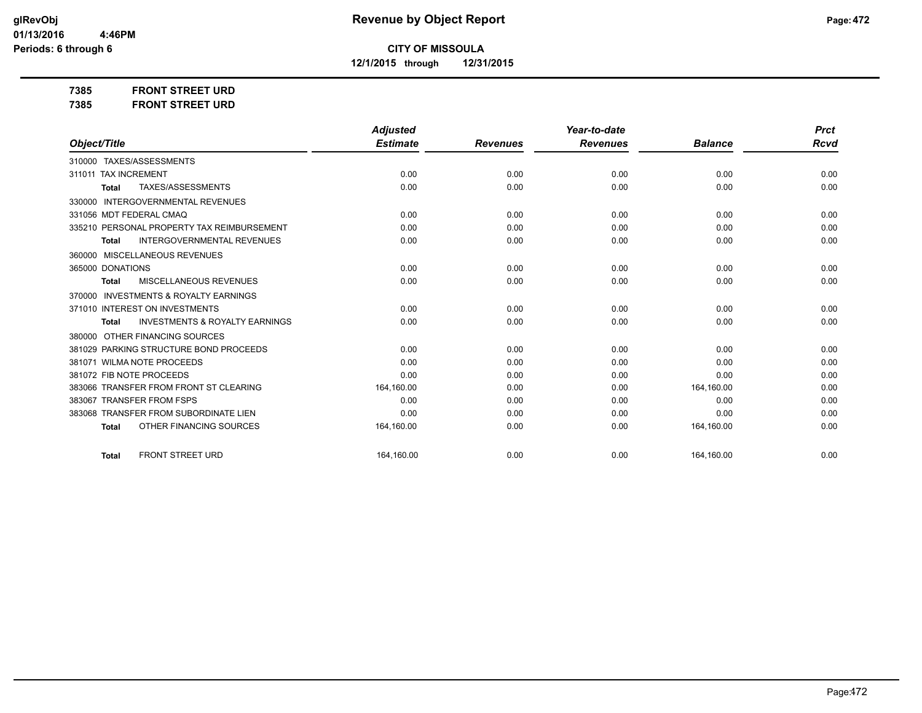**12/1/2015 through 12/31/2015**

**7385 FRONT STREET URD**

| 7385 | <b>FRONT STREET URD</b> |  |
|------|-------------------------|--|
|      |                         |  |

|                                                           | <b>Adjusted</b> |                 | Year-to-date    |                | <b>Prct</b> |
|-----------------------------------------------------------|-----------------|-----------------|-----------------|----------------|-------------|
| Object/Title                                              | <b>Estimate</b> | <b>Revenues</b> | <b>Revenues</b> | <b>Balance</b> | <b>Rcvd</b> |
| 310000 TAXES/ASSESSMENTS                                  |                 |                 |                 |                |             |
| 311011 TAX INCREMENT                                      | 0.00            | 0.00            | 0.00            | 0.00           | 0.00        |
| TAXES/ASSESSMENTS<br><b>Total</b>                         | 0.00            | 0.00            | 0.00            | 0.00           | 0.00        |
| <b>INTERGOVERNMENTAL REVENUES</b><br>330000               |                 |                 |                 |                |             |
| 331056 MDT FEDERAL CMAQ                                   | 0.00            | 0.00            | 0.00            | 0.00           | 0.00        |
| 335210 PERSONAL PROPERTY TAX REIMBURSEMENT                | 0.00            | 0.00            | 0.00            | 0.00           | 0.00        |
| INTERGOVERNMENTAL REVENUES<br><b>Total</b>                | 0.00            | 0.00            | 0.00            | 0.00           | 0.00        |
| 360000 MISCELLANEOUS REVENUES                             |                 |                 |                 |                |             |
| 365000 DONATIONS                                          | 0.00            | 0.00            | 0.00            | 0.00           | 0.00        |
| <b>MISCELLANEOUS REVENUES</b><br>Total                    | 0.00            | 0.00            | 0.00            | 0.00           | 0.00        |
| <b>INVESTMENTS &amp; ROYALTY EARNINGS</b><br>370000       |                 |                 |                 |                |             |
| 371010 INTEREST ON INVESTMENTS                            | 0.00            | 0.00            | 0.00            | 0.00           | 0.00        |
| <b>INVESTMENTS &amp; ROYALTY EARNINGS</b><br><b>Total</b> | 0.00            | 0.00            | 0.00            | 0.00           | 0.00        |
| OTHER FINANCING SOURCES<br>380000                         |                 |                 |                 |                |             |
| PARKING STRUCTURE BOND PROCEEDS<br>381029                 | 0.00            | 0.00            | 0.00            | 0.00           | 0.00        |
| 381071 WILMA NOTE PROCEEDS                                | 0.00            | 0.00            | 0.00            | 0.00           | 0.00        |
| 381072 FIB NOTE PROCEEDS                                  | 0.00            | 0.00            | 0.00            | 0.00           | 0.00        |
| 383066 TRANSFER FROM FRONT ST CLEARING                    | 164,160.00      | 0.00            | 0.00            | 164,160.00     | 0.00        |
| 383067 TRANSFER FROM FSPS                                 | 0.00            | 0.00            | 0.00            | 0.00           | 0.00        |
| 383068 TRANSFER FROM SUBORDINATE LIEN                     | 0.00            | 0.00            | 0.00            | 0.00           | 0.00        |
| OTHER FINANCING SOURCES<br><b>Total</b>                   | 164,160.00      | 0.00            | 0.00            | 164,160.00     | 0.00        |
|                                                           |                 |                 |                 |                |             |
| <b>FRONT STREET URD</b><br><b>Total</b>                   | 164.160.00      | 0.00            | 0.00            | 164,160.00     | 0.00        |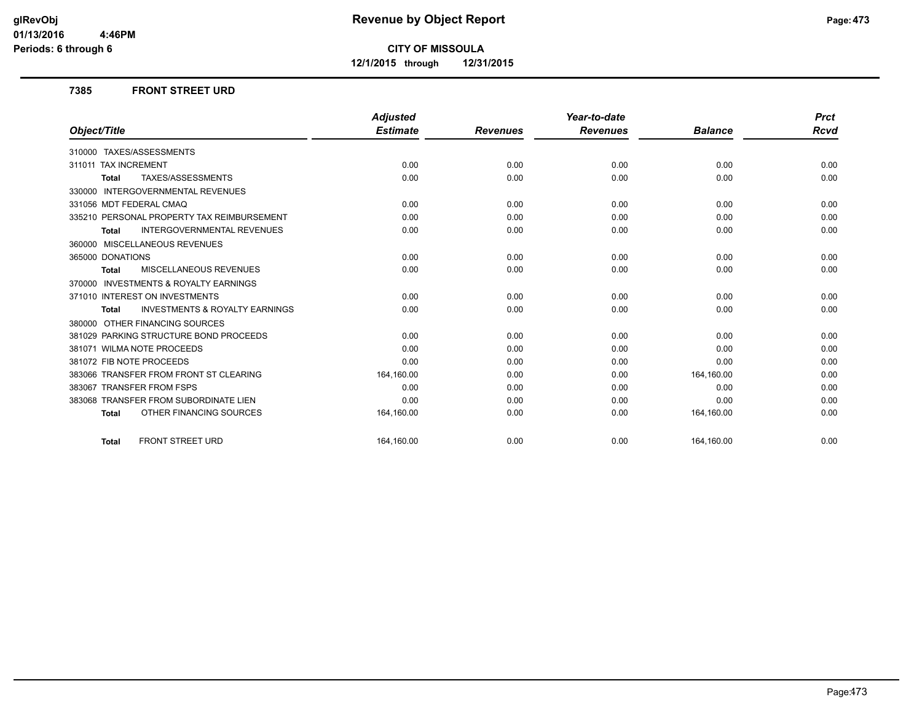**12/1/2015 through 12/31/2015**

#### **7385 FRONT STREET URD**

|                                                           | <b>Adjusted</b> |                 | Year-to-date    |                | <b>Prct</b> |
|-----------------------------------------------------------|-----------------|-----------------|-----------------|----------------|-------------|
| Object/Title                                              | <b>Estimate</b> | <b>Revenues</b> | <b>Revenues</b> | <b>Balance</b> | Rcvd        |
| 310000 TAXES/ASSESSMENTS                                  |                 |                 |                 |                |             |
| 311011 TAX INCREMENT                                      | 0.00            | 0.00            | 0.00            | 0.00           | 0.00        |
| TAXES/ASSESSMENTS<br><b>Total</b>                         | 0.00            | 0.00            | 0.00            | 0.00           | 0.00        |
| 330000 INTERGOVERNMENTAL REVENUES                         |                 |                 |                 |                |             |
| 331056 MDT FEDERAL CMAQ                                   | 0.00            | 0.00            | 0.00            | 0.00           | 0.00        |
| 335210 PERSONAL PROPERTY TAX REIMBURSEMENT                | 0.00            | 0.00            | 0.00            | 0.00           | 0.00        |
| <b>INTERGOVERNMENTAL REVENUES</b><br><b>Total</b>         | 0.00            | 0.00            | 0.00            | 0.00           | 0.00        |
| 360000 MISCELLANEOUS REVENUES                             |                 |                 |                 |                |             |
| 365000 DONATIONS                                          | 0.00            | 0.00            | 0.00            | 0.00           | 0.00        |
| <b>MISCELLANEOUS REVENUES</b><br><b>Total</b>             | 0.00            | 0.00            | 0.00            | 0.00           | 0.00        |
| 370000 INVESTMENTS & ROYALTY EARNINGS                     |                 |                 |                 |                |             |
| 371010 INTEREST ON INVESTMENTS                            | 0.00            | 0.00            | 0.00            | 0.00           | 0.00        |
| <b>INVESTMENTS &amp; ROYALTY EARNINGS</b><br><b>Total</b> | 0.00            | 0.00            | 0.00            | 0.00           | 0.00        |
| 380000 OTHER FINANCING SOURCES                            |                 |                 |                 |                |             |
| 381029 PARKING STRUCTURE BOND PROCEEDS                    | 0.00            | 0.00            | 0.00            | 0.00           | 0.00        |
| 381071 WILMA NOTE PROCEEDS                                | 0.00            | 0.00            | 0.00            | 0.00           | 0.00        |
| 381072 FIB NOTE PROCEEDS                                  | 0.00            | 0.00            | 0.00            | 0.00           | 0.00        |
| 383066 TRANSFER FROM FRONT ST CLEARING                    | 164,160.00      | 0.00            | 0.00            | 164,160.00     | 0.00        |
| 383067 TRANSFER FROM FSPS                                 | 0.00            | 0.00            | 0.00            | 0.00           | 0.00        |
| 383068 TRANSFER FROM SUBORDINATE LIEN                     | 0.00            | 0.00            | 0.00            | 0.00           | 0.00        |
| OTHER FINANCING SOURCES<br><b>Total</b>                   | 164,160.00      | 0.00            | 0.00            | 164,160.00     | 0.00        |
| <b>FRONT STREET URD</b><br><b>Total</b>                   | 164.160.00      | 0.00            | 0.00            | 164,160.00     | 0.00        |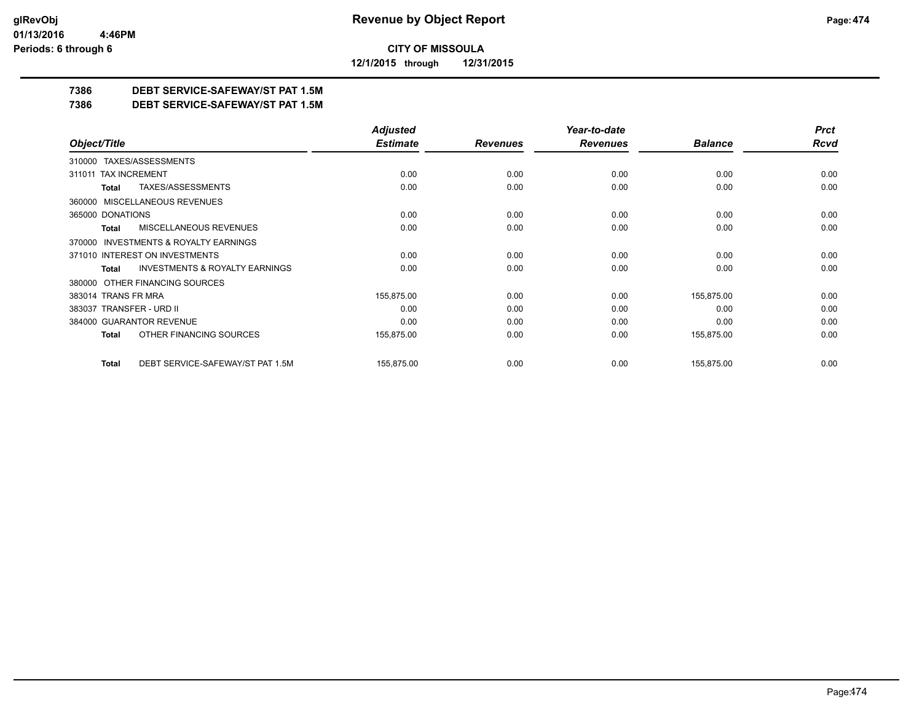**12/1/2015 through 12/31/2015**

## **7386 DEBT SERVICE-SAFEWAY/ST PAT 1.5M**

**7386 DEBT SERVICE-SAFEWAY/ST PAT 1.5M**

|                                                    | <b>Adjusted</b> |                 | Year-to-date    |                | <b>Prct</b> |
|----------------------------------------------------|-----------------|-----------------|-----------------|----------------|-------------|
| Object/Title                                       | <b>Estimate</b> | <b>Revenues</b> | <b>Revenues</b> | <b>Balance</b> | <b>Rcvd</b> |
| 310000 TAXES/ASSESSMENTS                           |                 |                 |                 |                |             |
| <b>TAX INCREMENT</b><br>311011                     | 0.00            | 0.00            | 0.00            | 0.00           | 0.00        |
| TAXES/ASSESSMENTS<br>Total                         | 0.00            | 0.00            | 0.00            | 0.00           | 0.00        |
| 360000 MISCELLANEOUS REVENUES                      |                 |                 |                 |                |             |
| 365000 DONATIONS                                   | 0.00            | 0.00            | 0.00            | 0.00           | 0.00        |
| <b>MISCELLANEOUS REVENUES</b><br>Total             | 0.00            | 0.00            | 0.00            | 0.00           | 0.00        |
| 370000 INVESTMENTS & ROYALTY EARNINGS              |                 |                 |                 |                |             |
| 371010 INTEREST ON INVESTMENTS                     | 0.00            | 0.00            | 0.00            | 0.00           | 0.00        |
| <b>INVESTMENTS &amp; ROYALTY EARNINGS</b><br>Total | 0.00            | 0.00            | 0.00            | 0.00           | 0.00        |
| OTHER FINANCING SOURCES<br>380000                  |                 |                 |                 |                |             |
| 383014 TRANS FR MRA                                | 155,875.00      | 0.00            | 0.00            | 155,875.00     | 0.00        |
| 383037 TRANSFER - URD II                           | 0.00            | 0.00            | 0.00            | 0.00           | 0.00        |
| 384000 GUARANTOR REVENUE                           | 0.00            | 0.00            | 0.00            | 0.00           | 0.00        |
| OTHER FINANCING SOURCES<br>Total                   | 155,875.00      | 0.00            | 0.00            | 155,875.00     | 0.00        |
| DEBT SERVICE-SAFEWAY/ST PAT 1.5M<br><b>Total</b>   | 155,875.00      | 0.00            | 0.00            | 155,875.00     | 0.00        |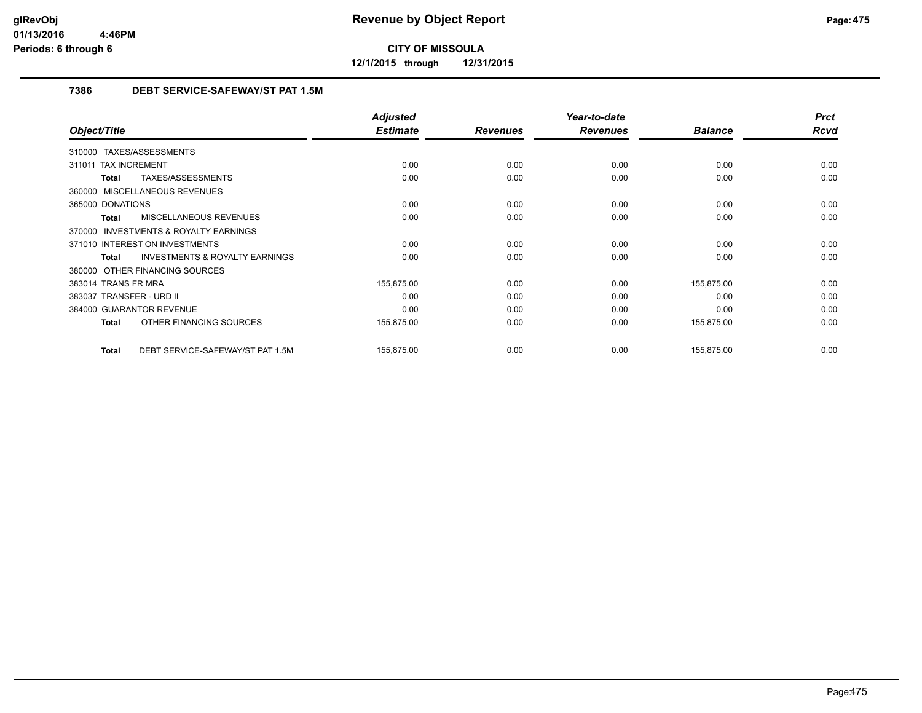**12/1/2015 through 12/31/2015**

## **7386 DEBT SERVICE-SAFEWAY/ST PAT 1.5M**

|                                                           | <b>Adjusted</b> |                 | Year-to-date    |                | <b>Prct</b> |
|-----------------------------------------------------------|-----------------|-----------------|-----------------|----------------|-------------|
| Object/Title                                              | <b>Estimate</b> | <b>Revenues</b> | <b>Revenues</b> | <b>Balance</b> | <b>Rcvd</b> |
| 310000 TAXES/ASSESSMENTS                                  |                 |                 |                 |                |             |
| 311011 TAX INCREMENT                                      | 0.00            | 0.00            | 0.00            | 0.00           | 0.00        |
| TAXES/ASSESSMENTS<br>Total                                | 0.00            | 0.00            | 0.00            | 0.00           | 0.00        |
| 360000 MISCELLANEOUS REVENUES                             |                 |                 |                 |                |             |
| 365000 DONATIONS                                          | 0.00            | 0.00            | 0.00            | 0.00           | 0.00        |
| MISCELLANEOUS REVENUES<br>Total                           | 0.00            | 0.00            | 0.00            | 0.00           | 0.00        |
| <b>INVESTMENTS &amp; ROYALTY EARNINGS</b><br>370000       |                 |                 |                 |                |             |
| 371010 INTEREST ON INVESTMENTS                            | 0.00            | 0.00            | 0.00            | 0.00           | 0.00        |
| <b>INVESTMENTS &amp; ROYALTY EARNINGS</b><br><b>Total</b> | 0.00            | 0.00            | 0.00            | 0.00           | 0.00        |
| 380000 OTHER FINANCING SOURCES                            |                 |                 |                 |                |             |
| 383014 TRANS FR MRA                                       | 155,875.00      | 0.00            | 0.00            | 155,875.00     | 0.00        |
| 383037 TRANSFER - URD II                                  | 0.00            | 0.00            | 0.00            | 0.00           | 0.00        |
| 384000 GUARANTOR REVENUE                                  | 0.00            | 0.00            | 0.00            | 0.00           | 0.00        |
| OTHER FINANCING SOURCES<br>Total                          | 155,875.00      | 0.00            | 0.00            | 155,875.00     | 0.00        |
| DEBT SERVICE-SAFEWAY/ST PAT 1.5M<br>Total                 | 155,875.00      | 0.00            | 0.00            | 155,875.00     | 0.00        |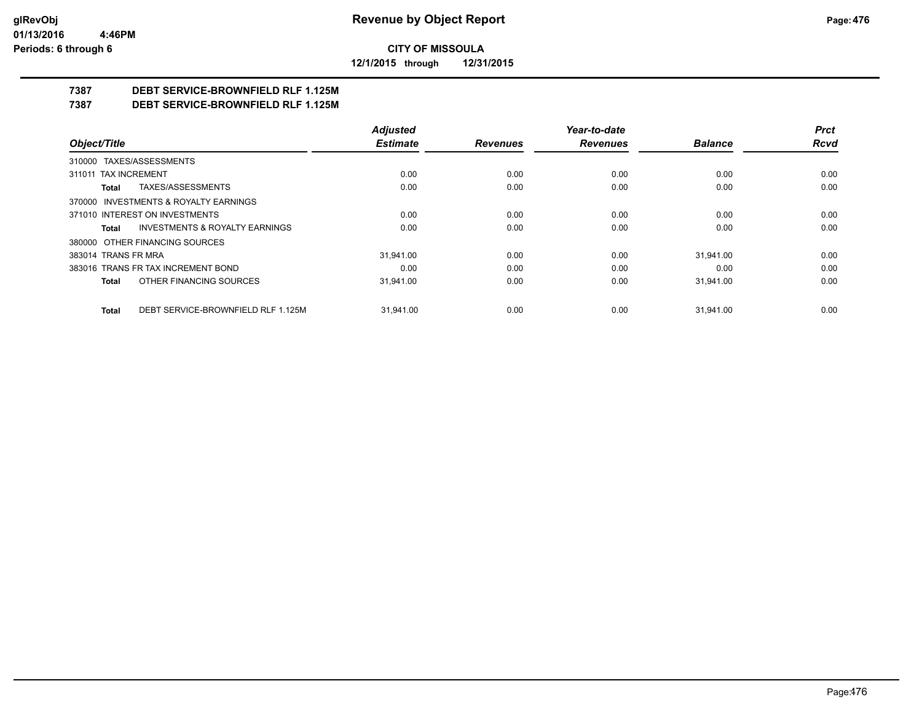**12/1/2015 through 12/31/2015**

## **7387 DEBT SERVICE-BROWNFIELD RLF 1.125M**

**7387 DEBT SERVICE-BROWNFIELD RLF 1.125M**

|                                                    | <b>Adjusted</b> |                 | Year-to-date    |                | <b>Prct</b> |
|----------------------------------------------------|-----------------|-----------------|-----------------|----------------|-------------|
| Object/Title                                       | <b>Estimate</b> | <b>Revenues</b> | <b>Revenues</b> | <b>Balance</b> | Rcvd        |
| 310000 TAXES/ASSESSMENTS                           |                 |                 |                 |                |             |
| 311011 TAX INCREMENT                               | 0.00            | 0.00            | 0.00            | 0.00           | 0.00        |
| TAXES/ASSESSMENTS<br>Total                         | 0.00            | 0.00            | 0.00            | 0.00           | 0.00        |
| 370000 INVESTMENTS & ROYALTY EARNINGS              |                 |                 |                 |                |             |
| 371010 INTEREST ON INVESTMENTS                     | 0.00            | 0.00            | 0.00            | 0.00           | 0.00        |
| <b>INVESTMENTS &amp; ROYALTY EARNINGS</b><br>Total | 0.00            | 0.00            | 0.00            | 0.00           | 0.00        |
| 380000 OTHER FINANCING SOURCES                     |                 |                 |                 |                |             |
| 383014 TRANS FR MRA                                | 31.941.00       | 0.00            | 0.00            | 31.941.00      | 0.00        |
| 383016 TRANS FR TAX INCREMENT BOND                 | 0.00            | 0.00            | 0.00            | 0.00           | 0.00        |
| OTHER FINANCING SOURCES<br>Total                   | 31.941.00       | 0.00            | 0.00            | 31,941.00      | 0.00        |
| DEBT SERVICE-BROWNFIELD RLF 1.125M<br>Total        | 31.941.00       | 0.00            | 0.00            | 31.941.00      | 0.00        |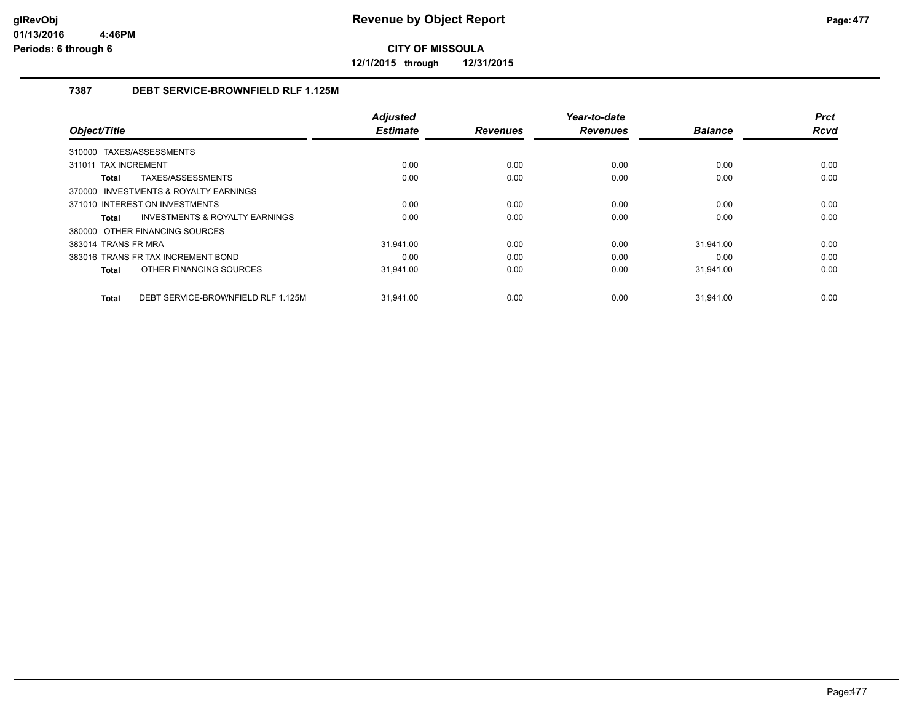**12/1/2015 through 12/31/2015**

### **7387 DEBT SERVICE-BROWNFIELD RLF 1.125M**

|                                             | <b>Adjusted</b> |                 | Year-to-date    |                | <b>Prct</b> |
|---------------------------------------------|-----------------|-----------------|-----------------|----------------|-------------|
| Object/Title                                | <b>Estimate</b> | <b>Revenues</b> | <b>Revenues</b> | <b>Balance</b> | <b>Rcvd</b> |
| 310000 TAXES/ASSESSMENTS                    |                 |                 |                 |                |             |
| 311011 TAX INCREMENT                        | 0.00            | 0.00            | 0.00            | 0.00           | 0.00        |
| TAXES/ASSESSMENTS<br>Total                  | 0.00            | 0.00            | 0.00            | 0.00           | 0.00        |
| 370000 INVESTMENTS & ROYALTY EARNINGS       |                 |                 |                 |                |             |
| 371010 INTEREST ON INVESTMENTS              | 0.00            | 0.00            | 0.00            | 0.00           | 0.00        |
| INVESTMENTS & ROYALTY EARNINGS<br>Total     | 0.00            | 0.00            | 0.00            | 0.00           | 0.00        |
| 380000 OTHER FINANCING SOURCES              |                 |                 |                 |                |             |
| 383014 TRANS FR MRA                         | 31.941.00       | 0.00            | 0.00            | 31.941.00      | 0.00        |
| 383016 TRANS FR TAX INCREMENT BOND          | 0.00            | 0.00            | 0.00            | 0.00           | 0.00        |
| OTHER FINANCING SOURCES<br>Total            | 31,941.00       | 0.00            | 0.00            | 31,941.00      | 0.00        |
|                                             |                 |                 |                 |                |             |
| DEBT SERVICE-BROWNFIELD RLF 1.125M<br>Total | 31.941.00       | 0.00            | 0.00            | 31.941.00      | 0.00        |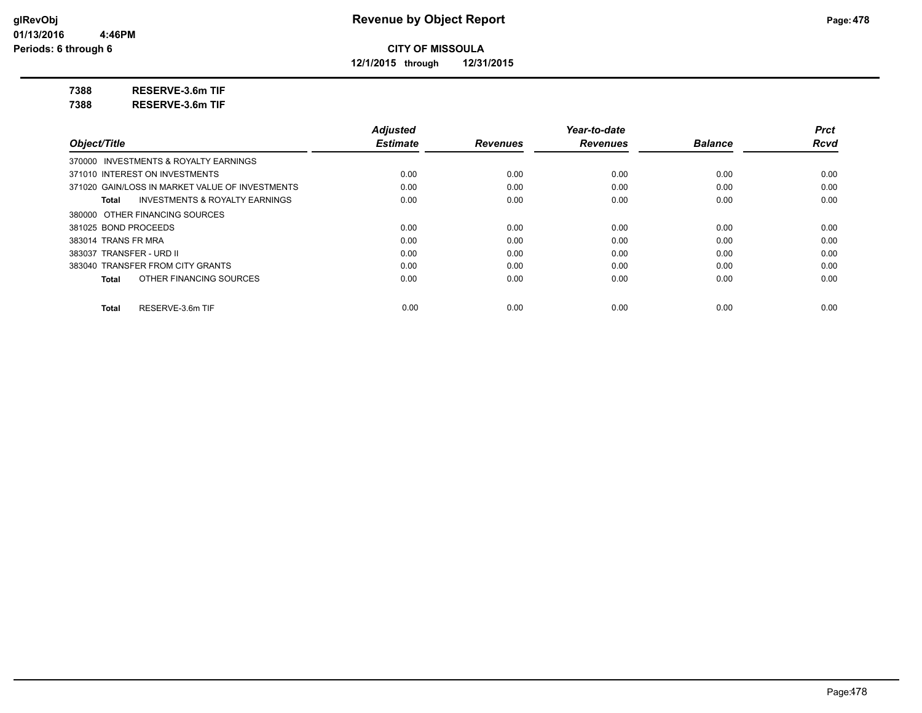**12/1/2015 through 12/31/2015**

**7388 RESERVE-3.6m TIF**

**7388 RESERVE-3.6m TIF**

|                                                    | <b>Adjusted</b> |                 | Year-to-date    |                | <b>Prct</b> |
|----------------------------------------------------|-----------------|-----------------|-----------------|----------------|-------------|
| Object/Title                                       | <b>Estimate</b> | <b>Revenues</b> | <b>Revenues</b> | <b>Balance</b> | <b>Rcvd</b> |
| 370000 INVESTMENTS & ROYALTY EARNINGS              |                 |                 |                 |                |             |
| 371010 INTEREST ON INVESTMENTS                     | 0.00            | 0.00            | 0.00            | 0.00           | 0.00        |
| 371020 GAIN/LOSS IN MARKET VALUE OF INVESTMENTS    | 0.00            | 0.00            | 0.00            | 0.00           | 0.00        |
| <b>INVESTMENTS &amp; ROYALTY EARNINGS</b><br>Total | 0.00            | 0.00            | 0.00            | 0.00           | 0.00        |
| 380000 OTHER FINANCING SOURCES                     |                 |                 |                 |                |             |
| 381025 BOND PROCEEDS                               | 0.00            | 0.00            | 0.00            | 0.00           | 0.00        |
| 383014 TRANS FR MRA                                | 0.00            | 0.00            | 0.00            | 0.00           | 0.00        |
| 383037 TRANSFER - URD II                           | 0.00            | 0.00            | 0.00            | 0.00           | 0.00        |
| 383040 TRANSFER FROM CITY GRANTS                   | 0.00            | 0.00            | 0.00            | 0.00           | 0.00        |
| OTHER FINANCING SOURCES<br>Total                   | 0.00            | 0.00            | 0.00            | 0.00           | 0.00        |
| RESERVE-3.6m TIF<br><b>Total</b>                   | 0.00            | 0.00            | 0.00            | 0.00           | 0.00        |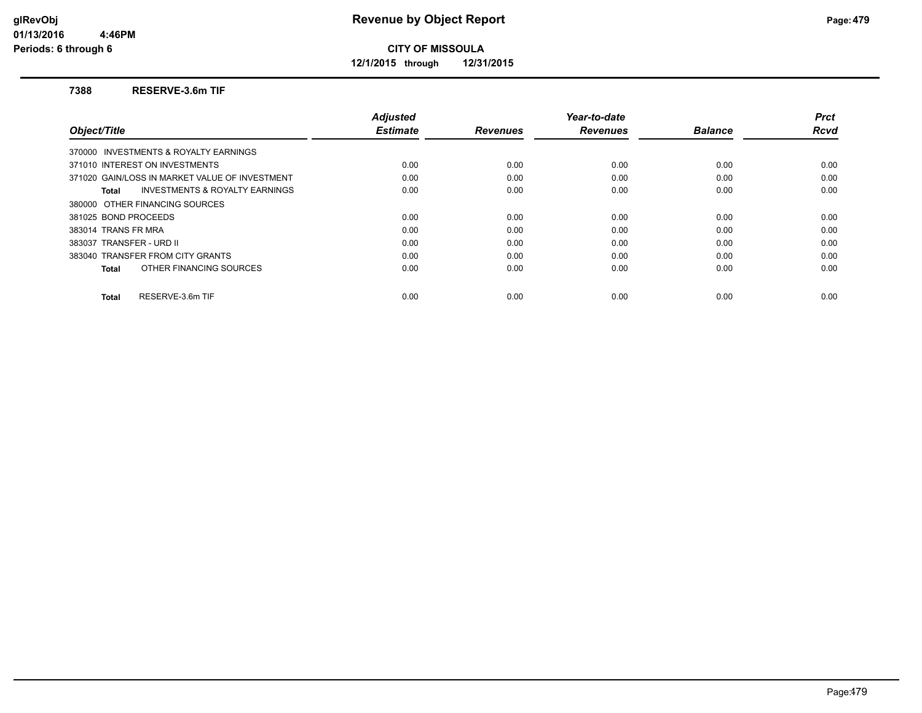**12/1/2015 through 12/31/2015**

#### **7388 RESERVE-3.6m TIF**

|                                                    | <b>Adjusted</b> |                 | Year-to-date    |                | <b>Prct</b> |
|----------------------------------------------------|-----------------|-----------------|-----------------|----------------|-------------|
| Object/Title                                       | <b>Estimate</b> | <b>Revenues</b> | <b>Revenues</b> | <b>Balance</b> | <b>Rcvd</b> |
| 370000 INVESTMENTS & ROYALTY EARNINGS              |                 |                 |                 |                |             |
| 371010 INTEREST ON INVESTMENTS                     | 0.00            | 0.00            | 0.00            | 0.00           | 0.00        |
| 371020 GAIN/LOSS IN MARKET VALUE OF INVESTMENT     | 0.00            | 0.00            | 0.00            | 0.00           | 0.00        |
| <b>INVESTMENTS &amp; ROYALTY EARNINGS</b><br>Total | 0.00            | 0.00            | 0.00            | 0.00           | 0.00        |
| 380000 OTHER FINANCING SOURCES                     |                 |                 |                 |                |             |
| 381025 BOND PROCEEDS                               | 0.00            | 0.00            | 0.00            | 0.00           | 0.00        |
| 383014 TRANS FR MRA                                | 0.00            | 0.00            | 0.00            | 0.00           | 0.00        |
| 383037 TRANSFER - URD II                           | 0.00            | 0.00            | 0.00            | 0.00           | 0.00        |
| 383040 TRANSFER FROM CITY GRANTS                   | 0.00            | 0.00            | 0.00            | 0.00           | 0.00        |
| OTHER FINANCING SOURCES<br>Total                   | 0.00            | 0.00            | 0.00            | 0.00           | 0.00        |
| RESERVE-3.6m TIF<br><b>Total</b>                   | 0.00            | 0.00            | 0.00            | 0.00           | 0.00        |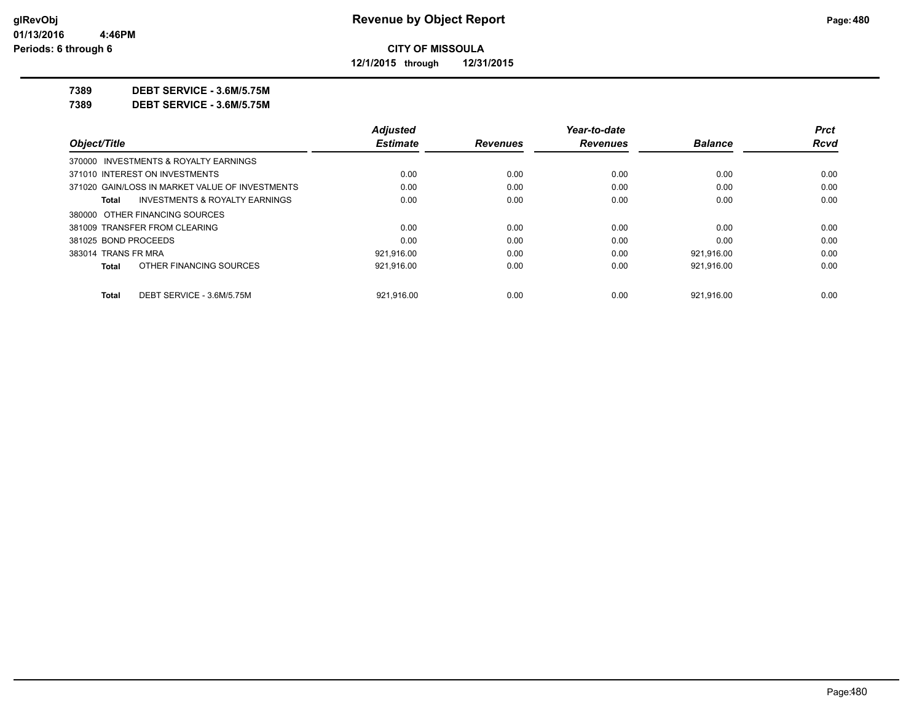**12/1/2015 through 12/31/2015**

**7389 DEBT SERVICE - 3.6M/5.75M**

**7389 DEBT SERVICE - 3.6M/5.75M**

| <b>Rcvd</b> |
|-------------|
|             |
|             |
| 0.00        |
| 0.00        |
| 0.00        |
|             |
| 0.00        |
| 0.00        |
| 0.00        |
| 0.00        |
| 0.00        |
|             |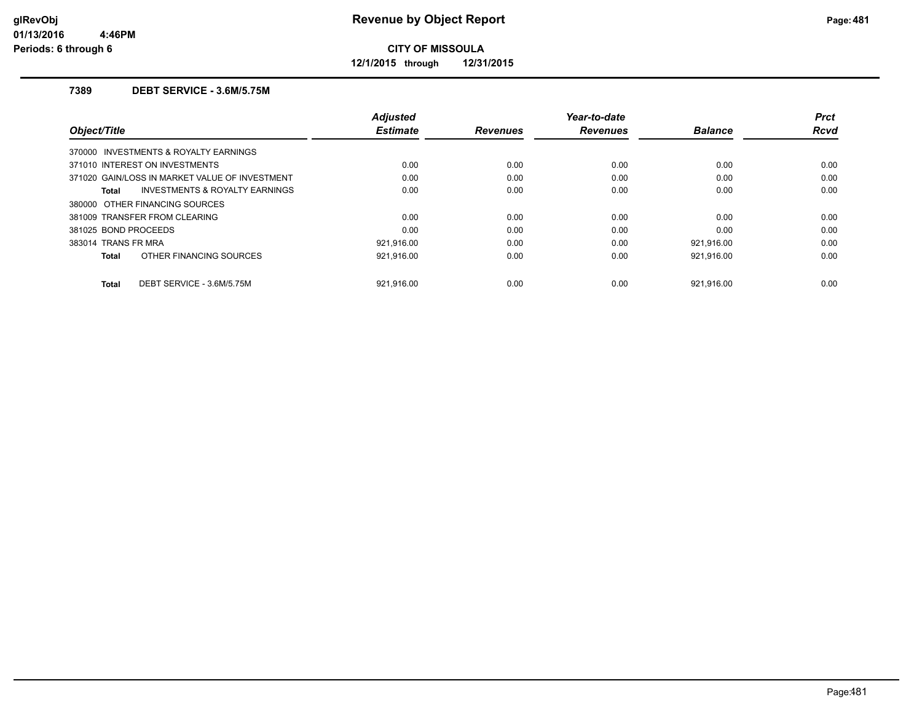**12/1/2015 through 12/31/2015**

### **7389 DEBT SERVICE - 3.6M/5.75M**

| Object/Title         |                                                | Adjusted<br><b>Estimate</b> | <b>Revenues</b> | Year-to-date<br><b>Revenues</b> | <b>Balance</b> | <b>Prct</b><br><b>Rcvd</b> |
|----------------------|------------------------------------------------|-----------------------------|-----------------|---------------------------------|----------------|----------------------------|
|                      | 370000 INVESTMENTS & ROYALTY EARNINGS          |                             |                 |                                 |                |                            |
|                      | 371010 INTEREST ON INVESTMENTS                 | 0.00                        | 0.00            | 0.00                            | 0.00           | 0.00                       |
|                      | 371020 GAIN/LOSS IN MARKET VALUE OF INVESTMENT | 0.00                        | 0.00            | 0.00                            | 0.00           | 0.00                       |
| Total                | <b>INVESTMENTS &amp; ROYALTY EARNINGS</b>      | 0.00                        | 0.00            | 0.00                            | 0.00           | 0.00                       |
|                      | 380000 OTHER FINANCING SOURCES                 |                             |                 |                                 |                |                            |
|                      | 381009 TRANSFER FROM CLEARING                  | 0.00                        | 0.00            | 0.00                            | 0.00           | 0.00                       |
| 381025 BOND PROCEEDS |                                                | 0.00                        | 0.00            | 0.00                            | 0.00           | 0.00                       |
| 383014 TRANS FR MRA  |                                                | 921.916.00                  | 0.00            | 0.00                            | 921,916.00     | 0.00                       |
| Total                | OTHER FINANCING SOURCES                        | 921,916.00                  | 0.00            | 0.00                            | 921,916.00     | 0.00                       |
| Total                | DEBT SERVICE - 3.6M/5.75M                      | 921.916.00                  | 0.00            | 0.00                            | 921.916.00     | 0.00                       |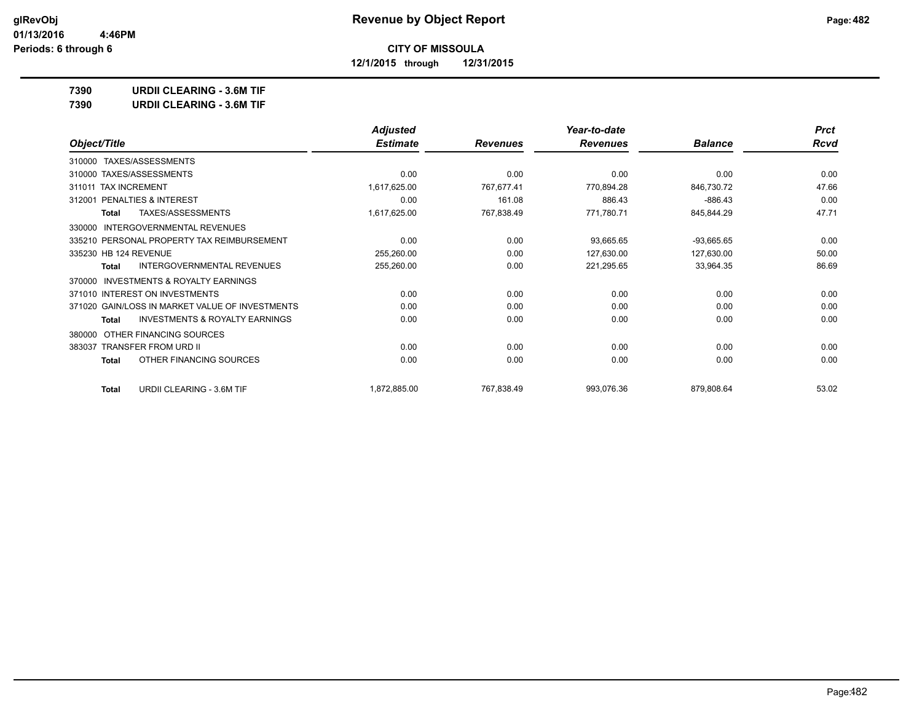**12/1/2015 through 12/31/2015**

**7390 URDII CLEARING - 3.6M TIF**

**7390 URDII CLEARING - 3.6M TIF**

|                                                     | <b>Adjusted</b> |                 | Year-to-date    |                | <b>Prct</b> |
|-----------------------------------------------------|-----------------|-----------------|-----------------|----------------|-------------|
| Object/Title                                        | <b>Estimate</b> | <b>Revenues</b> | <b>Revenues</b> | <b>Balance</b> | <b>Rcvd</b> |
| 310000 TAXES/ASSESSMENTS                            |                 |                 |                 |                |             |
| 310000 TAXES/ASSESSMENTS                            | 0.00            | 0.00            | 0.00            | 0.00           | 0.00        |
| 311011 TAX INCREMENT                                | 1,617,625.00    | 767,677.41      | 770,894.28      | 846,730.72     | 47.66       |
| PENALTIES & INTEREST<br>312001                      | 0.00            | 161.08          | 886.43          | $-886.43$      | 0.00        |
| TAXES/ASSESSMENTS<br><b>Total</b>                   | 1,617,625.00    | 767,838.49      | 771,780.71      | 845,844.29     | 47.71       |
| INTERGOVERNMENTAL REVENUES<br>330000                |                 |                 |                 |                |             |
| 335210 PERSONAL PROPERTY TAX REIMBURSEMENT          | 0.00            | 0.00            | 93,665.65       | $-93,665.65$   | 0.00        |
| 335230 HB 124 REVENUE                               | 255,260.00      | 0.00            | 127,630.00      | 127,630.00     | 50.00       |
| <b>INTERGOVERNMENTAL REVENUES</b><br><b>Total</b>   | 255,260.00      | 0.00            | 221,295.65      | 33,964.35      | 86.69       |
| <b>INVESTMENTS &amp; ROYALTY EARNINGS</b><br>370000 |                 |                 |                 |                |             |
| 371010 INTEREST ON INVESTMENTS                      | 0.00            | 0.00            | 0.00            | 0.00           | 0.00        |
| 371020 GAIN/LOSS IN MARKET VALUE OF INVESTMENTS     | 0.00            | 0.00            | 0.00            | 0.00           | 0.00        |
| <b>INVESTMENTS &amp; ROYALTY EARNINGS</b><br>Total  | 0.00            | 0.00            | 0.00            | 0.00           | 0.00        |
| OTHER FINANCING SOURCES<br>380000                   |                 |                 |                 |                |             |
| 383037 TRANSFER FROM URD II                         | 0.00            | 0.00            | 0.00            | 0.00           | 0.00        |
| OTHER FINANCING SOURCES<br>Total                    | 0.00            | 0.00            | 0.00            | 0.00           | 0.00        |
| <b>URDII CLEARING - 3.6M TIF</b><br><b>Total</b>    | 1,872,885.00    | 767,838.49      | 993,076.36      | 879,808.64     | 53.02       |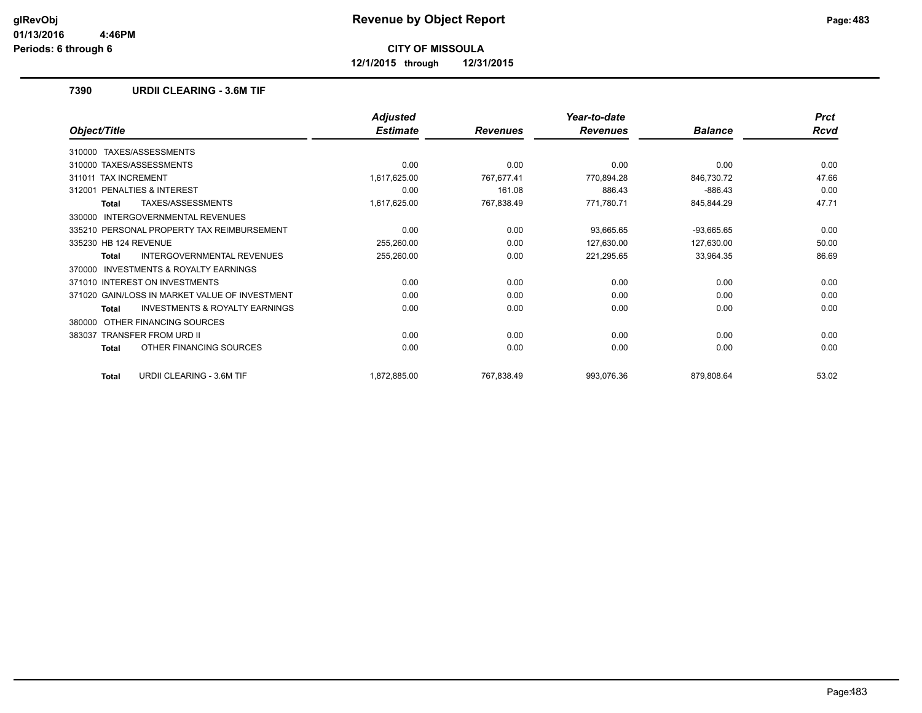**12/1/2015 through 12/31/2015**

### **7390 URDII CLEARING - 3.6M TIF**

|                                                    | <b>Adjusted</b> |                 | Year-to-date    |                | <b>Prct</b> |
|----------------------------------------------------|-----------------|-----------------|-----------------|----------------|-------------|
| Object/Title                                       | <b>Estimate</b> | <b>Revenues</b> | <b>Revenues</b> | <b>Balance</b> | <b>Rcvd</b> |
| TAXES/ASSESSMENTS<br>310000                        |                 |                 |                 |                |             |
| 310000 TAXES/ASSESSMENTS                           | 0.00            | 0.00            | 0.00            | 0.00           | 0.00        |
| <b>TAX INCREMENT</b><br>311011                     | 1,617,625.00    | 767,677.41      | 770,894.28      | 846,730.72     | 47.66       |
| PENALTIES & INTEREST<br>312001                     | 0.00            | 161.08          | 886.43          | $-886.43$      | 0.00        |
| TAXES/ASSESSMENTS<br><b>Total</b>                  | 1,617,625.00    | 767,838.49      | 771,780.71      | 845,844.29     | 47.71       |
| <b>INTERGOVERNMENTAL REVENUES</b><br>330000        |                 |                 |                 |                |             |
| 335210 PERSONAL PROPERTY TAX REIMBURSEMENT         | 0.00            | 0.00            | 93,665.65       | $-93,665.65$   | 0.00        |
| 335230 HB 124 REVENUE                              | 255,260.00      | 0.00            | 127,630.00      | 127,630.00     | 50.00       |
| INTERGOVERNMENTAL REVENUES<br>Total                | 255,260.00      | 0.00            | 221,295.65      | 33,964.35      | 86.69       |
| INVESTMENTS & ROYALTY EARNINGS<br>370000           |                 |                 |                 |                |             |
| 371010 INTEREST ON INVESTMENTS                     | 0.00            | 0.00            | 0.00            | 0.00           | 0.00        |
| 371020 GAIN/LOSS IN MARKET VALUE OF INVESTMENT     | 0.00            | 0.00            | 0.00            | 0.00           | 0.00        |
| <b>INVESTMENTS &amp; ROYALTY EARNINGS</b><br>Total | 0.00            | 0.00            | 0.00            | 0.00           | 0.00        |
| OTHER FINANCING SOURCES<br>380000                  |                 |                 |                 |                |             |
| <b>TRANSFER FROM URD II</b><br>383037              | 0.00            | 0.00            | 0.00            | 0.00           | 0.00        |
| OTHER FINANCING SOURCES<br>Total                   | 0.00            | 0.00            | 0.00            | 0.00           | 0.00        |
| <b>URDII CLEARING - 3.6M TIF</b><br><b>Total</b>   | 1,872,885.00    | 767,838.49      | 993,076.36      | 879,808.64     | 53.02       |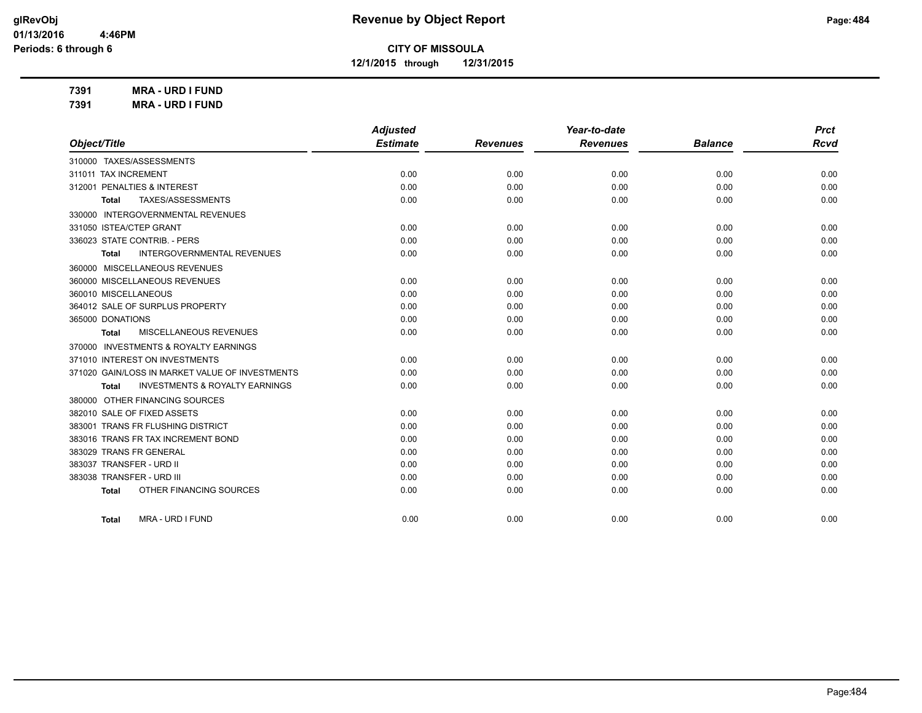**12/1/2015 through 12/31/2015**

**7391 MRA - URD I FUND 7391 MRA - URD I FUND**

|                                                    | <b>Adjusted</b> |                 | Year-to-date    |                | <b>Prct</b> |
|----------------------------------------------------|-----------------|-----------------|-----------------|----------------|-------------|
| Object/Title                                       | <b>Estimate</b> | <b>Revenues</b> | <b>Revenues</b> | <b>Balance</b> | <b>Rcvd</b> |
| 310000 TAXES/ASSESSMENTS                           |                 |                 |                 |                |             |
| 311011 TAX INCREMENT                               | 0.00            | 0.00            | 0.00            | 0.00           | 0.00        |
| 312001 PENALTIES & INTEREST                        | 0.00            | 0.00            | 0.00            | 0.00           | 0.00        |
| TAXES/ASSESSMENTS<br><b>Total</b>                  | 0.00            | 0.00            | 0.00            | 0.00           | 0.00        |
| 330000 INTERGOVERNMENTAL REVENUES                  |                 |                 |                 |                |             |
| 331050 ISTEA/CTEP GRANT                            | 0.00            | 0.00            | 0.00            | 0.00           | 0.00        |
| 336023 STATE CONTRIB. - PERS                       | 0.00            | 0.00            | 0.00            | 0.00           | 0.00        |
| <b>INTERGOVERNMENTAL REVENUES</b><br><b>Total</b>  | 0.00            | 0.00            | 0.00            | 0.00           | 0.00        |
| 360000 MISCELLANEOUS REVENUES                      |                 |                 |                 |                |             |
| 360000 MISCELLANEOUS REVENUES                      | 0.00            | 0.00            | 0.00            | 0.00           | 0.00        |
| 360010 MISCELLANEOUS                               | 0.00            | 0.00            | 0.00            | 0.00           | 0.00        |
| 364012 SALE OF SURPLUS PROPERTY                    | 0.00            | 0.00            | 0.00            | 0.00           | 0.00        |
| 365000 DONATIONS                                   | 0.00            | 0.00            | 0.00            | 0.00           | 0.00        |
| <b>MISCELLANEOUS REVENUES</b><br>Total             | 0.00            | 0.00            | 0.00            | 0.00           | 0.00        |
| 370000 INVESTMENTS & ROYALTY EARNINGS              |                 |                 |                 |                |             |
| 371010 INTEREST ON INVESTMENTS                     | 0.00            | 0.00            | 0.00            | 0.00           | 0.00        |
| 371020 GAIN/LOSS IN MARKET VALUE OF INVESTMENTS    | 0.00            | 0.00            | 0.00            | 0.00           | 0.00        |
| <b>INVESTMENTS &amp; ROYALTY EARNINGS</b><br>Total | 0.00            | 0.00            | 0.00            | 0.00           | 0.00        |
| 380000 OTHER FINANCING SOURCES                     |                 |                 |                 |                |             |
| 382010 SALE OF FIXED ASSETS                        | 0.00            | 0.00            | 0.00            | 0.00           | 0.00        |
| 383001 TRANS FR FLUSHING DISTRICT                  | 0.00            | 0.00            | 0.00            | 0.00           | 0.00        |
| 383016 TRANS FR TAX INCREMENT BOND                 | 0.00            | 0.00            | 0.00            | 0.00           | 0.00        |
| 383029 TRANS FR GENERAL                            | 0.00            | 0.00            | 0.00            | 0.00           | 0.00        |
| 383037 TRANSFER - URD II                           | 0.00            | 0.00            | 0.00            | 0.00           | 0.00        |
| 383038 TRANSFER - URD III                          | 0.00            | 0.00            | 0.00            | 0.00           | 0.00        |
| OTHER FINANCING SOURCES<br><b>Total</b>            | 0.00            | 0.00            | 0.00            | 0.00           | 0.00        |
|                                                    |                 |                 |                 |                |             |
| <b>MRA - URD I FUND</b><br>Total                   | 0.00            | 0.00            | 0.00            | 0.00           | 0.00        |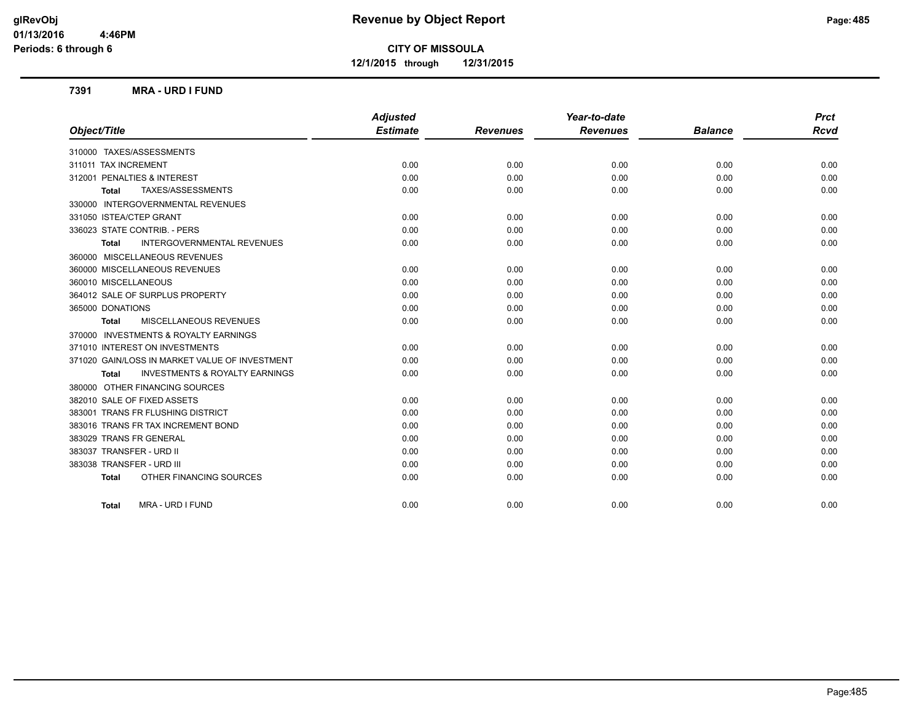**12/1/2015 through 12/31/2015**

#### **7391 MRA - URD I FUND**

|                                                    | <b>Adjusted</b> |                 | Year-to-date    |                | <b>Prct</b> |
|----------------------------------------------------|-----------------|-----------------|-----------------|----------------|-------------|
| Object/Title                                       | <b>Estimate</b> | <b>Revenues</b> | <b>Revenues</b> | <b>Balance</b> | <b>Rcvd</b> |
| 310000 TAXES/ASSESSMENTS                           |                 |                 |                 |                |             |
| 311011 TAX INCREMENT                               | 0.00            | 0.00            | 0.00            | 0.00           | 0.00        |
| 312001 PENALTIES & INTEREST                        | 0.00            | 0.00            | 0.00            | 0.00           | 0.00        |
| TAXES/ASSESSMENTS<br><b>Total</b>                  | 0.00            | 0.00            | 0.00            | 0.00           | 0.00        |
| 330000 INTERGOVERNMENTAL REVENUES                  |                 |                 |                 |                |             |
| 331050 ISTEA/CTEP GRANT                            | 0.00            | 0.00            | 0.00            | 0.00           | 0.00        |
| 336023 STATE CONTRIB. - PERS                       | 0.00            | 0.00            | 0.00            | 0.00           | 0.00        |
| <b>INTERGOVERNMENTAL REVENUES</b><br>Total         | 0.00            | 0.00            | 0.00            | 0.00           | 0.00        |
| 360000 MISCELLANEOUS REVENUES                      |                 |                 |                 |                |             |
| 360000 MISCELLANEOUS REVENUES                      | 0.00            | 0.00            | 0.00            | 0.00           | 0.00        |
| 360010 MISCELLANEOUS                               | 0.00            | 0.00            | 0.00            | 0.00           | 0.00        |
| 364012 SALE OF SURPLUS PROPERTY                    | 0.00            | 0.00            | 0.00            | 0.00           | 0.00        |
| 365000 DONATIONS                                   | 0.00            | 0.00            | 0.00            | 0.00           | 0.00        |
| <b>MISCELLANEOUS REVENUES</b><br><b>Total</b>      | 0.00            | 0.00            | 0.00            | 0.00           | 0.00        |
| 370000 INVESTMENTS & ROYALTY EARNINGS              |                 |                 |                 |                |             |
| 371010 INTEREST ON INVESTMENTS                     | 0.00            | 0.00            | 0.00            | 0.00           | 0.00        |
| 371020 GAIN/LOSS IN MARKET VALUE OF INVESTMENT     | 0.00            | 0.00            | 0.00            | 0.00           | 0.00        |
| <b>INVESTMENTS &amp; ROYALTY EARNINGS</b><br>Total | 0.00            | 0.00            | 0.00            | 0.00           | 0.00        |
| 380000 OTHER FINANCING SOURCES                     |                 |                 |                 |                |             |
| 382010 SALE OF FIXED ASSETS                        | 0.00            | 0.00            | 0.00            | 0.00           | 0.00        |
| 383001 TRANS FR FLUSHING DISTRICT                  | 0.00            | 0.00            | 0.00            | 0.00           | 0.00        |
| 383016 TRANS FR TAX INCREMENT BOND                 | 0.00            | 0.00            | 0.00            | 0.00           | 0.00        |
| 383029 TRANS FR GENERAL                            | 0.00            | 0.00            | 0.00            | 0.00           | 0.00        |
| 383037 TRANSFER - URD II                           | 0.00            | 0.00            | 0.00            | 0.00           | 0.00        |
| 383038 TRANSFER - URD III                          | 0.00            | 0.00            | 0.00            | 0.00           | 0.00        |
| OTHER FINANCING SOURCES<br><b>Total</b>            | 0.00            | 0.00            | 0.00            | 0.00           | 0.00        |
| MRA - URD I FUND<br><b>Total</b>                   | 0.00            | 0.00            | 0.00            | 0.00           | 0.00        |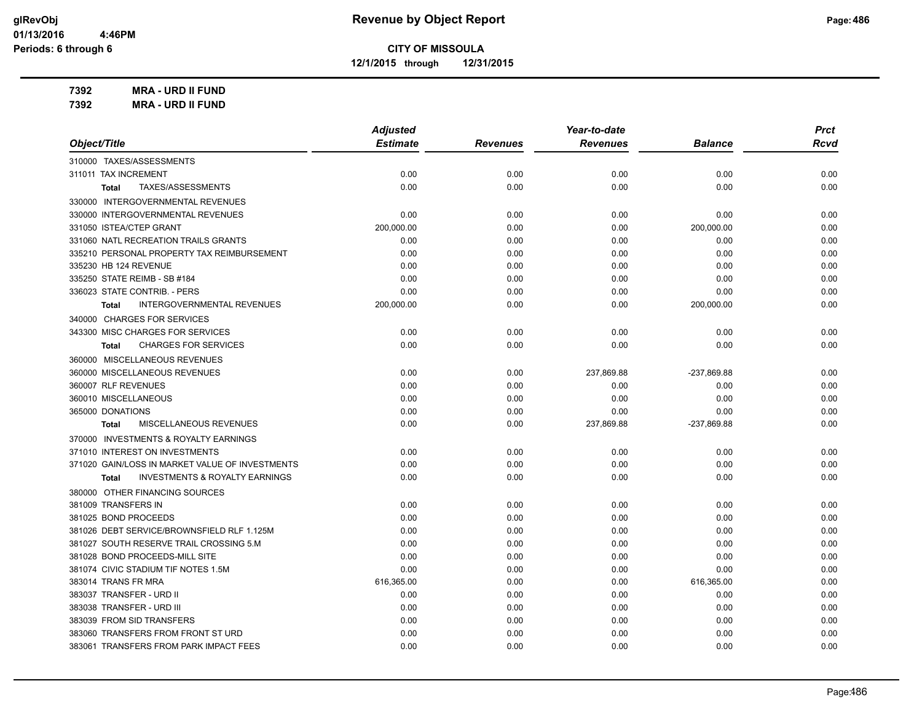**12/1/2015 through 12/31/2015**

**7392 MRA - URD II FUND**

| 7392 | <b>MRA - URD II FUND</b> |
|------|--------------------------|
|------|--------------------------|

|                                                           | <b>Adjusted</b> |                 | Year-to-date    |                | <b>Prct</b> |
|-----------------------------------------------------------|-----------------|-----------------|-----------------|----------------|-------------|
| Object/Title                                              | <b>Estimate</b> | <b>Revenues</b> | <b>Revenues</b> | <b>Balance</b> | Rcvd        |
| 310000 TAXES/ASSESSMENTS                                  |                 |                 |                 |                |             |
| 311011 TAX INCREMENT                                      | 0.00            | 0.00            | 0.00            | 0.00           | 0.00        |
| TAXES/ASSESSMENTS<br>Total                                | 0.00            | 0.00            | 0.00            | 0.00           | 0.00        |
| 330000 INTERGOVERNMENTAL REVENUES                         |                 |                 |                 |                |             |
| 330000 INTERGOVERNMENTAL REVENUES                         | 0.00            | 0.00            | 0.00            | 0.00           | 0.00        |
| 331050 ISTEA/CTEP GRANT                                   | 200,000.00      | 0.00            | 0.00            | 200,000.00     | 0.00        |
| 331060 NATL RECREATION TRAILS GRANTS                      | 0.00            | 0.00            | 0.00            | 0.00           | 0.00        |
| 335210 PERSONAL PROPERTY TAX REIMBURSEMENT                | 0.00            | 0.00            | 0.00            | 0.00           | 0.00        |
| 335230 HB 124 REVENUE                                     | 0.00            | 0.00            | 0.00            | 0.00           | 0.00        |
| 335250 STATE REIMB - SB #184                              | 0.00            | 0.00            | 0.00            | 0.00           | 0.00        |
| 336023 STATE CONTRIB. - PERS                              | 0.00            | 0.00            | 0.00            | 0.00           | 0.00        |
| <b>INTERGOVERNMENTAL REVENUES</b><br>Total                | 200,000.00      | 0.00            | 0.00            | 200,000.00     | 0.00        |
| 340000 CHARGES FOR SERVICES                               |                 |                 |                 |                |             |
| 343300 MISC CHARGES FOR SERVICES                          | 0.00            | 0.00            | 0.00            | 0.00           | 0.00        |
| <b>CHARGES FOR SERVICES</b><br><b>Total</b>               | 0.00            | 0.00            | 0.00            | 0.00           | 0.00        |
| 360000 MISCELLANEOUS REVENUES                             |                 |                 |                 |                |             |
| 360000 MISCELLANEOUS REVENUES                             | 0.00            | 0.00            | 237,869.88      | -237,869.88    | 0.00        |
| 360007 RLF REVENUES                                       | 0.00            | 0.00            | 0.00            | 0.00           | 0.00        |
| 360010 MISCELLANEOUS                                      | 0.00            | 0.00            | 0.00            | 0.00           | 0.00        |
| 365000 DONATIONS                                          | 0.00            | 0.00            | 0.00            | 0.00           | 0.00        |
| <b>MISCELLANEOUS REVENUES</b><br><b>Total</b>             | 0.00            | 0.00            | 237,869.88      | -237,869.88    | 0.00        |
| 370000 INVESTMENTS & ROYALTY EARNINGS                     |                 |                 |                 |                |             |
| 371010 INTEREST ON INVESTMENTS                            | 0.00            | 0.00            | 0.00            | 0.00           | 0.00        |
| 371020 GAIN/LOSS IN MARKET VALUE OF INVESTMENTS           | 0.00            | 0.00            | 0.00            | 0.00           | 0.00        |
| <b>INVESTMENTS &amp; ROYALTY EARNINGS</b><br><b>Total</b> | 0.00            | 0.00            | 0.00            | 0.00           | 0.00        |
| 380000 OTHER FINANCING SOURCES                            |                 |                 |                 |                |             |
| 381009 TRANSFERS IN                                       | 0.00            | 0.00            | 0.00            | 0.00           | 0.00        |
| 381025 BOND PROCEEDS                                      | 0.00            | 0.00            | 0.00            | 0.00           | 0.00        |
| 381026 DEBT SERVICE/BROWNSFIELD RLF 1.125M                | 0.00            | 0.00            | 0.00            | 0.00           | 0.00        |
| 381027 SOUTH RESERVE TRAIL CROSSING 5.M                   | 0.00            | 0.00            | 0.00            | 0.00           | 0.00        |
| 381028 BOND PROCEEDS-MILL SITE                            | 0.00            | 0.00            | 0.00            | 0.00           | 0.00        |
| 381074 CIVIC STADIUM TIF NOTES 1.5M                       | 0.00            | 0.00            | 0.00            | 0.00           | 0.00        |
| 383014 TRANS FR MRA                                       | 616,365.00      | 0.00            | 0.00            | 616,365.00     | 0.00        |
| 383037 TRANSFER - URD II                                  | 0.00            | 0.00            | 0.00            | 0.00           | 0.00        |
| 383038 TRANSFER - URD III                                 | 0.00            | 0.00            | 0.00            | 0.00           | 0.00        |
| 383039 FROM SID TRANSFERS                                 | 0.00            | 0.00            | 0.00            | 0.00           | 0.00        |
| 383060 TRANSFERS FROM FRONT ST URD                        | 0.00            | 0.00            | 0.00            | 0.00           | 0.00        |
| 383061 TRANSFERS FROM PARK IMPACT FEES                    | 0.00            | 0.00            | 0.00            | 0.00           | 0.00        |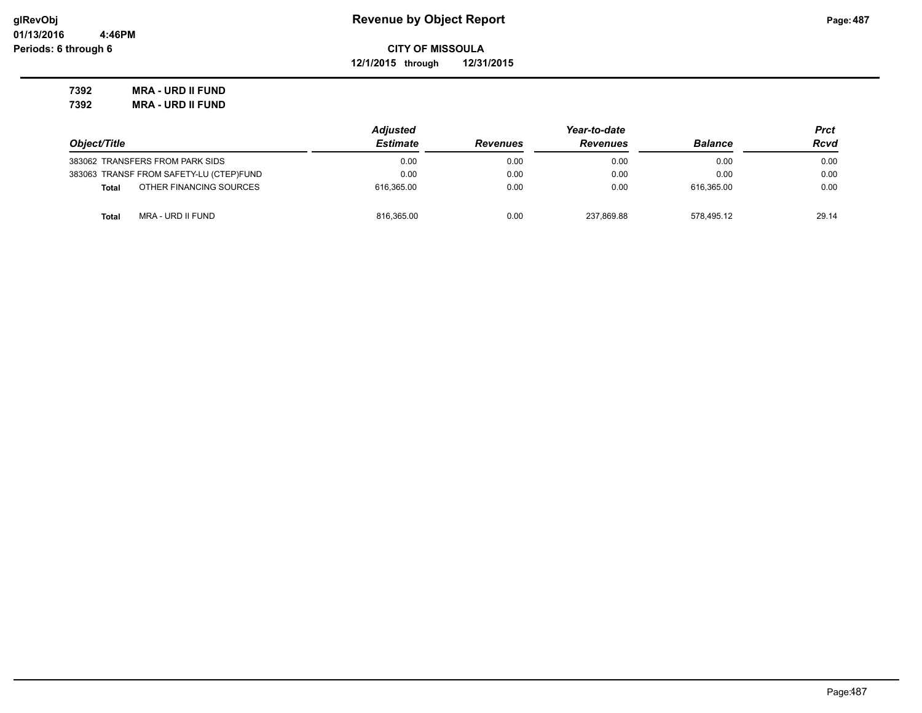**12/1/2015 through 12/31/2015**

**7392 MRA - URD II FUND 7392 MRA - URD II FUND**

|                                         | <b>Adjusted</b> |                 | Year-to-date    |                | Prct  |
|-----------------------------------------|-----------------|-----------------|-----------------|----------------|-------|
| Object/Title                            | <b>Estimate</b> | <b>Revenues</b> | <b>Revenues</b> | <b>Balance</b> | Rcvd  |
| 383062 TRANSFERS FROM PARK SIDS         | 0.00            | 0.00            | 0.00            | 0.00           | 0.00  |
| 383063 TRANSF FROM SAFETY-LU (CTEP)FUND | 0.00            | 0.00            | 0.00            | 0.00           | 0.00  |
| OTHER FINANCING SOURCES<br><b>Total</b> | 616.365.00      | 0.00            | 0.00            | 616.365.00     | 0.00  |
| MRA - URD II FUND<br><b>Total</b>       | 816.365.00      | 0.00            | 237.869.88      | 578.495.12     | 29.14 |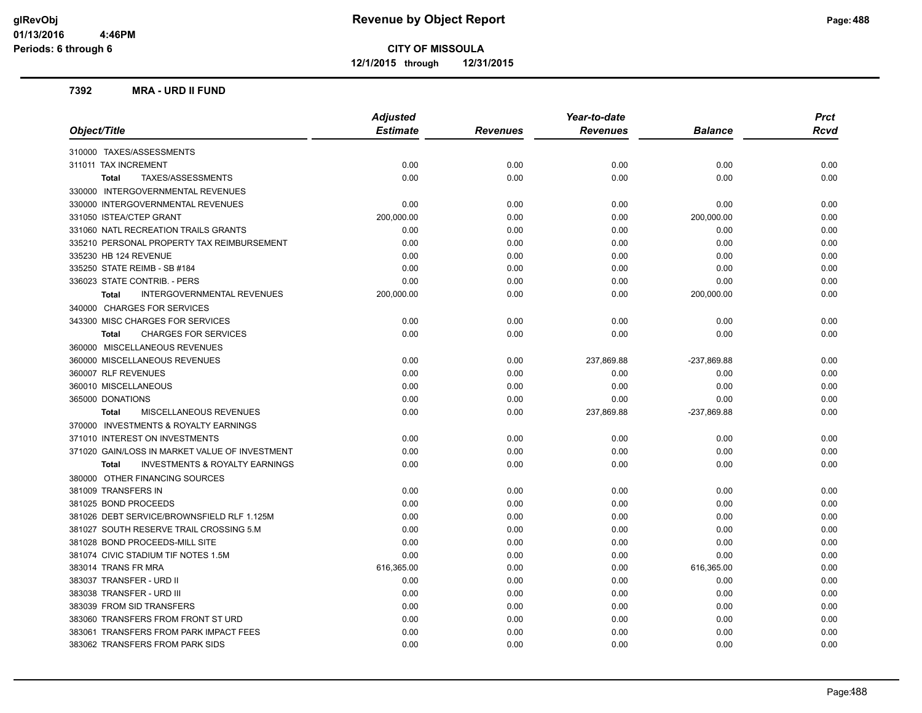**12/1/2015 through 12/31/2015**

#### **7392 MRA - URD II FUND**

|                                                    | <b>Adjusted</b> |                 | Year-to-date    |                | <b>Prct</b> |
|----------------------------------------------------|-----------------|-----------------|-----------------|----------------|-------------|
| Object/Title                                       | <b>Estimate</b> | <b>Revenues</b> | <b>Revenues</b> | <b>Balance</b> | Rcvd        |
| 310000 TAXES/ASSESSMENTS                           |                 |                 |                 |                |             |
| 311011 TAX INCREMENT                               | 0.00            | 0.00            | 0.00            | 0.00           | 0.00        |
| TAXES/ASSESSMENTS<br><b>Total</b>                  | 0.00            | 0.00            | 0.00            | 0.00           | 0.00        |
| 330000 INTERGOVERNMENTAL REVENUES                  |                 |                 |                 |                |             |
| 330000 INTERGOVERNMENTAL REVENUES                  | 0.00            | 0.00            | 0.00            | 0.00           | 0.00        |
| 331050 ISTEA/CTEP GRANT                            | 200,000.00      | 0.00            | 0.00            | 200,000.00     | 0.00        |
| 331060 NATL RECREATION TRAILS GRANTS               | 0.00            | 0.00            | 0.00            | 0.00           | 0.00        |
| 335210 PERSONAL PROPERTY TAX REIMBURSEMENT         | 0.00            | 0.00            | 0.00            | 0.00           | 0.00        |
| 335230 HB 124 REVENUE                              | 0.00            | 0.00            | 0.00            | 0.00           | 0.00        |
| 335250 STATE REIMB - SB #184                       | 0.00            | 0.00            | 0.00            | 0.00           | 0.00        |
| 336023 STATE CONTRIB. - PERS                       | 0.00            | 0.00            | 0.00            | 0.00           | 0.00        |
| INTERGOVERNMENTAL REVENUES<br><b>Total</b>         | 200,000.00      | 0.00            | 0.00            | 200,000.00     | 0.00        |
| 340000 CHARGES FOR SERVICES                        |                 |                 |                 |                |             |
| 343300 MISC CHARGES FOR SERVICES                   | 0.00            | 0.00            | 0.00            | 0.00           | 0.00        |
| <b>CHARGES FOR SERVICES</b><br><b>Total</b>        | 0.00            | 0.00            | 0.00            | 0.00           | 0.00        |
| 360000 MISCELLANEOUS REVENUES                      |                 |                 |                 |                |             |
| 360000 MISCELLANEOUS REVENUES                      | 0.00            | 0.00            | 237,869.88      | -237,869.88    | 0.00        |
| 360007 RLF REVENUES                                | 0.00            | 0.00            | 0.00            | 0.00           | 0.00        |
| 360010 MISCELLANEOUS                               | 0.00            | 0.00            | 0.00            | 0.00           | 0.00        |
| 365000 DONATIONS                                   | 0.00            | 0.00            | 0.00            | 0.00           | 0.00        |
| <b>MISCELLANEOUS REVENUES</b><br><b>Total</b>      | 0.00            | 0.00            | 237,869.88      | -237,869.88    | 0.00        |
| 370000 INVESTMENTS & ROYALTY EARNINGS              |                 |                 |                 |                |             |
| 371010 INTEREST ON INVESTMENTS                     | 0.00            | 0.00            | 0.00            | 0.00           | 0.00        |
| 371020 GAIN/LOSS IN MARKET VALUE OF INVESTMENT     | 0.00            | 0.00            | 0.00            | 0.00           | 0.00        |
| <b>INVESTMENTS &amp; ROYALTY EARNINGS</b><br>Total | 0.00            | 0.00            | 0.00            | 0.00           | 0.00        |
| 380000 OTHER FINANCING SOURCES                     |                 |                 |                 |                |             |
| 381009 TRANSFERS IN                                | 0.00            | 0.00            | 0.00            | 0.00           | 0.00        |
| 381025 BOND PROCEEDS                               | 0.00            | 0.00            | 0.00            | 0.00           | 0.00        |
| 381026 DEBT SERVICE/BROWNSFIELD RLF 1.125M         | 0.00            | 0.00            | 0.00            | 0.00           | 0.00        |
| 381027 SOUTH RESERVE TRAIL CROSSING 5.M            | 0.00            | 0.00            | 0.00            | 0.00           | 0.00        |
| 381028 BOND PROCEEDS-MILL SITE                     | 0.00            | 0.00            | 0.00            | 0.00           | 0.00        |
| 381074 CIVIC STADIUM TIF NOTES 1.5M                | 0.00            | 0.00            | 0.00            | 0.00           | 0.00        |
| 383014 TRANS FR MRA                                | 616,365.00      | 0.00            | 0.00            | 616,365.00     | 0.00        |
| 383037 TRANSFER - URD II                           | 0.00            | 0.00            | 0.00            | 0.00           | 0.00        |
| 383038 TRANSFER - URD III                          | 0.00            | 0.00            | 0.00            | 0.00           | 0.00        |
| 383039 FROM SID TRANSFERS                          | 0.00            | 0.00            | 0.00            | 0.00           | 0.00        |
| 383060 TRANSFERS FROM FRONT ST URD                 | 0.00            | 0.00            | 0.00            | 0.00           | 0.00        |
| 383061 TRANSFERS FROM PARK IMPACT FEES             | 0.00            | 0.00            | 0.00            | 0.00           | 0.00        |
| 383062 TRANSFERS FROM PARK SIDS                    | 0.00            | 0.00            | 0.00            | 0.00           | 0.00        |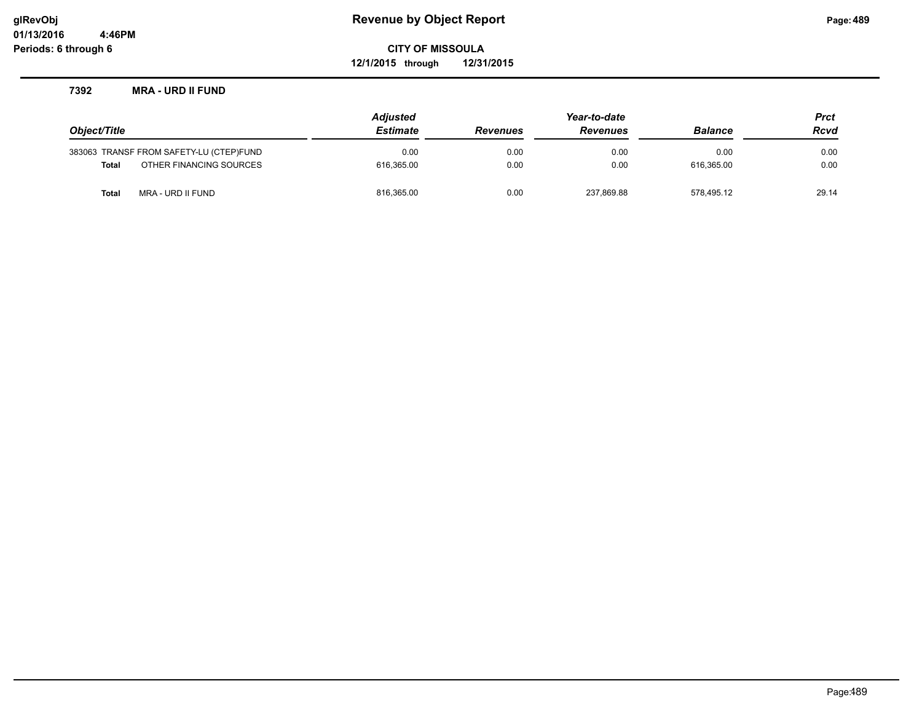**12/1/2015 through 12/31/2015**

#### **7392 MRA - URD II FUND**

|                                         | Adjusted        |                 | Year-to-date    |                | <b>Prct</b> |
|-----------------------------------------|-----------------|-----------------|-----------------|----------------|-------------|
| Object/Title                            | <b>Estimate</b> | <b>Revenues</b> | <b>Revenues</b> | <b>Balance</b> | <b>Rcvd</b> |
| 383063 TRANSF FROM SAFETY-LU (CTEP)FUND | 0.00            | 0.00            | 0.00            | 0.00           | 0.00        |
| OTHER FINANCING SOURCES<br><b>Total</b> | 616.365.00      | 0.00            | 0.00            | 616.365.00     | 0.00        |
| MRA - URD II FUND<br>Total              | 816,365.00      | 0.00            | 237,869.88      | 578.495.12     | 29.14       |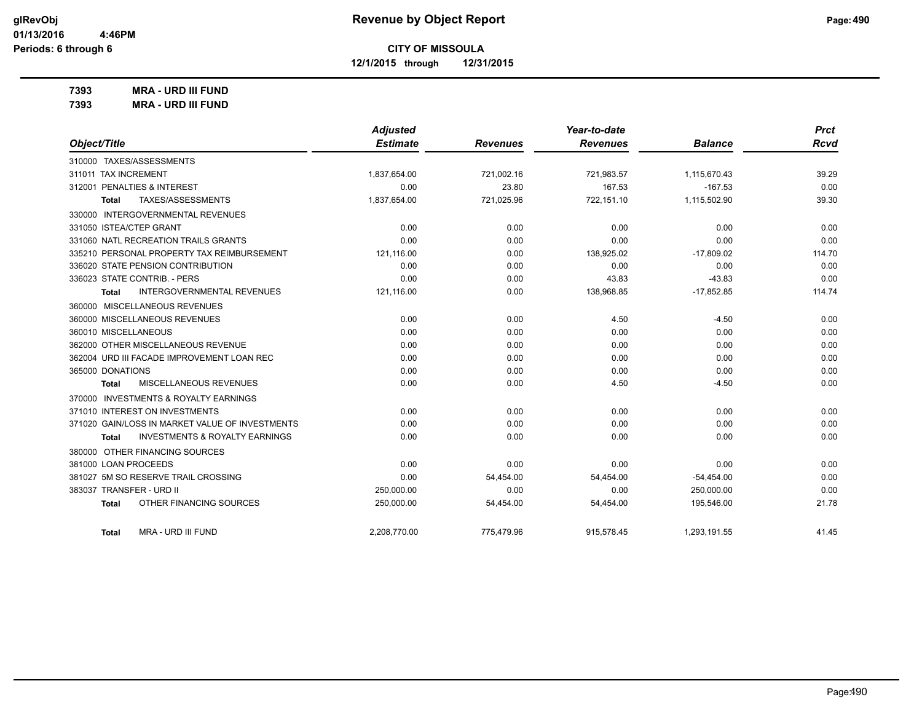**12/1/2015 through 12/31/2015**

**7393 MRA - URD III FUND**

| 7393 | <b>MRA - URD III FUND</b> |
|------|---------------------------|
|------|---------------------------|

|                                                    | <b>Adjusted</b> |                 | Year-to-date    |                | <b>Prct</b> |
|----------------------------------------------------|-----------------|-----------------|-----------------|----------------|-------------|
| Object/Title                                       | <b>Estimate</b> | <b>Revenues</b> | <b>Revenues</b> | <b>Balance</b> | <b>Rcvd</b> |
| 310000 TAXES/ASSESSMENTS                           |                 |                 |                 |                |             |
| 311011 TAX INCREMENT                               | 1,837,654.00    | 721.002.16      | 721,983.57      | 1,115,670.43   | 39.29       |
| 312001 PENALTIES & INTEREST                        | 0.00            | 23.80           | 167.53          | $-167.53$      | 0.00        |
| <b>TAXES/ASSESSMENTS</b><br>Total                  | 1,837,654.00    | 721,025.96      | 722.151.10      | 1,115,502.90   | 39.30       |
| 330000 INTERGOVERNMENTAL REVENUES                  |                 |                 |                 |                |             |
| 331050 ISTEA/CTEP GRANT                            | 0.00            | 0.00            | 0.00            | 0.00           | 0.00        |
| 331060 NATL RECREATION TRAILS GRANTS               | 0.00            | 0.00            | 0.00            | 0.00           | 0.00        |
| 335210 PERSONAL PROPERTY TAX REIMBURSEMENT         | 121,116.00      | 0.00            | 138,925.02      | $-17,809.02$   | 114.70      |
| 336020 STATE PENSION CONTRIBUTION                  | 0.00            | 0.00            | 0.00            | 0.00           | 0.00        |
| 336023 STATE CONTRIB. - PERS                       | 0.00            | 0.00            | 43.83           | $-43.83$       | 0.00        |
| <b>INTERGOVERNMENTAL REVENUES</b><br>Total         | 121,116.00      | 0.00            | 138,968.85      | $-17,852.85$   | 114.74      |
| 360000 MISCELLANEOUS REVENUES                      |                 |                 |                 |                |             |
| 360000 MISCELLANEOUS REVENUES                      | 0.00            | 0.00            | 4.50            | $-4.50$        | 0.00        |
| 360010 MISCELLANEOUS                               | 0.00            | 0.00            | 0.00            | 0.00           | 0.00        |
| 362000 OTHER MISCELLANEOUS REVENUE                 | 0.00            | 0.00            | 0.00            | 0.00           | 0.00        |
| 362004 URD III FACADE IMPROVEMENT LOAN REC         | 0.00            | 0.00            | 0.00            | 0.00           | 0.00        |
| 365000 DONATIONS                                   | 0.00            | 0.00            | 0.00            | 0.00           | 0.00        |
| MISCELLANEOUS REVENUES<br>Total                    | 0.00            | 0.00            | 4.50            | $-4.50$        | 0.00        |
| 370000 INVESTMENTS & ROYALTY EARNINGS              |                 |                 |                 |                |             |
| 371010 INTEREST ON INVESTMENTS                     | 0.00            | 0.00            | 0.00            | 0.00           | 0.00        |
| 371020 GAIN/LOSS IN MARKET VALUE OF INVESTMENTS    | 0.00            | 0.00            | 0.00            | 0.00           | 0.00        |
| <b>INVESTMENTS &amp; ROYALTY EARNINGS</b><br>Total | 0.00            | 0.00            | 0.00            | 0.00           | 0.00        |
| 380000 OTHER FINANCING SOURCES                     |                 |                 |                 |                |             |
| 381000 LOAN PROCEEDS                               | 0.00            | 0.00            | 0.00            | 0.00           | 0.00        |
| 381027 5M SO RESERVE TRAIL CROSSING                | 0.00            | 54,454.00       | 54,454.00       | $-54,454.00$   | 0.00        |
| 383037 TRANSFER - URD II                           | 250,000.00      | 0.00            | 0.00            | 250,000.00     | 0.00        |
| OTHER FINANCING SOURCES<br><b>Total</b>            | 250,000.00      | 54,454.00       | 54,454.00       | 195,546.00     | 21.78       |
| MRA - URD III FUND<br>Total                        | 2,208,770.00    | 775,479.96      | 915,578.45      | 1,293,191.55   | 41.45       |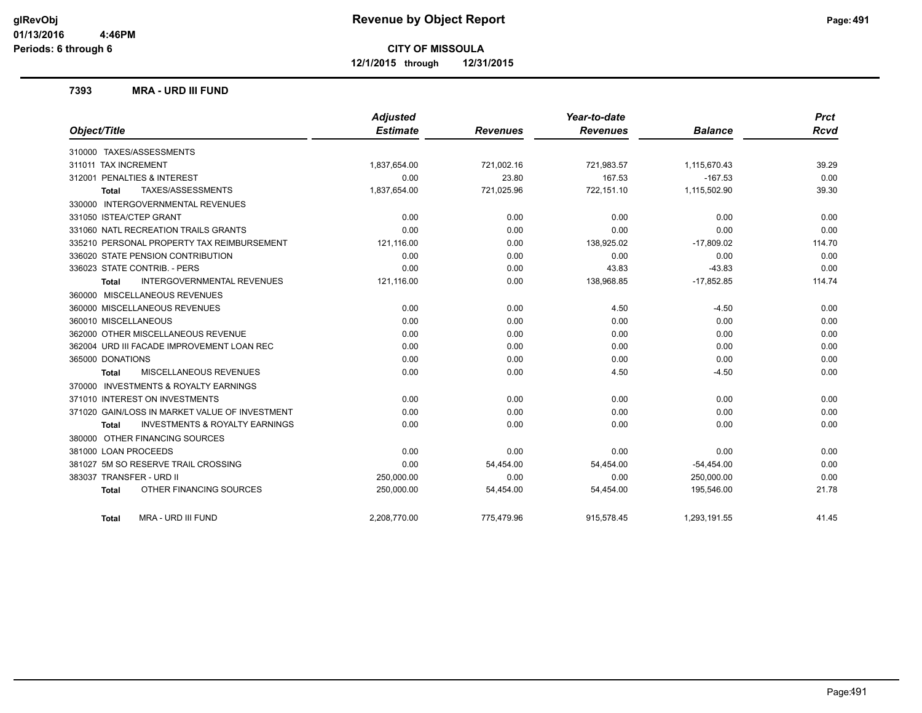**12/1/2015 through 12/31/2015**

#### **7393 MRA - URD III FUND**

|                                                    | <b>Adjusted</b> |                 | Year-to-date    |                | <b>Prct</b> |
|----------------------------------------------------|-----------------|-----------------|-----------------|----------------|-------------|
| Object/Title                                       | <b>Estimate</b> | <b>Revenues</b> | <b>Revenues</b> | <b>Balance</b> | <b>Rcvd</b> |
| 310000 TAXES/ASSESSMENTS                           |                 |                 |                 |                |             |
| 311011 TAX INCREMENT                               | 1,837,654.00    | 721,002.16      | 721,983.57      | 1,115,670.43   | 39.29       |
| 312001 PENALTIES & INTEREST                        | 0.00            | 23.80           | 167.53          | $-167.53$      | 0.00        |
| TAXES/ASSESSMENTS<br><b>Total</b>                  | 1,837,654.00    | 721,025.96      | 722,151.10      | 1,115,502.90   | 39.30       |
| 330000 INTERGOVERNMENTAL REVENUES                  |                 |                 |                 |                |             |
| 331050 ISTEA/CTEP GRANT                            | 0.00            | 0.00            | 0.00            | 0.00           | 0.00        |
| 331060 NATL RECREATION TRAILS GRANTS               | 0.00            | 0.00            | 0.00            | 0.00           | 0.00        |
| 335210 PERSONAL PROPERTY TAX REIMBURSEMENT         | 121,116.00      | 0.00            | 138,925.02      | $-17,809.02$   | 114.70      |
| 336020 STATE PENSION CONTRIBUTION                  | 0.00            | 0.00            | 0.00            | 0.00           | 0.00        |
| 336023 STATE CONTRIB. - PERS                       | 0.00            | 0.00            | 43.83           | $-43.83$       | 0.00        |
| <b>INTERGOVERNMENTAL REVENUES</b><br><b>Total</b>  | 121,116.00      | 0.00            | 138,968.85      | $-17,852.85$   | 114.74      |
| 360000 MISCELLANEOUS REVENUES                      |                 |                 |                 |                |             |
| 360000 MISCELLANEOUS REVENUES                      | 0.00            | 0.00            | 4.50            | $-4.50$        | 0.00        |
| 360010 MISCELLANEOUS                               | 0.00            | 0.00            | 0.00            | 0.00           | 0.00        |
| 362000 OTHER MISCELLANEOUS REVENUE                 | 0.00            | 0.00            | 0.00            | 0.00           | 0.00        |
| 362004 URD III FACADE IMPROVEMENT LOAN REC         | 0.00            | 0.00            | 0.00            | 0.00           | 0.00        |
| 365000 DONATIONS                                   | 0.00            | 0.00            | 0.00            | 0.00           | 0.00        |
| MISCELLANEOUS REVENUES<br>Total                    | 0.00            | 0.00            | 4.50            | $-4.50$        | 0.00        |
| 370000 INVESTMENTS & ROYALTY EARNINGS              |                 |                 |                 |                |             |
| 371010 INTEREST ON INVESTMENTS                     | 0.00            | 0.00            | 0.00            | 0.00           | 0.00        |
| 371020 GAIN/LOSS IN MARKET VALUE OF INVESTMENT     | 0.00            | 0.00            | 0.00            | 0.00           | 0.00        |
| <b>INVESTMENTS &amp; ROYALTY EARNINGS</b><br>Total | 0.00            | 0.00            | 0.00            | 0.00           | 0.00        |
| 380000 OTHER FINANCING SOURCES                     |                 |                 |                 |                |             |
| 381000 LOAN PROCEEDS                               | 0.00            | 0.00            | 0.00            | 0.00           | 0.00        |
| 381027 5M SO RESERVE TRAIL CROSSING                | 0.00            | 54,454.00       | 54,454.00       | $-54,454.00$   | 0.00        |
| 383037 TRANSFER - URD II                           | 250,000.00      | 0.00            | 0.00            | 250,000.00     | 0.00        |
| OTHER FINANCING SOURCES<br><b>Total</b>            | 250,000.00      | 54,454.00       | 54,454.00       | 195,546.00     | 21.78       |
| MRA - URD III FUND<br>Total                        | 2,208,770.00    | 775.479.96      | 915,578.45      | 1,293,191.55   | 41.45       |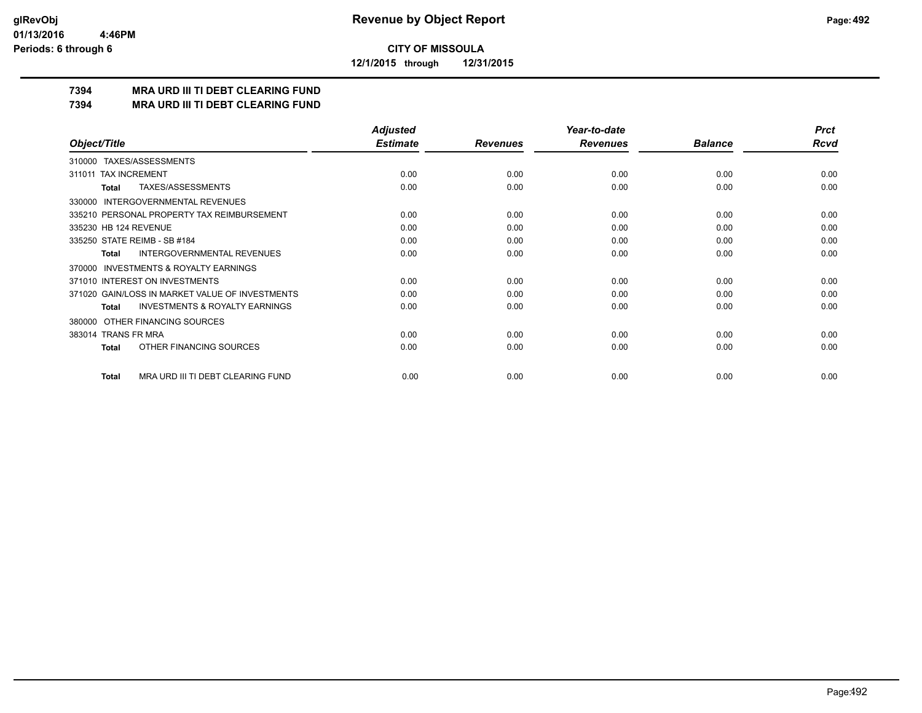**12/1/2015 through 12/31/2015**

## **7394 MRA URD III TI DEBT CLEARING FUND**

**7394 MRA URD III TI DEBT CLEARING FUND**

|                                                           | <b>Adjusted</b> |                 | Year-to-date    |                | <b>Prct</b> |
|-----------------------------------------------------------|-----------------|-----------------|-----------------|----------------|-------------|
| Object/Title                                              | <b>Estimate</b> | <b>Revenues</b> | <b>Revenues</b> | <b>Balance</b> | <b>Rcvd</b> |
| 310000 TAXES/ASSESSMENTS                                  |                 |                 |                 |                |             |
| <b>TAX INCREMENT</b><br>311011                            | 0.00            | 0.00            | 0.00            | 0.00           | 0.00        |
| TAXES/ASSESSMENTS<br><b>Total</b>                         | 0.00            | 0.00            | 0.00            | 0.00           | 0.00        |
| <b>INTERGOVERNMENTAL REVENUES</b><br>330000               |                 |                 |                 |                |             |
| 335210 PERSONAL PROPERTY TAX REIMBURSEMENT                | 0.00            | 0.00            | 0.00            | 0.00           | 0.00        |
| 335230 HB 124 REVENUE                                     | 0.00            | 0.00            | 0.00            | 0.00           | 0.00        |
| 335250 STATE REIMB - SB #184                              | 0.00            | 0.00            | 0.00            | 0.00           | 0.00        |
| INTERGOVERNMENTAL REVENUES<br><b>Total</b>                | 0.00            | 0.00            | 0.00            | 0.00           | 0.00        |
| <b>INVESTMENTS &amp; ROYALTY EARNINGS</b><br>370000       |                 |                 |                 |                |             |
| 371010 INTEREST ON INVESTMENTS                            | 0.00            | 0.00            | 0.00            | 0.00           | 0.00        |
| 371020 GAIN/LOSS IN MARKET VALUE OF INVESTMENTS           | 0.00            | 0.00            | 0.00            | 0.00           | 0.00        |
| <b>INVESTMENTS &amp; ROYALTY EARNINGS</b><br><b>Total</b> | 0.00            | 0.00            | 0.00            | 0.00           | 0.00        |
| OTHER FINANCING SOURCES<br>380000                         |                 |                 |                 |                |             |
| 383014 TRANS FR MRA                                       | 0.00            | 0.00            | 0.00            | 0.00           | 0.00        |
| OTHER FINANCING SOURCES<br><b>Total</b>                   | 0.00            | 0.00            | 0.00            | 0.00           | 0.00        |
| MRA URD III TI DEBT CLEARING FUND<br><b>Total</b>         | 0.00            | 0.00            | 0.00            | 0.00           | 0.00        |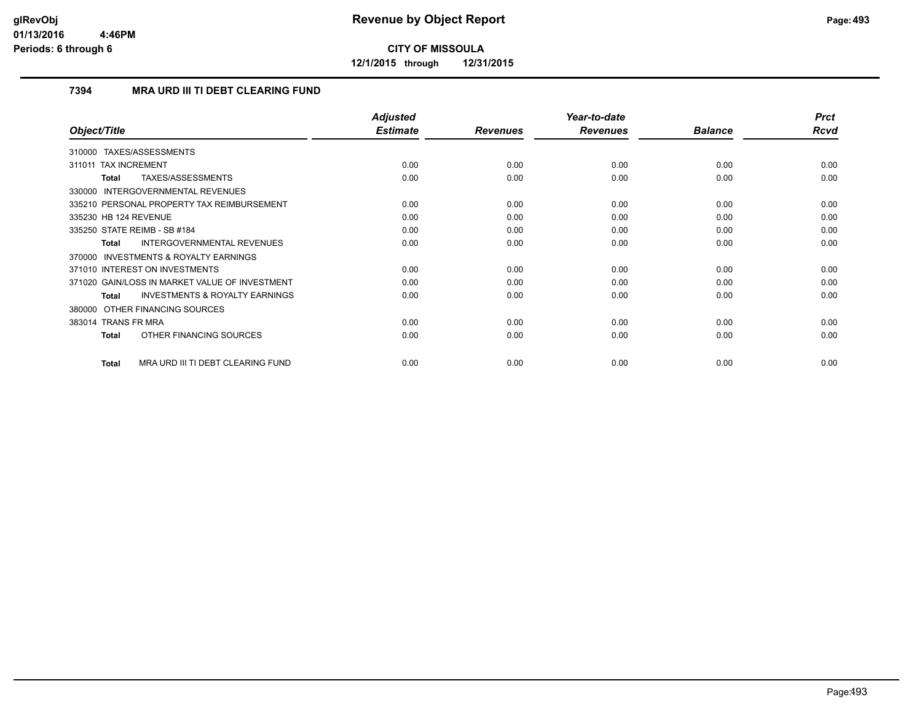**12/1/2015 through 12/31/2015**

## **7394 MRA URD III TI DEBT CLEARING FUND**

|                                                     | <b>Adjusted</b> |                 | Year-to-date    |                | <b>Prct</b> |
|-----------------------------------------------------|-----------------|-----------------|-----------------|----------------|-------------|
| Object/Title                                        | <b>Estimate</b> | <b>Revenues</b> | <b>Revenues</b> | <b>Balance</b> | Rcvd        |
| 310000 TAXES/ASSESSMENTS                            |                 |                 |                 |                |             |
| 311011 TAX INCREMENT                                | 0.00            | 0.00            | 0.00            | 0.00           | 0.00        |
| TAXES/ASSESSMENTS<br>Total                          | 0.00            | 0.00            | 0.00            | 0.00           | 0.00        |
| 330000 INTERGOVERNMENTAL REVENUES                   |                 |                 |                 |                |             |
| 335210 PERSONAL PROPERTY TAX REIMBURSEMENT          | 0.00            | 0.00            | 0.00            | 0.00           | 0.00        |
| 335230 HB 124 REVENUE                               | 0.00            | 0.00            | 0.00            | 0.00           | 0.00        |
| 335250 STATE REIMB - SB #184                        | 0.00            | 0.00            | 0.00            | 0.00           | 0.00        |
| <b>INTERGOVERNMENTAL REVENUES</b><br>Total          | 0.00            | 0.00            | 0.00            | 0.00           | 0.00        |
| <b>INVESTMENTS &amp; ROYALTY EARNINGS</b><br>370000 |                 |                 |                 |                |             |
| 371010 INTEREST ON INVESTMENTS                      | 0.00            | 0.00            | 0.00            | 0.00           | 0.00        |
| 371020 GAIN/LOSS IN MARKET VALUE OF INVESTMENT      | 0.00            | 0.00            | 0.00            | 0.00           | 0.00        |
| <b>INVESTMENTS &amp; ROYALTY EARNINGS</b><br>Total  | 0.00            | 0.00            | 0.00            | 0.00           | 0.00        |
| 380000 OTHER FINANCING SOURCES                      |                 |                 |                 |                |             |
| 383014 TRANS FR MRA                                 | 0.00            | 0.00            | 0.00            | 0.00           | 0.00        |
| OTHER FINANCING SOURCES<br>Total                    | 0.00            | 0.00            | 0.00            | 0.00           | 0.00        |
| MRA URD III TI DEBT CLEARING FUND<br>Total          | 0.00            | 0.00            | 0.00            | 0.00           | 0.00        |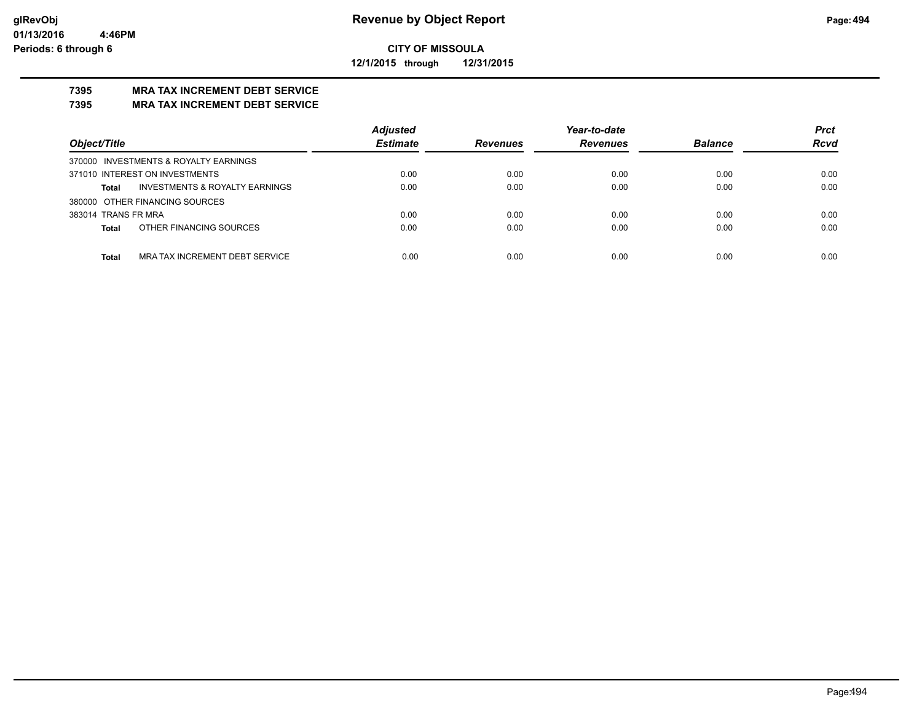**12/1/2015 through 12/31/2015**

## **7395 MRA TAX INCREMENT DEBT SERVICE**

## **7395 MRA TAX INCREMENT DEBT SERVICE**

|                                                    | <b>Adjusted</b> |                 | Year-to-date    |                | <b>Prct</b> |
|----------------------------------------------------|-----------------|-----------------|-----------------|----------------|-------------|
| Object/Title                                       | <b>Estimate</b> | <b>Revenues</b> | <b>Revenues</b> | <b>Balance</b> | <b>Rcvd</b> |
| 370000 INVESTMENTS & ROYALTY EARNINGS              |                 |                 |                 |                |             |
| 371010 INTEREST ON INVESTMENTS                     | 0.00            | 0.00            | 0.00            | 0.00           | 0.00        |
| <b>INVESTMENTS &amp; ROYALTY EARNINGS</b><br>Total | 0.00            | 0.00            | 0.00            | 0.00           | 0.00        |
| 380000 OTHER FINANCING SOURCES                     |                 |                 |                 |                |             |
| 383014 TRANS FR MRA                                | 0.00            | 0.00            | 0.00            | 0.00           | 0.00        |
| OTHER FINANCING SOURCES<br>Total                   | 0.00            | 0.00            | 0.00            | 0.00           | 0.00        |
|                                                    |                 |                 |                 |                |             |
| MRA TAX INCREMENT DEBT SERVICE<br><b>Total</b>     | 0.00            | 0.00            | 0.00            | 0.00           | 0.00        |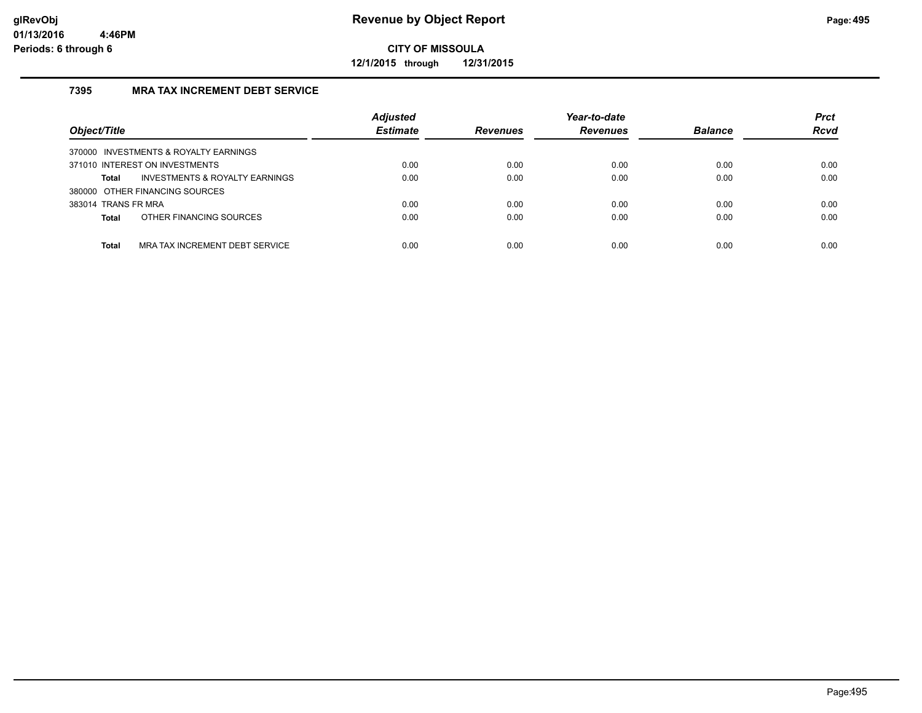**12/1/2015 through 12/31/2015**

## **7395 MRA TAX INCREMENT DEBT SERVICE**

| Object/Title                                   | <b>Adjusted</b><br><b>Estimate</b> | <b>Revenues</b> | Year-to-date<br><b>Revenues</b> | <b>Balance</b> | <b>Prct</b><br><b>Rcvd</b> |
|------------------------------------------------|------------------------------------|-----------------|---------------------------------|----------------|----------------------------|
| 370000 INVESTMENTS & ROYALTY EARNINGS          |                                    |                 |                                 |                |                            |
| 371010 INTEREST ON INVESTMENTS                 | 0.00                               | 0.00            | 0.00                            | 0.00           | 0.00                       |
| INVESTMENTS & ROYALTY EARNINGS<br><b>Total</b> | 0.00                               | 0.00            | 0.00                            | 0.00           | 0.00                       |
| 380000 OTHER FINANCING SOURCES                 |                                    |                 |                                 |                |                            |
| 383014 TRANS FR MRA                            | 0.00                               | 0.00            | 0.00                            | 0.00           | 0.00                       |
| OTHER FINANCING SOURCES<br><b>Total</b>        | 0.00                               | 0.00            | 0.00                            | 0.00           | 0.00                       |
|                                                |                                    |                 |                                 |                |                            |
| MRA TAX INCREMENT DEBT SERVICE<br><b>Total</b> | 0.00                               | 0.00            | 0.00                            | 0.00           | 0.00                       |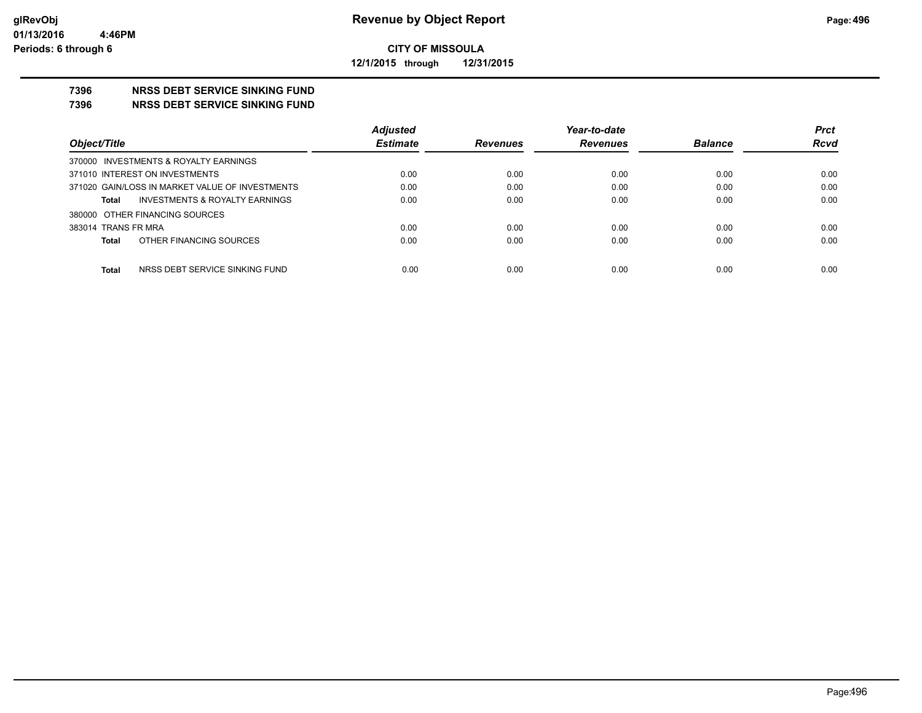**12/1/2015 through 12/31/2015**

## **7396 NRSS DEBT SERVICE SINKING FUND**

**7396 NRSS DEBT SERVICE SINKING FUND**

|                                                           | <b>Adjusted</b> |                 | Year-to-date    |                | <b>Prct</b> |
|-----------------------------------------------------------|-----------------|-----------------|-----------------|----------------|-------------|
| Object/Title                                              | <b>Estimate</b> | <b>Revenues</b> | <b>Revenues</b> | <b>Balance</b> | <b>Rcvd</b> |
| 370000 INVESTMENTS & ROYALTY EARNINGS                     |                 |                 |                 |                |             |
| 371010 INTEREST ON INVESTMENTS                            | 0.00            | 0.00            | 0.00            | 0.00           | 0.00        |
| 371020 GAIN/LOSS IN MARKET VALUE OF INVESTMENTS           | 0.00            | 0.00            | 0.00            | 0.00           | 0.00        |
| <b>INVESTMENTS &amp; ROYALTY EARNINGS</b><br><b>Total</b> | 0.00            | 0.00            | 0.00            | 0.00           | 0.00        |
| 380000 OTHER FINANCING SOURCES                            |                 |                 |                 |                |             |
| 383014 TRANS FR MRA                                       | 0.00            | 0.00            | 0.00            | 0.00           | 0.00        |
| OTHER FINANCING SOURCES<br><b>Total</b>                   | 0.00            | 0.00            | 0.00            | 0.00           | 0.00        |
|                                                           |                 |                 |                 |                |             |
| <b>Total</b><br>NRSS DEBT SERVICE SINKING FUND            | 0.00            | 0.00            | 0.00            | 0.00           | 0.00        |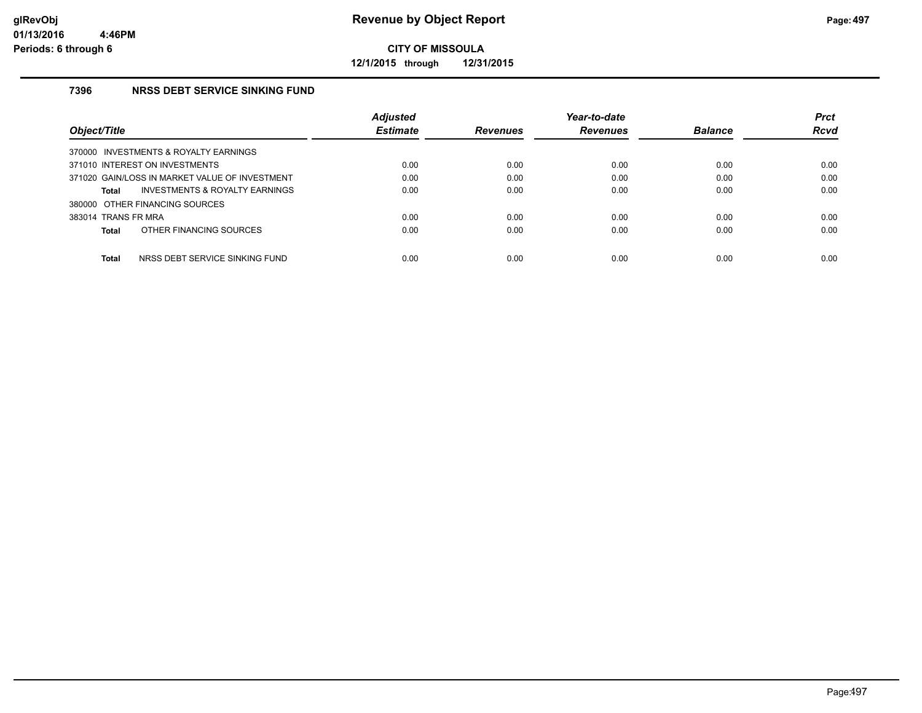**12/1/2015 through 12/31/2015**

### **7396 NRSS DEBT SERVICE SINKING FUND**

|                                                | <b>Adjusted</b> |                 | Year-to-date    |                | <b>Prct</b> |
|------------------------------------------------|-----------------|-----------------|-----------------|----------------|-------------|
| Object/Title                                   | <b>Estimate</b> | <b>Revenues</b> | <b>Revenues</b> | <b>Balance</b> | <b>Rcvd</b> |
| 370000 INVESTMENTS & ROYALTY EARNINGS          |                 |                 |                 |                |             |
| 371010 INTEREST ON INVESTMENTS                 | 0.00            | 0.00            | 0.00            | 0.00           | 0.00        |
| 371020 GAIN/LOSS IN MARKET VALUE OF INVESTMENT | 0.00            | 0.00            | 0.00            | 0.00           | 0.00        |
| INVESTMENTS & ROYALTY EARNINGS<br>Total        | 0.00            | 0.00            | 0.00            | 0.00           | 0.00        |
| 380000 OTHER FINANCING SOURCES                 |                 |                 |                 |                |             |
| 383014 TRANS FR MRA                            | 0.00            | 0.00            | 0.00            | 0.00           | 0.00        |
| OTHER FINANCING SOURCES<br><b>Total</b>        | 0.00            | 0.00            | 0.00            | 0.00           | 0.00        |
|                                                |                 |                 |                 |                |             |
| <b>Total</b><br>NRSS DEBT SERVICE SINKING FUND | 0.00            | 0.00            | 0.00            | 0.00           | 0.00        |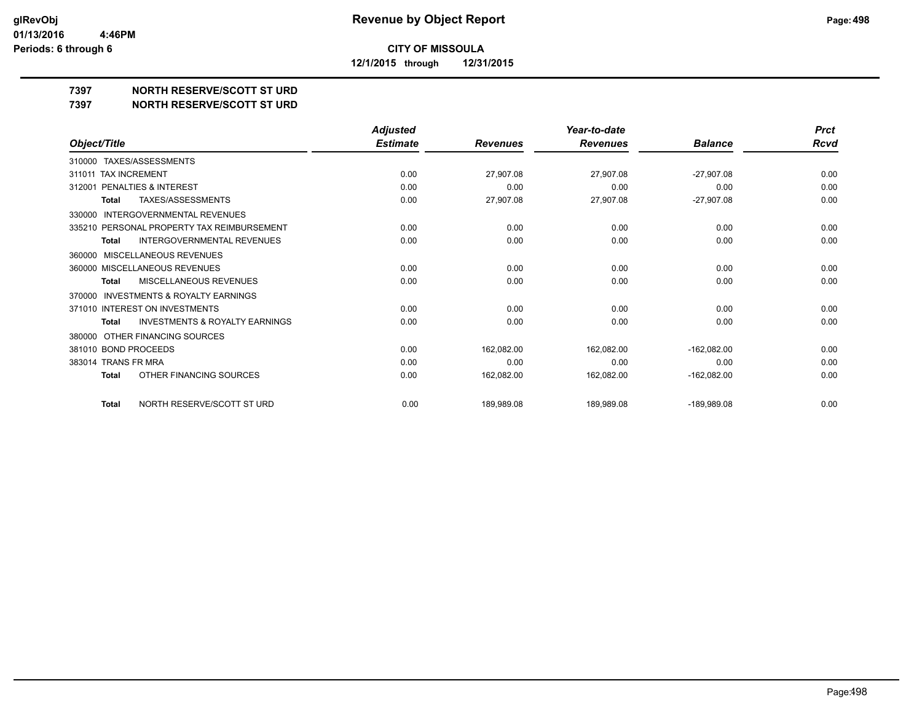**12/1/2015 through 12/31/2015**

## **7397 NORTH RESERVE/SCOTT ST URD**

**7397 NORTH RESERVE/SCOTT ST URD**

|                                                           | <b>Adjusted</b> |                 | Year-to-date    |                | <b>Prct</b> |
|-----------------------------------------------------------|-----------------|-----------------|-----------------|----------------|-------------|
| Object/Title                                              | <b>Estimate</b> | <b>Revenues</b> | <b>Revenues</b> | <b>Balance</b> | <b>Rcvd</b> |
| TAXES/ASSESSMENTS<br>310000                               |                 |                 |                 |                |             |
| 311011 TAX INCREMENT                                      | 0.00            | 27,907.08       | 27,907.08       | $-27,907.08$   | 0.00        |
| <b>PENALTIES &amp; INTEREST</b><br>312001                 | 0.00            | 0.00            | 0.00            | 0.00           | 0.00        |
| <b>TAXES/ASSESSMENTS</b><br><b>Total</b>                  | 0.00            | 27,907.08       | 27,907.08       | $-27,907.08$   | 0.00        |
| <b>INTERGOVERNMENTAL REVENUES</b><br>330000               |                 |                 |                 |                |             |
| 335210 PERSONAL PROPERTY TAX REIMBURSEMENT                | 0.00            | 0.00            | 0.00            | 0.00           | 0.00        |
| <b>INTERGOVERNMENTAL REVENUES</b><br>Total                | 0.00            | 0.00            | 0.00            | 0.00           | 0.00        |
| <b>MISCELLANEOUS REVENUES</b><br>360000                   |                 |                 |                 |                |             |
| 360000 MISCELLANEOUS REVENUES                             | 0.00            | 0.00            | 0.00            | 0.00           | 0.00        |
| <b>MISCELLANEOUS REVENUES</b><br><b>Total</b>             | 0.00            | 0.00            | 0.00            | 0.00           | 0.00        |
| <b>INVESTMENTS &amp; ROYALTY EARNINGS</b><br>370000       |                 |                 |                 |                |             |
| 371010 INTEREST ON INVESTMENTS                            | 0.00            | 0.00            | 0.00            | 0.00           | 0.00        |
| <b>INVESTMENTS &amp; ROYALTY EARNINGS</b><br><b>Total</b> | 0.00            | 0.00            | 0.00            | 0.00           | 0.00        |
| OTHER FINANCING SOURCES<br>380000                         |                 |                 |                 |                |             |
| 381010 BOND PROCEEDS                                      | 0.00            | 162,082.00      | 162,082.00      | $-162,082.00$  | 0.00        |
| 383014 TRANS FR MRA                                       | 0.00            | 0.00            | 0.00            | 0.00           | 0.00        |
| OTHER FINANCING SOURCES<br><b>Total</b>                   | 0.00            | 162,082.00      | 162,082.00      | $-162,082.00$  | 0.00        |
| NORTH RESERVE/SCOTT ST URD<br><b>Total</b>                | 0.00            | 189,989.08      | 189,989.08      | $-189,989.08$  | 0.00        |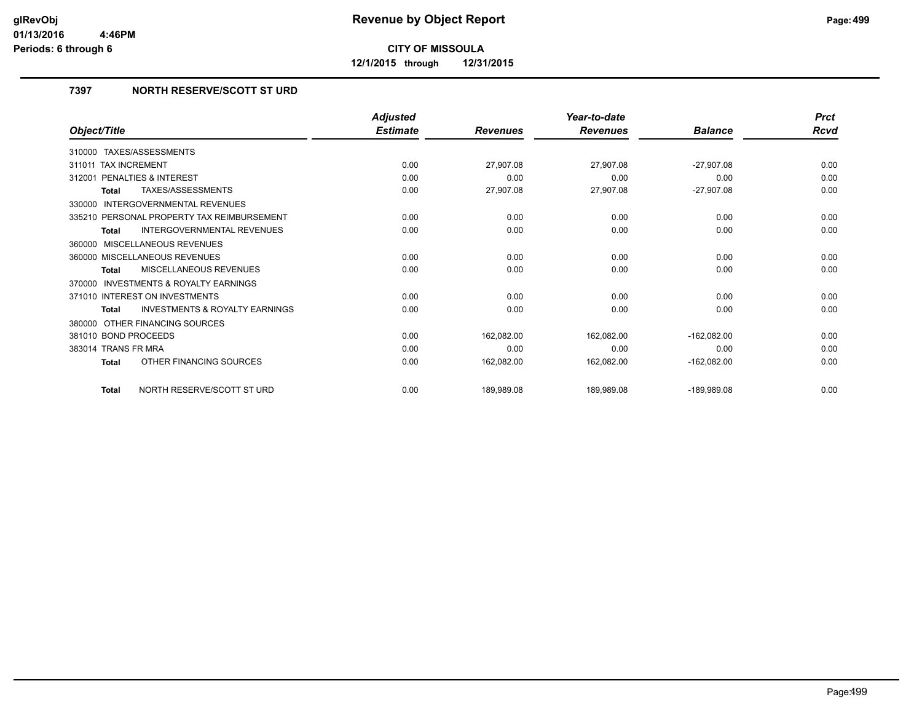**12/1/2015 through 12/31/2015**

## **7397 NORTH RESERVE/SCOTT ST URD**

|                                                           | <b>Adjusted</b> |                 | Year-to-date    |                | <b>Prct</b> |
|-----------------------------------------------------------|-----------------|-----------------|-----------------|----------------|-------------|
| Object/Title                                              | <b>Estimate</b> | <b>Revenues</b> | <b>Revenues</b> | <b>Balance</b> | Rcvd        |
| 310000 TAXES/ASSESSMENTS                                  |                 |                 |                 |                |             |
| 311011 TAX INCREMENT                                      | 0.00            | 27,907.08       | 27,907.08       | $-27,907.08$   | 0.00        |
| 312001 PENALTIES & INTEREST                               | 0.00            | 0.00            | 0.00            | 0.00           | 0.00        |
| <b>TAXES/ASSESSMENTS</b><br><b>Total</b>                  | 0.00            | 27,907.08       | 27,907.08       | $-27,907.08$   | 0.00        |
| <b>INTERGOVERNMENTAL REVENUES</b><br>330000               |                 |                 |                 |                |             |
| 335210 PERSONAL PROPERTY TAX REIMBURSEMENT                | 0.00            | 0.00            | 0.00            | 0.00           | 0.00        |
| <b>INTERGOVERNMENTAL REVENUES</b><br><b>Total</b>         | 0.00            | 0.00            | 0.00            | 0.00           | 0.00        |
| 360000 MISCELLANEOUS REVENUES                             |                 |                 |                 |                |             |
| 360000 MISCELLANEOUS REVENUES                             | 0.00            | 0.00            | 0.00            | 0.00           | 0.00        |
| MISCELLANEOUS REVENUES<br>Total                           | 0.00            | 0.00            | 0.00            | 0.00           | 0.00        |
| <b>INVESTMENTS &amp; ROYALTY EARNINGS</b><br>370000       |                 |                 |                 |                |             |
| 371010 INTEREST ON INVESTMENTS                            | 0.00            | 0.00            | 0.00            | 0.00           | 0.00        |
| <b>INVESTMENTS &amp; ROYALTY EARNINGS</b><br><b>Total</b> | 0.00            | 0.00            | 0.00            | 0.00           | 0.00        |
| OTHER FINANCING SOURCES<br>380000                         |                 |                 |                 |                |             |
| 381010 BOND PROCEEDS                                      | 0.00            | 162,082.00      | 162,082.00      | $-162,082.00$  | 0.00        |
| 383014 TRANS FR MRA                                       | 0.00            | 0.00            | 0.00            | 0.00           | 0.00        |
| OTHER FINANCING SOURCES<br><b>Total</b>                   | 0.00            | 162,082.00      | 162,082.00      | $-162,082.00$  | 0.00        |
| NORTH RESERVE/SCOTT ST URD<br><b>Total</b>                | 0.00            | 189,989.08      | 189,989.08      | $-189.989.08$  | 0.00        |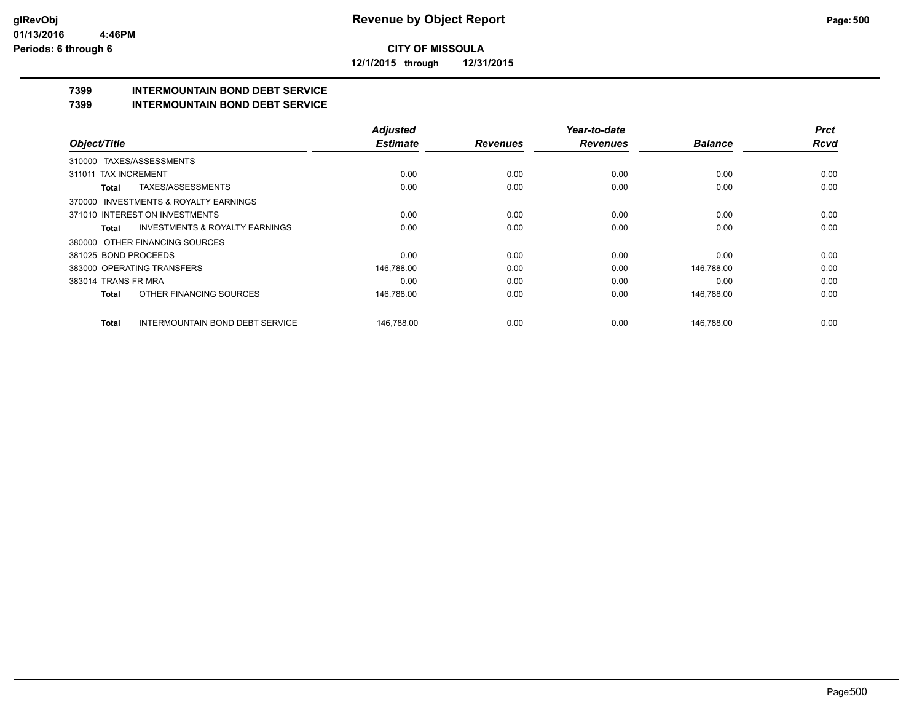**12/1/2015 through 12/31/2015**

## **7399 INTERMOUNTAIN BOND DEBT SERVICE**

**7399 INTERMOUNTAIN BOND DEBT SERVICE**

|                      |                                           | <b>Adjusted</b> |                 | Year-to-date    |                | <b>Prct</b> |
|----------------------|-------------------------------------------|-----------------|-----------------|-----------------|----------------|-------------|
| Object/Title         |                                           | <b>Estimate</b> | <b>Revenues</b> | <b>Revenues</b> | <b>Balance</b> | <b>Rcvd</b> |
|                      | 310000 TAXES/ASSESSMENTS                  |                 |                 |                 |                |             |
| 311011               | <b>TAX INCREMENT</b>                      | 0.00            | 0.00            | 0.00            | 0.00           | 0.00        |
| <b>Total</b>         | TAXES/ASSESSMENTS                         | 0.00            | 0.00            | 0.00            | 0.00           | 0.00        |
|                      | 370000 INVESTMENTS & ROYALTY EARNINGS     |                 |                 |                 |                |             |
|                      | 371010 INTEREST ON INVESTMENTS            | 0.00            | 0.00            | 0.00            | 0.00           | 0.00        |
| Total                | <b>INVESTMENTS &amp; ROYALTY EARNINGS</b> | 0.00            | 0.00            | 0.00            | 0.00           | 0.00        |
|                      | 380000 OTHER FINANCING SOURCES            |                 |                 |                 |                |             |
| 381025 BOND PROCEEDS |                                           | 0.00            | 0.00            | 0.00            | 0.00           | 0.00        |
|                      | 383000 OPERATING TRANSFERS                | 146,788.00      | 0.00            | 0.00            | 146,788.00     | 0.00        |
| 383014 TRANS FR MRA  |                                           | 0.00            | 0.00            | 0.00            | 0.00           | 0.00        |
| <b>Total</b>         | OTHER FINANCING SOURCES                   | 146,788.00      | 0.00            | 0.00            | 146,788.00     | 0.00        |
| Total                | <b>INTERMOUNTAIN BOND DEBT SERVICE</b>    | 146.788.00      | 0.00            | 0.00            | 146.788.00     | 0.00        |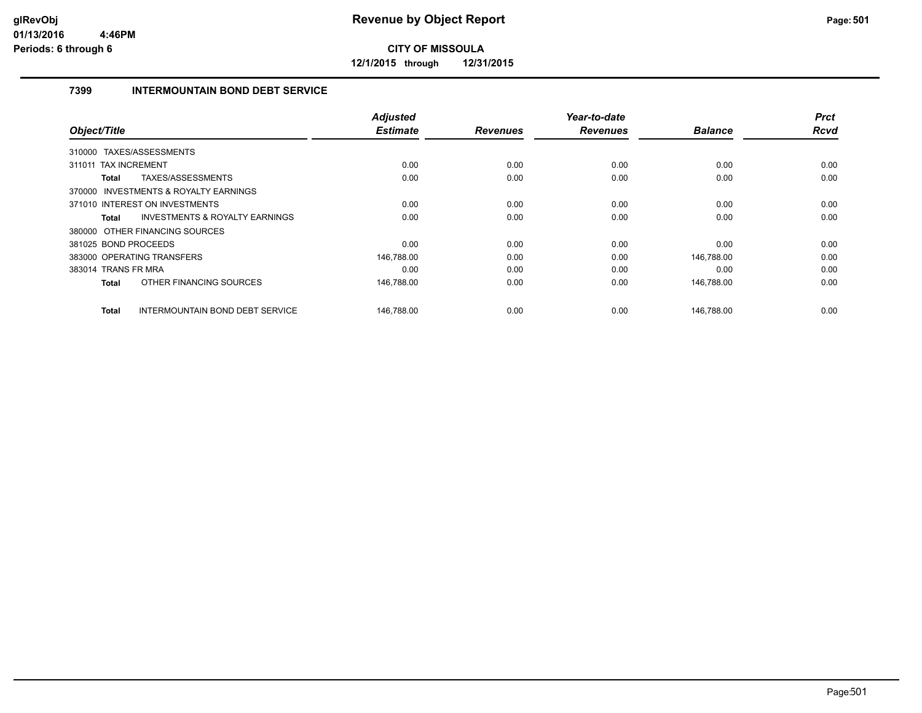**12/1/2015 through 12/31/2015**

## **7399 INTERMOUNTAIN BOND DEBT SERVICE**

| Object/Title                                       | <b>Adjusted</b><br><b>Estimate</b> | <b>Revenues</b> | Year-to-date<br><b>Revenues</b> | <b>Balance</b> | <b>Prct</b><br><b>Rcvd</b> |
|----------------------------------------------------|------------------------------------|-----------------|---------------------------------|----------------|----------------------------|
|                                                    |                                    |                 |                                 |                |                            |
| 310000 TAXES/ASSESSMENTS                           |                                    |                 |                                 |                |                            |
| <b>TAX INCREMENT</b><br>311011                     | 0.00                               | 0.00            | 0.00                            | 0.00           | 0.00                       |
| TAXES/ASSESSMENTS<br>Total                         | 0.00                               | 0.00            | 0.00                            | 0.00           | 0.00                       |
| 370000 INVESTMENTS & ROYALTY EARNINGS              |                                    |                 |                                 |                |                            |
| 371010 INTEREST ON INVESTMENTS                     | 0.00                               | 0.00            | 0.00                            | 0.00           | 0.00                       |
| <b>INVESTMENTS &amp; ROYALTY EARNINGS</b><br>Total | 0.00                               | 0.00            | 0.00                            | 0.00           | 0.00                       |
| 380000 OTHER FINANCING SOURCES                     |                                    |                 |                                 |                |                            |
| 381025 BOND PROCEEDS                               | 0.00                               | 0.00            | 0.00                            | 0.00           | 0.00                       |
| 383000 OPERATING TRANSFERS                         | 146,788.00                         | 0.00            | 0.00                            | 146,788.00     | 0.00                       |
| 383014 TRANS FR MRA                                | 0.00                               | 0.00            | 0.00                            | 0.00           | 0.00                       |
| OTHER FINANCING SOURCES<br>Total                   | 146,788.00                         | 0.00            | 0.00                            | 146,788.00     | 0.00                       |
| INTERMOUNTAIN BOND DEBT SERVICE<br><b>Total</b>    | 146,788.00                         | 0.00            | 0.00                            | 146,788.00     | 0.00                       |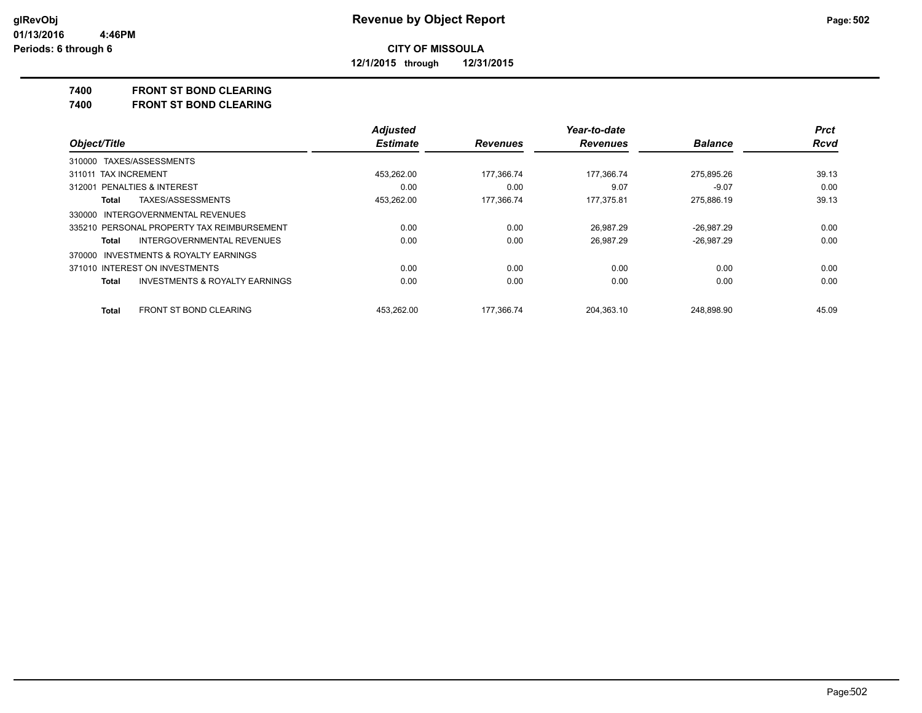**12/1/2015 through 12/31/2015**

#### **7400 FRONT ST BOND CLEARING**

**7400 FRONT ST BOND CLEARING**

|                                                    | <b>Adjusted</b> |                 | Year-to-date<br><b>Revenues</b> | <b>Balance</b> | <b>Prct</b><br><b>Rcvd</b> |
|----------------------------------------------------|-----------------|-----------------|---------------------------------|----------------|----------------------------|
| Object/Title                                       | <b>Estimate</b> | <b>Revenues</b> |                                 |                |                            |
| 310000 TAXES/ASSESSMENTS                           |                 |                 |                                 |                |                            |
| 311011 TAX INCREMENT                               | 453.262.00      | 177.366.74      | 177.366.74                      | 275.895.26     | 39.13                      |
| 312001 PENALTIES & INTEREST                        | 0.00            | 0.00            | 9.07                            | $-9.07$        | 0.00                       |
| TAXES/ASSESSMENTS<br><b>Total</b>                  | 453,262.00      | 177,366.74      | 177,375.81                      | 275,886.19     | 39.13                      |
| 330000 INTERGOVERNMENTAL REVENUES                  |                 |                 |                                 |                |                            |
| 335210 PERSONAL PROPERTY TAX REIMBURSEMENT         | 0.00            | 0.00            | 26.987.29                       | $-26.987.29$   | 0.00                       |
| <b>INTERGOVERNMENTAL REVENUES</b><br>Total         | 0.00            | 0.00            | 26.987.29                       | $-26.987.29$   | 0.00                       |
| 370000 INVESTMENTS & ROYALTY EARNINGS              |                 |                 |                                 |                |                            |
| 371010 INTEREST ON INVESTMENTS                     | 0.00            | 0.00            | 0.00                            | 0.00           | 0.00                       |
| <b>INVESTMENTS &amp; ROYALTY EARNINGS</b><br>Total | 0.00            | 0.00            | 0.00                            | 0.00           | 0.00                       |
| FRONT ST BOND CLEARING<br><b>Total</b>             | 453.262.00      | 177.366.74      | 204.363.10                      | 248.898.90     | 45.09                      |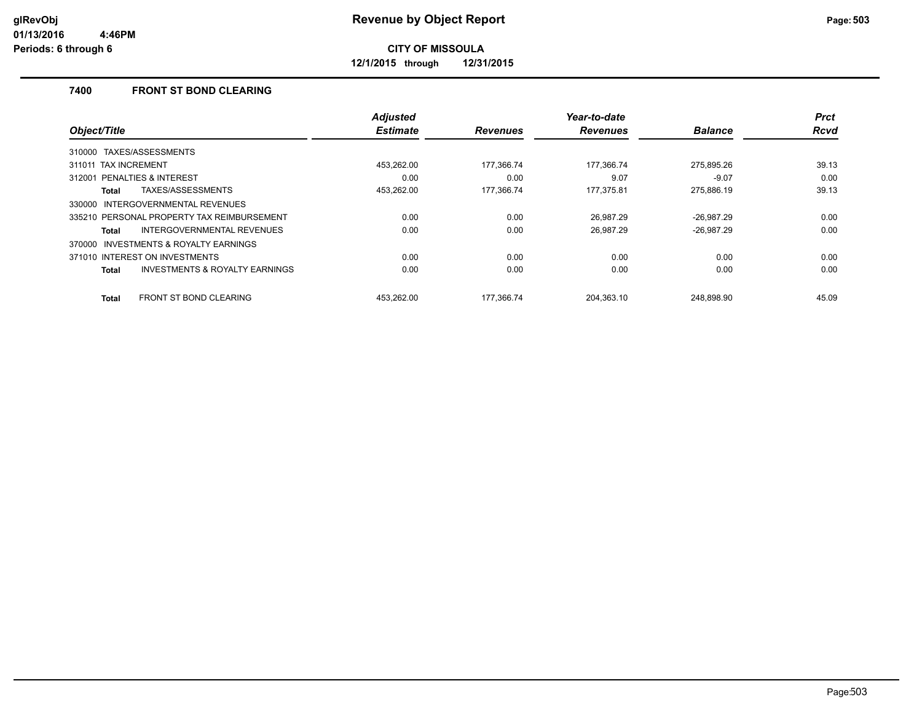**12/1/2015 through 12/31/2015**

## **7400 FRONT ST BOND CLEARING**

|                                                           | <b>Adjusted</b> |                 | Year-to-date    |                | <b>Prct</b> |
|-----------------------------------------------------------|-----------------|-----------------|-----------------|----------------|-------------|
| Object/Title                                              | <b>Estimate</b> | <b>Revenues</b> | <b>Revenues</b> | <b>Balance</b> | <b>Rcvd</b> |
| 310000 TAXES/ASSESSMENTS                                  |                 |                 |                 |                |             |
| 311011 TAX INCREMENT                                      | 453.262.00      | 177,366.74      | 177,366.74      | 275,895.26     | 39.13       |
| 312001 PENALTIES & INTEREST                               | 0.00            | 0.00            | 9.07            | $-9.07$        | 0.00        |
| TAXES/ASSESSMENTS<br>Total                                | 453,262.00      | 177,366.74      | 177,375.81      | 275,886.19     | 39.13       |
| 330000 INTERGOVERNMENTAL REVENUES                         |                 |                 |                 |                |             |
| 335210 PERSONAL PROPERTY TAX REIMBURSEMENT                | 0.00            | 0.00            | 26.987.29       | $-26.987.29$   | 0.00        |
| INTERGOVERNMENTAL REVENUES<br>Total                       | 0.00            | 0.00            | 26.987.29       | $-26.987.29$   | 0.00        |
| 370000 INVESTMENTS & ROYALTY EARNINGS                     |                 |                 |                 |                |             |
| 371010 INTEREST ON INVESTMENTS                            | 0.00            | 0.00            | 0.00            | 0.00           | 0.00        |
| <b>INVESTMENTS &amp; ROYALTY EARNINGS</b><br><b>Total</b> | 0.00            | 0.00            | 0.00            | 0.00           | 0.00        |
| <b>FRONT ST BOND CLEARING</b><br>Total                    | 453.262.00      | 177.366.74      | 204.363.10      | 248.898.90     | 45.09       |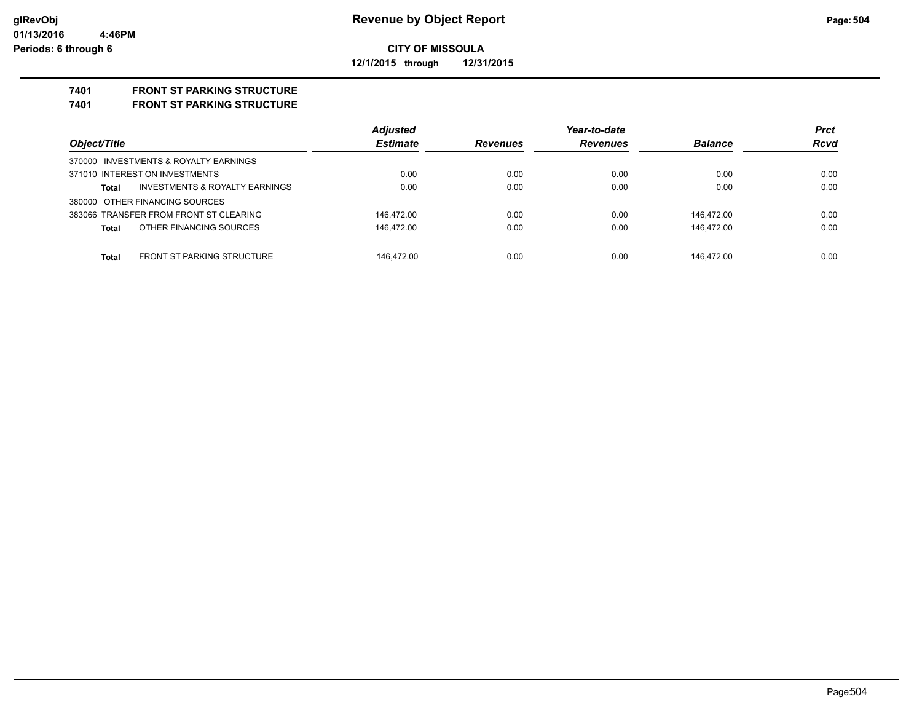#### **CITY OF MISSOULA 12/1/2015 through 12/31/2015**

## **7401 FRONT ST PARKING STRUCTURE**

#### **7401 FRONT ST PARKING STRUCTURE**

| Object/Title                                      | <b>Adjusted</b> | Year-to-date    |                 |                | <b>Prct</b> |
|---------------------------------------------------|-----------------|-----------------|-----------------|----------------|-------------|
|                                                   | <b>Estimate</b> | <b>Revenues</b> | <b>Revenues</b> | <b>Balance</b> | <b>Rcvd</b> |
| 370000 INVESTMENTS & ROYALTY EARNINGS             |                 |                 |                 |                |             |
| 371010 INTEREST ON INVESTMENTS                    | 0.00            | 0.00            | 0.00            | 0.00           | 0.00        |
| INVESTMENTS & ROYALTY EARNINGS<br>Total           | 0.00            | 0.00            | 0.00            | 0.00           | 0.00        |
| 380000 OTHER FINANCING SOURCES                    |                 |                 |                 |                |             |
| 383066 TRANSFER FROM FRONT ST CLEARING            | 146.472.00      | 0.00            | 0.00            | 146.472.00     | 0.00        |
| OTHER FINANCING SOURCES<br><b>Total</b>           | 146.472.00      | 0.00            | 0.00            | 146.472.00     | 0.00        |
|                                                   |                 |                 |                 |                |             |
| <b>FRONT ST PARKING STRUCTURE</b><br><b>Total</b> | 146.472.00      | 0.00            | 0.00            | 146.472.00     | 0.00        |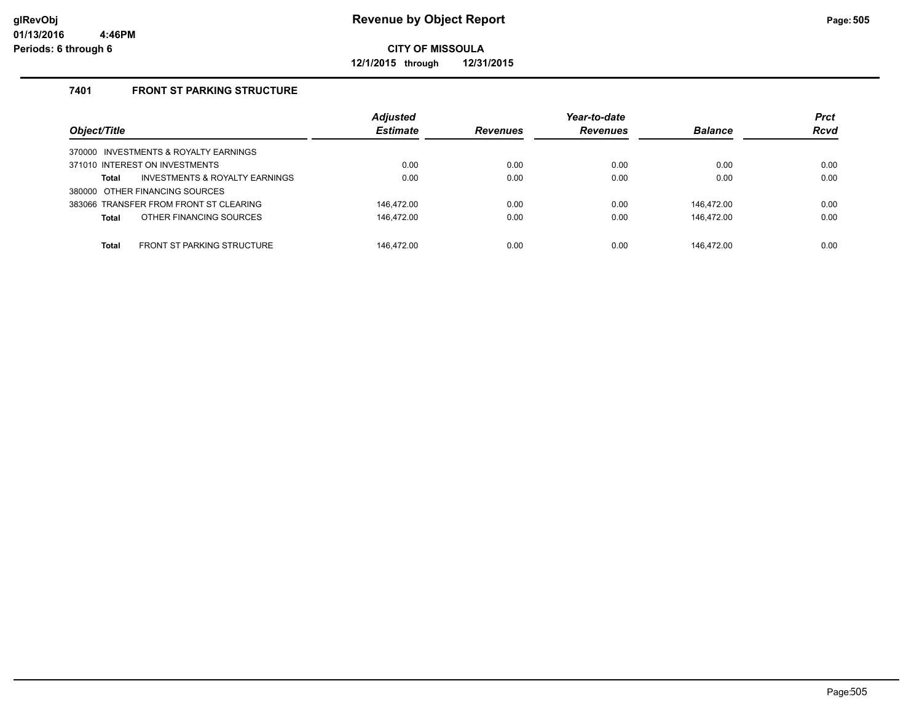**12/1/2015 through 12/31/2015**

### **7401 FRONT ST PARKING STRUCTURE**

|                                            | <b>Adjusted</b> |                 | Year-to-date    |                | <b>Prct</b> |
|--------------------------------------------|-----------------|-----------------|-----------------|----------------|-------------|
| Object/Title                               | <b>Estimate</b> | <b>Revenues</b> | <b>Revenues</b> | <b>Balance</b> | <b>Rcvd</b> |
| 370000 INVESTMENTS & ROYALTY EARNINGS      |                 |                 |                 |                |             |
| 371010 INTEREST ON INVESTMENTS             | 0.00            | 0.00            | 0.00            | 0.00           | 0.00        |
| INVESTMENTS & ROYALTY EARNINGS<br>Total    | 0.00            | 0.00            | 0.00            | 0.00           | 0.00        |
| 380000 OTHER FINANCING SOURCES             |                 |                 |                 |                |             |
| 383066 TRANSFER FROM FRONT ST CLEARING     | 146.472.00      | 0.00            | 0.00            | 146.472.00     | 0.00        |
| OTHER FINANCING SOURCES<br><b>Total</b>    | 146,472.00      | 0.00            | 0.00            | 146.472.00     | 0.00        |
|                                            |                 |                 |                 |                |             |
| FRONT ST PARKING STRUCTURE<br><b>Total</b> | 146.472.00      | 0.00            | 0.00            | 146.472.00     | 0.00        |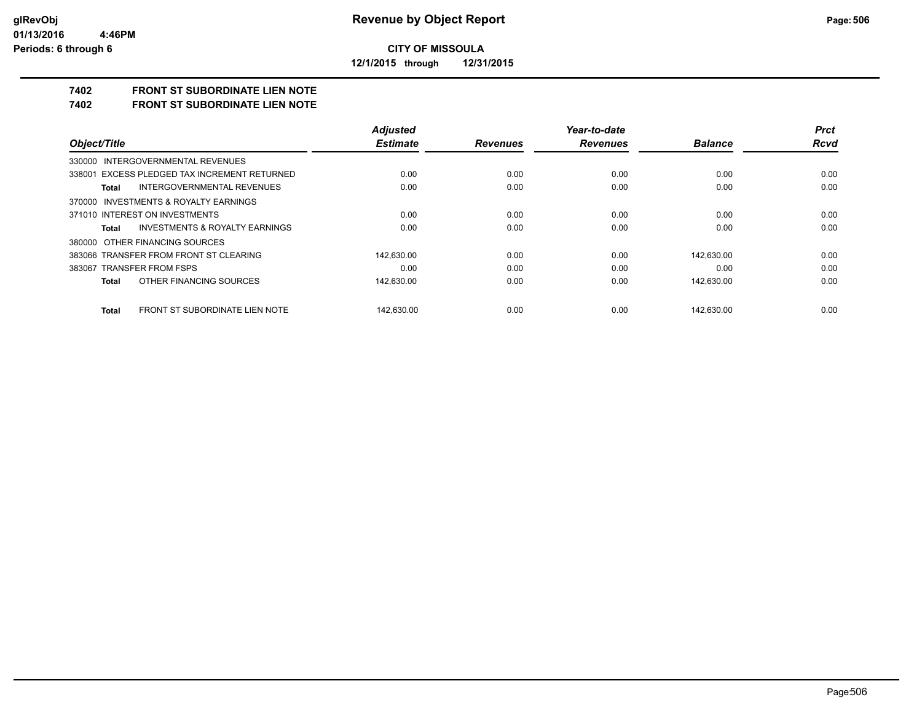**12/1/2015 through 12/31/2015**

# **7402 FRONT ST SUBORDINATE LIEN NOTE**

**7402 FRONT ST SUBORDINATE LIEN NOTE**

|                                                    | <b>Adjusted</b> |                 | Year-to-date    |                | <b>Prct</b> |
|----------------------------------------------------|-----------------|-----------------|-----------------|----------------|-------------|
| Object/Title                                       | <b>Estimate</b> | <b>Revenues</b> | <b>Revenues</b> | <b>Balance</b> | <b>Rcvd</b> |
| 330000 INTERGOVERNMENTAL REVENUES                  |                 |                 |                 |                |             |
| 338001 EXCESS PLEDGED TAX INCREMENT RETURNED       | 0.00            | 0.00            | 0.00            | 0.00           | 0.00        |
| INTERGOVERNMENTAL REVENUES<br>Total                | 0.00            | 0.00            | 0.00            | 0.00           | 0.00        |
| 370000 INVESTMENTS & ROYALTY EARNINGS              |                 |                 |                 |                |             |
| 371010 INTEREST ON INVESTMENTS                     | 0.00            | 0.00            | 0.00            | 0.00           | 0.00        |
| <b>INVESTMENTS &amp; ROYALTY EARNINGS</b><br>Total | 0.00            | 0.00            | 0.00            | 0.00           | 0.00        |
| 380000 OTHER FINANCING SOURCES                     |                 |                 |                 |                |             |
| 383066 TRANSFER FROM FRONT ST CLEARING             | 142,630.00      | 0.00            | 0.00            | 142.630.00     | 0.00        |
| 383067 TRANSFER FROM FSPS                          | 0.00            | 0.00            | 0.00            | 0.00           | 0.00        |
| OTHER FINANCING SOURCES<br>Total                   | 142,630.00      | 0.00            | 0.00            | 142.630.00     | 0.00        |
| FRONT ST SUBORDINATE LIEN NOTE<br>Total            | 142.630.00      | 0.00            | 0.00            | 142.630.00     | 0.00        |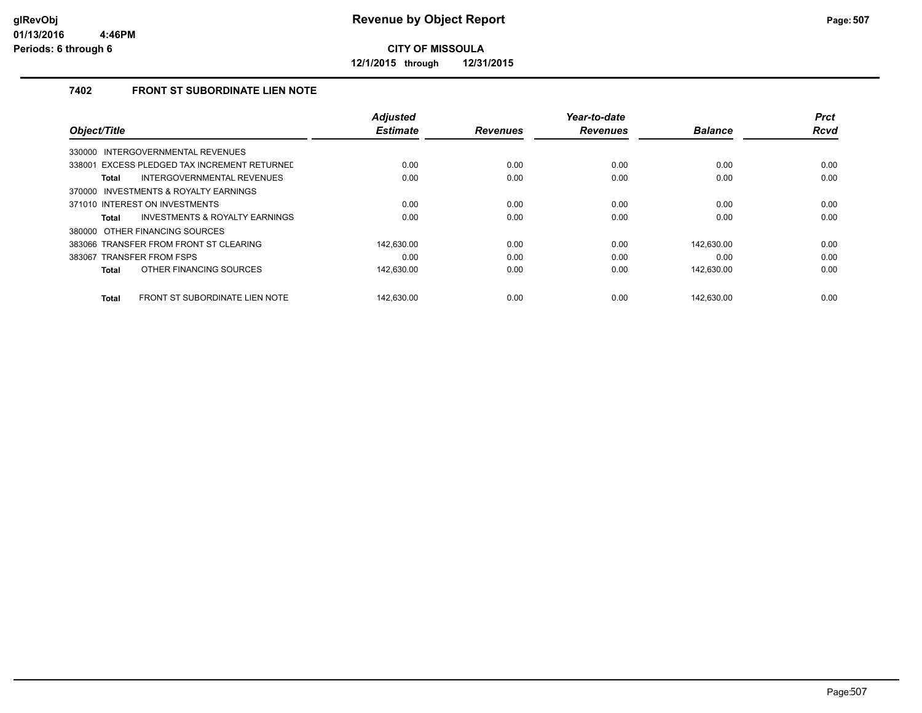**12/1/2015 through 12/31/2015**

### **7402 FRONT ST SUBORDINATE LIEN NOTE**

|                                                | <b>Adjusted</b> |                 | Year-to-date    |                | <b>Prct</b> |
|------------------------------------------------|-----------------|-----------------|-----------------|----------------|-------------|
| Object/Title                                   | <b>Estimate</b> | <b>Revenues</b> | <b>Revenues</b> | <b>Balance</b> | <b>Rcvd</b> |
| INTERGOVERNMENTAL REVENUES<br>330000           |                 |                 |                 |                |             |
| 338001 EXCESS PLEDGED TAX INCREMENT RETURNED   | 0.00            | 0.00            | 0.00            | 0.00           | 0.00        |
| INTERGOVERNMENTAL REVENUES<br>Total            | 0.00            | 0.00            | 0.00            | 0.00           | 0.00        |
| 370000 INVESTMENTS & ROYALTY EARNINGS          |                 |                 |                 |                |             |
| 371010 INTEREST ON INVESTMENTS                 | 0.00            | 0.00            | 0.00            | 0.00           | 0.00        |
| INVESTMENTS & ROYALTY EARNINGS<br><b>Total</b> | 0.00            | 0.00            | 0.00            | 0.00           | 0.00        |
| 380000 OTHER FINANCING SOURCES                 |                 |                 |                 |                |             |
| 383066 TRANSFER FROM FRONT ST CLEARING         | 142.630.00      | 0.00            | 0.00            | 142.630.00     | 0.00        |
| 383067 TRANSFER FROM FSPS                      | 0.00            | 0.00            | 0.00            | 0.00           | 0.00        |
| OTHER FINANCING SOURCES<br><b>Total</b>        | 142,630.00      | 0.00            | 0.00            | 142,630.00     | 0.00        |
|                                                |                 |                 |                 |                |             |
| FRONT ST SUBORDINATE LIEN NOTE<br><b>Total</b> | 142.630.00      | 0.00            | 0.00            | 142.630.00     | 0.00        |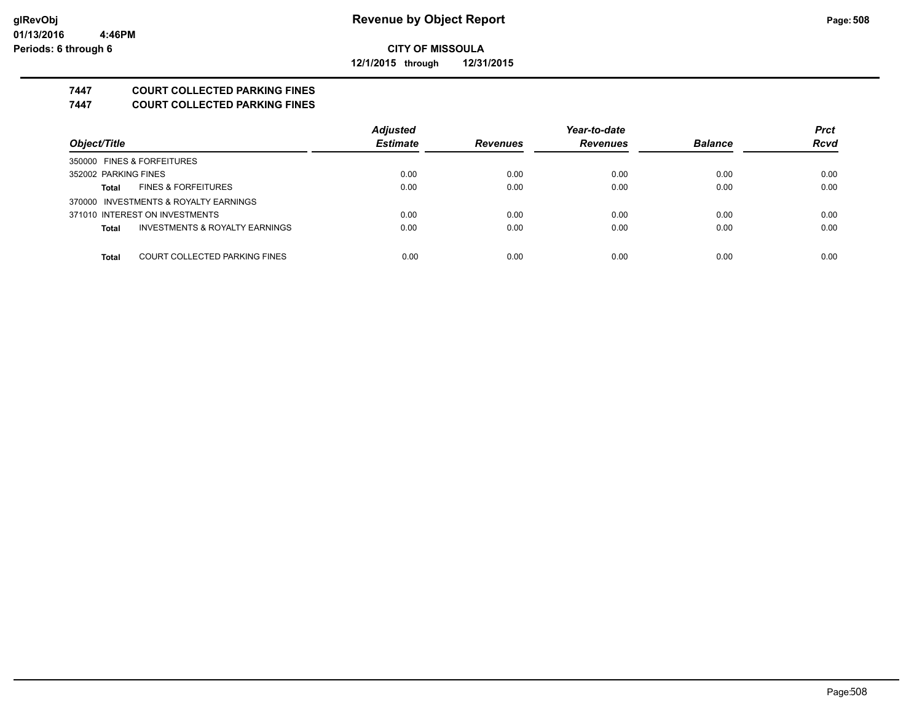**12/1/2015 through 12/31/2015**

### **7447 COURT COLLECTED PARKING FINES**

**7447 COURT COLLECTED PARKING FINES**

|                                         | <b>Adjusted</b> |                 | Year-to-date    |                | <b>Prct</b> |
|-----------------------------------------|-----------------|-----------------|-----------------|----------------|-------------|
| Object/Title                            | <b>Estimate</b> | <b>Revenues</b> | <b>Revenues</b> | <b>Balance</b> | <b>Rcvd</b> |
| 350000 FINES & FORFEITURES              |                 |                 |                 |                |             |
| 352002 PARKING FINES                    | 0.00            | 0.00            | 0.00            | 0.00           | 0.00        |
| <b>FINES &amp; FORFEITURES</b><br>Total | 0.00            | 0.00            | 0.00            | 0.00           | 0.00        |
| 370000 INVESTMENTS & ROYALTY EARNINGS   |                 |                 |                 |                |             |
| 371010 INTEREST ON INVESTMENTS          | 0.00            | 0.00            | 0.00            | 0.00           | 0.00        |
| INVESTMENTS & ROYALTY EARNINGS<br>Total | 0.00            | 0.00            | 0.00            | 0.00           | 0.00        |
|                                         |                 |                 |                 |                |             |
| COURT COLLECTED PARKING FINES<br>Total  | 0.00            | 0.00            | 0.00            | 0.00           | 0.00        |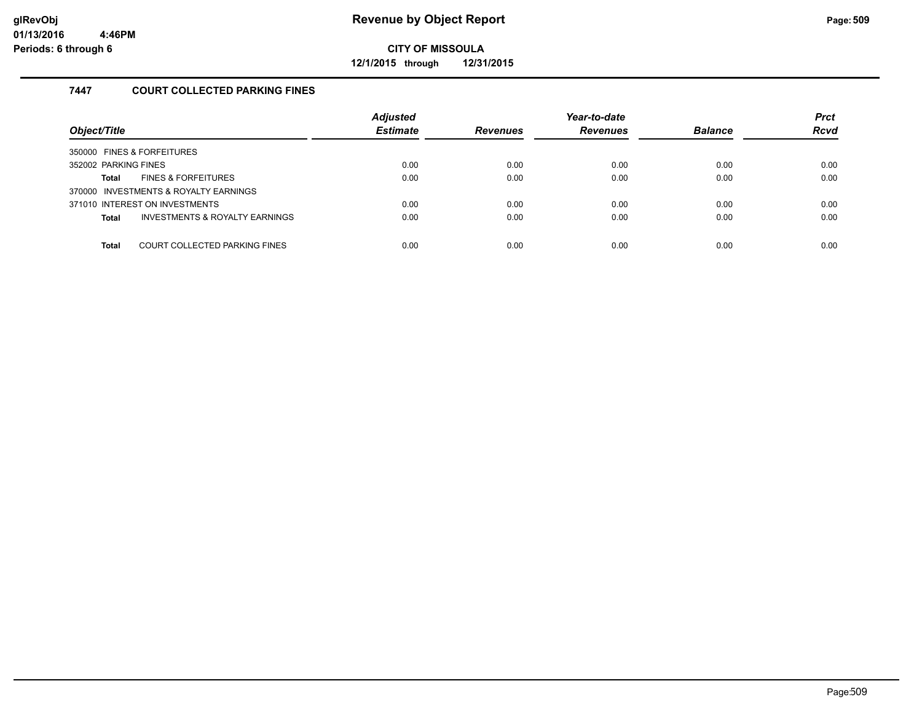**12/1/2015 through 12/31/2015**

### **7447 COURT COLLECTED PARKING FINES**

| Object/Title                                   | <b>Adjusted</b><br><b>Estimate</b> | <b>Revenues</b> | Year-to-date<br><b>Revenues</b> | <b>Balance</b> | <b>Prct</b><br><b>Rcvd</b> |
|------------------------------------------------|------------------------------------|-----------------|---------------------------------|----------------|----------------------------|
| 350000 FINES & FORFEITURES                     |                                    |                 |                                 |                |                            |
| 352002 PARKING FINES                           | 0.00                               | 0.00            | 0.00                            | 0.00           | 0.00                       |
| <b>FINES &amp; FORFEITURES</b><br>Total        | 0.00                               | 0.00            | 0.00                            | 0.00           | 0.00                       |
| 370000 INVESTMENTS & ROYALTY EARNINGS          |                                    |                 |                                 |                |                            |
| 371010 INTEREST ON INVESTMENTS                 | 0.00                               | 0.00            | 0.00                            | 0.00           | 0.00                       |
| INVESTMENTS & ROYALTY EARNINGS<br><b>Total</b> | 0.00                               | 0.00            | 0.00                            | 0.00           | 0.00                       |
|                                                |                                    |                 |                                 |                |                            |
| COURT COLLECTED PARKING FINES<br><b>Total</b>  | 0.00                               | 0.00            | 0.00                            | 0.00           | 0.00                       |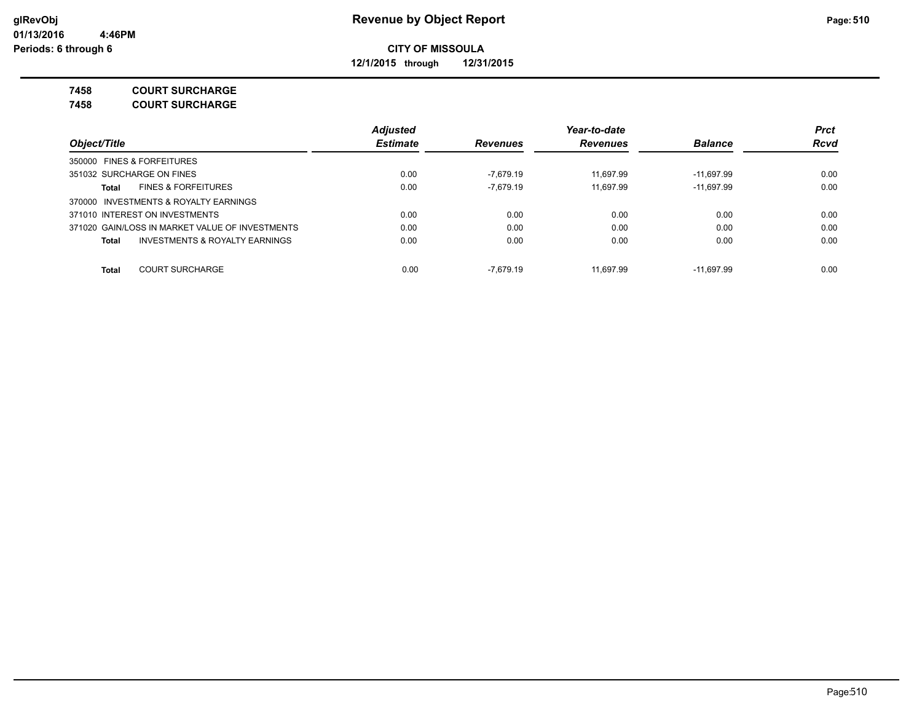**12/1/2015 through 12/31/2015**

**7458 COURT SURCHARGE**

**7458 COURT SURCHARGE**

|                                                    | <b>Adjusted</b> |                 | Year-to-date    |                | <b>Prct</b> |
|----------------------------------------------------|-----------------|-----------------|-----------------|----------------|-------------|
| Object/Title                                       | <b>Estimate</b> | <b>Revenues</b> | <b>Revenues</b> | <b>Balance</b> | <b>Rcvd</b> |
| 350000 FINES & FORFEITURES                         |                 |                 |                 |                |             |
| 351032 SURCHARGE ON FINES                          | 0.00            | -7.679.19       | 11.697.99       | $-11.697.99$   | 0.00        |
| <b>FINES &amp; FORFEITURES</b><br>Total            | 0.00            | $-7.679.19$     | 11.697.99       | $-11.697.99$   | 0.00        |
| 370000 INVESTMENTS & ROYALTY EARNINGS              |                 |                 |                 |                |             |
| 371010 INTEREST ON INVESTMENTS                     | 0.00            | 0.00            | 0.00            | 0.00           | 0.00        |
| 371020 GAIN/LOSS IN MARKET VALUE OF INVESTMENTS    | 0.00            | 0.00            | 0.00            | 0.00           | 0.00        |
| <b>INVESTMENTS &amp; ROYALTY EARNINGS</b><br>Total | 0.00            | 0.00            | 0.00            | 0.00           | 0.00        |
| <b>COURT SURCHARGE</b><br><b>Total</b>             | 0.00            | $-7.679.19$     | 11.697.99       | -11.697.99     | 0.00        |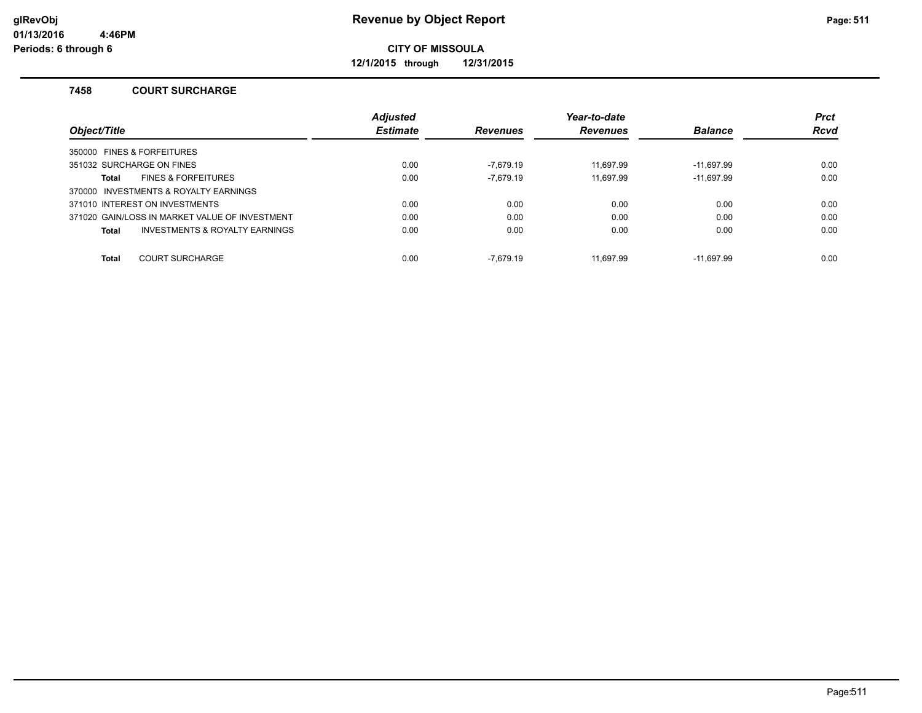**12/1/2015 through 12/31/2015**

#### **7458 COURT SURCHARGE**

|                                                | <b>Adjusted</b> |                 | Year-to-date    |                | <b>Prct</b> |
|------------------------------------------------|-----------------|-----------------|-----------------|----------------|-------------|
| Object/Title                                   | <b>Estimate</b> | <b>Revenues</b> | <b>Revenues</b> | <b>Balance</b> | <b>Rcvd</b> |
| 350000 FINES & FORFEITURES                     |                 |                 |                 |                |             |
| 351032 SURCHARGE ON FINES                      | 0.00            | -7.679.19       | 11.697.99       | $-11.697.99$   | 0.00        |
| <b>FINES &amp; FORFEITURES</b><br>Total        | 0.00            | $-7.679.19$     | 11.697.99       | $-11,697.99$   | 0.00        |
| 370000 INVESTMENTS & ROYALTY EARNINGS          |                 |                 |                 |                |             |
| 371010 INTEREST ON INVESTMENTS                 | 0.00            | 0.00            | 0.00            | 0.00           | 0.00        |
| 371020 GAIN/LOSS IN MARKET VALUE OF INVESTMENT | 0.00            | 0.00            | 0.00            | 0.00           | 0.00        |
| INVESTMENTS & ROYALTY EARNINGS<br>Total        | 0.00            | 0.00            | 0.00            | 0.00           | 0.00        |
|                                                |                 |                 |                 |                |             |
| <b>COURT SURCHARGE</b><br><b>Total</b>         | 0.00            | -7.679.19       | 11.697.99       | $-11.697.99$   | 0.00        |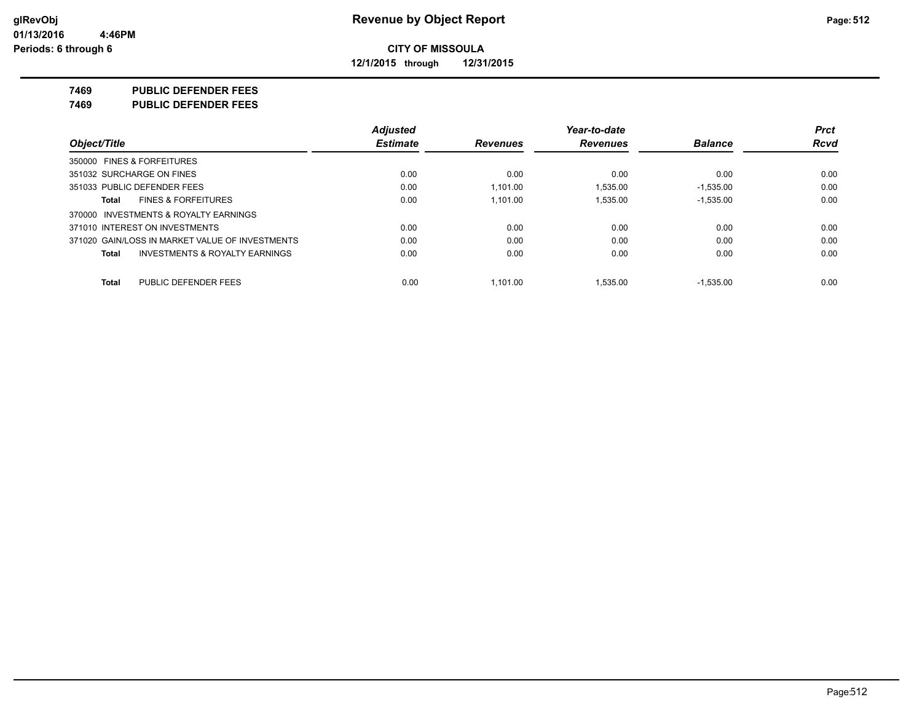**12/1/2015 through 12/31/2015**

#### **7469 PUBLIC DEFENDER FEES**

**7469 PUBLIC DEFENDER FEES**

|                                                    | <b>Adjusted</b> |                 | Year-to-date    |                | <b>Prct</b> |
|----------------------------------------------------|-----------------|-----------------|-----------------|----------------|-------------|
| Object/Title                                       | <b>Estimate</b> | <b>Revenues</b> | <b>Revenues</b> | <b>Balance</b> | <b>Rcvd</b> |
| 350000 FINES & FORFEITURES                         |                 |                 |                 |                |             |
| 351032 SURCHARGE ON FINES                          | 0.00            | 0.00            | 0.00            | 0.00           | 0.00        |
| 351033 PUBLIC DEFENDER FEES                        | 0.00            | 1.101.00        | 1.535.00        | $-1.535.00$    | 0.00        |
| <b>FINES &amp; FORFEITURES</b><br>Total            | 0.00            | 1.101.00        | 1.535.00        | $-1,535.00$    | 0.00        |
| 370000 INVESTMENTS & ROYALTY EARNINGS              |                 |                 |                 |                |             |
| 371010 INTEREST ON INVESTMENTS                     | 0.00            | 0.00            | 0.00            | 0.00           | 0.00        |
| 371020 GAIN/LOSS IN MARKET VALUE OF INVESTMENTS    | 0.00            | 0.00            | 0.00            | 0.00           | 0.00        |
| <b>INVESTMENTS &amp; ROYALTY EARNINGS</b><br>Total | 0.00            | 0.00            | 0.00            | 0.00           | 0.00        |
| PUBLIC DEFENDER FEES<br>Total                      | 0.00            | 1.101.00        | 1.535.00        | $-1.535.00$    | 0.00        |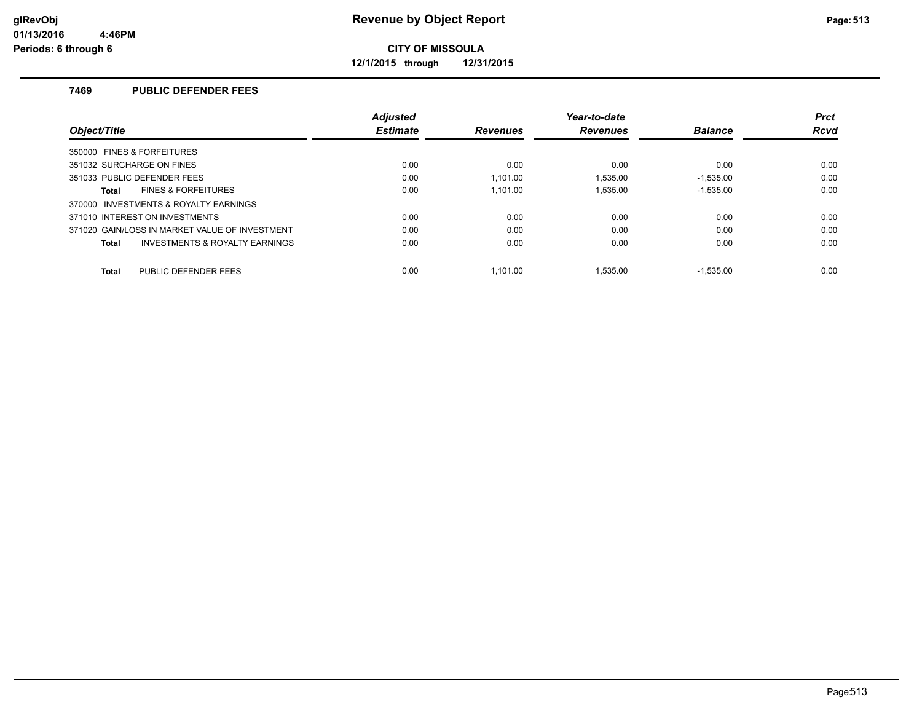**12/1/2015 through 12/31/2015**

### **7469 PUBLIC DEFENDER FEES**

|                                                    | <b>Adjusted</b> |                 | Year-to-date    |                | <b>Prct</b> |
|----------------------------------------------------|-----------------|-----------------|-----------------|----------------|-------------|
| Object/Title                                       | <b>Estimate</b> | <b>Revenues</b> | <b>Revenues</b> | <b>Balance</b> | <b>Rcvd</b> |
| 350000 FINES & FORFEITURES                         |                 |                 |                 |                |             |
| 351032 SURCHARGE ON FINES                          | 0.00            | 0.00            | 0.00            | 0.00           | 0.00        |
| 351033 PUBLIC DEFENDER FEES                        | 0.00            | 1.101.00        | 1.535.00        | $-1,535.00$    | 0.00        |
| <b>FINES &amp; FORFEITURES</b><br>Total            | 0.00            | 1.101.00        | 1.535.00        | $-1,535.00$    | 0.00        |
| 370000 INVESTMENTS & ROYALTY EARNINGS              |                 |                 |                 |                |             |
| 371010 INTEREST ON INVESTMENTS                     | 0.00            | 0.00            | 0.00            | 0.00           | 0.00        |
| 371020 GAIN/LOSS IN MARKET VALUE OF INVESTMENT     | 0.00            | 0.00            | 0.00            | 0.00           | 0.00        |
| <b>INVESTMENTS &amp; ROYALTY EARNINGS</b><br>Total | 0.00            | 0.00            | 0.00            | 0.00           | 0.00        |
| PUBLIC DEFENDER FEES<br><b>Total</b>               | 0.00            | 1.101.00        | 1.535.00        | $-1.535.00$    | 0.00        |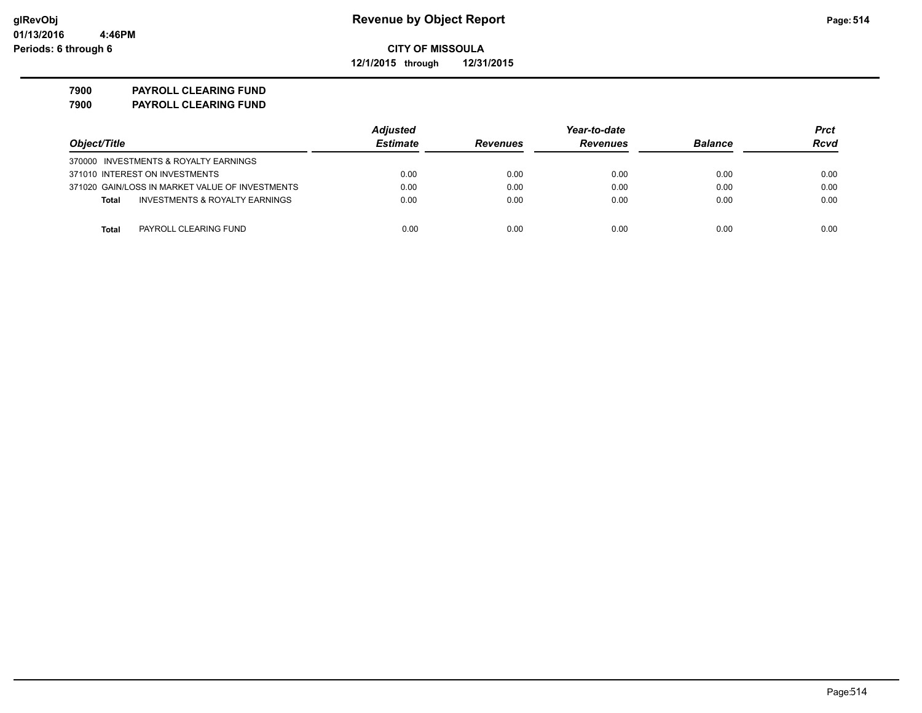**12/1/2015 through 12/31/2015**

**7900 PAYROLL CLEARING FUND**

**7900 PAYROLL CLEARING FUND**

|                                                           | <b>Adjusted</b> |                 | Year-to-date    |                |             |
|-----------------------------------------------------------|-----------------|-----------------|-----------------|----------------|-------------|
| Object/Title                                              | <b>Estimate</b> | <b>Revenues</b> | <b>Revenues</b> | <b>Balance</b> | <b>Rcvd</b> |
| 370000 INVESTMENTS & ROYALTY EARNINGS                     |                 |                 |                 |                |             |
| 371010 INTEREST ON INVESTMENTS                            | 0.00            | 0.00            | 0.00            | 0.00           | 0.00        |
| 371020 GAIN/LOSS IN MARKET VALUE OF INVESTMENTS           | 0.00            | 0.00            | 0.00            | 0.00           | 0.00        |
| <b>INVESTMENTS &amp; ROYALTY EARNINGS</b><br><b>Total</b> | 0.00            | 0.00            | 0.00            | 0.00           | 0.00        |
| <b>Total</b><br>PAYROLL CLEARING FUND                     | 0.00            | 0.00            | 0.00            | 0.00           | 0.00        |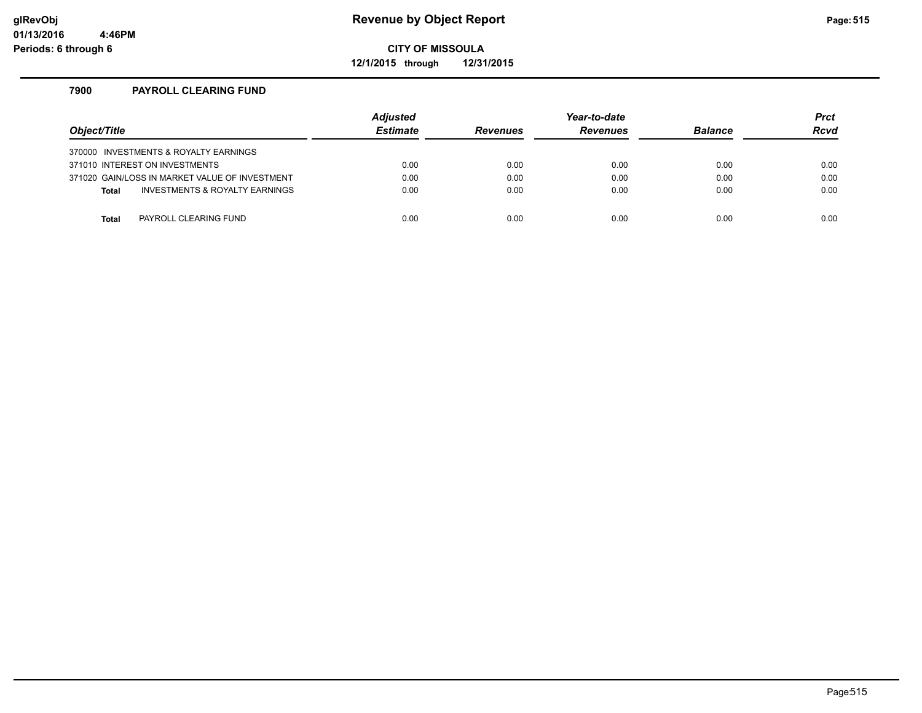**12/1/2015 through 12/31/2015**

### **7900 PAYROLL CLEARING FUND**

| Object/Title |                                                | <b>Adjusted</b><br><b>Estimate</b> | <b>Revenues</b> | Year-to-date<br><b>Revenues</b> | <b>Balance</b> | <b>Prct</b><br>Rcvd |
|--------------|------------------------------------------------|------------------------------------|-----------------|---------------------------------|----------------|---------------------|
|              | 370000 INVESTMENTS & ROYALTY EARNINGS          |                                    |                 |                                 |                |                     |
|              | 371010 INTEREST ON INVESTMENTS                 | 0.00                               | 0.00            | 0.00                            | 0.00           | 0.00                |
|              | 371020 GAIN/LOSS IN MARKET VALUE OF INVESTMENT | 0.00                               | 0.00            | 0.00                            | 0.00           | 0.00                |
| <b>Total</b> | INVESTMENTS & ROYALTY EARNINGS                 | 0.00                               | 0.00            | 0.00                            | 0.00           | 0.00                |
|              |                                                |                                    |                 |                                 |                |                     |
| <b>Total</b> | PAYROLL CLEARING FUND                          | 0.00                               | 0.00            | 0.00                            | 0.00           | 0.00                |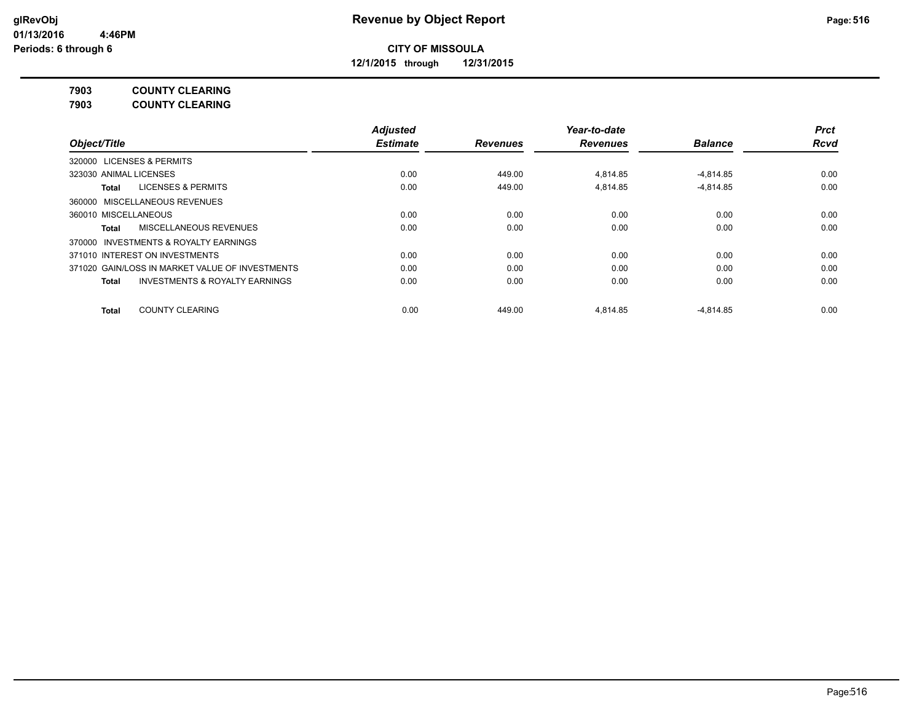**12/1/2015 through 12/31/2015**

**7903 COUNTY CLEARING**

**7903 COUNTY CLEARING**

|                                                    | <b>Adjusted</b> |                 | Year-to-date    |                | <b>Prct</b> |
|----------------------------------------------------|-----------------|-----------------|-----------------|----------------|-------------|
| Object/Title                                       | <b>Estimate</b> | <b>Revenues</b> | <b>Revenues</b> | <b>Balance</b> | Rcvd        |
| <b>LICENSES &amp; PERMITS</b><br>320000            |                 |                 |                 |                |             |
| 323030 ANIMAL LICENSES                             | 0.00            | 449.00          | 4.814.85        | $-4.814.85$    | 0.00        |
| <b>LICENSES &amp; PERMITS</b><br>Total             | 0.00            | 449.00          | 4.814.85        | $-4.814.85$    | 0.00        |
| 360000 MISCELLANEOUS REVENUES                      |                 |                 |                 |                |             |
| 360010 MISCELLANEOUS                               | 0.00            | 0.00            | 0.00            | 0.00           | 0.00        |
| MISCELLANEOUS REVENUES<br>Total                    | 0.00            | 0.00            | 0.00            | 0.00           | 0.00        |
| INVESTMENTS & ROYALTY EARNINGS<br>370000           |                 |                 |                 |                |             |
| 371010 INTEREST ON INVESTMENTS                     | 0.00            | 0.00            | 0.00            | 0.00           | 0.00        |
| 371020 GAIN/LOSS IN MARKET VALUE OF INVESTMENTS    | 0.00            | 0.00            | 0.00            | 0.00           | 0.00        |
| <b>INVESTMENTS &amp; ROYALTY EARNINGS</b><br>Total | 0.00            | 0.00            | 0.00            | 0.00           | 0.00        |
| <b>COUNTY CLEARING</b><br><b>Total</b>             | 0.00            | 449.00          | 4.814.85        | $-4,814.85$    | 0.00        |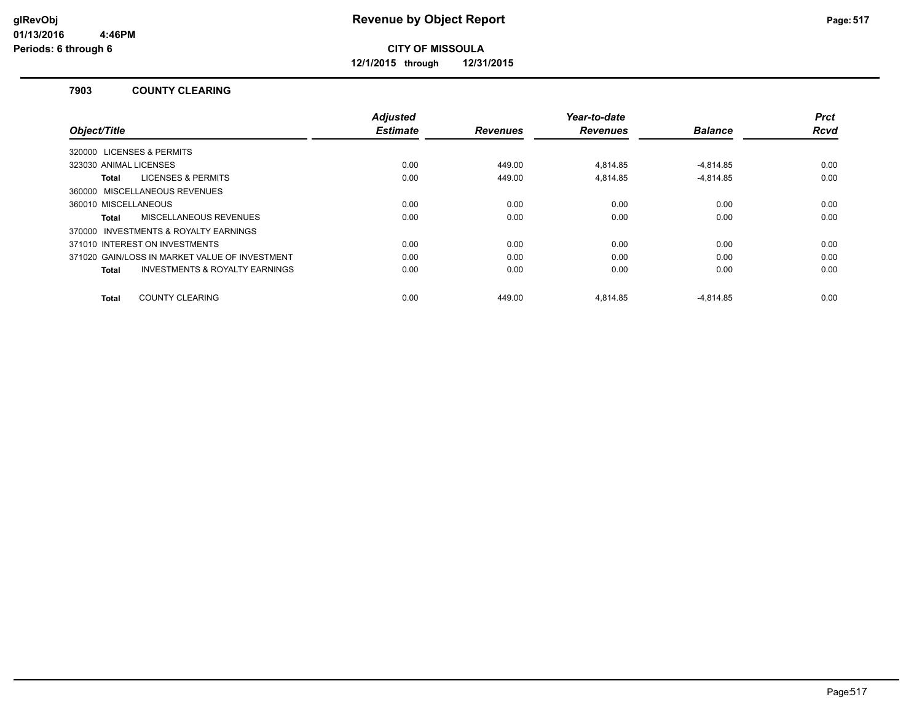**12/1/2015 through 12/31/2015**

#### **7903 COUNTY CLEARING**

| Object/Title                                              | <b>Adjusted</b><br><b>Estimate</b> | <b>Revenues</b> | Year-to-date<br><b>Revenues</b> | <b>Balance</b> | <b>Prct</b><br>Rcvd |
|-----------------------------------------------------------|------------------------------------|-----------------|---------------------------------|----------------|---------------------|
| 320000 LICENSES & PERMITS                                 |                                    |                 |                                 |                |                     |
| 323030 ANIMAL LICENSES                                    | 0.00                               | 449.00          | 4.814.85                        | $-4.814.85$    | 0.00                |
| <b>LICENSES &amp; PERMITS</b><br>Total                    | 0.00                               | 449.00          | 4.814.85                        | $-4.814.85$    | 0.00                |
| 360000 MISCELLANEOUS REVENUES                             |                                    |                 |                                 |                |                     |
| 360010 MISCELLANEOUS                                      | 0.00                               | 0.00            | 0.00                            | 0.00           | 0.00                |
| <b>MISCELLANEOUS REVENUES</b><br>Total                    | 0.00                               | 0.00            | 0.00                            | 0.00           | 0.00                |
| 370000 INVESTMENTS & ROYALTY EARNINGS                     |                                    |                 |                                 |                |                     |
| 371010 INTEREST ON INVESTMENTS                            | 0.00                               | 0.00            | 0.00                            | 0.00           | 0.00                |
| 371020 GAIN/LOSS IN MARKET VALUE OF INVESTMENT            | 0.00                               | 0.00            | 0.00                            | 0.00           | 0.00                |
| <b>INVESTMENTS &amp; ROYALTY EARNINGS</b><br><b>Total</b> | 0.00                               | 0.00            | 0.00                            | 0.00           | 0.00                |
|                                                           |                                    |                 |                                 |                |                     |
| <b>COUNTY CLEARING</b><br>Total                           | 0.00                               | 449.00          | 4.814.85                        | $-4.814.85$    | 0.00                |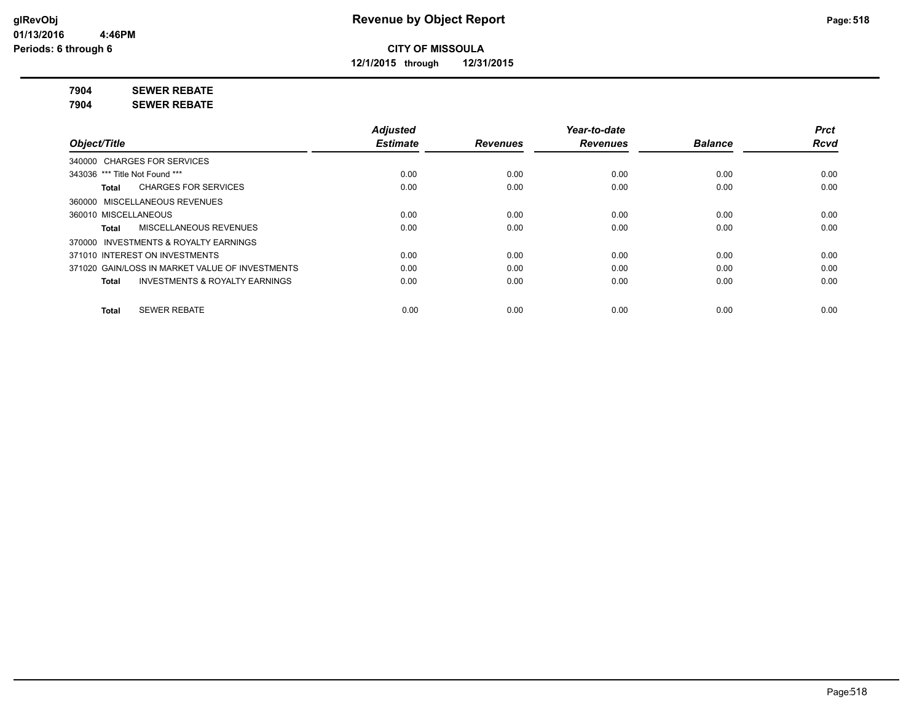**12/1/2015 through 12/31/2015**

**7904 SEWER REBATE**

**7904 SEWER REBATE**

|                                                           | <b>Adjusted</b> |                 | Year-to-date    |                | <b>Prct</b> |
|-----------------------------------------------------------|-----------------|-----------------|-----------------|----------------|-------------|
| Object/Title                                              | <b>Estimate</b> | <b>Revenues</b> | <b>Revenues</b> | <b>Balance</b> | <b>Rcvd</b> |
| 340000 CHARGES FOR SERVICES                               |                 |                 |                 |                |             |
| 343036 *** Title Not Found ***                            | 0.00            | 0.00            | 0.00            | 0.00           | 0.00        |
| <b>CHARGES FOR SERVICES</b><br>Total                      | 0.00            | 0.00            | 0.00            | 0.00           | 0.00        |
| 360000 MISCELLANEOUS REVENUES                             |                 |                 |                 |                |             |
| 360010 MISCELLANEOUS                                      | 0.00            | 0.00            | 0.00            | 0.00           | 0.00        |
| MISCELLANEOUS REVENUES<br>Total                           | 0.00            | 0.00            | 0.00            | 0.00           | 0.00        |
| INVESTMENTS & ROYALTY EARNINGS<br>370000                  |                 |                 |                 |                |             |
| 371010 INTEREST ON INVESTMENTS                            | 0.00            | 0.00            | 0.00            | 0.00           | 0.00        |
| 371020 GAIN/LOSS IN MARKET VALUE OF INVESTMENTS           | 0.00            | 0.00            | 0.00            | 0.00           | 0.00        |
| <b>INVESTMENTS &amp; ROYALTY EARNINGS</b><br><b>Total</b> | 0.00            | 0.00            | 0.00            | 0.00           | 0.00        |
| <b>SEWER REBATE</b><br><b>Total</b>                       | 0.00            | 0.00            | 0.00            | 0.00           | 0.00        |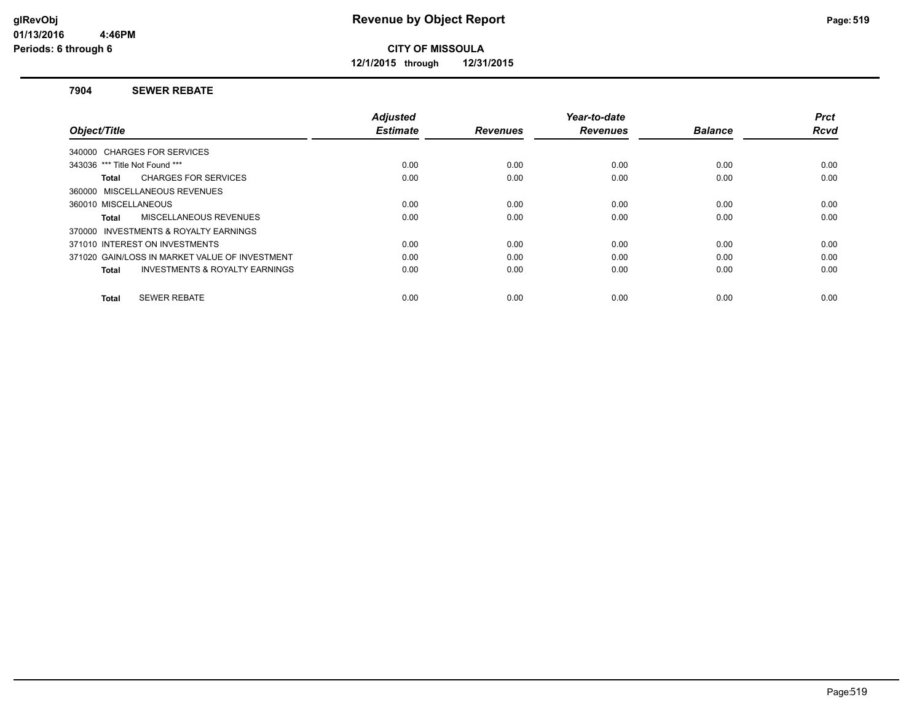**12/1/2015 through 12/31/2015**

#### **7904 SEWER REBATE**

|                                                    | <b>Adjusted</b> |                 | Year-to-date    |                | <b>Prct</b> |
|----------------------------------------------------|-----------------|-----------------|-----------------|----------------|-------------|
| Object/Title                                       | <b>Estimate</b> | <b>Revenues</b> | <b>Revenues</b> | <b>Balance</b> | <b>Rcvd</b> |
| 340000 CHARGES FOR SERVICES                        |                 |                 |                 |                |             |
| 343036 *** Title Not Found ***                     | 0.00            | 0.00            | 0.00            | 0.00           | 0.00        |
| <b>CHARGES FOR SERVICES</b><br>Total               | 0.00            | 0.00            | 0.00            | 0.00           | 0.00        |
| 360000 MISCELLANEOUS REVENUES                      |                 |                 |                 |                |             |
| 360010 MISCELLANEOUS                               | 0.00            | 0.00            | 0.00            | 0.00           | 0.00        |
| MISCELLANEOUS REVENUES<br>Total                    | 0.00            | 0.00            | 0.00            | 0.00           | 0.00        |
| 370000 INVESTMENTS & ROYALTY EARNINGS              |                 |                 |                 |                |             |
| 371010 INTEREST ON INVESTMENTS                     | 0.00            | 0.00            | 0.00            | 0.00           | 0.00        |
| 371020 GAIN/LOSS IN MARKET VALUE OF INVESTMENT     | 0.00            | 0.00            | 0.00            | 0.00           | 0.00        |
| <b>INVESTMENTS &amp; ROYALTY EARNINGS</b><br>Total | 0.00            | 0.00            | 0.00            | 0.00           | 0.00        |
|                                                    |                 |                 |                 |                |             |
| <b>SEWER REBATE</b><br><b>Total</b>                | 0.00            | 0.00            | 0.00            | 0.00           | 0.00        |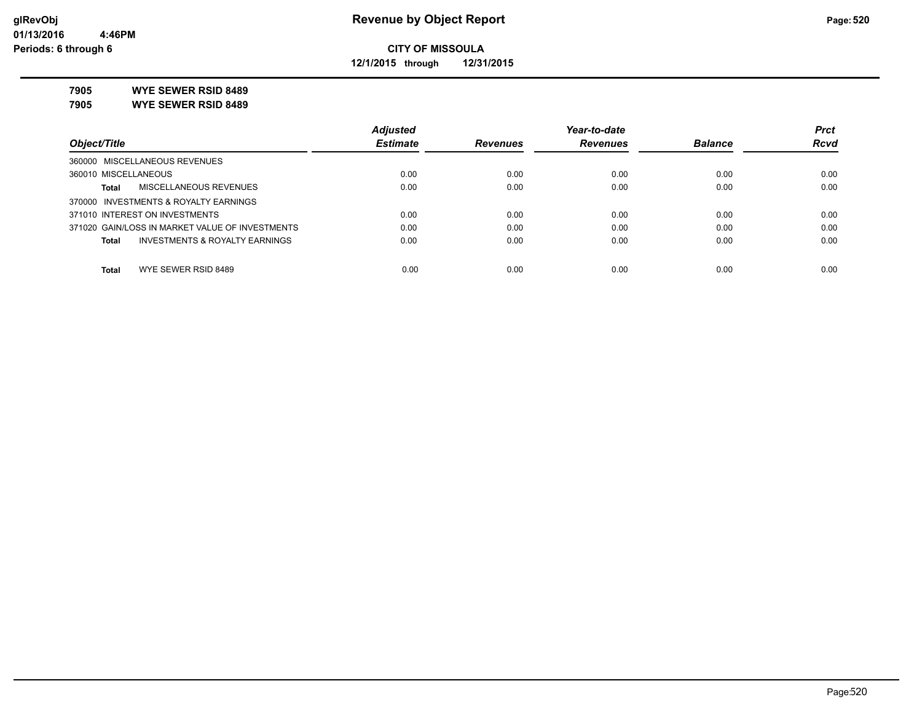**12/1/2015 through 12/31/2015**

**7905 WYE SEWER RSID 8489**

**7905 WYE SEWER RSID 8489**

|                                                 | <b>Adjusted</b> |                 | Year-to-date    |                | <b>Prct</b> |
|-------------------------------------------------|-----------------|-----------------|-----------------|----------------|-------------|
| Object/Title                                    | <b>Estimate</b> | <b>Revenues</b> | <b>Revenues</b> | <b>Balance</b> | <b>Rcvd</b> |
| 360000 MISCELLANEOUS REVENUES                   |                 |                 |                 |                |             |
| 360010 MISCELLANEOUS                            | 0.00            | 0.00            | 0.00            | 0.00           | 0.00        |
| MISCELLANEOUS REVENUES<br>Total                 | 0.00            | 0.00            | 0.00            | 0.00           | 0.00        |
| 370000 INVESTMENTS & ROYALTY EARNINGS           |                 |                 |                 |                |             |
| 371010 INTEREST ON INVESTMENTS                  | 0.00            | 0.00            | 0.00            | 0.00           | 0.00        |
| 371020 GAIN/LOSS IN MARKET VALUE OF INVESTMENTS | 0.00            | 0.00            | 0.00            | 0.00           | 0.00        |
| INVESTMENTS & ROYALTY EARNINGS<br>Total         | 0.00            | 0.00            | 0.00            | 0.00           | 0.00        |
|                                                 |                 |                 |                 |                |             |
| WYE SEWER RSID 8489<br><b>Total</b>             | 0.00            | 0.00            | 0.00            | 0.00           | 0.00        |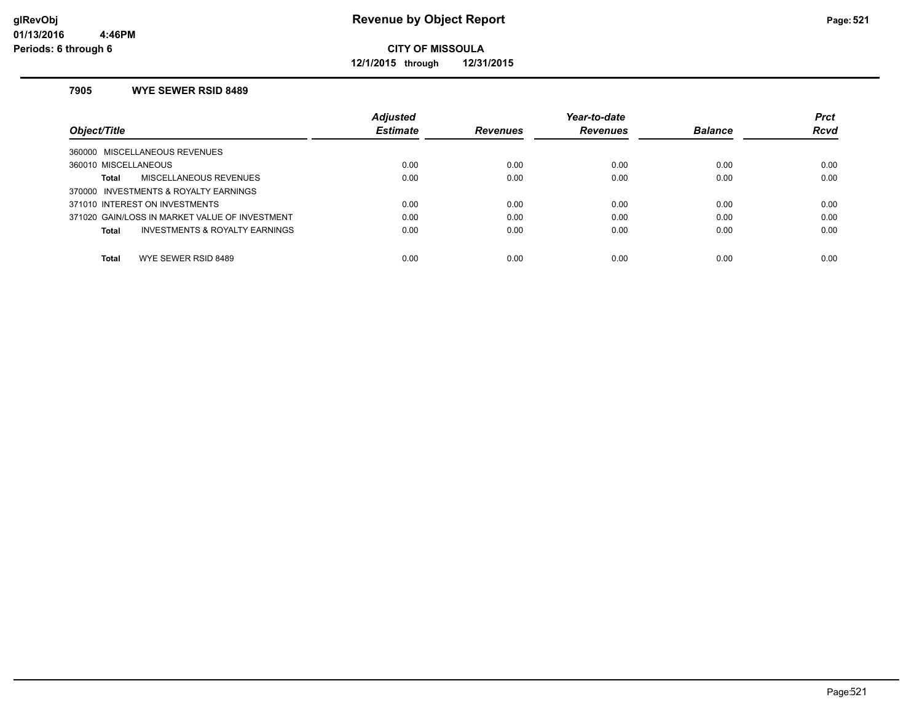**12/1/2015 through 12/31/2015**

#### **7905 WYE SEWER RSID 8489**

|                                                | <b>Adjusted</b> |                 | Year-to-date    |                | <b>Prct</b> |
|------------------------------------------------|-----------------|-----------------|-----------------|----------------|-------------|
| Object/Title                                   | <b>Estimate</b> | <b>Revenues</b> | <b>Revenues</b> | <b>Balance</b> | <b>Rcvd</b> |
| 360000 MISCELLANEOUS REVENUES                  |                 |                 |                 |                |             |
| 360010 MISCELLANEOUS                           | 0.00            | 0.00            | 0.00            | 0.00           | 0.00        |
| <b>MISCELLANEOUS REVENUES</b><br>Total         | 0.00            | 0.00            | 0.00            | 0.00           | 0.00        |
| 370000 INVESTMENTS & ROYALTY EARNINGS          |                 |                 |                 |                |             |
| 371010 INTEREST ON INVESTMENTS                 | 0.00            | 0.00            | 0.00            | 0.00           | 0.00        |
| 371020 GAIN/LOSS IN MARKET VALUE OF INVESTMENT | 0.00            | 0.00            | 0.00            | 0.00           | 0.00        |
| INVESTMENTS & ROYALTY EARNINGS<br>Total        | 0.00            | 0.00            | 0.00            | 0.00           | 0.00        |
|                                                |                 |                 |                 |                |             |
| WYE SEWER RSID 8489<br><b>Total</b>            | 0.00            | 0.00            | 0.00            | 0.00           | 0.00        |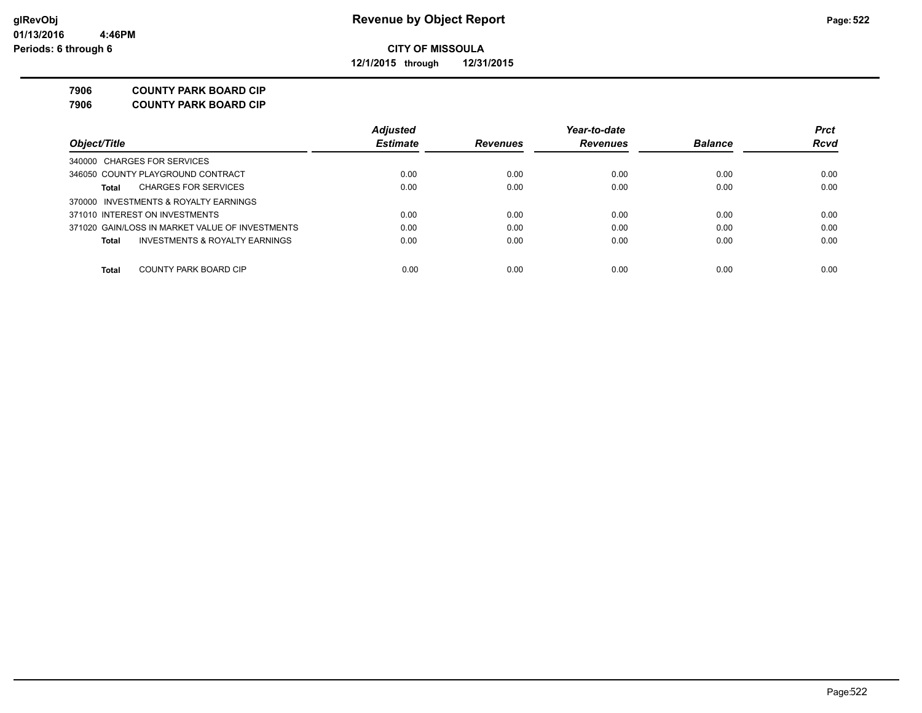**12/1/2015 through 12/31/2015**

#### **7906 COUNTY PARK BOARD CIP**

**7906 COUNTY PARK BOARD CIP**

|                                                 | <b>Adjusted</b> |                 | Year-to-date    |                | <b>Prct</b> |
|-------------------------------------------------|-----------------|-----------------|-----------------|----------------|-------------|
| Object/Title                                    | <b>Estimate</b> | <b>Revenues</b> | <b>Revenues</b> | <b>Balance</b> | <b>Rcvd</b> |
| 340000 CHARGES FOR SERVICES                     |                 |                 |                 |                |             |
| 346050 COUNTY PLAYGROUND CONTRACT               | 0.00            | 0.00            | 0.00            | 0.00           | 0.00        |
| <b>CHARGES FOR SERVICES</b><br>Total            | 0.00            | 0.00            | 0.00            | 0.00           | 0.00        |
| 370000 INVESTMENTS & ROYALTY EARNINGS           |                 |                 |                 |                |             |
| 371010 INTEREST ON INVESTMENTS                  | 0.00            | 0.00            | 0.00            | 0.00           | 0.00        |
| 371020 GAIN/LOSS IN MARKET VALUE OF INVESTMENTS | 0.00            | 0.00            | 0.00            | 0.00           | 0.00        |
| INVESTMENTS & ROYALTY EARNINGS<br>Total         | 0.00            | 0.00            | 0.00            | 0.00           | 0.00        |
| COUNTY PARK BOARD CIP<br><b>Total</b>           | 0.00            | 0.00            | 0.00            | 0.00           | 0.00        |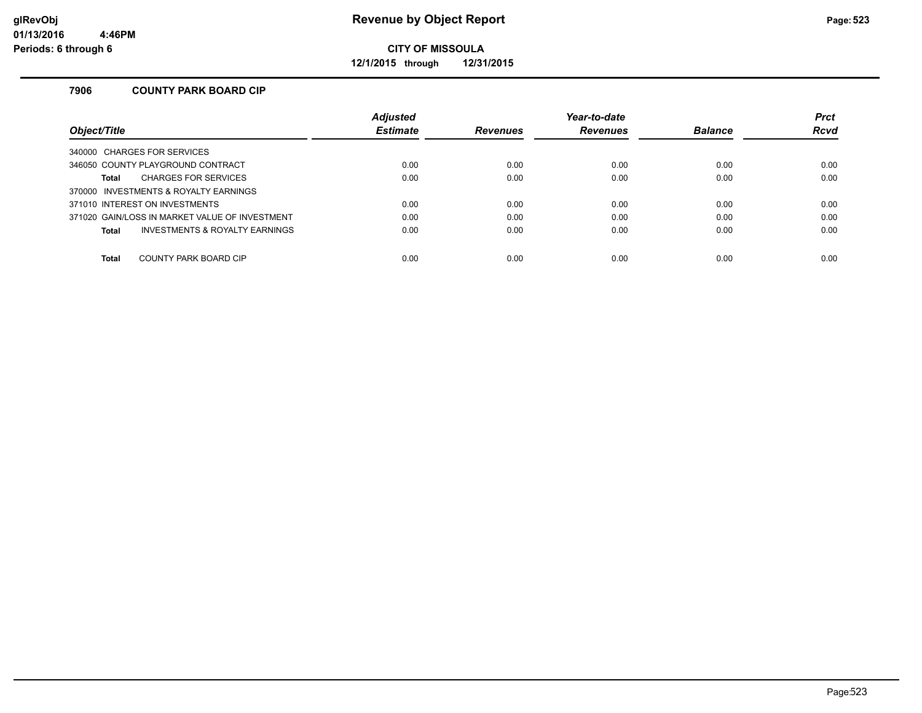**12/1/2015 through 12/31/2015**

### **7906 COUNTY PARK BOARD CIP**

|                                                | <b>Adjusted</b> |                 | Year-to-date    |                | <b>Prct</b> |
|------------------------------------------------|-----------------|-----------------|-----------------|----------------|-------------|
| Object/Title                                   | <b>Estimate</b> | <b>Revenues</b> | <b>Revenues</b> | <b>Balance</b> | <b>Rcvd</b> |
| 340000 CHARGES FOR SERVICES                    |                 |                 |                 |                |             |
| 346050 COUNTY PLAYGROUND CONTRACT              | 0.00            | 0.00            | 0.00            | 0.00           | 0.00        |
| <b>CHARGES FOR SERVICES</b><br>Total           | 0.00            | 0.00            | 0.00            | 0.00           | 0.00        |
| 370000 INVESTMENTS & ROYALTY EARNINGS          |                 |                 |                 |                |             |
| 371010 INTEREST ON INVESTMENTS                 | 0.00            | 0.00            | 0.00            | 0.00           | 0.00        |
| 371020 GAIN/LOSS IN MARKET VALUE OF INVESTMENT | 0.00            | 0.00            | 0.00            | 0.00           | 0.00        |
| INVESTMENTS & ROYALTY EARNINGS<br>Total        | 0.00            | 0.00            | 0.00            | 0.00           | 0.00        |
|                                                |                 |                 |                 |                |             |
| <b>Total</b><br>COUNTY PARK BOARD CIP          | 0.00            | 0.00            | 0.00            | 0.00           | 0.00        |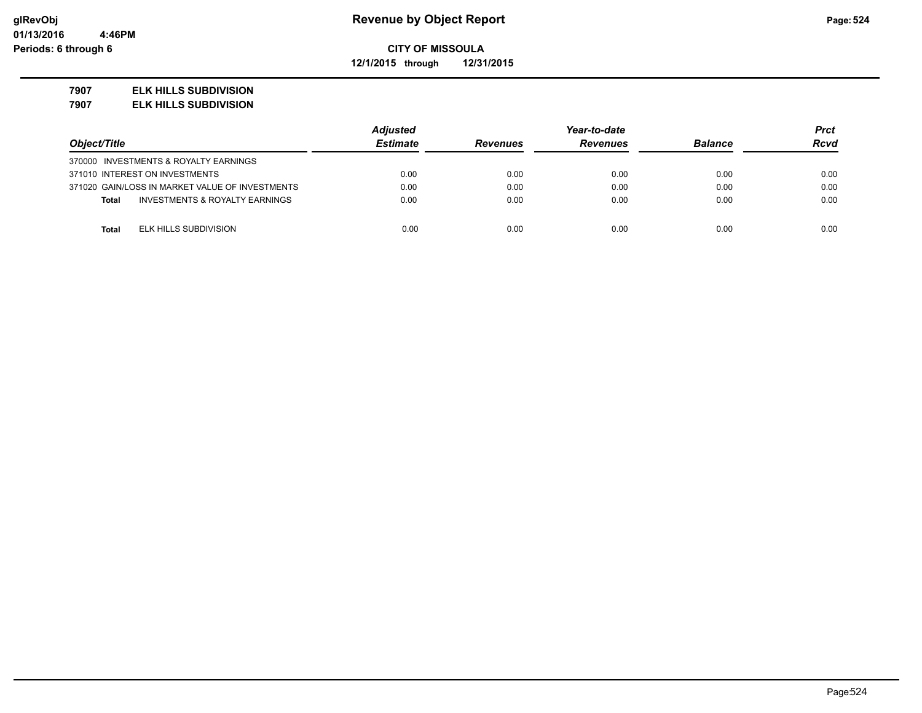**12/1/2015 through 12/31/2015**

#### **7907 ELK HILLS SUBDIVISION**

**7907 ELK HILLS SUBDIVISION**

|                                                           | <b>Adjusted</b> |                 | Year-to-date    |                | Prct        |
|-----------------------------------------------------------|-----------------|-----------------|-----------------|----------------|-------------|
| Object/Title                                              | <b>Estimate</b> | <b>Revenues</b> | <b>Revenues</b> | <b>Balance</b> | <b>Rcvd</b> |
| 370000 INVESTMENTS & ROYALTY EARNINGS                     |                 |                 |                 |                |             |
| 371010 INTEREST ON INVESTMENTS                            | 0.00            | 0.00            | 0.00            | 0.00           | 0.00        |
| 371020 GAIN/LOSS IN MARKET VALUE OF INVESTMENTS           | 0.00            | 0.00            | 0.00            | 0.00           | 0.00        |
| <b>INVESTMENTS &amp; ROYALTY EARNINGS</b><br><b>Total</b> | 0.00            | 0.00            | 0.00            | 0.00           | 0.00        |
|                                                           |                 |                 |                 |                |             |
| ELK HILLS SUBDIVISION<br><b>Total</b>                     | 0.00            | 0.00            | 0.00            | 0.00           | 0.00        |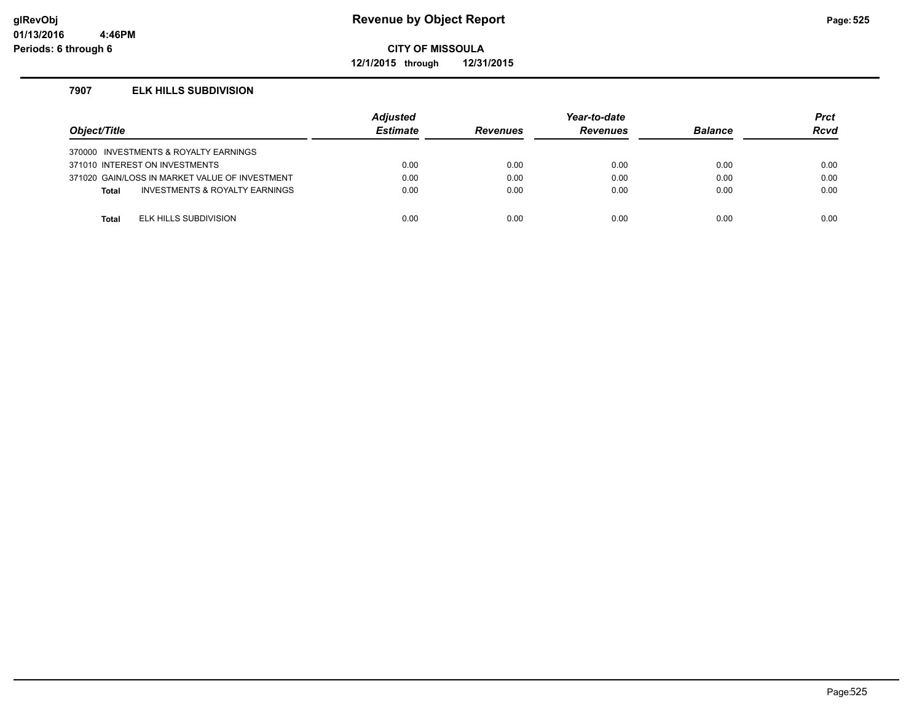### **glRevObj Revenue by Object Report Page:525**

**CITY OF MISSOULA**

**12/1/2015 through 12/31/2015**

#### **7907 ELK HILLS SUBDIVISION**

| Object/Title |                                                | <b>Adjusted</b><br><b>Estimate</b> | <b>Revenues</b> | Year-to-date<br><b>Revenues</b> | <b>Balance</b> | Prct<br><b>Rcvd</b> |
|--------------|------------------------------------------------|------------------------------------|-----------------|---------------------------------|----------------|---------------------|
|              | 370000 INVESTMENTS & ROYALTY EARNINGS          |                                    |                 |                                 |                |                     |
|              | 371010 INTEREST ON INVESTMENTS                 | 0.00                               | 0.00            | 0.00                            | 0.00           | 0.00                |
|              | 371020 GAIN/LOSS IN MARKET VALUE OF INVESTMENT | 0.00                               | 0.00            | 0.00                            | 0.00           | 0.00                |
| <b>Total</b> | INVESTMENTS & ROYALTY EARNINGS                 | 0.00                               | 0.00            | 0.00                            | 0.00           | 0.00                |
|              |                                                |                                    |                 |                                 |                |                     |
| Total        | ELK HILLS SUBDIVISION                          | 0.00                               | 0.00            | 0.00                            | 0.00           | 0.00                |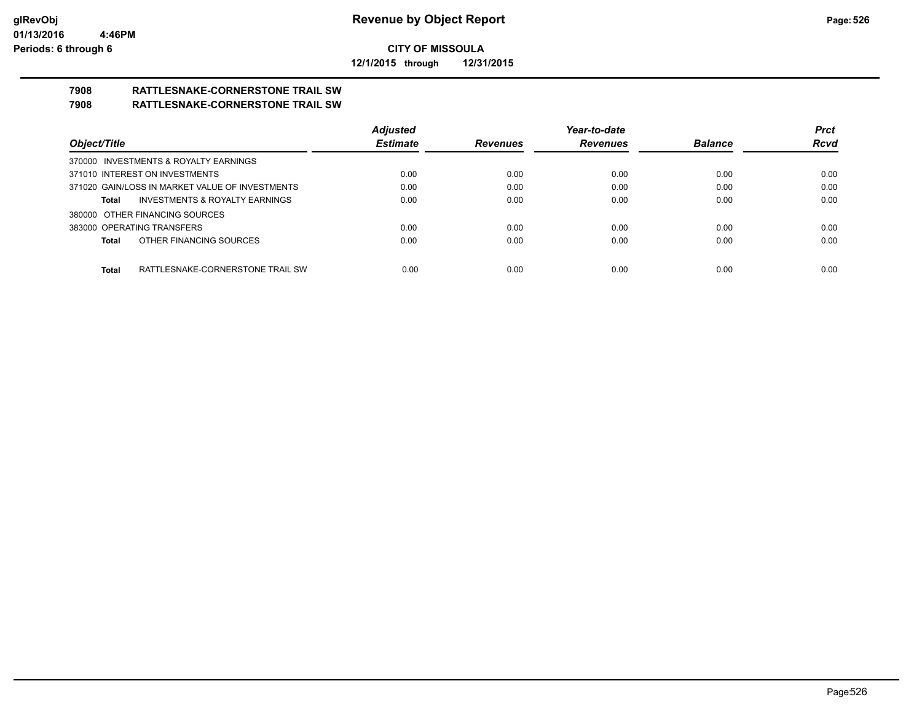**12/1/2015 through 12/31/2015**

# **7908 RATTLESNAKE-CORNERSTONE TRAIL SW**

### **7908 RATTLESNAKE-CORNERSTONE TRAIL SW**

|                                                    | <b>Adjusted</b> |                 | Year-to-date    |                | <b>Prct</b> |
|----------------------------------------------------|-----------------|-----------------|-----------------|----------------|-------------|
| Object/Title                                       | <b>Estimate</b> | <b>Revenues</b> | <b>Revenues</b> | <b>Balance</b> | <b>Rcvd</b> |
| 370000 INVESTMENTS & ROYALTY EARNINGS              |                 |                 |                 |                |             |
| 371010 INTEREST ON INVESTMENTS                     | 0.00            | 0.00            | 0.00            | 0.00           | 0.00        |
| 371020 GAIN/LOSS IN MARKET VALUE OF INVESTMENTS    | 0.00            | 0.00            | 0.00            | 0.00           | 0.00        |
| <b>INVESTMENTS &amp; ROYALTY EARNINGS</b><br>Total | 0.00            | 0.00            | 0.00            | 0.00           | 0.00        |
| 380000 OTHER FINANCING SOURCES                     |                 |                 |                 |                |             |
| 383000 OPERATING TRANSFERS                         | 0.00            | 0.00            | 0.00            | 0.00           | 0.00        |
| OTHER FINANCING SOURCES<br>Total                   | 0.00            | 0.00            | 0.00            | 0.00           | 0.00        |
|                                                    |                 |                 |                 |                |             |
| RATTLESNAKE-CORNERSTONE TRAIL SW<br>Total          | 0.00            | 0.00            | 0.00            | 0.00           | 0.00        |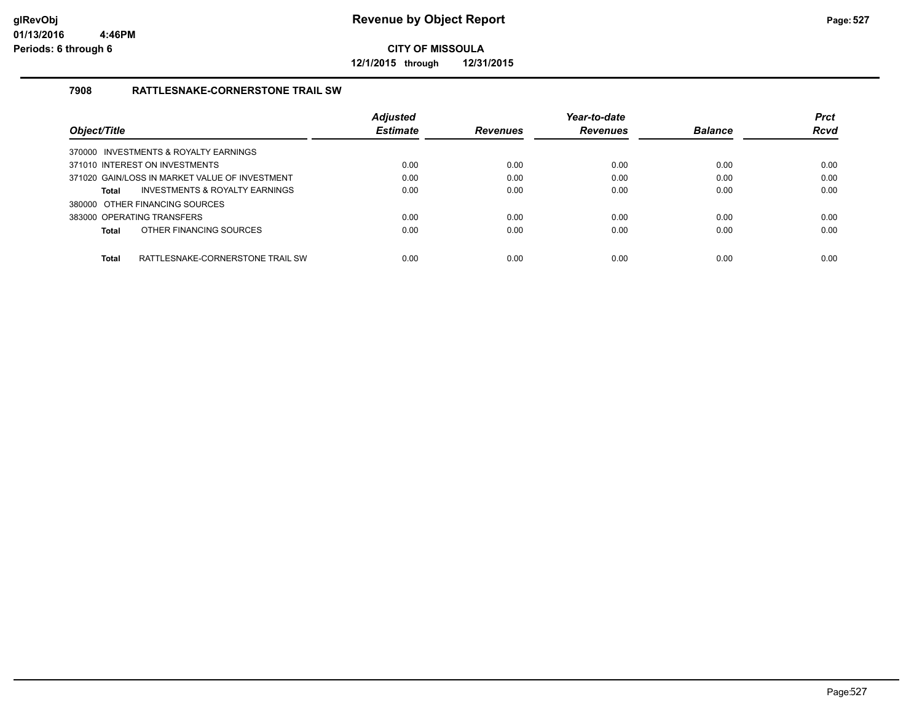**12/1/2015 through 12/31/2015**

### **7908 RATTLESNAKE-CORNERSTONE TRAIL SW**

|                                                  | <b>Adjusted</b> |                 | Year-to-date    |                | <b>Prct</b> |
|--------------------------------------------------|-----------------|-----------------|-----------------|----------------|-------------|
| Object/Title                                     | <b>Estimate</b> | <b>Revenues</b> | <b>Revenues</b> | <b>Balance</b> | Rcvd        |
| 370000 INVESTMENTS & ROYALTY EARNINGS            |                 |                 |                 |                |             |
| 371010 INTEREST ON INVESTMENTS                   | 0.00            | 0.00            | 0.00            | 0.00           | 0.00        |
| 371020 GAIN/LOSS IN MARKET VALUE OF INVESTMENT   | 0.00            | 0.00            | 0.00            | 0.00           | 0.00        |
| INVESTMENTS & ROYALTY EARNINGS<br><b>Total</b>   | 0.00            | 0.00            | 0.00            | 0.00           | 0.00        |
| 380000 OTHER FINANCING SOURCES                   |                 |                 |                 |                |             |
| 383000 OPERATING TRANSFERS                       | 0.00            | 0.00            | 0.00            | 0.00           | 0.00        |
| OTHER FINANCING SOURCES<br><b>Total</b>          | 0.00            | 0.00            | 0.00            | 0.00           | 0.00        |
|                                                  |                 |                 |                 |                |             |
| <b>Total</b><br>RATTLESNAKE-CORNERSTONE TRAIL SW | 0.00            | 0.00            | 0.00            | 0.00           | 0.00        |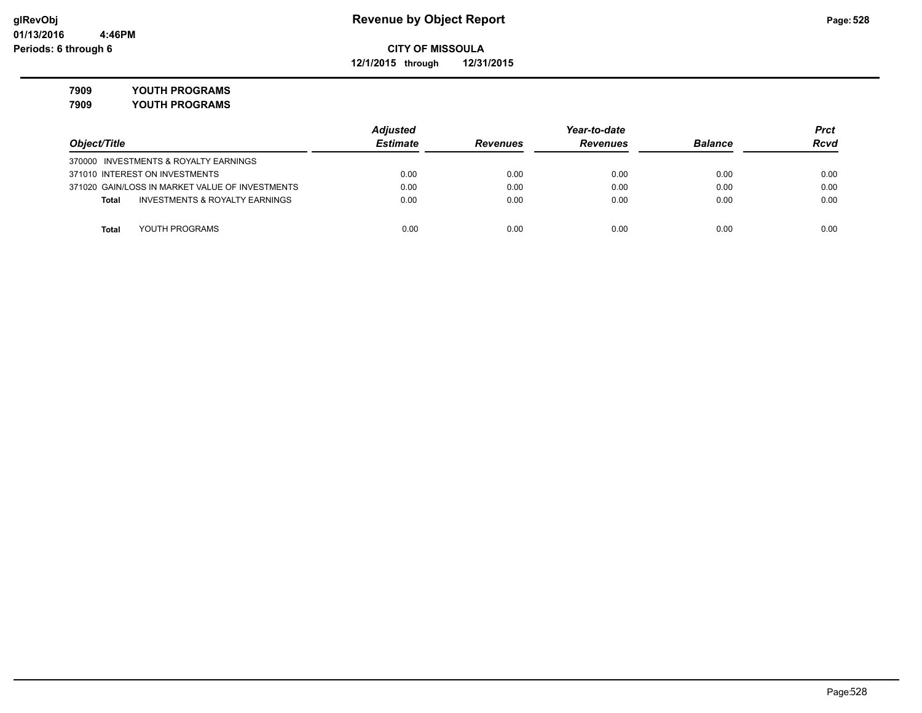**12/1/2015 through 12/31/2015**

**7909 YOUTH PROGRAMS**

**7909 YOUTH PROGRAMS**

|                                                    | <b>Adjusted</b> |                 | Year-to-date    |                | Prct |  |
|----------------------------------------------------|-----------------|-----------------|-----------------|----------------|------|--|
| Object/Title                                       | <b>Estimate</b> | <b>Revenues</b> | <b>Revenues</b> | <b>Balance</b> | Rcvd |  |
| 370000 INVESTMENTS & ROYALTY EARNINGS              |                 |                 |                 |                |      |  |
| 371010 INTEREST ON INVESTMENTS                     | 0.00            | 0.00            | 0.00            | 0.00           | 0.00 |  |
| 371020 GAIN/LOSS IN MARKET VALUE OF INVESTMENTS    | 0.00            | 0.00            | 0.00            | 0.00           | 0.00 |  |
| <b>INVESTMENTS &amp; ROYALTY EARNINGS</b><br>Total | 0.00            | 0.00            | 0.00            | 0.00           | 0.00 |  |
| YOUTH PROGRAMS<br>Total                            | 0.00            | 0.00            | 0.00            | 0.00           | 0.00 |  |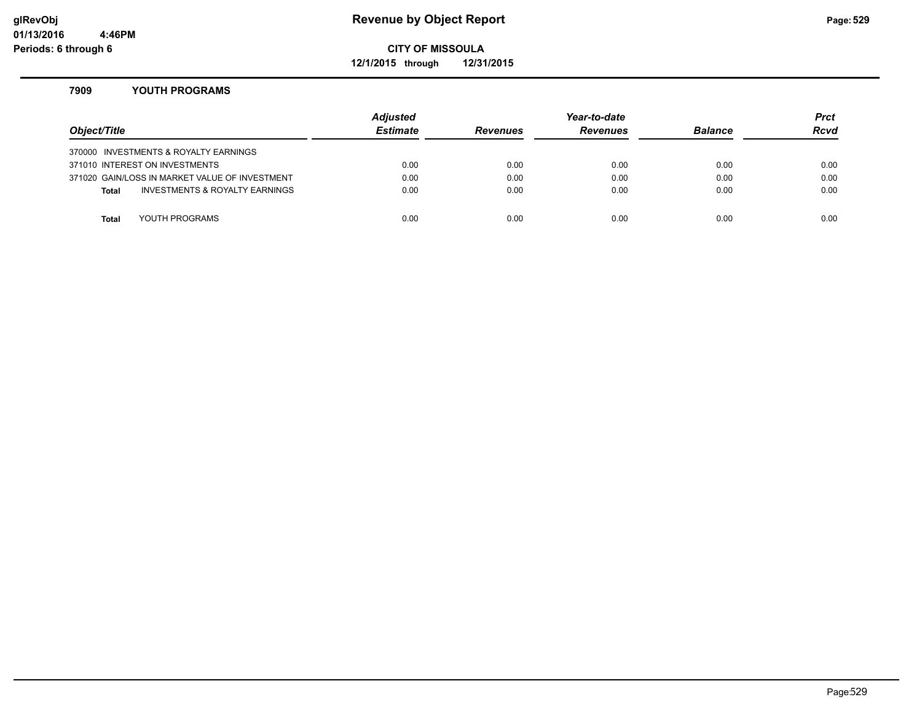### **glRevObj Revenue by Object Report Page:529**

### **CITY OF MISSOULA**

**12/1/2015 through 12/31/2015**

#### **7909 YOUTH PROGRAMS**

| Object/Title |                                                | Adjusted<br><b>Estimate</b> | <b>Revenues</b> | Year-to-date<br><b>Revenues</b> | <b>Balance</b> | <b>Prct</b><br>Rcvd |
|--------------|------------------------------------------------|-----------------------------|-----------------|---------------------------------|----------------|---------------------|
|              | 370000 INVESTMENTS & ROYALTY EARNINGS          |                             |                 |                                 |                |                     |
|              | 371010 INTEREST ON INVESTMENTS                 | 0.00                        | 0.00            | 0.00                            | 0.00           | 0.00                |
|              | 371020 GAIN/LOSS IN MARKET VALUE OF INVESTMENT | 0.00                        | 0.00            | 0.00                            | 0.00           | 0.00                |
| <b>Total</b> | <b>INVESTMENTS &amp; ROYALTY EARNINGS</b>      | 0.00                        | 0.00            | 0.00                            | 0.00           | 0.00                |
|              |                                                |                             |                 |                                 |                |                     |
| Total        | YOUTH PROGRAMS                                 | 0.00                        | 0.00            | 0.00                            | 0.00           | 0.00                |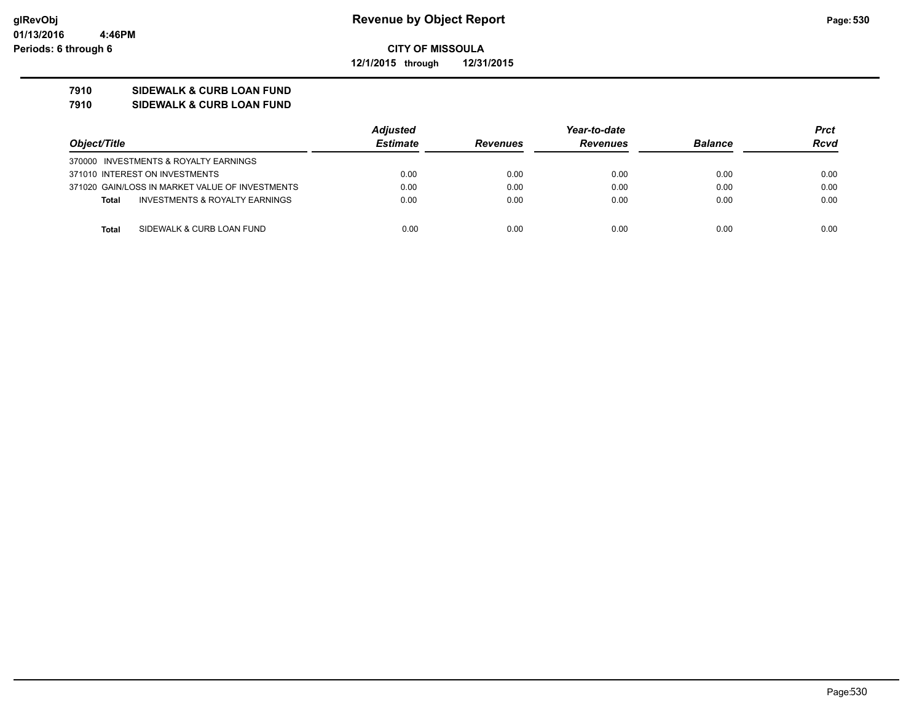**12/1/2015 through 12/31/2015**

### **7910 SIDEWALK & CURB LOAN FUND**

**7910 SIDEWALK & CURB LOAN FUND**

|                                                           | <b>Adjusted</b> | Year-to-date    |                 |                | Prct        |
|-----------------------------------------------------------|-----------------|-----------------|-----------------|----------------|-------------|
| Object/Title                                              | <b>Estimate</b> | <b>Revenues</b> | <b>Revenues</b> | <b>Balance</b> | <b>Rcvd</b> |
| 370000 INVESTMENTS & ROYALTY EARNINGS                     |                 |                 |                 |                |             |
| 371010 INTEREST ON INVESTMENTS                            | 0.00            | 0.00            | 0.00            | 0.00           | 0.00        |
| 371020 GAIN/LOSS IN MARKET VALUE OF INVESTMENTS           | 0.00            | 0.00            | 0.00            | 0.00           | 0.00        |
| <b>INVESTMENTS &amp; ROYALTY EARNINGS</b><br><b>Total</b> | 0.00            | 0.00            | 0.00            | 0.00           | 0.00        |
|                                                           |                 |                 |                 |                |             |
| SIDEWALK & CURB LOAN FUND<br><b>Total</b>                 | 0.00            | 0.00            | 0.00            | 0.00           | 0.00        |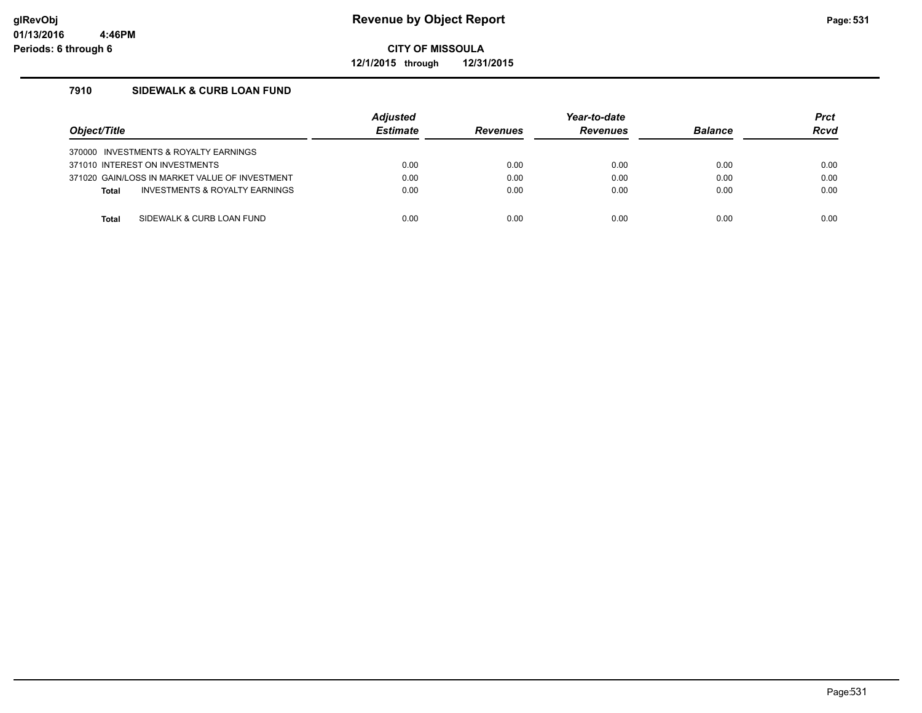**12/1/2015 through 12/31/2015**

### **7910 SIDEWALK & CURB LOAN FUND**

| Object/Title                          |                                                | <b>Adjusted</b><br><b>Estimate</b> | <b>Revenues</b> | Year-to-date<br><b>Revenues</b> | <b>Balance</b> | <b>Prct</b><br><b>Rcvd</b> |
|---------------------------------------|------------------------------------------------|------------------------------------|-----------------|---------------------------------|----------------|----------------------------|
| 370000 INVESTMENTS & ROYALTY EARNINGS |                                                |                                    |                 |                                 |                |                            |
| 371010 INTEREST ON INVESTMENTS        |                                                | 0.00                               | 0.00            | 0.00                            | 0.00           | 0.00                       |
|                                       | 371020 GAIN/LOSS IN MARKET VALUE OF INVESTMENT | 0.00                               | 0.00            | 0.00                            | 0.00           | 0.00                       |
| <b>Total</b>                          | <b>INVESTMENTS &amp; ROYALTY EARNINGS</b>      | 0.00                               | 0.00            | 0.00                            | 0.00           | 0.00                       |
|                                       |                                                |                                    |                 |                                 |                |                            |
| Total                                 | SIDEWALK & CURB LOAN FUND                      | 0.00                               | 0.00            | 0.00                            | 0.00           | 0.00                       |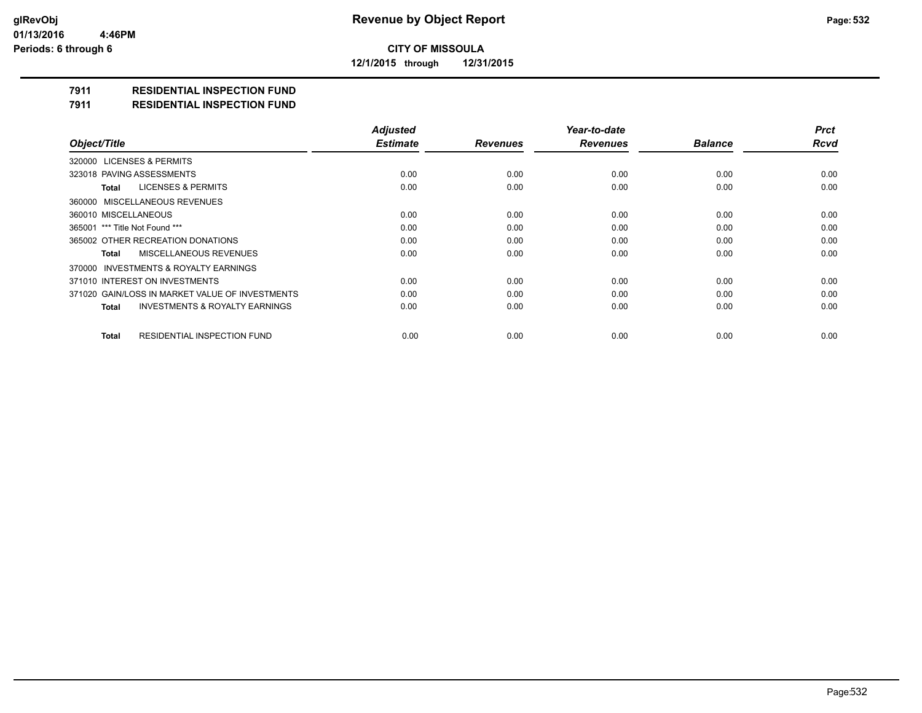**12/1/2015 through 12/31/2015**

### **7911 RESIDENTIAL INSPECTION FUND**

#### **7911 RESIDENTIAL INSPECTION FUND**

|                                                    | <b>Adjusted</b> |                 | Year-to-date    |                | <b>Prct</b> |
|----------------------------------------------------|-----------------|-----------------|-----------------|----------------|-------------|
| Object/Title                                       | <b>Estimate</b> | <b>Revenues</b> | <b>Revenues</b> | <b>Balance</b> | <b>Rcvd</b> |
| 320000 LICENSES & PERMITS                          |                 |                 |                 |                |             |
| 323018 PAVING ASSESSMENTS                          | 0.00            | 0.00            | 0.00            | 0.00           | 0.00        |
| LICENSES & PERMITS<br>Total                        | 0.00            | 0.00            | 0.00            | 0.00           | 0.00        |
| 360000 MISCELLANEOUS REVENUES                      |                 |                 |                 |                |             |
| 360010 MISCELLANEOUS                               | 0.00            | 0.00            | 0.00            | 0.00           | 0.00        |
| 365001 *** Title Not Found ***                     | 0.00            | 0.00            | 0.00            | 0.00           | 0.00        |
| 365002 OTHER RECREATION DONATIONS                  | 0.00            | 0.00            | 0.00            | 0.00           | 0.00        |
| MISCELLANEOUS REVENUES<br>Total                    | 0.00            | 0.00            | 0.00            | 0.00           | 0.00        |
| 370000 INVESTMENTS & ROYALTY EARNINGS              |                 |                 |                 |                |             |
| 371010 INTEREST ON INVESTMENTS                     | 0.00            | 0.00            | 0.00            | 0.00           | 0.00        |
| 371020 GAIN/LOSS IN MARKET VALUE OF INVESTMENTS    | 0.00            | 0.00            | 0.00            | 0.00           | 0.00        |
| <b>INVESTMENTS &amp; ROYALTY EARNINGS</b><br>Total | 0.00            | 0.00            | 0.00            | 0.00           | 0.00        |
| <b>RESIDENTIAL INSPECTION FUND</b><br><b>Total</b> | 0.00            | 0.00            | 0.00            | 0.00           | 0.00        |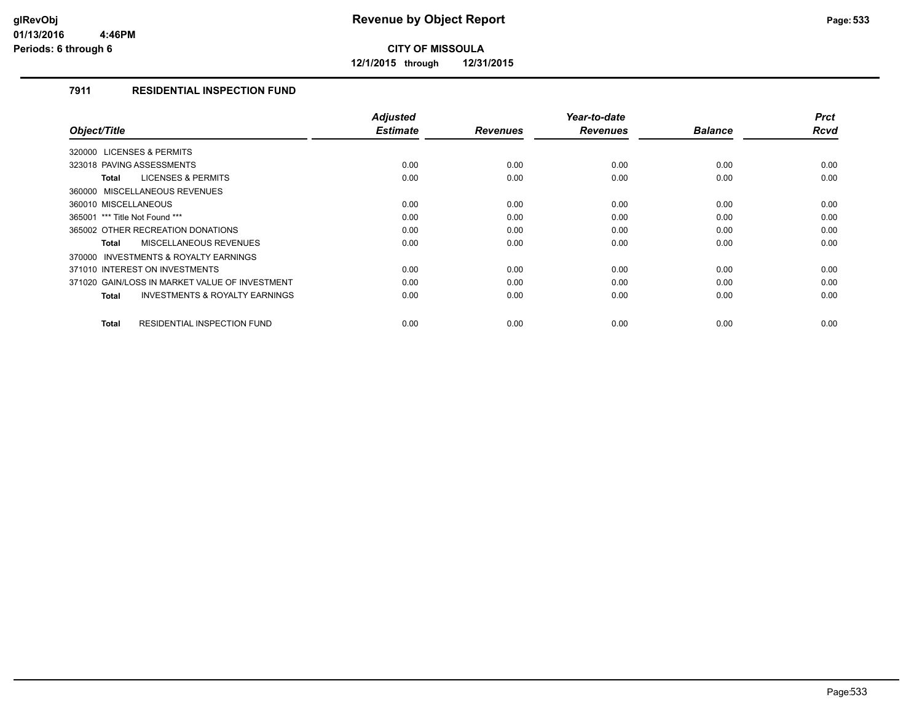**12/1/2015 through 12/31/2015**

### **7911 RESIDENTIAL INSPECTION FUND**

|                                                           | <b>Adjusted</b><br><b>Estimate</b> |                 | Year-to-date    |                | <b>Prct</b> |
|-----------------------------------------------------------|------------------------------------|-----------------|-----------------|----------------|-------------|
| Object/Title                                              |                                    | <b>Revenues</b> | <b>Revenues</b> | <b>Balance</b> | <b>Rcvd</b> |
| 320000 LICENSES & PERMITS                                 |                                    |                 |                 |                |             |
| 323018 PAVING ASSESSMENTS                                 | 0.00                               | 0.00            | 0.00            | 0.00           | 0.00        |
| <b>LICENSES &amp; PERMITS</b><br>Total                    | 0.00                               | 0.00            | 0.00            | 0.00           | 0.00        |
| 360000 MISCELLANEOUS REVENUES                             |                                    |                 |                 |                |             |
| 360010 MISCELLANEOUS                                      | 0.00                               | 0.00            | 0.00            | 0.00           | 0.00        |
| 365001 *** Title Not Found ***                            | 0.00                               | 0.00            | 0.00            | 0.00           | 0.00        |
| 365002 OTHER RECREATION DONATIONS                         | 0.00                               | 0.00            | 0.00            | 0.00           | 0.00        |
| MISCELLANEOUS REVENUES<br><b>Total</b>                    | 0.00                               | 0.00            | 0.00            | 0.00           | 0.00        |
| INVESTMENTS & ROYALTY EARNINGS<br>370000                  |                                    |                 |                 |                |             |
| 371010 INTEREST ON INVESTMENTS                            | 0.00                               | 0.00            | 0.00            | 0.00           | 0.00        |
| 371020 GAIN/LOSS IN MARKET VALUE OF INVESTMENT            | 0.00                               | 0.00            | 0.00            | 0.00           | 0.00        |
| <b>INVESTMENTS &amp; ROYALTY EARNINGS</b><br><b>Total</b> | 0.00                               | 0.00            | 0.00            | 0.00           | 0.00        |
|                                                           |                                    |                 |                 |                |             |
| RESIDENTIAL INSPECTION FUND<br><b>Total</b>               | 0.00                               | 0.00            | 0.00            | 0.00           | 0.00        |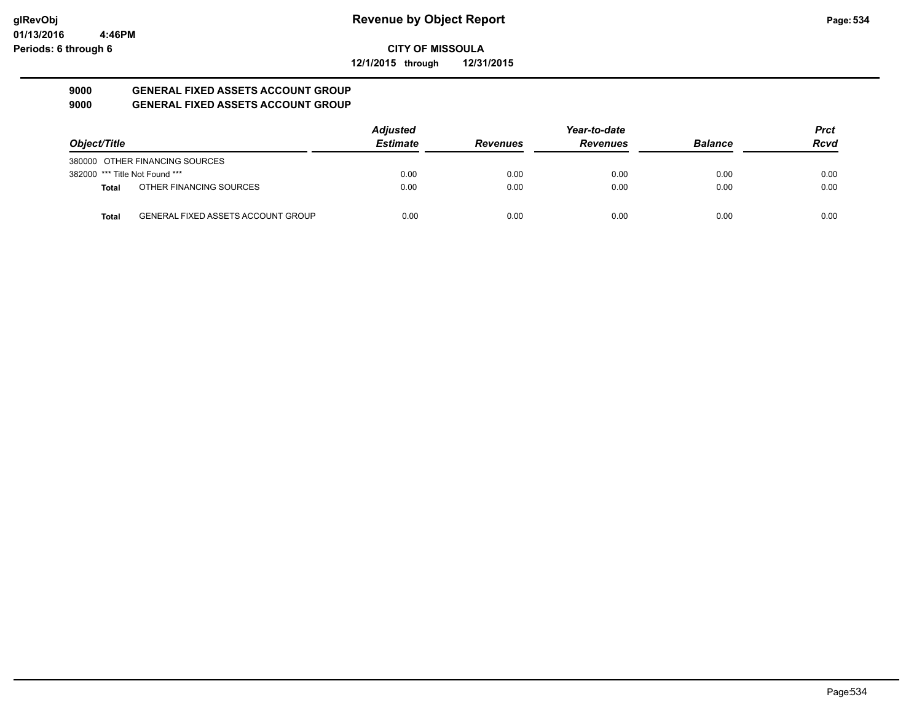**12/1/2015 through 12/31/2015**

#### **9000 GENERAL FIXED ASSETS ACCOUNT GROUP 9000 GENERAL FIXED ASSETS ACCOUNT GROUP**

|                                |                                           | <b>Adjusted</b> |                 | Year-to-date    |                | <b>Prct</b> |
|--------------------------------|-------------------------------------------|-----------------|-----------------|-----------------|----------------|-------------|
| Object/Title                   |                                           | <b>Estimate</b> | <b>Revenues</b> | <b>Revenues</b> | <b>Balance</b> | <b>Rcvd</b> |
|                                | 380000 OTHER FINANCING SOURCES            |                 |                 |                 |                |             |
| 382000 *** Title Not Found *** |                                           | 0.00            | 0.00            | 0.00            | 0.00           | 0.00        |
| <b>Total</b>                   | OTHER FINANCING SOURCES                   | 0.00            | 0.00            | 0.00            | 0.00           | 0.00        |
| <b>Total</b>                   | <b>GENERAL FIXED ASSETS ACCOUNT GROUP</b> | 0.00            | 0.00            | 0.00            | 0.00           | 0.00        |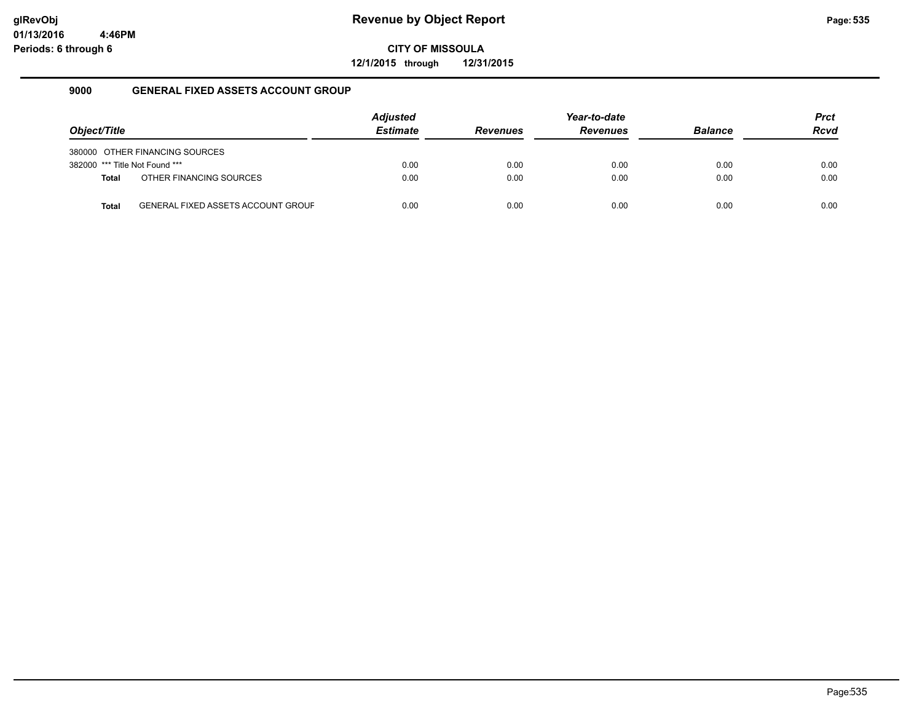**12/1/2015 through 12/31/2015**

#### **9000 GENERAL FIXED ASSETS ACCOUNT GROUP**

|                                |                                           | <b>Adjusted</b> |                 | Year-to-date    |                | <b>Prct</b> |
|--------------------------------|-------------------------------------------|-----------------|-----------------|-----------------|----------------|-------------|
| Object/Title                   |                                           | <b>Estimate</b> | <b>Revenues</b> | <b>Revenues</b> | <b>Balance</b> | <b>Rcvd</b> |
|                                | 380000 OTHER FINANCING SOURCES            |                 |                 |                 |                |             |
| 382000 *** Title Not Found *** |                                           | 0.00            | 0.00            | 0.00            | 0.00           | 0.00        |
| <b>Total</b>                   | OTHER FINANCING SOURCES                   | 0.00            | 0.00            | 0.00            | 0.00           | 0.00        |
| Total                          | <b>GENERAL FIXED ASSETS ACCOUNT GROUF</b> | 0.00            | 0.00            | 0.00            | 0.00           | 0.00        |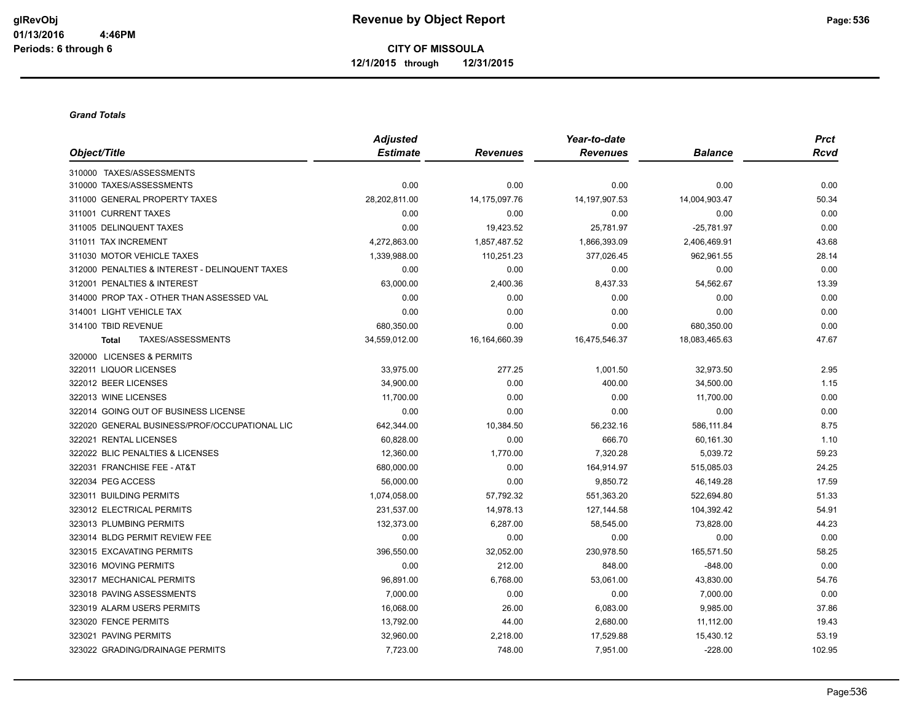#### *Grand Totals*

|                                                | <b>Adjusted</b> |                 | Year-to-date     |                | <b>Prct</b> |
|------------------------------------------------|-----------------|-----------------|------------------|----------------|-------------|
| Object/Title                                   | <b>Estimate</b> | <b>Revenues</b> | <b>Revenues</b>  | <b>Balance</b> | <b>Rcvd</b> |
| 310000 TAXES/ASSESSMENTS                       |                 |                 |                  |                |             |
| 310000 TAXES/ASSESSMENTS                       | 0.00            | 0.00            | 0.00             | 0.00           | 0.00        |
| 311000 GENERAL PROPERTY TAXES                  | 28,202,811.00   | 14,175,097.76   | 14, 197, 907. 53 | 14,004,903.47  | 50.34       |
| 311001 CURRENT TAXES                           | 0.00            | 0.00            | 0.00             | 0.00           | 0.00        |
| 311005 DELINQUENT TAXES                        | 0.00            | 19,423.52       | 25,781.97        | $-25,781.97$   | 0.00        |
| 311011 TAX INCREMENT                           | 4,272,863.00    | 1,857,487.52    | 1,866,393.09     | 2,406,469.91   | 43.68       |
| 311030 MOTOR VEHICLE TAXES                     | 1,339,988.00    | 110,251.23      | 377,026.45       | 962,961.55     | 28.14       |
| 312000 PENALTIES & INTEREST - DELINQUENT TAXES | 0.00            | 0.00            | 0.00             | 0.00           | 0.00        |
| 312001 PENALTIES & INTEREST                    | 63,000.00       | 2,400.36        | 8,437.33         | 54,562.67      | 13.39       |
| 314000 PROP TAX - OTHER THAN ASSESSED VAL      | 0.00            | 0.00            | 0.00             | 0.00           | 0.00        |
| 314001 LIGHT VEHICLE TAX                       | 0.00            | 0.00            | 0.00             | 0.00           | 0.00        |
| 314100 TBID REVENUE                            | 680,350.00      | 0.00            | 0.00             | 680,350.00     | 0.00        |
| TAXES/ASSESSMENTS<br><b>Total</b>              | 34,559,012.00   | 16,164,660.39   | 16,475,546.37    | 18,083,465.63  | 47.67       |
| 320000 LICENSES & PERMITS                      |                 |                 |                  |                |             |
| 322011 LIQUOR LICENSES                         | 33,975.00       | 277.25          | 1,001.50         | 32,973.50      | 2.95        |
| 322012 BEER LICENSES                           | 34,900.00       | 0.00            | 400.00           | 34,500.00      | 1.15        |
| 322013 WINE LICENSES                           | 11,700.00       | 0.00            | 0.00             | 11,700.00      | 0.00        |
| 322014 GOING OUT OF BUSINESS LICENSE           | 0.00            | 0.00            | 0.00             | 0.00           | 0.00        |
| 322020 GENERAL BUSINESS/PROF/OCCUPATIONAL LIC  | 642,344.00      | 10,384.50       | 56,232.16        | 586,111.84     | 8.75        |
| 322021 RENTAL LICENSES                         | 60,828.00       | 0.00            | 666.70           | 60,161.30      | 1.10        |
| 322022 BLIC PENALTIES & LICENSES               | 12,360.00       | 1,770.00        | 7,320.28         | 5,039.72       | 59.23       |
| 322031 FRANCHISE FEE - AT&T                    | 680,000.00      | 0.00            | 164,914.97       | 515,085.03     | 24.25       |
| 322034 PEG ACCESS                              | 56,000.00       | 0.00            | 9,850.72         | 46,149.28      | 17.59       |
| 323011 BUILDING PERMITS                        | 1,074,058.00    | 57,792.32       | 551,363.20       | 522,694.80     | 51.33       |
| 323012 ELECTRICAL PERMITS                      | 231,537.00      | 14,978.13       | 127, 144.58      | 104,392.42     | 54.91       |
| 323013 PLUMBING PERMITS                        | 132,373.00      | 6,287.00        | 58,545.00        | 73,828.00      | 44.23       |
| 323014 BLDG PERMIT REVIEW FEE                  | 0.00            | 0.00            | 0.00             | 0.00           | 0.00        |
| 323015 EXCAVATING PERMITS                      | 396,550.00      | 32,052.00       | 230,978.50       | 165,571.50     | 58.25       |
| 323016 MOVING PERMITS                          | 0.00            | 212.00          | 848.00           | $-848.00$      | 0.00        |
| 323017 MECHANICAL PERMITS                      | 96,891.00       | 6,768.00        | 53,061.00        | 43,830.00      | 54.76       |
| 323018 PAVING ASSESSMENTS                      | 7,000.00        | 0.00            | 0.00             | 7,000.00       | 0.00        |
| 323019 ALARM USERS PERMITS                     | 16,068.00       | 26.00           | 6,083.00         | 9,985.00       | 37.86       |
| 323020 FENCE PERMITS                           | 13,792.00       | 44.00           | 2,680.00         | 11,112.00      | 19.43       |
| 323021 PAVING PERMITS                          | 32,960.00       | 2,218.00        | 17,529.88        | 15,430.12      | 53.19       |
| 323022 GRADING/DRAINAGE PERMITS                | 7,723.00        | 748.00          | 7,951.00         | $-228.00$      | 102.95      |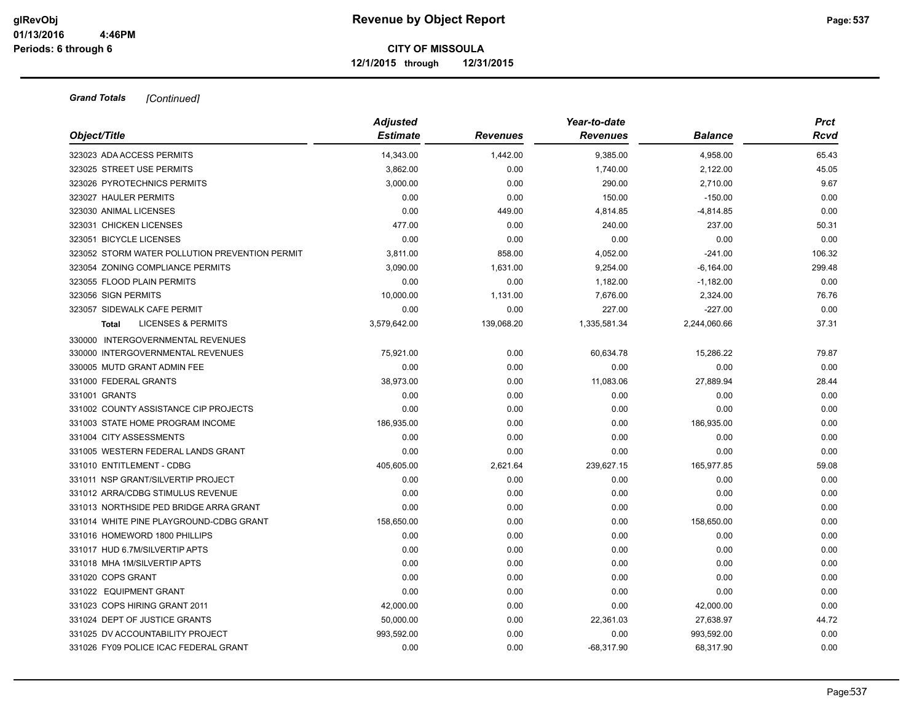| Object/Title                                   | <b>Adjusted</b><br><b>Estimate</b> | <b>Revenues</b> | Year-to-date<br><b>Revenues</b> | <b>Balance</b> | <b>Prct</b><br>Rcvd |
|------------------------------------------------|------------------------------------|-----------------|---------------------------------|----------------|---------------------|
| 323023 ADA ACCESS PERMITS                      | 14,343.00                          | 1,442.00        | 9,385.00                        | 4,958.00       | 65.43               |
| 323025 STREET USE PERMITS                      | 3,862.00                           | 0.00            | 1,740.00                        | 2,122.00       | 45.05               |
| 323026 PYROTECHNICS PERMITS                    | 3,000.00                           | 0.00            | 290.00                          | 2,710.00       | 9.67                |
| 323027 HAULER PERMITS                          | 0.00                               | 0.00            | 150.00                          | $-150.00$      | 0.00                |
| 323030 ANIMAL LICENSES                         | 0.00                               | 449.00          | 4,814.85                        | -4,814.85      | 0.00                |
| 323031 CHICKEN LICENSES                        | 477.00                             | 0.00            | 240.00                          | 237.00         | 50.31               |
| 323051 BICYCLE LICENSES                        | 0.00                               | 0.00            | 0.00                            | 0.00           | 0.00                |
| 323052 STORM WATER POLLUTION PREVENTION PERMIT | 3,811.00                           | 858.00          | 4,052.00                        | $-241.00$      | 106.32              |
| 323054 ZONING COMPLIANCE PERMITS               | 3,090.00                           | 1,631.00        | 9,254.00                        | $-6,164.00$    | 299.48              |
| 323055 FLOOD PLAIN PERMITS                     | 0.00                               | 0.00            | 1,182.00                        | $-1,182.00$    | 0.00                |
| 323056 SIGN PERMITS                            | 10,000.00                          | 1,131.00        | 7,676.00                        | 2,324.00       | 76.76               |
| 323057 SIDEWALK CAFE PERMIT                    | 0.00                               | 0.00            | 227.00                          | $-227.00$      | 0.00                |
| <b>LICENSES &amp; PERMITS</b><br>Total         | 3,579,642.00                       | 139,068.20      | 1,335,581.34                    | 2,244,060.66   | 37.31               |
| 330000 INTERGOVERNMENTAL REVENUES              |                                    |                 |                                 |                |                     |
| 330000 INTERGOVERNMENTAL REVENUES              | 75,921.00                          | 0.00            | 60,634.78                       | 15,286.22      | 79.87               |
| 330005 MUTD GRANT ADMIN FEE                    | 0.00                               | 0.00            | 0.00                            | 0.00           | 0.00                |
| 331000 FEDERAL GRANTS                          | 38,973.00                          | 0.00            | 11,083.06                       | 27,889.94      | 28.44               |
| 331001 GRANTS                                  | 0.00                               | 0.00            | 0.00                            | 0.00           | 0.00                |
| 331002 COUNTY ASSISTANCE CIP PROJECTS          | 0.00                               | 0.00            | 0.00                            | 0.00           | 0.00                |
| 331003 STATE HOME PROGRAM INCOME               | 186,935.00                         | 0.00            | 0.00                            | 186,935.00     | 0.00                |
| 331004 CITY ASSESSMENTS                        | 0.00                               | 0.00            | 0.00                            | 0.00           | 0.00                |
| 331005 WESTERN FEDERAL LANDS GRANT             | 0.00                               | 0.00            | 0.00                            | 0.00           | 0.00                |
| 331010 ENTITLEMENT - CDBG                      | 405,605.00                         | 2,621.64        | 239,627.15                      | 165,977.85     | 59.08               |
| 331011 NSP GRANT/SILVERTIP PROJECT             | 0.00                               | 0.00            | 0.00                            | 0.00           | 0.00                |
| 331012 ARRA/CDBG STIMULUS REVENUE              | 0.00                               | 0.00            | 0.00                            | 0.00           | 0.00                |
| 331013 NORTHSIDE PED BRIDGE ARRA GRANT         | 0.00                               | 0.00            | 0.00                            | 0.00           | 0.00                |
| 331014 WHITE PINE PLAYGROUND-CDBG GRANT        | 158,650.00                         | 0.00            | 0.00                            | 158,650.00     | 0.00                |
| 331016 HOMEWORD 1800 PHILLIPS                  | 0.00                               | 0.00            | 0.00                            | 0.00           | 0.00                |
| 331017 HUD 6.7M/SILVERTIP APTS                 | 0.00                               | 0.00            | 0.00                            | 0.00           | 0.00                |
| 331018 MHA 1M/SILVERTIP APTS                   | 0.00                               | 0.00            | 0.00                            | 0.00           | 0.00                |
| 331020 COPS GRANT                              | 0.00                               | 0.00            | 0.00                            | 0.00           | 0.00                |
| 331022 EQUIPMENT GRANT                         | 0.00                               | 0.00            | 0.00                            | 0.00           | 0.00                |
| 331023 COPS HIRING GRANT 2011                  | 42,000.00                          | 0.00            | 0.00                            | 42,000.00      | 0.00                |
| 331024 DEPT OF JUSTICE GRANTS                  | 50,000.00                          | 0.00            | 22,361.03                       | 27,638.97      | 44.72               |
| 331025 DV ACCOUNTABILITY PROJECT               | 993,592.00                         | 0.00            | 0.00                            | 993,592.00     | 0.00                |
| 331026 FY09 POLICE ICAC FEDERAL GRANT          | 0.00                               | 0.00            | $-68,317.90$                    | 68,317.90      | 0.00                |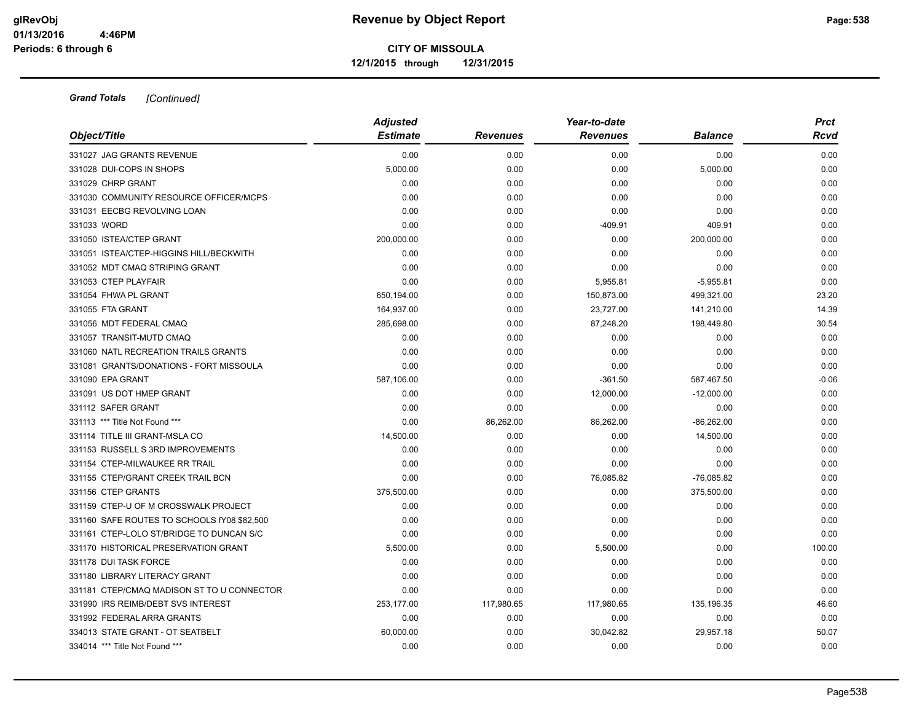|                                             | <b>Adjusted</b> |                 | Year-to-date    |                | <b>Prct</b> |
|---------------------------------------------|-----------------|-----------------|-----------------|----------------|-------------|
| Object/Title                                | <b>Estimate</b> | <b>Revenues</b> | <b>Revenues</b> | <b>Balance</b> | <b>Rcvd</b> |
| 331027 JAG GRANTS REVENUE                   | 0.00            | 0.00            | 0.00            | 0.00           | 0.00        |
| 331028 DUI-COPS IN SHOPS                    | 5,000.00        | 0.00            | 0.00            | 5,000.00       | 0.00        |
| 331029 CHRP GRANT                           | 0.00            | 0.00            | 0.00            | 0.00           | 0.00        |
| 331030 COMMUNITY RESOURCE OFFICER/MCPS      | 0.00            | 0.00            | 0.00            | 0.00           | 0.00        |
| 331031 EECBG REVOLVING LOAN                 | 0.00            | 0.00            | 0.00            | 0.00           | 0.00        |
| 331033 WORD                                 | 0.00            | 0.00            | $-409.91$       | 409.91         | 0.00        |
| 331050 ISTEA/CTEP GRANT                     | 200,000.00      | 0.00            | 0.00            | 200,000.00     | 0.00        |
| 331051 ISTEA/CTEP-HIGGINS HILL/BECKWITH     | 0.00            | 0.00            | 0.00            | 0.00           | 0.00        |
| 331052 MDT CMAQ STRIPING GRANT              | 0.00            | 0.00            | 0.00            | 0.00           | 0.00        |
| 331053 CTEP PLAYFAIR                        | 0.00            | 0.00            | 5,955.81        | $-5,955.81$    | 0.00        |
| 331054 FHWA PL GRANT                        | 650,194.00      | 0.00            | 150,873.00      | 499,321.00     | 23.20       |
| 331055 FTA GRANT                            | 164,937.00      | 0.00            | 23,727.00       | 141,210.00     | 14.39       |
| 331056 MDT FEDERAL CMAQ                     | 285,698.00      | 0.00            | 87,248.20       | 198,449.80     | 30.54       |
| 331057 TRANSIT-MUTD CMAQ                    | 0.00            | 0.00            | 0.00            | 0.00           | 0.00        |
| 331060 NATL RECREATION TRAILS GRANTS        | 0.00            | 0.00            | 0.00            | 0.00           | 0.00        |
| 331081 GRANTS/DONATIONS - FORT MISSOULA     | 0.00            | 0.00            | 0.00            | 0.00           | 0.00        |
| 331090 EPA GRANT                            | 587,106.00      | 0.00            | $-361.50$       | 587,467.50     | $-0.06$     |
| 331091 US DOT HMEP GRANT                    | 0.00            | 0.00            | 12,000.00       | $-12,000.00$   | 0.00        |
| 331112 SAFER GRANT                          | 0.00            | 0.00            | 0.00            | 0.00           | 0.00        |
| 331113 *** Title Not Found ***              | 0.00            | 86,262.00       | 86,262.00       | $-86,262.00$   | 0.00        |
| 331114 TITLE III GRANT-MSLA CO              | 14,500.00       | 0.00            | 0.00            | 14,500.00      | 0.00        |
| 331153 RUSSELL S 3RD IMPROVEMENTS           | 0.00            | 0.00            | 0.00            | 0.00           | 0.00        |
| 331154 CTEP-MILWAUKEE RR TRAIL              | 0.00            | 0.00            | 0.00            | 0.00           | 0.00        |
| 331155 CTEP/GRANT CREEK TRAIL BCN           | 0.00            | 0.00            | 76,085.82       | $-76,085.82$   | 0.00        |
| 331156 CTEP GRANTS                          | 375,500.00      | 0.00            | 0.00            | 375,500.00     | 0.00        |
| 331159 CTEP-U OF M CROSSWALK PROJECT        | 0.00            | 0.00            | 0.00            | 0.00           | 0.00        |
| 331160 SAFE ROUTES TO SCHOOLS fY08 \$82,500 | 0.00            | 0.00            | 0.00            | 0.00           | 0.00        |
| 331161 CTEP-LOLO ST/BRIDGE TO DUNCAN S/C    | 0.00            | 0.00            | 0.00            | 0.00           | 0.00        |
| 331170 HISTORICAL PRESERVATION GRANT        | 5,500.00        | 0.00            | 5,500.00        | 0.00           | 100.00      |
| 331178 DUI TASK FORCE                       | 0.00            | 0.00            | 0.00            | 0.00           | 0.00        |
| 331180 LIBRARY LITERACY GRANT               | 0.00            | 0.00            | 0.00            | 0.00           | 0.00        |
| 331181 CTEP/CMAQ MADISON ST TO U CONNECTOR  | 0.00            | 0.00            | 0.00            | 0.00           | 0.00        |
| 331990 IRS REIMB/DEBT SVS INTEREST          | 253,177.00      | 117,980.65      | 117,980.65      | 135,196.35     | 46.60       |
| 331992 FEDERAL ARRA GRANTS                  | 0.00            | 0.00            | 0.00            | 0.00           | 0.00        |
| 334013 STATE GRANT - OT SEATBELT            | 60,000.00       | 0.00            | 30,042.82       | 29,957.18      | 50.07       |
| 334014 *** Title Not Found ***              | 0.00            | 0.00            | 0.00            | 0.00           | 0.00        |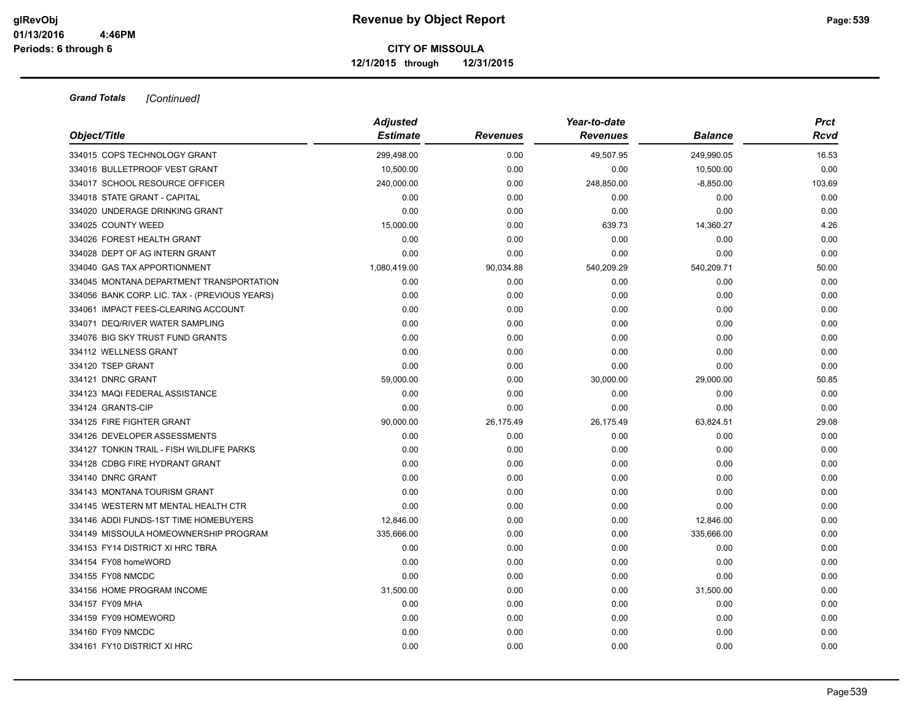|                                               | <b>Adjusted</b> |                 | Year-to-date    |                | <b>Prct</b> |
|-----------------------------------------------|-----------------|-----------------|-----------------|----------------|-------------|
| Object/Title                                  | <b>Estimate</b> | <b>Revenues</b> | <b>Revenues</b> | <b>Balance</b> | Rcvd        |
| 334015 COPS TECHNOLOGY GRANT                  | 299,498.00      | 0.00            | 49,507.95       | 249,990.05     | 16.53       |
| 334016 BULLETPROOF VEST GRANT                 | 10,500.00       | 0.00            | 0.00            | 10,500.00      | 0.00        |
| 334017 SCHOOL RESOURCE OFFICER                | 240,000.00      | 0.00            | 248,850.00      | $-8,850.00$    | 103.69      |
| 334018 STATE GRANT - CAPITAL                  | 0.00            | 0.00            | 0.00            | 0.00           | 0.00        |
| 334020 UNDERAGE DRINKING GRANT                | 0.00            | 0.00            | 0.00            | 0.00           | 0.00        |
| 334025 COUNTY WEED                            | 15,000.00       | 0.00            | 639.73          | 14,360.27      | 4.26        |
| 334026 FOREST HEALTH GRANT                    | 0.00            | 0.00            | 0.00            | 0.00           | 0.00        |
| 334028 DEPT OF AG INTERN GRANT                | 0.00            | 0.00            | 0.00            | 0.00           | 0.00        |
| 334040 GAS TAX APPORTIONMENT                  | 1,080,419.00    | 90,034.88       | 540,209.29      | 540,209.71     | 50.00       |
| 334045 MONTANA DEPARTMENT TRANSPORTATION      | 0.00            | 0.00            | 0.00            | 0.00           | 0.00        |
| 334056 BANK CORP. LIC. TAX - (PREVIOUS YEARS) | 0.00            | 0.00            | 0.00            | 0.00           | 0.00        |
| 334061 IMPACT FEES-CLEARING ACCOUNT           | 0.00            | 0.00            | 0.00            | 0.00           | 0.00        |
| 334071 DEQ/RIVER WATER SAMPLING               | 0.00            | 0.00            | 0.00            | 0.00           | 0.00        |
| 334076 BIG SKY TRUST FUND GRANTS              | 0.00            | 0.00            | 0.00            | 0.00           | 0.00        |
| 334112 WELLNESS GRANT                         | 0.00            | 0.00            | 0.00            | 0.00           | 0.00        |
| 334120 TSEP GRANT                             | 0.00            | 0.00            | 0.00            | 0.00           | 0.00        |
| 334121 DNRC GRANT                             | 59,000.00       | 0.00            | 30,000.00       | 29,000.00      | 50.85       |
| 334123 MAQI FEDERAL ASSISTANCE                | 0.00            | 0.00            | 0.00            | 0.00           | 0.00        |
| 334124 GRANTS-CIP                             | 0.00            | 0.00            | 0.00            | 0.00           | 0.00        |
| 334125 FIRE FIGHTER GRANT                     | 90,000.00       | 26,175.49       | 26,175.49       | 63,824.51      | 29.08       |
| 334126 DEVELOPER ASSESSMENTS                  | 0.00            | 0.00            | 0.00            | 0.00           | 0.00        |
| 334127 TONKIN TRAIL - FISH WILDLIFE PARKS     | 0.00            | 0.00            | 0.00            | 0.00           | 0.00        |
| 334128 CDBG FIRE HYDRANT GRANT                | 0.00            | 0.00            | 0.00            | 0.00           | 0.00        |
| 334140 DNRC GRANT                             | 0.00            | 0.00            | 0.00            | 0.00           | 0.00        |
| 334143 MONTANA TOURISM GRANT                  | 0.00            | 0.00            | 0.00            | 0.00           | 0.00        |
| 334145 WESTERN MT MENTAL HEALTH CTR           | 0.00            | 0.00            | 0.00            | 0.00           | 0.00        |
| 334146 ADDI FUNDS-1ST TIME HOMEBUYERS         | 12,846.00       | 0.00            | 0.00            | 12,846.00      | 0.00        |
| 334149 MISSOULA HOMEOWNERSHIP PROGRAM         | 335,666.00      | 0.00            | 0.00            | 335,666.00     | 0.00        |
| 334153 FY14 DISTRICT XI HRC TBRA              | 0.00            | 0.00            | 0.00            | 0.00           | 0.00        |
| 334154 FY08 homeWORD                          | 0.00            | 0.00            | 0.00            | 0.00           | 0.00        |
| 334155 FY08 NMCDC                             | 0.00            | 0.00            | 0.00            | 0.00           | 0.00        |
| 334156 HOME PROGRAM INCOME                    | 31,500.00       | 0.00            | 0.00            | 31,500.00      | 0.00        |
| 334157 FY09 MHA                               | 0.00            | 0.00            | 0.00            | 0.00           | 0.00        |
| 334159 FY09 HOMEWORD                          | 0.00            | 0.00            | 0.00            | 0.00           | 0.00        |
| 334160 FY09 NMCDC                             | 0.00            | 0.00            | 0.00            | 0.00           | 0.00        |
| 334161 FY10 DISTRICT XI HRC                   | 0.00            | 0.00            | 0.00            | 0.00           | 0.00        |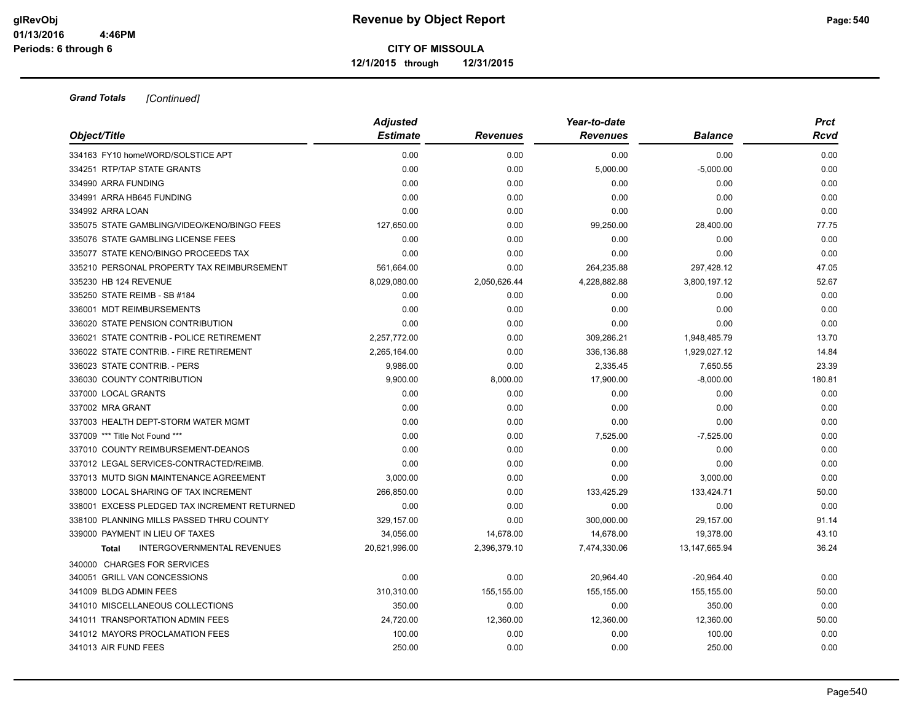|                                                   | <b>Adjusted</b> |                 | Year-to-date    |                | <b>Prct</b> |
|---------------------------------------------------|-----------------|-----------------|-----------------|----------------|-------------|
| Object/Title                                      | <b>Estimate</b> | <b>Revenues</b> | <b>Revenues</b> | <b>Balance</b> | Rcvd        |
| 334163 FY10 homeWORD/SOLSTICE APT                 | 0.00            | 0.00            | 0.00            | 0.00           | 0.00        |
| 334251 RTP/TAP STATE GRANTS                       | 0.00            | 0.00            | 5,000.00        | $-5,000.00$    | 0.00        |
| 334990 ARRA FUNDING                               | 0.00            | 0.00            | 0.00            | 0.00           | 0.00        |
| 334991 ARRA HB645 FUNDING                         | 0.00            | 0.00            | 0.00            | 0.00           | 0.00        |
| 334992 ARRA LOAN                                  | 0.00            | 0.00            | 0.00            | 0.00           | 0.00        |
| 335075 STATE GAMBLING/VIDEO/KENO/BINGO FEES       | 127,650.00      | 0.00            | 99,250.00       | 28,400.00      | 77.75       |
| 335076 STATE GAMBLING LICENSE FEES                | 0.00            | 0.00            | 0.00            | 0.00           | 0.00        |
| 335077 STATE KENO/BINGO PROCEEDS TAX              | 0.00            | 0.00            | 0.00            | 0.00           | 0.00        |
| 335210 PERSONAL PROPERTY TAX REIMBURSEMENT        | 561,664.00      | 0.00            | 264,235.88      | 297,428.12     | 47.05       |
| 335230 HB 124 REVENUE                             | 8,029,080.00    | 2,050,626.44    | 4,228,882.88    | 3,800,197.12   | 52.67       |
| 335250 STATE REIMB - SB #184                      | 0.00            | 0.00            | 0.00            | 0.00           | 0.00        |
| 336001 MDT REIMBURSEMENTS                         | 0.00            | 0.00            | 0.00            | 0.00           | 0.00        |
| 336020 STATE PENSION CONTRIBUTION                 | 0.00            | 0.00            | 0.00            | 0.00           | 0.00        |
| 336021 STATE CONTRIB - POLICE RETIREMENT          | 2,257,772.00    | 0.00            | 309,286.21      | 1,948,485.79   | 13.70       |
| 336022 STATE CONTRIB. - FIRE RETIREMENT           | 2,265,164.00    | 0.00            | 336,136.88      | 1,929,027.12   | 14.84       |
| 336023 STATE CONTRIB. - PERS                      | 9,986.00        | 0.00            | 2,335.45        | 7,650.55       | 23.39       |
| 336030 COUNTY CONTRIBUTION                        | 9,900.00        | 8,000.00        | 17,900.00       | $-8,000.00$    | 180.81      |
| 337000 LOCAL GRANTS                               | 0.00            | 0.00            | 0.00            | 0.00           | 0.00        |
| 337002 MRA GRANT                                  | 0.00            | 0.00            | 0.00            | 0.00           | 0.00        |
| 337003 HEALTH DEPT-STORM WATER MGMT               | 0.00            | 0.00            | 0.00            | 0.00           | 0.00        |
| 337009 *** Title Not Found ***                    | 0.00            | 0.00            | 7,525.00        | $-7,525.00$    | 0.00        |
| 337010 COUNTY REIMBURSEMENT-DEANOS                | 0.00            | 0.00            | 0.00            | 0.00           | 0.00        |
| 337012 LEGAL SERVICES-CONTRACTED/REIMB.           | 0.00            | 0.00            | 0.00            | 0.00           | 0.00        |
| 337013 MUTD SIGN MAINTENANCE AGREEMENT            | 3,000.00        | 0.00            | 0.00            | 3,000.00       | 0.00        |
| 338000 LOCAL SHARING OF TAX INCREMENT             | 266,850.00      | 0.00            | 133,425.29      | 133,424.71     | 50.00       |
| 338001 EXCESS PLEDGED TAX INCREMENT RETURNED      | 0.00            | 0.00            | 0.00            | 0.00           | 0.00        |
| 338100 PLANNING MILLS PASSED THRU COUNTY          | 329,157.00      | 0.00            | 300,000.00      | 29,157.00      | 91.14       |
| 339000 PAYMENT IN LIEU OF TAXES                   | 34.056.00       | 14,678.00       | 14,678.00       | 19,378.00      | 43.10       |
| <b>INTERGOVERNMENTAL REVENUES</b><br><b>Total</b> | 20,621,996.00   | 2,396,379.10    | 7,474,330.06    | 13,147,665.94  | 36.24       |
| 340000 CHARGES FOR SERVICES                       |                 |                 |                 |                |             |
| 340051 GRILL VAN CONCESSIONS                      | 0.00            | 0.00            | 20,964.40       | $-20,964.40$   | 0.00        |
| 341009 BLDG ADMIN FEES                            | 310,310.00      | 155,155.00      | 155,155.00      | 155,155.00     | 50.00       |
| 341010 MISCELLANEOUS COLLECTIONS                  | 350.00          | 0.00            | 0.00            | 350.00         | 0.00        |
| 341011 TRANSPORTATION ADMIN FEES                  | 24,720.00       | 12,360.00       | 12,360.00       | 12,360.00      | 50.00       |
| 341012 MAYORS PROCLAMATION FEES                   | 100.00          | 0.00            | 0.00            | 100.00         | 0.00        |
| 341013 AIR FUND FEES                              | 250.00          | 0.00            | 0.00            | 250.00         | 0.00        |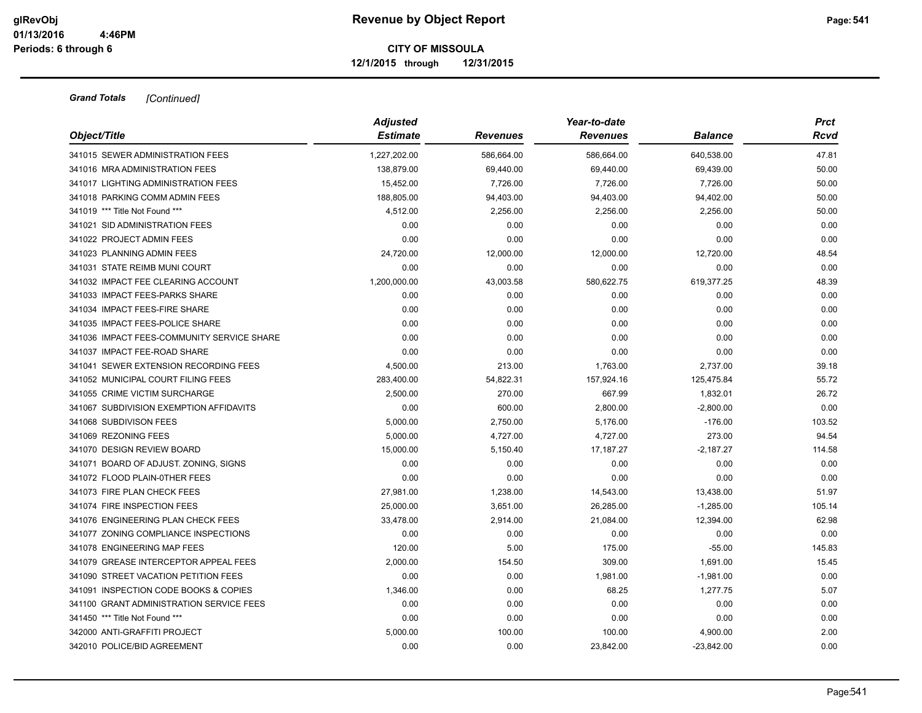|                                            | <b>Adjusted</b> |                 | Year-to-date    |                |        |  |  |
|--------------------------------------------|-----------------|-----------------|-----------------|----------------|--------|--|--|
| Object/Title                               | <b>Estimate</b> | <b>Revenues</b> | <b>Revenues</b> | <b>Balance</b> | Rcvd   |  |  |
| 341015 SEWER ADMINISTRATION FEES           | 1,227,202.00    | 586,664.00      | 586,664.00      | 640,538.00     | 47.81  |  |  |
| 341016 MRA ADMINISTRATION FEES             | 138,879.00      | 69,440.00       | 69,440.00       | 69,439.00      | 50.00  |  |  |
| 341017 LIGHTING ADMINISTRATION FEES        | 15,452.00       | 7,726.00        | 7,726.00        | 7,726.00       | 50.00  |  |  |
| 341018 PARKING COMM ADMIN FEES             | 188,805.00      | 94,403.00       | 94,403.00       | 94,402.00      | 50.00  |  |  |
| 341019 *** Title Not Found ***             | 4,512.00        | 2,256.00        | 2,256.00        | 2,256.00       | 50.00  |  |  |
| 341021 SID ADMINISTRATION FEES             | 0.00            | 0.00            | 0.00            | 0.00           | 0.00   |  |  |
| 341022 PROJECT ADMIN FEES                  | 0.00            | 0.00            | 0.00            | 0.00           | 0.00   |  |  |
| 341023 PLANNING ADMIN FEES                 | 24,720.00       | 12,000.00       | 12,000.00       | 12,720.00      | 48.54  |  |  |
| 341031 STATE REIMB MUNI COURT              | 0.00            | 0.00            | 0.00            | 0.00           | 0.00   |  |  |
| 341032 IMPACT FEE CLEARING ACCOUNT         | 1,200,000.00    | 43,003.58       | 580,622.75      | 619,377.25     | 48.39  |  |  |
| 341033 IMPACT FEES-PARKS SHARE             | 0.00            | 0.00            | 0.00            | 0.00           | 0.00   |  |  |
| 341034 IMPACT FEES-FIRE SHARE              | 0.00            | 0.00            | 0.00            | 0.00           | 0.00   |  |  |
| 341035 IMPACT FEES-POLICE SHARE            | 0.00            | 0.00            | 0.00            | 0.00           | 0.00   |  |  |
| 341036 IMPACT FEES-COMMUNITY SERVICE SHARE | 0.00            | 0.00            | 0.00            | 0.00           | 0.00   |  |  |
| 341037 IMPACT FEE-ROAD SHARE               | 0.00            | 0.00            | 0.00            | 0.00           | 0.00   |  |  |
| 341041 SEWER EXTENSION RECORDING FEES      | 4,500.00        | 213.00          | 1,763.00        | 2,737.00       | 39.18  |  |  |
| 341052 MUNICIPAL COURT FILING FEES         | 283,400.00      | 54,822.31       | 157,924.16      | 125,475.84     | 55.72  |  |  |
| 341055 CRIME VICTIM SURCHARGE              | 2,500.00        | 270.00          | 667.99          | 1,832.01       | 26.72  |  |  |
| 341067 SUBDIVISION EXEMPTION AFFIDAVITS    | 0.00            | 600.00          | 2,800.00        | $-2,800.00$    | 0.00   |  |  |
| 341068 SUBDIVISON FEES                     | 5,000.00        | 2,750.00        | 5,176.00        | $-176.00$      | 103.52 |  |  |
| 341069 REZONING FEES                       | 5,000.00        | 4,727.00        | 4,727.00        | 273.00         | 94.54  |  |  |
| 341070 DESIGN REVIEW BOARD                 | 15,000.00       | 5,150.40        | 17,187.27       | $-2,187.27$    | 114.58 |  |  |
| 341071 BOARD OF ADJUST. ZONING, SIGNS      | 0.00            | 0.00            | 0.00            | 0.00           | 0.00   |  |  |
| 341072 FLOOD PLAIN-0THER FEES              | 0.00            | 0.00            | 0.00            | 0.00           | 0.00   |  |  |
| 341073 FIRE PLAN CHECK FEES                | 27,981.00       | 1,238.00        | 14,543.00       | 13,438.00      | 51.97  |  |  |
| 341074 FIRE INSPECTION FEES                | 25,000.00       | 3,651.00        | 26,285.00       | $-1,285.00$    | 105.14 |  |  |
| 341076 ENGINEERING PLAN CHECK FEES         | 33,478.00       | 2,914.00        | 21,084.00       | 12,394.00      | 62.98  |  |  |
| 341077 ZONING COMPLIANCE INSPECTIONS       | 0.00            | 0.00            | 0.00            | 0.00           | 0.00   |  |  |
| 341078 ENGINEERING MAP FEES                | 120.00          | 5.00            | 175.00          | $-55.00$       | 145.83 |  |  |
| 341079 GREASE INTERCEPTOR APPEAL FEES      | 2,000.00        | 154.50          | 309.00          | 1,691.00       | 15.45  |  |  |
| 341090 STREET VACATION PETITION FEES       | 0.00            | 0.00            | 1,981.00        | $-1,981.00$    | 0.00   |  |  |
| 341091 INSPECTION CODE BOOKS & COPIES      | 1,346.00        | 0.00            | 68.25           | 1,277.75       | 5.07   |  |  |
| 341100 GRANT ADMINISTRATION SERVICE FEES   | 0.00            | 0.00            | 0.00            | 0.00           | 0.00   |  |  |
| 341450 *** Title Not Found ***             | 0.00            | 0.00            | 0.00            | 0.00           | 0.00   |  |  |
| 342000 ANTI-GRAFFITI PROJECT               | 5,000.00        | 100.00          | 100.00          | 4,900.00       | 2.00   |  |  |
| 342010 POLICE/BID AGREEMENT                | 0.00            | 0.00            | 23,842.00       | $-23,842.00$   | 0.00   |  |  |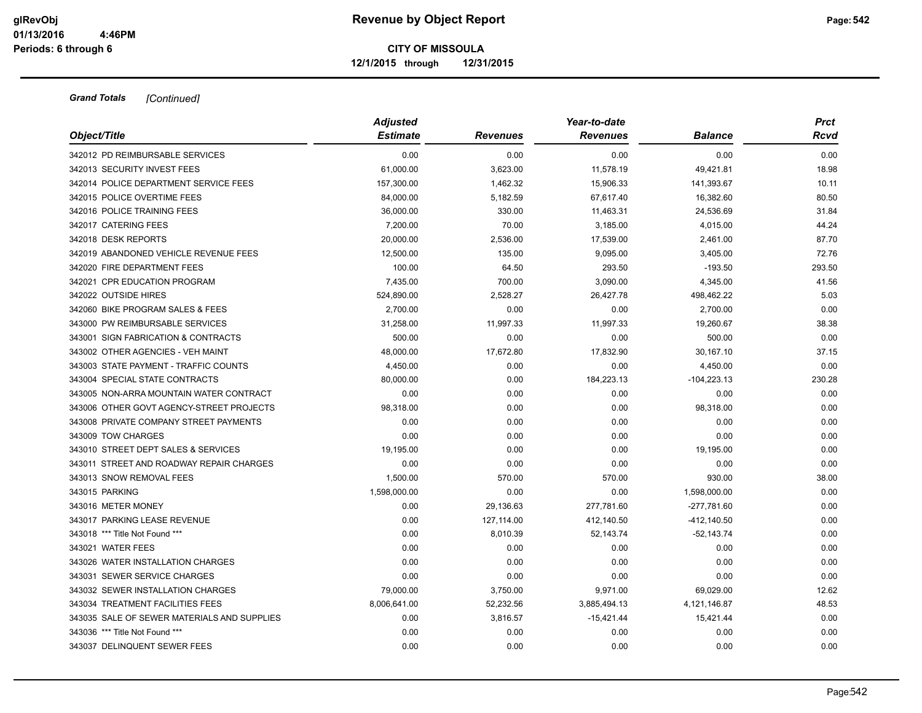|                                             | <b>Adjusted</b> |                 | Year-to-date    |                | <b>Prct</b> |
|---------------------------------------------|-----------------|-----------------|-----------------|----------------|-------------|
| Object/Title                                | <b>Estimate</b> | <b>Revenues</b> | <b>Revenues</b> | <b>Balance</b> | Rcvd        |
| 342012 PD REIMBURSABLE SERVICES             | 0.00            | 0.00            | 0.00            | 0.00           | 0.00        |
| 342013 SECURITY INVEST FEES                 | 61,000.00       | 3,623.00        | 11,578.19       | 49,421.81      | 18.98       |
| 342014 POLICE DEPARTMENT SERVICE FEES       | 157,300.00      | 1,462.32        | 15,906.33       | 141,393.67     | 10.11       |
| 342015 POLICE OVERTIME FEES                 | 84,000.00       | 5,182.59        | 67,617.40       | 16,382.60      | 80.50       |
| 342016 POLICE TRAINING FEES                 | 36,000.00       | 330.00          | 11,463.31       | 24,536.69      | 31.84       |
| 342017 CATERING FEES                        | 7,200.00        | 70.00           | 3,185.00        | 4,015.00       | 44.24       |
| 342018 DESK REPORTS                         | 20,000.00       | 2,536.00        | 17,539.00       | 2,461.00       | 87.70       |
| 342019 ABANDONED VEHICLE REVENUE FEES       | 12,500.00       | 135.00          | 9,095.00        | 3,405.00       | 72.76       |
| 342020 FIRE DEPARTMENT FEES                 | 100.00          | 64.50           | 293.50          | $-193.50$      | 293.50      |
| 342021 CPR EDUCATION PROGRAM                | 7,435.00        | 700.00          | 3,090.00        | 4,345.00       | 41.56       |
| 342022 OUTSIDE HIRES                        | 524,890.00      | 2,528.27        | 26,427.78       | 498,462.22     | 5.03        |
| 342060 BIKE PROGRAM SALES & FEES            | 2,700.00        | 0.00            | 0.00            | 2,700.00       | 0.00        |
| 343000 PW REIMBURSABLE SERVICES             | 31,258.00       | 11,997.33       | 11,997.33       | 19,260.67      | 38.38       |
| 343001 SIGN FABRICATION & CONTRACTS         | 500.00          | 0.00            | 0.00            | 500.00         | 0.00        |
| 343002 OTHER AGENCIES - VEH MAINT           | 48,000.00       | 17,672.80       | 17,832.90       | 30,167.10      | 37.15       |
| 343003 STATE PAYMENT - TRAFFIC COUNTS       | 4,450.00        | 0.00            | 0.00            | 4,450.00       | 0.00        |
| 343004 SPECIAL STATE CONTRACTS              | 80,000.00       | 0.00            | 184,223.13      | $-104,223.13$  | 230.28      |
| 343005 NON-ARRA MOUNTAIN WATER CONTRACT     | 0.00            | 0.00            | 0.00            | 0.00           | 0.00        |
| 343006 OTHER GOVT AGENCY-STREET PROJECTS    | 98,318.00       | 0.00            | 0.00            | 98,318.00      | 0.00        |
| 343008 PRIVATE COMPANY STREET PAYMENTS      | 0.00            | 0.00            | 0.00            | 0.00           | 0.00        |
| 343009 TOW CHARGES                          | 0.00            | 0.00            | 0.00            | 0.00           | 0.00        |
| 343010 STREET DEPT SALES & SERVICES         | 19,195.00       | 0.00            | 0.00            | 19,195.00      | 0.00        |
| 343011 STREET AND ROADWAY REPAIR CHARGES    | 0.00            | 0.00            | 0.00            | 0.00           | 0.00        |
| 343013 SNOW REMOVAL FEES                    | 1,500.00        | 570.00          | 570.00          | 930.00         | 38.00       |
| 343015 PARKING                              | 1,598,000.00    | 0.00            | 0.00            | 1,598,000.00   | 0.00        |
| 343016 METER MONEY                          | 0.00            | 29,136.63       | 277,781.60      | $-277,781.60$  | 0.00        |
| 343017 PARKING LEASE REVENUE                | 0.00            | 127,114.00      | 412,140.50      | $-412,140.50$  | 0.00        |
| 343018 *** Title Not Found ***              | 0.00            | 8,010.39        | 52,143.74       | $-52,143.74$   | 0.00        |
| 343021 WATER FEES                           | 0.00            | 0.00            | 0.00            | 0.00           | 0.00        |
| 343026 WATER INSTALLATION CHARGES           | 0.00            | 0.00            | 0.00            | 0.00           | 0.00        |
| 343031 SEWER SERVICE CHARGES                | 0.00            | 0.00            | 0.00            | 0.00           | 0.00        |
| 343032 SEWER INSTALLATION CHARGES           | 79,000.00       | 3,750.00        | 9,971.00        | 69,029.00      | 12.62       |
| 343034 TREATMENT FACILITIES FEES            | 8,006,641.00    | 52,232.56       | 3,885,494.13    | 4,121,146.87   | 48.53       |
| 343035 SALE OF SEWER MATERIALS AND SUPPLIES | 0.00            | 3,816.57        | $-15,421.44$    | 15,421.44      | 0.00        |
| 343036 *** Title Not Found ***              | 0.00            | 0.00            | 0.00            | 0.00           | 0.00        |
| 343037 DELINQUENT SEWER FEES                | 0.00            | 0.00            | 0.00            | 0.00           | 0.00        |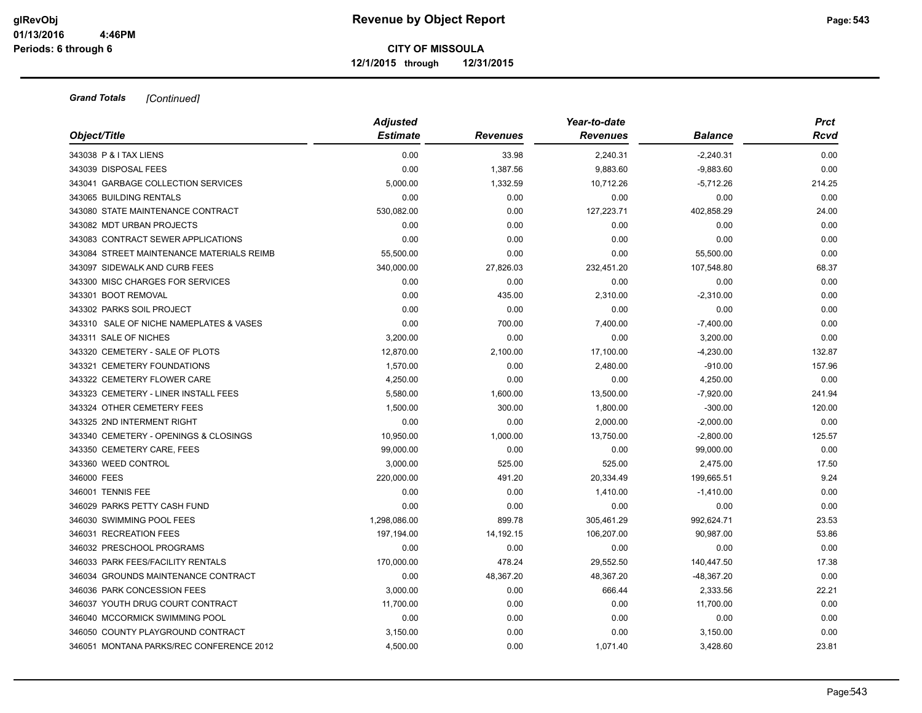| Object/Title                              | <b>Adjusted</b><br><b>Estimate</b> | <b>Revenues</b> | Year-to-date<br><b>Revenues</b> | <b>Balance</b> | <b>Prct</b><br>Rcvd |
|-------------------------------------------|------------------------------------|-----------------|---------------------------------|----------------|---------------------|
|                                           |                                    |                 |                                 |                |                     |
| 343038 P & I TAX LIENS                    | 0.00                               | 33.98           | 2,240.31                        | $-2,240.31$    | 0.00                |
| 343039 DISPOSAL FEES                      | 0.00                               | 1,387.56        | 9,883.60                        | $-9,883.60$    | 0.00                |
| 343041 GARBAGE COLLECTION SERVICES        | 5,000.00                           | 1,332.59        | 10,712.26                       | $-5,712.26$    | 214.25              |
| 343065 BUILDING RENTALS                   | 0.00                               | 0.00            | 0.00                            | 0.00           | 0.00                |
| 343080 STATE MAINTENANCE CONTRACT         | 530,082.00                         | 0.00            | 127,223.71                      | 402,858.29     | 24.00               |
| 343082 MDT URBAN PROJECTS                 | 0.00                               | 0.00            | 0.00                            | 0.00           | 0.00                |
| 343083 CONTRACT SEWER APPLICATIONS        | 0.00                               | 0.00            | 0.00                            | 0.00           | 0.00                |
| 343084 STREET MAINTENANCE MATERIALS REIMB | 55,500.00                          | 0.00            | 0.00                            | 55,500.00      | 0.00                |
| 343097 SIDEWALK AND CURB FEES             | 340,000.00                         | 27,826.03       | 232,451.20                      | 107,548.80     | 68.37               |
| 343300 MISC CHARGES FOR SERVICES          | 0.00                               | 0.00            | 0.00                            | 0.00           | 0.00                |
| 343301 BOOT REMOVAL                       | 0.00                               | 435.00          | 2,310.00                        | $-2,310.00$    | 0.00                |
| 343302 PARKS SOIL PROJECT                 | 0.00                               | 0.00            | 0.00                            | 0.00           | 0.00                |
| 343310 SALE OF NICHE NAMEPLATES & VASES   | 0.00                               | 700.00          | 7,400.00                        | $-7,400.00$    | 0.00                |
| 343311 SALE OF NICHES                     | 3,200.00                           | 0.00            | 0.00                            | 3,200.00       | 0.00                |
| 343320 CEMETERY - SALE OF PLOTS           | 12,870.00                          | 2,100.00        | 17,100.00                       | $-4,230.00$    | 132.87              |
| 343321 CEMETERY FOUNDATIONS               | 1,570.00                           | 0.00            | 2,480.00                        | $-910.00$      | 157.96              |
| 343322 CEMETERY FLOWER CARE               | 4.250.00                           | 0.00            | 0.00                            | 4,250.00       | 0.00                |
| 343323 CEMETERY - LINER INSTALL FEES      | 5,580.00                           | 1,600.00        | 13,500.00                       | $-7,920.00$    | 241.94              |
| 343324 OTHER CEMETERY FEES                | 1,500.00                           | 300.00          | 1,800.00                        | $-300.00$      | 120.00              |
| 343325 2ND INTERMENT RIGHT                | 0.00                               | 0.00            | 2,000.00                        | $-2,000.00$    | 0.00                |
| 343340 CEMETERY - OPENINGS & CLOSINGS     | 10,950.00                          | 1,000.00        | 13,750.00                       | $-2,800.00$    | 125.57              |
| 343350 CEMETERY CARE, FEES                | 99,000.00                          | 0.00            | 0.00                            | 99,000.00      | 0.00                |
| 343360 WEED CONTROL                       | 3,000.00                           | 525.00          | 525.00                          | 2,475.00       | 17.50               |
| 346000 FEES                               | 220,000.00                         | 491.20          | 20,334.49                       | 199,665.51     | 9.24                |
| 346001 TENNIS FEE                         | 0.00                               | 0.00            | 1,410.00                        | $-1,410.00$    | 0.00                |
| 346029 PARKS PETTY CASH FUND              | 0.00                               | 0.00            | 0.00                            | 0.00           | 0.00                |
| 346030 SWIMMING POOL FEES                 | 1,298,086.00                       | 899.78          | 305,461.29                      | 992,624.71     | 23.53               |
| 346031 RECREATION FEES                    | 197,194.00                         | 14,192.15       | 106,207.00                      | 90,987.00      | 53.86               |
| 346032 PRESCHOOL PROGRAMS                 | 0.00                               | 0.00            | 0.00                            | 0.00           | 0.00                |
| 346033 PARK FEES/FACILITY RENTALS         | 170,000.00                         | 478.24          | 29,552.50                       | 140,447.50     | 17.38               |
| 346034 GROUNDS MAINTENANCE CONTRACT       | 0.00                               | 48,367.20       | 48,367.20                       | -48,367.20     | 0.00                |
| 346036 PARK CONCESSION FEES               | 3,000.00                           | 0.00            | 666.44                          | 2,333.56       | 22.21               |
| 346037 YOUTH DRUG COURT CONTRACT          | 11,700.00                          | 0.00            | 0.00                            | 11,700.00      | 0.00                |
| 346040 MCCORMICK SWIMMING POOL            | 0.00                               | 0.00            | 0.00                            | 0.00           | 0.00                |
| 346050 COUNTY PLAYGROUND CONTRACT         | 3,150.00                           | 0.00            | 0.00                            | 3,150.00       | 0.00                |
| 346051 MONTANA PARKS/REC CONFERENCE 2012  | 4,500.00                           | 0.00            | 1,071.40                        | 3,428.60       | 23.81               |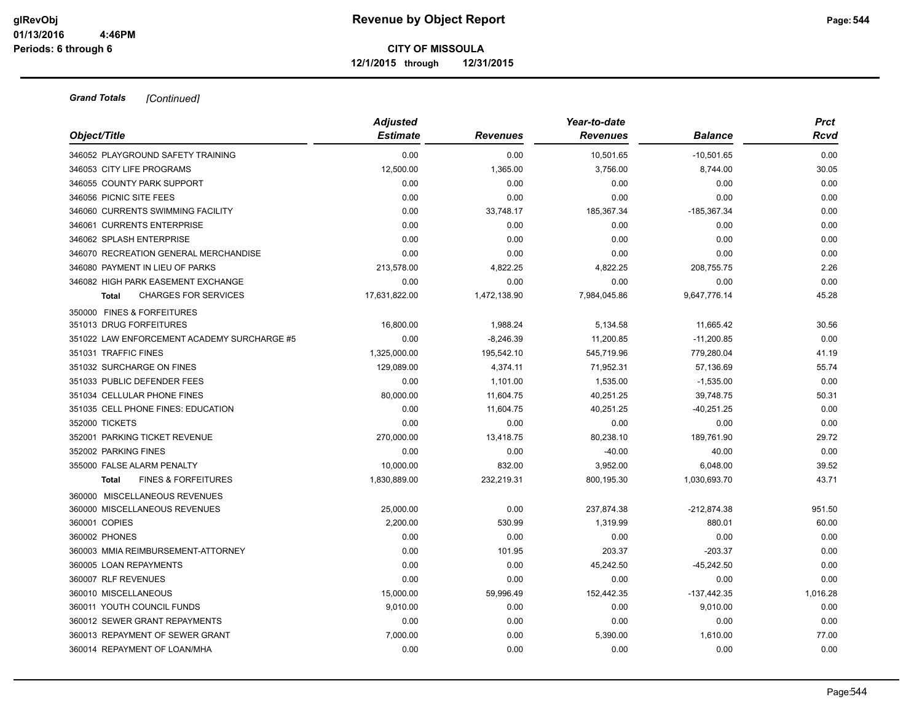| Object/Title                                   | <b>Adjusted</b><br><b>Estimate</b> | <b>Revenues</b>  | Year-to-date<br><b>Revenues</b> | Balance          | <b>Prct</b><br>Rcvd |
|------------------------------------------------|------------------------------------|------------------|---------------------------------|------------------|---------------------|
| 346052 PLAYGROUND SAFETY TRAINING              | 0.00                               | 0.00             |                                 | $-10,501.65$     | 0.00                |
| 346053 CITY LIFE PROGRAMS                      | 12,500.00                          |                  | 10,501.65<br>3,756.00           |                  | 30.05               |
| 346055 COUNTY PARK SUPPORT                     | 0.00                               | 1,365.00<br>0.00 | 0.00                            | 8,744.00<br>0.00 | 0.00                |
|                                                |                                    |                  |                                 |                  |                     |
| 346056 PICNIC SITE FEES                        | 0.00                               | 0.00             | 0.00                            | 0.00             | 0.00                |
| 346060 CURRENTS SWIMMING FACILITY              | 0.00                               | 33,748.17        | 185,367.34                      | $-185,367.34$    | 0.00                |
| 346061 CURRENTS ENTERPRISE                     | 0.00                               | 0.00             | 0.00                            | 0.00             | 0.00                |
| 346062 SPLASH ENTERPRISE                       | 0.00                               | 0.00             | 0.00                            | 0.00             | 0.00                |
| 346070 RECREATION GENERAL MERCHANDISE          | 0.00                               | 0.00             | 0.00                            | 0.00             | 0.00                |
| 346080 PAYMENT IN LIEU OF PARKS                | 213,578.00                         | 4,822.25         | 4,822.25                        | 208,755.75       | 2.26                |
| 346082 HIGH PARK EASEMENT EXCHANGE             | 0.00                               | 0.00             | 0.00                            | 0.00             | 0.00                |
| <b>CHARGES FOR SERVICES</b><br><b>Total</b>    | 17,631,822.00                      | 1,472,138.90     | 7,984,045.86                    | 9,647,776.14     | 45.28               |
| 350000 FINES & FORFEITURES                     |                                    |                  |                                 |                  |                     |
| 351013 DRUG FORFEITURES                        | 16,800.00                          | 1,988.24         | 5,134.58                        | 11,665.42        | 30.56               |
| 351022 LAW ENFORCEMENT ACADEMY SURCHARGE #5    | 0.00                               | $-8,246.39$      | 11,200.85                       | $-11,200.85$     | 0.00                |
| 351031 TRAFFIC FINES                           | 1,325,000.00                       | 195,542.10       | 545,719.96                      | 779,280.04       | 41.19               |
| 351032 SURCHARGE ON FINES                      | 129,089.00                         | 4,374.11         | 71,952.31                       | 57,136.69        | 55.74               |
| 351033 PUBLIC DEFENDER FEES                    | 0.00                               | 1.101.00         | 1,535.00                        | $-1,535.00$      | 0.00                |
| 351034 CELLULAR PHONE FINES                    | 80,000.00                          | 11,604.75        | 40,251.25                       | 39,748.75        | 50.31               |
| 351035 CELL PHONE FINES: EDUCATION             | 0.00                               | 11,604.75        | 40,251.25                       | $-40,251.25$     | 0.00                |
| 352000 TICKETS                                 | 0.00                               | 0.00             | 0.00                            | 0.00             | 0.00                |
| 352001 PARKING TICKET REVENUE                  | 270,000.00                         | 13,418.75        | 80,238.10                       | 189,761.90       | 29.72               |
| 352002 PARKING FINES                           | 0.00                               | 0.00             | $-40.00$                        | 40.00            | 0.00                |
| 355000 FALSE ALARM PENALTY                     | 10,000.00                          | 832.00           | 3,952.00                        | 6,048.00         | 39.52               |
| <b>FINES &amp; FORFEITURES</b><br><b>Total</b> | 1,830,889.00                       | 232,219.31       | 800,195.30                      | 1,030,693.70     | 43.71               |
| 360000 MISCELLANEOUS REVENUES                  |                                    |                  |                                 |                  |                     |
| 360000 MISCELLANEOUS REVENUES                  | 25,000.00                          | 0.00             | 237,874.38                      | $-212,874.38$    | 951.50              |
| 360001 COPIES                                  | 2,200.00                           | 530.99           | 1,319.99                        | 880.01           | 60.00               |
| 360002 PHONES                                  | 0.00                               | 0.00             | 0.00                            | 0.00             | 0.00                |
| 360003 MMIA REIMBURSEMENT-ATTORNEY             | 0.00                               | 101.95           | 203.37                          | $-203.37$        | 0.00                |
| 360005 LOAN REPAYMENTS                         | 0.00                               | 0.00             | 45,242.50                       | $-45,242.50$     | 0.00                |
| 360007 RLF REVENUES                            | 0.00                               | 0.00             | 0.00                            | 0.00             | 0.00                |
| 360010 MISCELLANEOUS                           | 15,000.00                          | 59,996.49        | 152,442.35                      | $-137,442.35$    | 1,016.28            |
| 360011 YOUTH COUNCIL FUNDS                     | 9,010.00                           | 0.00             | 0.00                            | 9,010.00         | 0.00                |
| 360012 SEWER GRANT REPAYMENTS                  | 0.00                               | 0.00             | 0.00                            | 0.00             | 0.00                |
| 360013 REPAYMENT OF SEWER GRANT                | 7,000.00                           | 0.00             | 5,390.00                        | 1,610.00         | 77.00               |
| 360014 REPAYMENT OF LOAN/MHA                   | 0.00                               | 0.00             | 0.00                            | 0.00             | 0.00                |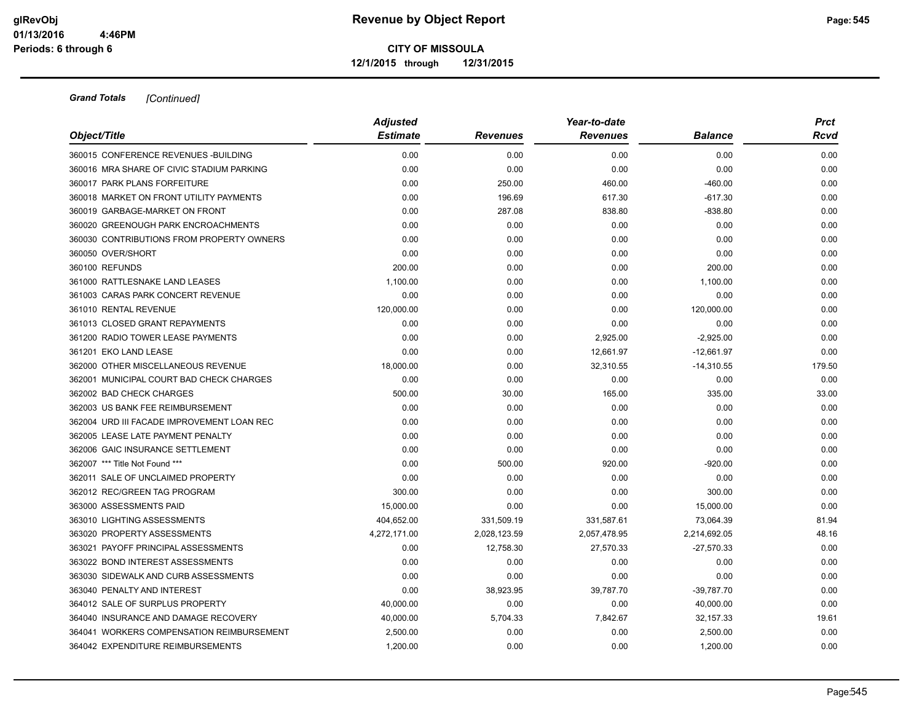|                                            | <b>Adjusted</b> |                 | <b>Prct</b>     |                |        |
|--------------------------------------------|-----------------|-----------------|-----------------|----------------|--------|
| Object/Title                               | <b>Estimate</b> | <b>Revenues</b> | <b>Revenues</b> | <b>Balance</b> | Rcvd   |
| 360015 CONFERENCE REVENUES - BUILDING      | 0.00            | 0.00            | 0.00            | 0.00           | 0.00   |
| 360016 MRA SHARE OF CIVIC STADIUM PARKING  | 0.00            | 0.00            | 0.00            | 0.00           | 0.00   |
| 360017 PARK PLANS FORFEITURE               | 0.00            | 250.00          | 460.00          | $-460.00$      | 0.00   |
| 360018 MARKET ON FRONT UTILITY PAYMENTS    | 0.00            | 196.69          | 617.30          | $-617.30$      | 0.00   |
| 360019 GARBAGE-MARKET ON FRONT             | 0.00            | 287.08          | 838.80          | $-838.80$      | 0.00   |
| 360020 GREENOUGH PARK ENCROACHMENTS        | 0.00            | 0.00            | 0.00            | 0.00           | 0.00   |
| 360030 CONTRIBUTIONS FROM PROPERTY OWNERS  | 0.00            | 0.00            | 0.00            | 0.00           | 0.00   |
| 360050 OVER/SHORT                          | 0.00            | 0.00            | 0.00            | 0.00           | 0.00   |
| 360100 REFUNDS                             | 200.00          | 0.00            | 0.00            | 200.00         | 0.00   |
| 361000 RATTLESNAKE LAND LEASES             | 1,100.00        | 0.00            | 0.00            | 1,100.00       | 0.00   |
| 361003 CARAS PARK CONCERT REVENUE          | 0.00            | 0.00            | 0.00            | 0.00           | 0.00   |
| 361010 RENTAL REVENUE                      | 120,000.00      | 0.00            | 0.00            | 120,000.00     | 0.00   |
| 361013 CLOSED GRANT REPAYMENTS             | 0.00            | 0.00            | 0.00            | 0.00           | 0.00   |
| 361200 RADIO TOWER LEASE PAYMENTS          | 0.00            | 0.00            | 2,925.00        | $-2,925.00$    | 0.00   |
| 361201 EKO LAND LEASE                      | 0.00            | 0.00            | 12,661.97       | $-12,661.97$   | 0.00   |
| 362000 OTHER MISCELLANEOUS REVENUE         | 18,000.00       | 0.00            | 32,310.55       | $-14,310.55$   | 179.50 |
| 362001 MUNICIPAL COURT BAD CHECK CHARGES   | 0.00            | 0.00            | 0.00            | 0.00           | 0.00   |
| 362002 BAD CHECK CHARGES                   | 500.00          | 30.00           | 165.00          | 335.00         | 33.00  |
| 362003 US BANK FEE REIMBURSEMENT           | 0.00            | 0.00            | 0.00            | 0.00           | 0.00   |
| 362004 URD III FACADE IMPROVEMENT LOAN REC | 0.00            | 0.00            | 0.00            | 0.00           | 0.00   |
| 362005 LEASE LATE PAYMENT PENALTY          | 0.00            | 0.00            | 0.00            | 0.00           | 0.00   |
| 362006 GAIC INSURANCE SETTLEMENT           | 0.00            | 0.00            | 0.00            | 0.00           | 0.00   |
| 362007 *** Title Not Found ***             | 0.00            | 500.00          | 920.00          | $-920.00$      | 0.00   |
| 362011 SALE OF UNCLAIMED PROPERTY          | 0.00            | 0.00            | 0.00            | 0.00           | 0.00   |
| 362012 REC/GREEN TAG PROGRAM               | 300.00          | 0.00            | 0.00            | 300.00         | 0.00   |
| 363000 ASSESSMENTS PAID                    | 15,000.00       | 0.00            | 0.00            | 15,000.00      | 0.00   |
| 363010 LIGHTING ASSESSMENTS                | 404,652.00      | 331,509.19      | 331,587.61      | 73,064.39      | 81.94  |
| 363020 PROPERTY ASSESSMENTS                | 4,272,171.00    | 2,028,123.59    | 2,057,478.95    | 2,214,692.05   | 48.16  |
| 363021 PAYOFF PRINCIPAL ASSESSMENTS        | 0.00            | 12,758.30       | 27,570.33       | $-27,570.33$   | 0.00   |
| 363022 BOND INTEREST ASSESSMENTS           | 0.00            | 0.00            | 0.00            | 0.00           | 0.00   |
| 363030 SIDEWALK AND CURB ASSESSMENTS       | 0.00            | 0.00            | 0.00            | 0.00           | 0.00   |
| 363040 PENALTY AND INTEREST                | 0.00            | 38,923.95       | 39,787.70       | $-39,787.70$   | 0.00   |
| 364012 SALE OF SURPLUS PROPERTY            | 40,000.00       | 0.00            | 0.00            | 40,000.00      | 0.00   |
| 364040 INSURANCE AND DAMAGE RECOVERY       | 40,000.00       | 5,704.33        | 7,842.67        | 32,157.33      | 19.61  |
| 364041 WORKERS COMPENSATION REIMBURSEMENT  | 2,500.00        | 0.00            | 0.00            | 2,500.00       | 0.00   |
| 364042 EXPENDITURE REIMBURSEMENTS          | 1,200.00        | 0.00            | 0.00            | 1,200.00       | 0.00   |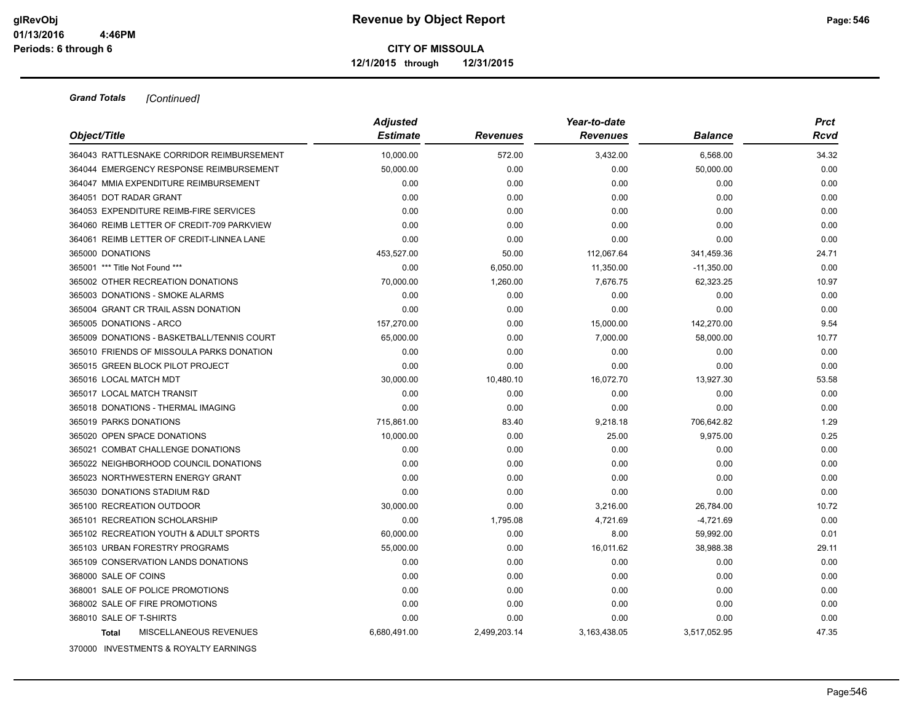| Object/Title                               | <b>Adjusted</b><br><b>Estimate</b> | <b>Revenues</b> | Year-to-date<br><b>Revenues</b> | <b>Balance</b> | <b>Prct</b><br>Rcvd |
|--------------------------------------------|------------------------------------|-----------------|---------------------------------|----------------|---------------------|
| 364043 RATTLESNAKE CORRIDOR REIMBURSEMENT  | 10,000.00                          | 572.00          | 3,432.00                        | 6,568.00       | 34.32               |
| 364044 EMERGENCY RESPONSE REIMBURSEMENT    | 50.000.00                          | 0.00            | 0.00                            | 50,000.00      | 0.00                |
| 364047 MMIA EXPENDITURE REIMBURSEMENT      | 0.00                               | 0.00            | 0.00                            | 0.00           | 0.00                |
| 364051 DOT RADAR GRANT                     | 0.00                               | 0.00            | 0.00                            | 0.00           | 0.00                |
| 364053 EXPENDITURE REIMB-FIRE SERVICES     | 0.00                               | 0.00            | 0.00                            | 0.00           | 0.00                |
| 364060 REIMB LETTER OF CREDIT-709 PARKVIEW | 0.00                               | 0.00            | 0.00                            | 0.00           | 0.00                |
| 364061 REIMB LETTER OF CREDIT-LINNEA LANE  | 0.00                               | 0.00            | 0.00                            | 0.00           | 0.00                |
| 365000 DONATIONS                           | 453,527.00                         | 50.00           | 112,067.64                      | 341,459.36     | 24.71               |
| 365001 *** Title Not Found ***             | 0.00                               | 6,050.00        | 11,350.00                       | $-11,350.00$   | 0.00                |
| 365002 OTHER RECREATION DONATIONS          | 70,000.00                          | 1,260.00        | 7,676.75                        | 62,323.25      | 10.97               |
| 365003 DONATIONS - SMOKE ALARMS            | 0.00                               | 0.00            | 0.00                            | 0.00           | 0.00                |
| 365004 GRANT CR TRAIL ASSN DONATION        | 0.00                               | 0.00            | 0.00                            | 0.00           | 0.00                |
| 365005 DONATIONS - ARCO                    | 157,270.00                         | 0.00            | 15,000.00                       | 142,270.00     | 9.54                |
| 365009 DONATIONS - BASKETBALL/TENNIS COURT | 65,000.00                          | 0.00            | 7,000.00                        | 58,000.00      | 10.77               |
| 365010 FRIENDS OF MISSOULA PARKS DONATION  | 0.00                               | 0.00            | 0.00                            | 0.00           | 0.00                |
| 365015 GREEN BLOCK PILOT PROJECT           | 0.00                               | 0.00            | 0.00                            | 0.00           | 0.00                |
| 365016 LOCAL MATCH MDT                     | 30,000.00                          | 10,480.10       | 16,072.70                       | 13,927.30      | 53.58               |
| 365017 LOCAL MATCH TRANSIT                 | 0.00                               | 0.00            | 0.00                            | 0.00           | 0.00                |
| 365018 DONATIONS - THERMAL IMAGING         | 0.00                               | 0.00            | 0.00                            | 0.00           | 0.00                |
| 365019 PARKS DONATIONS                     | 715,861.00                         | 83.40           | 9,218.18                        | 706,642.82     | 1.29                |
| 365020 OPEN SPACE DONATIONS                | 10,000.00                          | 0.00            | 25.00                           | 9,975.00       | 0.25                |
| 365021 COMBAT CHALLENGE DONATIONS          | 0.00                               | 0.00            | 0.00                            | 0.00           | 0.00                |
| 365022 NEIGHBORHOOD COUNCIL DONATIONS      | 0.00                               | 0.00            | 0.00                            | 0.00           | 0.00                |
| 365023 NORTHWESTERN ENERGY GRANT           | 0.00                               | 0.00            | 0.00                            | 0.00           | 0.00                |
| 365030 DONATIONS STADIUM R&D               | 0.00                               | 0.00            | 0.00                            | 0.00           | 0.00                |
| 365100 RECREATION OUTDOOR                  | 30,000.00                          | 0.00            | 3,216.00                        | 26,784.00      | 10.72               |
| 365101 RECREATION SCHOLARSHIP              | 0.00                               | 1,795.08        | 4,721.69                        | $-4,721.69$    | 0.00                |
| 365102 RECREATION YOUTH & ADULT SPORTS     | 60,000.00                          | 0.00            | 8.00                            | 59,992.00      | 0.01                |
| 365103 URBAN FORESTRY PROGRAMS             | 55,000.00                          | 0.00            | 16.011.62                       | 38,988.38      | 29.11               |
| 365109 CONSERVATION LANDS DONATIONS        | 0.00                               | 0.00            | 0.00                            | 0.00           | 0.00                |
| 368000 SALE OF COINS                       | 0.00                               | 0.00            | 0.00                            | 0.00           | 0.00                |
| 368001 SALE OF POLICE PROMOTIONS           | 0.00                               | 0.00            | 0.00                            | 0.00           | 0.00                |
| 368002 SALE OF FIRE PROMOTIONS             | 0.00                               | 0.00            | 0.00                            | 0.00           | 0.00                |
| 368010 SALE OF T-SHIRTS                    | 0.00                               | 0.00            | 0.00                            | 0.00           | 0.00                |
| MISCELLANEOUS REVENUES<br><b>Total</b>     | 6,680,491.00                       | 2,499,203.14    | 3,163,438.05                    | 3,517,052.95   | 47.35               |
| 370000 INVESTMENTS & ROYALTY EARNINGS      |                                    |                 |                                 |                |                     |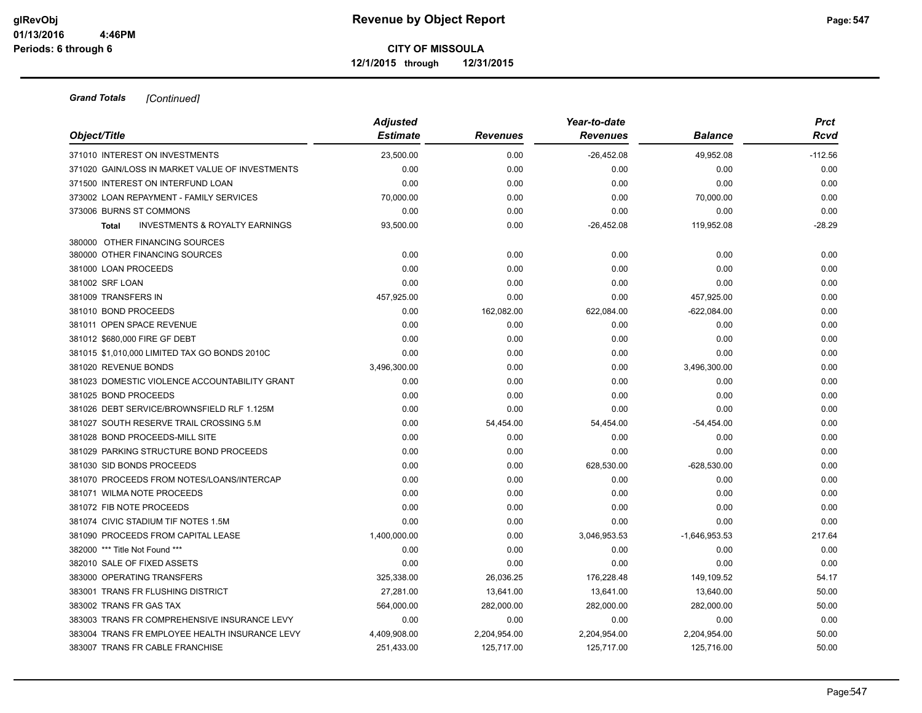|                                                           | <b>Adjusted</b> | Year-to-date    |                 |                 |           |  |
|-----------------------------------------------------------|-----------------|-----------------|-----------------|-----------------|-----------|--|
| Object/Title                                              | <b>Estimate</b> | <b>Revenues</b> | <b>Revenues</b> | Balance         | Rcvd      |  |
| 371010 INTEREST ON INVESTMENTS                            | 23,500.00       | 0.00            | $-26,452.08$    | 49,952.08       | $-112.56$ |  |
| 371020 GAIN/LOSS IN MARKET VALUE OF INVESTMENTS           | 0.00            | 0.00            | 0.00            | 0.00            | 0.00      |  |
| 371500 INTEREST ON INTERFUND LOAN                         | 0.00            | 0.00            | 0.00            | 0.00            | 0.00      |  |
| 373002 LOAN REPAYMENT - FAMILY SERVICES                   | 70.000.00       | 0.00            | 0.00            | 70,000.00       | 0.00      |  |
| 373006 BURNS ST COMMONS                                   | 0.00            | 0.00            | 0.00            | 0.00            | 0.00      |  |
| <b>INVESTMENTS &amp; ROYALTY EARNINGS</b><br><b>Total</b> | 93,500.00       | 0.00            | $-26,452.08$    | 119,952.08      | $-28.29$  |  |
| 380000 OTHER FINANCING SOURCES                            |                 |                 |                 |                 |           |  |
| 380000 OTHER FINANCING SOURCES                            | 0.00            | 0.00            | 0.00            | 0.00            | 0.00      |  |
| 381000 LOAN PROCEEDS                                      | 0.00            | 0.00            | 0.00            | 0.00            | 0.00      |  |
| 381002 SRF LOAN                                           | 0.00            | 0.00            | 0.00            | 0.00            | 0.00      |  |
| 381009 TRANSFERS IN                                       | 457,925.00      | 0.00            | 0.00            | 457,925.00      | 0.00      |  |
| 381010 BOND PROCEEDS                                      | 0.00            | 162,082.00      | 622,084.00      | $-622,084.00$   | 0.00      |  |
| 381011 OPEN SPACE REVENUE                                 | 0.00            | 0.00            | 0.00            | 0.00            | 0.00      |  |
| 381012 \$680,000 FIRE GF DEBT                             | 0.00            | 0.00            | 0.00            | 0.00            | 0.00      |  |
| 381015 \$1,010,000 LIMITED TAX GO BONDS 2010C             | 0.00            | 0.00            | 0.00            | 0.00            | 0.00      |  |
| 381020 REVENUE BONDS                                      | 3,496,300.00    | 0.00            | 0.00            | 3,496,300.00    | 0.00      |  |
| 381023 DOMESTIC VIOLENCE ACCOUNTABILITY GRANT             | 0.00            | 0.00            | 0.00            | 0.00            | 0.00      |  |
| 381025 BOND PROCEEDS                                      | 0.00            | 0.00            | 0.00            | 0.00            | 0.00      |  |
| 381026 DEBT SERVICE/BROWNSFIELD RLF 1.125M                | 0.00            | 0.00            | 0.00            | 0.00            | 0.00      |  |
| 381027 SOUTH RESERVE TRAIL CROSSING 5.M                   | 0.00            | 54,454.00       | 54,454.00       | $-54,454.00$    | 0.00      |  |
| 381028 BOND PROCEEDS-MILL SITE                            | 0.00            | 0.00            | 0.00            | 0.00            | 0.00      |  |
| 381029 PARKING STRUCTURE BOND PROCEEDS                    | 0.00            | 0.00            | 0.00            | 0.00            | 0.00      |  |
| 381030 SID BONDS PROCEEDS                                 | 0.00            | 0.00            | 628,530.00      | -628,530.00     | 0.00      |  |
| 381070 PROCEEDS FROM NOTES/LOANS/INTERCAP                 | 0.00            | 0.00            | 0.00            | 0.00            | 0.00      |  |
| 381071 WILMA NOTE PROCEEDS                                | 0.00            | 0.00            | 0.00            | 0.00            | 0.00      |  |
| 381072 FIB NOTE PROCEEDS                                  | 0.00            | 0.00            | 0.00            | 0.00            | 0.00      |  |
| 381074 CIVIC STADIUM TIF NOTES 1.5M                       | 0.00            | 0.00            | 0.00            | 0.00            | 0.00      |  |
| 381090 PROCEEDS FROM CAPITAL LEASE                        | 1,400,000.00    | 0.00            | 3,046,953.53    | $-1,646,953.53$ | 217.64    |  |
| 382000 *** Title Not Found ***                            | 0.00            | 0.00            | 0.00            | 0.00            | 0.00      |  |
| 382010 SALE OF FIXED ASSETS                               | 0.00            | 0.00            | 0.00            | 0.00            | 0.00      |  |
| 383000 OPERATING TRANSFERS                                | 325,338.00      | 26,036.25       | 176,228.48      | 149,109.52      | 54.17     |  |
| 383001 TRANS FR FLUSHING DISTRICT                         | 27,281.00       | 13,641.00       | 13,641.00       | 13,640.00       | 50.00     |  |
| 383002 TRANS FR GAS TAX                                   | 564,000.00      | 282,000.00      | 282,000.00      | 282,000.00      | 50.00     |  |
| 383003 TRANS FR COMPREHENSIVE INSURANCE LEVY              | 0.00            | 0.00            | 0.00            | 0.00            | 0.00      |  |
| 383004 TRANS FR EMPLOYEE HEALTH INSURANCE LEVY            | 4,409,908.00    | 2,204,954.00    | 2,204,954.00    | 2,204,954.00    | 50.00     |  |
| 383007 TRANS FR CABLE FRANCHISE                           | 251,433.00      | 125.717.00      | 125,717.00      | 125.716.00      | 50.00     |  |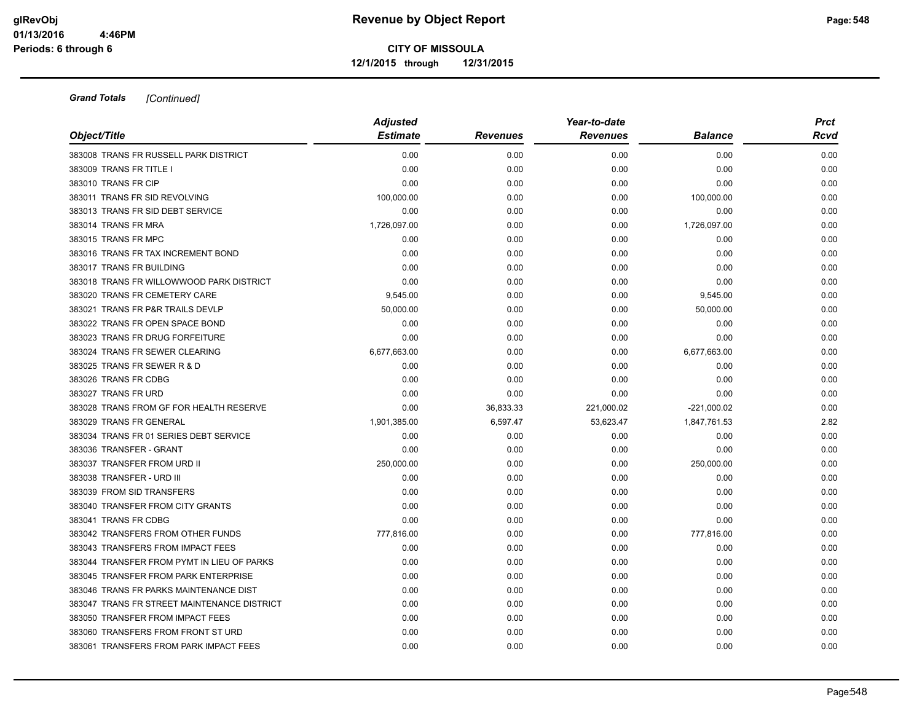|                                             | <b>Adjusted</b> |                 | Year-to-date    |                |             |  |  |
|---------------------------------------------|-----------------|-----------------|-----------------|----------------|-------------|--|--|
| Object/Title                                | <b>Estimate</b> | <b>Revenues</b> | <b>Revenues</b> | <b>Balance</b> | <b>Rcvd</b> |  |  |
| 383008 TRANS FR RUSSELL PARK DISTRICT       | 0.00            | 0.00            | 0.00            | 0.00           | 0.00        |  |  |
| 383009 TRANS FR TITLE I                     | 0.00            | 0.00            | 0.00            | 0.00           | 0.00        |  |  |
| 383010 TRANS FR CIP                         | 0.00            | 0.00            | 0.00            | 0.00           | 0.00        |  |  |
| 383011 TRANS FR SID REVOLVING               | 100,000.00      | 0.00            | 0.00            | 100,000.00     | 0.00        |  |  |
| 383013 TRANS FR SID DEBT SERVICE            | 0.00            | 0.00            | 0.00            | 0.00           | 0.00        |  |  |
| 383014 TRANS FR MRA                         | 1,726,097.00    | 0.00            | 0.00            | 1,726,097.00   | 0.00        |  |  |
| 383015 TRANS FR MPC                         | 0.00            | 0.00            | 0.00            | 0.00           | 0.00        |  |  |
| 383016 TRANS FR TAX INCREMENT BOND          | 0.00            | 0.00            | 0.00            | 0.00           | 0.00        |  |  |
| 383017 TRANS FR BUILDING                    | 0.00            | 0.00            | 0.00            | 0.00           | 0.00        |  |  |
| 383018 TRANS FR WILLOWWOOD PARK DISTRICT    | 0.00            | 0.00            | 0.00            | 0.00           | 0.00        |  |  |
| 383020 TRANS FR CEMETERY CARE               | 9,545.00        | 0.00            | 0.00            | 9,545.00       | 0.00        |  |  |
| 383021 TRANS FR P&R TRAILS DEVLP            | 50,000.00       | 0.00            | 0.00            | 50,000.00      | 0.00        |  |  |
| 383022 TRANS FR OPEN SPACE BOND             | 0.00            | 0.00            | 0.00            | 0.00           | 0.00        |  |  |
| 383023 TRANS FR DRUG FORFEITURE             | 0.00            | 0.00            | 0.00            | 0.00           | 0.00        |  |  |
| 383024 TRANS FR SEWER CLEARING              | 6,677,663.00    | 0.00            | 0.00            | 6,677,663.00   | 0.00        |  |  |
| 383025 TRANS FR SEWER R & D                 | 0.00            | 0.00            | 0.00            | 0.00           | 0.00        |  |  |
| 383026 TRANS FR CDBG                        | 0.00            | 0.00            | 0.00            | 0.00           | 0.00        |  |  |
| 383027 TRANS FR URD                         | 0.00            | 0.00            | 0.00            | 0.00           | 0.00        |  |  |
| 383028 TRANS FROM GF FOR HEALTH RESERVE     | 0.00            | 36,833.33       | 221,000.02      | $-221,000.02$  | 0.00        |  |  |
| 383029 TRANS FR GENERAL                     | 1,901,385.00    | 6,597.47        | 53,623.47       | 1,847,761.53   | 2.82        |  |  |
| 383034 TRANS FR 01 SERIES DEBT SERVICE      | 0.00            | 0.00            | 0.00            | 0.00           | 0.00        |  |  |
| 383036 TRANSFER - GRANT                     | 0.00            | 0.00            | 0.00            | 0.00           | 0.00        |  |  |
| 383037 TRANSFER FROM URD II                 | 250,000.00      | 0.00            | 0.00            | 250,000.00     | 0.00        |  |  |
| 383038 TRANSFER - URD III                   | 0.00            | 0.00            | 0.00            | 0.00           | 0.00        |  |  |
| 383039 FROM SID TRANSFERS                   | 0.00            | 0.00            | 0.00            | 0.00           | 0.00        |  |  |
| 383040 TRANSFER FROM CITY GRANTS            | 0.00            | 0.00            | 0.00            | 0.00           | 0.00        |  |  |
| 383041 TRANS FR CDBG                        | 0.00            | 0.00            | 0.00            | 0.00           | 0.00        |  |  |
| 383042 TRANSFERS FROM OTHER FUNDS           | 777,816.00      | 0.00            | 0.00            | 777,816.00     | 0.00        |  |  |
| 383043 TRANSFERS FROM IMPACT FEES           | 0.00            | 0.00            | 0.00            | 0.00           | 0.00        |  |  |
| 383044 TRANSFER FROM PYMT IN LIEU OF PARKS  | 0.00            | 0.00            | 0.00            | 0.00           | 0.00        |  |  |
| 383045 TRANSFER FROM PARK ENTERPRISE        | 0.00            | 0.00            | 0.00            | 0.00           | 0.00        |  |  |
| 383046 TRANS FR PARKS MAINTENANCE DIST      | 0.00            | 0.00            | 0.00            | 0.00           | 0.00        |  |  |
| 383047 TRANS FR STREET MAINTENANCE DISTRICT | 0.00            | 0.00            | 0.00            | 0.00           | 0.00        |  |  |
| 383050 TRANSFER FROM IMPACT FEES            | 0.00            | 0.00            | 0.00            | 0.00           | 0.00        |  |  |
| 383060 TRANSFERS FROM FRONT ST URD          | 0.00            | 0.00            | 0.00            | 0.00           | 0.00        |  |  |
| 383061 TRANSFERS FROM PARK IMPACT FEES      | 0.00            | 0.00            | 0.00            | 0.00           | 0.00        |  |  |